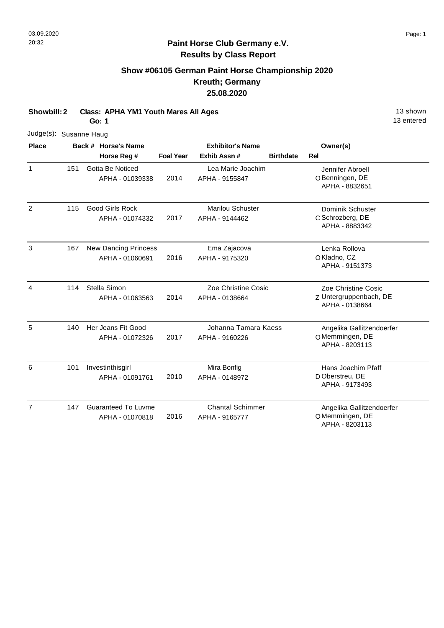#### **Show #06105 German Paint Horse Championship 2020 Kreuth; Germany 25.08.2020**

**Showbill: 2 Class: APHA YM1 Youth Mares All Ages 13 Shown 13 shown Go: 1**

Judge(s): Susanne Haug **Back # Horse's Name Place Owner(s) Horse Reg # Exhib Assn # Foal Year Birthdate Rel Exhibitor's Name** 1 O Benningen, DE Jennifer Abroell APHA - 8832651 2014 Gotta Be Noticed APHA - 01039338 Lea Marie Joachim APHA - 9155847 151 2 C Schrozberg, DE Dominik Schuster APHA - 8883342 2017 115 Good Girls Rock APHA - 01074332 Marilou Schuster APHA - 9144462 3 O Kladno, CZ Lenka Rollova APHA - 9151373 2016 New Dancing Princess APHA - 01060691 Ema Zajacova APHA - 9175320 167 4 Z Untergruppenbach, DE Zoe Christine Cosic APHA - 0138664 2014 Stella Simon APHA - 01063563 Zoe Christine Cosic APHA - 0138664 114 5 O Memmingen, DE Angelika Gallitzendoerfer APHA - 8203113 2017 140 Her Jeans Fit Good APHA - 01072326 Johanna Tamara Kaess APHA - 9160226 6 D Oberstreu, DE Hans Joachim Pfaff APHA - 9173493 2010 Investinthisgirl APHA - 01091761 Mira Bonfig APHA - 0148972 101 7 O Memmingen, DE Angelika Gallitzendoerfer 2016 Guaranteed To Luvme APHA - 01070818 Chantal Schimmer APHA - 9165777 147

APHA - 8203113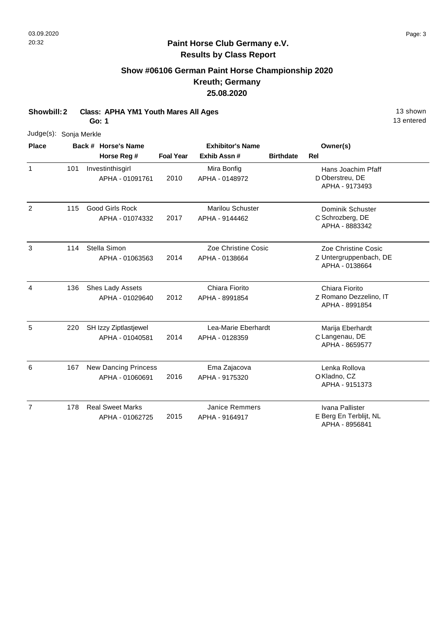## **Show #06106 German Paint Horse Championship 2020 Kreuth; Germany 25.08.2020**

**Showbill: 2 Class: APHA YM1 Youth Mares All Ages 13 Shown 13 shown Go: 1**

Judge(s): Sonja Merkle **Back # Horse's Name Place Owner(s) Horse Reg # Exhib Assn # Foal Year Birthdate Rel Exhibitor's Name** 1 D Oberstreu, DE Hans Joachim Pfaff APHA - 9173493 2010 Investinthisgirl APHA - 01091761 Mira Bonfig APHA - 0148972 101 2 C Schrozberg, DE Dominik Schuster APHA - 8883342 2017 115 Good Girls Rock APHA - 01074332 Marilou Schuster APHA - 9144462 3 Z Untergruppenbach, DE Zoe Christine Cosic APHA - 0138664 2014 Stella Simon APHA - 01063563 Zoe Christine Cosic APHA - 0138664 114 4 Z Romano Dezzelino, IT Chiara Fiorito APHA - 8991854 2012 Shes Lady Assets APHA - 01029640 Chiara Fiorito APHA - 8991854 136 5 C Langenau, DE Marija Eberhardt APHA - 8659577 2014 SH Izzy Ziptlastjewel APHA - 01040581 Lea-Marie Eberhardt APHA - 0128359 220 6 O Kladno, CZ Lenka Rollova APHA - 9151373 2016 New Dancing Princess APHA - 01060691 Ema Zajacova APHA - 9175320 167 7 E Berg En Terblijt, NL Ivana Pallister 2015 Real Sweet Marks APHA - 01062725 Janice Remmers APHA - 9164917 178

APHA - 8956841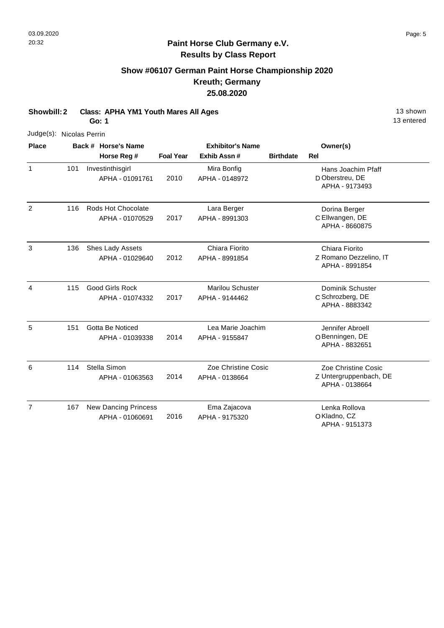## **Show #06107 German Paint Horse Championship 2020 Kreuth; Germany 25.08.2020**

**Showbill: 2 Class: APHA YM1 Youth Mares All Ages 13 Shown 13 shown Go: 1**

Judge(s): Nicolas Perrin **Back # Horse's Name Place Owner(s) Horse Reg # Exhib Assn # Foal Year Birthdate Rel Exhibitor's Name** 1 D Oberstreu, DE Hans Joachim Pfaff APHA - 9173493 2010 Investinthisgirl APHA - 01091761 Mira Bonfig APHA - 0148972 101 2 C Ellwangen, DE Dorina Berger APHA - 8660875 2017 116 Rods Hot Chocolate APHA - 01070529 Lara Berger APHA - 8991303 3 Z Romano Dezzelino, IT Chiara Fiorito APHA - 8991854 2012 Shes Lady Assets APHA - 01029640 Chiara Fiorito APHA - 8991854 136 4 C Schrozberg, DE Dominik Schuster APHA - 8883342 2017 115 Good Girls Rock APHA - 01074332 Marilou Schuster APHA - 9144462 5 O Benningen, DE Jennifer Abroell APHA - 8832651 2014 151 Gotta Be Noticed APHA - 01039338 Lea Marie Joachim APHA - 9155847 6 Z Untergruppenbach, DE Zoe Christine Cosic APHA - 0138664 2014 Stella Simon APHA - 01063563 Zoe Christine Cosic APHA - 0138664 114 7 O Kladno, CZ Lenka Rollova APHA - 9151373 2016 New Dancing Princess APHA - 01060691 Ema Zajacova APHA - 9175320 167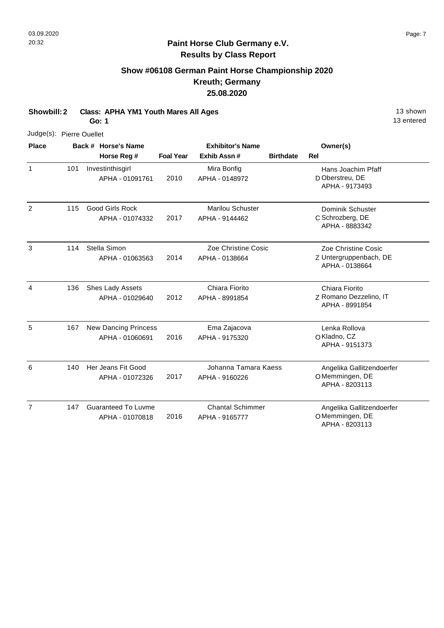1

2

3

4

5

6

7

147

#### **Paint Horse Club Germany e.V. Results by Class Report**

## **Show #06108 German Paint Horse Championship 2020 Kreuth; Germany 25.08.2020**

**Showbill: 2 Class: APHA YM1 Youth Mares All Ages 13 Shown 13 shown Go: 1**

Judge(s): Pierre Ouellet **Back # Horse's Name Place Owner(s) Horse Reg # Exhib Assn # Foal Year Birthdate Rel Exhibitor's Name** D Oberstreu, DE Hans Joachim Pfaff APHA - 9173493 2010 Investinthisgirl APHA - 01091761 Mira Bonfig APHA - 0148972 101 C Schrozberg, DE Dominik Schuster APHA - 8883342 2017 115 Good Girls Rock APHA - 01074332 Marilou Schuster APHA - 9144462 Z Untergruppenbach, DE Zoe Christine Cosic APHA - 0138664 2014 Stella Simon APHA - 01063563 Zoe Christine Cosic APHA - 0138664 114 Z Romano Dezzelino, IT Chiara Fiorito APHA - 8991854 2012 Shes Lady Assets APHA - 01029640 Chiara Fiorito APHA - 8991854 136 O Kladno, CZ Lenka Rollova APHA - 9151373 2016 New Dancing Princess APHA - 01060691 Ema Zajacova APHA - 9175320 167 O Memmingen, DE Angelika Gallitzendoerfer APHA - 8203113 2017 140 Her Jeans Fit Good APHA - 01072326 Johanna Tamara Kaess APHA - 9160226

Chantal Schimmer

APHA - 9165777

2016

Guaranteed To Luvme APHA - 01070818

13 entered

O Memmingen, DE

APHA - 8203113

Angelika Gallitzendoerfer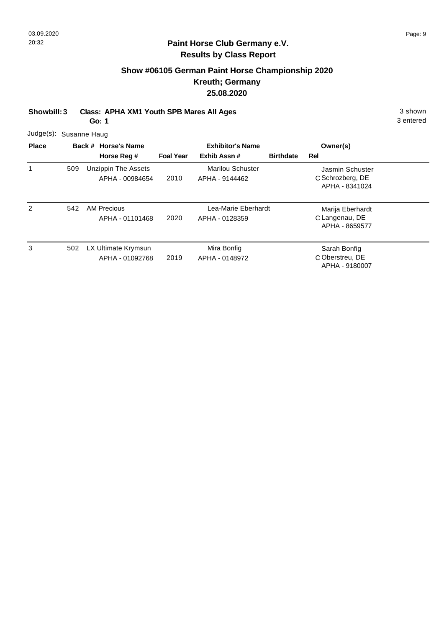# **Show #06105 German Paint Horse Championship 2020 Kreuth; Germany 25.08.2020**

| Showbill: 3            | <b>Class: APHA XM1 Youth SPB Mares All Ages</b><br>Go: 1 |        |                                               |                  |                                           |                  |                                                       |  |  |
|------------------------|----------------------------------------------------------|--------|-----------------------------------------------|------------------|-------------------------------------------|------------------|-------------------------------------------------------|--|--|
| Judge(s): Susanne Haug |                                                          |        |                                               |                  |                                           |                  |                                                       |  |  |
| <b>Place</b>           |                                                          | Back # | <b>Horse's Name</b>                           |                  | <b>Exhibitor's Name</b>                   |                  | Owner(s)                                              |  |  |
|                        |                                                          |        | Horse Reg #                                   | <b>Foal Year</b> | Exhib Assn#                               | <b>Birthdate</b> | <b>Rel</b>                                            |  |  |
|                        | 509                                                      |        | <b>Unzippin The Assets</b><br>APHA - 00984654 | 2010             | <b>Marilou Schuster</b><br>APHA - 9144462 |                  | Jasmin Schuster<br>C Schrozberg, DE<br>APHA - 8341024 |  |  |
| $\overline{2}$         | 542                                                      |        | <b>AM Precious</b><br>APHA - 01101468         | 2020             | Lea-Marie Eberhardt<br>APHA - 0128359     |                  | Marija Eberhardt<br>C Langenau, DE<br>APHA - 8659577  |  |  |
| 3                      | 502                                                      |        | LX Ultimate Krymsun<br>APHA - 01092768        | 2019             | Mira Bonfig<br>APHA - 0148972             |                  | Sarah Bonfig<br>C Oberstreu, DE<br>APHA - 9180007     |  |  |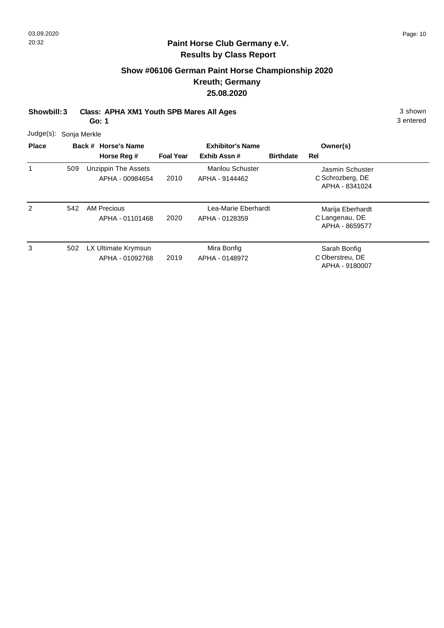## **Show #06106 German Paint Horse Championship 2020 Kreuth; Germany 25.08.2020**

**Showbill: 3 Class: APHA XM1 Youth SPB Mares All Ages** 3 shown

**Go: 1**

3 entered

Judge(s): Sonja Merkle

| <b>Place</b> |     | Back # Horse's Name                           |                  | <b>Exhibitor's Name</b>                   |                  | Owner(s)                                              |  |
|--------------|-----|-----------------------------------------------|------------------|-------------------------------------------|------------------|-------------------------------------------------------|--|
|              |     | Horse Reg #                                   | <b>Foal Year</b> | Exhib Assn#                               | <b>Birthdate</b> | <b>Rel</b>                                            |  |
|              | 509 | <b>Unzippin The Assets</b><br>APHA - 00984654 | 2010             | <b>Marilou Schuster</b><br>APHA - 9144462 |                  | Jasmin Schuster<br>C Schrozberg, DE<br>APHA - 8341024 |  |
| 2            | 542 | <b>AM Precious</b><br>APHA - 01101468         | 2020             | Lea-Marie Eberhardt<br>APHA - 0128359     |                  | Marija Eberhardt<br>C Langenau, DE<br>APHA - 8659577  |  |
| 3            | 502 | LX Ultimate Krymsun<br>APHA - 01092768        | 2019             | Mira Bonfig<br>APHA - 0148972             |                  | Sarah Bonfig<br>C Oberstreu, DE<br>APHA - 9180007     |  |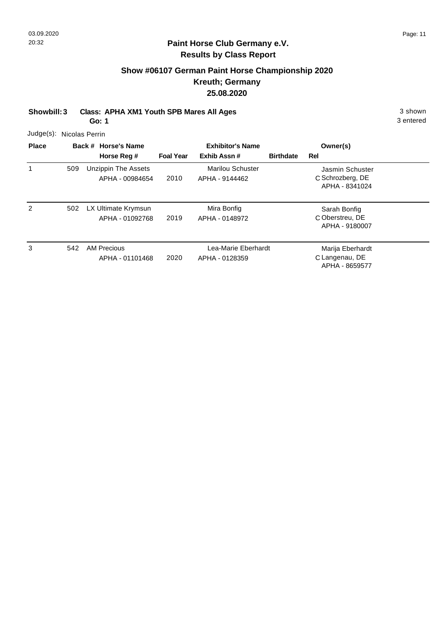# **Show #06107 German Paint Horse Championship 2020 Kreuth; Germany 25.08.2020**

| Showbill: 3  |                          | Class: APHA XM1 Youth SPB Mares All Ages |          |           |  |  |  |
|--------------|--------------------------|------------------------------------------|----------|-----------|--|--|--|
|              | Go: 1                    |                                          |          | 3 entered |  |  |  |
|              | Judge(s): Nicolas Perrin |                                          |          |           |  |  |  |
| <b>Place</b> | Back # Horse's Name      | <b>Exhibitor's Name</b>                  | Owner(s) |           |  |  |  |

|   |     |                            |                  |                         |                  | .                |  |
|---|-----|----------------------------|------------------|-------------------------|------------------|------------------|--|
|   |     | Horse Reg #                | <b>Foal Year</b> | Exhib Assn#             | <b>Birthdate</b> | Rel              |  |
|   | 509 | <b>Unzippin The Assets</b> |                  | <b>Marilou Schuster</b> |                  | Jasmin Schuster  |  |
|   |     | APHA - 00984654            | 2010             | APHA - 9144462          |                  | C Schrozberg, DE |  |
|   |     |                            |                  |                         |                  | APHA - 8341024   |  |
| 2 | 502 | LX Ultimate Krymsun        |                  | Mira Bonfig             |                  | Sarah Bonfig     |  |
|   |     | APHA - 01092768            | 2019             | APHA - 0148972          |                  | C Oberstreu, DE  |  |
|   |     |                            |                  |                         |                  | APHA - 9180007   |  |
| 3 | 542 | <b>AM Precious</b>         |                  | Lea-Marie Eberhardt     |                  | Marija Eberhardt |  |
|   |     | APHA - 01101468            | 2020             | APHA - 0128359          |                  | C Langenau, DE   |  |
|   |     |                            |                  |                         |                  | APHA - 8659577   |  |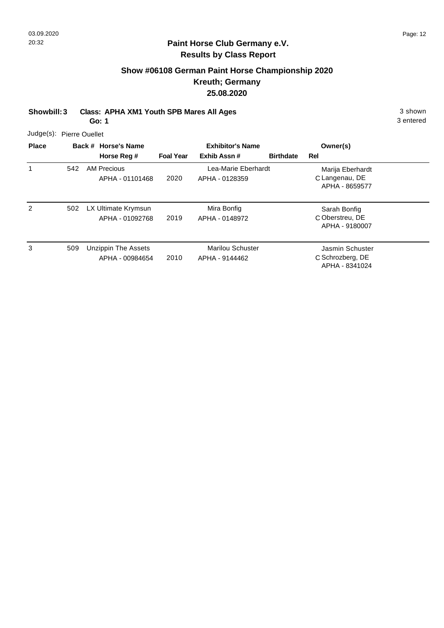## **Show #06108 German Paint Horse Championship 2020 Kreuth; Germany 25.08.2020**

**Showbill: 3 Class: APHA XM1 Youth SPB Mares All Ages** 3 shown

**Go: 1**

3 entered

Judge(s): Pierre Ouellet

| <b>Place</b> |     | Back # Horse's Name                    | <b>Exhibitor's Name</b> |                                           |                  | Owner(s)                                              |  |
|--------------|-----|----------------------------------------|-------------------------|-------------------------------------------|------------------|-------------------------------------------------------|--|
|              |     | Horse Reg #                            | <b>Foal Year</b>        | Exhib Assn#                               | <b>Birthdate</b> | Rel                                                   |  |
|              | 542 | <b>AM Precious</b><br>APHA - 01101468  | 2020                    | Lea-Marie Eberhardt<br>APHA - 0128359     |                  | Marija Eberhardt<br>C Langenau, DE<br>APHA - 8659577  |  |
| 2            | 502 | LX Ultimate Krymsun<br>APHA - 01092768 | 2019                    | Mira Bonfig<br>APHA - 0148972             |                  | Sarah Bonfig<br>C Oberstreu, DE<br>APHA - 9180007     |  |
| 3            | 509 | Unzippin The Assets<br>APHA - 00984654 | 2010                    | <b>Marilou Schuster</b><br>APHA - 9144462 |                  | Jasmin Schuster<br>C Schrozberg, DE<br>APHA - 8341024 |  |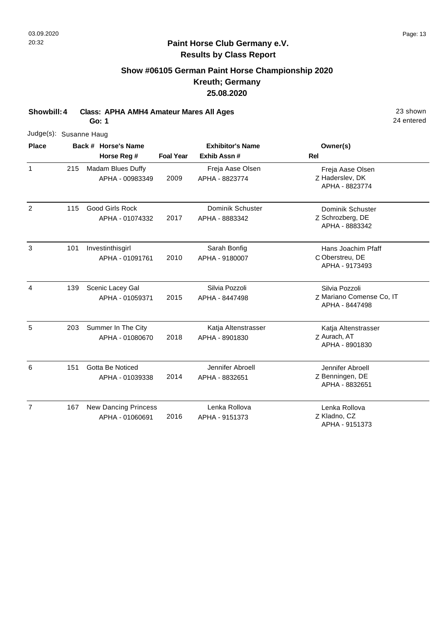## **Show #06105 German Paint Horse Championship 2020 Kreuth; Germany 25.08.2020**

**Showbill: 4 Class: APHA AMH4 Amateur Mares All Ages** 23 shown **Go: 1**

24 entered

|                |     | Judge(s): Susanne Haug |                                                |                  |                                       |                                                              |  |  |  |  |  |
|----------------|-----|------------------------|------------------------------------------------|------------------|---------------------------------------|--------------------------------------------------------------|--|--|--|--|--|
| <b>Place</b>   |     |                        | Back # Horse's Name                            |                  | <b>Exhibitor's Name</b>               | Owner(s)                                                     |  |  |  |  |  |
|                |     |                        | Horse Reg #                                    | <b>Foal Year</b> | Exhib Assn#                           | Rel                                                          |  |  |  |  |  |
| $\mathbf{1}$   | 215 |                        | Madam Blues Duffy<br>APHA - 00983349           | 2009             | Freja Aase Olsen<br>APHA - 8823774    | Freja Aase Olsen<br>Z Haderslev, DK<br>APHA - 8823774        |  |  |  |  |  |
| $\overline{2}$ | 115 |                        | <b>Good Girls Rock</b><br>APHA - 01074332      | 2017             | Dominik Schuster<br>APHA - 8883342    | Dominik Schuster<br>Z Schrozberg, DE<br>APHA - 8883342       |  |  |  |  |  |
| 3              | 101 |                        | Investinthisgirl<br>APHA - 01091761            | 2010             | Sarah Bonfig<br>APHA - 9180007        | Hans Joachim Pfaff<br>C Oberstreu, DE<br>APHA - 9173493      |  |  |  |  |  |
| 4              | 139 |                        | Scenic Lacey Gal<br>APHA - 01059371            | 2015             | Silvia Pozzoli<br>APHA - 8447498      | Silvia Pozzoli<br>Z Mariano Comense Co, IT<br>APHA - 8447498 |  |  |  |  |  |
| 5              | 203 |                        | Summer In The City<br>APHA - 01080670          | 2018             | Katja Altenstrasser<br>APHA - 8901830 | Katja Altenstrasser<br>Z Aurach, AT<br>APHA - 8901830        |  |  |  |  |  |
| 6              | 151 |                        | Gotta Be Noticed<br>APHA - 01039338            | 2014             | Jennifer Abroell<br>APHA - 8832651    | Jennifer Abroell<br>Z Benningen, DE<br>APHA - 8832651        |  |  |  |  |  |
| $\overline{7}$ | 167 |                        | <b>New Dancing Princess</b><br>APHA - 01060691 | 2016             | Lenka Rollova<br>APHA - 9151373       | Lenka Rollova<br>Z Kladno, CZ                                |  |  |  |  |  |

APHA - 9151373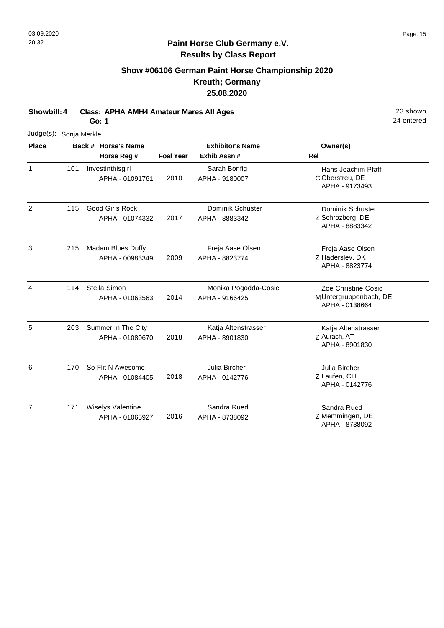## **Show #06106 German Paint Horse Championship 2020 Kreuth; Germany 25.08.2020**

**Showbill: 4 Class: APHA AMH4 Amateur Mares All Ages** 23 shown

**Go: 1**

| Judge(s):      | Sonja Merkle |                                           |                  |                                        |                                                                |
|----------------|--------------|-------------------------------------------|------------------|----------------------------------------|----------------------------------------------------------------|
| <b>Place</b>   |              | Back # Horse's Name                       |                  | <b>Exhibitor's Name</b>                | Owner(s)                                                       |
|                |              | Horse Reg #                               | <b>Foal Year</b> | Exhib Assn#                            | Rel                                                            |
| $\mathbf{1}$   | 101          | Investinthisgirl<br>APHA - 01091761       | 2010             | Sarah Bonfig<br>APHA - 9180007         | Hans Joachim Pfaff<br>C Oberstreu, DE<br>APHA - 9173493        |
| 2              | 115          | <b>Good Girls Rock</b><br>APHA - 01074332 | 2017             | Dominik Schuster<br>APHA - 8883342     | Dominik Schuster<br>Z Schrozberg, DE<br>APHA - 8883342         |
| 3              | 215          | Madam Blues Duffy<br>APHA - 00983349      | 2009             | Freja Aase Olsen<br>APHA - 8823774     | Freja Aase Olsen<br>Z Haderslev, DK<br>APHA - 8823774          |
| 4              | 114          | Stella Simon<br>APHA - 01063563           | 2014             | Monika Pogodda-Cosic<br>APHA - 9166425 | Zoe Christine Cosic<br>MUntergruppenbach, DE<br>APHA - 0138664 |
| 5              | 203          | Summer In The City<br>APHA - 01080670     | 2018             | Katja Altenstrasser<br>APHA - 8901830  | Katja Altenstrasser<br>Z Aurach, AT<br>APHA - 8901830          |
| 6              | 170          | So Flit N Awesome<br>APHA - 01084405      | 2018             | Julia Bircher<br>APHA - 0142776        | Julia Bircher<br>Z Laufen, CH<br>APHA - 0142776                |
| $\overline{7}$ | 171          | Wiselys Valentine<br>APHA - 01065927      | 2016             | Sandra Rued<br>APHA - 8738092          | Sandra Rued<br>Z Memmingen, DE<br>APHA - 8738092               |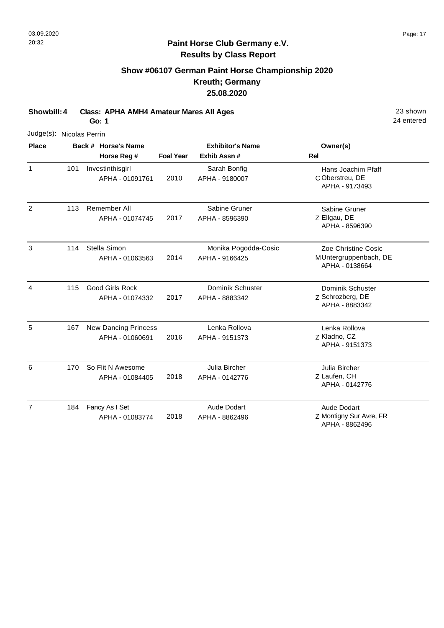# **Show #06107 German Paint Horse Championship 2020 Kreuth; Germany 25.08.2020**

**Showbill: 4 Class: APHA AMH4 Amateur Mares All Ages** 23 shown **Go: 1**

24 entered

| <b>Place</b> |     | Back # Horse's Name |                                                | <b>Exhibitor's Name</b> |                                        | Owner(s)                                                       |
|--------------|-----|---------------------|------------------------------------------------|-------------------------|----------------------------------------|----------------------------------------------------------------|
|              |     |                     | Horse Reg #                                    | <b>Foal Year</b>        | Exhib Assn#                            | Rel                                                            |
| $\mathbf{1}$ | 101 |                     | Investinthisgirl<br>APHA - 01091761            | 2010                    | Sarah Bonfig<br>APHA - 9180007         | Hans Joachim Pfaff<br>C Oberstreu, DE<br>APHA - 9173493        |
| 2            | 113 |                     | Remember All<br>APHA - 01074745                | 2017                    | Sabine Gruner<br>APHA - 8596390        | Sabine Gruner<br>Z Ellgau, DE<br>APHA - 8596390                |
| 3            | 114 |                     | Stella Simon<br>APHA - 01063563                | 2014                    | Monika Pogodda-Cosic<br>APHA - 9166425 | Zoe Christine Cosic<br>MUntergruppenbach, DE<br>APHA - 0138664 |
| 4            | 115 |                     | <b>Good Girls Rock</b><br>APHA - 01074332      | 2017                    | Dominik Schuster<br>APHA - 8883342     | <b>Dominik Schuster</b><br>Z Schrozberg, DE<br>APHA - 8883342  |
| 5            | 167 |                     | <b>New Dancing Princess</b><br>APHA - 01060691 | 2016                    | Lenka Rollova<br>APHA - 9151373        | Lenka Rollova<br>Z Kladno, CZ<br>APHA - 9151373                |
| 6            | 170 |                     | So Flit N Awesome<br>APHA - 01084405           | 2018                    | Julia Bircher<br>APHA - 0142776        | Julia Bircher<br>Z Laufen, CH<br>APHA - 0142776                |
| 7            | 184 |                     | Fancy As I Set<br>APHA - 01083774              | 2018                    | Aude Dodart<br>APHA - 8862496          | Aude Dodart<br>Z Montigny Sur Avre, FR                         |

APHA - 8862496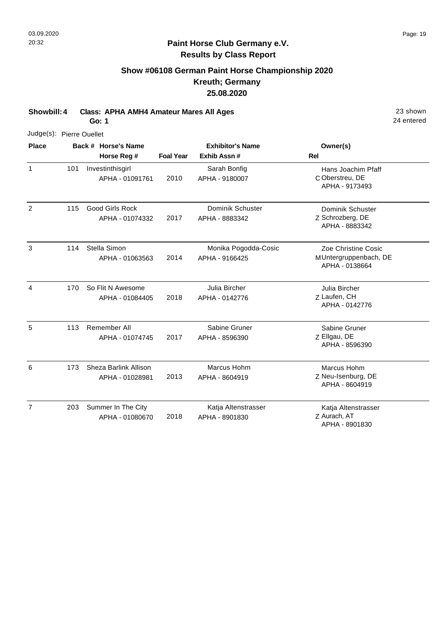## **Show #06108 German Paint Horse Championship 2020 Kreuth; Germany 25.08.2020**

**Showbill: 4 Class: APHA AMH4 Amateur Mares All Ages** 23 shown

**Go: 1**

|                | Judge(s): Pierre Ouellet |                                           |                  |                                        |                                                                |  |  |  |
|----------------|--------------------------|-------------------------------------------|------------------|----------------------------------------|----------------------------------------------------------------|--|--|--|
| <b>Place</b>   |                          | Back # Horse's Name                       |                  | <b>Exhibitor's Name</b>                | Owner(s)                                                       |  |  |  |
|                |                          | Horse Reg #                               | <b>Foal Year</b> | Exhib Assn #                           | Rel                                                            |  |  |  |
| $\mathbf{1}$   | 101                      | Investinthisgirl<br>APHA - 01091761       | 2010             | Sarah Bonfig<br>APHA - 9180007         | Hans Joachim Pfaff<br>C Oberstreu, DE<br>APHA - 9173493        |  |  |  |
| $\overline{2}$ | 115                      | <b>Good Girls Rock</b><br>APHA - 01074332 | 2017             | Dominik Schuster<br>APHA - 8883342     | Dominik Schuster<br>Z Schrozberg, DE<br>APHA - 8883342         |  |  |  |
| 3              | 114                      | Stella Simon<br>APHA - 01063563           | 2014             | Monika Pogodda-Cosic<br>APHA - 9166425 | Zoe Christine Cosic<br>MUntergruppenbach, DE<br>APHA - 0138664 |  |  |  |
| 4              | 170                      | So Flit N Awesome<br>APHA - 01084405      | 2018             | Julia Bircher<br>APHA - 0142776        | Julia Bircher<br>Z Laufen, CH<br>APHA - 0142776                |  |  |  |
| 5              | 113                      | Remember All<br>APHA - 01074745           | 2017             | Sabine Gruner<br>APHA - 8596390        | Sabine Gruner<br>Z Ellgau, DE<br>APHA - 8596390                |  |  |  |
| 6              | 173                      | Sheza Barlink Allison<br>APHA - 01028981  | 2013             | Marcus Hohm<br>APHA - 8604919          | Marcus Hohm<br>Z Neu-Isenburg, DE<br>APHA - 8604919            |  |  |  |
| $\overline{7}$ | 203                      | Summer In The City<br>APHA - 01080670     | 2018             | Katja Altenstrasser<br>APHA - 8901830  | Katja Altenstrasser<br>Z Aurach, AT<br>APHA - 8901830          |  |  |  |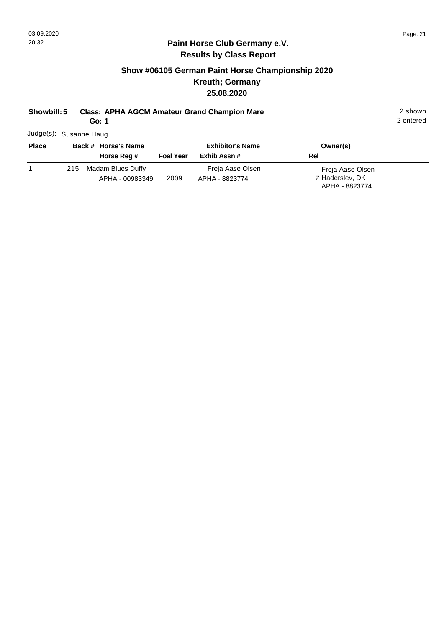## **Show #06105 German Paint Horse Championship 2020 Kreuth; Germany 25.08.2020**

# **Showbill: 5 Class: APHA AGCM Amateur Grand Champion Mare** 2 shown

**Go: 1**

Judge(s): Susanne Haug

| <b>Place</b> | Back # Horse's Name<br>Horse Reg #       | <b>Foal Year</b> | <b>Exhibitor's Name</b><br>Exhib Assn # | Owner(s)<br>Rel                                       |
|--------------|------------------------------------------|------------------|-----------------------------------------|-------------------------------------------------------|
|              | 215 Madam Blues Duffy<br>APHA - 00983349 | 2009             | Freja Aase Olsen<br>APHA - 8823774      | Freja Aase Olsen<br>Z Haderslev, DK<br>APHA - 8823774 |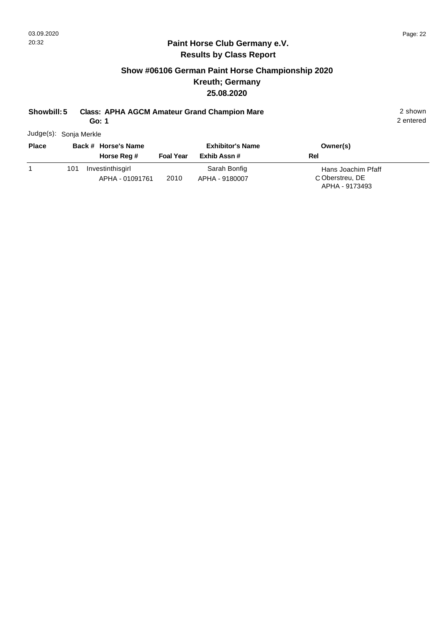## **Show #06106 German Paint Horse Championship 2020 Kreuth; Germany 25.08.2020**

# **Showbill: 5 Class: APHA AGCM Amateur Grand Champion Mare** 2 shown

**Go: 1**

2 entered

Judge(s): Sonja Merkle

| <b>Place</b> | Back # Horse's Name                        | <b>Exhibitor's Name</b> |                                | Owner(s)                                                |
|--------------|--------------------------------------------|-------------------------|--------------------------------|---------------------------------------------------------|
|              | Horse Reg #                                | <b>Foal Year</b>        | Exhib Assn #                   | Rel                                                     |
|              | Investinthisgirl<br>101<br>APHA - 01091761 | 2010                    | Sarah Bonfig<br>APHA - 9180007 | Hans Joachim Pfaff<br>C Oberstreu, DE<br>APHA - 9173493 |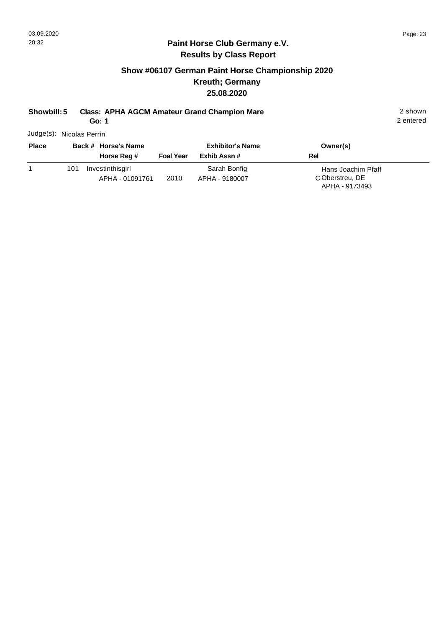## **Show #06107 German Paint Horse Championship 2020 Kreuth; Germany 25.08.2020**

# **Showbill: 5 Class: APHA AGCM Amateur Grand Champion Mare** 2 shown

**Go: 1**

2 entered

Judge(s): Nicolas Perrin

| <b>Place</b> |     | Back # Horse's Name                 |                  | <b>Exhibitor's Name</b>        | Owner(s)                                                |
|--------------|-----|-------------------------------------|------------------|--------------------------------|---------------------------------------------------------|
|              |     | Horse Reg #                         | <b>Foal Year</b> | Exhib Assn#                    | Rel                                                     |
|              | 101 | Investinthisgirl<br>APHA - 01091761 | 2010             | Sarah Bonfig<br>APHA - 9180007 | Hans Joachim Pfaff<br>C Oberstreu, DE<br>APHA - 9173493 |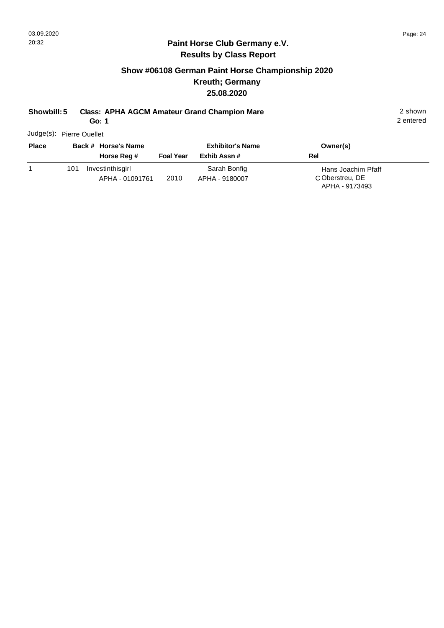## **Show #06108 German Paint Horse Championship 2020 Kreuth; Germany 25.08.2020**

# **Showbill: 5 Class: APHA AGCM Amateur Grand Champion Mare** 2 shown

**Go: 1**

2 entered

Judge(s): Pierre Ouellet

| <b>Place</b> |     | Back # Horse's Name                 | <b>Exhibitor's Name</b> |                                | Owner(s)                                                |  |
|--------------|-----|-------------------------------------|-------------------------|--------------------------------|---------------------------------------------------------|--|
|              |     | Horse Reg #                         | <b>Foal Year</b>        | Exhib Assn#                    | Rel                                                     |  |
|              | 101 | Investinthisgirl<br>APHA - 01091761 | 2010                    | Sarah Bonfig<br>APHA - 9180007 | Hans Joachim Pfaff<br>C Oberstreu, DE<br>APHA - 9173493 |  |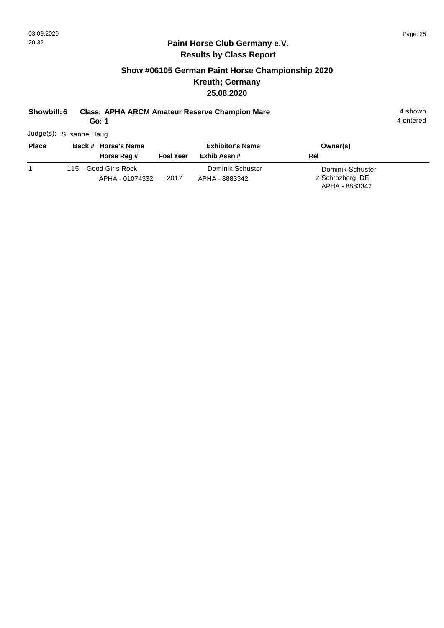## **Show #06105 German Paint Horse Championship 2020 Kreuth; Germany 25.08.2020**

## **Showbill: 6 Class: APHA ARCM Amateur Reserve Champion Mare** 4 shown

**Go: 1**

4 entered

Judge(s): Susanne Haug

| <b>Place</b> |     | Back # Horse's Name                |                  | <b>Exhibitor's Name</b>            | Owner(s)                                               |  |
|--------------|-----|------------------------------------|------------------|------------------------------------|--------------------------------------------------------|--|
|              |     | Horse Reg #                        | <b>Foal Year</b> | Exhib Assn #                       | Rel                                                    |  |
|              | 115 | Good Girls Rock<br>APHA - 01074332 | 2017             | Dominik Schuster<br>APHA - 8883342 | Dominik Schuster<br>Z Schrozberg, DE<br>APHA - 8883342 |  |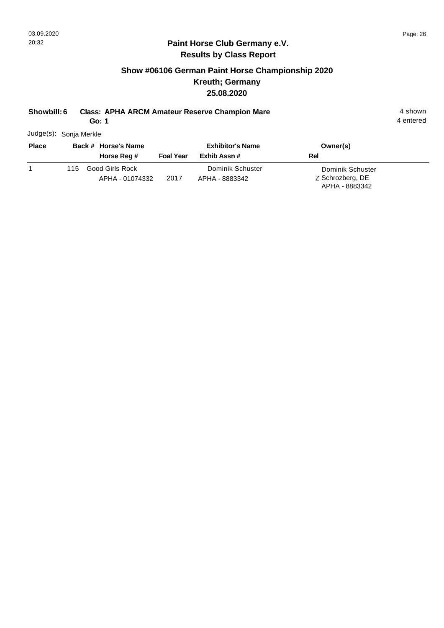## **Show #06106 German Paint Horse Championship 2020 Kreuth; Germany 25.08.2020**

## **Showbill: 6 Class: APHA ARCM Amateur Reserve Champion Mare** 4 shown

**Go: 1**

4 entered

Judge(s): Sonja Merkle

| <b>Place</b> |     | Back # Horse's Name                | <b>Exhibitor's Name</b> |                                    | Owner(s)                                               |  |
|--------------|-----|------------------------------------|-------------------------|------------------------------------|--------------------------------------------------------|--|
|              |     | Horse Reg #                        | <b>Foal Year</b>        | Exhib Assn #                       | Rel                                                    |  |
|              | 115 | Good Girls Rock<br>APHA - 01074332 | 2017                    | Dominik Schuster<br>APHA - 8883342 | Dominik Schuster<br>Z Schrozberg, DE<br>APHA - 8883342 |  |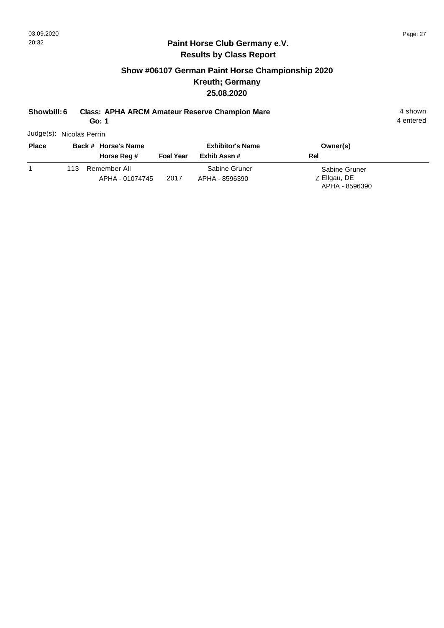## **Show #06107 German Paint Horse Championship 2020 Kreuth; Germany 25.08.2020**

## **Showbill: 6 Class: APHA ARCM Amateur Reserve Champion Mare** 4 shown

**Go: 1**

4 entered

Judge(s): Nicolas Perrin

| <b>Place</b> |     | Back # Horse's Name             | <b>Exhibitor's Name</b> |                                 | Owner(s)                                        |  |
|--------------|-----|---------------------------------|-------------------------|---------------------------------|-------------------------------------------------|--|
|              |     | Horse Reg #                     | <b>Foal Year</b>        | Exhib Assn #                    | Rel                                             |  |
|              | 113 | Remember All<br>APHA - 01074745 | 2017                    | Sabine Gruner<br>APHA - 8596390 | Sabine Gruner<br>Z Ellgau, DE<br>APHA - 8596390 |  |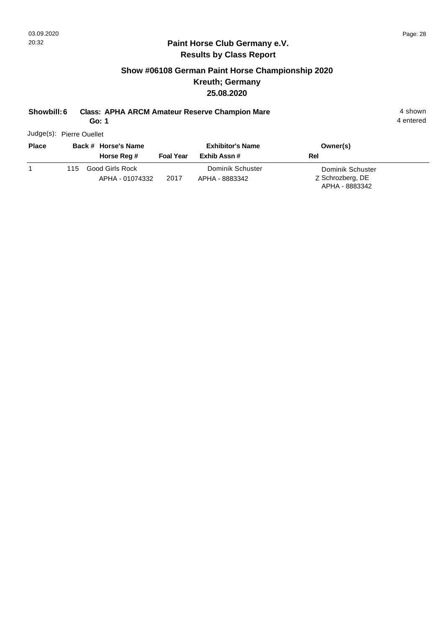## **Show #06108 German Paint Horse Championship 2020 Kreuth; Germany 25.08.2020**

## **Showbill: 6 Class: APHA ARCM Amateur Reserve Champion Mare** 4 shown

**Go: 1**

4 entered

Judge(s): Pierre Ouellet

| <b>Place</b> |     | Back # Horse's Name                | <b>Exhibitor's Name</b> |                                    | Owner(s)                                               |  |
|--------------|-----|------------------------------------|-------------------------|------------------------------------|--------------------------------------------------------|--|
|              |     | Horse Reg #                        | <b>Foal Year</b>        | Exhib Assn#                        | Rel                                                    |  |
|              | 115 | Good Girls Rock<br>APHA - 01074332 | 2017                    | Dominik Schuster<br>APHA - 8883342 | Dominik Schuster<br>Z Schrozberg, DE<br>APHA - 8883342 |  |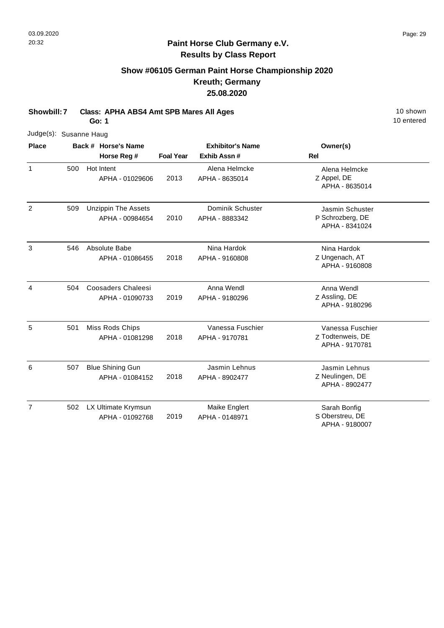# **Show #06105 German Paint Horse Championship 2020 Kreuth; Germany 25.08.2020**

**Showbill: 7 Class: APHA ABS4 Amt SPB Mares All Ages** 10 Shown 10 shown

**Go: 1**

|                | Judge(s): Susanne Haug |  |                                               |                  |                                    |                                                        |  |  |  |  |
|----------------|------------------------|--|-----------------------------------------------|------------------|------------------------------------|--------------------------------------------------------|--|--|--|--|
| <b>Place</b>   |                        |  | Back # Horse's Name                           |                  | <b>Exhibitor's Name</b>            | Owner(s)                                               |  |  |  |  |
|                |                        |  | Horse Reg #                                   | <b>Foal Year</b> | Exhib Assn#                        | <b>Rel</b>                                             |  |  |  |  |
| $\mathbf{1}$   | 500                    |  | Hot Intent<br>APHA - 01029606                 | 2013             | Alena Helmcke<br>APHA - 8635014    | Alena Helmcke<br>Z Appel, DE<br>APHA - 8635014         |  |  |  |  |
| $\overline{2}$ | 509                    |  | <b>Unzippin The Assets</b><br>APHA - 00984654 | 2010             | Dominik Schuster<br>APHA - 8883342 | Jasmin Schuster<br>P Schrozberg, DE<br>APHA - 8341024  |  |  |  |  |
| 3              | 546                    |  | Absolute Babe<br>APHA - 01086455              | 2018             | Nina Hardok<br>APHA - 9160808      | Nina Hardok<br>Z Ungenach, AT<br>APHA - 9160808        |  |  |  |  |
| 4              | 504                    |  | <b>Coosaders Chaleesi</b><br>APHA - 01090733  | 2019             | Anna Wendl<br>APHA - 9180296       | Anna Wendl<br>Z Assling, DE<br>APHA - 9180296          |  |  |  |  |
| 5              | 501                    |  | Miss Rods Chips<br>APHA - 01081298            | 2018             | Vanessa Fuschier<br>APHA - 9170781 | Vanessa Fuschier<br>Z Todtenweis, DE<br>APHA - 9170781 |  |  |  |  |
| 6              | 507                    |  | <b>Blue Shining Gun</b><br>APHA - 01084152    | 2018             | Jasmin Lehnus<br>APHA - 8902477    | Jasmin Lehnus<br>Z Neulingen, DE<br>APHA - 8902477     |  |  |  |  |
| $\overline{7}$ | 502                    |  | LX Ultimate Krymsun<br>APHA - 01092768        | 2019             | Maike Englert<br>APHA - 0148971    | Sarah Bonfig<br>S Oberstreu, DE<br>APHA - 9180007      |  |  |  |  |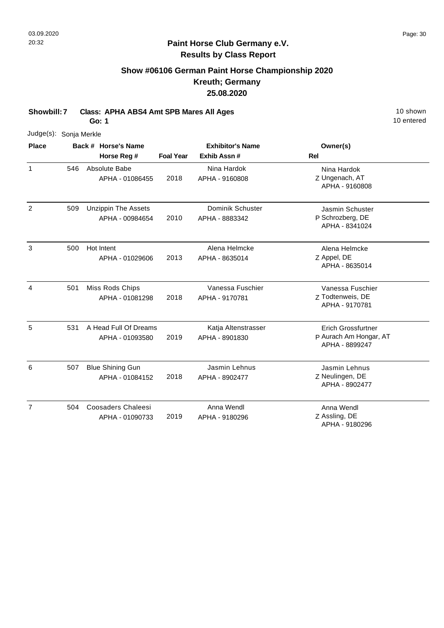## **Show #06106 German Paint Horse Championship 2020 Kreuth; Germany 25.08.2020**

**Showbill: 7 Class: APHA ABS4 Amt SPB Mares All Ages** 10 Shown 10 shown

**Go: 1**

| Judge(s):      | Sonja Merkle |                                               |                  |                                       |                                                                       |
|----------------|--------------|-----------------------------------------------|------------------|---------------------------------------|-----------------------------------------------------------------------|
| <b>Place</b>   |              | Back # Horse's Name                           |                  | <b>Exhibitor's Name</b>               | Owner(s)                                                              |
|                |              | Horse Reg #                                   | <b>Foal Year</b> | Exhib Assn#                           | <b>Rel</b>                                                            |
| $\mathbf{1}$   | 546          | Absolute Babe<br>APHA - 01086455              | 2018             | Nina Hardok<br>APHA - 9160808         | Nina Hardok<br>Z Ungenach, AT<br>APHA - 9160808                       |
| $\overline{2}$ | 509          | <b>Unzippin The Assets</b><br>APHA - 00984654 | 2010             | Dominik Schuster<br>APHA - 8883342    | Jasmin Schuster<br>P Schrozberg, DE<br>APHA - 8341024                 |
| 3              | 500          | Hot Intent<br>APHA - 01029606                 | 2013             | Alena Helmcke<br>APHA - 8635014       | Alena Helmcke<br>Z Appel, DE<br>APHA - 8635014                        |
| 4              | 501          | Miss Rods Chips<br>APHA - 01081298            | 2018             | Vanessa Fuschier<br>APHA - 9170781    | Vanessa Fuschier<br>Z Todtenweis, DE<br>APHA - 9170781                |
| 5              | 531          | A Head Full Of Dreams<br>APHA - 01093580      | 2019             | Katja Altenstrasser<br>APHA - 8901830 | <b>Erich Grossfurtner</b><br>P Aurach Am Hongar, AT<br>APHA - 8899247 |
| 6              | 507          | <b>Blue Shining Gun</b><br>APHA - 01084152    | 2018             | Jasmin Lehnus<br>APHA - 8902477       | Jasmin Lehnus<br>Z Neulingen, DE<br>APHA - 8902477                    |
| $\overline{7}$ | 504          | <b>Coosaders Chaleesi</b><br>APHA - 01090733  | 2019             | Anna Wendl<br>APHA - 9180296          | Anna Wendl<br>Z Assling, DE<br>APHA - 9180296                         |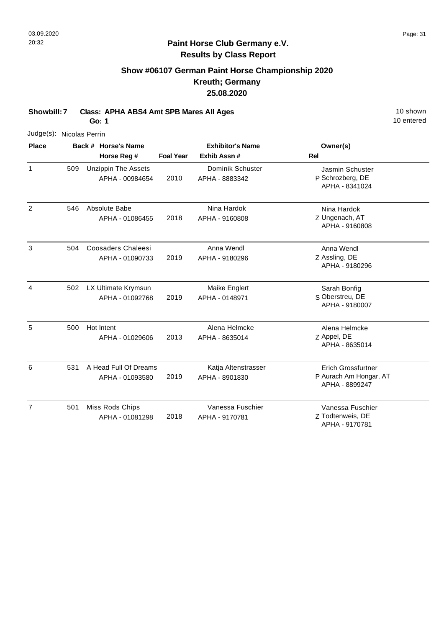## **Show #06107 German Paint Horse Championship 2020 Kreuth; Germany 25.08.2020**

**Showbill: 7 Class: APHA ABS4 Amt SPB Mares All Ages** 10 Shown 10 shown

**Go: 1**

| Judge(s): Nicolas Perrin |     |                                               |                  |                                       |                                                                |
|--------------------------|-----|-----------------------------------------------|------------------|---------------------------------------|----------------------------------------------------------------|
| <b>Place</b>             |     | Back # Horse's Name                           |                  | <b>Exhibitor's Name</b>               | Owner(s)                                                       |
|                          |     | Horse Reg #                                   | <b>Foal Year</b> | Exhib Assn#                           | <b>Rel</b>                                                     |
| $\mathbf{1}$             | 509 | <b>Unzippin The Assets</b><br>APHA - 00984654 | 2010             | Dominik Schuster<br>APHA - 8883342    | Jasmin Schuster<br>P Schrozberg, DE<br>APHA - 8341024          |
| $\overline{2}$           | 546 | Absolute Babe<br>APHA - 01086455              | 2018             | Nina Hardok<br>APHA - 9160808         | Nina Hardok<br>Z Ungenach, AT<br>APHA - 9160808                |
| 3                        | 504 | <b>Coosaders Chaleesi</b><br>APHA - 01090733  | 2019             | Anna Wendl<br>APHA - 9180296          | Anna Wendl<br>Z Assling, DE<br>APHA - 9180296                  |
| 4                        | 502 | LX Ultimate Krymsun<br>APHA - 01092768        | 2019             | Maike Englert<br>APHA - 0148971       | Sarah Bonfig<br>S Oberstreu, DE<br>APHA - 9180007              |
| 5                        | 500 | Hot Intent<br>APHA - 01029606                 | 2013             | Alena Helmcke<br>APHA - 8635014       | Alena Helmcke<br>Z Appel, DE<br>APHA - 8635014                 |
| 6                        | 531 | A Head Full Of Dreams<br>APHA - 01093580      | 2019             | Katja Altenstrasser<br>APHA - 8901830 | Erich Grossfurtner<br>P Aurach Am Hongar, AT<br>APHA - 8899247 |
| 7                        | 501 | Miss Rods Chips<br>APHA - 01081298            | 2018             | Vanessa Fuschier<br>APHA - 9170781    | Vanessa Fuschier<br>Z Todtenweis, DE<br>APHA - 9170781         |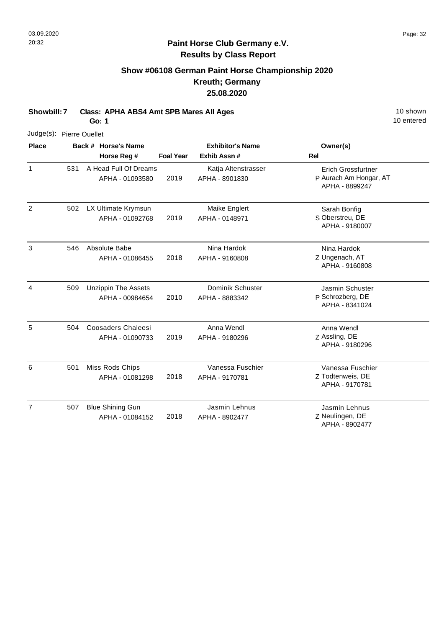## **Show #06108 German Paint Horse Championship 2020 Kreuth; Germany 25.08.2020**

**Showbill: 7 Class: APHA ABS4 Amt SPB Mares All Ages** 10 Shown 10 shown

**Go: 1**

| Judge(s): Pierre Ouellet |     |                                               |                  |                                        |                                                                       |
|--------------------------|-----|-----------------------------------------------|------------------|----------------------------------------|-----------------------------------------------------------------------|
| <b>Place</b>             |     | Back # Horse's Name<br>Horse Reg #            | <b>Foal Year</b> | <b>Exhibitor's Name</b><br>Exhib Assn# | Owner(s)<br><b>Rel</b>                                                |
| 1                        | 531 | A Head Full Of Dreams<br>APHA - 01093580      | 2019             | Katja Altenstrasser<br>APHA - 8901830  | <b>Erich Grossfurtner</b><br>P Aurach Am Hongar, AT<br>APHA - 8899247 |
| $\overline{c}$           | 502 | LX Ultimate Krymsun<br>APHA - 01092768        | 2019             | Maike Englert<br>APHA - 0148971        | Sarah Bonfig<br>S Oberstreu, DE<br>APHA - 9180007                     |
| 3                        | 546 | Absolute Babe<br>APHA - 01086455              | 2018             | Nina Hardok<br>APHA - 9160808          | Nina Hardok<br>Z Ungenach, AT<br>APHA - 9160808                       |
| 4                        | 509 | <b>Unzippin The Assets</b><br>APHA - 00984654 | 2010             | Dominik Schuster<br>APHA - 8883342     | Jasmin Schuster<br>P Schrozberg, DE<br>APHA - 8341024                 |
| 5                        | 504 | <b>Coosaders Chaleesi</b><br>APHA - 01090733  | 2019             | Anna Wendl<br>APHA - 9180296           | Anna Wendl<br>Z Assling, DE<br>APHA - 9180296                         |
| 6                        | 501 | Miss Rods Chips<br>APHA - 01081298            | 2018             | Vanessa Fuschier<br>APHA - 9170781     | Vanessa Fuschier<br>Z Todtenweis, DE<br>APHA - 9170781                |
| $\overline{7}$           | 507 | <b>Blue Shining Gun</b><br>APHA - 01084152    | 2018             | Jasmin Lehnus<br>APHA - 8902477        | Jasmin Lehnus<br>Z Neulingen, DE<br>APHA - 8902477                    |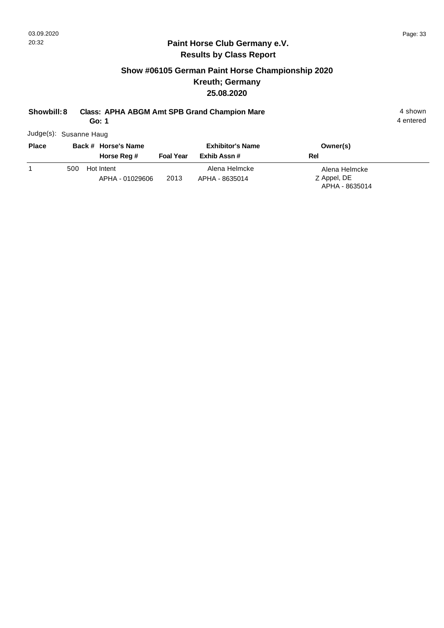## **Show #06105 German Paint Horse Championship 2020 Kreuth; Germany 25.08.2020**

## **Showbill: 8 Class: APHA ABGM Amt SPB Grand Champion Mare** 4 shown 4 shown

**Go: 1**

Judge(s): Susanne Haug

| <b>Place</b> |     | Back # Horse's Name<br>Horse Reg # | <b>Foal Year</b> | <b>Exhibitor's Name</b><br>Exhib Assn # | Owner(s)<br><b>Rel</b>                         |
|--------------|-----|------------------------------------|------------------|-----------------------------------------|------------------------------------------------|
|              | 500 | Hot Intent<br>APHA - 01029606      | 2013             | Alena Helmcke<br>APHA - 8635014         | Alena Helmcke<br>Z Appel, DE<br>APHA - 8635014 |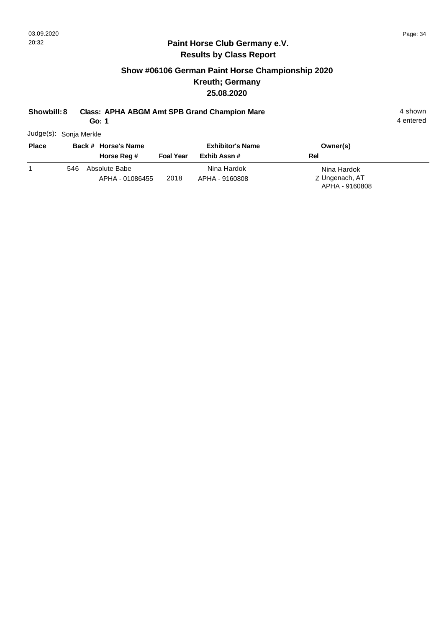## **Show #06106 German Paint Horse Championship 2020 Kreuth; Germany 25.08.2020**

## **Showbill: 8 Class: APHA ABGM Amt SPB Grand Champion Mare** 4 shown 4 shown

**Go: 1**

Judge(s): Sonja Merkle

| <b>Place</b> |     | Back # Horse's Name<br>Horse Reg # | <b>Foal Year</b> | <b>Exhibitor's Name</b><br>Exhib Assn # | Owner(s)<br><b>Rel</b>                          |
|--------------|-----|------------------------------------|------------------|-----------------------------------------|-------------------------------------------------|
|              | 546 | Absolute Babe<br>APHA - 01086455   | 2018             | Nina Hardok<br>APHA - 9160808           | Nina Hardok<br>Z Ungenach, AT<br>APHA - 9160808 |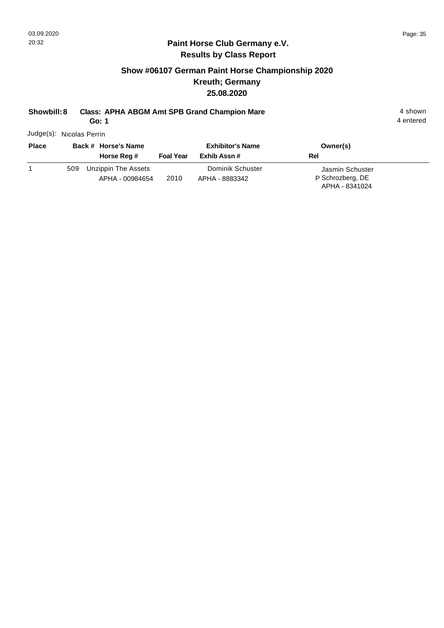## **Show #06107 German Paint Horse Championship 2020 Kreuth; Germany 25.08.2020**

# **Showbill: 8 Class: APHA ABGM Amt SPB Grand Champion Mare** 4 shown 4 shown

**Go: 1**

Judge(s): Nicolas Perrin

| <b>Place</b> |     | Back # Horse's Name<br>Horse Reg #     | <b>Foal Year</b> | <b>Exhibitor's Name</b><br>Exhib Assn # | Owner(s)<br>Rel                                       |  |
|--------------|-----|----------------------------------------|------------------|-----------------------------------------|-------------------------------------------------------|--|
|              | 509 | Unzippin The Assets<br>APHA - 00984654 | 2010             | Dominik Schuster<br>APHA - 8883342      | Jasmin Schuster<br>P Schrozberg, DE<br>APHA - 8341024 |  |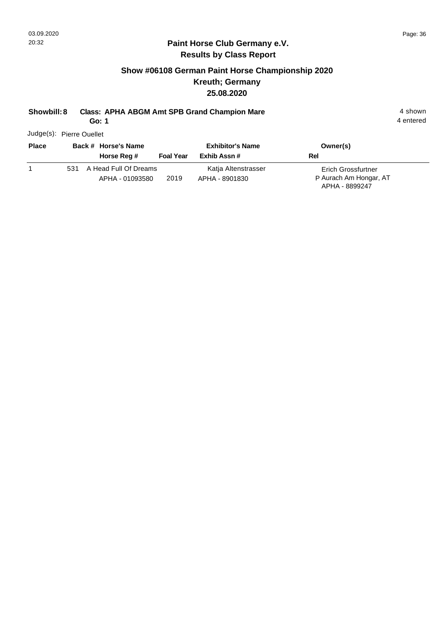4 entered

#### **Paint Horse Club Germany e.V. Results by Class Report**

## **Show #06108 German Paint Horse Championship 2020 Kreuth; Germany 25.08.2020**

### **Showbill: 8 Class: APHA ABGM Amt SPB Grand Champion Mare** 4 shown 4 shown

**Go: 1**

Judge(s): Pierre Ouellet

| <b>Place</b> |     | Back # Horse's Name   |                  | <b>Exhibitor's Name</b> | Owner(s)                  |
|--------------|-----|-----------------------|------------------|-------------------------|---------------------------|
|              |     | Horse Reg #           | <b>Foal Year</b> | Exhib Assn #            | Rel                       |
|              | 531 | A Head Full Of Dreams |                  | Katja Altenstrasser     | <b>Erich Grossfurtner</b> |
|              |     | APHA - 01093580       | 2019             | APHA - 8901830          | P Aurach Am Hongar, AT    |
|              |     |                       |                  |                         | APHA - 8899247            |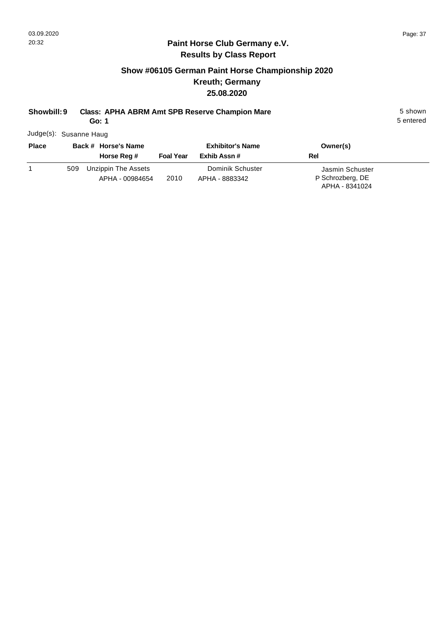## **Show #06105 German Paint Horse Championship 2020 Kreuth; Germany 25.08.2020**

## **Showbill: 9 Class: APHA ABRM Amt SPB Reserve Champion Mare** 5 Shown 5 shown

**Go: 1**

5 entered

Judge(s): Susanne Haug

| <b>Place</b> |     | Back # Horse's Name                    | <b>Exhibitor's Name</b> |                                    | Owner(s)                                              |  |
|--------------|-----|----------------------------------------|-------------------------|------------------------------------|-------------------------------------------------------|--|
|              |     | Horse Reg #                            | <b>Foal Year</b>        | Exhib Assn #                       | Rel                                                   |  |
|              | 509 | Unzippin The Assets<br>APHA - 00984654 | 2010                    | Dominik Schuster<br>APHA - 8883342 | Jasmin Schuster<br>P Schrozberg, DE<br>APHA - 8341024 |  |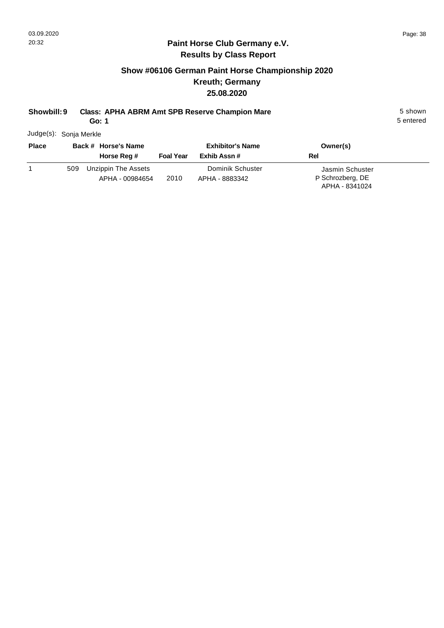## **Show #06106 German Paint Horse Championship 2020 Kreuth; Germany 25.08.2020**

#### **Showbill: 9 Class: APHA ABRM Amt SPB Reserve Champion Mare** 5 Shown 5 shown

**Go: 1**

5 entered

Judge(s): Sonja Merkle

| <b>Place</b> |     | Back # Horse's Name                    | <b>Exhibitor's Name</b> |                                    | Owner(s)                                              |  |
|--------------|-----|----------------------------------------|-------------------------|------------------------------------|-------------------------------------------------------|--|
|              |     | Horse Reg #                            | <b>Foal Year</b>        | Exhib Assn #                       | Rel                                                   |  |
|              | 509 | Unzippin The Assets<br>APHA - 00984654 | 2010                    | Dominik Schuster<br>APHA - 8883342 | Jasmin Schuster<br>P Schrozberg, DE<br>APHA - 8341024 |  |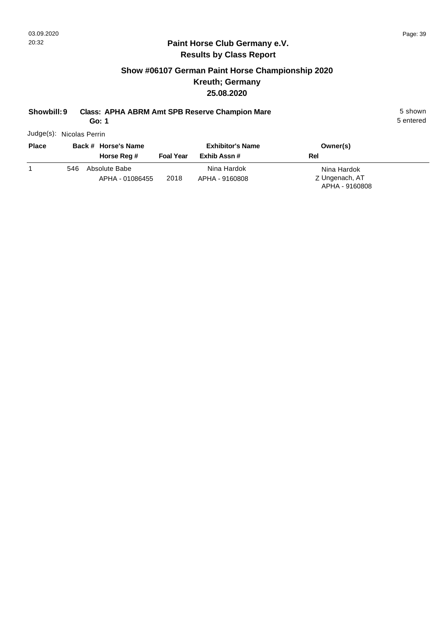## **Show #06107 German Paint Horse Championship 2020 Kreuth; Germany 25.08.2020**

## **Showbill: 9 Class: APHA ABRM Amt SPB Reserve Champion Mare** 5 Shown 5 shown

**Go: 1**

5 entered

Judge(s): Nicolas Perrin

| <b>Place</b> | Back # Horse's Name                     |                  | <b>Exhibitor's Name</b>       | Owner(s)                                        |
|--------------|-----------------------------------------|------------------|-------------------------------|-------------------------------------------------|
|              | Horse Reg #                             | <b>Foal Year</b> | Exhib Assn#                   | Rel                                             |
|              | Absolute Babe<br>546<br>APHA - 01086455 | 2018             | Nina Hardok<br>APHA - 9160808 | Nina Hardok<br>Z Ungenach, AT<br>APHA - 9160808 |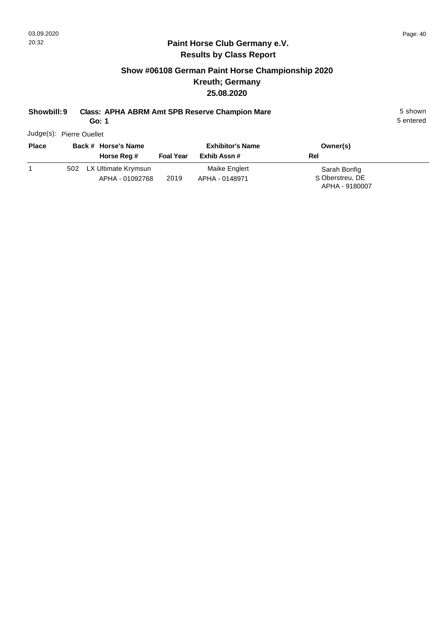## **Show #06108 German Paint Horse Championship 2020 Kreuth; Germany 25.08.2020**

#### **Showbill: 9 Class: APHA ABRM Amt SPB Reserve Champion Mare** 5 Shown 5 shown

**Go: 1**

5 entered

Judge(s): Pierre Ouellet

| <b>Place</b> | Back # Horse's Name        |                  | <b>Exhibitor's Name</b> | Owner(s)        |
|--------------|----------------------------|------------------|-------------------------|-----------------|
|              | Horse Reg #                | <b>Foal Year</b> | Exhib Assn #            | Rel             |
|              | LX Ultimate Krymsun<br>502 |                  | Maike Englert           | Sarah Bonfig    |
|              | APHA - 01092768            | 2019             | APHA - 0148971          | S Oberstreu, DE |
|              |                            |                  |                         | APHA - 9180007  |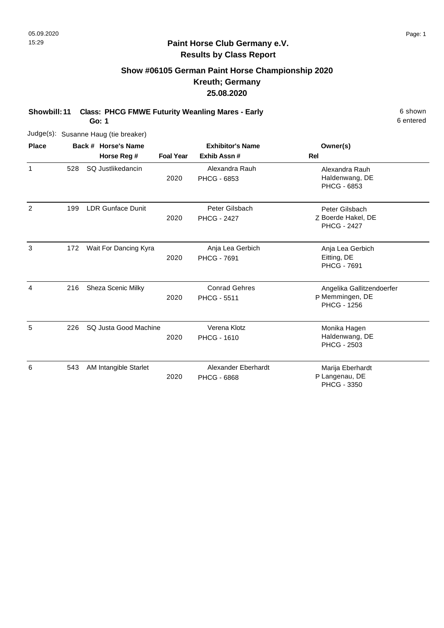# **Show #06105 German Paint Horse Championship 2020 Kreuth; Germany 25.08.2020**

**Showbill: 11 Class: PHCG FMWE Futurity Weanling Mares - Early 6 Shown 6 shown** 

**Go: 1**

|              |     | Judge(s): Susanne Haug (tie breaker) |                  |                                            |                                                                    |
|--------------|-----|--------------------------------------|------------------|--------------------------------------------|--------------------------------------------------------------------|
| <b>Place</b> |     | Back # Horse's Name                  |                  | <b>Exhibitor's Name</b>                    | Owner(s)                                                           |
|              |     | Horse Reg #                          | <b>Foal Year</b> | Exhib Assn #                               | Rel                                                                |
| $\mathbf{1}$ | 528 | SQ Justlikedancin                    | 2020             | Alexandra Rauh<br><b>PHCG - 6853</b>       | Alexandra Rauh<br>Haldenwang, DE<br>PHCG - 6853                    |
| 2            | 199 | <b>LDR Gunface Dunit</b>             | 2020             | Peter Gilsbach<br><b>PHCG - 2427</b>       | Peter Gilsbach<br>Z Boerde Hakel, DE<br><b>PHCG - 2427</b>         |
| 3            | 172 | Wait For Dancing Kyra                | 2020             | Anja Lea Gerbich<br><b>PHCG - 7691</b>     | Anja Lea Gerbich<br>Eitting, DE<br><b>PHCG - 7691</b>              |
| 4            | 216 | Sheza Scenic Milky                   | 2020             | <b>Conrad Gehres</b><br><b>PHCG - 5511</b> | Angelika Gallitzendoerfer<br>P Memmingen, DE<br><b>PHCG - 1256</b> |
| 5            | 226 | SQ Justa Good Machine                | 2020             | Verena Klotz<br><b>PHCG - 1610</b>         | Monika Hagen<br>Haldenwang, DE<br><b>PHCG - 2503</b>               |
| 6            | 543 | AM Intangible Starlet                | 2020             | Alexander Eberhardt<br>PHCG - 6868         | Marija Eberhardt<br>P Langenau, DE<br>PHCG - 3350                  |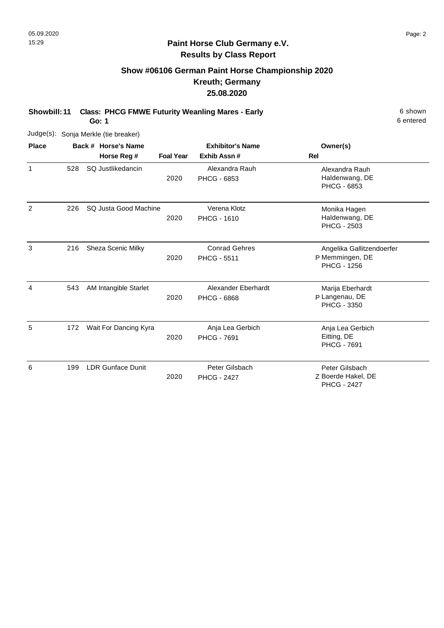# **Show #06106 German Paint Horse Championship 2020 Kreuth; Germany 25.08.2020**

**Showbill: 11 Class: PHCG FMWE Futurity Weanling Mares - Early 6 Shown 6 shown** 

**Go: 1**

| Judge(s):    |     | Sonja Merkle (tie breaker) |                  |                                            |                                                                    |
|--------------|-----|----------------------------|------------------|--------------------------------------------|--------------------------------------------------------------------|
| <b>Place</b> |     | Back # Horse's Name        |                  | <b>Exhibitor's Name</b>                    | Owner(s)                                                           |
|              |     | Horse Reg #                | <b>Foal Year</b> | Exhib Assn#                                | Rel                                                                |
| 1            | 528 | SQ Justlikedancin          | 2020             | Alexandra Rauh<br>PHCG - 6853              | Alexandra Rauh<br>Haldenwang, DE<br>PHCG - 6853                    |
| 2            | 226 | SQ Justa Good Machine      | 2020             | Verena Klotz<br><b>PHCG - 1610</b>         | Monika Hagen<br>Haldenwang, DE<br>PHCG - 2503                      |
| 3            | 216 | Sheza Scenic Milky         | 2020             | <b>Conrad Gehres</b><br><b>PHCG - 5511</b> | Angelika Gallitzendoerfer<br>P Memmingen, DE<br><b>PHCG - 1256</b> |
| 4            | 543 | AM Intangible Starlet      | 2020             | Alexander Eberhardt<br><b>PHCG - 6868</b>  | Marija Eberhardt<br>P Langenau, DE<br><b>PHCG - 3350</b>           |
| 5            | 172 | Wait For Dancing Kyra      | 2020             | Anja Lea Gerbich<br><b>PHCG - 7691</b>     | Anja Lea Gerbich<br>Eitting, DE<br><b>PHCG - 7691</b>              |
| 6            | 199 | <b>LDR Gunface Dunit</b>   | 2020             | Peter Gilsbach<br><b>PHCG - 2427</b>       | Peter Gilsbach<br>Z Boerde Hakel, DE<br><b>PHCG - 2427</b>         |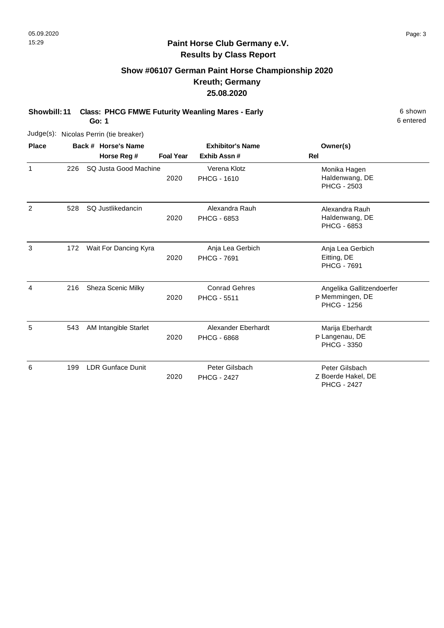# **Show #06107 German Paint Horse Championship 2020 Kreuth; Germany 25.08.2020**

**Showbill: 11 Class: PHCG FMWE Futurity Weanling Mares - Early 6 Shown 6 shown** 

**Go: 1**

| Judge(s):     |     | Nicolas Perrin (tie breaker)       |                  |                                            |                                                                    |
|---------------|-----|------------------------------------|------------------|--------------------------------------------|--------------------------------------------------------------------|
| <b>Place</b>  |     | Back # Horse's Name<br>Horse Reg # | <b>Foal Year</b> | <b>Exhibitor's Name</b><br>Exhib Assn#     | Owner(s)<br>Rel                                                    |
| 1             | 226 | SQ Justa Good Machine              | 2020             | Verena Klotz<br><b>PHCG - 1610</b>         | Monika Hagen<br>Haldenwang, DE<br>PHCG - 2503                      |
| $\mathcal{P}$ | 528 | SQ Justlikedancin                  | 2020             | Alexandra Rauh<br><b>PHCG - 6853</b>       | Alexandra Rauh<br>Haldenwang, DE<br><b>PHCG - 6853</b>             |
| 3             | 172 | Wait For Dancing Kyra              | 2020             | Anja Lea Gerbich<br>PHCG - 7691            | Anja Lea Gerbich<br>Eitting, DE<br>PHCG - 7691                     |
| 4             | 216 | Sheza Scenic Milky                 | 2020             | <b>Conrad Gehres</b><br><b>PHCG - 5511</b> | Angelika Gallitzendoerfer<br>P Memmingen, DE<br><b>PHCG - 1256</b> |
| 5             | 543 | AM Intangible Starlet              | 2020             | Alexander Eberhardt<br><b>PHCG - 6868</b>  | Marija Eberhardt<br>P Langenau, DE<br><b>PHCG - 3350</b>           |
| 6             | 199 | <b>LDR Gunface Dunit</b>           | 2020             | Peter Gilsbach<br><b>PHCG - 2427</b>       | Peter Gilsbach<br>Z Boerde Hakel, DE<br><b>PHCG - 2427</b>         |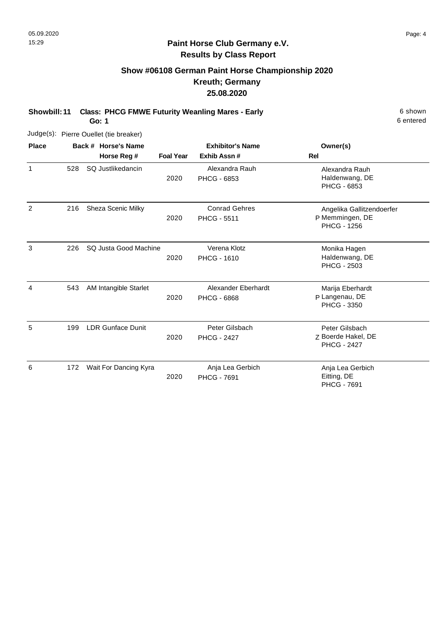# **Show #06108 German Paint Horse Championship 2020 Kreuth; Germany 25.08.2020**

**Showbill: 11 Class: PHCG FMWE Futurity Weanling Mares - Early 6 Shown 6 shown** 

**Go: 1**

|              |     | Judge(s): Pierre Ouellet (tie breaker) |                  |                                            |                                                                    |
|--------------|-----|----------------------------------------|------------------|--------------------------------------------|--------------------------------------------------------------------|
| <b>Place</b> |     | Back # Horse's Name                    |                  | <b>Exhibitor's Name</b>                    | Owner(s)                                                           |
|              |     | Horse Reg #                            | <b>Foal Year</b> | Exhib Assn#                                | Rel                                                                |
| $\mathbf{1}$ | 528 | SQ Justlikedancin                      | 2020             | Alexandra Rauh<br><b>PHCG - 6853</b>       | Alexandra Rauh<br>Haldenwang, DE<br>PHCG - 6853                    |
| 2            | 216 | Sheza Scenic Milky                     | 2020             | <b>Conrad Gehres</b><br><b>PHCG - 5511</b> | Angelika Gallitzendoerfer<br>P Memmingen, DE<br><b>PHCG - 1256</b> |
| 3            | 226 | SQ Justa Good Machine                  | 2020             | Verena Klotz<br><b>PHCG - 1610</b>         | Monika Hagen<br>Haldenwang, DE<br><b>PHCG - 2503</b>               |
| 4            | 543 | AM Intangible Starlet                  | 2020             | Alexander Eberhardt<br><b>PHCG - 6868</b>  | Marija Eberhardt<br>P Langenau, DE<br>PHCG - 3350                  |
| 5            | 199 | <b>LDR Gunface Dunit</b>               | 2020             | Peter Gilsbach<br><b>PHCG - 2427</b>       | Peter Gilsbach<br>Z Boerde Hakel, DE<br><b>PHCG - 2427</b>         |
| 6            | 172 | Wait For Dancing Kyra                  | 2020             | Anja Lea Gerbich<br><b>PHCG - 7691</b>     | Anja Lea Gerbich<br>Eitting, DE<br><b>PHCG - 7691</b>              |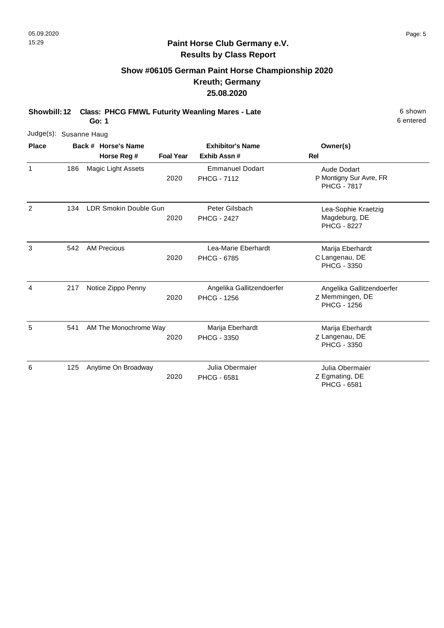# **Show #06105 German Paint Horse Championship 2020 Kreuth; Germany 25.08.2020**

**Showbill: 12 Class: PHCG FMWL Futurity Weanling Mares - Late** 6 Shown 6 shown

**Go: 1**

| Judge(s): Susanne Haug |     |                       |                  |                                                 |                                                                    |
|------------------------|-----|-----------------------|------------------|-------------------------------------------------|--------------------------------------------------------------------|
| <b>Place</b>           |     | Back # Horse's Name   |                  | <b>Exhibitor's Name</b>                         | Owner(s)                                                           |
|                        |     | Horse Reg #           | <b>Foal Year</b> | Exhib Assn#                                     | Rel                                                                |
| 1                      | 186 | Magic Light Assets    | 2020             | <b>Emmanuel Dodart</b><br><b>PHCG - 7112</b>    | Aude Dodart<br>P Montigny Sur Avre, FR<br><b>PHCG - 7817</b>       |
| 2                      | 134 | LDR Smokin Double Gun | 2020             | Peter Gilsbach<br><b>PHCG - 2427</b>            | Lea-Sophie Kraetzig<br>Magdeburg, DE<br><b>PHCG - 8227</b>         |
| 3                      | 542 | <b>AM Precious</b>    | 2020             | Lea-Marie Eberhardt<br><b>PHCG - 6785</b>       | Marija Eberhardt<br>C Langenau, DE<br>PHCG - 3350                  |
| 4                      | 217 | Notice Zippo Penny    | 2020             | Angelika Gallitzendoerfer<br><b>PHCG - 1256</b> | Angelika Gallitzendoerfer<br>Z Memmingen, DE<br><b>PHCG - 1256</b> |
| 5                      | 541 | AM The Monochrome Way | 2020             | Marija Eberhardt<br><b>PHCG - 3350</b>          | Marija Eberhardt<br>Z Langenau, DE<br><b>PHCG - 3350</b>           |
| 6                      | 125 | Anytime On Broadway   | 2020             | Julia Obermaier<br><b>PHCG - 6581</b>           | Julia Obermaier<br>Z Egmating, DE<br><b>PHCG - 6581</b>            |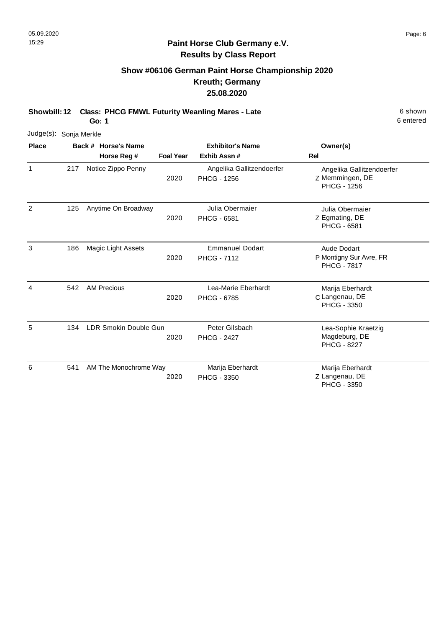# **Show #06106 German Paint Horse Championship 2020 Kreuth; Germany 25.08.2020**

**Showbill: 12 Class: PHCG FMWL Futurity Weanling Mares - Late** 6 Shown 6 shown

**Go: 1**

| Judge(s): Sonja Merkle |     |                       |                  |                                                 |                                                                    |
|------------------------|-----|-----------------------|------------------|-------------------------------------------------|--------------------------------------------------------------------|
| <b>Place</b>           |     | Back # Horse's Name   |                  | <b>Exhibitor's Name</b>                         | Owner(s)                                                           |
|                        |     | Horse Reg #           | <b>Foal Year</b> | Exhib Assn#                                     | Rel                                                                |
| 1                      | 217 | Notice Zippo Penny    | 2020             | Angelika Gallitzendoerfer<br><b>PHCG - 1256</b> | Angelika Gallitzendoerfer<br>Z Memmingen, DE<br><b>PHCG - 1256</b> |
| 2                      | 125 | Anytime On Broadway   | 2020             | Julia Obermaier<br>PHCG - 6581                  | Julia Obermaier<br>Z Egmating, DE<br><b>PHCG - 6581</b>            |
| 3                      | 186 | Magic Light Assets    | 2020             | <b>Emmanuel Dodart</b><br><b>PHCG - 7112</b>    | Aude Dodart<br>P Montigny Sur Avre, FR<br><b>PHCG - 7817</b>       |
| 4                      | 542 | <b>AM Precious</b>    | 2020             | Lea-Marie Eberhardt<br><b>PHCG - 6785</b>       | Marija Eberhardt<br>C Langenau, DE<br>PHCG - 3350                  |
| 5                      | 134 | LDR Smokin Double Gun | 2020             | Peter Gilsbach<br><b>PHCG - 2427</b>            | Lea-Sophie Kraetzig<br>Magdeburg, DE<br><b>PHCG - 8227</b>         |
| 6                      | 541 | AM The Monochrome Way | 2020             | Marija Eberhardt<br><b>PHCG - 3350</b>          | Marija Eberhardt<br>Z Langenau, DE<br>PHCG - 3350                  |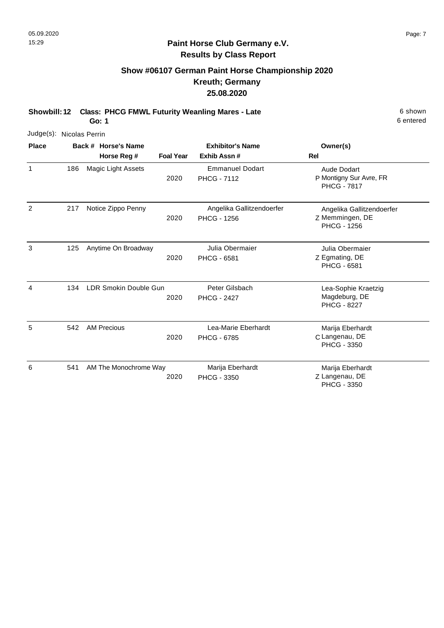# **Show #06107 German Paint Horse Championship 2020 Kreuth; Germany 25.08.2020**

**Showbill: 12 Class: PHCG FMWL Futurity Weanling Mares - Late** 6 Shown 6 shown

**Go: 1**

| Judge(s): Nicolas Perrin |     |                                    |                  |                                                 |                                                                     |
|--------------------------|-----|------------------------------------|------------------|-------------------------------------------------|---------------------------------------------------------------------|
| <b>Place</b>             |     | Back # Horse's Name<br>Horse Reg # | <b>Foal Year</b> | <b>Exhibitor's Name</b><br>Exhib Assn#          | Owner(s)<br><b>Rel</b>                                              |
| 1                        | 186 | Magic Light Assets                 | 2020             | <b>Emmanuel Dodart</b><br><b>PHCG - 7112</b>    | <b>Aude Dodart</b><br>P Montigny Sur Avre, FR<br><b>PHCG - 7817</b> |
| $\overline{2}$           | 217 | Notice Zippo Penny                 | 2020             | Angelika Gallitzendoerfer<br><b>PHCG - 1256</b> | Angelika Gallitzendoerfer<br>Z Memmingen, DE<br><b>PHCG - 1256</b>  |
| 3                        | 125 | Anytime On Broadway                | 2020             | Julia Obermaier<br><b>PHCG - 6581</b>           | Julia Obermaier<br>Z Egmating, DE<br><b>PHCG - 6581</b>             |
| 4                        | 134 | LDR Smokin Double Gun              | 2020             | Peter Gilsbach<br><b>PHCG - 2427</b>            | Lea-Sophie Kraetzig<br>Magdeburg, DE<br><b>PHCG - 8227</b>          |
| 5                        | 542 | <b>AM Precious</b>                 | 2020             | Lea-Marie Eberhardt<br><b>PHCG - 6785</b>       | Marija Eberhardt<br>C Langenau, DE<br><b>PHCG - 3350</b>            |
| 6                        | 541 | AM The Monochrome Way              | 2020             | Marija Eberhardt<br><b>PHCG - 3350</b>          | Marija Eberhardt<br>Z Langenau, DE<br><b>PHCG - 3350</b>            |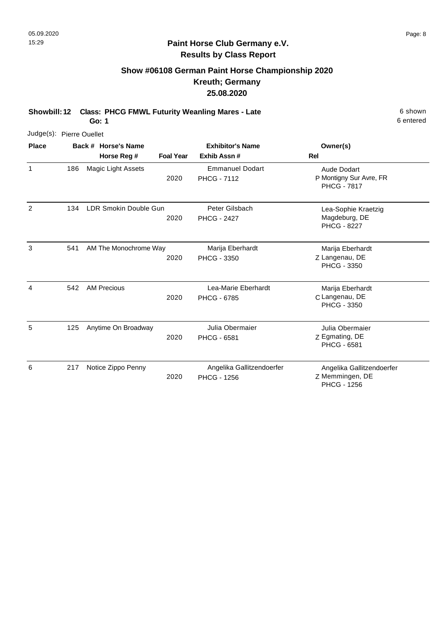# **Show #06108 German Paint Horse Championship 2020 Kreuth; Germany 25.08.2020**

**Showbill: 12 Class: PHCG FMWL Futurity Weanling Mares - Late** 6 Shown 6 shown

**Go: 1**

| Judge(s): Pierre Ouellet |     |                       |                  |                                              |                                                                    |
|--------------------------|-----|-----------------------|------------------|----------------------------------------------|--------------------------------------------------------------------|
| <b>Place</b>             |     | Back # Horse's Name   |                  | <b>Exhibitor's Name</b>                      | Owner(s)                                                           |
|                          |     | Horse Reg #           | <b>Foal Year</b> | Exhib Assn#                                  | <b>Rel</b>                                                         |
| 1                        | 186 | Magic Light Assets    | 2020             | <b>Emmanuel Dodart</b><br><b>PHCG - 7112</b> | Aude Dodart<br>P Montigny Sur Avre, FR<br><b>PHCG - 7817</b>       |
| 2                        | 134 | LDR Smokin Double Gun | 2020             | Peter Gilsbach<br><b>PHCG - 2427</b>         | Lea-Sophie Kraetzig<br>Magdeburg, DE<br><b>PHCG - 8227</b>         |
| 3                        | 541 | AM The Monochrome Way | 2020             | Marija Eberhardt<br><b>PHCG - 3350</b>       | Marija Eberhardt<br>Z Langenau, DE<br>PHCG - 3350                  |
| 4                        | 542 | <b>AM Precious</b>    | 2020             | Lea-Marie Eberhardt<br><b>PHCG - 6785</b>    | Marija Eberhardt<br>C Langenau, DE<br>PHCG - 3350                  |
| 5                        | 125 | Anytime On Broadway   | 2020             | Julia Obermaier<br><b>PHCG - 6581</b>        | Julia Obermaier<br>Z Egmating, DE<br>PHCG - 6581                   |
| 6                        | 217 | Notice Zippo Penny    | 2020             | Angelika Gallitzendoerfer<br>PHCG - 1256     | Angelika Gallitzendoerfer<br>Z Memmingen, DE<br><b>PHCG - 1256</b> |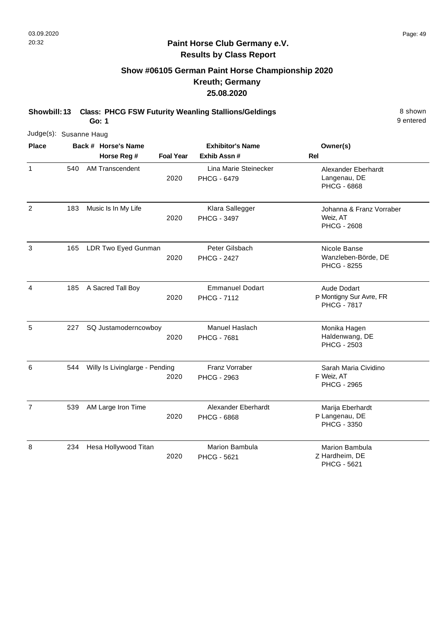# **Show #06105 German Paint Horse Championship 2020 Kreuth; Germany 25.08.2020**

**Showbill: 13 Class: PHCG FSW Futurity Weanling Stallions/Geldings** 8 Shown

**Go: 1**

| Judge(s): Susanne Haug |     |                                |                  |                                              |                                                               |
|------------------------|-----|--------------------------------|------------------|----------------------------------------------|---------------------------------------------------------------|
| <b>Place</b>           |     | Back # Horse's Name            |                  | <b>Exhibitor's Name</b>                      | Owner(s)                                                      |
|                        |     | Horse Reg #                    | <b>Foal Year</b> | Exhib Assn #                                 | Rel                                                           |
| $\mathbf{1}$           | 540 | <b>AM Transcendent</b>         | 2020             | Lina Marie Steinecker<br><b>PHCG - 6479</b>  | Alexander Eberhardt<br>Langenau, DE<br><b>PHCG - 6868</b>     |
| $\overline{2}$         | 183 | Music Is In My Life            | 2020             | Klara Sallegger<br><b>PHCG - 3497</b>        | Johanna & Franz Vorraber<br>Weiz, AT<br><b>PHCG - 2608</b>    |
| $\mathbf{3}$           | 165 | LDR Two Eyed Gunman            | 2020             | Peter Gilsbach<br><b>PHCG - 2427</b>         | Nicole Banse<br>Wanzleben-Börde, DE<br>PHCG - 8255            |
| $\overline{4}$         | 185 | A Sacred Tall Boy              | 2020             | <b>Emmanuel Dodart</b><br><b>PHCG - 7112</b> | Aude Dodart<br>P Montigny Sur Avre, FR<br><b>PHCG - 7817</b>  |
| 5                      | 227 | SQ Justamoderncowboy           | 2020             | Manuel Haslach<br><b>PHCG - 7681</b>         | Monika Hagen<br>Haldenwang, DE<br><b>PHCG - 2503</b>          |
| 6                      | 544 | Willy Is Livinglarge - Pending | 2020             | Franz Vorraber<br><b>PHCG - 2963</b>         | Sarah Maria Cividino<br>F Weiz, AT<br><b>PHCG - 2965</b>      |
| $\overline{7}$         | 539 | AM Large Iron Time             | 2020             | Alexander Eberhardt<br>PHCG - 6868           | Marija Eberhardt<br>P Langenau, DE<br>PHCG - 3350             |
| 8                      | 234 | Hesa Hollywood Titan           | 2020             | <b>Marion Bambula</b><br>PHCG - 5621         | <b>Marion Bambula</b><br>Z Hardheim, DE<br><b>PHCG - 5621</b> |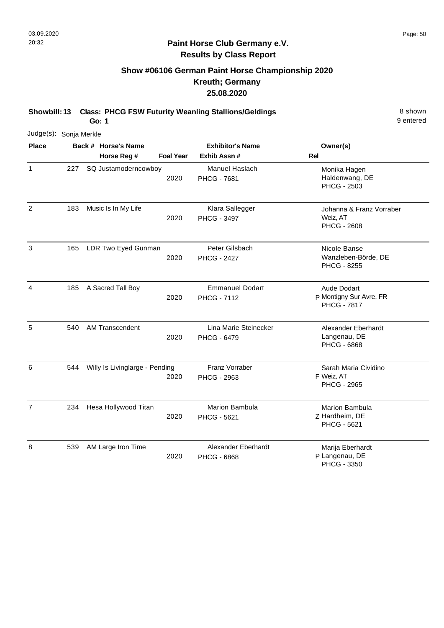# **Show #06106 German Paint Horse Championship 2020 Kreuth; Germany 25.08.2020**

**Showbill: 13 Class: PHCG FSW Futurity Weanling Stallions/Geldings** 8 Shown

**Go: 1**

|                | Judge(s): Sonja Merkle |  |                                |                  |                                              |                                                               |  |  |  |
|----------------|------------------------|--|--------------------------------|------------------|----------------------------------------------|---------------------------------------------------------------|--|--|--|
| <b>Place</b>   |                        |  | Back # Horse's Name            |                  | <b>Exhibitor's Name</b>                      | Owner(s)                                                      |  |  |  |
|                |                        |  | Horse Reg #                    | <b>Foal Year</b> | Exhib Assn#                                  | Rel                                                           |  |  |  |
| 1              | 227                    |  | SQ Justamoderncowboy           | 2020             | Manuel Haslach<br><b>PHCG - 7681</b>         | Monika Hagen<br>Haldenwang, DE<br><b>PHCG - 2503</b>          |  |  |  |
| 2              | 183                    |  | Music Is In My Life            | 2020             | Klara Sallegger<br><b>PHCG - 3497</b>        | Johanna & Franz Vorraber<br>Weiz, AT<br><b>PHCG - 2608</b>    |  |  |  |
| $\sqrt{3}$     | 165                    |  | LDR Two Eyed Gunman            | 2020             | Peter Gilsbach<br><b>PHCG - 2427</b>         | Nicole Banse<br>Wanzleben-Börde, DE<br><b>PHCG - 8255</b>     |  |  |  |
| $\overline{4}$ | 185                    |  | A Sacred Tall Boy              | 2020             | <b>Emmanuel Dodart</b><br><b>PHCG - 7112</b> | Aude Dodart<br>P Montigny Sur Avre, FR<br><b>PHCG - 7817</b>  |  |  |  |
| 5              | 540                    |  | AM Transcendent                | 2020             | Lina Marie Steinecker<br>PHCG - 6479         | Alexander Eberhardt<br>Langenau, DE<br><b>PHCG - 6868</b>     |  |  |  |
| 6              | 544                    |  | Willy Is Livinglarge - Pending | 2020             | Franz Vorraber<br>PHCG - 2963                | Sarah Maria Cividino<br>F Weiz, AT<br><b>PHCG - 2965</b>      |  |  |  |
| $\overline{7}$ | 234                    |  | Hesa Hollywood Titan           | 2020             | <b>Marion Bambula</b><br><b>PHCG - 5621</b>  | <b>Marion Bambula</b><br>Z Hardheim, DE<br><b>PHCG - 5621</b> |  |  |  |
| 8              | 539                    |  | AM Large Iron Time             | 2020             | Alexander Eberhardt<br><b>PHCG - 6868</b>    | Marija Eberhardt<br>P Langenau, DE<br>PHCG - 3350             |  |  |  |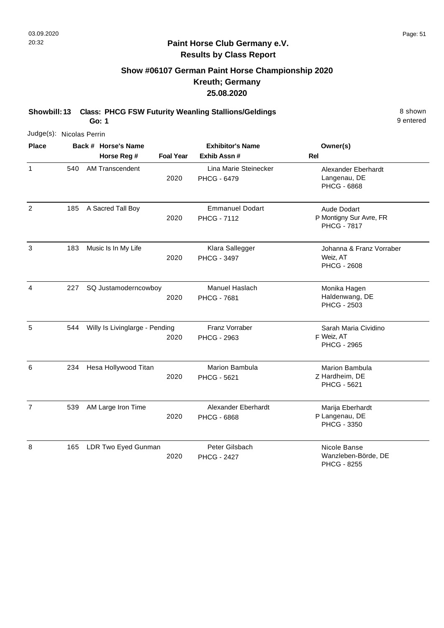# **Show #06107 German Paint Horse Championship 2020 Kreuth; Germany 25.08.2020**

**Showbill: 13 Class: PHCG FSW Futurity Weanling Stallions/Geldings** 8 Shown

**Go: 1**

|                | Judge(s): Nicolas Perrin |  |                                |                  |                                              |                                                                     |  |
|----------------|--------------------------|--|--------------------------------|------------------|----------------------------------------------|---------------------------------------------------------------------|--|
| <b>Place</b>   |                          |  | Back # Horse's Name            |                  | <b>Exhibitor's Name</b>                      | Owner(s)                                                            |  |
|                |                          |  | Horse Reg #                    | <b>Foal Year</b> | Exhib Assn #                                 | Rel                                                                 |  |
| 1              | 540                      |  | <b>AM Transcendent</b>         | 2020             | Lina Marie Steinecker<br><b>PHCG - 6479</b>  | Alexander Eberhardt<br>Langenau, DE<br>PHCG - 6868                  |  |
| $\overline{2}$ | 185                      |  | A Sacred Tall Boy              | 2020             | <b>Emmanuel Dodart</b><br><b>PHCG - 7112</b> | <b>Aude Dodart</b><br>P Montigny Sur Avre, FR<br><b>PHCG - 7817</b> |  |
| 3              | 183                      |  | Music Is In My Life            | 2020             | Klara Sallegger<br><b>PHCG - 3497</b>        | Johanna & Franz Vorraber<br>Weiz, AT<br><b>PHCG - 2608</b>          |  |
| 4              | 227                      |  | SQ Justamoderncowboy           | 2020             | Manuel Haslach<br><b>PHCG - 7681</b>         | Monika Hagen<br>Haldenwang, DE<br><b>PHCG - 2503</b>                |  |
| 5              | 544                      |  | Willy Is Livinglarge - Pending | 2020             | Franz Vorraber<br>PHCG - 2963                | Sarah Maria Cividino<br>F Weiz, AT<br><b>PHCG - 2965</b>            |  |
| 6              | 234                      |  | Hesa Hollywood Titan           | 2020             | <b>Marion Bambula</b><br>PHCG - 5621         | <b>Marion Bambula</b><br>Z Hardheim, DE<br><b>PHCG - 5621</b>       |  |
| $\overline{7}$ | 539                      |  | AM Large Iron Time             | 2020             | Alexander Eberhardt<br>PHCG - 6868           | Marija Eberhardt<br>P Langenau, DE<br><b>PHCG - 3350</b>            |  |
| 8              | 165                      |  | LDR Two Eyed Gunman            | 2020             | Peter Gilsbach<br><b>PHCG - 2427</b>         | Nicole Banse<br>Wanzleben-Börde, DE<br>PHCG - 8255                  |  |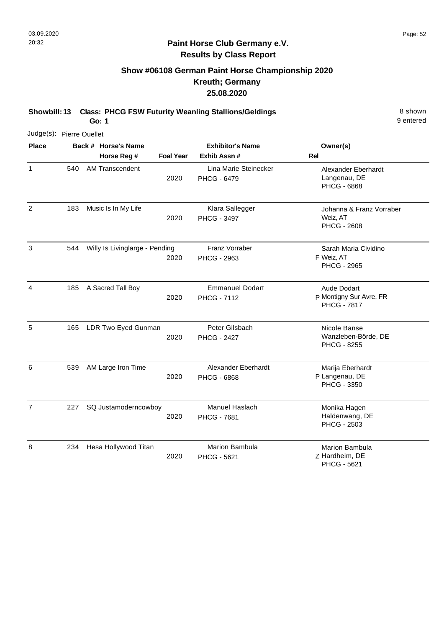# **Show #06108 German Paint Horse Championship 2020 Kreuth; Germany 25.08.2020**

**Showbill: 13 Class: PHCG FSW Futurity Weanling Stallions/Geldings** 8 Shown

**Go: 1**

|                | Judge(s): Pierre Ouellet |  |                                |                  |                                              |                                                                     |  |
|----------------|--------------------------|--|--------------------------------|------------------|----------------------------------------------|---------------------------------------------------------------------|--|
| <b>Place</b>   |                          |  | Back # Horse's Name            |                  | <b>Exhibitor's Name</b>                      | Owner(s)                                                            |  |
|                |                          |  | Horse Reg #                    | <b>Foal Year</b> | Exhib Assn #                                 | Rel                                                                 |  |
| 1              | 540                      |  | <b>AM Transcendent</b>         | 2020             | Lina Marie Steinecker<br><b>PHCG - 6479</b>  | Alexander Eberhardt<br>Langenau, DE<br><b>PHCG - 6868</b>           |  |
| 2              | 183                      |  | Music Is In My Life            | 2020             | Klara Sallegger<br><b>PHCG - 3497</b>        | Johanna & Franz Vorraber<br>Weiz, AT<br><b>PHCG - 2608</b>          |  |
| $\sqrt{3}$     | 544                      |  | Willy Is Livinglarge - Pending | 2020             | Franz Vorraber<br>PHCG - 2963                | Sarah Maria Cividino<br>F Weiz, AT<br><b>PHCG - 2965</b>            |  |
| 4              | 185                      |  | A Sacred Tall Boy              | 2020             | <b>Emmanuel Dodart</b><br><b>PHCG - 7112</b> | <b>Aude Dodart</b><br>P Montigny Sur Avre, FR<br><b>PHCG - 7817</b> |  |
| 5              | 165                      |  | LDR Two Eyed Gunman            | 2020             | Peter Gilsbach<br><b>PHCG - 2427</b>         | Nicole Banse<br>Wanzleben-Börde, DE<br><b>PHCG - 8255</b>           |  |
| 6              | 539                      |  | AM Large Iron Time             | 2020             | Alexander Eberhardt<br><b>PHCG - 6868</b>    | Marija Eberhardt<br>P Langenau, DE<br>PHCG - 3350                   |  |
| $\overline{7}$ | 227                      |  | SQ Justamoderncowboy           | 2020             | Manuel Haslach<br><b>PHCG - 7681</b>         | Monika Hagen<br>Haldenwang, DE<br><b>PHCG - 2503</b>                |  |
| 8              | 234                      |  | Hesa Hollywood Titan           | 2020             | Marion Bambula<br>PHCG - 5621                | Marion Bambula<br>Z Hardheim, DE<br>PHCG - 5621                     |  |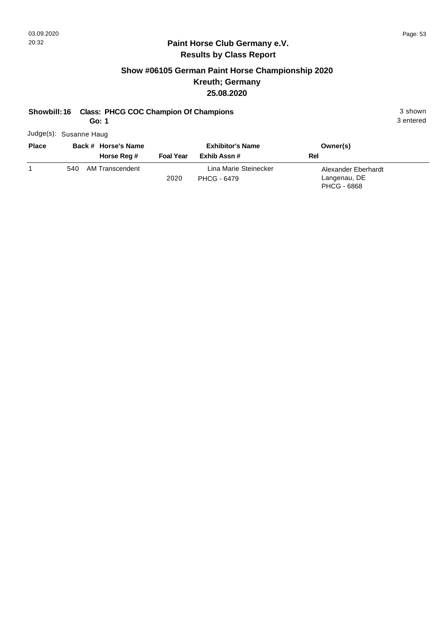#### **Show #06105 German Paint Horse Championship 2020 Kreuth; Germany 25.08.2020**

#### **Showbill: 16 Class: PHCG COC Champion Of Champions** 3 shown

**Go: 1**

Judge(s): Susanne Haug

| <b>Place</b> | Back # Horse's Name    | <b>Exhibitor's Name</b> |                                      | Owner(s)                                                  |
|--------------|------------------------|-------------------------|--------------------------------------|-----------------------------------------------------------|
|              | Horse Reg #            | <b>Foal Year</b>        | Exhib Assn #                         | Rel                                                       |
|              | AM Transcendent<br>540 | 2020                    | Lina Marie Steinecker<br>PHCG - 6479 | Alexander Eberhardt<br>Langenau, DE<br><b>PHCG - 6868</b> |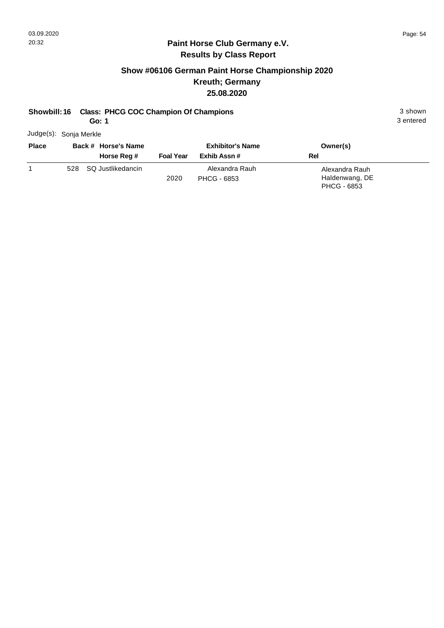3 entered

#### **Paint Horse Club Germany e.V. Results by Class Report**

#### **Show #06106 German Paint Horse Championship 2020 Kreuth; Germany 25.08.2020**

#### **Showbill: 16 Class: PHCG COC Champion Of Champions** 3 shown

**Go: 1**

Judge(s): Sonja Merkle

| <b>Place</b> | Back # Horse's Name<br>Horse Reg # | <b>Foal Year</b> | <b>Exhibitor's Name</b><br>Exhib Assn # | Owner(s)<br>Rel                                        |
|--------------|------------------------------------|------------------|-----------------------------------------|--------------------------------------------------------|
|              | 528 SQ Justlikedancin              | 2020             | Alexandra Rauh<br>PHCG - 6853           | Alexandra Rauh<br>Haldenwang, DE<br><b>PHCG - 6853</b> |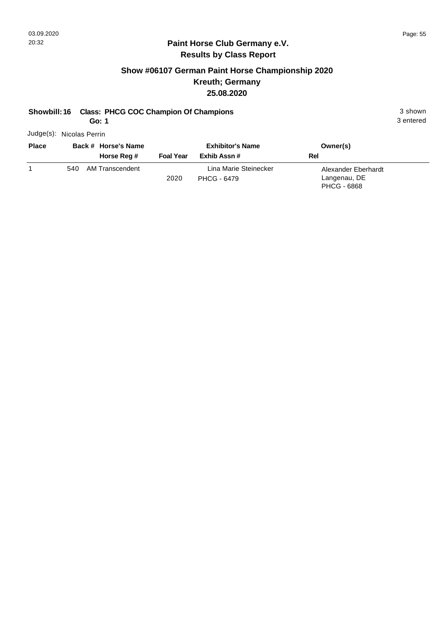#### **Show #06107 German Paint Horse Championship 2020 Kreuth; Germany 25.08.2020**

#### **Showbill: 16 Class: PHCG COC Champion Of Champions** 3 shown

**Go: 1**

Judge(s): Nicolas Perrin

| <b>Place</b> | Back # Horse's Name    |                  | <b>Exhibitor's Name</b>              | Owner(s)                                                  |  |
|--------------|------------------------|------------------|--------------------------------------|-----------------------------------------------------------|--|
|              | Horse Reg #            | <b>Foal Year</b> | Exhib Assn #                         | Rel                                                       |  |
|              | AM Transcendent<br>540 | 2020             | Lina Marie Steinecker<br>PHCG - 6479 | Alexander Eberhardt<br>Langenau, DE<br><b>PHCG - 6868</b> |  |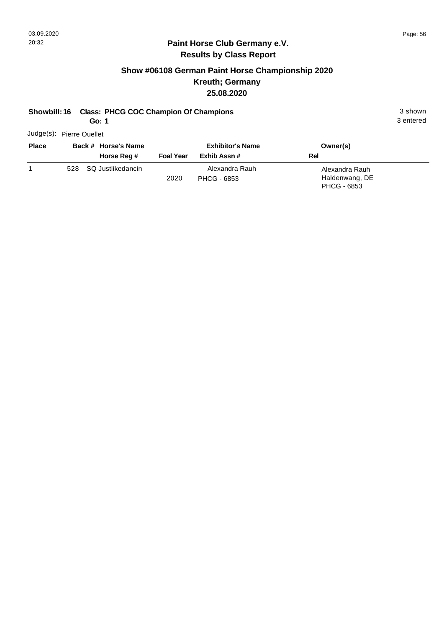3 entered

#### **Paint Horse Club Germany e.V. Results by Class Report**

#### **Show #06108 German Paint Horse Championship 2020 Kreuth; Germany 25.08.2020**

#### **Showbill: 16 Class: PHCG COC Champion Of Champions** 3 shown

**Go: 1**

Judge(s): Pierre Ouellet

| <b>Place</b> | Back # Horse's Name<br>Horse Reg # | <b>Foal Year</b> | <b>Exhibitor's Name</b><br>Exhib Assn # | Owner(s)<br>Rel                                 |
|--------------|------------------------------------|------------------|-----------------------------------------|-------------------------------------------------|
|              | 528 SQ Justlikedancin              | 2020             | Alexandra Rauh<br>PHCG - 6853           | Alexandra Rauh<br>Haldenwang, DE<br>PHCG - 6853 |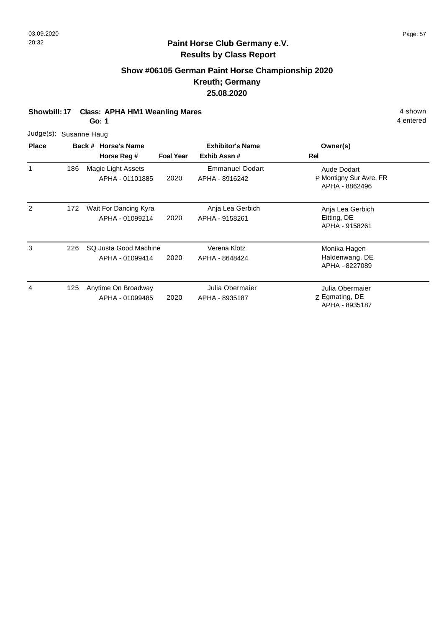#### **Show #06105 German Paint Horse Championship 2020 Kreuth; Germany 25.08.2020**

**Showbill: 17 Class: APHA HM1 Weanling Mares 4 shown** 

**Go: 1**

| <b>Diaco</b> | Rock # Hore            |  |
|--------------|------------------------|--|
|              | Judge(s): Susanne Haug |  |

| <b>Place</b> |     | Back # Horse's Name<br>Horse Reg #       | <b>Foal Year</b> | <b>Exhibitor's Name</b><br>Exhib Assn#   | Owner(s)<br>Rel                                          |
|--------------|-----|------------------------------------------|------------------|------------------------------------------|----------------------------------------------------------|
| 1            | 186 | Magic Light Assets<br>APHA - 01101885    | 2020             | <b>Emmanuel Dodart</b><br>APHA - 8916242 | Aude Dodart<br>P Montigny Sur Avre, FR<br>APHA - 8862496 |
| 2            | 172 | Wait For Dancing Kyra<br>APHA - 01099214 | 2020             | Anja Lea Gerbich<br>APHA - 9158261       | Anja Lea Gerbich<br>Eitting, DE<br>APHA - 9158261        |
| 3            | 226 | SQ Justa Good Machine<br>APHA - 01099414 | 2020             | Verena Klotz<br>APHA - 8648424           | Monika Hagen<br>Haldenwang, DE<br>APHA - 8227089         |
| 4            | 125 | Anytime On Broadway<br>APHA - 01099485   | 2020             | Julia Obermaier<br>APHA - 8935187        | Julia Obermaier<br>Z Egmating, DE<br>APHA - 8935187      |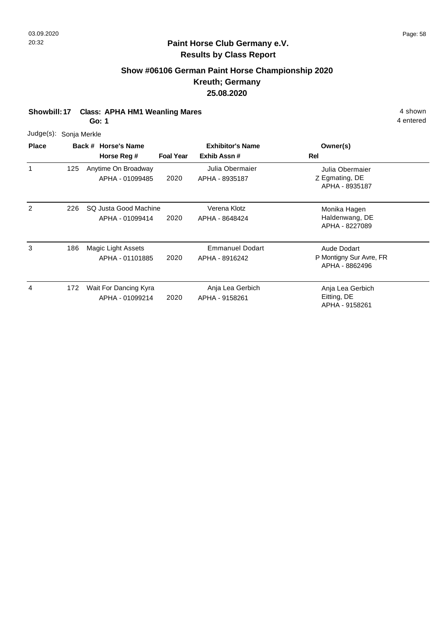#### **Show #06106 German Paint Horse Championship 2020 Kreuth; Germany 25.08.2020**

**Showbill: 17 Class: APHA HM1 Weanling Mares 4 shown** 

**Go: 1**

| <b>Place</b> | <b>Back # Hors</b>     |  |  |  |  |  |
|--------------|------------------------|--|--|--|--|--|
|              | Judge(s): Sonja Merkle |  |  |  |  |  |

| <b>Place</b> |     | Back # Horse's Name<br>Horse Reg #       | <b>Foal Year</b> | <b>Exhibitor's Name</b><br>Exhib Assn#   | Owner(s)<br>Rel                                          |
|--------------|-----|------------------------------------------|------------------|------------------------------------------|----------------------------------------------------------|
|              | 125 | Anytime On Broadway<br>APHA - 01099485   | 2020             | Julia Obermaier<br>APHA - 8935187        | Julia Obermaier<br>Z Egmating, DE<br>APHA - 8935187      |
| 2            | 226 | SQ Justa Good Machine<br>APHA - 01099414 | 2020             | Verena Klotz<br>APHA - 8648424           | Monika Hagen<br>Haldenwang, DE<br>APHA - 8227089         |
| 3            | 186 | Magic Light Assets<br>APHA - 01101885    | 2020             | <b>Emmanuel Dodart</b><br>APHA - 8916242 | Aude Dodart<br>P Montigny Sur Avre, FR<br>APHA - 8862496 |
| 4            | 172 | Wait For Dancing Kyra<br>APHA - 01099214 | 2020             | Anja Lea Gerbich<br>APHA - 9158261       | Anja Lea Gerbich<br>Eitting, DE<br>APHA - 9158261        |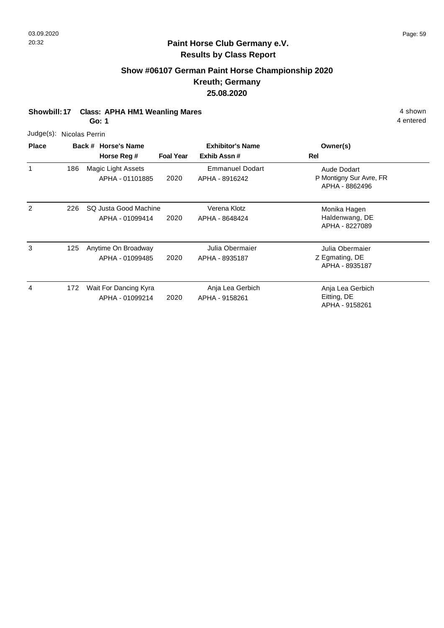#### **Show #06107 German Paint Horse Championship 2020 Kreuth; Germany 25.08.2020**

**Showbill: 17 Class: APHA HM1 Weanling Mares 4 shown** 

**Go: 1**

| <b>Place</b> | Back # Horse             |  |
|--------------|--------------------------|--|
|              | Judge(s): Nicolas Perrin |  |

| <b>Place</b> |     | Back # Horse's Name<br>Horse Reg #       | <b>Foal Year</b> | <b>Exhibitor's Name</b><br>Exhib Assn#   | Owner(s)<br>Rel                                          |
|--------------|-----|------------------------------------------|------------------|------------------------------------------|----------------------------------------------------------|
| 1            | 186 | Magic Light Assets<br>APHA - 01101885    | 2020             | <b>Emmanuel Dodart</b><br>APHA - 8916242 | Aude Dodart<br>P Montigny Sur Avre, FR<br>APHA - 8862496 |
| 2            | 226 | SQ Justa Good Machine<br>APHA - 01099414 | 2020             | Verena Klotz<br>APHA - 8648424           | Monika Hagen<br>Haldenwang, DE<br>APHA - 8227089         |
| 3            | 125 | Anytime On Broadway<br>APHA - 01099485   | 2020             | Julia Obermaier<br>APHA - 8935187        | Julia Obermaier<br>Z Egmating, DE<br>APHA - 8935187      |
| 4            | 172 | Wait For Dancing Kyra<br>APHA - 01099214 | 2020             | Anja Lea Gerbich<br>APHA - 9158261       | Anja Lea Gerbich<br>Eitting, DE<br>APHA - 9158261        |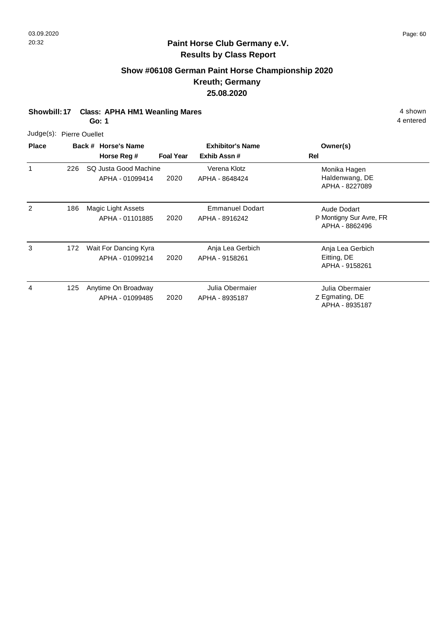## **Show #06108 German Paint Horse Championship 2020 Kreuth; Germany 25.08.2020**

**Showbill: 17 Class: APHA HM1 Weanling Mares 4 shown** 

**Go: 1**

| Judge(s): Pierre Ouellet |  |
|--------------------------|--|
|--------------------------|--|

| <b>Place</b> |     | Back # Horse's Name                      | <b>Exhibitor's Name</b> |                                          | Owner(s)                                                 |
|--------------|-----|------------------------------------------|-------------------------|------------------------------------------|----------------------------------------------------------|
|              |     | Horse Reg #                              | <b>Foal Year</b>        | Exhib Assn#                              | Rel                                                      |
| 1            | 226 | SQ Justa Good Machine<br>APHA - 01099414 | 2020                    | Verena Klotz<br>APHA - 8648424           | Monika Hagen<br>Haldenwang, DE<br>APHA - 8227089         |
| 2            | 186 | Magic Light Assets<br>APHA - 01101885    | 2020                    | <b>Emmanuel Dodart</b><br>APHA - 8916242 | Aude Dodart<br>P Montigny Sur Avre, FR<br>APHA - 8862496 |
| 3            | 172 | Wait For Dancing Kyra<br>APHA - 01099214 | 2020                    | Anja Lea Gerbich<br>APHA - 9158261       | Anja Lea Gerbich<br>Eitting, DE<br>APHA - 9158261        |
| 4            | 125 | Anytime On Broadway<br>APHA - 01099485   | 2020                    | Julia Obermaier<br>APHA - 8935187        | Julia Obermaier<br>Z Egmating, DE<br>APHA - 8935187      |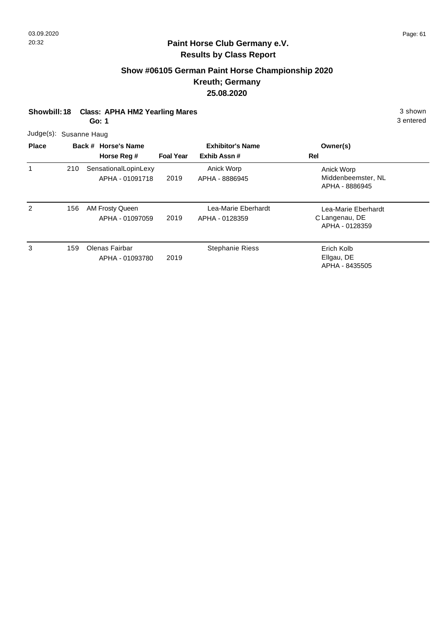# **Show #06105 German Paint Horse Championship 2020 Kreuth; Germany 25.08.2020**

|                        | <b>Class: APHA HM2 Yearling Mares</b><br>Showbill: 18<br>Go: 1 |  |                                         |                  |                                        |                                                         |  |  |
|------------------------|----------------------------------------------------------------|--|-----------------------------------------|------------------|----------------------------------------|---------------------------------------------------------|--|--|
| Judge(s): Susanne Haug |                                                                |  |                                         |                  |                                        |                                                         |  |  |
| <b>Place</b>           |                                                                |  | Back # Horse's Name<br>Horse Reg #      | <b>Foal Year</b> | <b>Exhibitor's Name</b><br>Exhib Assn# | Owner(s)<br>Rel                                         |  |  |
| 1                      | 210                                                            |  | SensationalLopinLexy<br>APHA - 01091718 | 2019             | Anick Worp<br>APHA - 8886945           | Anick Worp<br>Middenbeemster, NL<br>APHA - 8886945      |  |  |
| 2                      | 156                                                            |  | AM Frosty Queen<br>APHA - 01097059      | 2019             | Lea-Marie Eberhardt<br>APHA - 0128359  | Lea-Marie Eberhardt<br>C Langenau, DE<br>APHA - 0128359 |  |  |
| 3                      | 159                                                            |  | Olenas Fairbar<br>APHA - 01093780       | 2019             | <b>Stephanie Riess</b>                 | Erich Kolb<br>Ellgau, DE<br>APHA - 8435505              |  |  |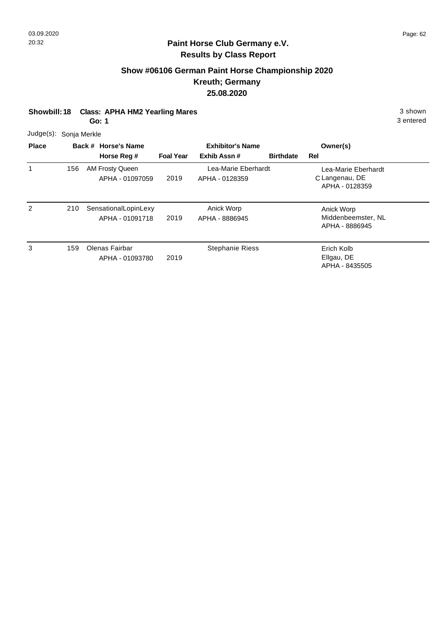# **Show #06106 German Paint Horse Championship 2020 Kreuth; Germany 25.08.2020**

| Showbill: 18 Class: APHA HM2 Yearling Mares | 3 shown |
|---------------------------------------------|---------|
|                                             |         |

**Go: 1**

| <b>Place</b> |     | Back # Horse's Name                     | <b>Exhibitor's Name</b> |                                       | Owner(s)         |                                                         |  |
|--------------|-----|-----------------------------------------|-------------------------|---------------------------------------|------------------|---------------------------------------------------------|--|
|              |     | Horse Reg #                             | <b>Foal Year</b>        | Exhib Assn#                           | <b>Birthdate</b> | Rel                                                     |  |
|              | 156 | AM Frosty Queen<br>APHA - 01097059      | 2019                    | Lea-Marie Eberhardt<br>APHA - 0128359 |                  | Lea-Marie Eberhardt<br>C Langenau, DE<br>APHA - 0128359 |  |
| 2            | 210 | SensationalLopinLexy<br>APHA - 01091718 | 2019                    | Anick Worp<br>APHA - 8886945          |                  | Anick Worp<br>Middenbeemster, NL<br>APHA - 8886945      |  |
| 3            | 159 | Olenas Fairbar<br>APHA - 01093780       | 2019                    | <b>Stephanie Riess</b>                |                  | Erich Kolb<br>Ellgau, DE<br>APHA - 8435505              |  |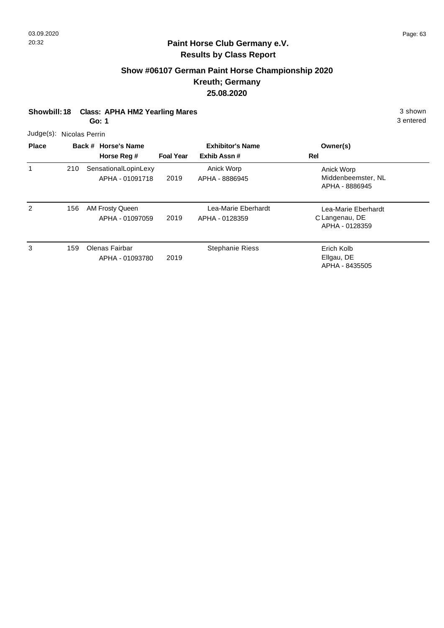# **Show #06107 German Paint Horse Championship 2020 Kreuth; Germany 25.08.2020**

| <b>Class: APHA HM2 Yearling Mares</b><br><b>Showbill: 18</b><br>Go: 1 |     |                                         |                  |                                        | 3 shown<br>3 entered                                    |  |  |  |
|-----------------------------------------------------------------------|-----|-----------------------------------------|------------------|----------------------------------------|---------------------------------------------------------|--|--|--|
| Judge(s): Nicolas Perrin                                              |     |                                         |                  |                                        |                                                         |  |  |  |
| <b>Place</b>                                                          |     | Back # Horse's Name<br>Horse Reg #      | <b>Foal Year</b> | <b>Exhibitor's Name</b><br>Exhib Assn# | Owner(s)<br>Rel                                         |  |  |  |
| 1                                                                     | 210 | SensationalLopinLexy<br>APHA - 01091718 | 2019             | Anick Worp<br>APHA - 8886945           | Anick Worp<br>Middenbeemster, NL<br>APHA - 8886945      |  |  |  |
| $\mathfrak{p}$                                                        | 156 | AM Frosty Queen<br>APHA - 01097059      | 2019             | Lea-Marie Eberhardt<br>APHA - 0128359  | Lea-Marie Eberhardt<br>C Langenau, DE<br>APHA - 0128359 |  |  |  |
| 3                                                                     | 159 | Olenas Fairbar<br>APHA - 01093780       | 2019             | <b>Stephanie Riess</b>                 | Erich Kolb<br>Ellgau, DE<br>APHA - 8435505              |  |  |  |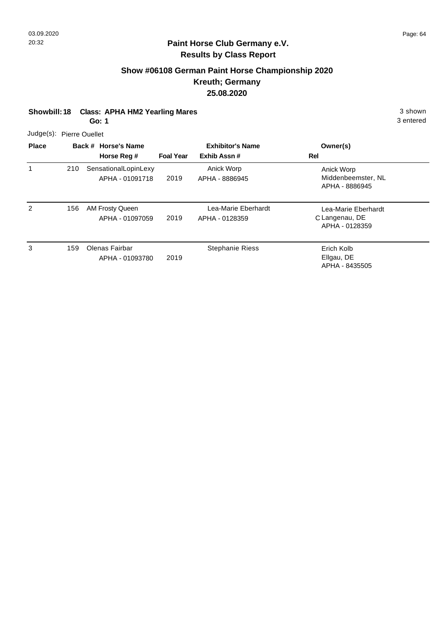### **Show #06108 German Paint Horse Championship 2020 Kreuth; Germany 25.08.2020**

| <b>Class: APHA HM2 Yearling Mares</b><br><b>Showbill: 18</b><br>Go: 1 |     |  |                                           |                  |                                        | 3 shown<br>3 entered                                    |  |  |
|-----------------------------------------------------------------------|-----|--|-------------------------------------------|------------------|----------------------------------------|---------------------------------------------------------|--|--|
| Judge(s): Pierre Ouellet                                              |     |  |                                           |                  |                                        |                                                         |  |  |
| <b>Place</b>                                                          |     |  | Back # Horse's Name<br>Horse Reg #        | <b>Foal Year</b> | <b>Exhibitor's Name</b><br>Exhib Assn# | Owner(s)<br>Rel                                         |  |  |
| 1                                                                     | 210 |  | SensationalLopinLexy<br>APHA - 01091718   | 2019             | Anick Worp<br>APHA - 8886945           | Anick Worp<br>Middenbeemster, NL<br>APHA - 8886945      |  |  |
| $\overline{2}$                                                        | 156 |  | <b>AM Frosty Queen</b><br>APHA - 01097059 | 2019             | Lea-Marie Eberhardt<br>APHA - 0128359  | Lea-Marie Eberhardt<br>C Langenau, DE<br>APHA - 0128359 |  |  |
| 3                                                                     | 159 |  | Olenas Fairbar<br>APHA - 01093780         | 2019             | <b>Stephanie Riess</b>                 | Erich Kolb<br>Ellgau, DE<br>APHA - 8435505              |  |  |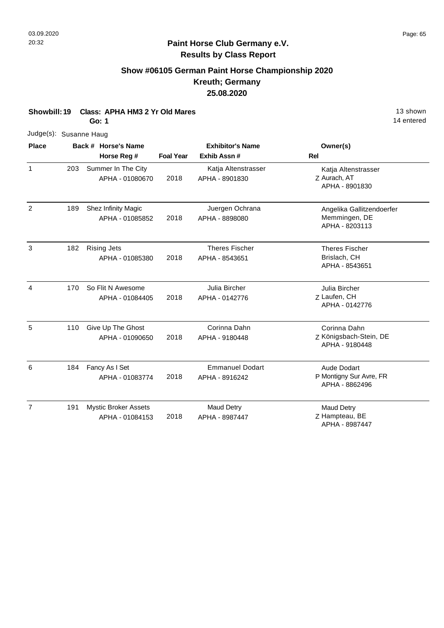# **Show #06105 German Paint Horse Championship 2020 Kreuth; Germany 25.08.2020**

**Showbill: 19 Class: APHA HM3 2 Yr Old Mares** 13 shown

|                        |     | Go: 1                                          |                  |                                          | 14 entered                                                   |
|------------------------|-----|------------------------------------------------|------------------|------------------------------------------|--------------------------------------------------------------|
| Judge(s): Susanne Haug |     |                                                |                  |                                          |                                                              |
| <b>Place</b>           |     | Back # Horse's Name                            |                  | <b>Exhibitor's Name</b>                  | Owner(s)                                                     |
|                        |     | Horse Reg #                                    | <b>Foal Year</b> | Exhib Assn #                             | Rel                                                          |
| $\mathbf{1}$           | 203 | Summer In The City<br>APHA - 01080670          | 2018             | Katja Altenstrasser<br>APHA - 8901830    | Katja Altenstrasser<br>Z Aurach, AT<br>APHA - 8901830        |
| $\overline{2}$         | 189 | Shez Infinity Magic<br>APHA - 01085852         | 2018             | Juergen Ochrana<br>APHA - 8898080        | Angelika Gallitzendoerfer<br>Memmingen, DE<br>APHA - 8203113 |
| 3                      | 182 | <b>Rising Jets</b><br>APHA - 01085380          | 2018             | <b>Theres Fischer</b><br>APHA - 8543651  | <b>Theres Fischer</b><br>Brislach, CH<br>APHA - 8543651      |
| $\overline{4}$         | 170 | So Flit N Awesome<br>APHA - 01084405           | 2018             | Julia Bircher<br>APHA - 0142776          | Julia Bircher<br>Z Laufen, CH<br>APHA - 0142776              |
| 5                      | 110 | Give Up The Ghost<br>APHA - 01090650           | 2018             | Corinna Dahn<br>APHA - 9180448           | Corinna Dahn<br>Z Königsbach-Stein, DE<br>APHA - 9180448     |
| 6                      | 184 | Fancy As I Set<br>APHA - 01083774              | 2018             | <b>Emmanuel Dodart</b><br>APHA - 8916242 | Aude Dodart<br>P Montigny Sur Avre, FR<br>APHA - 8862496     |
| $\overline{7}$         | 191 | <b>Mystic Broker Assets</b><br>APHA - 01084153 | 2018             | <b>Maud Detry</b><br>APHA - 8987447      | <b>Maud Detry</b><br>Z Hampteau, BE<br>APHA - 8987447        |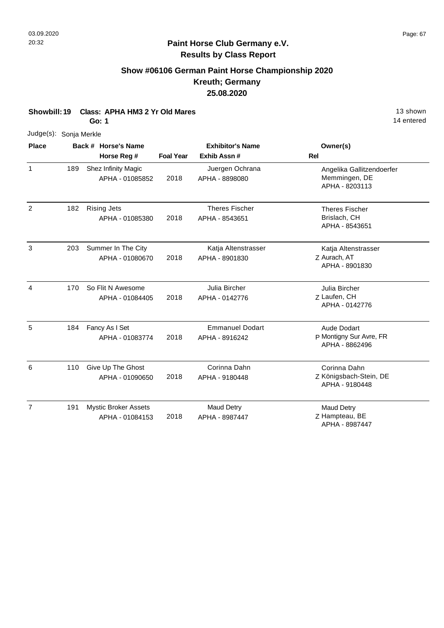# **Show #06106 German Paint Horse Championship 2020 Kreuth; Germany 25.08.2020**

|  | Showbill: 19 Class: APHA HM3 2 Yr Old Mares | 13 shown |
|--|---------------------------------------------|----------|
|--|---------------------------------------------|----------|

**Go: 1**

| Judge(s): Sonja Merkle |     |                                                |                  |                                          |                                                              |
|------------------------|-----|------------------------------------------------|------------------|------------------------------------------|--------------------------------------------------------------|
| <b>Place</b>           |     | Back # Horse's Name                            |                  | <b>Exhibitor's Name</b>                  | Owner(s)                                                     |
|                        |     | Horse Reg #                                    | <b>Foal Year</b> | Exhib Assn#                              | Rel                                                          |
| $\mathbf{1}$           | 189 | Shez Infinity Magic<br>APHA - 01085852         | 2018             | Juergen Ochrana<br>APHA - 8898080        | Angelika Gallitzendoerfer<br>Memmingen, DE<br>APHA - 8203113 |
| 2                      | 182 | <b>Rising Jets</b><br>APHA - 01085380          | 2018             | <b>Theres Fischer</b><br>APHA - 8543651  | <b>Theres Fischer</b><br>Brislach, CH<br>APHA - 8543651      |
| 3                      | 203 | Summer In The City<br>APHA - 01080670          | 2018             | Katja Altenstrasser<br>APHA - 8901830    | Katja Altenstrasser<br>Z Aurach, AT<br>APHA - 8901830        |
| 4                      | 170 | So Flit N Awesome<br>APHA - 01084405           | 2018             | Julia Bircher<br>APHA - 0142776          | Julia Bircher<br>Z Laufen, CH<br>APHA - 0142776              |
| 5                      | 184 | Fancy As I Set<br>APHA - 01083774              | 2018             | <b>Emmanuel Dodart</b><br>APHA - 8916242 | Aude Dodart<br>P Montigny Sur Avre, FR<br>APHA - 8862496     |
| 6                      | 110 | Give Up The Ghost<br>APHA - 01090650           | 2018             | Corinna Dahn<br>APHA - 9180448           | Corinna Dahn<br>Z Königsbach-Stein, DE<br>APHA - 9180448     |
| $\overline{7}$         | 191 | <b>Mystic Broker Assets</b><br>APHA - 01084153 | 2018             | <b>Maud Detry</b><br>APHA - 8987447      | <b>Maud Detry</b><br>Z Hampteau, BE<br>APHA - 8987447        |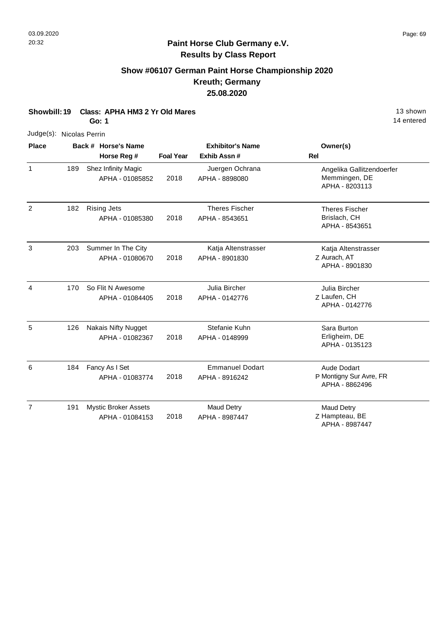# **Show #06107 German Paint Horse Championship 2020 Kreuth; Germany 25.08.2020**

|  | Showbill: 19 Class: APHA HM3 2 Yr Old Mares | 13 shown |
|--|---------------------------------------------|----------|
|--|---------------------------------------------|----------|

**Go: 1**

| Judge(s): Nicolas Perrin |     |                                    |                  |                                         |                                           |  |
|--------------------------|-----|------------------------------------|------------------|-----------------------------------------|-------------------------------------------|--|
| Place                    |     | Back # Horse's Name<br>Horse Reg # | <b>Foal Year</b> | <b>Exhibitor's Name</b><br>Exhib Assn # | Owner(s)<br><b>Rel</b>                    |  |
| $\mathbf{1}$             | 189 | Shez Infinity Magic                |                  | Juergen Ochrana                         | Angelika Gallitzendoerfer                 |  |
|                          |     | APHA - 01085852                    | 2018             | APHA - 8898080                          | Memmingen, DE<br>APHA - 8203113           |  |
| $\overline{2}$           | 182 | <b>Rising Jets</b>                 |                  | <b>Theres Fischer</b>                   | <b>Theres Fischer</b>                     |  |
|                          |     | APHA - 01085380                    | 2018             | APHA - 8543651                          | Brislach, CH<br>APHA - 8543651            |  |
| 3                        | 203 | Summer In The City                 |                  | Katja Altenstrasser                     | Katja Altenstrasser                       |  |
|                          |     | APHA - 01080670                    | 2018             | APHA - 8901830                          | Z Aurach, AT<br>APHA - 8901830            |  |
| 4                        | 170 | So Flit N Awesome                  |                  | Julia Bircher                           | Julia Bircher                             |  |
|                          |     | APHA - 01084405                    | 2018             | APHA - 0142776                          | Z Laufen, CH<br>APHA - 0142776            |  |
| 5                        | 126 | <b>Nakais Nifty Nugget</b>         |                  | Stefanie Kuhn                           | Sara Burton                               |  |
|                          |     | APHA - 01082367                    | 2018             | APHA - 0148999                          | Erligheim, DE<br>APHA - 0135123           |  |
| 6                        | 184 | Fancy As I Set                     |                  | <b>Emmanuel Dodart</b>                  | <b>Aude Dodart</b>                        |  |
|                          |     | APHA - 01083774                    | 2018             | APHA - 8916242                          | P Montigny Sur Avre, FR<br>APHA - 8862496 |  |
| $\overline{7}$           | 191 | <b>Mystic Broker Assets</b>        |                  | <b>Maud Detry</b>                       | <b>Maud Detry</b>                         |  |
|                          |     | APHA - 01084153                    | 2018             | APHA - 8987447                          | Z Hampteau, BE<br>APHA - 8987447          |  |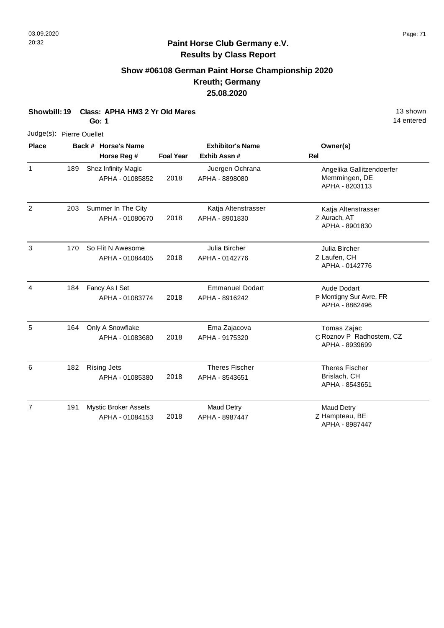#### **Show #06108 German Paint Horse Championship 2020 Kreuth; Germany 25.08.2020**

**Showbill: 19 Class: APHA HM3 2 Yr Old Mares** 13 shown

**Go: 1**

| <b>Diaco</b> | Rock # Horeo             |  |
|--------------|--------------------------|--|
|              | Judge(s): Pierre Ouellet |  |

| <b>Place</b>   |     | Back # Horse's Name<br>Horse Reg #             | <b>Foal Year</b> | <b>Exhibitor's Name</b><br>Exhib Assn#   | Owner(s)<br>Rel                                              |
|----------------|-----|------------------------------------------------|------------------|------------------------------------------|--------------------------------------------------------------|
| $\mathbf{1}$   | 189 | Shez Infinity Magic<br>APHA - 01085852         | 2018             | Juergen Ochrana<br>APHA - 8898080        | Angelika Gallitzendoerfer<br>Memmingen, DE<br>APHA - 8203113 |
| $\overline{2}$ | 203 | Summer In The City<br>APHA - 01080670          | 2018             | Katja Altenstrasser<br>APHA - 8901830    | Katja Altenstrasser<br>Z Aurach, AT<br>APHA - 8901830        |
| 3              | 170 | So Flit N Awesome<br>APHA - 01084405           | 2018             | Julia Bircher<br>APHA - 0142776          | Julia Bircher<br>Z Laufen, CH<br>APHA - 0142776              |
| 4              | 184 | Fancy As I Set<br>APHA - 01083774              | 2018             | <b>Emmanuel Dodart</b><br>APHA - 8916242 | Aude Dodart<br>P Montigny Sur Avre, FR<br>APHA - 8862496     |
| 5              | 164 | Only A Snowflake<br>APHA - 01083680            | 2018             | Ema Zajacova<br>APHA - 9175320           | Tomas Zajac<br>C Roznov P Radhostem, CZ<br>APHA - 8939699    |
| 6              | 182 | <b>Rising Jets</b><br>APHA - 01085380          | 2018             | <b>Theres Fischer</b><br>APHA - 8543651  | <b>Theres Fischer</b><br>Brislach, CH<br>APHA - 8543651      |
| $\overline{7}$ | 191 | <b>Mystic Broker Assets</b><br>APHA - 01084153 | 2018             | <b>Maud Detry</b><br>APHA - 8987447      | Maud Detry<br>Z Hampteau, BE<br>APHA - 8987447               |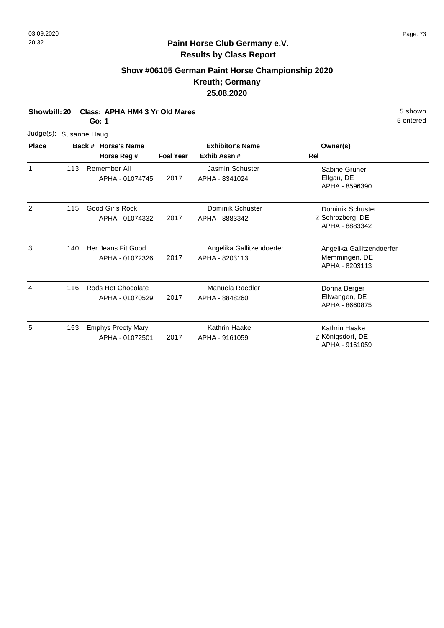#### **Paint Horse Club Germany e.V. Results by Class Report**

# **Show #06105 German Paint Horse Championship 2020 Kreuth; Germany 25.08.2020**

| Showbill: 20 Class: APHA HM4 3 Yr Old Mares | 5 shown   |
|---------------------------------------------|-----------|
| Go: 1                                       | 5 entered |

| 5 shown   |
|-----------|
| 5 entered |

APHA - 9161059

| Judge(s):    |     | Susanne Haug                                 |                  |                                             |                                                              |
|--------------|-----|----------------------------------------------|------------------|---------------------------------------------|--------------------------------------------------------------|
| <b>Place</b> |     | Back # Horse's Name                          |                  | <b>Exhibitor's Name</b>                     | Owner(s)                                                     |
|              |     | Horse Reg #                                  | <b>Foal Year</b> | Exhib Assn#                                 | Rel                                                          |
| 1            | 113 | Remember All<br>APHA - 01074745              | 2017             | Jasmin Schuster<br>APHA - 8341024           | Sabine Gruner<br>Ellgau, DE<br>APHA - 8596390                |
| 2            | 115 | <b>Good Girls Rock</b><br>APHA - 01074332    | 2017             | Dominik Schuster<br>APHA - 8883342          | Dominik Schuster<br>Z Schrozberg, DE<br>APHA - 8883342       |
| 3            | 140 | Her Jeans Fit Good<br>APHA - 01072326        | 2017             | Angelika Gallitzendoerfer<br>APHA - 8203113 | Angelika Gallitzendoerfer<br>Memmingen, DE<br>APHA - 8203113 |
| 4            | 116 | Rods Hot Chocolate<br>APHA - 01070529        | 2017             | Manuela Raedler<br>APHA - 8848260           | Dorina Berger<br>Ellwangen, DE<br>APHA - 8660875             |
| 5            | 153 | <b>Emphys Preety Mary</b><br>APHA - 01072501 | 2017             | Kathrin Haake<br>APHA - 9161059             | Kathrin Haake<br>Z Königsdorf, DE                            |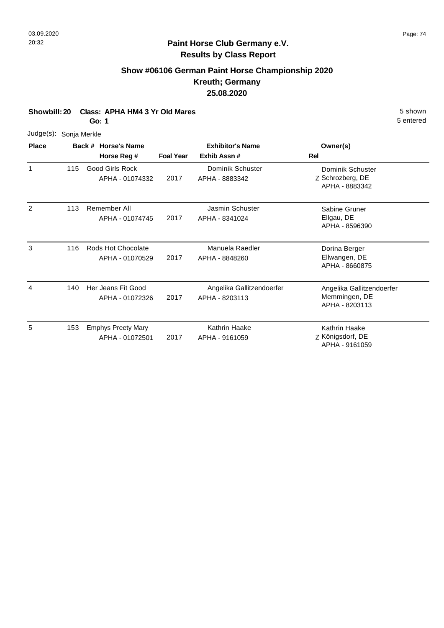#### **Show #06106 German Paint Horse Championship 2020 Kreuth; Germany 25.08.2020**

**Showbill: 20 Class: APHA HM4 3 Yr Old Mares** 5 Shown

**Go: 1**

| Judge(s): Sonja Merkle |     |                                              |                  |                                             |                                                              |
|------------------------|-----|----------------------------------------------|------------------|---------------------------------------------|--------------------------------------------------------------|
| <b>Place</b>           |     | Back # Horse's Name                          |                  | <b>Exhibitor's Name</b>                     | Owner(s)                                                     |
|                        |     | Horse Reg #                                  | <b>Foal Year</b> | Exhib Assn#                                 | Rel                                                          |
| 1                      | 115 | <b>Good Girls Rock</b><br>APHA - 01074332    | 2017             | Dominik Schuster<br>APHA - 8883342          | Dominik Schuster<br>Z Schrozberg, DE<br>APHA - 8883342       |
| 2                      | 113 | Remember All<br>APHA - 01074745              | 2017             | Jasmin Schuster<br>APHA - 8341024           | Sabine Gruner<br>Ellgau, DE<br>APHA - 8596390                |
| 3                      | 116 | Rods Hot Chocolate<br>APHA - 01070529        | 2017             | Manuela Raedler<br>APHA - 8848260           | Dorina Berger<br>Ellwangen, DE<br>APHA - 8660875             |
| 4                      | 140 | Her Jeans Fit Good<br>APHA - 01072326        | 2017             | Angelika Gallitzendoerfer<br>APHA - 8203113 | Angelika Gallitzendoerfer<br>Memmingen, DE<br>APHA - 8203113 |
| 5                      | 153 | <b>Emphys Preety Mary</b><br>APHA - 01072501 | 2017             | Kathrin Haake<br>APHA - 9161059             | Kathrin Haake<br>Z Königsdorf, DE<br>APHA - 9161059          |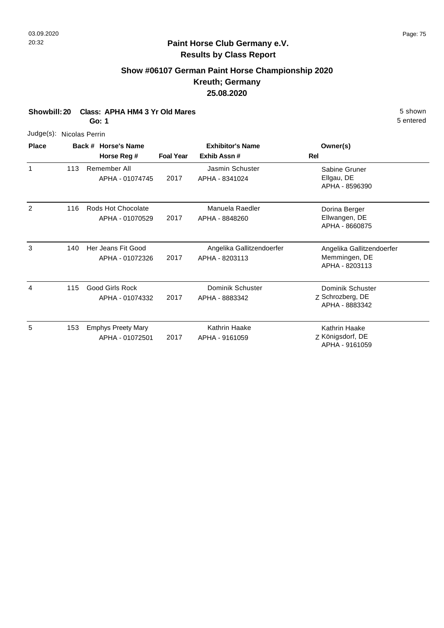# **Show #06107 German Paint Horse Championship 2020 Kreuth; Germany 25.08.2020**

| Showbill: 20 Class: APHA HM4 3 Yr Old Mares<br>5 shown |
|--------------------------------------------------------|
|                                                        |

**Go: 1**

| Judge(s): Nicolas Perrin |     |                                              |                  |                                             |                                                              |
|--------------------------|-----|----------------------------------------------|------------------|---------------------------------------------|--------------------------------------------------------------|
| <b>Place</b>             |     | Back # Horse's Name<br>Horse Reg #           | <b>Foal Year</b> | <b>Exhibitor's Name</b><br>Exhib Assn#      | Owner(s)<br>Rel                                              |
| 1                        | 113 | Remember All<br>APHA - 01074745              | 2017             | Jasmin Schuster<br>APHA - 8341024           | Sabine Gruner<br>Ellgau, DE<br>APHA - 8596390                |
| 2                        | 116 | Rods Hot Chocolate<br>APHA - 01070529        | 2017             | Manuela Raedler<br>APHA - 8848260           | Dorina Berger<br>Ellwangen, DE<br>APHA - 8660875             |
| 3                        | 140 | Her Jeans Fit Good<br>APHA - 01072326        | 2017             | Angelika Gallitzendoerfer<br>APHA - 8203113 | Angelika Gallitzendoerfer<br>Memmingen, DE<br>APHA - 8203113 |
| 4                        | 115 | <b>Good Girls Rock</b><br>APHA - 01074332    | 2017             | Dominik Schuster<br>APHA - 8883342          | Dominik Schuster<br>Z Schrozberg, DE<br>APHA - 8883342       |
| 5                        | 153 | <b>Emphys Preety Mary</b><br>APHA - 01072501 | 2017             | Kathrin Haake<br>APHA - 9161059             | Kathrin Haake<br>Z Königsdorf, DE<br>APHA - 9161059          |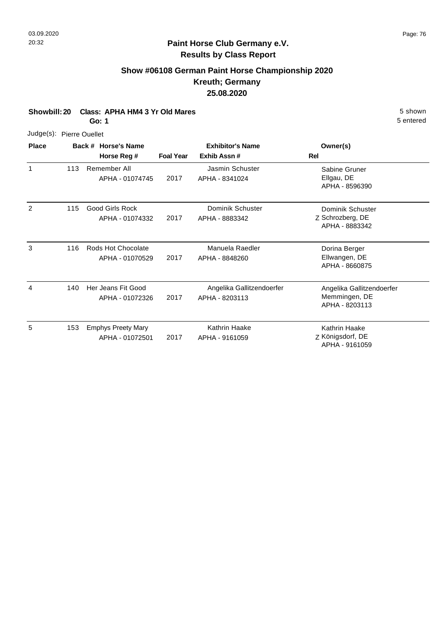# **Show #06108 German Paint Horse Championship 2020 Kreuth; Germany 25.08.2020**

**Showbill: 20 Class: APHA HM4 3 Yr Old Mares** 5 Shown

**Go: 1**

| Judge(s): Pierre Ouellet |     |                                           |                  |                                             |                                                              |
|--------------------------|-----|-------------------------------------------|------------------|---------------------------------------------|--------------------------------------------------------------|
| <b>Place</b>             |     | Back # Horse's Name<br>Horse Reg #        | <b>Foal Year</b> | <b>Exhibitor's Name</b><br>Exhib Assn#      | Owner(s)<br>Rel                                              |
| 1                        | 113 | Remember All<br>APHA - 01074745           | 2017             | Jasmin Schuster<br>APHA - 8341024           | Sabine Gruner<br>Ellgau, DE<br>APHA - 8596390                |
| 2                        | 115 | <b>Good Girls Rock</b><br>APHA - 01074332 | 2017             | Dominik Schuster<br>APHA - 8883342          | Dominik Schuster<br>Z Schrozberg, DE<br>APHA - 8883342       |
| 3                        | 116 | Rods Hot Chocolate<br>APHA - 01070529     | 2017             | Manuela Raedler<br>APHA - 8848260           | Dorina Berger<br>Ellwangen, DE<br>APHA - 8660875             |
| 4                        | 140 | Her Jeans Fit Good<br>APHA - 01072326     | 2017             | Angelika Gallitzendoerfer<br>APHA - 8203113 | Angelika Gallitzendoerfer<br>Memmingen, DE<br>APHA - 8203113 |

| -5 | 153 Emphys Preety Mary<br>APHA - 01072501 | 2017 | Kathrin Haake<br>APHA - 9161059 | Kathrin Haake<br>Z Königsdorf, DE<br>APHA - 9161059 |
|----|-------------------------------------------|------|---------------------------------|-----------------------------------------------------|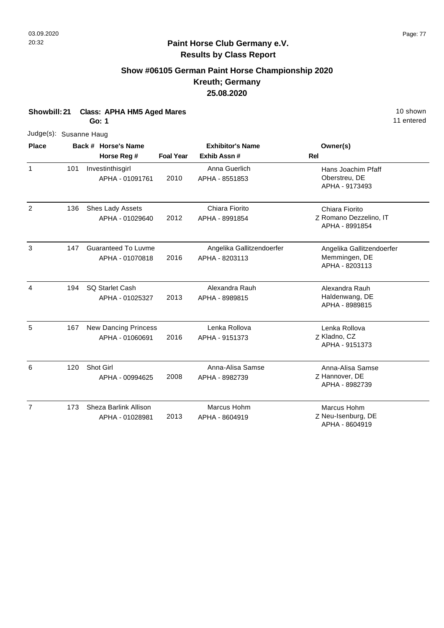# **Show #06105 German Paint Horse Championship 2020 Kreuth; Germany 25.08.2020**

| Showbill: 21<br><b>Class: APHA HM5 Aged Mares</b><br>Go: 1 |     |  |                                                |                  |                                             | 10 shown<br>11 entered                                       |  |
|------------------------------------------------------------|-----|--|------------------------------------------------|------------------|---------------------------------------------|--------------------------------------------------------------|--|
| Judge(s): Susanne Haug                                     |     |  |                                                |                  |                                             |                                                              |  |
| <b>Place</b>                                               |     |  | Back # Horse's Name                            |                  | <b>Exhibitor's Name</b>                     | Owner(s)                                                     |  |
|                                                            |     |  | Horse Reg #                                    | <b>Foal Year</b> | Exhib Assn#                                 | Rel                                                          |  |
| $\mathbf{1}$                                               | 101 |  | Investinthisgirl<br>APHA - 01091761            | 2010             | Anna Guerlich<br>APHA - 8551853             | Hans Joachim Pfaff<br>Oberstreu, DE<br>APHA - 9173493        |  |
| 2                                                          | 136 |  | Shes Lady Assets<br>APHA - 01029640            | 2012             | Chiara Fiorito<br>APHA - 8991854            | Chiara Fiorito<br>Z Romano Dezzelino, IT<br>APHA - 8991854   |  |
| 3                                                          | 147 |  | <b>Guaranteed To Luvme</b><br>APHA - 01070818  | 2016             | Angelika Gallitzendoerfer<br>APHA - 8203113 | Angelika Gallitzendoerfer<br>Memmingen, DE<br>APHA - 8203113 |  |
| 4                                                          | 194 |  | <b>SQ Starlet Cash</b><br>APHA - 01025327      | 2013             | Alexandra Rauh<br>APHA - 8989815            | Alexandra Rauh<br>Haldenwang, DE<br>APHA - 8989815           |  |
| 5                                                          | 167 |  | <b>New Dancing Princess</b><br>APHA - 01060691 | 2016             | Lenka Rollova<br>APHA - 9151373             | Lenka Rollova<br>Z Kladno, CZ<br>APHA - 9151373              |  |
| 6                                                          | 120 |  | Shot Girl<br>APHA - 00994625                   | 2008             | Anna-Alisa Samse<br>APHA - 8982739          | Anna-Alisa Samse<br>Z Hannover, DE<br>APHA - 8982739         |  |
| $\overline{7}$                                             | 173 |  | Sheza Barlink Allison<br>APHA - 01028981       | 2013             | Marcus Hohm<br>APHA - 8604919               | Marcus Hohm<br>Z Neu-Isenburg, DE<br>APHA - 8604919          |  |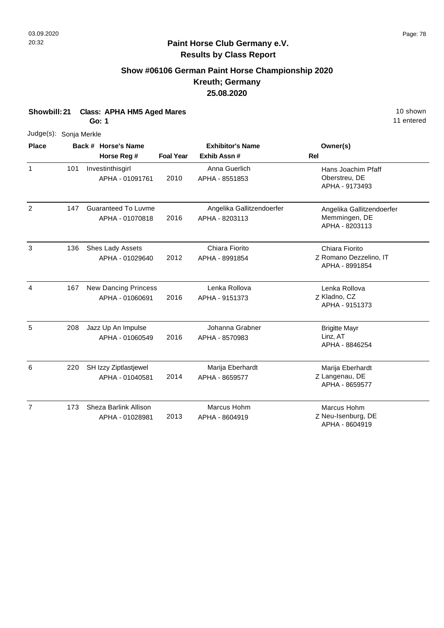# **Show #06106 German Paint Horse Championship 2020 Kreuth; Germany 25.08.2020**

| Showbill: 21<br><b>Class: APHA HM5 Aged Mares</b><br><b>Go: 1</b> |     |  |                             |                  |                           | 10 shown<br>11 entered                   |
|-------------------------------------------------------------------|-----|--|-----------------------------|------------------|---------------------------|------------------------------------------|
| Judge(s): Sonja Merkle                                            |     |  |                             |                  |                           |                                          |
| <b>Place</b>                                                      |     |  | Back # Horse's Name         |                  | <b>Exhibitor's Name</b>   | Owner(s)                                 |
|                                                                   |     |  | Horse Reg #                 | <b>Foal Year</b> | Exhib Assn#               | <b>Rel</b>                               |
| $\mathbf{1}$                                                      | 101 |  | Investinthisgirl            |                  | Anna Guerlich             | Hans Joachim Pfaff                       |
|                                                                   |     |  | APHA - 01091761             | 2010             | APHA - 8551853            | Oberstreu, DE<br>APHA - 9173493          |
| $\overline{2}$                                                    | 147 |  | <b>Guaranteed To Luvme</b>  |                  | Angelika Gallitzendoerfer | Angelika Gallitzendoerfer                |
|                                                                   |     |  | APHA - 01070818             | 2016             | APHA - 8203113            | Memmingen, DE<br>APHA - 8203113          |
| 3                                                                 | 136 |  | Shes Lady Assets            |                  | Chiara Fiorito            | Chiara Fiorito                           |
|                                                                   |     |  | APHA - 01029640             | 2012             | APHA - 8991854            | Z Romano Dezzelino, IT<br>APHA - 8991854 |
| $\overline{4}$                                                    | 167 |  | <b>New Dancing Princess</b> |                  | Lenka Rollova             | Lenka Rollova                            |
|                                                                   |     |  | APHA - 01060691             | 2016             | APHA - 9151373            | Z Kladno, CZ<br>APHA - 9151373           |
| 5                                                                 | 208 |  | Jazz Up An Impulse          |                  | Johanna Grabner           | <b>Brigitte Mayr</b>                     |
|                                                                   |     |  | APHA - 01060549             | 2016             | APHA - 8570983            | Linz, AT<br>APHA - 8846254               |
| 6                                                                 | 220 |  | SH Izzy Ziptlastjewel       |                  | Marija Eberhardt          | Marija Eberhardt                         |
|                                                                   |     |  | APHA - 01040581             | 2014             | APHA - 8659577            | Z Langenau, DE<br>APHA - 8659577         |
| $\overline{7}$                                                    | 173 |  | Sheza Barlink Allison       |                  | Marcus Hohm               | Marcus Hohm                              |
|                                                                   |     |  | APHA - 01028981             | 2013             | APHA - 8604919            | Z Neu-Isenburg, DE<br>APHA - 8604919     |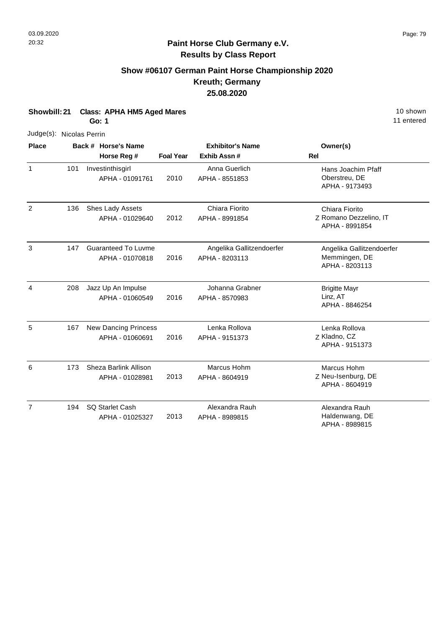# **Show #06107 German Paint Horse Championship 2020 Kreuth; Germany 25.08.2020**

| Showbill: 21<br><b>Class: APHA HM5 Aged Mares</b><br><b>Go: 1</b> |     |  |                                                |                  |                                             | 10 shown<br>11 entered                                       |
|-------------------------------------------------------------------|-----|--|------------------------------------------------|------------------|---------------------------------------------|--------------------------------------------------------------|
| Judge(s): Nicolas Perrin                                          |     |  |                                                |                  |                                             |                                                              |
| <b>Place</b>                                                      |     |  | Back # Horse's Name                            |                  | <b>Exhibitor's Name</b>                     | Owner(s)                                                     |
|                                                                   |     |  | Horse Reg #                                    | <b>Foal Year</b> | Exhib Assn #                                | Rel                                                          |
| $\mathbf{1}$                                                      | 101 |  | Investinthisgirl<br>APHA - 01091761            | 2010             | Anna Guerlich<br>APHA - 8551853             | Hans Joachim Pfaff<br>Oberstreu, DE<br>APHA - 9173493        |
| 2                                                                 | 136 |  | Shes Lady Assets<br>APHA - 01029640            | 2012             | Chiara Fiorito<br>APHA - 8991854            | Chiara Fiorito<br>Z Romano Dezzelino, IT<br>APHA - 8991854   |
| 3                                                                 | 147 |  | <b>Guaranteed To Luvme</b><br>APHA - 01070818  | 2016             | Angelika Gallitzendoerfer<br>APHA - 8203113 | Angelika Gallitzendoerfer<br>Memmingen, DE<br>APHA - 8203113 |
| 4                                                                 | 208 |  | Jazz Up An Impulse<br>APHA - 01060549          | 2016             | Johanna Grabner<br>APHA - 8570983           | <b>Brigitte Mayr</b><br>Linz, AT<br>APHA - 8846254           |
| 5                                                                 | 167 |  | <b>New Dancing Princess</b><br>APHA - 01060691 | 2016             | Lenka Rollova<br>APHA - 9151373             | Lenka Rollova<br>Z Kladno, CZ<br>APHA - 9151373              |
| 6                                                                 | 173 |  | Sheza Barlink Allison<br>APHA - 01028981       | 2013             | Marcus Hohm<br>APHA - 8604919               | Marcus Hohm<br>Z Neu-Isenburg, DE<br>APHA - 8604919          |
| $\overline{7}$                                                    | 194 |  | SQ Starlet Cash<br>APHA - 01025327             | 2013             | Alexandra Rauh<br>APHA - 8989815            | Alexandra Rauh<br>Haldenwang, DE<br>APHA - 8989815           |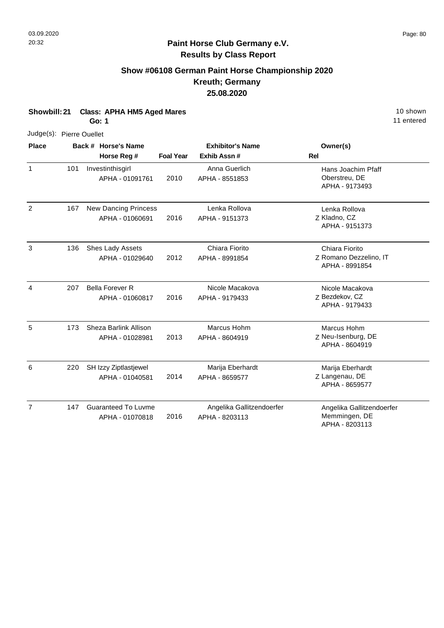# **Show #06108 German Paint Horse Championship 2020 Kreuth; Germany 25.08.2020**

| Showbill: 21<br><b>Class: APHA HM5 Aged Mares</b><br><b>Go: 1</b> |     |  |                                                |                  |                                             |                                                              | 10 shown<br>11 entered |
|-------------------------------------------------------------------|-----|--|------------------------------------------------|------------------|---------------------------------------------|--------------------------------------------------------------|------------------------|
| Judge(s): Pierre Ouellet                                          |     |  |                                                |                  |                                             |                                                              |                        |
| <b>Place</b>                                                      |     |  | Back # Horse's Name                            |                  | <b>Exhibitor's Name</b>                     | Owner(s)                                                     |                        |
|                                                                   |     |  | Horse Reg #                                    | <b>Foal Year</b> | Exhib Assn#                                 | Rel                                                          |                        |
| $\mathbf{1}$                                                      | 101 |  | Investinthisgirl<br>APHA - 01091761            | 2010             | Anna Guerlich<br>APHA - 8551853             | Hans Joachim Pfaff<br>Oberstreu, DE<br>APHA - 9173493        |                        |
| $\overline{2}$                                                    | 167 |  | <b>New Dancing Princess</b><br>APHA - 01060691 | 2016             | Lenka Rollova<br>APHA - 9151373             | Lenka Rollova<br>Z Kladno, CZ<br>APHA - 9151373              |                        |
| 3                                                                 | 136 |  | Shes Lady Assets<br>APHA - 01029640            | 2012             | Chiara Fiorito<br>APHA - 8991854            | Chiara Fiorito<br>Z Romano Dezzelino, IT<br>APHA - 8991854   |                        |
| $\overline{4}$                                                    | 207 |  | <b>Bella Forever R</b><br>APHA - 01060817      | 2016             | Nicole Macakova<br>APHA - 9179433           | Nicole Macakova<br>Z Bezdekov, CZ<br>APHA - 9179433          |                        |
| 5                                                                 | 173 |  | Sheza Barlink Allison<br>APHA - 01028981       | 2013             | Marcus Hohm<br>APHA - 8604919               | Marcus Hohm<br>Z Neu-Isenburg, DE<br>APHA - 8604919          |                        |
| 6                                                                 | 220 |  | SH Izzy Ziptlastjewel<br>APHA - 01040581       | 2014             | Marija Eberhardt<br>APHA - 8659577          | Marija Eberhardt<br>Z Langenau, DE<br>APHA - 8659577         |                        |
| $\overline{7}$                                                    | 147 |  | <b>Guaranteed To Luvme</b><br>APHA - 01070818  | 2016             | Angelika Gallitzendoerfer<br>APHA - 8203113 | Angelika Gallitzendoerfer<br>Memmingen, DE<br>APHA - 8203113 |                        |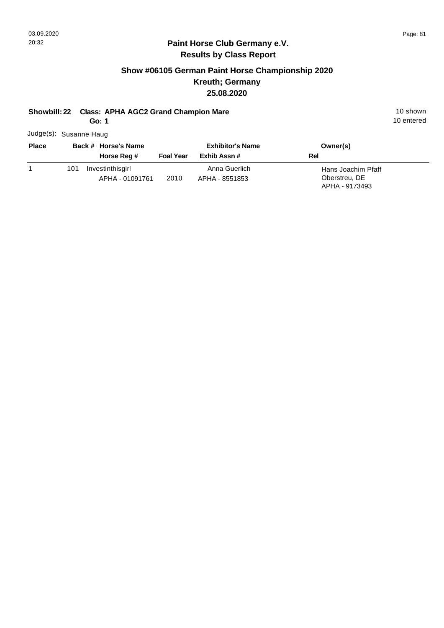#### **Show #06105 German Paint Horse Championship 2020 Kreuth; Germany 25.08.2020**

#### **Showbill: 22 Class: APHA AGC2 Grand Champion Mare** 10 Shown 10 shown

**Go: 1**

Judge(s): Susanne Haug

| <b>Place</b> | Back # Horse's Name                        |                  | <b>Exhibitor's Name</b>         | Owner(s)                                              |
|--------------|--------------------------------------------|------------------|---------------------------------|-------------------------------------------------------|
|              | Horse Reg #                                | <b>Foal Year</b> | Exhib Assn#                     | Rel                                                   |
|              | Investinthisgirl<br>101<br>APHA - 01091761 | 2010             | Anna Guerlich<br>APHA - 8551853 | Hans Joachim Pfaff<br>Oberstreu, DE<br>APHA - 9173493 |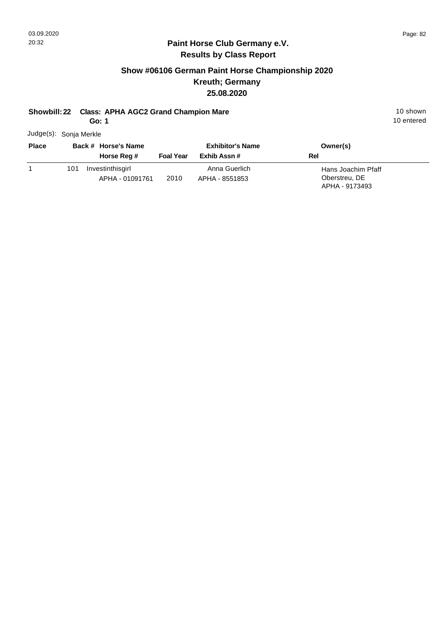#### **Show #06106 German Paint Horse Championship 2020 Kreuth; Germany 25.08.2020**

#### **Showbill: 22 Class: APHA AGC2 Grand Champion Mare** 10 Shown 10 shown

**Go: 1**

Judge(s): Sonja Merkle

| <b>Place</b> |     | Back # Horse's Name                 | <b>Exhibitor's Name</b> |                                 | Owner(s)                                              |  |
|--------------|-----|-------------------------------------|-------------------------|---------------------------------|-------------------------------------------------------|--|
|              |     | Horse Reg #                         | <b>Foal Year</b>        | Exhib Assn #                    | Rel                                                   |  |
|              | 101 | Investinthisgirl<br>APHA - 01091761 | 2010                    | Anna Guerlich<br>APHA - 8551853 | Hans Joachim Pfaff<br>Oberstreu, DE<br>APHA - 9173493 |  |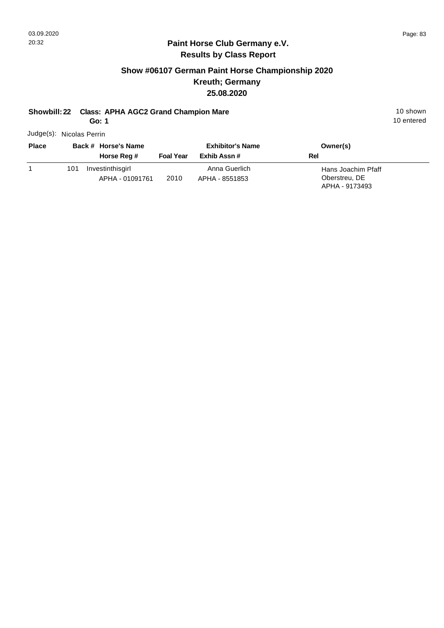#### **Show #06107 German Paint Horse Championship 2020 Kreuth; Germany 25.08.2020**

# **Showbill: 22 Class: APHA AGC2 Grand Champion Mare** 10 Shown 10 shown

**Go: 1**

Judge(s): Nicolas Perrin

| <b>Place</b> |     | Back # Horse's Name                 |                  | <b>Exhibitor's Name</b>         | Owner(s)                                              |
|--------------|-----|-------------------------------------|------------------|---------------------------------|-------------------------------------------------------|
|              |     | Horse Reg #                         | <b>Foal Year</b> | Exhib Assn #                    | Rel                                                   |
|              | 101 | Investinthisgirl<br>APHA - 01091761 | 2010             | Anna Guerlich<br>APHA - 8551853 | Hans Joachim Pfaff<br>Oberstreu, DE<br>APHA - 9173493 |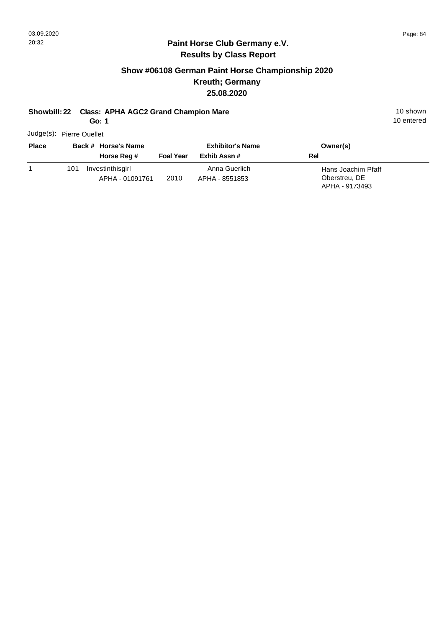#### **Show #06108 German Paint Horse Championship 2020 Kreuth; Germany 25.08.2020**

#### **Showbill: 22 Class: APHA AGC2 Grand Champion Mare** 10 Shown 10 shown

**Go: 1**

Judge(s): Pierre Ouellet

| <b>Place</b> | Back # Horse's Name |                                     |                  | <b>Exhibitor's Name</b>         | Owner(s)                                              |  |
|--------------|---------------------|-------------------------------------|------------------|---------------------------------|-------------------------------------------------------|--|
|              |                     | Horse Reg #                         | <b>Foal Year</b> | Exhib Assn #                    | Rel                                                   |  |
|              | 101                 | Investinthisgirl<br>APHA - 01091761 | 2010             | Anna Guerlich<br>APHA - 8551853 | Hans Joachim Pfaff<br>Oberstreu, DE<br>APHA - 9173493 |  |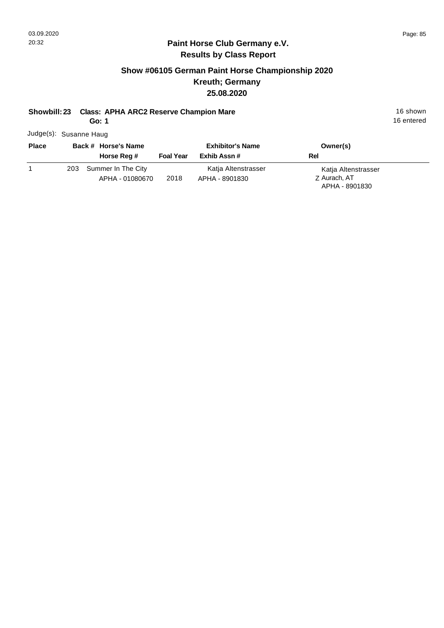## **Show #06105 German Paint Horse Championship 2020 Kreuth; Germany 25.08.2020**

## **Showbill: 23 Class: APHA ARC2 Reserve Champion Mare** 16 Shown 16 shown

**Go: 1**

Judge(s): Susanne Haug

| <b>Place</b> |     | Back # Horse's Name                   | <b>Exhibitor's Name</b> |                                       | Owner(s)                                              |  |
|--------------|-----|---------------------------------------|-------------------------|---------------------------------------|-------------------------------------------------------|--|
|              |     | Horse Reg #                           | <b>Foal Year</b>        | Exhib Assn #                          | Rel                                                   |  |
|              | 203 | Summer In The City<br>APHA - 01080670 | 2018                    | Katja Altenstrasser<br>APHA - 8901830 | Katja Altenstrasser<br>Z Aurach, AT<br>APHA - 8901830 |  |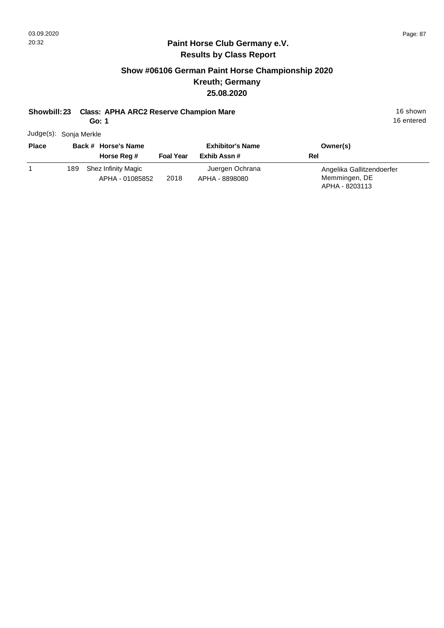## **Show #06106 German Paint Horse Championship 2020 Kreuth; Germany 25.08.2020**

#### **Showbill: 23 Class: APHA ARC2 Reserve Champion Mare** 16 Shown 16 shown

**Go: 1**

16 entered

Judge(s): Sonja Merkle

| <b>Place</b> | Back # Horse's Name                           |                  | <b>Exhibitor's Name</b>           | Owner(s)                                                     |
|--------------|-----------------------------------------------|------------------|-----------------------------------|--------------------------------------------------------------|
|              | Horse Reg #                                   | <b>Foal Year</b> | Exhib Assn #                      | Rel                                                          |
|              | Shez Infinity Magic<br>189<br>APHA - 01085852 | 2018             | Juergen Ochrana<br>APHA - 8898080 | Angelika Gallitzendoerfer<br>Memmingen, DE<br>APHA - 8203113 |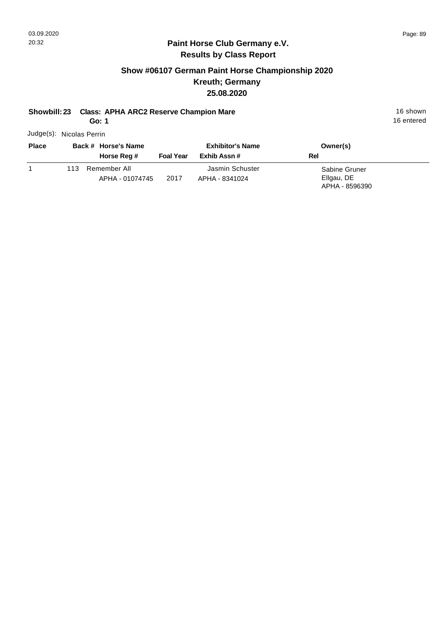## **Show #06107 German Paint Horse Championship 2020 Kreuth; Germany 25.08.2020**

## **Showbill: 23 Class: APHA ARC2 Reserve Champion Mare** 16 Shown 16 shown

**Go: 1**

Judge(s): Nicolas Perrin **Back # Horse's Name Place Owner(s) Exhibitor's Name**

|      | Horse Reg #                     | <b>Foal Year</b> | Exhib Assn #                      | Rel                                           |  |
|------|---------------------------------|------------------|-----------------------------------|-----------------------------------------------|--|
| 113. | Remember All<br>APHA - 01074745 | 2017             | Jasmin Schuster<br>APHA - 8341024 | Sabine Gruner<br>Ellgau, DE<br>APHA - 8596390 |  |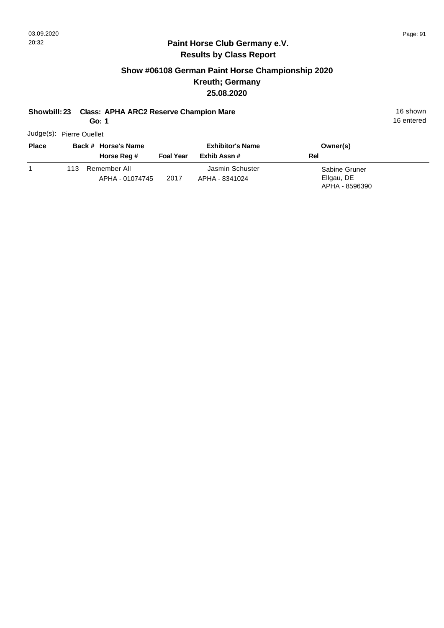## **Show #06108 German Paint Horse Championship 2020 Kreuth; Germany 25.08.2020**

#### **Showbill: 23 Class: APHA ARC2 Reserve Champion Mare** 16 Shown 16 shown

**Go: 1**

Judge(s): Pierre Ouellet

| <b>Place</b> |      | Back # Horse's Name             |                  | <b>Exhibitor's Name</b>           | Owner(s)                                      |
|--------------|------|---------------------------------|------------------|-----------------------------------|-----------------------------------------------|
|              |      | Horse Reg #                     | <b>Foal Year</b> | Exhib Assn #                      | Rel                                           |
|              | 113. | Remember All<br>APHA - 01074745 | 2017             | Jasmin Schuster<br>APHA - 8341024 | Sabine Gruner<br>Ellgau, DE<br>APHA - 8596390 |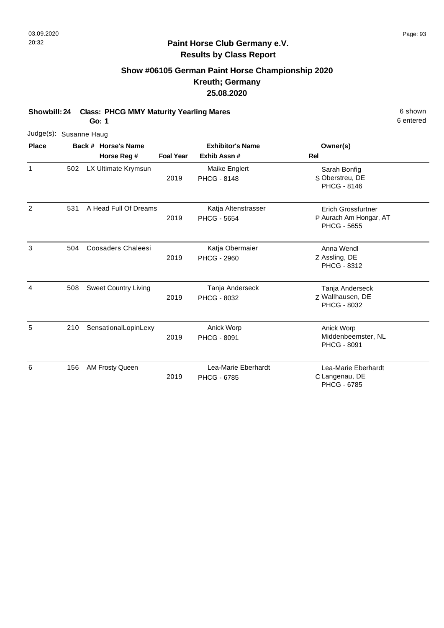#### **Show #06105 German Paint Horse Championship 2020 Kreuth; Germany 25.08.2020**

**Showbill: 24 Class: PHCG MMY Maturity Yearling Mares** 6 Shown 6 shown **Go: 1**

Judge(s): Susanne Haug **Back # Horse's Name Place Owner(s) Horse Reg # Exhib Assn # Foal Year Rel Exhibitor's Name** 1 S Oberstreu, DE Sarah Bonfig PHCG - 8146 2019 502 LX Ultimate Krymsun Maike Englert PHCG - 8148 2 P Aurach Am Hongar, AT Erich Grossfurtner PHCG - 5655 2019 A Head Full Of Dreams Katja Altenstrasser PHCG - 5654 531 3 Z Assling, DE Anna Wendl PHCG - 8312 2019 Coosaders Chaleesi Katja Obermaier PHCG - 2960 504 4 Z Wallhausen, DE Tanja Anderseck PHCG - 8032 2019 Sweet Country Living Tanja Anderseck PHCG - 8032 508 5 Anick Worp 210 SensationalLopinLexy **Anick Worp Anick Worp 3** Anick Worp Middenbeemster, NL PHCG - 8091 2019 PHCG - 8091 6 C Langenau, DE Lea-Marie Eberhardt PHCG - 6785 2019 AM Frosty Queen Lea-Marie Eberhardt PHCG - 6785 156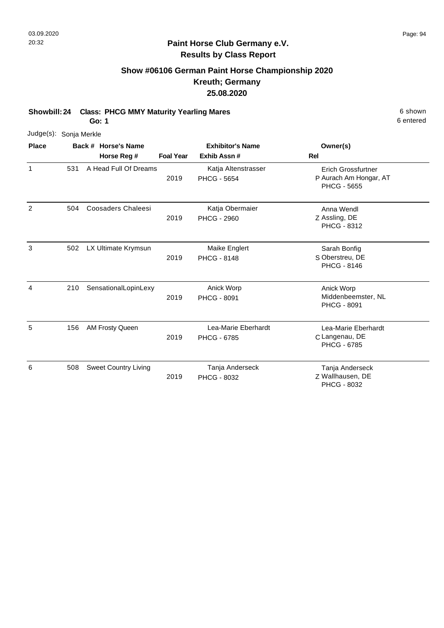## **Show #06106 German Paint Horse Championship 2020 Kreuth; Germany 25.08.2020**

**Showbill: 24 Class: PHCG MMY Maturity Yearling Mares** 6 Shown 6 shown

**Go: 1**

| Judge(s): Sonja Merkle |     |                             |                  |                                           |                                                                           |
|------------------------|-----|-----------------------------|------------------|-------------------------------------------|---------------------------------------------------------------------------|
| Place                  |     | Back # Horse's Name         |                  | <b>Exhibitor's Name</b>                   | Owner(s)                                                                  |
|                        |     | Horse Reg #                 | <b>Foal Year</b> | Exhib Assn#                               | Rel                                                                       |
| $\mathbf{1}$           | 531 | A Head Full Of Dreams       | 2019             | Katja Altenstrasser<br><b>PHCG - 5654</b> | <b>Erich Grossfurtner</b><br>P Aurach Am Hongar, AT<br><b>PHCG - 5655</b> |
| 2                      | 504 | <b>Coosaders Chaleesi</b>   | 2019             | Katja Obermaier<br><b>PHCG - 2960</b>     | Anna Wendl<br>Z Assling, DE<br>PHCG - 8312                                |
| 3                      | 502 | LX Ultimate Krymsun         | 2019             | Maike Englert<br><b>PHCG - 8148</b>       | Sarah Bonfig<br>S Oberstreu, DE<br><b>PHCG - 8146</b>                     |
| 4                      | 210 | SensationalLopinLexy        | 2019             | Anick Worp<br><b>PHCG - 8091</b>          | Anick Worp<br>Middenbeemster, NL<br><b>PHCG - 8091</b>                    |
| 5                      | 156 | AM Frosty Queen             | 2019             | Lea-Marie Eberhardt<br><b>PHCG - 6785</b> | Lea-Marie Eberhardt<br>C Langenau, DE<br><b>PHCG - 6785</b>               |
| 6                      | 508 | <b>Sweet Country Living</b> | 2019             | Tanja Anderseck<br><b>PHCG - 8032</b>     | Tanja Anderseck<br>Z Wallhausen, DE<br>PHCG - 8032                        |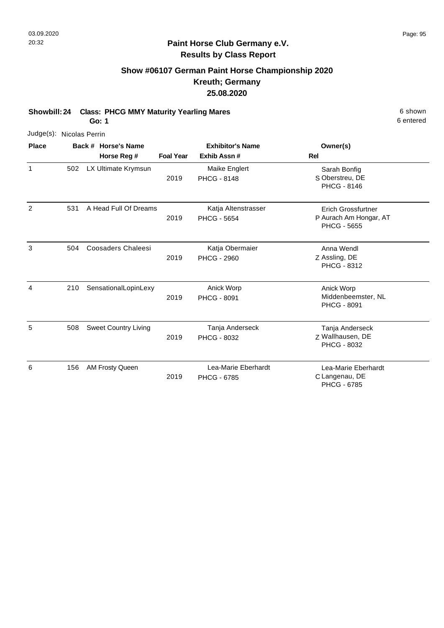## **Show #06107 German Paint Horse Championship 2020 Kreuth; Germany 25.08.2020**

**Showbill: 24 Class: PHCG MMY Maturity Yearling Mares** 6 Shown 6 shown

**Go: 1**

| Judge(s): Nicolas Perrin |     |                             |                  |                                           |                                                                           |
|--------------------------|-----|-----------------------------|------------------|-------------------------------------------|---------------------------------------------------------------------------|
| <b>Place</b>             |     | Back # Horse's Name         |                  | <b>Exhibitor's Name</b>                   | Owner(s)                                                                  |
|                          |     | Horse Reg #                 | <b>Foal Year</b> | Exhib Assn#                               | <b>Rel</b>                                                                |
| 1                        | 502 | LX Ultimate Krymsun         | 2019             | Maike Englert<br><b>PHCG - 8148</b>       | Sarah Bonfig<br>S Oberstreu, DE<br><b>PHCG - 8146</b>                     |
| $\overline{2}$           | 531 | A Head Full Of Dreams       | 2019             | Katja Altenstrasser<br><b>PHCG - 5654</b> | <b>Erich Grossfurtner</b><br>P Aurach Am Hongar, AT<br><b>PHCG - 5655</b> |
| 3                        | 504 | Coosaders Chaleesi          | 2019             | Katja Obermaier<br><b>PHCG - 2960</b>     | Anna Wendl<br>Z Assling, DE<br>PHCG - 8312                                |
| 4                        | 210 | SensationalLopinLexy        | 2019             | Anick Worp<br><b>PHCG - 8091</b>          | Anick Worp<br>Middenbeemster, NL<br><b>PHCG - 8091</b>                    |
| 5                        | 508 | <b>Sweet Country Living</b> | 2019             | Tanja Anderseck<br>PHCG - 8032            | Tanja Anderseck<br>Z Wallhausen, DE<br><b>PHCG - 8032</b>                 |
| 6                        | 156 | AM Frosty Queen             | 2019             | Lea-Marie Eberhardt<br><b>PHCG - 6785</b> | Lea-Marie Eberhardt<br>C Langenau, DE<br><b>PHCG - 6785</b>               |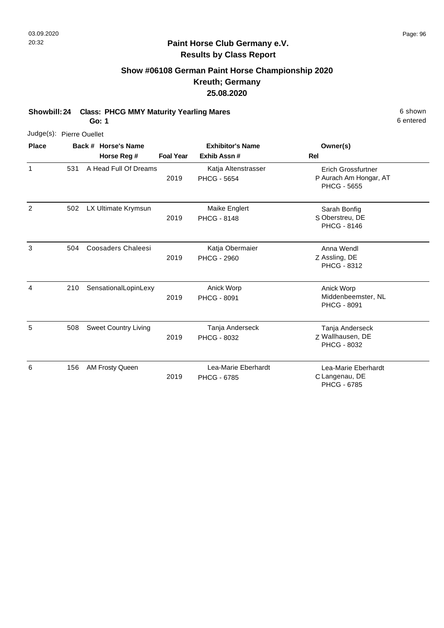## **Show #06108 German Paint Horse Championship 2020 Kreuth; Germany 25.08.2020**

**Showbill: 24 Class: PHCG MMY Maturity Yearling Mares** 6 Shown 6 shown

**Go: 1**

|              | Judge(s): Pierre Ouellet |  |                             |                  |                                           |                                                                           |  |  |  |  |
|--------------|--------------------------|--|-----------------------------|------------------|-------------------------------------------|---------------------------------------------------------------------------|--|--|--|--|
| <b>Place</b> |                          |  | Back # Horse's Name         |                  | <b>Exhibitor's Name</b>                   | Owner(s)                                                                  |  |  |  |  |
|              |                          |  | Horse Reg #                 | <b>Foal Year</b> | Exhib Assn#                               | Rel                                                                       |  |  |  |  |
| 1            | 531                      |  | A Head Full Of Dreams       | 2019             | Katja Altenstrasser<br><b>PHCG - 5654</b> | <b>Erich Grossfurtner</b><br>P Aurach Am Hongar, AT<br><b>PHCG - 5655</b> |  |  |  |  |
| 2            | 502                      |  | LX Ultimate Krymsun         | 2019             | Maike Englert<br><b>PHCG - 8148</b>       | Sarah Bonfig<br>S Oberstreu, DE<br><b>PHCG - 8146</b>                     |  |  |  |  |
| 3            | 504                      |  | <b>Coosaders Chaleesi</b>   | 2019             | Katja Obermaier<br><b>PHCG - 2960</b>     | Anna Wendl<br>Z Assling, DE<br>PHCG - 8312                                |  |  |  |  |
| 4            | 210                      |  | SensationalLopinLexy        | 2019             | Anick Worp<br><b>PHCG - 8091</b>          | Anick Worp<br>Middenbeemster, NL<br>PHCG - 8091                           |  |  |  |  |
| 5            | 508                      |  | <b>Sweet Country Living</b> | 2019             | Tanja Anderseck<br><b>PHCG - 8032</b>     | Tanja Anderseck<br>Z Wallhausen, DE<br>PHCG - 8032                        |  |  |  |  |
| 6            | 156                      |  | AM Frosty Queen             | 2019             | Lea-Marie Eberhardt<br><b>PHCG - 6785</b> | Lea-Marie Eberhardt<br>C Langenau, DE<br>PHCG - 6785                      |  |  |  |  |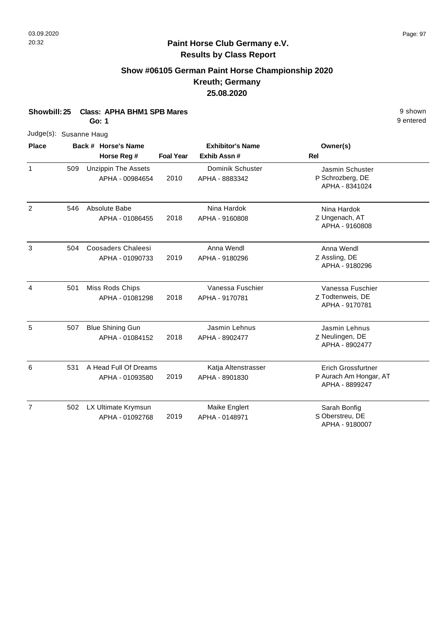## **Show #06105 German Paint Horse Championship 2020 Kreuth; Germany 25.08.2020**

| Showbill: 25<br><b>Class: APHA BHM1 SPB Mares</b><br>Go: 1 |     |                                               |                  |                                       |                                                                       |  |  |
|------------------------------------------------------------|-----|-----------------------------------------------|------------------|---------------------------------------|-----------------------------------------------------------------------|--|--|
| Judge(s): Susanne Haug                                     |     |                                               |                  |                                       |                                                                       |  |  |
| <b>Place</b>                                               |     | Back # Horse's Name                           |                  | <b>Exhibitor's Name</b>               | Owner(s)                                                              |  |  |
|                                                            |     | Horse Reg #                                   | <b>Foal Year</b> | Exhib Assn#                           | Rel                                                                   |  |  |
| $\mathbf{1}$                                               | 509 | <b>Unzippin The Assets</b><br>APHA - 00984654 | 2010             | Dominik Schuster<br>APHA - 8883342    | Jasmin Schuster<br>P Schrozberg, DE<br>APHA - 8341024                 |  |  |
| $\overline{2}$                                             | 546 | Absolute Babe<br>APHA - 01086455              | 2018             | Nina Hardok<br>APHA - 9160808         | Nina Hardok<br>Z Ungenach, AT<br>APHA - 9160808                       |  |  |
| 3                                                          | 504 | <b>Coosaders Chaleesi</b><br>APHA - 01090733  | 2019             | Anna Wendl<br>APHA - 9180296          | Anna Wendl<br>Z Assling, DE<br>APHA - 9180296                         |  |  |
| $\overline{4}$                                             | 501 | Miss Rods Chips<br>APHA - 01081298            | 2018             | Vanessa Fuschier<br>APHA - 9170781    | Vanessa Fuschier<br>Z Todtenweis, DE<br>APHA - 9170781                |  |  |
| 5                                                          | 507 | <b>Blue Shining Gun</b><br>APHA - 01084152    | 2018             | Jasmin Lehnus<br>APHA - 8902477       | Jasmin Lehnus<br>Z Neulingen, DE<br>APHA - 8902477                    |  |  |
| 6                                                          | 531 | A Head Full Of Dreams<br>APHA - 01093580      | 2019             | Katja Altenstrasser<br>APHA - 8901830 | <b>Erich Grossfurtner</b><br>P Aurach Am Hongar, AT<br>APHA - 8899247 |  |  |
| $\overline{7}$                                             | 502 | LX Ultimate Krymsun<br>APHA - 01092768        | 2019             | Maike Englert<br>APHA - 0148971       | Sarah Bonfig<br>S Oberstreu, DE<br>APHA - 9180007                     |  |  |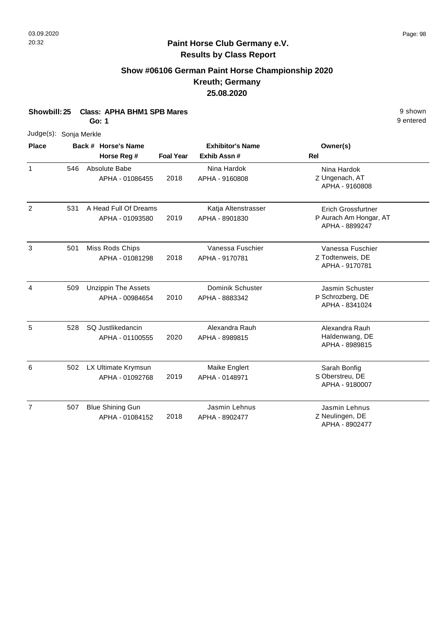## **Show #06106 German Paint Horse Championship 2020 Kreuth; Germany 25.08.2020**

| Showbill: 25           |     | <b>Class: APHA BHM1 SPB Mares</b><br><b>Go: 1</b> |                  |                         |                                          | 9 shown<br>9 entered |
|------------------------|-----|---------------------------------------------------|------------------|-------------------------|------------------------------------------|----------------------|
| Judge(s): Sonja Merkle |     |                                                   |                  |                         |                                          |                      |
| <b>Place</b>           |     | Back # Horse's Name                               |                  | <b>Exhibitor's Name</b> | Owner(s)                                 |                      |
|                        |     | Horse Reg #                                       | <b>Foal Year</b> | Exhib Assn#             | Rel                                      |                      |
| $\mathbf{1}$           | 546 | Absolute Babe                                     |                  | Nina Hardok             | Nina Hardok                              |                      |
|                        |     | APHA - 01086455                                   | 2018             | APHA - 9160808          | Z Ungenach, AT<br>APHA - 9160808         |                      |
| $\overline{2}$         | 531 | A Head Full Of Dreams                             |                  | Katja Altenstrasser     | <b>Erich Grossfurtner</b>                |                      |
|                        |     | APHA - 01093580                                   | 2019             | APHA - 8901830          | P Aurach Am Hongar, AT<br>APHA - 8899247 |                      |
| 3                      | 501 | Miss Rods Chips                                   |                  | Vanessa Fuschier        | Vanessa Fuschier                         |                      |
|                        |     | APHA - 01081298                                   | 2018             | APHA - 9170781          | Z Todtenweis, DE<br>APHA - 9170781       |                      |
| $\overline{4}$         | 509 | <b>Unzippin The Assets</b>                        |                  | Dominik Schuster        | Jasmin Schuster                          |                      |
|                        |     | APHA - 00984654                                   | 2010             | APHA - 8883342          | P Schrozberg, DE<br>APHA - 8341024       |                      |
| 5                      | 528 | SQ Justlikedancin                                 |                  | Alexandra Rauh          | Alexandra Rauh                           |                      |
|                        |     | APHA - 01100555                                   | 2020             | APHA - 8989815          | Haldenwang, DE<br>APHA - 8989815         |                      |
| 6                      | 502 | LX Ultimate Krymsun                               |                  | Maike Englert           | Sarah Bonfig                             |                      |
|                        |     | APHA - 01092768                                   | 2019             | APHA - 0148971          | S Oberstreu, DE<br>APHA - 9180007        |                      |
| $\overline{7}$         | 507 | <b>Blue Shining Gun</b>                           |                  | Jasmin Lehnus           | Jasmin Lehnus                            |                      |
|                        |     | APHA - 01084152                                   | 2018             | APHA - 8902477          | Z Neulingen, DE<br>APHA - 8902477        |                      |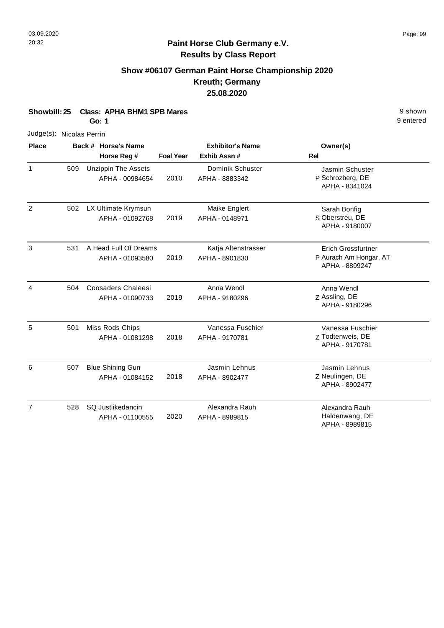## **Show #06107 German Paint Horse Championship 2020 Kreuth; Germany 25.08.2020**

| Showbill: 25             |     | <b>Class: APHA BHM1 SPB Mares</b><br><b>Go: 1</b> |                  |                                       |                                                                       |  |  |
|--------------------------|-----|---------------------------------------------------|------------------|---------------------------------------|-----------------------------------------------------------------------|--|--|
| Judge(s): Nicolas Perrin |     |                                                   |                  |                                       |                                                                       |  |  |
| <b>Place</b>             |     | Back # Horse's Name                               |                  | <b>Exhibitor's Name</b>               | Owner(s)                                                              |  |  |
|                          |     | Horse Reg #                                       | <b>Foal Year</b> | Exhib Assn#                           | <b>Rel</b>                                                            |  |  |
| $\mathbf{1}$             | 509 | <b>Unzippin The Assets</b><br>APHA - 00984654     | 2010             | Dominik Schuster<br>APHA - 8883342    | Jasmin Schuster<br>P Schrozberg, DE<br>APHA - 8341024                 |  |  |
| $\overline{2}$           | 502 | LX Ultimate Krymsun<br>APHA - 01092768            | 2019             | Maike Englert<br>APHA - 0148971       | Sarah Bonfig<br>S Oberstreu, DE<br>APHA - 9180007                     |  |  |
| 3                        | 531 | A Head Full Of Dreams<br>APHA - 01093580          | 2019             | Katja Altenstrasser<br>APHA - 8901830 | <b>Erich Grossfurtner</b><br>P Aurach Am Hongar, AT<br>APHA - 8899247 |  |  |
| $\overline{4}$           | 504 | Coosaders Chaleesi<br>APHA - 01090733             | 2019             | Anna Wendl<br>APHA - 9180296          | Anna Wendl<br>Z Assling, DE<br>APHA - 9180296                         |  |  |
| 5                        | 501 | Miss Rods Chips<br>APHA - 01081298                | 2018             | Vanessa Fuschier<br>APHA - 9170781    | Vanessa Fuschier<br>Z Todtenweis, DE<br>APHA - 9170781                |  |  |
| 6                        | 507 | <b>Blue Shining Gun</b><br>APHA - 01084152        | 2018             | Jasmin Lehnus<br>APHA - 8902477       | Jasmin Lehnus<br>Z Neulingen, DE<br>APHA - 8902477                    |  |  |
| $\overline{7}$           | 528 | SQ Justlikedancin<br>APHA - 01100555              | 2020             | Alexandra Rauh<br>APHA - 8989815      | Alexandra Rauh<br>Haldenwang, DE<br>APHA - 8989815                    |  |  |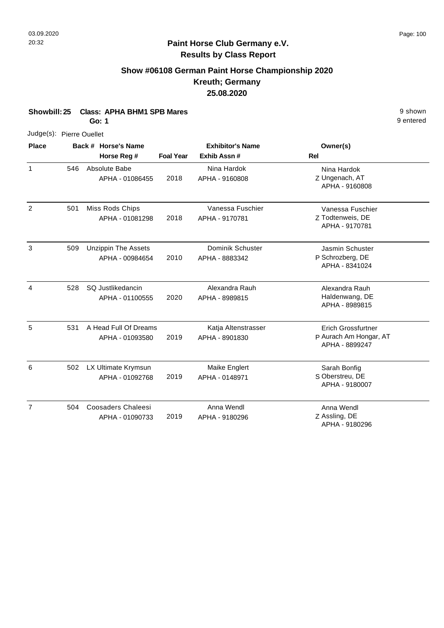## **Show #06108 German Paint Horse Championship 2020 Kreuth; Germany 25.08.2020**

| Showbill: 25             |     | <b>Class: APHA BHM1 SPB Mares</b><br>Go: 1    |                  |                                       |                                                                       | 9 shown<br>9 entered |
|--------------------------|-----|-----------------------------------------------|------------------|---------------------------------------|-----------------------------------------------------------------------|----------------------|
| Judge(s): Pierre Ouellet |     |                                               |                  |                                       |                                                                       |                      |
| <b>Place</b>             |     | Back # Horse's Name                           |                  | <b>Exhibitor's Name</b>               | Owner(s)                                                              |                      |
|                          |     | Horse Reg #                                   | <b>Foal Year</b> | Exhib Assn #                          | <b>Rel</b>                                                            |                      |
| $\mathbf{1}$             | 546 | Absolute Babe<br>APHA - 01086455              | 2018             | Nina Hardok<br>APHA - 9160808         | Nina Hardok<br>Z Ungenach, AT<br>APHA - 9160808                       |                      |
| $\overline{2}$           | 501 | Miss Rods Chips<br>APHA - 01081298            | 2018             | Vanessa Fuschier<br>APHA - 9170781    | Vanessa Fuschier<br>Z Todtenweis, DE<br>APHA - 9170781                |                      |
| 3                        | 509 | <b>Unzippin The Assets</b><br>APHA - 00984654 | 2010             | Dominik Schuster<br>APHA - 8883342    | Jasmin Schuster<br>P Schrozberg, DE<br>APHA - 8341024                 |                      |
| $\overline{4}$           | 528 | SQ Justlikedancin<br>APHA - 01100555          | 2020             | Alexandra Rauh<br>APHA - 8989815      | Alexandra Rauh<br>Haldenwang, DE<br>APHA - 8989815                    |                      |
| 5                        | 531 | A Head Full Of Dreams<br>APHA - 01093580      | 2019             | Katja Altenstrasser<br>APHA - 8901830 | <b>Erich Grossfurtner</b><br>P Aurach Am Hongar, AT<br>APHA - 8899247 |                      |
| 6                        | 502 | LX Ultimate Krymsun<br>APHA - 01092768        | 2019             | Maike Englert<br>APHA - 0148971       | Sarah Bonfig<br>S Oberstreu, DE<br>APHA - 9180007                     |                      |
| $\overline{7}$           | 504 | <b>Coosaders Chaleesi</b><br>APHA - 01090733  | 2019             | Anna Wendl<br>APHA - 9180296          | Anna Wendl<br>Z Assling, DE<br>APHA - 9180296                         |                      |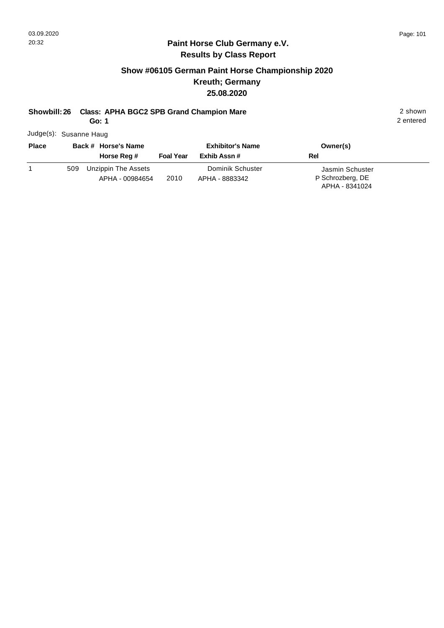#### **Paint Horse Club Germany e.V. Results by Class Report**

## **Show #06105 German Paint Horse Championship 2020 Kreuth; Germany 25.08.2020**

# **Showbill: 26 Class: APHA BGC2 SPB Grand Champion Mare** 2 shown

**Go: 1**

Judge(s): Susanne Haug

| <b>Place</b> |     | Back # Horse's Name<br>Horse Reg #     | <b>Foal Year</b> | <b>Exhibitor's Name</b><br>Exhib Assn # | Owner(s)<br>Rel                                       |
|--------------|-----|----------------------------------------|------------------|-----------------------------------------|-------------------------------------------------------|
|              | 509 | Unzippin The Assets<br>APHA - 00984654 | 2010             | Dominik Schuster<br>APHA - 8883342      | Jasmin Schuster<br>P Schrozberg, DE<br>APHA - 8341024 |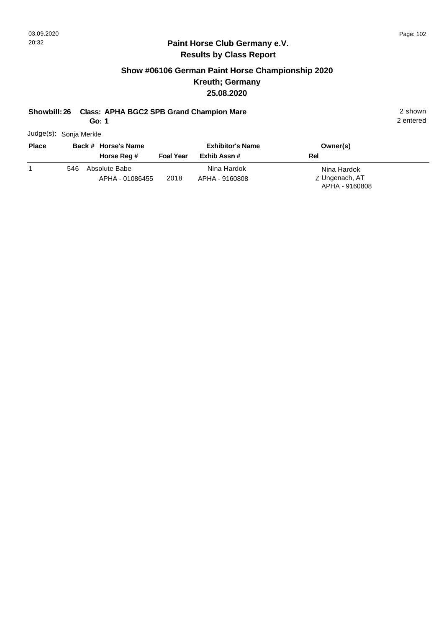#### **Paint Horse Club Germany e.V. Results by Class Report**

## **Show #06106 German Paint Horse Championship 2020 Kreuth; Germany 25.08.2020**

## **Showbill: 26 Class: APHA BGC2 SPB Grand Champion Mare** 2 shown

**Go: 1**

Judge(s): Sonja Merkle

| <b>Place</b> |     | Back # Horse's Name<br>Horse Reg # | <b>Foal Year</b> | <b>Exhibitor's Name</b><br>Exhib Assn # | Owner(s)<br><b>Rel</b>                          |
|--------------|-----|------------------------------------|------------------|-----------------------------------------|-------------------------------------------------|
|              | 546 | Absolute Babe<br>APHA - 01086455   | 2018             | Nina Hardok<br>APHA - 9160808           | Nina Hardok<br>Z Ungenach, AT<br>APHA - 9160808 |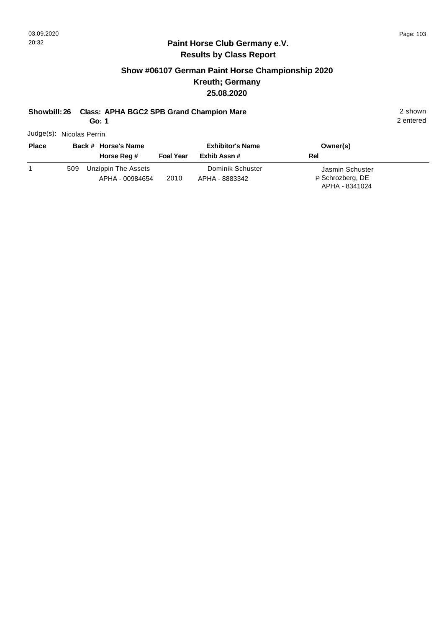#### **Paint Horse Club Germany e.V. Results by Class Report**

## **Show #06107 German Paint Horse Championship 2020 Kreuth; Germany 25.08.2020**

# **Showbill: 26 Class: APHA BGC2 SPB Grand Champion Mare** 2 shown

**Go: 1**

Judge(s): Nicolas Perrin

| <b>Place</b> | Back # Horse's Name<br>Horse Reg #            | <b>Foal Year</b> | <b>Exhibitor's Name</b><br>Exhib Assn # | Owner(s)<br>Rel                                       |  |
|--------------|-----------------------------------------------|------------------|-----------------------------------------|-------------------------------------------------------|--|
|              | Unzippin The Assets<br>509<br>APHA - 00984654 | 2010             | Dominik Schuster<br>APHA - 8883342      | Jasmin Schuster<br>P Schrozberg, DE<br>APHA - 8341024 |  |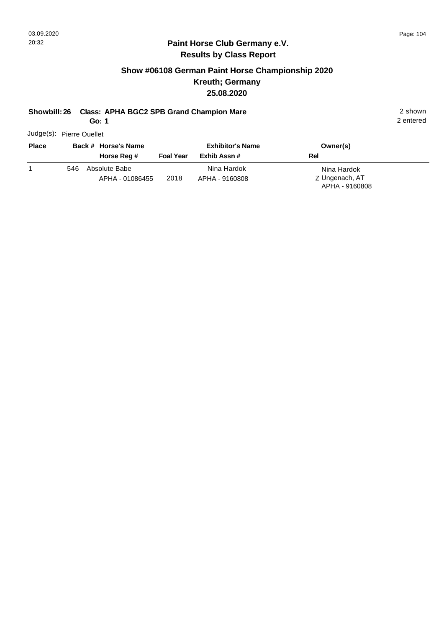#### **Paint Horse Club Germany e.V. Results by Class Report**

## **Show #06108 German Paint Horse Championship 2020 Kreuth; Germany 25.08.2020**

## **Showbill: 26 Class: APHA BGC2 SPB Grand Champion Mare** 2 shown

**Go: 1**

Judge(s): Pierre Ouellet

| <b>Place</b> |     | Back # Horse's Name              |                  | <b>Exhibitor's Name</b>       | Owner(s)                                        |  |
|--------------|-----|----------------------------------|------------------|-------------------------------|-------------------------------------------------|--|
|              |     | Horse Reg #                      | <b>Foal Year</b> | Exhib Assn #                  | Rel                                             |  |
|              | 546 | Absolute Babe<br>APHA - 01086455 | 2018             | Nina Hardok<br>APHA - 9160808 | Nina Hardok<br>Z Ungenach, AT<br>APHA - 9160808 |  |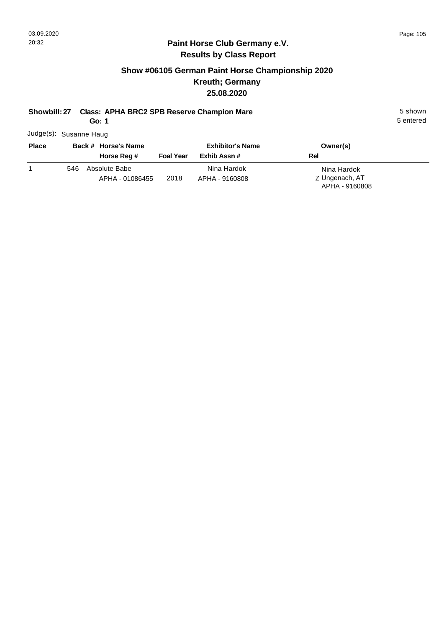#### **Paint Horse Club Germany e.V. Results by Class Report**

## **Show #06105 German Paint Horse Championship 2020 Kreuth; Germany 25.08.2020**

## **Showbill: 27 Class: APHA BRC2 SPB Reserve Champion Mare** 5 Shown 5 shown

**Go: 1**

Judge(s): Susanne Haug

| <b>Place</b> | Back # Horse's Name |                                  | <b>Exhibitor's Name</b> |                               | Owner(s)                      |
|--------------|---------------------|----------------------------------|-------------------------|-------------------------------|-------------------------------|
|              |                     | Horse Reg #                      | <b>Foal Year</b>        | Exhib Assn #                  | Rel                           |
|              | 546                 | Absolute Babe<br>APHA - 01086455 | 2018                    | Nina Hardok<br>APHA - 9160808 | Nina Hardok<br>Z Ungenach, AT |
|              |                     |                                  |                         |                               | APHA - 9160808                |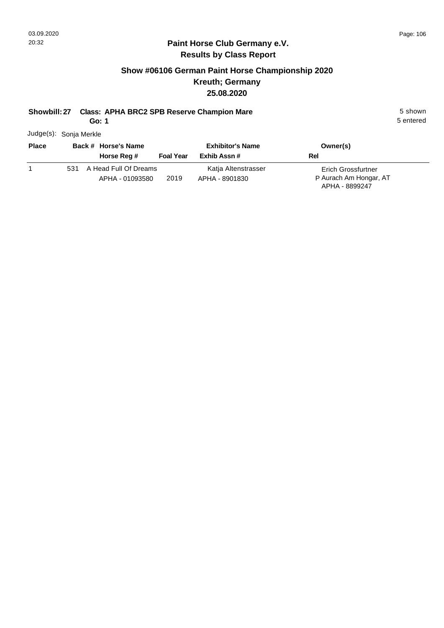#### **Paint Horse Club Germany e.V. Results by Class Report**

### **Show #06106 German Paint Horse Championship 2020 Kreuth; Germany 25.08.2020**

## **Showbill: 27 Class: APHA BRC2 SPB Reserve Champion Mare** 5 Shown

**Go: 1**

Judge(s): Sonja Merkle

| <b>Place</b> |     | Back # Horse's Name   |                  | <b>Exhibitor's Name</b> | Owner(s)                  |
|--------------|-----|-----------------------|------------------|-------------------------|---------------------------|
|              |     | Horse Reg #           | <b>Foal Year</b> | Exhib Assn #            | <b>Rel</b>                |
|              | 531 | A Head Full Of Dreams |                  | Katja Altenstrasser     | <b>Erich Grossfurtner</b> |
|              |     | APHA - 01093580       | 2019             | APHA - 8901830          | P Aurach Am Hongar, AT    |
|              |     |                       |                  |                         | APHA - 8899247            |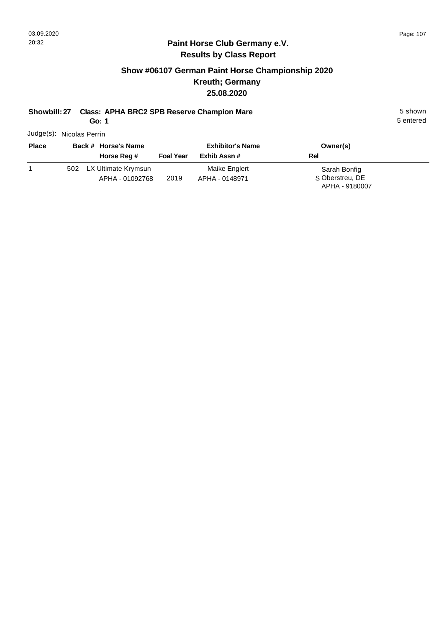#### **Paint Horse Club Germany e.V. Results by Class Report**

## **Show #06107 German Paint Horse Championship 2020 Kreuth; Germany 25.08.2020**

# **Showbill: 27 Class: APHA BRC2 SPB Reserve Champion Mare** 5 Shown 5 shown

**Go: 1**

Judge(s): Nicolas Perrin

| <b>Place</b> | Back # Horse's Name<br>Horse Reg # | <b>Foal Year</b> | <b>Exhibitor's Name</b><br>Exhib Assn # | Owner(s)<br><b>Rel</b>          |
|--------------|------------------------------------|------------------|-----------------------------------------|---------------------------------|
|              | 502 LX Ultimate Krymsun            |                  | Maike Englert                           | Sarah Bonfig<br>S Oberstreu, DE |
|              | APHA - 01092768                    | 2019             | APHA - 0148971                          | APHA - 9180007                  |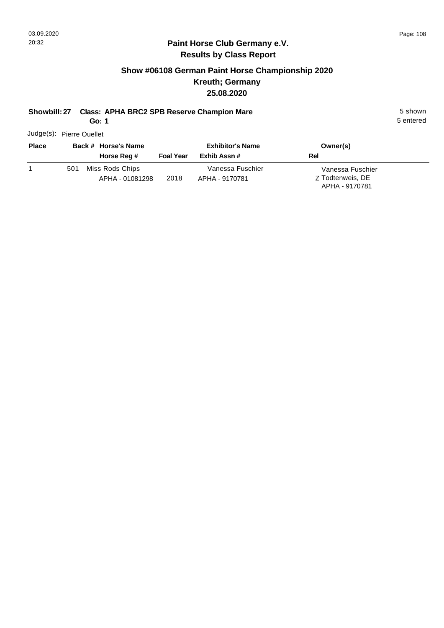#### **Paint Horse Club Germany e.V. Results by Class Report**

## **Show #06108 German Paint Horse Championship 2020 Kreuth; Germany 25.08.2020**

# **Showbill: 27 Class: APHA BRC2 SPB Reserve Champion Mare** 5 Shown 5 shown

**Go: 1**

Judge(s): Pierre Ouellet

| <b>Place</b> |     | Back # Horse's Name<br>Horse Reg # | <b>Foal Year</b> | <b>Exhibitor's Name</b><br>Exhib Assn # | Owner(s)<br>Rel                                        |
|--------------|-----|------------------------------------|------------------|-----------------------------------------|--------------------------------------------------------|
|              | 501 | Miss Rods Chips<br>APHA - 01081298 | 2018             | Vanessa Fuschier<br>APHA - 9170781      | Vanessa Fuschier<br>Z Todtenweis, DE<br>APHA - 9170781 |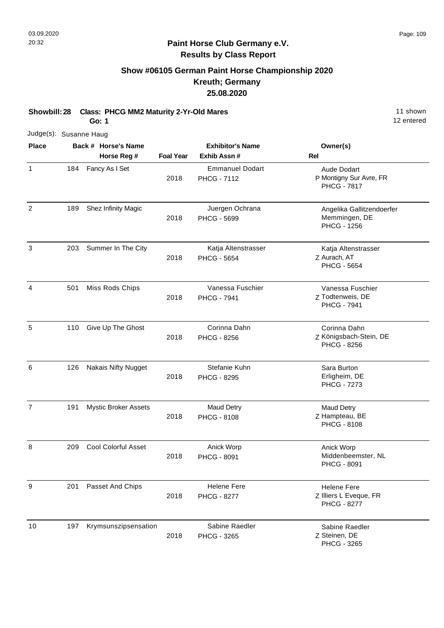## **Show #06105 German Paint Horse Championship 2020 Kreuth; Germany 25.08.2020**

| Showbill: 28           |     | <b>Class: PHCG MM2 Maturity 2-Yr-Old Mares</b><br>Go: 1 | 11 shown<br>12 entered |                                              |                                                                    |
|------------------------|-----|---------------------------------------------------------|------------------------|----------------------------------------------|--------------------------------------------------------------------|
| Judge(s): Susanne Haug |     |                                                         |                        |                                              |                                                                    |
| <b>Place</b>           |     | Back # Horse's Name                                     |                        | <b>Exhibitor's Name</b>                      | Owner(s)                                                           |
|                        |     | Horse Reg #                                             | <b>Foal Year</b>       | Exhib Assn #                                 | <b>Rel</b>                                                         |
| $\mathbf{1}$           | 184 | Fancy As I Set                                          | 2018                   | <b>Emmanuel Dodart</b><br><b>PHCG - 7112</b> | Aude Dodart<br>P Montigny Sur Avre, FR<br><b>PHCG - 7817</b>       |
| $\overline{2}$         | 189 | Shez Infinity Magic                                     | 2018                   | Juergen Ochrana<br>PHCG - 5699               | Angelika Gallitzendoerfer<br>Memmingen, DE<br><b>PHCG - 1256</b>   |
| 3                      | 203 | Summer In The City                                      | 2018                   | Katja Altenstrasser<br><b>PHCG - 5654</b>    | Katja Altenstrasser<br>Z Aurach, AT<br><b>PHCG - 5654</b>          |
| $\overline{4}$         | 501 | Miss Rods Chips                                         | 2018                   | Vanessa Fuschier<br><b>PHCG - 7941</b>       | Vanessa Fuschier<br>Z Todtenweis, DE<br><b>PHCG - 7941</b>         |
| 5                      | 110 | Give Up The Ghost                                       | 2018                   | Corinna Dahn<br><b>PHCG - 8256</b>           | Corinna Dahn<br>Z Königsbach-Stein, DE<br><b>PHCG - 8256</b>       |
| 6                      | 126 | <b>Nakais Nifty Nugget</b>                              | 2018                   | Stefanie Kuhn<br>PHCG - 8295                 | Sara Burton<br>Erligheim, DE<br><b>PHCG - 7273</b>                 |
| $\overline{7}$         | 191 | <b>Mystic Broker Assets</b>                             | 2018                   | <b>Maud Detry</b><br>PHCG - 8108             | <b>Maud Detry</b><br>Z Hampteau, BE<br><b>PHCG - 8108</b>          |
| 8                      | 209 | Cool Colorful Asset                                     | 2018                   | Anick Worp<br>PHCG - 8091                    | Anick Worp<br>Middenbeemster, NL<br><b>PHCG - 8091</b>             |
| 9                      | 201 | Passet And Chips                                        | 2018                   | <b>Helene Fere</b><br><b>PHCG - 8277</b>     | <b>Helene Fere</b><br>Z Illiers L Eveque, FR<br><b>PHCG - 8277</b> |
| 10                     | 197 | Krymsunszipsensation                                    | 2018                   | Sabine Raedler<br>PHCG - 3265                | Sabine Raedler<br>Z Steinen, DE<br>PHCG - 3265                     |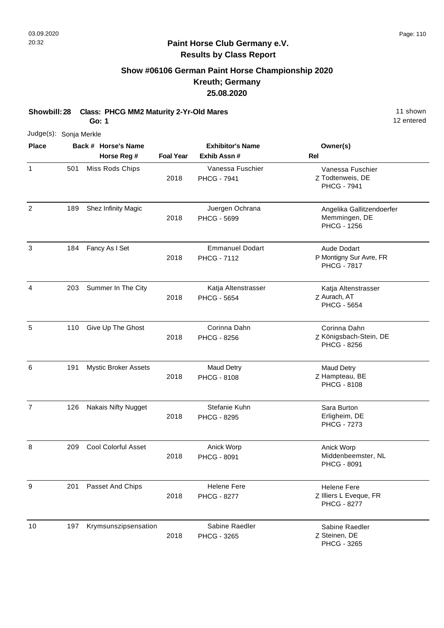## **Show #06106 German Paint Horse Championship 2020 Kreuth; Germany 25.08.2020**

**Showbill: 28 Class: PHCG MM2 Maturity 2-Yr-Old Mares** 11 Shown 11 shown **Go: 1**

| Judge(s): Sonja Merkle |     |                                    |                  |                                              |                                                                     |
|------------------------|-----|------------------------------------|------------------|----------------------------------------------|---------------------------------------------------------------------|
| <b>Place</b>           |     | Back # Horse's Name<br>Horse Reg # | <b>Foal Year</b> | <b>Exhibitor's Name</b><br>Exhib Assn #      | Owner(s)<br>Rel                                                     |
| $\mathbf{1}$           | 501 | Miss Rods Chips                    | 2018             | Vanessa Fuschier<br><b>PHCG - 7941</b>       | Vanessa Fuschier<br>Z Todtenweis, DE<br><b>PHCG - 7941</b>          |
| $\overline{2}$         | 189 | Shez Infinity Magic                | 2018             | Juergen Ochrana<br><b>PHCG - 5699</b>        | Angelika Gallitzendoerfer<br>Memmingen, DE<br><b>PHCG - 1256</b>    |
| 3                      | 184 | Fancy As I Set                     | 2018             | <b>Emmanuel Dodart</b><br><b>PHCG - 7112</b> | <b>Aude Dodart</b><br>P Montigny Sur Avre, FR<br><b>PHCG - 7817</b> |
| $\overline{a}$         | 203 | Summer In The City                 | 2018             | Katja Altenstrasser<br><b>PHCG - 5654</b>    | Katja Altenstrasser<br>Z Aurach, AT<br><b>PHCG - 5654</b>           |
| 5                      | 110 | Give Up The Ghost                  | 2018             | Corinna Dahn<br><b>PHCG - 8256</b>           | Corinna Dahn<br>Z Königsbach-Stein, DE<br>PHCG - 8256               |
| 6                      | 191 | <b>Mystic Broker Assets</b>        | 2018             | <b>Maud Detry</b><br><b>PHCG - 8108</b>      | <b>Maud Detry</b><br>Z Hampteau, BE<br><b>PHCG - 8108</b>           |
| $\overline{7}$         | 126 | Nakais Nifty Nugget                | 2018             | Stefanie Kuhn<br><b>PHCG - 8295</b>          | Sara Burton<br>Erligheim, DE<br><b>PHCG - 7273</b>                  |
| 8                      | 209 | Cool Colorful Asset                | 2018             | Anick Worp<br>PHCG - 8091                    | Anick Worp<br>Middenbeemster, NL<br>PHCG - 8091                     |
| 9                      | 201 | Passet And Chips                   | 2018             | <b>Helene Fere</b><br><b>PHCG - 8277</b>     | <b>Helene Fere</b><br>Z Illiers L Eveque, FR<br><b>PHCG - 8277</b>  |
| 10                     | 197 | Krymsunszipsensation               | 2018             | Sabine Raedler<br>PHCG - 3265                | Sabine Raedler<br>Z Steinen, DE<br>PHCG - 3265                      |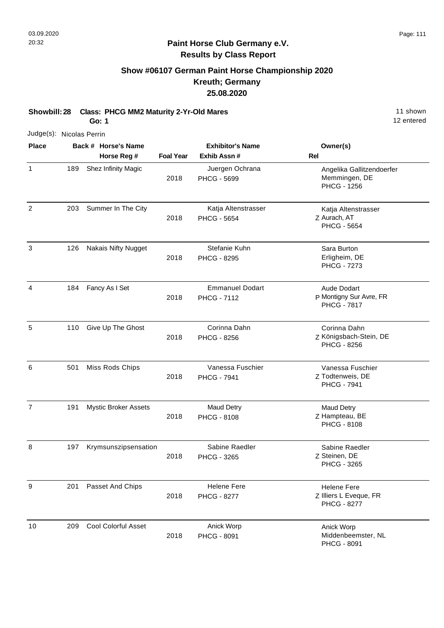## **Show #06107 German Paint Horse Championship 2020 Kreuth; Germany 25.08.2020**

**Showbill: 28 Class: PHCG MM2 Maturity 2-Yr-Old Mares** 11 Shown 11 shown **Go: 1**

|                | Judge(s): Nicolas Perrin |                                    |                  |                                              |                                                                    |  |  |  |
|----------------|--------------------------|------------------------------------|------------------|----------------------------------------------|--------------------------------------------------------------------|--|--|--|
| <b>Place</b>   |                          | Back # Horse's Name<br>Horse Reg # | <b>Foal Year</b> | <b>Exhibitor's Name</b><br>Exhib Assn#       | Owner(s)<br>Rel                                                    |  |  |  |
| $\mathbf{1}$   | 189                      | Shez Infinity Magic                | 2018             | Juergen Ochrana<br>PHCG - 5699               | Angelika Gallitzendoerfer<br>Memmingen, DE<br><b>PHCG - 1256</b>   |  |  |  |
| $\overline{2}$ | 203                      | Summer In The City                 | 2018             | Katja Altenstrasser<br><b>PHCG - 5654</b>    | Katja Altenstrasser<br>Z Aurach, AT<br><b>PHCG - 5654</b>          |  |  |  |
| 3              | 126                      | <b>Nakais Nifty Nugget</b>         | 2018             | Stefanie Kuhn<br>PHCG - 8295                 | Sara Burton<br>Erligheim, DE<br><b>PHCG - 7273</b>                 |  |  |  |
| 4              | 184                      | Fancy As I Set                     | 2018             | <b>Emmanuel Dodart</b><br><b>PHCG - 7112</b> | Aude Dodart<br>P Montigny Sur Avre, FR<br><b>PHCG - 7817</b>       |  |  |  |
| 5              | 110                      | Give Up The Ghost                  | 2018             | Corinna Dahn<br><b>PHCG - 8256</b>           | Corinna Dahn<br>Z Königsbach-Stein, DE<br><b>PHCG - 8256</b>       |  |  |  |
| 6              | 501                      | Miss Rods Chips                    | 2018             | Vanessa Fuschier<br><b>PHCG - 7941</b>       | Vanessa Fuschier<br>Z Todtenweis, DE<br><b>PHCG - 7941</b>         |  |  |  |
| $\overline{7}$ | 191                      | Mystic Broker Assets               | 2018             | <b>Maud Detry</b><br><b>PHCG - 8108</b>      | <b>Maud Detry</b><br>Z Hampteau, BE<br><b>PHCG - 8108</b>          |  |  |  |
| 8              | 197                      | Krymsunszipsensation               | 2018             | Sabine Raedler<br>PHCG - 3265                | Sabine Raedler<br>Z Steinen, DE<br>PHCG - 3265                     |  |  |  |
| $9\,$          | 201                      | Passet And Chips                   | 2018             | <b>Helene Fere</b><br><b>PHCG - 8277</b>     | <b>Helene Fere</b><br>Z Illiers L Eveque, FR<br><b>PHCG - 8277</b> |  |  |  |
| 10             | 209                      | <b>Cool Colorful Asset</b>         | 2018             | Anick Worp<br><b>PHCG - 8091</b>             | Anick Worp<br>Middenbeemster, NL<br><b>PHCG - 8091</b>             |  |  |  |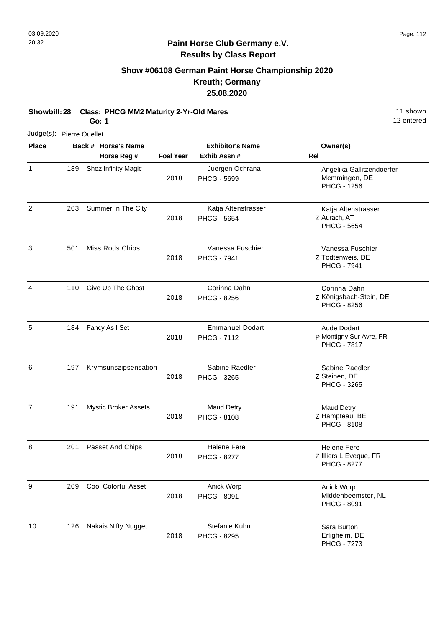## **Show #06108 German Paint Horse Championship 2020 Kreuth; Germany 25.08.2020**

**Showbill: 28 Class: PHCG MM2 Maturity 2-Yr-Old Mares** 11 Shown 11 shown **Go: 1**

Judge(s): Pierre Ouellet

| <b>Place</b>   |     | Back # Horse's Name         |                  | <b>Exhibitor's Name</b>                      | Owner(s)                                                            |
|----------------|-----|-----------------------------|------------------|----------------------------------------------|---------------------------------------------------------------------|
|                |     | Horse Reg #                 | <b>Foal Year</b> | Exhib Assn #                                 | <b>Rel</b>                                                          |
| $\mathbf{1}$   | 189 | Shez Infinity Magic         | 2018             | Juergen Ochrana<br>PHCG - 5699               | Angelika Gallitzendoerfer<br>Memmingen, DE<br><b>PHCG - 1256</b>    |
| 2              | 203 | Summer In The City          | 2018             | Katja Altenstrasser<br><b>PHCG - 5654</b>    | Katja Altenstrasser<br>Z Aurach, AT<br><b>PHCG - 5654</b>           |
| 3              | 501 | Miss Rods Chips             | 2018             | Vanessa Fuschier<br><b>PHCG - 7941</b>       | Vanessa Fuschier<br>Z Todtenweis, DE<br><b>PHCG - 7941</b>          |
| 4              | 110 | Give Up The Ghost           | 2018             | Corinna Dahn<br>PHCG - 8256                  | Corinna Dahn<br>Z Königsbach-Stein, DE<br>PHCG - 8256               |
| 5              | 184 | Fancy As I Set              | 2018             | <b>Emmanuel Dodart</b><br><b>PHCG - 7112</b> | <b>Aude Dodart</b><br>P Montigny Sur Avre, FR<br><b>PHCG - 7817</b> |
| 6              | 197 | Krymsunszipsensation        | 2018             | Sabine Raedler<br>PHCG - 3265                | Sabine Raedler<br>Z Steinen, DE<br>PHCG - 3265                      |
| $\overline{7}$ | 191 | <b>Mystic Broker Assets</b> | 2018             | <b>Maud Detry</b><br><b>PHCG - 8108</b>      | <b>Maud Detry</b><br>Z Hampteau, BE<br>PHCG - 8108                  |
| 8              | 201 | Passet And Chips            | 2018             | <b>Helene Fere</b><br><b>PHCG - 8277</b>     | <b>Helene Fere</b><br>Z Illiers L Eveque, FR<br><b>PHCG - 8277</b>  |
| 9              | 209 | <b>Cool Colorful Asset</b>  | 2018             | Anick Worp<br><b>PHCG - 8091</b>             | Anick Worp<br>Middenbeemster, NL<br>PHCG - 8091                     |
| 10             | 126 | <b>Nakais Nifty Nugget</b>  | 2018             | Stefanie Kuhn<br><b>PHCG - 8295</b>          | Sara Burton<br>Erligheim, DE<br><b>PHCG - 7273</b>                  |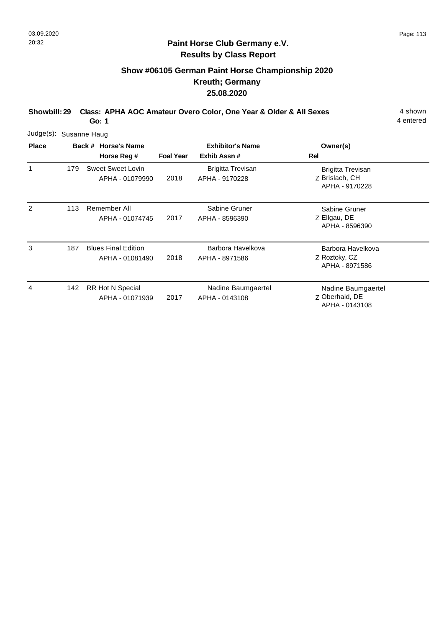## **Show #06105 German Paint Horse Championship 2020 Kreuth; Germany 25.08.2020**

**Showbill: 29 Class: APHA AOC Amateur Overo Color, One Year & Older & All Sexes** 4 shown **Go: 1**

4 entered

Judge(s): Susanne Haug **Back # Horse's Name Place Owner(s) Horse Reg # Exhib Assn # Foal Year Rel Exhibitor's Name** 1 Z Brislach, CH Brigitta Trevisan APHA - 9170228 2018 Sweet Sweet Lovin 179 APHA - 01079990 Brigitta Trevisan APHA - 9170228 2 Z Ellgau, DE Sabine Gruner APHA - 8596390 2017 113 Remember All APHA - 01074745 Sabine Gruner APHA - 8596390

| 3 | 187 | <b>Blues Final Edition</b><br>APHA - 01081490 | 2018 | Barbora Havelkova<br>APHA - 8971586  | Barbora Havelkova<br>Z Roztoky, CZ<br>APHA - 8971586   |
|---|-----|-----------------------------------------------|------|--------------------------------------|--------------------------------------------------------|
| 4 |     | 142 RR Hot N Special<br>APHA - 01071939       | 2017 | Nadine Baumgaertel<br>APHA - 0143108 | Nadine Baumgaertel<br>Z Oberhaid, DE<br>APHA - 0143108 |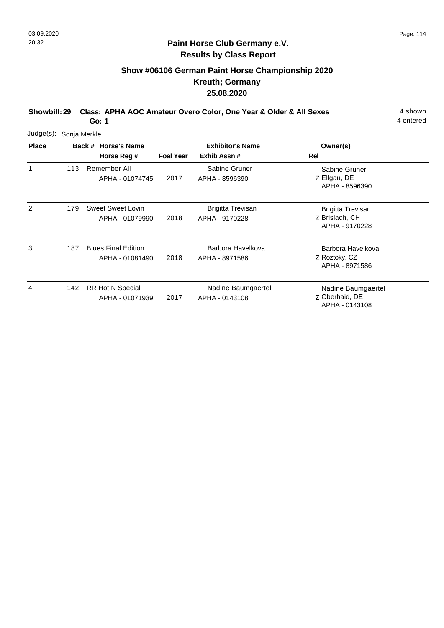## **Show #06106 German Paint Horse Championship 2020 Kreuth; Germany 25.08.2020**

**Showbill: 29 Class: APHA AOC Amateur Overo Color, One Year & Older & All Sexes** 4 shown **Go: 1**

4 entered

APHA - 0143108

| Judge(s):    | Sonja Merkle |                                               |                  |                                            |                                                              |  |  |  |  |  |  |
|--------------|--------------|-----------------------------------------------|------------------|--------------------------------------------|--------------------------------------------------------------|--|--|--|--|--|--|
| <b>Place</b> |              | Back # Horse's Name<br>Horse Reg #            | <b>Foal Year</b> | <b>Exhibitor's Name</b><br>Exhib Assn#     | Owner(s)<br>Rel                                              |  |  |  |  |  |  |
| 1            | 113          | Remember All<br>APHA - 01074745               | 2017             | Sabine Gruner<br>APHA - 8596390            | Sabine Gruner<br>Z Ellgau, DE<br>APHA - 8596390              |  |  |  |  |  |  |
| 2            | 179          | Sweet Sweet Lovin<br>APHA - 01079990          | 2018             | <b>Brigitta Trevisan</b><br>APHA - 9170228 | <b>Brigitta Trevisan</b><br>Z Brislach, CH<br>APHA - 9170228 |  |  |  |  |  |  |
| 3            | 187          | <b>Blues Final Edition</b><br>APHA - 01081490 | 2018             | Barbora Havelkova<br>APHA - 8971586        | Barbora Havelkova<br>Z Roztoky, CZ<br>APHA - 8971586         |  |  |  |  |  |  |
| 4            | 142          | RR Hot N Special<br>APHA - 01071939           | 2017             | Nadine Baumgaertel<br>APHA - 0143108       | Nadine Baumgaertel<br>Z Oberhaid, DE                         |  |  |  |  |  |  |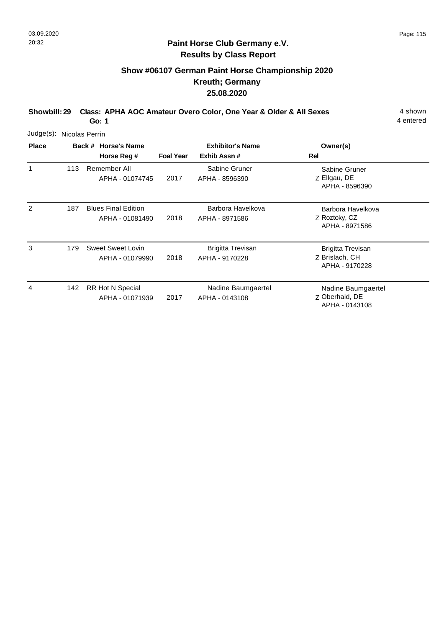## **Show #06107 German Paint Horse Championship 2020 Kreuth; Germany 25.08.2020**

**Showbill: 29 Class: APHA AOC Amateur Overo Color, One Year & Older & All Sexes** 4 shown **Go: 1**

| Judge(s):    | Nicolas Perrin |                                               |                  |                                            |                                                              |
|--------------|----------------|-----------------------------------------------|------------------|--------------------------------------------|--------------------------------------------------------------|
| <b>Place</b> |                | Back # Horse's Name<br>Horse Reg #            | <b>Foal Year</b> | <b>Exhibitor's Name</b><br>Exhib Assn#     | Owner(s)<br><b>Rel</b>                                       |
|              | 113            | Remember All<br>APHA - 01074745               | 2017             | Sabine Gruner<br>APHA - 8596390            | Sabine Gruner<br>Z Ellgau, DE<br>APHA - 8596390              |
| 2            | 187            | <b>Blues Final Edition</b><br>APHA - 01081490 | 2018             | Barbora Havelkova<br>APHA - 8971586        | Barbora Havelkova<br>Z Roztoky, CZ<br>APHA - 8971586         |
| 3            | 179            | Sweet Sweet Lovin<br>APHA - 01079990          | 2018             | <b>Brigitta Trevisan</b><br>APHA - 9170228 | <b>Brigitta Trevisan</b><br>Z Brislach, CH<br>APHA - 9170228 |
| 4            | 142            | RR Hot N Special<br>APHA - 01071939           | 2017             | Nadine Baumgaertel<br>APHA - 0143108       | Nadine Baumgaertel<br>Z Oberhaid, DE<br>APHA - 0143108       |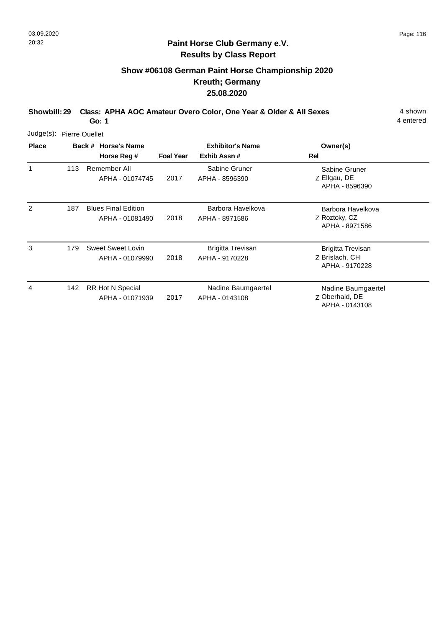## **Show #06108 German Paint Horse Championship 2020 Kreuth; Germany 25.08.2020**

**Showbill: 29 Class: APHA AOC Amateur Overo Color, One Year & Older & All Sexes** 4 shown **Go: 1**

4 entered

APHA - 0143108

| Judge(s): Pierre Ouellet |     |                                               |                  |                                            |                                                              |
|--------------------------|-----|-----------------------------------------------|------------------|--------------------------------------------|--------------------------------------------------------------|
| <b>Place</b>             |     | Back # Horse's Name<br>Horse Reg #            | <b>Foal Year</b> | <b>Exhibitor's Name</b><br>Exhib Assn#     | Owner(s)<br>Rel                                              |
| 1                        | 113 | Remember All<br>APHA - 01074745               | 2017             | Sabine Gruner<br>APHA - 8596390            | Sabine Gruner<br>Z Ellgau, DE<br>APHA - 8596390              |
| 2                        | 187 | <b>Blues Final Edition</b><br>APHA - 01081490 | 2018             | Barbora Havelkova<br>APHA - 8971586        | Barbora Havelkova<br>Z Roztoky, CZ<br>APHA - 8971586         |
| 3                        | 179 | Sweet Sweet Lovin<br>APHA - 01079990          | 2018             | <b>Brigitta Trevisan</b><br>APHA - 9170228 | <b>Brigitta Trevisan</b><br>Z Brislach, CH<br>APHA - 9170228 |
| 4                        | 142 | RR Hot N Special<br>APHA - 01071939           | 2017             | Nadine Baumgaertel<br>APHA - 0143108       | Nadine Baumgaertel<br>Z Oberhaid, DE                         |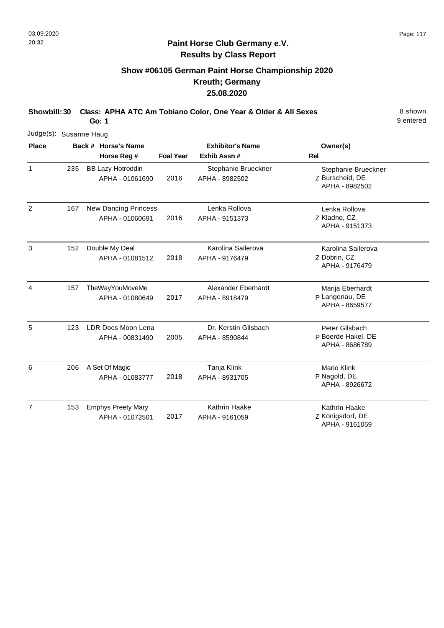## **Show #06105 German Paint Horse Championship 2020 Kreuth; Germany 25.08.2020**

**Showbill: 30 Class: APHA ATC Am Tobiano Color, One Year & Older & All Sexes** 8 Shown **Go: 1**

9 entered

| Judge(s): Susanne Haug |     |                                                |                  |                                        |                                                          |
|------------------------|-----|------------------------------------------------|------------------|----------------------------------------|----------------------------------------------------------|
| <b>Place</b>           |     | Back # Horse's Name<br>Horse Reg #             | <b>Foal Year</b> | <b>Exhibitor's Name</b><br>Exhib Assn# | Owner(s)<br>Rel                                          |
| $\mathbf{1}$           | 235 | <b>BB Lazy Hotroddin</b><br>APHA - 01061690    | 2016             | Stephanie Brueckner<br>APHA - 8982502  | Stephanie Brueckner<br>Z Burscheid, DE<br>APHA - 8982502 |
| $\overline{2}$         | 167 | <b>New Dancing Princess</b><br>APHA - 01060691 | 2016             | Lenka Rollova<br>APHA - 9151373        | Lenka Rollova<br>Z Kladno, CZ<br>APHA - 9151373          |
| 3                      | 152 | Double My Deal<br>APHA - 01081512              | 2018             | Karolina Sailerova<br>APHA - 9176479   | Karolina Sailerova<br>Z Dobrin, CZ<br>APHA - 9176479     |
| 4                      | 157 | TheWayYouMoveMe<br>APHA - 01080649             | 2017             | Alexander Eberhardt<br>APHA - 8918479  | Marija Eberhardt<br>P Langenau, DE<br>APHA - 8659577     |
| 5                      | 123 | LDR Docs Moon Lena<br>APHA - 00831490          | 2005             | Dr. Kerstin Gilsbach<br>APHA - 8590844 | Peter Gilsbach<br>P Boerde Hakel, DE<br>APHA - 8686789   |
| 6                      | 206 | A Set Of Magic<br>APHA - 01083777              | 2018             | Tanja Klink<br>APHA - 8931705          | <b>Mario Klink</b><br>P Nagold, DE<br>APHA - 8926672     |
| $\overline{7}$         | 153 | <b>Emphys Preety Mary</b><br>APHA - 01072501   | 2017             | <b>Kathrin Haake</b><br>APHA - 9161059 | Kathrin Haake<br>Z Königsdorf, DE                        |

Königsdorf, DE APHA - 9161059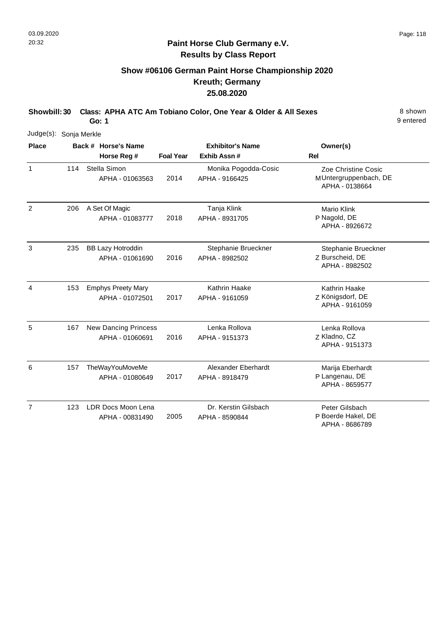## **Show #06106 German Paint Horse Championship 2020 Kreuth; Germany 25.08.2020**

**Showbill: 30 Class: APHA ATC Am Tobiano Color, One Year & Older & All Sexes** 8 Shown **Go: 1**

9 entered

| Judge(s): Sonja Merkle |     |                                                |                  |                                        |                                                                |
|------------------------|-----|------------------------------------------------|------------------|----------------------------------------|----------------------------------------------------------------|
| <b>Place</b>           |     | Back # Horse's Name<br>Horse Reg #             | <b>Foal Year</b> | <b>Exhibitor's Name</b><br>Exhib Assn# | Owner(s)<br>Rel                                                |
| $\mathbf{1}$           | 114 | Stella Simon<br>APHA - 01063563                | 2014             | Monika Pogodda-Cosic<br>APHA - 9166425 | Zoe Christine Cosic<br>MUntergruppenbach, DE<br>APHA - 0138664 |
| 2                      | 206 | A Set Of Magic<br>APHA - 01083777              | 2018             | Tanja Klink<br>APHA - 8931705          | Mario Klink<br>P Nagold, DE<br>APHA - 8926672                  |
| 3                      | 235 | <b>BB Lazy Hotroddin</b><br>APHA - 01061690    | 2016             | Stephanie Brueckner<br>APHA - 8982502  | Stephanie Brueckner<br>Z Burscheid, DE<br>APHA - 8982502       |
| 4                      | 153 | <b>Emphys Preety Mary</b><br>APHA - 01072501   | 2017             | Kathrin Haake<br>APHA - 9161059        | Kathrin Haake<br>Z Königsdorf, DE<br>APHA - 9161059            |
| 5                      | 167 | <b>New Dancing Princess</b><br>APHA - 01060691 | 2016             | Lenka Rollova<br>APHA - 9151373        | Lenka Rollova<br>Z Kladno, CZ<br>APHA - 9151373                |
| 6                      | 157 | TheWayYouMoveMe<br>APHA - 01080649             | 2017             | Alexander Eberhardt<br>APHA - 8918479  | Marija Eberhardt<br>P Langenau, DE<br>APHA - 8659577           |
| $\overline{7}$         | 123 | LDR Docs Moon Lena<br>APHA - 00831490          | 2005             | Dr. Kerstin Gilsbach<br>APHA - 8590844 | Peter Gilsbach<br>P Boerde Hakel, DE                           |

Boerde Hakel, DE APHA - 8686789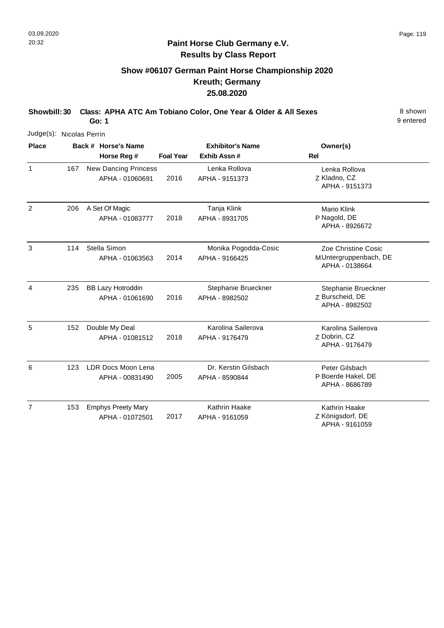## **Show #06107 German Paint Horse Championship 2020 Kreuth; Germany 25.08.2020**

**Showbill: 30 Class: APHA ATC Am Tobiano Color, One Year & Older & All Sexes** 8 Shown **Go: 1**

9 entered

| Judge(s): Nicolas Perrin |     |                                                |                  |                                        |                                                                |  |  |
|--------------------------|-----|------------------------------------------------|------------------|----------------------------------------|----------------------------------------------------------------|--|--|
| <b>Place</b>             |     | Back # Horse's Name                            |                  | <b>Exhibitor's Name</b>                | Owner(s)                                                       |  |  |
|                          |     | Horse Reg #                                    | <b>Foal Year</b> | Exhib Assn #                           | <b>Rel</b>                                                     |  |  |
| $\mathbf{1}$             | 167 | <b>New Dancing Princess</b><br>APHA - 01060691 | 2016             | Lenka Rollova<br>APHA - 9151373        | Lenka Rollova<br>Z Kladno, CZ<br>APHA - 9151373                |  |  |
| $\overline{2}$           | 206 | A Set Of Magic<br>APHA - 01083777              | 2018             | Tanja Klink<br>APHA - 8931705          | Mario Klink<br>P Nagold, DE<br>APHA - 8926672                  |  |  |
| 3                        | 114 | Stella Simon<br>APHA - 01063563                | 2014             | Monika Pogodda-Cosic<br>APHA - 9166425 | Zoe Christine Cosic<br>MUntergruppenbach, DE<br>APHA - 0138664 |  |  |
| 4                        | 235 | <b>BB Lazy Hotroddin</b><br>APHA - 01061690    | 2016             | Stephanie Brueckner<br>APHA - 8982502  | Stephanie Brueckner<br>Z Burscheid, DE<br>APHA - 8982502       |  |  |
| 5                        | 152 | Double My Deal<br>APHA - 01081512              | 2018             | Karolina Sailerova<br>APHA - 9176479   | Karolina Sailerova<br>Z Dobrin, CZ<br>APHA - 9176479           |  |  |
| 6                        | 123 | <b>LDR Docs Moon Lena</b><br>APHA - 00831490   | 2005             | Dr. Kerstin Gilsbach<br>APHA - 8590844 | Peter Gilsbach<br>P Boerde Hakel, DE<br>APHA - 8686789         |  |  |
| $\overline{7}$           | 153 | <b>Emphys Preety Mary</b><br>APHA - 01072501   | 2017             | Kathrin Haake<br>APHA - 9161059        | <b>Kathrin Haake</b><br>Z Königsdorf, DE                       |  |  |

APHA - 9161059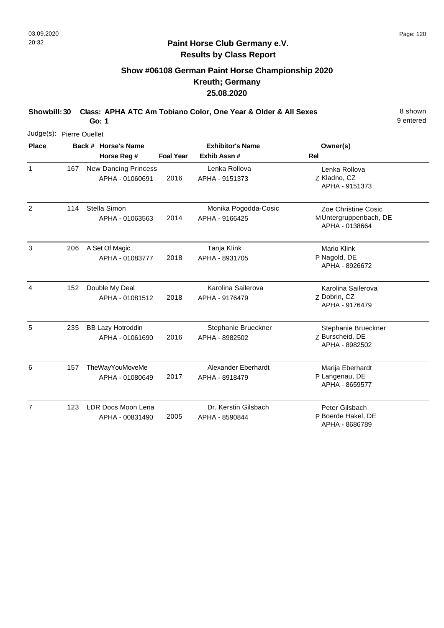## **Show #06108 German Paint Horse Championship 2020 Kreuth; Germany 25.08.2020**

**Showbill: 30 Class: APHA ATC Am Tobiano Color, One Year & Older & All Sexes** 8 Shown **Go: 1**

9 entered

| Judge(s): Pierre Ouellet |     |                                                |                  |                                        |                                                                |
|--------------------------|-----|------------------------------------------------|------------------|----------------------------------------|----------------------------------------------------------------|
| <b>Place</b>             |     | Back # Horse's Name<br>Horse Reg #             | <b>Foal Year</b> | <b>Exhibitor's Name</b><br>Exhib Assn# | Owner(s)<br>Rel                                                |
| $\mathbf{1}$             | 167 | <b>New Dancing Princess</b><br>APHA - 01060691 | 2016             | Lenka Rollova<br>APHA - 9151373        | Lenka Rollova<br>Z Kladno, CZ<br>APHA - 9151373                |
| $\overline{2}$           | 114 | Stella Simon<br>APHA - 01063563                | 2014             | Monika Pogodda-Cosic<br>APHA - 9166425 | Zoe Christine Cosic<br>MUntergruppenbach, DE<br>APHA - 0138664 |
| 3                        | 206 | A Set Of Magic<br>APHA - 01083777              | 2018             | Tanja Klink<br>APHA - 8931705          | <b>Mario Klink</b><br>P Nagold, DE<br>APHA - 8926672           |
| 4                        | 152 | Double My Deal<br>APHA - 01081512              | 2018             | Karolina Sailerova<br>APHA - 9176479   | Karolina Sailerova<br>Z Dobrin, CZ<br>APHA - 9176479           |
| 5                        | 235 | <b>BB Lazy Hotroddin</b><br>APHA - 01061690    | 2016             | Stephanie Brueckner<br>APHA - 8982502  | Stephanie Brueckner<br>Z Burscheid, DE<br>APHA - 8982502       |
| 6                        | 157 | TheWayYouMoveMe<br>APHA - 01080649             | 2017             | Alexander Eberhardt<br>APHA - 8918479  | Marija Eberhardt<br>P Langenau, DE<br>APHA - 8659577           |
| $\overline{7}$           | 123 | LDR Docs Moon Lena<br>APHA - 00831490          | 2005             | Dr. Kerstin Gilsbach<br>APHA - 8590844 | Peter Gilsbach<br>P Boerde Hakel, DE                           |

P Boerde Hakel, DE APHA - 8686789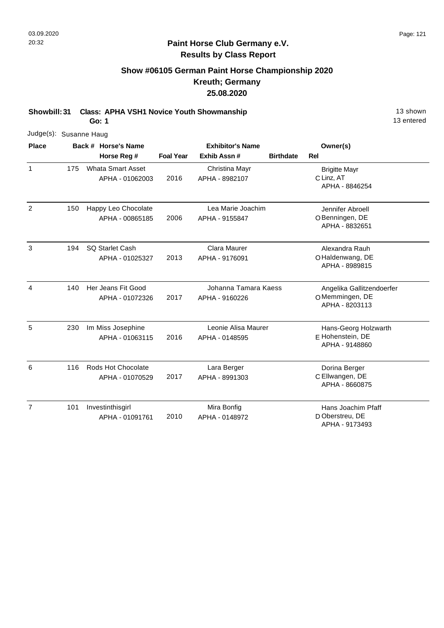## **Show #06105 German Paint Horse Championship 2020 Kreuth; Germany 25.08.2020**

**Showbill: 31 Class: APHA VSH1 Novice Youth Showmanship** 13 Shown

**Go: 1**

| Judge(s): Susanne Haug |     |                                             |                  |                                        |                  |                                                               |
|------------------------|-----|---------------------------------------------|------------------|----------------------------------------|------------------|---------------------------------------------------------------|
| <b>Place</b>           |     | Back # Horse's Name                         |                  | <b>Exhibitor's Name</b>                |                  | Owner(s)                                                      |
|                        |     | Horse Reg #                                 | <b>Foal Year</b> | Exhib Assn#                            | <b>Birthdate</b> | Rel                                                           |
| $\mathbf{1}$           | 175 | <b>Whata Smart Asset</b><br>APHA - 01062003 | 2016             | Christina Mayr<br>APHA - 8982107       |                  | <b>Brigitte Mayr</b><br>C Linz, AT<br>APHA - 8846254          |
| 2                      | 150 | Happy Leo Chocolate<br>APHA - 00865185      | 2006             | Lea Marie Joachim<br>APHA - 9155847    |                  | Jennifer Abroell<br>OBenningen, DE<br>APHA - 8832651          |
| 3                      | 194 | <b>SQ Starlet Cash</b><br>APHA - 01025327   | 2013             | Clara Maurer<br>APHA - 9176091         |                  | Alexandra Rauh<br>OHaldenwang, DE<br>APHA - 8989815           |
| 4                      | 140 | Her Jeans Fit Good<br>APHA - 01072326       | 2017             | Johanna Tamara Kaess<br>APHA - 9160226 |                  | Angelika Gallitzendoerfer<br>OMemmingen, DE<br>APHA - 8203113 |
| 5                      | 230 | Im Miss Josephine<br>APHA - 01063115        | 2016             | Leonie Alisa Maurer<br>APHA - 0148595  |                  | Hans-Georg Holzwarth<br>E Hohenstein, DE<br>APHA - 9148860    |
| 6                      | 116 | Rods Hot Chocolate<br>APHA - 01070529       | 2017             | Lara Berger<br>APHA - 8991303          |                  | Dorina Berger<br>C Ellwangen, DE<br>APHA - 8660875            |
| $\overline{7}$         | 101 | Investinthisgirl<br>APHA - 01091761         | 2010             | Mira Bonfig<br>APHA - 0148972          |                  | Hans Joachim Pfaff<br>D Oberstreu, DE<br>APHA - 9173493       |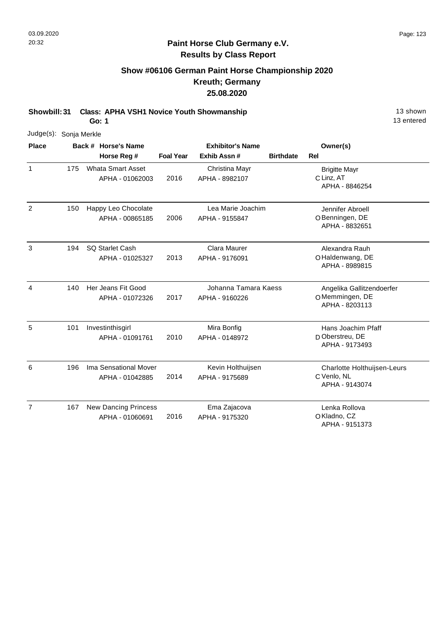## **Show #06106 German Paint Horse Championship 2020 Kreuth; Germany 25.08.2020**

**Showbill: 31 Class: APHA VSH1 Novice Youth Showmanship** 13 Shown

**Go: 1**

| Judge(s):      | Sonja Merkle |                                                |                  |                                        |                  |                                                               |
|----------------|--------------|------------------------------------------------|------------------|----------------------------------------|------------------|---------------------------------------------------------------|
| <b>Place</b>   |              | Back # Horse's Name                            |                  | <b>Exhibitor's Name</b>                |                  | Owner(s)                                                      |
|                |              | Horse Reg #                                    | <b>Foal Year</b> | Exhib Assn #                           | <b>Birthdate</b> | <b>Rel</b>                                                    |
| $\mathbf{1}$   | 175          | <b>Whata Smart Asset</b><br>APHA - 01062003    | 2016             | Christina Mayr<br>APHA - 8982107       |                  | <b>Brigitte Mayr</b><br>C Linz, AT<br>APHA - 8846254          |
| 2              | 150          | Happy Leo Chocolate<br>APHA - 00865185         | 2006             | Lea Marie Joachim<br>APHA - 9155847    |                  | Jennifer Abroell<br>OBenningen, DE<br>APHA - 8832651          |
| 3              | 194          | <b>SQ Starlet Cash</b><br>APHA - 01025327      | 2013             | Clara Maurer<br>APHA - 9176091         |                  | Alexandra Rauh<br>OHaldenwang, DE<br>APHA - 8989815           |
| 4              | 140          | Her Jeans Fit Good<br>APHA - 01072326          | 2017             | Johanna Tamara Kaess<br>APHA - 9160226 |                  | Angelika Gallitzendoerfer<br>OMemmingen, DE<br>APHA - 8203113 |
| 5              | 101          | Investinthisgirl<br>APHA - 01091761            | 2010             | Mira Bonfig<br>APHA - 0148972          |                  | Hans Joachim Pfaff<br>D Oberstreu, DE<br>APHA - 9173493       |
| 6              | 196          | Ima Sensational Mover<br>APHA - 01042885       | 2014             | Kevin Holthuijsen<br>APHA - 9175689    |                  | Charlotte Holthuijsen-Leurs<br>C Venlo, NL<br>APHA - 9143074  |
| $\overline{7}$ | 167          | <b>New Dancing Princess</b><br>APHA - 01060691 | 2016             | Ema Zajacova<br>APHA - 9175320         |                  | Lenka Rollova<br>OKladno, CZ<br>APHA - 9151373                |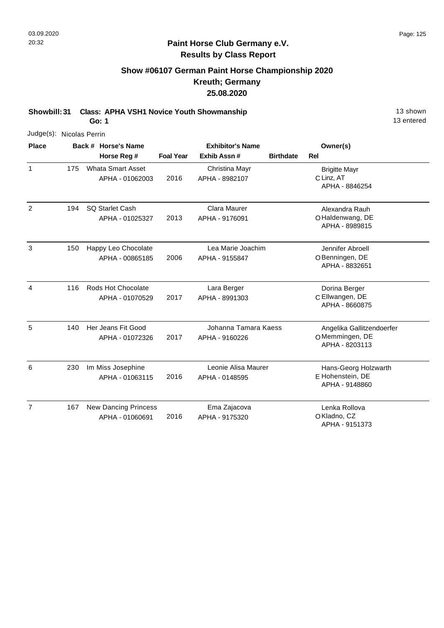## **Show #06107 German Paint Horse Championship 2020 Kreuth; Germany 25.08.2020**

**Showbill: 31 Class: APHA VSH1 Novice Youth Showmanship** 13 Shown

**Go: 1**

| Judge(s): Nicolas Perrin |     |                                                |                  |                                        |                                                               |
|--------------------------|-----|------------------------------------------------|------------------|----------------------------------------|---------------------------------------------------------------|
| <b>Place</b>             |     | Back # Horse's Name                            |                  | <b>Exhibitor's Name</b>                | Owner(s)                                                      |
|                          |     | Horse Reg #                                    | <b>Foal Year</b> | Exhib Assn #                           | Rel<br><b>Birthdate</b>                                       |
| $\mathbf{1}$             | 175 | <b>Whata Smart Asset</b><br>APHA - 01062003    | 2016             | Christina Mayr<br>APHA - 8982107       | <b>Brigitte Mayr</b><br>C Linz, AT<br>APHA - 8846254          |
| 2                        | 194 | <b>SQ Starlet Cash</b><br>APHA - 01025327      | 2013             | Clara Maurer<br>APHA - 9176091         | Alexandra Rauh<br>OHaldenwang, DE<br>APHA - 8989815           |
| 3                        | 150 | Happy Leo Chocolate<br>APHA - 00865185         | 2006             | Lea Marie Joachim<br>APHA - 9155847    | Jennifer Abroell<br>O Benningen, DE<br>APHA - 8832651         |
| $\overline{4}$           | 116 | Rods Hot Chocolate<br>APHA - 01070529          | 2017             | Lara Berger<br>APHA - 8991303          | Dorina Berger<br>C Ellwangen, DE<br>APHA - 8660875            |
| 5                        | 140 | Her Jeans Fit Good<br>APHA - 01072326          | 2017             | Johanna Tamara Kaess<br>APHA - 9160226 | Angelika Gallitzendoerfer<br>OMemmingen, DE<br>APHA - 8203113 |
| 6                        | 230 | Im Miss Josephine<br>APHA - 01063115           | 2016             | Leonie Alisa Maurer<br>APHA - 0148595  | Hans-Georg Holzwarth<br>E Hohenstein, DE<br>APHA - 9148860    |
| $\overline{7}$           | 167 | <b>New Dancing Princess</b><br>APHA - 01060691 | 2016             | Ema Zajacova<br>APHA - 9175320         | Lenka Rollova<br>OKladno, CZ<br>APHA - 9151373                |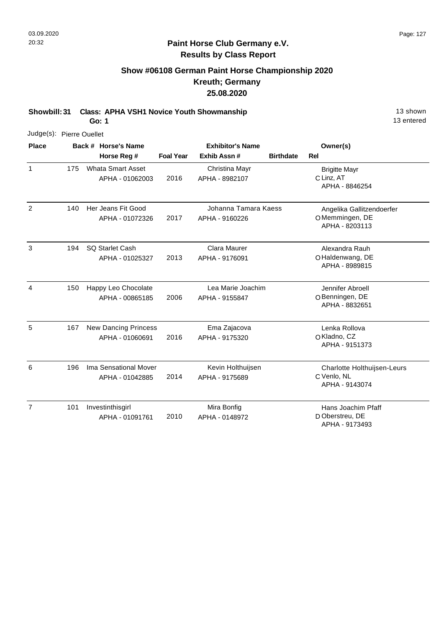## **Show #06108 German Paint Horse Championship 2020 Kreuth; Germany 25.08.2020**

**Showbill: 31 Class: APHA VSH1 Novice Youth Showmanship** 13 Shown

**Go: 1**

| Judge(s): Pierre Ouellet |     |                                                |                  |                                        |                  |                                                               |
|--------------------------|-----|------------------------------------------------|------------------|----------------------------------------|------------------|---------------------------------------------------------------|
| <b>Place</b>             |     | Back # Horse's Name                            |                  | <b>Exhibitor's Name</b>                |                  | Owner(s)                                                      |
|                          |     | Horse Reg #                                    | <b>Foal Year</b> | Exhib Assn #                           | <b>Birthdate</b> | <b>Rel</b>                                                    |
| $\mathbf{1}$             | 175 | <b>Whata Smart Asset</b><br>APHA - 01062003    | 2016             | Christina Mayr<br>APHA - 8982107       |                  | <b>Brigitte Mayr</b><br>C Linz, AT<br>APHA - 8846254          |
| $\overline{2}$           | 140 | Her Jeans Fit Good<br>APHA - 01072326          | 2017             | Johanna Tamara Kaess<br>APHA - 9160226 |                  | Angelika Gallitzendoerfer<br>OMemmingen, DE<br>APHA - 8203113 |
| $\mathbf{3}$             | 194 | <b>SQ Starlet Cash</b><br>APHA - 01025327      | 2013             | Clara Maurer<br>APHA - 9176091         |                  | Alexandra Rauh<br>OHaldenwang, DE<br>APHA - 8989815           |
| $\overline{4}$           | 150 | Happy Leo Chocolate<br>APHA - 00865185         | 2006             | Lea Marie Joachim<br>APHA - 9155847    |                  | Jennifer Abroell<br>O Benningen, DE<br>APHA - 8832651         |
| 5                        | 167 | <b>New Dancing Princess</b><br>APHA - 01060691 | 2016             | Ema Zajacova<br>APHA - 9175320         |                  | Lenka Rollova<br>OKladno, CZ<br>APHA - 9151373                |
| 6                        | 196 | Ima Sensational Mover<br>APHA - 01042885       | 2014             | Kevin Holthuijsen<br>APHA - 9175689    |                  | Charlotte Holthuijsen-Leurs<br>C Venlo, NL<br>APHA - 9143074  |
| $\overline{7}$           | 101 | Investinthisgirl<br>APHA - 01091761            | 2010             | Mira Bonfig<br>APHA - 0148972          |                  | Hans Joachim Pfaff<br>D Oberstreu, DE                         |

APHA - 9173493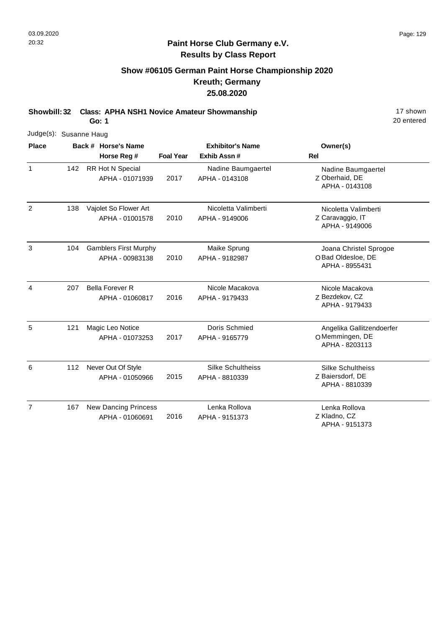# **Show #06105 German Paint Horse Championship 2020 Kreuth; Germany 25.08.2020**

**Showbill: 32 Class: APHA NSH1 Novice Amateur Showmanship** 17 shown

**Go: 1**

| Judge(s): Susanne Haug |     |                                                 |                  |                                            |                                                                |
|------------------------|-----|-------------------------------------------------|------------------|--------------------------------------------|----------------------------------------------------------------|
| <b>Place</b>           |     | Back # Horse's Name<br>Horse Reg #              | <b>Foal Year</b> | <b>Exhibitor's Name</b><br>Exhib Assn #    | Owner(s)<br>Rel                                                |
| $\mathbf{1}$           | 142 | RR Hot N Special<br>APHA - 01071939             | 2017             | Nadine Baumgaertel<br>APHA - 0143108       | Nadine Baumgaertel<br>Z Oberhaid, DE<br>APHA - 0143108         |
| 2                      | 138 | Vajolet So Flower Art<br>APHA - 01001578        | 2010             | Nicoletta Valimberti<br>APHA - 9149006     | Nicoletta Valimberti<br>Z Caravaggio, IT<br>APHA - 9149006     |
| 3                      | 104 | <b>Gamblers First Murphy</b><br>APHA - 00983138 | 2010             | Maike Sprung<br>APHA - 9182987             | Joana Christel Sprogoe<br>OBad Oldesloe, DE<br>APHA - 8955431  |
| 4                      | 207 | <b>Bella Forever R</b><br>APHA - 01060817       | 2016             | Nicole Macakova<br>APHA - 9179433          | Nicole Macakova<br>Z Bezdekov, CZ<br>APHA - 9179433            |
| 5                      | 121 | Magic Leo Notice<br>APHA - 01073253             | 2017             | Doris Schmied<br>APHA - 9165779            | Angelika Gallitzendoerfer<br>OMemmingen, DE<br>APHA - 8203113  |
| 6                      | 112 | Never Out Of Style<br>APHA - 01050966           | 2015             | <b>Silke Schultheiss</b><br>APHA - 8810339 | <b>Silke Schultheiss</b><br>Z Baiersdorf, DE<br>APHA - 8810339 |
| $\overline{7}$         | 167 | <b>New Dancing Princess</b><br>APHA - 01060691  | 2016             | Lenka Rollova<br>APHA - 9151373            | Lenka Rollova<br>Z Kladno, CZ<br>APHA - 9151373                |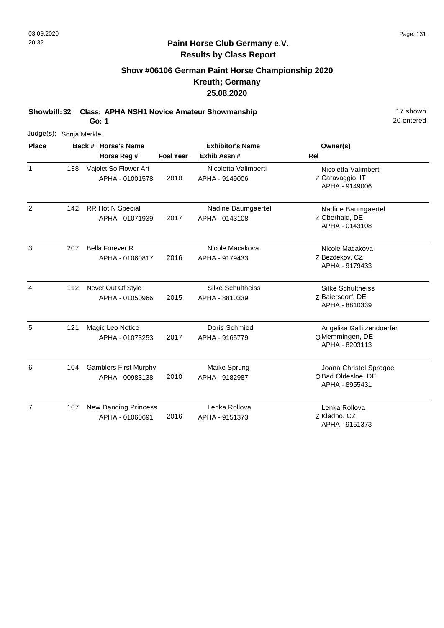# **Show #06106 German Paint Horse Championship 2020 Kreuth; Germany 25.08.2020**

**Showbill: 32 Class: APHA NSH1 Novice Amateur Showmanship** 17 shown

**Go: 1**

| Judge(s): Sonja Merkle |     |                                                 |                  |                                            |                                                                |
|------------------------|-----|-------------------------------------------------|------------------|--------------------------------------------|----------------------------------------------------------------|
| <b>Place</b>           |     | Back # Horse's Name<br>Horse Reg #              | <b>Foal Year</b> | <b>Exhibitor's Name</b><br>Exhib Assn #    | Owner(s)<br><b>Rel</b>                                         |
| $\mathbf{1}$           | 138 | Vajolet So Flower Art<br>APHA - 01001578        | 2010             | Nicoletta Valimberti<br>APHA - 9149006     | Nicoletta Valimberti<br>Z Caravaggio, IT<br>APHA - 9149006     |
| 2                      | 142 | <b>RR Hot N Special</b><br>APHA - 01071939      | 2017             | Nadine Baumgaertel<br>APHA - 0143108       | Nadine Baumgaertel<br>Z Oberhaid, DE<br>APHA - 0143108         |
| 3                      | 207 | <b>Bella Forever R</b><br>APHA - 01060817       | 2016             | Nicole Macakova<br>APHA - 9179433          | Nicole Macakova<br>Z Bezdekov, CZ<br>APHA - 9179433            |
| 4                      | 112 | Never Out Of Style<br>APHA - 01050966           | 2015             | <b>Silke Schultheiss</b><br>APHA - 8810339 | <b>Silke Schultheiss</b><br>Z Baiersdorf, DE<br>APHA - 8810339 |
| 5                      | 121 | Magic Leo Notice<br>APHA - 01073253             | 2017             | Doris Schmied<br>APHA - 9165779            | Angelika Gallitzendoerfer<br>OMemmingen, DE<br>APHA - 8203113  |
| 6                      | 104 | <b>Gamblers First Murphy</b><br>APHA - 00983138 | 2010             | Maike Sprung<br>APHA - 9182987             | Joana Christel Sprogoe<br>O Bad Oldesloe, DE<br>APHA - 8955431 |
| $\overline{7}$         | 167 | <b>New Dancing Princess</b><br>APHA - 01060691  | 2016             | Lenka Rollova<br>APHA - 9151373            | Lenka Rollova<br>Z Kladno, CZ<br>APHA - 9151373                |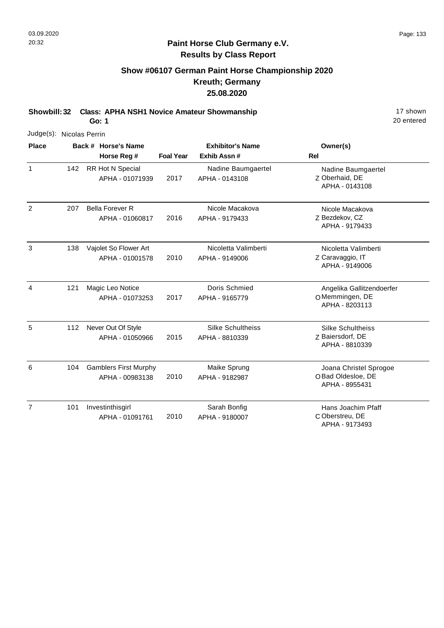# **Show #06107 German Paint Horse Championship 2020 Kreuth; Germany 25.08.2020**

**Showbill: 32 Class: APHA NSH1 Novice Amateur Showmanship** 17 shown

**Go: 1**

|                | Judge(s): Nicolas Perrin |  |                                                 |                  |                                            |                                                                |  |  |
|----------------|--------------------------|--|-------------------------------------------------|------------------|--------------------------------------------|----------------------------------------------------------------|--|--|
| <b>Place</b>   |                          |  | Back # Horse's Name<br>Horse Reg #              | <b>Foal Year</b> | <b>Exhibitor's Name</b><br>Exhib Assn #    | Owner(s)<br><b>Rel</b>                                         |  |  |
| $\mathbf{1}$   | 142                      |  | RR Hot N Special<br>APHA - 01071939             | 2017             | Nadine Baumgaertel<br>APHA - 0143108       | Nadine Baumgaertel<br>Z Oberhaid, DE<br>APHA - 0143108         |  |  |
| 2              | 207                      |  | <b>Bella Forever R</b><br>APHA - 01060817       | 2016             | Nicole Macakova<br>APHA - 9179433          | Nicole Macakova<br>Z Bezdekov, CZ<br>APHA - 9179433            |  |  |
| 3              | 138                      |  | Vajolet So Flower Art<br>APHA - 01001578        | 2010             | Nicoletta Valimberti<br>APHA - 9149006     | Nicoletta Valimberti<br>Z Caravaggio, IT<br>APHA - 9149006     |  |  |
| 4              | 121                      |  | Magic Leo Notice<br>APHA - 01073253             | 2017             | Doris Schmied<br>APHA - 9165779            | Angelika Gallitzendoerfer<br>OMemmingen, DE<br>APHA - 8203113  |  |  |
| 5              | 112                      |  | Never Out Of Style<br>APHA - 01050966           | 2015             | <b>Silke Schultheiss</b><br>APHA - 8810339 | <b>Silke Schultheiss</b><br>Z Baiersdorf, DE<br>APHA - 8810339 |  |  |
| 6              | 104                      |  | <b>Gamblers First Murphy</b><br>APHA - 00983138 | 2010             | Maike Sprung<br>APHA - 9182987             | Joana Christel Sprogoe<br>OBad Oldesloe, DE<br>APHA - 8955431  |  |  |
| $\overline{7}$ | 101                      |  | Investinthisgirl<br>APHA - 01091761             | 2010             | Sarah Bonfig<br>APHA - 9180007             | Hans Joachim Pfaff<br>C Oberstreu, DE<br>APHA - 9173493        |  |  |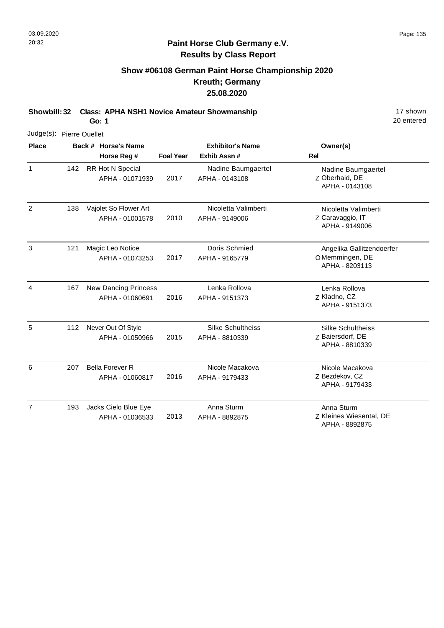# **Show #06108 German Paint Horse Championship 2020 Kreuth; Germany 25.08.2020**

**Showbill: 32 Class: APHA NSH1 Novice Amateur Showmanship** 17 shown

**Go: 1**

| Judge(s): Pierre Ouellet |     |  |                                                |                  |                                        |                                                                |
|--------------------------|-----|--|------------------------------------------------|------------------|----------------------------------------|----------------------------------------------------------------|
| <b>Place</b>             |     |  | Back # Horse's Name                            |                  | <b>Exhibitor's Name</b>                | Owner(s)                                                       |
|                          |     |  | Horse Reg #                                    | <b>Foal Year</b> | Exhib Assn#                            | <b>Rel</b>                                                     |
| $\mathbf{1}$             | 142 |  | RR Hot N Special<br>APHA - 01071939            | 2017             | Nadine Baumgaertel<br>APHA - 0143108   | Nadine Baumgaertel<br>Z Oberhaid, DE<br>APHA - 0143108         |
| $\overline{2}$           | 138 |  | Vajolet So Flower Art<br>APHA - 01001578       | 2010             | Nicoletta Valimberti<br>APHA - 9149006 | Nicoletta Valimberti<br>Z Caravaggio, IT<br>APHA - 9149006     |
| 3                        | 121 |  | Magic Leo Notice<br>APHA - 01073253            | 2017             | Doris Schmied<br>APHA - 9165779        | Angelika Gallitzendoerfer<br>OMemmingen, DE<br>APHA - 8203113  |
| 4                        | 167 |  | <b>New Dancing Princess</b><br>APHA - 01060691 | 2016             | Lenka Rollova<br>APHA - 9151373        | Lenka Rollova<br>Z Kladno, CZ<br>APHA - 9151373                |
| 5                        | 112 |  | Never Out Of Style<br>APHA - 01050966          | 2015             | Silke Schultheiss<br>APHA - 8810339    | <b>Silke Schultheiss</b><br>Z Baiersdorf, DE<br>APHA - 8810339 |
| 6                        | 207 |  | <b>Bella Forever R</b><br>APHA - 01060817      | 2016             | Nicole Macakova<br>APHA - 9179433      | Nicole Macakova<br>Z Bezdekov, CZ<br>APHA - 9179433            |
| $\overline{7}$           | 193 |  | Jacks Cielo Blue Eye<br>APHA - 01036533        | 2013             | Anna Sturm<br>APHA - 8892875           | Anna Sturm<br>Z Kleines Wiesental, DE<br>APHA - 8892875        |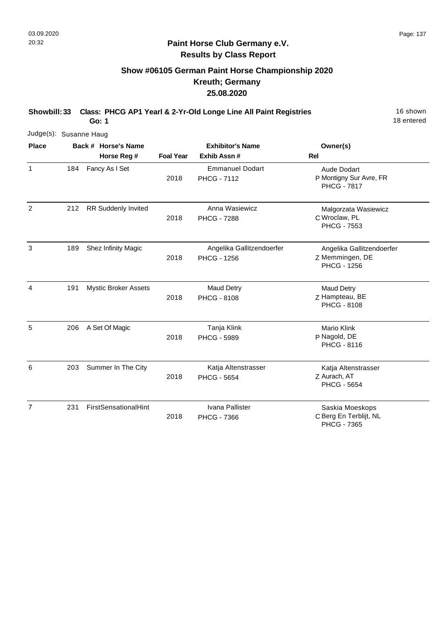# **Show #06105 German Paint Horse Championship 2020 Kreuth; Germany 25.08.2020**

**Showbill: 33 Class: PHCG AP1 Yearl & 2-Yr-Old Longe Line All Paint Registries** 16 Shown

**Go: 1**

18 entered

| Judge(s): Susanne Haug |     |  |                             |                         |                                              |                                                                    |
|------------------------|-----|--|-----------------------------|-------------------------|----------------------------------------------|--------------------------------------------------------------------|
| <b>Place</b>           |     |  | Back # Horse's Name         | <b>Exhibitor's Name</b> |                                              | Owner(s)                                                           |
|                        |     |  | Horse Reg #                 | <b>Foal Year</b>        | Exhib Assn#                                  | Rel                                                                |
| 1                      | 184 |  | Fancy As I Set              | 2018                    | <b>Emmanuel Dodart</b><br><b>PHCG - 7112</b> | Aude Dodart<br>P Montigny Sur Avre, FR<br><b>PHCG - 7817</b>       |
| $\overline{2}$         | 212 |  | <b>RR Suddenly Invited</b>  | 2018                    | Anna Wasiewicz<br><b>PHCG - 7288</b>         | Malgorzata Wasiewicz<br>C Wroclaw, PL<br><b>PHCG - 7553</b>        |
| 3                      | 189 |  | Shez Infinity Magic         | 2018                    | Angelika Gallitzendoerfer<br>PHCG - 1256     | Angelika Gallitzendoerfer<br>Z Memmingen, DE<br><b>PHCG - 1256</b> |
| 4                      | 191 |  | <b>Mystic Broker Assets</b> | 2018                    | <b>Maud Detry</b><br><b>PHCG - 8108</b>      | <b>Maud Detry</b><br>Z Hampteau, BE<br><b>PHCG - 8108</b>          |
| 5                      | 206 |  | A Set Of Magic              | 2018                    | Tanja Klink<br><b>PHCG - 5989</b>            | <b>Mario Klink</b><br>P Nagold, DE<br>PHCG - 8116                  |
| 6                      | 203 |  | Summer In The City          | 2018                    | Katja Altenstrasser<br><b>PHCG - 5654</b>    | Katja Altenstrasser<br>Z Aurach, AT<br><b>PHCG - 5654</b>          |
| 7                      | 231 |  | FirstSensationalHint        | 2018                    | Ivana Pallister<br><b>PHCG - 7366</b>        | Saskia Moeskops<br>C Berg En Terblijt, NL                          |

C Berg En Terblijt, NL PHCG - 7365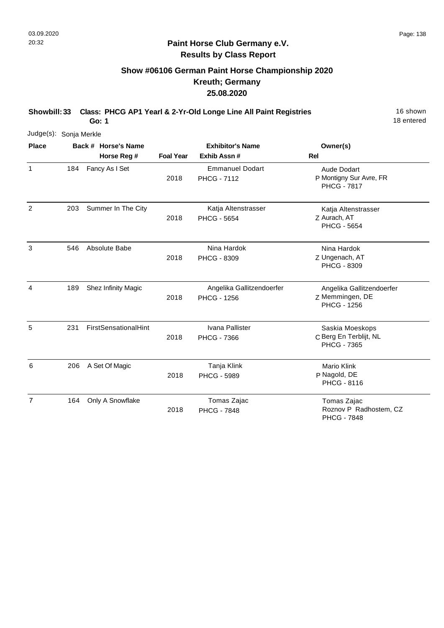# **Show #06106 German Paint Horse Championship 2020 Kreuth; Germany 25.08.2020**

**Showbill: 33 Class: PHCG AP1 Yearl & 2-Yr-Old Longe Line All Paint Registries** 16 Shown

18 entered

| Judge(s): Sonja Merkle |     |                                    |                  |                                                 |                                                                    |
|------------------------|-----|------------------------------------|------------------|-------------------------------------------------|--------------------------------------------------------------------|
| <b>Place</b>           |     | Back # Horse's Name<br>Horse Reg # | <b>Foal Year</b> | <b>Exhibitor's Name</b><br>Exhib Assn#          | Owner(s)<br><b>Rel</b>                                             |
| 1                      | 184 | Fancy As I Set                     | 2018             | <b>Emmanuel Dodart</b><br><b>PHCG - 7112</b>    | Aude Dodart<br>P Montigny Sur Avre, FR<br><b>PHCG - 7817</b>       |
| $\overline{2}$         | 203 | Summer In The City                 | 2018             | Katja Altenstrasser<br><b>PHCG - 5654</b>       | Katja Altenstrasser<br>Z Aurach, AT<br><b>PHCG - 5654</b>          |
| 3                      | 546 | Absolute Babe                      | 2018             | Nina Hardok<br>PHCG - 8309                      | Nina Hardok<br>Z Ungenach, AT<br><b>PHCG - 8309</b>                |
| $\overline{4}$         | 189 | Shez Infinity Magic                | 2018             | Angelika Gallitzendoerfer<br><b>PHCG - 1256</b> | Angelika Gallitzendoerfer<br>Z Memmingen, DE<br><b>PHCG - 1256</b> |
| 5                      | 231 | <b>FirstSensationalHint</b>        | 2018             | Ivana Pallister<br><b>PHCG - 7366</b>           | Saskia Moeskops<br>C Berg En Terblijt, NL<br><b>PHCG - 7365</b>    |
| 6                      | 206 | A Set Of Magic                     | 2018             | Tanja Klink<br><b>PHCG - 5989</b>               | Mario Klink<br>P Nagold, DE<br><b>PHCG - 8116</b>                  |
| $\overline{7}$         | 164 | Only A Snowflake                   | 2018             | Tomas Zajac<br><b>PHCG - 7848</b>               | Tomas Zajac<br>Roznov P Radhostem, CZ<br><b>PHCG - 7848</b>        |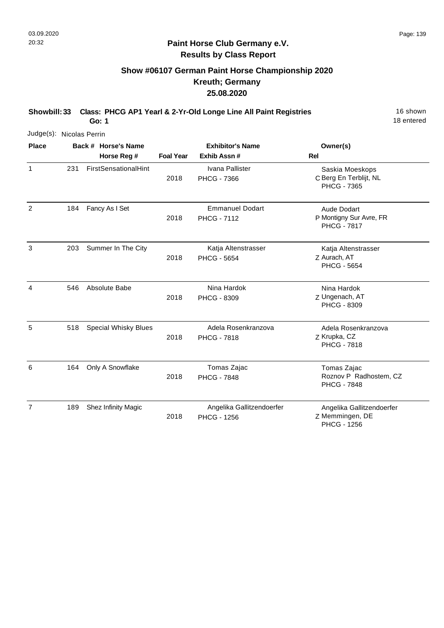## **Show #06107 German Paint Horse Championship 2020 Kreuth; Germany 25.08.2020**

**Showbill: 33 Class: PHCG AP1 Yearl & 2-Yr-Old Longe Line All Paint Registries** 16 Shown

18 entered

|                | Judge(s): Nicolas Perrin |                             |                  |                                                 |                                                                 |  |  |  |  |
|----------------|--------------------------|-----------------------------|------------------|-------------------------------------------------|-----------------------------------------------------------------|--|--|--|--|
| <b>Place</b>   |                          | Back # Horse's Name         |                  | <b>Exhibitor's Name</b>                         | Owner(s)                                                        |  |  |  |  |
|                |                          | Horse Reg #                 | <b>Foal Year</b> | Exhib Assn #                                    | <b>Rel</b>                                                      |  |  |  |  |
| 1              | 231                      | FirstSensationalHint        | 2018             | Ivana Pallister<br><b>PHCG - 7366</b>           | Saskia Moeskops<br>C Berg En Terblijt, NL<br><b>PHCG - 7365</b> |  |  |  |  |
| 2              | 184                      | Fancy As I Set              | 2018             | <b>Emmanuel Dodart</b><br><b>PHCG - 7112</b>    | Aude Dodart<br>P Montigny Sur Avre, FR<br><b>PHCG - 7817</b>    |  |  |  |  |
| 3              | 203                      | Summer In The City          | 2018             | Katja Altenstrasser<br><b>PHCG - 5654</b>       | Katja Altenstrasser<br>Z Aurach, AT<br><b>PHCG - 5654</b>       |  |  |  |  |
| 4              | 546                      | Absolute Babe               | 2018             | Nina Hardok<br>PHCG - 8309                      | Nina Hardok<br>Z Ungenach, AT<br>PHCG - 8309                    |  |  |  |  |
| 5              | 518                      | <b>Special Whisky Blues</b> | 2018             | Adela Rosenkranzova<br><b>PHCG - 7818</b>       | Adela Rosenkranzova<br>Z Krupka, CZ<br><b>PHCG - 7818</b>       |  |  |  |  |
| 6              | 164                      | Only A Snowflake            | 2018             | Tomas Zajac<br><b>PHCG - 7848</b>               | Tomas Zajac<br>Roznov P Radhostem, CZ<br><b>PHCG - 7848</b>     |  |  |  |  |
| $\overline{7}$ | 189                      | Shez Infinity Magic         | 2018             | Angelika Gallitzendoerfer<br><b>PHCG - 1256</b> | Angelika Gallitzendoerfer<br>Z Memmingen, DE<br>PHCG - 1256     |  |  |  |  |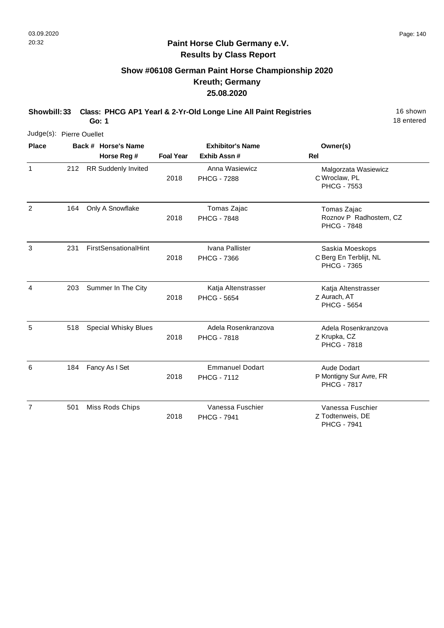# **Show #06108 German Paint Horse Championship 2020 Kreuth; Germany 25.08.2020**

**Showbill: 33 Class: PHCG AP1 Yearl & 2-Yr-Old Longe Line All Paint Registries** 16 Shown

18 entered

| Judge(s): Pierre Ouellet |     |                                    |                  |                                              |                                                                 |
|--------------------------|-----|------------------------------------|------------------|----------------------------------------------|-----------------------------------------------------------------|
| <b>Place</b>             |     | Back # Horse's Name<br>Horse Reg # | <b>Foal Year</b> | <b>Exhibitor's Name</b><br>Exhib Assn #      | Owner(s)<br><b>Rel</b>                                          |
| 1                        | 212 | <b>RR Suddenly Invited</b>         | 2018             | Anna Wasiewicz<br><b>PHCG - 7288</b>         | Malgorzata Wasiewicz<br>C Wroclaw, PL<br><b>PHCG - 7553</b>     |
| $\overline{2}$           | 164 | Only A Snowflake                   | 2018             | Tomas Zajac<br><b>PHCG - 7848</b>            | Tomas Zajac<br>Roznov P Radhostem, CZ<br><b>PHCG - 7848</b>     |
| 3                        | 231 | <b>FirstSensationalHint</b>        | 2018             | Ivana Pallister<br><b>PHCG - 7366</b>        | Saskia Moeskops<br>C Berg En Terblijt, NL<br><b>PHCG - 7365</b> |
| $\overline{4}$           | 203 | Summer In The City                 | 2018             | Katja Altenstrasser<br><b>PHCG - 5654</b>    | Katja Altenstrasser<br>Z Aurach, AT<br><b>PHCG - 5654</b>       |
| 5                        | 518 | <b>Special Whisky Blues</b>        | 2018             | Adela Rosenkranzova<br><b>PHCG - 7818</b>    | Adela Rosenkranzova<br>Z Krupka, CZ<br><b>PHCG - 7818</b>       |
| 6                        | 184 | Fancy As I Set                     | 2018             | <b>Emmanuel Dodart</b><br><b>PHCG - 7112</b> | Aude Dodart<br>P Montigny Sur Avre, FR<br><b>PHCG - 7817</b>    |
| $\overline{7}$           | 501 | Miss Rods Chips                    | 2018             | Vanessa Fuschier<br><b>PHCG - 7941</b>       | Vanessa Fuschier<br>Z Todtenweis, DE<br><b>PHCG - 7941</b>      |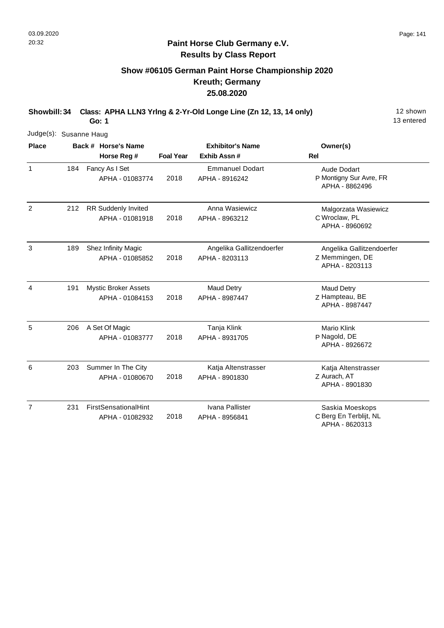# **Show #06105 German Paint Horse Championship 2020 Kreuth; Germany 25.08.2020**

**Showbill: 34 Class: APHA LLN3 Yrlng & 2-Yr-Old Longe Line (Zn 12, 13, 14 only)** 12 shown

13 entered

**Go: 1** Judge(s): Susanne Haug

| <b>Place</b>   |     | Back # Horse's Name<br>Horse Reg #             | <b>Exhibitor's Name</b><br><b>Foal Year</b><br>Exhib Assn# |                                             | Owner(s)<br><b>Rel</b>                                          |
|----------------|-----|------------------------------------------------|------------------------------------------------------------|---------------------------------------------|-----------------------------------------------------------------|
| $\mathbf{1}$   | 184 | Fancy As I Set<br>APHA - 01083774              | 2018                                                       | <b>Emmanuel Dodart</b><br>APHA - 8916242    | <b>Aude Dodart</b><br>P Montigny Sur Avre, FR<br>APHA - 8862496 |
| $\overline{2}$ | 212 | RR Suddenly Invited<br>APHA - 01081918         | 2018                                                       | Anna Wasiewicz<br>APHA - 8963212            | Malgorzata Wasiewicz<br>C Wroclaw, PL<br>APHA - 8960692         |
| 3              | 189 | Shez Infinity Magic<br>APHA - 01085852         | 2018                                                       | Angelika Gallitzendoerfer<br>APHA - 8203113 | Angelika Gallitzendoerfer<br>Z Memmingen, DE<br>APHA - 8203113  |
| 4              | 191 | <b>Mystic Broker Assets</b><br>APHA - 01084153 | 2018                                                       | <b>Maud Detry</b><br>APHA - 8987447         | <b>Maud Detry</b><br>Z Hampteau, BE<br>APHA - 8987447           |
| 5              | 206 | A Set Of Magic<br>APHA - 01083777              | 2018                                                       | Tanja Klink<br>APHA - 8931705               | Mario Klink<br>P Nagold, DE<br>APHA - 8926672                   |
| 6              | 203 | Summer In The City<br>APHA - 01080670          | 2018                                                       | Katja Altenstrasser<br>APHA - 8901830       | Katja Altenstrasser<br>Z Aurach, AT<br>APHA - 8901830           |
| $\overline{7}$ | 231 | FirstSensationalHint<br>APHA - 01082932        | 2018                                                       | Ivana Pallister<br>APHA - 8956841           | Saskia Moeskops<br>C Berg En Terblijt, NL<br>APHA - 8620313     |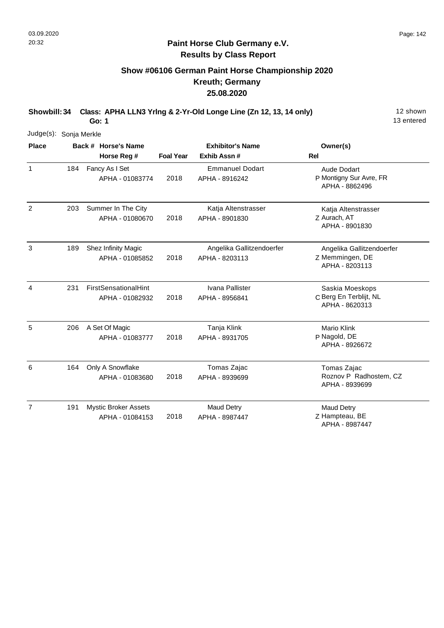## **Show #06106 German Paint Horse Championship 2020 Kreuth; Germany 25.08.2020**

**Showbill: 34 Class: APHA LLN3 Yrlng & 2-Yr-Old Longe Line (Zn 12, 13, 14 only)** 12 shown

13 entered

|                | Judge(s): Sonja Merkle |  |                                                |                         |                                             |                                                                |  |  |  |  |
|----------------|------------------------|--|------------------------------------------------|-------------------------|---------------------------------------------|----------------------------------------------------------------|--|--|--|--|
| <b>Place</b>   |                        |  | Back # Horse's Name                            | <b>Exhibitor's Name</b> |                                             | Owner(s)                                                       |  |  |  |  |
|                |                        |  | Horse Reg #                                    | <b>Foal Year</b>        | Exhib Assn #                                | <b>Rel</b>                                                     |  |  |  |  |
| $\mathbf{1}$   | 184                    |  | Fancy As I Set<br>APHA - 01083774              | 2018                    | <b>Emmanuel Dodart</b><br>APHA - 8916242    | Aude Dodart<br>P Montigny Sur Avre, FR<br>APHA - 8862496       |  |  |  |  |
| $\overline{2}$ | 203                    |  | Summer In The City<br>APHA - 01080670          | 2018                    | Katja Altenstrasser<br>APHA - 8901830       | Katja Altenstrasser<br>Z Aurach, AT<br>APHA - 8901830          |  |  |  |  |
| 3              | 189                    |  | Shez Infinity Magic<br>APHA - 01085852         | 2018                    | Angelika Gallitzendoerfer<br>APHA - 8203113 | Angelika Gallitzendoerfer<br>Z Memmingen, DE<br>APHA - 8203113 |  |  |  |  |
| $\overline{4}$ | 231                    |  | <b>FirstSensationalHint</b><br>APHA - 01082932 | 2018                    | Ivana Pallister<br>APHA - 8956841           | Saskia Moeskops<br>C Berg En Terblijt, NL<br>APHA - 8620313    |  |  |  |  |
| 5              | 206                    |  | A Set Of Magic<br>APHA - 01083777              | 2018                    | Tanja Klink<br>APHA - 8931705               | <b>Mario Klink</b><br>P Nagold, DE<br>APHA - 8926672           |  |  |  |  |
| 6              | 164                    |  | Only A Snowflake<br>APHA - 01083680            | 2018                    | Tomas Zajac<br>APHA - 8939699               | Tomas Zajac<br>Roznov P Radhostem, CZ<br>APHA - 8939699        |  |  |  |  |
| $\overline{7}$ | 191                    |  | <b>Mystic Broker Assets</b><br>APHA - 01084153 | 2018                    | Maud Detry<br>APHA - 8987447                | <b>Maud Detry</b><br>Z Hampteau, BE<br>APHA - 8987447          |  |  |  |  |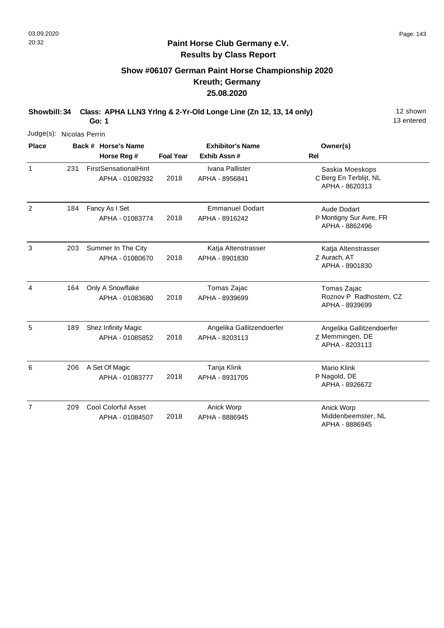## **Show #06107 German Paint Horse Championship 2020 Kreuth; Germany 25.08.2020**

**Showbill: 34 Class: APHA LLN3 Yrlng & 2-Yr-Old Longe Line (Zn 12, 13, 14 only)** 12 shown **Go: 1**

13 entered

Judge(s): Nicolas Perrin **Back # Horse's Name Place Owner(s) Horse Reg # Exhib Assn # Foal Year Rel Exhibitor's Name** 1 C Berg En Terblijt, NL Saskia Moeskops APHA - 8620313 2018 FirstSensationalHint APHA - 01082932 Ivana Pallister APHA - 8956841 231 2 P Montigny Sur Avre, FR Aude Dodart APHA - 8862496 2018 Fancy As I Set APHA - 01083774 Emmanuel Dodart APHA - 8916242 184 3 Z Aurach, AT Katja Altenstrasser APHA - 8901830 2018 Summer In The City APHA - 01080670 Katja Altenstrasser APHA - 8901830 203 4 Tomas Zajac Only A Snowflake Roznov P Radhostem, CZ APHA - 8939699 2018 APHA - 01083680 Tomas Zajac APHA - 8939699 164 5 Angelika Gallitzendoerfer 2018 189 Shez Infinity Magic APHA - 01085852 Angelika Gallitzendoerfer APHA - 8203113

|   |     | APHA - 01085852                        | 2018 | APHA - 8203113                | Z Memmingen, DE<br>APHA - 8203113             |
|---|-----|----------------------------------------|------|-------------------------------|-----------------------------------------------|
| 6 | 206 | A Set Of Magic<br>APHA - 01083777      | 2018 | Tanja Klink<br>APHA - 8931705 | Mario Klink<br>P Nagold, DE<br>APHA - 8926672 |
| 7 | 209 | Cool Colorful Asset<br>APHA - 01084507 | 2018 | Anick Worp<br>APHA - 8886945  | Anick Worp<br>Middenbeemster, NL              |

APHA - 8886945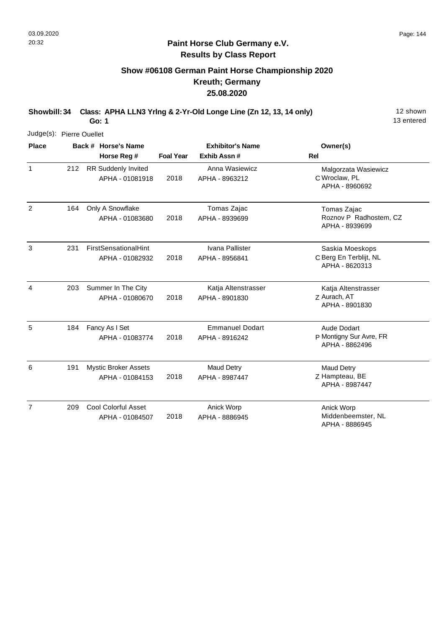# **Show #06108 German Paint Horse Championship 2020 Kreuth; Germany 25.08.2020**

**Showbill: 34 Class: APHA LLN3 Yrlng & 2-Yr-Old Longe Line (Zn 12, 13, 14 only)** 12 shown

13 entered

| Judge(s): Pierre Ouellet |     |                                                |                  |                                          |                                                             |
|--------------------------|-----|------------------------------------------------|------------------|------------------------------------------|-------------------------------------------------------------|
| <b>Place</b>             |     | Back # Horse's Name<br>Horse Reg #             | <b>Foal Year</b> | <b>Exhibitor's Name</b><br>Exhib Assn#   | Owner(s)<br>Rel                                             |
| $\mathbf{1}$             | 212 | RR Suddenly Invited<br>APHA - 01081918         | 2018             | Anna Wasiewicz<br>APHA - 8963212         | Malgorzata Wasiewicz<br>C Wroclaw, PL<br>APHA - 8960692     |
| $\overline{2}$           | 164 | Only A Snowflake<br>APHA - 01083680            | 2018             | Tomas Zajac<br>APHA - 8939699            | Tomas Zajac<br>Roznov P Radhostem, CZ<br>APHA - 8939699     |
| 3                        | 231 | <b>FirstSensationalHint</b><br>APHA - 01082932 | 2018             | Ivana Pallister<br>APHA - 8956841        | Saskia Moeskops<br>C Berg En Terblijt, NL<br>APHA - 8620313 |
| 4                        | 203 | Summer In The City<br>APHA - 01080670          | 2018             | Katja Altenstrasser<br>APHA - 8901830    | Katja Altenstrasser<br>Z Aurach, AT<br>APHA - 8901830       |
| 5                        | 184 | Fancy As I Set<br>APHA - 01083774              | 2018             | <b>Emmanuel Dodart</b><br>APHA - 8916242 | Aude Dodart<br>P Montigny Sur Avre, FR<br>APHA - 8862496    |
| 6                        | 191 | <b>Mystic Broker Assets</b><br>APHA - 01084153 | 2018             | <b>Maud Detry</b><br>APHA - 8987447      | <b>Maud Detry</b><br>Z Hampteau, BE<br>APHA - 8987447       |
| $\overline{7}$           | 209 | <b>Cool Colorful Asset</b><br>APHA - 01084507  | 2018             | Anick Worp<br>APHA - 8886945             | Anick Worp<br>Middenbeemster, NL<br>APHA - 8886945          |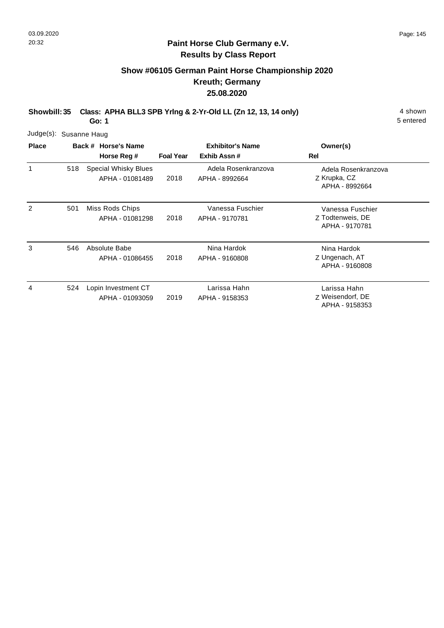# **Show #06105 German Paint Horse Championship 2020 Kreuth; Germany 25.08.2020**

**Showbill: 35 Class: APHA BLL3 SPB Yrlng & 2-Yr-Old LL (Zn 12, 13, 14 only)** 4 shown

**Go: 1**

| Judge(s): Susanne Haug |  |
|------------------------|--|
|                        |  |

| <b>Place</b> |     | Back # Horse's Name                            |                  | <b>Exhibitor's Name</b>               | Owner(s)                                               |
|--------------|-----|------------------------------------------------|------------------|---------------------------------------|--------------------------------------------------------|
|              |     | Horse Reg #                                    | <b>Foal Year</b> | Exhib Assn#                           | Rel                                                    |
| 1            | 518 | <b>Special Whisky Blues</b><br>APHA - 01081489 | 2018             | Adela Rosenkranzova<br>APHA - 8992664 | Adela Rosenkranzova<br>Z Krupka, CZ<br>APHA - 8992664  |
| 2            | 501 | Miss Rods Chips<br>APHA - 01081298             | 2018             | Vanessa Fuschier<br>APHA - 9170781    | Vanessa Fuschier<br>Z Todtenweis, DE<br>APHA - 9170781 |
| 3            | 546 | Absolute Babe<br>APHA - 01086455               | 2018             | Nina Hardok<br>APHA - 9160808         | Nina Hardok<br>Z Ungenach, AT<br>APHA - 9160808        |
| 4            | 524 | Lopin Investment CT<br>APHA - 01093059         | 2019             | Larissa Hahn<br>APHA - 9158353        | Larissa Hahn<br>Z Weisendorf, DE<br>APHA - 9158353     |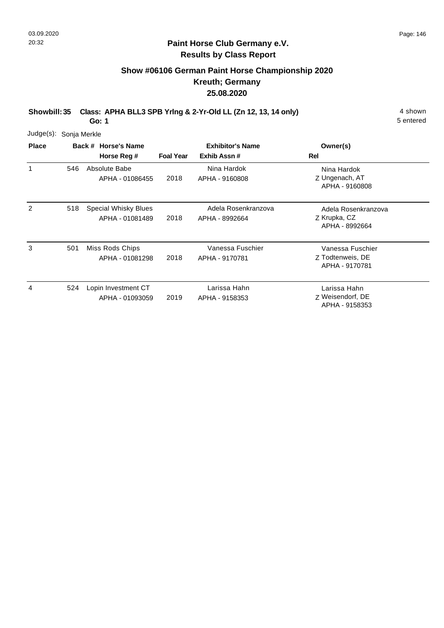## **Paint Horse Club Germany e.V. Results by Class Report**

# **Show #06106 German Paint Horse Championship 2020 Kreuth; Germany 25.08.2020**

**Showbill: 35 Class: APHA BLL3 SPB Yrlng & 2-Yr-Old LL (Zn 12, 13, 14 only)** 4 shown

| Judge(s): Sonja Merkle |     |                                                |                  |                                        |                                                        |
|------------------------|-----|------------------------------------------------|------------------|----------------------------------------|--------------------------------------------------------|
| <b>Place</b>           |     | Back # Horse's Name<br>Horse Reg #             | <b>Foal Year</b> | <b>Exhibitor's Name</b><br>Exhib Assn# | Owner(s)<br><b>Rel</b>                                 |
| 1                      | 546 | Absolute Babe<br>APHA - 01086455               | 2018             | Nina Hardok<br>APHA - 9160808          | Nina Hardok<br>Z Ungenach, AT<br>APHA - 9160808        |
| 2                      | 518 | <b>Special Whisky Blues</b><br>APHA - 01081489 | 2018             | Adela Rosenkranzova<br>APHA - 8992664  | Adela Rosenkranzova<br>Z Krupka, CZ<br>APHA - 8992664  |
| 3                      | 501 | Miss Rods Chips<br>APHA - 01081298             | 2018             | Vanessa Fuschier<br>APHA - 9170781     | Vanessa Fuschier<br>Z Todtenweis, DE<br>APHA - 9170781 |
| 4                      | 524 | Lopin Investment CT<br>APHA - 01093059         | 2019             | Larissa Hahn<br>APHA - 9158353         | Larissa Hahn<br>Z Weisendorf, DE<br>APHA - 9158353     |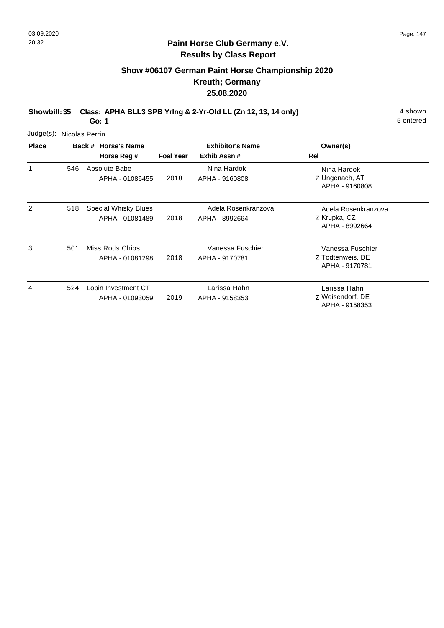## **Paint Horse Club Germany e.V. Results by Class Report**

# **Show #06107 German Paint Horse Championship 2020 Kreuth; Germany 25.08.2020**

**Showbill: 35 Class: APHA BLL3 SPB Yrlng & 2-Yr-Old LL (Zn 12, 13, 14 only)** 4 shown

| Judge(s): Nicolas Perrin |     |                                         |                  |                                        |                                                        |
|--------------------------|-----|-----------------------------------------|------------------|----------------------------------------|--------------------------------------------------------|
| <b>Place</b>             |     | Back # Horse's Name<br>Horse Reg #      | <b>Foal Year</b> | <b>Exhibitor's Name</b><br>Exhib Assn# | Owner(s)<br>Rel                                        |
| 1                        | 546 | Absolute Babe<br>APHA - 01086455        | 2018             | Nina Hardok<br>APHA - 9160808          | Nina Hardok<br>Z Ungenach, AT<br>APHA - 9160808        |
| 2                        | 518 | Special Whisky Blues<br>APHA - 01081489 | 2018             | Adela Rosenkranzova<br>APHA - 8992664  | Adela Rosenkranzova<br>Z Krupka, CZ<br>APHA - 8992664  |
| 3                        | 501 | Miss Rods Chips<br>APHA - 01081298      | 2018             | Vanessa Fuschier<br>APHA - 9170781     | Vanessa Fuschier<br>Z Todtenweis, DE<br>APHA - 9170781 |
| 4                        | 524 | Lopin Investment CT<br>APHA - 01093059  | 2019             | Larissa Hahn<br>APHA - 9158353         | Larissa Hahn<br>Z Weisendorf, DE<br>APHA - 9158353     |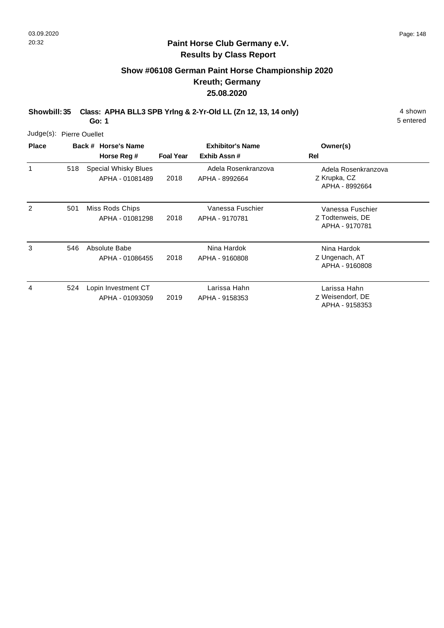## **Paint Horse Club Germany e.V. Results by Class Report**

# **Show #06108 German Paint Horse Championship 2020 Kreuth; Germany 25.08.2020**

**Showbill: 35 Class: APHA BLL3 SPB Yrlng & 2-Yr-Old LL (Zn 12, 13, 14 only)** 4 shown

| Judge(s): Pierre Ouellet |     |                                                |                  |                                       |                                                        |
|--------------------------|-----|------------------------------------------------|------------------|---------------------------------------|--------------------------------------------------------|
| <b>Place</b>             |     | Back # Horse's Name                            |                  | <b>Exhibitor's Name</b>               | Owner(s)                                               |
|                          |     | Horse Reg #                                    | <b>Foal Year</b> | Exhib Assn#                           | Rel                                                    |
| 1                        | 518 | <b>Special Whisky Blues</b><br>APHA - 01081489 | 2018             | Adela Rosenkranzova<br>APHA - 8992664 | Adela Rosenkranzova<br>Z Krupka, CZ<br>APHA - 8992664  |
| $\mathcal{P}$            | 501 | Miss Rods Chips<br>APHA - 01081298             | 2018             | Vanessa Fuschier<br>APHA - 9170781    | Vanessa Fuschier<br>Z Todtenweis, DE<br>APHA - 9170781 |
| 3                        | 546 | Absolute Babe<br>APHA - 01086455               | 2018             | Nina Hardok<br>APHA - 9160808         | Nina Hardok<br>Z Ungenach, AT<br>APHA - 9160808        |
| 4                        | 524 | Lopin Investment CT<br>APHA - 01093059         | 2019             | Larissa Hahn<br>APHA - 9158353        | Larissa Hahn<br>Z Weisendorf, DE<br>APHA - 9158353     |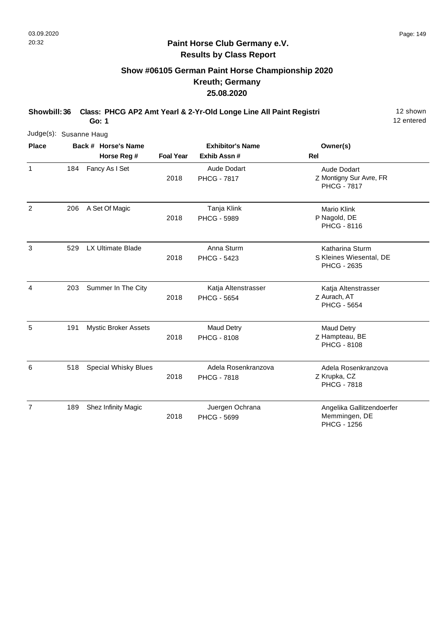# **Show #06105 German Paint Horse Championship 2020 Kreuth; Germany 25.08.2020**

**Showbill: 36 Class: PHCG AP2 Amt Yearl & 2-Yr-Old Longe Line All Paint Registri** 12 shown

12 entered

| Judge(s): Susanne Haug |     |                             |                  |                                           |                                                                     |
|------------------------|-----|-----------------------------|------------------|-------------------------------------------|---------------------------------------------------------------------|
| <b>Place</b>           |     | Back # Horse's Name         |                  | <b>Exhibitor's Name</b>                   | Owner(s)                                                            |
|                        |     | Horse Reg #                 | <b>Foal Year</b> | Exhib Assn #                              | <b>Rel</b>                                                          |
| 1                      | 184 | Fancy As I Set              | 2018             | Aude Dodart<br><b>PHCG - 7817</b>         | <b>Aude Dodart</b><br>Z Montigny Sur Avre, FR<br><b>PHCG - 7817</b> |
| 2                      | 206 | A Set Of Magic              | 2018             | Tanja Klink<br><b>PHCG - 5989</b>         | <b>Mario Klink</b><br>P Nagold, DE<br>PHCG - 8116                   |
| 3                      | 529 | LX Ultimate Blade           | 2018             | Anna Sturm<br><b>PHCG - 5423</b>          | Katharina Sturm<br>S Kleines Wiesental, DE<br>PHCG - 2635           |
| 4                      | 203 | Summer In The City          | 2018             | Katja Altenstrasser<br><b>PHCG - 5654</b> | Katja Altenstrasser<br>Z Aurach, AT<br><b>PHCG - 5654</b>           |
| 5                      | 191 | <b>Mystic Broker Assets</b> | 2018             | <b>Maud Detry</b><br><b>PHCG - 8108</b>   | <b>Maud Detry</b><br>Z Hampteau, BE<br>PHCG - 8108                  |
| 6                      | 518 | <b>Special Whisky Blues</b> | 2018             | Adela Rosenkranzova<br><b>PHCG - 7818</b> | Adela Rosenkranzova<br>Z Krupka, CZ<br><b>PHCG - 7818</b>           |
| 7                      | 189 | Shez Infinity Magic         | 2018             | Juergen Ochrana<br><b>PHCG - 5699</b>     | Angelika Gallitzendoerfer<br>Memmingen, DE<br>PHCG - 1256           |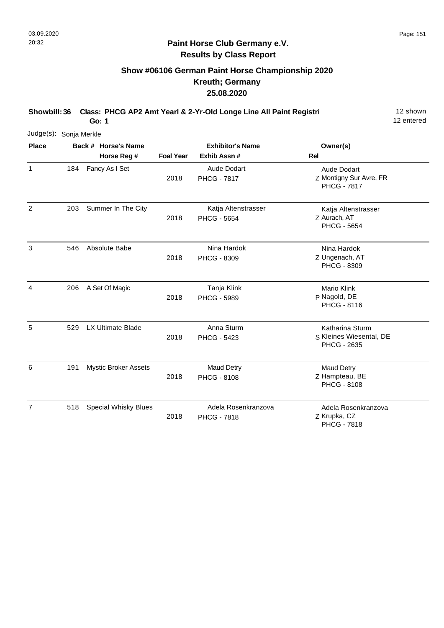# **Show #06106 German Paint Horse Championship 2020 Kreuth; Germany 25.08.2020**

**Showbill: 36 Class: PHCG AP2 Amt Yearl & 2-Yr-Old Longe Line All Paint Registri** 12 shown

12 entered

| Judge(s): Sonja Merkle |     |                                    |                  |                                           |                                                              |
|------------------------|-----|------------------------------------|------------------|-------------------------------------------|--------------------------------------------------------------|
| <b>Place</b>           |     | Back # Horse's Name<br>Horse Reg # | <b>Foal Year</b> | <b>Exhibitor's Name</b><br>Exhib Assn#    | Owner(s)<br><b>Rel</b>                                       |
| 1                      | 184 | Fancy As I Set                     | 2018             | <b>Aude Dodart</b><br><b>PHCG - 7817</b>  | Aude Dodart<br>Z Montigny Sur Avre, FR<br><b>PHCG - 7817</b> |
| 2                      | 203 | Summer In The City                 | 2018             | Katja Altenstrasser<br><b>PHCG - 5654</b> | Katja Altenstrasser<br>Z Aurach, AT<br><b>PHCG - 5654</b>    |
| 3                      | 546 | Absolute Babe                      | 2018             | Nina Hardok<br>PHCG - 8309                | Nina Hardok<br>Z Ungenach, AT<br><b>PHCG - 8309</b>          |
| 4                      | 206 | A Set Of Magic                     | 2018             | Tanja Klink<br><b>PHCG - 5989</b>         | Mario Klink<br>P Nagold, DE<br>PHCG - 8116                   |
| 5                      | 529 | LX Ultimate Blade                  | 2018             | Anna Sturm<br><b>PHCG - 5423</b>          | Katharina Sturm<br>S Kleines Wiesental, DE<br>PHCG - 2635    |
| 6                      | 191 | <b>Mystic Broker Assets</b>        | 2018             | <b>Maud Detry</b><br>PHCG - 8108          | <b>Maud Detry</b><br>Z Hampteau, BE<br><b>PHCG - 8108</b>    |
| $\overline{7}$         | 518 | <b>Special Whisky Blues</b>        | 2018             | Adela Rosenkranzova<br><b>PHCG - 7818</b> | Adela Rosenkranzova<br>Z Krupka, CZ<br><b>PHCG - 7818</b>    |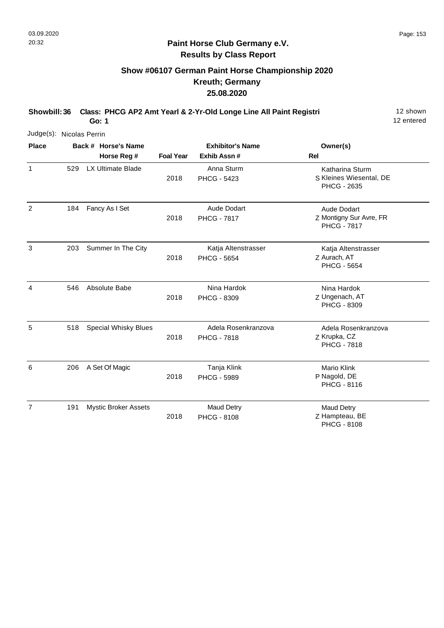7

## **Paint Horse Club Germany e.V. Results by Class Report**

# **Show #06107 German Paint Horse Championship 2020 Kreuth; Germany 25.08.2020**

**Showbill: 36 Class: PHCG AP2 Amt Yearl & 2-Yr-Old Longe Line All Paint Registri** 12 shown **Go: 1**

2018

191 Mystic Broker Assets Maud Detry

12 entered

Z Hampteau, BE Maud Detry

PHCG - 8108

| Judge(s): Nicolas Perrin |     |                                    |                  |                                           |                                                                  |
|--------------------------|-----|------------------------------------|------------------|-------------------------------------------|------------------------------------------------------------------|
| <b>Place</b>             |     | Back # Horse's Name<br>Horse Reg # | <b>Foal Year</b> | <b>Exhibitor's Name</b><br>Exhib Assn #   | Owner(s)<br><b>Rel</b>                                           |
| $\mathbf{1}$             | 529 | <b>LX Ultimate Blade</b>           | 2018             | Anna Sturm<br><b>PHCG - 5423</b>          | Katharina Sturm<br>S Kleines Wiesental, DE<br><b>PHCG - 2635</b> |
| $\overline{2}$           | 184 | Fancy As I Set                     | 2018             | Aude Dodart<br><b>PHCG - 7817</b>         | Aude Dodart<br>Z Montigny Sur Avre, FR<br><b>PHCG - 7817</b>     |
| 3                        | 203 | Summer In The City                 | 2018             | Katja Altenstrasser<br><b>PHCG - 5654</b> | Katja Altenstrasser<br>Z Aurach, AT<br><b>PHCG - 5654</b>        |
| 4                        | 546 | Absolute Babe                      | 2018             | Nina Hardok<br>PHCG - 8309                | Nina Hardok<br>Z Ungenach, AT<br>PHCG - 8309                     |
| 5                        | 518 | <b>Special Whisky Blues</b>        | 2018             | Adela Rosenkranzova<br><b>PHCG - 7818</b> | Adela Rosenkranzova<br>Z Krupka, CZ<br><b>PHCG - 7818</b>        |
| 6                        | 206 | A Set Of Magic                     | 2018             | Tanja Klink<br><b>PHCG - 5989</b>         | <b>Mario Klink</b><br>P Nagold, DE<br>PHCG - 8116                |

PHCG - 8108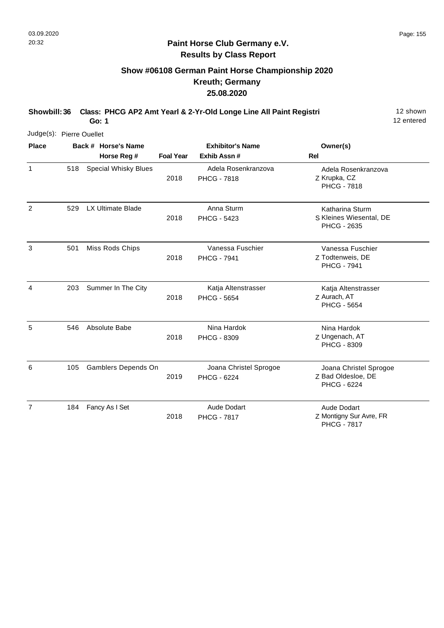# **Show #06108 German Paint Horse Championship 2020 Kreuth; Germany 25.08.2020**

**Showbill: 36 Class: PHCG AP2 Amt Yearl & 2-Yr-Old Longe Line All Paint Registri** 12 shown

12 entered

| Judge(s): Pierre Ouellet |     |                             |                  |                                           |                                                                     |
|--------------------------|-----|-----------------------------|------------------|-------------------------------------------|---------------------------------------------------------------------|
| <b>Place</b>             |     | Back # Horse's Name         |                  | <b>Exhibitor's Name</b>                   | Owner(s)                                                            |
|                          |     | Horse Reg #                 | <b>Foal Year</b> | Exhib Assn #                              | <b>Rel</b>                                                          |
| 1                        | 518 | <b>Special Whisky Blues</b> | 2018             | Adela Rosenkranzova<br><b>PHCG - 7818</b> | Adela Rosenkranzova<br>Z Krupka, CZ<br><b>PHCG - 7818</b>           |
| $\overline{2}$           | 529 | LX Ultimate Blade           | 2018             | Anna Sturm<br><b>PHCG - 5423</b>          | Katharina Sturm<br>S Kleines Wiesental, DE<br><b>PHCG - 2635</b>    |
| 3                        | 501 | Miss Rods Chips             | 2018             | Vanessa Fuschier<br><b>PHCG - 7941</b>    | Vanessa Fuschier<br>Z Todtenweis, DE<br><b>PHCG - 7941</b>          |
| $\overline{4}$           | 203 | Summer In The City          | 2018             | Katja Altenstrasser<br><b>PHCG - 5654</b> | Katja Altenstrasser<br>Z Aurach, AT<br><b>PHCG - 5654</b>           |
| 5                        | 546 | Absolute Babe               | 2018             | Nina Hardok<br><b>PHCG - 8309</b>         | Nina Hardok<br>Z Ungenach, AT<br><b>PHCG - 8309</b>                 |
| 6                        | 105 | Gamblers Depends On         | 2019             | Joana Christel Sprogoe<br>PHCG - 6224     | Joana Christel Sprogoe<br>Z Bad Oldesloe, DE<br><b>PHCG - 6224</b>  |
| 7                        | 184 | Fancy As I Set              | 2018             | Aude Dodart<br><b>PHCG - 7817</b>         | <b>Aude Dodart</b><br>Z Montigny Sur Avre, FR<br><b>PHCG - 7817</b> |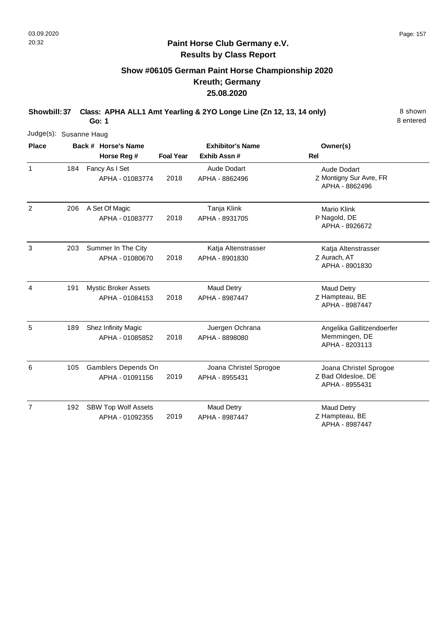# **Show #06105 German Paint Horse Championship 2020 Kreuth; Germany 25.08.2020**

**Showbill: 37 Class: APHA ALL1 Amt Yearling & 2YO Longe Line (Zn 12, 13, 14 only)** 8 shown **Go: 1**

| Judge(s): Susanne Haug |     |                                                |                  |                                          |                                                                |
|------------------------|-----|------------------------------------------------|------------------|------------------------------------------|----------------------------------------------------------------|
| <b>Place</b>           |     | Back # Horse's Name                            |                  | <b>Exhibitor's Name</b>                  | Owner(s)                                                       |
|                        |     | Horse Reg #                                    | <b>Foal Year</b> | Exhib Assn #                             | Rel                                                            |
| 1                      | 184 | Fancy As I Set<br>APHA - 01083774              | 2018             | Aude Dodart<br>APHA - 8862496            | Aude Dodart<br>Z Montigny Sur Avre, FR<br>APHA - 8862496       |
| 2                      | 206 | A Set Of Magic<br>APHA - 01083777              | 2018             | Tanja Klink<br>APHA - 8931705            | <b>Mario Klink</b><br>P Nagold, DE<br>APHA - 8926672           |
| 3                      | 203 | Summer In The City<br>APHA - 01080670          | 2018             | Katja Altenstrasser<br>APHA - 8901830    | Katja Altenstrasser<br>Z Aurach, AT<br>APHA - 8901830          |
| $\overline{4}$         | 191 | <b>Mystic Broker Assets</b><br>APHA - 01084153 | 2018             | <b>Maud Detry</b><br>APHA - 8987447      | Maud Detry<br>Z Hampteau, BE<br>APHA - 8987447                 |
| 5                      | 189 | Shez Infinity Magic<br>APHA - 01085852         | 2018             | Juergen Ochrana<br>APHA - 8898080        | Angelika Gallitzendoerfer<br>Memmingen, DE<br>APHA - 8203113   |
| 6                      | 105 | Gamblers Depends On<br>APHA - 01091156         | 2019             | Joana Christel Sprogoe<br>APHA - 8955431 | Joana Christel Sprogoe<br>Z Bad Oldesloe, DE<br>APHA - 8955431 |
| $\overline{7}$         | 192 | <b>SBW Top Wolf Assets</b><br>APHA - 01092355  | 2019             | <b>Maud Detry</b><br>APHA - 8987447      | <b>Maud Detry</b><br>Z Hampteau, BE<br>APHA - 8987447          |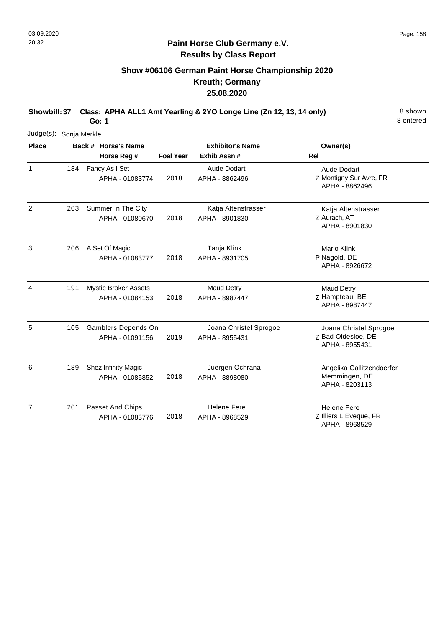# **Show #06106 German Paint Horse Championship 2020 Kreuth; Germany 25.08.2020**

**Showbill: 37 Class: APHA ALL1 Amt Yearling & 2YO Longe Line (Zn 12, 13, 14 only)** 8 shown **Go: 1**

| Judge(s): Sonja Merkle |     |                                                |                  |                                          |                                                                 |
|------------------------|-----|------------------------------------------------|------------------|------------------------------------------|-----------------------------------------------------------------|
| <b>Place</b>           |     | Back # Horse's Name                            |                  | <b>Exhibitor's Name</b>                  | Owner(s)                                                        |
|                        |     | Horse Reg #                                    | <b>Foal Year</b> | Exhib Assn #                             | Rel                                                             |
| $\mathbf{1}$           | 184 | Fancy As I Set<br>APHA - 01083774              | 2018             | <b>Aude Dodart</b><br>APHA - 8862496     | <b>Aude Dodart</b><br>Z Montigny Sur Avre, FR<br>APHA - 8862496 |
| $\overline{2}$         | 203 | Summer In The City<br>APHA - 01080670          | 2018             | Katja Altenstrasser<br>APHA - 8901830    | Katja Altenstrasser<br>Z Aurach, AT<br>APHA - 8901830           |
| 3                      | 206 | A Set Of Magic<br>APHA - 01083777              | 2018             | Tanja Klink<br>APHA - 8931705            | <b>Mario Klink</b><br>P Nagold, DE<br>APHA - 8926672            |
| 4                      | 191 | <b>Mystic Broker Assets</b><br>APHA - 01084153 | 2018             | <b>Maud Detry</b><br>APHA - 8987447      | <b>Maud Detry</b><br>Z Hampteau, BE<br>APHA - 8987447           |
| 5                      | 105 | Gamblers Depends On<br>APHA - 01091156         | 2019             | Joana Christel Sprogoe<br>APHA - 8955431 | Joana Christel Sprogoe<br>Z Bad Oldesloe, DE<br>APHA - 8955431  |
| 6                      | 189 | Shez Infinity Magic<br>APHA - 01085852         | 2018             | Juergen Ochrana<br>APHA - 8898080        | Angelika Gallitzendoerfer<br>Memmingen, DE<br>APHA - 8203113    |
| $\overline{7}$         | 201 | Passet And Chips<br>APHA - 01083776            | 2018             | <b>Helene Fere</b><br>APHA - 8968529     | <b>Helene Fere</b><br>Z Illiers L Eveque, FR<br>APHA - 8968529  |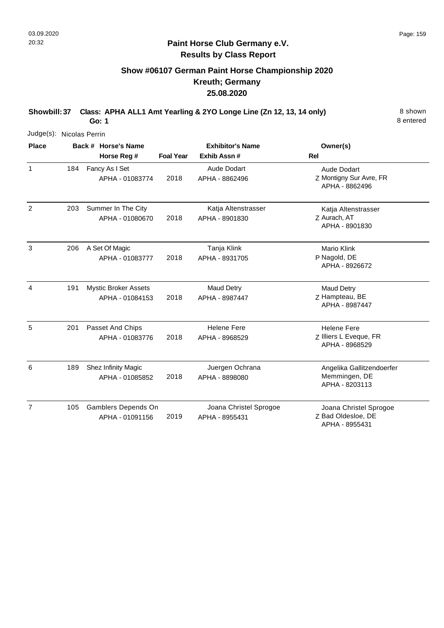# **Show #06107 German Paint Horse Championship 2020 Kreuth; Germany 25.08.2020**

**Showbill: 37 Class: APHA ALL1 Amt Yearling & 2YO Longe Line (Zn 12, 13, 14 only)** 8 shown **Go: 1**

| Judge(s): Nicolas Perrin |     |                                                |                  |                                          |                                                                 |
|--------------------------|-----|------------------------------------------------|------------------|------------------------------------------|-----------------------------------------------------------------|
| <b>Place</b>             |     | Back # Horse's Name                            |                  | <b>Exhibitor's Name</b>                  | Owner(s)                                                        |
|                          |     | Horse Reg #                                    | <b>Foal Year</b> | Exhib Assn #                             | Rel                                                             |
| $\mathbf{1}$             | 184 | Fancy As I Set<br>APHA - 01083774              | 2018             | <b>Aude Dodart</b><br>APHA - 8862496     | <b>Aude Dodart</b><br>Z Montigny Sur Avre, FR<br>APHA - 8862496 |
| $\overline{2}$           | 203 | Summer In The City<br>APHA - 01080670          | 2018             | Katja Altenstrasser<br>APHA - 8901830    | Katja Altenstrasser<br>Z Aurach, AT<br>APHA - 8901830           |
| 3                        | 206 | A Set Of Magic<br>APHA - 01083777              | 2018             | Tanja Klink<br>APHA - 8931705            | <b>Mario Klink</b><br>P Nagold, DE<br>APHA - 8926672            |
| 4                        | 191 | <b>Mystic Broker Assets</b><br>APHA - 01084153 | 2018             | <b>Maud Detry</b><br>APHA - 8987447      | Maud Detry<br>Z Hampteau, BE<br>APHA - 8987447                  |
| 5                        | 201 | Passet And Chips<br>APHA - 01083776            | 2018             | <b>Helene Fere</b><br>APHA - 8968529     | <b>Helene Fere</b><br>Z Illiers L Eveque, FR<br>APHA - 8968529  |
| 6                        | 189 | Shez Infinity Magic<br>APHA - 01085852         | 2018             | Juergen Ochrana<br>APHA - 8898080        | Angelika Gallitzendoerfer<br>Memmingen, DE<br>APHA - 8203113    |
| $\overline{7}$           | 105 | Gamblers Depends On<br>APHA - 01091156         | 2019             | Joana Christel Sprogoe<br>APHA - 8955431 | Joana Christel Sprogoe<br>Z Bad Oldesloe, DE<br>APHA - 8955431  |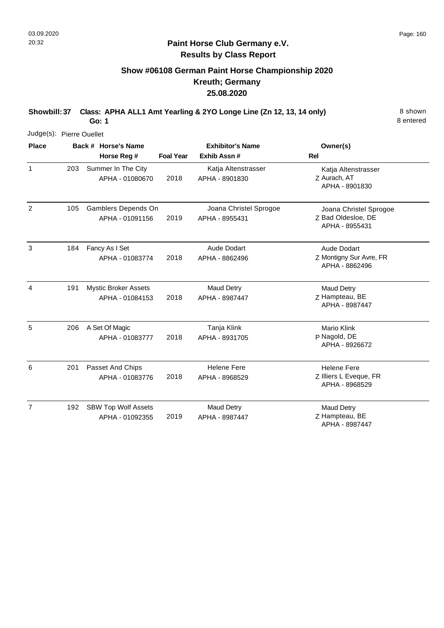# **Show #06108 German Paint Horse Championship 2020 Kreuth; Germany 25.08.2020**

**Showbill: 37 Class: APHA ALL1 Amt Yearling & 2YO Longe Line (Zn 12, 13, 14 only)** 8 shown **Go: 1**

| Judge(s): Pierre Ouellet |     |                                                |                  |                                          |                                                                |
|--------------------------|-----|------------------------------------------------|------------------|------------------------------------------|----------------------------------------------------------------|
| <b>Place</b>             |     | Back # Horse's Name<br>Horse Reg #             | <b>Foal Year</b> | <b>Exhibitor's Name</b><br>Exhib Assn #  | Owner(s)<br><b>Rel</b>                                         |
| $\mathbf{1}$             | 203 | Summer In The City<br>APHA - 01080670          | 2018             | Katja Altenstrasser<br>APHA - 8901830    | Katja Altenstrasser<br>Z Aurach, AT<br>APHA - 8901830          |
| $\overline{2}$           | 105 | Gamblers Depends On<br>APHA - 01091156         | 2019             | Joana Christel Sprogoe<br>APHA - 8955431 | Joana Christel Sprogoe<br>Z Bad Oldesloe, DE<br>APHA - 8955431 |
| 3                        | 184 | Fancy As I Set<br>APHA - 01083774              | 2018             | Aude Dodart<br>APHA - 8862496            | Aude Dodart<br>Z Montigny Sur Avre, FR<br>APHA - 8862496       |
| 4                        | 191 | <b>Mystic Broker Assets</b><br>APHA - 01084153 | 2018             | Maud Detry<br>APHA - 8987447             | <b>Maud Detry</b><br>Z Hampteau, BE<br>APHA - 8987447          |
| 5                        | 206 | A Set Of Magic<br>APHA - 01083777              | 2018             | Tanja Klink<br>APHA - 8931705            | Mario Klink<br>P Nagold, DE<br>APHA - 8926672                  |
| 6                        | 201 | Passet And Chips<br>APHA - 01083776            | 2018             | <b>Helene Fere</b><br>APHA - 8968529     | <b>Helene Fere</b><br>Z Illiers L Eveque, FR<br>APHA - 8968529 |
| $\overline{7}$           | 192 | <b>SBW Top Wolf Assets</b><br>APHA - 01092355  | 2019             | <b>Maud Detry</b><br>APHA - 8987447      | <b>Maud Detry</b><br>Z Hampteau, BE<br>APHA - 8987447          |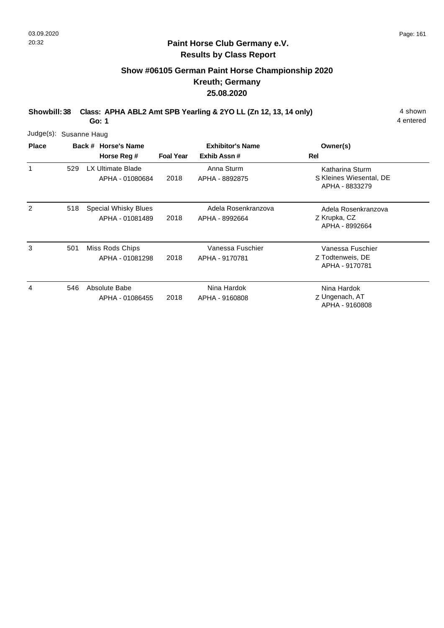# **Show #06105 German Paint Horse Championship 2020 Kreuth; Germany 25.08.2020**

**Showbill: 38 Class: APHA ABL2 Amt SPB Yearling & 2YO LL (Zn 12, 13, 14 only)** 4 shown

**Go: 1**

| <b>Place</b> | Judge(s): Susanne Haug |                                             |                         |                                       |                                                              |  |  |  |  |
|--------------|------------------------|---------------------------------------------|-------------------------|---------------------------------------|--------------------------------------------------------------|--|--|--|--|
|              |                        | Back # Horse's Name                         | <b>Exhibitor's Name</b> | Owner(s)                              |                                                              |  |  |  |  |
|              |                        | Horse Reg #                                 | <b>Foal Year</b>        | Exhib Assn#                           | Rel                                                          |  |  |  |  |
| 1            | 529                    | <b>LX Ultimate Blade</b><br>APHA - 01080684 | 2018                    | Anna Sturm<br>APHA - 8892875          | Katharina Sturm<br>S Kleines Wiesental, DE<br>APHA - 8833279 |  |  |  |  |
| 2            | 518                    | Special Whisky Blues<br>APHA - 01081489     | 2018                    | Adela Rosenkranzova<br>APHA - 8992664 | Adela Rosenkranzova<br>Z Krupka, CZ<br>APHA - 8992664        |  |  |  |  |
| 3            | 501                    | Miss Rods Chips<br>APHA - 01081298          | 2018                    | Vanessa Fuschier<br>APHA - 9170781    | Vanessa Fuschier<br>Z Todtenweis, DE<br>APHA - 9170781       |  |  |  |  |
| 4            | 546                    | Absolute Babe<br>APHA - 01086455            | 2018                    | Nina Hardok<br>APHA - 9160808         | Nina Hardok<br>Z Ungenach, AT<br>APHA - 9160808              |  |  |  |  |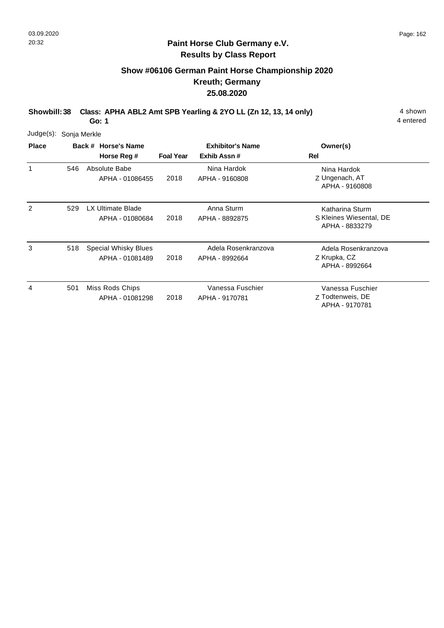# **Show #06106 German Paint Horse Championship 2020 Kreuth; Germany 25.08.2020**

**Showbill: 38 Class: APHA ABL2 Amt SPB Yearling & 2YO LL (Zn 12, 13, 14 only)** 4 shown

**Go: 1**

|              | Judge(s): Sonja Merkle |  |                                                |                  |                                        |                                                              |  |  |  |  |
|--------------|------------------------|--|------------------------------------------------|------------------|----------------------------------------|--------------------------------------------------------------|--|--|--|--|
| <b>Place</b> |                        |  | Back # Horse's Name<br>Horse Reg #             | <b>Foal Year</b> | <b>Exhibitor's Name</b><br>Exhib Assn# | Owner(s)<br><b>Rel</b>                                       |  |  |  |  |
| 1            | 546                    |  | Absolute Babe<br>APHA - 01086455               | 2018             | Nina Hardok<br>APHA - 9160808          | Nina Hardok<br>Z Ungenach, AT<br>APHA - 9160808              |  |  |  |  |
| 2            | 529                    |  | <b>LX Ultimate Blade</b><br>APHA - 01080684    | 2018             | Anna Sturm<br>APHA - 8892875           | Katharina Sturm<br>S Kleines Wiesental, DE<br>APHA - 8833279 |  |  |  |  |
| 3            | 518                    |  | <b>Special Whisky Blues</b><br>APHA - 01081489 | 2018             | Adela Rosenkranzova<br>APHA - 8992664  | Adela Rosenkranzova<br>Z Krupka, CZ<br>APHA - 8992664        |  |  |  |  |
| 4            | 501                    |  | Miss Rods Chips<br>APHA - 01081298             | 2018             | Vanessa Fuschier<br>APHA - 9170781     | Vanessa Fuschier<br>Z Todtenweis, DE<br>APHA - 9170781       |  |  |  |  |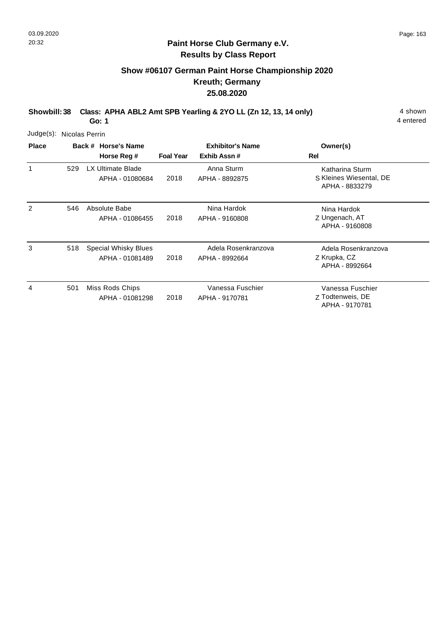# **Show #06107 German Paint Horse Championship 2020 Kreuth; Germany 25.08.2020**

**Showbill: 38 Class: APHA ABL2 Amt SPB Yearling & 2YO LL (Zn 12, 13, 14 only)** 4 shown

**Go: 1**

| <b>Place</b> | Judge(s): Nicolas Perrin |                                             |                         |                                       |                                                              |  |  |  |
|--------------|--------------------------|---------------------------------------------|-------------------------|---------------------------------------|--------------------------------------------------------------|--|--|--|
|              |                          | Back # Horse's Name                         | <b>Exhibitor's Name</b> | Owner(s)                              |                                                              |  |  |  |
|              |                          | Horse Reg #                                 | <b>Foal Year</b>        | Exhib Assn#                           | Rel                                                          |  |  |  |
| 1            | 529                      | <b>LX Ultimate Blade</b><br>APHA - 01080684 | 2018                    | Anna Sturm<br>APHA - 8892875          | Katharina Sturm<br>S Kleines Wiesental, DE<br>APHA - 8833279 |  |  |  |
| 2            | 546                      | Absolute Babe<br>APHA - 01086455            | 2018                    | Nina Hardok<br>APHA - 9160808         | Nina Hardok<br>Z Ungenach, AT<br>APHA - 9160808              |  |  |  |
| 3            | 518                      | Special Whisky Blues<br>APHA - 01081489     | 2018                    | Adela Rosenkranzova<br>APHA - 8992664 | Adela Rosenkranzova<br>Z Krupka, CZ<br>APHA - 8992664        |  |  |  |
| 4            | 501                      | Miss Rods Chips<br>APHA - 01081298          | 2018                    | Vanessa Fuschier<br>APHA - 9170781    | Vanessa Fuschier<br>Z Todtenweis, DE<br>APHA - 9170781       |  |  |  |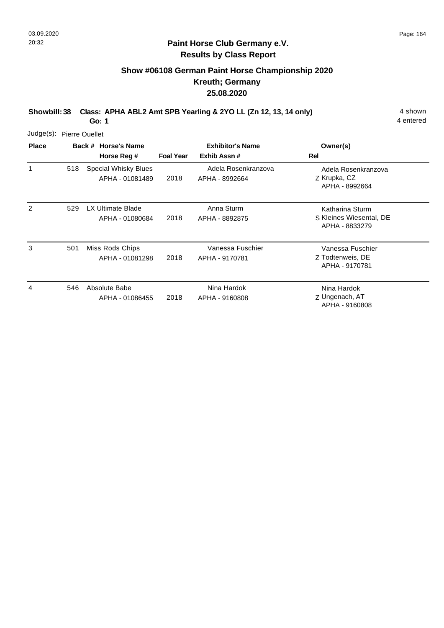# **Show #06108 German Paint Horse Championship 2020 Kreuth; Germany 25.08.2020**

**Showbill: 38 Class: APHA ABL2 Amt SPB Yearling & 2YO LL (Zn 12, 13, 14 only)** 4 shown

**Go: 1**

|              | Judge(s): Pierre Ouellet |                                                |                  |                                        |                                                              |  |  |  |  |
|--------------|--------------------------|------------------------------------------------|------------------|----------------------------------------|--------------------------------------------------------------|--|--|--|--|
| <b>Place</b> |                          | Back # Horse's Name<br>Horse Reg #             | <b>Foal Year</b> | <b>Exhibitor's Name</b><br>Exhib Assn# | Owner(s)<br>Rel                                              |  |  |  |  |
| 1            | 518                      | <b>Special Whisky Blues</b><br>APHA - 01081489 | 2018             | Adela Rosenkranzova<br>APHA - 8992664  | Adela Rosenkranzova<br>Z Krupka, CZ<br>APHA - 8992664        |  |  |  |  |
| 2            | 529                      | <b>LX Ultimate Blade</b><br>APHA - 01080684    | 2018             | Anna Sturm<br>APHA - 8892875           | Katharina Sturm<br>S Kleines Wiesental, DE<br>APHA - 8833279 |  |  |  |  |
| 3            | 501                      | Miss Rods Chips<br>APHA - 01081298             | 2018             | Vanessa Fuschier<br>APHA - 9170781     | Vanessa Fuschier<br>Z Todtenweis, DE<br>APHA - 9170781       |  |  |  |  |
| 4            | 546                      | Absolute Babe<br>APHA - 01086455               | 2018             | Nina Hardok<br>APHA - 9160808          | Nina Hardok<br>Z Ungenach, AT<br>APHA - 9160808              |  |  |  |  |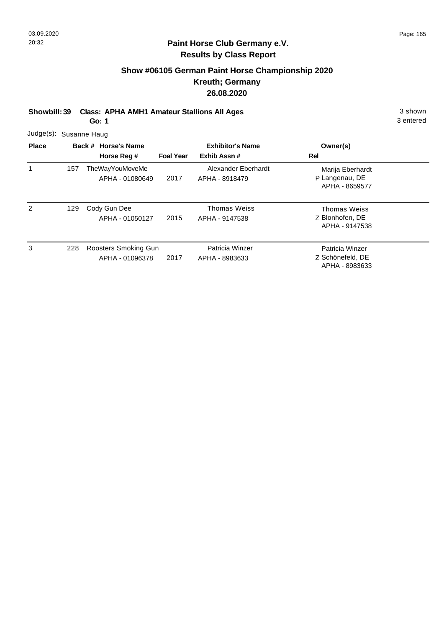# **Show #06105 German Paint Horse Championship 2020 Kreuth; Germany 26.08.2020**

**Showbill: 39 Class: APHA AMH1 Amateur Stallions All Ages** 3 shown

**Go: 1**

3 entered

Judge(s): Susanne Haug

| <b>Place</b> |     | Back # Horse's Name<br>Horse Reg #      | <b>Foal Year</b> | <b>Exhibitor's Name</b><br>Exhib Assn# | Owner(s)<br>Rel                                          |  |
|--------------|-----|-----------------------------------------|------------------|----------------------------------------|----------------------------------------------------------|--|
|              | 157 | TheWayYouMoveMe<br>APHA - 01080649      | 2017             | Alexander Eberhardt<br>APHA - 8918479  | Marija Eberhardt<br>P Langenau, DE<br>APHA - 8659577     |  |
| 2            | 129 | Cody Gun Dee<br>APHA - 01050127         | 2015             | Thomas Weiss<br>APHA - 9147538         | <b>Thomas Weiss</b><br>Z Blonhofen, DE<br>APHA - 9147538 |  |
| 3            | 228 | Roosters Smoking Gun<br>APHA - 01096378 | 2017             | Patricia Winzer<br>APHA - 8983633      | Patricia Winzer<br>Z Schönefeld, DE<br>APHA - 8983633    |  |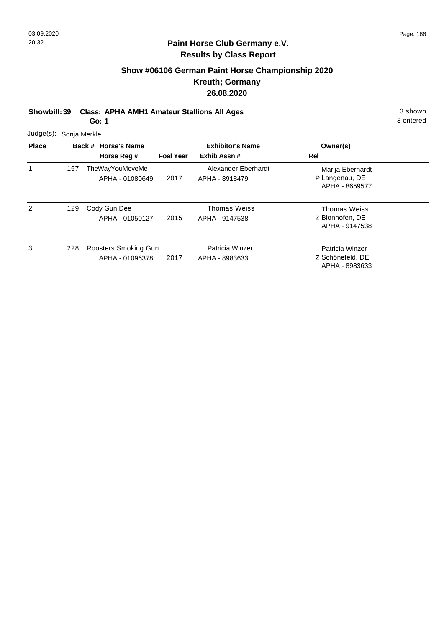# **Show #06106 German Paint Horse Championship 2020 Kreuth; Germany 26.08.2020**

**Showbill: 39 Class: APHA AMH1 Amateur Stallions All Ages** 3 shown

**Go: 1**

3 entered

Judge(s): Sonja Merkle

| <b>Place</b> |     | Back # Horse's Name<br>Horse Reg #        | <b>Foal Year</b> | <b>Exhibitor's Name</b><br>Exhib Assn# | Owner(s)<br>Rel                                          |  |
|--------------|-----|-------------------------------------------|------------------|----------------------------------------|----------------------------------------------------------|--|
|              | 157 | <b>TheWayYouMoveMe</b><br>APHA - 01080649 | 2017             | Alexander Eberhardt<br>APHA - 8918479  | Marija Eberhardt<br>P Langenau, DE<br>APHA - 8659577     |  |
| 2            | 129 | Cody Gun Dee<br>APHA - 01050127           | 2015             | Thomas Weiss<br>APHA - 9147538         | <b>Thomas Weiss</b><br>Z Blonhofen, DE<br>APHA - 9147538 |  |
| 3            | 228 | Roosters Smoking Gun<br>APHA - 01096378   | 2017             | Patricia Winzer<br>APHA - 8983633      | Patricia Winzer<br>Z Schönefeld, DE<br>APHA - 8983633    |  |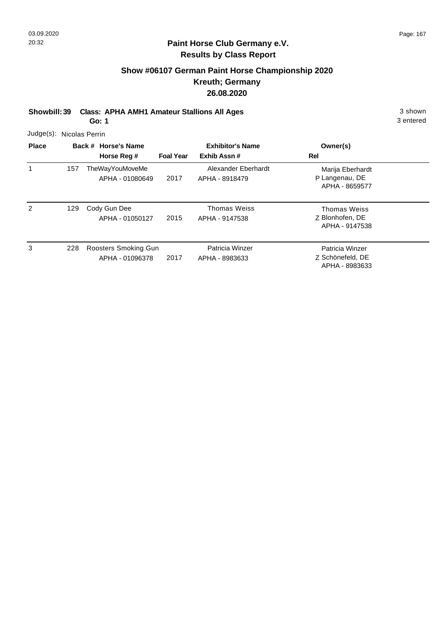# **Show #06107 German Paint Horse Championship 2020 Kreuth; Germany 26.08.2020**

**Showbill: 39 Class: APHA AMH1 Amateur Stallions All Ages** 3 shown

**Go: 1**

3 entered

Judge(s): Nicolas Perrin

| <b>Place</b> |     | Back # Horse's Name                       |                  | <b>Exhibitor's Name</b>               | Owner(s)                                              |  |  |  |  |
|--------------|-----|-------------------------------------------|------------------|---------------------------------------|-------------------------------------------------------|--|--|--|--|
|              |     | Horse Reg #                               | <b>Foal Year</b> | Exhib Assn#                           | Rel                                                   |  |  |  |  |
|              | 157 | <b>TheWayYouMoveMe</b><br>APHA - 01080649 | 2017             | Alexander Eberhardt<br>APHA - 8918479 | Marija Eberhardt<br>P Langenau, DE<br>APHA - 8659577  |  |  |  |  |
| 2            | 129 | Cody Gun Dee<br>APHA - 01050127           | 2015             | Thomas Weiss<br>APHA - 9147538        | Thomas Weiss<br>Z Blonhofen, DE<br>APHA - 9147538     |  |  |  |  |
| 3            | 228 | Roosters Smoking Gun<br>APHA - 01096378   | 2017             | Patricia Winzer<br>APHA - 8983633     | Patricia Winzer<br>Z Schönefeld, DE<br>APHA - 8983633 |  |  |  |  |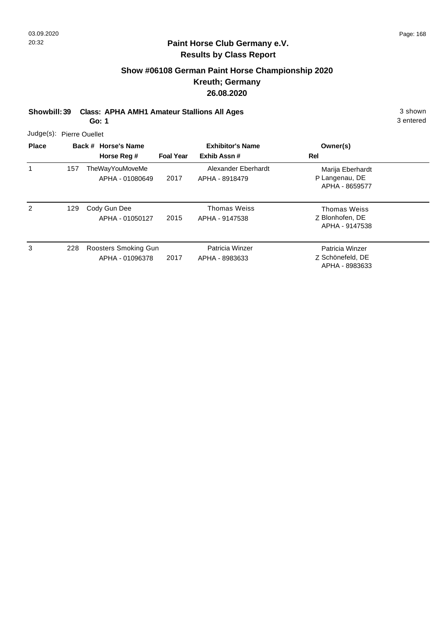# **Show #06108 German Paint Horse Championship 2020 Kreuth; Germany 26.08.2020**

**Showbill: 39 Class: APHA AMH1 Amateur Stallions All Ages** 3 shown

**Go: 1**

3 entered

Judge(s): Pierre Ouellet

| <b>Place</b> |     | Back # Horse's Name<br>Horse Reg #        | <b>Foal Year</b> | <b>Exhibitor's Name</b><br>Exhib Assn# | Owner(s)<br>Rel                                       |  |
|--------------|-----|-------------------------------------------|------------------|----------------------------------------|-------------------------------------------------------|--|
|              | 157 | <b>TheWayYouMoveMe</b><br>APHA - 01080649 | 2017             | Alexander Eberhardt<br>APHA - 8918479  | Marija Eberhardt<br>P Langenau, DE<br>APHA - 8659577  |  |
| 2            | 129 | Cody Gun Dee<br>APHA - 01050127           | 2015             | Thomas Weiss<br>APHA - 9147538         | Thomas Weiss<br>Z Blonhofen, DE<br>APHA - 9147538     |  |
| 3            | 228 | Roosters Smoking Gun<br>APHA - 01096378   | 2017             | Patricia Winzer<br>APHA - 8983633      | Patricia Winzer<br>Z Schönefeld, DE<br>APHA - 8983633 |  |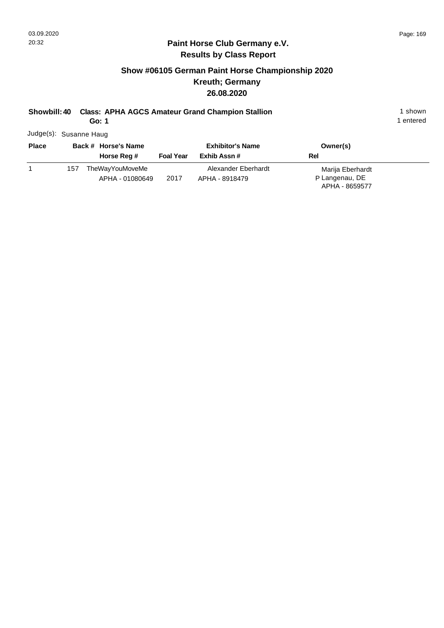# **Show #06105 German Paint Horse Championship 2020 Kreuth; Germany 26.08.2020**

# **Showbill: 40 Class: APHA AGCS Amateur Grand Champion Stallion** 1 shown 1 shown

**Go: 1**

1 entered

Judge(s): Susanne Haug

| <b>Place</b> |     | Back # Horse's Name                |                  | <b>Exhibitor's Name</b>               | Owner(s)                                             |  |
|--------------|-----|------------------------------------|------------------|---------------------------------------|------------------------------------------------------|--|
|              |     | Horse Reg #                        | <b>Foal Year</b> | Exhib Assn #                          | Rel                                                  |  |
|              | 157 | TheWayYouMoveMe<br>APHA - 01080649 | 2017             | Alexander Eberhardt<br>APHA - 8918479 | Marija Eberhardt<br>P Langenau, DE<br>APHA - 8659577 |  |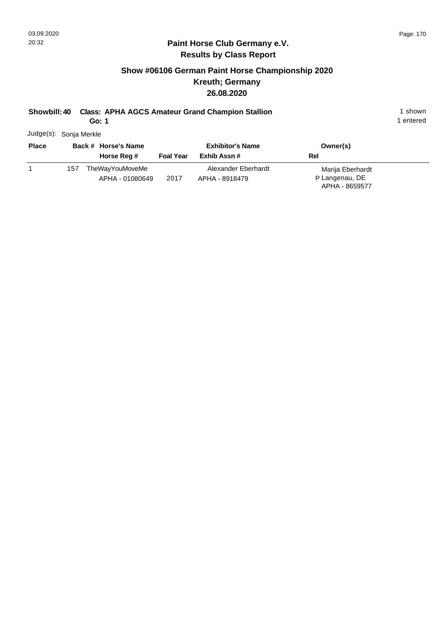# **Show #06106 German Paint Horse Championship 2020 Kreuth; Germany 26.08.2020**

# **Showbill: 40 Class: APHA AGCS Amateur Grand Champion Stallion** 1 shown 1 shown

**Go: 1**

1 entered

Judge(s): Sonja Merkle

| <b>Place</b> |     | Back # Horse's Name                |                  | <b>Exhibitor's Name</b>               | Owner(s)                                             |  |
|--------------|-----|------------------------------------|------------------|---------------------------------------|------------------------------------------------------|--|
|              |     | Horse Reg #                        | <b>Foal Year</b> | Exhib Assn #                          | Rel                                                  |  |
|              | 157 | TheWayYouMoveMe<br>APHA - 01080649 | 2017             | Alexander Eberhardt<br>APHA - 8918479 | Marija Eberhardt<br>P Langenau, DE<br>APHA - 8659577 |  |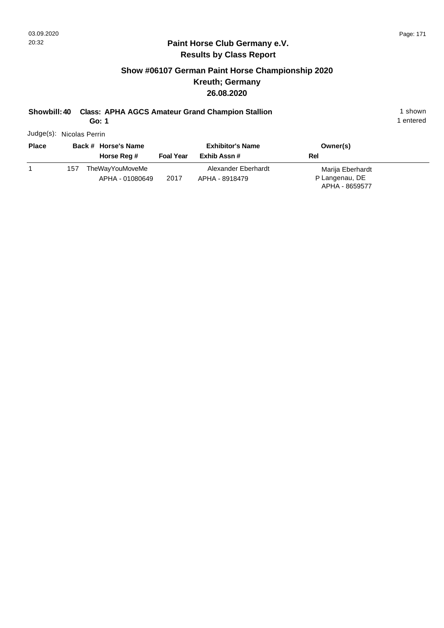# **Show #06107 German Paint Horse Championship 2020 Kreuth; Germany 26.08.2020**

# **Showbill: 40 Class: APHA AGCS Amateur Grand Champion Stallion** 1 shown 1 shown

**Go: 1**

1 entered

Judge(s): Nicolas Perrin

| <b>Place</b> |     | Back # Horse's Name                |                  | <b>Exhibitor's Name</b>               | Owner(s)                                             |  |  |  |
|--------------|-----|------------------------------------|------------------|---------------------------------------|------------------------------------------------------|--|--|--|
|              |     | Horse Reg #                        | <b>Foal Year</b> | Exhib Assn #                          | Rel                                                  |  |  |  |
|              | 157 | TheWayYouMoveMe<br>APHA - 01080649 | 2017             | Alexander Eberhardt<br>APHA - 8918479 | Marija Eberhardt<br>P Langenau, DE<br>APHA - 8659577 |  |  |  |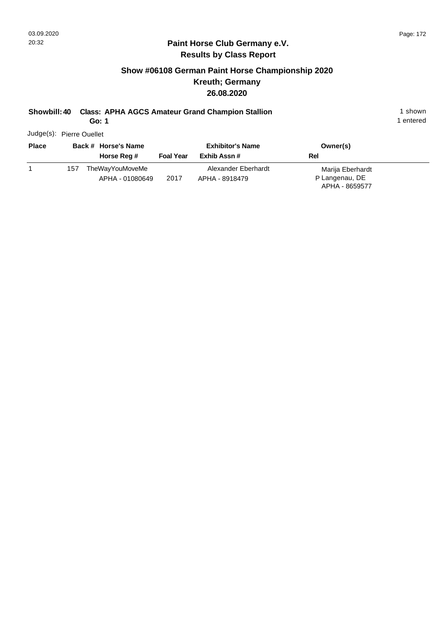## **Paint Horse Club Germany e.V. Results by Class Report**

# **Show #06108 German Paint Horse Championship 2020 Kreuth; Germany 26.08.2020**

# **Showbill: 40 Class: APHA AGCS Amateur Grand Champion Stallion** 1 shown 1 shown

**Go: 1**

Judge(s): Pierre Ouellet

| <b>Place</b> | Back # Horse's Name |                                    | <b>Exhibitor's Name</b> |                     | Owner(s)         |  |
|--------------|---------------------|------------------------------------|-------------------------|---------------------|------------------|--|
|              |                     | Horse Reg #                        | <b>Foal Year</b>        | Exhib Assn #        | Rel              |  |
|              | 157                 | TheWayYouMoveMe<br>APHA - 01080649 | 2017                    | Alexander Eberhardt | Marija Eberhardt |  |
|              |                     |                                    |                         | APHA - 8918479      | P Langenau, DE   |  |
|              |                     |                                    |                         |                     | APHA - 8659577   |  |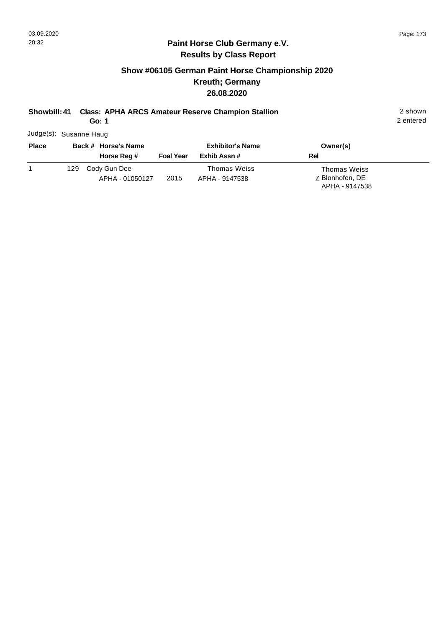## **Show #06105 German Paint Horse Championship 2020 Kreuth; Germany 26.08.2020**

#### **Showbill: 41 Class: APHA ARCS Amateur Reserve Champion Stallion** 2 shown

**Go: 1**

2 entered

Judge(s): Susanne Haug

| <b>Place</b> | Back # Horse's Name |                                 | <b>Exhibitor's Name</b> |                                       | Owner(s)                                          |  |
|--------------|---------------------|---------------------------------|-------------------------|---------------------------------------|---------------------------------------------------|--|
|              |                     | Horse Reg #                     | <b>Foal Year</b>        | Exhib Assn #                          | Rel                                               |  |
|              | 129                 | Cody Gun Dee<br>APHA - 01050127 | 2015                    | <b>Thomas Weiss</b><br>APHA - 9147538 | Thomas Weiss<br>Z Blonhofen, DE<br>APHA - 9147538 |  |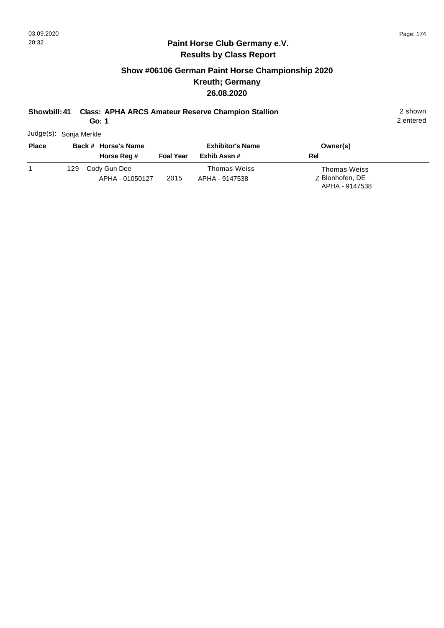## **Show #06106 German Paint Horse Championship 2020 Kreuth; Germany 26.08.2020**

#### **Showbill: 41 Class: APHA ARCS Amateur Reserve Champion Stallion** 2 shown

**Go: 1**

2 entered

Judge(s): Sonja Merkle

| <b>Place</b> |     | Back # Horse's Name             |                  | <b>Exhibitor's Name</b>               | Owner(s)                                          |
|--------------|-----|---------------------------------|------------------|---------------------------------------|---------------------------------------------------|
|              |     | Horse Reg #                     | <b>Foal Year</b> | Exhib Assn #                          | Rel                                               |
|              | 129 | Cody Gun Dee<br>APHA - 01050127 | 2015             | <b>Thomas Weiss</b><br>APHA - 9147538 | Thomas Weiss<br>Z Blonhofen, DE<br>APHA - 9147538 |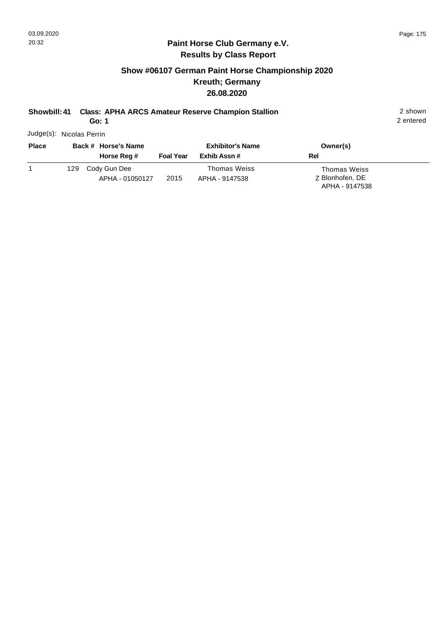## **Show #06107 German Paint Horse Championship 2020 Kreuth; Germany 26.08.2020**

## **Showbill: 41 Class: APHA ARCS Amateur Reserve Champion Stallion** 2 shown

**Go: 1**

2 entered

Judge(s): Nicolas Perrin

| <b>Place</b> | Back # Horse's Name |                                 | <b>Exhibitor's Name</b> |                                | Owner(s)                                                 |  |
|--------------|---------------------|---------------------------------|-------------------------|--------------------------------|----------------------------------------------------------|--|
|              |                     | Horse Reg #                     | <b>Foal Year</b>        | Exhib Assn #                   | Rel                                                      |  |
|              | 129.                | Cody Gun Dee<br>APHA - 01050127 | 2015                    | Thomas Weiss<br>APHA - 9147538 | <b>Thomas Weiss</b><br>Z Blonhofen, DE<br>APHA - 9147538 |  |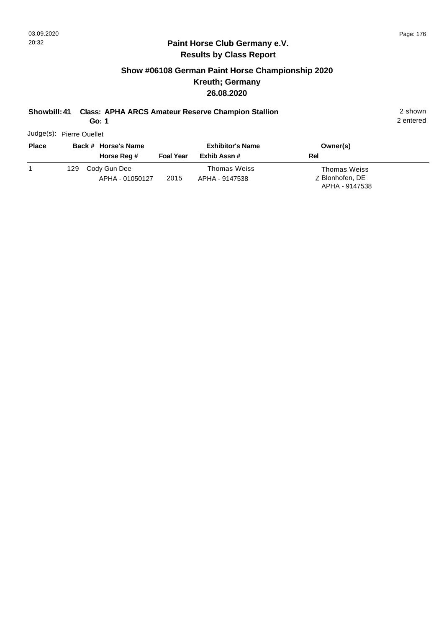## **Show #06108 German Paint Horse Championship 2020 Kreuth; Germany 26.08.2020**

## **Showbill: 41 Class: APHA ARCS Amateur Reserve Champion Stallion** 2 shown

**Go: 1**

2 entered

Judge(s): Pierre Ouellet

| <b>Place</b> |     | Back # Horse's Name             |                  | <b>Exhibitor's Name</b>               | Owner(s)                                                 |
|--------------|-----|---------------------------------|------------------|---------------------------------------|----------------------------------------------------------|
|              |     | Horse Reg #                     | <b>Foal Year</b> | Exhib Assn #                          | Rel                                                      |
|              | 129 | Cody Gun Dee<br>APHA - 01050127 | 2015             | <b>Thomas Weiss</b><br>APHA - 9147538 | <b>Thomas Weiss</b><br>Z Blonhofen, DE<br>APHA - 9147538 |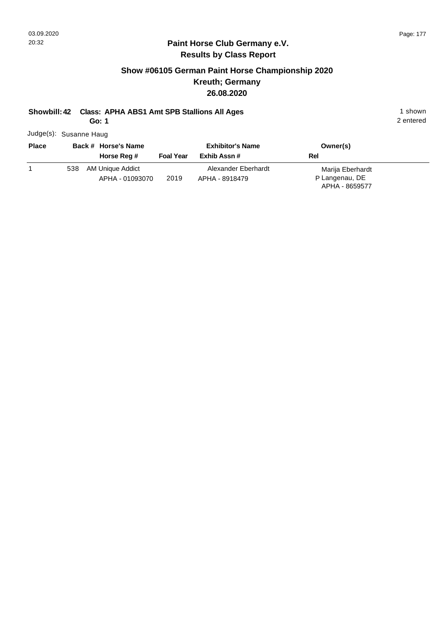#### **Paint Horse Club Germany e.V. Results by Class Report**

## **Show #06105 German Paint Horse Championship 2020 Kreuth; Germany 26.08.2020**

## **Showbill: 42 Class: APHA ABS1 Amt SPB Stallions All Ages** 1 shown

**Go: 1**

Judge(s): Susanne Haug

| <b>Place</b> | Back # Horse's Name |                  |                  | <b>Exhibitor's Name</b> | Owner(s)         |  |
|--------------|---------------------|------------------|------------------|-------------------------|------------------|--|
|              |                     | Horse Reg #      | <b>Foal Year</b> | Exhib Assn #            | Rel              |  |
|              | 538                 | AM Unique Addict |                  | Alexander Eberhardt     | Marija Eberhardt |  |
|              |                     | APHA - 01093070  | 2019             | APHA - 8918479          | P Langenau, DE   |  |
|              |                     |                  |                  |                         | APHA - 8659577   |  |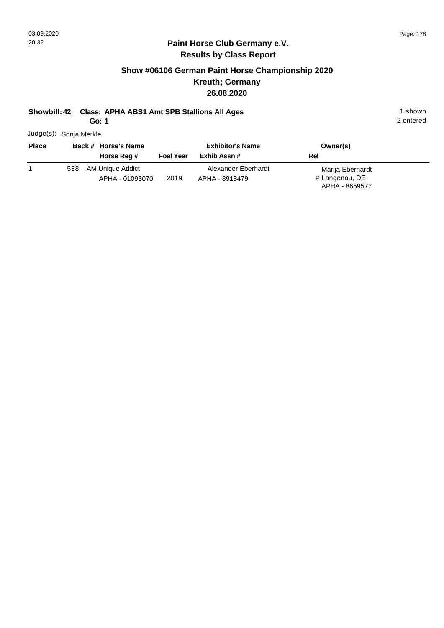#### **Paint Horse Club Germany e.V. Results by Class Report**

## **Show #06106 German Paint Horse Championship 2020 Kreuth; Germany 26.08.2020**

## **Showbill: 42 Class: APHA ABS1 Amt SPB Stallions All Ages** 1 shown

**Go: 1**

Judge(s): Sonja Merkle

| <b>Place</b> |     | Back # Horse's Name                 |                  | <b>Exhibitor's Name</b>               | Owner(s)                                             |  |
|--------------|-----|-------------------------------------|------------------|---------------------------------------|------------------------------------------------------|--|
|              |     | Horse Reg #                         | <b>Foal Year</b> | Exhib Assn #                          | <b>Rel</b>                                           |  |
|              | 538 | AM Unique Addict<br>APHA - 01093070 | 2019             | Alexander Eberhardt<br>APHA - 8918479 | Marija Eberhardt<br>P Langenau, DE<br>APHA - 8659577 |  |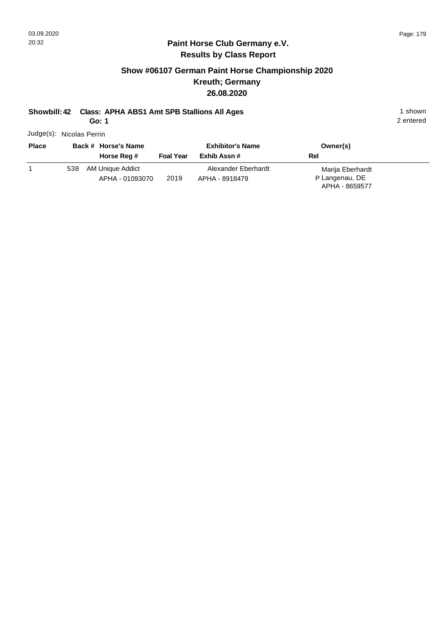#### **Paint Horse Club Germany e.V. Results by Class Report**

## **Show #06107 German Paint Horse Championship 2020 Kreuth; Germany 26.08.2020**

# **Showbill: 42 Class: APHA ABS1 Amt SPB Stallions All Ages** 1 shown

**Go: 1**

Judge(s): Nicolas Perrin

| <b>Place</b> |     | Back # Horse's Name<br>Horse Reg # | <b>Foal Year</b> | <b>Exhibitor's Name</b><br>Exhib Assn # | Owner(s)<br>Rel  |
|--------------|-----|------------------------------------|------------------|-----------------------------------------|------------------|
|              | 538 | AM Unique Addict                   |                  | Alexander Eberhardt                     | Marija Eberhardt |
|              |     | APHA - 01093070                    | 2019             | APHA - 8918479                          | P Langenau, DE   |
|              |     |                                    |                  |                                         | APHA - 8659577   |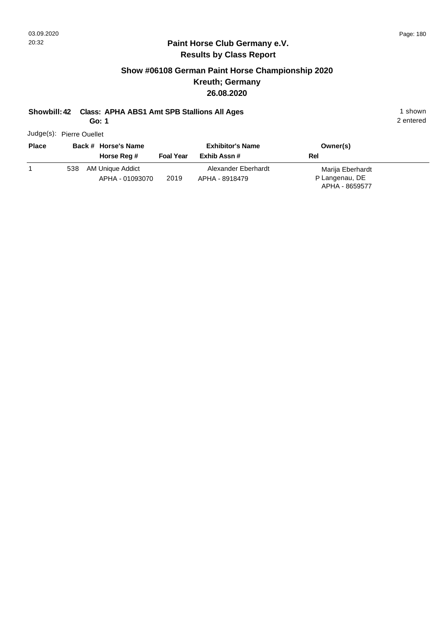#### **Paint Horse Club Germany e.V. Results by Class Report**

## **Show #06108 German Paint Horse Championship 2020 Kreuth; Germany 26.08.2020**

## **Showbill: 42 Class: APHA ABS1 Amt SPB Stallions All Ages** 1 shown

**Go: 1**

Judge(s): Pierre Ouellet

| <b>Place</b> |     | Back # Horse's Name<br>Horse Reg #  | <b>Foal Year</b> | <b>Exhibitor's Name</b><br>Exhib Assn # | Owner(s)<br>Rel                                      |
|--------------|-----|-------------------------------------|------------------|-----------------------------------------|------------------------------------------------------|
|              | 538 | AM Unique Addict<br>APHA - 01093070 | 2019             | Alexander Eberhardt<br>APHA - 8918479   | Marija Eberhardt<br>P Langenau, DE<br>APHA - 8659577 |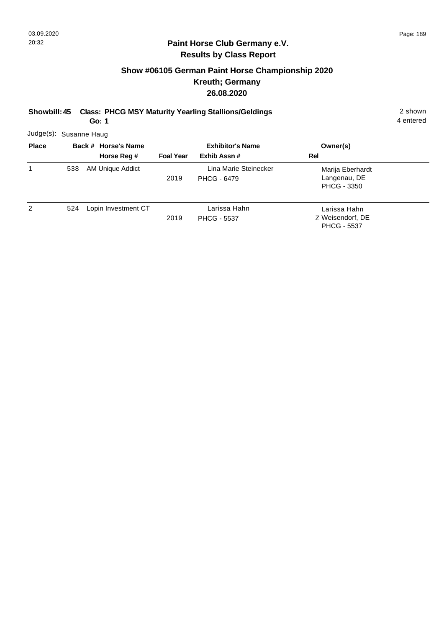## **Show #06105 German Paint Horse Championship 2020 Kreuth; Germany 26.08.2020**

| Showbill: 45<br>Go: 1  |     |                                    |                  | <b>Class: PHCG MSY Maturity Yearling Stallions/Geldings</b> |                                                        |  |
|------------------------|-----|------------------------------------|------------------|-------------------------------------------------------------|--------------------------------------------------------|--|
| Judge(s): Susanne Haug |     |                                    |                  |                                                             |                                                        |  |
| <b>Place</b>           |     | Back # Horse's Name<br>Horse Reg # | <b>Foal Year</b> | <b>Exhibitor's Name</b><br>Exhib Assn#                      | Owner(s)<br>Rel                                        |  |
|                        | 538 | AM Unique Addict                   | 2019             | Lina Marie Steinecker<br><b>PHCG - 6479</b>                 | Marija Eberhardt<br>Langenau, DE<br>PHCG - 3350        |  |
| 2                      | 524 | Lopin Investment CT                | 2019             | Larissa Hahn<br><b>PHCG - 5537</b>                          | Larissa Hahn<br>Z Weisendorf, DE<br><b>PHCG - 5537</b> |  |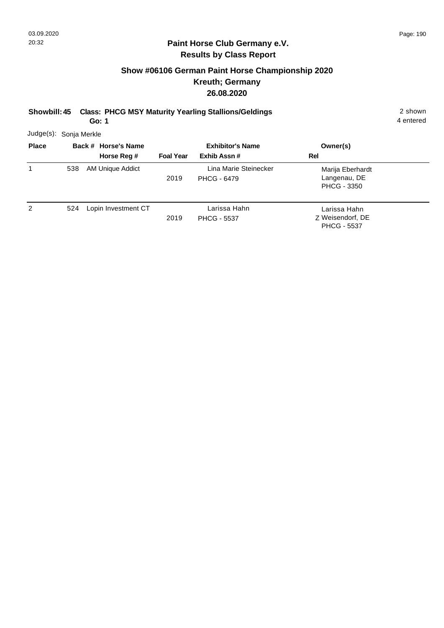## **Show #06106 German Paint Horse Championship 2020 Kreuth; Germany 26.08.2020**

**Showbill: 45 Class: PHCG MSY Maturity Yearling Stallions/Geldings** 2 shown

**Go: 1**

4 entered

Judge(s): Sonja Merkle

| <b>Place</b> |     | Back # Horse's Name |                  | <b>Exhibitor's Name</b>                     | Owner(s)                                               |  |
|--------------|-----|---------------------|------------------|---------------------------------------------|--------------------------------------------------------|--|
|              |     | Horse Reg #         | <b>Foal Year</b> | Exhib Assn #                                | Rel                                                    |  |
|              | 538 | AM Unique Addict    | 2019             | Lina Marie Steinecker<br><b>PHCG - 6479</b> | Marija Eberhardt<br>Langenau, DE<br><b>PHCG - 3350</b> |  |
| 2            | 524 | Lopin Investment CT | 2019             | Larissa Hahn<br><b>PHCG - 5537</b>          | Larissa Hahn<br>Z Weisendorf, DE<br><b>PHCG - 5537</b> |  |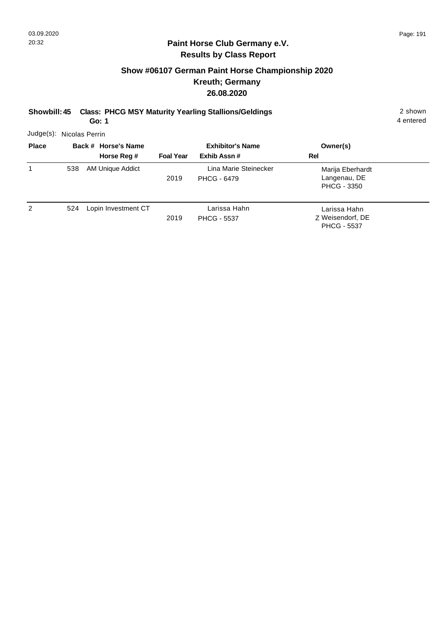## **Show #06107 German Paint Horse Championship 2020 Kreuth; Germany 26.08.2020**

**Showbill: 45 Class: PHCG MSY Maturity Yearling Stallions/Geldings** 2 shown

**Go: 1**

4 entered

Judge(s): Nicolas Perrin

| <b>Place</b> |     | Back # Horse's Name | <b>Exhibitor's Name</b> |                                             | Owner(s)                                               |  |
|--------------|-----|---------------------|-------------------------|---------------------------------------------|--------------------------------------------------------|--|
|              |     | Horse Reg #         | <b>Foal Year</b>        | Exhib Assn#                                 | Rel                                                    |  |
| 1            | 538 | AM Unique Addict    | 2019                    | Lina Marie Steinecker<br><b>PHCG - 6479</b> | Marija Eberhardt<br>Langenau, DE<br><b>PHCG - 3350</b> |  |
| 2            | 524 | Lopin Investment CT | 2019                    | Larissa Hahn<br><b>PHCG - 5537</b>          | Larissa Hahn<br>Z Weisendorf, DE<br><b>PHCG - 5537</b> |  |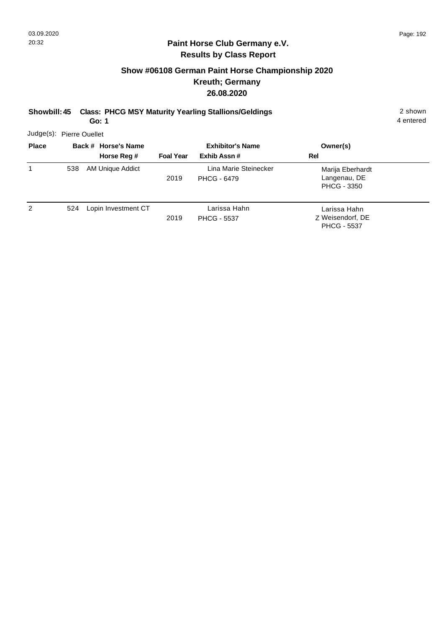## **Show #06108 German Paint Horse Championship 2020 Kreuth; Germany 26.08.2020**

**Showbill: 45 Class: PHCG MSY Maturity Yearling Stallions/Geldings** 2 shown

**Go: 1**

4 entered

Judge(s): Pierre Ouellet

| <b>Place</b> |     | Back # Horse's Name | <b>Exhibitor's Name</b> |                                             | Owner(s)                                               |  |
|--------------|-----|---------------------|-------------------------|---------------------------------------------|--------------------------------------------------------|--|
|              |     | Horse Reg #         | <b>Foal Year</b>        | Exhib Assn#                                 | Rel                                                    |  |
| 1            | 538 | AM Unique Addict    | 2019                    | Lina Marie Steinecker<br><b>PHCG - 6479</b> | Marija Eberhardt<br>Langenau, DE<br><b>PHCG - 3350</b> |  |
| 2            | 524 | Lopin Investment CT | 2019                    | Larissa Hahn<br><b>PHCG - 5537</b>          | Larissa Hahn<br>Z Weisendorf, DE<br><b>PHCG - 5537</b> |  |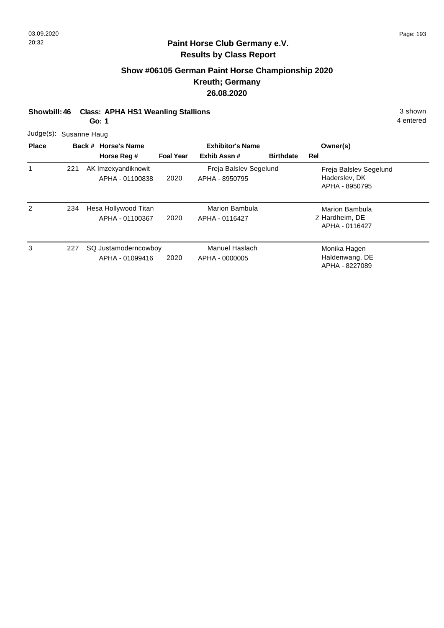## **Show #06105 German Paint Horse Championship 2020 Kreuth; Germany 26.08.2020**

**Showbill: 46 Class: APHA HS1 Weanling Stallions** 3 shown

**Go: 1**

4 entered

Judge(s): Susanne Haug

| <b>Place</b> |     | Back # Horse's Name                     |                  | <b>Exhibitor's Name</b>                  |                  | Owner(s)                                                  |
|--------------|-----|-----------------------------------------|------------------|------------------------------------------|------------------|-----------------------------------------------------------|
|              |     | Horse Reg #                             | <b>Foal Year</b> | Exhib Assn#                              | <b>Birthdate</b> | Rel                                                       |
|              | 221 | AK Imzexyandiknowit<br>APHA - 01100838  | 2020             | Freja Balslev Segelund<br>APHA - 8950795 |                  | Freja Balslev Segelund<br>Haderslev, DK<br>APHA - 8950795 |
| 2            | 234 | Hesa Hollywood Titan<br>APHA - 01100367 | 2020             | Marion Bambula<br>APHA - 0116427         |                  | <b>Marion Bambula</b><br>Z Hardheim, DE<br>APHA - 0116427 |
| 3            | 227 | SQ Justamoderncowboy<br>APHA - 01099416 | 2020             | Manuel Haslach<br>APHA - 0000005         |                  | Monika Hagen<br>Haldenwang, DE<br>APHA - 8227089          |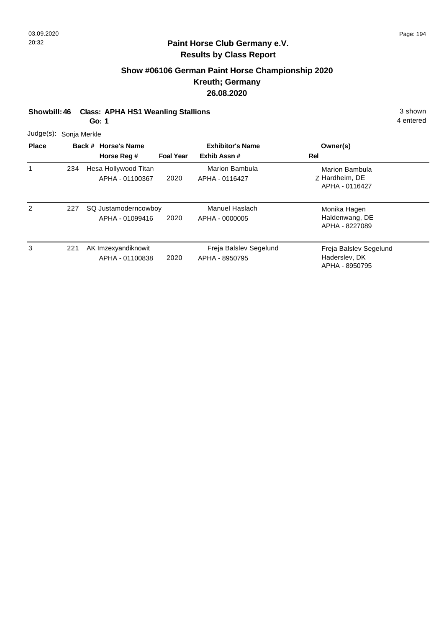## **Show #06106 German Paint Horse Championship 2020 Kreuth; Germany 26.08.2020**

**Showbill: 46 Class: APHA HS1 Weanling Stallions** 3 shown

**Go: 1**

4 entered

Judge(s): Sonja Merkle

| <b>Place</b> |     | Back # Horse's Name<br>Horse Reg #      | <b>Foal Year</b> | <b>Exhibitor's Name</b><br>Exhib Assn#   | Owner(s)<br>Rel                                           |
|--------------|-----|-----------------------------------------|------------------|------------------------------------------|-----------------------------------------------------------|
|              | 234 | Hesa Hollywood Titan<br>APHA - 01100367 | 2020             | Marion Bambula<br>APHA - 0116427         | <b>Marion Bambula</b><br>Z Hardheim, DE<br>APHA - 0116427 |
| 2            | 227 | SQ Justamoderncowboy<br>APHA - 01099416 | 2020             | Manuel Haslach<br>APHA - 0000005         | Monika Hagen<br>Haldenwang, DE<br>APHA - 8227089          |
| 3            | 221 | AK Imzexyandiknowit<br>APHA - 01100838  | 2020             | Freja Balslev Segelund<br>APHA - 8950795 | Freja Balslev Segelund<br>Haderslev, DK<br>APHA - 8950795 |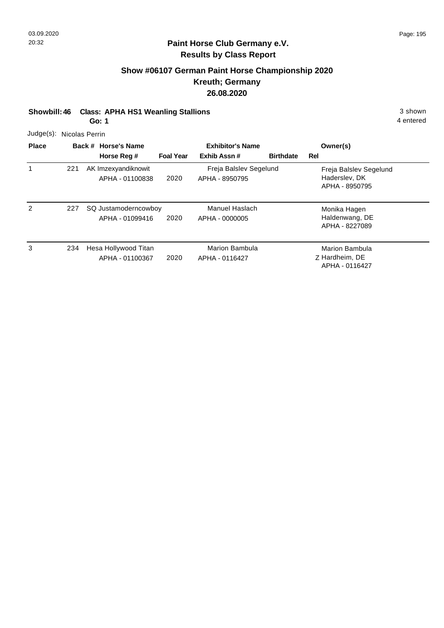## **Show #06107 German Paint Horse Championship 2020 Kreuth; Germany 26.08.2020**

**Showbill: 46 Class: APHA HS1 Weanling Stallions** 3 shown

**Go: 1**

4 entered

Judge(s): Nicolas Perrin

| <b>Place</b> |     | Back # Horse's Name                     | <b>Exhibitor's Name</b> |                                          |                  | Owner(s)                                                  |
|--------------|-----|-----------------------------------------|-------------------------|------------------------------------------|------------------|-----------------------------------------------------------|
|              |     | Horse Reg #                             | <b>Foal Year</b>        | Exhib Assn#                              | <b>Birthdate</b> | Rel                                                       |
|              | 221 | AK Imzexyandiknowit<br>APHA - 01100838  | 2020                    | Freja Balslev Segelund<br>APHA - 8950795 |                  | Freja Balslev Segelund<br>Haderslev, DK<br>APHA - 8950795 |
| 2            | 227 | SQ Justamoderncowboy<br>APHA - 01099416 | 2020                    | Manuel Haslach<br>APHA - 0000005         |                  | Monika Hagen<br>Haldenwang, DE<br>APHA - 8227089          |
| 3            | 234 | Hesa Hollywood Titan<br>APHA - 01100367 | 2020                    | Marion Bambula<br>APHA - 0116427         |                  | <b>Marion Bambula</b><br>Z Hardheim, DE<br>APHA - 0116427 |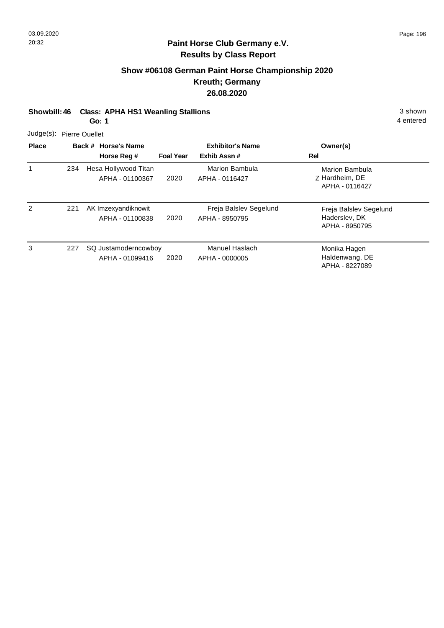## **Show #06108 German Paint Horse Championship 2020 Kreuth; Germany 26.08.2020**

**Showbill: 46 Class: APHA HS1 Weanling Stallions** 3 shown 3 shown

**Go: 1**

4 entered

Judge(s): Pierre Ouellet

| <b>Place</b> |     | Back # Horse's Name<br>Horse Reg #      | <b>Foal Year</b> | <b>Exhibitor's Name</b><br>Exhib Assn#   | Owner(s)<br>Rel                                           |
|--------------|-----|-----------------------------------------|------------------|------------------------------------------|-----------------------------------------------------------|
|              | 234 | Hesa Hollywood Titan<br>APHA - 01100367 | 2020             | Marion Bambula<br>APHA - 0116427         | Marion Bambula<br>Z Hardheim, DE<br>APHA - 0116427        |
| 2            | 221 | AK Imzexyandiknowit<br>APHA - 01100838  | 2020             | Freja Balslev Segelund<br>APHA - 8950795 | Freja Balslev Segelund<br>Haderslev, DK<br>APHA - 8950795 |
| 3            | 227 | SQ Justamoderncowboy<br>APHA - 01099416 | 2020             | Manuel Haslach<br>APHA - 0000005         | Monika Hagen<br>Haldenwang, DE<br>APHA - 8227089          |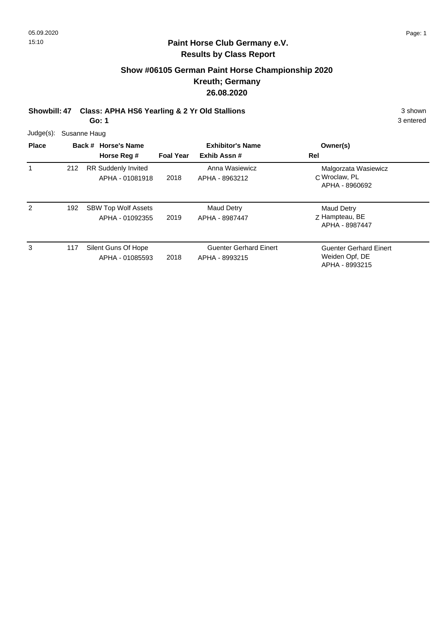#### **Show #06105 German Paint Horse Championship 2020 Kreuth; Germany 26.08.2020**

**Showbill: 47 Class: APHA HS6 Yearling & 2 Yr Old Stallions** 3 shown 3 shown **Go: 1**

Judge(s): Susanne Haug **Back # Horse's Name Place Owner(s) Horse Reg # Exhib Assn # Foal Year Rel Exhibitor's Name** 1 C Wroclaw, PL Malgorzata Wasiewicz APHA - 8960692 2018 212 RR Suddenly Invited APHA - 01081918 Anna Wasiewicz APHA - 8963212 2 Z Hampteau, BE Maud Detry APHA - 8987447 2019 SBW Top Wolf Assets APHA - 01092355 Maud Detry APHA - 8987447 192 3 117 Silent Guns Of Hope **Guenter Gerhard Einert** Guenter Gerhard Einert Guenter Gerhard Einert Weiden Opf, DE 2018 Silent Guns Of Hope APHA - 01085593 Guenter Gerhard Einert APHA - 8993215 117

3 entered

APHA - 8993215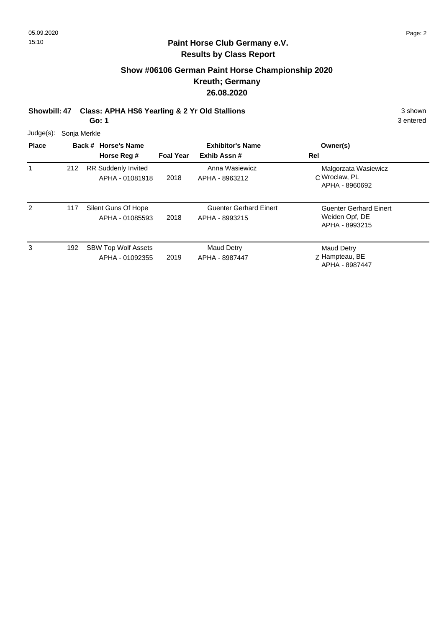## **Show #06106 German Paint Horse Championship 2020 Kreuth; Germany 26.08.2020**

**Showbill: 47 Class: APHA HS6 Yearling & 2 Yr Old Stallions** 3 shown 3 shown

**Go: 1**

| Judge(s):    | Sonja Merkle |                                               |                         |                                                 |                                                            |  |  |  |
|--------------|--------------|-----------------------------------------------|-------------------------|-------------------------------------------------|------------------------------------------------------------|--|--|--|
| <b>Place</b> |              | Back # Horse's Name                           | <b>Exhibitor's Name</b> |                                                 | Owner(s)                                                   |  |  |  |
|              |              | Horse Reg #                                   | <b>Foal Year</b>        | Exhib Assn#                                     | Rel                                                        |  |  |  |
|              | 212          | <b>RR Suddenly Invited</b><br>APHA - 01081918 | 2018                    | Anna Wasiewicz<br>APHA - 8963212                | Malgorzata Wasiewicz<br>C Wroclaw, PL<br>APHA - 8960692    |  |  |  |
| 2            | 117          | Silent Guns Of Hope<br>APHA - 01085593        | 2018                    | <b>Guenter Gerhard Einert</b><br>APHA - 8993215 | Guenter Gerhard Einert<br>Weiden Opf, DE<br>APHA - 8993215 |  |  |  |
| 3            | 192          | <b>SBW Top Wolf Assets</b><br>APHA - 01092355 | 2019                    | <b>Maud Detry</b><br>APHA - 8987447             | <b>Maud Detry</b><br>Z Hampteau, BE<br>APHA - 8987447      |  |  |  |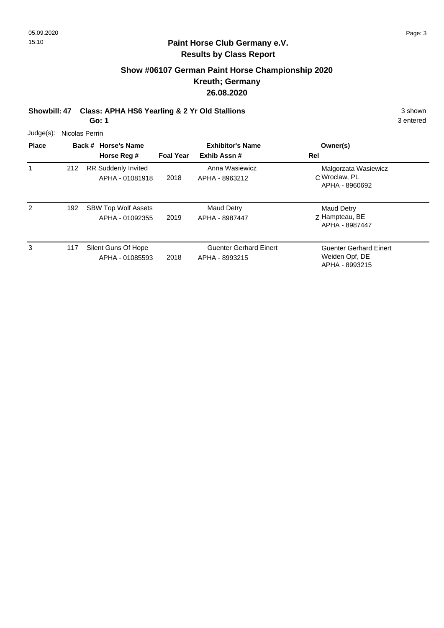#### **Show #06107 German Paint Horse Championship 2020 Kreuth; Germany 26.08.2020**

**Showbill: 47 Class: APHA HS6 Yearling & 2 Yr Old Stallions** 3 shown 3 shown **Go: 1**

Judge(s): Nicolas Perrin **Back # Horse's Name Place Owner(s) Horse Reg # Exhib Assn # Foal Year Rel Exhibitor's Name** 1 C Wroclaw, PL Malgorzata Wasiewicz APHA - 8960692 2018 212 RR Suddenly Invited APHA - 01081918 Anna Wasiewicz APHA - 8963212 2 Z Hampteau, BE Maud Detry APHA - 8987447 2019 SBW Top Wolf Assets APHA - 01092355 Maud Detry APHA - 8987447 192 3 117 Silent Guns Of Hope **Guenter Gerhard Einert** Guenter Gerhard Einert Guenter Gerhard Einert Weiden Opf, DE 2018 Silent Guns Of Hope APHA - 01085593 Guenter Gerhard Einert APHA - 8993215 117

3 entered

APHA - 8993215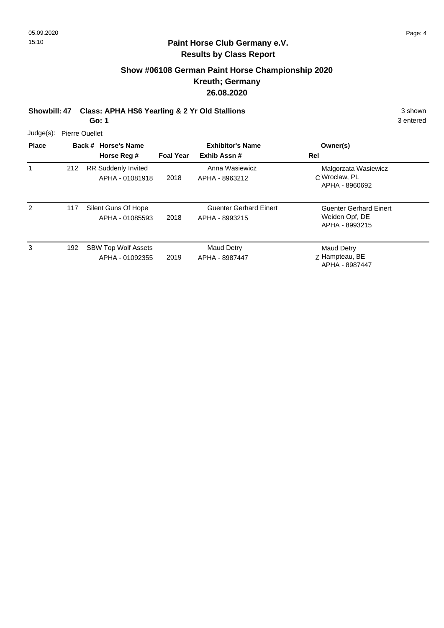## **Show #06108 German Paint Horse Championship 2020 Kreuth; Germany 26.08.2020**

**Showbill: 47 Class: APHA HS6 Yearling & 2 Yr Old Stallions** 3 shown 3 shown

**Go: 1**

| Judge(s):    | <b>Pierre Ouellet</b> |                                               |                  |                                                 |                                                                   |  |  |
|--------------|-----------------------|-----------------------------------------------|------------------|-------------------------------------------------|-------------------------------------------------------------------|--|--|
| <b>Place</b> |                       | Back # Horse's Name<br>Horse Reg #            | <b>Foal Year</b> | <b>Exhibitor's Name</b><br>Exhib Assn#          | Owner(s)<br>Rel                                                   |  |  |
|              | 212                   | <b>RR Suddenly Invited</b><br>APHA - 01081918 | 2018             | Anna Wasiewicz<br>APHA - 8963212                | Malgorzata Wasiewicz<br>C Wroclaw, PL<br>APHA - 8960692           |  |  |
| 2            | 117                   | Silent Guns Of Hope<br>APHA - 01085593        | 2018             | <b>Guenter Gerhard Einert</b><br>APHA - 8993215 | <b>Guenter Gerhard Einert</b><br>Weiden Opf, DE<br>APHA - 8993215 |  |  |
| 3            | 192                   | <b>SBW Top Wolf Assets</b><br>APHA - 01092355 | 2019             | <b>Maud Detry</b><br>APHA - 8987447             | <b>Maud Detry</b><br>Z Hampteau, BE<br>APHA - 8987447             |  |  |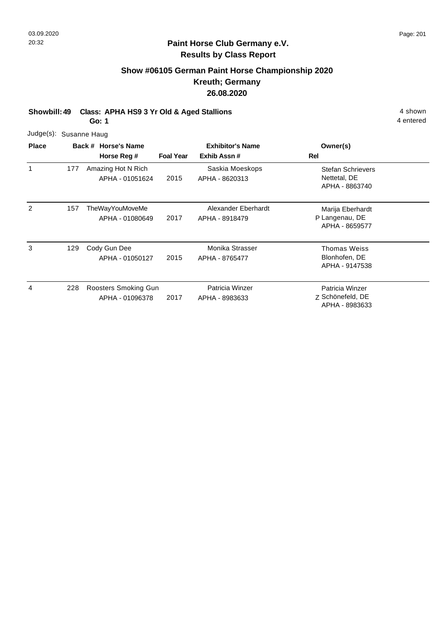## **Show #06105 German Paint Horse Championship 2020 Kreuth; Germany 26.08.2020**

**Showbill: 49 Class: APHA HS9 3 Yr Old & Aged Stallions** 4 shown

**Go: 1**

| Judge(s): Susanne Haug |  |
|------------------------|--|
|                        |  |

| <b>Place</b> |     | Back # Horse's Name                     |                  | <b>Exhibitor's Name</b>               | Owner(s)                                                   |
|--------------|-----|-----------------------------------------|------------------|---------------------------------------|------------------------------------------------------------|
|              |     | Horse Reg #                             | <b>Foal Year</b> | Exhib Assn#                           | Rel                                                        |
| 1            | 177 | Amazing Hot N Rich<br>APHA - 01051624   | 2015             | Saskia Moeskops<br>APHA - 8620313     | <b>Stefan Schrievers</b><br>Nettetal, DE<br>APHA - 8863740 |
| 2            | 157 | TheWayYouMoveMe<br>APHA - 01080649      | 2017             | Alexander Eberhardt<br>APHA - 8918479 | Marija Eberhardt<br>P Langenau, DE<br>APHA - 8659577       |
| 3            | 129 | Cody Gun Dee<br>APHA - 01050127         | 2015             | Monika Strasser<br>APHA - 8765477     | Thomas Weiss<br>Blonhofen, DE<br>APHA - 9147538            |
| 4            | 228 | Roosters Smoking Gun<br>APHA - 01096378 | 2017             | Patricia Winzer<br>APHA - 8983633     | Patricia Winzer<br>Z Schönefeld, DE<br>APHA - 8983633      |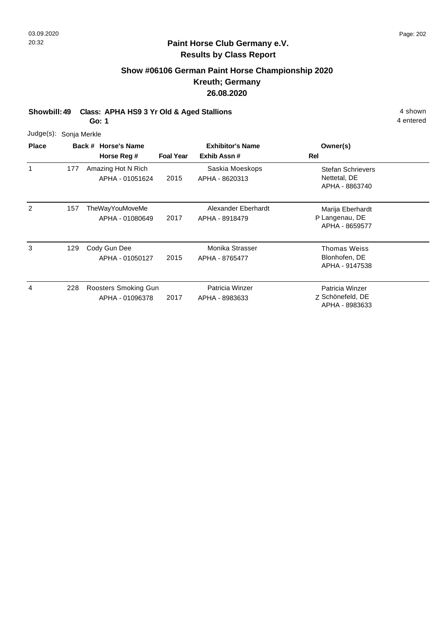## **Show #06106 German Paint Horse Championship 2020 Kreuth; Germany 26.08.2020**

**Showbill: 49 Class: APHA HS9 3 Yr Old & Aged Stallions** 4 shown

**Go: 1**

|              | Judge(s): Sonja Merkle |
|--------------|------------------------|
| <b>Dlass</b> | Daak 4 Us              |

| <b>Place</b> |     | Back # Horse's Name                     | <b>Exhibitor's Name</b> |                                       | Owner(s)                                                   |  |
|--------------|-----|-----------------------------------------|-------------------------|---------------------------------------|------------------------------------------------------------|--|
|              |     | Horse Reg #                             | <b>Foal Year</b>        | Exhib Assn#                           | <b>Rel</b>                                                 |  |
| 1            | 177 | Amazing Hot N Rich<br>APHA - 01051624   | 2015                    | Saskia Moeskops<br>APHA - 8620313     | <b>Stefan Schrievers</b><br>Nettetal, DE<br>APHA - 8863740 |  |
| 2            | 157 | TheWayYouMoveMe<br>APHA - 01080649      | 2017                    | Alexander Eberhardt<br>APHA - 8918479 | Marija Eberhardt<br>P Langenau, DE<br>APHA - 8659577       |  |
| 3            | 129 | Cody Gun Dee<br>APHA - 01050127         | 2015                    | Monika Strasser<br>APHA - 8765477     | Thomas Weiss<br>Blonhofen, DE<br>APHA - 9147538            |  |
| 4            | 228 | Roosters Smoking Gun<br>APHA - 01096378 | 2017                    | Patricia Winzer<br>APHA - 8983633     | Patricia Winzer<br>Z Schönefeld, DE<br>APHA - 8983633      |  |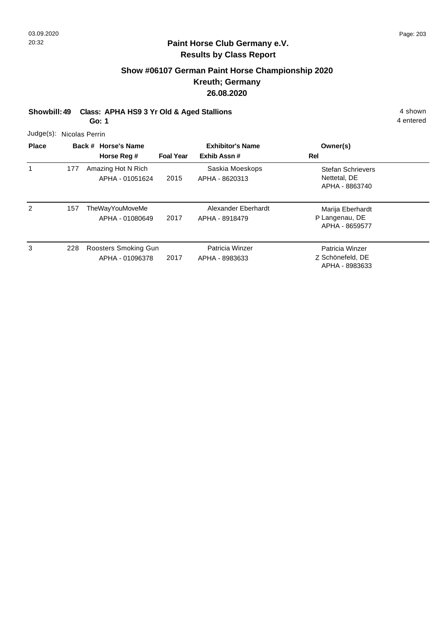## **Show #06107 German Paint Horse Championship 2020 Kreuth; Germany 26.08.2020**

**Showbill: 49 Class: APHA HS9 3 Yr Old & Aged Stallions** 4 shown

**Go: 1**

4 entered

Judge(s): Nicolas Perrin

| <b>Place</b> |     | Back # Horse's Name<br>Horse Reg #      | <b>Foal Year</b> | <b>Exhibitor's Name</b><br>Exhib Assn# | Owner(s)<br>Rel                                            |
|--------------|-----|-----------------------------------------|------------------|----------------------------------------|------------------------------------------------------------|
| 1            | 177 | Amazing Hot N Rich<br>APHA - 01051624   | 2015             | Saskia Moeskops<br>APHA - 8620313      | <b>Stefan Schrievers</b><br>Nettetal, DE<br>APHA - 8863740 |
| 2            | 157 | TheWayYouMoveMe<br>APHA - 01080649      | 2017             | Alexander Eberhardt<br>APHA - 8918479  | Marija Eberhardt<br>P Langenau, DE<br>APHA - 8659577       |
| 3            | 228 | Roosters Smoking Gun<br>APHA - 01096378 | 2017             | Patricia Winzer<br>APHA - 8983633      | Patricia Winzer<br>Z Schönefeld, DE<br>APHA - 8983633      |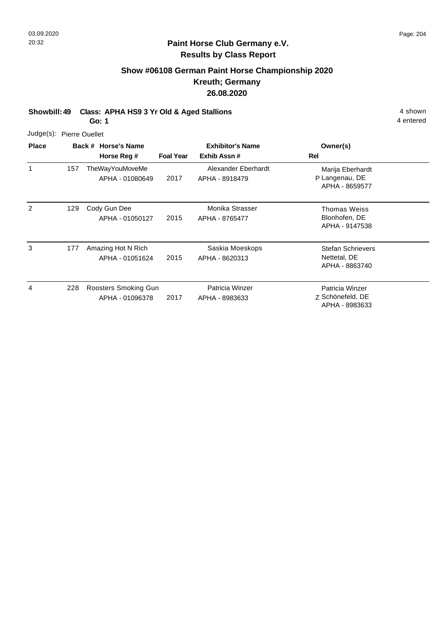## **Show #06108 German Paint Horse Championship 2020 Kreuth; Germany 26.08.2020**

**Showbill: 49 Class: APHA HS9 3 Yr Old & Aged Stallions** 4 shown

**Go: 1**

|  | Judge(s): Pierre Ouellet |
|--|--------------------------|
|--|--------------------------|

| <b>Place</b> |     | Back # Horse's Name                     |                  | <b>Exhibitor's Name</b>               | Owner(s)                                                   |
|--------------|-----|-----------------------------------------|------------------|---------------------------------------|------------------------------------------------------------|
|              |     | Horse Reg #                             | <b>Foal Year</b> | Exhib Assn#                           | Rel                                                        |
|              | 157 | TheWayYouMoveMe<br>APHA - 01080649      | 2017             | Alexander Eberhardt<br>APHA - 8918479 | Marija Eberhardt<br>P Langenau, DE<br>APHA - 8659577       |
| 2            | 129 | Cody Gun Dee<br>APHA - 01050127         | 2015             | Monika Strasser<br>APHA - 8765477     | <b>Thomas Weiss</b><br>Blonhofen, DE<br>APHA - 9147538     |
| 3            | 177 | Amazing Hot N Rich<br>APHA - 01051624   | 2015             | Saskia Moeskops<br>APHA - 8620313     | <b>Stefan Schrievers</b><br>Nettetal, DE<br>APHA - 8863740 |
| 4            | 228 | Roosters Smoking Gun<br>APHA - 01096378 | 2017             | Patricia Winzer<br>APHA - 8983633     | Patricia Winzer<br>Z Schönefeld, DE<br>APHA - 8983633      |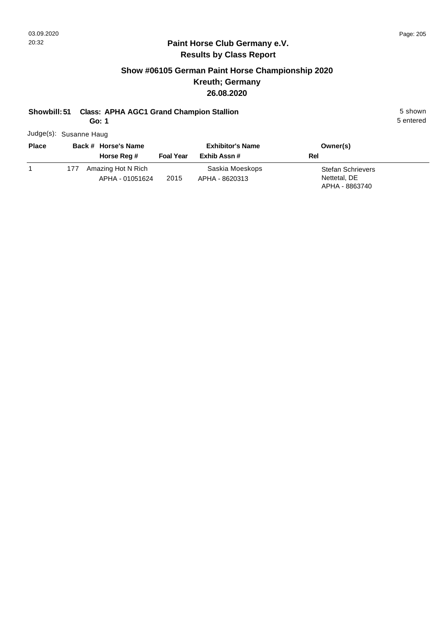### **Paint Horse Club Germany e.V. Results by Class Report**

## **Show #06105 German Paint Horse Championship 2020 Kreuth; Germany 26.08.2020**

### **Showbill: 51 Class: APHA AGC1 Grand Champion Stallion** 5 shown

**Go: 1**

Judge(s): Susanne Haug

| <b>Place</b> |     | Back # Horse's Name<br>Horse Reg #    | <b>Foal Year</b> | <b>Exhibitor's Name</b><br>Exhib Assn # | Owner(s)<br>Rel                                            |
|--------------|-----|---------------------------------------|------------------|-----------------------------------------|------------------------------------------------------------|
|              | 177 | Amazing Hot N Rich<br>APHA - 01051624 | 2015             | Saskia Moeskops<br>APHA - 8620313       | <b>Stefan Schrievers</b><br>Nettetal, DE<br>APHA - 8863740 |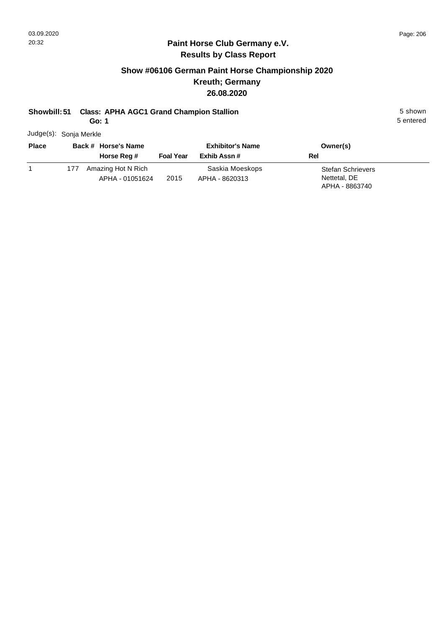### **Paint Horse Club Germany e.V. Results by Class Report**

## **Show #06106 German Paint Horse Championship 2020 Kreuth; Germany 26.08.2020**

#### **Showbill: 51 Class: APHA AGC1 Grand Champion Stallion** 5 shown

**Go: 1**

Judge(s): Sonja Merkle

| <b>Place</b> |     | Back # Horse's Name<br>Horse Reg #    | <b>Foal Year</b> | <b>Exhibitor's Name</b><br>Exhib Assn # | Owner(s)<br>Rel                                            |
|--------------|-----|---------------------------------------|------------------|-----------------------------------------|------------------------------------------------------------|
|              | 177 | Amazing Hot N Rich<br>APHA - 01051624 | 2015             | Saskia Moeskops<br>APHA - 8620313       | <b>Stefan Schrievers</b><br>Nettetal, DE<br>APHA - 8863740 |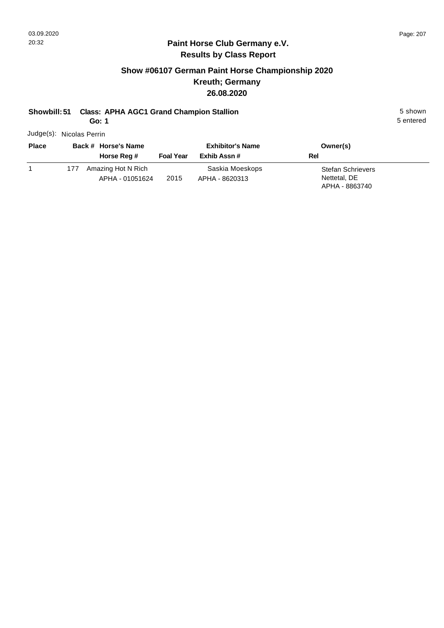### **Paint Horse Club Germany e.V. Results by Class Report**

## **Show #06107 German Paint Horse Championship 2020 Kreuth; Germany 26.08.2020**

## **Showbill: 51 Class: APHA AGC1 Grand Champion Stallion** 5 shown

**Go: 1**

Judge(s): Nicolas Perrin

| <b>Place</b> |     | Back # Horse's Name<br>Horse Reg #    | <b>Foal Year</b> | <b>Exhibitor's Name</b><br>Exhib Assn # | Owner(s)<br>Rel                                            |
|--------------|-----|---------------------------------------|------------------|-----------------------------------------|------------------------------------------------------------|
|              | 177 | Amazing Hot N Rich<br>APHA - 01051624 | 2015             | Saskia Moeskops<br>APHA - 8620313       | <b>Stefan Schrievers</b><br>Nettetal, DE<br>APHA - 8863740 |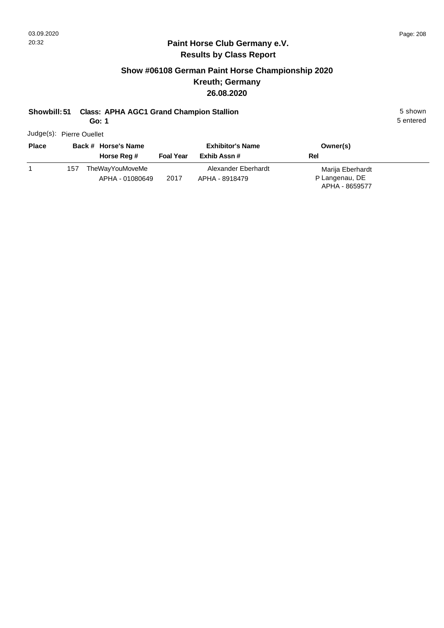### **Paint Horse Club Germany e.V. Results by Class Report**

## **Show #06108 German Paint Horse Championship 2020 Kreuth; Germany 26.08.2020**

#### **Showbill: 51 Class: APHA AGC1 Grand Champion Stallion** 5 shown

**Go: 1**

Judge(s): Pierre Ouellet

| <b>Place</b> |     | Back # Horse's Name                |                  | <b>Exhibitor's Name</b>               | Owner(s)                                             |  |
|--------------|-----|------------------------------------|------------------|---------------------------------------|------------------------------------------------------|--|
|              |     | Horse Reg #                        | <b>Foal Year</b> | Exhib Assn #                          | Rel                                                  |  |
|              | 157 | TheWayYouMoveMe<br>APHA - 01080649 | 2017             | Alexander Eberhardt<br>APHA - 8918479 | Marija Eberhardt<br>P Langenau, DE<br>APHA - 8659577 |  |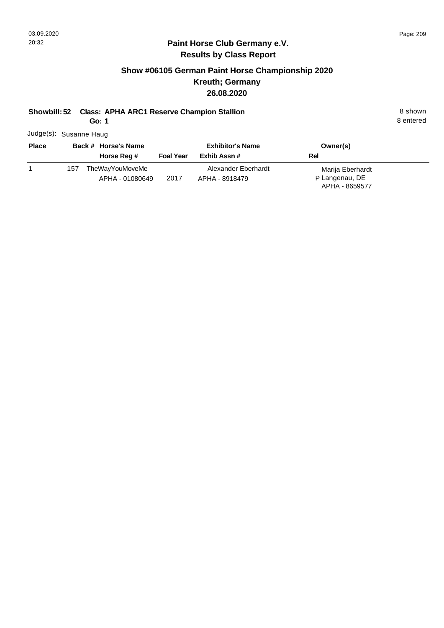#### **Paint Horse Club Germany e.V. Results by Class Report**

## **Show #06105 German Paint Horse Championship 2020 Kreuth; Germany 26.08.2020**

#### **Showbill: 52 Class: APHA ARC1 Reserve Champion Stallion** 8 **Shown** 8 shown

**Go: 1**

Judge(s): Susanne Haug

| <b>Place</b> |     | Back # Horse's Name<br>Horse Reg #        | <b>Foal Year</b> | <b>Exhibitor's Name</b><br>Exhib Assn # | Owner(s)<br><b>Rel</b>                               |  |
|--------------|-----|-------------------------------------------|------------------|-----------------------------------------|------------------------------------------------------|--|
|              | 157 | <b>TheWayYouMoveMe</b><br>APHA - 01080649 | 2017             | Alexander Eberhardt<br>APHA - 8918479   | Marija Eberhardt<br>P Langenau, DE<br>APHA - 8659577 |  |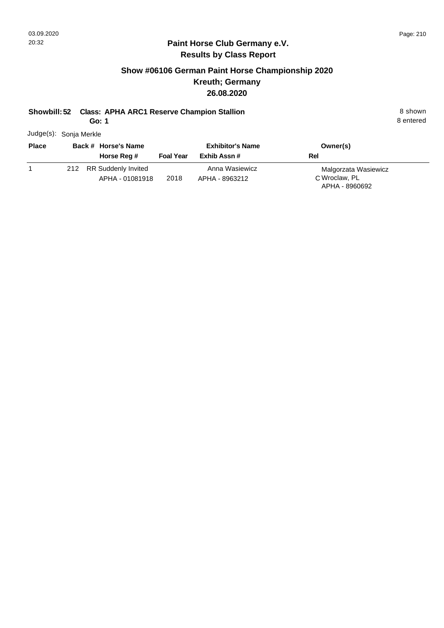## **Show #06106 German Paint Horse Championship 2020 Kreuth; Germany 26.08.2020**

#### **Showbill: 52 Class: APHA ARC1 Reserve Champion Stallion** 8 Shown 8 shown

**Go: 1**

8 entered

Judge(s): Sonja Merkle

| <b>Place</b> | Back # Horse's Name                        |                  | <b>Exhibitor's Name</b>          | Owner(s)                                                |
|--------------|--------------------------------------------|------------------|----------------------------------|---------------------------------------------------------|
|              | Horse Reg #                                | <b>Foal Year</b> | Exhib Assn#                      | Rel                                                     |
|              | 212 RR Suddenly Invited<br>APHA - 01081918 | 2018             | Anna Wasiewicz<br>APHA - 8963212 | Malgorzata Wasiewicz<br>C Wroclaw, PL<br>APHA - 8960692 |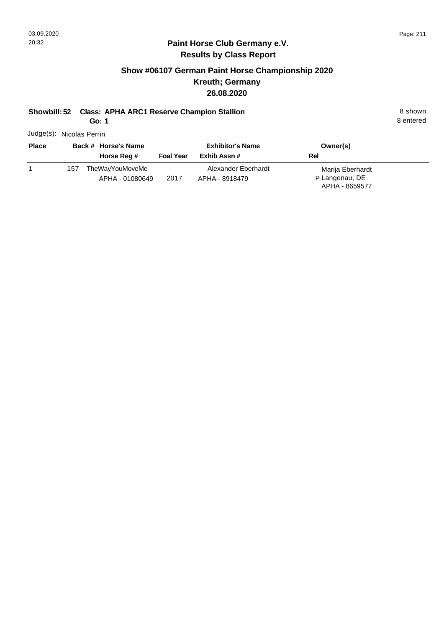## **Show #06107 German Paint Horse Championship 2020 Kreuth; Germany 26.08.2020**

## **Showbill: 52 Class: APHA ARC1 Reserve Champion Stallion** 8 Shown 8 shown

**Go: 1**

Judge(s): Nicolas Perrin

| <b>Place</b> |     | Back # Horse's Name<br>Horse Reg # | <b>Foal Year</b> | <b>Exhibitor's Name</b><br>Exhib Assn # | Owner(s)<br>Rel                                      |  |
|--------------|-----|------------------------------------|------------------|-----------------------------------------|------------------------------------------------------|--|
|              | 157 | TheWayYouMoveMe<br>APHA - 01080649 | 2017             | Alexander Eberhardt<br>APHA - 8918479   | Marija Eberhardt<br>P Langenau, DE<br>APHA - 8659577 |  |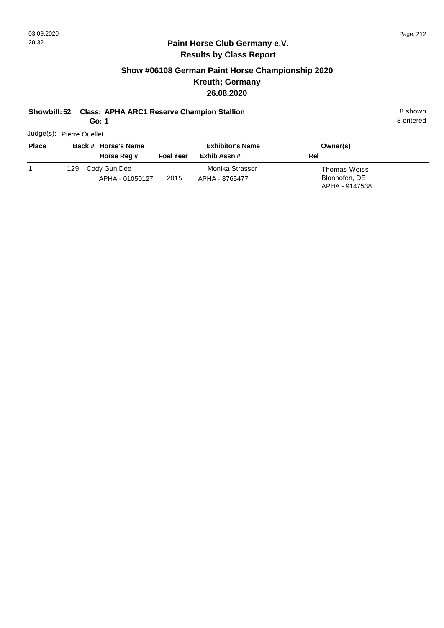## **Show #06108 German Paint Horse Championship 2020 Kreuth; Germany 26.08.2020**

## **Showbill: 52 Class: APHA ARC1 Reserve Champion Stallion** 8 Shown 8 shown

**Go: 1**

Judge(s): Pierre Ouellet

| <b>Place</b> | Back # Horse's Name                    |                  | <b>Exhibitor's Name</b>           | Owner(s)                                        |  |
|--------------|----------------------------------------|------------------|-----------------------------------|-------------------------------------------------|--|
|              | Horse Reg #                            | <b>Foal Year</b> | Exhib Assn #                      | Rel                                             |  |
|              | Cody Gun Dee<br>129<br>APHA - 01050127 | 2015             | Monika Strasser<br>APHA - 8765477 | Thomas Weiss<br>Blonhofen, DE<br>APHA - 9147538 |  |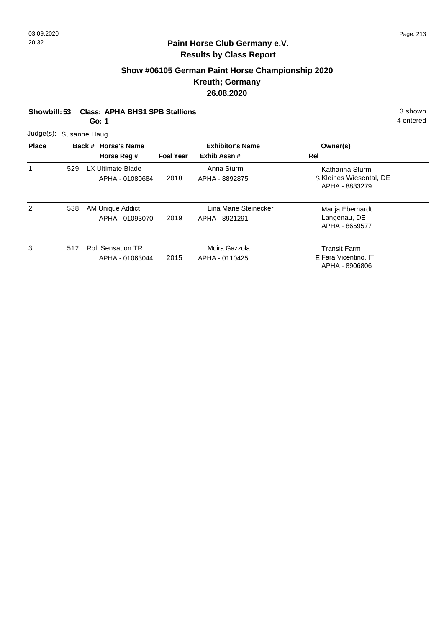#### **Paint Horse Club Germany e.V. Results by Class Report**

#### **Show #06105 German Paint Horse Championship 2020 Kreuth; Germany 26.08.2020**

|                        | Showbill: 53 Class: APHA BHS1 SPB Stallions | 3 shown   |
|------------------------|---------------------------------------------|-----------|
|                        | Go: 1                                       | 4 entered |
| Judge(s): Susanne Haug |                                             |           |

**Back # Horse's Name Place Owner(s) Horse Reg # Exhib Assn # Foal Year Rel Exhibitor's Name** 1 S Kleines Wiesental, DE Katharina Sturm APHA - 8833279 2018 529 LX Ultimate Blade APHA - 01080684 Anna Sturm APHA - 8892875 2 538 AM Unique Addict Lina Marie Steinecker Marija Eberhardt Langenau, DE APHA - 8659577 2019 AM Unique Addict APHA - 01093070 APHA - 8921291 538 3 Transit Farm 2015 512 Roll Sensation TR APHA - 01063044 Moira Gazzola APHA - 0110425

E Fara Vicentino, IT APHA - 8906806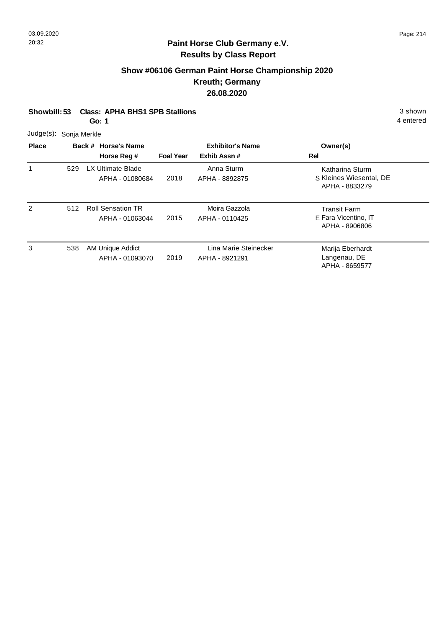## **Show #06106 German Paint Horse Championship 2020 Kreuth; Germany 26.08.2020**

| Showbill: 53 Class: APHA BHS1 SPB Stallions | 3 shown |
|---------------------------------------------|---------|
|                                             |         |

**Go: 1**

|  | Judge(s): Sonja Merkle |
|--|------------------------|
|--|------------------------|

| <b>Place</b> |     | Back # Horse's Name<br>Horse Reg #          | <b>Foal Year</b> | <b>Exhibitor's Name</b><br>Exhib Assn#  | Owner(s)<br>Rel                                               |
|--------------|-----|---------------------------------------------|------------------|-----------------------------------------|---------------------------------------------------------------|
|              | 529 | LX Ultimate Blade<br>APHA - 01080684        | 2018             | Anna Sturm<br>APHA - 8892875            | Katharina Sturm<br>S Kleines Wiesental, DE<br>APHA - 8833279  |
| 2            | 512 | <b>Roll Sensation TR</b><br>APHA - 01063044 | 2015             | Moira Gazzola<br>APHA - 0110425         | <b>Transit Farm</b><br>E Fara Vicentino, IT<br>APHA - 8906806 |
| 3            | 538 | AM Unique Addict<br>APHA - 01093070         | 2019             | Lina Marie Steinecker<br>APHA - 8921291 | Marija Eberhardt<br>Langenau, DE<br>APHA - 8659577            |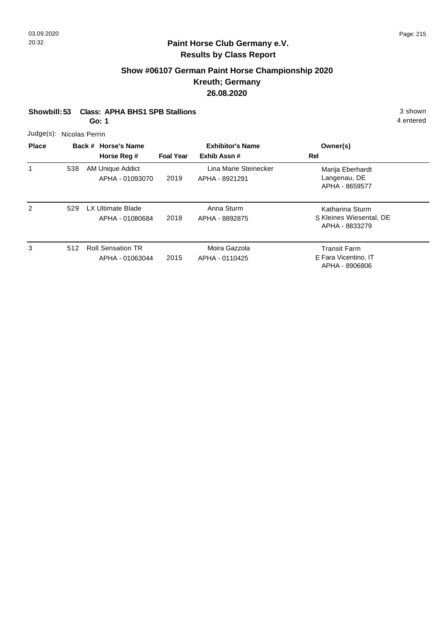## **Show #06107 German Paint Horse Championship 2020 Kreuth; Germany 26.08.2020**

| 3 shown |
|---------|
|         |

**Go: 1**

| Judge(s): Nicolas Perrin |  |  |
|--------------------------|--|--|
|--------------------------|--|--|

| <b>Place</b> |     | Back # Horse's Name                         |                  | <b>Exhibitor's Name</b>                 | Owner(s)                                                      |
|--------------|-----|---------------------------------------------|------------------|-----------------------------------------|---------------------------------------------------------------|
|              |     | Horse Reg #                                 | <b>Foal Year</b> | Exhib Assn#                             | Rel                                                           |
|              | 538 | AM Unique Addict<br>APHA - 01093070         | 2019             | Lina Marie Steinecker<br>APHA - 8921291 | Marija Eberhardt<br>Langenau, DE<br>APHA - 8659577            |
| 2            | 529 | LX Ultimate Blade<br>APHA - 01080684        | 2018             | Anna Sturm<br>APHA - 8892875            | Katharina Sturm<br>S Kleines Wiesental, DE<br>APHA - 8833279  |
| 3            | 512 | <b>Roll Sensation TR</b><br>APHA - 01063044 | 2015             | Moira Gazzola<br>APHA - 0110425         | <b>Transit Farm</b><br>E Fara Vicentino, IT<br>APHA - 8906806 |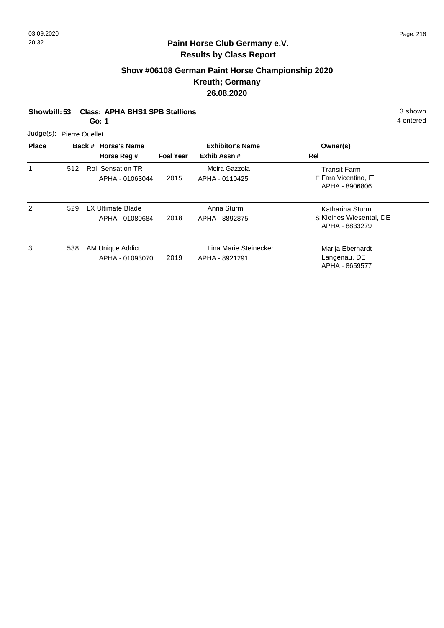## **Show #06108 German Paint Horse Championship 2020 Kreuth; Germany 26.08.2020**

| Showbill: 53 Class: APHA BHS1 SPB Stallions | 3 shown           |
|---------------------------------------------|-------------------|
| $\sim$ $\sim$ $\sim$ $\sim$                 | $\Lambda$ ontorod |

**Go: 1**

| Judge(s): Pierre Ouellet |  |
|--------------------------|--|
|--------------------------|--|

| <b>Place</b> |     | Back # Horse's Name<br>Horse Reg #          | <b>Foal Year</b> | <b>Exhibitor's Name</b><br>Exhib Assn#  | Owner(s)<br>Rel                                               |
|--------------|-----|---------------------------------------------|------------------|-----------------------------------------|---------------------------------------------------------------|
|              | 512 | <b>Roll Sensation TR</b><br>APHA - 01063044 | 2015             | Moira Gazzola<br>APHA - 0110425         | <b>Transit Farm</b><br>E Fara Vicentino, IT<br>APHA - 8906806 |
| 2            | 529 | LX Ultimate Blade<br>APHA - 01080684        | 2018             | Anna Sturm<br>APHA - 8892875            | Katharina Sturm<br>S Kleines Wiesental, DE<br>APHA - 8833279  |
| 3            | 538 | AM Unique Addict<br>APHA - 01093070         | 2019             | Lina Marie Steinecker<br>APHA - 8921291 | Marija Eberhardt<br>Langenau, DE<br>APHA - 8659577            |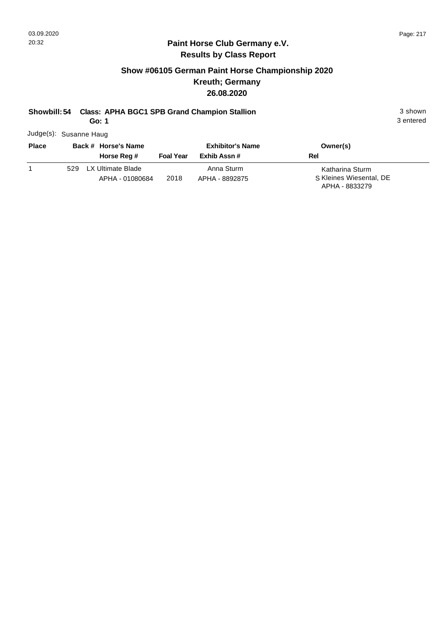3 entered

#### **Paint Horse Club Germany e.V. Results by Class Report**

## **Show #06105 German Paint Horse Championship 2020 Kreuth; Germany 26.08.2020**

# **Showbill: 54 Class: APHA BGC1 SPB Grand Champion Stallion** 3 shown

**Go: 1**

Judge(s): Susanne Haug

| <b>Place</b> |     | Back # Horse's Name<br>Horse Reg #   | <b>Foal Year</b> | <b>Exhibitor's Name</b><br>Exhib Assn # | Owner(s)<br>Rel                                              |
|--------------|-----|--------------------------------------|------------------|-----------------------------------------|--------------------------------------------------------------|
|              | 529 | LX Ultimate Blade<br>APHA - 01080684 | 2018             | Anna Sturm<br>APHA - 8892875            | Katharina Sturm<br>S Kleines Wiesental, DE<br>APHA - 8833279 |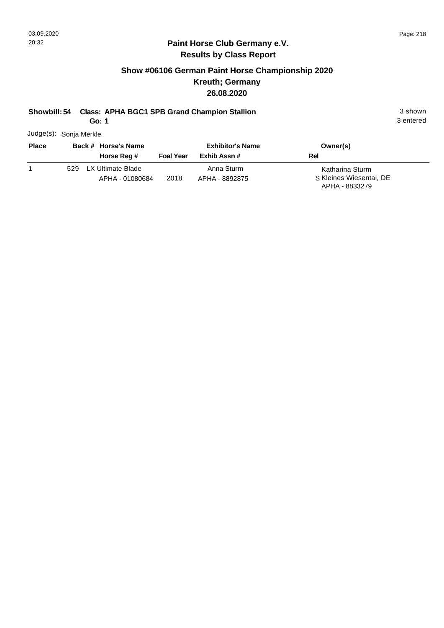3 entered

#### **Paint Horse Club Germany e.V. Results by Class Report**

## **Show #06106 German Paint Horse Championship 2020 Kreuth; Germany 26.08.2020**

## **Showbill: 54 Class: APHA BGC1 SPB Grand Champion Stallion** 3 shown

**Go: 1**

Judge(s): Sonja Merkle

| <b>Place</b> |     | Back # Horse's Name<br>Horse Reg #   | <b>Foal Year</b> | <b>Exhibitor's Name</b><br>Exhib Assn# | Owner(s)<br>Rel                                              |
|--------------|-----|--------------------------------------|------------------|----------------------------------------|--------------------------------------------------------------|
|              | 529 | LX Ultimate Blade<br>APHA - 01080684 | 2018             | Anna Sturm<br>APHA - 8892875           | Katharina Sturm<br>S Kleines Wiesental, DE<br>APHA - 8833279 |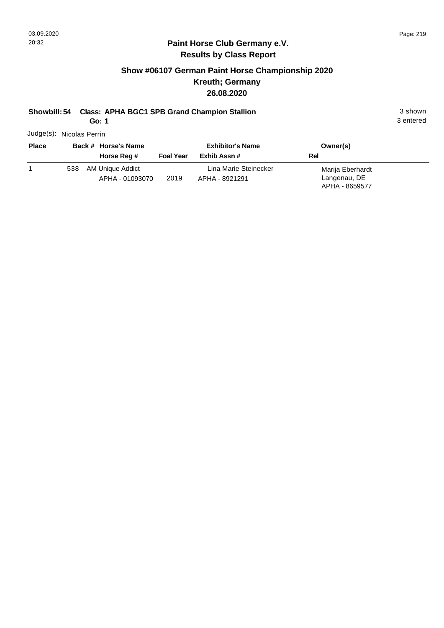## **Show #06107 German Paint Horse Championship 2020 Kreuth; Germany 26.08.2020**

# **Showbill: 54 Class: APHA BGC1 SPB Grand Champion Stallion** 3 shown

**Go: 1**

Judge(s): Nicolas Perrin

| <b>Place</b> | Back # Horse's Name |                                     | <b>Exhibitor's Name</b> |                                         | Owner(s)                                           |  |
|--------------|---------------------|-------------------------------------|-------------------------|-----------------------------------------|----------------------------------------------------|--|
|              |                     | Horse Reg #                         | <b>Foal Year</b>        | Exhib Assn #                            | Rel                                                |  |
|              | 538                 | AM Unique Addict<br>APHA - 01093070 | 2019                    | Lina Marie Steinecker<br>APHA - 8921291 | Marija Eberhardt<br>Langenau, DE<br>APHA - 8659577 |  |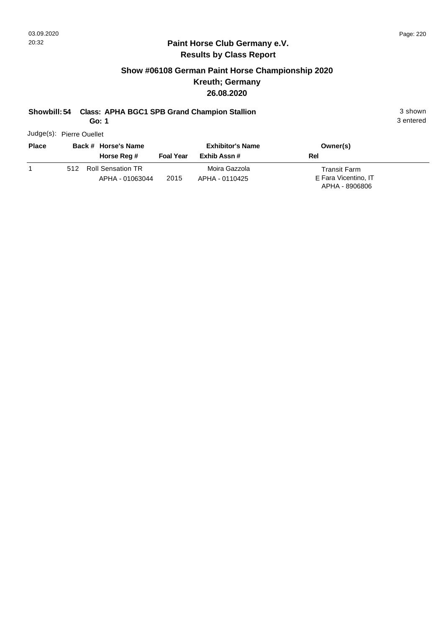3 entered

#### **Paint Horse Club Germany e.V. Results by Class Report**

## **Show #06108 German Paint Horse Championship 2020 Kreuth; Germany 26.08.2020**

# **Showbill: 54 Class: APHA BGC1 SPB Grand Champion Stallion** 3 shown

**Go: 1**

Judge(s): Pierre Ouellet

| <b>Place</b> |     | Back # Horse's Name<br>Horse Reg #   | <b>Foal Year</b> | <b>Exhibitor's Name</b><br>Exhib Assn # | Owner(s)<br>Rel                                               |
|--------------|-----|--------------------------------------|------------------|-----------------------------------------|---------------------------------------------------------------|
|              | 512 | Roll Sensation TR<br>APHA - 01063044 | 2015             | Moira Gazzola<br>APHA - 0110425         | <b>Transit Farm</b><br>E Fara Vicentino, IT<br>APHA - 8906806 |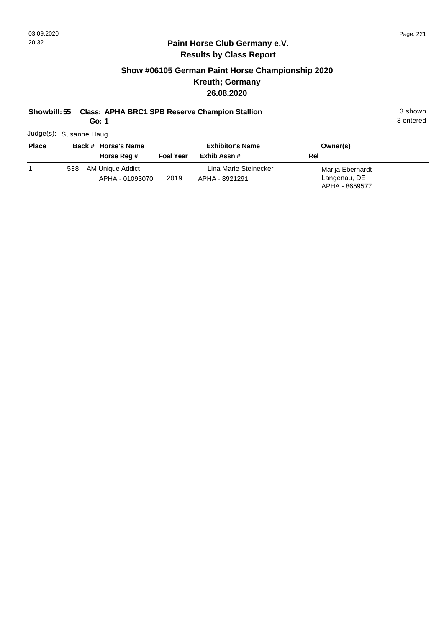3 entered

#### **Paint Horse Club Germany e.V. Results by Class Report**

## **Show #06105 German Paint Horse Championship 2020 Kreuth; Germany 26.08.2020**

## **Showbill: 55 Class: APHA BRC1 SPB Reserve Champion Stallion** 3 shown

**Go: 1**

Judge(s): Susanne Haug

| <b>Place</b> |     | Back # Horse's Name<br>Horse Reg #  | <b>Foal Year</b> | <b>Exhibitor's Name</b><br>Exhib Assn # | Owner(s)<br>Rel                  |
|--------------|-----|-------------------------------------|------------------|-----------------------------------------|----------------------------------|
|              | 538 | AM Unique Addict<br>APHA - 01093070 | 2019             | Lina Marie Steinecker<br>APHA - 8921291 | Marija Eberhardt<br>Langenau, DE |
|              |     |                                     |                  |                                         | APHA - 8659577                   |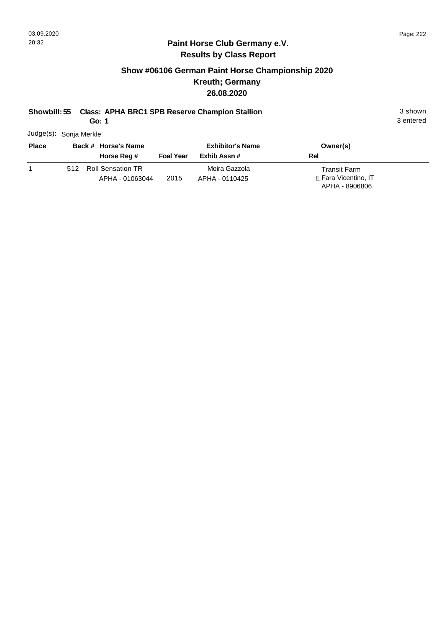## **Show #06106 German Paint Horse Championship 2020 Kreuth; Germany 26.08.2020**

# **Showbill: 55 Class: APHA BRC1 SPB Reserve Champion Stallion** 3 shown

**Go: 1**

3 entered

Judge(s): Sonja Merkle

| <b>Place</b> | Back # Horse's Name |                                             | <b>Exhibitor's Name</b> |                                 | Owner(s)                                                      |  |
|--------------|---------------------|---------------------------------------------|-------------------------|---------------------------------|---------------------------------------------------------------|--|
|              |                     | Horse Reg #                                 | <b>Foal Year</b>        | Exhib Assn #                    | Rel                                                           |  |
|              | 512                 | <b>Roll Sensation TR</b><br>APHA - 01063044 | 2015                    | Moira Gazzola<br>APHA - 0110425 | <b>Transit Farm</b><br>E Fara Vicentino, IT<br>APHA - 8906806 |  |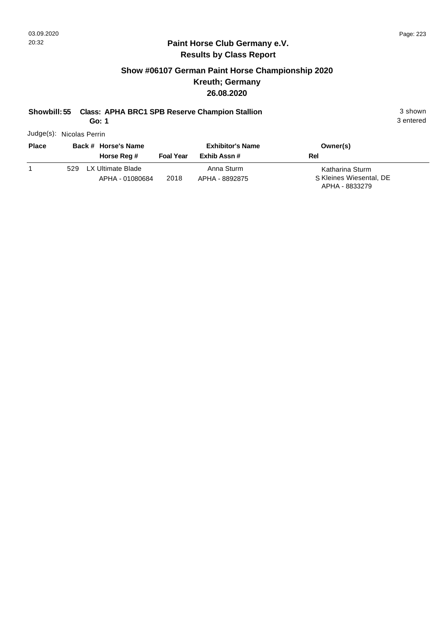## **Show #06107 German Paint Horse Championship 2020 Kreuth; Germany 26.08.2020**

# **Showbill: 55 Class: APHA BRC1 SPB Reserve Champion Stallion** 3 shown

**Go: 1**

3 entered

Judge(s): Nicolas Perrin

| <b>Place</b> | Back # Horse's Name |                                      | <b>Exhibitor's Name</b> |                              | Owner(s)                                                     |
|--------------|---------------------|--------------------------------------|-------------------------|------------------------------|--------------------------------------------------------------|
|              |                     | Horse Reg #                          | <b>Foal Year</b>        | Exhib Assn #                 | Rel                                                          |
|              | 529                 | LX Ultimate Blade<br>APHA - 01080684 | 2018                    | Anna Sturm<br>APHA - 8892875 | Katharina Sturm<br>S Kleines Wiesental, DE<br>APHA - 8833279 |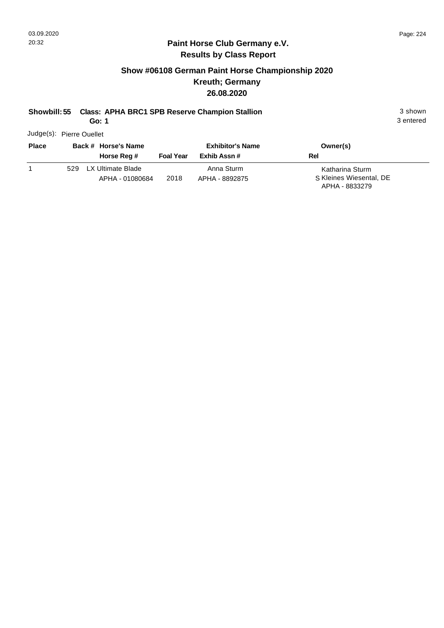3 entered

#### **Paint Horse Club Germany e.V. Results by Class Report**

## **Show #06108 German Paint Horse Championship 2020 Kreuth; Germany 26.08.2020**

# **Showbill: 55 Class: APHA BRC1 SPB Reserve Champion Stallion** 3 shown

**Go: 1**

Judge(s): Pierre Ouellet

| <b>Place</b> | Back # Horse's Name |                                      |                  | <b>Exhibitor's Name</b>      | Owner(s)                                                     |
|--------------|---------------------|--------------------------------------|------------------|------------------------------|--------------------------------------------------------------|
|              |                     | Horse Reg #                          | <b>Foal Year</b> | Exhib Assn #                 | Rel                                                          |
|              | 529                 | LX Ultimate Blade<br>APHA - 01080684 | 2018             | Anna Sturm<br>APHA - 8892875 | Katharina Sturm<br>S Kleines Wiesental, DE<br>APHA - 8833279 |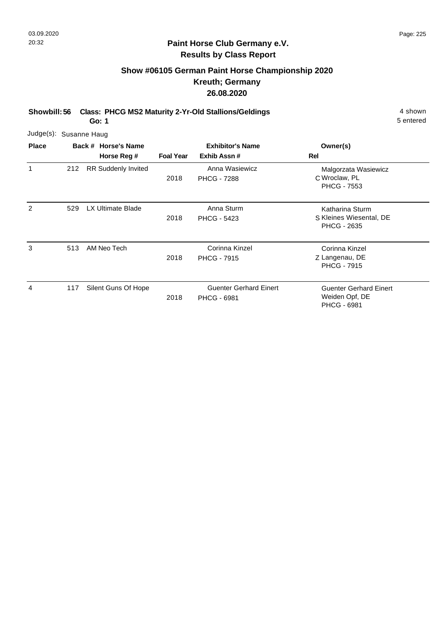## **Show #06105 German Paint Horse Championship 2020 Kreuth; Germany 26.08.2020**

**Showbill: 56 Class: PHCG MS2 Maturity 2-Yr-Old Stallions/Geldings** 4 shown

**Go: 1**

| Judge(s): Susanne Haug |     |                                    |                  |                                                     |                                                                       |
|------------------------|-----|------------------------------------|------------------|-----------------------------------------------------|-----------------------------------------------------------------------|
| <b>Place</b>           |     | Back # Horse's Name<br>Horse Reg # | <b>Foal Year</b> | <b>Exhibitor's Name</b><br>Exhib Assn#              | Owner(s)<br>Rel                                                       |
| 1                      | 212 | <b>RR Suddenly Invited</b>         | 2018             | Anna Wasiewicz<br><b>PHCG - 7288</b>                | Malgorzata Wasiewicz<br>C Wroclaw, PL<br><b>PHCG - 7553</b>           |
| 2                      | 529 | <b>LX Ultimate Blade</b>           | 2018             | Anna Sturm<br><b>PHCG - 5423</b>                    | Katharina Sturm<br>S Kleines Wiesental, DE<br><b>PHCG - 2635</b>      |
| 3                      | 513 | AM Neo Tech                        | 2018             | Corinna Kinzel<br><b>PHCG - 7915</b>                | Corinna Kinzel<br>Z Langenau, DE<br><b>PHCG - 7915</b>                |
| 4                      | 117 | Silent Guns Of Hope                | 2018             | <b>Guenter Gerhard Einert</b><br><b>PHCG - 6981</b> | <b>Guenter Gerhard Einert</b><br>Weiden Opf, DE<br><b>PHCG - 6981</b> |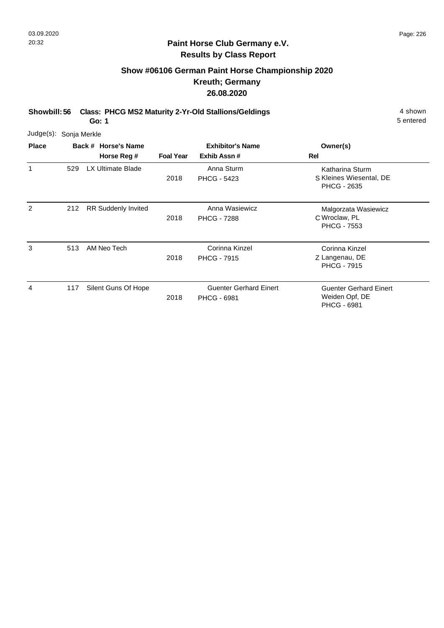## **Show #06106 German Paint Horse Championship 2020 Kreuth; Germany 26.08.2020**

**Showbill: 56 Class: PHCG MS2 Maturity 2-Yr-Old Stallions/Geldings** 4 shown

**Go: 1**

| Judge(s):    | Sonja Merkle |                                    |                  |                                                     |                                                                       |
|--------------|--------------|------------------------------------|------------------|-----------------------------------------------------|-----------------------------------------------------------------------|
| <b>Place</b> |              | Back # Horse's Name<br>Horse Reg # | <b>Foal Year</b> | <b>Exhibitor's Name</b><br>Exhib Assn#              | Owner(s)<br>Rel                                                       |
| 1            | 529          | <b>LX Ultimate Blade</b>           | 2018             | Anna Sturm<br><b>PHCG - 5423</b>                    | Katharina Sturm<br>S Kleines Wiesental, DE<br><b>PHCG - 2635</b>      |
| 2            | 212          | <b>RR Suddenly Invited</b>         | 2018             | Anna Wasiewicz<br><b>PHCG - 7288</b>                | Malgorzata Wasiewicz<br>C Wroclaw, PL<br><b>PHCG - 7553</b>           |
| 3            | 513          | AM Neo Tech                        | 2018             | Corinna Kinzel<br><b>PHCG - 7915</b>                | Corinna Kinzel<br>Z Langenau, DE<br><b>PHCG - 7915</b>                |
| 4            | 117          | Silent Guns Of Hope                | 2018             | <b>Guenter Gerhard Einert</b><br><b>PHCG - 6981</b> | <b>Guenter Gerhard Einert</b><br>Weiden Opf, DE<br><b>PHCG - 6981</b> |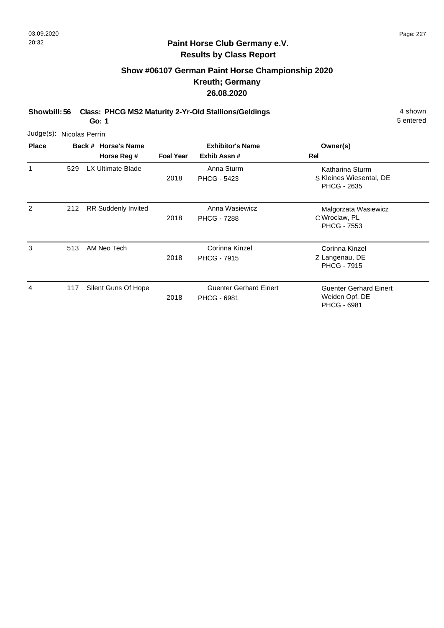# **Show #06107 German Paint Horse Championship 2020 Kreuth; Germany 26.08.2020**

**Showbill: 56 Class: PHCG MS2 Maturity 2-Yr-Old Stallions/Geldings** 4 shown

**Go: 1**

| Judge(s): Nicolas Perrin |     |                                    |                  |                                                     |                                                                       |
|--------------------------|-----|------------------------------------|------------------|-----------------------------------------------------|-----------------------------------------------------------------------|
| <b>Place</b>             |     | Back # Horse's Name<br>Horse Reg # | <b>Foal Year</b> | <b>Exhibitor's Name</b><br>Exhib Assn#              | Owner(s)<br>Rel                                                       |
| 1                        | 529 | LX Ultimate Blade                  | 2018             | Anna Sturm<br><b>PHCG - 5423</b>                    | Katharina Sturm<br>S Kleines Wiesental, DE<br><b>PHCG - 2635</b>      |
| 2                        | 212 | <b>RR Suddenly Invited</b>         | 2018             | Anna Wasiewicz<br><b>PHCG - 7288</b>                | Malgorzata Wasiewicz<br>C Wroclaw, PL<br><b>PHCG - 7553</b>           |
| 3                        | 513 | AM Neo Tech                        | 2018             | Corinna Kinzel<br><b>PHCG - 7915</b>                | Corinna Kinzel<br>Z Langenau, DE<br><b>PHCG - 7915</b>                |
| 4                        | 117 | Silent Guns Of Hope                | 2018             | <b>Guenter Gerhard Einert</b><br><b>PHCG - 6981</b> | <b>Guenter Gerhard Einert</b><br>Weiden Opf, DE<br><b>PHCG - 6981</b> |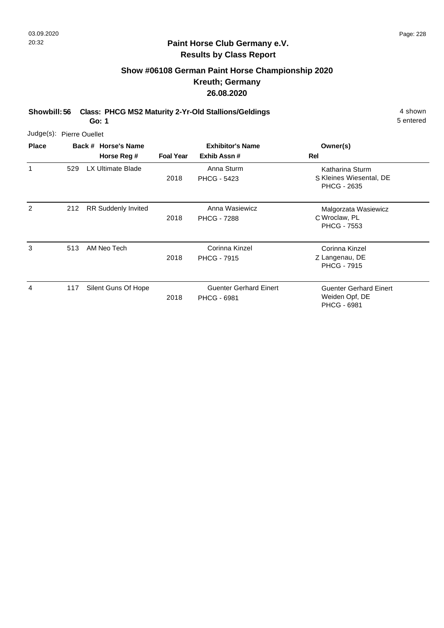## **Show #06108 German Paint Horse Championship 2020 Kreuth; Germany 26.08.2020**

**Showbill: 56 Class: PHCG MS2 Maturity 2-Yr-Old Stallions/Geldings** 4 shown

**Go: 1**

| Judge(s): Pierre Ouellet |     |                                    |                  |                                                     |                                                                       |
|--------------------------|-----|------------------------------------|------------------|-----------------------------------------------------|-----------------------------------------------------------------------|
| <b>Place</b>             |     | Back # Horse's Name<br>Horse Reg # | <b>Foal Year</b> | <b>Exhibitor's Name</b><br>Exhib Assn#              | Owner(s)<br>Rel                                                       |
| 1                        | 529 | <b>LX Ultimate Blade</b>           | 2018             | Anna Sturm<br><b>PHCG - 5423</b>                    | Katharina Sturm<br>S Kleines Wiesental, DE<br><b>PHCG - 2635</b>      |
| 2                        | 212 | <b>RR Suddenly Invited</b>         | 2018             | Anna Wasiewicz<br><b>PHCG - 7288</b>                | Malgorzata Wasiewicz<br>C Wroclaw, PL<br><b>PHCG - 7553</b>           |
| 3                        | 513 | AM Neo Tech                        | 2018             | Corinna Kinzel<br><b>PHCG - 7915</b>                | Corinna Kinzel<br>Z Langenau, DE<br><b>PHCG - 7915</b>                |
| 4                        | 117 | Silent Guns Of Hope                | 2018             | <b>Guenter Gerhard Einert</b><br><b>PHCG - 6981</b> | <b>Guenter Gerhard Einert</b><br>Weiden Opf, DE<br><b>PHCG - 6981</b> |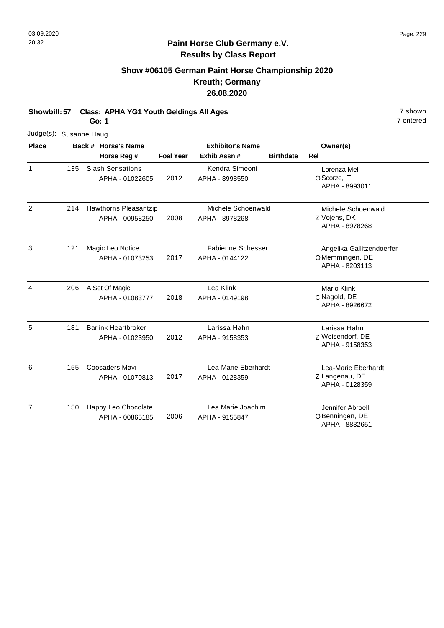## **Show #06105 German Paint Horse Championship 2020 Kreuth; Germany 26.08.2020**

**Showbill: 57 Class: APHA YG1 Youth Geldings All Ages** 7 shown

**Go: 1**

|                | Judge(s): Susanne Haug |  |                                               |                  |                                            |                  |                                                               |  |
|----------------|------------------------|--|-----------------------------------------------|------------------|--------------------------------------------|------------------|---------------------------------------------------------------|--|
| <b>Place</b>   |                        |  | Back # Horse's Name                           |                  | <b>Exhibitor's Name</b>                    |                  | Owner(s)                                                      |  |
|                |                        |  | Horse Reg #                                   | <b>Foal Year</b> | Exhib Assn#                                | <b>Birthdate</b> | Rel                                                           |  |
| $\mathbf{1}$   | 135                    |  | <b>Slash Sensations</b><br>APHA - 01022605    | 2012             | Kendra Simeoni<br>APHA - 8998550           |                  | Lorenza Mel<br>O Scorze, IT<br>APHA - 8993011                 |  |
| $\overline{2}$ | 214                    |  | Hawthorns Pleasantzip<br>APHA - 00958250      | 2008             | Michele Schoenwald<br>APHA - 8978268       |                  | Michele Schoenwald<br>Z Vojens, DK<br>APHA - 8978268          |  |
| 3              | 121                    |  | Magic Leo Notice<br>APHA - 01073253           | 2017             | <b>Fabienne Schesser</b><br>APHA - 0144122 |                  | Angelika Gallitzendoerfer<br>OMemmingen, DE<br>APHA - 8203113 |  |
| 4              | 206                    |  | A Set Of Magic<br>APHA - 01083777             | 2018             | Lea Klink<br>APHA - 0149198                |                  | <b>Mario Klink</b><br>C Nagold, DE<br>APHA - 8926672          |  |
| 5              | 181                    |  | <b>Barlink Heartbroker</b><br>APHA - 01023950 | 2012             | Larissa Hahn<br>APHA - 9158353             |                  | Larissa Hahn<br>Z Weisendorf, DE<br>APHA - 9158353            |  |
| 6              | 155                    |  | Coosaders Mavi<br>APHA - 01070813             | 2017             | Lea-Marie Eberhardt<br>APHA - 0128359      |                  | Lea-Marie Eberhardt<br>Z Langenau, DE<br>APHA - 0128359       |  |
| $\overline{7}$ | 150                    |  | Happy Leo Chocolate<br>APHA - 00865185        | 2006             | Lea Marie Joachim<br>APHA - 9155847        |                  | Jennifer Abroell<br>O Benningen, DE<br>APHA - 8832651         |  |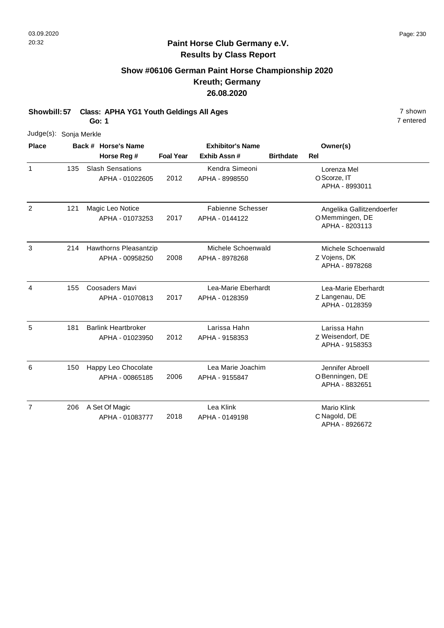## **Show #06106 German Paint Horse Championship 2020 Kreuth; Germany 26.08.2020**

**Showbill: 57 Class: APHA YG1 Youth Geldings All Ages** 7 shown

**Go: 1**

| Judge(s): Sonja Merkle |     |                                               |                         |                                            |                  |                                                               |
|------------------------|-----|-----------------------------------------------|-------------------------|--------------------------------------------|------------------|---------------------------------------------------------------|
| <b>Place</b>           |     | Back # Horse's Name                           | <b>Exhibitor's Name</b> |                                            | Owner(s)         |                                                               |
|                        |     | Horse Reg #                                   | <b>Foal Year</b>        | Exhib Assn#                                | <b>Birthdate</b> | Rel                                                           |
| $\mathbf{1}$           | 135 | <b>Slash Sensations</b><br>APHA - 01022605    | 2012                    | Kendra Simeoni<br>APHA - 8998550           |                  | Lorenza Mel<br>O Scorze, IT<br>APHA - 8993011                 |
| $\overline{2}$         | 121 | Magic Leo Notice<br>APHA - 01073253           | 2017                    | <b>Fabienne Schesser</b><br>APHA - 0144122 |                  | Angelika Gallitzendoerfer<br>OMemmingen, DE<br>APHA - 8203113 |
| 3                      | 214 | Hawthorns Pleasantzip<br>APHA - 00958250      | 2008                    | Michele Schoenwald<br>APHA - 8978268       |                  | Michele Schoenwald<br>Z Vojens, DK<br>APHA - 8978268          |
| 4                      | 155 | Coosaders Mavi<br>APHA - 01070813             | 2017                    | Lea-Marie Eberhardt<br>APHA - 0128359      |                  | Lea-Marie Eberhardt<br>Z Langenau, DE<br>APHA - 0128359       |
| 5                      | 181 | <b>Barlink Heartbroker</b><br>APHA - 01023950 | 2012                    | Larissa Hahn<br>APHA - 9158353             |                  | Larissa Hahn<br>Z Weisendorf, DE<br>APHA - 9158353            |
| 6                      | 150 | Happy Leo Chocolate<br>APHA - 00865185        | 2006                    | Lea Marie Joachim<br>APHA - 9155847        |                  | Jennifer Abroell<br>O Benningen, DE<br>APHA - 8832651         |
| $\overline{7}$         | 206 | A Set Of Magic<br>APHA - 01083777             | 2018                    | Lea Klink<br>APHA - 0149198                |                  | <b>Mario Klink</b><br>C Nagold, DE<br>APHA - 8926672          |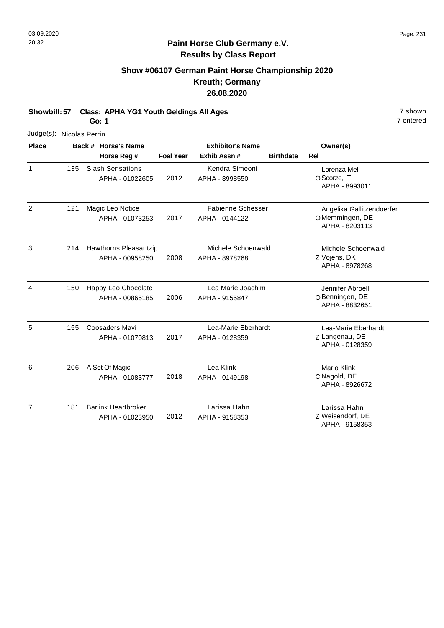## **Show #06107 German Paint Horse Championship 2020 Kreuth; Germany 26.08.2020**

**Showbill: 57 Class: APHA YG1 Youth Geldings All Ages** 7 shown

**Go: 1**

| Judge(s): Nicolas Perrin |     |                                               |                  |                                            |                  |                                                               |
|--------------------------|-----|-----------------------------------------------|------------------|--------------------------------------------|------------------|---------------------------------------------------------------|
| <b>Place</b>             |     | Back # Horse's Name<br>Horse Reg #            | <b>Foal Year</b> | <b>Exhibitor's Name</b><br>Exhib Assn#     | <b>Birthdate</b> | Owner(s)<br><b>Rel</b>                                        |
| $\mathbf{1}$             | 135 | <b>Slash Sensations</b><br>APHA - 01022605    | 2012             | Kendra Simeoni<br>APHA - 8998550           |                  | Lorenza Mel<br>O Scorze, IT<br>APHA - 8993011                 |
| 2                        | 121 | Magic Leo Notice<br>APHA - 01073253           | 2017             | <b>Fabienne Schesser</b><br>APHA - 0144122 |                  | Angelika Gallitzendoerfer<br>OMemmingen, DE<br>APHA - 8203113 |
| 3                        | 214 | Hawthorns Pleasantzip<br>APHA - 00958250      | 2008             | Michele Schoenwald<br>APHA - 8978268       |                  | Michele Schoenwald<br>Z Vojens, DK<br>APHA - 8978268          |
| 4                        | 150 | Happy Leo Chocolate<br>APHA - 00865185        | 2006             | Lea Marie Joachim<br>APHA - 9155847        |                  | Jennifer Abroell<br>O Benningen, DE<br>APHA - 8832651         |
| 5                        | 155 | Coosaders Mavi<br>APHA - 01070813             | 2017             | Lea-Marie Eberhardt<br>APHA - 0128359      |                  | Lea-Marie Eberhardt<br>Z Langenau, DE<br>APHA - 0128359       |
| 6                        | 206 | A Set Of Magic<br>APHA - 01083777             | 2018             | Lea Klink<br>APHA - 0149198                |                  | <b>Mario Klink</b><br>C Nagold, DE<br>APHA - 8926672          |
| $\overline{7}$           | 181 | <b>Barlink Heartbroker</b><br>APHA - 01023950 | 2012             | Larissa Hahn<br>APHA - 9158353             |                  | Larissa Hahn<br>Z Weisendorf, DE<br>APHA - 9158353            |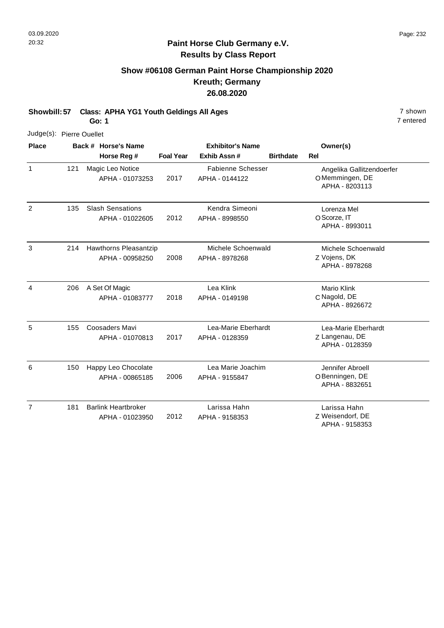## **Show #06108 German Paint Horse Championship 2020 Kreuth; Germany 26.08.2020**

**Showbill: 57 Class: APHA YG1 Youth Geldings All Ages** 7 shown

**Go: 1**

| Judge(s): Pierre Ouellet |     |                                               |                  |                                            |                  |                                                               |
|--------------------------|-----|-----------------------------------------------|------------------|--------------------------------------------|------------------|---------------------------------------------------------------|
| <b>Place</b>             |     | Back # Horse's Name<br>Horse Reg #            | <b>Foal Year</b> | <b>Exhibitor's Name</b><br>Exhib Assn#     | <b>Birthdate</b> | Owner(s)<br><b>Rel</b>                                        |
| $\mathbf{1}$             | 121 | Magic Leo Notice<br>APHA - 01073253           | 2017             | <b>Fabienne Schesser</b><br>APHA - 0144122 |                  | Angelika Gallitzendoerfer<br>OMemmingen, DE<br>APHA - 8203113 |
| $\overline{2}$           | 135 | <b>Slash Sensations</b><br>APHA - 01022605    | 2012             | Kendra Simeoni<br>APHA - 8998550           |                  | Lorenza Mel<br>O Scorze, IT<br>APHA - 8993011                 |
| 3                        | 214 | Hawthorns Pleasantzip<br>APHA - 00958250      | 2008             | Michele Schoenwald<br>APHA - 8978268       |                  | Michele Schoenwald<br>Z Vojens, DK<br>APHA - 8978268          |
| $\overline{4}$           | 206 | A Set Of Magic<br>APHA - 01083777             | 2018             | Lea Klink<br>APHA - 0149198                |                  | Mario Klink<br>C Nagold, DE<br>APHA - 8926672                 |
| 5                        | 155 | Coosaders Mavi<br>APHA - 01070813             | 2017             | Lea-Marie Eberhardt<br>APHA - 0128359      |                  | Lea-Marie Eberhardt<br>Z Langenau, DE<br>APHA - 0128359       |
| 6                        | 150 | Happy Leo Chocolate<br>APHA - 00865185        | 2006             | Lea Marie Joachim<br>APHA - 9155847        |                  | Jennifer Abroell<br>O Benningen, DE<br>APHA - 8832651         |
| $\overline{7}$           | 181 | <b>Barlink Heartbroker</b><br>APHA - 01023950 | 2012             | Larissa Hahn<br>APHA - 9158353             |                  | Larissa Hahn<br>Z Weisendorf, DE<br>APHA - 9158353            |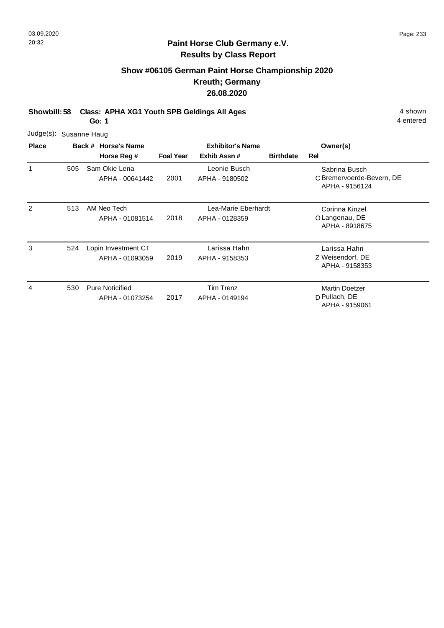## **Show #06105 German Paint Horse Championship 2020 Kreuth; Germany 26.08.2020**

**Showbill: 58 Class: APHA XG1 Youth SPB Geldings All Ages** 4 shown

**Go: 1**

| Judge(s): Susanne Haug |     |                                           |                  |                                        |                  |                                                              |
|------------------------|-----|-------------------------------------------|------------------|----------------------------------------|------------------|--------------------------------------------------------------|
| <b>Place</b>           |     | Back # Horse's Name<br>Horse Reg #        | <b>Foal Year</b> | <b>Exhibitor's Name</b><br>Exhib Assn# | <b>Birthdate</b> | Owner(s)<br>Rel                                              |
| 1                      | 505 | Sam Okie Lena<br>APHA - 00641442          | 2001             | Leonie Busch<br>APHA - 9180502         |                  | Sabrina Busch<br>C Bremervoerde-Bevern, DE<br>APHA - 9156124 |
| 2                      | 513 | AM Neo Tech<br>APHA - 01081514            | 2018             | Lea-Marie Eberhardt<br>APHA - 0128359  |                  | Corinna Kinzel<br>O Langenau, DE<br>APHA - 8918675           |
| 3                      | 524 | Lopin Investment CT<br>APHA - 01093059    | 2019             | Larissa Hahn<br>APHA - 9158353         |                  | Larissa Hahn<br>Z Weisendorf, DE<br>APHA - 9158353           |
| 4                      | 530 | <b>Pure Noticified</b><br>APHA - 01073254 | 2017             | Tim Trenz<br>APHA - 0149194            |                  | <b>Martin Doetzer</b><br>D Pullach, DE<br>APHA - 9159061     |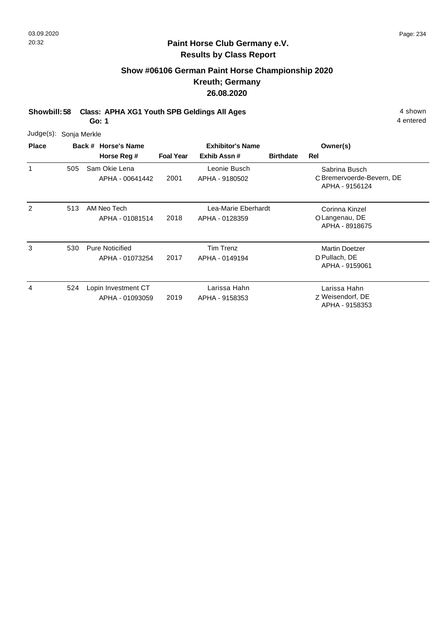## **Show #06106 German Paint Horse Championship 2020 Kreuth; Germany 26.08.2020**

**Showbill: 58 Class: APHA XG1 Youth SPB Geldings All Ages** 4 shown

**Go: 1**

| Judge(s): Sonja Merkle |     |                                           |                  |                                        |                  |                                                              |
|------------------------|-----|-------------------------------------------|------------------|----------------------------------------|------------------|--------------------------------------------------------------|
| <b>Place</b>           |     | Back # Horse's Name<br>Horse Reg #        | <b>Foal Year</b> | <b>Exhibitor's Name</b><br>Exhib Assn# | <b>Birthdate</b> | Owner(s)<br>Rel                                              |
| 1                      | 505 | Sam Okie Lena<br>APHA - 00641442          | 2001             | Leonie Busch<br>APHA - 9180502         |                  | Sabrina Busch<br>C Bremervoerde-Bevern, DE<br>APHA - 9156124 |
| 2                      | 513 | AM Neo Tech<br>APHA - 01081514            | 2018             | Lea-Marie Eberhardt<br>APHA - 0128359  |                  | Corinna Kinzel<br>O Langenau, DE<br>APHA - 8918675           |
| 3                      | 530 | <b>Pure Noticified</b><br>APHA - 01073254 | 2017             | Tim Trenz<br>APHA - 0149194            |                  | <b>Martin Doetzer</b><br>D Pullach, DE<br>APHA - 9159061     |
| 4                      | 524 | Lopin Investment CT<br>APHA - 01093059    | 2019             | Larissa Hahn<br>APHA - 9158353         |                  | Larissa Hahn<br>Z Weisendorf, DE<br>APHA - 9158353           |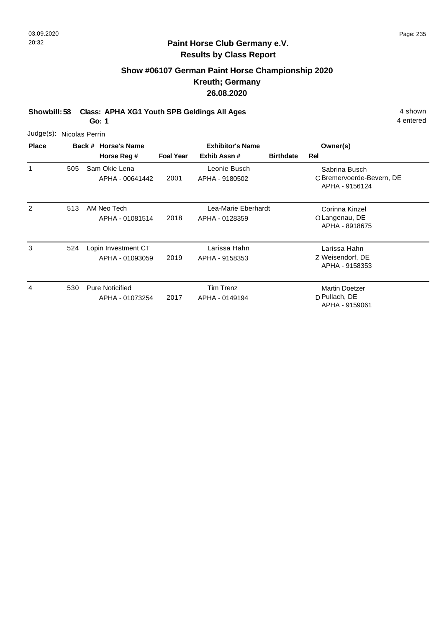## **Show #06107 German Paint Horse Championship 2020 Kreuth; Germany 26.08.2020**

**Showbill: 58 Class: APHA XG1 Youth SPB Geldings All Ages** 4 shown

**Go: 1**

| Judge(s): Nicolas Perrin |     |                                           |                  |                                        |                  |                                                              |
|--------------------------|-----|-------------------------------------------|------------------|----------------------------------------|------------------|--------------------------------------------------------------|
| <b>Place</b>             |     | Back # Horse's Name<br>Horse Reg #        | <b>Foal Year</b> | <b>Exhibitor's Name</b><br>Exhib Assn# | <b>Birthdate</b> | Owner(s)<br>Rel                                              |
| 1                        | 505 | Sam Okie Lena<br>APHA - 00641442          | 2001             | Leonie Busch<br>APHA - 9180502         |                  | Sabrina Busch<br>C Bremervoerde-Bevern, DE<br>APHA - 9156124 |
| 2                        | 513 | AM Neo Tech<br>APHA - 01081514            | 2018             | Lea-Marie Eberhardt<br>APHA - 0128359  |                  | Corinna Kinzel<br>O Langenau, DE<br>APHA - 8918675           |
| 3                        | 524 | Lopin Investment CT<br>APHA - 01093059    | 2019             | Larissa Hahn<br>APHA - 9158353         |                  | Larissa Hahn<br>Z Weisendorf, DE<br>APHA - 9158353           |
| 4                        | 530 | <b>Pure Noticified</b><br>APHA - 01073254 | 2017             | Tim Trenz<br>APHA - 0149194            |                  | <b>Martin Doetzer</b><br>D Pullach, DE<br>APHA - 9159061     |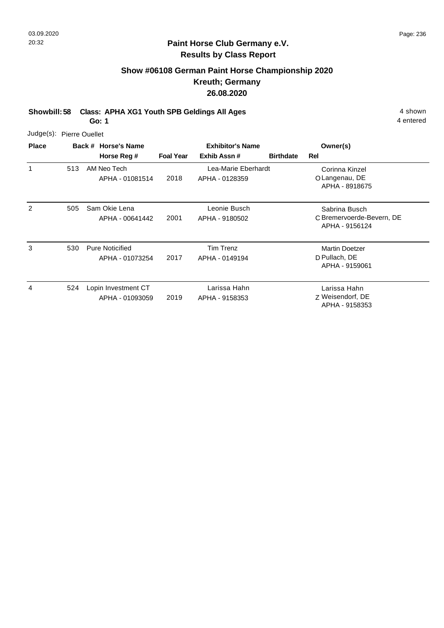## **Show #06108 German Paint Horse Championship 2020 Kreuth; Germany 26.08.2020**

**Showbill: 58 Class: APHA XG1 Youth SPB Geldings All Ages** 4 shown

**Go: 1**

| Judge(s): Pierre Ouellet |     |                                           |                  |                                        |                  |                                                              |
|--------------------------|-----|-------------------------------------------|------------------|----------------------------------------|------------------|--------------------------------------------------------------|
| <b>Place</b>             |     | Back # Horse's Name<br>Horse Reg #        | <b>Foal Year</b> | <b>Exhibitor's Name</b><br>Exhib Assn# | <b>Birthdate</b> | Owner(s)<br>Rel                                              |
| 1                        | 513 | AM Neo Tech<br>APHA - 01081514            | 2018             | Lea-Marie Eberhardt<br>APHA - 0128359  |                  | Corinna Kinzel<br>O Langenau, DE<br>APHA - 8918675           |
| 2                        | 505 | Sam Okie Lena<br>APHA - 00641442          | 2001             | Leonie Busch<br>APHA - 9180502         |                  | Sabrina Busch<br>C Bremervoerde-Bevern, DE<br>APHA - 9156124 |
| 3                        | 530 | <b>Pure Noticified</b><br>APHA - 01073254 | 2017             | Tim Trenz<br>APHA - 0149194            |                  | <b>Martin Doetzer</b><br>D Pullach, DE<br>APHA - 9159061     |
| 4                        | 524 | Lopin Investment CT<br>APHA - 01093059    | 2019             | Larissa Hahn<br>APHA - 9158353         |                  | Larissa Hahn<br>Z Weisendorf, DE<br>APHA - 9158353           |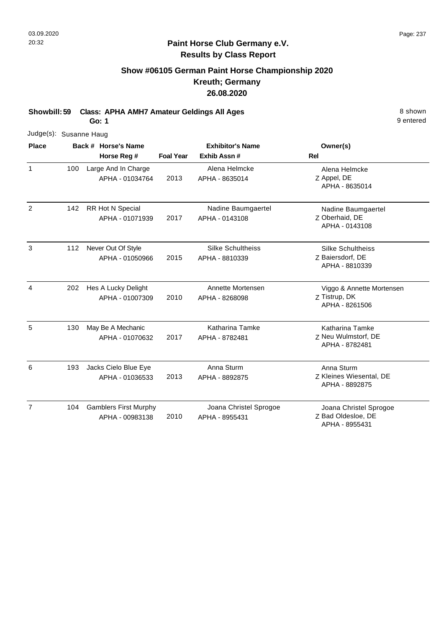## **Show #06105 German Paint Horse Championship 2020 Kreuth; Germany 26.08.2020**

**Showbill: 59 Class: APHA AMH7 Amateur Geldings All Ages** 8 Shown 8 shown

**Go: 1**

9 entered

|                | Judge(s): Susanne Haug |  |                                                 |                  |                                            |                                                                |  |  |  |  |  |
|----------------|------------------------|--|-------------------------------------------------|------------------|--------------------------------------------|----------------------------------------------------------------|--|--|--|--|--|
| <b>Place</b>   |                        |  | Back # Horse's Name                             |                  | <b>Exhibitor's Name</b>                    | Owner(s)                                                       |  |  |  |  |  |
|                |                        |  | Horse Reg #                                     | <b>Foal Year</b> | Exhib Assn#                                | <b>Rel</b>                                                     |  |  |  |  |  |
| 1              | 100                    |  | Large And In Charge<br>APHA - 01034764          | 2013             | Alena Helmcke<br>APHA - 8635014            | Alena Helmcke<br>Z Appel, DE<br>APHA - 8635014                 |  |  |  |  |  |
| 2              | 142                    |  | RR Hot N Special<br>APHA - 01071939             | 2017             | Nadine Baumgaertel<br>APHA - 0143108       | Nadine Baumgaertel<br>Z Oberhaid, DE<br>APHA - 0143108         |  |  |  |  |  |
| 3              | 112                    |  | Never Out Of Style<br>APHA - 01050966           | 2015             | <b>Silke Schultheiss</b><br>APHA - 8810339 | <b>Silke Schultheiss</b><br>Z Baiersdorf, DE<br>APHA - 8810339 |  |  |  |  |  |
| 4              | 202                    |  | Hes A Lucky Delight<br>APHA - 01007309          | 2010             | Annette Mortensen<br>APHA - 8268098        | Viggo & Annette Mortensen<br>Z Tistrup, DK<br>APHA - 8261506   |  |  |  |  |  |
| 5              | 130                    |  | May Be A Mechanic<br>APHA - 01070632            | 2017             | Katharina Tamke<br>APHA - 8782481          | Katharina Tamke<br>Z Neu Wulmstorf, DE<br>APHA - 8782481       |  |  |  |  |  |
| 6              | 193                    |  | Jacks Cielo Blue Eye<br>APHA - 01036533         | 2013             | Anna Sturm<br>APHA - 8892875               | Anna Sturm<br>Z Kleines Wiesental, DE<br>APHA - 8892875        |  |  |  |  |  |
| $\overline{7}$ | 104                    |  | <b>Gamblers First Murphy</b><br>APHA - 00983138 | 2010             | Joana Christel Sprogoe<br>APHA - 8955431   | Joana Christel Sprogoe<br>Z Bad Oldesloe, DE                   |  |  |  |  |  |

APHA - 8955431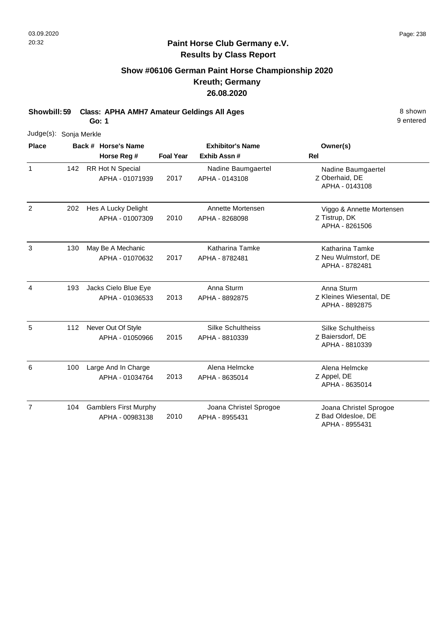## **Show #06106 German Paint Horse Championship 2020 Kreuth; Germany 26.08.2020**

**Showbill: 59 Class: APHA AMH7 Amateur Geldings All Ages** 8 Shown

**Go: 1**

| Judge(s): Sonja Merkle |     |                              |                  |                          |                                           |
|------------------------|-----|------------------------------|------------------|--------------------------|-------------------------------------------|
| <b>Place</b>           |     | Back # Horse's Name          |                  | <b>Exhibitor's Name</b>  | Owner(s)                                  |
|                        |     | Horse Reg #                  | <b>Foal Year</b> | Exhib Assn#              | <b>Rel</b>                                |
| $\mathbf{1}$           | 142 | <b>RR Hot N Special</b>      |                  | Nadine Baumgaertel       | Nadine Baumgaertel                        |
|                        |     | APHA - 01071939              | 2017             | APHA - 0143108           | Z Oberhaid, DE<br>APHA - 0143108          |
| 2                      | 202 | Hes A Lucky Delight          |                  | Annette Mortensen        | Viggo & Annette Mortensen                 |
|                        |     | APHA - 01007309              | 2010             | APHA - 8268098           | Z Tistrup, DK<br>APHA - 8261506           |
| 3                      | 130 | May Be A Mechanic            |                  | Katharina Tamke          | <b>Katharina Tamke</b>                    |
|                        |     | APHA - 01070632              | 2017             | APHA - 8782481           | Z Neu Wulmstorf, DE<br>APHA - 8782481     |
| $\overline{4}$         | 193 | Jacks Cielo Blue Eye         |                  | Anna Sturm               | Anna Sturm                                |
|                        |     | APHA - 01036533              | 2013             | APHA - 8892875           | Z Kleines Wiesental, DE<br>APHA - 8892875 |
| 5                      | 112 | Never Out Of Style           |                  | <b>Silke Schultheiss</b> | <b>Silke Schultheiss</b>                  |
|                        |     | APHA - 01050966              | 2015             | APHA - 8810339           | Z Baiersdorf, DE<br>APHA - 8810339        |
| 6                      | 100 | Large And In Charge          |                  | Alena Helmcke            | Alena Helmcke                             |
|                        |     | APHA - 01034764              | 2013             | APHA - 8635014           | Z Appel, DE<br>APHA - 8635014             |
| $\overline{7}$         | 104 | <b>Gamblers First Murphy</b> |                  | Joana Christel Sprogoe   | Joana Christel Sprogoe                    |
|                        |     | APHA - 00983138              | 2010             | APHA - 8955431           | Z Bad Oldesloe, DE<br>APHA - 8955431      |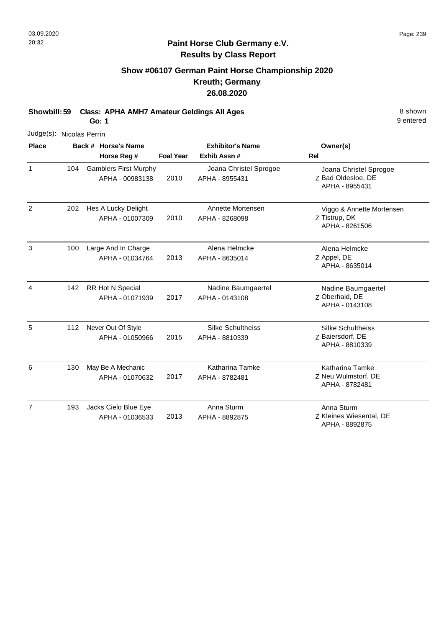## **Show #06107 German Paint Horse Championship 2020 Kreuth; Germany 26.08.2020**

**Showbill: 59 Class: APHA AMH7 Amateur Geldings All Ages** 8 Shown 8 shown

**Go: 1**

| Judge(s): Nicolas Perrin |     |                              |                  |                          |                                           |
|--------------------------|-----|------------------------------|------------------|--------------------------|-------------------------------------------|
| <b>Place</b>             |     | Back # Horse's Name          |                  | <b>Exhibitor's Name</b>  | Owner(s)                                  |
|                          |     | Horse Reg #                  | <b>Foal Year</b> | Exhib Assn#              | <b>Rel</b>                                |
| $\mathbf{1}$             | 104 | <b>Gamblers First Murphy</b> |                  | Joana Christel Sprogoe   | Joana Christel Sprogoe                    |
|                          |     | APHA - 00983138              | 2010             | APHA - 8955431           | Z Bad Oldesloe, DE<br>APHA - 8955431      |
| $\overline{2}$           | 202 | Hes A Lucky Delight          |                  | Annette Mortensen        | Viggo & Annette Mortensen                 |
|                          |     | APHA - 01007309              | 2010             | APHA - 8268098           | Z Tistrup, DK<br>APHA - 8261506           |
| 3                        | 100 | Large And In Charge          |                  | Alena Helmcke            | Alena Helmcke                             |
|                          |     | APHA - 01034764              | 2013             | APHA - 8635014           | Z Appel, DE<br>APHA - 8635014             |
| 4                        | 142 | RR Hot N Special             |                  | Nadine Baumgaertel       | Nadine Baumgaertel                        |
|                          |     | APHA - 01071939              | 2017             | APHA - 0143108           | Z Oberhaid, DE<br>APHA - 0143108          |
| 5                        | 112 | Never Out Of Style           |                  | <b>Silke Schultheiss</b> | <b>Silke Schultheiss</b>                  |
|                          |     | APHA - 01050966              | 2015             | APHA - 8810339           | Z Baiersdorf, DE<br>APHA - 8810339        |
| 6                        | 130 | May Be A Mechanic            |                  | <b>Katharina Tamke</b>   | Katharina Tamke                           |
|                          |     | APHA - 01070632              | 2017             | APHA - 8782481           | Z Neu Wulmstorf, DE<br>APHA - 8782481     |
| $\overline{7}$           | 193 | Jacks Cielo Blue Eye         |                  | Anna Sturm               | Anna Sturm                                |
|                          |     | APHA - 01036533              | 2013             | APHA - 8892875           | Z Kleines Wiesental, DE<br>APHA - 8892875 |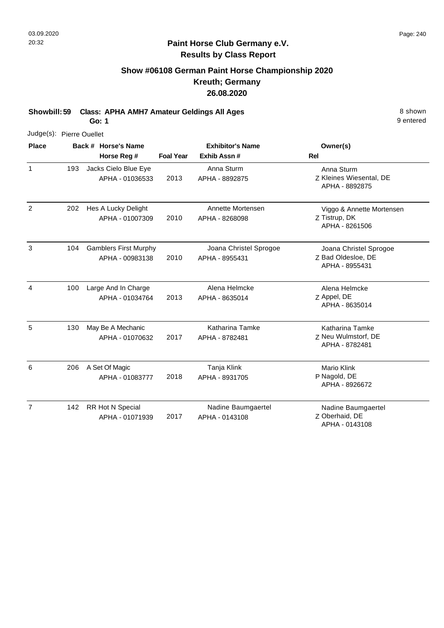## **Show #06108 German Paint Horse Championship 2020 Kreuth; Germany 26.08.2020**

**Showbill: 59 Class: APHA AMH7 Amateur Geldings All Ages** 8 Shown

**Go: 1**

| Judge(s): Pierre Ouellet |     |                                                 |                  |                                          |                                                                |
|--------------------------|-----|-------------------------------------------------|------------------|------------------------------------------|----------------------------------------------------------------|
| <b>Place</b>             |     | Back # Horse's Name<br>Horse Reg #              | <b>Foal Year</b> | <b>Exhibitor's Name</b><br>Exhib Assn #  | Owner(s)<br>Rel                                                |
| $\mathbf{1}$             | 193 | Jacks Cielo Blue Eye<br>APHA - 01036533         | 2013             | Anna Sturm<br>APHA - 8892875             | Anna Sturm<br>Z Kleines Wiesental, DE<br>APHA - 8892875        |
| 2                        | 202 | Hes A Lucky Delight<br>APHA - 01007309          | 2010             | Annette Mortensen<br>APHA - 8268098      | Viggo & Annette Mortensen<br>Z Tistrup, DK<br>APHA - 8261506   |
| 3                        | 104 | <b>Gamblers First Murphy</b><br>APHA - 00983138 | 2010             | Joana Christel Sprogoe<br>APHA - 8955431 | Joana Christel Sprogoe<br>Z Bad Oldesloe, DE<br>APHA - 8955431 |
| 4                        | 100 | Large And In Charge<br>APHA - 01034764          | 2013             | Alena Helmcke<br>APHA - 8635014          | Alena Helmcke<br>Z Appel, DE<br>APHA - 8635014                 |
| 5                        | 130 | May Be A Mechanic<br>APHA - 01070632            | 2017             | Katharina Tamke<br>APHA - 8782481        | Katharina Tamke<br>Z Neu Wulmstorf, DE<br>APHA - 8782481       |
| 6                        | 206 | A Set Of Magic<br>APHA - 01083777               | 2018             | Tanja Klink<br>APHA - 8931705            | Mario Klink<br>P Nagold, DE<br>APHA - 8926672                  |
| $\overline{7}$           | 142 | RR Hot N Special<br>APHA - 01071939             | 2017             | Nadine Baumgaertel<br>APHA - 0143108     | Nadine Baumgaertel<br>Z Oberhaid, DE<br>APHA - 0143108         |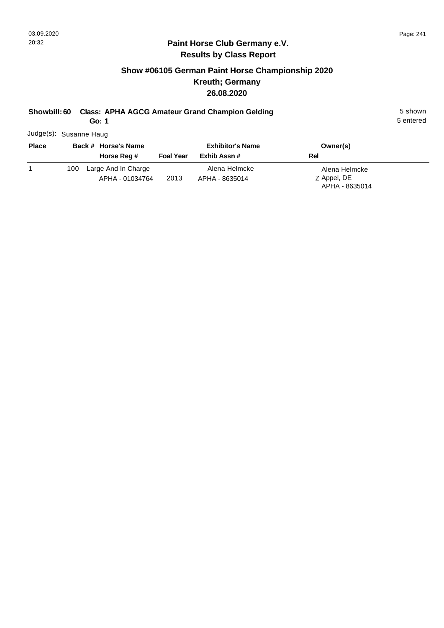## **Show #06105 German Paint Horse Championship 2020 Kreuth; Germany 26.08.2020**

## **Showbill: 60 Class: APHA AGCG Amateur Grand Champion Gelding 5 Shown 5 shown**

**Go: 1**

5 entered

Judge(s): Susanne Haug

| <b>Place</b> | Back # Horse's Name                           | <b>Exhibitor's Name</b> |                                 | Owner(s)                                       |
|--------------|-----------------------------------------------|-------------------------|---------------------------------|------------------------------------------------|
|              | Horse Reg #                                   | <b>Foal Year</b>        | Exhib Assn #                    | Rel                                            |
|              | Large And In Charge<br>100<br>APHA - 01034764 | 2013                    | Alena Helmcke<br>APHA - 8635014 | Alena Helmcke<br>Z Appel, DE<br>APHA - 8635014 |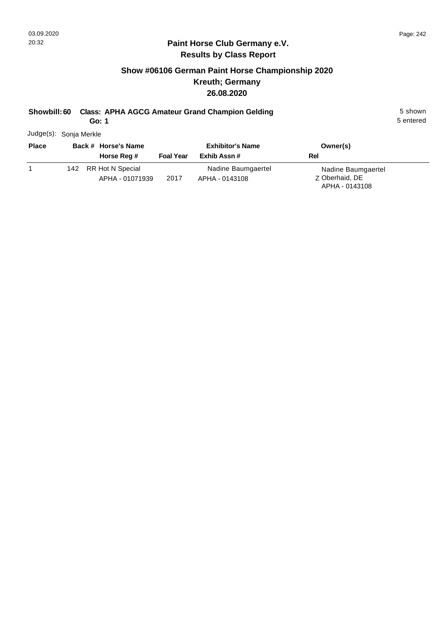## **Show #06106 German Paint Horse Championship 2020 Kreuth; Germany 26.08.2020**

## **Showbill: 60 Class: APHA AGCG Amateur Grand Champion Gelding 5 Shown 5 shown**

**Go: 1**

5 entered

Judge(s): Sonja Merkle

| <b>Place</b> | Back # Horse's Name |                                     | <b>Exhibitor's Name</b> |                                      | Owner(s)                                               |  |
|--------------|---------------------|-------------------------------------|-------------------------|--------------------------------------|--------------------------------------------------------|--|
|              |                     | Horse Reg #                         | <b>Foal Year</b>        | Exhib Assn #                         | Rel                                                    |  |
|              | 142                 | RR Hot N Special<br>APHA - 01071939 | 2017                    | Nadine Baumgaertel<br>APHA - 0143108 | Nadine Baumgaertel<br>Z Oberhaid, DE<br>APHA - 0143108 |  |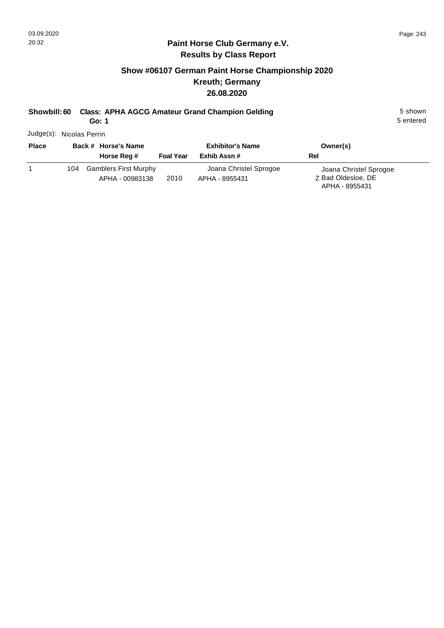## **Show #06107 German Paint Horse Championship 2020 Kreuth; Germany 26.08.2020**

# **Showbill: 60 Class: APHA AGCG Amateur Grand Champion Gelding 5 Shown 5 shown**

**Go: 1**

5 entered

Judge(s): Nicolas Perrin

| <b>Place</b> | Back # Horse's Name                                    | <b>Exhibitor's Name</b> |                                          | Owner(s)                                                       |
|--------------|--------------------------------------------------------|-------------------------|------------------------------------------|----------------------------------------------------------------|
|              | Horse Reg #                                            | <b>Foal Year</b>        | Exhib Assn#                              | Rel                                                            |
|              | <b>Gamblers First Murphy</b><br>104<br>APHA - 00983138 | 2010                    | Joana Christel Sprogoe<br>APHA - 8955431 | Joana Christel Sprogoe<br>Z Bad Oldesloe, DE<br>APHA - 8955431 |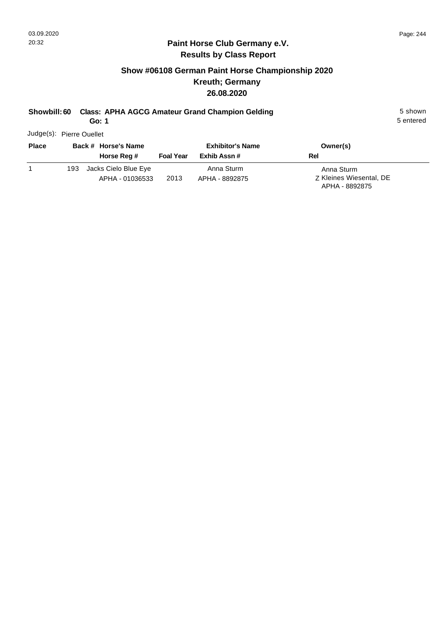## **Show #06108 German Paint Horse Championship 2020 Kreuth; Germany 26.08.2020**

## **Showbill: 60 Class: APHA AGCG Amateur Grand Champion Gelding 5 Shown 5 shown**

**Go: 1**

5 entered

Judge(s): Pierre Ouellet

| <b>Place</b> | Back # Horse's Name                            | <b>Exhibitor's Name</b> |                              | Owner(s)                                                |
|--------------|------------------------------------------------|-------------------------|------------------------------|---------------------------------------------------------|
|              | Horse Reg #                                    | <b>Foal Year</b>        | Exhib Assn #                 | Rel                                                     |
|              | Jacks Cielo Blue Eye<br>193<br>APHA - 01036533 | 2013                    | Anna Sturm<br>APHA - 8892875 | Anna Sturm<br>Z Kleines Wiesental, DE<br>APHA - 8892875 |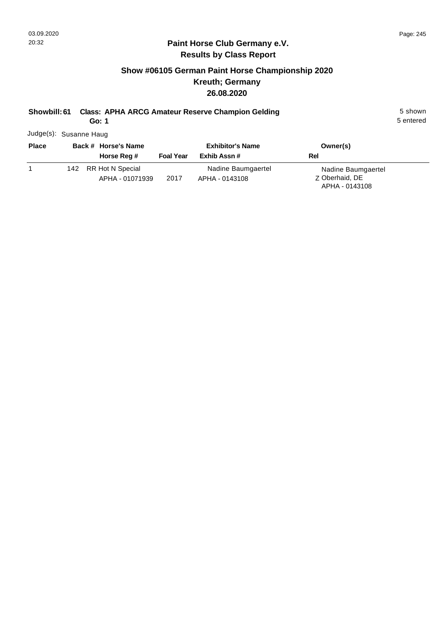## **Show #06105 German Paint Horse Championship 2020 Kreuth; Germany 26.08.2020**

## **Showbill: 61 Class: APHA ARCG Amateur Reserve Champion Gelding 5 Shown 5 shown**

**Go: 1**

5 entered

Judge(s): Susanne Haug

| <b>Place</b> | Back # Horse's Name                        | <b>Exhibitor's Name</b> |                                      | Owner(s)                                               |
|--------------|--------------------------------------------|-------------------------|--------------------------------------|--------------------------------------------------------|
|              | Horse Reg #                                | <b>Foal Year</b>        | Exhib Assn #                         | Rel                                                    |
|              | RR Hot N Special<br>142<br>APHA - 01071939 | 2017                    | Nadine Baumgaertel<br>APHA - 0143108 | Nadine Baumgaertel<br>Z Oberhaid, DE<br>APHA - 0143108 |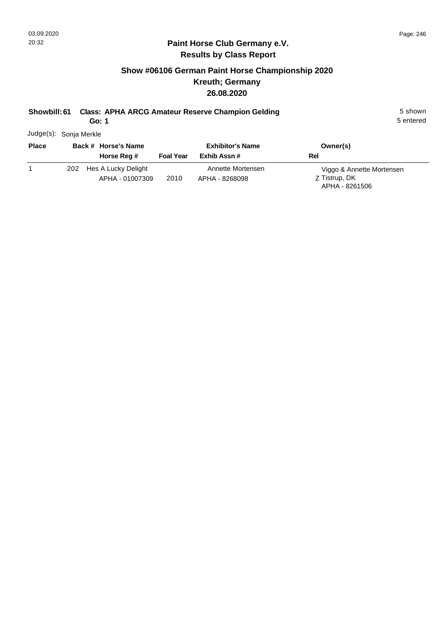## **Show #06106 German Paint Horse Championship 2020 Kreuth; Germany 26.08.2020**

## **Showbill: 61 Class: APHA ARCG Amateur Reserve Champion Gelding 5 Shown 5 shown**

**Go: 1**

5 entered

Judge(s): Sonja Merkle

| <b>Place</b> | Back # Horse's Name                           | <b>Exhibitor's Name</b> |                                     | Owner(s)                                                     |
|--------------|-----------------------------------------------|-------------------------|-------------------------------------|--------------------------------------------------------------|
|              | Horse Reg #                                   | <b>Foal Year</b>        | Exhib Assn#                         | Rel                                                          |
|              | Hes A Lucky Delight<br>202<br>APHA - 01007309 | 2010                    | Annette Mortensen<br>APHA - 8268098 | Viggo & Annette Mortensen<br>Z Tistrup, DK<br>APHA - 8261506 |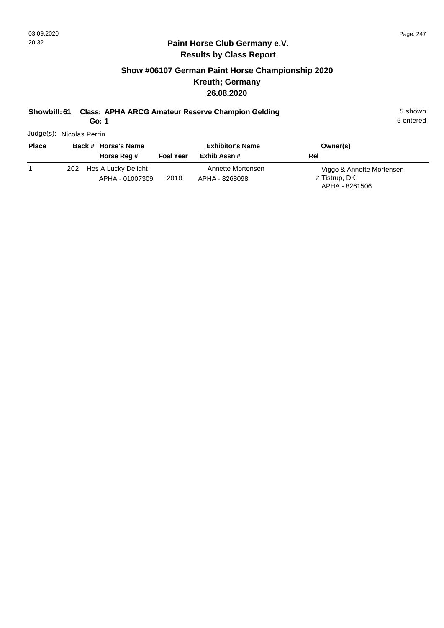## **Show #06107 German Paint Horse Championship 2020 Kreuth; Germany 26.08.2020**

# **Showbill: 61 Class: APHA ARCG Amateur Reserve Champion Gelding 5 Shown 5 shown**

**Go: 1**

5 entered

Judge(s): Nicolas Perrin

| <b>Place</b> | Back # Horse's Name                           | <b>Exhibitor's Name</b> |                                     | Owner(s)                                                     |
|--------------|-----------------------------------------------|-------------------------|-------------------------------------|--------------------------------------------------------------|
|              | Horse Reg #                                   | <b>Foal Year</b>        | Exhib Assn#                         | Rel                                                          |
|              | Hes A Lucky Delight<br>202<br>APHA - 01007309 | 2010                    | Annette Mortensen<br>APHA - 8268098 | Viggo & Annette Mortensen<br>Z Tistrup, DK<br>APHA - 8261506 |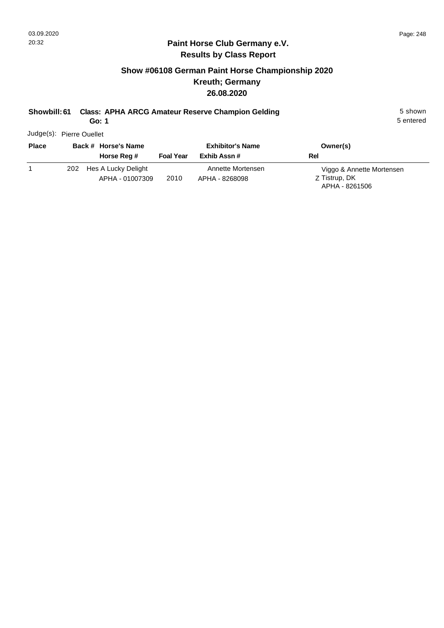## **Show #06108 German Paint Horse Championship 2020 Kreuth; Germany 26.08.2020**

# **Showbill: 61 Class: APHA ARCG Amateur Reserve Champion Gelding 5 Shown 5 shown**

**Go: 1**

5 entered

Judge(s): Pierre Ouellet

| <b>Place</b> | Back # Horse's Name                           | <b>Exhibitor's Name</b> |                                     | Owner(s)                                                     |
|--------------|-----------------------------------------------|-------------------------|-------------------------------------|--------------------------------------------------------------|
|              | Horse Reg #                                   | <b>Foal Year</b>        | Exhib Assn#                         | Rel                                                          |
|              | Hes A Lucky Delight<br>202<br>APHA - 01007309 | 2010                    | Annette Mortensen<br>APHA - 8268098 | Viggo & Annette Mortensen<br>Z Tistrup, DK<br>APHA - 8261506 |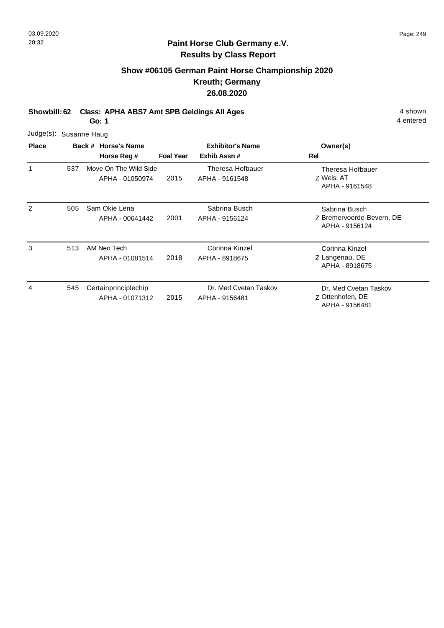#### **Paint Horse Club Germany e.V. Results by Class Report**

## **Show #06105 German Paint Horse Championship 2020 Kreuth; Germany 26.08.2020**

**Showbill: 62 Class: APHA ABS7 Amt SPB Geldings All Ages** 4 shown

**Go: 1**

|              |     | Judge(s): Susanne Haug                   |                  |                                         |                                                              |  |  |  |  |
|--------------|-----|------------------------------------------|------------------|-----------------------------------------|--------------------------------------------------------------|--|--|--|--|
| <b>Place</b> |     | Back # Horse's Name<br>Horse Reg #       | <b>Foal Year</b> | <b>Exhibitor's Name</b><br>Exhib Assn#  | Owner(s)<br>Rel                                              |  |  |  |  |
| 1            | 537 | Move On The Wild Side<br>APHA - 01050974 | 2015             | Theresa Hofbauer<br>APHA - 9161548      | Theresa Hofbauer<br>Z Wels, AT<br>APHA - 9161548             |  |  |  |  |
| 2            | 505 | Sam Okie Lena<br>APHA - 00641442         | 2001             | Sabrina Busch<br>APHA - 9156124         | Sabrina Busch<br>Z Bremervoerde-Bevern, DE<br>APHA - 9156124 |  |  |  |  |
| 3            | 513 | AM Neo Tech<br>APHA - 01081514           | 2018             | Corinna Kinzel<br>APHA - 8918675        | Corinna Kinzel<br>Z Langenau, DE<br>APHA - 8918675           |  |  |  |  |
| 4            | 545 | Certainprinciplechip<br>APHA - 01071312  | 2015             | Dr. Med Cvetan Taskov<br>APHA - 9156481 | Dr. Med Cvetan Taskov<br>Z Ottenhofen, DE<br>APHA - 9156481  |  |  |  |  |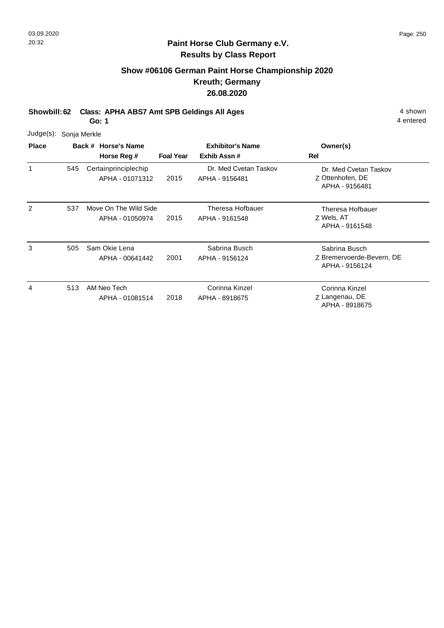#### **Paint Horse Club Germany e.V. Results by Class Report**

## **Show #06106 German Paint Horse Championship 2020 Kreuth; Germany 26.08.2020**

**Showbill: 62 Class: APHA ABS7 Amt SPB Geldings All Ages** 4 shown

**Go: 1**

|              | Judge(s): Sonja Merkle |  |                                          |                  |                                         |                                                              |  |  |  |
|--------------|------------------------|--|------------------------------------------|------------------|-----------------------------------------|--------------------------------------------------------------|--|--|--|
| <b>Place</b> |                        |  | Back # Horse's Name<br>Horse Reg #       | <b>Foal Year</b> | <b>Exhibitor's Name</b><br>Exhib Assn#  | Owner(s)<br>Rel                                              |  |  |  |
| 1            | 545                    |  | Certainprinciplechip<br>APHA - 01071312  | 2015             | Dr. Med Cvetan Taskov<br>APHA - 9156481 | Dr. Med Cvetan Taskov<br>Z Ottenhofen, DE<br>APHA - 9156481  |  |  |  |
| 2            | 537                    |  | Move On The Wild Side<br>APHA - 01050974 | 2015             | Theresa Hofbauer<br>APHA - 9161548      | Theresa Hofbauer<br>Z Wels, AT<br>APHA - 9161548             |  |  |  |
| 3            | 505                    |  | Sam Okie Lena<br>APHA - 00641442         | 2001             | Sabrina Busch<br>APHA - 9156124         | Sabrina Busch<br>Z Bremervoerde-Bevern, DE<br>APHA - 9156124 |  |  |  |
| 4            | 513                    |  | AM Neo Tech<br>APHA - 01081514           | 2018             | Corinna Kinzel<br>APHA - 8918675        | Corinna Kinzel<br>Z Langenau, DE<br>APHA - 8918675           |  |  |  |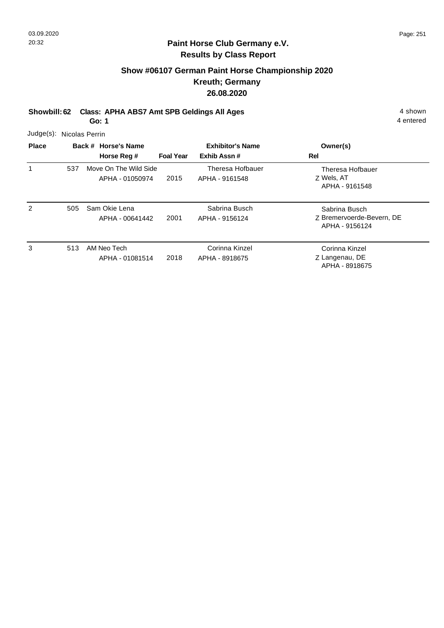## **Show #06107 German Paint Horse Championship 2020 Kreuth; Germany 26.08.2020**

**Showbill: 62 Class: APHA ABS7 Amt SPB Geldings All Ages** 4 shown

**Go: 1**

4 entered

Judge(s): Nicolas Perrin

| <b>Place</b> |     | Back # Horse's Name<br>Horse Reg #       | <b>Foal Year</b> | <b>Exhibitor's Name</b><br>Exhib Assn# | Owner(s)<br>Rel                                              |
|--------------|-----|------------------------------------------|------------------|----------------------------------------|--------------------------------------------------------------|
| 1            | 537 | Move On The Wild Side<br>APHA - 01050974 | 2015             | Theresa Hofbauer<br>APHA - 9161548     | Theresa Hofbauer<br>Z Wels, AT<br>APHA - 9161548             |
| 2            | 505 | Sam Okie Lena<br>APHA - 00641442         | 2001             | Sabrina Busch<br>APHA - 9156124        | Sabrina Busch<br>Z Bremervoerde-Bevern, DE<br>APHA - 9156124 |
| 3            | 513 | AM Neo Tech<br>APHA - 01081514           | 2018             | Corinna Kinzel<br>APHA - 8918675       | Corinna Kinzel<br>Z Langenau, DE<br>APHA - 8918675           |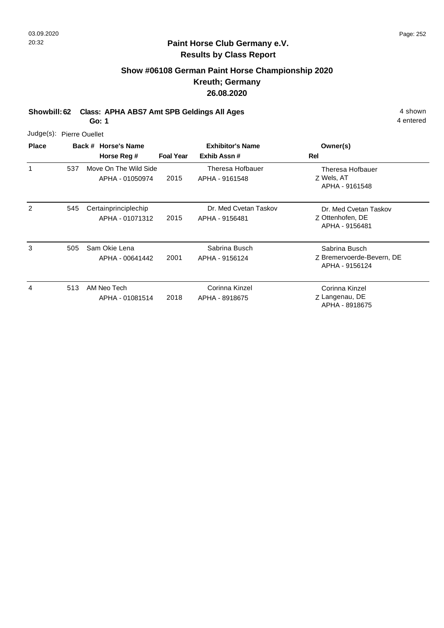## **Show #06108 German Paint Horse Championship 2020 Kreuth; Germany 26.08.2020**

**Showbill: 62 Class: APHA ABS7 Amt SPB Geldings All Ages** 4 shown

**Go: 1**

4 entered

Judge(s): Pierre Ouellet

| <b>Place</b> |     | Back # Horse's Name                      | <b>Exhibitor's Name</b> |                                         | Owner(s)                                                     |
|--------------|-----|------------------------------------------|-------------------------|-----------------------------------------|--------------------------------------------------------------|
|              |     | Horse Reg #                              | <b>Foal Year</b>        | Exhib Assn#                             | Rel                                                          |
| 1            | 537 | Move On The Wild Side<br>APHA - 01050974 | 2015                    | Theresa Hofbauer<br>APHA - 9161548      | Theresa Hofbauer<br>Z Wels, AT<br>APHA - 9161548             |
| 2            | 545 | Certainprinciplechip<br>APHA - 01071312  | 2015                    | Dr. Med Cvetan Taskov<br>APHA - 9156481 | Dr. Med Cvetan Taskov<br>Z Ottenhofen, DE<br>APHA - 9156481  |
| 3            | 505 | Sam Okie Lena<br>APHA - 00641442         | 2001                    | Sabrina Busch<br>APHA - 9156124         | Sabrina Busch<br>Z Bremervoerde-Bevern, DE<br>APHA - 9156124 |
| 4            | 513 | AM Neo Tech<br>APHA - 01081514           | 2018                    | Corinna Kinzel<br>APHA - 8918675        | Corinna Kinzel<br>Z Langenau, DE<br>APHA - 8918675           |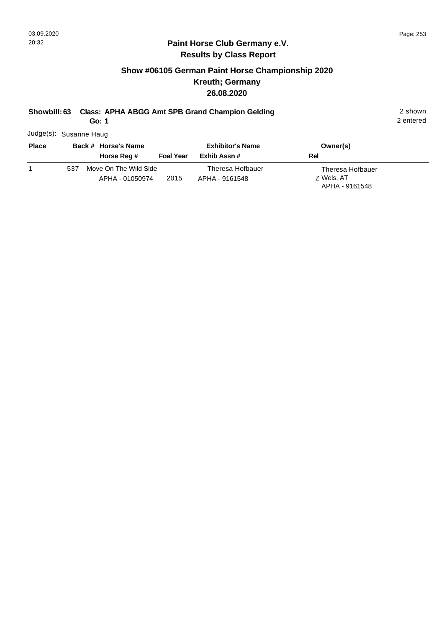#### **Paint Horse Club Germany e.V. Results by Class Report**

## **Show #06105 German Paint Horse Championship 2020 Kreuth; Germany 26.08.2020**

## **Showbill: 63 Class: APHA ABGG Amt SPB Grand Champion Gelding 2 shown 2 shown**

**Go: 1**

Judge(s): Susanne Haug

| <b>Place</b> | Back # Horse's Name |                                          |                  | <b>Exhibitor's Name</b>            |     | Owner(s)                                         |
|--------------|---------------------|------------------------------------------|------------------|------------------------------------|-----|--------------------------------------------------|
|              |                     | Horse Reg #                              | <b>Foal Year</b> | Exhib Assn #                       | Rel |                                                  |
|              | 537                 | Move On The Wild Side<br>APHA - 01050974 | 2015             | Theresa Hofbauer<br>APHA - 9161548 |     | Theresa Hofbauer<br>Z Wels, AT<br>APHA - 9161548 |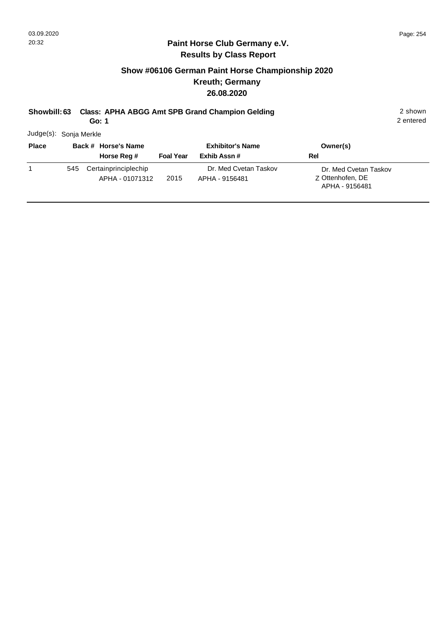## **Show #06106 German Paint Horse Championship 2020 Kreuth; Germany 26.08.2020**

|  | Showbill: 63 Class: APHA ABGG Amt SPB Grand Champion Gelding | 2 shown |
|--|--------------------------------------------------------------|---------|
|--|--------------------------------------------------------------|---------|

2 entered

**Go: 1**

| Judge(s): Sonja Merkle |     |                                         |                  |                                         |                                                             |
|------------------------|-----|-----------------------------------------|------------------|-----------------------------------------|-------------------------------------------------------------|
| <b>Place</b>           |     | Back # Horse's Name<br>Horse Reg #      | <b>Foal Year</b> | <b>Exhibitor's Name</b><br>Exhib Assn#  | Owner(s)<br>Rel                                             |
|                        | 545 | Certainprinciplechip<br>APHA - 01071312 | 2015             | Dr. Med Cvetan Taskov<br>APHA - 9156481 | Dr. Med Cvetan Taskov<br>Z Ottenhofen, DE<br>APHA - 9156481 |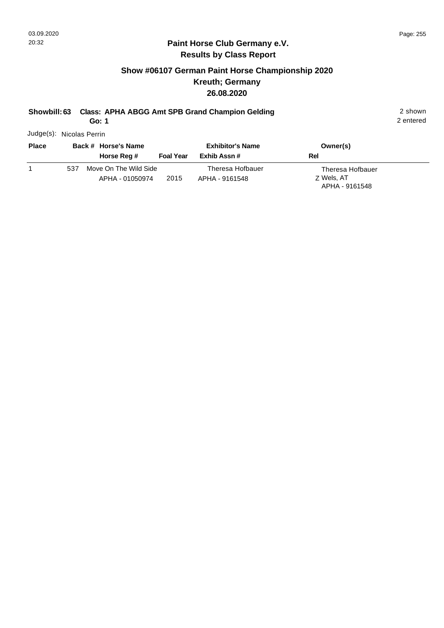#### **Paint Horse Club Germany e.V. Results by Class Report**

## **Show #06107 German Paint Horse Championship 2020 Kreuth; Germany 26.08.2020**

## **Showbill: 63 Class: APHA ABGG Amt SPB Grand Champion Gelding 2 shown 2 shown**

**Go: 1**

Judge(s): Nicolas Perrin

| <b>Place</b> | Back # Horse's Name                             | <b>Exhibitor's Name</b>                    | Owner(s)                                         |
|--------------|-------------------------------------------------|--------------------------------------------|--------------------------------------------------|
|              | <b>Foal Year</b><br>Horse Reg #                 | Exhib Assn #                               | Rel                                              |
|              | Move On The Wild Side<br>537<br>APHA - 01050974 | Theresa Hofbauer<br>2015<br>APHA - 9161548 | Theresa Hofbauer<br>Z Wels, AT<br>APHA - 9161548 |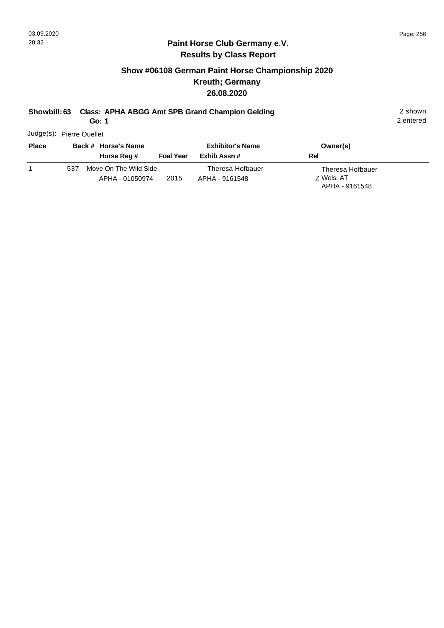#### **Paint Horse Club Germany e.V. Results by Class Report**

## **Show #06108 German Paint Horse Championship 2020 Kreuth; Germany 26.08.2020**

## **Showbill: 63 Class: APHA ABGG Amt SPB Grand Champion Gelding 2 shown 2 shown**

**Go: 1**

Judge(s): Pierre Ouellet

| <b>Place</b> | Back # Horse's Name                             | <b>Exhibitor's Name</b>                    | Owner(s)                                         |
|--------------|-------------------------------------------------|--------------------------------------------|--------------------------------------------------|
|              | Horse Reg #                                     | Exhib Assn #<br><b>Foal Year</b>           | Rel                                              |
|              | Move On The Wild Side<br>537<br>APHA - 01050974 | Theresa Hofbauer<br>2015<br>APHA - 9161548 | Theresa Hofbauer<br>Z Wels, AT<br>APHA - 9161548 |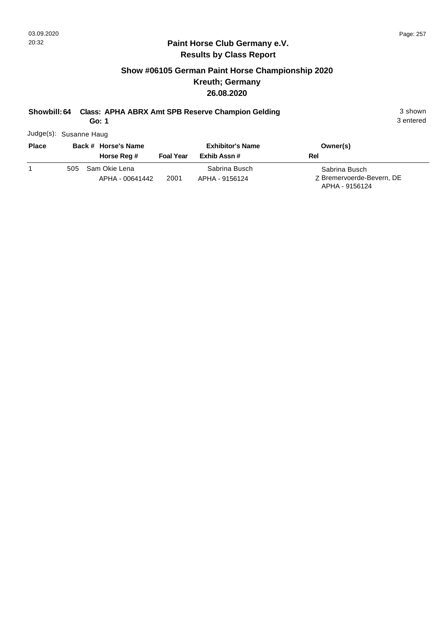## **Show #06105 German Paint Horse Championship 2020 Kreuth; Germany 26.08.2020**

## **Showbill: 64 Class: APHA ABRX Amt SPB Reserve Champion Gelding** 3 shown 3 shown

**Go: 1**

3 entered

Judge(s): Susanne Haug

| <b>Place</b> | Back # Horse's Name                     |                  | <b>Exhibitor's Name</b>         | Owner(s)                                                     |
|--------------|-----------------------------------------|------------------|---------------------------------|--------------------------------------------------------------|
|              | Horse Reg #                             | <b>Foal Year</b> | Exhib Assn #                    | Rel                                                          |
|              | Sam Okie Lena<br>505<br>APHA - 00641442 | 2001             | Sabrina Busch<br>APHA - 9156124 | Sabrina Busch<br>Z Bremervoerde-Bevern, DE<br>APHA - 9156124 |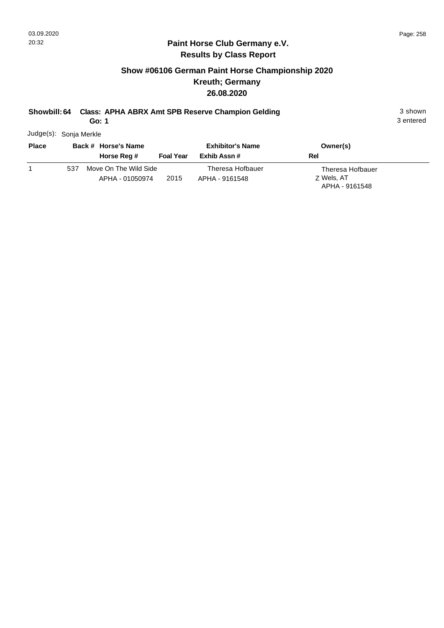## **Show #06106 German Paint Horse Championship 2020 Kreuth; Germany 26.08.2020**

## **Showbill: 64 Class: APHA ABRX Amt SPB Reserve Champion Gelding** 3 shown 3 shown

**Go: 1**

3 entered

Judge(s): Sonja Merkle

| <b>Place</b> | Back # Horse's Name                                     | <b>Exhibitor's Name</b>            | Owner(s)                                         |
|--------------|---------------------------------------------------------|------------------------------------|--------------------------------------------------|
|              | Horse Reg #<br><b>Foal Year</b>                         | Exhib Assn#                        | Rel                                              |
|              | Move On The Wild Side<br>537<br>2015<br>APHA - 01050974 | Theresa Hofbauer<br>APHA - 9161548 | Theresa Hofbauer<br>Z Wels, AT<br>APHA - 9161548 |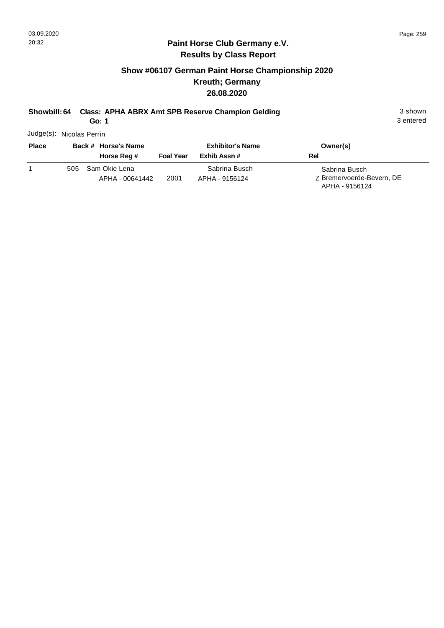## **Show #06107 German Paint Horse Championship 2020 Kreuth; Germany 26.08.2020**

## **Showbill: 64 Class: APHA ABRX Amt SPB Reserve Champion Gelding** 3 shown 3 shown

**Go: 1**

3 entered

Judge(s): Nicolas Perrin

| <b>Place</b> |     | Back # Horse's Name              |                  | <b>Exhibitor's Name</b>         | Owner(s)                                                     |
|--------------|-----|----------------------------------|------------------|---------------------------------|--------------------------------------------------------------|
|              |     | Horse Reg #                      | <b>Foal Year</b> | Exhib Assn#                     | Rel                                                          |
|              | 505 | Sam Okie Lena<br>APHA - 00641442 | 2001             | Sabrina Busch<br>APHA - 9156124 | Sabrina Busch<br>Z Bremervoerde-Bevern, DE<br>APHA - 9156124 |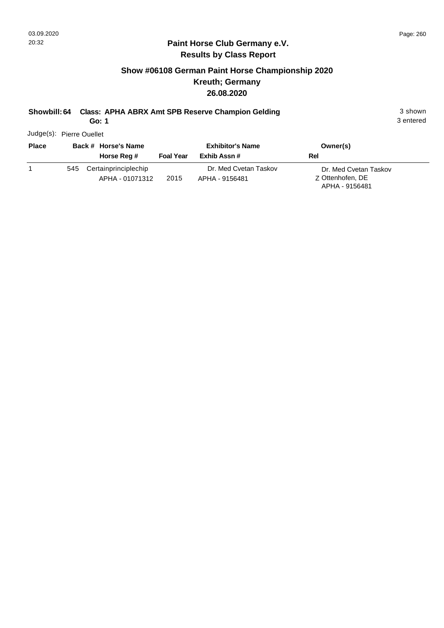## **Show #06108 German Paint Horse Championship 2020 Kreuth; Germany 26.08.2020**

## **Showbill: 64 Class: APHA ABRX Amt SPB Reserve Champion Gelding** 3 shown 3 shown

**Go: 1**

3 entered

Judge(s): Pierre Ouellet

| <b>Place</b> | Back # Horse's Name |                                         | <b>Exhibitor's Name</b> |                                         |     | Owner(s)                                                    |
|--------------|---------------------|-----------------------------------------|-------------------------|-----------------------------------------|-----|-------------------------------------------------------------|
|              |                     | Horse Reg #                             | <b>Foal Year</b>        | Exhib Assn #                            | Rel |                                                             |
|              | 545                 | Certainprinciplechip<br>APHA - 01071312 | 2015                    | Dr. Med Cvetan Taskov<br>APHA - 9156481 |     | Dr. Med Cvetan Taskov<br>Z Ottenhofen, DE<br>APHA - 9156481 |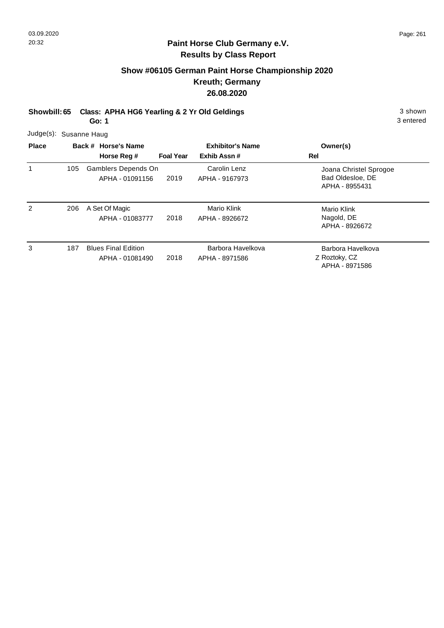## **Show #06105 German Paint Horse Championship 2020 Kreuth; Germany 26.08.2020**

**Showbill: 65 Class: APHA HG6 Yearling & 2 Yr Old Geldings** 3 shown

**Go: 1**

3 entered

Judge(s): Susanne Haug

| <b>Place</b> |     | Back # Horse's Name<br>Horse Reg #            | <b>Foal Year</b> | <b>Exhibitor's Name</b><br>Exhib Assn# | Owner(s)<br>Rel                                              |
|--------------|-----|-----------------------------------------------|------------------|----------------------------------------|--------------------------------------------------------------|
|              | 105 | Gamblers Depends On<br>APHA - 01091156        | 2019             | Carolin Lenz<br>APHA - 9167973         | Joana Christel Sprogoe<br>Bad Oldesloe, DE<br>APHA - 8955431 |
| 2            | 206 | A Set Of Magic<br>APHA - 01083777             | 2018             | Mario Klink<br>APHA - 8926672          | Mario Klink<br>Nagold, DE<br>APHA - 8926672                  |
| 3            | 187 | <b>Blues Final Edition</b><br>APHA - 01081490 | 2018             | Barbora Havelkova<br>APHA - 8971586    | Barbora Havelkova<br>Z Roztoky, CZ<br>APHA - 8971586         |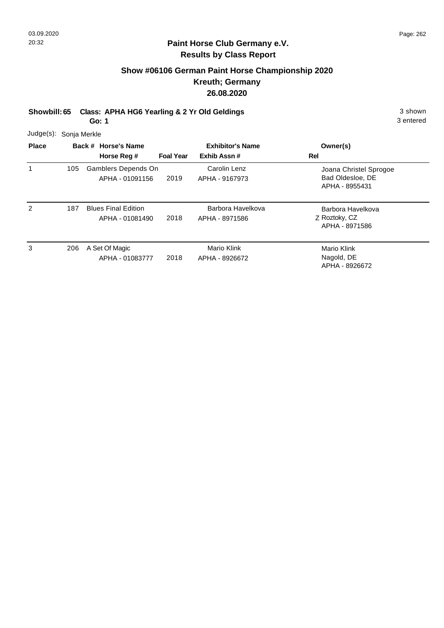## **Show #06106 German Paint Horse Championship 2020 Kreuth; Germany 26.08.2020**

**Showbill: 65 Class: APHA HG6 Yearling & 2 Yr Old Geldings** 3 shown

**Go: 1**

3 entered

Judge(s): Sonja Merkle

| <b>Place</b> |     | Back # Horse's Name<br>Horse Reg #            | <b>Foal Year</b> | <b>Exhibitor's Name</b><br>Exhib Assn# | Owner(s)<br>Rel                                              |
|--------------|-----|-----------------------------------------------|------------------|----------------------------------------|--------------------------------------------------------------|
|              | 105 | Gamblers Depends On<br>APHA - 01091156        | 2019             | Carolin Lenz<br>APHA - 9167973         | Joana Christel Sprogoe<br>Bad Oldesloe, DE<br>APHA - 8955431 |
| 2            | 187 | <b>Blues Final Edition</b><br>APHA - 01081490 | 2018             | Barbora Havelkova<br>APHA - 8971586    | Barbora Havelkova<br>Z Roztoky, CZ<br>APHA - 8971586         |
| 3            | 206 | A Set Of Magic<br>APHA - 01083777             | 2018             | Mario Klink<br>APHA - 8926672          | Mario Klink<br>Nagold, DE<br>APHA - 8926672                  |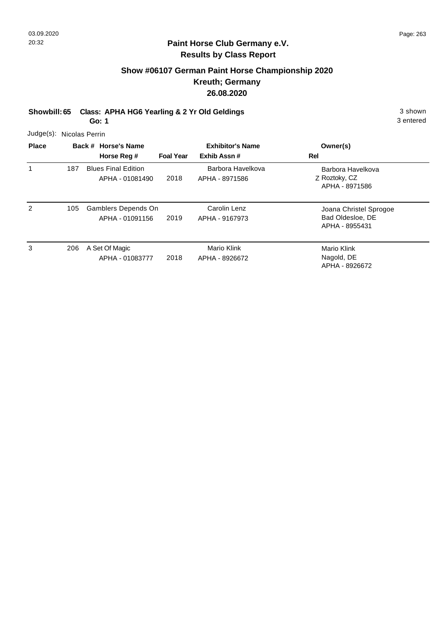## **Show #06107 German Paint Horse Championship 2020 Kreuth; Germany 26.08.2020**

**Showbill: 65 Class: APHA HG6 Yearling & 2 Yr Old Geldings** 3 shown 3 shown

**Go: 1**

3 entered

Judge(s): Nicolas Perrin

| <b>Place</b> |     | Back # Horse's Name<br>Horse Reg #            | <b>Foal Year</b> | <b>Exhibitor's Name</b><br>Exhib Assn# | Owner(s)<br>Rel                                              |
|--------------|-----|-----------------------------------------------|------------------|----------------------------------------|--------------------------------------------------------------|
| 1            | 187 | <b>Blues Final Edition</b><br>APHA - 01081490 | 2018             | Barbora Havelkova<br>APHA - 8971586    | Barbora Havelkova<br>Z Roztoky, CZ<br>APHA - 8971586         |
| 2            | 105 | Gamblers Depends On<br>APHA - 01091156        | 2019             | Carolin Lenz<br>APHA - 9167973         | Joana Christel Sprogoe<br>Bad Oldesloe, DE<br>APHA - 8955431 |
| 3            | 206 | A Set Of Magic<br>APHA - 01083777             | 2018             | Mario Klink<br>APHA - 8926672          | Mario Klink<br>Nagold, DE<br>APHA - 8926672                  |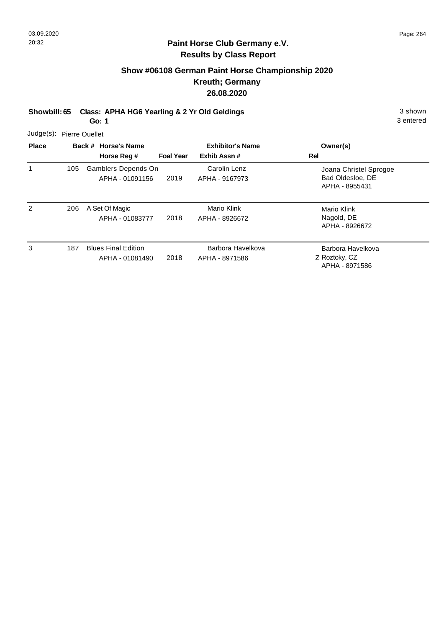## **Show #06108 German Paint Horse Championship 2020 Kreuth; Germany 26.08.2020**

**Showbill: 65 Class: APHA HG6 Yearling & 2 Yr Old Geldings** 3 shown

**Go: 1**

3 entered

Judge(s): Pierre Ouellet

| <b>Place</b> |     | Back # Horse's Name<br>Horse Reg #            | <b>Foal Year</b> | <b>Exhibitor's Name</b><br>Exhib Assn# | Owner(s)<br>Rel                                              |
|--------------|-----|-----------------------------------------------|------------------|----------------------------------------|--------------------------------------------------------------|
|              | 105 | Gamblers Depends On<br>APHA - 01091156        | 2019             | Carolin Lenz<br>APHA - 9167973         | Joana Christel Sprogoe<br>Bad Oldesloe, DE<br>APHA - 8955431 |
| 2            | 206 | A Set Of Magic<br>APHA - 01083777             | 2018             | Mario Klink<br>APHA - 8926672          | Mario Klink<br>Nagold, DE<br>APHA - 8926672                  |
| 3            | 187 | <b>Blues Final Edition</b><br>APHA - 01081490 | 2018             | Barbora Havelkova<br>APHA - 8971586    | Barbora Havelkova<br>Z Roztoky, CZ<br>APHA - 8971586         |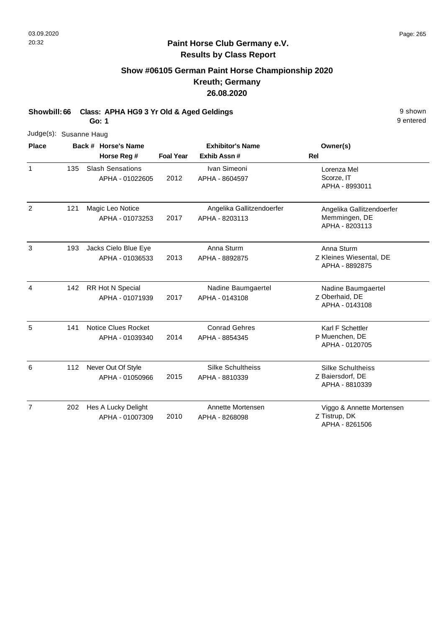## **Show #06105 German Paint Horse Championship 2020 Kreuth; Germany 26.08.2020**

**Showbill: 66 Class: APHA HG9 3 Yr Old & Aged Geldings** 9 Shown 9 shown

**Go: 1**

9 entered

| <b>Place</b><br>$\mathbf{1}$ | Judge(s): Susanne Haug |  |                                               |                                                            |                                             |                                                              |  |  |  |  |
|------------------------------|------------------------|--|-----------------------------------------------|------------------------------------------------------------|---------------------------------------------|--------------------------------------------------------------|--|--|--|--|
|                              |                        |  | Back # Horse's Name<br>Horse Reg #            | <b>Exhibitor's Name</b><br><b>Foal Year</b><br>Exhib Assn# |                                             | Owner(s)<br><b>Rel</b>                                       |  |  |  |  |
|                              | 135                    |  | <b>Slash Sensations</b><br>APHA - 01022605    | 2012                                                       | Ivan Simeoni<br>APHA - 8604597              | Lorenza Mel<br>Scorze, IT<br>APHA - 8993011                  |  |  |  |  |
| 2                            | 121                    |  | Magic Leo Notice<br>APHA - 01073253           | 2017                                                       | Angelika Gallitzendoerfer<br>APHA - 8203113 | Angelika Gallitzendoerfer<br>Memmingen, DE<br>APHA - 8203113 |  |  |  |  |
| 3                            | 193                    |  | Jacks Cielo Blue Eye<br>APHA - 01036533       | 2013                                                       | Anna Sturm<br>APHA - 8892875                | Anna Sturm<br>Z Kleines Wiesental, DE<br>APHA - 8892875      |  |  |  |  |
| 4                            | 142                    |  | <b>RR Hot N Special</b><br>APHA - 01071939    | 2017                                                       | Nadine Baumgaertel<br>APHA - 0143108        | Nadine Baumgaertel<br>Z Oberhaid, DE<br>APHA - 0143108       |  |  |  |  |
| 5                            | 141                    |  | <b>Notice Clues Rocket</b><br>APHA - 01039340 | 2014                                                       | <b>Conrad Gehres</b><br>APHA - 8854345      | Karl F Schettler<br>P Muenchen, DE<br>APHA - 0120705         |  |  |  |  |
| 6                            | 112                    |  | Never Out Of Style<br>APHA - 01050966         | 2015                                                       | <b>Silke Schultheiss</b><br>APHA - 8810339  | Silke Schultheiss<br>Z Baiersdorf, DE<br>APHA - 8810339      |  |  |  |  |
| $\overline{7}$               | 202                    |  | Hes A Lucky Delight<br>APHA - 01007309        | 2010                                                       | Annette Mortensen<br>APHA - 8268098         | Viggo & Annette Mortensen<br>Z Tistrup, DK                   |  |  |  |  |

APHA - 8261506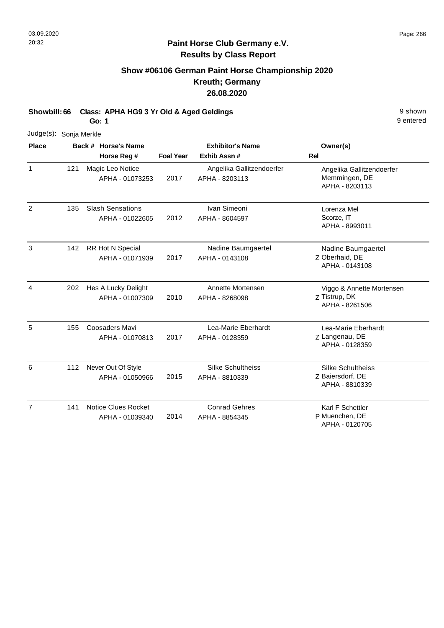## **Show #06106 German Paint Horse Championship 2020 Kreuth; Germany 26.08.2020**

**Showbill: 66 Class: APHA HG9 3 Yr Old & Aged Geldings** 9 Shown 9 shown

**Go: 1**

| Judge(s): Sonja Merkle |     |  |                                               |                  |                                             |                                                                |  |
|------------------------|-----|--|-----------------------------------------------|------------------|---------------------------------------------|----------------------------------------------------------------|--|
| <b>Place</b>           |     |  | Back # Horse's Name<br>Horse Reg #            | <b>Foal Year</b> | <b>Exhibitor's Name</b><br>Exhib Assn #     | Owner(s)<br><b>Rel</b>                                         |  |
| $\mathbf{1}$           | 121 |  | Magic Leo Notice<br>APHA - 01073253           | 2017             | Angelika Gallitzendoerfer<br>APHA - 8203113 | Angelika Gallitzendoerfer<br>Memmingen, DE<br>APHA - 8203113   |  |
| $\overline{2}$         | 135 |  | <b>Slash Sensations</b><br>APHA - 01022605    | 2012             | Ivan Simeoni<br>APHA - 8604597              | Lorenza Mel<br>Scorze, IT<br>APHA - 8993011                    |  |
| 3                      | 142 |  | RR Hot N Special<br>APHA - 01071939           | 2017             | Nadine Baumgaertel<br>APHA - 0143108        | Nadine Baumgaertel<br>Z Oberhaid, DE<br>APHA - 0143108         |  |
| 4                      | 202 |  | Hes A Lucky Delight<br>APHA - 01007309        | 2010             | Annette Mortensen<br>APHA - 8268098         | Viggo & Annette Mortensen<br>Z Tistrup, DK<br>APHA - 8261506   |  |
| 5                      | 155 |  | Coosaders Mavi<br>APHA - 01070813             | 2017             | Lea-Marie Eberhardt<br>APHA - 0128359       | Lea-Marie Eberhardt<br>Z Langenau, DE<br>APHA - 0128359        |  |
| 6                      | 112 |  | Never Out Of Style<br>APHA - 01050966         | 2015             | Silke Schultheiss<br>APHA - 8810339         | <b>Silke Schultheiss</b><br>Z Baiersdorf, DE<br>APHA - 8810339 |  |
| $\overline{7}$         | 141 |  | <b>Notice Clues Rocket</b><br>APHA - 01039340 | 2014             | <b>Conrad Gehres</b><br>APHA - 8854345      | Karl F Schettler<br>P Muenchen, DE<br>APHA - 0120705           |  |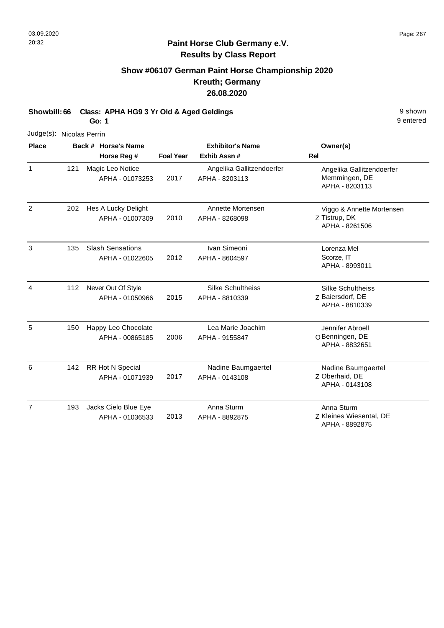## **Show #06107 German Paint Horse Championship 2020 Kreuth; Germany 26.08.2020**

**Showbill: 66 Class: APHA HG9 3 Yr Old & Aged Geldings** 9 Shown 9 shown

**Go: 1**

| Judge(s): Nicolas Perrin |     |                         |                  |                           |                                           |
|--------------------------|-----|-------------------------|------------------|---------------------------|-------------------------------------------|
| <b>Place</b>             |     | Back # Horse's Name     |                  | <b>Exhibitor's Name</b>   | Owner(s)                                  |
|                          |     | Horse Reg #             | <b>Foal Year</b> | Exhib Assn #              | <b>Rel</b>                                |
| $\mathbf{1}$             | 121 | Magic Leo Notice        |                  | Angelika Gallitzendoerfer | Angelika Gallitzendoerfer                 |
|                          |     | APHA - 01073253         | 2017             | APHA - 8203113            | Memmingen, DE<br>APHA - 8203113           |
|                          |     |                         |                  |                           |                                           |
| 2                        | 202 | Hes A Lucky Delight     |                  | Annette Mortensen         | Viggo & Annette Mortensen                 |
|                          |     | APHA - 01007309         | 2010             | APHA - 8268098            | Z Tistrup, DK<br>APHA - 8261506           |
| 3                        | 135 | <b>Slash Sensations</b> |                  | Ivan Simeoni              | Lorenza Mel                               |
|                          |     | APHA - 01022605         | 2012             | APHA - 8604597            | Scorze, IT                                |
|                          |     |                         |                  |                           | APHA - 8993011                            |
| $\overline{4}$           | 112 | Never Out Of Style      |                  | Silke Schultheiss         | <b>Silke Schultheiss</b>                  |
|                          |     | APHA - 01050966         | 2015             | APHA - 8810339            | Z Baiersdorf, DE                          |
|                          |     |                         |                  |                           | APHA - 8810339                            |
| 5                        | 150 | Happy Leo Chocolate     |                  | Lea Marie Joachim         | Jennifer Abroell                          |
|                          |     | APHA - 00865185         | 2006             | APHA - 9155847            | O Benningen, DE                           |
|                          |     |                         |                  |                           | APHA - 8832651                            |
| 6                        | 142 | RR Hot N Special        |                  | Nadine Baumgaertel        | Nadine Baumgaertel                        |
|                          |     | APHA - 01071939         | 2017             | APHA - 0143108            | Z Oberhaid, DE                            |
|                          |     |                         |                  |                           | APHA - 0143108                            |
| $\overline{7}$           | 193 | Jacks Cielo Blue Eye    |                  | Anna Sturm                | Anna Sturm                                |
|                          |     | APHA - 01036533         | 2013             | APHA - 8892875            | Z Kleines Wiesental, DE<br>APHA - 8892875 |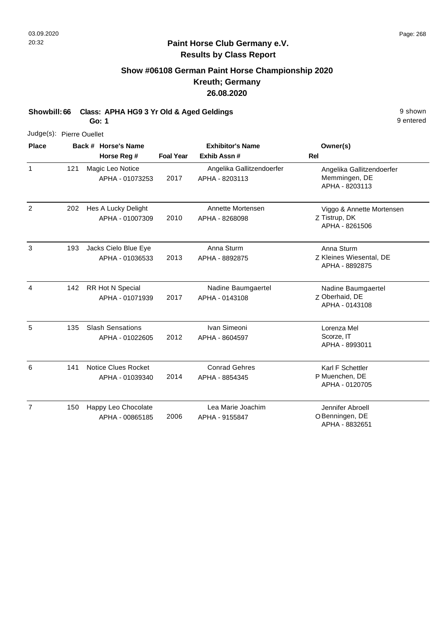## **Show #06108 German Paint Horse Championship 2020 Kreuth; Germany 26.08.2020**

**Showbill: 66 Class: APHA HG9 3 Yr Old & Aged Geldings** 9 Shown 9 shown

**Go: 1**

| Judge(s): Pierre Ouellet |     |                                            |                  |                                             |                                                              |
|--------------------------|-----|--------------------------------------------|------------------|---------------------------------------------|--------------------------------------------------------------|
| <b>Place</b>             |     | Back # Horse's Name<br>Horse Reg #         | <b>Foal Year</b> | <b>Exhibitor's Name</b><br>Exhib Assn#      | Owner(s)<br><b>Rel</b>                                       |
| $\mathbf{1}$             | 121 | Magic Leo Notice<br>APHA - 01073253        | 2017             | Angelika Gallitzendoerfer<br>APHA - 8203113 | Angelika Gallitzendoerfer<br>Memmingen, DE<br>APHA - 8203113 |
| $\overline{2}$           | 202 | Hes A Lucky Delight<br>APHA - 01007309     | 2010             | Annette Mortensen<br>APHA - 8268098         | Viggo & Annette Mortensen<br>Z Tistrup, DK<br>APHA - 8261506 |
| 3                        | 193 | Jacks Cielo Blue Eye<br>APHA - 01036533    | 2013             | Anna Sturm<br>APHA - 8892875                | Anna Sturm<br>Z Kleines Wiesental, DE<br>APHA - 8892875      |
| 4                        | 142 | RR Hot N Special<br>APHA - 01071939        | 2017             | Nadine Baumgaertel<br>APHA - 0143108        | Nadine Baumgaertel<br>Z Oberhaid, DE<br>APHA - 0143108       |
| 5                        | 135 | <b>Slash Sensations</b><br>APHA - 01022605 | 2012             | Ivan Simeoni<br>APHA - 8604597              | Lorenza Mel<br>Scorze, IT<br>APHA - 8993011                  |
| 6                        | 141 | Notice Clues Rocket<br>APHA - 01039340     | 2014             | <b>Conrad Gehres</b><br>APHA - 8854345      | Karl F Schettler<br>P Muenchen, DE<br>APHA - 0120705         |
| $\overline{7}$           | 150 | Happy Leo Chocolate<br>APHA - 00865185     | 2006             | Lea Marie Joachim<br>APHA - 9155847         | Jennifer Abroell<br>O Benningen, DE<br>APHA - 8832651        |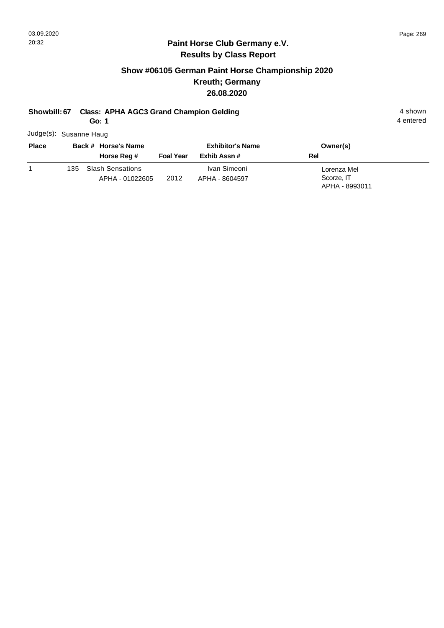#### **Paint Horse Club Germany e.V. Results by Class Report**

## **Show #06105 German Paint Horse Championship 2020 Kreuth; Germany 26.08.2020**

## **Showbill: 67 Class: APHA AGC3 Grand Champion Gelding 4 shown 4 shown**

**Go: 1**

Judge(s): Susanne Haug

| <b>Place</b> | Back # Horse's Name |                                            | <b>Exhibitor's Name</b> |                                | Owner(s)                                    |
|--------------|---------------------|--------------------------------------------|-------------------------|--------------------------------|---------------------------------------------|
|              |                     | Horse Reg #                                | <b>Foal Year</b>        | Exhib Assn #                   | Rel                                         |
|              | 135.                | <b>Slash Sensations</b><br>APHA - 01022605 | 2012                    | Ivan Simeoni<br>APHA - 8604597 | Lorenza Mel<br>Scorze, IT<br>APHA - 8993011 |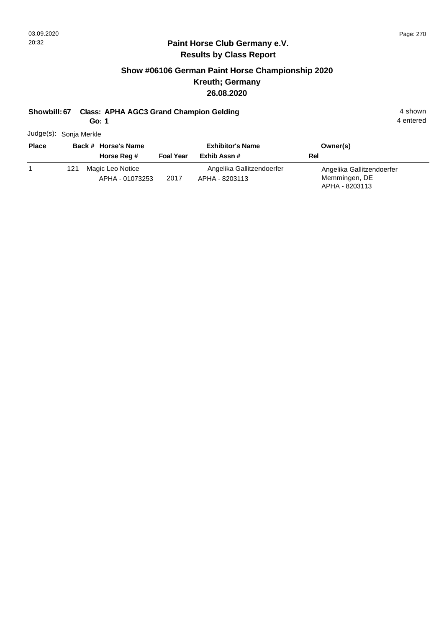#### **Paint Horse Club Germany e.V. Results by Class Report**

## **Show #06106 German Paint Horse Championship 2020 Kreuth; Germany 26.08.2020**

#### **Showbill: 67 Class: APHA AGC3 Grand Champion Gelding 4 shown 4 shown**

**Go: 1**

Judge(s): Sonja Merkle

| <b>Place</b> |     | Back # Horse's Name<br>Horse Reg #  | <b>Foal Year</b> | <b>Exhibitor's Name</b><br>Exhib Assn#      | Owner(s)<br>Rel                                              |
|--------------|-----|-------------------------------------|------------------|---------------------------------------------|--------------------------------------------------------------|
|              | 121 | Magic Leo Notice<br>APHA - 01073253 | 2017             | Angelika Gallitzendoerfer<br>APHA - 8203113 | Angelika Gallitzendoerfer<br>Memmingen, DE<br>APHA - 8203113 |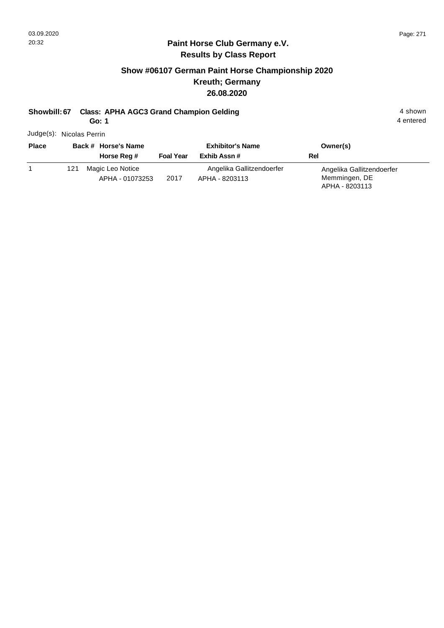#### **Paint Horse Club Germany e.V. Results by Class Report**

## **Show #06107 German Paint Horse Championship 2020 Kreuth; Germany 26.08.2020**

#### **Showbill: 67 Class: APHA AGC3 Grand Champion Gelding 4 shown 4 shown**

**Go: 1**

Judge(s): Nicolas Perrin

| <b>Place</b> |     | Back # Horse's Name<br>Horse Reg #  | <b>Foal Year</b> | <b>Exhibitor's Name</b><br>Exhib Assn#      | Owner(s)<br>Rel                                              |
|--------------|-----|-------------------------------------|------------------|---------------------------------------------|--------------------------------------------------------------|
|              | 121 | Magic Leo Notice<br>APHA - 01073253 | 2017             | Angelika Gallitzendoerfer<br>APHA - 8203113 | Angelika Gallitzendoerfer<br>Memmingen, DE<br>APHA - 8203113 |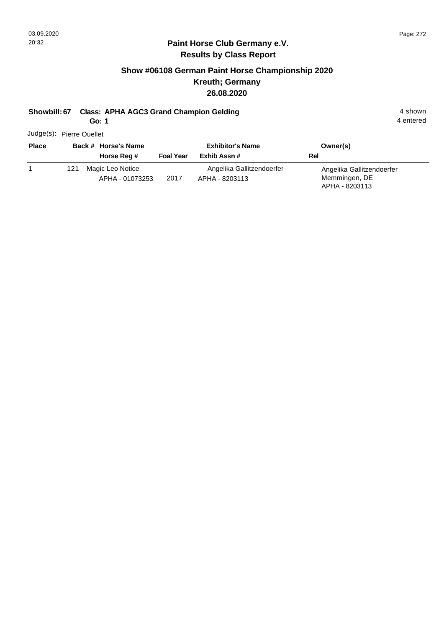#### **Paint Horse Club Germany e.V. Results by Class Report**

## **Show #06108 German Paint Horse Championship 2020 Kreuth; Germany 26.08.2020**

#### **Showbill: 67 Class: APHA AGC3 Grand Champion Gelding 4 shown 4 shown**

**Go: 1**

Judge(s): Pierre Ouellet

| <b>Place</b> |     | Back # Horse's Name                 |                  | <b>Exhibitor's Name</b>                     | Owner(s)                                                     |
|--------------|-----|-------------------------------------|------------------|---------------------------------------------|--------------------------------------------------------------|
|              |     | Horse Reg #                         | <b>Foal Year</b> | Exhib Assn#                                 | Rel                                                          |
|              | 121 | Magic Leo Notice<br>APHA - 01073253 | 2017             | Angelika Gallitzendoerfer<br>APHA - 8203113 | Angelika Gallitzendoerfer<br>Memmingen, DE<br>APHA - 8203113 |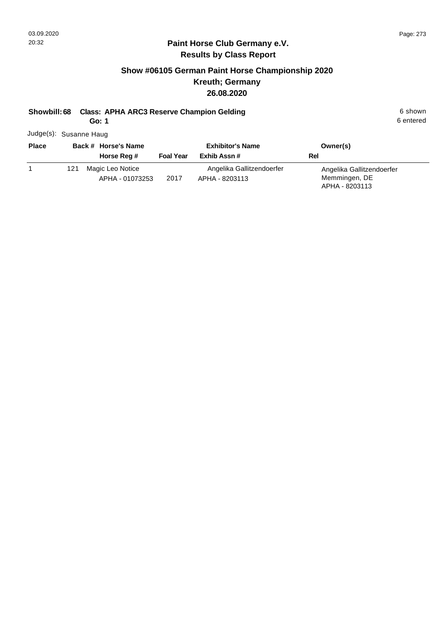#### **Paint Horse Club Germany e.V. Results by Class Report**

## **Show #06105 German Paint Horse Championship 2020 Kreuth; Germany 26.08.2020**

#### **Showbill: 68 Class: APHA ARC3 Reserve Champion Gelding 6 Shown 6 shown 6 shown**

**Go: 1**

Judge(s): Susanne Haug

| <b>Place</b> | Back # Horse's Name |                                     | <b>Exhibitor's Name</b> |                                             | Owner(s)                                                     |
|--------------|---------------------|-------------------------------------|-------------------------|---------------------------------------------|--------------------------------------------------------------|
|              |                     | Horse Reg #                         | <b>Foal Year</b>        | Exhib Assn #                                | Rel                                                          |
|              | 121                 | Magic Leo Notice<br>APHA - 01073253 | 2017                    | Angelika Gallitzendoerfer<br>APHA - 8203113 | Angelika Gallitzendoerfer<br>Memmingen, DE<br>APHA - 8203113 |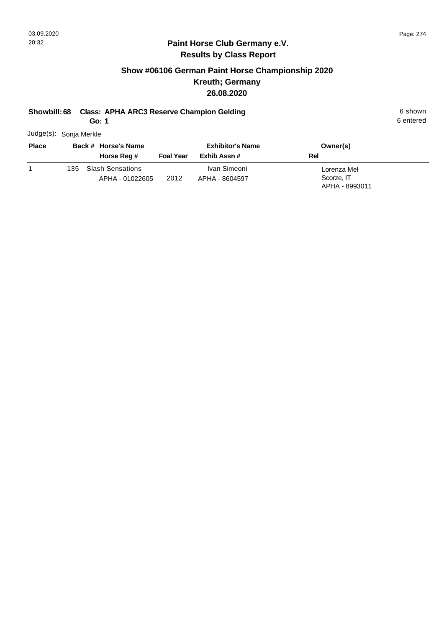## **Show #06106 German Paint Horse Championship 2020 Kreuth; Germany 26.08.2020**

## **Showbill: 68 Class: APHA ARC3 Reserve Champion Gelding 6 Shown 6 shown 6 shown**

**Go: 1**

6 entered

Judge(s): Sonja Merkle

| <b>Place</b> |      | Back # Horse's Name                        | <b>Exhibitor's Name</b> |                                | Owner(s)                  |
|--------------|------|--------------------------------------------|-------------------------|--------------------------------|---------------------------|
|              |      | Horse Reg #                                | <b>Foal Year</b>        | Exhib Assn #                   | Rel                       |
|              | 135. | <b>Slash Sensations</b><br>APHA - 01022605 | 2012                    | Ivan Simeoni<br>APHA - 8604597 | Lorenza Mel<br>Scorze, IT |
|              |      |                                            |                         |                                | APHA - 8993011            |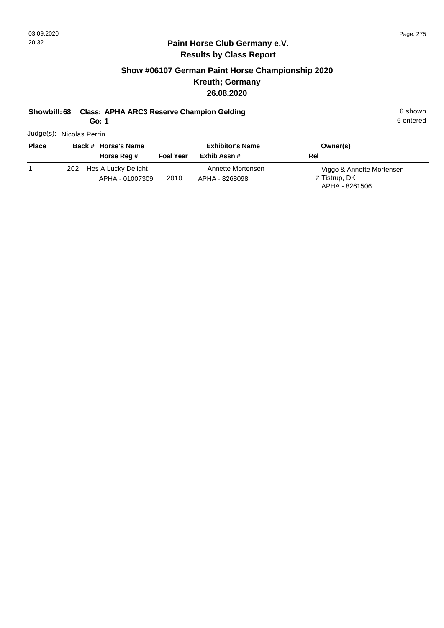## **Show #06107 German Paint Horse Championship 2020 Kreuth; Germany 26.08.2020**

## **Showbill: 68 Class: APHA ARC3 Reserve Champion Gelding 6 Shown 6 shown 6 shown**

**Go: 1**

6 entered

Judge(s): Nicolas Perrin

| <b>Place</b> | Back # Horse's Name                           | <b>Exhibitor's Name</b> |                                     | Owner(s)                                                     |
|--------------|-----------------------------------------------|-------------------------|-------------------------------------|--------------------------------------------------------------|
|              | Horse Reg #                                   | <b>Foal Year</b>        | Exhib Assn#                         | Rel                                                          |
|              | Hes A Lucky Delight<br>202<br>APHA - 01007309 | 2010                    | Annette Mortensen<br>APHA - 8268098 | Viggo & Annette Mortensen<br>Z Tistrup, DK<br>APHA - 8261506 |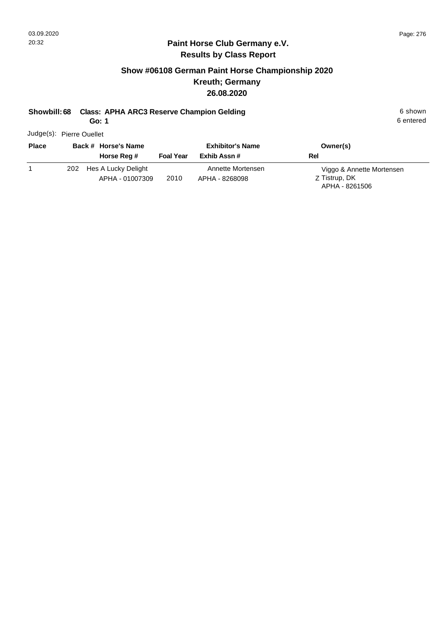#### **Paint Horse Club Germany e.V. Results by Class Report**

## **Show #06108 German Paint Horse Championship 2020 Kreuth; Germany 26.08.2020**

#### **Showbill: 68 Class: APHA ARC3 Reserve Champion Gelding 6 Shown 6 shown 6 shown**

**Go: 1**

Judge(s): Pierre Ouellet

| <b>Place</b> | Back # Horse's Name<br>Horse Reg #         | <b>Foal Year</b> | <b>Exhibitor's Name</b><br>Exhib Assn # | Owner(s)<br>Rel                                              |
|--------------|--------------------------------------------|------------------|-----------------------------------------|--------------------------------------------------------------|
|              | 202 Hes A Lucky Delight<br>APHA - 01007309 | 2010             | Annette Mortensen<br>APHA - 8268098     | Viggo & Annette Mortensen<br>Z Tistrup, DK<br>APHA - 8261506 |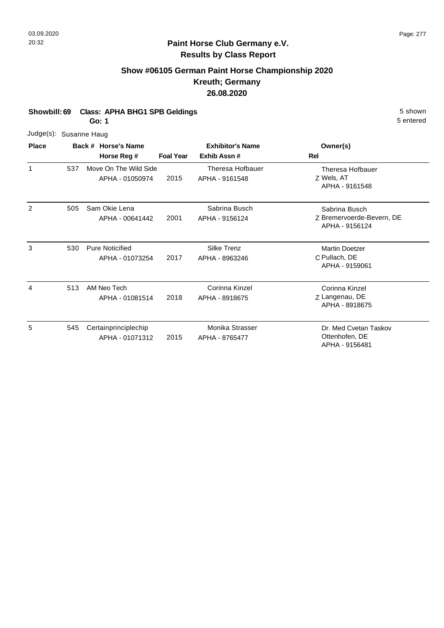$\overline{3}$ 

## **Paint Horse Club Germany e.V. Results by Class Report**

## **Show #06105 German Paint Horse Championship 2020 Kreuth; Germany 26.08.2020**

|  | Showbill: 69 Class: APHA BHG1 SPB Geldings | 5 shown |
|--|--------------------------------------------|---------|
|--|--------------------------------------------|---------|

**Go: 1**

| Judge(s): Susanne Haug<br><b>Place</b> |     |                                           |                  |                                        |                                                              |  |  |
|----------------------------------------|-----|-------------------------------------------|------------------|----------------------------------------|--------------------------------------------------------------|--|--|
|                                        |     | Back # Horse's Name<br>Horse Reg #        | <b>Foal Year</b> | <b>Exhibitor's Name</b><br>Exhib Assn# | Owner(s)<br><b>Rel</b>                                       |  |  |
| 1                                      | 537 | Move On The Wild Side<br>APHA - 01050974  | 2015             | Theresa Hofbauer<br>APHA - 9161548     | Theresa Hofbauer<br>Z Wels, AT<br>APHA - 9161548             |  |  |
| 2                                      | 505 | Sam Okie Lena<br>APHA - 00641442          | 2001             | Sabrina Busch<br>APHA - 9156124        | Sabrina Busch<br>Z Bremervoerde-Bevern, DE<br>APHA - 9156124 |  |  |
| 3                                      | 530 | <b>Pure Noticified</b><br>APHA - 01073254 | 2017             | Silke Trenz<br>APHA - 8963246          | <b>Martin Doetzer</b><br>C Pullach, DE<br>APHA - 9159061     |  |  |
| 4                                      | 513 | AM Neo Tech<br>APHA - 01081514            | 2018             | Corinna Kinzel<br>APHA - 8918675       | Corinna Kinzel<br>Z Langenau, DE<br>APHA - 8918675           |  |  |
| 5                                      | 545 | Certainprinciplechip<br>APHA - 01071312   | 2015             | Monika Strasser<br>APHA - 8765477      | Dr. Med Cvetan Taskov<br>Ottenhofen, DE<br>APHA - 9156481    |  |  |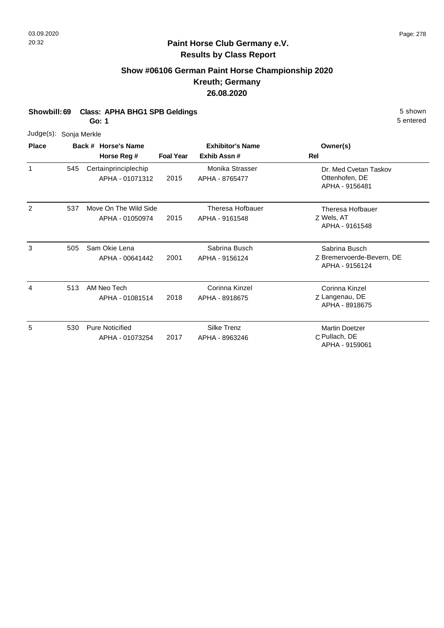## **Show #06106 German Paint Horse Championship 2020 Kreuth; Germany 26.08.2020**

**Showbill: 69 Class: APHA BHG1 SPB Geldings** 5 Shown

**Go: 1**

| Judge(s):    | Sonja Merkle |                                           |                  |                                        |                                                              |
|--------------|--------------|-------------------------------------------|------------------|----------------------------------------|--------------------------------------------------------------|
| <b>Place</b> |              | Back # Horse's Name<br>Horse Reg #        | <b>Foal Year</b> | <b>Exhibitor's Name</b><br>Exhib Assn# | Owner(s)<br><b>Rel</b>                                       |
| $\mathbf{1}$ | 545          | Certainprinciplechip<br>APHA - 01071312   | 2015             | Monika Strasser<br>APHA - 8765477      | Dr. Med Cvetan Taskov<br>Ottenhofen, DE<br>APHA - 9156481    |
| 2            | 537          | Move On The Wild Side<br>APHA - 01050974  | 2015             | Theresa Hofbauer<br>APHA - 9161548     | Theresa Hofbauer<br>Z Wels, AT<br>APHA - 9161548             |
| 3            | 505          | Sam Okie Lena<br>APHA - 00641442          | 2001             | Sabrina Busch<br>APHA - 9156124        | Sabrina Busch<br>Z Bremervoerde-Bevern, DE<br>APHA - 9156124 |
| 4            | 513          | AM Neo Tech<br>APHA - 01081514            | 2018             | Corinna Kinzel<br>APHA - 8918675       | Corinna Kinzel<br>Z Langenau, DE<br>APHA - 8918675           |
| 5            | 530          | <b>Pure Noticified</b><br>APHA - 01073254 | 2017             | <b>Silke Trenz</b><br>APHA - 8963246   | <b>Martin Doetzer</b><br>C Pullach, DE<br>APHA - 9159061     |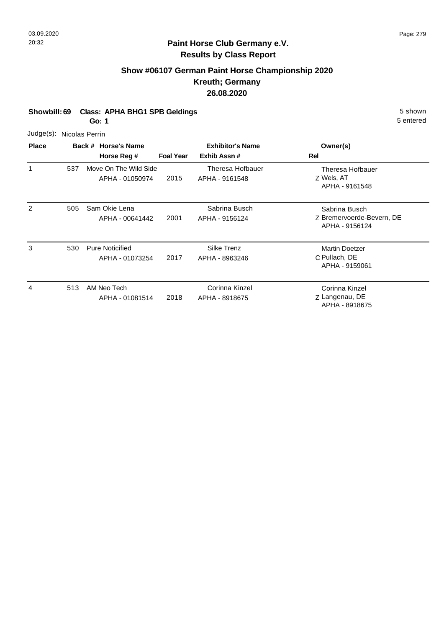## **Show #06107 German Paint Horse Championship 2020 Kreuth; Germany 26.08.2020**

#### **Showbill: 69 Class: APHA BHG1 SPB Geldings** 5 Shown

**Go: 1**

| <b>Place</b> | Back # Hors              |  |  |
|--------------|--------------------------|--|--|
|              | Judge(s): Nicolas Perrin |  |  |

| <b>Place</b> |     | Back # Horse's Name<br>Horse Reg #        | <b>Foal Year</b> | <b>Exhibitor's Name</b><br>Exhib Assn# | Owner(s)<br>Rel                                              |
|--------------|-----|-------------------------------------------|------------------|----------------------------------------|--------------------------------------------------------------|
| $\mathbf 1$  | 537 | Move On The Wild Side<br>APHA - 01050974  | 2015             | Theresa Hofbauer<br>APHA - 9161548     | Theresa Hofbauer<br>Z Wels, AT<br>APHA - 9161548             |
| 2            | 505 | Sam Okie Lena<br>APHA - 00641442          | 2001             | Sabrina Busch<br>APHA - 9156124        | Sabrina Busch<br>Z Bremervoerde-Bevern, DE<br>APHA - 9156124 |
| 3            | 530 | <b>Pure Noticified</b><br>APHA - 01073254 | 2017             | <b>Silke Trenz</b><br>APHA - 8963246   | <b>Martin Doetzer</b><br>C Pullach, DE<br>APHA - 9159061     |
| 4            | 513 | AM Neo Tech<br>APHA - 01081514            | 2018             | Corinna Kinzel<br>APHA - 8918675       | Corinna Kinzel<br>Z Langenau, DE<br>APHA - 8918675           |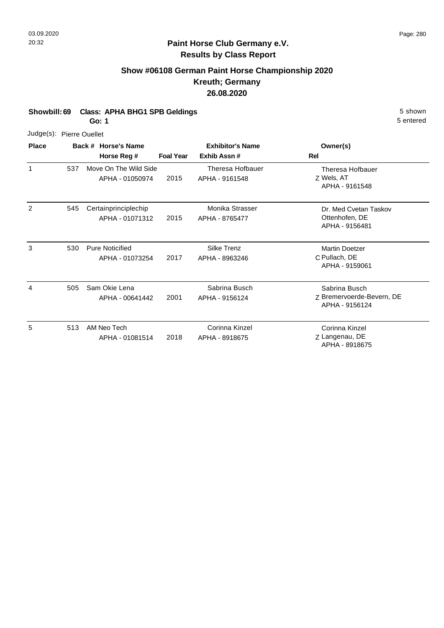## **Show #06108 German Paint Horse Championship 2020 Kreuth; Germany 26.08.2020**

#### **Showbill: 69 Class: APHA BHG1 SPB Geldings** 5 Shown

**Go: 1**

| Judge(s): Pierre Ouellet |     |                                           |                  |                                           |                                                              |
|--------------------------|-----|-------------------------------------------|------------------|-------------------------------------------|--------------------------------------------------------------|
| <b>Place</b>             |     | Back # Horse's Name<br>Horse Reg #        | <b>Foal Year</b> | <b>Exhibitor's Name</b><br>Exhib Assn#    | Owner(s)<br><b>Rel</b>                                       |
| $\mathbf{1}$             | 537 | Move On The Wild Side<br>APHA - 01050974  | 2015             | <b>Theresa Hofbauer</b><br>APHA - 9161548 | Theresa Hofbauer<br>Z Wels, AT<br>APHA - 9161548             |
| 2                        | 545 | Certainprinciplechip<br>APHA - 01071312   | 2015             | Monika Strasser<br>APHA - 8765477         | Dr. Med Cvetan Taskov<br>Ottenhofen, DE<br>APHA - 9156481    |
| 3                        | 530 | <b>Pure Noticified</b><br>APHA - 01073254 | 2017             | Silke Trenz<br>APHA - 8963246             | <b>Martin Doetzer</b><br>C Pullach, DE<br>APHA - 9159061     |
| 4                        | 505 | Sam Okie Lena<br>APHA - 00641442          | 2001             | Sabrina Busch<br>APHA - 9156124           | Sabrina Busch<br>Z Bremervoerde-Bevern, DE<br>APHA - 9156124 |
| 5                        | 513 | AM Neo Tech<br>APHA - 01081514            | 2018             | Corinna Kinzel<br>APHA - 8918675          | Corinna Kinzel<br>Z Langenau, DE<br>APHA - 8918675           |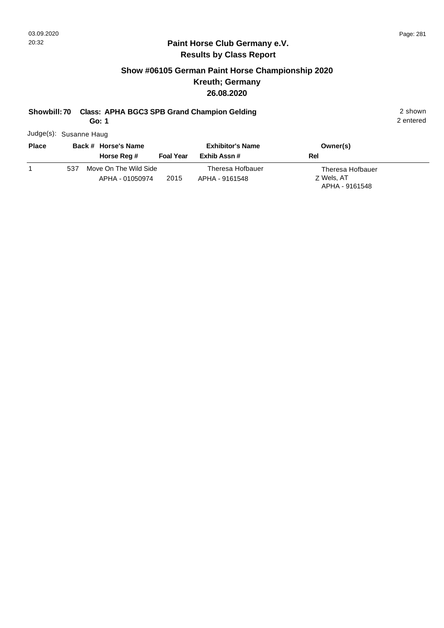#### **Paint Horse Club Germany e.V. Results by Class Report**

## **Show #06105 German Paint Horse Championship 2020 Kreuth; Germany 26.08.2020**

# **Showbill: 70 Class: APHA BGC3 SPB Grand Champion Gelding** 2 shown 2 shown

**Go: 1**

Judge(s): Susanne Haug

| <b>Place</b> | Back # Horse's Name                             |                  | <b>Exhibitor's Name</b>            | Owner(s)                                         |
|--------------|-------------------------------------------------|------------------|------------------------------------|--------------------------------------------------|
|              | Horse Reg #                                     | <b>Foal Year</b> | Exhib Assn #                       | Rel                                              |
|              | Move On The Wild Side<br>537<br>APHA - 01050974 | 2015             | Theresa Hofbauer<br>APHA - 9161548 | Theresa Hofbauer<br>Z Wels, AT<br>APHA - 9161548 |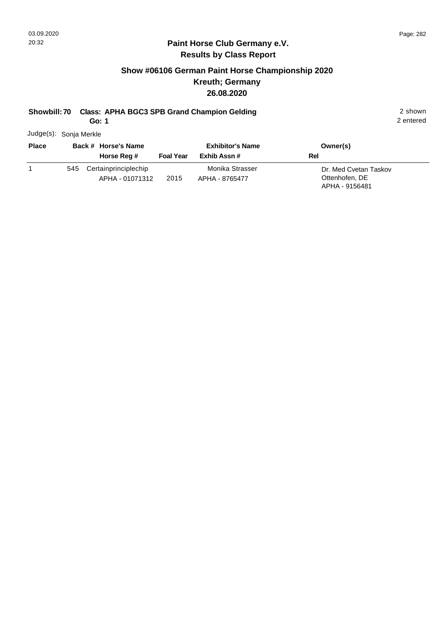#### **Paint Horse Club Germany e.V. Results by Class Report**

## **Show #06106 German Paint Horse Championship 2020 Kreuth; Germany 26.08.2020**

# **Showbill: 70 Class: APHA BGC3 SPB Grand Champion Gelding** 2 shown 2 shown

**Go: 1**

Judge(s): Sonja Merkle

| <b>Place</b> | Back # Horse's Name<br>Horse Reg #          | <b>Foal Year</b> | <b>Exhibitor's Name</b><br>Exhib Assn # | Owner(s)<br>Rel                                           |
|--------------|---------------------------------------------|------------------|-----------------------------------------|-----------------------------------------------------------|
|              | 545 Certainprinciplechip<br>APHA - 01071312 | 2015             | Monika Strasser<br>APHA - 8765477       | Dr. Med Cvetan Taskov<br>Ottenhofen, DE<br>APHA - 9156481 |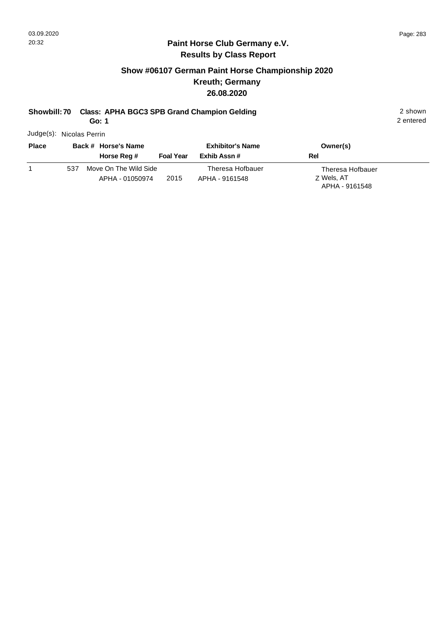#### **Paint Horse Club Germany e.V. Results by Class Report**

## **Show #06107 German Paint Horse Championship 2020 Kreuth; Germany 26.08.2020**

# **Showbill: 70 Class: APHA BGC3 SPB Grand Champion Gelding** 2 shown 2 shown

**Go: 1**

Judge(s): Nicolas Perrin

| <b>Place</b> | Back # Horse's Name                             |                  | <b>Exhibitor's Name</b>            | Owner(s)                                         |
|--------------|-------------------------------------------------|------------------|------------------------------------|--------------------------------------------------|
|              | Horse Reg #                                     | <b>Foal Year</b> | Exhib Assn #                       | Rel                                              |
|              | Move On The Wild Side<br>537<br>APHA - 01050974 | 2015             | Theresa Hofbauer<br>APHA - 9161548 | Theresa Hofbauer<br>Z Wels, AT<br>APHA - 9161548 |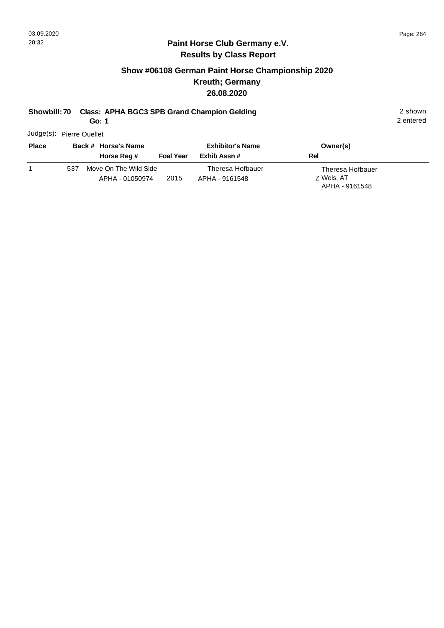#### **Paint Horse Club Germany e.V. Results by Class Report**

## **Show #06108 German Paint Horse Championship 2020 Kreuth; Germany 26.08.2020**

# **Showbill: 70 Class: APHA BGC3 SPB Grand Champion Gelding** 2 shown 2 shown

**Go: 1**

Judge(s): Pierre Ouellet

| <b>Place</b> | Back # Horse's Name                                     | <b>Exhibitor's Name</b>            | Owner(s)                                         |
|--------------|---------------------------------------------------------|------------------------------------|--------------------------------------------------|
|              | <b>Foal Year</b><br>Horse Reg #                         | Exhib Assn #                       | Rel                                              |
|              | Move On The Wild Side<br>537<br>2015<br>APHA - 01050974 | Theresa Hofbauer<br>APHA - 9161548 | Theresa Hofbauer<br>Z Wels, AT<br>APHA - 9161548 |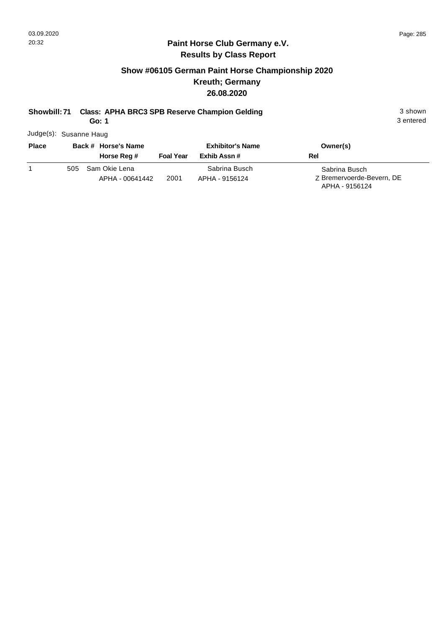#### **Paint Horse Club Germany e.V. Results by Class Report**

## **Show #06105 German Paint Horse Championship 2020 Kreuth; Germany 26.08.2020**

# **Showbill: 71 Class: APHA BRC3 SPB Reserve Champion Gelding 3 Shown 3 shown**

**Go: 1**

Judge(s): Susanne Haug

| <b>Place</b> | Back # Horse's Name<br>Horse Reg #      | <b>Foal Year</b> | <b>Exhibitor's Name</b><br>Exhib Assn # | Owner(s)<br>Rel                                              |
|--------------|-----------------------------------------|------------------|-----------------------------------------|--------------------------------------------------------------|
|              | Sam Okie Lena<br>505<br>APHA - 00641442 | 2001             | Sabrina Busch<br>APHA - 9156124         | Sabrina Busch<br>Z Bremervoerde-Bevern, DE<br>APHA - 9156124 |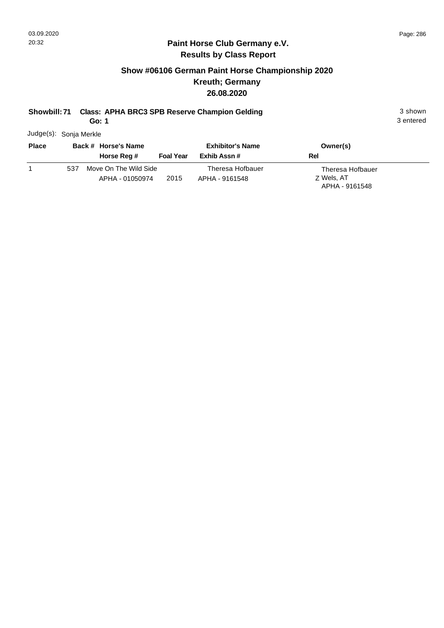#### **Paint Horse Club Germany e.V. Results by Class Report**

## **Show #06106 German Paint Horse Championship 2020 Kreuth; Germany 26.08.2020**

# **Showbill: 71 Class: APHA BRC3 SPB Reserve Champion Gelding 3 Shown 3 shown**

**Go: 1**

Judge(s): Sonja Merkle

| <b>Place</b> |     | Back # Horse's Name<br>Horse Reg #       | <b>Foal Year</b> | <b>Exhibitor's Name</b><br>Exhib Assn # | Owner(s)<br><b>Rel</b>                           |
|--------------|-----|------------------------------------------|------------------|-----------------------------------------|--------------------------------------------------|
|              | 537 | Move On The Wild Side<br>APHA - 01050974 | 2015             | Theresa Hofbauer<br>APHA - 9161548      | Theresa Hofbauer<br>Z Wels, AT<br>APHA - 9161548 |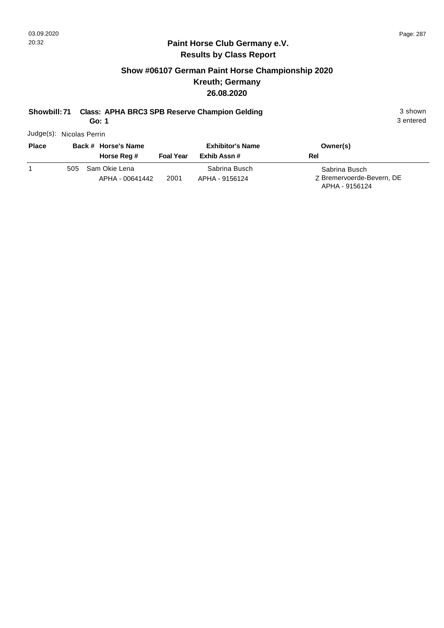## **Show #06107 German Paint Horse Championship 2020 Kreuth; Germany 26.08.2020**

# **Showbill: 71 Class: APHA BRC3 SPB Reserve Champion Gelding 3 Shown 3 shown**

**Go: 1**

3 entered

Judge(s): Nicolas Perrin

| <b>Place</b> | Back # Horse's Name                     |                  | <b>Exhibitor's Name</b>         | Owner(s)                                                     |
|--------------|-----------------------------------------|------------------|---------------------------------|--------------------------------------------------------------|
|              | Horse Reg #                             | <b>Foal Year</b> | Exhib Assn #                    | Rel                                                          |
|              | Sam Okie Lena<br>505<br>APHA - 00641442 | 2001             | Sabrina Busch<br>APHA - 9156124 | Sabrina Busch<br>Z Bremervoerde-Bevern, DE<br>APHA - 9156124 |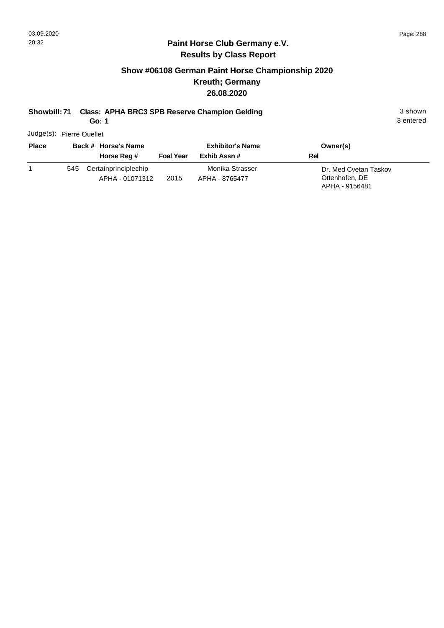#### **Paint Horse Club Germany e.V. Results by Class Report**

## **Show #06108 German Paint Horse Championship 2020 Kreuth; Germany 26.08.2020**

# **Showbill: 71 Class: APHA BRC3 SPB Reserve Champion Gelding** 3 shown 3 shown

**Go: 1**

Judge(s): Pierre Ouellet

| <b>Place</b> | Back # Horse's Name<br>Horse Reg # |                                         | <b>Foal Year</b> | <b>Exhibitor's Name</b><br>Exhib Assn # | Owner(s)<br>Rel                                           |
|--------------|------------------------------------|-----------------------------------------|------------------|-----------------------------------------|-----------------------------------------------------------|
|              | 545                                | Certainprinciplechip<br>APHA - 01071312 | 2015             | Monika Strasser<br>APHA - 8765477       | Dr. Med Cvetan Taskov<br>Ottenhofen, DE<br>APHA - 9156481 |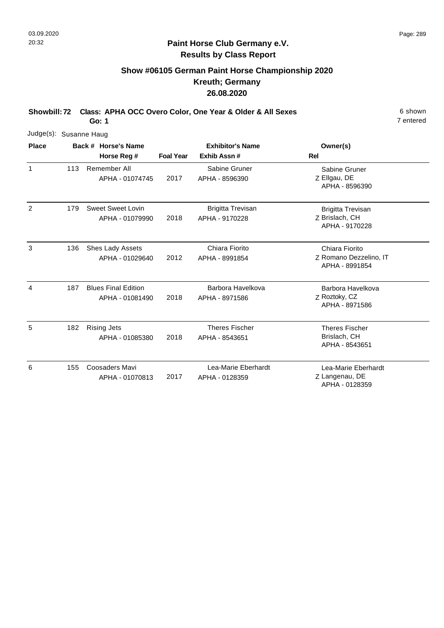7 entered

### **Paint Horse Club Germany e.V. Results by Class Report**

# **Show #06105 German Paint Horse Championship 2020 Kreuth; Germany 26.08.2020**

**Showbill: 72 Class: APHA OCC Overo Color, One Year & Older & All Sexes** 6 shown

|                | Judge(s): Susanne Haug |             |                                               |                         |                                            |                                                              |  |  |  |  |
|----------------|------------------------|-------------|-----------------------------------------------|-------------------------|--------------------------------------------|--------------------------------------------------------------|--|--|--|--|
| <b>Place</b>   |                        |             | Back # Horse's Name                           | <b>Exhibitor's Name</b> |                                            | Owner(s)                                                     |  |  |  |  |
|                |                        | Horse Reg # |                                               | <b>Foal Year</b>        | Exhib Assn#                                | <b>Rel</b>                                                   |  |  |  |  |
| $\mathbf{1}$   | 113                    |             | Remember All<br>APHA - 01074745               | 2017                    | Sabine Gruner<br>APHA - 8596390            | Sabine Gruner<br>Z Ellgau, DE<br>APHA - 8596390              |  |  |  |  |
| $\overline{2}$ | 179                    |             | <b>Sweet Sweet Lovin</b><br>APHA - 01079990   | 2018                    | <b>Brigitta Trevisan</b><br>APHA - 9170228 | <b>Brigitta Trevisan</b><br>Z Brislach, CH<br>APHA - 9170228 |  |  |  |  |
| 3              | 136                    |             | Shes Lady Assets<br>APHA - 01029640           | 2012                    | Chiara Fiorito<br>APHA - 8991854           | Chiara Fiorito<br>Z Romano Dezzelino, IT<br>APHA - 8991854   |  |  |  |  |
| 4              | 187                    |             | <b>Blues Final Edition</b><br>APHA - 01081490 | 2018                    | Barbora Havelkova<br>APHA - 8971586        | Barbora Havelkova<br>Z Roztoky, CZ<br>APHA - 8971586         |  |  |  |  |
| 5              | 182                    |             | <b>Rising Jets</b><br>APHA - 01085380         | 2018                    | <b>Theres Fischer</b><br>APHA - 8543651    | <b>Theres Fischer</b><br>Brislach, CH<br>APHA - 8543651      |  |  |  |  |
| 6              | 155                    |             | <b>Coosaders Mavi</b><br>APHA - 01070813      | 2017                    | Lea-Marie Eberhardt<br>APHA - 0128359      | Lea-Marie Eberhardt<br>Z Langenau, DE<br>APHA - 0128359      |  |  |  |  |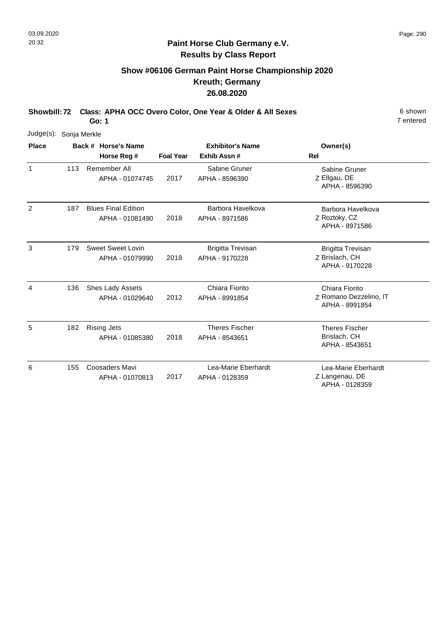7 entered

## **Paint Horse Club Germany e.V. Results by Class Report**

# **Show #06106 German Paint Horse Championship 2020 Kreuth; Germany 26.08.2020**

**Showbill: 72 Class: APHA OCC Overo Color, One Year & Older & All Sexes** 6 shown

| Judge(s):    | Sonja Merkle |                                               |                                                                          |                                            |                                                              |  |  |  |  |  |  |
|--------------|--------------|-----------------------------------------------|--------------------------------------------------------------------------|--------------------------------------------|--------------------------------------------------------------|--|--|--|--|--|--|
| <b>Place</b> |              | Back # Horse's Name                           | <b>Exhibitor's Name</b>                                                  |                                            | Owner(s)                                                     |  |  |  |  |  |  |
|              |              | Horse Reg #                                   | <b>Foal Year</b>                                                         | Exhib Assn#                                | Rel                                                          |  |  |  |  |  |  |
| 1            | 113          | Remember All<br>APHA - 01074745               | Sabine Gruner<br>Sabine Gruner<br>Z Ellgau, DE<br>2017<br>APHA - 8596390 | APHA - 8596390                             |                                                              |  |  |  |  |  |  |
| 2            | 187          | <b>Blues Final Edition</b><br>APHA - 01081490 | 2018                                                                     | Barbora Havelkova<br>APHA - 8971586        | Barbora Havelkova<br>Z Roztoky, CZ<br>APHA - 8971586         |  |  |  |  |  |  |
| 3            | 179          | <b>Sweet Sweet Lovin</b><br>APHA - 01079990   | 2018                                                                     | <b>Brigitta Trevisan</b><br>APHA - 9170228 | <b>Brigitta Trevisan</b><br>Z Brislach, CH<br>APHA - 9170228 |  |  |  |  |  |  |
| 4            | 136          | Shes Lady Assets<br>APHA - 01029640           | 2012                                                                     | Chiara Fiorito<br>APHA - 8991854           | Chiara Fiorito<br>Z Romano Dezzelino, IT<br>APHA - 8991854   |  |  |  |  |  |  |
| 5            | 182          | <b>Rising Jets</b><br>APHA - 01085380         | 2018                                                                     | <b>Theres Fischer</b><br>APHA - 8543651    | <b>Theres Fischer</b><br>Brislach, CH<br>APHA - 8543651      |  |  |  |  |  |  |
| 6            | 155          | Coosaders Mavi<br>APHA - 01070813             | 2017                                                                     | Lea-Marie Eberhardt<br>APHA - 0128359      | Lea-Marie Eberhardt<br>Z Langenau, DE<br>APHA - 0128359      |  |  |  |  |  |  |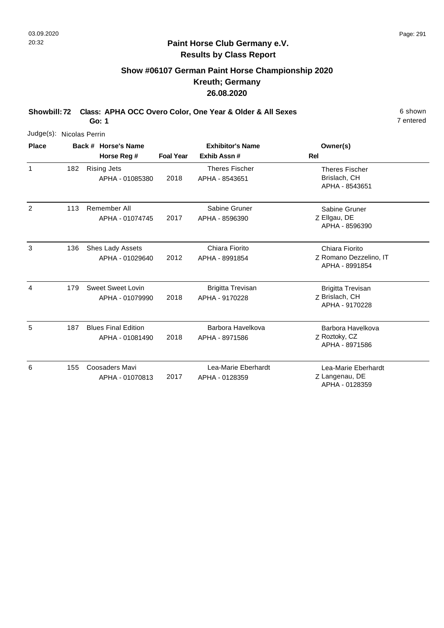# **Show #06107 German Paint Horse Championship 2020 Kreuth; Germany 26.08.2020**

**Showbill: 72 Class: APHA OCC Overo Color, One Year & Older & All Sexes** 6 shown

**Go: 1**

| Judge(s):    | Nicolas Perrin |                                               |                  |                                            |                                                              |
|--------------|----------------|-----------------------------------------------|------------------|--------------------------------------------|--------------------------------------------------------------|
| <b>Place</b> |                | Back # Horse's Name                           |                  | <b>Exhibitor's Name</b>                    | Owner(s)                                                     |
|              |                | Horse Reg #                                   | <b>Foal Year</b> | Exhib Assn#                                | <b>Rel</b>                                                   |
| 1            | 182            | <b>Rising Jets</b><br>APHA - 01085380         | 2018             | <b>Theres Fischer</b><br>APHA - 8543651    | <b>Theres Fischer</b><br>Brislach, CH<br>APHA - 8543651      |
| 2            | 113            | Remember All<br>APHA - 01074745               | 2017             | Sabine Gruner<br>APHA - 8596390            | Sabine Gruner<br>Z Ellgau, DE<br>APHA - 8596390              |
| 3            | 136            | Shes Lady Assets<br>APHA - 01029640           | 2012             | Chiara Fiorito<br>APHA - 8991854           | Chiara Fiorito<br>Z Romano Dezzelino, IT<br>APHA - 8991854   |
| 4            | 179            | <b>Sweet Sweet Lovin</b><br>APHA - 01079990   | 2018             | <b>Brigitta Trevisan</b><br>APHA - 9170228 | <b>Brigitta Trevisan</b><br>Z Brislach, CH<br>APHA - 9170228 |
| 5            | 187            | <b>Blues Final Edition</b><br>APHA - 01081490 | 2018             | Barbora Havelkova<br>APHA - 8971586        | Barbora Havelkova<br>Z Roztoky, CZ<br>APHA - 8971586         |
| 6            | 155            | Coosaders Mavi<br>APHA - 01070813             | 2017             | Lea-Marie Eberhardt<br>APHA - 0128359      | Lea-Marie Eberhardt<br>Z Langenau, DE<br>APHA - 0128359      |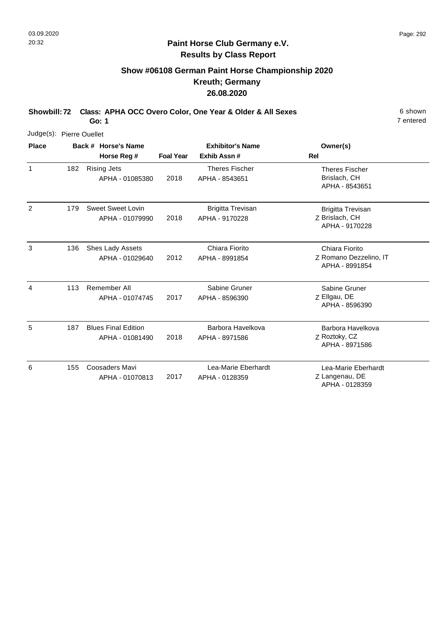# **Show #06108 German Paint Horse Championship 2020 Kreuth; Germany 26.08.2020**

**Showbill: 72 Class: APHA OCC Overo Color, One Year & Older & All Sexes** 6 shown

**Go: 1**

| Judge(s): Pierre Ouellet |     |                                               |                         |                                            |                                                              |
|--------------------------|-----|-----------------------------------------------|-------------------------|--------------------------------------------|--------------------------------------------------------------|
| <b>Place</b>             |     | Back # Horse's Name                           | <b>Exhibitor's Name</b> |                                            | Owner(s)                                                     |
|                          |     | Horse Reg #                                   | <b>Foal Year</b>        | Exhib Assn#                                | Rel                                                          |
| $\mathbf{1}$             | 182 | <b>Rising Jets</b><br>APHA - 01085380         | 2018                    | <b>Theres Fischer</b><br>APHA - 8543651    | <b>Theres Fischer</b><br>Brislach, CH<br>APHA - 8543651      |
| 2                        | 179 | <b>Sweet Sweet Lovin</b><br>APHA - 01079990   | 2018                    | <b>Brigitta Trevisan</b><br>APHA - 9170228 | <b>Brigitta Trevisan</b><br>Z Brislach, CH<br>APHA - 9170228 |
| 3                        | 136 | Shes Lady Assets<br>APHA - 01029640           | 2012                    | Chiara Fiorito<br>APHA - 8991854           | Chiara Fiorito<br>Z Romano Dezzelino, IT<br>APHA - 8991854   |
| 4                        | 113 | Remember All<br>APHA - 01074745               | 2017                    | Sabine Gruner<br>APHA - 8596390            | Sabine Gruner<br>Z Ellgau, DE<br>APHA - 8596390              |
| 5                        | 187 | <b>Blues Final Edition</b><br>APHA - 01081490 | 2018                    | Barbora Havelkova<br>APHA - 8971586        | Barbora Havelkova<br>Z Roztoky, CZ<br>APHA - 8971586         |
| 6                        | 155 | Coosaders Mavi<br>APHA - 01070813             | 2017                    | Lea-Marie Eberhardt<br>APHA - 0128359      | Lea-Marie Eberhardt<br>Z Langenau, DE<br>APHA - 0128359      |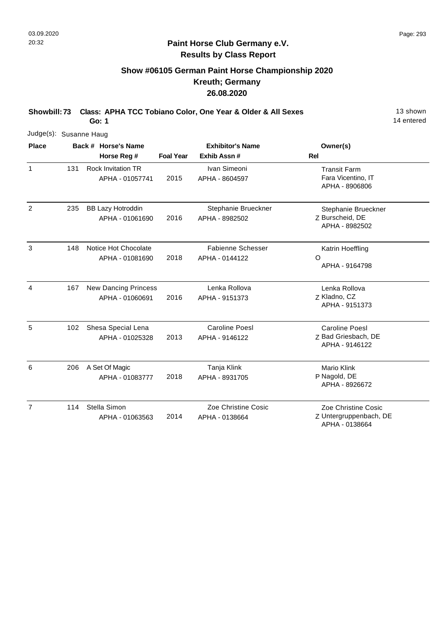# **Show #06105 German Paint Horse Championship 2020 Kreuth; Germany 26.08.2020**

**Showbill: 73 Class: APHA TCC Tobiano Color, One Year & Older & All Sexes** 13 shown **Go: 1**

14 entered

| Judge(s): Susanne Haug |     |                                                |                  |                                            |                                                                |
|------------------------|-----|------------------------------------------------|------------------|--------------------------------------------|----------------------------------------------------------------|
| <b>Place</b>           |     | Back # Horse's Name<br>Horse Reg #             | <b>Foal Year</b> | <b>Exhibitor's Name</b><br>Exhib Assn#     | Owner(s)<br>Rel                                                |
| $\mathbf{1}$           | 131 | <b>Rock Invitation TR</b><br>APHA - 01057741   | 2015             | Ivan Simeoni<br>APHA - 8604597             | <b>Transit Farm</b><br>Fara Vicentino, IT<br>APHA - 8906806    |
| $\overline{2}$         | 235 | <b>BB Lazy Hotroddin</b><br>APHA - 01061690    | 2016             | Stephanie Brueckner<br>APHA - 8982502      | Stephanie Brueckner<br>Z Burscheid, DE<br>APHA - 8982502       |
| 3                      | 148 | Notice Hot Chocolate<br>APHA - 01081690        | 2018             | <b>Fabienne Schesser</b><br>APHA - 0144122 | Katrin Hoeffling<br>O<br>APHA - 9164798                        |
| 4                      | 167 | <b>New Dancing Princess</b><br>APHA - 01060691 | 2016             | Lenka Rollova<br>APHA - 9151373            | Lenka Rollova<br>Z Kladno, CZ<br>APHA - 9151373                |
| 5                      | 102 | Shesa Special Lena<br>APHA - 01025328          | 2013             | <b>Caroline Poesl</b><br>APHA - 9146122    | <b>Caroline Poesl</b><br>Z Bad Griesbach, DE<br>APHA - 9146122 |
| 6                      | 206 | A Set Of Magic<br>APHA - 01083777              | 2018             | Tanja Klink<br>APHA - 8931705              | <b>Mario Klink</b><br>P Nagold, DE<br>APHA - 8926672           |
| $\overline{7}$         | 114 | Stella Simon<br>APHA - 01063563                | 2014             | Zoe Christine Cosic<br>APHA - 0138664      | Zoe Christine Cosic<br>Z Untergruppenbach, DE                  |

APHA - 0138664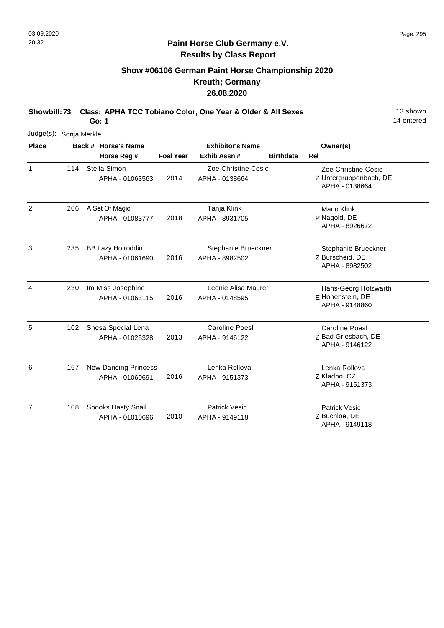14 entered

### **Paint Horse Club Germany e.V. Results by Class Report**

# **Show #06106 German Paint Horse Championship 2020 Kreuth; Germany 26.08.2020**

**Showbill: 73 Class: APHA TCC Tobiano Color, One Year & Older & All Sexes** 13 shown **Go: 1**

|                | Judge(s): Sonja Merkle |  |                                 |                         |                                       |                  |                                               |  |  |  |
|----------------|------------------------|--|---------------------------------|-------------------------|---------------------------------------|------------------|-----------------------------------------------|--|--|--|
| <b>Place</b>   |                        |  | Back # Horse's Name             | <b>Exhibitor's Name</b> |                                       |                  | Owner(s)                                      |  |  |  |
|                |                        |  | Horse Reg #                     | <b>Foal Year</b>        | Exhib Assn#                           | <b>Birthdate</b> | <b>Rel</b>                                    |  |  |  |
| $\mathbf{1}$   | 114                    |  | Stella Simon<br>APHA - 01063563 | 2014                    | Zoe Christine Cosic<br>APHA - 0138664 |                  | Zoe Christine Cosic<br>Z Untergruppenbach, DE |  |  |  |
|                |                        |  |                                 |                         |                                       |                  | APHA - 0138664                                |  |  |  |
| 2              | 206                    |  | A Set Of Magic                  |                         | Tanja Klink                           |                  | <b>Mario Klink</b>                            |  |  |  |
|                |                        |  | APHA - 01083777                 | 2018                    | APHA - 8931705                        |                  | P Nagold, DE<br>APHA - 8926672                |  |  |  |
| 3              | 235                    |  | <b>BB Lazy Hotroddin</b>        |                         | Stephanie Brueckner                   |                  | Stephanie Brueckner                           |  |  |  |
|                |                        |  | APHA - 01061690                 | 2016                    | APHA - 8982502                        |                  | Z Burscheid, DE<br>APHA - 8982502             |  |  |  |
| 4              | 230                    |  | Im Miss Josephine               |                         | Leonie Alisa Maurer                   |                  | Hans-Georg Holzwarth                          |  |  |  |
|                |                        |  | APHA - 01063115                 | 2016                    | APHA - 0148595                        |                  | E Hohenstein, DE<br>APHA - 9148860            |  |  |  |
| 5              | 102                    |  | Shesa Special Lena              |                         | <b>Caroline Poesl</b>                 |                  | <b>Caroline Poesl</b>                         |  |  |  |
|                |                        |  | APHA - 01025328                 | 2013                    | APHA - 9146122                        |                  | Z Bad Griesbach, DE<br>APHA - 9146122         |  |  |  |
| 6              | 167                    |  | <b>New Dancing Princess</b>     |                         | Lenka Rollova                         |                  | Lenka Rollova                                 |  |  |  |
|                |                        |  | APHA - 01060691                 | 2016                    | APHA - 9151373                        |                  | Z Kladno, CZ<br>APHA - 9151373                |  |  |  |
| $\overline{7}$ | 108                    |  | Spooks Hasty Snail              |                         | <b>Patrick Vesic</b>                  |                  | <b>Patrick Vesic</b>                          |  |  |  |
|                |                        |  | APHA - 01010696                 | 2010                    | APHA - 9149118                        |                  | Z Buchloe, DE<br>APHA - 9149118               |  |  |  |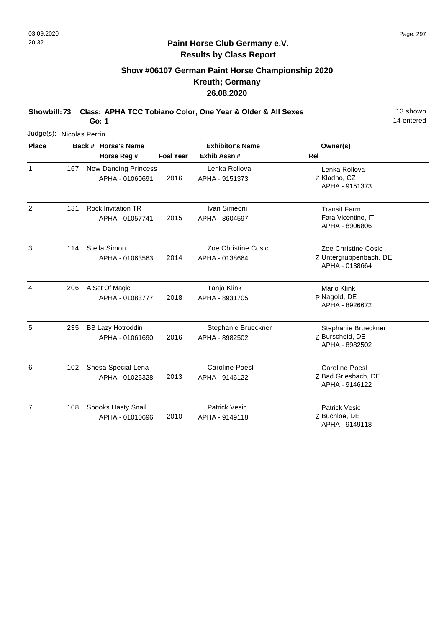# **Show #06107 German Paint Horse Championship 2020 Kreuth; Germany 26.08.2020**

**Showbill: 73 Class: APHA TCC Tobiano Color, One Year & Older & All Sexes** 13 shown **Go: 1**

14 entered

| Judge(s): Nicolas Perrin |     |                                                |                         |                                         |                                                                 |
|--------------------------|-----|------------------------------------------------|-------------------------|-----------------------------------------|-----------------------------------------------------------------|
| <b>Place</b>             |     | Back # Horse's Name                            | <b>Exhibitor's Name</b> |                                         | Owner(s)                                                        |
|                          |     | Horse Reg #                                    | <b>Foal Year</b>        | Exhib Assn #                            | <b>Rel</b>                                                      |
| $\mathbf{1}$             | 167 | <b>New Dancing Princess</b><br>APHA - 01060691 | 2016                    | Lenka Rollova<br>APHA - 9151373         | Lenka Rollova<br>Z Kladno, CZ<br>APHA - 9151373                 |
| $\overline{2}$           | 131 | <b>Rock Invitation TR</b><br>APHA - 01057741   | 2015                    | Ivan Simeoni<br>APHA - 8604597          | <b>Transit Farm</b><br>Fara Vicentino, IT<br>APHA - 8906806     |
| 3                        | 114 | Stella Simon<br>APHA - 01063563                | 2014                    | Zoe Christine Cosic<br>APHA - 0138664   | Zoe Christine Cosic<br>Z Untergruppenbach, DE<br>APHA - 0138664 |
| 4                        | 206 | A Set Of Magic<br>APHA - 01083777              | 2018                    | Tanja Klink<br>APHA - 8931705           | <b>Mario Klink</b><br>P Nagold, DE<br>APHA - 8926672            |
| 5                        | 235 | <b>BB Lazy Hotroddin</b><br>APHA - 01061690    | 2016                    | Stephanie Brueckner<br>APHA - 8982502   | Stephanie Brueckner<br>Z Burscheid, DE<br>APHA - 8982502        |
| 6                        | 102 | Shesa Special Lena<br>APHA - 01025328          | 2013                    | <b>Caroline Poesl</b><br>APHA - 9146122 | <b>Caroline Poesl</b><br>Z Bad Griesbach, DE<br>APHA - 9146122  |
| $\overline{7}$           | 108 | Spooks Hasty Snail<br>APHA - 01010696          | 2010                    | <b>Patrick Vesic</b><br>APHA - 9149118  | <b>Patrick Vesic</b><br>Z Buchloe, DE                           |

Z Buchloe, DE APHA - 9149118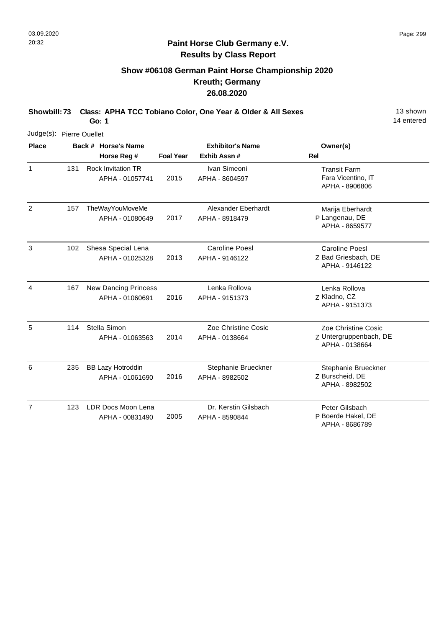# **Show #06108 German Paint Horse Championship 2020 Kreuth; Germany 26.08.2020**

**Showbill: 73 Class: APHA TCC Tobiano Color, One Year & Older & All Sexes** 13 shown **Go: 1**

14 entered

| Judge(s): Pierre Ouellet |     |                                                |                  |                                         |                                                                 |
|--------------------------|-----|------------------------------------------------|------------------|-----------------------------------------|-----------------------------------------------------------------|
| <b>Place</b>             |     | Back # Horse's Name<br>Horse Reg #             | <b>Foal Year</b> | <b>Exhibitor's Name</b><br>Exhib Assn#  | Owner(s)<br>Rel                                                 |
| $\mathbf{1}$             | 131 | <b>Rock Invitation TR</b><br>APHA - 01057741   | 2015             | Ivan Simeoni<br>APHA - 8604597          | <b>Transit Farm</b><br>Fara Vicentino, IT<br>APHA - 8906806     |
| $\overline{2}$           | 157 | TheWayYouMoveMe<br>APHA - 01080649             | 2017             | Alexander Eberhardt<br>APHA - 8918479   | Marija Eberhardt<br>P Langenau, DE<br>APHA - 8659577            |
| 3                        | 102 | Shesa Special Lena<br>APHA - 01025328          | 2013             | <b>Caroline Poesl</b><br>APHA - 9146122 | <b>Caroline Poesl</b><br>Z Bad Griesbach, DE<br>APHA - 9146122  |
| $\overline{4}$           | 167 | <b>New Dancing Princess</b><br>APHA - 01060691 | 2016             | Lenka Rollova<br>APHA - 9151373         | Lenka Rollova<br>Z Kladno, CZ<br>APHA - 9151373                 |
| 5                        | 114 | Stella Simon<br>APHA - 01063563                | 2014             | Zoe Christine Cosic<br>APHA - 0138664   | Zoe Christine Cosic<br>Z Untergruppenbach, DE<br>APHA - 0138664 |
| 6                        | 235 | <b>BB Lazy Hotroddin</b><br>APHA - 01061690    | 2016             | Stephanie Brueckner<br>APHA - 8982502   | Stephanie Brueckner<br>Z Burscheid, DE<br>APHA - 8982502        |
| $\overline{7}$           | 123 | LDR Docs Moon Lena<br>APHA - 00831490          | 2005             | Dr. Kerstin Gilsbach<br>APHA - 8590844  | Peter Gilsbach<br>P Boerde Hakel, DE                            |

P Boerde Hakel, DE APHA - 8686789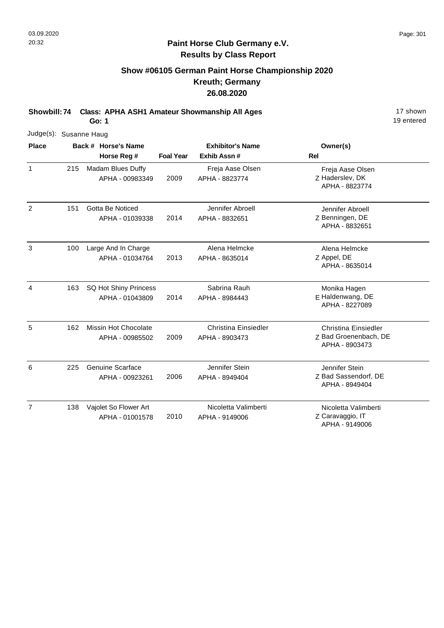# **Show #06105 German Paint Horse Championship 2020 Kreuth; Germany 26.08.2020**

**Showbill: 74 Class: APHA ASH1 Amateur Showmanship All Ages** 17 shown

**Go: 1**

| Judge(s): Susanne Haug |     |                                            |                  |                                               |                                                                        |
|------------------------|-----|--------------------------------------------|------------------|-----------------------------------------------|------------------------------------------------------------------------|
| <b>Place</b>           |     | Back # Horse's Name<br>Horse Reg #         | <b>Foal Year</b> | <b>Exhibitor's Name</b><br>Exhib Assn#        | Owner(s)<br>Rel                                                        |
| $\mathbf{1}$           | 215 | Madam Blues Duffy<br>APHA - 00983349       | 2009             | Freja Aase Olsen<br>APHA - 8823774            | Freja Aase Olsen<br>Z Haderslev, DK<br>APHA - 8823774                  |
| $\overline{2}$         | 151 | Gotta Be Noticed<br>APHA - 01039338        | 2014             | Jennifer Abroell<br>APHA - 8832651            | Jennifer Abroell<br>Z Benningen, DE<br>APHA - 8832651                  |
| $\mathbf{3}$           | 100 | Large And In Charge<br>APHA - 01034764     | 2013             | Alena Helmcke<br>APHA - 8635014               | Alena Helmcke<br>Z Appel, DE<br>APHA - 8635014                         |
| $\overline{4}$         | 163 | SQ Hot Shiny Princess<br>APHA - 01043809   | 2014             | Sabrina Rauh<br>APHA - 8984443                | Monika Hagen<br>E Haldenwang, DE<br>APHA - 8227089                     |
| 5                      | 162 | Missin Hot Chocolate<br>APHA - 00985502    | 2009             | <b>Christina Einsiedler</b><br>APHA - 8903473 | <b>Christina Einsiedler</b><br>Z Bad Groenenbach, DE<br>APHA - 8903473 |
| 6                      | 225 | <b>Genuine Scarface</b><br>APHA - 00923261 | 2006             | Jennifer Stein<br>APHA - 8949404              | Jennifer Stein<br>Z Bad Sassendorf, DE<br>APHA - 8949404               |
| $\overline{7}$         | 138 | Vajolet So Flower Art<br>APHA - 01001578   | 2010             | Nicoletta Valimberti<br>APHA - 9149006        | Nicoletta Valimberti<br>Z Caravaggio, IT<br>APHA - 9149006             |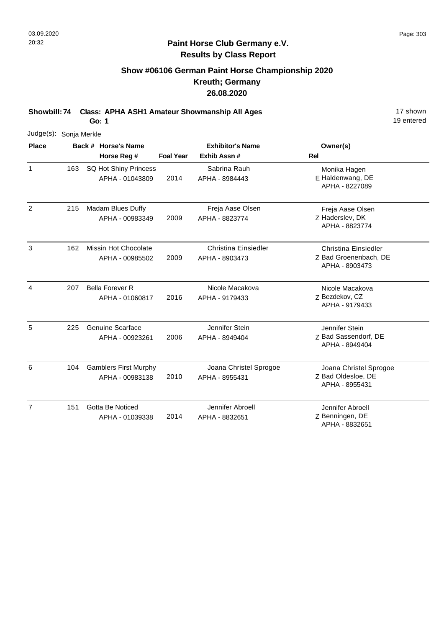19 entered

#### **Paint Horse Club Germany e.V. Results by Class Report**

### **Show #06106 German Paint Horse Championship 2020 Kreuth; Germany 26.08.2020**

**Showbill: 74 Class: APHA ASH1 Amateur Showmanship All Ages** 17 shown

**Go: 1**

Judge(s): Sonja Merkle **Back # Horse's Name Place Owner(s) Horse Reg # Exhib Assn # Foal Year Rel Exhibitor's Name** 1 E Haldenwang, DE Monika Hagen APHA - 8227089 2014 SQ Hot Shiny Princess APHA - 01043809 Sabrina Rauh APHA - 8984443 163 2 Z Haderslev, DK Freja Aase Olsen APHA - 8823774 2009 Madam Blues Duffy APHA - 00983349 Freja Aase Olsen APHA - 8823774 215 3 Z Bad Groenenbach, DE Christina Einsiedler APHA - 8903473 2009 Missin Hot Chocolate APHA - 00985502 Christina Einsiedler APHA - 8903473 162 4 Z Bezdekov, CZ Nicole Macakova APHA - 9179433 2016 Bella Forever R APHA - 01060817 Nicole Macakova APHA - 9179433 207 5 Z Bad Sassendorf, DE Jennifer Stein APHA - 8949404 2006 225 Genuine Scarface APHA - 00923261 Jennifer Stein APHA - 8949404 6 Z Bad Oldesloe, DE Joana Christel Sprogoe APHA - 8955431 2010 Gamblers First Murphy APHA - 00983138 Joana Christel Sprogoe APHA - 8955431 104 7 Z Benningen, DE Jennifer Abroell APHA - 8832651 2014 Gotta Be Noticed APHA - 01039338 Jennifer Abroell APHA - 8832651 151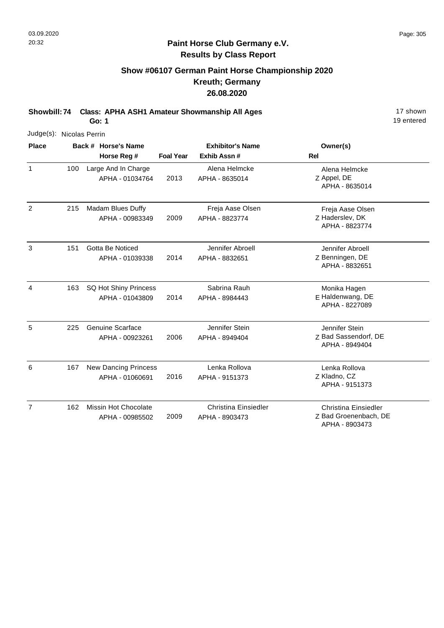# **Show #06107 German Paint Horse Championship 2020 Kreuth; Germany 26.08.2020**

**Showbill: 74 Class: APHA ASH1 Amateur Showmanship All Ages** 17 shown

**Go: 1**

| Judge(s): Nicolas Perrin |     |                                                |                  |                                               |                                                                        |
|--------------------------|-----|------------------------------------------------|------------------|-----------------------------------------------|------------------------------------------------------------------------|
| <b>Place</b>             |     | Back # Horse's Name                            | <b>Foal Year</b> | <b>Exhibitor's Name</b><br>Exhib Assn #       | Owner(s)<br><b>Rel</b>                                                 |
|                          |     | Horse Reg #                                    |                  |                                               |                                                                        |
| $\mathbf{1}$             | 100 | Large And In Charge<br>APHA - 01034764         | 2013             | Alena Helmcke<br>APHA - 8635014               | Alena Helmcke<br>Z Appel, DE<br>APHA - 8635014                         |
| $\overline{2}$           | 215 | Madam Blues Duffy<br>APHA - 00983349           | 2009             | Freja Aase Olsen<br>APHA - 8823774            | Freja Aase Olsen<br>Z Haderslev, DK<br>APHA - 8823774                  |
| 3                        | 151 | Gotta Be Noticed<br>APHA - 01039338            | 2014             | Jennifer Abroell<br>APHA - 8832651            | Jennifer Abroell<br>Z Benningen, DE<br>APHA - 8832651                  |
| 4                        | 163 | SQ Hot Shiny Princess<br>APHA - 01043809       | 2014             | Sabrina Rauh<br>APHA - 8984443                | Monika Hagen<br>E Haldenwang, DE<br>APHA - 8227089                     |
| 5                        | 225 | <b>Genuine Scarface</b><br>APHA - 00923261     | 2006             | Jennifer Stein<br>APHA - 8949404              | Jennifer Stein<br>Z Bad Sassendorf, DE<br>APHA - 8949404               |
| 6                        | 167 | <b>New Dancing Princess</b><br>APHA - 01060691 | 2016             | Lenka Rollova<br>APHA - 9151373               | Lenka Rollova<br>Z Kladno, CZ<br>APHA - 9151373                        |
| $\overline{7}$           | 162 | Missin Hot Chocolate<br>APHA - 00985502        | 2009             | <b>Christina Einsiedler</b><br>APHA - 8903473 | <b>Christina Einsiedler</b><br>Z Bad Groenenbach, DE<br>APHA - 8903473 |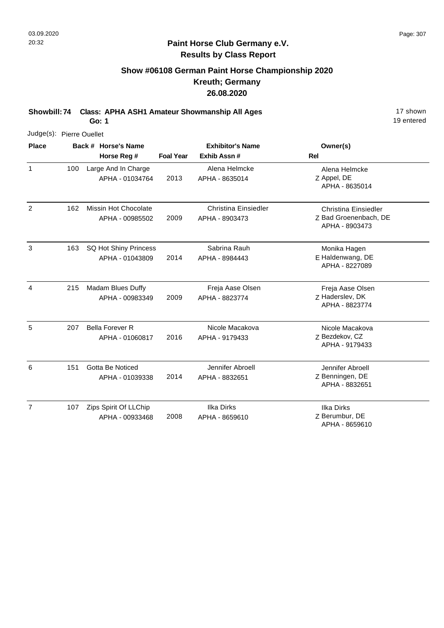1

2

4

5

6

7

19 entered

#### **Paint Horse Club Germany e.V. Results by Class Report**

### **Show #06108 German Paint Horse Championship 2020 Kreuth; Germany 26.08.2020**

**Showbill: 74 Class: APHA ASH1 Amateur Showmanship All Ages** 17 shown

**Go: 1**

Judge(s): Pierre Ouellet **Back # Horse's Name Place Owner(s) Horse Reg # Exhib Assn # Foal Year Rel Exhibitor's Name** Z Appel, DE Alena Helmcke APHA - 8635014 2013 Large And In Charge APHA - 01034764 Alena Helmcke APHA - 8635014 100 Z Bad Groenenbach, DE Christina Einsiedler APHA - 8903473 2009 162 Missin Hot Chocolate APHA - 00985502 Christina Einsiedler APHA - 8903473 3 E Haldenwang, DE Monika Hagen APHA - 8227089 2014 SQ Hot Shiny Princess APHA - 01043809 Sabrina Rauh APHA - 8984443 163 Z Haderslev, DK Freja Aase Olsen APHA - 8823774 2009 Madam Blues Duffy APHA - 00983349 Freja Aase Olsen APHA - 8823774 215 Z Bezdekov, CZ Nicole Macakova APHA - 9179433 2016 207 Bella Forever R APHA - 01060817 Nicole Macakova APHA - 9179433 Z Benningen, DE Jennifer Abroell APHA - 8832651 2014 Gotta Be Noticed APHA - 01039338 Jennifer Abroell APHA - 8832651 151 Z Berumbur, DE Ilka Dirks 2008 Zips Spirit Of LLChip APHA - 00933468 Ilka Dirks APHA - 8659610 107

APHA - 8659610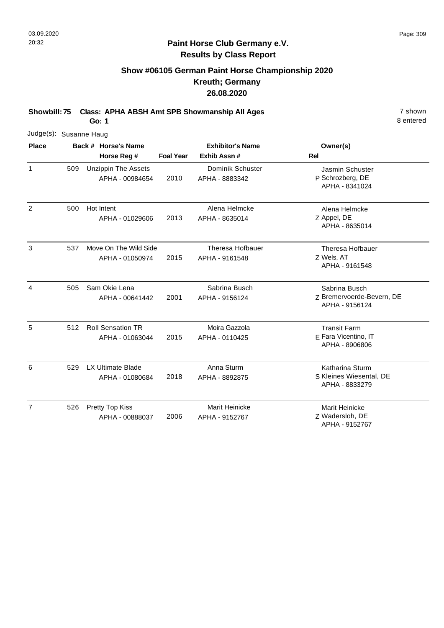8 entered

### **Paint Horse Club Germany e.V. Results by Class Report**

# **Show #06105 German Paint Horse Championship 2020 Kreuth; Germany 26.08.2020**

**Showbill: 75 Class: APHA ABSH Amt SPB Showmanship All Ages** 7 shown

| Judge(s): Susanne Haug |     |                     |                                               |                         |                                           |                                                               |
|------------------------|-----|---------------------|-----------------------------------------------|-------------------------|-------------------------------------------|---------------------------------------------------------------|
| <b>Place</b>           |     | Back # Horse's Name |                                               | <b>Exhibitor's Name</b> |                                           | Owner(s)                                                      |
|                        |     |                     | Horse Reg #                                   | <b>Foal Year</b>        | Exhib Assn #                              | <b>Rel</b>                                                    |
| $\mathbf{1}$           | 509 |                     | <b>Unzippin The Assets</b><br>APHA - 00984654 | 2010                    | Dominik Schuster<br>APHA - 8883342        | Jasmin Schuster<br>P Schrozberg, DE<br>APHA - 8341024         |
| 2                      | 500 |                     | Hot Intent<br>APHA - 01029606                 | 2013                    | Alena Helmcke<br>APHA - 8635014           | Alena Helmcke<br>Z Appel, DE<br>APHA - 8635014                |
| 3                      | 537 |                     | Move On The Wild Side<br>APHA - 01050974      | 2015                    | <b>Theresa Hofbauer</b><br>APHA - 9161548 | Theresa Hofbauer<br>Z Wels, AT<br>APHA - 9161548              |
| 4                      | 505 |                     | Sam Okie Lena<br>APHA - 00641442              | 2001                    | Sabrina Busch<br>APHA - 9156124           | Sabrina Busch<br>Z Bremervoerde-Bevern, DE<br>APHA - 9156124  |
| 5                      | 512 |                     | <b>Roll Sensation TR</b><br>APHA - 01063044   | 2015                    | Moira Gazzola<br>APHA - 0110425           | <b>Transit Farm</b><br>E Fara Vicentino, IT<br>APHA - 8906806 |
| 6                      | 529 |                     | <b>LX Ultimate Blade</b><br>APHA - 01080684   | 2018                    | Anna Sturm<br>APHA - 8892875              | Katharina Sturm<br>S Kleines Wiesental, DE<br>APHA - 8833279  |
| $\overline{7}$         | 526 |                     | Pretty Top Kiss<br>APHA - 00888037            | 2006                    | <b>Marit Heinicke</b><br>APHA - 9152767   | Marit Heinicke<br>Z Wadersloh, DE<br>APHA - 9152767           |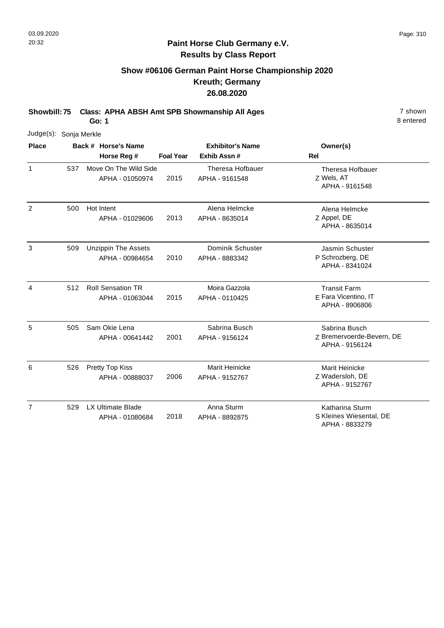8 entered

## **Paint Horse Club Germany e.V. Results by Class Report**

# **Show #06106 German Paint Horse Championship 2020 Kreuth; Germany 26.08.2020**

**Showbill: 75 Class: APHA ABSH Amt SPB Showmanship All Ages** 7 shown

| Judge(s): Sonja Merkle |     |                     |                                               |                         |                                           |                                                               |
|------------------------|-----|---------------------|-----------------------------------------------|-------------------------|-------------------------------------------|---------------------------------------------------------------|
| <b>Place</b>           |     | Back # Horse's Name |                                               | <b>Exhibitor's Name</b> |                                           | Owner(s)                                                      |
|                        |     |                     | Horse Reg #                                   | <b>Foal Year</b>        | Exhib Assn #                              | <b>Rel</b>                                                    |
| $\mathbf{1}$           | 537 |                     | Move On The Wild Side<br>APHA - 01050974      | 2015                    | <b>Theresa Hofbauer</b><br>APHA - 9161548 | Theresa Hofbauer<br>Z Wels, AT<br>APHA - 9161548              |
| 2                      | 500 |                     | Hot Intent<br>APHA - 01029606                 | 2013                    | Alena Helmcke<br>APHA - 8635014           | Alena Helmcke<br>Z Appel, DE<br>APHA - 8635014                |
| 3                      | 509 |                     | <b>Unzippin The Assets</b><br>APHA - 00984654 | 2010                    | Dominik Schuster<br>APHA - 8883342        | Jasmin Schuster<br>P Schrozberg, DE<br>APHA - 8341024         |
| 4                      | 512 |                     | <b>Roll Sensation TR</b><br>APHA - 01063044   | 2015                    | Moira Gazzola<br>APHA - 0110425           | <b>Transit Farm</b><br>E Fara Vicentino, IT<br>APHA - 8906806 |
| 5                      | 505 |                     | Sam Okie Lena<br>APHA - 00641442              | 2001                    | Sabrina Busch<br>APHA - 9156124           | Sabrina Busch<br>Z Bremervoerde-Bevern, DE<br>APHA - 9156124  |
| 6                      | 526 |                     | Pretty Top Kiss<br>APHA - 00888037            | 2006                    | Marit Heinicke<br>APHA - 9152767          | <b>Marit Heinicke</b><br>Z Wadersloh, DE<br>APHA - 9152767    |
| $\overline{7}$         | 529 |                     | <b>LX Ultimate Blade</b><br>APHA - 01080684   | 2018                    | Anna Sturm<br>APHA - 8892875              | Katharina Sturm<br>S Kleines Wiesental, DE<br>APHA - 8833279  |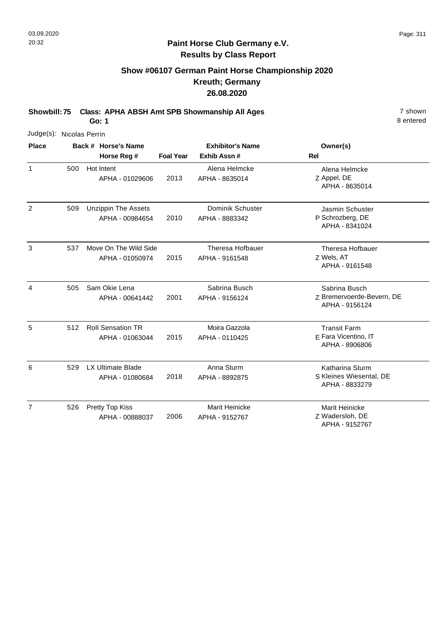# **Show #06107 German Paint Horse Championship 2020 Kreuth; Germany 26.08.2020**

**Showbill: 75 Class: APHA ABSH Amt SPB Showmanship All Ages** 7 shown

**Go: 1**

|                | Judge(s): Nicolas Perrin |  |                                               |                  |                                           |                                                               |  |  |  |  |
|----------------|--------------------------|--|-----------------------------------------------|------------------|-------------------------------------------|---------------------------------------------------------------|--|--|--|--|
| <b>Place</b>   |                          |  | Back # Horse's Name<br>Horse Reg #            | <b>Foal Year</b> | <b>Exhibitor's Name</b><br>Exhib Assn #   | Owner(s)<br>Rel                                               |  |  |  |  |
| $\mathbf{1}$   | 500                      |  | Hot Intent<br>APHA - 01029606                 | 2013             | Alena Helmcke<br>APHA - 8635014           | Alena Helmcke<br>Z Appel, DE<br>APHA - 8635014                |  |  |  |  |
| 2              | 509                      |  | <b>Unzippin The Assets</b><br>APHA - 00984654 | 2010             | Dominik Schuster<br>APHA - 8883342        | Jasmin Schuster<br>P Schrozberg, DE<br>APHA - 8341024         |  |  |  |  |
| 3              | 537                      |  | Move On The Wild Side<br>APHA - 01050974      | 2015             | <b>Theresa Hofbauer</b><br>APHA - 9161548 | <b>Theresa Hofbauer</b><br>Z Wels, AT<br>APHA - 9161548       |  |  |  |  |
| 4              | 505                      |  | Sam Okie Lena<br>APHA - 00641442              | 2001             | Sabrina Busch<br>APHA - 9156124           | Sabrina Busch<br>Z Bremervoerde-Bevern, DE<br>APHA - 9156124  |  |  |  |  |
| 5              | 512                      |  | <b>Roll Sensation TR</b><br>APHA - 01063044   | 2015             | Moira Gazzola<br>APHA - 0110425           | <b>Transit Farm</b><br>E Fara Vicentino, IT<br>APHA - 8906806 |  |  |  |  |
| 6              | 529                      |  | <b>LX Ultimate Blade</b><br>APHA - 01080684   | 2018             | Anna Sturm<br>APHA - 8892875              | Katharina Sturm<br>S Kleines Wiesental, DE<br>APHA - 8833279  |  |  |  |  |
| $\overline{7}$ | 526                      |  | Pretty Top Kiss<br>APHA - 00888037            | 2006             | Marit Heinicke<br>APHA - 9152767          | <b>Marit Heinicke</b><br>Z Wadersloh, DE<br>APHA - 9152767    |  |  |  |  |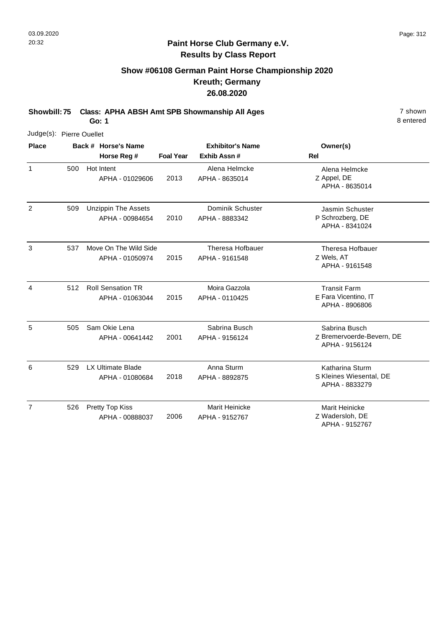# **Show #06108 German Paint Horse Championship 2020 Kreuth; Germany 26.08.2020**

**Showbill: 75 Class: APHA ABSH Amt SPB Showmanship All Ages** 7 shown

**Go: 1**

|                | Judge(s): Pierre Ouellet |  |                                               |                  |                                    |                                                               |  |  |  |  |
|----------------|--------------------------|--|-----------------------------------------------|------------------|------------------------------------|---------------------------------------------------------------|--|--|--|--|
| <b>Place</b>   |                          |  | Back # Horse's Name                           |                  | <b>Exhibitor's Name</b>            | Owner(s)                                                      |  |  |  |  |
|                |                          |  | Horse Reg #                                   | <b>Foal Year</b> | Exhib Assn#                        | <b>Rel</b>                                                    |  |  |  |  |
| $\mathbf{1}$   | 500                      |  | Hot Intent<br>APHA - 01029606                 | 2013             | Alena Helmcke<br>APHA - 8635014    | Alena Helmcke<br>Z Appel, DE<br>APHA - 8635014                |  |  |  |  |
| 2              | 509                      |  | <b>Unzippin The Assets</b><br>APHA - 00984654 | 2010             | Dominik Schuster<br>APHA - 8883342 | Jasmin Schuster<br>P Schrozberg, DE<br>APHA - 8341024         |  |  |  |  |
| 3              | 537                      |  | Move On The Wild Side<br>APHA - 01050974      | 2015             | Theresa Hofbauer<br>APHA - 9161548 | <b>Theresa Hofbauer</b><br>Z Wels, AT<br>APHA - 9161548       |  |  |  |  |
| 4              | 512                      |  | <b>Roll Sensation TR</b><br>APHA - 01063044   | 2015             | Moira Gazzola<br>APHA - 0110425    | <b>Transit Farm</b><br>E Fara Vicentino, IT<br>APHA - 8906806 |  |  |  |  |
| 5              | 505                      |  | Sam Okie Lena<br>APHA - 00641442              | 2001             | Sabrina Busch<br>APHA - 9156124    | Sabrina Busch<br>Z Bremervoerde-Bevern, DE<br>APHA - 9156124  |  |  |  |  |
| 6              | 529                      |  | <b>LX Ultimate Blade</b><br>APHA - 01080684   | 2018             | Anna Sturm<br>APHA - 8892875       | Katharina Sturm<br>S Kleines Wiesental, DE<br>APHA - 8833279  |  |  |  |  |
| $\overline{7}$ | 526                      |  | Pretty Top Kiss<br>APHA - 00888037            | 2006             | Marit Heinicke<br>APHA - 9152767   | Marit Heinicke<br>Z Wadersloh, DE<br>APHA - 9152767           |  |  |  |  |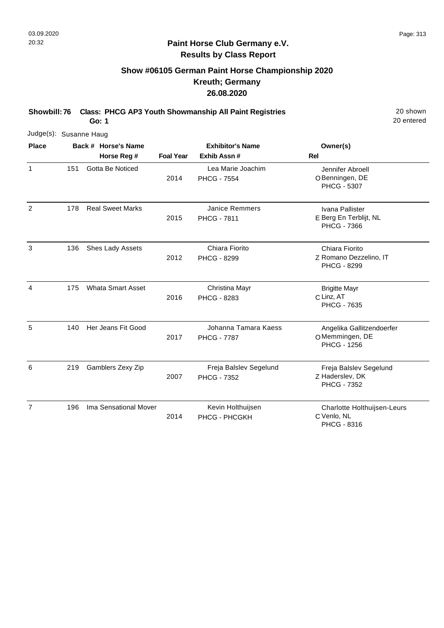# **Show #06105 German Paint Horse Championship 2020 Kreuth; Germany 26.08.2020**

**Showbill: 76 Class: PHCG AP3 Youth Showmanship All Paint Registries** 20 Shown

**Go: 1**

| Judge(s): Susanne Haug |     |                          |                  |                                              |                                                                   |
|------------------------|-----|--------------------------|------------------|----------------------------------------------|-------------------------------------------------------------------|
| <b>Place</b>           |     | Back # Horse's Name      |                  | <b>Exhibitor's Name</b>                      | Owner(s)                                                          |
|                        |     | Horse Reg #              | <b>Foal Year</b> | Exhib Assn #                                 | <b>Rel</b>                                                        |
| $\mathbf{1}$           | 151 | Gotta Be Noticed         | 2014             | Lea Marie Joachim<br><b>PHCG - 7554</b>      | Jennifer Abroell<br>O Benningen, DE<br><b>PHCG - 5307</b>         |
| $\overline{2}$         | 178 | <b>Real Sweet Marks</b>  | 2015             | <b>Janice Remmers</b><br><b>PHCG - 7811</b>  | Ivana Pallister<br>E Berg En Terblijt, NL<br><b>PHCG - 7366</b>   |
| 3                      | 136 | Shes Lady Assets         | 2012             | Chiara Fiorito<br><b>PHCG - 8299</b>         | Chiara Fiorito<br>Z Romano Dezzelino, IT<br><b>PHCG - 8299</b>    |
| 4                      | 175 | <b>Whata Smart Asset</b> | 2016             | Christina Mayr<br>PHCG - 8283                | <b>Brigitte Mayr</b><br>C Linz, AT<br><b>PHCG - 7635</b>          |
| 5                      | 140 | Her Jeans Fit Good       | 2017             | Johanna Tamara Kaess<br><b>PHCG - 7787</b>   | Angelika Gallitzendoerfer<br>OMemmingen, DE<br><b>PHCG - 1256</b> |
| 6                      | 219 | Gamblers Zexy Zip        | 2007             | Freja Balslev Segelund<br><b>PHCG - 7352</b> | Freja Balslev Segelund<br>Z Haderslev, DK<br><b>PHCG - 7352</b>   |
| $\overline{7}$         | 196 | Ima Sensational Mover    | 2014             | Kevin Holthuijsen<br>PHCG - PHCGKH           | Charlotte Holthuijsen-Leurs<br>C Venlo, NL<br>PHCG - 8316         |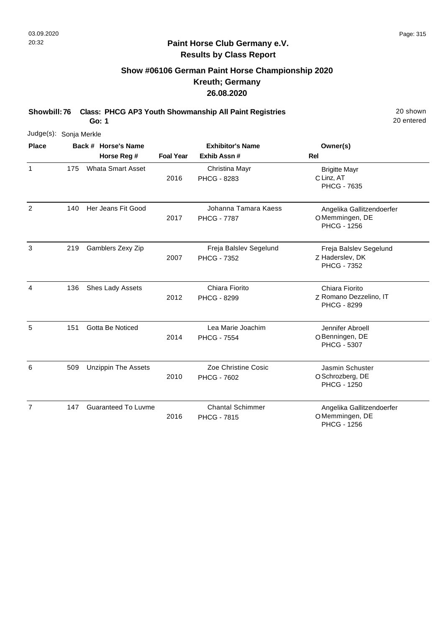# **Show #06106 German Paint Horse Championship 2020 Kreuth; Germany 26.08.2020**

**Showbill: 76 Class: PHCG AP3 Youth Showmanship All Paint Registries** 20 Shown

**Go: 1**

| Judge(s): Sonja Merkle |     |                            |                  |                                               |                                                                   |
|------------------------|-----|----------------------------|------------------|-----------------------------------------------|-------------------------------------------------------------------|
| <b>Place</b>           |     | Back # Horse's Name        |                  | <b>Exhibitor's Name</b>                       | Owner(s)                                                          |
|                        |     | Horse Reg #                | <b>Foal Year</b> | Exhib Assn#                                   | <b>Rel</b>                                                        |
| $\mathbf{1}$           | 175 | <b>Whata Smart Asset</b>   | 2016             | Christina Mayr<br><b>PHCG - 8283</b>          | <b>Brigitte Mayr</b><br>C Linz, AT<br><b>PHCG - 7635</b>          |
| 2                      | 140 | Her Jeans Fit Good         | 2017             | Johanna Tamara Kaess<br><b>PHCG - 7787</b>    | Angelika Gallitzendoerfer<br>OMemmingen, DE<br><b>PHCG - 1256</b> |
| 3                      | 219 | Gamblers Zexy Zip          | 2007             | Freja Balslev Segelund<br><b>PHCG - 7352</b>  | Freja Balslev Segelund<br>Z Haderslev, DK<br><b>PHCG - 7352</b>   |
| 4                      | 136 | Shes Lady Assets           | 2012             | Chiara Fiorito<br><b>PHCG - 8299</b>          | Chiara Fiorito<br>Z Romano Dezzelino, IT<br><b>PHCG - 8299</b>    |
| 5                      | 151 | Gotta Be Noticed           | 2014             | Lea Marie Joachim<br><b>PHCG - 7554</b>       | Jennifer Abroell<br>O Benningen, DE<br><b>PHCG - 5307</b>         |
| 6                      | 509 | <b>Unzippin The Assets</b> | 2010             | Zoe Christine Cosic<br><b>PHCG - 7602</b>     | Jasmin Schuster<br>O Schrozberg, DE<br><b>PHCG - 1250</b>         |
| $\overline{7}$         | 147 | <b>Guaranteed To Luvme</b> | 2016             | <b>Chantal Schimmer</b><br><b>PHCG - 7815</b> | Angelika Gallitzendoerfer<br>OMemmingen, DE<br><b>PHCG - 1256</b> |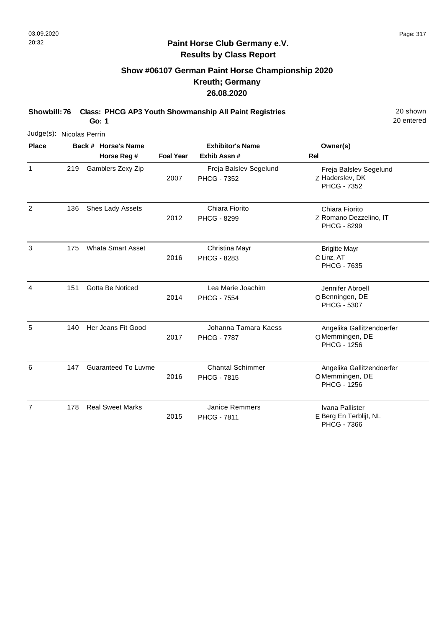# **Show #06107 German Paint Horse Championship 2020 Kreuth; Germany 26.08.2020**

**Showbill: 76 Class: PHCG AP3 Youth Showmanship All Paint Registries** 20 Shown

**Go: 1**

| Judge(s): Nicolas Perrin |     |                            |                  |                                               |                                                                   |
|--------------------------|-----|----------------------------|------------------|-----------------------------------------------|-------------------------------------------------------------------|
| <b>Place</b>             |     | Back # Horse's Name        |                  | <b>Exhibitor's Name</b>                       | Owner(s)                                                          |
|                          |     | Horse Reg #                | <b>Foal Year</b> | Exhib Assn #                                  | <b>Rel</b>                                                        |
| $\mathbf{1}$             | 219 | Gamblers Zexy Zip          | 2007             | Freja Balslev Segelund<br><b>PHCG - 7352</b>  | Freja Balslev Segelund<br>Z Haderslev, DK<br>PHCG - 7352          |
| $\overline{2}$           | 136 | Shes Lady Assets           | 2012             | Chiara Fiorito<br><b>PHCG - 8299</b>          | Chiara Fiorito<br>Z Romano Dezzelino, IT<br><b>PHCG - 8299</b>    |
| 3                        | 175 | <b>Whata Smart Asset</b>   | 2016             | Christina Mayr<br>PHCG - 8283                 | <b>Brigitte Mayr</b><br>C Linz, AT<br><b>PHCG - 7635</b>          |
| 4                        | 151 | Gotta Be Noticed           | 2014             | Lea Marie Joachim<br><b>PHCG - 7554</b>       | Jennifer Abroell<br>O Benningen, DE<br><b>PHCG - 5307</b>         |
| 5                        | 140 | Her Jeans Fit Good         | 2017             | Johanna Tamara Kaess<br><b>PHCG - 7787</b>    | Angelika Gallitzendoerfer<br>OMemmingen, DE<br><b>PHCG - 1256</b> |
| 6                        | 147 | <b>Guaranteed To Luvme</b> | 2016             | <b>Chantal Schimmer</b><br><b>PHCG - 7815</b> | Angelika Gallitzendoerfer<br>OMemmingen, DE<br><b>PHCG - 1256</b> |
| $\overline{7}$           | 178 | <b>Real Sweet Marks</b>    | 2015             | <b>Janice Remmers</b><br><b>PHCG - 7811</b>   | Ivana Pallister<br>E Berg En Terblijt, NL<br><b>PHCG - 7366</b>   |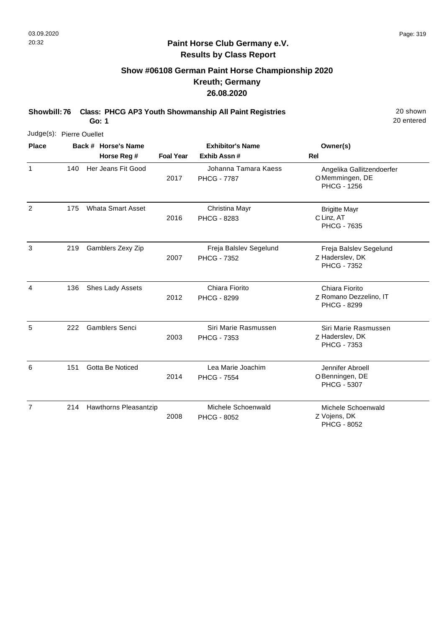# **Show #06108 German Paint Horse Championship 2020 Kreuth; Germany 26.08.2020**

**Showbill: 76 Class: PHCG AP3 Youth Showmanship All Paint Registries** 20 Shown

**Go: 1**

|              | Judge(s): Pierre Ouellet |                          |                  |                                              |                                                                   |  |  |  |  |
|--------------|--------------------------|--------------------------|------------------|----------------------------------------------|-------------------------------------------------------------------|--|--|--|--|
| <b>Place</b> |                          | Back # Horse's Name      |                  | <b>Exhibitor's Name</b>                      | Owner(s)                                                          |  |  |  |  |
|              |                          | Horse Reg #              | <b>Foal Year</b> | Exhib Assn#                                  | Rel                                                               |  |  |  |  |
| $\mathbf{1}$ | 140                      | Her Jeans Fit Good       | 2017             | Johanna Tamara Kaess<br><b>PHCG - 7787</b>   | Angelika Gallitzendoerfer<br>OMemmingen, DE<br><b>PHCG - 1256</b> |  |  |  |  |
| 2            | 175                      | <b>Whata Smart Asset</b> | 2016             | Christina Mayr<br><b>PHCG - 8283</b>         | <b>Brigitte Mayr</b><br>C Linz, AT<br><b>PHCG - 7635</b>          |  |  |  |  |
| 3            | 219                      | Gamblers Zexy Zip        | 2007             | Freja Balslev Segelund<br><b>PHCG - 7352</b> | Freja Balslev Segelund<br>Z Haderslev, DK<br><b>PHCG - 7352</b>   |  |  |  |  |
| 4            | 136                      | Shes Lady Assets         | 2012             | Chiara Fiorito<br>PHCG - 8299                | Chiara Fiorito<br>Z Romano Dezzelino, IT<br><b>PHCG - 8299</b>    |  |  |  |  |
| 5            | 222                      | <b>Gamblers Senci</b>    | 2003             | Siri Marie Rasmussen<br>PHCG - 7353          | Siri Marie Rasmussen<br>Z Haderslev, DK<br>PHCG - 7353            |  |  |  |  |
| 6            | 151                      | Gotta Be Noticed         | 2014             | Lea Marie Joachim<br><b>PHCG - 7554</b>      | Jennifer Abroell<br>O Benningen, DE<br><b>PHCG - 5307</b>         |  |  |  |  |
| 7            | 214                      | Hawthorns Pleasantzip    | 2008             | Michele Schoenwald<br><b>PHCG - 8052</b>     | Michele Schoenwald<br>Z Vojens, DK<br><b>PHCG - 8052</b>          |  |  |  |  |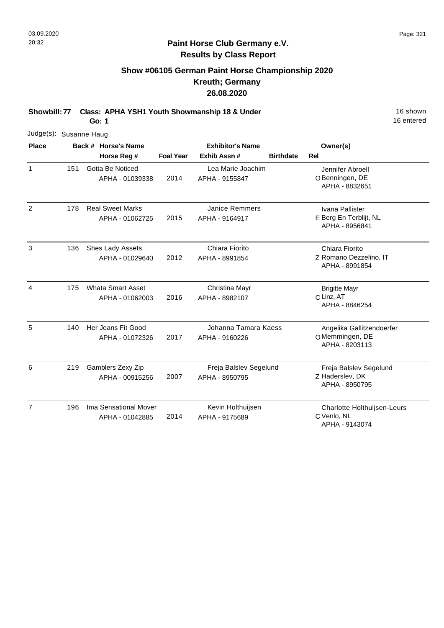# **Show #06105 German Paint Horse Championship 2020 Kreuth; Germany 26.08.2020**

**Showbill: 77 Class: APHA YSH1 Youth Showmanship 18 & Under** 16 Shown 16 shown

**Go: 1**

|                | Judge(s): Susanne Haug |  |                          |                         |                        |                  |                                          |  |  |  |
|----------------|------------------------|--|--------------------------|-------------------------|------------------------|------------------|------------------------------------------|--|--|--|
| <b>Place</b>   |                        |  | Back # Horse's Name      | <b>Exhibitor's Name</b> |                        | Owner(s)         |                                          |  |  |  |
|                |                        |  | Horse Reg #              | <b>Foal Year</b>        | Exhib Assn#            | <b>Birthdate</b> | Rel                                      |  |  |  |
| $\mathbf{1}$   | 151                    |  | Gotta Be Noticed         |                         | Lea Marie Joachim      |                  | Jennifer Abroell                         |  |  |  |
|                |                        |  | APHA - 01039338          | 2014                    | APHA - 9155847         |                  | O Benningen, DE<br>APHA - 8832651        |  |  |  |
| 2              | 178                    |  | <b>Real Sweet Marks</b>  |                         | <b>Janice Remmers</b>  |                  | Ivana Pallister                          |  |  |  |
|                |                        |  | APHA - 01062725          | 2015                    | APHA - 9164917         |                  | E Berg En Terblijt, NL<br>APHA - 8956841 |  |  |  |
| 3              | 136                    |  | Shes Lady Assets         |                         | Chiara Fiorito         |                  | Chiara Fiorito                           |  |  |  |
|                |                        |  | APHA - 01029640          | 2012                    | APHA - 8991854         |                  | Z Romano Dezzelino, IT<br>APHA - 8991854 |  |  |  |
| 4              | 175                    |  | <b>Whata Smart Asset</b> |                         | Christina Mayr         |                  | <b>Brigitte Mayr</b>                     |  |  |  |
|                |                        |  | APHA - 01062003          | 2016                    | APHA - 8982107         |                  | C Linz, AT<br>APHA - 8846254             |  |  |  |
| 5              | 140                    |  | Her Jeans Fit Good       |                         | Johanna Tamara Kaess   |                  | Angelika Gallitzendoerfer                |  |  |  |
|                |                        |  | APHA - 01072326          | 2017                    | APHA - 9160226         |                  | OMemmingen, DE<br>APHA - 8203113         |  |  |  |
| 6              | 219                    |  | Gamblers Zexy Zip        |                         | Freja Balslev Segelund |                  | Freja Balslev Segelund                   |  |  |  |
|                |                        |  | APHA - 00915256          | 2007                    | APHA - 8950795         |                  | Z Haderslev, DK<br>APHA - 8950795        |  |  |  |
| $\overline{7}$ | 196                    |  | Ima Sensational Mover    |                         | Kevin Holthuijsen      |                  | Charlotte Holthuijsen-Leurs              |  |  |  |
|                |                        |  | APHA - 01042885          | 2014                    | APHA - 9175689         |                  | C Venlo, NL<br>APHA - 9143074            |  |  |  |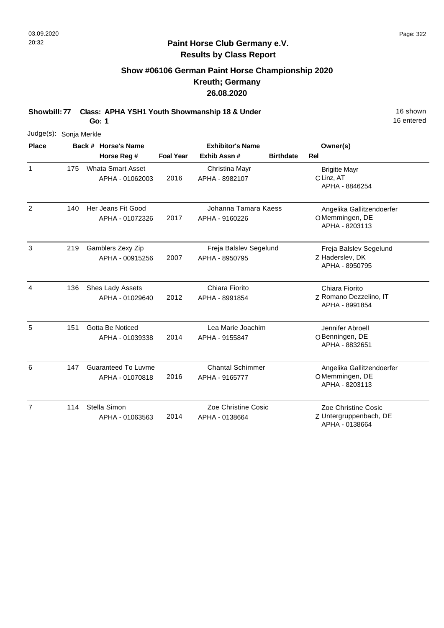# **Show #06106 German Paint Horse Championship 2020 Kreuth; Germany 26.08.2020**

**Showbill: 77 Class: APHA YSH1 Youth Showmanship 18 & Under** 16 Shown 16 shown

**Go: 1**

| Judge(s):      | Sonja Merkle |  |                                               |                  |                                           |                  |                                                                 |  |  |  |
|----------------|--------------|--|-----------------------------------------------|------------------|-------------------------------------------|------------------|-----------------------------------------------------------------|--|--|--|
| <b>Place</b>   |              |  | Back # Horse's Name                           |                  | <b>Exhibitor's Name</b>                   |                  | Owner(s)                                                        |  |  |  |
|                |              |  | Horse Reg #                                   | <b>Foal Year</b> | Exhib Assn#                               | <b>Birthdate</b> | Rel                                                             |  |  |  |
| 1              | 175          |  | <b>Whata Smart Asset</b><br>APHA - 01062003   | 2016             | Christina Mayr<br>APHA - 8982107          |                  | <b>Brigitte Mayr</b><br>C Linz, AT<br>APHA - 8846254            |  |  |  |
| 2              | 140          |  | Her Jeans Fit Good<br>APHA - 01072326         | 2017             | Johanna Tamara Kaess<br>APHA - 9160226    |                  | Angelika Gallitzendoerfer<br>OMemmingen, DE<br>APHA - 8203113   |  |  |  |
| 3              | 219          |  | Gamblers Zexy Zip<br>APHA - 00915256          | 2007             | Freja Balslev Segelund<br>APHA - 8950795  |                  | Freja Balslev Segelund<br>Z Haderslev, DK<br>APHA - 8950795     |  |  |  |
| 4              | 136          |  | Shes Lady Assets<br>APHA - 01029640           | 2012             | Chiara Fiorito<br>APHA - 8991854          |                  | Chiara Fiorito<br>Z Romano Dezzelino, IT<br>APHA - 8991854      |  |  |  |
| 5              | 151          |  | Gotta Be Noticed<br>APHA - 01039338           | 2014             | Lea Marie Joachim<br>APHA - 9155847       |                  | Jennifer Abroell<br>O Benningen, DE<br>APHA - 8832651           |  |  |  |
| 6              | 147          |  | <b>Guaranteed To Luvme</b><br>APHA - 01070818 | 2016             | <b>Chantal Schimmer</b><br>APHA - 9165777 |                  | Angelika Gallitzendoerfer<br>OMemmingen, DE<br>APHA - 8203113   |  |  |  |
| $\overline{7}$ | 114          |  | Stella Simon<br>APHA - 01063563               | 2014             | Zoe Christine Cosic<br>APHA - 0138664     |                  | Zoe Christine Cosic<br>Z Untergruppenbach, DE<br>APHA - 0138664 |  |  |  |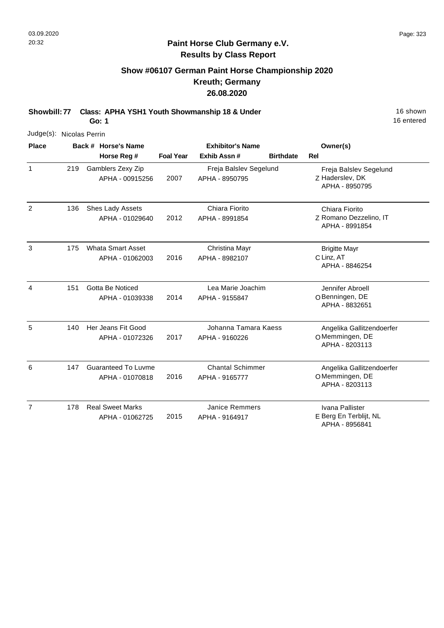# **Show #06107 German Paint Horse Championship 2020 Kreuth; Germany 26.08.2020**

**Showbill: 77 Class: APHA YSH1 Youth Showmanship 18 & Under** 16 Shown 16 shown

**Go: 1**

| Judge(s): Nicolas Perrin |     |                                               |                  |                                           |                  |                                                               |
|--------------------------|-----|-----------------------------------------------|------------------|-------------------------------------------|------------------|---------------------------------------------------------------|
| <b>Place</b>             |     | Back # Horse's Name<br>Horse Reg #            | <b>Foal Year</b> | <b>Exhibitor's Name</b><br>Exhib Assn#    | <b>Birthdate</b> | Owner(s)<br><b>Rel</b>                                        |
| $\mathbf{1}$             | 219 | Gamblers Zexy Zip<br>APHA - 00915256          | 2007             | Freja Balslev Segelund<br>APHA - 8950795  |                  | Freja Balslev Segelund<br>Z Haderslev, DK<br>APHA - 8950795   |
| $\overline{2}$           | 136 | Shes Lady Assets<br>APHA - 01029640           | 2012             | Chiara Fiorito<br>APHA - 8991854          |                  | Chiara Fiorito<br>Z Romano Dezzelino, IT<br>APHA - 8991854    |
| 3                        | 175 | <b>Whata Smart Asset</b><br>APHA - 01062003   | 2016             | Christina Mayr<br>APHA - 8982107          |                  | <b>Brigitte Mayr</b><br>C Linz, AT<br>APHA - 8846254          |
| $\overline{4}$           | 151 | Gotta Be Noticed<br>APHA - 01039338           | 2014             | Lea Marie Joachim<br>APHA - 9155847       |                  | Jennifer Abroell<br>O Benningen, DE<br>APHA - 8832651         |
| 5                        | 140 | Her Jeans Fit Good<br>APHA - 01072326         | 2017             | Johanna Tamara Kaess<br>APHA - 9160226    |                  | Angelika Gallitzendoerfer<br>OMemmingen, DE<br>APHA - 8203113 |
| 6                        | 147 | <b>Guaranteed To Luvme</b><br>APHA - 01070818 | 2016             | <b>Chantal Schimmer</b><br>APHA - 9165777 |                  | Angelika Gallitzendoerfer<br>OMemmingen, DE<br>APHA - 8203113 |
| $\overline{7}$           | 178 | <b>Real Sweet Marks</b><br>APHA - 01062725    | 2015             | <b>Janice Remmers</b><br>APHA - 9164917   |                  | Ivana Pallister<br>E Berg En Terblijt, NL<br>APHA - 8956841   |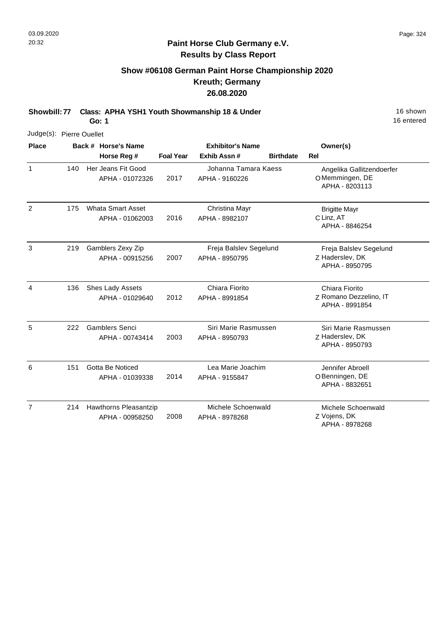# **Show #06108 German Paint Horse Championship 2020 Kreuth; Germany 26.08.2020**

**Showbill: 77 Class: APHA YSH1 Youth Showmanship 18 & Under** 16 Shown 16 shown

**Go: 1**

16 entered

| Judge(s): Pierre Ouellet |     |                                             |                  |                                          |                  |                                                               |
|--------------------------|-----|---------------------------------------------|------------------|------------------------------------------|------------------|---------------------------------------------------------------|
| <b>Place</b>             |     | Back # Horse's Name<br>Horse Reg #          | <b>Foal Year</b> | <b>Exhibitor's Name</b><br>Exhib Assn#   | <b>Birthdate</b> | Owner(s)<br><b>Rel</b>                                        |
| $\mathbf{1}$             | 140 | Her Jeans Fit Good<br>APHA - 01072326       | 2017             | Johanna Tamara Kaess<br>APHA - 9160226   |                  | Angelika Gallitzendoerfer<br>OMemmingen, DE<br>APHA - 8203113 |
| 2                        | 175 | <b>Whata Smart Asset</b><br>APHA - 01062003 | 2016             | Christina Mayr<br>APHA - 8982107         |                  | <b>Brigitte Mayr</b><br>C Linz, AT<br>APHA - 8846254          |
| 3                        | 219 | Gamblers Zexy Zip<br>APHA - 00915256        | 2007             | Freja Balslev Segelund<br>APHA - 8950795 |                  | Freja Balslev Segelund<br>Z Haderslev, DK<br>APHA - 8950795   |
| 4                        | 136 | Shes Lady Assets<br>APHA - 01029640         | 2012             | Chiara Fiorito<br>APHA - 8991854         |                  | Chiara Fiorito<br>Z Romano Dezzelino, IT<br>APHA - 8991854    |
| 5                        | 222 | <b>Gamblers Senci</b><br>APHA - 00743414    | 2003             | Siri Marie Rasmussen<br>APHA - 8950793   |                  | Siri Marie Rasmussen<br>Z Haderslev, DK<br>APHA - 8950793     |
| 6                        | 151 | Gotta Be Noticed<br>APHA - 01039338         | 2014             | Lea Marie Joachim<br>APHA - 9155847      |                  | Jennifer Abroell<br>O Benningen, DE<br>APHA - 8832651         |
| 7                        | 214 | Hawthorns Pleasantzip<br>APHA - 00958250    | 2008             | Michele Schoenwald<br>APHA - 8978268     |                  | Michele Schoenwald<br>Z Vojens, DK                            |

APHA - 8978268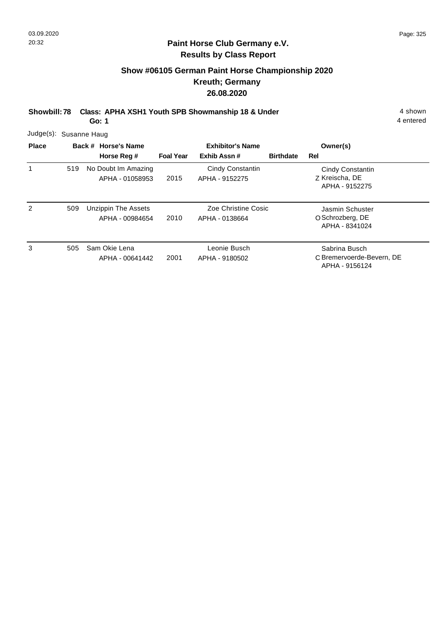$\overline{3}$ 

### **Paint Horse Club Germany e.V. Results by Class Report**

# **Show #06105 German Paint Horse Championship 2020 Kreuth; Germany 26.08.2020**

**Showbill: 78 Class: APHA XSH1 Youth SPB Showmanship 18 & Under** 4 shown

**Go: 1**

|              | Judge(s): Susanne Haug |                                        |                         |                                       |                  |                                                              |  |  |  |  |
|--------------|------------------------|----------------------------------------|-------------------------|---------------------------------------|------------------|--------------------------------------------------------------|--|--|--|--|
| <b>Place</b> |                        | Back # Horse's Name                    | <b>Exhibitor's Name</b> |                                       |                  | Owner(s)                                                     |  |  |  |  |
|              |                        | Horse Reg #                            | <b>Foal Year</b>        | Exhib Assn#                           | <b>Birthdate</b> | Rel                                                          |  |  |  |  |
| 1            | 519                    | No Doubt Im Amazing<br>APHA - 01058953 | 2015                    | Cindy Constantin<br>APHA - 9152275    |                  | <b>Cindy Constantin</b><br>Z Kreischa, DE<br>APHA - 9152275  |  |  |  |  |
| 2            | 509                    | Unzippin The Assets<br>APHA - 00984654 | 2010                    | Zoe Christine Cosic<br>APHA - 0138664 |                  | Jasmin Schuster<br>O Schrozberg, DE<br>APHA - 8341024        |  |  |  |  |
| 3            | 505                    | Sam Okie Lena<br>APHA - 00641442       | 2001                    | Leonie Busch<br>APHA - 9180502        |                  | Sabrina Busch<br>C Bremervoerde-Bevern, DE<br>APHA - 9156124 |  |  |  |  |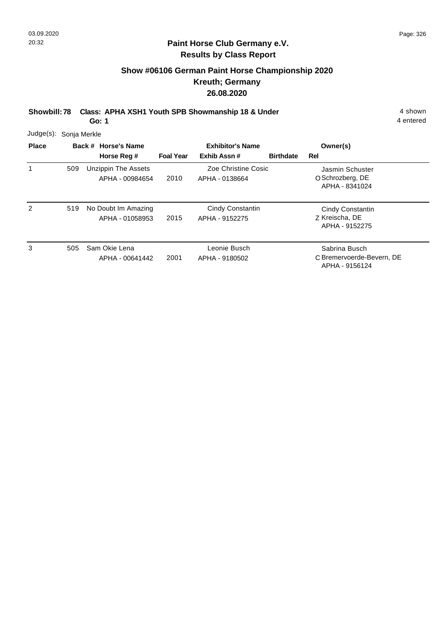# **Show #06106 German Paint Horse Championship 2020 Kreuth; Germany 26.08.2020**

**Showbill: 78 Class: APHA XSH1 Youth SPB Showmanship 18 & Under** 4 shown

**Go: 1**

| $Judge(s)$ : |                     | Sonja Merkle                           |                  |                                       |                  |                                                              |  |  |  |  |  |  |
|--------------|---------------------|----------------------------------------|------------------|---------------------------------------|------------------|--------------------------------------------------------------|--|--|--|--|--|--|
| <b>Place</b> | Back # Horse's Name |                                        |                  | <b>Exhibitor's Name</b>               |                  | Owner(s)                                                     |  |  |  |  |  |  |
|              |                     | Horse Reg #                            | <b>Foal Year</b> | Exhib Assn#                           | <b>Birthdate</b> | Rel                                                          |  |  |  |  |  |  |
| 1            | 509                 | Unzippin The Assets<br>APHA - 00984654 | 2010             | Zoe Christine Cosic<br>APHA - 0138664 |                  | Jasmin Schuster<br>O Schrozberg, DE<br>APHA - 8341024        |  |  |  |  |  |  |
| 2            | 519                 | No Doubt Im Amazing<br>APHA - 01058953 | 2015             | Cindy Constantin<br>APHA - 9152275    |                  | Cindy Constantin<br>Z Kreischa, DE<br>APHA - 9152275         |  |  |  |  |  |  |
| 3            | 505                 | Sam Okie Lena<br>APHA - 00641442       | 2001             | Leonie Busch<br>APHA - 9180502        |                  | Sabrina Busch<br>C Bremervoerde-Bevern, DE<br>APHA - 9156124 |  |  |  |  |  |  |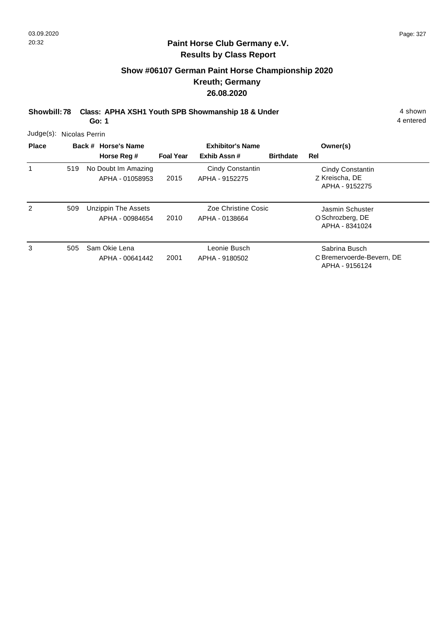# **Show #06107 German Paint Horse Championship 2020 Kreuth; Germany 26.08.2020**

**Showbill: 78 Class: APHA XSH1 Youth SPB Showmanship 18 & Under** 4 shown

**Go: 1**

| Judge(s): Nicolas Perrin |     |                                        |                  |                                       |                  |                                                              |
|--------------------------|-----|----------------------------------------|------------------|---------------------------------------|------------------|--------------------------------------------------------------|
| <b>Place</b>             |     | Back # Horse's Name                    |                  | <b>Exhibitor's Name</b>               |                  | Owner(s)                                                     |
|                          |     | Horse Reg #                            | <b>Foal Year</b> | Exhib Assn#                           | <b>Birthdate</b> | Rel                                                          |
| 1                        | 519 | No Doubt Im Amazing<br>APHA - 01058953 | 2015             | Cindy Constantin<br>APHA - 9152275    |                  | Cindy Constantin<br>Z Kreischa, DE<br>APHA - 9152275         |
| 2                        | 509 | Unzippin The Assets<br>APHA - 00984654 | 2010             | Zoe Christine Cosic<br>APHA - 0138664 |                  | Jasmin Schuster<br>O Schrozberg, DE<br>APHA - 8341024        |
| 3                        | 505 | Sam Okie Lena<br>APHA - 00641442       | 2001             | Leonie Busch<br>APHA - 9180502        |                  | Sabrina Busch<br>C Bremervoerde-Bevern, DE<br>APHA - 9156124 |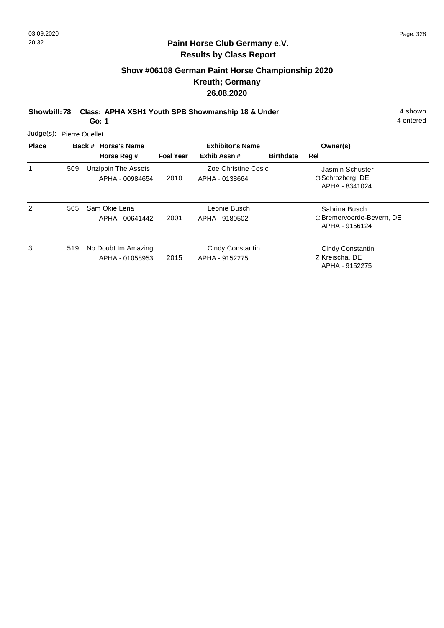# **Show #06108 German Paint Horse Championship 2020 Kreuth; Germany 26.08.2020**

**Showbill: 78 Class: APHA XSH1 Youth SPB Showmanship 18 & Under** 4 shown

**Go: 1**

| Judge(s): Pierre Ouellet |  |
|--------------------------|--|
|                          |  |

| <b>Place</b>  |     | Back # Horse's Name                           | <b>Exhibitor's Name</b> |                                       |                  | Owner(s)                                                     |
|---------------|-----|-----------------------------------------------|-------------------------|---------------------------------------|------------------|--------------------------------------------------------------|
|               |     | Horse Reg #                                   | <b>Foal Year</b>        | Exhib Assn#                           | <b>Birthdate</b> | Rel                                                          |
|               | 509 | <b>Unzippin The Assets</b><br>APHA - 00984654 | 2010                    | Zoe Christine Cosic<br>APHA - 0138664 |                  | Jasmin Schuster<br>O Schrozberg, DE<br>APHA - 8341024        |
| $\mathcal{P}$ | 505 | Sam Okie Lena<br>APHA - 00641442              | 2001                    | Leonie Busch<br>APHA - 9180502        |                  | Sabrina Busch<br>C Bremervoerde-Bevern, DE<br>APHA - 9156124 |
| 3             | 519 | No Doubt Im Amazing<br>APHA - 01058953        | 2015                    | Cindy Constantin<br>APHA - 9152275    |                  | Cindy Constantin<br>Z Kreischa, DE<br>APHA - 9152275         |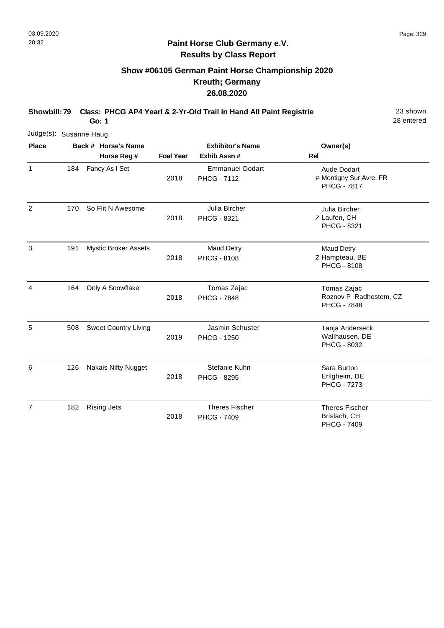# **Show #06105 German Paint Horse Championship 2020 Kreuth; Germany 26.08.2020**

**Showbill: 79 Class: PHCG AP4 Yearl & 2-Yr-Old Trail in Hand All Paint Registrie** 23 shown

28 entered

| Judge(s): Susanne Haug |     |                     |                             |                         |                                              |                                                                     |  |
|------------------------|-----|---------------------|-----------------------------|-------------------------|----------------------------------------------|---------------------------------------------------------------------|--|
| <b>Place</b>           |     | Back # Horse's Name |                             | <b>Exhibitor's Name</b> | Owner(s)                                     |                                                                     |  |
|                        |     |                     | Horse Reg #                 | <b>Foal Year</b>        | Exhib Assn #                                 | <b>Rel</b>                                                          |  |
| $\mathbf{1}$           | 184 |                     | Fancy As I Set              | 2018                    | <b>Emmanuel Dodart</b><br><b>PHCG - 7112</b> | <b>Aude Dodart</b><br>P Montigny Sur Avre, FR<br><b>PHCG - 7817</b> |  |
| 2                      | 170 |                     | So Flit N Awesome           | 2018                    | Julia Bircher<br>PHCG - 8321                 | Julia Bircher<br>Z Laufen, CH<br><b>PHCG - 8321</b>                 |  |
| 3                      | 191 |                     | <b>Mystic Broker Assets</b> | 2018                    | <b>Maud Detry</b><br><b>PHCG - 8108</b>      | <b>Maud Detry</b><br>Z Hampteau, BE<br><b>PHCG - 8108</b>           |  |
| 4                      | 164 |                     | Only A Snowflake            | 2018                    | Tomas Zajac<br><b>PHCG - 7848</b>            | Tomas Zajac<br>Roznov P Radhostem, CZ<br><b>PHCG - 7848</b>         |  |
| 5                      | 508 |                     | <b>Sweet Country Living</b> | 2019                    | Jasmin Schuster<br><b>PHCG - 1250</b>        | Tanja Anderseck<br>Wallhausen, DE<br>PHCG - 8032                    |  |
| 6                      | 126 |                     | <b>Nakais Nifty Nugget</b>  | 2018                    | Stefanie Kuhn<br><b>PHCG - 8295</b>          | Sara Burton<br>Erligheim, DE<br><b>PHCG - 7273</b>                  |  |
| $\overline{7}$         | 182 |                     | <b>Rising Jets</b>          | 2018                    | <b>Theres Fischer</b><br><b>PHCG - 7409</b>  | <b>Theres Fischer</b><br>Brislach, CH<br><b>PHCG - 7409</b>         |  |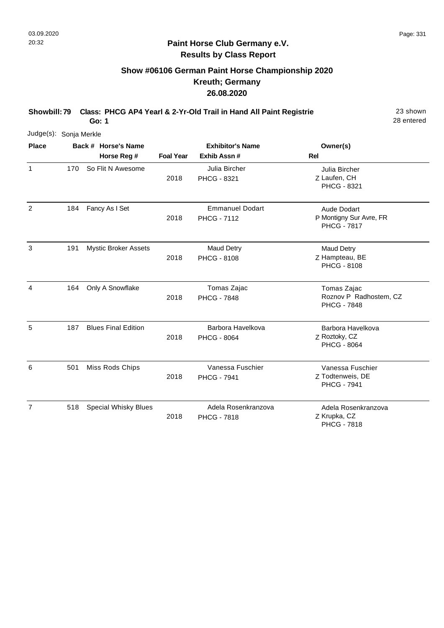# **Show #06106 German Paint Horse Championship 2020 Kreuth; Germany 26.08.2020**

**Showbill: 79 Class: PHCG AP4 Yearl & 2-Yr-Old Trail in Hand All Paint Registrie** 23 shown

28 entered

| Judge(s): Sonja Merkle |     |  |                             |                  |                                              |                                                                     |          |  |
|------------------------|-----|--|-----------------------------|------------------|----------------------------------------------|---------------------------------------------------------------------|----------|--|
| <b>Place</b>           |     |  | Back # Horse's Name         |                  | <b>Exhibitor's Name</b>                      |                                                                     | Owner(s) |  |
|                        |     |  | Horse Reg #                 | <b>Foal Year</b> | Exhib Assn #                                 | <b>Rel</b>                                                          |          |  |
| 1                      | 170 |  | So Flit N Awesome           | 2018             | Julia Bircher<br>PHCG - 8321                 | Julia Bircher<br>Z Laufen, CH<br><b>PHCG - 8321</b>                 |          |  |
| 2                      | 184 |  | Fancy As I Set              | 2018             | <b>Emmanuel Dodart</b><br><b>PHCG - 7112</b> | <b>Aude Dodart</b><br>P Montigny Sur Avre, FR<br><b>PHCG - 7817</b> |          |  |
| 3                      | 191 |  | <b>Mystic Broker Assets</b> | 2018             | Maud Detry<br><b>PHCG - 8108</b>             | <b>Maud Detry</b><br>Z Hampteau, BE<br><b>PHCG - 8108</b>           |          |  |
| 4                      | 164 |  | Only A Snowflake            | 2018             | Tomas Zajac<br><b>PHCG - 7848</b>            | Tomas Zajac<br>Roznov P Radhostem, CZ<br><b>PHCG - 7848</b>         |          |  |
| 5                      | 187 |  | <b>Blues Final Edition</b>  | 2018             | Barbora Havelkova<br><b>PHCG - 8064</b>      | Barbora Havelkova<br>Z Roztoky, CZ<br><b>PHCG - 8064</b>            |          |  |
| 6                      | 501 |  | Miss Rods Chips             | 2018             | Vanessa Fuschier<br><b>PHCG - 7941</b>       | Vanessa Fuschier<br>Z Todtenweis, DE<br><b>PHCG - 7941</b>          |          |  |
| $\overline{7}$         | 518 |  | <b>Special Whisky Blues</b> | 2018             | Adela Rosenkranzova<br><b>PHCG - 7818</b>    | Adela Rosenkranzova<br>Z Krupka, CZ<br><b>PHCG - 7818</b>           |          |  |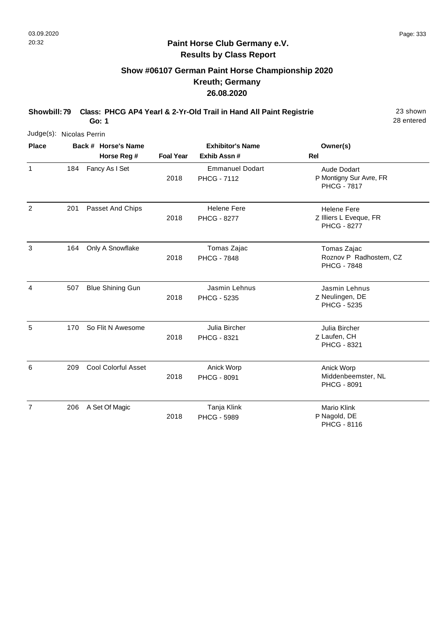# **Show #06107 German Paint Horse Championship 2020 Kreuth; Germany 26.08.2020**

**Showbill: 79 Class: PHCG AP4 Yearl & 2-Yr-Old Trail in Hand All Paint Registrie** 23 shown

28 entered

| Judge(s): Nicolas Perrin |     |  |                            |                  |                                              |                                                                     |  |  |
|--------------------------|-----|--|----------------------------|------------------|----------------------------------------------|---------------------------------------------------------------------|--|--|
| <b>Place</b>             |     |  | Back # Horse's Name        |                  | <b>Exhibitor's Name</b>                      | Owner(s)                                                            |  |  |
|                          |     |  | Horse Reg #                | <b>Foal Year</b> | Exhib Assn #                                 | <b>Rel</b>                                                          |  |  |
| $\mathbf{1}$             | 184 |  | Fancy As I Set             | 2018             | <b>Emmanuel Dodart</b><br><b>PHCG - 7112</b> | <b>Aude Dodart</b><br>P Montigny Sur Avre, FR<br><b>PHCG - 7817</b> |  |  |
| 2                        | 201 |  | Passet And Chips           | 2018             | <b>Helene Fere</b><br><b>PHCG - 8277</b>     | <b>Helene Fere</b><br>Z Illiers L Eveque, FR<br><b>PHCG - 8277</b>  |  |  |
| 3                        | 164 |  | Only A Snowflake           | 2018             | Tomas Zajac<br><b>PHCG - 7848</b>            | Tomas Zajac<br>Roznov P Radhostem, CZ<br><b>PHCG - 7848</b>         |  |  |
| 4                        | 507 |  | <b>Blue Shining Gun</b>    | 2018             | Jasmin Lehnus<br>PHCG - 5235                 | Jasmin Lehnus<br>Z Neulingen, DE<br>PHCG - 5235                     |  |  |
| 5                        | 170 |  | So Flit N Awesome          | 2018             | Julia Bircher<br>PHCG - 8321                 | Julia Bircher<br>Z Laufen, CH<br><b>PHCG - 8321</b>                 |  |  |
| 6                        | 209 |  | <b>Cool Colorful Asset</b> | 2018             | Anick Worp<br><b>PHCG - 8091</b>             | Anick Worp<br>Middenbeemster, NL<br><b>PHCG - 8091</b>              |  |  |
| $\overline{7}$           | 206 |  | A Set Of Magic             | 2018             | Tanja Klink<br><b>PHCG - 5989</b>            | Mario Klink<br>P Nagold, DE<br>PHCG - 8116                          |  |  |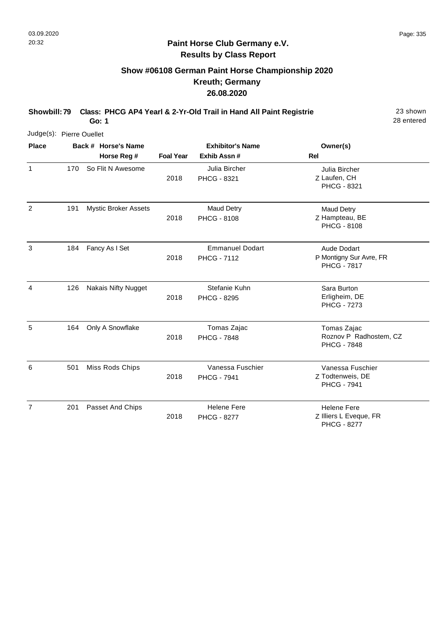# **Show #06108 German Paint Horse Championship 2020 Kreuth; Germany 26.08.2020**

**Showbill: 79 Class: PHCG AP4 Yearl & 2-Yr-Old Trail in Hand All Paint Registrie** 23 shown

28 entered

| Judge(s): Pierre Ouellet |     |                             |                  |                                              |                                                                    |
|--------------------------|-----|-----------------------------|------------------|----------------------------------------------|--------------------------------------------------------------------|
| <b>Place</b>             |     | Back # Horse's Name         |                  | <b>Exhibitor's Name</b>                      | Owner(s)                                                           |
|                          |     | Horse Reg #                 | <b>Foal Year</b> | Exhib Assn #                                 | <b>Rel</b>                                                         |
| $\mathbf{1}$             | 170 | So Flit N Awesome           | 2018             | Julia Bircher<br>PHCG - 8321                 | Julia Bircher<br>Z Laufen, CH<br>PHCG - 8321                       |
| 2                        | 191 | <b>Mystic Broker Assets</b> | 2018             | <b>Maud Detry</b><br><b>PHCG - 8108</b>      | <b>Maud Detry</b><br>Z Hampteau, BE<br><b>PHCG - 8108</b>          |
| 3                        | 184 | Fancy As I Set              | 2018             | <b>Emmanuel Dodart</b><br><b>PHCG - 7112</b> | Aude Dodart<br>P Montigny Sur Avre, FR<br><b>PHCG - 7817</b>       |
| 4                        | 126 | <b>Nakais Nifty Nugget</b>  | 2018             | Stefanie Kuhn<br><b>PHCG - 8295</b>          | Sara Burton<br>Erligheim, DE<br><b>PHCG - 7273</b>                 |
| 5                        | 164 | Only A Snowflake            | 2018             | Tomas Zajac<br><b>PHCG - 7848</b>            | Tomas Zajac<br>Roznov P Radhostem, CZ<br><b>PHCG - 7848</b>        |
| 6                        | 501 | Miss Rods Chips             | 2018             | Vanessa Fuschier<br><b>PHCG - 7941</b>       | Vanessa Fuschier<br>Z Todtenweis, DE<br><b>PHCG - 7941</b>         |
| $\overline{7}$           | 201 | Passet And Chips            | 2018             | <b>Helene Fere</b><br><b>PHCG - 8277</b>     | <b>Helene Fere</b><br>Z Illiers L Eveque, FR<br><b>PHCG - 8277</b> |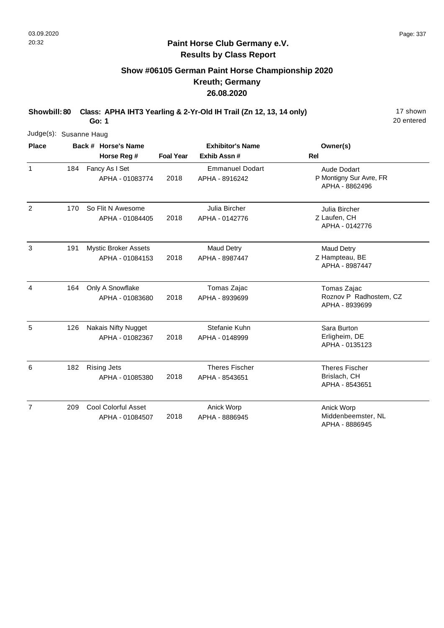# **Show #06105 German Paint Horse Championship 2020 Kreuth; Germany 26.08.2020**

**Showbill: 80 Class: APHA IHT3 Yearling & 2-Yr-Old IH Trail (Zn 12, 13, 14 only)** 17 shown

20 entered

| Judge(s): Susanne Haug |     |                                                |                         |                                          |                                                                 |
|------------------------|-----|------------------------------------------------|-------------------------|------------------------------------------|-----------------------------------------------------------------|
| <b>Place</b>           |     | Back # Horse's Name                            | <b>Exhibitor's Name</b> |                                          | Owner(s)                                                        |
|                        |     | Horse Reg #                                    | <b>Foal Year</b>        | Exhib Assn#                              | Rel                                                             |
| $\mathbf{1}$           | 184 | Fancy As I Set<br>APHA - 01083774              | 2018                    | <b>Emmanuel Dodart</b><br>APHA - 8916242 | <b>Aude Dodart</b><br>P Montigny Sur Avre, FR<br>APHA - 8862496 |
| 2                      | 170 | So Flit N Awesome<br>APHA - 01084405           | 2018                    | Julia Bircher<br>APHA - 0142776          | Julia Bircher<br>Z Laufen, CH<br>APHA - 0142776                 |
| 3                      | 191 | <b>Mystic Broker Assets</b><br>APHA - 01084153 | 2018                    | <b>Maud Detry</b><br>APHA - 8987447      | <b>Maud Detry</b><br>Z Hampteau, BE<br>APHA - 8987447           |
| 4                      | 164 | Only A Snowflake<br>APHA - 01083680            | 2018                    | Tomas Zajac<br>APHA - 8939699            | Tomas Zajac<br>Roznov P Radhostem, CZ<br>APHA - 8939699         |
| 5                      | 126 | <b>Nakais Nifty Nugget</b><br>APHA - 01082367  | 2018                    | Stefanie Kuhn<br>APHA - 0148999          | Sara Burton<br>Erligheim, DE<br>APHA - 0135123                  |
| 6                      | 182 | <b>Rising Jets</b><br>APHA - 01085380          | 2018                    | <b>Theres Fischer</b><br>APHA - 8543651  | <b>Theres Fischer</b><br>Brislach, CH<br>APHA - 8543651         |
| $\overline{7}$         | 209 | <b>Cool Colorful Asset</b><br>APHA - 01084507  | 2018                    | Anick Worp<br>APHA - 8886945             | Anick Worp<br>Middenbeemster, NL<br>APHA - 8886945              |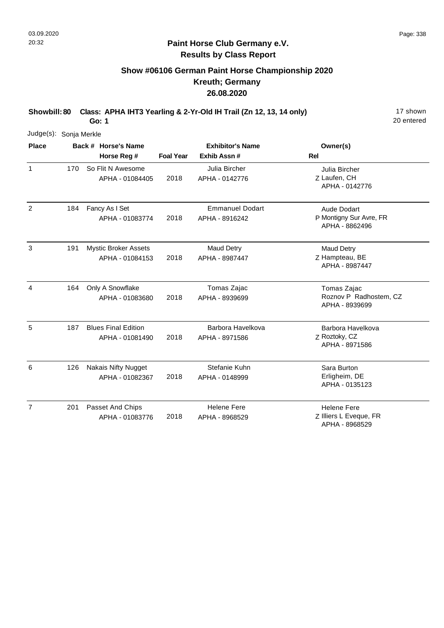# **Show #06106 German Paint Horse Championship 2020 Kreuth; Germany 26.08.2020**

**Showbill: 80 Class: APHA IHT3 Yearling & 2-Yr-Old IH Trail (Zn 12, 13, 14 only)** 17 shown

20 entered

|                | Judge(s): Sonja Merkle |  |                                                |                  |                                          |                                                                |  |  |  |  |  |
|----------------|------------------------|--|------------------------------------------------|------------------|------------------------------------------|----------------------------------------------------------------|--|--|--|--|--|
| <b>Place</b>   |                        |  | Back # Horse's Name                            |                  | <b>Exhibitor's Name</b>                  | Owner(s)                                                       |  |  |  |  |  |
|                |                        |  | Horse Reg #                                    | <b>Foal Year</b> | Exhib Assn#                              | <b>Rel</b>                                                     |  |  |  |  |  |
| 1              | 170                    |  | So Flit N Awesome<br>APHA - 01084405           | 2018             | Julia Bircher<br>APHA - 0142776          | Julia Bircher<br>Z Laufen, CH<br>APHA - 0142776                |  |  |  |  |  |
| 2              | 184                    |  | Fancy As I Set<br>APHA - 01083774              | 2018             | <b>Emmanuel Dodart</b><br>APHA - 8916242 | Aude Dodart<br>P Montigny Sur Avre, FR<br>APHA - 8862496       |  |  |  |  |  |
| 3              | 191                    |  | <b>Mystic Broker Assets</b><br>APHA - 01084153 | 2018             | <b>Maud Detry</b><br>APHA - 8987447      | <b>Maud Detry</b><br>Z Hampteau, BE<br>APHA - 8987447          |  |  |  |  |  |
| 4              | 164                    |  | Only A Snowflake<br>APHA - 01083680            | 2018             | Tomas Zajac<br>APHA - 8939699            | Tomas Zajac<br>Roznov P Radhostem, CZ<br>APHA - 8939699        |  |  |  |  |  |
| 5              | 187                    |  | <b>Blues Final Edition</b><br>APHA - 01081490  | 2018             | Barbora Havelkova<br>APHA - 8971586      | Barbora Havelkova<br>Z Roztoky, CZ<br>APHA - 8971586           |  |  |  |  |  |
| 6              | 126                    |  | <b>Nakais Nifty Nugget</b><br>APHA - 01082367  | 2018             | Stefanie Kuhn<br>APHA - 0148999          | Sara Burton<br>Erligheim, DE<br>APHA - 0135123                 |  |  |  |  |  |
| $\overline{7}$ | 201                    |  | Passet And Chips<br>APHA - 01083776            | 2018             | <b>Helene Fere</b><br>APHA - 8968529     | <b>Helene Fere</b><br>Z Illiers L Eveque, FR<br>APHA - 8968529 |  |  |  |  |  |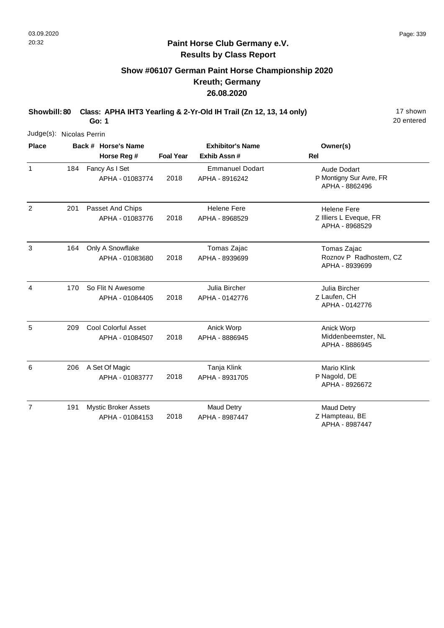# **Show #06107 German Paint Horse Championship 2020 Kreuth; Germany 26.08.2020**

**Showbill: 80 Class: APHA IHT3 Yearling & 2-Yr-Old IH Trail (Zn 12, 13, 14 only)** 17 shown **Go: 1**

20 entered

Judge(s): Nicolas Perrin

| <b>Place</b>   |     | Back # Horse's Name<br>Horse Reg #             | <b>Exhibitor's Name</b><br><b>Foal Year</b><br>Exhib Assn# |                                          | Owner(s)<br><b>Rel</b>                                         |
|----------------|-----|------------------------------------------------|------------------------------------------------------------|------------------------------------------|----------------------------------------------------------------|
| $\mathbf{1}$   | 184 | Fancy As I Set<br>APHA - 01083774              | 2018                                                       | <b>Emmanuel Dodart</b><br>APHA - 8916242 | Aude Dodart<br>P Montigny Sur Avre, FR<br>APHA - 8862496       |
| $\overline{2}$ | 201 | Passet And Chips<br>APHA - 01083776            | 2018                                                       | <b>Helene Fere</b><br>APHA - 8968529     | <b>Helene Fere</b><br>Z Illiers L Eveque, FR<br>APHA - 8968529 |
| 3              | 164 | Only A Snowflake<br>APHA - 01083680            | 2018                                                       | Tomas Zajac<br>APHA - 8939699            | Tomas Zajac<br>Roznov P Radhostem, CZ<br>APHA - 8939699        |
| 4              | 170 | So Flit N Awesome<br>APHA - 01084405           | 2018                                                       | Julia Bircher<br>APHA - 0142776          | Julia Bircher<br>Z Laufen, CH<br>APHA - 0142776                |
| 5              | 209 | <b>Cool Colorful Asset</b><br>APHA - 01084507  | 2018                                                       | Anick Worp<br>APHA - 8886945             | Anick Worp<br>Middenbeemster, NL<br>APHA - 8886945             |
| 6              | 206 | A Set Of Magic<br>APHA - 01083777              | 2018                                                       | Tanja Klink<br>APHA - 8931705            | Mario Klink<br>P Nagold, DE<br>APHA - 8926672                  |
| $\overline{7}$ | 191 | <b>Mystic Broker Assets</b><br>APHA - 01084153 | 2018                                                       | <b>Maud Detry</b><br>APHA - 8987447      | <b>Maud Detry</b><br>Z Hampteau, BE<br>APHA - 8987447          |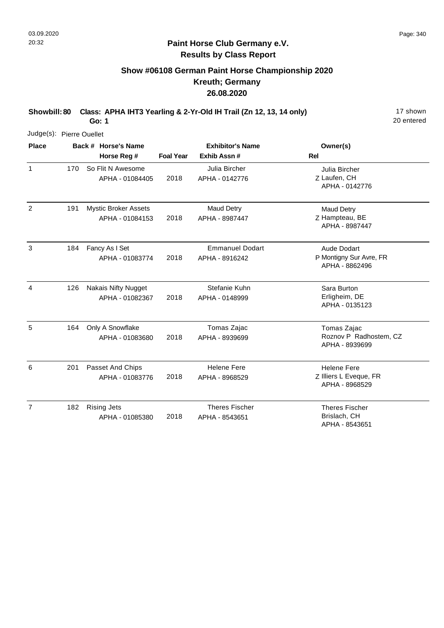# **Show #06108 German Paint Horse Championship 2020 Kreuth; Germany 26.08.2020**

**Showbill: 80 Class: APHA IHT3 Yearling & 2-Yr-Old IH Trail (Zn 12, 13, 14 only)** 17 shown

20 entered

| Judge(s): Pierre Ouellet |     |                                                |                  |                                          |                                                                |
|--------------------------|-----|------------------------------------------------|------------------|------------------------------------------|----------------------------------------------------------------|
| <b>Place</b>             |     | Back # Horse's Name<br>Horse Reg #             | <b>Foal Year</b> | <b>Exhibitor's Name</b><br>Exhib Assn#   | Owner(s)<br><b>Rel</b>                                         |
| $\mathbf{1}$             | 170 | So Flit N Awesome<br>APHA - 01084405           | 2018             | Julia Bircher<br>APHA - 0142776          | Julia Bircher<br>Z Laufen, CH<br>APHA - 0142776                |
| $\overline{2}$           | 191 | <b>Mystic Broker Assets</b><br>APHA - 01084153 | 2018             | <b>Maud Detry</b><br>APHA - 8987447      | Maud Detry<br>Z Hampteau, BE<br>APHA - 8987447                 |
| $\mathbf{3}$             | 184 | Fancy As I Set<br>APHA - 01083774              | 2018             | <b>Emmanuel Dodart</b><br>APHA - 8916242 | Aude Dodart<br>P Montigny Sur Avre, FR<br>APHA - 8862496       |
| 4                        | 126 | <b>Nakais Nifty Nugget</b><br>APHA - 01082367  | 2018             | Stefanie Kuhn<br>APHA - 0148999          | Sara Burton<br>Erligheim, DE<br>APHA - 0135123                 |
| 5                        | 164 | Only A Snowflake<br>APHA - 01083680            | 2018             | Tomas Zajac<br>APHA - 8939699            | Tomas Zajac<br>Roznov P Radhostem, CZ<br>APHA - 8939699        |
| 6                        | 201 | Passet And Chips<br>APHA - 01083776            | 2018             | <b>Helene Fere</b><br>APHA - 8968529     | <b>Helene Fere</b><br>Z Illiers L Eveque, FR<br>APHA - 8968529 |
| $\overline{7}$           | 182 | <b>Rising Jets</b><br>APHA - 01085380          | 2018             | <b>Theres Fischer</b><br>APHA - 8543651  | <b>Theres Fischer</b><br>Brislach, CH<br>APHA - 8543651        |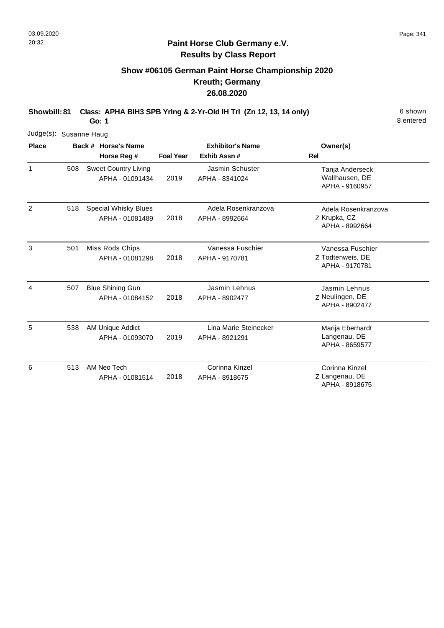### **Paint Horse Club Germany e.V. Results by Class Report**

# **Show #06105 German Paint Horse Championship 2020 Kreuth; Germany 26.08.2020**

| Judge(s): Susanne Haug |     |                                                |                  |                                         |                                                        |
|------------------------|-----|------------------------------------------------|------------------|-----------------------------------------|--------------------------------------------------------|
| <b>Place</b>           |     | Back # Horse's Name<br>Horse Reg #             | <b>Foal Year</b> | <b>Exhibitor's Name</b><br>Exhib Assn#  | Owner(s)<br>Rel                                        |
| $\mathbf{1}$           | 508 | <b>Sweet Country Living</b><br>APHA - 01091434 | 2019             | Jasmin Schuster<br>APHA - 8341024       | Tanja Anderseck<br>Wallhausen, DE<br>APHA - 9160957    |
| 2                      | 518 | <b>Special Whisky Blues</b><br>APHA - 01081489 | 2018             | Adela Rosenkranzova<br>APHA - 8992664   | Adela Rosenkranzova<br>Z Krupka, CZ<br>APHA - 8992664  |
| 3                      | 501 | Miss Rods Chips<br>APHA - 01081298             | 2018             | Vanessa Fuschier<br>APHA - 9170781      | Vanessa Fuschier<br>Z Todtenweis, DE<br>APHA - 9170781 |
| 4                      | 507 | <b>Blue Shining Gun</b><br>APHA - 01084152     | 2018             | Jasmin Lehnus<br>APHA - 8902477         | Jasmin Lehnus<br>Z Neulingen, DE<br>APHA - 8902477     |
| 5                      | 538 | AM Unique Addict<br>APHA - 01093070            | 2019             | Lina Marie Steinecker<br>APHA - 8921291 | Marija Eberhardt<br>Langenau, DE<br>APHA - 8659577     |
| 6                      | 513 | AM Neo Tech<br>APHA - 01081514                 | 2018             | Corinna Kinzel<br>APHA - 8918675        | Corinna Kinzel<br>Z Langenau, DE<br>APHA - 8918675     |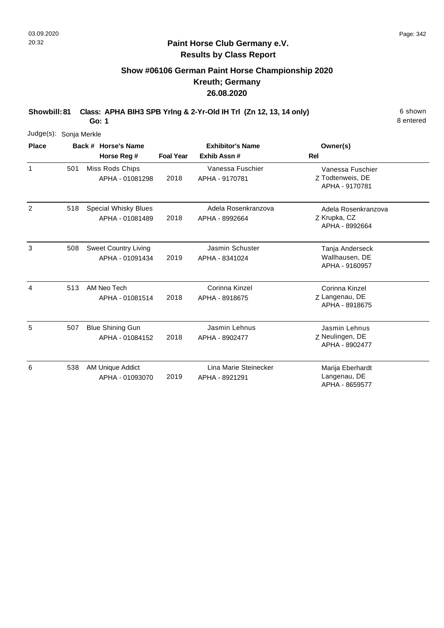### **Paint Horse Club Germany e.V. Results by Class Report**

# **Show #06106 German Paint Horse Championship 2020 Kreuth; Germany 26.08.2020**

| Judge(s): Sonja Merkle |     |                                                |                         |                                         |                                                        |
|------------------------|-----|------------------------------------------------|-------------------------|-----------------------------------------|--------------------------------------------------------|
| <b>Place</b>           |     | Back # Horse's Name                            | <b>Exhibitor's Name</b> |                                         | Owner(s)                                               |
|                        |     | Horse Reg #                                    | <b>Foal Year</b>        | Exhib Assn#                             | <b>Rel</b>                                             |
| 1                      | 501 | Miss Rods Chips<br>APHA - 01081298             | 2018                    | Vanessa Fuschier<br>APHA - 9170781      | Vanessa Fuschier<br>Z Todtenweis, DE<br>APHA - 9170781 |
| $\overline{2}$         | 518 | <b>Special Whisky Blues</b><br>APHA - 01081489 | 2018                    | Adela Rosenkranzova<br>APHA - 8992664   | Adela Rosenkranzova<br>Z Krupka, CZ<br>APHA - 8992664  |
| 3                      | 508 | <b>Sweet Country Living</b><br>APHA - 01091434 | 2019                    | Jasmin Schuster<br>APHA - 8341024       | Tanja Anderseck<br>Wallhausen, DE<br>APHA - 9160957    |
| 4                      | 513 | AM Neo Tech<br>APHA - 01081514                 | 2018                    | Corinna Kinzel<br>APHA - 8918675        | Corinna Kinzel<br>Z Langenau, DE<br>APHA - 8918675     |
| 5                      | 507 | <b>Blue Shining Gun</b><br>APHA - 01084152     | 2018                    | Jasmin Lehnus<br>APHA - 8902477         | Jasmin Lehnus<br>Z Neulingen, DE<br>APHA - 8902477     |
| 6                      | 538 | AM Unique Addict<br>APHA - 01093070            | 2019                    | Lina Marie Steinecker<br>APHA - 8921291 | Marija Eberhardt<br>Langenau, DE<br>APHA - 8659577     |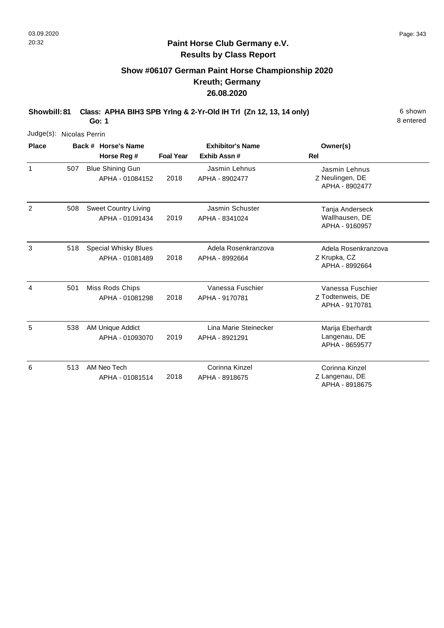### **Paint Horse Club Germany e.V. Results by Class Report**

# **Show #06107 German Paint Horse Championship 2020 Kreuth; Germany 26.08.2020**

| Judge(s):    |     | Nicolas Perrin                                 |                  |                                         |                                                        |
|--------------|-----|------------------------------------------------|------------------|-----------------------------------------|--------------------------------------------------------|
| <b>Place</b> |     | Back # Horse's Name<br>Horse Reg #             | <b>Foal Year</b> | <b>Exhibitor's Name</b><br>Exhib Assn#  | Owner(s)<br>Rel                                        |
| $\mathbf{1}$ | 507 | <b>Blue Shining Gun</b><br>APHA - 01084152     | 2018             | Jasmin Lehnus<br>APHA - 8902477         | Jasmin Lehnus<br>Z Neulingen, DE<br>APHA - 8902477     |
| 2            | 508 | <b>Sweet Country Living</b><br>APHA - 01091434 | 2019             | Jasmin Schuster<br>APHA - 8341024       | Tanja Anderseck<br>Wallhausen, DE<br>APHA - 9160957    |
| 3            | 518 | <b>Special Whisky Blues</b><br>APHA - 01081489 | 2018             | Adela Rosenkranzova<br>APHA - 8992664   | Adela Rosenkranzova<br>Z Krupka, CZ<br>APHA - 8992664  |
| 4            | 501 | Miss Rods Chips<br>APHA - 01081298             | 2018             | Vanessa Fuschier<br>APHA - 9170781      | Vanessa Fuschier<br>Z Todtenweis, DE<br>APHA - 9170781 |
| 5            | 538 | AM Unique Addict<br>APHA - 01093070            | 2019             | Lina Marie Steinecker<br>APHA - 8921291 | Marija Eberhardt<br>Langenau, DE<br>APHA - 8659577     |
| 6            | 513 | AM Neo Tech<br>APHA - 01081514                 | 2018             | Corinna Kinzel<br>APHA - 8918675        | Corinna Kinzel<br>Z Langenau, DE<br>APHA - 8918675     |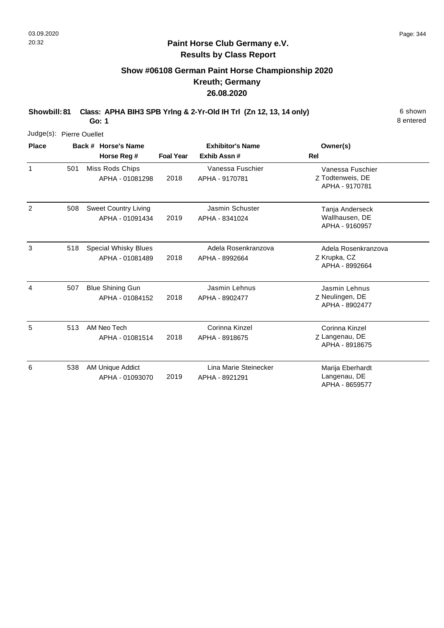#### **Paint Horse Club Germany e.V. Results by Class Report**

# **Show #06108 German Paint Horse Championship 2020 Kreuth; Germany 26.08.2020**

| Judge(s): Pierre Ouellet |     |                                                |                  |                                         |                                                        |
|--------------------------|-----|------------------------------------------------|------------------|-----------------------------------------|--------------------------------------------------------|
| <b>Place</b>             |     | Back # Horse's Name                            |                  | <b>Exhibitor's Name</b>                 | Owner(s)                                               |
|                          |     | Horse Reg #                                    | <b>Foal Year</b> | Exhib Assn#                             | Rel                                                    |
| $\mathbf{1}$             | 501 | Miss Rods Chips<br>APHA - 01081298             | 2018             | Vanessa Fuschier<br>APHA - 9170781      | Vanessa Fuschier<br>Z Todtenweis, DE<br>APHA - 9170781 |
| 2                        | 508 | <b>Sweet Country Living</b><br>APHA - 01091434 | 2019             | Jasmin Schuster<br>APHA - 8341024       | Tanja Anderseck<br>Wallhausen, DE<br>APHA - 9160957    |
| 3                        | 518 | <b>Special Whisky Blues</b><br>APHA - 01081489 | 2018             | Adela Rosenkranzova<br>APHA - 8992664   | Adela Rosenkranzova<br>Z Krupka, CZ<br>APHA - 8992664  |
| 4                        | 507 | <b>Blue Shining Gun</b><br>APHA - 01084152     | 2018             | Jasmin Lehnus<br>APHA - 8902477         | Jasmin Lehnus<br>Z Neulingen, DE<br>APHA - 8902477     |
| 5                        | 513 | AM Neo Tech<br>APHA - 01081514                 | 2018             | Corinna Kinzel<br>APHA - 8918675        | Corinna Kinzel<br>Z Langenau, DE<br>APHA - 8918675     |
| 6                        | 538 | AM Unique Addict<br>APHA - 01093070            | 2019             | Lina Marie Steinecker<br>APHA - 8921291 | Marija Eberhardt<br>Langenau, DE<br>APHA - 8659577     |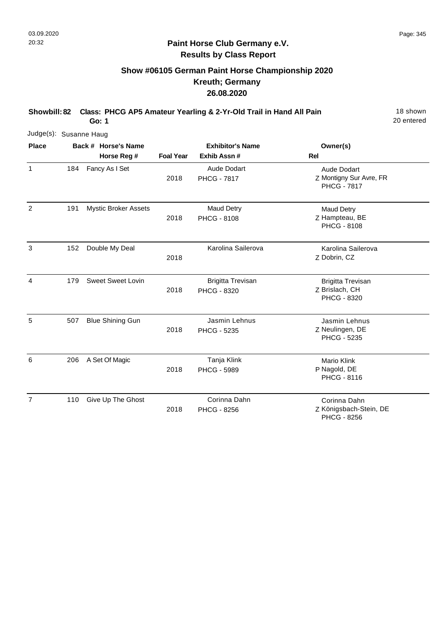**Go: 1**

# **Show #06105 German Paint Horse Championship 2020 Kreuth; Germany 26.08.2020**

**Showbill: 82 Class: PHCG AP5 Amateur Yearling & 2-Yr-Old Trail in Hand All Pain** 18 Shown

20 entered

|                | Judge(s): Susanne Haug |                             |                  |                                         |                                                                  |  |  |  |  |  |  |
|----------------|------------------------|-----------------------------|------------------|-----------------------------------------|------------------------------------------------------------------|--|--|--|--|--|--|
| <b>Place</b>   |                        | Back # Horse's Name         |                  | <b>Exhibitor's Name</b>                 | Owner(s)                                                         |  |  |  |  |  |  |
|                |                        | Horse Reg #                 | <b>Foal Year</b> | Exhib Assn #                            | <b>Rel</b>                                                       |  |  |  |  |  |  |
| 1              | 184                    | Fancy As I Set              | 2018             | Aude Dodart<br><b>PHCG - 7817</b>       | Aude Dodart<br>Z Montigny Sur Avre, FR<br><b>PHCG - 7817</b>     |  |  |  |  |  |  |
| 2              | 191                    | <b>Mystic Broker Assets</b> | 2018             | <b>Maud Detry</b><br><b>PHCG - 8108</b> | <b>Maud Detry</b><br>Z Hampteau, BE<br><b>PHCG - 8108</b>        |  |  |  |  |  |  |
| 3              | 152                    | Double My Deal              | 2018             | Karolina Sailerova                      | Karolina Sailerova<br>Z Dobrin, CZ                               |  |  |  |  |  |  |
| 4              | 179                    | <b>Sweet Sweet Lovin</b>    | 2018             | <b>Brigitta Trevisan</b><br>PHCG - 8320 | <b>Brigitta Trevisan</b><br>Z Brislach, CH<br><b>PHCG - 8320</b> |  |  |  |  |  |  |
| 5              | 507                    | <b>Blue Shining Gun</b>     | 2018             | Jasmin Lehnus<br>PHCG - 5235            | Jasmin Lehnus<br>Z Neulingen, DE<br>PHCG - 5235                  |  |  |  |  |  |  |
| 6              | 206                    | A Set Of Magic              | 2018             | Tanja Klink<br><b>PHCG - 5989</b>       | <b>Mario Klink</b><br>P Nagold, DE<br><b>PHCG - 8116</b>         |  |  |  |  |  |  |
| $\overline{7}$ | 110                    | Give Up The Ghost           | 2018             | Corinna Dahn<br>PHCG - 8256             | Corinna Dahn<br>Z Königsbach-Stein, DE                           |  |  |  |  |  |  |

PHCG - 8256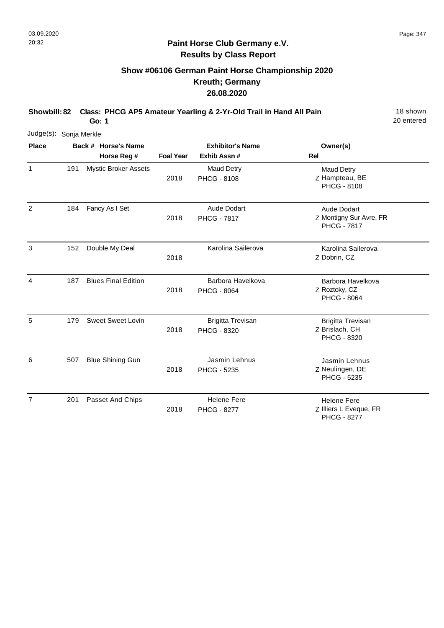# **Show #06106 German Paint Horse Championship 2020 Kreuth; Germany 26.08.2020**

**Showbill: 82 Class: PHCG AP5 Amateur Yearling & 2-Yr-Old Trail in Hand All Pain** 18 Shown **Go: 1**

20 entered

| Judge(s): Sonja Merkle |     |                                    |                  |                                         |                                                                     |
|------------------------|-----|------------------------------------|------------------|-----------------------------------------|---------------------------------------------------------------------|
| <b>Place</b>           |     | Back # Horse's Name<br>Horse Reg # | <b>Foal Year</b> | <b>Exhibitor's Name</b><br>Exhib Assn#  | Owner(s)<br><b>Rel</b>                                              |
| $\mathbf{1}$           | 191 | <b>Mystic Broker Assets</b>        | 2018             | <b>Maud Detry</b><br><b>PHCG - 8108</b> | <b>Maud Detry</b><br>Z Hampteau, BE<br><b>PHCG - 8108</b>           |
| 2                      | 184 | Fancy As I Set                     | 2018             | Aude Dodart<br><b>PHCG - 7817</b>       | <b>Aude Dodart</b><br>Z Montigny Sur Avre, FR<br><b>PHCG - 7817</b> |
| 3                      | 152 | Double My Deal                     | 2018             | Karolina Sailerova                      | Karolina Sailerova<br>Z Dobrin, CZ                                  |
| 4                      | 187 | <b>Blues Final Edition</b>         | 2018             | Barbora Havelkova<br><b>PHCG - 8064</b> | Barbora Havelkova<br>Z Roztoky, CZ<br><b>PHCG - 8064</b>            |
| 5                      | 179 | <b>Sweet Sweet Lovin</b>           | 2018             | <b>Brigitta Trevisan</b><br>PHCG - 8320 | <b>Brigitta Trevisan</b><br>Z Brislach, CH<br>PHCG - 8320           |
| 6                      | 507 | <b>Blue Shining Gun</b>            | 2018             | Jasmin Lehnus<br>PHCG - 5235            | Jasmin Lehnus<br>Z Neulingen, DE<br><b>PHCG - 5235</b>              |
| $\overline{7}$         | 201 | Passet And Chips                   |                  | <b>Helene Fere</b>                      | <b>Helene Fere</b>                                                  |

2018 PHCG - 8277 Z Illiers L Eveque, FR PHCG - 8277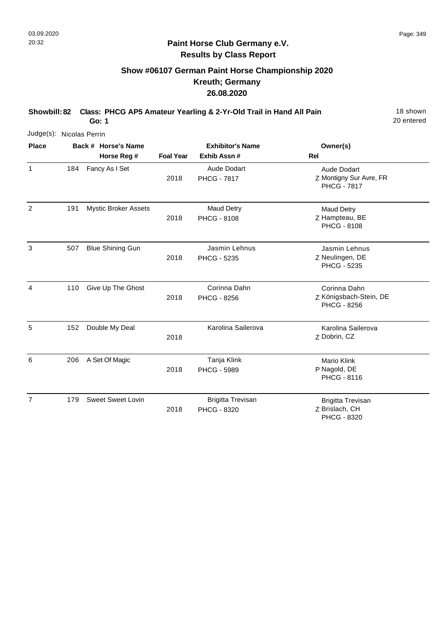# **Show #06107 German Paint Horse Championship 2020 Kreuth; Germany 26.08.2020**

**Showbill: 82 Class: PHCG AP5 Amateur Yearling & 2-Yr-Old Trail in Hand All Pain** 18 Shown **Go: 1**

20 entered

| Judge(s): Nicolas Perrin |     |                             |                  |                                         |                                                              |
|--------------------------|-----|-----------------------------|------------------|-----------------------------------------|--------------------------------------------------------------|
| <b>Place</b>             |     | Back # Horse's Name         |                  | <b>Exhibitor's Name</b>                 | Owner(s)                                                     |
|                          |     | Horse Reg #                 | <b>Foal Year</b> | Exhib Assn#                             | Rel                                                          |
| 1                        | 184 | Fancy As I Set              | 2018             | Aude Dodart<br><b>PHCG - 7817</b>       | Aude Dodart<br>Z Montigny Sur Avre, FR<br><b>PHCG - 7817</b> |
| $\overline{2}$           | 191 | <b>Mystic Broker Assets</b> | 2018             | <b>Maud Detry</b><br><b>PHCG - 8108</b> | <b>Maud Detry</b><br>Z Hampteau, BE<br><b>PHCG - 8108</b>    |
| 3                        | 507 | <b>Blue Shining Gun</b>     | 2018             | Jasmin Lehnus<br>PHCG - 5235            | Jasmin Lehnus<br>Z Neulingen, DE<br><b>PHCG - 5235</b>       |
| 4                        | 110 | Give Up The Ghost           | 2018             | Corinna Dahn<br><b>PHCG - 8256</b>      | Corinna Dahn<br>Z Königsbach-Stein, DE<br>PHCG - 8256        |
| 5                        | 152 | Double My Deal              | 2018             | Karolina Sailerova                      | Karolina Sailerova<br>Z Dobrin, CZ                           |
| 6                        | 206 | A Set Of Magic              | 2018             | Tanja Klink<br><b>PHCG - 5989</b>       | Mario Klink<br>P Nagold, DE<br><b>PHCG - 8116</b>            |
| 7                        | 179 | <b>Sweet Sweet Lovin</b>    | 2018             | <b>Brigitta Trevisan</b><br>PHCG - 8320 | <b>Brigitta Trevisan</b><br>Z Brislach, CH                   |

PHCG - 8320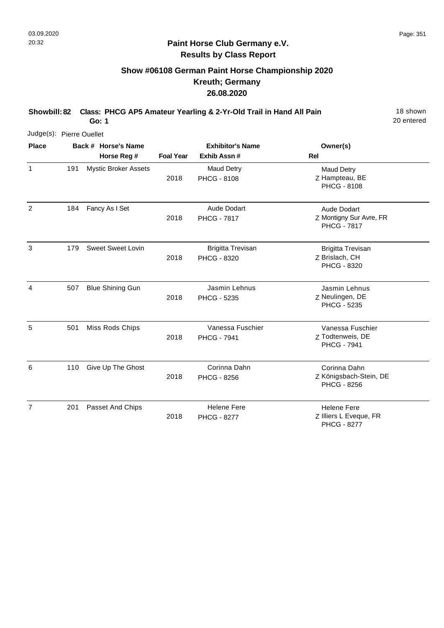# **Show #06108 German Paint Horse Championship 2020 Kreuth; Germany 26.08.2020**

**Showbill: 82 Class: PHCG AP5 Amateur Yearling & 2-Yr-Old Trail in Hand All Pain** 18 Shown

20 entered

**Go: 1**

| Judge(s): Pierre Ouellet |     |                                    |                  |                                          |                                                                    |
|--------------------------|-----|------------------------------------|------------------|------------------------------------------|--------------------------------------------------------------------|
| <b>Place</b>             |     | Back # Horse's Name<br>Horse Reg # | <b>Foal Year</b> | <b>Exhibitor's Name</b><br>Exhib Assn#   | Owner(s)<br>Rel                                                    |
| $\mathbf{1}$             | 191 | <b>Mystic Broker Assets</b>        | 2018             | Maud Detry<br><b>PHCG - 8108</b>         | Maud Detry<br>Z Hampteau, BE<br><b>PHCG - 8108</b>                 |
| 2                        | 184 | Fancy As I Set                     | 2018             | Aude Dodart<br><b>PHCG - 7817</b>        | Aude Dodart<br>Z Montigny Sur Avre, FR<br><b>PHCG - 7817</b>       |
| 3                        | 179 | <b>Sweet Sweet Lovin</b>           | 2018             | <b>Brigitta Trevisan</b><br>PHCG - 8320  | <b>Brigitta Trevisan</b><br>Z Brislach, CH<br>PHCG - 8320          |
| 4                        | 507 | <b>Blue Shining Gun</b>            | 2018             | Jasmin Lehnus<br>PHCG - 5235             | Jasmin Lehnus<br>Z Neulingen, DE<br>PHCG - 5235                    |
| 5                        | 501 | Miss Rods Chips                    | 2018             | Vanessa Fuschier<br><b>PHCG - 7941</b>   | Vanessa Fuschier<br>Z Todtenweis, DE<br><b>PHCG - 7941</b>         |
| 6                        | 110 | Give Up The Ghost                  | 2018             | Corinna Dahn<br>PHCG - 8256              | Corinna Dahn<br>Z Königsbach-Stein, DE<br>PHCG - 8256              |
| $\overline{7}$           | 201 | Passet And Chips                   | 2018             | <b>Helene Fere</b><br><b>PHCG - 8277</b> | <b>Helene Fere</b><br>Z Illiers L Eveque, FR<br><b>PHCG - 8277</b> |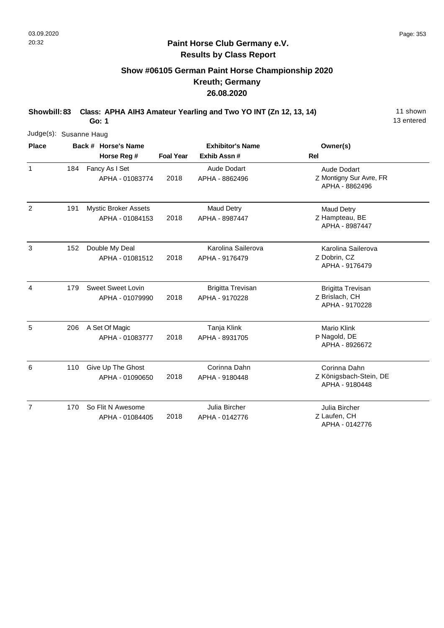# **Show #06105 German Paint Horse Championship 2020 Kreuth; Germany 26.08.2020**

**Showbill: 83 Class: APHA AIH3 Amateur Yearling and Two YO INT (Zn 12, 13, 14)** 11 shown

**Go: 1**

|                | Judge(s): Susanne Haug |                                                |                  |                                            |                                                              |  |  |  |  |  |
|----------------|------------------------|------------------------------------------------|------------------|--------------------------------------------|--------------------------------------------------------------|--|--|--|--|--|
| <b>Place</b>   |                        | Back # Horse's Name<br>Horse Reg #             | <b>Foal Year</b> | <b>Exhibitor's Name</b><br>Exhib Assn#     | Owner(s)<br><b>Rel</b>                                       |  |  |  |  |  |
| $\mathbf{1}$   | 184                    | Fancy As I Set<br>APHA - 01083774              | 2018             | <b>Aude Dodart</b><br>APHA - 8862496       | Aude Dodart<br>Z Montigny Sur Avre, FR<br>APHA - 8862496     |  |  |  |  |  |
| $\overline{2}$ | 191                    | <b>Mystic Broker Assets</b><br>APHA - 01084153 | 2018             | Maud Detry<br>APHA - 8987447               | Maud Detry<br>Z Hampteau, BE<br>APHA - 8987447               |  |  |  |  |  |
| 3              | 152                    | Double My Deal<br>APHA - 01081512              | 2018             | Karolina Sailerova<br>APHA - 9176479       | Karolina Sailerova<br>Z Dobrin, CZ<br>APHA - 9176479         |  |  |  |  |  |
| 4              | 179                    | <b>Sweet Sweet Lovin</b><br>APHA - 01079990    | 2018             | <b>Brigitta Trevisan</b><br>APHA - 9170228 | <b>Brigitta Trevisan</b><br>Z Brislach, CH<br>APHA - 9170228 |  |  |  |  |  |
| 5              | 206                    | A Set Of Magic<br>APHA - 01083777              | 2018             | Tanja Klink<br>APHA - 8931705              | Mario Klink<br>P Nagold, DE<br>APHA - 8926672                |  |  |  |  |  |
| 6              | 110                    | Give Up The Ghost<br>APHA - 01090650           | 2018             | Corinna Dahn<br>APHA - 9180448             | Corinna Dahn<br>Z Königsbach-Stein, DE<br>APHA - 9180448     |  |  |  |  |  |
| $\overline{7}$ | 170                    | So Flit N Awesome<br>APHA - 01084405           | 2018             | Julia Bircher<br>APHA - 0142776            | Julia Bircher<br>Z Laufen, CH<br>APHA - 0142776              |  |  |  |  |  |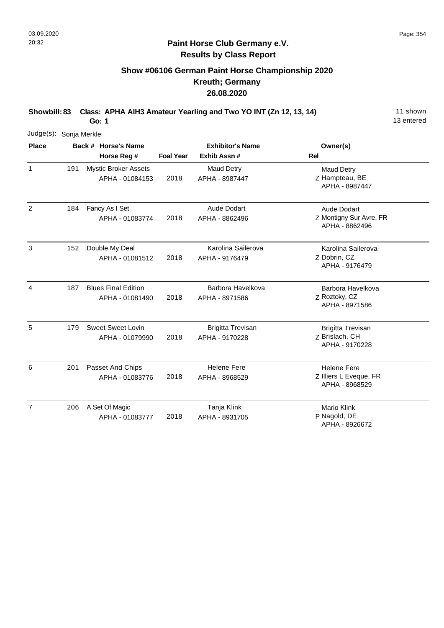# **Show #06106 German Paint Horse Championship 2020 Kreuth; Germany 26.08.2020**

**Showbill: 83 Class: APHA AIH3 Amateur Yearling and Two YO INT (Zn 12, 13, 14)** 11 shown

**Go: 1**

| Judge(s):      | Sonja Merkle |  |                                                |                  |                                            |                                                                |  |  |  |  |
|----------------|--------------|--|------------------------------------------------|------------------|--------------------------------------------|----------------------------------------------------------------|--|--|--|--|
| <b>Place</b>   |              |  | Back # Horse's Name                            |                  | <b>Exhibitor's Name</b>                    | Owner(s)                                                       |  |  |  |  |
|                |              |  | Horse Reg #                                    | <b>Foal Year</b> | Exhib Assn#                                | <b>Rel</b>                                                     |  |  |  |  |
| $\mathbf{1}$   | 191          |  | <b>Mystic Broker Assets</b><br>APHA - 01084153 | 2018             | <b>Maud Detry</b><br>APHA - 8987447        | <b>Maud Detry</b><br>Z Hampteau, BE<br>APHA - 8987447          |  |  |  |  |
| $\overline{2}$ | 184          |  | Fancy As I Set<br>APHA - 01083774              | 2018             | <b>Aude Dodart</b><br>APHA - 8862496       | Aude Dodart<br>Z Montigny Sur Avre, FR<br>APHA - 8862496       |  |  |  |  |
| 3              | 152          |  | Double My Deal<br>APHA - 01081512              | 2018             | Karolina Sailerova<br>APHA - 9176479       | Karolina Sailerova<br>Z Dobrin, CZ<br>APHA - 9176479           |  |  |  |  |
| 4              | 187          |  | <b>Blues Final Edition</b><br>APHA - 01081490  | 2018             | Barbora Havelkova<br>APHA - 8971586        | Barbora Havelkova<br>Z Roztoky, CZ<br>APHA - 8971586           |  |  |  |  |
| 5              | 179          |  | <b>Sweet Sweet Lovin</b><br>APHA - 01079990    | 2018             | <b>Brigitta Trevisan</b><br>APHA - 9170228 | <b>Brigitta Trevisan</b><br>Z Brislach, CH<br>APHA - 9170228   |  |  |  |  |
| 6              | 201          |  | Passet And Chips<br>APHA - 01083776            | 2018             | <b>Helene Fere</b><br>APHA - 8968529       | <b>Helene Fere</b><br>Z Illiers L Eveque, FR<br>APHA - 8968529 |  |  |  |  |
| $\overline{7}$ | 206          |  | A Set Of Magic<br>APHA - 01083777              | 2018             | Tanja Klink<br>APHA - 8931705              | <b>Mario Klink</b><br>P Nagold, DE<br>APHA - 8926672           |  |  |  |  |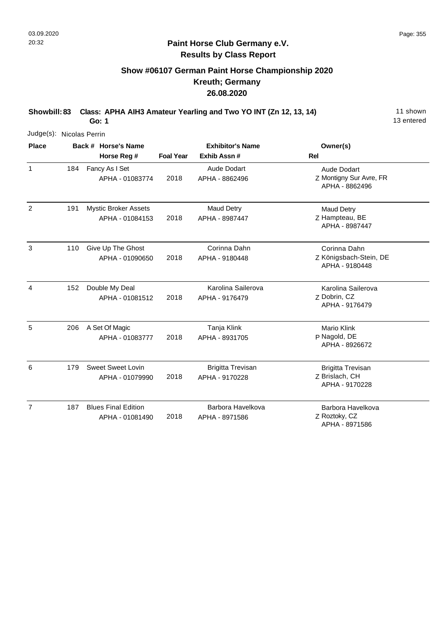# **Show #06107 German Paint Horse Championship 2020 Kreuth; Germany 26.08.2020**

**Showbill: 83 Class: APHA AIH3 Amateur Yearling and Two YO INT (Zn 12, 13, 14)** 11 shown

**Go: 1**

|                | Judge(s): Nicolas Perrin |  |                                                |                  |                                            |                                                              |  |  |  |  |  |
|----------------|--------------------------|--|------------------------------------------------|------------------|--------------------------------------------|--------------------------------------------------------------|--|--|--|--|--|
| <b>Place</b>   |                          |  | Back # Horse's Name                            |                  | <b>Exhibitor's Name</b>                    | Owner(s)                                                     |  |  |  |  |  |
|                |                          |  | Horse Reg #                                    | <b>Foal Year</b> | Exhib Assn#                                | <b>Rel</b>                                                   |  |  |  |  |  |
| $\mathbf{1}$   | 184                      |  | Fancy As I Set<br>APHA - 01083774              | 2018             | <b>Aude Dodart</b><br>APHA - 8862496       | Aude Dodart<br>Z Montigny Sur Avre, FR<br>APHA - 8862496     |  |  |  |  |  |
| $\overline{c}$ | 191                      |  | <b>Mystic Broker Assets</b><br>APHA - 01084153 | 2018             | Maud Detry<br>APHA - 8987447               | <b>Maud Detry</b><br>Z Hampteau, BE<br>APHA - 8987447        |  |  |  |  |  |
| 3              | 110                      |  | Give Up The Ghost<br>APHA - 01090650           | 2018             | Corinna Dahn<br>APHA - 9180448             | Corinna Dahn<br>Z Königsbach-Stein, DE<br>APHA - 9180448     |  |  |  |  |  |
| 4              | 152                      |  | Double My Deal<br>APHA - 01081512              | 2018             | Karolina Sailerova<br>APHA - 9176479       | Karolina Sailerova<br>Z Dobrin, CZ<br>APHA - 9176479         |  |  |  |  |  |
| 5              | 206                      |  | A Set Of Magic<br>APHA - 01083777              | 2018             | Tanja Klink<br>APHA - 8931705              | Mario Klink<br>P Nagold, DE<br>APHA - 8926672                |  |  |  |  |  |
| 6              | 179                      |  | Sweet Sweet Lovin<br>APHA - 01079990           | 2018             | <b>Brigitta Trevisan</b><br>APHA - 9170228 | <b>Brigitta Trevisan</b><br>Z Brislach, CH<br>APHA - 9170228 |  |  |  |  |  |
| $\overline{7}$ | 187                      |  | <b>Blues Final Edition</b><br>APHA - 01081490  | 2018             | Barbora Havelkova<br>APHA - 8971586        | Barbora Havelkova<br>Z Roztoky, CZ<br>APHA - 8971586         |  |  |  |  |  |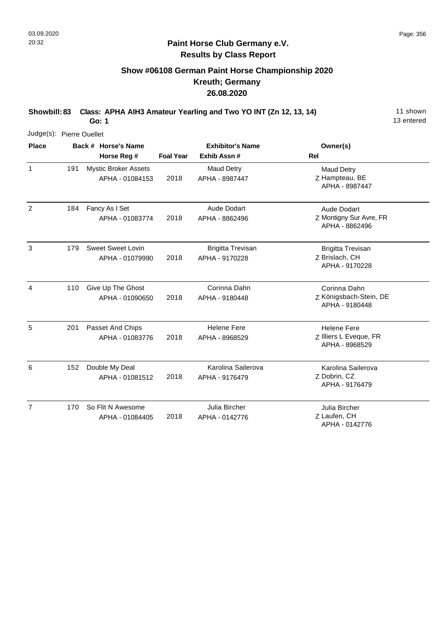# **Show #06108 German Paint Horse Championship 2020 Kreuth; Germany 26.08.2020**

**Showbill: 83 Class: APHA AIH3 Amateur Yearling and Two YO INT (Zn 12, 13, 14)** 11 shown

**Go: 1**

| Judge(s): Pierre Ouellet |     |                                                |                  |                                            |                                                                |
|--------------------------|-----|------------------------------------------------|------------------|--------------------------------------------|----------------------------------------------------------------|
| <b>Place</b>             |     | Back # Horse's Name                            |                  | <b>Exhibitor's Name</b>                    | Owner(s)                                                       |
|                          |     | Horse Reg #                                    | <b>Foal Year</b> | Exhib Assn#                                | <b>Rel</b>                                                     |
| $\mathbf{1}$             | 191 | <b>Mystic Broker Assets</b><br>APHA - 01084153 | 2018             | <b>Maud Detry</b><br>APHA - 8987447        | <b>Maud Detry</b><br>Z Hampteau, BE<br>APHA - 8987447          |
| $\overline{2}$           | 184 | Fancy As I Set<br>APHA - 01083774              | 2018             | <b>Aude Dodart</b><br>APHA - 8862496       | Aude Dodart<br>Z Montigny Sur Avre, FR<br>APHA - 8862496       |
| 3                        | 179 | <b>Sweet Sweet Lovin</b><br>APHA - 01079990    | 2018             | <b>Brigitta Trevisan</b><br>APHA - 9170228 | <b>Brigitta Trevisan</b><br>Z Brislach, CH<br>APHA - 9170228   |
| 4                        | 110 | Give Up The Ghost<br>APHA - 01090650           | 2018             | Corinna Dahn<br>APHA - 9180448             | Corinna Dahn<br>Z Königsbach-Stein, DE<br>APHA - 9180448       |
| 5                        | 201 | Passet And Chips<br>APHA - 01083776            | 2018             | <b>Helene Fere</b><br>APHA - 8968529       | <b>Helene Fere</b><br>Z Illiers L Eveque, FR<br>APHA - 8968529 |
| 6                        | 152 | Double My Deal<br>APHA - 01081512              | 2018             | Karolina Sailerova<br>APHA - 9176479       | Karolina Sailerova<br>Z Dobrin, CZ<br>APHA - 9176479           |
| $\overline{7}$           | 170 | So Flit N Awesome<br>APHA - 01084405           | 2018             | Julia Bircher<br>APHA - 0142776            | Julia Bircher<br>Z Laufen, CH<br>APHA - 0142776                |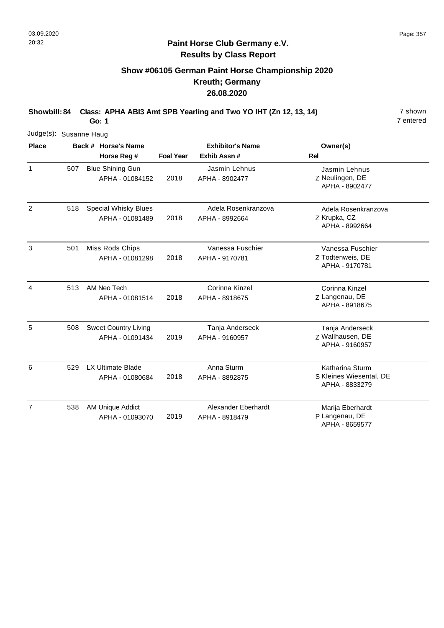# **Show #06105 German Paint Horse Championship 2020 Kreuth; Germany 26.08.2020**

**Showbill: 84 Class: APHA ABI3 Amt SPB Yearling and Two YO IHT (Zn 12, 13, 14)** 7 shown

**Go: 1**

| Judge(s): Susanne Haug |     |                                                |                  |                                       |                                                              |
|------------------------|-----|------------------------------------------------|------------------|---------------------------------------|--------------------------------------------------------------|
| <b>Place</b>           |     | Back # Horse's Name                            |                  | <b>Exhibitor's Name</b>               | Owner(s)                                                     |
|                        |     | Horse Reg #                                    | <b>Foal Year</b> | Exhib Assn #                          | Rel                                                          |
| $\mathbf{1}$           | 507 | <b>Blue Shining Gun</b><br>APHA - 01084152     | 2018             | Jasmin Lehnus<br>APHA - 8902477       | Jasmin Lehnus<br>Z Neulingen, DE<br>APHA - 8902477           |
| 2                      | 518 | <b>Special Whisky Blues</b><br>APHA - 01081489 | 2018             | Adela Rosenkranzova<br>APHA - 8992664 | Adela Rosenkranzova<br>Z Krupka, CZ<br>APHA - 8992664        |
| 3                      | 501 | Miss Rods Chips<br>APHA - 01081298             | 2018             | Vanessa Fuschier<br>APHA - 9170781    | Vanessa Fuschier<br>Z Todtenweis, DE<br>APHA - 9170781       |
| 4                      | 513 | AM Neo Tech<br>APHA - 01081514                 | 2018             | Corinna Kinzel<br>APHA - 8918675      | Corinna Kinzel<br>Z Langenau, DE<br>APHA - 8918675           |
| 5                      | 508 | <b>Sweet Country Living</b><br>APHA - 01091434 | 2019             | Tanja Anderseck<br>APHA - 9160957     | Tanja Anderseck<br>Z Wallhausen, DE<br>APHA - 9160957        |
| 6                      | 529 | <b>LX Ultimate Blade</b><br>APHA - 01080684    | 2018             | Anna Sturm<br>APHA - 8892875          | Katharina Sturm<br>S Kleines Wiesental, DE<br>APHA - 8833279 |
| $\overline{7}$         | 538 | AM Unique Addict<br>APHA - 01093070            | 2019             | Alexander Eberhardt<br>APHA - 8918479 | Marija Eberhardt<br>P Langenau, DE<br>APHA - 8659577         |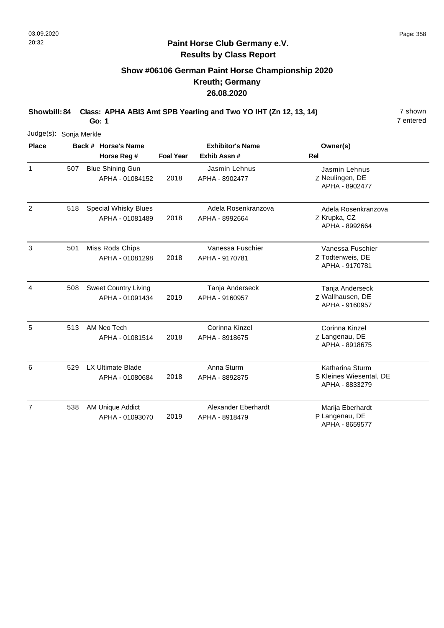# **Show #06106 German Paint Horse Championship 2020 Kreuth; Germany 26.08.2020**

**Showbill: 84 Class: APHA ABI3 Amt SPB Yearling and Two YO IHT (Zn 12, 13, 14)** 7 shown

**Go: 1**

| Judge(s):      | Sonja Merkle |                                                |                  |                                         |                                                                     |
|----------------|--------------|------------------------------------------------|------------------|-----------------------------------------|---------------------------------------------------------------------|
| <b>Place</b>   |              | Back # Horse's Name<br>Horse Reg #             | <b>Foal Year</b> | <b>Exhibitor's Name</b><br>Exhib Assn # | Owner(s)<br>Rel                                                     |
| $\mathbf{1}$   | 507          | <b>Blue Shining Gun</b><br>APHA - 01084152     | 2018             | Jasmin Lehnus<br>APHA - 8902477         | Jasmin Lehnus<br>Z Neulingen, DE<br>APHA - 8902477                  |
| $\overline{2}$ | 518          | <b>Special Whisky Blues</b><br>APHA - 01081489 | 2018             | Adela Rosenkranzova<br>APHA - 8992664   | Adela Rosenkranzova<br>Z Krupka, CZ<br>APHA - 8992664               |
| 3              | 501          | Miss Rods Chips<br>APHA - 01081298             | 2018             | Vanessa Fuschier<br>APHA - 9170781      | Vanessa Fuschier<br>Z Todtenweis, DE<br>APHA - 9170781              |
| 4              | 508          | <b>Sweet Country Living</b><br>APHA - 01091434 | 2019             | Tanja Anderseck<br>APHA - 9160957       | Tanja Anderseck<br>Z Wallhausen, DE<br>APHA - 9160957               |
| 5              | 513          | AM Neo Tech<br>APHA - 01081514                 | 2018             | Corinna Kinzel<br>APHA - 8918675        | Corinna Kinzel<br>Z Langenau, DE<br>APHA - 8918675                  |
| 6              | 529          | <b>LX Ultimate Blade</b><br>APHA - 01080684    | 2018             | Anna Sturm<br>APHA - 8892875            | <b>Katharina Sturm</b><br>S Kleines Wiesental, DE<br>APHA - 8833279 |
| $\overline{7}$ | 538          | AM Unique Addict<br>APHA - 01093070            | 2019             | Alexander Eberhardt<br>APHA - 8918479   | Marija Eberhardt<br>P Langenau, DE<br>APHA - 8659577                |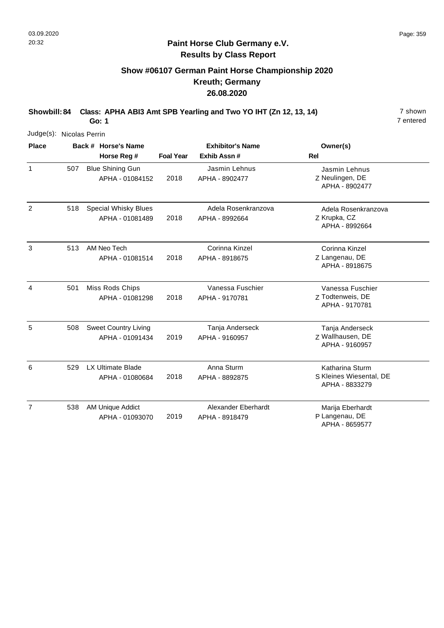# **Show #06107 German Paint Horse Championship 2020 Kreuth; Germany 26.08.2020**

**Showbill: 84 Class: APHA ABI3 Amt SPB Yearling and Two YO IHT (Zn 12, 13, 14)** 7 shown

**Go: 1**

|                | Judge(s): Nicolas Perrin |                                                |                  |                                         |                                                              |  |  |  |
|----------------|--------------------------|------------------------------------------------|------------------|-----------------------------------------|--------------------------------------------------------------|--|--|--|
| <b>Place</b>   |                          | Back # Horse's Name<br>Horse Reg #             | <b>Foal Year</b> | <b>Exhibitor's Name</b><br>Exhib Assn # | Owner(s)<br>Rel                                              |  |  |  |
| $\mathbf{1}$   | 507                      | <b>Blue Shining Gun</b><br>APHA - 01084152     | 2018             | Jasmin Lehnus<br>APHA - 8902477         | Jasmin Lehnus<br>Z Neulingen, DE<br>APHA - 8902477           |  |  |  |
| 2              | 518                      | <b>Special Whisky Blues</b><br>APHA - 01081489 | 2018             | Adela Rosenkranzova<br>APHA - 8992664   | Adela Rosenkranzova<br>Z Krupka, CZ<br>APHA - 8992664        |  |  |  |
| 3              | 513                      | AM Neo Tech<br>APHA - 01081514                 | 2018             | Corinna Kinzel<br>APHA - 8918675        | Corinna Kinzel<br>Z Langenau, DE<br>APHA - 8918675           |  |  |  |
| 4              | 501                      | Miss Rods Chips<br>APHA - 01081298             | 2018             | Vanessa Fuschier<br>APHA - 9170781      | Vanessa Fuschier<br>Z Todtenweis, DE<br>APHA - 9170781       |  |  |  |
| 5              | 508                      | <b>Sweet Country Living</b><br>APHA - 01091434 | 2019             | Tanja Anderseck<br>APHA - 9160957       | Tanja Anderseck<br>Z Wallhausen, DE<br>APHA - 9160957        |  |  |  |
| 6              | 529                      | <b>LX Ultimate Blade</b><br>APHA - 01080684    | 2018             | Anna Sturm<br>APHA - 8892875            | Katharina Sturm<br>S Kleines Wiesental, DE<br>APHA - 8833279 |  |  |  |
| $\overline{7}$ | 538                      | AM Unique Addict<br>APHA - 01093070            | 2019             | Alexander Eberhardt<br>APHA - 8918479   | Marija Eberhardt<br>P Langenau, DE<br>APHA - 8659577         |  |  |  |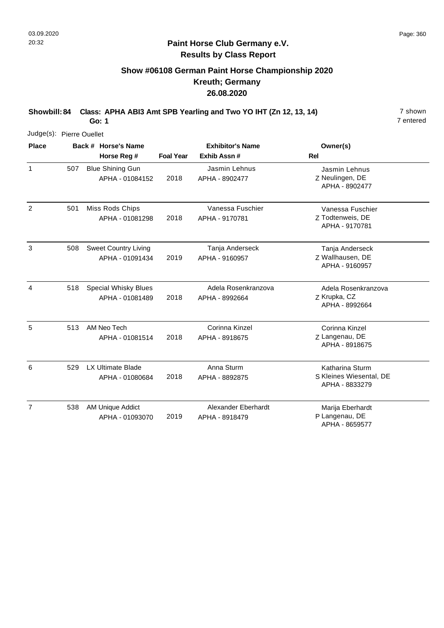# **Show #06108 German Paint Horse Championship 2020 Kreuth; Germany 26.08.2020**

**Showbill: 84 Class: APHA ABI3 Amt SPB Yearling and Two YO IHT (Zn 12, 13, 14)** 7 shown

**Go: 1**

| Judge(s): Pierre Ouellet |     |                                                |                  |                                        |                                                              |
|--------------------------|-----|------------------------------------------------|------------------|----------------------------------------|--------------------------------------------------------------|
| <b>Place</b>             |     | Back # Horse's Name<br>Horse Reg #             | <b>Foal Year</b> | <b>Exhibitor's Name</b><br>Exhib Assn# | Owner(s)<br><b>Rel</b>                                       |
| $\mathbf{1}$             | 507 | <b>Blue Shining Gun</b><br>APHA - 01084152     | 2018             | Jasmin Lehnus<br>APHA - 8902477        | Jasmin Lehnus<br>Z Neulingen, DE<br>APHA - 8902477           |
| $\overline{2}$           | 501 | Miss Rods Chips<br>APHA - 01081298             | 2018             | Vanessa Fuschier<br>APHA - 9170781     | Vanessa Fuschier<br>Z Todtenweis, DE<br>APHA - 9170781       |
| 3                        | 508 | <b>Sweet Country Living</b><br>APHA - 01091434 | 2019             | Tanja Anderseck<br>APHA - 9160957      | Tanja Anderseck<br>Z Wallhausen, DE<br>APHA - 9160957        |
| 4                        | 518 | <b>Special Whisky Blues</b><br>APHA - 01081489 | 2018             | Adela Rosenkranzova<br>APHA - 8992664  | Adela Rosenkranzova<br>Z Krupka, CZ<br>APHA - 8992664        |
| 5                        | 513 | AM Neo Tech<br>APHA - 01081514                 | 2018             | Corinna Kinzel<br>APHA - 8918675       | Corinna Kinzel<br>Z Langenau, DE<br>APHA - 8918675           |
| 6                        | 529 | LX Ultimate Blade<br>APHA - 01080684           | 2018             | Anna Sturm<br>APHA - 8892875           | Katharina Sturm<br>S Kleines Wiesental, DE<br>APHA - 8833279 |
| $\overline{7}$           | 538 | AM Unique Addict<br>APHA - 01093070            | 2019             | Alexander Eberhardt<br>APHA - 8918479  | Marija Eberhardt<br>P Langenau, DE<br>APHA - 8659577         |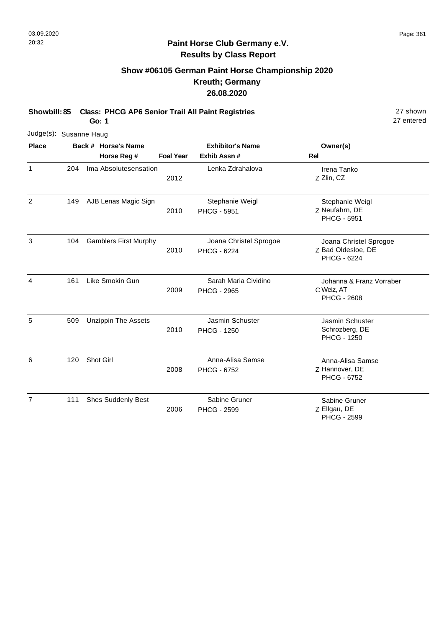# **Show #06105 German Paint Horse Championship 2020 Kreuth; Germany 26.08.2020**

**Showbill: 85 Class: PHCG AP6 Senior Trail All Paint Registries** 27 shown

**Go: 1**

| Judge(s): Susanne Haug |     |                              |                  |                                              |                                                                    |
|------------------------|-----|------------------------------|------------------|----------------------------------------------|--------------------------------------------------------------------|
| <b>Place</b>           |     | Back # Horse's Name          |                  | <b>Exhibitor's Name</b>                      | Owner(s)                                                           |
|                        |     | Horse Reg #                  | <b>Foal Year</b> | Exhib Assn #                                 | Rel                                                                |
| 1                      | 204 | Ima Absolutesensation        | 2012             | Lenka Zdrahalova                             | Irena Tanko<br>Z Zlin, CZ                                          |
| $\overline{2}$         | 149 | AJB Lenas Magic Sign         | 2010             | Stephanie Weigl<br><b>PHCG - 5951</b>        | Stephanie Weigl<br>Z Neufahrn, DE<br><b>PHCG - 5951</b>            |
| 3                      | 104 | <b>Gamblers First Murphy</b> | 2010             | Joana Christel Sprogoe<br><b>PHCG - 6224</b> | Joana Christel Sprogoe<br>Z Bad Oldesloe, DE<br><b>PHCG - 6224</b> |
| 4                      | 161 | Like Smokin Gun              | 2009             | Sarah Maria Cividino<br><b>PHCG - 2965</b>   | Johanna & Franz Vorraber<br>C Weiz, AT<br><b>PHCG - 2608</b>       |
| 5                      | 509 | <b>Unzippin The Assets</b>   | 2010             | Jasmin Schuster<br><b>PHCG - 1250</b>        | Jasmin Schuster<br>Schrozberg, DE<br><b>PHCG - 1250</b>            |
| 6                      | 120 | Shot Girl                    | 2008             | Anna-Alisa Samse<br><b>PHCG - 6752</b>       | Anna-Alisa Samse<br>Z Hannover, DE<br><b>PHCG - 6752</b>           |
| $\overline{7}$         | 111 | <b>Shes Suddenly Best</b>    | 2006             | Sabine Gruner<br><b>PHCG - 2599</b>          | Sabine Gruner<br>Z Ellgau, DE<br><b>PHCG - 2599</b>                |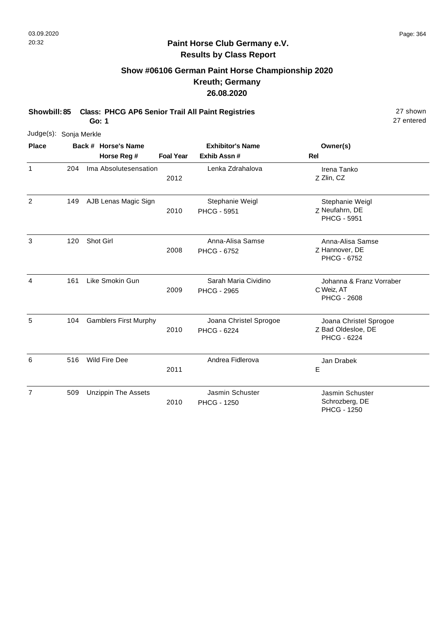# **Show #06106 German Paint Horse Championship 2020 Kreuth; Germany 26.08.2020**

**Showbill: 85 Class: PHCG AP6 Senior Trail All Paint Registries** 27 shown

**Go: 1**

| Judge(s): Sonja Merkle |     |                              |                  |                                            |                                                              |
|------------------------|-----|------------------------------|------------------|--------------------------------------------|--------------------------------------------------------------|
| <b>Place</b>           |     | Back # Horse's Name          |                  | <b>Exhibitor's Name</b>                    | Owner(s)                                                     |
|                        |     | Horse Reg #                  | <b>Foal Year</b> | Exhib Assn #                               | <b>Rel</b>                                                   |
| $\mathbf{1}$           | 204 | Ima Absolutesensation        | 2012             | Lenka Zdrahalova                           | Irena Tanko<br>Z Zlin, CZ                                    |
| $\overline{2}$         | 149 | AJB Lenas Magic Sign         | 2010             | Stephanie Weigl<br><b>PHCG - 5951</b>      | Stephanie Weigl<br>Z Neufahrn, DE<br><b>PHCG - 5951</b>      |
| 3                      | 120 | Shot Girl                    | 2008             | Anna-Alisa Samse<br><b>PHCG - 6752</b>     | Anna-Alisa Samse<br>Z Hannover, DE<br>PHCG - 6752            |
| 4                      | 161 | Like Smokin Gun              | 2009             | Sarah Maria Cividino<br><b>PHCG - 2965</b> | Johanna & Franz Vorraber<br>C Weiz, AT<br><b>PHCG - 2608</b> |
| 5                      | 104 | <b>Gamblers First Murphy</b> | 2010             | Joana Christel Sprogoe<br>PHCG - 6224      | Joana Christel Sprogoe<br>Z Bad Oldesloe, DE<br>PHCG - 6224  |
| 6                      | 516 | <b>Wild Fire Dee</b>         | 2011             | Andrea Fidlerova                           | Jan Drabek<br>E                                              |
| $\overline{7}$         | 509 | <b>Unzippin The Assets</b>   | 2010             | Jasmin Schuster<br><b>PHCG - 1250</b>      | Jasmin Schuster<br>Schrozberg, DE<br><b>PHCG - 1250</b>      |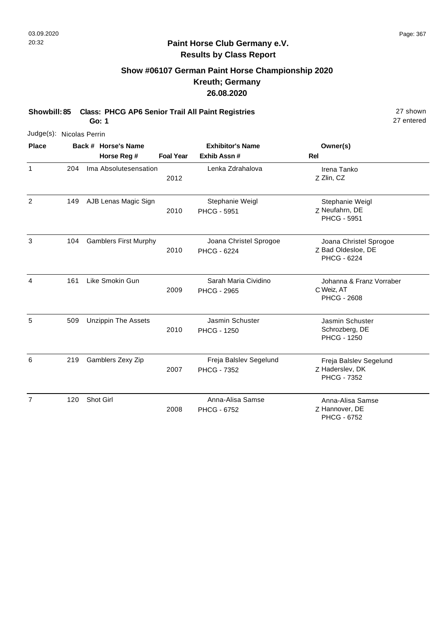# **Show #06107 German Paint Horse Championship 2020 Kreuth; Germany 26.08.2020**

**Showbill: 85 Class: PHCG AP6 Senior Trail All Paint Registries** 27 shown

**Go: 1**

27 entered

| Judge(s): Nicolas Perrin |     |                              |                  |                                              |                                                                    |
|--------------------------|-----|------------------------------|------------------|----------------------------------------------|--------------------------------------------------------------------|
| <b>Place</b>             |     | Back # Horse's Name          |                  | <b>Exhibitor's Name</b>                      | Owner(s)                                                           |
|                          |     | Horse Reg #                  | <b>Foal Year</b> | Exhib Assn#                                  | Rel                                                                |
| $\mathbf{1}$             | 204 | Ima Absolutesensation        | 2012             | Lenka Zdrahalova                             | Irena Tanko<br>Z Zlin, CZ                                          |
| 2                        | 149 | AJB Lenas Magic Sign         | 2010             | Stephanie Weigl<br><b>PHCG - 5951</b>        | Stephanie Weigl<br>Z Neufahrn, DE<br><b>PHCG - 5951</b>            |
| 3                        | 104 | <b>Gamblers First Murphy</b> | 2010             | Joana Christel Sprogoe<br>PHCG - 6224        | Joana Christel Sprogoe<br>Z Bad Oldesloe, DE<br><b>PHCG - 6224</b> |
| 4                        | 161 | Like Smokin Gun              | 2009             | Sarah Maria Cividino<br><b>PHCG - 2965</b>   | Johanna & Franz Vorraber<br>C Weiz, AT<br><b>PHCG - 2608</b>       |
| 5                        | 509 | <b>Unzippin The Assets</b>   | 2010             | Jasmin Schuster<br><b>PHCG - 1250</b>        | Jasmin Schuster<br>Schrozberg, DE<br><b>PHCG - 1250</b>            |
| 6                        | 219 | Gamblers Zexy Zip            | 2007             | Freja Balslev Segelund<br><b>PHCG - 7352</b> | Freja Balslev Segelund<br>Z Haderslev, DK<br><b>PHCG - 7352</b>    |
| $\overline{7}$           | 120 | Shot Girl                    | 2008             | Anna-Alisa Samse<br><b>PHCG - 6752</b>       | Anna-Alisa Samse<br>Z Hannover, DE                                 |

PHCG - 6752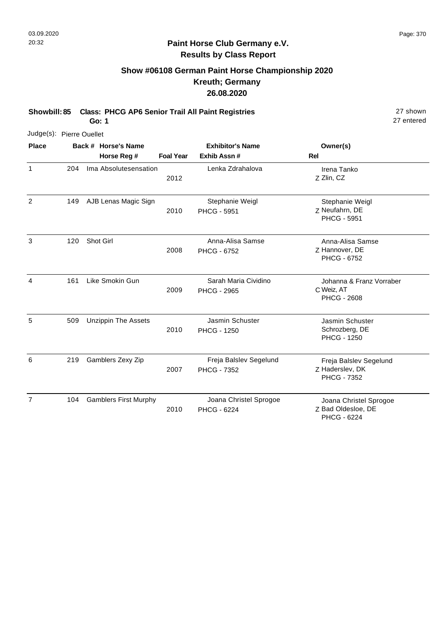### **Paint Horse Club Germany e.V. Results by Class Report**

## **Show #06108 German Paint Horse Championship 2020 Kreuth; Germany 26.08.2020**

**Showbill: 85 Class: PHCG AP6 Senior Trail All Paint Registries** 27 shown

**Go: 1**

| Judge(s): Pierre Ouellet |     |                                    |                  |                                              |                                                                 |
|--------------------------|-----|------------------------------------|------------------|----------------------------------------------|-----------------------------------------------------------------|
| <b>Place</b>             |     | Back # Horse's Name<br>Horse Reg # | <b>Foal Year</b> | <b>Exhibitor's Name</b><br>Exhib Assn#       | Owner(s)<br>Rel                                                 |
| $\mathbf{1}$             | 204 | Ima Absolutesensation              | 2012             | Lenka Zdrahalova                             | Irena Tanko<br>Z Zlin, CZ                                       |
| $\overline{2}$           | 149 | AJB Lenas Magic Sign               | 2010             | Stephanie Weigl<br><b>PHCG - 5951</b>        | Stephanie Weigl<br>Z Neufahrn, DE<br><b>PHCG - 5951</b>         |
| 3                        | 120 | Shot Girl                          | 2008             | Anna-Alisa Samse<br><b>PHCG - 6752</b>       | Anna-Alisa Samse<br>Z Hannover, DE<br><b>PHCG - 6752</b>        |
| 4                        | 161 | Like Smokin Gun                    | 2009             | Sarah Maria Cividino<br><b>PHCG - 2965</b>   | Johanna & Franz Vorraber<br>C Weiz, AT<br><b>PHCG - 2608</b>    |
| 5                        | 509 | <b>Unzippin The Assets</b>         | 2010             | Jasmin Schuster<br><b>PHCG - 1250</b>        | Jasmin Schuster<br>Schrozberg, DE<br><b>PHCG - 1250</b>         |
| 6                        | 219 | Gamblers Zexy Zip                  | 2007             | Freja Balslev Segelund<br><b>PHCG - 7352</b> | Freja Balslev Segelund<br>Z Haderslev, DK<br><b>PHCG - 7352</b> |
| $\overline{7}$           | 104 | <b>Gamblers First Murphy</b>       | 2010             | Joana Christel Sprogoe<br>PHCG - 6224        | Joana Christel Sprogoe<br>Z Bad Oldesloe, DE<br>PHCG - 6224     |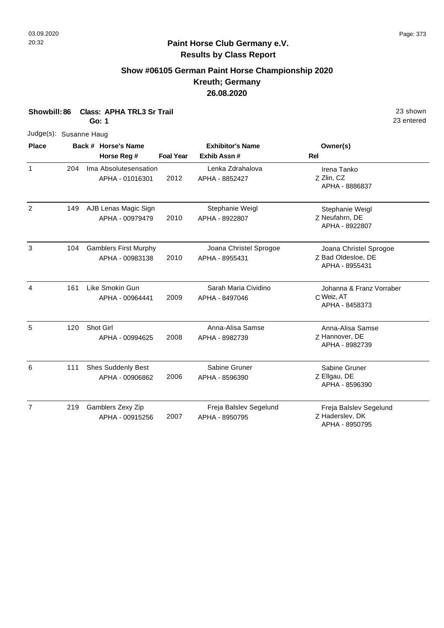### **Show #06105 German Paint Horse Championship 2020 Kreuth; Germany 26.08.2020**

**Showbill: 86 Class: APHA TRL3 Sr Trail** 23 shown **Go: 1** Judge(s): Susanne Haug **Back # Horse's Name Place Owner(s) Horse Reg # Exhib Assn # Foal Year Rel Exhibitor's Name** 1 Z Zlin, CZ Irena Tanko APHA - 8886837 2012 Ima Absolutesensation APHA - 01016301 Lenka Zdrahalova APHA - 8852427 204 2 Z Neufahrn, DE Stephanie Weigl APHA - 8922807 2010 AJB Lenas Magic Sign APHA - 00979479 Stephanie Weigl APHA - 8922807 149 3 Z Bad Oldesloe, DE Joana Christel Sprogoe APHA - 8955431 2010 Gamblers First Murphy APHA - 00983138 Joana Christel Sprogoe APHA - 8955431 104 4 C Weiz, AT Johanna & Franz Vorraber APHA - 8458373 2009 Like Smokin Gun APHA - 00964441 Sarah Maria Cividino APHA - 8497046 161 5 Z Hannover, DE Anna-Alisa Samse APHA - 8982739 2008 120 Shot Girl APHA - 00994625 Anna-Alisa Samse APHA - 8982739 6 Z Ellgau, DE Sabine Gruner APHA - 8596390 2006 Shes Suddenly Best APHA - 00906862 Sabine Gruner APHA - 8596390 111 7 Freja Balslev Segelund 2007 Gamblers Zexy Zip APHA - 00915256 Freja Balslev Segelund APHA - 8950795 219

Z Haderslev, DK APHA - 8950795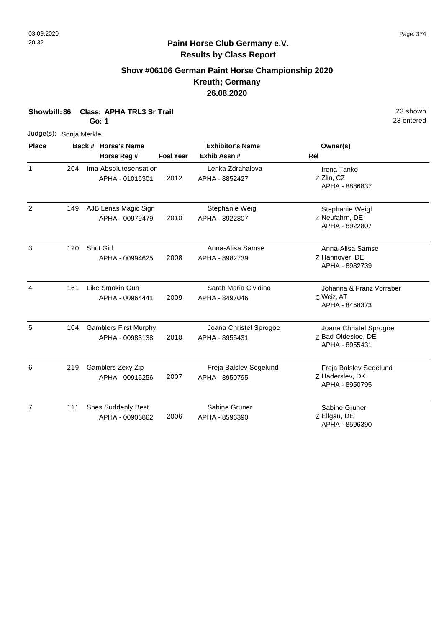### **Paint Horse Club Germany e.V. Results by Class Report**

## **Show #06106 German Paint Horse Championship 2020 Kreuth; Germany 26.08.2020**

**Showbill: 86 Class: APHA TRL3 Sr Trail** 23 shown

**Go: 1**

Judge(s): Sonja Merkle

| <b>Place</b>   |     | Back # Horse's Name                             |                  | <b>Exhibitor's Name</b>                  | Owner(s)                                                       |
|----------------|-----|-------------------------------------------------|------------------|------------------------------------------|----------------------------------------------------------------|
|                |     | Horse Reg #                                     | <b>Foal Year</b> | Exhib Assn#                              | <b>Rel</b>                                                     |
| $\mathbf{1}$   | 204 | Ima Absolutesensation<br>APHA - 01016301        | 2012             | Lenka Zdrahalova<br>APHA - 8852427       | Irena Tanko<br>Z Zlin, CZ<br>APHA - 8886837                    |
| 2              | 149 | AJB Lenas Magic Sign<br>APHA - 00979479         | 2010             | Stephanie Weigl<br>APHA - 8922807        | Stephanie Weigl<br>Z Neufahrn, DE<br>APHA - 8922807            |
| 3              | 120 | Shot Girl<br>APHA - 00994625                    | 2008             | Anna-Alisa Samse<br>APHA - 8982739       | Anna-Alisa Samse<br>Z Hannover, DE<br>APHA - 8982739           |
| 4              | 161 | Like Smokin Gun<br>APHA - 00964441              | 2009             | Sarah Maria Cividino<br>APHA - 8497046   | Johanna & Franz Vorraber<br>C Weiz, AT<br>APHA - 8458373       |
| 5              | 104 | <b>Gamblers First Murphy</b><br>APHA - 00983138 | 2010             | Joana Christel Sprogoe<br>APHA - 8955431 | Joana Christel Sprogoe<br>Z Bad Oldesloe, DE<br>APHA - 8955431 |
| 6              | 219 | Gamblers Zexy Zip<br>APHA - 00915256            | 2007             | Freja Balslev Segelund<br>APHA - 8950795 | Freja Balslev Segelund<br>Z Haderslev, DK<br>APHA - 8950795    |
| $\overline{7}$ | 111 | Shes Suddenly Best<br>APHA - 00906862           | 2006             | Sabine Gruner<br>APHA - 8596390          | Sabine Gruner<br>Z Ellgau, DE<br>APHA - 8596390                |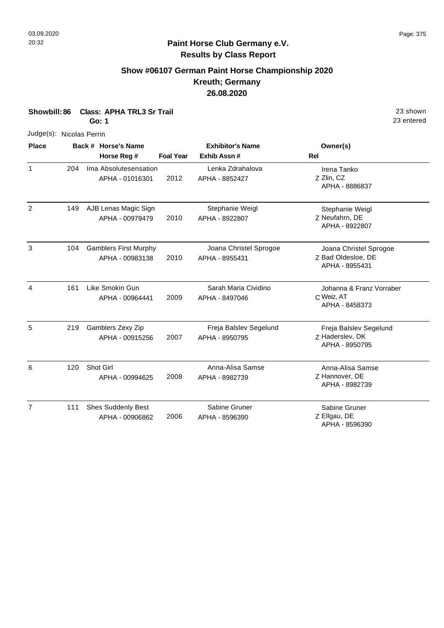### **Paint Horse Club Germany e.V. Results by Class Report**

## **Show #06107 German Paint Horse Championship 2020 Kreuth; Germany 26.08.2020**

**Showbill: 86 Class: APHA TRL3 Sr Trail** 23 shown

**Go: 1**

Judge(s): Nicolas Perrin

| <b>Place</b>   |     | Back # Horse's Name                             |                  | <b>Exhibitor's Name</b>                  | Owner(s)                                                       |
|----------------|-----|-------------------------------------------------|------------------|------------------------------------------|----------------------------------------------------------------|
|                |     | Horse Reg #                                     | <b>Foal Year</b> | Exhib Assn #                             | Rel                                                            |
| $\mathbf{1}$   | 204 | Ima Absolutesensation<br>APHA - 01016301        | 2012             | Lenka Zdrahalova<br>APHA - 8852427       | Irena Tanko<br>Z Zlin, CZ<br>APHA - 8886837                    |
| $\overline{2}$ | 149 | AJB Lenas Magic Sign<br>APHA - 00979479         | 2010             | Stephanie Weigl<br>APHA - 8922807        | Stephanie Weigl<br>Z Neufahrn, DE<br>APHA - 8922807            |
| 3              | 104 | <b>Gamblers First Murphy</b><br>APHA - 00983138 | 2010             | Joana Christel Sprogoe<br>APHA - 8955431 | Joana Christel Sprogoe<br>Z Bad Oldesloe, DE<br>APHA - 8955431 |
| $\overline{4}$ | 161 | Like Smokin Gun<br>APHA - 00964441              | 2009             | Sarah Maria Cividino<br>APHA - 8497046   | Johanna & Franz Vorraber<br>C Weiz, AT<br>APHA - 8458373       |
| 5              | 219 | Gamblers Zexy Zip<br>APHA - 00915256            | 2007             | Freja Balslev Segelund<br>APHA - 8950795 | Freja Balslev Segelund<br>Z Haderslev, DK<br>APHA - 8950795    |
| 6              | 120 | Shot Girl<br>APHA - 00994625                    | 2008             | Anna-Alisa Samse<br>APHA - 8982739       | Anna-Alisa Samse<br>Z Hannover, DE<br>APHA - 8982739           |
| $\overline{7}$ | 111 | <b>Shes Suddenly Best</b><br>APHA - 00906862    | 2006             | Sabine Gruner<br>APHA - 8596390          | Sabine Gruner<br>Z Ellgau, DE<br>APHA - 8596390                |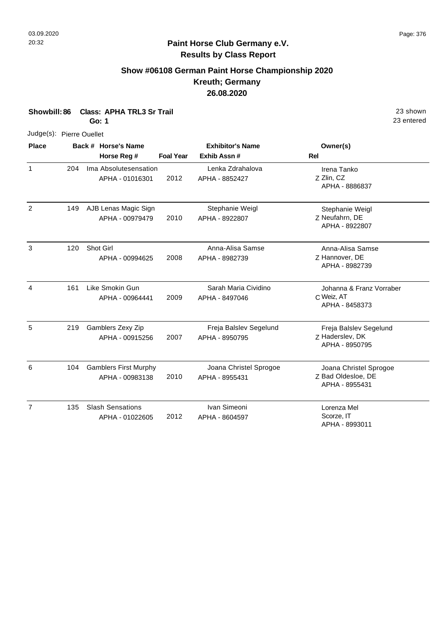# **Paint Horse Club Germany e.V. Results by Class Report**

## **Show #06108 German Paint Horse Championship 2020 Kreuth; Germany 26.08.2020**

**Showbill: 86 Class: APHA TRL3 Sr Trail** 23 shown

**Go: 1**

Judge(s): Pierre Ouellet

| <b>Place</b>   |     | Back # Horse's Name                             |                  | <b>Exhibitor's Name</b>                  | Owner(s)                                                       |
|----------------|-----|-------------------------------------------------|------------------|------------------------------------------|----------------------------------------------------------------|
|                |     | Horse Reg #                                     | <b>Foal Year</b> | Exhib Assn #                             | <b>Rel</b>                                                     |
| $\mathbf{1}$   | 204 | Ima Absolutesensation<br>APHA - 01016301        | 2012             | Lenka Zdrahalova<br>APHA - 8852427       | Irena Tanko<br>Z Zlin, CZ<br>APHA - 8886837                    |
| 2              | 149 | AJB Lenas Magic Sign<br>APHA - 00979479         | 2010             | Stephanie Weigl<br>APHA - 8922807        | Stephanie Weigl<br>Z Neufahrn, DE<br>APHA - 8922807            |
| 3              | 120 | Shot Girl<br>APHA - 00994625                    | 2008             | Anna-Alisa Samse<br>APHA - 8982739       | Anna-Alisa Samse<br>Z Hannover, DE<br>APHA - 8982739           |
| 4              | 161 | Like Smokin Gun<br>APHA - 00964441              | 2009             | Sarah Maria Cividino<br>APHA - 8497046   | Johanna & Franz Vorraber<br>C Weiz, AT<br>APHA - 8458373       |
| 5              | 219 | Gamblers Zexy Zip<br>APHA - 00915256            | 2007             | Freja Balslev Segelund<br>APHA - 8950795 | Freja Balslev Segelund<br>Z Haderslev, DK<br>APHA - 8950795    |
| 6              | 104 | <b>Gamblers First Murphy</b><br>APHA - 00983138 | 2010             | Joana Christel Sprogoe<br>APHA - 8955431 | Joana Christel Sprogoe<br>Z Bad Oldesloe, DE<br>APHA - 8955431 |
| $\overline{7}$ | 135 | <b>Slash Sensations</b><br>APHA - 01022605      | 2012             | Ivan Simeoni<br>APHA - 8604597           | Lorenza Mel<br>Scorze, IT<br>APHA - 8993011                    |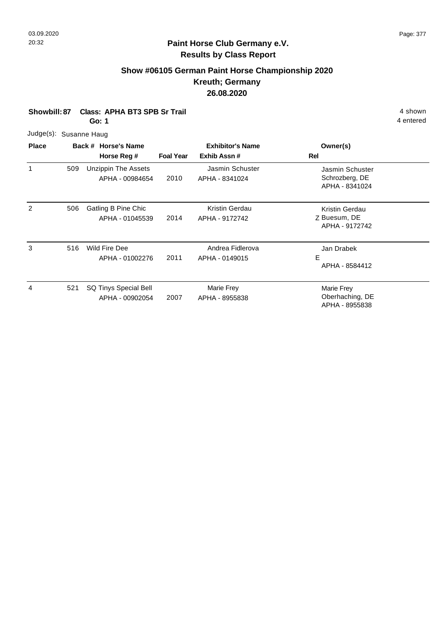## **Show #06105 German Paint Horse Championship 2020 Kreuth; Germany 26.08.2020**

**Showbill: 87 Class: APHA BT3 SPB Sr Trail 4 Shown 2018 12 Shown 4 shown 4 shown 4 shown 4 shown 4 shown 4 shown** 

**Go: 1**

4 entered

Judge(s): Susanne Haug

| <b>Place</b> |     | Back # Horse's Name                           |                  | <b>Exhibitor's Name</b>            | Owner(s)                                            |
|--------------|-----|-----------------------------------------------|------------------|------------------------------------|-----------------------------------------------------|
|              |     | Horse Reg #                                   | <b>Foal Year</b> | Exhib Assn#                        | Rel                                                 |
| 1            | 509 | <b>Unzippin The Assets</b><br>APHA - 00984654 | 2010             | Jasmin Schuster<br>APHA - 8341024  | Jasmin Schuster<br>Schrozberg, DE<br>APHA - 8341024 |
| 2            | 506 | Gatling B Pine Chic<br>APHA - 01045539        | 2014             | Kristin Gerdau<br>APHA - 9172742   | Kristin Gerdau<br>Z Buesum, DE<br>APHA - 9172742    |
| 3            | 516 | Wild Fire Dee<br>APHA - 01002276              | 2011             | Andrea Fidlerova<br>APHA - 0149015 | Jan Drabek<br>E<br>APHA - 8584412                   |
| 4            | 521 | SQ Tinys Special Bell<br>APHA - 00902054      | 2007             | Marie Frey<br>APHA - 8955838       | Marie Frey<br>Oberhaching, DE<br>APHA - 8955838     |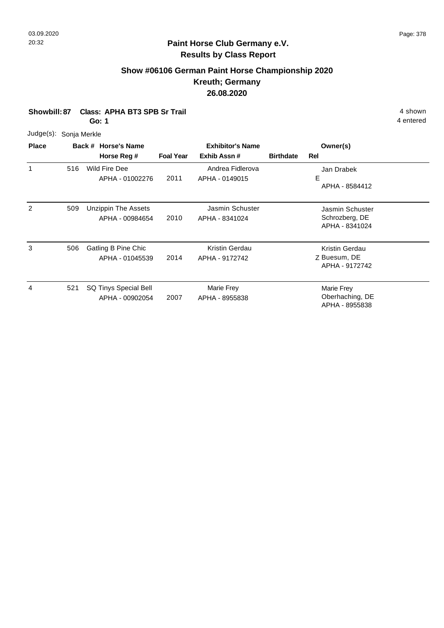## **Paint Horse Club Germany e.V. Results by Class Report**

## **Show #06106 German Paint Horse Championship 2020 Kreuth; Germany 26.08.2020**

**Showbill: 87 Class: APHA BT3 SPB Sr Trail 4 Shown 2018 12 Shown 4 shown 4 shown 4 shown 4 shown 4 shown 4 shown** 

**Go: 1**

Judge(s): Sonja Merkle

| <b>Place</b> |     | Back # Horse's Name                           | <b>Exhibitor's Name</b> |                                    |                  | Owner(s)                                            |  |
|--------------|-----|-----------------------------------------------|-------------------------|------------------------------------|------------------|-----------------------------------------------------|--|
|              |     | Horse Reg #                                   | <b>Foal Year</b>        | Exhib Assn#                        | <b>Birthdate</b> | Rel                                                 |  |
| 1            | 516 | Wild Fire Dee<br>APHA - 01002276              | 2011                    | Andrea Fidlerova<br>APHA - 0149015 |                  | Jan Drabek<br>Е<br>APHA - 8584412                   |  |
| 2            | 509 | <b>Unzippin The Assets</b><br>APHA - 00984654 | 2010                    | Jasmin Schuster<br>APHA - 8341024  |                  | Jasmin Schuster<br>Schrozberg, DE<br>APHA - 8341024 |  |
| 3            | 506 | Gatling B Pine Chic<br>APHA - 01045539        | 2014                    | Kristin Gerdau<br>APHA - 9172742   |                  | Kristin Gerdau<br>Z Buesum, DE<br>APHA - 9172742    |  |
| 4            | 521 | SQ Tinys Special Bell<br>APHA - 00902054      | 2007                    | Marie Frey<br>APHA - 8955838       |                  | Marie Frey<br>Oberhaching, DE<br>APHA - 8955838     |  |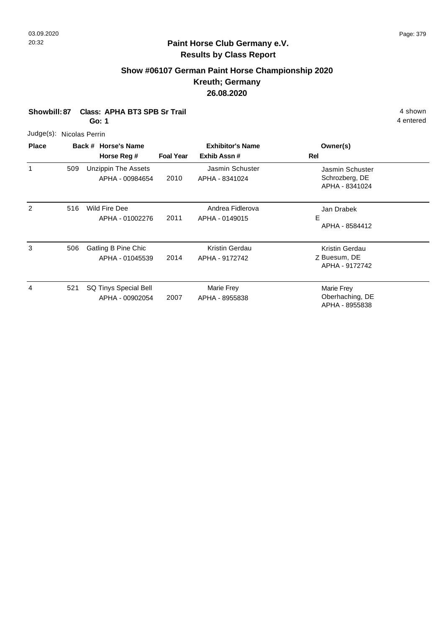## **Show #06107 German Paint Horse Championship 2020 Kreuth; Germany 26.08.2020**

**Showbill: 87 Class: APHA BT3 SPB Sr Trail 4 Shown 2018 12 Shown 4 shown 4 shown 4 shown 4 shown 4 shown 4 shown** 

**Go: 1**

4 entered

Judge(s): Nicolas Perrin

| <b>Place</b> |     | Back # Horse's Name                           |                  | <b>Exhibitor's Name</b>            | Owner(s)                                            |
|--------------|-----|-----------------------------------------------|------------------|------------------------------------|-----------------------------------------------------|
|              |     | Horse Reg #                                   | <b>Foal Year</b> | Exhib Assn#                        | Rel                                                 |
| 1            | 509 | <b>Unzippin The Assets</b><br>APHA - 00984654 | 2010             | Jasmin Schuster<br>APHA - 8341024  | Jasmin Schuster<br>Schrozberg, DE<br>APHA - 8341024 |
| 2            | 516 | Wild Fire Dee<br>APHA - 01002276              | 2011             | Andrea Fidlerova<br>APHA - 0149015 | Jan Drabek<br>E.<br>APHA - 8584412                  |
| 3            | 506 | Gatling B Pine Chic<br>APHA - 01045539        | 2014             | Kristin Gerdau<br>APHA - 9172742   | Kristin Gerdau<br>Z Buesum, DE<br>APHA - 9172742    |
| 4            | 521 | SQ Tinys Special Bell<br>APHA - 00902054      | 2007             | Marie Frey<br>APHA - 8955838       | Marie Frey<br>Oberhaching, DE<br>APHA - 8955838     |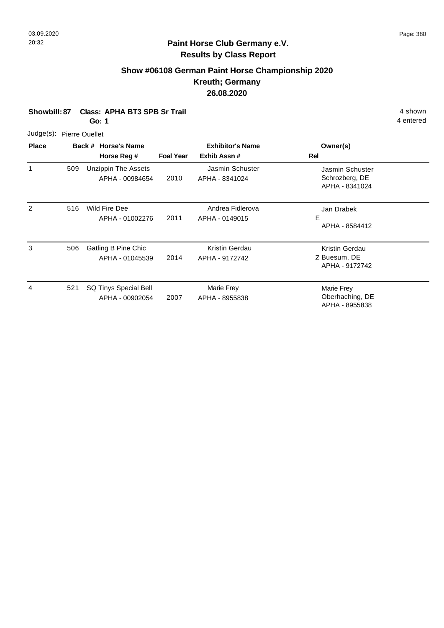## **Show #06108 German Paint Horse Championship 2020 Kreuth; Germany 26.08.2020**

**Showbill: 87 Class: APHA BT3 SPB Sr Trail 4 Shown 2018 12 Shown 4 shown 4 shown 4 shown 4 shown 4 shown 4 shown** 

**Go: 1**

4 entered

Judge(s): Pierre Ouellet

| <b>Place</b>  |     | Back # Horse's Name<br>Horse Reg #       | <b>Foal Year</b> | <b>Exhibitor's Name</b><br>Exhib Assn# | Owner(s)<br>Rel                                     |
|---------------|-----|------------------------------------------|------------------|----------------------------------------|-----------------------------------------------------|
|               | 509 | Unzippin The Assets<br>APHA - 00984654   | 2010             | Jasmin Schuster<br>APHA - 8341024      | Jasmin Schuster<br>Schrozberg, DE<br>APHA - 8341024 |
| $\mathcal{P}$ | 516 | Wild Fire Dee<br>APHA - 01002276         | 2011             | Andrea Fidlerova<br>APHA - 0149015     | Jan Drabek<br>E<br>APHA - 8584412                   |
| 3             | 506 | Gatling B Pine Chic<br>APHA - 01045539   | 2014             | Kristin Gerdau<br>APHA - 9172742       | Kristin Gerdau<br>Z Buesum, DE<br>APHA - 9172742    |
| 4             | 521 | SQ Tinys Special Bell<br>APHA - 00902054 | 2007             | Marie Frey<br>APHA - 8955838           | Marie Frey<br>Oberhaching, DE<br>APHA - 8955838     |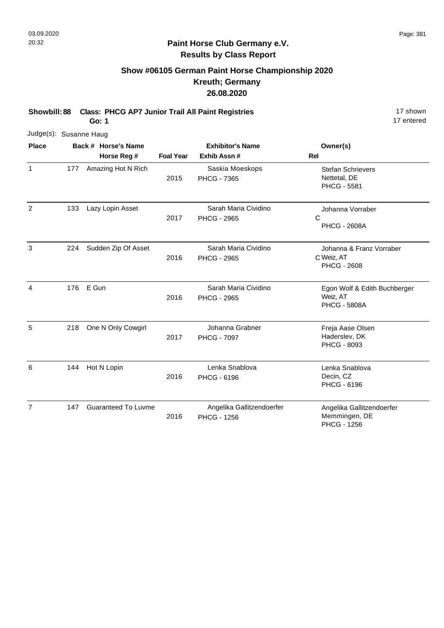# **Show #06105 German Paint Horse Championship 2020 Kreuth; Germany 26.08.2020**

**Showbill: 88 Class: PHCG AP7 Junior Trail All Paint Registries** 17 Shown

**Go: 1**

| Judge(s): Susanne Haug |     |                            |                  |                                                 |                                                                 |
|------------------------|-----|----------------------------|------------------|-------------------------------------------------|-----------------------------------------------------------------|
| <b>Place</b>           |     | Back # Horse's Name        |                  | <b>Exhibitor's Name</b>                         | Owner(s)                                                        |
|                        |     | Horse Reg #                | <b>Foal Year</b> | Exhib Assn #                                    | Rel                                                             |
| 1                      | 177 | Amazing Hot N Rich         | 2015             | Saskia Moeskops<br><b>PHCG - 7365</b>           | <b>Stefan Schrievers</b><br>Nettetal, DE<br><b>PHCG - 5581</b>  |
| 2                      | 133 | Lazy Lopin Asset           | 2017             | Sarah Maria Cividino<br><b>PHCG - 2965</b>      | Johanna Vorraber<br>C<br><b>PHCG - 2608A</b>                    |
| 3                      | 224 | Sudden Zip Of Asset        | 2016             | Sarah Maria Cividino<br><b>PHCG - 2965</b>      | Johanna & Franz Vorraber<br>C Weiz, AT<br><b>PHCG - 2608</b>    |
| $\overline{4}$         | 176 | E Gun                      | 2016             | Sarah Maria Cividino<br><b>PHCG - 2965</b>      | Egon Wolf & Edith Buchberger<br>Weiz, AT<br><b>PHCG - 5808A</b> |
| 5                      | 218 | One N Only Cowgirl         | 2017             | Johanna Grabner<br><b>PHCG - 7097</b>           | Freja Aase Olsen<br>Haderslev, DK<br>PHCG - 8093                |
| 6                      | 144 | Hot N Lopin                | 2016             | Lenka Snablova<br>PHCG - 6196                   | Lenka Snablova<br>Decin, CZ<br>PHCG - 6196                      |
| 7                      | 147 | <b>Guaranteed To Luvme</b> | 2016             | Angelika Gallitzendoerfer<br><b>PHCG - 1256</b> | Angelika Gallitzendoerfer<br>Memmingen, DE<br>PHCG - 1256       |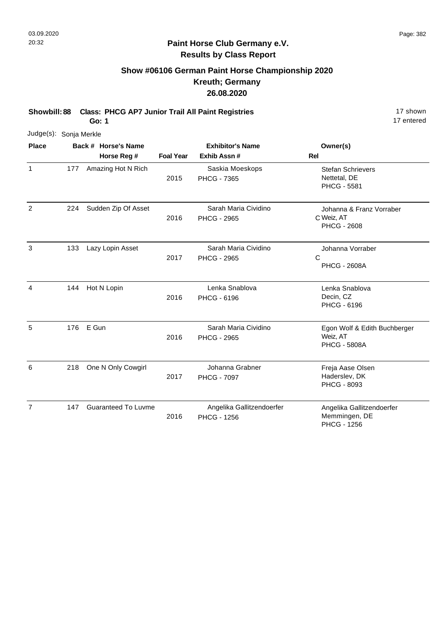### **Paint Horse Club Germany e.V. Results by Class Report**

## **Show #06106 German Paint Horse Championship 2020 Kreuth; Germany 26.08.2020**

**Showbill: 88 Class: PHCG AP7 Junior Trail All Paint Registries** 17 Shown

**Go: 1**

|                | Judge(s): Sonja Merkle |                                    |                  |                                                 |                                                                  |  |  |  |  |
|----------------|------------------------|------------------------------------|------------------|-------------------------------------------------|------------------------------------------------------------------|--|--|--|--|
| <b>Place</b>   |                        | Back # Horse's Name<br>Horse Reg # | <b>Foal Year</b> | <b>Exhibitor's Name</b><br>Exhib Assn #         | Owner(s)<br>Rel                                                  |  |  |  |  |
| 1              | 177                    | Amazing Hot N Rich                 | 2015             | Saskia Moeskops<br><b>PHCG - 7365</b>           | <b>Stefan Schrievers</b><br>Nettetal, DE<br><b>PHCG - 5581</b>   |  |  |  |  |
| 2              | 224                    | Sudden Zip Of Asset                | 2016             | Sarah Maria Cividino<br><b>PHCG - 2965</b>      | Johanna & Franz Vorraber<br>C Weiz, AT<br><b>PHCG - 2608</b>     |  |  |  |  |
| 3              | 133                    | Lazy Lopin Asset                   | 2017             | Sarah Maria Cividino<br><b>PHCG - 2965</b>      | Johanna Vorraber<br>C<br><b>PHCG - 2608A</b>                     |  |  |  |  |
| $\overline{4}$ | 144                    | Hot N Lopin                        | 2016             | Lenka Snablova<br>PHCG - 6196                   | Lenka Snablova<br>Decin, CZ<br>PHCG - 6196                       |  |  |  |  |
| 5              | 176                    | E Gun                              | 2016             | Sarah Maria Cividino<br><b>PHCG - 2965</b>      | Egon Wolf & Edith Buchberger<br>Weiz, AT<br><b>PHCG - 5808A</b>  |  |  |  |  |
| 6              | 218                    | One N Only Cowgirl                 | 2017             | Johanna Grabner<br><b>PHCG - 7097</b>           | Freja Aase Olsen<br>Haderslev, DK<br>PHCG - 8093                 |  |  |  |  |
| $\overline{7}$ | 147                    | <b>Guaranteed To Luvme</b>         | 2016             | Angelika Gallitzendoerfer<br><b>PHCG - 1256</b> | Angelika Gallitzendoerfer<br>Memmingen, DE<br><b>PHCG - 1256</b> |  |  |  |  |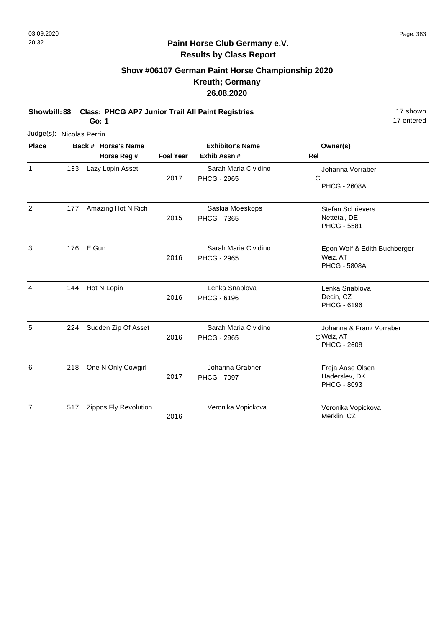# **Show #06107 German Paint Horse Championship 2020 Kreuth; Germany 26.08.2020**

**Showbill: 88 Class: PHCG AP7 Junior Trail All Paint Registries** 17 Shown

**Go: 1**

|              | Judge(s): Nicolas Perrin |                                    |                  |                                            |                                                                 |  |  |  |  |
|--------------|--------------------------|------------------------------------|------------------|--------------------------------------------|-----------------------------------------------------------------|--|--|--|--|
| <b>Place</b> |                          | Back # Horse's Name<br>Horse Reg # | <b>Foal Year</b> | <b>Exhibitor's Name</b><br>Exhib Assn#     | Owner(s)<br>Rel                                                 |  |  |  |  |
| $\mathbf{1}$ | 133                      | Lazy Lopin Asset                   | 2017             | Sarah Maria Cividino<br><b>PHCG - 2965</b> | Johanna Vorraber<br>$\mathsf{C}$<br><b>PHCG - 2608A</b>         |  |  |  |  |
| 2            | 177                      | Amazing Hot N Rich                 | 2015             | Saskia Moeskops<br><b>PHCG - 7365</b>      | <b>Stefan Schrievers</b><br>Nettetal, DE<br><b>PHCG - 5581</b>  |  |  |  |  |
| 3            | 176                      | E Gun                              | 2016             | Sarah Maria Cividino<br><b>PHCG - 2965</b> | Egon Wolf & Edith Buchberger<br>Weiz, AT<br><b>PHCG - 5808A</b> |  |  |  |  |
| 4            | 144                      | Hot N Lopin                        | 2016             | Lenka Snablova<br>PHCG - 6196              | Lenka Snablova<br>Decin, CZ<br>PHCG - 6196                      |  |  |  |  |
| 5            | 224                      | Sudden Zip Of Asset                | 2016             | Sarah Maria Cividino<br><b>PHCG - 2965</b> | Johanna & Franz Vorraber<br>C Weiz, AT<br><b>PHCG - 2608</b>    |  |  |  |  |
| 6            | 218                      | One N Only Cowgirl                 | 2017             | Johanna Grabner<br><b>PHCG - 7097</b>      | Freja Aase Olsen<br>Haderslev, DK<br>PHCG - 8093                |  |  |  |  |
| 7            | 517                      | Zippos Fly Revolution              | 2016             | Veronika Vopickova                         | Veronika Vopickova<br>Merklin, CZ                               |  |  |  |  |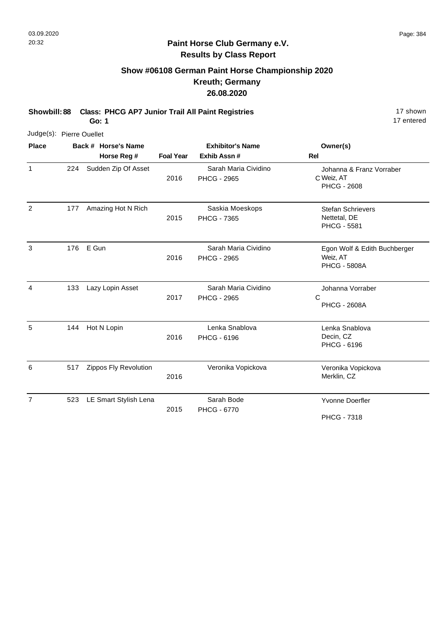$\overline{1}$ 

4

17 entered

### **Paint Horse Club Germany e.V. Results by Class Report**

## **Show #06108 German Paint Horse Championship 2020 Kreuth; Germany 26.08.2020**

**Showbill: 88 Class: PHCG AP7 Junior Trail All Paint Registries** 17 Shown

**Go: 1**

|                | Judge(s): Pierre Ouellet |                       |                  |                                            |                                                                 |  |  |  |  |
|----------------|--------------------------|-----------------------|------------------|--------------------------------------------|-----------------------------------------------------------------|--|--|--|--|
| <b>Place</b>   |                          | Back # Horse's Name   |                  | <b>Exhibitor's Name</b>                    | Owner(s)                                                        |  |  |  |  |
|                |                          | Horse Reg #           | <b>Foal Year</b> | Exhib Assn #                               | <b>Rel</b>                                                      |  |  |  |  |
| 1              | 224                      | Sudden Zip Of Asset   | 2016             | Sarah Maria Cividino<br><b>PHCG - 2965</b> | Johanna & Franz Vorraber<br>C Weiz, AT<br><b>PHCG - 2608</b>    |  |  |  |  |
| $\overline{2}$ | 177                      | Amazing Hot N Rich    | 2015             | Saskia Moeskops<br><b>PHCG - 7365</b>      | <b>Stefan Schrievers</b><br>Nettetal, DE<br><b>PHCG - 5581</b>  |  |  |  |  |
| 3              | 176                      | E Gun                 | 2016             | Sarah Maria Cividino<br><b>PHCG - 2965</b> | Egon Wolf & Edith Buchberger<br>Weiz, AT<br><b>PHCG - 5808A</b> |  |  |  |  |
| 4              | 133                      | Lazy Lopin Asset      | 2017             | Sarah Maria Cividino<br><b>PHCG - 2965</b> | Johanna Vorraber<br>$\mathsf{C}$<br><b>PHCG - 2608A</b>         |  |  |  |  |
| 5              | 144                      | Hot N Lopin           | 2016             | Lenka Snablova<br><b>PHCG - 6196</b>       | Lenka Snablova<br>Decin, CZ<br>PHCG - 6196                      |  |  |  |  |
| 6              | 517                      | Zippos Fly Revolution | 2016             | Veronika Vopickova                         | Veronika Vopickova<br>Merklin, CZ                               |  |  |  |  |
| 7              | 523                      | LE Smart Stylish Lena | 2015             | Sarah Bode<br>PHCG - 6770                  | <b>Yvonne Doerfler</b>                                          |  |  |  |  |

PHCG - 7318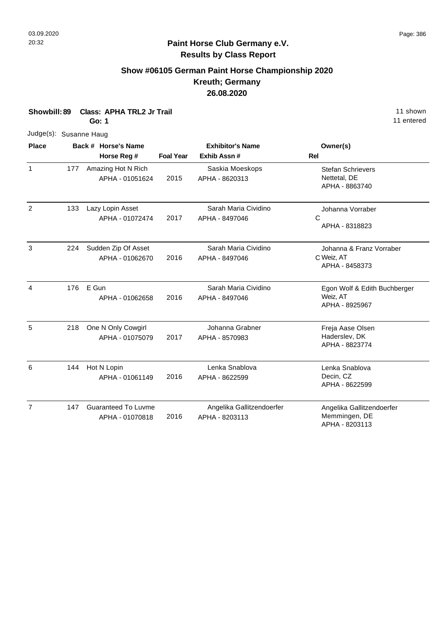# **Show #06105 German Paint Horse Championship 2020 Kreuth; Germany 26.08.2020**

| Showbill: 89           |     | <b>Class: APHA TRL2 Jr Trail</b><br>Go: 1     |                  |                                             | 11 shown<br>11 entered                                       |  |
|------------------------|-----|-----------------------------------------------|------------------|---------------------------------------------|--------------------------------------------------------------|--|
| Judge(s): Susanne Haug |     |                                               |                  |                                             |                                                              |  |
| <b>Place</b>           |     | Back # Horse's Name<br>Horse Reg #            | <b>Foal Year</b> | <b>Exhibitor's Name</b><br>Exhib Assn #     | Owner(s)<br><b>Rel</b>                                       |  |
| $\mathbf{1}$           | 177 | Amazing Hot N Rich<br>APHA - 01051624         | 2015             | Saskia Moeskops<br>APHA - 8620313           | <b>Stefan Schrievers</b><br>Nettetal, DE<br>APHA - 8863740   |  |
| 2                      | 133 | Lazy Lopin Asset<br>APHA - 01072474           | 2017             | Sarah Maria Cividino<br>APHA - 8497046      | Johanna Vorraber<br>C<br>APHA - 8318823                      |  |
| 3                      | 224 | Sudden Zip Of Asset<br>APHA - 01062670        | 2016             | Sarah Maria Cividino<br>APHA - 8497046      | Johanna & Franz Vorraber<br>C Weiz, AT<br>APHA - 8458373     |  |
| $\overline{4}$         | 176 | E Gun<br>APHA - 01062658                      | 2016             | Sarah Maria Cividino<br>APHA - 8497046      | Egon Wolf & Edith Buchberger<br>Weiz, AT<br>APHA - 8925967   |  |
| 5                      | 218 | One N Only Cowgirl<br>APHA - 01075079         | 2017             | Johanna Grabner<br>APHA - 8570983           | Freja Aase Olsen<br>Haderslev, DK<br>APHA - 8823774          |  |
| 6                      | 144 | Hot N Lopin<br>APHA - 01061149                | 2016             | Lenka Snablova<br>APHA - 8622599            | Lenka Snablova<br>Decin, CZ<br>APHA - 8622599                |  |
| $\overline{7}$         | 147 | <b>Guaranteed To Luvme</b><br>APHA - 01070818 | 2016             | Angelika Gallitzendoerfer<br>APHA - 8203113 | Angelika Gallitzendoerfer<br>Memmingen, DE<br>APHA - 8203113 |  |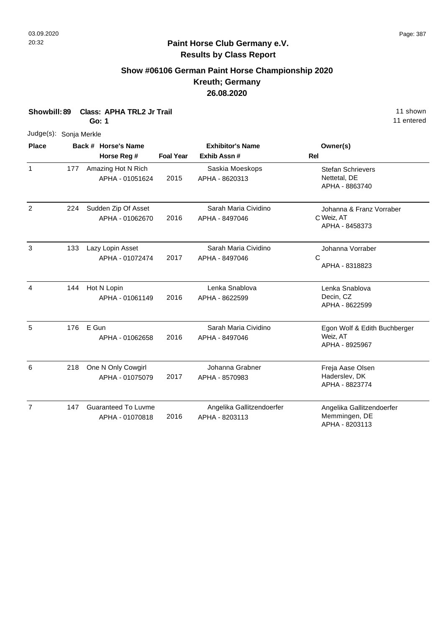# **Show #06106 German Paint Horse Championship 2020 Kreuth; Germany 26.08.2020**

| Showbill: 89           |     | Go: 1 | <b>Class: APHA TRL2 Jr Trail</b>              |                  |                                             | 11 shown<br>11 entered                                       |
|------------------------|-----|-------|-----------------------------------------------|------------------|---------------------------------------------|--------------------------------------------------------------|
| Judge(s): Sonja Merkle |     |       |                                               |                  |                                             |                                                              |
| <b>Place</b>           |     |       | Back # Horse's Name<br>Horse Reg #            | <b>Foal Year</b> | <b>Exhibitor's Name</b><br>Exhib Assn #     | Owner(s)<br>Rel                                              |
| $\mathbf{1}$           | 177 |       | Amazing Hot N Rich<br>APHA - 01051624         | 2015             | Saskia Moeskops<br>APHA - 8620313           | <b>Stefan Schrievers</b><br>Nettetal, DE<br>APHA - 8863740   |
| $\overline{2}$         | 224 |       | Sudden Zip Of Asset<br>APHA - 01062670        | 2016             | Sarah Maria Cividino<br>APHA - 8497046      | Johanna & Franz Vorraber<br>C Weiz, AT<br>APHA - 8458373     |
| 3                      | 133 |       | Lazy Lopin Asset<br>APHA - 01072474           | 2017             | Sarah Maria Cividino<br>APHA - 8497046      | Johanna Vorraber<br>C<br>APHA - 8318823                      |
| 4                      | 144 |       | Hot N Lopin<br>APHA - 01061149                | 2016             | Lenka Snablova<br>APHA - 8622599            | Lenka Snablova<br>Decin, CZ<br>APHA - 8622599                |
| 5                      | 176 | E Gun | APHA - 01062658                               | 2016             | Sarah Maria Cividino<br>APHA - 8497046      | Egon Wolf & Edith Buchberger<br>Weiz, AT<br>APHA - 8925967   |
| 6                      | 218 |       | One N Only Cowgirl<br>APHA - 01075079         | 2017             | Johanna Grabner<br>APHA - 8570983           | Freja Aase Olsen<br>Haderslev, DK<br>APHA - 8823774          |
| $\overline{7}$         | 147 |       | <b>Guaranteed To Luvme</b><br>APHA - 01070818 | 2016             | Angelika Gallitzendoerfer<br>APHA - 8203113 | Angelika Gallitzendoerfer<br>Memmingen, DE<br>APHA - 8203113 |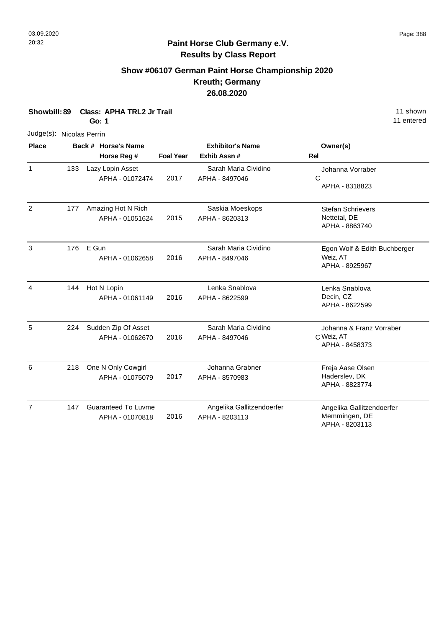### **Show #06107 German Paint Horse Championship 2020 Kreuth; Germany 26.08.2020**

**Showbill: 89 Class: APHA TRL2 Jr Trail** 11 shown **Go: 1** Judge(s): Nicolas Perrin **Back # Horse's Name Place Owner(s) Horse Reg # Exhib Assn # Foal Year Rel Exhibitor's Name** 1 2017 133 Lazy Lopin Asset APHA - 01072474 Sarah Maria Cividino APHA - 8497046 2 177 Amazing Hot N Rich Saskia Moeskops Stefan Schrievers Saskia Moeskops 177

Nettetal, DE APHA - 8863740 2015 APHA - 01051624 APHA - 8620313 3 176 E Gun Sarah Maria Cividino Egon Wolf & Edith Buchberger Weiz, AT APHA - 8925967 2016 E Gun 176 APHA - 01062658 Sarah Maria Cividino APHA - 8497046 4 144 Hot N Lopin **144 Example 2018** Lenka Snablova **Container Lenka Snablova** Lenka Snablova Decin, CZ APHA - 8622599 2016 Hot N Lopin APHA - 01061149 Lenka Snablova APHA - 8622599 144 5 C Weiz, AT Johanna & Franz Vorraber APHA - 8458373 2016 Sudden Zip Of Asset APHA - 01062670 Sarah Maria Cividino APHA - 8497046 224 6 Freja Aase Olsen (218 One N Only Cowgirl The State Action Additional Grabner Treja Aase Olsen Haderslev, DK APHA - 8823774 2017 APHA - 01075079 Johanna Grabner APHA - 8570983 218 7 147 Guaranteed To Luvme **Angelika Gallitzendoerfer** Angelika Gallitzendoerfer Memmingen, DE APHA - 8203113 2016 Guaranteed To Luvme APHA - 01070818 Angelika Gallitzendoerfer APHA - 8203113 147

11 entered

C

Johanna Vorraber

APHA - 8318823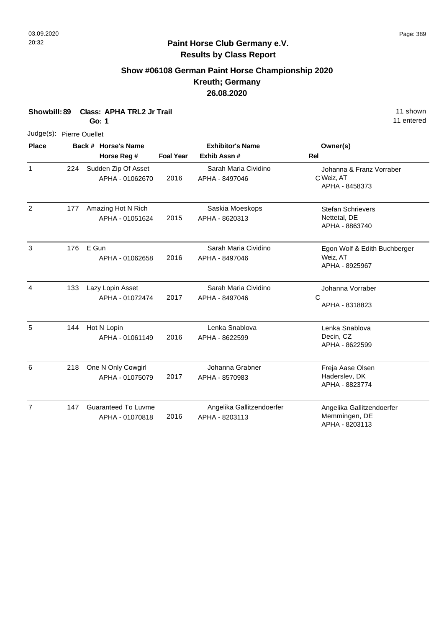# **Show #06108 German Paint Horse Championship 2020 Kreuth; Germany 26.08.2020**

| Showbill: 89<br><b>Class: APHA TRL2 Jr Trail</b><br><b>Go: 1</b> |     |                                               |                  | 11 shown<br>11 entered                      |                                                            |
|------------------------------------------------------------------|-----|-----------------------------------------------|------------------|---------------------------------------------|------------------------------------------------------------|
| Judge(s): Pierre Ouellet                                         |     |                                               |                  |                                             |                                                            |
| <b>Place</b>                                                     |     | Back # Horse's Name<br>Horse Reg #            | <b>Foal Year</b> | <b>Exhibitor's Name</b><br>Exhib Assn#      | Owner(s)<br><b>Rel</b>                                     |
| $\mathbf{1}$                                                     | 224 | Sudden Zip Of Asset<br>APHA - 01062670        | 2016             | Sarah Maria Cividino<br>APHA - 8497046      | Johanna & Franz Vorraber<br>C Weiz, AT<br>APHA - 8458373   |
| $\overline{2}$                                                   | 177 | Amazing Hot N Rich<br>APHA - 01051624         | 2015             | Saskia Moeskops<br>APHA - 8620313           | <b>Stefan Schrievers</b><br>Nettetal, DE<br>APHA - 8863740 |
| 3                                                                | 176 | E Gun<br>APHA - 01062658                      | 2016             | Sarah Maria Cividino<br>APHA - 8497046      | Egon Wolf & Edith Buchberger<br>Weiz, AT<br>APHA - 8925967 |
| 4                                                                | 133 | Lazy Lopin Asset<br>APHA - 01072474           | 2017             | Sarah Maria Cividino<br>APHA - 8497046      | Johanna Vorraber<br>C<br>APHA - 8318823                    |
| 5                                                                | 144 | Hot N Lopin<br>APHA - 01061149                | 2016             | Lenka Snablova<br>APHA - 8622599            | Lenka Snablova<br>Decin, CZ<br>APHA - 8622599              |
| 6                                                                | 218 | One N Only Cowgirl<br>APHA - 01075079         | 2017             | Johanna Grabner<br>APHA - 8570983           | Freja Aase Olsen<br>Haderslev, DK<br>APHA - 8823774        |
| $\overline{7}$                                                   | 147 | <b>Guaranteed To Luvme</b><br>APHA - 01070818 | 2016             | Angelika Gallitzendoerfer<br>APHA - 8203113 | Angelika Gallitzendoerfer<br>Memmingen, DE                 |

APHA - 8203113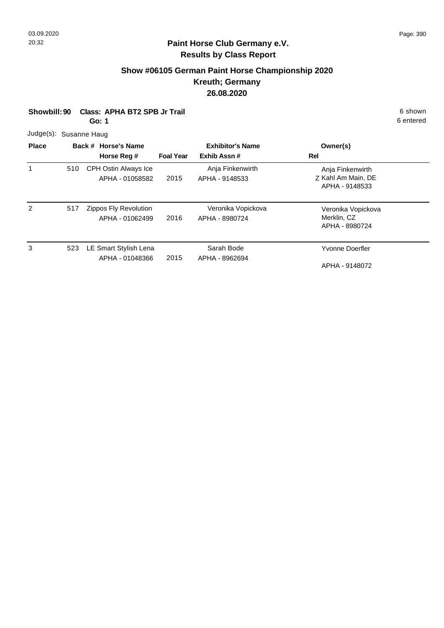# **Show #06105 German Paint Horse Championship 2020 Kreuth; Germany 26.08.2020**

| Class: APHA BT2 SPB Jr Trail<br>Showbill: 90<br>Go: 1 |     |                                          |                  | 6 shown<br>6 entered                   |                                                          |  |
|-------------------------------------------------------|-----|------------------------------------------|------------------|----------------------------------------|----------------------------------------------------------|--|
| Judge(s): Susanne Haug                                |     |                                          |                  |                                        |                                                          |  |
| <b>Place</b>                                          |     | Back # Horse's Name<br>Horse Reg #       | <b>Foal Year</b> | <b>Exhibitor's Name</b><br>Exhib Assn# | Owner(s)<br><b>Rel</b>                                   |  |
| 1                                                     | 510 | CPH Ostin Always Ice<br>APHA - 01058582  | 2015             | Anja Finkenwirth<br>APHA - 9148533     | Anja Finkenwirth<br>Z Kahl Am Main, DE<br>APHA - 9148533 |  |
| $\mathcal{P}$                                         | 517 | Zippos Fly Revolution<br>APHA - 01062499 | 2016             | Veronika Vopickova<br>APHA - 8980724   | Veronika Vopickova<br>Merklin, CZ<br>APHA - 8980724      |  |
| 3                                                     | 523 | LE Smart Stylish Lena<br>APHA - 01048366 | 2015             | Sarah Bode<br>APHA - 8962694           | Yvonne Doerfler<br>APHA - 9148072                        |  |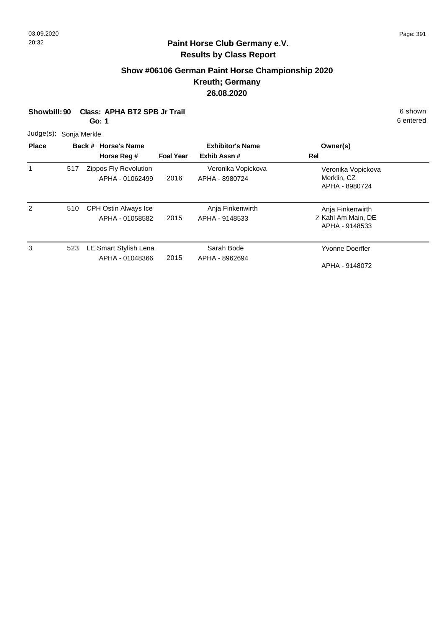# **Show #06106 German Paint Horse Championship 2020 Kreuth; Germany 26.08.2020**

| Showbill: 90  |              | <b>Class: APHA BT2 SPB Jr Trail</b><br>Go: 1 |                  |                                        |                                                          | 6 shown<br>6 entered |
|---------------|--------------|----------------------------------------------|------------------|----------------------------------------|----------------------------------------------------------|----------------------|
| Judge(s):     | Sonja Merkle |                                              |                  |                                        |                                                          |                      |
| <b>Place</b>  |              | Back # Horse's Name<br>Horse Reg #           | <b>Foal Year</b> | <b>Exhibitor's Name</b><br>Exhib Assn# | Owner(s)<br>Rel                                          |                      |
|               | 517          | Zippos Fly Revolution<br>APHA - 01062499     | 2016             | Veronika Vopickova<br>APHA - 8980724   | Veronika Vopickova<br>Merklin, CZ<br>APHA - 8980724      |                      |
| $\mathcal{P}$ | 510          | CPH Ostin Always Ice<br>APHA - 01058582      | 2015             | Anja Finkenwirth<br>APHA - 9148533     | Anja Finkenwirth<br>Z Kahl Am Main, DE<br>APHA - 9148533 |                      |
| 3             | 523          | LE Smart Stylish Lena<br>APHA - 01048366     | 2015             | Sarah Bode<br>APHA - 8962694           | Yvonne Doerfler<br>APHA - 9148072                        |                      |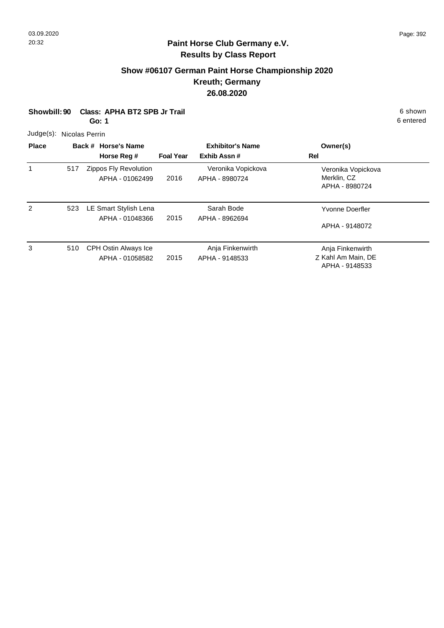# **Show #06107 German Paint Horse Championship 2020 Kreuth; Germany 26.08.2020**

| Showbill: 90 |                | Class: APHA BT2 SPB Jr Trail<br>Go: 1    |                  | 6 shown<br>6 entered                   |                                                          |  |
|--------------|----------------|------------------------------------------|------------------|----------------------------------------|----------------------------------------------------------|--|
| Judge(s):    | Nicolas Perrin |                                          |                  |                                        |                                                          |  |
| <b>Place</b> |                | Back # Horse's Name<br>Horse Reg #       | <b>Foal Year</b> | <b>Exhibitor's Name</b><br>Exhib Assn# | Owner(s)<br><b>Rel</b>                                   |  |
| $\mathbf{1}$ | 517            | Zippos Fly Revolution<br>APHA - 01062499 | 2016             | Veronika Vopickova<br>APHA - 8980724   | Veronika Vopickova<br>Merklin, CZ<br>APHA - 8980724      |  |
| 2            | 523            | LE Smart Stylish Lena<br>APHA - 01048366 | 2015             | Sarah Bode<br>APHA - 8962694           | Yvonne Doerfler<br>APHA - 9148072                        |  |
| 3            | 510            | CPH Ostin Always Ice<br>APHA - 01058582  | 2015             | Anja Finkenwirth<br>APHA - 9148533     | Anja Finkenwirth<br>Z Kahl Am Main, DE<br>APHA - 9148533 |  |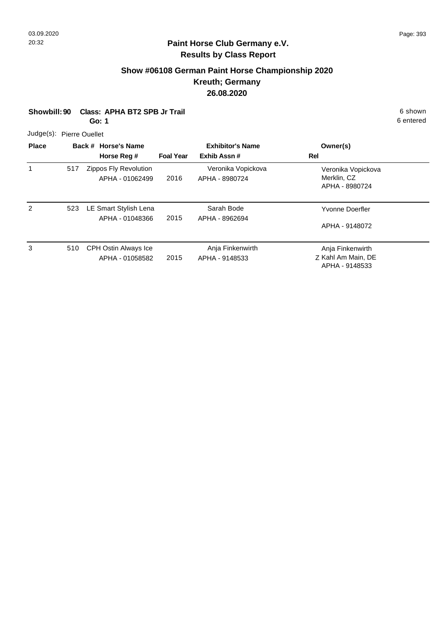#### **Paint Horse Club Germany e.V. Results by Class Report**

# **Show #06108 German Paint Horse Championship 2020 Kreuth; Germany 26.08.2020**

|                          | Class: APHA BT2 SPB Jr Trail<br>Showbill: 90<br>Go: 1 |  |                                          |                  |                                        |                                                          | 6 shown<br>6 entered |  |
|--------------------------|-------------------------------------------------------|--|------------------------------------------|------------------|----------------------------------------|----------------------------------------------------------|----------------------|--|
| Judge(s): Pierre Ouellet |                                                       |  |                                          |                  |                                        |                                                          |                      |  |
| <b>Place</b>             |                                                       |  | Back # Horse's Name<br>Horse Reg #       | <b>Foal Year</b> | <b>Exhibitor's Name</b><br>Exhib Assn# | Owner(s)<br>Rel                                          |                      |  |
| $\mathbf{1}$             | 517                                                   |  | Zippos Fly Revolution<br>APHA - 01062499 | 2016             | Veronika Vopickova<br>APHA - 8980724   | Veronika Vopickova<br>Merklin, CZ<br>APHA - 8980724      |                      |  |
| $\mathcal{P}$            | 523                                                   |  | LE Smart Stylish Lena<br>APHA - 01048366 | 2015             | Sarah Bode<br>APHA - 8962694           | Yvonne Doerfler<br>APHA - 9148072                        |                      |  |
| 3                        | 510                                                   |  | CPH Ostin Always Ice<br>APHA - 01058582  | 2015             | Anja Finkenwirth<br>APHA - 9148533     | Anja Finkenwirth<br>Z Kahl Am Main, DE<br>APHA - 9148533 |                      |  |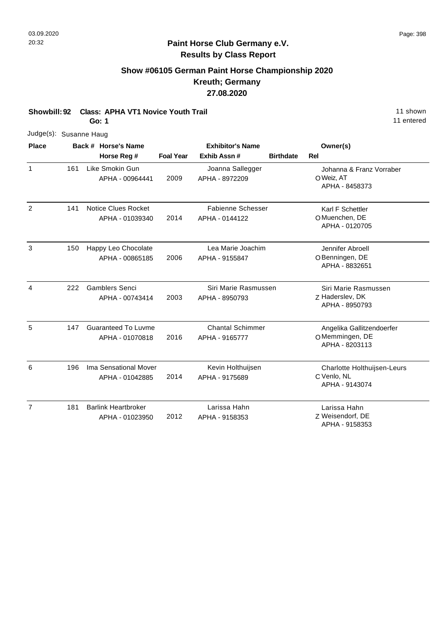7

# **Paint Horse Club Germany e.V. Results by Class Report**

# **Show #06105 German Paint Horse Championship 2020 Kreuth; Germany 27.08.2020**

**Showbill: 92 Class: APHA VT1 Novice Youth Trail 11 Shown 11 shown 11 shown 11 shown** 

|                |     | Go: 1                                         |                  |                                            |                  | 11 e                                                          |
|----------------|-----|-----------------------------------------------|------------------|--------------------------------------------|------------------|---------------------------------------------------------------|
| Judge(s):      |     | Susanne Haug                                  |                  |                                            |                  |                                                               |
| <b>Place</b>   |     | Back # Horse's Name<br>Horse Reg #            | <b>Foal Year</b> | <b>Exhibitor's Name</b><br>Exhib Assn#     | <b>Birthdate</b> | Owner(s)<br>Rel                                               |
| $\mathbf{1}$   | 161 | Like Smokin Gun<br>APHA - 00964441            | 2009             | Joanna Sallegger<br>APHA - 8972209         |                  | Johanna & Franz Vorraber<br>O Weiz, AT<br>APHA - 8458373      |
| 2              | 141 | Notice Clues Rocket<br>APHA - 01039340        | 2014             | <b>Fabienne Schesser</b><br>APHA - 0144122 |                  | Karl F Schettler<br>O Muenchen, DE<br>APHA - 0120705          |
| 3              | 150 | Happy Leo Chocolate<br>APHA - 00865185        | 2006             | Lea Marie Joachim<br>APHA - 9155847        |                  | Jennifer Abroell<br>O Benningen, DE<br>APHA - 8832651         |
| $\overline{4}$ | 222 | <b>Gamblers Senci</b><br>APHA - 00743414      | 2003             | Siri Marie Rasmussen<br>APHA - 8950793     |                  | Siri Marie Rasmussen<br>Z Haderslev, DK<br>APHA - 8950793     |
| 5              | 147 | <b>Guaranteed To Luvme</b><br>APHA - 01070818 | 2016             | <b>Chantal Schimmer</b><br>APHA - 9165777  |                  | Angelika Gallitzendoerfer<br>OMemmingen, DE<br>APHA - 8203113 |
| 6              | 196 | Ima Sensational Mover<br>APHA - 01042885      | 2014             | Kevin Holthuijsen<br>APHA - 9175689        |                  | Charlotte Holthuijsen-Leurs<br>C Venlo, NL<br>APHA - 9143074  |

| 181 | <b>Barlink Heartbroker</b> |      | Larissa Hahn   | Larissa Hahn     |
|-----|----------------------------|------|----------------|------------------|
|     | APHA - 01023950            | 2012 | APHA - 9158353 | Z Weisendorf, DE |
|     |                            |      |                | APHA - 9158353   |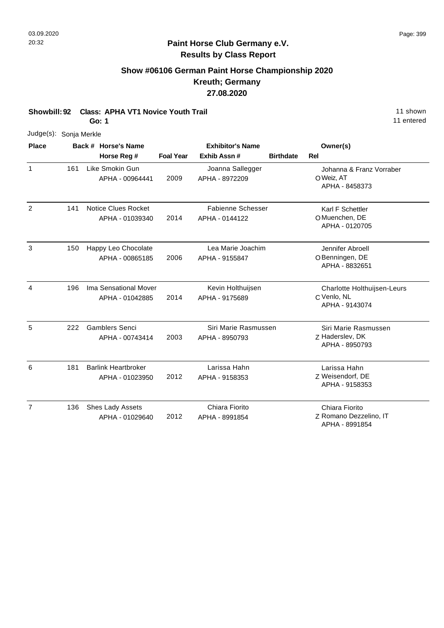$\overline{7}$ 

# **Paint Horse Club Germany e.V. Results by Class Report**

# **Show #06106 German Paint Horse Championship 2020 Kreuth; Germany 27.08.2020**

**Showbill: 92 Class: APHA VT1 Novice Youth Trail 11 Shown 11 shown 11 shown 11 shown** 

**Go: 1**

|                        |     | Go: 1                                         |                  |                                            |                  | 11 entered                                                   |
|------------------------|-----|-----------------------------------------------|------------------|--------------------------------------------|------------------|--------------------------------------------------------------|
| Judge(s): Sonja Merkle |     |                                               |                  |                                            |                  |                                                              |
| <b>Place</b>           |     | Back # Horse's Name<br>Horse Reg #            | <b>Foal Year</b> | <b>Exhibitor's Name</b><br>Exhib Assn#     | <b>Birthdate</b> | Owner(s)<br><b>Rel</b>                                       |
| $\mathbf{1}$           | 161 | Like Smokin Gun<br>APHA - 00964441            | 2009             | Joanna Sallegger<br>APHA - 8972209         |                  | Johanna & Franz Vorraber<br>O Weiz, AT<br>APHA - 8458373     |
| 2                      | 141 | <b>Notice Clues Rocket</b><br>APHA - 01039340 | 2014             | <b>Fabienne Schesser</b><br>APHA - 0144122 |                  | Karl F Schettler<br>O Muenchen, DE<br>APHA - 0120705         |
| 3                      | 150 | Happy Leo Chocolate<br>APHA - 00865185        | 2006             | Lea Marie Joachim<br>APHA - 9155847        |                  | Jennifer Abroell<br>O Benningen, DE<br>APHA - 8832651        |
| 4                      | 196 | Ima Sensational Mover<br>APHA - 01042885      | 2014             | Kevin Holthuijsen<br>APHA - 9175689        |                  | Charlotte Holthuijsen-Leurs<br>C Venlo, NL<br>APHA - 9143074 |
| 5                      | 222 | <b>Gamblers Senci</b><br>APHA - 00743414      | 2003             | Siri Marie Rasmussen<br>APHA - 8950793     |                  | Siri Marie Rasmussen<br>Z Haderslev, DK<br>APHA - 8950793    |
| 6                      | 181 | <b>Barlink Heartbroker</b><br>APHA - 01023950 | 2012             | Larissa Hahn<br>APHA - 9158353             |                  | Larissa Hahn<br>Z Weisendorf, DE<br>APHA - 9158353           |
| $\overline{7}$         | 136 | Shes Lady Assets<br>APHA - 01029640           | 2012             | Chiara Fiorito<br>APHA - 8991854           |                  | Chiara Fiorito<br>Z Romano Dezzelino, IT<br>APHA - 8991854   |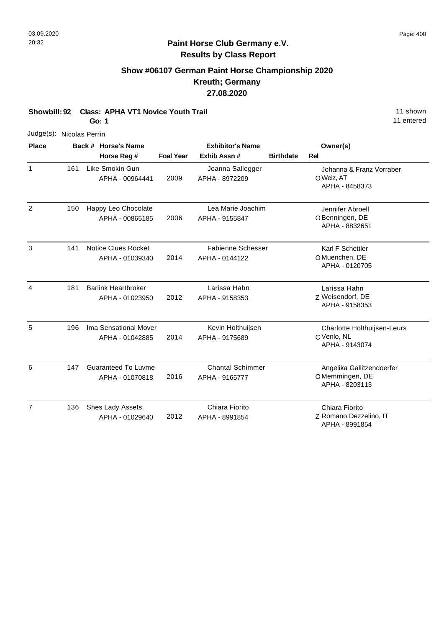# **Show #06107 German Paint Horse Championship 2020 Kreuth; Germany 27.08.2020**

**Showbill: 92 Class: APHA VT1 Novice Youth Trail 11 Shown 11 shown 11 shown** 

**Go: 1**

| Judge(s): Nicolas Perrin |     |                                               |                  |                                           |                  |                                                               |
|--------------------------|-----|-----------------------------------------------|------------------|-------------------------------------------|------------------|---------------------------------------------------------------|
| <b>Place</b>             |     | Back # Horse's Name                           |                  | <b>Exhibitor's Name</b>                   |                  | Owner(s)                                                      |
|                          |     | Horse Reg #                                   | <b>Foal Year</b> | Exhib Assn#                               | <b>Birthdate</b> | <b>Rel</b>                                                    |
| 1                        | 161 | Like Smokin Gun<br>APHA - 00964441            | 2009             | Joanna Sallegger<br>APHA - 8972209        |                  | Johanna & Franz Vorraber<br>O Weiz, AT<br>APHA - 8458373      |
| $\overline{2}$           | 150 | Happy Leo Chocolate<br>APHA - 00865185        | 2006             | Lea Marie Joachim<br>APHA - 9155847       |                  | Jennifer Abroell<br>OBenningen, DE<br>APHA - 8832651          |
| 3                        | 141 | <b>Notice Clues Rocket</b><br>APHA - 01039340 | 2014             | Fabienne Schesser<br>APHA - 0144122       |                  | Karl F Schettler<br>O Muenchen, DE<br>APHA - 0120705          |
| $\overline{4}$           | 181 | <b>Barlink Heartbroker</b><br>APHA - 01023950 | 2012             | Larissa Hahn<br>APHA - 9158353            |                  | Larissa Hahn<br>Z Weisendorf, DE<br>APHA - 9158353            |
| 5                        | 196 | Ima Sensational Mover<br>APHA - 01042885      | 2014             | Kevin Holthuijsen<br>APHA - 9175689       |                  | Charlotte Holthuijsen-Leurs<br>C Venlo, NL<br>APHA - 9143074  |
| 6                        | 147 | <b>Guaranteed To Luvme</b><br>APHA - 01070818 | 2016             | <b>Chantal Schimmer</b><br>APHA - 9165777 |                  | Angelika Gallitzendoerfer<br>OMemmingen, DE<br>APHA - 8203113 |
| $\overline{7}$           | 136 | Shes Lady Assets<br>APHA - 01029640           | 2012             | Chiara Fiorito<br>APHA - 8991854          |                  | Chiara Fiorito<br>Z Romano Dezzelino, IT<br>APHA - 8991854    |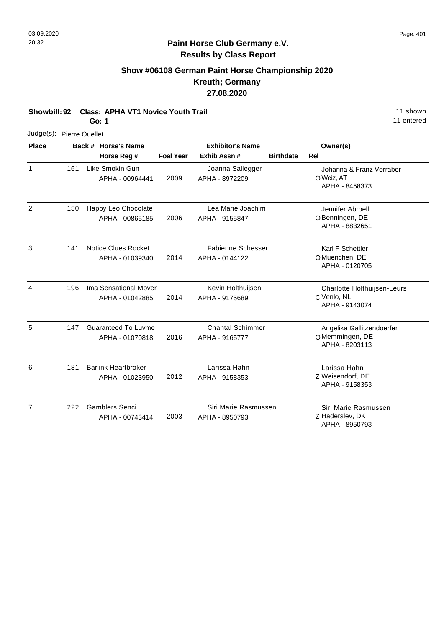# **Paint Horse Club Germany e.V. Results by Class Report**

# **Show #06108 German Paint Horse Championship 2020 Kreuth; Germany 27.08.2020**

| Showbill: 92             |     | <b>Class: APHA VT1 Novice Youth Trail</b><br>Go: 1 |                  | 11 shown<br>11 entered                     |                  |                                                               |
|--------------------------|-----|----------------------------------------------------|------------------|--------------------------------------------|------------------|---------------------------------------------------------------|
| Judge(s): Pierre Ouellet |     |                                                    |                  |                                            |                  |                                                               |
| <b>Place</b>             |     | Back # Horse's Name<br>Horse Reg #                 | <b>Foal Year</b> | <b>Exhibitor's Name</b><br>Exhib Assn #    | <b>Birthdate</b> | Owner(s)<br>Rel                                               |
| $\mathbf{1}$             | 161 | Like Smokin Gun<br>APHA - 00964441                 | 2009             | Joanna Sallegger<br>APHA - 8972209         |                  | Johanna & Franz Vorraber<br>O Weiz, AT<br>APHA - 8458373      |
| $\overline{2}$           | 150 | Happy Leo Chocolate<br>APHA - 00865185             | 2006             | Lea Marie Joachim<br>APHA - 9155847        |                  | Jennifer Abroell<br>O Benningen, DE<br>APHA - 8832651         |
| 3                        | 141 | <b>Notice Clues Rocket</b><br>APHA - 01039340      | 2014             | <b>Fabienne Schesser</b><br>APHA - 0144122 |                  | Karl F Schettler<br>O Muenchen, DE<br>APHA - 0120705          |
| 4                        | 196 | Ima Sensational Mover<br>APHA - 01042885           | 2014             | Kevin Holthuijsen<br>APHA - 9175689        |                  | Charlotte Holthuijsen-Leurs<br>C Venlo, NL<br>APHA - 9143074  |
| 5                        | 147 | <b>Guaranteed To Luvme</b><br>APHA - 01070818      | 2016             | <b>Chantal Schimmer</b><br>APHA - 9165777  |                  | Angelika Gallitzendoerfer<br>OMemmingen, DE<br>APHA - 8203113 |
| 6                        | 181 | <b>Barlink Heartbroker</b><br>APHA - 01023950      | 2012             | Larissa Hahn<br>APHA - 9158353             |                  | Larissa Hahn<br>Z Weisendorf, DE<br>APHA - 9158353            |
| $\overline{7}$           | 222 | <b>Gamblers Senci</b><br>APHA - 00743414           | 2003             | Siri Marie Rasmussen<br>APHA - 8950793     |                  | Siri Marie Rasmussen<br>Z Haderslev, DK                       |

APHA - 8950793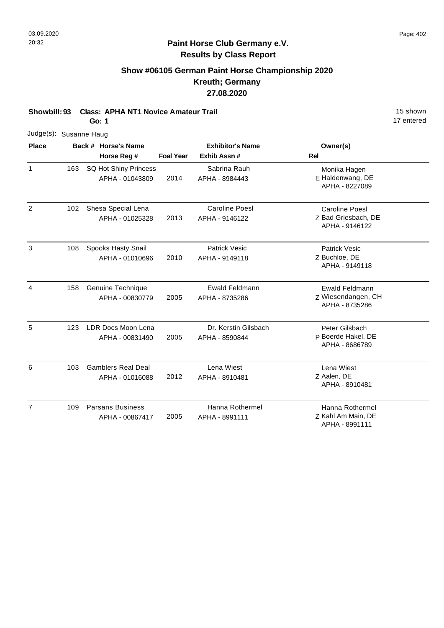7

#### **Paint Horse Club Germany e.V. Results by Class Report**

# **Show #06105 German Paint Horse Championship 2020 Kreuth; Germany 27.08.2020**

**Showbill: 93 Class: APHA NT1 Novice Amateur Trail 15 Shown 15 shown Go: 1**

17 entered

Z Kahl Am Main, DE Hanna Rothermel

APHA - 8991111

| Judge(s): Susanne Haug |     |                                              |                  |                                         |                                                         |  |
|------------------------|-----|----------------------------------------------|------------------|-----------------------------------------|---------------------------------------------------------|--|
| <b>Place</b>           |     | Back # Horse's Name                          |                  | <b>Exhibitor's Name</b>                 | Owner(s)                                                |  |
|                        |     | Horse Reg #                                  | <b>Foal Year</b> | Exhib Assn #                            | <b>Rel</b>                                              |  |
| $\mathbf{1}$           | 163 | SQ Hot Shiny Princess<br>APHA - 01043809     | 2014             | Sabrina Rauh<br>APHA - 8984443          | Monika Hagen<br>E Haldenwang, DE<br>APHA - 8227089      |  |
| $\overline{2}$         | 102 | Shesa Special Lena<br>APHA - 01025328        | 2013             | <b>Caroline Poesl</b><br>APHA - 9146122 | Caroline Poesl<br>Z Bad Griesbach, DE<br>APHA - 9146122 |  |
| 3                      | 108 | Spooks Hasty Snail<br>APHA - 01010696        | 2010             | Patrick Vesic<br>APHA - 9149118         | <b>Patrick Vesic</b><br>Z Buchloe, DE<br>APHA - 9149118 |  |
| 4                      | 158 | Genuine Technique<br>APHA - 00830779         | 2005             | Ewald Feldmann<br>APHA - 8735286        | Ewald Feldmann<br>Z Wiesendangen, CH<br>APHA - 8735286  |  |
| 5                      | 123 | LDR Docs Moon Lena<br>APHA - 00831490        | 2005             | Dr. Kerstin Gilsbach<br>APHA - 8590844  | Peter Gilsbach<br>P Boerde Hakel, DE<br>APHA - 8686789  |  |
| 6                      | 103 | <b>Gamblers Real Deal</b><br>APHA - 01016088 | 2012             | Lena Wiest<br>APHA - 8910481            | Lena Wiest<br>Z Aalen, DE<br>APHA - 8910481             |  |

Hanna Rothermel

APHA - 8991111

2005

109 Parsans Business

APHA - 00867417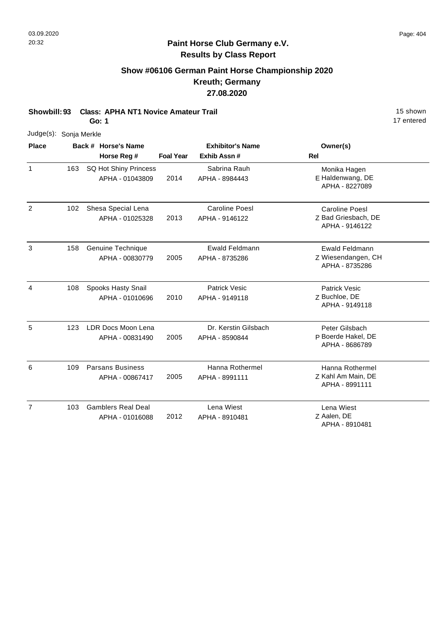### **Show #06106 German Paint Horse Championship 2020 Kreuth; Germany 27.08.2020**

**Showbill: 93 Class: APHA NT1 Novice Amateur Trail 15 Shown 15 shown** 

**Go: 1**

| Judge(s): Sonja Merkle |     |                                                 |                  |                                         |                                                                |
|------------------------|-----|-------------------------------------------------|------------------|-----------------------------------------|----------------------------------------------------------------|
| <b>Place</b>           |     | Back # Horse's Name<br>Horse Reg #              | <b>Foal Year</b> | <b>Exhibitor's Name</b><br>Exhib Assn#  | Owner(s)<br><b>Rel</b>                                         |
| 1                      | 163 | <b>SQ Hot Shiny Princess</b><br>APHA - 01043809 | 2014             | Sabrina Rauh<br>APHA - 8984443          | Monika Hagen<br>E Haldenwang, DE<br>APHA - 8227089             |
| $\overline{2}$         | 102 | Shesa Special Lena<br>APHA - 01025328           | 2013             | <b>Caroline Poesl</b><br>APHA - 9146122 | <b>Caroline Poesl</b><br>Z Bad Griesbach, DE<br>APHA - 9146122 |
| 3                      | 158 | Genuine Technique<br>APHA - 00830779            | 2005             | Ewald Feldmann<br>APHA - 8735286        | <b>Ewald Feldmann</b><br>Z Wiesendangen, CH<br>APHA - 8735286  |
| $\overline{4}$         | 108 | Spooks Hasty Snail<br>APHA - 01010696           | 2010             | <b>Patrick Vesic</b><br>APHA - 9149118  | <b>Patrick Vesic</b><br>Z Buchloe, DE<br>APHA - 9149118        |
| 5                      | 123 | LDR Docs Moon Lena<br>APHA - 00831490           | 2005             | Dr. Kerstin Gilsbach<br>APHA - 8590844  | Peter Gilsbach<br>P Boerde Hakel, DE<br>APHA - 8686789         |
| 6                      | 109 | <b>Parsans Business</b><br>APHA - 00867417      | 2005             | Hanna Rothermel<br>APHA - 8991111       | Hanna Rothermel<br>Z Kahl Am Main, DE<br>APHA - 8991111        |
| $\overline{7}$         | 103 | <b>Gamblers Real Deal</b><br>APHA - 01016088    | 2012             | Lena Wiest<br>APHA - 8910481            | Lena Wiest<br>Z Aalen, DE<br>APHA - 8910481                    |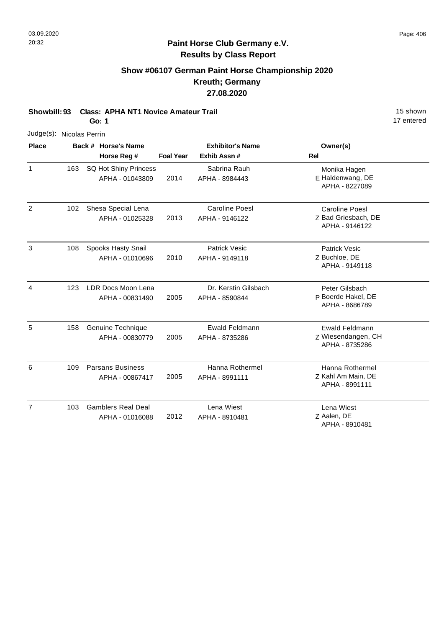# **Show #06107 German Paint Horse Championship 2020 Kreuth; Germany 27.08.2020**

**Showbill: 93 Class: APHA NT1 Novice Amateur Trail 15 Shown 15 shown** 

**Go: 1**

| Judge(s): Nicolas Perrin |     |                                              |                  |                                         |                                                                |
|--------------------------|-----|----------------------------------------------|------------------|-----------------------------------------|----------------------------------------------------------------|
| <b>Place</b>             |     | Back # Horse's Name<br>Horse Reg #           | <b>Foal Year</b> | <b>Exhibitor's Name</b><br>Exhib Assn # | Owner(s)<br>Rel                                                |
| 1                        | 163 | SQ Hot Shiny Princess<br>APHA - 01043809     | 2014             | Sabrina Rauh<br>APHA - 8984443          | Monika Hagen<br>E Haldenwang, DE<br>APHA - 8227089             |
| $\overline{2}$           | 102 | Shesa Special Lena<br>APHA - 01025328        | 2013             | <b>Caroline Poesl</b><br>APHA - 9146122 | <b>Caroline Poesl</b><br>Z Bad Griesbach, DE<br>APHA - 9146122 |
| 3                        | 108 | Spooks Hasty Snail<br>APHA - 01010696        | 2010             | <b>Patrick Vesic</b><br>APHA - 9149118  | <b>Patrick Vesic</b><br>Z Buchloe, DE<br>APHA - 9149118        |
| $\overline{4}$           | 123 | LDR Docs Moon Lena<br>APHA - 00831490        | 2005             | Dr. Kerstin Gilsbach<br>APHA - 8590844  | Peter Gilsbach<br>P Boerde Hakel, DE<br>APHA - 8686789         |
| 5                        | 158 | Genuine Technique<br>APHA - 00830779         | 2005             | <b>Ewald Feldmann</b><br>APHA - 8735286 | <b>Ewald Feldmann</b><br>Z Wiesendangen, CH<br>APHA - 8735286  |
| 6                        | 109 | <b>Parsans Business</b><br>APHA - 00867417   | 2005             | Hanna Rothermel<br>APHA - 8991111       | Hanna Rothermel<br>Z Kahl Am Main, DE<br>APHA - 8991111        |
| $\overline{7}$           | 103 | <b>Gamblers Real Deal</b><br>APHA - 01016088 | 2012             | Lena Wiest<br>APHA - 8910481            | Lena Wiest<br>Z Aalen, DE<br>APHA - 8910481                    |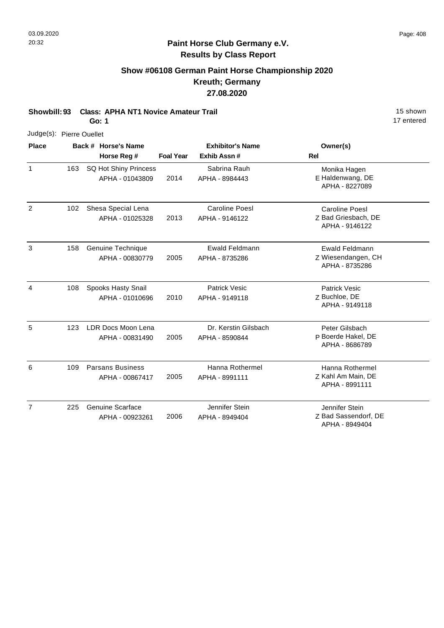# **Show #06108 German Paint Horse Championship 2020 Kreuth; Germany 27.08.2020**

**Showbill: 93 Class: APHA NT1 Novice Amateur Trail 15 Shown 15 shown** 

**Go: 1**

| Judge(s): Pierre Ouellet |     |                                            |                  |                                         |                                                                |
|--------------------------|-----|--------------------------------------------|------------------|-----------------------------------------|----------------------------------------------------------------|
| <b>Place</b>             |     | Back # Horse's Name<br>Horse Reg #         | <b>Foal Year</b> | <b>Exhibitor's Name</b><br>Exhib Assn#  | Owner(s)<br>Rel                                                |
| $\mathbf{1}$             | 163 | SQ Hot Shiny Princess<br>APHA - 01043809   | 2014             | Sabrina Rauh<br>APHA - 8984443          | Monika Hagen<br>E Haldenwang, DE<br>APHA - 8227089             |
| $\overline{2}$           | 102 | Shesa Special Lena<br>APHA - 01025328      | 2013             | <b>Caroline Poesl</b><br>APHA - 9146122 | <b>Caroline Poesl</b><br>Z Bad Griesbach, DE<br>APHA - 9146122 |
| 3                        | 158 | Genuine Technique<br>APHA - 00830779       | 2005             | Ewald Feldmann<br>APHA - 8735286        | <b>Ewald Feldmann</b><br>Z Wiesendangen, CH<br>APHA - 8735286  |
| $\overline{4}$           | 108 | Spooks Hasty Snail<br>APHA - 01010696      | 2010             | <b>Patrick Vesic</b><br>APHA - 9149118  | <b>Patrick Vesic</b><br>Z Buchloe, DE<br>APHA - 9149118        |
| 5                        | 123 | LDR Docs Moon Lena<br>APHA - 00831490      | 2005             | Dr. Kerstin Gilsbach<br>APHA - 8590844  | Peter Gilsbach<br>P Boerde Hakel, DE<br>APHA - 8686789         |
| 6                        | 109 | <b>Parsans Business</b><br>APHA - 00867417 | 2005             | Hanna Rothermel<br>APHA - 8991111       | Hanna Rothermel<br>Z Kahl Am Main, DE<br>APHA - 8991111        |
| $\overline{7}$           | 225 | <b>Genuine Scarface</b><br>APHA - 00923261 | 2006             | Jennifer Stein<br>APHA - 8949404        | Jennifer Stein<br>Z Bad Sassendorf, DE<br>APHA - 8949404       |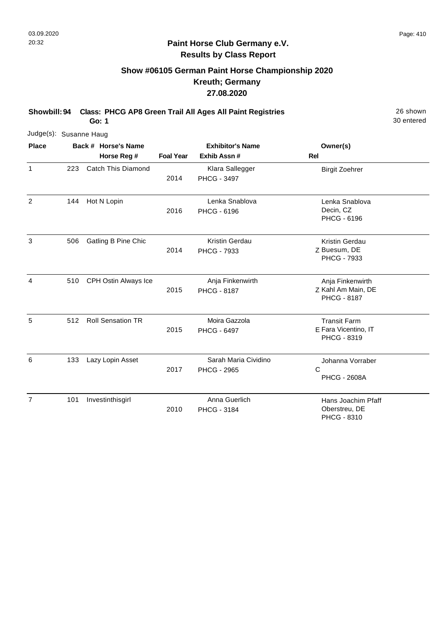# **Show #06105 German Paint Horse Championship 2020 Kreuth; Germany 27.08.2020**

**Showbill: 94 Class: PHCG AP8 Green Trail All Ages All Paint Registries** 26 Shown

30 entered

**Go: 1**

| Judge(s): Susanne Haug |     |                                    |                  |                                            |                                                              |
|------------------------|-----|------------------------------------|------------------|--------------------------------------------|--------------------------------------------------------------|
| <b>Place</b>           |     | Back # Horse's Name<br>Horse Reg # | <b>Foal Year</b> | <b>Exhibitor's Name</b><br>Exhib Assn #    | Owner(s)<br><b>Rel</b>                                       |
| $\mathbf{1}$           | 223 | Catch This Diamond                 | 2014             | Klara Sallegger<br>PHCG - 3497             | <b>Birgit Zoehrer</b>                                        |
| $\overline{2}$         | 144 | Hot N Lopin                        | 2016             | Lenka Snablova<br>PHCG - 6196              | Lenka Snablova<br>Decin, CZ<br>PHCG - 6196                   |
| 3                      | 506 | Gatling B Pine Chic                | 2014             | Kristin Gerdau<br>PHCG - 7933              | <b>Kristin Gerdau</b><br>Z Buesum, DE<br>PHCG - 7933         |
| 4                      | 510 | CPH Ostin Always Ice               | 2015             | Anja Finkenwirth<br><b>PHCG - 8187</b>     | Anja Finkenwirth<br>Z Kahl Am Main, DE<br><b>PHCG - 8187</b> |
| 5                      | 512 | <b>Roll Sensation TR</b>           | 2015             | Moira Gazzola<br><b>PHCG - 6497</b>        | <b>Transit Farm</b><br>E Fara Vicentino, IT<br>PHCG - 8319   |
| 6                      | 133 | Lazy Lopin Asset                   | 2017             | Sarah Maria Cividino<br><b>PHCG - 2965</b> | Johanna Vorraber<br>C<br><b>PHCG - 2608A</b>                 |
| $\overline{7}$         | 101 | Investinthisgirl                   | 2010             | Anna Guerlich<br><b>PHCG - 3184</b>        | Hans Joachim Pfaff<br>Oberstreu, DE<br>PHCG - 8310           |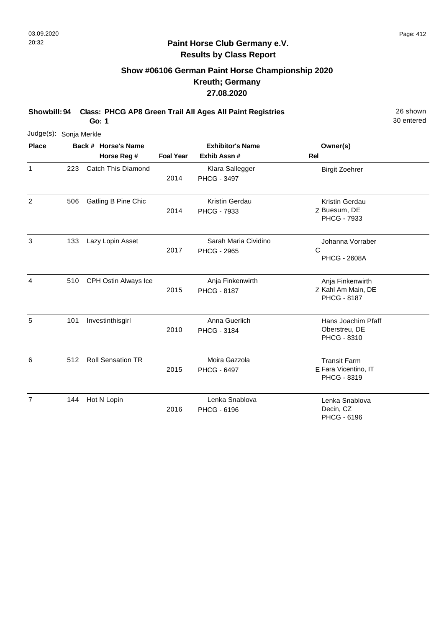# **Show #06106 German Paint Horse Championship 2020 Kreuth; Germany 27.08.2020**

**Showbill: 94 Class: PHCG AP8 Green Trail All Ages All Paint Registries** 26 Shown

**Go: 1**

| Judge(s): Sonja Merkle |     |                          |                  |                                            |                                                              |
|------------------------|-----|--------------------------|------------------|--------------------------------------------|--------------------------------------------------------------|
| <b>Place</b>           |     | Back # Horse's Name      |                  | <b>Exhibitor's Name</b>                    | Owner(s)                                                     |
|                        |     | Horse Reg #              | <b>Foal Year</b> | Exhib Assn#                                | <b>Rel</b>                                                   |
| 1                      | 223 | Catch This Diamond       | 2014             | Klara Sallegger<br>PHCG - 3497             | <b>Birgit Zoehrer</b>                                        |
| 2                      | 506 | Gatling B Pine Chic      | 2014             | <b>Kristin Gerdau</b><br>PHCG - 7933       | Kristin Gerdau<br>Z Buesum, DE<br>PHCG - 7933                |
| 3                      | 133 | Lazy Lopin Asset         | 2017             | Sarah Maria Cividino<br><b>PHCG - 2965</b> | Johanna Vorraber<br>C<br><b>PHCG - 2608A</b>                 |
| 4                      | 510 | CPH Ostin Always Ice     | 2015             | Anja Finkenwirth<br><b>PHCG - 8187</b>     | Anja Finkenwirth<br>Z Kahl Am Main, DE<br><b>PHCG - 8187</b> |
| 5                      | 101 | Investinthisgirl         | 2010             | Anna Guerlich<br>PHCG - 3184               | Hans Joachim Pfaff<br>Oberstreu, DE<br>PHCG - 8310           |
| 6                      | 512 | <b>Roll Sensation TR</b> | 2015             | Moira Gazzola<br><b>PHCG - 6497</b>        | <b>Transit Farm</b><br>E Fara Vicentino, IT<br>PHCG - 8319   |
| $\overline{7}$         | 144 | Hot N Lopin              | 2016             | Lenka Snablova<br>PHCG - 6196              | Lenka Snablova<br>Decin, CZ<br>PHCG - 6196                   |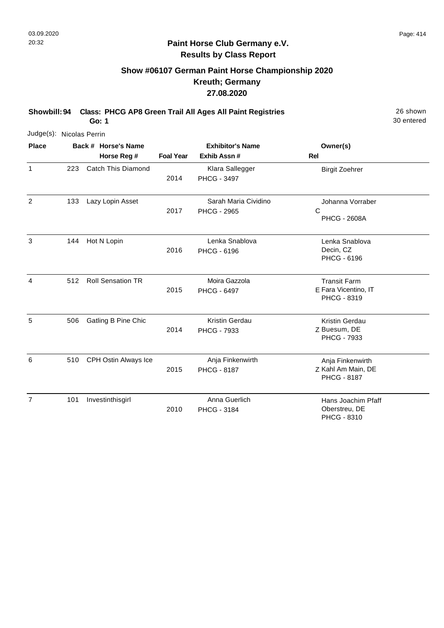# **Show #06107 German Paint Horse Championship 2020 Kreuth; Germany 27.08.2020**

**Showbill: 94 Class: PHCG AP8 Green Trail All Ages All Paint Registries** 26 Shown

30 entered

**Go: 1**

| Judge(s): Nicolas Perrin |     |                           |                  |                                            |                                                              |
|--------------------------|-----|---------------------------|------------------|--------------------------------------------|--------------------------------------------------------------|
| <b>Place</b>             |     | Back # Horse's Name       |                  | <b>Exhibitor's Name</b>                    | Owner(s)                                                     |
|                          |     | Horse Reg #               | <b>Foal Year</b> | Exhib Assn #                               | <b>Rel</b>                                                   |
| $\mathbf{1}$             | 223 | <b>Catch This Diamond</b> | 2014             | Klara Sallegger<br>PHCG - 3497             | <b>Birgit Zoehrer</b>                                        |
| $\overline{2}$           | 133 | Lazy Lopin Asset          | 2017             | Sarah Maria Cividino<br><b>PHCG - 2965</b> | Johanna Vorraber<br>С<br><b>PHCG - 2608A</b>                 |
| 3                        | 144 | Hot N Lopin               | 2016             | Lenka Snablova<br>PHCG - 6196              | Lenka Snablova<br>Decin, CZ<br><b>PHCG - 6196</b>            |
| 4                        | 512 | <b>Roll Sensation TR</b>  | 2015             | Moira Gazzola<br><b>PHCG - 6497</b>        | <b>Transit Farm</b><br>E Fara Vicentino, IT<br>PHCG - 8319   |
| 5                        | 506 | Gatling B Pine Chic       | 2014             | Kristin Gerdau<br>PHCG - 7933              | Kristin Gerdau<br>Z Buesum, DE<br><b>PHCG - 7933</b>         |
| 6                        | 510 | CPH Ostin Always Ice      | 2015             | Anja Finkenwirth<br><b>PHCG - 8187</b>     | Anja Finkenwirth<br>Z Kahl Am Main, DE<br><b>PHCG - 8187</b> |
| $\overline{7}$           | 101 | Investinthisgirl          | 2010             | Anna Guerlich<br><b>PHCG - 3184</b>        | Hans Joachim Pfaff<br>Oberstreu, DE<br>PHCG - 8310           |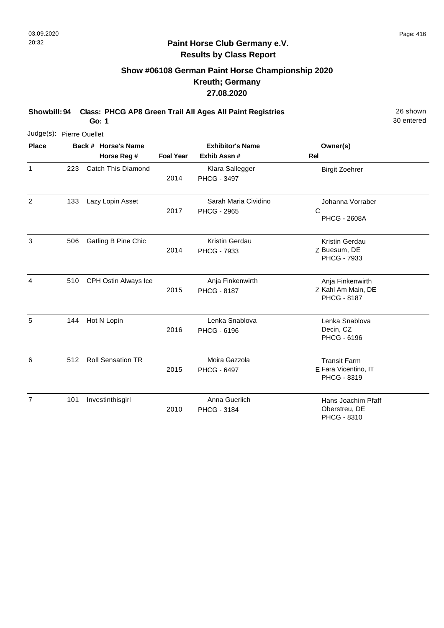# **Show #06108 German Paint Horse Championship 2020 Kreuth; Germany 27.08.2020**

**Showbill: 94 Class: PHCG AP8 Green Trail All Ages All Paint Registries** 26 Shown

**Go: 1**

| Judge(s): Pierre Ouellet |     |                          |                  |                                            |                                                              |
|--------------------------|-----|--------------------------|------------------|--------------------------------------------|--------------------------------------------------------------|
| <b>Place</b>             |     | Back # Horse's Name      |                  | <b>Exhibitor's Name</b>                    | Owner(s)                                                     |
|                          |     | Horse Reg #              | <b>Foal Year</b> | Exhib Assn #                               | <b>Rel</b>                                                   |
| $\mathbf{1}$             | 223 | Catch This Diamond       | 2014             | Klara Sallegger<br><b>PHCG - 3497</b>      | <b>Birgit Zoehrer</b>                                        |
| $\overline{2}$           | 133 | Lazy Lopin Asset         | 2017             | Sarah Maria Cividino<br><b>PHCG - 2965</b> | Johanna Vorraber<br>C<br><b>PHCG - 2608A</b>                 |
| 3                        | 506 | Gatling B Pine Chic      | 2014             | Kristin Gerdau<br>PHCG - 7933              | Kristin Gerdau<br>Z Buesum, DE<br><b>PHCG - 7933</b>         |
| 4                        | 510 | CPH Ostin Always Ice     | 2015             | Anja Finkenwirth<br><b>PHCG - 8187</b>     | Anja Finkenwirth<br>Z Kahl Am Main, DE<br><b>PHCG - 8187</b> |
| 5                        | 144 | Hot N Lopin              | 2016             | Lenka Snablova<br>PHCG - 6196              | Lenka Snablova<br>Decin, CZ<br><b>PHCG - 6196</b>            |
| 6                        | 512 | <b>Roll Sensation TR</b> | 2015             | Moira Gazzola<br><b>PHCG - 6497</b>        | <b>Transit Farm</b><br>E Fara Vicentino, IT<br>PHCG - 8319   |
| $\overline{7}$           | 101 | Investinthisgirl         | 2010             | Anna Guerlich<br>PHCG - 3184               | Hans Joachim Pfaff<br>Oberstreu, DE<br>PHCG - 8310           |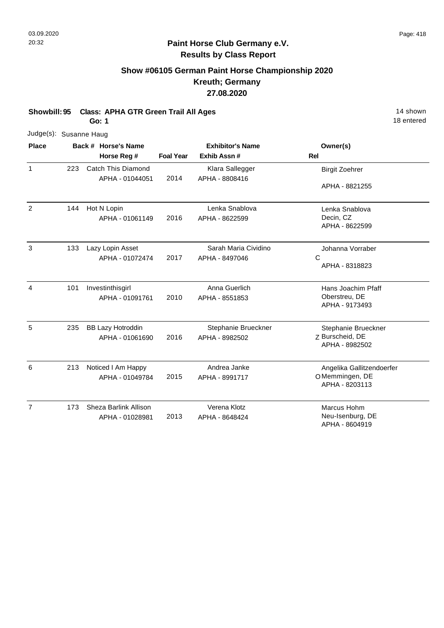# **Show #06105 German Paint Horse Championship 2020 Kreuth; Germany 27.08.2020**

**Showbill: 95 Class: APHA GTR Green Trail All Ages** 14 Shown

**Go: 1**

| Judge(s): Susanne Haug |     |                           |                  |                         |                                    |
|------------------------|-----|---------------------------|------------------|-------------------------|------------------------------------|
| <b>Place</b>           |     | Back # Horse's Name       |                  | <b>Exhibitor's Name</b> | Owner(s)                           |
|                        |     | Horse Reg #               | <b>Foal Year</b> | Exhib Assn #            | Rel                                |
| 1                      | 223 | <b>Catch This Diamond</b> |                  | Klara Sallegger         | <b>Birgit Zoehrer</b>              |
|                        |     | APHA - 01044051           | 2014             | APHA - 8808416          | APHA - 8821255                     |
| 2                      | 144 | Hot N Lopin               |                  | Lenka Snablova          | Lenka Snablova                     |
|                        |     | APHA - 01061149           | 2016             | APHA - 8622599          | Decin, CZ<br>APHA - 8622599        |
| 3                      | 133 | Lazy Lopin Asset          |                  | Sarah Maria Cividino    | Johanna Vorraber                   |
|                        |     | APHA - 01072474           | 2017             | APHA - 8497046          | C<br>APHA - 8318823                |
| $\overline{4}$         | 101 | Investinthisgirl          |                  | Anna Guerlich           | Hans Joachim Pfaff                 |
|                        |     | APHA - 01091761           | 2010             | APHA - 8551853          | Oberstreu, DE<br>APHA - 9173493    |
| 5                      | 235 | <b>BB Lazy Hotroddin</b>  |                  | Stephanie Brueckner     | Stephanie Brueckner                |
|                        |     | APHA - 01061690           | 2016             | APHA - 8982502          | Z Burscheid, DE<br>APHA - 8982502  |
| 6                      | 213 | Noticed I Am Happy        |                  | Andrea Janke            | Angelika Gallitzendoerfer          |
|                        |     | APHA - 01049784           | 2015             | APHA - 8991717          | OMemmingen, DE<br>APHA - 8203113   |
| $\overline{7}$         | 173 | Sheza Barlink Allison     |                  | Verena Klotz            | Marcus Hohm                        |
|                        |     | APHA - 01028981           | 2013             | APHA - 8648424          | Neu-Isenburg, DE<br>APHA - 8604919 |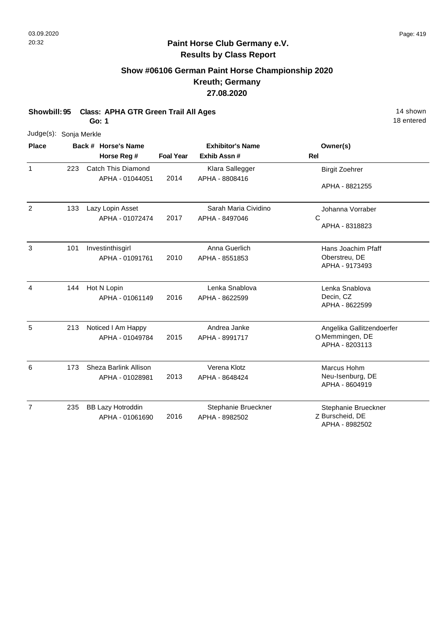# **Show #06106 German Paint Horse Championship 2020 Kreuth; Germany 27.08.2020**

**Showbill: 95 Class: APHA GTR Green Trail All Ages** 14 Shown 14 shown

**Go: 1**

| Judge(s): Sonja Merkle |     |                           |                         |                      |                                    |
|------------------------|-----|---------------------------|-------------------------|----------------------|------------------------------------|
| <b>Place</b>           |     | Back # Horse's Name       | <b>Exhibitor's Name</b> |                      | Owner(s)                           |
|                        |     | Horse Reg #               | <b>Foal Year</b>        | Exhib Assn#          | <b>Rel</b>                         |
| 1                      | 223 | <b>Catch This Diamond</b> |                         | Klara Sallegger      | <b>Birgit Zoehrer</b>              |
|                        |     | APHA - 01044051           | 2014                    | APHA - 8808416       | APHA - 8821255                     |
| $\overline{2}$         | 133 | Lazy Lopin Asset          |                         | Sarah Maria Cividino | Johanna Vorraber                   |
|                        |     | APHA - 01072474           | 2017                    | APHA - 8497046       | $\mathsf{C}$<br>APHA - 8318823     |
| 3                      | 101 | Investinthisgirl          |                         | Anna Guerlich        | Hans Joachim Pfaff                 |
|                        |     | APHA - 01091761           | 2010                    | APHA - 8551853       | Oberstreu, DE<br>APHA - 9173493    |
| $\overline{4}$         | 144 | Hot N Lopin               |                         | Lenka Snablova       | Lenka Snablova                     |
|                        |     | APHA - 01061149           | 2016                    | APHA - 8622599       | Decin, CZ<br>APHA - 8622599        |
| 5                      | 213 | Noticed I Am Happy        |                         | Andrea Janke         | Angelika Gallitzendoerfer          |
|                        |     | APHA - 01049784           | 2015                    | APHA - 8991717       | OMemmingen, DE<br>APHA - 8203113   |
| 6                      | 173 | Sheza Barlink Allison     |                         | Verena Klotz         | Marcus Hohm                        |
|                        |     | APHA - 01028981           | 2013                    | APHA - 8648424       | Neu-Isenburg, DE<br>APHA - 8604919 |
| $\overline{7}$         | 235 | <b>BB Lazy Hotroddin</b>  |                         | Stephanie Brueckner  | Stephanie Brueckner                |
|                        |     | APHA - 01061690           | 2016                    | APHA - 8982502       | Z Burscheid, DE<br>APHA - 8982502  |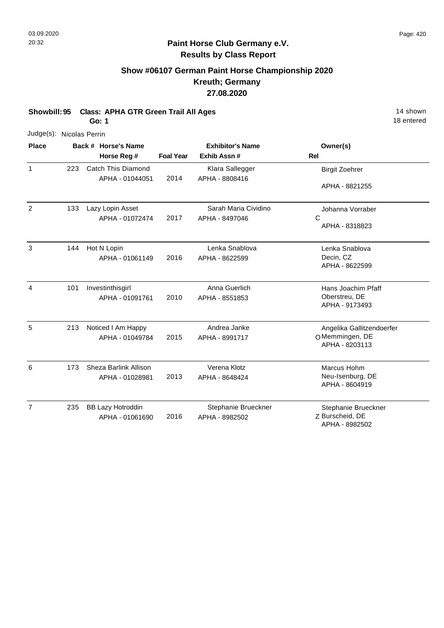# **Show #06107 German Paint Horse Championship 2020 Kreuth; Germany 27.08.2020**

**Showbill: 95 Class: APHA GTR Green Trail All Ages** 14 Shown

**Go: 1**

| Judge(s): Nicolas Perrin |     |                           |                  |                         |                           |
|--------------------------|-----|---------------------------|------------------|-------------------------|---------------------------|
| <b>Place</b>             |     | Back # Horse's Name       |                  | <b>Exhibitor's Name</b> | Owner(s)                  |
|                          |     | Horse Reg #               | <b>Foal Year</b> | Exhib Assn #            | <b>Rel</b>                |
| 1                        | 223 | <b>Catch This Diamond</b> |                  | Klara Sallegger         | <b>Birgit Zoehrer</b>     |
|                          |     | APHA - 01044051           | 2014             | APHA - 8808416          | APHA - 8821255            |
| $\overline{2}$           | 133 | Lazy Lopin Asset          |                  | Sarah Maria Cividino    | Johanna Vorraber          |
|                          |     | APHA - 01072474           | 2017             | APHA - 8497046          | C                         |
|                          |     |                           |                  |                         | APHA - 8318823            |
| 3                        | 144 | Hot N Lopin               |                  | Lenka Snablova          | Lenka Snablova            |
|                          |     | APHA - 01061149           | 2016             | APHA - 8622599          | Decin, CZ                 |
|                          |     |                           |                  |                         | APHA - 8622599            |
| 4                        | 101 | Investinthisgirl          |                  | Anna Guerlich           | Hans Joachim Pfaff        |
|                          |     | APHA - 01091761           | 2010             | APHA - 8551853          | Oberstreu, DE             |
|                          |     |                           |                  |                         | APHA - 9173493            |
| 5                        | 213 | Noticed I Am Happy        |                  | Andrea Janke            | Angelika Gallitzendoerfer |
|                          |     | APHA - 01049784           | 2015             | APHA - 8991717          | OMemmingen, DE            |
|                          |     |                           |                  |                         | APHA - 8203113            |
| 6                        | 173 | Sheza Barlink Allison     |                  | Verena Klotz            | Marcus Hohm               |
|                          |     | APHA - 01028981           | 2013             | APHA - 8648424          | Neu-Isenburg, DE          |
|                          |     |                           |                  |                         | APHA - 8604919            |
| $\overline{7}$           | 235 | <b>BB Lazy Hotroddin</b>  |                  | Stephanie Brueckner     | Stephanie Brueckner       |
|                          |     | APHA - 01061690           | 2016             | APHA - 8982502          | Z Burscheid, DE           |
|                          |     |                           |                  |                         | APHA - 8982502            |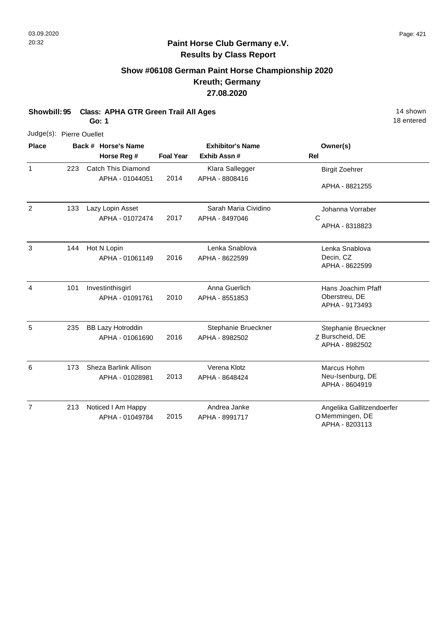# **Show #06108 German Paint Horse Championship 2020 Kreuth; Germany 27.08.2020**

**Showbill: 95 Class: APHA GTR Green Trail All Ages** 14 Shown

**Go: 1**

| Judge(s): Pierre Ouellet |     |                                       |                         |                                   |                                    |
|--------------------------|-----|---------------------------------------|-------------------------|-----------------------------------|------------------------------------|
| <b>Place</b>             |     | Back # Horse's Name                   | <b>Exhibitor's Name</b> |                                   | Owner(s)                           |
|                          |     | Horse Reg #                           | <b>Foal Year</b>        | Exhib Assn #                      | Rel                                |
| $\mathbf{1}$             | 223 | Catch This Diamond<br>APHA - 01044051 | 2014                    | Klara Sallegger<br>APHA - 8808416 | <b>Birgit Zoehrer</b>              |
|                          |     |                                       |                         |                                   | APHA - 8821255                     |
| 2                        | 133 | Lazy Lopin Asset                      |                         | Sarah Maria Cividino              | Johanna Vorraber                   |
|                          |     | APHA - 01072474                       | 2017                    | APHA - 8497046                    | C                                  |
|                          |     |                                       |                         |                                   | APHA - 8318823                     |
| 3                        | 144 | Hot N Lopin                           |                         | Lenka Snablova                    | Lenka Snablova                     |
|                          |     | APHA - 01061149                       | 2016                    | APHA - 8622599                    | Decin, CZ                          |
|                          |     |                                       |                         |                                   | APHA - 8622599                     |
| $\overline{4}$           | 101 | Investinthisgirl                      |                         | Anna Guerlich                     | Hans Joachim Pfaff                 |
|                          |     | APHA - 01091761                       | 2010                    | APHA - 8551853                    | Oberstreu, DE<br>APHA - 9173493    |
| 5                        | 235 | <b>BB Lazy Hotroddin</b>              |                         | Stephanie Brueckner               | Stephanie Brueckner                |
|                          |     | APHA - 01061690                       | 2016                    | APHA - 8982502                    | Z Burscheid, DE                    |
|                          |     |                                       |                         |                                   | APHA - 8982502                     |
| 6                        | 173 | Sheza Barlink Allison                 |                         | Verena Klotz                      | Marcus Hohm                        |
|                          |     | APHA - 01028981                       | 2013                    | APHA - 8648424                    | Neu-Isenburg, DE<br>APHA - 8604919 |
| $\overline{7}$           | 213 | Noticed I Am Happy                    |                         | Andrea Janke                      | Angelika Gallitzendoerfer          |
|                          |     | APHA - 01049784                       | 2015                    | APHA - 8991717                    | OMemmingen, DE<br>APHA - 8203113   |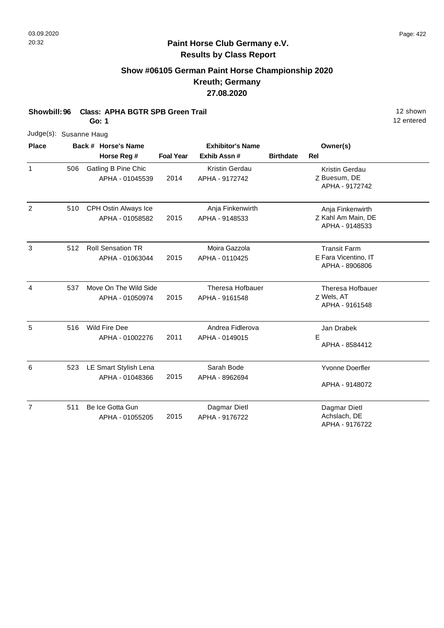# **Show #06105 German Paint Horse Championship 2020 Kreuth; Germany 27.08.2020**

**Showbill: 96 Class: APHA BGTR SPB Green Trail 12 Shown 12 Shown 12 Shown** 

**Go: 1**

| Judge(s): Susanne Haug |     |                                             |                  |                                         |                  |                                                               |  |
|------------------------|-----|---------------------------------------------|------------------|-----------------------------------------|------------------|---------------------------------------------------------------|--|
| <b>Place</b>           |     | Back # Horse's Name                         |                  | <b>Exhibitor's Name</b>                 |                  | Owner(s)                                                      |  |
|                        |     | Horse Reg #                                 | <b>Foal Year</b> | Exhib Assn#                             | <b>Birthdate</b> | <b>Rel</b>                                                    |  |
| $\mathbf{1}$           | 506 | Gatling B Pine Chic<br>APHA - 01045539      | 2014             | <b>Kristin Gerdau</b><br>APHA - 9172742 |                  | Kristin Gerdau<br>Z Buesum, DE<br>APHA - 9172742              |  |
| $\overline{2}$         | 510 | CPH Ostin Always Ice<br>APHA - 01058582     | 2015             | Anja Finkenwirth<br>APHA - 9148533      |                  | Anja Finkenwirth<br>Z Kahl Am Main, DE<br>APHA - 9148533      |  |
| 3                      | 512 | <b>Roll Sensation TR</b><br>APHA - 01063044 | 2015             | Moira Gazzola<br>APHA - 0110425         |                  | <b>Transit Farm</b><br>E Fara Vicentino, IT<br>APHA - 8906806 |  |
| $\overline{4}$         | 537 | Move On The Wild Side<br>APHA - 01050974    | 2015             | Theresa Hofbauer<br>APHA - 9161548      |                  | Theresa Hofbauer<br>Z Wels, AT<br>APHA - 9161548              |  |
| 5                      | 516 | Wild Fire Dee<br>APHA - 01002276            | 2011             | Andrea Fidlerova<br>APHA - 0149015      |                  | Jan Drabek<br>E<br>APHA - 8584412                             |  |
| 6                      | 523 | LE Smart Stylish Lena<br>APHA - 01048366    | 2015             | Sarah Bode<br>APHA - 8962694            |                  | Yvonne Doerfler<br>APHA - 9148072                             |  |
| $\overline{7}$         | 511 | Be Ice Gotta Gun<br>APHA - 01055205         | 2015             | Dagmar Dietl<br>APHA - 9176722          |                  | Dagmar Dietl<br>Achslach, DE<br>APHA - 9176722                |  |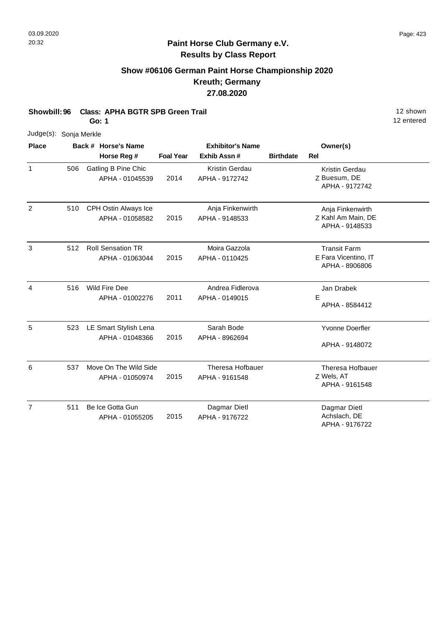# **Show #06106 German Paint Horse Championship 2020 Kreuth; Germany 27.08.2020**

**Showbill: 96 Class: APHA BGTR SPB Green Trail 12 Shown 12 Shown 12 Shown** 

**Go: 1**

| Judge(s): Sonja Merkle |     |                                        |                  |                                         |                  |                                        |
|------------------------|-----|----------------------------------------|------------------|-----------------------------------------|------------------|----------------------------------------|
| <b>Place</b>           |     | Back # Horse's Name                    |                  | <b>Exhibitor's Name</b>                 |                  | Owner(s)                               |
|                        |     | Horse Reg #                            | <b>Foal Year</b> | Exhib Assn #                            | <b>Birthdate</b> | <b>Rel</b>                             |
| 1                      | 506 | Gatling B Pine Chic<br>APHA - 01045539 | 2014             | <b>Kristin Gerdau</b><br>APHA - 9172742 |                  | Kristin Gerdau<br>Z Buesum, DE         |
|                        |     |                                        |                  |                                         |                  | APHA - 9172742                         |
| $\overline{2}$         | 510 | <b>CPH Ostin Always Ice</b>            |                  | Anja Finkenwirth                        |                  | Anja Finkenwirth                       |
|                        |     | APHA - 01058582                        | 2015             | APHA - 9148533                          |                  | Z Kahl Am Main, DE<br>APHA - 9148533   |
| 3                      | 512 | <b>Roll Sensation TR</b>               |                  | Moira Gazzola                           |                  | <b>Transit Farm</b>                    |
|                        |     | APHA - 01063044                        | 2015             | APHA - 0110425                          |                  | E Fara Vicentino, IT<br>APHA - 8906806 |
|                        |     |                                        |                  |                                         |                  |                                        |
| 4                      | 516 | Wild Fire Dee                          |                  | Andrea Fidlerova                        |                  | Jan Drabek                             |
|                        |     | APHA - 01002276                        | 2011             | APHA - 0149015                          |                  | E<br>APHA - 8584412                    |
| 5                      | 523 | LE Smart Stylish Lena                  |                  | Sarah Bode                              |                  | <b>Yvonne Doerfler</b>                 |
|                        |     | APHA - 01048366                        | 2015             | APHA - 8962694                          |                  | APHA - 9148072                         |
| 6                      | 537 | Move On The Wild Side                  |                  | <b>Theresa Hofbauer</b>                 |                  | <b>Theresa Hofbauer</b>                |
|                        |     | APHA - 01050974                        | 2015             | APHA - 9161548                          |                  | Z Wels, AT<br>APHA - 9161548           |
| $\overline{7}$         | 511 | Be Ice Gotta Gun                       |                  | Dagmar Dietl                            |                  | Dagmar Dietl                           |
|                        |     | APHA - 01055205                        | 2015             | APHA - 9176722                          |                  | Achslach, DE<br>APHA - 9176722         |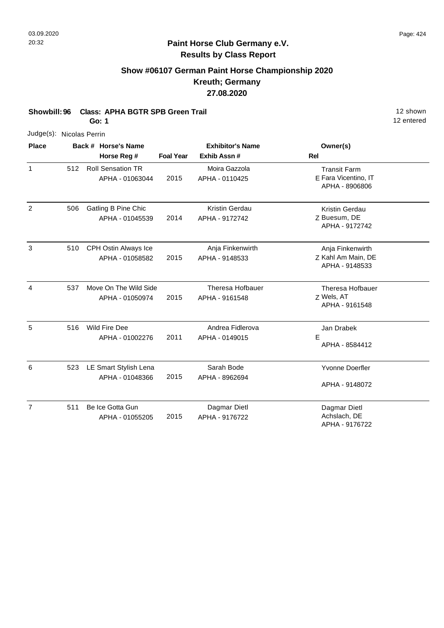# **Show #06107 German Paint Horse Championship 2020 Kreuth; Germany 27.08.2020**

**Showbill: 96 Class: APHA BGTR SPB Green Trail 12 Shown 12 Shown 12 Shown** 

**Go: 1**

| Judge(s): Nicolas Perrin |     |                                             |                  |                                           |                                                               |
|--------------------------|-----|---------------------------------------------|------------------|-------------------------------------------|---------------------------------------------------------------|
| <b>Place</b>             |     | Back # Horse's Name<br>Horse Reg #          | <b>Foal Year</b> | <b>Exhibitor's Name</b><br>Exhib Assn#    | Owner(s)<br>Rel                                               |
| $\mathbf{1}$             | 512 | <b>Roll Sensation TR</b><br>APHA - 01063044 | 2015             | Moira Gazzola<br>APHA - 0110425           | <b>Transit Farm</b><br>E Fara Vicentino, IT<br>APHA - 8906806 |
| $\overline{2}$           | 506 | Gatling B Pine Chic<br>APHA - 01045539      | 2014             | <b>Kristin Gerdau</b><br>APHA - 9172742   | Kristin Gerdau<br>Z Buesum, DE<br>APHA - 9172742              |
| 3                        | 510 | CPH Ostin Always Ice<br>APHA - 01058582     | 2015             | Anja Finkenwirth<br>APHA - 9148533        | Anja Finkenwirth<br>Z Kahl Am Main, DE<br>APHA - 9148533      |
| 4                        | 537 | Move On The Wild Side<br>APHA - 01050974    | 2015             | <b>Theresa Hofbauer</b><br>APHA - 9161548 | <b>Theresa Hofbauer</b><br>Z Wels, AT<br>APHA - 9161548       |
| 5                        | 516 | Wild Fire Dee<br>APHA - 01002276            | 2011             | Andrea Fidlerova<br>APHA - 0149015        | Jan Drabek<br>Е<br>APHA - 8584412                             |
| 6                        | 523 | LE Smart Stylish Lena<br>APHA - 01048366    | 2015             | Sarah Bode<br>APHA - 8962694              | Yvonne Doerfler<br>APHA - 9148072                             |
| $\overline{7}$           | 511 | Be Ice Gotta Gun<br>APHA - 01055205         | 2015             | Dagmar Dietl<br>APHA - 9176722            | Dagmar Dietl<br>Achslach, DE<br>APHA - 9176722                |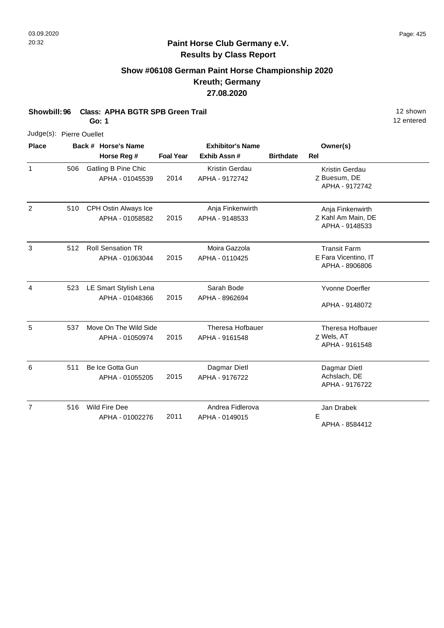#### **Paint Horse Club Germany e.V. Results by Class Report**

# **Show #06108 German Paint Horse Championship 2020 Kreuth; Germany 27.08.2020**

**Showbill: 96 Class: APHA BGTR SPB Green Trail 12 Shown 12 shown** 

**Go: 1**

12 entered

| Judge(s): Pierre Ouellet |     |                                             |                  |                                           |                  |                                                               |  |
|--------------------------|-----|---------------------------------------------|------------------|-------------------------------------------|------------------|---------------------------------------------------------------|--|
| <b>Place</b>             |     | Back # Horse's Name                         |                  | <b>Exhibitor's Name</b>                   |                  | Owner(s)                                                      |  |
|                          |     | Horse Reg #                                 | <b>Foal Year</b> | Exhib Assn #                              | <b>Birthdate</b> | <b>Rel</b>                                                    |  |
| 1                        | 506 | Gatling B Pine Chic<br>APHA - 01045539      | 2014             | <b>Kristin Gerdau</b><br>APHA - 9172742   |                  | Kristin Gerdau<br>Z Buesum, DE<br>APHA - 9172742              |  |
| $\overline{2}$           | 510 | CPH Ostin Always Ice<br>APHA - 01058582     | 2015             | Anja Finkenwirth<br>APHA - 9148533        |                  | Anja Finkenwirth<br>Z Kahl Am Main, DE<br>APHA - 9148533      |  |
| 3                        | 512 | <b>Roll Sensation TR</b><br>APHA - 01063044 | 2015             | Moira Gazzola<br>APHA - 0110425           |                  | <b>Transit Farm</b><br>E Fara Vicentino, IT<br>APHA - 8906806 |  |
| 4                        | 523 | LE Smart Stylish Lena<br>APHA - 01048366    | 2015             | Sarah Bode<br>APHA - 8962694              |                  | <b>Yvonne Doerfler</b><br>APHA - 9148072                      |  |
| 5                        | 537 | Move On The Wild Side<br>APHA - 01050974    | 2015             | <b>Theresa Hofbauer</b><br>APHA - 9161548 |                  | Theresa Hofbauer<br>Z Wels, AT<br>APHA - 9161548              |  |
| 6                        | 511 | Be Ice Gotta Gun<br>APHA - 01055205         | 2015             | Dagmar Dietl<br>APHA - 9176722            |                  | Dagmar Dietl<br>Achslach, DE<br>APHA - 9176722                |  |
| $\overline{7}$           | 516 | <b>Wild Fire Dee</b><br>APHA - 01002276     | 2011             | Andrea Fidlerova<br>APHA - 0149015        |                  | Jan Drabek<br>Е                                               |  |

APHA - 8584412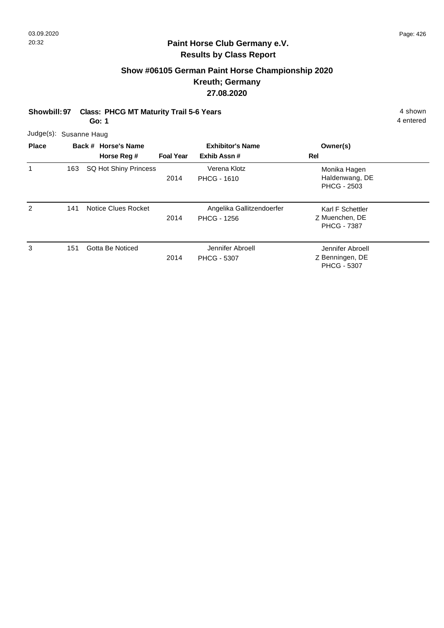# **Show #06105 German Paint Horse Championship 2020 Kreuth; Germany 27.08.2020**

| <b>Showbill: 97</b> |     |                        | <b>Class: PHCG MT Maturity Trail 5-6 Years</b><br>Go: 1                                                             |      |                                                 |                                                          | 4 shown<br>4 entered |  |
|---------------------|-----|------------------------|---------------------------------------------------------------------------------------------------------------------|------|-------------------------------------------------|----------------------------------------------------------|----------------------|--|
|                     |     | Judge(s): Susanne Haug |                                                                                                                     |      |                                                 |                                                          |                      |  |
| <b>Place</b>        |     |                        | <b>Exhibitor's Name</b><br>Back # Horse's Name<br>Owner(s)<br>Horse Reg #<br>Exhib Assn#<br><b>Foal Year</b><br>Rel |      |                                                 |                                                          |                      |  |
| 1                   | 163 |                        | SQ Hot Shiny Princess                                                                                               | 2014 | Verena Klotz<br><b>PHCG - 1610</b>              | Monika Hagen<br>Haldenwang, DE<br><b>PHCG - 2503</b>     |                      |  |
| 2                   | 141 |                        | Notice Clues Rocket                                                                                                 | 2014 | Angelika Gallitzendoerfer<br><b>PHCG - 1256</b> | Karl F Schettler<br>Z Muenchen, DE<br><b>PHCG - 7387</b> |                      |  |

3

2014 151 Gotta Be Noticed **Gotta Be Struck** Jennifer Abroell PHCG - 5307

Z Benningen, DE Jennifer Abroell PHCG - 5307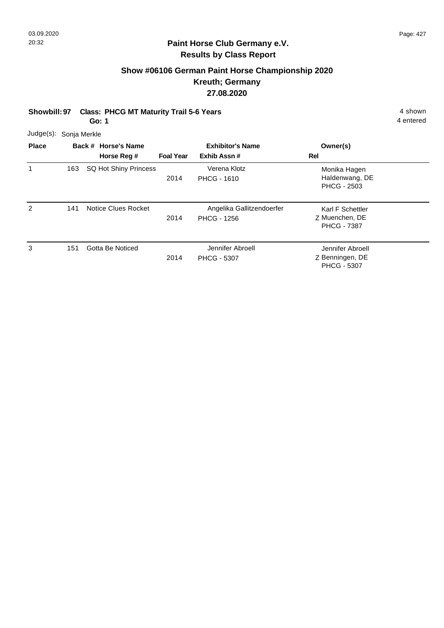#### **Show #06106 German Paint Horse Championship 2020 Kreuth; Germany 27.08.2020**

**Showbill: 97 Class: PHCG MT Maturity Trail 5-6 Years** 4 Shown 4 shown

**Go: 1**

| <b>Place</b> |     | Back # Horse's Name   | <b>Exhibitor's Name</b> |                                                 | Owner(s)                                                  |
|--------------|-----|-----------------------|-------------------------|-------------------------------------------------|-----------------------------------------------------------|
|              |     | Horse Reg #           | <b>Foal Year</b>        | Exhib Assn#                                     | Rel                                                       |
|              | 163 | SQ Hot Shiny Princess | 2014                    | Verena Klotz<br><b>PHCG - 1610</b>              | Monika Hagen<br>Haldenwang, DE<br><b>PHCG - 2503</b>      |
| 2            | 141 | Notice Clues Rocket   | 2014                    | Angelika Gallitzendoerfer<br><b>PHCG - 1256</b> | Karl F Schettler<br>Z Muenchen, DE<br><b>PHCG - 7387</b>  |
| 3            | 151 | Gotta Be Noticed      | 2014                    | Jennifer Abroell<br><b>PHCG - 5307</b>          | Jennifer Abroell<br>Z Benningen, DE<br><b>PHCG - 5307</b> |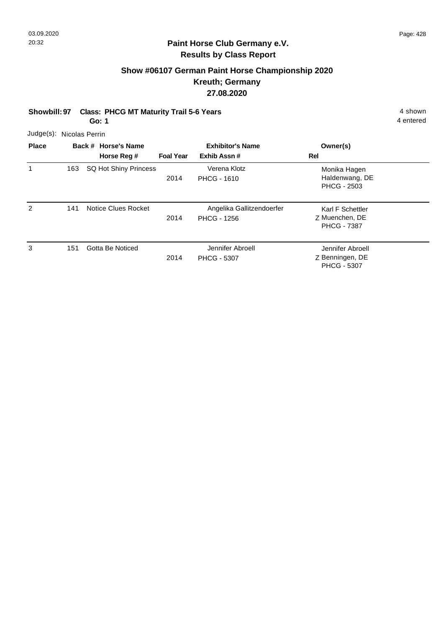# **Show #06107 German Paint Horse Championship 2020 Kreuth; Germany 27.08.2020**

#### **Showbill: 97 Class: PHCG MT Maturity Trail 5-6 Years** 4 Shown 4 shown **Go: 1**

4 entered

Judge(s): Nicolas Perrin

| <b>Place</b>  |     | Back # Horse's Name<br>Horse Reg # | <b>Foal Year</b> | <b>Exhibitor's Name</b><br>Exhib Assn#          | Owner(s)<br>Rel                                           |
|---------------|-----|------------------------------------|------------------|-------------------------------------------------|-----------------------------------------------------------|
|               | 163 | SQ Hot Shiny Princess              | 2014             | Verena Klotz<br><b>PHCG - 1610</b>              | Monika Hagen<br>Haldenwang, DE<br><b>PHCG - 2503</b>      |
| $\mathcal{P}$ | 141 | Notice Clues Rocket                | 2014             | Angelika Gallitzendoerfer<br><b>PHCG - 1256</b> | Karl F Schettler<br>Z Muenchen, DE<br><b>PHCG - 7387</b>  |
| 3             | 151 | Gotta Be Noticed                   | 2014             | Jennifer Abroell<br><b>PHCG - 5307</b>          | Jennifer Abroell<br>Z Benningen, DE<br><b>PHCG - 5307</b> |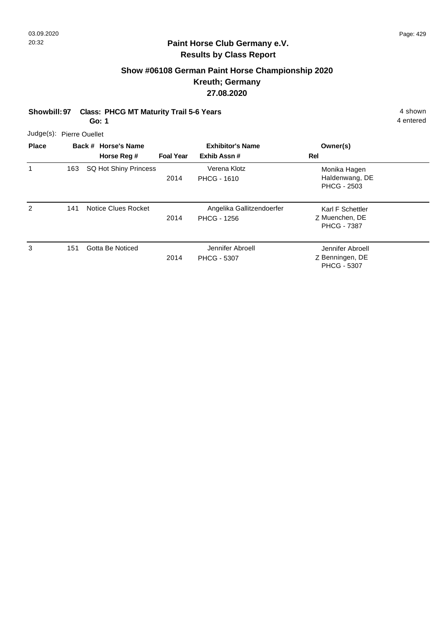# **Show #06108 German Paint Horse Championship 2020 Kreuth; Germany 27.08.2020**

# **Showbill: 97 Class: PHCG MT Maturity Trail 5-6 Years** 4 Shown 4 shown

**Go: 1**

|              | Judge(s): Pierre Ouellet |                |
|--------------|--------------------------|----------------|
| <b>Diase</b> |                          | Dook # Horos's |

| <b>Place</b> |     | Back # Horse's Name   | <b>Exhibitor's Name</b> |                                                 | Owner(s)                                                  |  |
|--------------|-----|-----------------------|-------------------------|-------------------------------------------------|-----------------------------------------------------------|--|
|              |     | Horse Reg #           | <b>Foal Year</b>        | Exhib Assn#                                     | Rel                                                       |  |
| 1            | 163 | SQ Hot Shiny Princess | 2014                    | Verena Klotz<br><b>PHCG - 1610</b>              | Monika Hagen<br>Haldenwang, DE<br><b>PHCG - 2503</b>      |  |
| 2            | 141 | Notice Clues Rocket   | 2014                    | Angelika Gallitzendoerfer<br><b>PHCG - 1256</b> | Karl F Schettler<br>Z Muenchen, DE<br><b>PHCG - 7387</b>  |  |
| 3            | 151 | Gotta Be Noticed      | 2014                    | Jennifer Abroell<br><b>PHCG - 5307</b>          | Jennifer Abroell<br>Z Benningen, DE<br><b>PHCG - 5307</b> |  |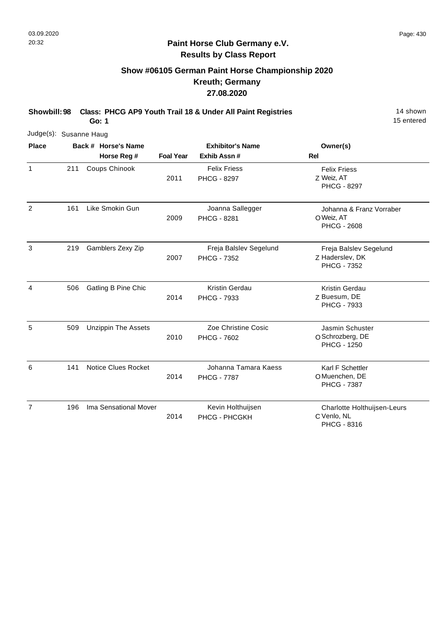# **Show #06105 German Paint Horse Championship 2020 Kreuth; Germany 27.08.2020**

**Showbill: 98 Class: PHCG AP9 Youth Trail 18 & Under All Paint Registries** 14 Shown

**Go: 1**

15 entered

| Judge(s): Susanne Haug |     |                            |                         |                                              |                                                                 |  |
|------------------------|-----|----------------------------|-------------------------|----------------------------------------------|-----------------------------------------------------------------|--|
| <b>Place</b>           |     | Back # Horse's Name        | <b>Exhibitor's Name</b> |                                              | Owner(s)                                                        |  |
|                        |     | Horse Reg #                | <b>Foal Year</b>        | Exhib Assn #                                 | Rel                                                             |  |
| $\mathbf{1}$           | 211 | Coups Chinook              | 2011                    | <b>Felix Friess</b><br><b>PHCG - 8297</b>    | <b>Felix Friess</b><br>Z Weiz, AT<br><b>PHCG - 8297</b>         |  |
| $\overline{2}$         | 161 | Like Smokin Gun            | 2009                    | Joanna Sallegger<br><b>PHCG - 8281</b>       | Johanna & Franz Vorraber<br>O Weiz, AT<br><b>PHCG - 2608</b>    |  |
| 3                      | 219 | Gamblers Zexy Zip          | 2007                    | Freja Balslev Segelund<br><b>PHCG - 7352</b> | Freja Balslev Segelund<br>Z Haderslev, DK<br><b>PHCG - 7352</b> |  |
| 4                      | 506 | Gatling B Pine Chic        | 2014                    | Kristin Gerdau<br>PHCG - 7933                | Kristin Gerdau<br>Z Buesum, DE<br>PHCG - 7933                   |  |
| 5                      | 509 | <b>Unzippin The Assets</b> | 2010                    | Zoe Christine Cosic<br><b>PHCG - 7602</b>    | Jasmin Schuster<br>O Schrozberg, DE<br><b>PHCG - 1250</b>       |  |
| 6                      | 141 | <b>Notice Clues Rocket</b> | 2014                    | Johanna Tamara Kaess<br><b>PHCG - 7787</b>   | Karl F Schettler<br>O Muenchen, DE<br><b>PHCG - 7387</b>        |  |
| 7                      | 196 | Ima Sensational Mover      | 2014                    | Kevin Holthuijsen<br>PHCG - PHCGKH           | Charlotte Holthuijsen-Leurs<br>C Venlo, NL                      |  |

PHCG - 8316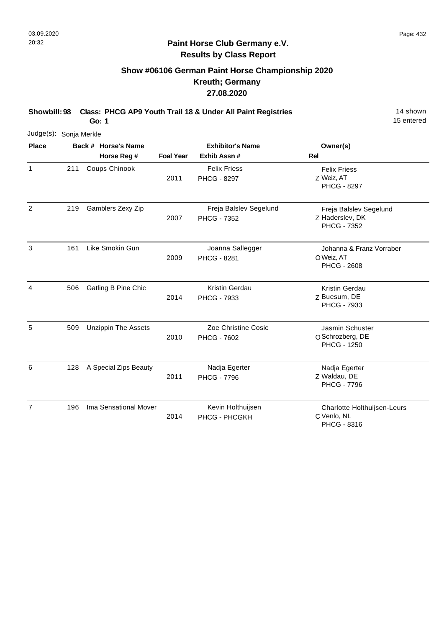7

#### **Paint Horse Club Germany e.V. Results by Class Report**

# **Show #06106 German Paint Horse Championship 2020 Kreuth; Germany 27.08.2020**

**Showbill: 98 Class: PHCG AP9 Youth Trail 18 & Under All Paint Registries** 11 **14 shown** 

2014 196 Ima Sensational Mover Kevin Holthuijsen

**Go: 1**

15 entered

| Judge(s): Sonja Merkle |     |                            |                  |                                              |                                                                 |
|------------------------|-----|----------------------------|------------------|----------------------------------------------|-----------------------------------------------------------------|
| <b>Place</b>           |     | Back # Horse's Name        |                  | <b>Exhibitor's Name</b>                      | Owner(s)                                                        |
|                        |     | Horse Reg #                | <b>Foal Year</b> | Exhib Assn#                                  | Rel                                                             |
| 1                      | 211 | Coups Chinook              | 2011             | <b>Felix Friess</b><br><b>PHCG - 8297</b>    | <b>Felix Friess</b><br>Z Weiz, AT<br><b>PHCG - 8297</b>         |
| 2                      | 219 | Gamblers Zexy Zip          | 2007             | Freja Balslev Segelund<br><b>PHCG - 7352</b> | Freja Balslev Segelund<br>Z Haderslev, DK<br><b>PHCG - 7352</b> |
| 3                      | 161 | Like Smokin Gun            | 2009             | Joanna Sallegger<br>PHCG - 8281              | Johanna & Franz Vorraber<br>O Weiz, AT<br><b>PHCG - 2608</b>    |
| 4                      | 506 | Gatling B Pine Chic        | 2014             | Kristin Gerdau<br>PHCG - 7933                | Kristin Gerdau<br>Z Buesum, DE<br>PHCG - 7933                   |
| 5                      | 509 | <b>Unzippin The Assets</b> | 2010             | Zoe Christine Cosic<br><b>PHCG - 7602</b>    | Jasmin Schuster<br>O Schrozberg, DE<br><b>PHCG - 1250</b>       |
| 6                      | 128 | A Special Zips Beauty      | 2011             | Nadja Egerter<br><b>PHCG - 7796</b>          | Nadja Egerter<br>Z Waldau, DE<br><b>PHCG - 7796</b>             |

PHCG - PHCGKH

C Venlo, NL

PHCG - 8316

Charlotte Holthuijsen-Leurs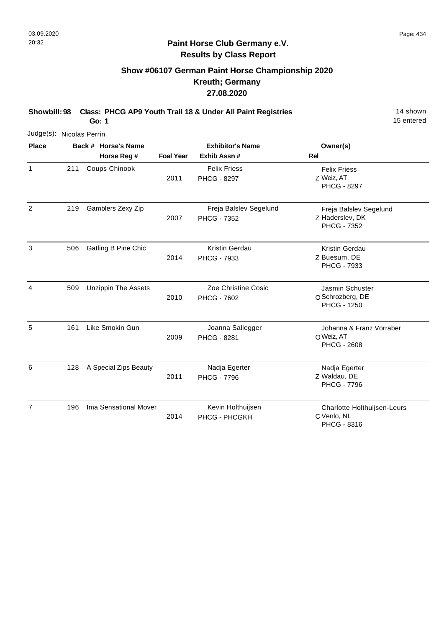#### **Paint Horse Club Germany e.V. Results by Class Report**

# **Show #06107 German Paint Horse Championship 2020 Kreuth; Germany 27.08.2020**

**Showbill: 98 Class: PHCG AP9 Youth Trail 18 & Under All Paint Registries** 11 **14 shown** 

2014 196 Ima Sensational Mover Kevin Holthuijsen 15 entered

|                          |     | Go: 1                      |                  |                                              | 15 entered                                                   |
|--------------------------|-----|----------------------------|------------------|----------------------------------------------|--------------------------------------------------------------|
| Judge(s): Nicolas Perrin |     |                            |                  |                                              |                                                              |
| <b>Place</b>             |     | Back # Horse's Name        |                  | <b>Exhibitor's Name</b>                      | Owner(s)                                                     |
|                          |     | Horse Reg #                | <b>Foal Year</b> | Exhib Assn#                                  | Rel                                                          |
| $\mathbf{1}$             | 211 | Coups Chinook              | 2011             | <b>Felix Friess</b><br>PHCG - 8297           | <b>Felix Friess</b><br>Z Weiz, AT<br><b>PHCG - 8297</b>      |
| $\overline{2}$           | 219 | Gamblers Zexy Zip          | 2007             | Freja Balslev Segelund<br><b>PHCG - 7352</b> | Freja Balslev Segelund<br>Z Haderslev, DK<br>PHCG - 7352     |
| 3                        | 506 | Gatling B Pine Chic        | 2014             | <b>Kristin Gerdau</b><br>PHCG - 7933         | Kristin Gerdau<br>Z Buesum, DE<br>PHCG - 7933                |
| 4                        | 509 | <b>Unzippin The Assets</b> | 2010             | Zoe Christine Cosic<br><b>PHCG - 7602</b>    | Jasmin Schuster<br>O Schrozberg, DE<br><b>PHCG - 1250</b>    |
| 5                        | 161 | Like Smokin Gun            | 2009             | Joanna Sallegger<br><b>PHCG - 8281</b>       | Johanna & Franz Vorraber<br>O Weiz, AT<br><b>PHCG - 2608</b> |
| 6                        | 128 | A Special Zips Beauty      | 2011             | Nadja Egerter<br><b>PHCG - 7796</b>          | Nadja Egerter<br>Z Waldau, DE<br><b>PHCG - 7796</b>          |
| $\overline{7}$           | 196 | Ima Sensational Mover      |                  | Kevin Holthuijsen                            | Charlotte Holthuijsen-Leurs                                  |

PHCG - PHCGKH

C Venlo, NL

PHCG - 8316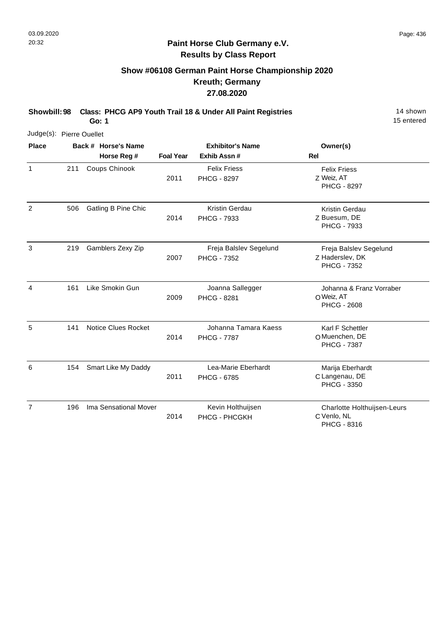# **Show #06108 German Paint Horse Championship 2020 Kreuth; Germany 27.08.2020**

**Showbill: 98 Class: PHCG AP9 Youth Trail 18 & Under All Paint Registries** 11 **14 shown** 

**Go: 1**

15 entered

| Judge(s): Pierre Ouellet |     |                            |                  |                                              |                                                                 |
|--------------------------|-----|----------------------------|------------------|----------------------------------------------|-----------------------------------------------------------------|
| <b>Place</b>             |     | Back # Horse's Name        |                  | <b>Exhibitor's Name</b>                      | Owner(s)                                                        |
|                          |     | Horse Reg #                | <b>Foal Year</b> | Exhib Assn#                                  | <b>Rel</b>                                                      |
| $\mathbf{1}$             | 211 | Coups Chinook              | 2011             | <b>Felix Friess</b><br><b>PHCG - 8297</b>    | <b>Felix Friess</b><br>Z Weiz, AT<br><b>PHCG - 8297</b>         |
| $\overline{2}$           | 506 | Gatling B Pine Chic        | 2014             | Kristin Gerdau<br><b>PHCG - 7933</b>         | Kristin Gerdau<br>Z Buesum, DE<br>PHCG - 7933                   |
| 3                        | 219 | Gamblers Zexy Zip          | 2007             | Freja Balslev Segelund<br><b>PHCG - 7352</b> | Freja Balslev Segelund<br>Z Haderslev, DK<br><b>PHCG - 7352</b> |
| 4                        | 161 | Like Smokin Gun            | 2009             | Joanna Sallegger<br><b>PHCG - 8281</b>       | Johanna & Franz Vorraber<br>O Weiz, AT<br><b>PHCG - 2608</b>    |
| 5                        | 141 | <b>Notice Clues Rocket</b> | 2014             | Johanna Tamara Kaess<br><b>PHCG - 7787</b>   | Karl F Schettler<br>O Muenchen, DE<br><b>PHCG - 7387</b>        |
| 6                        | 154 | Smart Like My Daddy        | 2011             | Lea-Marie Eberhardt<br><b>PHCG - 6785</b>    | Marija Eberhardt<br>C Langenau, DE<br>PHCG - 3350               |
| $\overline{7}$           | 196 | Ima Sensational Mover      |                  | Kevin Holthuijsen                            | Charlotte Holthuijsen-Leurs                                     |

PHCG - PHCGKH

2014

C Venlo, NL

PHCG - 8316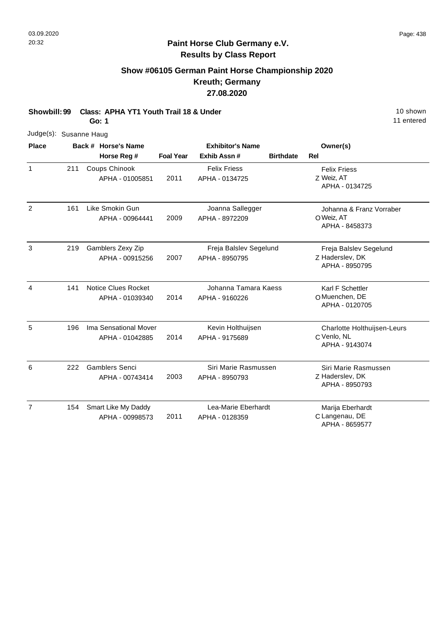# **Show #06105 German Paint Horse Championship 2020 Kreuth; Germany 27.08.2020**

**Showbill: 99 Class: APHA YT1 Youth Trail 18 & Under 10 Shown 10 shown 10 shown 10 shown Go: 1**

| Judge(s): Susanne Haug |     |                            |                  |                         |                  |                                   |
|------------------------|-----|----------------------------|------------------|-------------------------|------------------|-----------------------------------|
| <b>Place</b>           |     | Back # Horse's Name        |                  | <b>Exhibitor's Name</b> |                  | Owner(s)                          |
|                        |     | Horse Reg #                | <b>Foal Year</b> | Exhib Assn#             | <b>Birthdate</b> | Rel                               |
| 1                      | 211 | Coups Chinook              |                  | <b>Felix Friess</b>     |                  | <b>Felix Friess</b>               |
|                        |     | APHA - 01005851            | 2011             | APHA - 0134725          |                  | Z Weiz, AT<br>APHA - 0134725      |
| $\overline{2}$         | 161 | Like Smokin Gun            |                  | Joanna Sallegger        |                  | Johanna & Franz Vorraber          |
|                        |     | APHA - 00964441            | 2009             | APHA - 8972209          |                  | O Weiz, AT<br>APHA - 8458373      |
| 3                      | 219 | Gamblers Zexy Zip          |                  | Freja Balslev Segelund  |                  | Freja Balslev Segelund            |
|                        |     | APHA - 00915256            | 2007             | APHA - 8950795          |                  | Z Haderslev, DK<br>APHA - 8950795 |
| 4                      | 141 | <b>Notice Clues Rocket</b> |                  | Johanna Tamara Kaess    |                  | Karl F Schettler                  |
|                        |     | APHA - 01039340            | 2014             | APHA - 9160226          |                  | O Muenchen, DE<br>APHA - 0120705  |
| 5                      | 196 | Ima Sensational Mover      |                  | Kevin Holthuijsen       |                  | Charlotte Holthuijsen-Leurs       |
|                        |     | APHA - 01042885            | 2014             | APHA - 9175689          |                  | C Venlo, NL<br>APHA - 9143074     |
| 6                      | 222 | <b>Gamblers Senci</b>      |                  | Siri Marie Rasmussen    |                  | Siri Marie Rasmussen              |
|                        |     | APHA - 00743414            | 2003             | APHA - 8950793          |                  | Z Haderslev, DK<br>APHA - 8950793 |
| $\overline{7}$         | 154 | Smart Like My Daddy        |                  | Lea-Marie Eberhardt     |                  | Marija Eberhardt                  |
|                        |     | APHA - 00998573            | 2011             | APHA - 0128359          |                  | C Langenau, DE<br>APHA - 8659577  |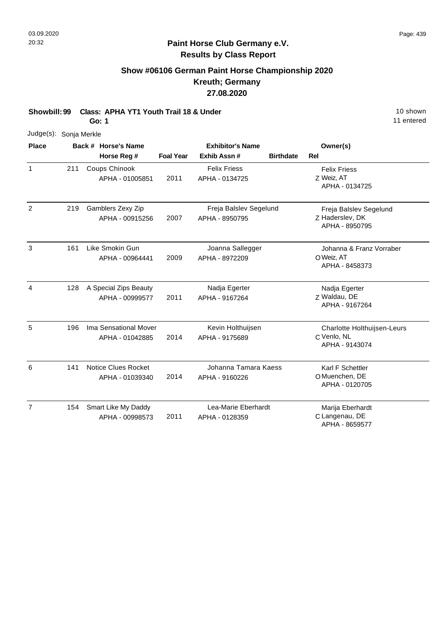# **Show #06106 German Paint Horse Championship 2020 Kreuth; Germany 27.08.2020**

**Showbill: 99 Class: APHA YT1 Youth Trail 18 & Under 10 Shown 10 shown 10 shown 10 shown** 

**Go: 1**

| Judge(s): Sonja Merkle |     |                                               |                  |                                          |                  |                                                              |
|------------------------|-----|-----------------------------------------------|------------------|------------------------------------------|------------------|--------------------------------------------------------------|
| <b>Place</b>           |     | Back # Horse's Name<br>Horse Reg #            | <b>Foal Year</b> | <b>Exhibitor's Name</b><br>Exhib Assn#   | <b>Birthdate</b> | Owner(s)<br><b>Rel</b>                                       |
| 1                      | 211 | Coups Chinook<br>APHA - 01005851              | 2011             | <b>Felix Friess</b><br>APHA - 0134725    |                  | <b>Felix Friess</b><br>Z Weiz, AT<br>APHA - 0134725          |
| $\overline{2}$         | 219 | Gamblers Zexy Zip<br>APHA - 00915256          | 2007             | Freja Balslev Segelund<br>APHA - 8950795 |                  | Freja Balslev Segelund<br>Z Haderslev, DK<br>APHA - 8950795  |
| 3                      | 161 | Like Smokin Gun<br>APHA - 00964441            | 2009             | Joanna Sallegger<br>APHA - 8972209       |                  | Johanna & Franz Vorraber<br>O Weiz, AT<br>APHA - 8458373     |
| $\overline{4}$         | 128 | A Special Zips Beauty<br>APHA - 00999577      | 2011             | Nadja Egerter<br>APHA - 9167264          |                  | Nadja Egerter<br>Z Waldau, DE<br>APHA - 9167264              |
| 5                      | 196 | Ima Sensational Mover<br>APHA - 01042885      | 2014             | Kevin Holthuijsen<br>APHA - 9175689      |                  | Charlotte Holthuijsen-Leurs<br>C Venlo, NL<br>APHA - 9143074 |
| 6                      | 141 | <b>Notice Clues Rocket</b><br>APHA - 01039340 | 2014             | Johanna Tamara Kaess<br>APHA - 9160226   |                  | Karl F Schettler<br>O Muenchen, DE<br>APHA - 0120705         |
| $\overline{7}$         | 154 | Smart Like My Daddy<br>APHA - 00998573        | 2011             | Lea-Marie Eberhardt<br>APHA - 0128359    |                  | Marija Eberhardt<br>C Langenau, DE<br>APHA - 8659577         |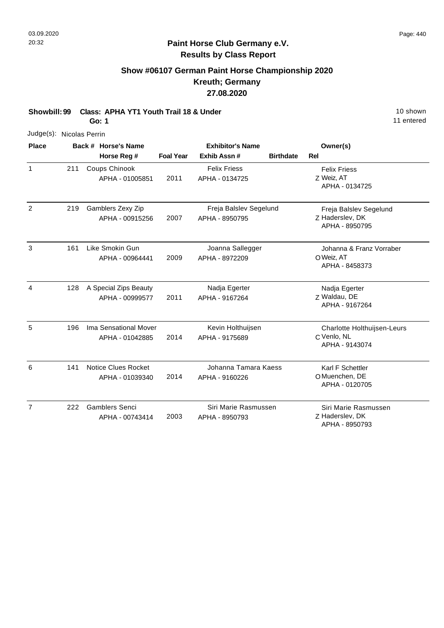# **Show #06107 German Paint Horse Championship 2020 Kreuth; Germany 27.08.2020**

**Showbill: 99 Class: APHA YT1 Youth Trail 18 & Under** 19 **10 Shown** 10 shown **Go: 1**

| Judge(s): Nicolas Perrin |     |                                               |                  |                                          |                  |                                                              |
|--------------------------|-----|-----------------------------------------------|------------------|------------------------------------------|------------------|--------------------------------------------------------------|
| <b>Place</b>             |     | Back # Horse's Name<br>Horse Reg #            | <b>Foal Year</b> | <b>Exhibitor's Name</b><br>Exhib Assn #  | <b>Birthdate</b> | Owner(s)<br>Rel                                              |
| $\mathbf{1}$             | 211 | Coups Chinook<br>APHA - 01005851              | 2011             | <b>Felix Friess</b><br>APHA - 0134725    |                  | <b>Felix Friess</b><br>Z Weiz, AT<br>APHA - 0134725          |
| $\overline{2}$           | 219 | Gamblers Zexy Zip<br>APHA - 00915256          | 2007             | Freja Balslev Segelund<br>APHA - 8950795 |                  | Freja Balslev Segelund<br>Z Haderslev, DK<br>APHA - 8950795  |
| 3                        | 161 | Like Smokin Gun<br>APHA - 00964441            | 2009             | Joanna Sallegger<br>APHA - 8972209       |                  | Johanna & Franz Vorraber<br>O Weiz, AT<br>APHA - 8458373     |
| 4                        | 128 | A Special Zips Beauty<br>APHA - 00999577      | 2011             | Nadja Egerter<br>APHA - 9167264          |                  | Nadja Egerter<br>Z Waldau, DE<br>APHA - 9167264              |
| 5                        | 196 | Ima Sensational Mover<br>APHA - 01042885      | 2014             | Kevin Holthuijsen<br>APHA - 9175689      |                  | Charlotte Holthuijsen-Leurs<br>C Venlo, NL<br>APHA - 9143074 |
| 6                        | 141 | <b>Notice Clues Rocket</b><br>APHA - 01039340 | 2014             | Johanna Tamara Kaess<br>APHA - 9160226   |                  | Karl F Schettler<br>O Muenchen, DE<br>APHA - 0120705         |
| $\overline{7}$           | 222 | <b>Gamblers Senci</b><br>APHA - 00743414      | 2003             | Siri Marie Rasmussen<br>APHA - 8950793   |                  | Siri Marie Rasmussen<br>Z Haderslev, DK<br>APHA - 8950793    |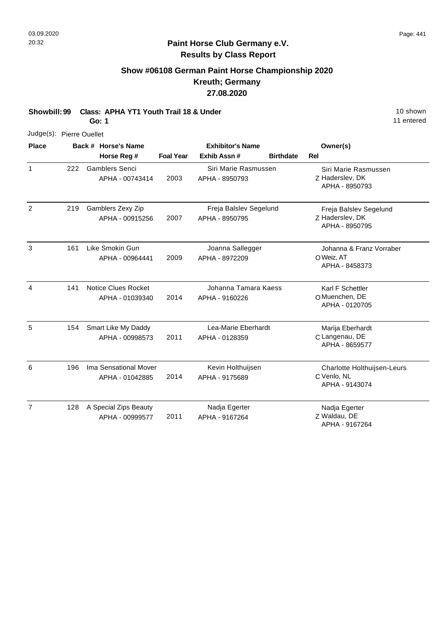# **Show #06108 German Paint Horse Championship 2020 Kreuth; Germany 27.08.2020**

**Showbill: 99 Class: APHA YT1 Youth Trail 18 & Under** 19 **10 Shown** 10 shown

**Go: 1**

| Judge(s): Pierre Ouellet |     |  |                            |                  |                         |                  |                                   |
|--------------------------|-----|--|----------------------------|------------------|-------------------------|------------------|-----------------------------------|
| Place                    |     |  | Back # Horse's Name        |                  | <b>Exhibitor's Name</b> |                  | Owner(s)                          |
|                          |     |  | Horse Reg #                | <b>Foal Year</b> | Exhib Assn#             | <b>Birthdate</b> | Rel                               |
| 1                        | 222 |  | <b>Gamblers Senci</b>      |                  | Siri Marie Rasmussen    |                  | Siri Marie Rasmussen              |
|                          |     |  | APHA - 00743414            | 2003             | APHA - 8950793          |                  | Z Haderslev, DK<br>APHA - 8950793 |
| $\overline{2}$           | 219 |  | Gamblers Zexy Zip          |                  | Freja Balslev Segelund  |                  | Freja Balslev Segelund            |
|                          |     |  | APHA - 00915256            | 2007             | APHA - 8950795          |                  | Z Haderslev, DK<br>APHA - 8950795 |
| 3                        | 161 |  | Like Smokin Gun            |                  | Joanna Sallegger        |                  | Johanna & Franz Vorraber          |
|                          |     |  | APHA - 00964441            | 2009             | APHA - 8972209          |                  | O Weiz, AT<br>APHA - 8458373      |
| 4                        | 141 |  | <b>Notice Clues Rocket</b> |                  | Johanna Tamara Kaess    |                  | Karl F Schettler                  |
|                          |     |  | APHA - 01039340            | 2014             | APHA - 9160226          |                  | O Muenchen, DE<br>APHA - 0120705  |
| 5                        | 154 |  | Smart Like My Daddy        |                  | Lea-Marie Eberhardt     |                  | Marija Eberhardt                  |
|                          |     |  | APHA - 00998573            | 2011             | APHA - 0128359          |                  | C Langenau, DE<br>APHA - 8659577  |
| 6                        | 196 |  | Ima Sensational Mover      |                  | Kevin Holthuijsen       |                  | Charlotte Holthuijsen-Leurs       |
|                          |     |  | APHA - 01042885            | 2014             | APHA - 9175689          |                  | C Venlo, NL<br>APHA - 9143074     |
| $\overline{7}$           | 128 |  | A Special Zips Beauty      |                  | Nadja Egerter           |                  | Nadja Egerter                     |
|                          |     |  | APHA - 00999577            | 2011             | APHA - 9167264          |                  | Z Waldau, DE<br>APHA - 9167264    |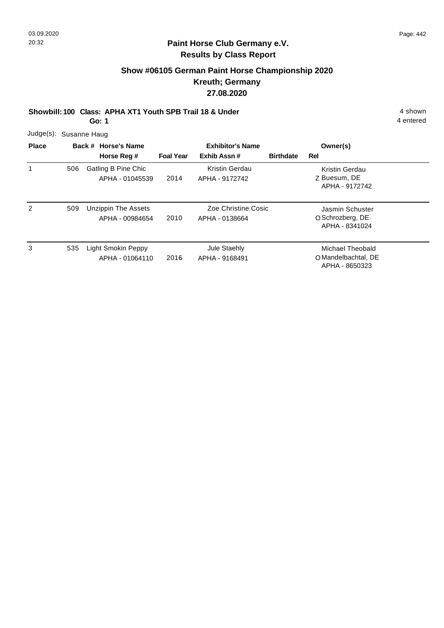# **Show #06105 German Paint Horse Championship 2020 Kreuth; Germany 27.08.2020**

**Showbill: 100 Class: APHA XT1 Youth SPB Trail 18 & Under** 4 shown

**Go: 1**

4 entered

Judge(s): Susanne Haug

| <b>Place</b> |     | Back # Horse's Name                    | <b>Exhibitor's Name</b> |                                       |                  | Owner(s)                                                  |  |
|--------------|-----|----------------------------------------|-------------------------|---------------------------------------|------------------|-----------------------------------------------------------|--|
|              |     | Horse Reg #                            | <b>Foal Year</b>        | Exhib Assn#                           | <b>Birthdate</b> | Rel                                                       |  |
|              | 506 | Gatling B Pine Chic<br>APHA - 01045539 | 2014                    | Kristin Gerdau<br>APHA - 9172742      |                  | Kristin Gerdau<br>Z Buesum, DE<br>APHA - 9172742          |  |
| 2            | 509 | Unzippin The Assets<br>APHA - 00984654 | 2010                    | Zoe Christine Cosic<br>APHA - 0138664 |                  | Jasmin Schuster<br>O Schrozberg, DE<br>APHA - 8341024     |  |
| 3            | 535 | Light Smokin Peppy<br>APHA - 01064110  | 2016                    | Jule Staehly<br>APHA - 9168491        |                  | Michael Theobald<br>O Mandelbachtal, DE<br>APHA - 8650323 |  |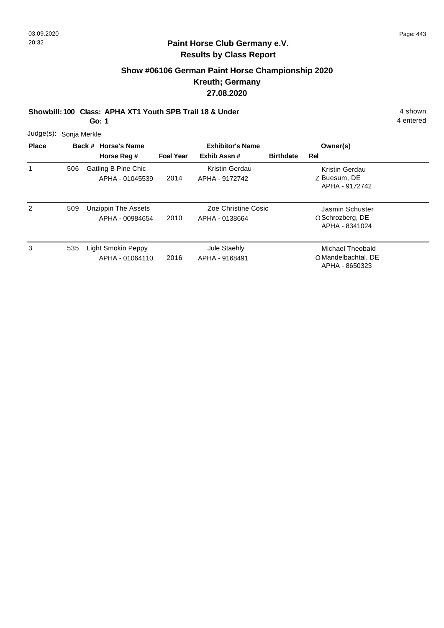# **Show #06106 German Paint Horse Championship 2020 Kreuth; Germany 27.08.2020**

**Showbill: 100 Class: APHA XT1 Youth SPB Trail 18 & Under** 4 shown

**Go: 1**

| Judge(s): Sonja Merkle |  |
|------------------------|--|
|                        |  |

| <b>Place</b> |     | Back # Horse's Name                    |                  | <b>Exhibitor's Name</b>               |                  | Owner(s)                                                  |  |
|--------------|-----|----------------------------------------|------------------|---------------------------------------|------------------|-----------------------------------------------------------|--|
|              |     | Horse Reg #                            | <b>Foal Year</b> | Exhib Assn#                           | <b>Birthdate</b> | Rel                                                       |  |
|              | 506 | Gatling B Pine Chic<br>APHA - 01045539 | 2014             | Kristin Gerdau<br>APHA - 9172742      |                  | Kristin Gerdau<br>Z Buesum, DE<br>APHA - 9172742          |  |
| 2            | 509 | Unzippin The Assets<br>APHA - 00984654 | 2010             | Zoe Christine Cosic<br>APHA - 0138664 |                  | Jasmin Schuster<br>O Schrozberg, DE<br>APHA - 8341024     |  |
| 3            | 535 | Light Smokin Peppy<br>APHA - 01064110  | 2016             | Jule Staehly<br>APHA - 9168491        |                  | Michael Theobald<br>O Mandelbachtal, DE<br>APHA - 8650323 |  |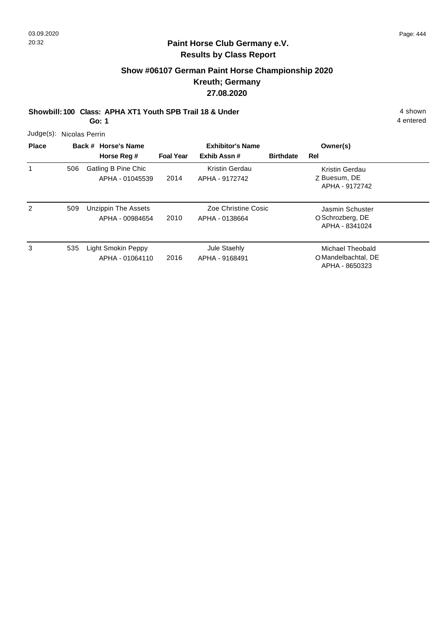# **Show #06107 German Paint Horse Championship 2020 Kreuth; Germany 27.08.2020**

**Showbill: 100 Class: APHA XT1 Youth SPB Trail 18 & Under** 4 shown

**Go: 1**

| Judge(s): Nicolas Perrin |  |
|--------------------------|--|
|                          |  |

| <b>Place</b> |     | Back # Horse's Name                           |                  | <b>Exhibitor's Name</b>               |                  | Owner(s)                                                  |  |
|--------------|-----|-----------------------------------------------|------------------|---------------------------------------|------------------|-----------------------------------------------------------|--|
|              |     | Horse Reg #                                   | <b>Foal Year</b> | Exhib Assn#                           | <b>Birthdate</b> | Rel                                                       |  |
|              | 506 | <b>Gatling B Pine Chic</b><br>APHA - 01045539 | 2014             | Kristin Gerdau<br>APHA - 9172742      |                  | Kristin Gerdau<br>Z Buesum, DE<br>APHA - 9172742          |  |
| 2            | 509 | Unzippin The Assets<br>APHA - 00984654        | 2010             | Zoe Christine Cosic<br>APHA - 0138664 |                  | Jasmin Schuster<br>O Schrozberg, DE<br>APHA - 8341024     |  |
| 3            | 535 | Light Smokin Peppy<br>APHA - 01064110         | 2016             | Jule Staehly<br>APHA - 9168491        |                  | Michael Theobald<br>O Mandelbachtal, DE<br>APHA - 8650323 |  |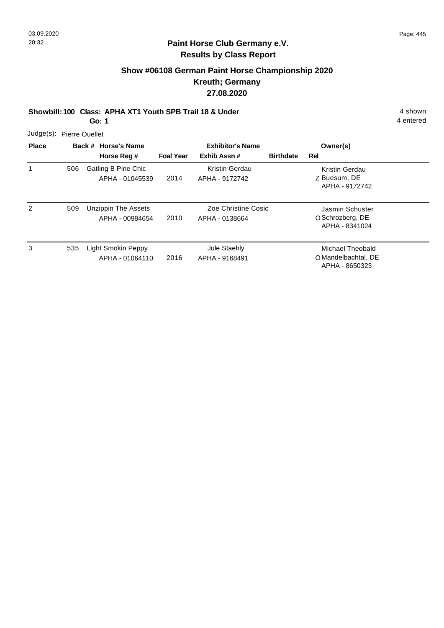# **Show #06108 German Paint Horse Championship 2020 Kreuth; Germany 27.08.2020**

**Showbill: 100 Class: APHA XT1 Youth SPB Trail 18 & Under** 4 shown

**Go: 1**

| Judge(s): Pierre Ouellet |
|--------------------------|
|                          |

| <b>Place</b> |     | Back # Horse's Name                    | <b>Exhibitor's Name</b> |                                       |                  | Owner(s)                                                  |  |
|--------------|-----|----------------------------------------|-------------------------|---------------------------------------|------------------|-----------------------------------------------------------|--|
|              |     | Horse Reg #                            | <b>Foal Year</b>        | Exhib Assn#                           | <b>Birthdate</b> | Rel                                                       |  |
|              | 506 | Gatling B Pine Chic<br>APHA - 01045539 | 2014                    | Kristin Gerdau<br>APHA - 9172742      |                  | Kristin Gerdau<br>Z Buesum, DE<br>APHA - 9172742          |  |
| 2            | 509 | Unzippin The Assets<br>APHA - 00984654 | 2010                    | Zoe Christine Cosic<br>APHA - 0138664 |                  | Jasmin Schuster<br>O Schrozberg, DE<br>APHA - 8341024     |  |
| 3            | 535 | Light Smokin Peppy<br>APHA - 01064110  | 2016                    | Jule Staehly<br>APHA - 9168491        |                  | Michael Theobald<br>O Mandelbachtal, DE<br>APHA - 8650323 |  |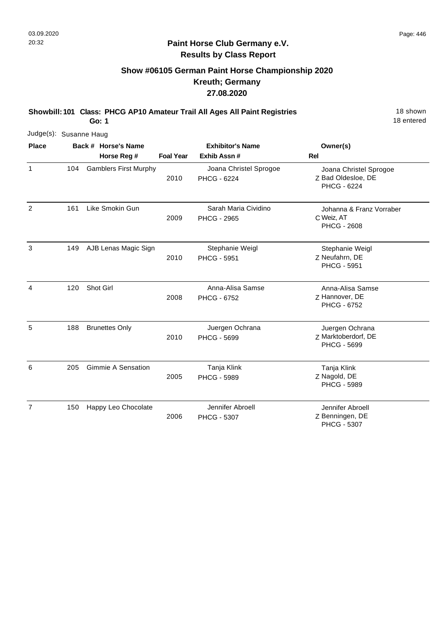#### **Paint Horse Club Germany e.V. Results by Class Report**

# **Show #06105 German Paint Horse Championship 2020 Kreuth; Germany 27.08.2020**

**Showbill: 101 Class: PHCG AP10 Amateur Trail All Ages All Paint Registries** 18 Shown

**Go: 1**

| Judge(s): Susanne Haug |     |                              |                  |                                            |                                                                    |
|------------------------|-----|------------------------------|------------------|--------------------------------------------|--------------------------------------------------------------------|
| <b>Place</b>           |     | Back # Horse's Name          |                  | <b>Exhibitor's Name</b>                    | Owner(s)                                                           |
|                        |     | Horse Reg #                  | <b>Foal Year</b> | Exhib Assn #                               | <b>Rel</b>                                                         |
| 1                      | 104 | <b>Gamblers First Murphy</b> | 2010             | Joana Christel Sprogoe<br>PHCG - 6224      | Joana Christel Sprogoe<br>Z Bad Oldesloe, DE<br><b>PHCG - 6224</b> |
| 2                      | 161 | Like Smokin Gun              | 2009             | Sarah Maria Cividino<br><b>PHCG - 2965</b> | Johanna & Franz Vorraber<br>C Weiz, AT<br><b>PHCG - 2608</b>       |
| 3                      | 149 | AJB Lenas Magic Sign         | 2010             | Stephanie Weigl<br><b>PHCG - 5951</b>      | Stephanie Weigl<br>Z Neufahrn, DE<br><b>PHCG - 5951</b>            |
| 4                      | 120 | Shot Girl                    | 2008             | Anna-Alisa Samse<br>PHCG - 6752            | Anna-Alisa Samse<br>Z Hannover, DE<br>PHCG - 6752                  |
| 5                      | 188 | <b>Brunettes Only</b>        | 2010             | Juergen Ochrana<br><b>PHCG - 5699</b>      | Juergen Ochrana<br>Z Marktoberdorf, DE<br>PHCG - 5699              |
| 6                      | 205 | <b>Gimmie A Sensation</b>    | 2005             | Tanja Klink<br><b>PHCG - 5989</b>          | Tanja Klink<br>Z Nagold, DE<br><b>PHCG - 5989</b>                  |
| $\overline{7}$         | 150 | Happy Leo Chocolate          | 2006             | Jennifer Abroell<br>PHCG - 5307            | Jennifer Abroell<br>Z Benningen, DE<br><b>PHCG - 5307</b>          |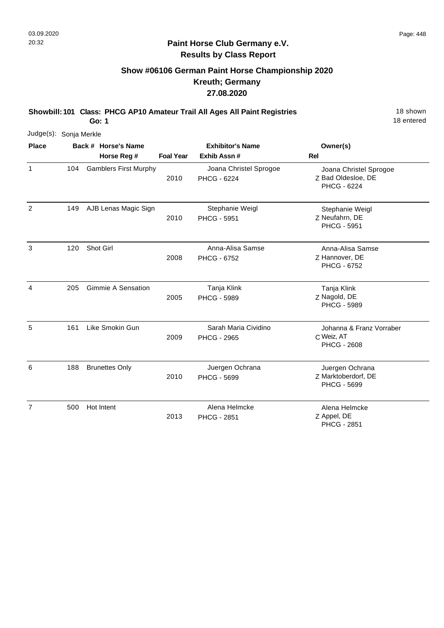#### **Paint Horse Club Germany e.V. Results by Class Report**

# **Show #06106 German Paint Horse Championship 2020 Kreuth; Germany 27.08.2020**

**Showbill: 101 Class: PHCG AP10 Amateur Trail All Ages All Paint Registries** 18 Shown

**Go: 1**

|                | Judge(s): Sonja Merkle |  |                              |                  |                                            |                                                              |  |  |  |  |
|----------------|------------------------|--|------------------------------|------------------|--------------------------------------------|--------------------------------------------------------------|--|--|--|--|
| <b>Place</b>   |                        |  | Back # Horse's Name          |                  | <b>Exhibitor's Name</b>                    | Owner(s)                                                     |  |  |  |  |
|                |                        |  | Horse Reg #                  | <b>Foal Year</b> | Exhib Assn #                               | <b>Rel</b>                                                   |  |  |  |  |
| 1              | 104                    |  | <b>Gamblers First Murphy</b> | 2010             | Joana Christel Sprogoe<br>PHCG - 6224      | Joana Christel Sprogoe<br>Z Bad Oldesloe, DE<br>PHCG - 6224  |  |  |  |  |
| 2              | 149                    |  | AJB Lenas Magic Sign         | 2010             | Stephanie Weigl<br><b>PHCG - 5951</b>      | Stephanie Weigl<br>Z Neufahrn, DE<br><b>PHCG - 5951</b>      |  |  |  |  |
| 3              | 120                    |  | Shot Girl                    | 2008             | Anna-Alisa Samse<br>PHCG - 6752            | Anna-Alisa Samse<br>Z Hannover, DE<br><b>PHCG - 6752</b>     |  |  |  |  |
| 4              | 205                    |  | <b>Gimmie A Sensation</b>    | 2005             | Tanja Klink<br><b>PHCG - 5989</b>          | Tanja Klink<br>Z Nagold, DE<br><b>PHCG - 5989</b>            |  |  |  |  |
| 5              | 161                    |  | Like Smokin Gun              | 2009             | Sarah Maria Cividino<br><b>PHCG - 2965</b> | Johanna & Franz Vorraber<br>C Weiz, AT<br><b>PHCG - 2608</b> |  |  |  |  |
| 6              | 188                    |  | <b>Brunettes Only</b>        | 2010             | Juergen Ochrana<br><b>PHCG - 5699</b>      | Juergen Ochrana<br>Z Marktoberdorf, DE<br><b>PHCG - 5699</b> |  |  |  |  |
| $\overline{7}$ | 500                    |  | Hot Intent                   | 2013             | Alena Helmcke<br><b>PHCG - 2851</b>        | Alena Helmcke<br>Z Appel, DE<br><b>PHCG - 2851</b>           |  |  |  |  |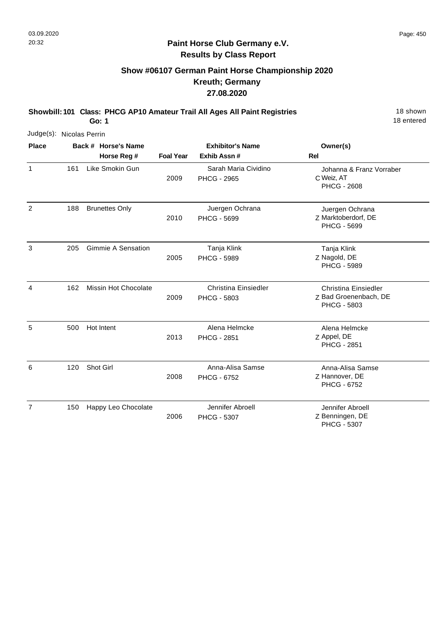# **Show #06107 German Paint Horse Championship 2020 Kreuth; Germany 27.08.2020**

**Showbill: 101 Class: PHCG AP10 Amateur Trail All Ages All Paint Registries** 18 Shown

**Go: 1**

18 entered

| Judge(s): Nicolas Perrin |     |                                    |                  |                                            |                                                                     |
|--------------------------|-----|------------------------------------|------------------|--------------------------------------------|---------------------------------------------------------------------|
| <b>Place</b>             |     | Back # Horse's Name<br>Horse Reg # | <b>Foal Year</b> | <b>Exhibitor's Name</b><br>Exhib Assn#     | Owner(s)<br>Rel                                                     |
| $\mathbf{1}$             | 161 | Like Smokin Gun                    | 2009             | Sarah Maria Cividino<br><b>PHCG - 2965</b> | Johanna & Franz Vorraber<br>C Weiz, AT<br><b>PHCG - 2608</b>        |
| $\overline{2}$           | 188 | <b>Brunettes Only</b>              | 2010             | Juergen Ochrana<br>PHCG - 5699             | Juergen Ochrana<br>Z Marktoberdorf, DE<br>PHCG - 5699               |
| 3                        | 205 | <b>Gimmie A Sensation</b>          | 2005             | Tanja Klink<br><b>PHCG - 5989</b>          | Tanja Klink<br>Z Nagold, DE<br><b>PHCG - 5989</b>                   |
| 4                        | 162 | <b>Missin Hot Chocolate</b>        | 2009             | <b>Christina Einsiedler</b><br>PHCG - 5803 | Christina Einsiedler<br>Z Bad Groenenbach, DE<br><b>PHCG - 5803</b> |
| 5                        | 500 | Hot Intent                         | 2013             | Alena Helmcke<br>PHCG - 2851               | Alena Helmcke<br>Z Appel, DE<br><b>PHCG - 2851</b>                  |
| 6                        | 120 | Shot Girl                          | 2008             | Anna-Alisa Samse<br><b>PHCG - 6752</b>     | Anna-Alisa Samse<br>Z Hannover, DE<br>PHCG - 6752                   |
| $\overline{7}$           | 150 | Happy Leo Chocolate                | 2006             | Jennifer Abroell<br><b>PHCG - 5307</b>     | Jennifer Abroell<br>Z Benningen, DE                                 |

PHCG - 5307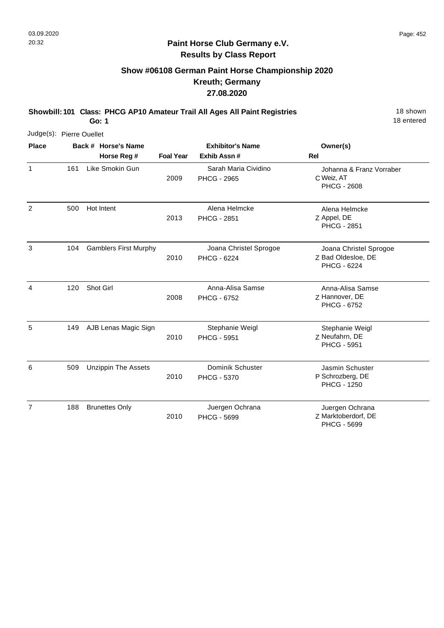# **Show #06108 German Paint Horse Championship 2020 Kreuth; Germany 27.08.2020**

**Showbill: 101 Class: PHCG AP10 Amateur Trail All Ages All Paint Registries** 18 Shown

2010

18 entered

Z Marktoberdorf, DE

PHCG - 5699

|                          |     | Go: 1                        |                  |                                              | 18 entered                                                   |
|--------------------------|-----|------------------------------|------------------|----------------------------------------------|--------------------------------------------------------------|
| Judge(s): Pierre Ouellet |     |                              |                  |                                              |                                                              |
| <b>Place</b>             |     | Back # Horse's Name          |                  | <b>Exhibitor's Name</b>                      | Owner(s)                                                     |
|                          |     | Horse Reg #                  | <b>Foal Year</b> | Exhib Assn#                                  | Rel                                                          |
| 1                        | 161 | Like Smokin Gun              | 2009             | Sarah Maria Cividino<br><b>PHCG - 2965</b>   | Johanna & Franz Vorraber<br>C Weiz, AT<br><b>PHCG - 2608</b> |
| 2                        | 500 | Hot Intent                   | 2013             | Alena Helmcke<br><b>PHCG - 2851</b>          | Alena Helmcke<br>Z Appel, DE<br><b>PHCG - 2851</b>           |
| 3                        | 104 | <b>Gamblers First Murphy</b> | 2010             | Joana Christel Sprogoe<br><b>PHCG - 6224</b> | Joana Christel Sprogoe<br>Z Bad Oldesloe, DE<br>PHCG - 6224  |
| 4                        | 120 | Shot Girl                    | 2008             | Anna-Alisa Samse<br>PHCG - 6752              | Anna-Alisa Samse<br>Z Hannover, DE<br><b>PHCG - 6752</b>     |
| 5                        | 149 | AJB Lenas Magic Sign         | 2010             | Stephanie Weigl<br>PHCG - 5951               | Stephanie Weigl<br>Z Neufahrn, DE<br><b>PHCG - 5951</b>      |
| 6                        | 509 | <b>Unzippin The Assets</b>   | 2010             | Dominik Schuster<br>PHCG - 5370              | Jasmin Schuster<br>P Schrozberg, DE<br><b>PHCG - 1250</b>    |
| $\overline{7}$           | 188 | <b>Brunettes Only</b>        |                  | Juergen Ochrana                              | Juergen Ochrana                                              |

PHCG - 5699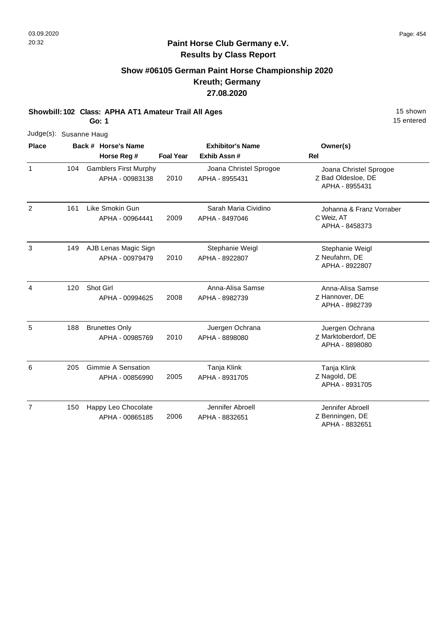# **Show #06105 German Paint Horse Championship 2020 Kreuth; Germany 27.08.2020**

**Showbill: 102 Class: APHA AT1 Amateur Trail All Ages** 15 Shown

**Go: 1**

| Judge(s): Susanne Haug |     |                                                 |                  |                                          |                                                                |
|------------------------|-----|-------------------------------------------------|------------------|------------------------------------------|----------------------------------------------------------------|
| <b>Place</b>           |     | Back # Horse's Name                             |                  | <b>Exhibitor's Name</b>                  | Owner(s)                                                       |
|                        |     | Horse Reg #                                     | <b>Foal Year</b> | Exhib Assn#                              | Rel                                                            |
| $\mathbf{1}$           | 104 | <b>Gamblers First Murphy</b><br>APHA - 00983138 | 2010             | Joana Christel Sprogoe<br>APHA - 8955431 | Joana Christel Sprogoe<br>Z Bad Oldesloe, DE<br>APHA - 8955431 |
| 2                      | 161 | Like Smokin Gun<br>APHA - 00964441              | 2009             | Sarah Maria Cividino<br>APHA - 8497046   | Johanna & Franz Vorraber<br>C Weiz, AT<br>APHA - 8458373       |
| 3                      | 149 | AJB Lenas Magic Sign<br>APHA - 00979479         | 2010             | Stephanie Weigl<br>APHA - 8922807        | Stephanie Weigl<br>Z Neufahrn, DE<br>APHA - 8922807            |
| 4                      | 120 | Shot Girl<br>APHA - 00994625                    | 2008             | Anna-Alisa Samse<br>APHA - 8982739       | Anna-Alisa Samse<br>Z Hannover, DE<br>APHA - 8982739           |
| 5                      | 188 | <b>Brunettes Only</b><br>APHA - 00985769        | 2010             | Juergen Ochrana<br>APHA - 8898080        | Juergen Ochrana<br>Z Marktoberdorf, DE<br>APHA - 8898080       |
| 6                      | 205 | <b>Gimmie A Sensation</b><br>APHA - 00856990    | 2005             | Tanja Klink<br>APHA - 8931705            | Tanja Klink<br>Z Nagold, DE<br>APHA - 8931705                  |
| $\overline{7}$         | 150 | Happy Leo Chocolate<br>APHA - 00865185          | 2006             | Jennifer Abroell<br>APHA - 8832651       | Jennifer Abroell<br>Z Benningen, DE<br>APHA - 8832651          |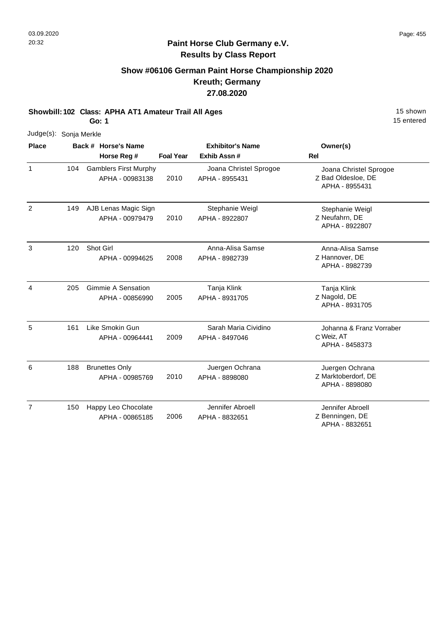# **Show #06106 German Paint Horse Championship 2020 Kreuth; Germany 27.08.2020**

**Showbill: 102 Class: APHA AT1 Amateur Trail All Ages** 15 Shown

**Go: 1**

|                | Judge(s): Sonja Merkle |  |                                                 |                  |                                          |                                                                |  |  |  |
|----------------|------------------------|--|-------------------------------------------------|------------------|------------------------------------------|----------------------------------------------------------------|--|--|--|
| <b>Place</b>   |                        |  | Back # Horse's Name                             |                  | <b>Exhibitor's Name</b>                  | Owner(s)                                                       |  |  |  |
|                |                        |  | Horse Reg #                                     | <b>Foal Year</b> | Exhib Assn#                              | <b>Rel</b>                                                     |  |  |  |
| $\mathbf{1}$   | 104                    |  | <b>Gamblers First Murphy</b><br>APHA - 00983138 | 2010             | Joana Christel Sprogoe<br>APHA - 8955431 | Joana Christel Sprogoe<br>Z Bad Oldesloe, DE<br>APHA - 8955431 |  |  |  |
| 2              | 149                    |  | AJB Lenas Magic Sign<br>APHA - 00979479         | 2010             | Stephanie Weigl<br>APHA - 8922807        | Stephanie Weigl<br>Z Neufahrn, DE<br>APHA - 8922807            |  |  |  |
| 3              | 120                    |  | Shot Girl<br>APHA - 00994625                    | 2008             | Anna-Alisa Samse<br>APHA - 8982739       | Anna-Alisa Samse<br>Z Hannover, DE<br>APHA - 8982739           |  |  |  |
| 4              | 205                    |  | <b>Gimmie A Sensation</b><br>APHA - 00856990    | 2005             | Tanja Klink<br>APHA - 8931705            | Tanja Klink<br>Z Nagold, DE<br>APHA - 8931705                  |  |  |  |
| 5              | 161                    |  | Like Smokin Gun<br>APHA - 00964441              | 2009             | Sarah Maria Cividino<br>APHA - 8497046   | Johanna & Franz Vorraber<br>C Weiz, AT<br>APHA - 8458373       |  |  |  |
| 6              | 188                    |  | <b>Brunettes Only</b><br>APHA - 00985769        | 2010             | Juergen Ochrana<br>APHA - 8898080        | Juergen Ochrana<br>Z Marktoberdorf, DE<br>APHA - 8898080       |  |  |  |
| $\overline{7}$ | 150                    |  | Happy Leo Chocolate<br>APHA - 00865185          | 2006             | Jennifer Abroell<br>APHA - 8832651       | Jennifer Abroell<br>Z Benningen, DE<br>APHA - 8832651          |  |  |  |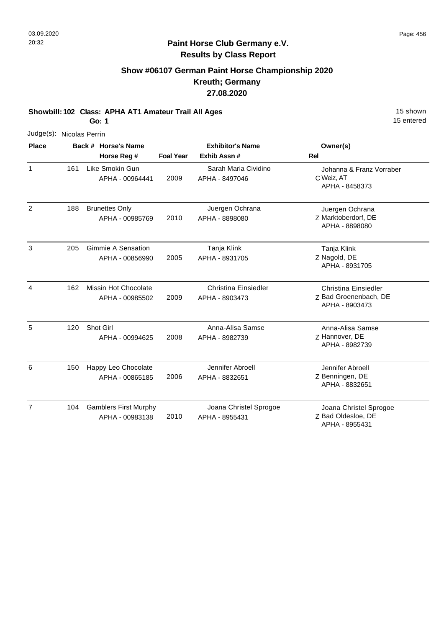# **Show #06107 German Paint Horse Championship 2020 Kreuth; Germany 27.08.2020**

**Showbill: 102 Class: APHA AT1 Amateur Trail All Ages** 15 Shown

**Go: 1**

| Judge(s): Nicolas Perrin |     |                                                 |                  |                                               |                                                                        |
|--------------------------|-----|-------------------------------------------------|------------------|-----------------------------------------------|------------------------------------------------------------------------|
| <b>Place</b>             |     | Back # Horse's Name                             |                  | <b>Exhibitor's Name</b>                       | Owner(s)                                                               |
|                          |     | Horse Reg #                                     | <b>Foal Year</b> | Exhib Assn #                                  | <b>Rel</b>                                                             |
| 1                        | 161 | Like Smokin Gun<br>APHA - 00964441              | 2009             | Sarah Maria Cividino<br>APHA - 8497046        | Johanna & Franz Vorraber<br>C Weiz, AT<br>APHA - 8458373               |
| 2                        | 188 | <b>Brunettes Only</b><br>APHA - 00985769        | 2010             | Juergen Ochrana<br>APHA - 8898080             | Juergen Ochrana<br>Z Marktoberdorf, DE<br>APHA - 8898080               |
| 3                        | 205 | <b>Gimmie A Sensation</b><br>APHA - 00856990    | 2005             | Tanja Klink<br>APHA - 8931705                 | Tanja Klink<br>Z Nagold, DE<br>APHA - 8931705                          |
| 4                        | 162 | <b>Missin Hot Chocolate</b><br>APHA - 00985502  | 2009             | <b>Christina Einsiedler</b><br>APHA - 8903473 | <b>Christina Einsiedler</b><br>Z Bad Groenenbach, DE<br>APHA - 8903473 |
| 5                        | 120 | Shot Girl<br>APHA - 00994625                    | 2008             | Anna-Alisa Samse<br>APHA - 8982739            | Anna-Alisa Samse<br>Z Hannover, DE<br>APHA - 8982739                   |
| 6                        | 150 | Happy Leo Chocolate<br>APHA - 00865185          | 2006             | Jennifer Abroell<br>APHA - 8832651            | Jennifer Abroell<br>Z Benningen, DE<br>APHA - 8832651                  |
| $\overline{7}$           | 104 | <b>Gamblers First Murphy</b><br>APHA - 00983138 | 2010             | Joana Christel Sprogoe<br>APHA - 8955431      | Joana Christel Sprogoe<br>Z Bad Oldesloe, DE<br>APHA - 8955431         |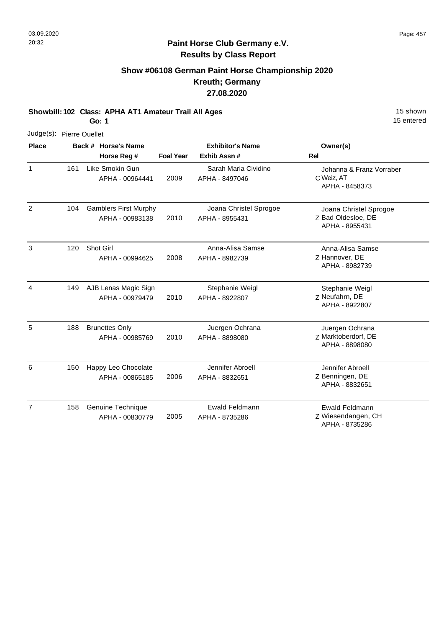# **Show #06108 German Paint Horse Championship 2020 Kreuth; Germany 27.08.2020**

**Showbill: 102 Class: APHA AT1 Amateur Trail All Ages** 15 Shown

**Go: 1**

| Judge(s): Pierre Ouellet |     |                                                 |                  |                                          |                                                                |
|--------------------------|-----|-------------------------------------------------|------------------|------------------------------------------|----------------------------------------------------------------|
| <b>Place</b>             |     | Back # Horse's Name                             |                  | <b>Exhibitor's Name</b>                  | Owner(s)                                                       |
|                          |     | Horse Reg #                                     | <b>Foal Year</b> | Exhib Assn #                             | <b>Rel</b>                                                     |
| $\mathbf{1}$             | 161 | Like Smokin Gun<br>APHA - 00964441              | 2009             | Sarah Maria Cividino<br>APHA - 8497046   | Johanna & Franz Vorraber<br>C Weiz, AT<br>APHA - 8458373       |
| 2                        | 104 | <b>Gamblers First Murphy</b><br>APHA - 00983138 | 2010             | Joana Christel Sprogoe<br>APHA - 8955431 | Joana Christel Sprogoe<br>Z Bad Oldesloe, DE<br>APHA - 8955431 |
| 3                        | 120 | Shot Girl<br>APHA - 00994625                    | 2008             | Anna-Alisa Samse<br>APHA - 8982739       | Anna-Alisa Samse<br>Z Hannover, DE<br>APHA - 8982739           |
| 4                        | 149 | AJB Lenas Magic Sign<br>APHA - 00979479         | 2010             | Stephanie Weigl<br>APHA - 8922807        | Stephanie Weigl<br>Z Neufahrn, DE<br>APHA - 8922807            |
| 5                        | 188 | <b>Brunettes Only</b><br>APHA - 00985769        | 2010             | Juergen Ochrana<br>APHA - 8898080        | Juergen Ochrana<br>Z Marktoberdorf, DE<br>APHA - 8898080       |
| 6                        | 150 | Happy Leo Chocolate<br>APHA - 00865185          | 2006             | Jennifer Abroell<br>APHA - 8832651       | Jennifer Abroell<br>Z Benningen, DE<br>APHA - 8832651          |
| $\overline{7}$           | 158 | Genuine Technique<br>APHA - 00830779            | 2005             | <b>Ewald Feldmann</b><br>APHA - 8735286  | <b>Ewald Feldmann</b><br>Z Wiesendangen, CH<br>APHA - 8735286  |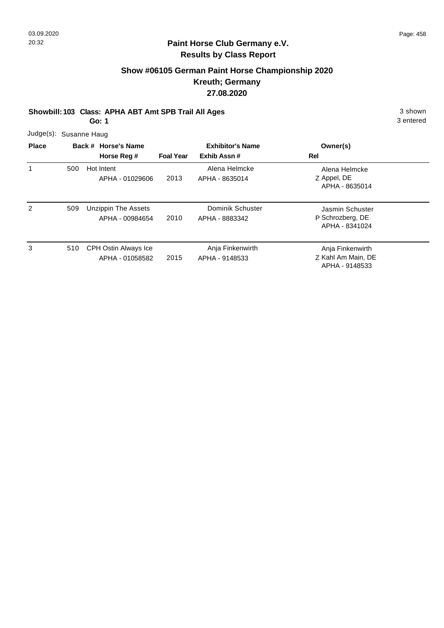# **Show #06105 German Paint Horse Championship 2020 Kreuth; Germany 27.08.2020**

**Showbill: 103 Class: APHA ABT Amt SPB Trail All Ages** 3 shown

**Go: 1**

3 entered

Judge(s): Susanne Haug

| <b>Place</b> | Back # Horse's Name<br>Horse Reg # |                                         | <b>Foal Year</b> | <b>Exhibitor's Name</b><br>Exhib Assn# | Owner(s)<br>Rel                                          |
|--------------|------------------------------------|-----------------------------------------|------------------|----------------------------------------|----------------------------------------------------------|
| 1            | 500                                | Hot Intent<br>APHA - 01029606           | 2013             | Alena Helmcke<br>APHA - 8635014        | Alena Helmcke<br>Z Appel, DE<br>APHA - 8635014           |
| 2            | 509                                | Unzippin The Assets<br>APHA - 00984654  | 2010             | Dominik Schuster<br>APHA - 8883342     | Jasmin Schuster<br>P Schrozberg, DE<br>APHA - 8341024    |
| 3            | 510                                | CPH Ostin Always Ice<br>APHA - 01058582 | 2015             | Anja Finkenwirth<br>APHA - 9148533     | Anja Finkenwirth<br>Z Kahl Am Main, DE<br>APHA - 9148533 |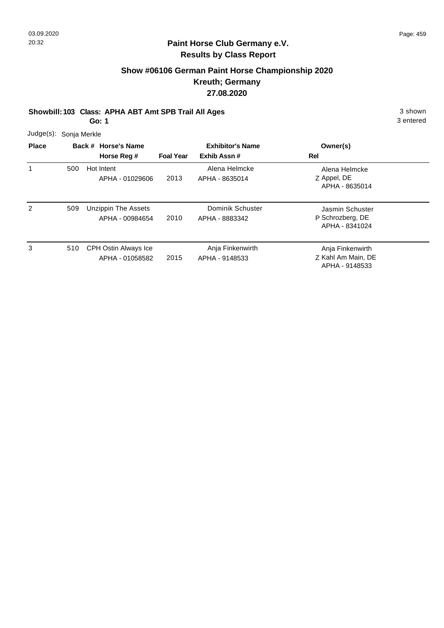# **Show #06106 German Paint Horse Championship 2020 Kreuth; Germany 27.08.2020**

**Showbill: 103 Class: APHA ABT Amt SPB Trail All Ages** 3 shown

**Go: 1**

3 entered

Judge(s): Sonja Merkle

| <b>Place</b> |     | Back # Horse's Name                     | <b>Exhibitor's Name</b> |                                    | Owner(s)                                                 |
|--------------|-----|-----------------------------------------|-------------------------|------------------------------------|----------------------------------------------------------|
|              |     | Horse Reg #                             | <b>Foal Year</b>        | Exhib Assn#                        | Rel                                                      |
| 1            | 500 | Hot Intent<br>APHA - 01029606           | 2013                    | Alena Helmcke<br>APHA - 8635014    | Alena Helmcke<br>Z Appel, DE<br>APHA - 8635014           |
| 2            | 509 | Unzippin The Assets<br>APHA - 00984654  | 2010                    | Dominik Schuster<br>APHA - 8883342 | Jasmin Schuster<br>P Schrozberg, DE<br>APHA - 8341024    |
| 3            | 510 | CPH Ostin Always Ice<br>APHA - 01058582 | 2015                    | Anja Finkenwirth<br>APHA - 9148533 | Anja Finkenwirth<br>Z Kahl Am Main, DE<br>APHA - 9148533 |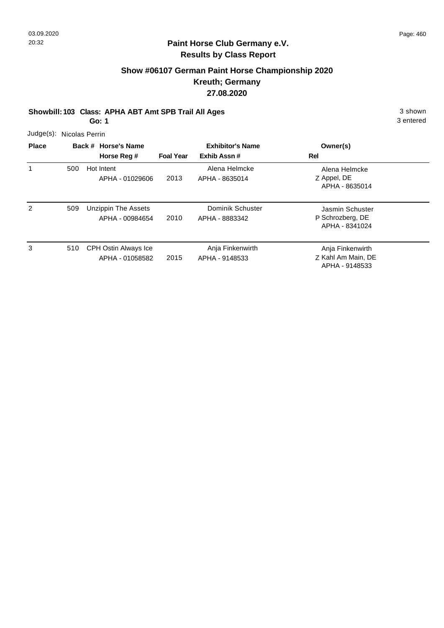# **Show #06107 German Paint Horse Championship 2020 Kreuth; Germany 27.08.2020**

**Showbill: 103 Class: APHA ABT Amt SPB Trail All Ages** 3 shown

**Go: 1**

3 entered

Judge(s): Nicolas Perrin

| <b>Place</b> |     | Back # Horse's Name                     |                  | <b>Exhibitor's Name</b>            | Owner(s)                                                 |
|--------------|-----|-----------------------------------------|------------------|------------------------------------|----------------------------------------------------------|
|              |     | Horse Reg #                             | <b>Foal Year</b> | Exhib Assn#                        | Rel                                                      |
| 1            | 500 | Hot Intent<br>APHA - 01029606           | 2013             | Alena Helmcke<br>APHA - 8635014    | Alena Helmcke<br>Z Appel, DE<br>APHA - 8635014           |
| 2            | 509 | Unzippin The Assets<br>APHA - 00984654  | 2010             | Dominik Schuster<br>APHA - 8883342 | Jasmin Schuster<br>P Schrozberg, DE<br>APHA - 8341024    |
| 3            | 510 | CPH Ostin Always Ice<br>APHA - 01058582 | 2015             | Anja Finkenwirth<br>APHA - 9148533 | Anja Finkenwirth<br>Z Kahl Am Main, DE<br>APHA - 9148533 |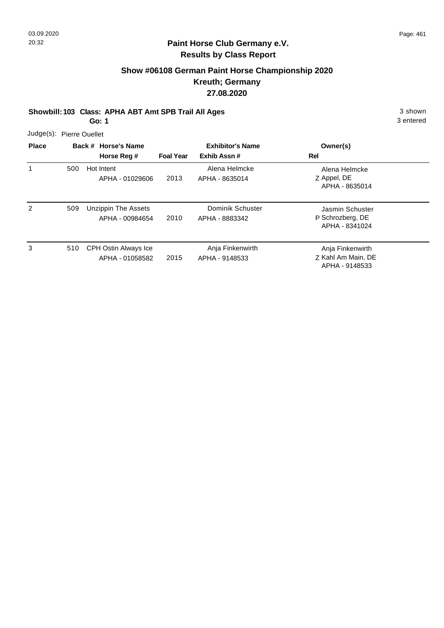# **Show #06108 German Paint Horse Championship 2020 Kreuth; Germany 27.08.2020**

**Showbill: 103 Class: APHA ABT Amt SPB Trail All Ages** 3 shown

**Go: 1**

3 entered

Judge(s): Pierre Ouellet

| <b>Place</b> | Back # Horse's Name<br>Horse Reg # |                                         | <b>Exhibitor's Name</b><br>Exhib Assn#<br><b>Foal Year</b> |                                    | Owner(s)<br>Rel                                          |
|--------------|------------------------------------|-----------------------------------------|------------------------------------------------------------|------------------------------------|----------------------------------------------------------|
| 1            | 500                                | Hot Intent<br>APHA - 01029606           | 2013                                                       | Alena Helmcke<br>APHA - 8635014    | Alena Helmcke<br>Z Appel, DE<br>APHA - 8635014           |
| 2            | 509                                | Unzippin The Assets<br>APHA - 00984654  | 2010                                                       | Dominik Schuster<br>APHA - 8883342 | Jasmin Schuster<br>P Schrozberg, DE<br>APHA - 8341024    |
| 3            | 510                                | CPH Ostin Always Ice<br>APHA - 01058582 | 2015                                                       | Anja Finkenwirth<br>APHA - 9148533 | Anja Finkenwirth<br>Z Kahl Am Main, DE<br>APHA - 9148533 |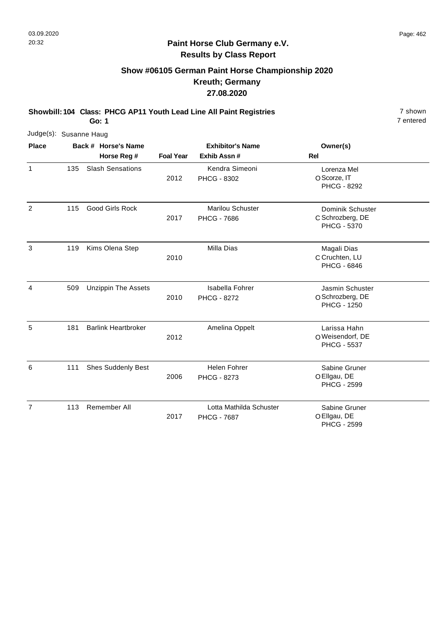# **Show #06105 German Paint Horse Championship 2020 Kreuth; Germany 27.08.2020**

**Showbill: 104 Class: PHCG AP11 Youth Lead Line All Paint Registries** 7 shown

**Go: 1**

7 entered

|                | Judge(s): Susanne Haug |                            |                  |                                               |                                                           |  |  |  |  |  |
|----------------|------------------------|----------------------------|------------------|-----------------------------------------------|-----------------------------------------------------------|--|--|--|--|--|
| <b>Place</b>   |                        | Back # Horse's Name        |                  | <b>Exhibitor's Name</b>                       | Owner(s)                                                  |  |  |  |  |  |
|                |                        | Horse Reg #                | <b>Foal Year</b> | Exhib Assn #                                  | Rel                                                       |  |  |  |  |  |
| $\mathbf{1}$   | 135                    | <b>Slash Sensations</b>    | 2012             | Kendra Simeoni<br>PHCG - 8302                 | Lorenza Mel<br>O Scorze, IT<br><b>PHCG - 8292</b>         |  |  |  |  |  |
| 2              | 115                    | <b>Good Girls Rock</b>     | 2017             | Marilou Schuster<br><b>PHCG - 7686</b>        | Dominik Schuster<br>C Schrozberg, DE<br>PHCG - 5370       |  |  |  |  |  |
| 3              | 119                    | Kims Olena Step            | 2010             | Milla Dias                                    | Magali Dias<br>C Cruchten, LU<br><b>PHCG - 6846</b>       |  |  |  |  |  |
| 4              | 509                    | <b>Unzippin The Assets</b> | 2010             | <b>Isabella Fohrer</b><br><b>PHCG - 8272</b>  | Jasmin Schuster<br>O Schrozberg, DE<br><b>PHCG - 1250</b> |  |  |  |  |  |
| 5              | 181                    | <b>Barlink Heartbroker</b> | 2012             | Amelina Oppelt                                | Larissa Hahn<br>OWeisendorf, DE<br><b>PHCG - 5537</b>     |  |  |  |  |  |
| 6              | 111                    | <b>Shes Suddenly Best</b>  | 2006             | <b>Helen Fohrer</b><br><b>PHCG - 8273</b>     | Sabine Gruner<br>O Ellgau, DE<br><b>PHCG - 2599</b>       |  |  |  |  |  |
| $\overline{7}$ | 113                    | Remember All               | 2017             | Lotta Mathilda Schuster<br><b>PHCG - 7687</b> | Sabine Gruner<br>O Ellgau, DE                             |  |  |  |  |  |

PHCG - 2599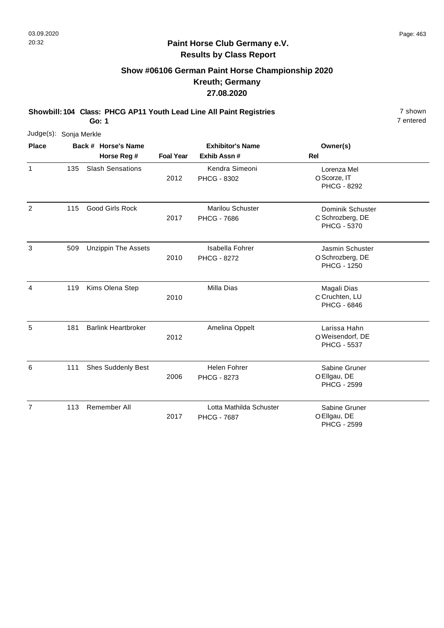#### **Paint Horse Club Germany e.V. Results by Class Report**

# **Show #06106 German Paint Horse Championship 2020 Kreuth; Germany 27.08.2020**

**Showbill: 104 Class: PHCG AP11 Youth Lead Line All Paint Registries** 7 shown

**Go: 1**

| Judge(s): Sonja Merkle |     |                                    |                  |                                               |                                                           |
|------------------------|-----|------------------------------------|------------------|-----------------------------------------------|-----------------------------------------------------------|
| <b>Place</b>           |     | Back # Horse's Name<br>Horse Reg # | <b>Foal Year</b> | <b>Exhibitor's Name</b><br>Exhib Assn #       | Owner(s)<br><b>Rel</b>                                    |
| 1                      | 135 | <b>Slash Sensations</b>            | 2012             | Kendra Simeoni<br>PHCG - 8302                 | Lorenza Mel<br>O Scorze, IT<br><b>PHCG - 8292</b>         |
| $\overline{2}$         | 115 | <b>Good Girls Rock</b>             | 2017             | <b>Marilou Schuster</b><br><b>PHCG - 7686</b> | Dominik Schuster<br>C Schrozberg, DE<br>PHCG - 5370       |
| 3                      | 509 | <b>Unzippin The Assets</b>         | 2010             | Isabella Fohrer<br><b>PHCG - 8272</b>         | Jasmin Schuster<br>O Schrozberg, DE<br><b>PHCG - 1250</b> |
| 4                      | 119 | Kims Olena Step                    | 2010             | Milla Dias                                    | Magali Dias<br>C Cruchten, LU<br><b>PHCG - 6846</b>       |
| 5                      | 181 | <b>Barlink Heartbroker</b>         | 2012             | Amelina Oppelt                                | Larissa Hahn<br>OWeisendorf, DE<br><b>PHCG - 5537</b>     |
| 6                      | 111 | Shes Suddenly Best                 | 2006             | Helen Fohrer<br>PHCG - 8273                   | Sabine Gruner<br>O Ellgau, DE<br><b>PHCG - 2599</b>       |
| 7                      | 113 | Remember All                       | 2017             | Lotta Mathilda Schuster<br><b>PHCG - 7687</b> | Sabine Gruner<br>O Ellgau, DE                             |

PHCG - 2599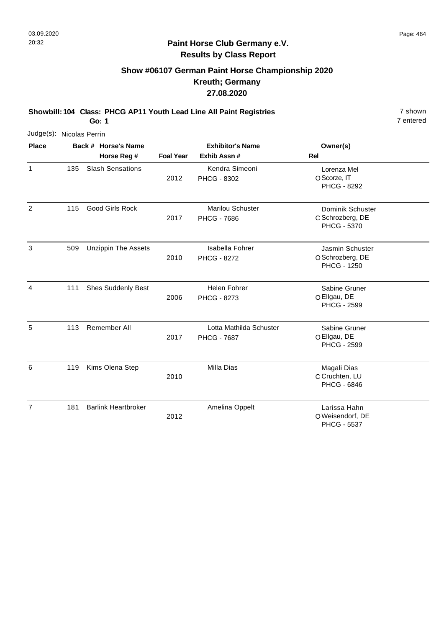# **Show #06107 German Paint Horse Championship 2020 Kreuth; Germany 27.08.2020**

**Showbill: 104 Class: PHCG AP11 Youth Lead Line All Paint Registries** 7 shown **Go: 1**

7 entered

| Judge(s): Nicolas Perrin |     |                            |                  |                                               |                                                           |  |
|--------------------------|-----|----------------------------|------------------|-----------------------------------------------|-----------------------------------------------------------|--|
| <b>Place</b>             |     | Back # Horse's Name        |                  | <b>Exhibitor's Name</b>                       | Owner(s)                                                  |  |
|                          |     | Horse Reg #                | <b>Foal Year</b> | Exhib Assn#                                   | Rel                                                       |  |
| $\mathbf{1}$             | 135 | <b>Slash Sensations</b>    | 2012             | Kendra Simeoni<br>PHCG - 8302                 | Lorenza Mel<br>O Scorze, IT<br><b>PHCG - 8292</b>         |  |
| 2                        | 115 | <b>Good Girls Rock</b>     | 2017             | <b>Marilou Schuster</b><br><b>PHCG - 7686</b> | Dominik Schuster<br>C Schrozberg, DE<br>PHCG - 5370       |  |
| 3                        | 509 | <b>Unzippin The Assets</b> | 2010             | Isabella Fohrer<br><b>PHCG - 8272</b>         | Jasmin Schuster<br>O Schrozberg, DE<br><b>PHCG - 1250</b> |  |
| 4                        | 111 | Shes Suddenly Best         | 2006             | <b>Helen Fohrer</b><br>PHCG - 8273            | Sabine Gruner<br>O Ellgau, DE<br><b>PHCG - 2599</b>       |  |
| 5                        | 113 | Remember All               | 2017             | Lotta Mathilda Schuster<br><b>PHCG - 7687</b> | Sabine Gruner<br>O Ellgau, DE<br><b>PHCG - 2599</b>       |  |
| 6                        | 119 | Kims Olena Step            | 2010             | Milla Dias                                    | Magali Dias<br>C Cruchten, LU<br><b>PHCG - 6846</b>       |  |
| $\overline{7}$           | 181 | <b>Barlink Heartbroker</b> | 2012             | Amelina Oppelt                                | Larissa Hahn<br>O Weisendorf, DE                          |  |

O Weisendorf, DE PHCG - 5537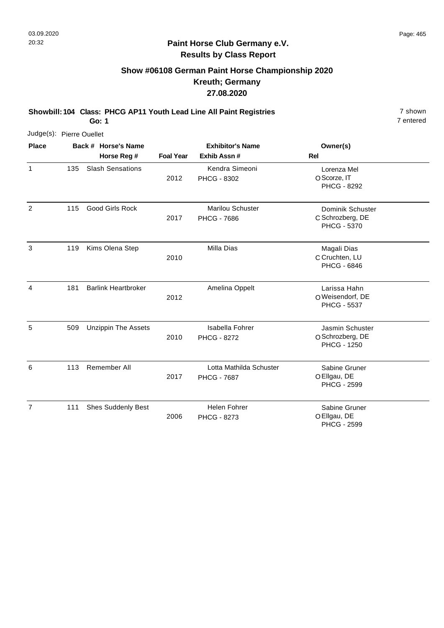7

7 entered

#### **Paint Horse Club Germany e.V. Results by Class Report**

# **Show #06108 German Paint Horse Championship 2020 Kreuth; Germany 27.08.2020**

**Showbill: 104 Class: PHCG AP11 Youth Lead Line All Paint Registries** 7 shown

2006

PHCG - 8273

111 Shes Suddenly Best **Helen Fohrer** 

**Go: 1**

| Judge(s): Pierre Ouellet |     |                            |                  |                                               |                                                           |
|--------------------------|-----|----------------------------|------------------|-----------------------------------------------|-----------------------------------------------------------|
| <b>Place</b>             |     | Back # Horse's Name        |                  | <b>Exhibitor's Name</b>                       | Owner(s)                                                  |
|                          |     | Horse Reg #                | <b>Foal Year</b> | Exhib Assn #                                  | Rel                                                       |
| $\mathbf{1}$             | 135 | <b>Slash Sensations</b>    | 2012             | Kendra Simeoni<br>PHCG - 8302                 | Lorenza Mel<br>O Scorze, IT<br>PHCG - 8292                |
| $\overline{2}$           | 115 | <b>Good Girls Rock</b>     | 2017             | <b>Marilou Schuster</b><br><b>PHCG - 7686</b> | Dominik Schuster<br>C Schrozberg, DE<br>PHCG - 5370       |
| 3                        | 119 | Kims Olena Step            | 2010             | <b>Milla Dias</b>                             | Magali Dias<br>C Cruchten, LU<br><b>PHCG - 6846</b>       |
| 4                        | 181 | <b>Barlink Heartbroker</b> | 2012             | Amelina Oppelt                                | Larissa Hahn<br>O Weisendorf, DE<br><b>PHCG - 5537</b>    |
| 5                        | 509 | <b>Unzippin The Assets</b> | 2010             | Isabella Fohrer<br><b>PHCG - 8272</b>         | Jasmin Schuster<br>O Schrozberg, DE<br><b>PHCG - 1250</b> |
| 6                        | 113 | Remember All               | 2017             | Lotta Mathilda Schuster<br><b>PHCG - 7687</b> | Sabine Gruner<br>O Ellgau, DE<br><b>PHCG - 2599</b>       |

O Ellgau, DE Sabine Gruner

PHCG - 2599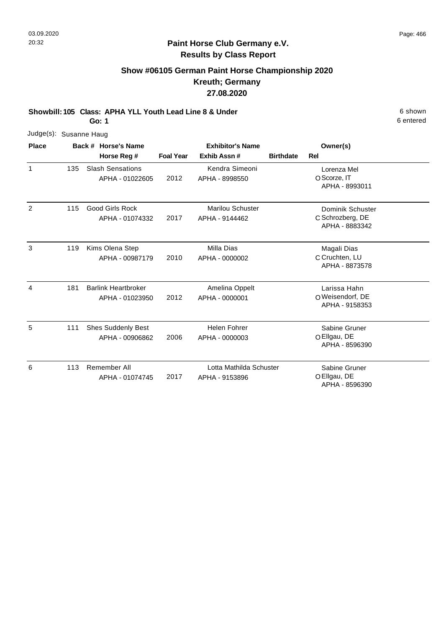# **Show #06105 German Paint Horse Championship 2020 Kreuth; Germany 27.08.2020**

**Showbill: 105 Class: APHA YLL Youth Lead Line 8 & Under** 6 **Shown** 6 shown **Go: 1**

| Judge(s): Susanne Haug |     |                                            |                  |                                    |                  |                                                        |
|------------------------|-----|--------------------------------------------|------------------|------------------------------------|------------------|--------------------------------------------------------|
| <b>Place</b>           |     | Back # Horse's Name                        |                  | <b>Exhibitor's Name</b>            |                  | Owner(s)                                               |
|                        |     | Horse Reg #                                | <b>Foal Year</b> | Exhib Assn#                        | <b>Birthdate</b> | Rel                                                    |
| 1                      | 135 | <b>Slash Sensations</b><br>APHA - 01022605 | 2012             | Kendra Simeoni<br>APHA - 8998550   |                  | Lorenza Mel<br>O Scorze, IT<br>APHA - 8993011          |
| 2                      | 115 | <b>Good Girls Rock</b><br>APHA - 01074332  | 2017             | Marilou Schuster<br>APHA - 9144462 |                  | Dominik Schuster<br>C Schrozberg, DE<br>APHA - 8883342 |
| 3                      | 119 | Kims Olena Step                            |                  | Milla Dias                         |                  | Magali Dias                                            |

| 3 | 119 | Kims Olena Step<br>APHA - 00987179            | 2010 | Milla Dias<br>APHA - 0000002              | Magali Dias<br>C Cruchten, LU<br>APHA - 8873578    |  |
|---|-----|-----------------------------------------------|------|-------------------------------------------|----------------------------------------------------|--|
| 4 | 181 | <b>Barlink Heartbroker</b><br>APHA - 01023950 | 2012 | Amelina Oppelt<br>APHA - 0000001          | Larissa Hahn<br>O Weisendorf, DE<br>APHA - 9158353 |  |
| 5 | 111 | <b>Shes Suddenly Best</b><br>APHA - 00906862  | 2006 | Helen Fohrer<br>APHA - 0000003            | Sabine Gruner<br>O Ellgau, DE<br>APHA - 8596390    |  |
| 6 | 113 | Remember All<br>APHA - 01074745               | 2017 | Lotta Mathilda Schuster<br>APHA - 9153896 | Sabine Gruner<br>O Ellgau, DE<br>APHA - 8596390    |  |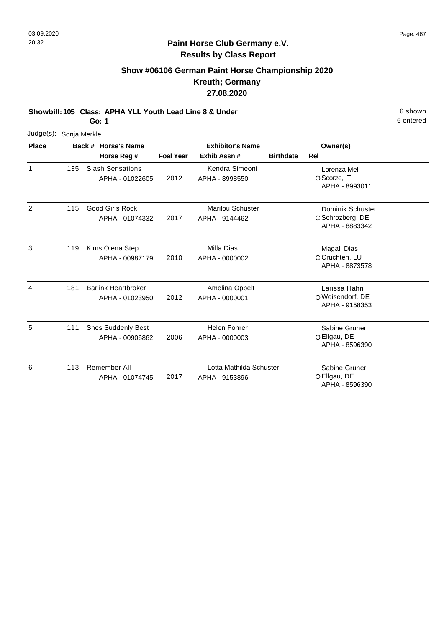# **Show #06106 German Paint Horse Championship 2020 Kreuth; Germany 27.08.2020**

**Showbill: 105 Class: APHA YLL Youth Lead Line 8 & Under** 6 **Shown** 6 shown

**Go: 1**

| Judge(s):      | Sonja Merkle |                                               |                  |                                           |                  |                                                        |
|----------------|--------------|-----------------------------------------------|------------------|-------------------------------------------|------------------|--------------------------------------------------------|
| <b>Place</b>   |              | Back # Horse's Name                           |                  | <b>Exhibitor's Name</b>                   |                  | Owner(s)                                               |
|                |              | Horse Reg #                                   | <b>Foal Year</b> | Exhib Assn #                              | <b>Birthdate</b> | Rel                                                    |
| 1              | 135          | <b>Slash Sensations</b><br>APHA - 01022605    | 2012             | Kendra Simeoni<br>APHA - 8998550          |                  | Lorenza Mel<br>O Scorze, IT<br>APHA - 8993011          |
| $\overline{2}$ | 115          | <b>Good Girls Rock</b><br>APHA - 01074332     | 2017             | <b>Marilou Schuster</b><br>APHA - 9144462 |                  | Dominik Schuster<br>C Schrozberg, DE<br>APHA - 8883342 |
| 3              | 119          | Kims Olena Step<br>APHA - 00987179            | 2010             | Milla Dias<br>APHA - 0000002              |                  | Magali Dias<br>C Cruchten, LU<br>APHA - 8873578        |
| 4              | 181          | <b>Barlink Heartbroker</b><br>APHA - 01023950 | 2012             | Amelina Oppelt<br>APHA - 0000001          |                  | Larissa Hahn<br>O Weisendorf, DE<br>APHA - 9158353     |
| 5              | 111          | <b>Shes Suddenly Best</b><br>APHA - 00906862  | 2006             | <b>Helen Fohrer</b><br>APHA - 0000003     |                  | Sabine Gruner<br>O Ellgau, DE<br>APHA - 8596390        |
| 6              | 113          | Remember All<br>APHA - 01074745               | 2017             | Lotta Mathilda Schuster<br>APHA - 9153896 |                  | Sabine Gruner<br>O Ellgau, DE<br>APHA - 8596390        |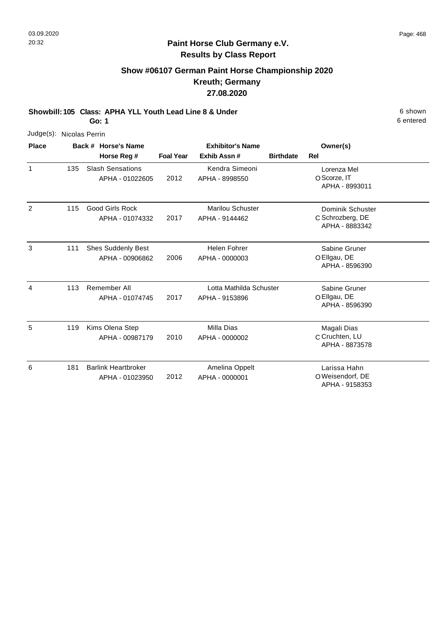# **Show #06107 German Paint Horse Championship 2020 Kreuth; Germany 27.08.2020**

**Showbill: 105 Class: APHA YLL Youth Lead Line 8 & Under** 6 **Shown** 6 shown **Go: 1**

6 entered

APHA - 9158353

| Judge(s): Nicolas Perrin |     |                            |                  |                         |                                    |
|--------------------------|-----|----------------------------|------------------|-------------------------|------------------------------------|
| <b>Place</b>             |     | Back # Horse's Name        |                  | <b>Exhibitor's Name</b> | Owner(s)                           |
|                          |     | Horse Reg #                | <b>Foal Year</b> | Exhib Assn#             | <b>Birthdate</b><br><b>Rel</b>     |
| $\mathbf{1}$             | 135 | <b>Slash Sensations</b>    |                  | Kendra Simeoni          | Lorenza Mel                        |
|                          |     | APHA - 01022605            | 2012             | APHA - 8998550          | O Scorze, IT<br>APHA - 8993011     |
| 2                        | 115 | <b>Good Girls Rock</b>     |                  | <b>Marilou Schuster</b> | Dominik Schuster                   |
|                          |     | APHA - 01074332            | 2017             | APHA - 9144462          | C Schrozberg, DE<br>APHA - 8883342 |
| 3                        | 111 | <b>Shes Suddenly Best</b>  |                  | <b>Helen Fohrer</b>     | Sabine Gruner                      |
|                          |     | APHA - 00906862            | 2006             | APHA - 0000003          | O Ellgau, DE<br>APHA - 8596390     |
| 4                        | 113 | Remember All               |                  | Lotta Mathilda Schuster | Sabine Gruner                      |
|                          |     | APHA - 01074745            | 2017             | APHA - 9153896          | O Ellgau, DE<br>APHA - 8596390     |
| 5                        | 119 | Kims Olena Step            |                  | Milla Dias              | Magali Dias                        |
|                          |     | APHA - 00987179            | 2010             | APHA - 0000002          | C Cruchten, LU<br>APHA - 8873578   |
| 6                        | 181 | <b>Barlink Heartbroker</b> |                  | Amelina Oppelt          | Larissa Hahn                       |
|                          |     | APHA - 01023950            | 2012             | APHA - 0000001          | O Weisendorf, DE                   |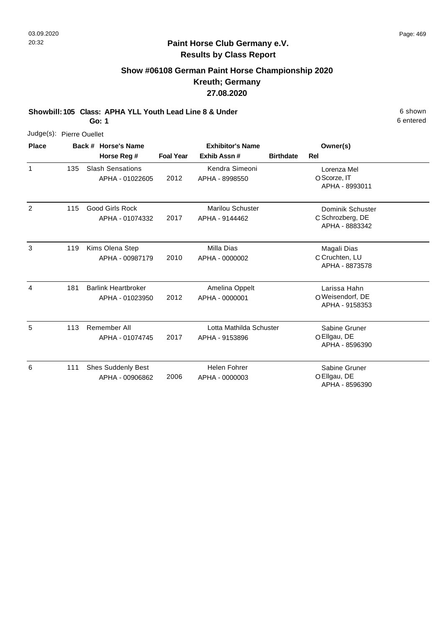# **Show #06108 German Paint Horse Championship 2020 Kreuth; Germany 27.08.2020**

**Showbill: 105 Class: APHA YLL Youth Lead Line 8 & Under** 6 **Shown** 6 shown

**Go: 1**

| Judge(s): Pierre Ouellet |     |                                               |                  |                                           |                  |                                                        |  |
|--------------------------|-----|-----------------------------------------------|------------------|-------------------------------------------|------------------|--------------------------------------------------------|--|
| <b>Place</b>             |     | Back # Horse's Name                           |                  | <b>Exhibitor's Name</b>                   |                  | Owner(s)                                               |  |
|                          |     | Horse Reg #                                   | <b>Foal Year</b> | Exhib Assn#                               | <b>Birthdate</b> | Rel                                                    |  |
| 1                        | 135 | <b>Slash Sensations</b><br>APHA - 01022605    | 2012             | Kendra Simeoni<br>APHA - 8998550          |                  | Lorenza Mel<br>O Scorze, IT<br>APHA - 8993011          |  |
| 2                        | 115 | <b>Good Girls Rock</b><br>APHA - 01074332     | 2017             | <b>Marilou Schuster</b><br>APHA - 9144462 |                  | Dominik Schuster<br>C Schrozberg, DE<br>APHA - 8883342 |  |
| 3                        | 119 | Kims Olena Step<br>APHA - 00987179            | 2010             | Milla Dias<br>APHA - 0000002              |                  | Magali Dias<br>C Cruchten, LU<br>APHA - 8873578        |  |
| 4                        | 181 | <b>Barlink Heartbroker</b><br>APHA - 01023950 | 2012             | Amelina Oppelt<br>APHA - 0000001          |                  | Larissa Hahn<br>O Weisendorf, DE<br>APHA - 9158353     |  |
| 5                        | 113 | Remember All<br>APHA - 01074745               | 2017             | Lotta Mathilda Schuster<br>APHA - 9153896 |                  | Sabine Gruner<br>O Ellgau, DE<br>APHA - 8596390        |  |
| 6                        | 111 | <b>Shes Suddenly Best</b><br>APHA - 00906862  | 2006             | <b>Helen Fohrer</b><br>APHA - 0000003     |                  | Sabine Gruner<br>O Ellgau, DE<br>APHA - 8596390        |  |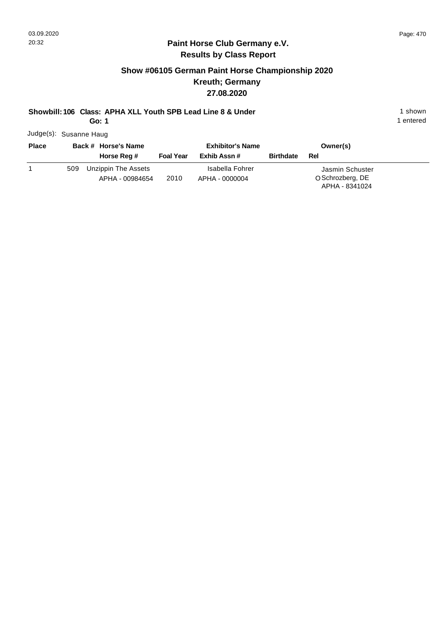#### **Paint Horse Club Germany e.V. Results by Class Report**

# **Show #06105 German Paint Horse Championship 2020 Kreuth; Germany 27.08.2020**

# **Showbill: 106 Class: APHA XLL Youth SPB Lead Line 8 & Under** 1 shown 1 shown

**Go: 1**

Judge(s): Susanne Haug

| <b>Place</b> |     | Back # Horse's Name                    | <b>Exhibitor's Name</b> |                                   |                  | Owner(s)                                              |
|--------------|-----|----------------------------------------|-------------------------|-----------------------------------|------------------|-------------------------------------------------------|
|              |     | Horse Reg #                            | <b>Foal Year</b>        | Exhib Assn #                      | <b>Birthdate</b> | Rel                                                   |
|              | 509 | Unzippin The Assets<br>APHA - 00984654 | 2010                    | Isabella Fohrer<br>APHA - 0000004 |                  | Jasmin Schuster<br>O Schrozberg, DE<br>APHA - 8341024 |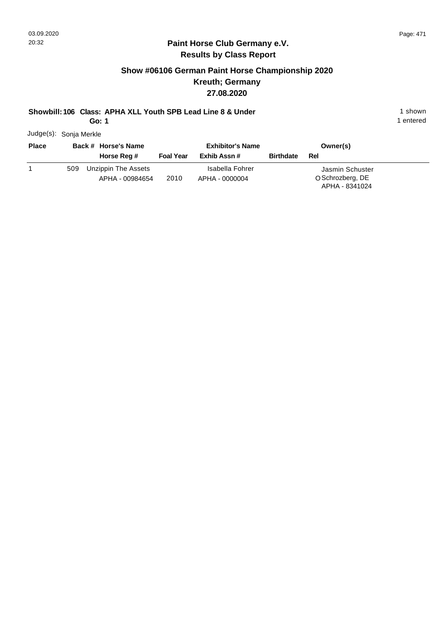#### **Paint Horse Club Germany e.V. Results by Class Report**

# **Show #06106 German Paint Horse Championship 2020 Kreuth; Germany 27.08.2020**

# **Showbill: 106 Class: APHA XLL Youth SPB Lead Line 8 & Under** 1 shown 1 shown

**Go: 1**

Judge(s): Sonja Merkle

| <b>Place</b> |     | Back # Horse's Name                    | <b>Exhibitor's Name</b> |                                   |                  | Owner(s)                                              |
|--------------|-----|----------------------------------------|-------------------------|-----------------------------------|------------------|-------------------------------------------------------|
|              |     | Horse Reg #                            | <b>Foal Year</b>        | Exhib Assn #                      | <b>Birthdate</b> | Rel                                                   |
|              | 509 | Unzippin The Assets<br>APHA - 00984654 | 2010                    | Isabella Fohrer<br>APHA - 0000004 |                  | Jasmin Schuster<br>O Schrozberg, DE<br>APHA - 8341024 |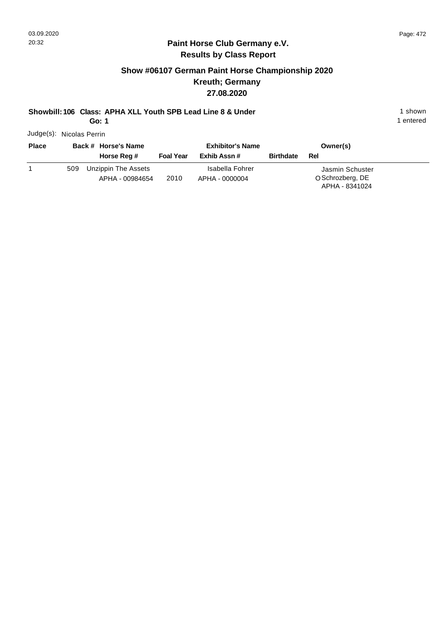#### **Paint Horse Club Germany e.V. Results by Class Report**

# **Show #06107 German Paint Horse Championship 2020 Kreuth; Germany 27.08.2020**

# **Showbill: 106 Class: APHA XLL Youth SPB Lead Line 8 & Under** 1 shown 1 shown

**Go: 1**

Judge(s): Nicolas Perrin

| <b>Place</b> |     | Back # Horse's Name                    |                  | <b>Exhibitor's Name</b>           |                  | Owner(s)                                              |
|--------------|-----|----------------------------------------|------------------|-----------------------------------|------------------|-------------------------------------------------------|
|              |     | Horse Reg #                            | <b>Foal Year</b> | Exhib Assn #                      | <b>Birthdate</b> | Rel                                                   |
|              | 509 | Unzippin The Assets<br>APHA - 00984654 | 2010             | Isabella Fohrer<br>APHA - 0000004 |                  | Jasmin Schuster<br>O Schrozberg, DE<br>APHA - 8341024 |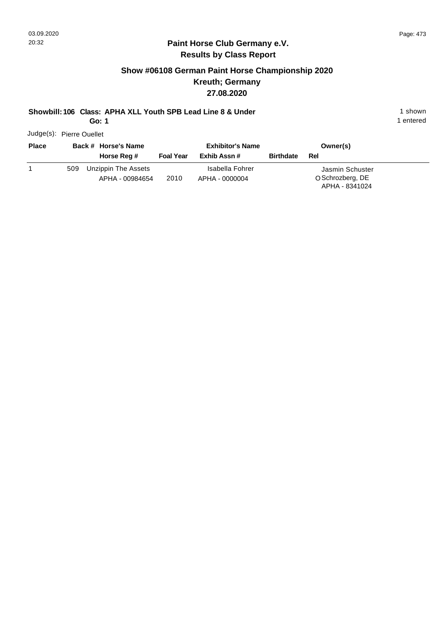#### **Paint Horse Club Germany e.V. Results by Class Report**

# **Show #06108 German Paint Horse Championship 2020 Kreuth; Germany 27.08.2020**

# **Showbill: 106 Class: APHA XLL Youth SPB Lead Line 8 & Under** 1 shown 1 shown

**Go: 1**

Judge(s): Pierre Ouellet

| <b>Place</b> |     | Back # Horse's Name                    | <b>Exhibitor's Name</b> |                                   |                  | Owner(s)                                              |  |
|--------------|-----|----------------------------------------|-------------------------|-----------------------------------|------------------|-------------------------------------------------------|--|
|              |     | Horse Reg #                            | <b>Foal Year</b>        | Exhib Assn #                      | <b>Birthdate</b> | Rel                                                   |  |
|              | 509 | Unzippin The Assets<br>APHA - 00984654 | 2010                    | Isabella Fohrer<br>APHA - 0000004 |                  | Jasmin Schuster<br>O Schrozberg, DE<br>APHA - 8341024 |  |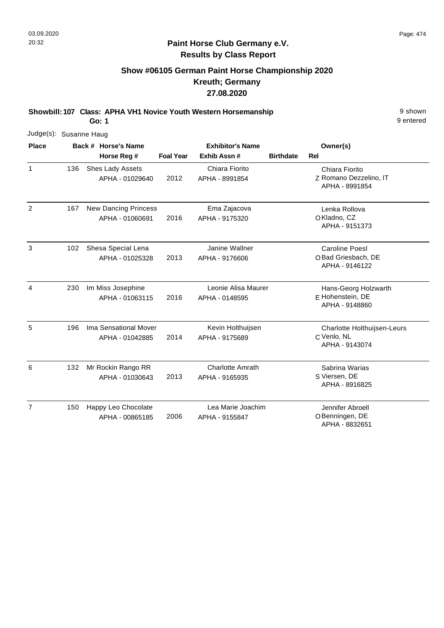# **Show #06105 German Paint Horse Championship 2020 Kreuth; Germany 27.08.2020**

**Showbill: 107 Class: APHA VH1 Novice Youth Western Horsemanship** 9 shown

**Go: 1**

| Judge(s): Susanne Haug |     |                                                |                  |                                           |                  |                                                               |
|------------------------|-----|------------------------------------------------|------------------|-------------------------------------------|------------------|---------------------------------------------------------------|
| <b>Place</b>           |     | Back # Horse's Name                            |                  | <b>Exhibitor's Name</b>                   |                  | Owner(s)                                                      |
|                        |     | Horse Reg #                                    | <b>Foal Year</b> | Exhib Assn#                               | <b>Birthdate</b> | Rel                                                           |
| $\mathbf{1}$           | 136 | Shes Lady Assets<br>APHA - 01029640            | 2012             | Chiara Fiorito<br>APHA - 8991854          |                  | Chiara Fiorito<br>Z Romano Dezzelino, IT<br>APHA - 8991854    |
| 2                      | 167 | <b>New Dancing Princess</b><br>APHA - 01060691 | 2016             | Ema Zajacova<br>APHA - 9175320            |                  | Lenka Rollova<br>OKladno, CZ<br>APHA - 9151373                |
| 3                      | 102 | Shesa Special Lena<br>APHA - 01025328          | 2013             | Janine Wallner<br>APHA - 9176606          |                  | <b>Caroline Poesl</b><br>OBad Griesbach, DE<br>APHA - 9146122 |
| 4                      | 230 | Im Miss Josephine<br>APHA - 01063115           | 2016             | Leonie Alisa Maurer<br>APHA - 0148595     |                  | Hans-Georg Holzwarth<br>E Hohenstein, DE<br>APHA - 9148860    |
| 5                      | 196 | Ima Sensational Mover<br>APHA - 01042885       | 2014             | Kevin Holthuijsen<br>APHA - 9175689       |                  | Charlotte Holthuijsen-Leurs<br>C Venlo, NL<br>APHA - 9143074  |
| 6                      | 132 | Mr Rockin Rango RR<br>APHA - 01030643          | 2013             | <b>Charlotte Amrath</b><br>APHA - 9165935 |                  | Sabrina Warias<br>S Viersen, DE<br>APHA - 8916825             |
| $\overline{7}$         | 150 | Happy Leo Chocolate<br>APHA - 00865185         | 2006             | Lea Marie Joachim<br>APHA - 9155847       |                  | Jennifer Abroell<br>O Benningen, DE<br>APHA - 8832651         |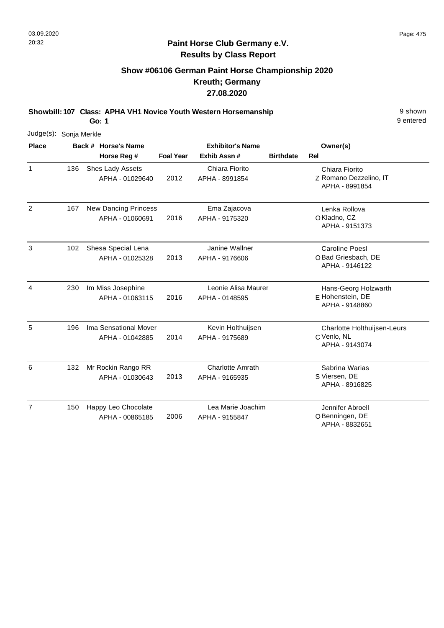# **Show #06106 German Paint Horse Championship 2020 Kreuth; Germany 27.08.2020**

**Showbill: 107 Class: APHA VH1 Novice Youth Western Horsemanship** 9 shown

**Go: 1**

| Judge(s): Sonja Merkle |     |                                                |                  |                                           |                  |                                                               |
|------------------------|-----|------------------------------------------------|------------------|-------------------------------------------|------------------|---------------------------------------------------------------|
| <b>Place</b>           |     | Back # Horse's Name<br>Horse Reg #             | <b>Foal Year</b> | <b>Exhibitor's Name</b><br>Exhib Assn #   | <b>Birthdate</b> | Owner(s)<br><b>Rel</b>                                        |
| $\mathbf{1}$           | 136 | Shes Lady Assets<br>APHA - 01029640            | 2012             | Chiara Fiorito<br>APHA - 8991854          |                  | Chiara Fiorito<br>Z Romano Dezzelino, IT<br>APHA - 8991854    |
| 2                      | 167 | <b>New Dancing Princess</b><br>APHA - 01060691 | 2016             | Ema Zajacova<br>APHA - 9175320            |                  | Lenka Rollova<br>OKladno, CZ<br>APHA - 9151373                |
| 3                      | 102 | Shesa Special Lena<br>APHA - 01025328          | 2013             | Janine Wallner<br>APHA - 9176606          |                  | <b>Caroline Poesl</b><br>OBad Griesbach, DE<br>APHA - 9146122 |
| 4                      | 230 | Im Miss Josephine<br>APHA - 01063115           | 2016             | Leonie Alisa Maurer<br>APHA - 0148595     |                  | Hans-Georg Holzwarth<br>E Hohenstein, DE<br>APHA - 9148860    |
| 5                      | 196 | Ima Sensational Mover<br>APHA - 01042885       | 2014             | Kevin Holthuijsen<br>APHA - 9175689       |                  | Charlotte Holthuijsen-Leurs<br>C Venlo, NL<br>APHA - 9143074  |
| 6                      | 132 | Mr Rockin Rango RR<br>APHA - 01030643          | 2013             | <b>Charlotte Amrath</b><br>APHA - 9165935 |                  | Sabrina Warias<br>S Viersen, DE<br>APHA - 8916825             |
| $\overline{7}$         | 150 | Happy Leo Chocolate<br>APHA - 00865185         | 2006             | Lea Marie Joachim<br>APHA - 9155847       |                  | Jennifer Abroell<br>OBenningen, DE<br>APHA - 8832651          |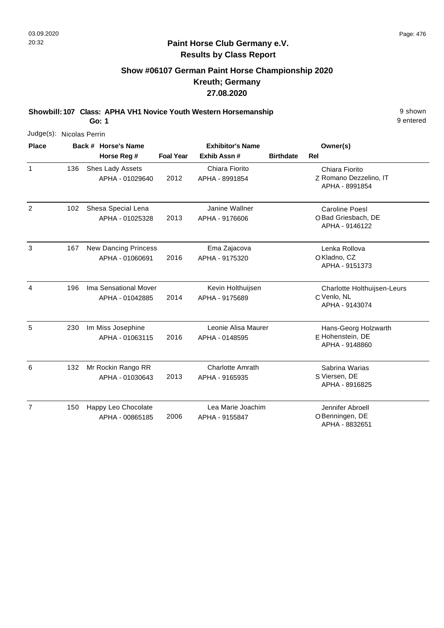# **Show #06107 German Paint Horse Championship 2020 Kreuth; Germany 27.08.2020**

**Showbill: 107 Class: APHA VH1 Novice Youth Western Horsemanship** 9 shown

**Go: 1**

| Judge(s): Nicolas Perrin |     |                                                |                  |                                           |                  |                                                               |
|--------------------------|-----|------------------------------------------------|------------------|-------------------------------------------|------------------|---------------------------------------------------------------|
| <b>Place</b>             |     | Back # Horse's Name<br>Horse Reg #             | <b>Foal Year</b> | <b>Exhibitor's Name</b><br>Exhib Assn #   | <b>Birthdate</b> | Owner(s)<br><b>Rel</b>                                        |
| $\mathbf{1}$             | 136 | Shes Lady Assets<br>APHA - 01029640            | 2012             | Chiara Fiorito<br>APHA - 8991854          |                  | Chiara Fiorito<br>Z Romano Dezzelino, IT<br>APHA - 8991854    |
| 2                        | 102 | Shesa Special Lena<br>APHA - 01025328          | 2013             | Janine Wallner<br>APHA - 9176606          |                  | <b>Caroline Poesl</b><br>OBad Griesbach, DE<br>APHA - 9146122 |
| 3                        | 167 | <b>New Dancing Princess</b><br>APHA - 01060691 | 2016             | Ema Zajacova<br>APHA - 9175320            |                  | Lenka Rollova<br>OKladno, CZ<br>APHA - 9151373                |
| 4                        | 196 | Ima Sensational Mover<br>APHA - 01042885       | 2014             | Kevin Holthuijsen<br>APHA - 9175689       |                  | Charlotte Holthuijsen-Leurs<br>C Venlo, NL<br>APHA - 9143074  |
| 5                        | 230 | Im Miss Josephine<br>APHA - 01063115           | 2016             | Leonie Alisa Maurer<br>APHA - 0148595     |                  | Hans-Georg Holzwarth<br>E Hohenstein, DE<br>APHA - 9148860    |
| 6                        | 132 | Mr Rockin Rango RR<br>APHA - 01030643          | 2013             | <b>Charlotte Amrath</b><br>APHA - 9165935 |                  | Sabrina Warias<br>S Viersen, DE<br>APHA - 8916825             |
| $\overline{7}$           | 150 | Happy Leo Chocolate<br>APHA - 00865185         | 2006             | Lea Marie Joachim<br>APHA - 9155847       |                  | Jennifer Abroell<br>OBenningen, DE<br>APHA - 8832651          |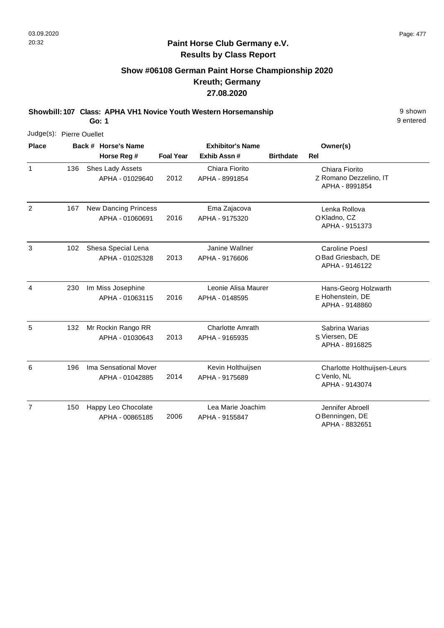# **Show #06108 German Paint Horse Championship 2020 Kreuth; Germany 27.08.2020**

**Showbill: 107 Class: APHA VH1 Novice Youth Western Horsemanship** 9 shown

**Go: 1**

| Judge(s): Pierre Ouellet |     |                                                |                  |                                           |                  |                                                               |
|--------------------------|-----|------------------------------------------------|------------------|-------------------------------------------|------------------|---------------------------------------------------------------|
| <b>Place</b>             |     | Back # Horse's Name                            |                  | <b>Exhibitor's Name</b>                   |                  | Owner(s)                                                      |
|                          |     | Horse Reg #                                    | <b>Foal Year</b> | Exhib Assn #                              | <b>Birthdate</b> | <b>Rel</b>                                                    |
| $\mathbf{1}$             | 136 | Shes Lady Assets<br>APHA - 01029640            | 2012             | Chiara Fiorito<br>APHA - 8991854          |                  | Chiara Fiorito<br>Z Romano Dezzelino, IT<br>APHA - 8991854    |
| $\overline{2}$           | 167 | <b>New Dancing Princess</b><br>APHA - 01060691 | 2016             | Ema Zajacova<br>APHA - 9175320            |                  | Lenka Rollova<br>OKladno, CZ<br>APHA - 9151373                |
| 3                        | 102 | Shesa Special Lena<br>APHA - 01025328          | 2013             | Janine Wallner<br>APHA - 9176606          |                  | <b>Caroline Poesl</b><br>OBad Griesbach, DE<br>APHA - 9146122 |
| 4                        | 230 | Im Miss Josephine<br>APHA - 01063115           | 2016             | Leonie Alisa Maurer<br>APHA - 0148595     |                  | Hans-Georg Holzwarth<br>E Hohenstein, DE<br>APHA - 9148860    |
| 5                        | 132 | Mr Rockin Rango RR<br>APHA - 01030643          | 2013             | <b>Charlotte Amrath</b><br>APHA - 9165935 |                  | Sabrina Warias<br>S Viersen, DE<br>APHA - 8916825             |
| 6                        | 196 | Ima Sensational Mover<br>APHA - 01042885       | 2014             | Kevin Holthuijsen<br>APHA - 9175689       |                  | Charlotte Holthuijsen-Leurs<br>C Venlo, NL<br>APHA - 9143074  |
| $\overline{7}$           | 150 | Happy Leo Chocolate<br>APHA - 00865185         | 2006             | Lea Marie Joachim<br>APHA - 9155847       |                  | Jennifer Abroell<br>OBenningen, DE<br>APHA - 8832651          |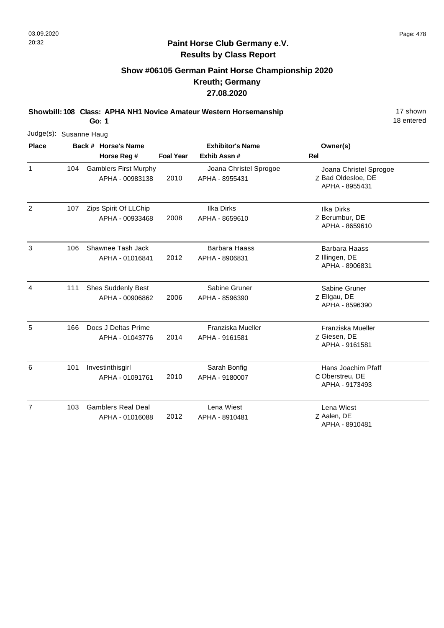# **Show #06105 German Paint Horse Championship 2020 Kreuth; Germany 27.08.2020**

**Showbill: 108 Class: APHA NH1 Novice Amateur Western Horsemanship** 17 Shown

**Go: 1**

|                |     | Judge(s): Susanne Haug |                                                 |                  |                                          |                                                                |  |  |  |
|----------------|-----|------------------------|-------------------------------------------------|------------------|------------------------------------------|----------------------------------------------------------------|--|--|--|
| <b>Place</b>   |     |                        | Back # Horse's Name                             |                  | <b>Exhibitor's Name</b>                  | Owner(s)                                                       |  |  |  |
|                |     |                        | Horse Reg #                                     | <b>Foal Year</b> | Exhib Assn#                              | Rel                                                            |  |  |  |
| 1              | 104 |                        | <b>Gamblers First Murphy</b><br>APHA - 00983138 | 2010             | Joana Christel Sprogoe<br>APHA - 8955431 | Joana Christel Sprogoe<br>Z Bad Oldesloe, DE<br>APHA - 8955431 |  |  |  |
| $\overline{2}$ | 107 |                        | Zips Spirit Of LLChip<br>APHA - 00933468        | 2008             | <b>Ilka Dirks</b><br>APHA - 8659610      | <b>Ilka Dirks</b><br>Z Berumbur, DE<br>APHA - 8659610          |  |  |  |
| 3              | 106 |                        | Shawnee Tash Jack<br>APHA - 01016841            | 2012             | <b>Barbara Haass</b><br>APHA - 8906831   | <b>Barbara Haass</b><br>Z Illingen, DE<br>APHA - 8906831       |  |  |  |
| 4              | 111 |                        | <b>Shes Suddenly Best</b><br>APHA - 00906862    | 2006             | Sabine Gruner<br>APHA - 8596390          | Sabine Gruner<br>Z Ellgau, DE<br>APHA - 8596390                |  |  |  |
| 5              | 166 |                        | Docs J Deltas Prime<br>APHA - 01043776          | 2014             | Franziska Mueller<br>APHA - 9161581      | Franziska Mueller<br>Z Giesen, DE<br>APHA - 9161581            |  |  |  |
| 6              | 101 |                        | Investinthisgirl<br>APHA - 01091761             | 2010             | Sarah Bonfig<br>APHA - 9180007           | Hans Joachim Pfaff<br>C Oberstreu, DE<br>APHA - 9173493        |  |  |  |
| $\overline{7}$ | 103 |                        | <b>Gamblers Real Deal</b><br>APHA - 01016088    | 2012             | Lena Wiest<br>APHA - 8910481             | Lena Wiest<br>Z Aalen, DE                                      |  |  |  |

APHA - 8910481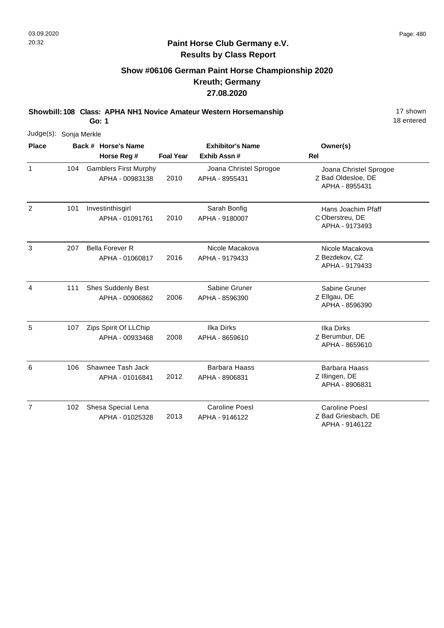# **Show #06106 German Paint Horse Championship 2020 Kreuth; Germany 27.08.2020**

**Showbill: 108 Class: APHA NH1 Novice Amateur Western Horsemanship** 17 Shown

**Go: 1**

| Judge(s): Sonja Merkle |     |                                                 |                  |                                          |                                                                |
|------------------------|-----|-------------------------------------------------|------------------|------------------------------------------|----------------------------------------------------------------|
| <b>Place</b>           |     | Back # Horse's Name<br>Horse Reg #              | <b>Foal Year</b> | <b>Exhibitor's Name</b><br>Exhib Assn #  | Owner(s)<br><b>Rel</b>                                         |
| $\mathbf{1}$           | 104 | <b>Gamblers First Murphy</b><br>APHA - 00983138 | 2010             | Joana Christel Sprogoe<br>APHA - 8955431 | Joana Christel Sprogoe<br>Z Bad Oldesloe, DE<br>APHA - 8955431 |
| 2                      | 101 | Investinthisgirl<br>APHA - 01091761             | 2010             | Sarah Bonfig<br>APHA - 9180007           | Hans Joachim Pfaff<br>C Oberstreu, DE<br>APHA - 9173493        |
| 3                      | 207 | <b>Bella Forever R</b><br>APHA - 01060817       | 2016             | Nicole Macakova<br>APHA - 9179433        | Nicole Macakova<br>Z Bezdekov, CZ<br>APHA - 9179433            |
| 4                      | 111 | <b>Shes Suddenly Best</b><br>APHA - 00906862    | 2006             | Sabine Gruner<br>APHA - 8596390          | Sabine Gruner<br>Z Ellgau, DE<br>APHA - 8596390                |
| 5                      | 107 | Zips Spirit Of LLChip<br>APHA - 00933468        | 2008             | <b>Ilka Dirks</b><br>APHA - 8659610      | <b>Ilka Dirks</b><br>Z Berumbur, DE<br>APHA - 8659610          |
| 6                      | 106 | Shawnee Tash Jack<br>APHA - 01016841            | 2012             | <b>Barbara Haass</b><br>APHA - 8906831   | <b>Barbara Haass</b><br>Z Illingen, DE<br>APHA - 8906831       |
| $\overline{7}$         | 102 | Shesa Special Lena<br>APHA - 01025328           | 2013             | <b>Caroline Poesl</b><br>APHA - 9146122  | <b>Caroline Poesl</b><br>Z Bad Griesbach, DE<br>APHA - 9146122 |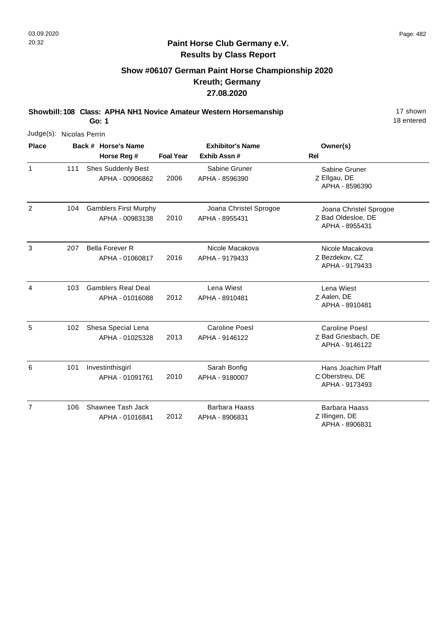# **Show #06107 German Paint Horse Championship 2020 Kreuth; Germany 27.08.2020**

**Showbill: 108 Class: APHA NH1 Novice Amateur Western Horsemanship** 17 Shown

**Go: 1**

| Judge(s): Nicolas Perrin |     |                                                 |                  |                                          |                                                                |
|--------------------------|-----|-------------------------------------------------|------------------|------------------------------------------|----------------------------------------------------------------|
| <b>Place</b>             |     | Back # Horse's Name<br>Horse Reg #              | <b>Foal Year</b> | <b>Exhibitor's Name</b><br>Exhib Assn#   | Owner(s)<br><b>Rel</b>                                         |
| $\mathbf{1}$             | 111 | <b>Shes Suddenly Best</b><br>APHA - 00906862    | 2006             | Sabine Gruner<br>APHA - 8596390          | Sabine Gruner<br>Z Ellgau, DE<br>APHA - 8596390                |
| 2                        | 104 | <b>Gamblers First Murphy</b><br>APHA - 00983138 | 2010             | Joana Christel Sprogoe<br>APHA - 8955431 | Joana Christel Sprogoe<br>Z Bad Oldesloe, DE<br>APHA - 8955431 |
| 3                        | 207 | <b>Bella Forever R</b><br>APHA - 01060817       | 2016             | Nicole Macakova<br>APHA - 9179433        | Nicole Macakova<br>Z Bezdekov, CZ<br>APHA - 9179433            |
| 4                        | 103 | <b>Gamblers Real Deal</b><br>APHA - 01016088    | 2012             | Lena Wiest<br>APHA - 8910481             | Lena Wiest<br>Z Aalen, DE<br>APHA - 8910481                    |
| 5                        | 102 | Shesa Special Lena<br>APHA - 01025328           | 2013             | <b>Caroline Poesl</b><br>APHA - 9146122  | <b>Caroline Poesl</b><br>Z Bad Griesbach, DE<br>APHA - 9146122 |
| 6                        | 101 | Investinthisgirl<br>APHA - 01091761             | 2010             | Sarah Bonfig<br>APHA - 9180007           | Hans Joachim Pfaff<br>C Oberstreu, DE<br>APHA - 9173493        |
| $\overline{7}$           | 106 | Shawnee Tash Jack<br>APHA - 01016841            | 2012             | <b>Barbara Haass</b><br>APHA - 8906831   | <b>Barbara Haass</b><br>Z Illingen, DE<br>APHA - 8906831       |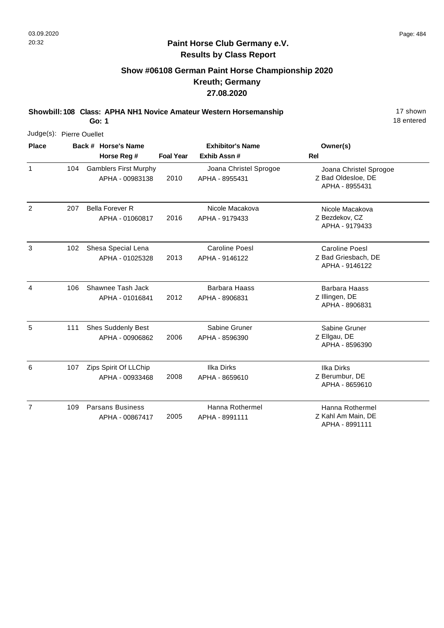# **Show #06108 German Paint Horse Championship 2020 Kreuth; Germany 27.08.2020**

**Showbill: 108 Class: APHA NH1 Novice Amateur Western Horsemanship** 17 Shown

**Go: 1**

| Judge(s): Pierre Ouellet |     |  |                                                 |                  |                                          |                                                                |
|--------------------------|-----|--|-------------------------------------------------|------------------|------------------------------------------|----------------------------------------------------------------|
| <b>Place</b>             |     |  | Back # Horse's Name<br>Horse Reg #              | <b>Foal Year</b> | <b>Exhibitor's Name</b><br>Exhib Assn #  | Owner(s)<br><b>Rel</b>                                         |
|                          |     |  |                                                 |                  |                                          |                                                                |
| $\mathbf{1}$             | 104 |  | <b>Gamblers First Murphy</b><br>APHA - 00983138 | 2010             | Joana Christel Sprogoe<br>APHA - 8955431 | Joana Christel Sprogoe<br>Z Bad Oldesloe, DE<br>APHA - 8955431 |
| 2                        | 207 |  | <b>Bella Forever R</b><br>APHA - 01060817       | 2016             | Nicole Macakova<br>APHA - 9179433        | Nicole Macakova<br>Z Bezdekov, CZ<br>APHA - 9179433            |
| 3                        | 102 |  | Shesa Special Lena<br>APHA - 01025328           | 2013             | Caroline Poesl<br>APHA - 9146122         | <b>Caroline Poesl</b><br>Z Bad Griesbach, DE<br>APHA - 9146122 |
| $\overline{4}$           | 106 |  | Shawnee Tash Jack<br>APHA - 01016841            | 2012             | <b>Barbara Haass</b><br>APHA - 8906831   | <b>Barbara Haass</b><br>Z Illingen, DE<br>APHA - 8906831       |
| 5                        | 111 |  | <b>Shes Suddenly Best</b><br>APHA - 00906862    | 2006             | Sabine Gruner<br>APHA - 8596390          | Sabine Gruner<br>Z Ellgau, DE<br>APHA - 8596390                |
| 6                        | 107 |  | Zips Spirit Of LLChip<br>APHA - 00933468        | 2008             | Ilka Dirks<br>APHA - 8659610             | <b>Ilka Dirks</b><br>Z Berumbur, DE<br>APHA - 8659610          |
| $\overline{7}$           | 109 |  | <b>Parsans Business</b><br>APHA - 00867417      | 2005             | Hanna Rothermel<br>APHA - 8991111        | Hanna Rothermel<br>Z Kahl Am Main, DE<br>APHA - 8991111        |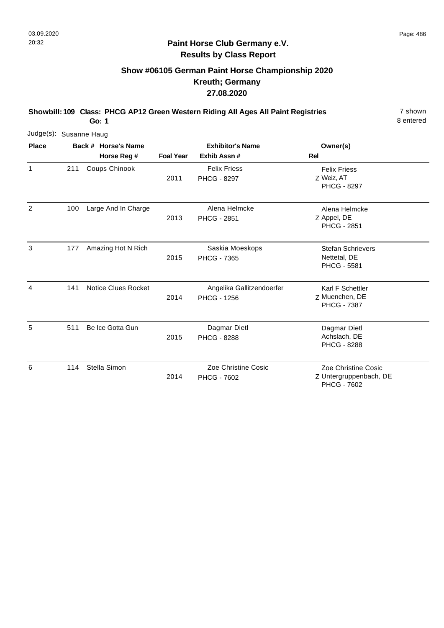**Go: 1**

#### **Paint Horse Club Germany e.V. Results by Class Report**

## **Show #06105 German Paint Horse Championship 2020 Kreuth; Germany 27.08.2020**

**Showbill: 109 Class: PHCG AP12 Green Western Riding All Ages All Paint Registries** 7 shown

| Judge(s): Susanne Haug |     |                            |                  |                                                 |                                                                     |
|------------------------|-----|----------------------------|------------------|-------------------------------------------------|---------------------------------------------------------------------|
| <b>Place</b>           |     | Back # Horse's Name        |                  | <b>Exhibitor's Name</b>                         | Owner(s)                                                            |
|                        |     | Horse Reg #                | <b>Foal Year</b> | Exhib Assn#                                     | <b>Rel</b>                                                          |
| 1                      | 211 | Coups Chinook              | 2011             | <b>Felix Friess</b><br><b>PHCG - 8297</b>       | <b>Felix Friess</b><br>Z Weiz, AT<br><b>PHCG - 8297</b>             |
| $\overline{2}$         | 100 | Large And In Charge        | 2013             | Alena Helmcke<br><b>PHCG - 2851</b>             | Alena Helmcke<br>Z Appel, DE<br><b>PHCG - 2851</b>                  |
| 3                      | 177 | Amazing Hot N Rich         | 2015             | Saskia Moeskops<br><b>PHCG - 7365</b>           | <b>Stefan Schrievers</b><br>Nettetal, DE<br><b>PHCG - 5581</b>      |
| 4                      | 141 | <b>Notice Clues Rocket</b> | 2014             | Angelika Gallitzendoerfer<br><b>PHCG - 1256</b> | Karl F Schettler<br>Z Muenchen, DE<br><b>PHCG - 7387</b>            |
| 5                      | 511 | Be Ice Gotta Gun           | 2015             | Dagmar Dietl<br><b>PHCG - 8288</b>              | Dagmar Dietl<br>Achslach, DE<br><b>PHCG - 8288</b>                  |
| 6                      | 114 | Stella Simon               | 2014             | Zoe Christine Cosic<br><b>PHCG - 7602</b>       | Zoe Christine Cosic<br>Z Untergruppenbach, DE<br><b>PHCG - 7602</b> |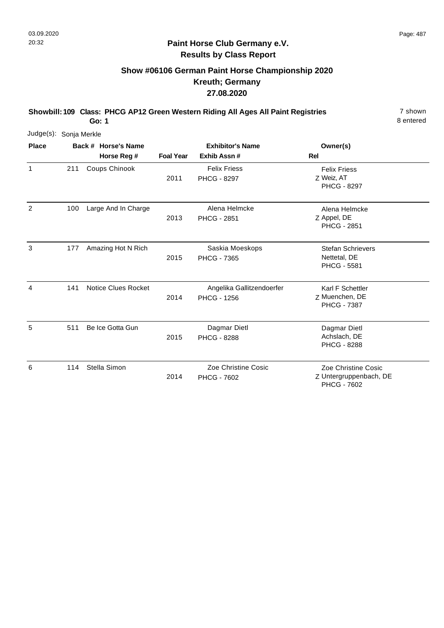**Go: 1**

#### **Paint Horse Club Germany e.V. Results by Class Report**

## **Show #06106 German Paint Horse Championship 2020 Kreuth; Germany 27.08.2020**

**Showbill: 109 Class: PHCG AP12 Green Western Riding All Ages All Paint Registries** 7 shown

| Judge(s): Sonja Merkle |     |                     |                  |                                                 |                                                                     |
|------------------------|-----|---------------------|------------------|-------------------------------------------------|---------------------------------------------------------------------|
| <b>Place</b>           |     | Back # Horse's Name |                  | <b>Exhibitor's Name</b>                         | Owner(s)                                                            |
|                        |     | Horse Reg #         | <b>Foal Year</b> | Exhib Assn#                                     | <b>Rel</b>                                                          |
| $\mathbf{1}$           | 211 | Coups Chinook       | 2011             | <b>Felix Friess</b><br><b>PHCG - 8297</b>       | <b>Felix Friess</b><br>Z Weiz, AT<br><b>PHCG - 8297</b>             |
| 2                      | 100 | Large And In Charge | 2013             | Alena Helmcke<br><b>PHCG - 2851</b>             | Alena Helmcke<br>Z Appel, DE<br><b>PHCG - 2851</b>                  |
| 3                      | 177 | Amazing Hot N Rich  | 2015             | Saskia Moeskops<br><b>PHCG - 7365</b>           | <b>Stefan Schrievers</b><br>Nettetal, DE<br><b>PHCG - 5581</b>      |
| 4                      | 141 | Notice Clues Rocket | 2014             | Angelika Gallitzendoerfer<br><b>PHCG - 1256</b> | Karl F Schettler<br>Z Muenchen, DE<br><b>PHCG - 7387</b>            |
| 5                      | 511 | Be Ice Gotta Gun    | 2015             | Dagmar Dietl<br><b>PHCG - 8288</b>              | Dagmar Dietl<br>Achslach, DE<br><b>PHCG - 8288</b>                  |
| 6                      | 114 | Stella Simon        | 2014             | Zoe Christine Cosic<br><b>PHCG - 7602</b>       | Zoe Christine Cosic<br>Z Untergruppenbach, DE<br><b>PHCG - 7602</b> |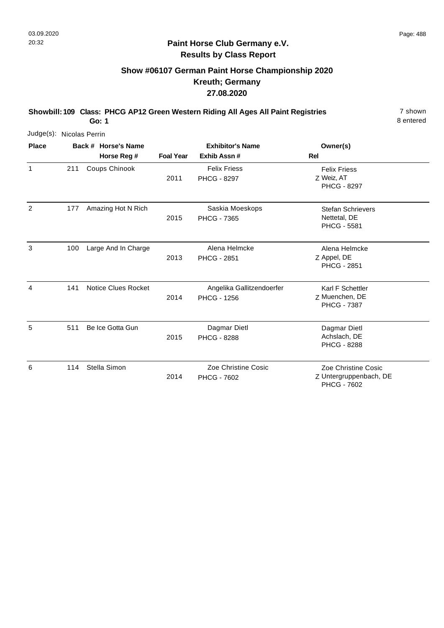**Go: 1**

#### **Paint Horse Club Germany e.V. Results by Class Report**

## **Show #06107 German Paint Horse Championship 2020 Kreuth; Germany 27.08.2020**

**Showbill: 109 Class: PHCG AP12 Green Western Riding All Ages All Paint Registries** 7 shown

| Judge(s): Nicolas Perrin |     |                     |                  |                                                 |                                                                     |
|--------------------------|-----|---------------------|------------------|-------------------------------------------------|---------------------------------------------------------------------|
| <b>Place</b>             |     | Back # Horse's Name |                  | <b>Exhibitor's Name</b>                         | Owner(s)                                                            |
|                          |     | Horse Reg #         | <b>Foal Year</b> | Exhib Assn#                                     | <b>Rel</b>                                                          |
| 1                        | 211 | Coups Chinook       | 2011             | <b>Felix Friess</b><br><b>PHCG - 8297</b>       | <b>Felix Friess</b><br>Z Weiz, AT<br><b>PHCG - 8297</b>             |
| $\overline{2}$           | 177 | Amazing Hot N Rich  | 2015             | Saskia Moeskops<br><b>PHCG - 7365</b>           | <b>Stefan Schrievers</b><br>Nettetal, DE<br><b>PHCG - 5581</b>      |
| 3                        | 100 | Large And In Charge | 2013             | Alena Helmcke<br><b>PHCG - 2851</b>             | Alena Helmcke<br>Z Appel, DE<br><b>PHCG - 2851</b>                  |
| 4                        | 141 | Notice Clues Rocket | 2014             | Angelika Gallitzendoerfer<br><b>PHCG - 1256</b> | Karl F Schettler<br>Z Muenchen, DE<br><b>PHCG - 7387</b>            |
| 5                        | 511 | Be Ice Gotta Gun    | 2015             | Dagmar Dietl<br><b>PHCG - 8288</b>              | Dagmar Dietl<br>Achslach, DE<br><b>PHCG - 8288</b>                  |
| 6                        | 114 | Stella Simon        | 2014             | Zoe Christine Cosic<br><b>PHCG - 7602</b>       | Zoe Christine Cosic<br>Z Untergruppenbach, DE<br><b>PHCG - 7602</b> |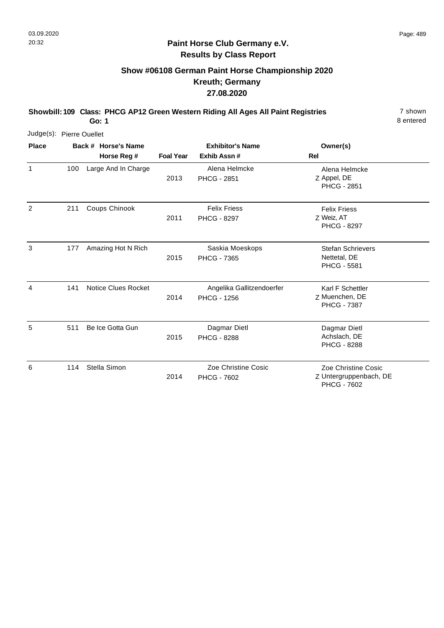## **Show #06108 German Paint Horse Championship 2020 Kreuth; Germany 27.08.2020**

**Showbill: 109 Class: PHCG AP12 Green Western Riding All Ages All Paint Registries** 7 shown

| Judge(s): Pierre Ouellet |     |                            |                  |                           |                          |
|--------------------------|-----|----------------------------|------------------|---------------------------|--------------------------|
| <b>Place</b>             |     | Back # Horse's Name        |                  | <b>Exhibitor's Name</b>   | Owner(s)                 |
|                          |     | Horse Reg #                | <b>Foal Year</b> | Exhib Assn #              | Rel                      |
| $\mathbf{1}$             | 100 | Large And In Charge        |                  | Alena Helmcke             | Alena Helmcke            |
|                          |     |                            | 2013             | <b>PHCG - 2851</b>        | Z Appel, DE              |
|                          |     |                            |                  |                           | <b>PHCG - 2851</b>       |
| $\overline{2}$           | 211 | Coups Chinook              |                  | <b>Felix Friess</b>       | <b>Felix Friess</b>      |
|                          |     |                            | 2011             | <b>PHCG - 8297</b>        | Z Weiz, AT               |
|                          |     |                            |                  |                           | <b>PHCG - 8297</b>       |
| 3                        | 177 | Amazing Hot N Rich         |                  | Saskia Moeskops           | <b>Stefan Schrievers</b> |
|                          |     |                            | 2015             | <b>PHCG - 7365</b>        | Nettetal, DE             |
|                          |     |                            |                  |                           | <b>PHCG - 5581</b>       |
| 4                        | 141 | <b>Notice Clues Rocket</b> |                  | Angelika Gallitzendoerfer | Karl F Schettler         |
|                          |     |                            | 2014             | <b>PHCG - 1256</b>        | Z Muenchen, DE           |
|                          |     |                            |                  |                           | <b>PHCG - 7387</b>       |
| 5                        | 511 | Be Ice Gotta Gun           |                  | Dagmar Dietl              | Dagmar Dietl             |
|                          |     |                            | 2015             | <b>PHCG - 8288</b>        | Achslach, DE             |
|                          |     |                            |                  |                           | <b>PHCG - 8288</b>       |
| 6                        | 114 | Stella Simon               |                  | Zoe Christine Cosic       | Zoe Christine Cosic      |
|                          |     |                            | 2014             | <b>PHCG - 7602</b>        | Z Untergruppenbach, DE   |
|                          |     |                            |                  |                           | <b>PHCG - 7602</b>       |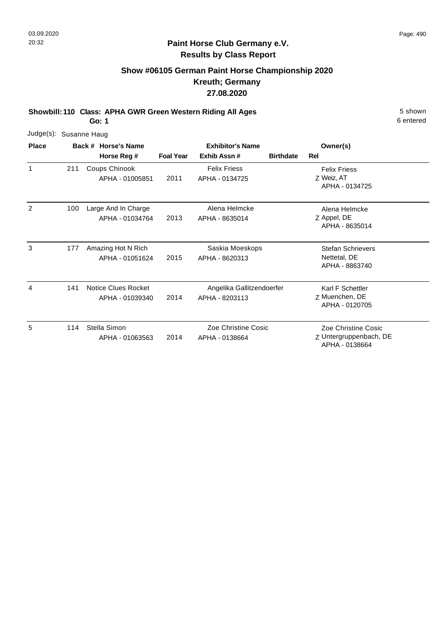## **Show #06105 German Paint Horse Championship 2020 Kreuth; Germany 27.08.2020**

**Showbill: 110 Class: APHA GWR Green Western Riding All Ages** 5 Shown

**Go: 1**

| Judge(s): Susanne Haug |     |                                        |                  |                                             |                  |                                                                 |  |
|------------------------|-----|----------------------------------------|------------------|---------------------------------------------|------------------|-----------------------------------------------------------------|--|
| <b>Place</b>           |     | Back # Horse's Name                    |                  | <b>Exhibitor's Name</b>                     |                  | Owner(s)                                                        |  |
|                        |     | Horse Reg #                            | <b>Foal Year</b> | Exhib Assn#                                 | <b>Birthdate</b> | Rel                                                             |  |
| 1                      | 211 | Coups Chinook<br>APHA - 01005851       | 2011             | <b>Felix Friess</b><br>APHA - 0134725       |                  | <b>Felix Friess</b><br>Z Weiz, AT<br>APHA - 0134725             |  |
| 2                      | 100 | Large And In Charge<br>APHA - 01034764 | 2013             | Alena Helmcke<br>APHA - 8635014             |                  | Alena Helmcke<br>Z Appel, DE<br>APHA - 8635014                  |  |
| 3                      | 177 | Amazing Hot N Rich<br>APHA - 01051624  | 2015             | Saskia Moeskops<br>APHA - 8620313           |                  | <b>Stefan Schrievers</b><br>Nettetal, DE<br>APHA - 8863740      |  |
| 4                      | 141 | Notice Clues Rocket<br>APHA - 01039340 | 2014             | Angelika Gallitzendoerfer<br>APHA - 8203113 |                  | Karl F Schettler<br>Z Muenchen, DE<br>APHA - 0120705            |  |
| 5                      | 114 | Stella Simon<br>APHA - 01063563        | 2014             | Zoe Christine Cosic<br>APHA - 0138664       |                  | Zoe Christine Cosic<br>Z Untergruppenbach, DE<br>APHA - 0138664 |  |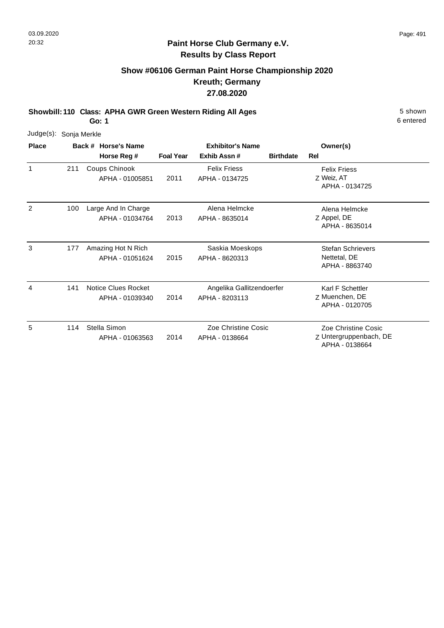## **Show #06106 German Paint Horse Championship 2020 Kreuth; Germany 27.08.2020**

**Showbill: 110 Class: APHA GWR Green Western Riding All Ages** 5 Shown

**Go: 1**

| Judge(s):    | Sonja Merkle |                                        |                  |                                             |                  |                                                                 |  |
|--------------|--------------|----------------------------------------|------------------|---------------------------------------------|------------------|-----------------------------------------------------------------|--|
| <b>Place</b> |              | Back # Horse's Name                    |                  | <b>Exhibitor's Name</b>                     |                  | Owner(s)                                                        |  |
|              |              | Horse Reg #                            | <b>Foal Year</b> | Exhib Assn#                                 | <b>Birthdate</b> | Rel                                                             |  |
| 1            | 211          | Coups Chinook<br>APHA - 01005851       | 2011             | <b>Felix Friess</b><br>APHA - 0134725       |                  | <b>Felix Friess</b><br>Z Weiz, AT<br>APHA - 0134725             |  |
| 2            | 100          | Large And In Charge<br>APHA - 01034764 | 2013             | Alena Helmcke<br>APHA - 8635014             |                  | Alena Helmcke<br>Z Appel, DE<br>APHA - 8635014                  |  |
| 3            | 177          | Amazing Hot N Rich<br>APHA - 01051624  | 2015             | Saskia Moeskops<br>APHA - 8620313           |                  | <b>Stefan Schrievers</b><br>Nettetal, DE<br>APHA - 8863740      |  |
| 4            | 141          | Notice Clues Rocket<br>APHA - 01039340 | 2014             | Angelika Gallitzendoerfer<br>APHA - 8203113 |                  | Karl F Schettler<br>Z Muenchen, DE<br>APHA - 0120705            |  |
| 5            | 114          | Stella Simon<br>APHA - 01063563        | 2014             | Zoe Christine Cosic<br>APHA - 0138664       |                  | Zoe Christine Cosic<br>Z Untergruppenbach, DE<br>APHA - 0138664 |  |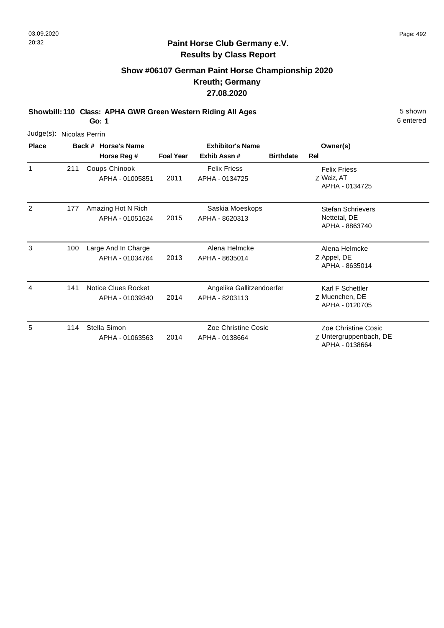## **Show #06107 German Paint Horse Championship 2020 Kreuth; Germany 27.08.2020**

**Showbill: 110 Class: APHA GWR Green Western Riding All Ages** 5 Shown **Go: 1**

| Judge(s):    | Nicolas Perrin |                                               |                  |                                             |                  |                                                                 |
|--------------|----------------|-----------------------------------------------|------------------|---------------------------------------------|------------------|-----------------------------------------------------------------|
| <b>Place</b> |                | Back # Horse's Name                           |                  | <b>Exhibitor's Name</b>                     |                  | Owner(s)                                                        |
|              |                | Horse Reg #                                   | <b>Foal Year</b> | Exhib Assn#                                 | <b>Birthdate</b> | <b>Rel</b>                                                      |
| 1            | 211            | Coups Chinook<br>APHA - 01005851              | 2011             | <b>Felix Friess</b><br>APHA - 0134725       |                  | <b>Felix Friess</b><br>Z Weiz, AT<br>APHA - 0134725             |
| 2            | 177            | Amazing Hot N Rich<br>APHA - 01051624         | 2015             | Saskia Moeskops<br>APHA - 8620313           |                  | <b>Stefan Schrievers</b><br>Nettetal, DE<br>APHA - 8863740      |
| 3            | 100            | Large And In Charge<br>APHA - 01034764        | 2013             | Alena Helmcke<br>APHA - 8635014             |                  | Alena Helmcke<br>Z Appel, DE<br>APHA - 8635014                  |
| 4            | 141            | <b>Notice Clues Rocket</b><br>APHA - 01039340 | 2014             | Angelika Gallitzendoerfer<br>APHA - 8203113 |                  | Karl F Schettler<br>Z Muenchen, DE<br>APHA - 0120705            |
| 5            | 114            | Stella Simon<br>APHA - 01063563               | 2014             | Zoe Christine Cosic<br>APHA - 0138664       |                  | Zoe Christine Cosic<br>Z Untergruppenbach, DE<br>APHA - 0138664 |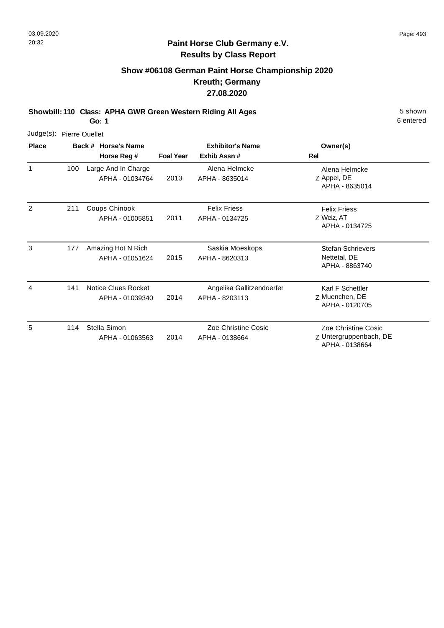## **Show #06108 German Paint Horse Championship 2020 Kreuth; Germany 27.08.2020**

**Showbill: 110 Class: APHA GWR Green Western Riding All Ages** 5 Shown

6 entered

| Judge(s):    |     | <b>Pierre Ouellet</b>                  |                  |                                             |                                                                 |
|--------------|-----|----------------------------------------|------------------|---------------------------------------------|-----------------------------------------------------------------|
| <b>Place</b> |     | Back # Horse's Name<br>Horse Reg #     | <b>Foal Year</b> | <b>Exhibitor's Name</b><br>Exhib Assn#      | Owner(s)<br>Rel                                                 |
| 1            | 100 | Large And In Charge<br>APHA - 01034764 | 2013             | Alena Helmcke<br>APHA - 8635014             | Alena Helmcke<br>Z Appel, DE<br>APHA - 8635014                  |
| 2            | 211 | Coups Chinook<br>APHA - 01005851       | 2011             | <b>Felix Friess</b><br>APHA - 0134725       | <b>Felix Friess</b><br>Z Weiz, AT<br>APHA - 0134725             |
| 3            | 177 | Amazing Hot N Rich<br>APHA - 01051624  | 2015             | Saskia Moeskops<br>APHA - 8620313           | <b>Stefan Schrievers</b><br>Nettetal, DE<br>APHA - 8863740      |
| 4            | 141 | Notice Clues Rocket<br>APHA - 01039340 | 2014             | Angelika Gallitzendoerfer<br>APHA - 8203113 | Karl F Schettler<br>Z Muenchen, DE<br>APHA - 0120705            |
| 5            | 114 | Stella Simon<br>APHA - 01063563        | 2014             | Zoe Christine Cosic<br>APHA - 0138664       | Zoe Christine Cosic<br>Z Untergruppenbach, DE<br>APHA - 0138664 |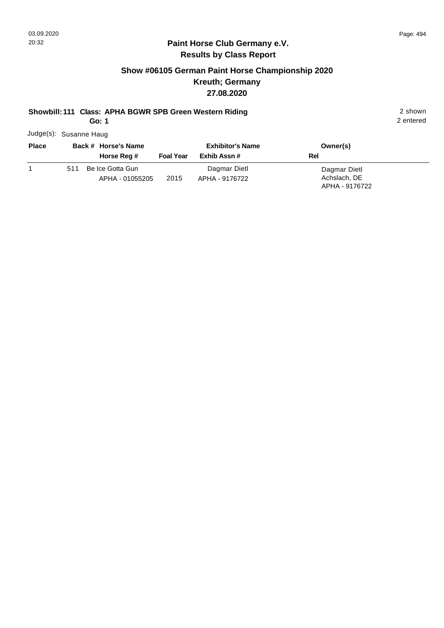#### **Paint Horse Club Germany e.V. Results by Class Report**

## **Show #06105 German Paint Horse Championship 2020 Kreuth; Germany 27.08.2020**

# **Showbill: 111 Class: APHA BGWR SPB Green Western Riding** 2 shown

**Go: 1**

Judge(s): Susanne Haug

| <b>Place</b> |     | Back # Horse's Name<br>Horse Reg #  | <b>Foal Year</b> | <b>Exhibitor's Name</b><br>Exhib Assn # | Owner(s)<br>Rel              |
|--------------|-----|-------------------------------------|------------------|-----------------------------------------|------------------------------|
|              | 511 | Be Ice Gotta Gun<br>APHA - 01055205 | 2015             | Dagmar Dietl<br>APHA - 9176722          | Dagmar Dietl<br>Achslach, DE |
|              |     |                                     |                  |                                         | APHA - 9176722               |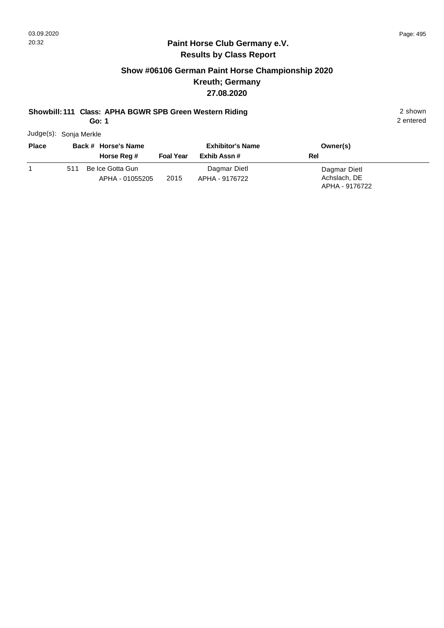#### **Paint Horse Club Germany e.V. Results by Class Report**

## **Show #06106 German Paint Horse Championship 2020 Kreuth; Germany 27.08.2020**

## **Showbill: 111 Class: APHA BGWR SPB Green Western Riding** 2 shown

**Go: 1**

Judge(s): Sonja Merkle

| <b>Place</b> |     | Back # Horse's Name<br>Horse Reg # | <b>Foal Year</b> | <b>Exhibitor's Name</b><br>Exhib Assn # | Owner(s)<br>Rel              |
|--------------|-----|------------------------------------|------------------|-----------------------------------------|------------------------------|
|              | 511 | Be Ice Gotta Gun                   |                  | Dagmar Dietl                            | Dagmar Dietl<br>Achslach, DE |
|              |     | APHA - 01055205                    | 2015             | APHA - 9176722                          | APHA - 9176722               |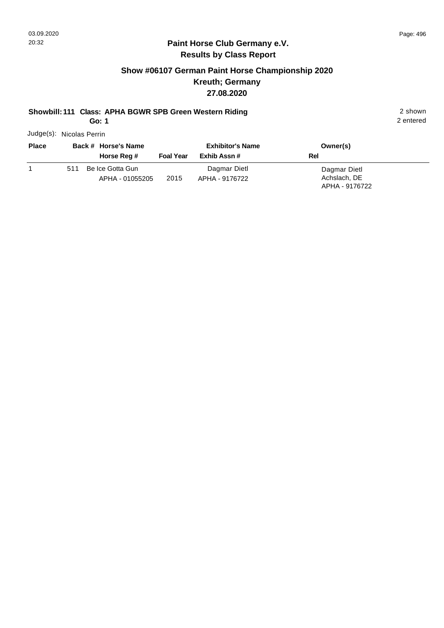#### **Paint Horse Club Germany e.V. Results by Class Report**

## **Show #06107 German Paint Horse Championship 2020 Kreuth; Germany 27.08.2020**

# **Showbill: 111 Class: APHA BGWR SPB Green Western Riding** 2 shown

**Go: 1**

Judge(s): Nicolas Perrin

| <b>Place</b> |     | Back # Horse's Name<br>Horse Reg # | <b>Foal Year</b> | <b>Exhibitor's Name</b><br>Exhib Assn # | Owner(s)<br><b>Rel</b>         |
|--------------|-----|------------------------------------|------------------|-----------------------------------------|--------------------------------|
|              | 511 | Be Ice Gotta Gun                   |                  | Dagmar Dietl                            | Dagmar Dietl                   |
|              |     | APHA - 01055205                    | 2015             | APHA - 9176722                          | Achslach, DE<br>APHA - 9176722 |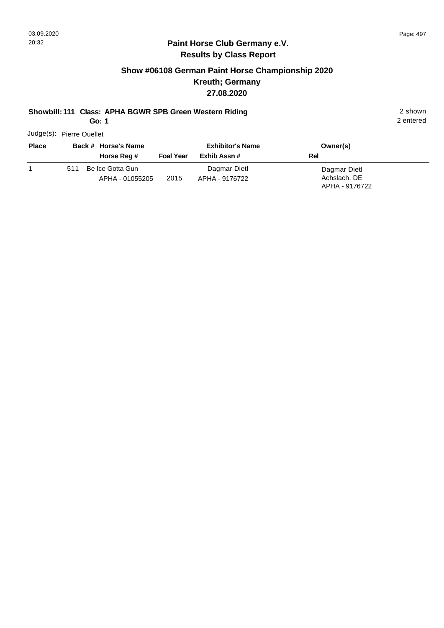#### **Paint Horse Club Germany e.V. Results by Class Report**

## **Show #06108 German Paint Horse Championship 2020 Kreuth; Germany 27.08.2020**

## **Showbill: 111 Class: APHA BGWR SPB Green Western Riding** 2 shown

**Go: 1**

Judge(s): Pierre Ouellet

| <b>Place</b> |     | Back # Horse's Name<br>Horse Reg #  | <b>Foal Year</b> | <b>Exhibitor's Name</b><br>Exhib Assn # | Owner(s)<br>Rel                                |  |
|--------------|-----|-------------------------------------|------------------|-----------------------------------------|------------------------------------------------|--|
|              | 511 | Be Ice Gotta Gun<br>APHA - 01055205 | 2015             | Dagmar Dietl<br>APHA - 9176722          | Dagmar Dietl<br>Achslach, DE<br>APHA - 9176722 |  |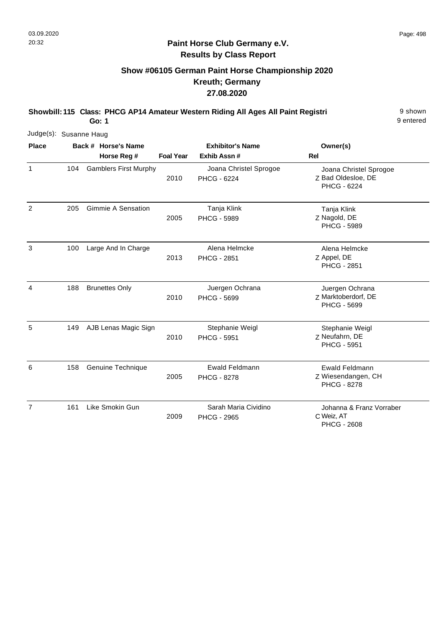## **Show #06105 German Paint Horse Championship 2020 Kreuth; Germany 27.08.2020**

**Showbill: 115 Class: PHCG AP14 Amateur Western Riding All Ages All Paint Registri** 9 shown

9 entered

| Judge(s): Susanne Haug |     |                                    |                  |                                              |                                                              |
|------------------------|-----|------------------------------------|------------------|----------------------------------------------|--------------------------------------------------------------|
| <b>Place</b>           |     | Back # Horse's Name<br>Horse Reg # | <b>Foal Year</b> | <b>Exhibitor's Name</b><br>Exhib Assn#       | Owner(s)<br>Rel                                              |
| $\mathbf{1}$           | 104 | <b>Gamblers First Murphy</b>       | 2010             | Joana Christel Sprogoe<br><b>PHCG - 6224</b> | Joana Christel Sprogoe<br>Z Bad Oldesloe, DE<br>PHCG - 6224  |
| 2                      | 205 | <b>Gimmie A Sensation</b>          | 2005             | Tanja Klink<br><b>PHCG - 5989</b>            | Tanja Klink<br>Z Nagold, DE<br><b>PHCG - 5989</b>            |
| 3                      | 100 | Large And In Charge                | 2013             | Alena Helmcke<br><b>PHCG - 2851</b>          | Alena Helmcke<br>Z Appel, DE<br><b>PHCG - 2851</b>           |
| 4                      | 188 | <b>Brunettes Only</b>              | 2010             | Juergen Ochrana<br>PHCG - 5699               | Juergen Ochrana<br>Z Marktoberdorf, DE<br>PHCG - 5699        |
| 5                      | 149 | AJB Lenas Magic Sign               | 2010             | Stephanie Weigl<br><b>PHCG - 5951</b>        | Stephanie Weigl<br>Z Neufahrn, DE<br><b>PHCG - 5951</b>      |
| 6                      | 158 | Genuine Technique                  | 2005             | Ewald Feldmann<br><b>PHCG - 8278</b>         | Ewald Feldmann<br>Z Wiesendangen, CH<br><b>PHCG - 8278</b>   |
| $\overline{7}$         | 161 | Like Smokin Gun                    | 2009             | Sarah Maria Cividino<br><b>PHCG - 2965</b>   | Johanna & Franz Vorraber<br>C Weiz, AT<br><b>PHCG - 2608</b> |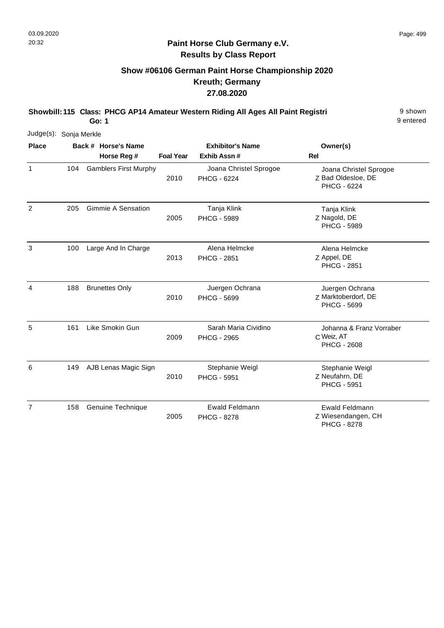## **Show #06106 German Paint Horse Championship 2020 Kreuth; Germany 27.08.2020**

**Showbill: 115 Class: PHCG AP14 Amateur Western Riding All Ages All Paint Registri** 9 shown

9 entered

| Judge(s): Sonja Merkle |     |                              |                  |                                             |                                                              |
|------------------------|-----|------------------------------|------------------|---------------------------------------------|--------------------------------------------------------------|
| <b>Place</b>           |     | Back # Horse's Name          |                  | <b>Exhibitor's Name</b>                     | Owner(s)                                                     |
|                        |     | Horse Reg #                  | <b>Foal Year</b> | Exhib Assn #                                | <b>Rel</b>                                                   |
| $\mathbf{1}$           | 104 | <b>Gamblers First Murphy</b> | 2010             | Joana Christel Sprogoe<br>PHCG - 6224       | Joana Christel Sprogoe<br>Z Bad Oldesloe, DE<br>PHCG - 6224  |
| 2                      | 205 | <b>Gimmie A Sensation</b>    | 2005             | Tanja Klink<br><b>PHCG - 5989</b>           | Tanja Klink<br>Z Nagold, DE<br><b>PHCG - 5989</b>            |
| 3                      | 100 | Large And In Charge          | 2013             | Alena Helmcke<br><b>PHCG - 2851</b>         | Alena Helmcke<br>Z Appel, DE<br><b>PHCG - 2851</b>           |
| 4                      | 188 | <b>Brunettes Only</b>        | 2010             | Juergen Ochrana<br>PHCG - 5699              | Juergen Ochrana<br>Z Marktoberdorf, DE<br><b>PHCG - 5699</b> |
| 5                      | 161 | Like Smokin Gun              | 2009             | Sarah Maria Cividino<br><b>PHCG - 2965</b>  | Johanna & Franz Vorraber<br>C Weiz, AT<br><b>PHCG - 2608</b> |
| 6                      | 149 | AJB Lenas Magic Sign         | 2010             | Stephanie Weigl<br><b>PHCG - 5951</b>       | Stephanie Weigl<br>Z Neufahrn, DE<br><b>PHCG - 5951</b>      |
| 7                      | 158 | Genuine Technique            | 2005             | <b>Ewald Feldmann</b><br><b>PHCG - 8278</b> | Ewald Feldmann<br>Z Wiesendangen, CH<br><b>PHCG - 8278</b>   |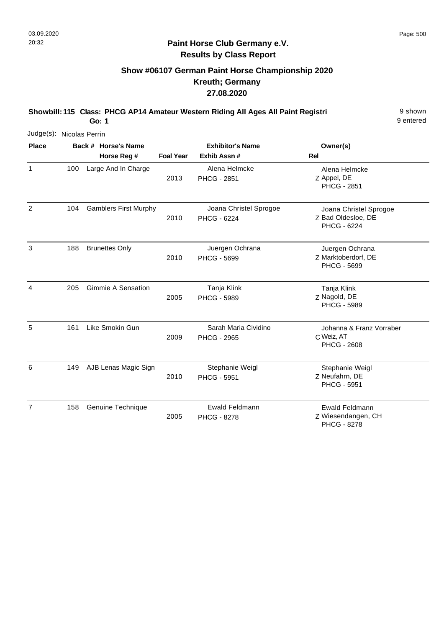## **Show #06107 German Paint Horse Championship 2020 Kreuth; Germany 27.08.2020**

**Showbill: 115 Class: PHCG AP14 Amateur Western Riding All Ages All Paint Registri** 9 shown **Go: 1**

9 entered

| Judge(s): Nicolas Perrin |     |                                    |                  |                                             |                                                              |
|--------------------------|-----|------------------------------------|------------------|---------------------------------------------|--------------------------------------------------------------|
| <b>Place</b>             |     | Back # Horse's Name<br>Horse Reg # | <b>Foal Year</b> | <b>Exhibitor's Name</b><br>Exhib Assn #     | Owner(s)<br>Rel                                              |
| $\mathbf{1}$             | 100 | Large And In Charge                | 2013             | Alena Helmcke<br><b>PHCG - 2851</b>         | Alena Helmcke<br>Z Appel, DE<br><b>PHCG - 2851</b>           |
| $\overline{2}$           | 104 | <b>Gamblers First Murphy</b>       | 2010             | Joana Christel Sprogoe<br>PHCG - 6224       | Joana Christel Sprogoe<br>Z Bad Oldesloe, DE<br>PHCG - 6224  |
| 3                        | 188 | <b>Brunettes Only</b>              | 2010             | Juergen Ochrana<br><b>PHCG - 5699</b>       | Juergen Ochrana<br>Z Marktoberdorf, DE<br><b>PHCG - 5699</b> |
| 4                        | 205 | <b>Gimmie A Sensation</b>          | 2005             | Tanja Klink<br><b>PHCG - 5989</b>           | Tanja Klink<br>Z Nagold, DE<br><b>PHCG - 5989</b>            |
| 5                        | 161 | Like Smokin Gun                    | 2009             | Sarah Maria Cividino<br><b>PHCG - 2965</b>  | Johanna & Franz Vorraber<br>C Weiz, AT<br><b>PHCG - 2608</b> |
| 6                        | 149 | AJB Lenas Magic Sign               | 2010             | Stephanie Weigl<br><b>PHCG - 5951</b>       | Stephanie Weigl<br>Z Neufahrn, DE<br><b>PHCG - 5951</b>      |
| $\overline{7}$           | 158 | Genuine Technique                  | 2005             | <b>Ewald Feldmann</b><br><b>PHCG - 8278</b> | Ewald Feldmann<br>Z Wiesendangen, CH                         |

PHCG - 8278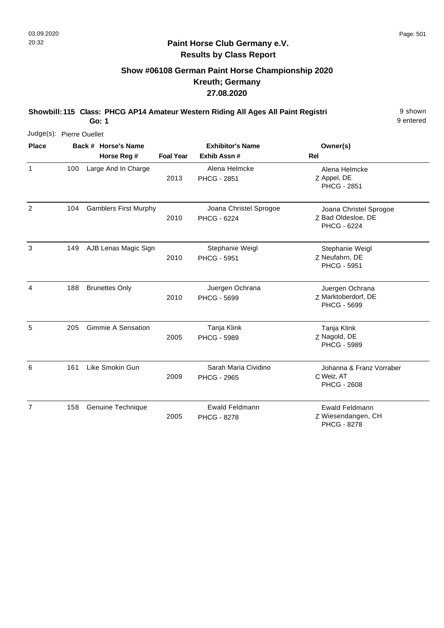## **Show #06108 German Paint Horse Championship 2020 Kreuth; Germany 27.08.2020**

**Showbill: 115 Class: PHCG AP14 Amateur Western Riding All Ages All Paint Registri** 9 shown

9 entered

| Judge(s): Pierre Ouellet |     |                                    |                  |                                             |                                                                    |
|--------------------------|-----|------------------------------------|------------------|---------------------------------------------|--------------------------------------------------------------------|
| <b>Place</b>             |     | Back # Horse's Name<br>Horse Reg # | <b>Foal Year</b> | <b>Exhibitor's Name</b><br>Exhib Assn#      | Owner(s)<br>Rel                                                    |
| $\mathbf{1}$             | 100 | Large And In Charge                | 2013             | Alena Helmcke<br><b>PHCG - 2851</b>         | Alena Helmcke<br>Z Appel, DE<br><b>PHCG - 2851</b>                 |
| 2                        | 104 | <b>Gamblers First Murphy</b>       | 2010             | Joana Christel Sprogoe<br>PHCG - 6224       | Joana Christel Sprogoe<br>Z Bad Oldesloe, DE<br><b>PHCG - 6224</b> |
| 3                        | 149 | AJB Lenas Magic Sign               | 2010             | Stephanie Weigl<br><b>PHCG - 5951</b>       | Stephanie Weigl<br>Z Neufahrn, DE<br><b>PHCG - 5951</b>            |
| 4                        | 188 | <b>Brunettes Only</b>              | 2010             | Juergen Ochrana<br>PHCG - 5699              | Juergen Ochrana<br>Z Marktoberdorf, DE<br><b>PHCG - 5699</b>       |
| 5                        | 205 | <b>Gimmie A Sensation</b>          | 2005             | Tanja Klink<br><b>PHCG - 5989</b>           | Tanja Klink<br>Z Nagold, DE<br><b>PHCG - 5989</b>                  |
| 6                        | 161 | Like Smokin Gun                    | 2009             | Sarah Maria Cividino<br><b>PHCG - 2965</b>  | Johanna & Franz Vorraber<br>C Weiz, AT<br><b>PHCG - 2608</b>       |
| 7                        | 158 | Genuine Technique                  | 2005             | <b>Ewald Feldmann</b><br><b>PHCG - 8278</b> | Ewald Feldmann<br>Z Wiesendangen, CH<br><b>PHCG - 8278</b>         |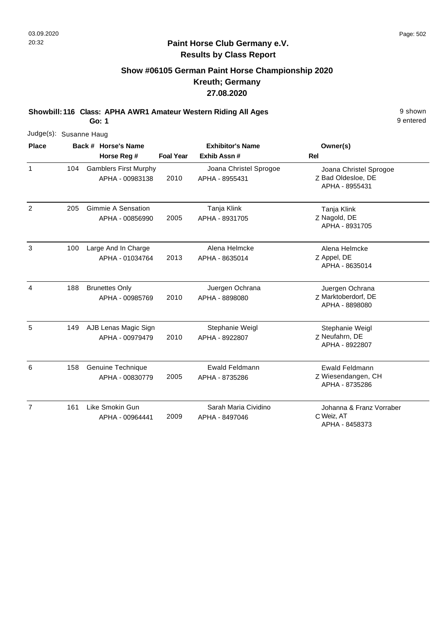#### **Paint Horse Club Germany e.V. Results by Class Report**

## **Show #06105 German Paint Horse Championship 2020 Kreuth; Germany 27.08.2020**

**Showbill: 116 Class: APHA AWR1 Amateur Western Riding All Ages** 9 shown

|                |     | Judge(s): Susanne Haug |                                                 |                         |                                          |                                                                |  |  |  |  |
|----------------|-----|------------------------|-------------------------------------------------|-------------------------|------------------------------------------|----------------------------------------------------------------|--|--|--|--|
| <b>Place</b>   |     | Back # Horse's Name    |                                                 | <b>Exhibitor's Name</b> |                                          | Owner(s)                                                       |  |  |  |  |
|                |     |                        | Horse Reg #                                     | <b>Foal Year</b>        | Exhib Assn #                             | <b>Rel</b>                                                     |  |  |  |  |
| $\mathbf{1}$   | 104 |                        | <b>Gamblers First Murphy</b><br>APHA - 00983138 | 2010                    | Joana Christel Sprogoe<br>APHA - 8955431 | Joana Christel Sprogoe<br>Z Bad Oldesloe, DE<br>APHA - 8955431 |  |  |  |  |
| $\overline{2}$ | 205 |                        | <b>Gimmie A Sensation</b><br>APHA - 00856990    | 2005                    | Tanja Klink<br>APHA - 8931705            | Tanja Klink<br>Z Nagold, DE<br>APHA - 8931705                  |  |  |  |  |
| 3              | 100 |                        | Large And In Charge<br>APHA - 01034764          | 2013                    | Alena Helmcke<br>APHA - 8635014          | Alena Helmcke<br>Z Appel, DE<br>APHA - 8635014                 |  |  |  |  |
| 4              | 188 |                        | <b>Brunettes Only</b><br>APHA - 00985769        | 2010                    | Juergen Ochrana<br>APHA - 8898080        | Juergen Ochrana<br>Z Marktoberdorf, DE<br>APHA - 8898080       |  |  |  |  |
| 5              | 149 |                        | AJB Lenas Magic Sign<br>APHA - 00979479         | 2010                    | Stephanie Weigl<br>APHA - 8922807        | Stephanie Weigl<br>Z Neufahrn, DE<br>APHA - 8922807            |  |  |  |  |
| 6              | 158 |                        | Genuine Technique<br>APHA - 00830779            | 2005                    | Ewald Feldmann<br>APHA - 8735286         | Ewald Feldmann<br>Z Wiesendangen, CH<br>APHA - 8735286         |  |  |  |  |
| $\overline{7}$ | 161 |                        | Like Smokin Gun<br>APHA - 00964441              | 2009                    | Sarah Maria Cividino<br>APHA - 8497046   | Johanna & Franz Vorraber<br>C Weiz, AT<br>APHA - 8458373       |  |  |  |  |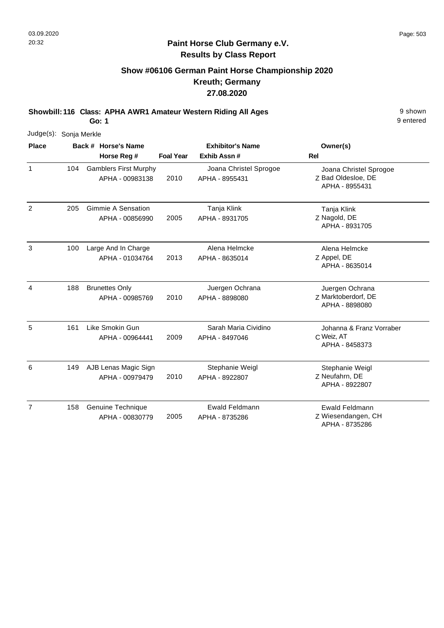## **Show #06106 German Paint Horse Championship 2020 Kreuth; Germany 27.08.2020**

**Showbill: 116 Class: APHA AWR1 Amateur Western Riding All Ages** 9 shown

**Go: 1**

| Judge(s): Sonja Merkle |     |                                                 |                  |                                          |                                                                |
|------------------------|-----|-------------------------------------------------|------------------|------------------------------------------|----------------------------------------------------------------|
| <b>Place</b>           |     | Back # Horse's Name<br>Horse Reg #              | <b>Foal Year</b> | <b>Exhibitor's Name</b><br>Exhib Assn #  | Owner(s)<br>Rel                                                |
| $\mathbf{1}$           | 104 | <b>Gamblers First Murphy</b><br>APHA - 00983138 | 2010             | Joana Christel Sprogoe<br>APHA - 8955431 | Joana Christel Sprogoe<br>Z Bad Oldesloe, DE<br>APHA - 8955431 |
| $\overline{2}$         | 205 | <b>Gimmie A Sensation</b><br>APHA - 00856990    | 2005             | Tanja Klink<br>APHA - 8931705            | Tanja Klink<br>Z Nagold, DE<br>APHA - 8931705                  |
| 3                      | 100 | Large And In Charge<br>APHA - 01034764          | 2013             | Alena Helmcke<br>APHA - 8635014          | Alena Helmcke<br>Z Appel, DE<br>APHA - 8635014                 |
| $\overline{4}$         | 188 | <b>Brunettes Only</b><br>APHA - 00985769        | 2010             | Juergen Ochrana<br>APHA - 8898080        | Juergen Ochrana<br>Z Marktoberdorf, DE<br>APHA - 8898080       |
| 5                      | 161 | Like Smokin Gun<br>APHA - 00964441              | 2009             | Sarah Maria Cividino<br>APHA - 8497046   | Johanna & Franz Vorraber<br>C Weiz, AT<br>APHA - 8458373       |
| 6                      | 149 | AJB Lenas Magic Sign<br>APHA - 00979479         | 2010             | Stephanie Weigl<br>APHA - 8922807        | Stephanie Weigl<br>Z Neufahrn, DE<br>APHA - 8922807            |
| $\overline{7}$         | 158 | Genuine Technique<br>APHA - 00830779            | 2005             | Ewald Feldmann<br>APHA - 8735286         | Ewald Feldmann<br>Z Wiesendangen, CH<br>APHA - 8735286         |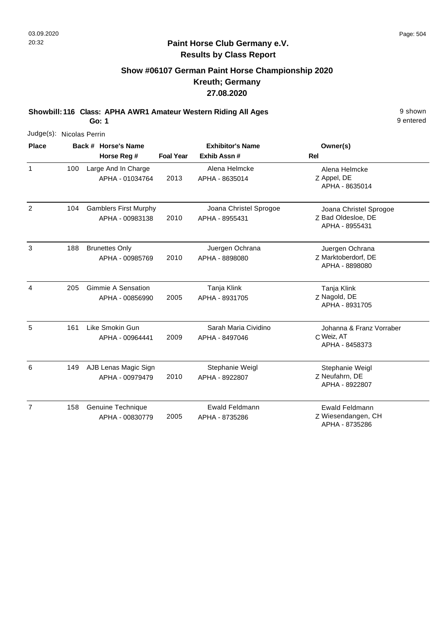#### **Paint Horse Club Germany e.V. Results by Class Report**

## **Show #06107 German Paint Horse Championship 2020 Kreuth; Germany 27.08.2020**

**Showbill: 116 Class: APHA AWR1 Amateur Western Riding All Ages** 9 shown

| Judge(s): Nicolas Perrin |     |                                                 |                  |                                          |                                                                |
|--------------------------|-----|-------------------------------------------------|------------------|------------------------------------------|----------------------------------------------------------------|
| <b>Place</b>             |     | Back # Horse's Name                             |                  | <b>Exhibitor's Name</b>                  | Owner(s)                                                       |
|                          |     | Horse Reg #                                     | <b>Foal Year</b> | Exhib Assn #                             | <b>Rel</b>                                                     |
| $\mathbf{1}$             | 100 | Large And In Charge<br>APHA - 01034764          | 2013             | Alena Helmcke<br>APHA - 8635014          | Alena Helmcke<br>Z Appel, DE<br>APHA - 8635014                 |
| 2                        | 104 | <b>Gamblers First Murphy</b><br>APHA - 00983138 | 2010             | Joana Christel Sprogoe<br>APHA - 8955431 | Joana Christel Sprogoe<br>Z Bad Oldesloe, DE<br>APHA - 8955431 |
| 3                        | 188 | <b>Brunettes Only</b><br>APHA - 00985769        | 2010             | Juergen Ochrana<br>APHA - 8898080        | Juergen Ochrana<br>Z Marktoberdorf, DE<br>APHA - 8898080       |
| 4                        | 205 | Gimmie A Sensation<br>APHA - 00856990           | 2005             | Tanja Klink<br>APHA - 8931705            | Tanja Klink<br>Z Nagold, DE<br>APHA - 8931705                  |
| 5                        | 161 | Like Smokin Gun<br>APHA - 00964441              | 2009             | Sarah Maria Cividino<br>APHA - 8497046   | Johanna & Franz Vorraber<br>C Weiz, AT<br>APHA - 8458373       |
| 6                        | 149 | AJB Lenas Magic Sign<br>APHA - 00979479         | 2010             | Stephanie Weigl<br>APHA - 8922807        | Stephanie Weigl<br>Z Neufahrn, DE<br>APHA - 8922807            |
| $\overline{7}$           | 158 | Genuine Technique<br>APHA - 00830779            | 2005             | Ewald Feldmann<br>APHA - 8735286         | Ewald Feldmann<br>Z Wiesendangen, CH<br>APHA - 8735286         |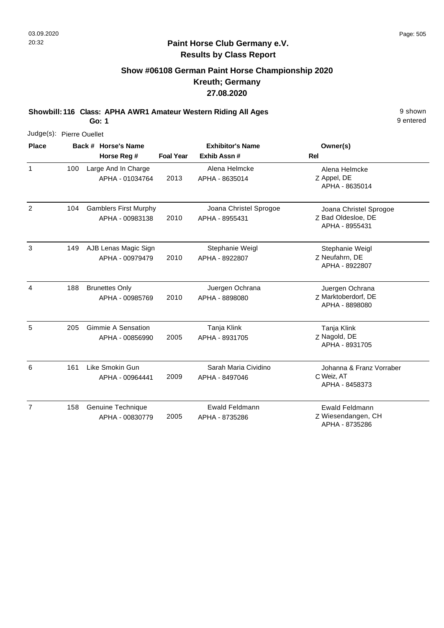#### **Paint Horse Club Germany e.V. Results by Class Report**

## **Show #06108 German Paint Horse Championship 2020 Kreuth; Germany 27.08.2020**

**Showbill: 116 Class: APHA AWR1 Amateur Western Riding All Ages** 9 shown

| Judge(s): Pierre Ouellet |     |                                                 |                  |                                          |                                                                |  |  |
|--------------------------|-----|-------------------------------------------------|------------------|------------------------------------------|----------------------------------------------------------------|--|--|
| <b>Place</b>             |     | Back # Horse's Name                             |                  | <b>Exhibitor's Name</b>                  | Owner(s)                                                       |  |  |
|                          |     | Horse Reg #                                     | <b>Foal Year</b> | Exhib Assn #                             | <b>Rel</b>                                                     |  |  |
| $\mathbf{1}$             | 100 | Large And In Charge<br>APHA - 01034764          | 2013             | Alena Helmcke<br>APHA - 8635014          | Alena Helmcke<br>Z Appel, DE<br>APHA - 8635014                 |  |  |
| $\overline{2}$           | 104 | <b>Gamblers First Murphy</b><br>APHA - 00983138 | 2010             | Joana Christel Sprogoe<br>APHA - 8955431 | Joana Christel Sprogoe<br>Z Bad Oldesloe, DE<br>APHA - 8955431 |  |  |
| 3                        | 149 | AJB Lenas Magic Sign<br>APHA - 00979479         | 2010             | Stephanie Weigl<br>APHA - 8922807        | Stephanie Weigl<br>Z Neufahrn, DE<br>APHA - 8922807            |  |  |
| 4                        | 188 | <b>Brunettes Only</b><br>APHA - 00985769        | 2010             | Juergen Ochrana<br>APHA - 8898080        | Juergen Ochrana<br>Z Marktoberdorf, DE<br>APHA - 8898080       |  |  |
| 5                        | 205 | <b>Gimmie A Sensation</b><br>APHA - 00856990    | 2005             | Tanja Klink<br>APHA - 8931705            | Tanja Klink<br>Z Nagold, DE<br>APHA - 8931705                  |  |  |
| 6                        | 161 | Like Smokin Gun<br>APHA - 00964441              | 2009             | Sarah Maria Cividino<br>APHA - 8497046   | Johanna & Franz Vorraber<br>C Weiz, AT<br>APHA - 8458373       |  |  |
| $\overline{7}$           | 158 | Genuine Technique<br>APHA - 00830779            | 2005             | Ewald Feldmann<br>APHA - 8735286         | <b>Ewald Feldmann</b><br>Z Wiesendangen, CH<br>APHA - 8735286  |  |  |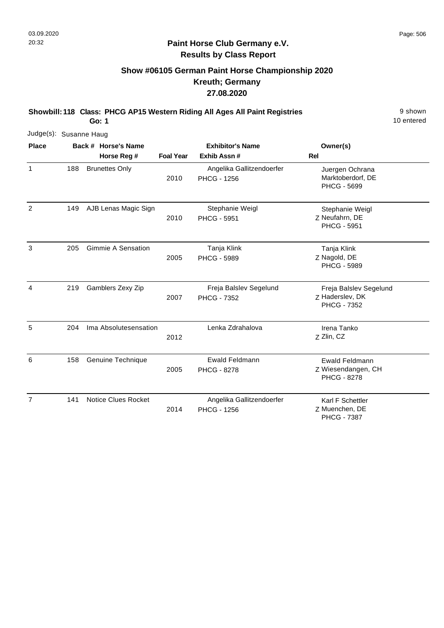## **Show #06105 German Paint Horse Championship 2020 Kreuth; Germany 27.08.2020**

**Showbill: 118 Class: PHCG AP15 Western Riding All Ages All Paint Registries** 9 Shown

**Go: 1**

|                |     | Judge(s): Susanne Haug |                            |                  |                                                 |                                                                   |  |  |  |  |  |
|----------------|-----|------------------------|----------------------------|------------------|-------------------------------------------------|-------------------------------------------------------------------|--|--|--|--|--|
| <b>Place</b>   |     |                        | Back # Horse's Name        |                  | <b>Exhibitor's Name</b>                         | Owner(s)                                                          |  |  |  |  |  |
|                |     |                        | Horse Reg #                | <b>Foal Year</b> | Exhib Assn #                                    | <b>Rel</b>                                                        |  |  |  |  |  |
| 1              | 188 |                        | <b>Brunettes Only</b>      | 2010             | Angelika Gallitzendoerfer<br><b>PHCG - 1256</b> | Juergen Ochrana<br>Marktoberdorf, DE<br><b>PHCG - 5699</b>        |  |  |  |  |  |
| $\overline{2}$ | 149 |                        | AJB Lenas Magic Sign       | 2010             | Stephanie Weigl<br><b>PHCG - 5951</b>           | Stephanie Weigl<br>Z Neufahrn, DE<br><b>PHCG - 5951</b>           |  |  |  |  |  |
| 3              | 205 |                        | Gimmie A Sensation         | 2005             | Tanja Klink<br><b>PHCG - 5989</b>               | Tanja Klink<br>Z Nagold, DE<br><b>PHCG - 5989</b>                 |  |  |  |  |  |
| 4              | 219 |                        | Gamblers Zexy Zip          | 2007             | Freja Balslev Segelund<br><b>PHCG - 7352</b>    | Freja Balslev Segelund<br>Z Haderslev, DK<br><b>PHCG - 7352</b>   |  |  |  |  |  |
| 5              | 204 |                        | Ima Absolutesensation      | 2012             | Lenka Zdrahalova                                | Irena Tanko<br>Z Zlin, CZ                                         |  |  |  |  |  |
| 6              | 158 |                        | Genuine Technique          | 2005             | Ewald Feldmann<br><b>PHCG - 8278</b>            | <b>Ewald Feldmann</b><br>Z Wiesendangen, CH<br><b>PHCG - 8278</b> |  |  |  |  |  |
| $\overline{7}$ | 141 |                        | <b>Notice Clues Rocket</b> | 2014             | Angelika Gallitzendoerfer<br><b>PHCG - 1256</b> | Karl F Schettler<br>Z Muenchen, DE<br><b>PHCG - 7387</b>          |  |  |  |  |  |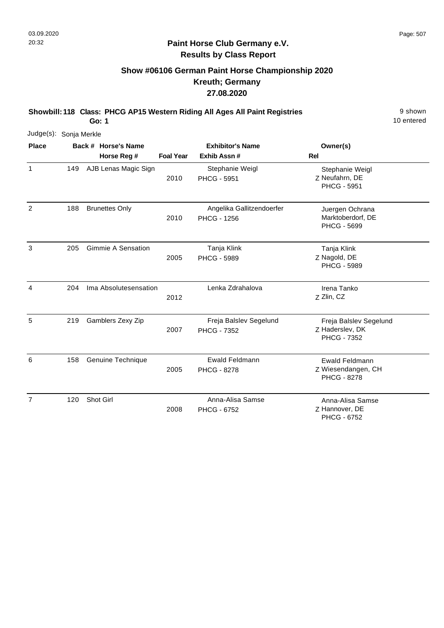## **Show #06106 German Paint Horse Championship 2020 Kreuth; Germany 27.08.2020**

**Showbill: 118 Class: PHCG AP15 Western Riding All Ages All Paint Registries** 9 Shown

10 entered

| Judge(s): Sonja Merkle |     |                                    |                  |                                                 |                                                            |
|------------------------|-----|------------------------------------|------------------|-------------------------------------------------|------------------------------------------------------------|
| <b>Place</b>           |     | Back # Horse's Name<br>Horse Reg # | <b>Foal Year</b> | <b>Exhibitor's Name</b><br>Exhib Assn #         | Owner(s)<br>Rel                                            |
| $\mathbf{1}$           | 149 | AJB Lenas Magic Sign               | 2010             | Stephanie Weigl<br><b>PHCG - 5951</b>           | Stephanie Weigl<br>Z Neufahrn, DE<br><b>PHCG - 5951</b>    |
| $\overline{2}$         | 188 | <b>Brunettes Only</b>              | 2010             | Angelika Gallitzendoerfer<br><b>PHCG - 1256</b> | Juergen Ochrana<br>Marktoberdorf, DE<br><b>PHCG - 5699</b> |
| 3                      | 205 | <b>Gimmie A Sensation</b>          | 2005             | Tanja Klink<br><b>PHCG - 5989</b>               | Tanja Klink<br>Z Nagold, DE<br><b>PHCG - 5989</b>          |
| 4                      | 204 | Ima Absolutesensation              | 2012             | Lenka Zdrahalova                                | Irena Tanko<br>Z Zlin, CZ                                  |
| 5                      | 219 | Gamblers Zexy Zip                  | 2007             | Freja Balslev Segelund<br><b>PHCG - 7352</b>    | Freja Balslev Segelund<br>Z Haderslev, DK<br>PHCG - 7352   |
| 6                      | 158 | Genuine Technique                  | 2005             | <b>Ewald Feldmann</b><br><b>PHCG - 8278</b>     | Ewald Feldmann<br>Z Wiesendangen, CH<br><b>PHCG - 8278</b> |
| 7                      | 120 | Shot Girl                          | 2008             | Anna-Alisa Samse<br><b>PHCG - 6752</b>          | Anna-Alisa Samse<br>Z Hannover, DE<br><b>PHCG - 6752</b>   |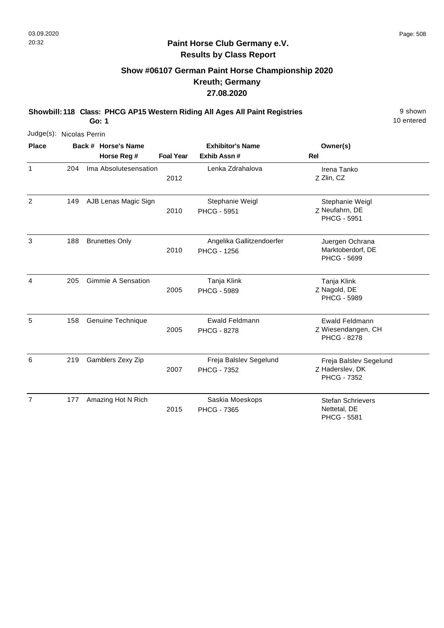1

2

4

5

6

#### **Paint Horse Club Germany e.V. Results by Class Report**

## **Show #06107 German Paint Horse Championship 2020 Kreuth; Germany 27.08.2020**

**Showbill: 118 Class: PHCG AP15 Western Riding All Ages All Paint Registries** 9 Shown

**Go: 1**

Judge(s): Nicolas Perrin **Back # Horse's Name Place Owner(s) Horse Reg # Exhib Assn # Foal Year Rel Exhibitor's Name** Z 2012 Zlin, CZ Irena Tanko 204 Ima Absolutesensation Lenka Zdrahalova Z Neufahrn, DE Stephanie Weigl PHCG - 5951 2010 AJB Lenas Magic Sign Stephanie Weigl PHCG - 5951 149 3 Juergen Ochrana Brunettes Only Angelika Gallitzendoerfer Marktoberdorf, DE PHCG - 5699 2010 PHCG - 1256 188 Z Nagold, DE Tanja Klink PHCG - 5989 2005 Gimmie A Sensation Tanja Klink PHCG - 5989 205 Z Wiesendangen, CH Ewald Feldmann PHCG - 8278 2005 Genuine Technique **EWALD** Ewald Feldmann PHCG - 8278 158 Z Haderslev, DK Freja Balslev Segelund PHCG - 7352 2007 Freja Balslev Segelund PHCG - 7352 219 Gamblers Zexy Zip

7 177 Amazing Hot N Rich Saskia Moeskops Stefan Schrievers Nettetal, DE PHCG - 5581 2015 PHCG - 7365 177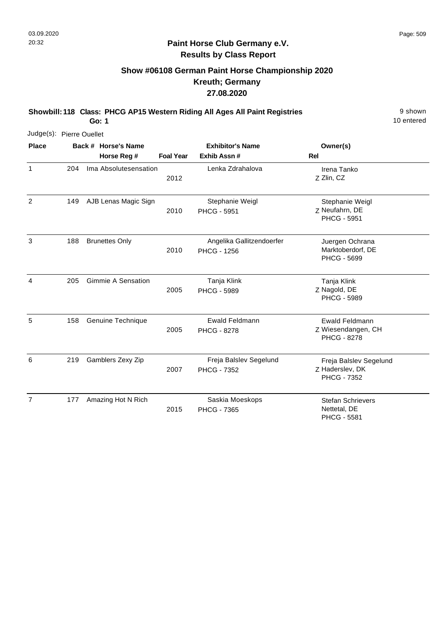#### **Paint Horse Club Germany e.V. Results by Class Report**

## **Show #06108 German Paint Horse Championship 2020 Kreuth; Germany 27.08.2020**

**Showbill: 118 Class: PHCG AP15 Western Riding All Ages All Paint Registries** 9 Shown

| Judge(s): Pierre Ouellet |     |                           |                  |                                                 |                                                                   |
|--------------------------|-----|---------------------------|------------------|-------------------------------------------------|-------------------------------------------------------------------|
| <b>Place</b>             |     | Back # Horse's Name       |                  | <b>Exhibitor's Name</b>                         | Owner(s)                                                          |
|                          |     | Horse Reg #               | <b>Foal Year</b> | Exhib Assn #                                    | Rel                                                               |
| $\mathbf{1}$             | 204 | Ima Absolutesensation     | 2012             | Lenka Zdrahalova                                | Irena Tanko<br>Z Zlin, CZ                                         |
| 2                        | 149 | AJB Lenas Magic Sign      | 2010             | Stephanie Weigl<br><b>PHCG - 5951</b>           | Stephanie Weigl<br>Z Neufahrn, DE<br><b>PHCG - 5951</b>           |
| 3                        | 188 | <b>Brunettes Only</b>     | 2010             | Angelika Gallitzendoerfer<br><b>PHCG - 1256</b> | Juergen Ochrana<br>Marktoberdorf, DE<br><b>PHCG - 5699</b>        |
| 4                        | 205 | <b>Gimmie A Sensation</b> | 2005             | Tanja Klink<br><b>PHCG - 5989</b>               | Tanja Klink<br>Z Nagold, DE<br><b>PHCG - 5989</b>                 |
| 5                        | 158 | Genuine Technique         | 2005             | <b>Ewald Feldmann</b><br><b>PHCG - 8278</b>     | <b>Ewald Feldmann</b><br>Z Wiesendangen, CH<br><b>PHCG - 8278</b> |
| 6                        | 219 | Gamblers Zexy Zip         | 2007             | Freja Balslev Segelund<br><b>PHCG - 7352</b>    | Freja Balslev Segelund<br>Z Haderslev, DK<br><b>PHCG - 7352</b>   |
| 7                        | 177 | Amazing Hot N Rich        | 2015             | Saskia Moeskops<br><b>PHCG - 7365</b>           | <b>Stefan Schrievers</b><br>Nettetal, DE<br>PHCG - 5581           |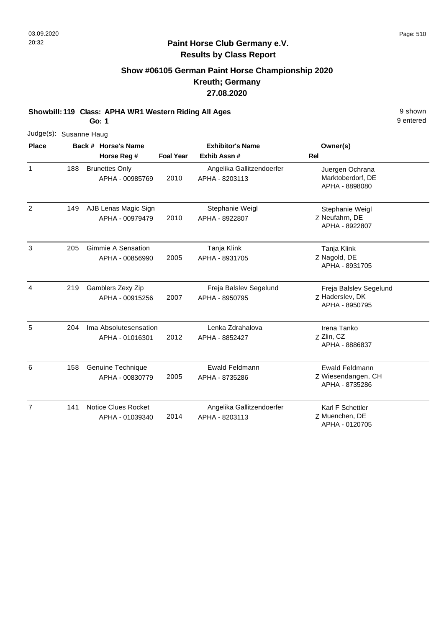## **Show #06105 German Paint Horse Championship 2020 Kreuth; Germany 27.08.2020**

**Showbill: 119 Class: APHA WR1 Western Riding All Ages** 9 shown

**Go: 1**

|                | Judge(s): Susanne Haug |  |                                               |                  |                                             |                                                               |  |  |  |
|----------------|------------------------|--|-----------------------------------------------|------------------|---------------------------------------------|---------------------------------------------------------------|--|--|--|
| <b>Place</b>   |                        |  | Back # Horse's Name                           |                  | <b>Exhibitor's Name</b>                     | Owner(s)                                                      |  |  |  |
|                |                        |  | Horse Reg #                                   | <b>Foal Year</b> | Exhib Assn#                                 | Rel                                                           |  |  |  |
| $\mathbf{1}$   | 188                    |  | <b>Brunettes Only</b><br>APHA - 00985769      | 2010             | Angelika Gallitzendoerfer<br>APHA - 8203113 | Juergen Ochrana<br>Marktoberdorf, DE<br>APHA - 8898080        |  |  |  |
| $\overline{2}$ | 149                    |  | AJB Lenas Magic Sign<br>APHA - 00979479       | 2010             | Stephanie Weigl<br>APHA - 8922807           | Stephanie Weigl<br>Z Neufahrn, DE<br>APHA - 8922807           |  |  |  |
| 3              | 205                    |  | <b>Gimmie A Sensation</b><br>APHA - 00856990  | 2005             | Tanja Klink<br>APHA - 8931705               | Tanja Klink<br>Z Nagold, DE<br>APHA - 8931705                 |  |  |  |
| 4              | 219                    |  | Gamblers Zexy Zip<br>APHA - 00915256          | 2007             | Freja Balslev Segelund<br>APHA - 8950795    | Freja Balslev Segelund<br>Z Haderslev, DK<br>APHA - 8950795   |  |  |  |
| 5              | 204                    |  | Ima Absolutesensation<br>APHA - 01016301      | 2012             | Lenka Zdrahalova<br>APHA - 8852427          | Irena Tanko<br>Z Zlin, CZ<br>APHA - 8886837                   |  |  |  |
| 6              | 158                    |  | Genuine Technique<br>APHA - 00830779          | 2005             | <b>Ewald Feldmann</b><br>APHA - 8735286     | <b>Ewald Feldmann</b><br>Z Wiesendangen, CH<br>APHA - 8735286 |  |  |  |
| $\overline{7}$ | 141                    |  | <b>Notice Clues Rocket</b><br>APHA - 01039340 | 2014             | Angelika Gallitzendoerfer<br>APHA - 8203113 | Karl F Schettler<br>Z Muenchen, DE<br>APHA - 0120705          |  |  |  |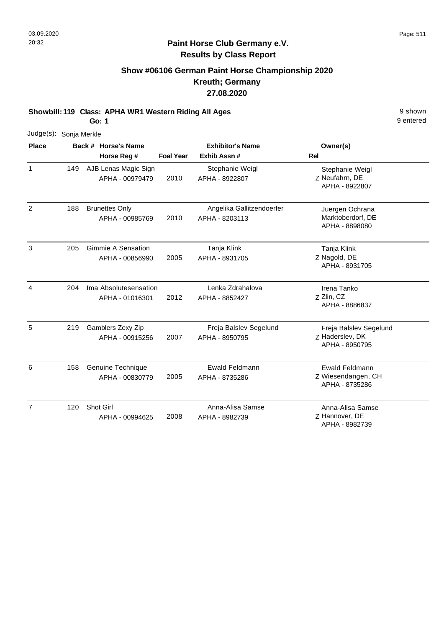## **Show #06106 German Paint Horse Championship 2020 Kreuth; Germany 27.08.2020**

**Showbill: 119 Class: APHA WR1 Western Riding All Ages** 9 shown

**Go: 1**

| <b>Place</b>   |     | Judge(s): Sonja Merkle<br>Back # Horse's Name | <b>Exhibitor's Name</b> |                                             |                                                               |
|----------------|-----|-----------------------------------------------|-------------------------|---------------------------------------------|---------------------------------------------------------------|
|                |     | Horse Reg #                                   | <b>Foal Year</b>        | Exhib Assn #                                | Owner(s)<br><b>Rel</b>                                        |
| $\mathbf{1}$   | 149 | AJB Lenas Magic Sign<br>APHA - 00979479       | 2010                    | Stephanie Weigl<br>APHA - 8922807           | Stephanie Weigl<br>Z Neufahrn, DE<br>APHA - 8922807           |
| $\overline{2}$ | 188 | <b>Brunettes Only</b><br>APHA - 00985769      | 2010                    | Angelika Gallitzendoerfer<br>APHA - 8203113 | Juergen Ochrana<br>Marktoberdorf, DE<br>APHA - 8898080        |
| 3              | 205 | <b>Gimmie A Sensation</b><br>APHA - 00856990  | 2005                    | Tanja Klink<br>APHA - 8931705               | Tanja Klink<br>Z Nagold, DE<br>APHA - 8931705                 |
| 4              | 204 | Ima Absolutesensation<br>APHA - 01016301      | 2012                    | Lenka Zdrahalova<br>APHA - 8852427          | Irena Tanko<br>Z Zlin, CZ<br>APHA - 8886837                   |
| 5              | 219 | Gamblers Zexy Zip<br>APHA - 00915256          | 2007                    | Freja Balslev Segelund<br>APHA - 8950795    | Freja Balslev Segelund<br>Z Haderslev, DK<br>APHA - 8950795   |
| 6              | 158 | Genuine Technique<br>APHA - 00830779          | 2005                    | Ewald Feldmann<br>APHA - 8735286            | <b>Ewald Feldmann</b><br>Z Wiesendangen, CH<br>APHA - 8735286 |
| $\overline{7}$ | 120 | Shot Girl<br>APHA - 00994625                  | 2008                    | Anna-Alisa Samse<br>APHA - 8982739          | Anna-Alisa Samse<br>Z Hannover, DE<br>APHA - 8982739          |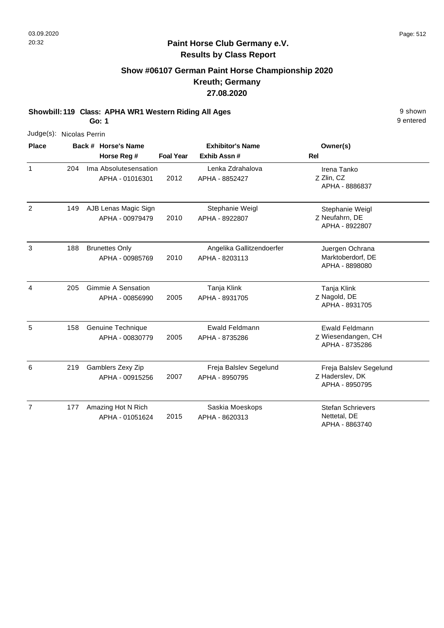## **Show #06107 German Paint Horse Championship 2020 Kreuth; Germany 27.08.2020**

**Showbill: 119 Class: APHA WR1 Western Riding All Ages** 9 shown

**Go: 1**

|                | Judge(s): Nicolas Perrin |  |                                              |                  |                                             |                                                               |  |  |  |  |
|----------------|--------------------------|--|----------------------------------------------|------------------|---------------------------------------------|---------------------------------------------------------------|--|--|--|--|
| <b>Place</b>   |                          |  | Back # Horse's Name<br>Horse Reg #           | <b>Foal Year</b> | <b>Exhibitor's Name</b><br>Exhib Assn#      | Owner(s)<br>Rel                                               |  |  |  |  |
| $\mathbf{1}$   | 204                      |  | Ima Absolutesensation<br>APHA - 01016301     | 2012             | Lenka Zdrahalova<br>APHA - 8852427          | Irena Tanko<br>Z Zlin, CZ<br>APHA - 8886837                   |  |  |  |  |
| $\overline{2}$ | 149                      |  | AJB Lenas Magic Sign<br>APHA - 00979479      | 2010             | Stephanie Weigl<br>APHA - 8922807           | Stephanie Weigl<br>Z Neufahrn, DE<br>APHA - 8922807           |  |  |  |  |
| 3              | 188                      |  | <b>Brunettes Only</b><br>APHA - 00985769     | 2010             | Angelika Gallitzendoerfer<br>APHA - 8203113 | Juergen Ochrana<br>Marktoberdorf, DE<br>APHA - 8898080        |  |  |  |  |
| $\overline{4}$ | 205                      |  | <b>Gimmie A Sensation</b><br>APHA - 00856990 | 2005             | Tanja Klink<br>APHA - 8931705               | Tanja Klink<br>Z Nagold, DE<br>APHA - 8931705                 |  |  |  |  |
| 5              | 158                      |  | Genuine Technique<br>APHA - 00830779         | 2005             | <b>Ewald Feldmann</b><br>APHA - 8735286     | <b>Ewald Feldmann</b><br>Z Wiesendangen, CH<br>APHA - 8735286 |  |  |  |  |
| 6              | 219                      |  | Gamblers Zexy Zip<br>APHA - 00915256         | 2007             | Freja Balslev Segelund<br>APHA - 8950795    | Freja Balslev Segelund<br>Z Haderslev, DK<br>APHA - 8950795   |  |  |  |  |
| $\overline{7}$ | 177                      |  | Amazing Hot N Rich<br>APHA - 01051624        | 2015             | Saskia Moeskops<br>APHA - 8620313           | <b>Stefan Schrievers</b><br>Nettetal, DE<br>APHA - 8863740    |  |  |  |  |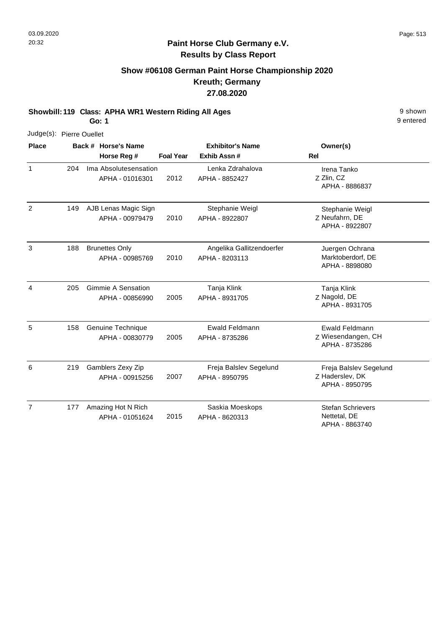## **Show #06108 German Paint Horse Championship 2020 Kreuth; Germany 27.08.2020**

**Showbill: 119 Class: APHA WR1 Western Riding All Ages** 9 shown

**Go: 1**

|                | Judge(s): Pierre Ouellet |  |                                              |                  |                                             |                                                             |
|----------------|--------------------------|--|----------------------------------------------|------------------|---------------------------------------------|-------------------------------------------------------------|
| <b>Place</b>   |                          |  | Back # Horse's Name                          |                  | <b>Exhibitor's Name</b>                     | Owner(s)                                                    |
|                |                          |  | Horse Reg #                                  | <b>Foal Year</b> | Exhib Assn#                                 | <b>Rel</b>                                                  |
| $\mathbf{1}$   | 204                      |  | Ima Absolutesensation<br>APHA - 01016301     | 2012             | Lenka Zdrahalova<br>APHA - 8852427          | Irena Tanko<br>Z Zlin, CZ<br>APHA - 8886837                 |
| 2              | 149                      |  | AJB Lenas Magic Sign<br>APHA - 00979479      | 2010             | Stephanie Weigl<br>APHA - 8922807           | Stephanie Weigl<br>Z Neufahrn, DE<br>APHA - 8922807         |
| 3              | 188                      |  | <b>Brunettes Only</b><br>APHA - 00985769     | 2010             | Angelika Gallitzendoerfer<br>APHA - 8203113 | Juergen Ochrana<br>Marktoberdorf, DE<br>APHA - 8898080      |
| 4              | 205                      |  | <b>Gimmie A Sensation</b><br>APHA - 00856990 | 2005             | Tanja Klink<br>APHA - 8931705               | Tanja Klink<br>Z Nagold, DE<br>APHA - 8931705               |
| 5              | 158                      |  | Genuine Technique<br>APHA - 00830779         | 2005             | Ewald Feldmann<br>APHA - 8735286            | Ewald Feldmann<br>Z Wiesendangen, CH<br>APHA - 8735286      |
| 6              | 219                      |  | Gamblers Zexy Zip<br>APHA - 00915256         | 2007             | Freja Balslev Segelund<br>APHA - 8950795    | Freja Balslev Segelund<br>Z Haderslev, DK<br>APHA - 8950795 |
| $\overline{7}$ | 177                      |  | Amazing Hot N Rich<br>APHA - 01051624        | 2015             | Saskia Moeskops<br>APHA - 8620313           | <b>Stefan Schrievers</b><br>Nettetal, DE<br>APHA - 8863740  |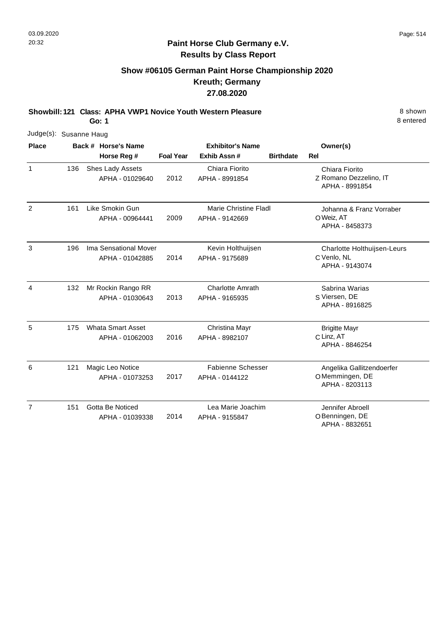## **Show #06105 German Paint Horse Championship 2020 Kreuth; Germany 27.08.2020**

**Showbill: 121 Class: APHA VWP1 Novice Youth Western Pleasure** 8 **Shown** 8 shown

**Go: 1**

|                | Judge(s): Susanne Haug |                                             |                         |                                            |                  |                                                               |  |  |  |  |
|----------------|------------------------|---------------------------------------------|-------------------------|--------------------------------------------|------------------|---------------------------------------------------------------|--|--|--|--|
| <b>Place</b>   |                        | Back # Horse's Name                         | <b>Exhibitor's Name</b> |                                            | Owner(s)         |                                                               |  |  |  |  |
|                |                        | Horse Reg #                                 | <b>Foal Year</b>        | Exhib Assn #                               | <b>Birthdate</b> | <b>Rel</b>                                                    |  |  |  |  |
| $\mathbf{1}$   | 136                    | Shes Lady Assets<br>APHA - 01029640         | 2012                    | Chiara Fiorito<br>APHA - 8991854           |                  | Chiara Fiorito<br>Z Romano Dezzelino, IT<br>APHA - 8991854    |  |  |  |  |
| $\overline{2}$ | 161                    | Like Smokin Gun<br>APHA - 00964441          | 2009                    | Marie Christine Fladl<br>APHA - 9142669    |                  | Johanna & Franz Vorraber<br>O Weiz, AT<br>APHA - 8458373      |  |  |  |  |
| 3              | 196                    | Ima Sensational Mover<br>APHA - 01042885    | 2014                    | Kevin Holthuijsen<br>APHA - 9175689        |                  | Charlotte Holthuijsen-Leurs<br>C Venlo, NL<br>APHA - 9143074  |  |  |  |  |
| 4              | 132                    | Mr Rockin Rango RR<br>APHA - 01030643       | 2013                    | <b>Charlotte Amrath</b><br>APHA - 9165935  |                  | Sabrina Warias<br>S Viersen, DE<br>APHA - 8916825             |  |  |  |  |
| 5              | 175                    | <b>Whata Smart Asset</b><br>APHA - 01062003 | 2016                    | Christina Mayr<br>APHA - 8982107           |                  | <b>Brigitte Mayr</b><br>C Linz, AT<br>APHA - 8846254          |  |  |  |  |
| 6              | 121                    | Magic Leo Notice<br>APHA - 01073253         | 2017                    | <b>Fabienne Schesser</b><br>APHA - 0144122 |                  | Angelika Gallitzendoerfer<br>OMemmingen, DE<br>APHA - 8203113 |  |  |  |  |
| $\overline{7}$ | 151                    | Gotta Be Noticed<br>APHA - 01039338         | 2014                    | Lea Marie Joachim<br>APHA - 9155847        |                  | Jennifer Abroell<br>O Benningen, DE<br>APHA - 8832651         |  |  |  |  |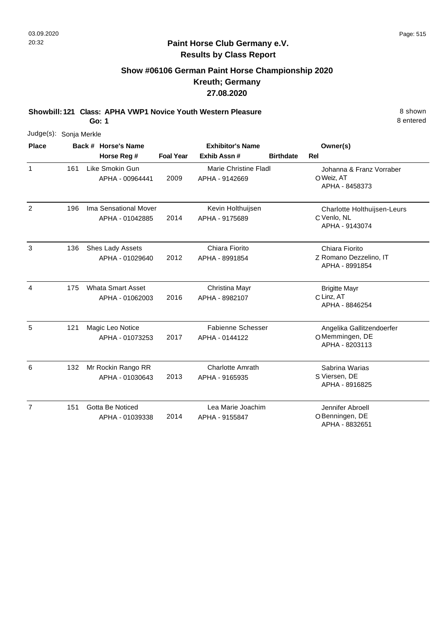### **Paint Horse Club Germany e.V. Results by Class Report**

## **Show #06106 German Paint Horse Championship 2020 Kreuth; Germany 27.08.2020**

**Showbill: 121 Class: APHA VWP1 Novice Youth Western Pleasure** 8 **Shown** 8 shown

|                | Judge(s): Sonja Merkle |  |                                             |                         |                                            |                  |                                                               |  |  |  |
|----------------|------------------------|--|---------------------------------------------|-------------------------|--------------------------------------------|------------------|---------------------------------------------------------------|--|--|--|
| <b>Place</b>   |                        |  | Back # Horse's Name                         | <b>Exhibitor's Name</b> |                                            |                  | Owner(s)                                                      |  |  |  |
|                |                        |  | Horse Reg #                                 | <b>Foal Year</b>        | Exhib Assn #                               | <b>Birthdate</b> | <b>Rel</b>                                                    |  |  |  |
| $\mathbf{1}$   | 161                    |  | Like Smokin Gun<br>APHA - 00964441          | 2009                    | Marie Christine Fladl<br>APHA - 9142669    |                  | Johanna & Franz Vorraber<br>O Weiz, AT<br>APHA - 8458373      |  |  |  |
| $\overline{c}$ | 196                    |  | Ima Sensational Mover<br>APHA - 01042885    | 2014                    | Kevin Holthuijsen<br>APHA - 9175689        |                  | Charlotte Holthuijsen-Leurs<br>C Venlo, NL<br>APHA - 9143074  |  |  |  |
| 3              | 136                    |  | Shes Lady Assets<br>APHA - 01029640         | 2012                    | Chiara Fiorito<br>APHA - 8991854           |                  | Chiara Fiorito<br>Z Romano Dezzelino, IT<br>APHA - 8991854    |  |  |  |
| 4              | 175                    |  | <b>Whata Smart Asset</b><br>APHA - 01062003 | 2016                    | Christina Mayr<br>APHA - 8982107           |                  | <b>Brigitte Mayr</b><br>C Linz, AT<br>APHA - 8846254          |  |  |  |
| 5              | 121                    |  | Magic Leo Notice<br>APHA - 01073253         | 2017                    | <b>Fabienne Schesser</b><br>APHA - 0144122 |                  | Angelika Gallitzendoerfer<br>OMemmingen, DE<br>APHA - 8203113 |  |  |  |
| 6              | 132                    |  | Mr Rockin Rango RR<br>APHA - 01030643       | 2013                    | <b>Charlotte Amrath</b><br>APHA - 9165935  |                  | Sabrina Warias<br>S Viersen, DE<br>APHA - 8916825             |  |  |  |
| $\overline{7}$ | 151                    |  | Gotta Be Noticed<br>APHA - 01039338         | 2014                    | Lea Marie Joachim<br>APHA - 9155847        |                  | Jennifer Abroell<br>O Benningen, DE<br>APHA - 8832651         |  |  |  |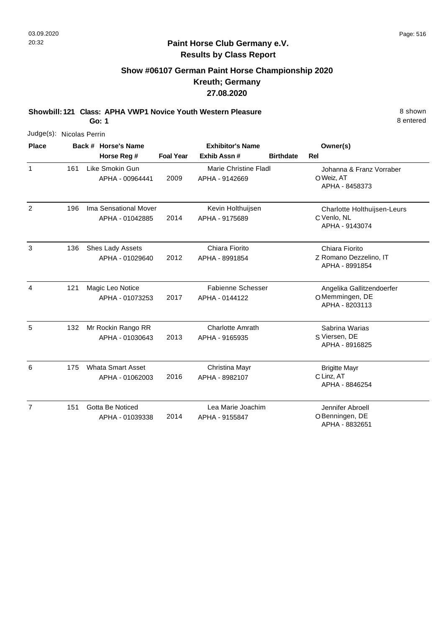## **Paint Horse Club Germany e.V. Results by Class Report**

## **Show #06107 German Paint Horse Championship 2020 Kreuth; Germany 27.08.2020**

**Showbill: 121 Class: APHA VWP1 Novice Youth Western Pleasure** 8 **Shown** 8 shown

|                | Judge(s): Nicolas Perrin |  |                                             |                  |                                                |                  |                                                               |  |  |  |
|----------------|--------------------------|--|---------------------------------------------|------------------|------------------------------------------------|------------------|---------------------------------------------------------------|--|--|--|
| <b>Place</b>   |                          |  | Back # Horse's Name                         |                  | <b>Exhibitor's Name</b>                        |                  | Owner(s)                                                      |  |  |  |
|                |                          |  | Horse Reg #                                 | <b>Foal Year</b> | Exhib Assn #                                   | <b>Birthdate</b> | Rel                                                           |  |  |  |
| $\mathbf{1}$   | 161                      |  | Like Smokin Gun<br>APHA - 00964441          | 2009             | <b>Marie Christine Fladl</b><br>APHA - 9142669 |                  | Johanna & Franz Vorraber<br>O Weiz, AT<br>APHA - 8458373      |  |  |  |
| $\overline{2}$ | 196                      |  | Ima Sensational Mover<br>APHA - 01042885    | 2014             | Kevin Holthuijsen<br>APHA - 9175689            |                  | Charlotte Holthuijsen-Leurs<br>C Venlo, NL<br>APHA - 9143074  |  |  |  |
| 3              | 136                      |  | Shes Lady Assets<br>APHA - 01029640         | 2012             | Chiara Fiorito<br>APHA - 8991854               |                  | Chiara Fiorito<br>Z Romano Dezzelino, IT<br>APHA - 8991854    |  |  |  |
| 4              | 121                      |  | Magic Leo Notice<br>APHA - 01073253         | 2017             | <b>Fabienne Schesser</b><br>APHA - 0144122     |                  | Angelika Gallitzendoerfer<br>OMemmingen, DE<br>APHA - 8203113 |  |  |  |
| 5              | 132                      |  | Mr Rockin Rango RR<br>APHA - 01030643       | 2013             | <b>Charlotte Amrath</b><br>APHA - 9165935      |                  | Sabrina Warias<br>S Viersen, DE<br>APHA - 8916825             |  |  |  |
| 6              | 175                      |  | <b>Whata Smart Asset</b><br>APHA - 01062003 | 2016             | Christina Mayr<br>APHA - 8982107               |                  | <b>Brigitte Mayr</b><br>C Linz, AT<br>APHA - 8846254          |  |  |  |
| $\overline{7}$ | 151                      |  | Gotta Be Noticed<br>APHA - 01039338         | 2014             | Lea Marie Joachim<br>APHA - 9155847            |                  | Jennifer Abroell<br>OBenningen, DE<br>APHA - 8832651          |  |  |  |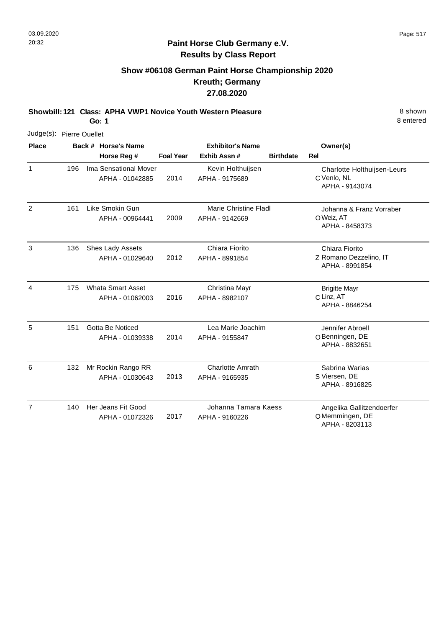## **Show #06108 German Paint Horse Championship 2020 Kreuth; Germany 27.08.2020**

**Showbill: 121 Class: APHA VWP1 Novice Youth Western Pleasure** 8 **Shown** 8 shown **Go: 1**

| Judge(s): Pierre Ouellet |     |  |                                             |                  |                                           |                  |                                                               |  |
|--------------------------|-----|--|---------------------------------------------|------------------|-------------------------------------------|------------------|---------------------------------------------------------------|--|
| <b>Place</b>             |     |  | Back # Horse's Name                         |                  | <b>Exhibitor's Name</b>                   |                  | Owner(s)                                                      |  |
|                          |     |  | Horse Reg #                                 | <b>Foal Year</b> | Exhib Assn#                               | <b>Birthdate</b> | <b>Rel</b>                                                    |  |
| $\mathbf{1}$             | 196 |  | Ima Sensational Mover<br>APHA - 01042885    | 2014             | Kevin Holthuijsen<br>APHA - 9175689       |                  | Charlotte Holthuijsen-Leurs<br>C Venlo, NL<br>APHA - 9143074  |  |
| $\overline{2}$           | 161 |  | Like Smokin Gun<br>APHA - 00964441          | 2009             | Marie Christine Fladl<br>APHA - 9142669   |                  | Johanna & Franz Vorraber<br>O Weiz, AT<br>APHA - 8458373      |  |
| 3                        | 136 |  | Shes Lady Assets<br>APHA - 01029640         | 2012             | Chiara Fiorito<br>APHA - 8991854          |                  | Chiara Fiorito<br>Z Romano Dezzelino, IT<br>APHA - 8991854    |  |
| $\overline{4}$           | 175 |  | <b>Whata Smart Asset</b><br>APHA - 01062003 | 2016             | Christina Mayr<br>APHA - 8982107          |                  | <b>Brigitte Mayr</b><br>C Linz, AT<br>APHA - 8846254          |  |
| 5                        | 151 |  | Gotta Be Noticed<br>APHA - 01039338         | 2014             | Lea Marie Joachim<br>APHA - 9155847       |                  | Jennifer Abroell<br>O Benningen, DE<br>APHA - 8832651         |  |
| 6                        | 132 |  | Mr Rockin Rango RR<br>APHA - 01030643       | 2013             | <b>Charlotte Amrath</b><br>APHA - 9165935 |                  | Sabrina Warias<br>S Viersen, DE<br>APHA - 8916825             |  |
| $\overline{7}$           | 140 |  | Her Jeans Fit Good<br>APHA - 01072326       | 2017             | Johanna Tamara Kaess<br>APHA - 9160226    |                  | Angelika Gallitzendoerfer<br>OMemmingen, DE<br>APHA - 8203113 |  |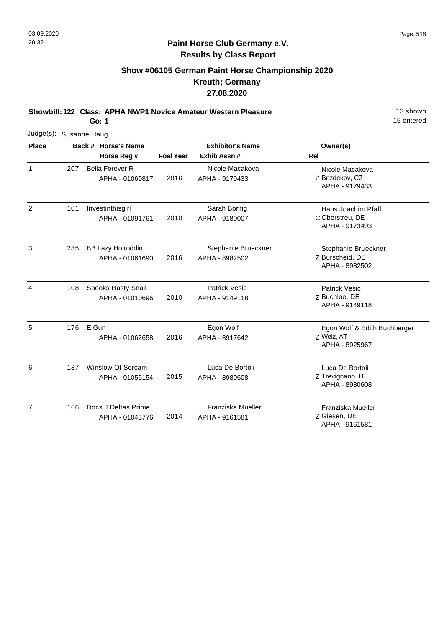## **Show #06105 German Paint Horse Championship 2020 Kreuth; Germany 27.08.2020**

**Showbill: 122 Class: APHA NWP1 Novice Amateur Western Pleasure** 13 Shown

**Go: 1**

| Judge(s): Susanne Haug |     |                                             |                  |                                         |                                                              |
|------------------------|-----|---------------------------------------------|------------------|-----------------------------------------|--------------------------------------------------------------|
| <b>Place</b>           |     | Back # Horse's Name<br>Horse Reg #          | <b>Foal Year</b> | <b>Exhibitor's Name</b><br>Exhib Assn # | Owner(s)<br>Rel                                              |
| $\mathbf{1}$           | 207 | <b>Bella Forever R</b><br>APHA - 01060817   | 2016             | Nicole Macakova<br>APHA - 9179433       | Nicole Macakova<br>Z Bezdekov, CZ<br>APHA - 9179433          |
| 2                      | 101 | Investinthisgirl<br>APHA - 01091761         | 2010             | Sarah Bonfig<br>APHA - 9180007          | Hans Joachim Pfaff<br>C Oberstreu, DE<br>APHA - 9173493      |
| 3                      | 235 | <b>BB Lazy Hotroddin</b><br>APHA - 01061690 | 2016             | Stephanie Brueckner<br>APHA - 8982502   | Stephanie Brueckner<br>Z Burscheid, DE<br>APHA - 8982502     |
| $\overline{4}$         | 108 | Spooks Hasty Snail<br>APHA - 01010696       | 2010             | <b>Patrick Vesic</b><br>APHA - 9149118  | <b>Patrick Vesic</b><br>Z Buchloe, DE<br>APHA - 9149118      |
| 5                      | 176 | E Gun<br>APHA - 01062658                    | 2016             | Egon Wolf<br>APHA - 8917642             | Egon Wolf & Edith Buchberger<br>Z Weiz, AT<br>APHA - 8925967 |
| 6                      | 137 | Winslow Of Sercam<br>APHA - 01055154        | 2015             | Luca De Bortoli<br>APHA - 8980608       | Luca De Bortoli<br>Z Trevignano, IT<br>APHA - 8980608        |
| $\overline{7}$         | 166 | Docs J Deltas Prime<br>APHA - 01043776      | 2014             | Franziska Mueller<br>APHA - 9161581     | Franziska Mueller<br>Z Giesen, DE<br>APHA - 9161581          |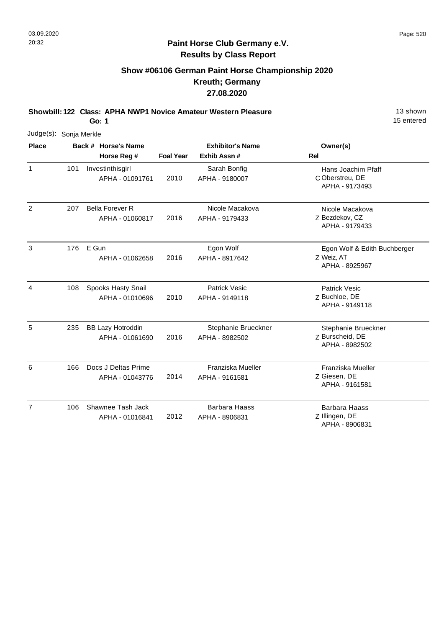## **Show #06106 German Paint Horse Championship 2020 Kreuth; Germany 27.08.2020**

**Showbill: 122 Class: APHA NWP1 Novice Amateur Western Pleasure** 13 Shown

**Go: 1**

| Judge(s): Sonja Merkle |     |                                             |                  |                                        |                                                              |
|------------------------|-----|---------------------------------------------|------------------|----------------------------------------|--------------------------------------------------------------|
| <b>Place</b>           |     | Back # Horse's Name                         |                  | <b>Exhibitor's Name</b>                | Owner(s)                                                     |
|                        |     | Horse Reg #                                 | <b>Foal Year</b> | Exhib Assn #                           | Rel                                                          |
| $\mathbf{1}$           | 101 | Investinthisgirl<br>APHA - 01091761         | 2010             | Sarah Bonfig<br>APHA - 9180007         | Hans Joachim Pfaff<br>C Oberstreu, DE<br>APHA - 9173493      |
| 2                      | 207 | <b>Bella Forever R</b><br>APHA - 01060817   | 2016             | Nicole Macakova<br>APHA - 9179433      | Nicole Macakova<br>Z Bezdekov, CZ<br>APHA - 9179433          |
| 3                      | 176 | E Gun<br>APHA - 01062658                    | 2016             | Egon Wolf<br>APHA - 8917642            | Egon Wolf & Edith Buchberger<br>Z Weiz, AT<br>APHA - 8925967 |
| 4                      | 108 | Spooks Hasty Snail<br>APHA - 01010696       | 2010             | <b>Patrick Vesic</b><br>APHA - 9149118 | <b>Patrick Vesic</b><br>Z Buchloe, DE<br>APHA - 9149118      |
| 5                      | 235 | <b>BB Lazy Hotroddin</b><br>APHA - 01061690 | 2016             | Stephanie Brueckner<br>APHA - 8982502  | Stephanie Brueckner<br>Z Burscheid, DE<br>APHA - 8982502     |
| 6                      | 166 | Docs J Deltas Prime<br>APHA - 01043776      | 2014             | Franziska Mueller<br>APHA - 9161581    | Franziska Mueller<br>Z Giesen, DE<br>APHA - 9161581          |
| $\overline{7}$         | 106 | Shawnee Tash Jack<br>APHA - 01016841        | 2012             | <b>Barbara Haass</b><br>APHA - 8906831 | <b>Barbara Haass</b><br>Z Illingen, DE<br>APHA - 8906831     |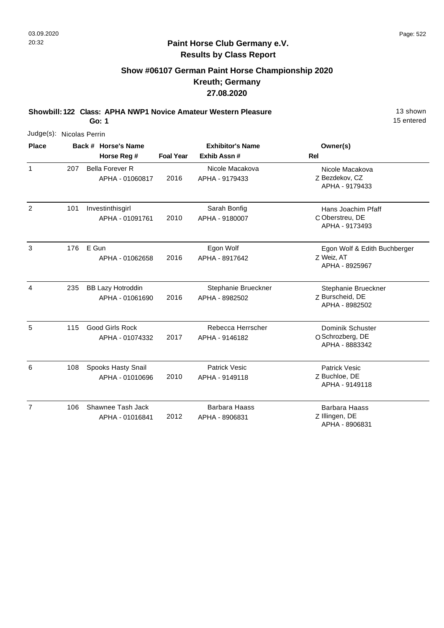## **Show #06107 German Paint Horse Championship 2020 Kreuth; Germany 27.08.2020**

**Showbill: 122 Class: APHA NWP1 Novice Amateur Western Pleasure** 13 Shown

**Go: 1**

|                | Judge(s): Nicolas Perrin |                                             |                  |                                         |                                                              |  |  |  |  |
|----------------|--------------------------|---------------------------------------------|------------------|-----------------------------------------|--------------------------------------------------------------|--|--|--|--|
| <b>Place</b>   |                          | Back # Horse's Name<br>Horse Reg #          | <b>Foal Year</b> | <b>Exhibitor's Name</b><br>Exhib Assn # | Owner(s)<br>Rel                                              |  |  |  |  |
| $\mathbf{1}$   | 207                      | <b>Bella Forever R</b><br>APHA - 01060817   | 2016             | Nicole Macakova<br>APHA - 9179433       | Nicole Macakova<br>Z Bezdekov, CZ<br>APHA - 9179433          |  |  |  |  |
| $\overline{2}$ | 101                      | Investinthisgirl<br>APHA - 01091761         | 2010             | Sarah Bonfig<br>APHA - 9180007          | Hans Joachim Pfaff<br>C Oberstreu, DE<br>APHA - 9173493      |  |  |  |  |
| 3              | 176                      | E Gun<br>APHA - 01062658                    | 2016             | Egon Wolf<br>APHA - 8917642             | Egon Wolf & Edith Buchberger<br>Z Weiz, AT<br>APHA - 8925967 |  |  |  |  |
| $\overline{4}$ | 235                      | <b>BB Lazy Hotroddin</b><br>APHA - 01061690 | 2016             | Stephanie Brueckner<br>APHA - 8982502   | Stephanie Brueckner<br>Z Burscheid, DE<br>APHA - 8982502     |  |  |  |  |
| 5              | 115                      | <b>Good Girls Rock</b><br>APHA - 01074332   | 2017             | Rebecca Herrscher<br>APHA - 9146182     | Dominik Schuster<br>O Schrozberg, DE<br>APHA - 8883342       |  |  |  |  |
| 6              | 108                      | Spooks Hasty Snail<br>APHA - 01010696       | 2010             | <b>Patrick Vesic</b><br>APHA - 9149118  | <b>Patrick Vesic</b><br>Z Buchloe, DE<br>APHA - 9149118      |  |  |  |  |
| $\overline{7}$ | 106                      | Shawnee Tash Jack<br>APHA - 01016841        | 2012             | <b>Barbara Haass</b><br>APHA - 8906831  | <b>Barbara Haass</b><br>Z Illingen, DE<br>APHA - 8906831     |  |  |  |  |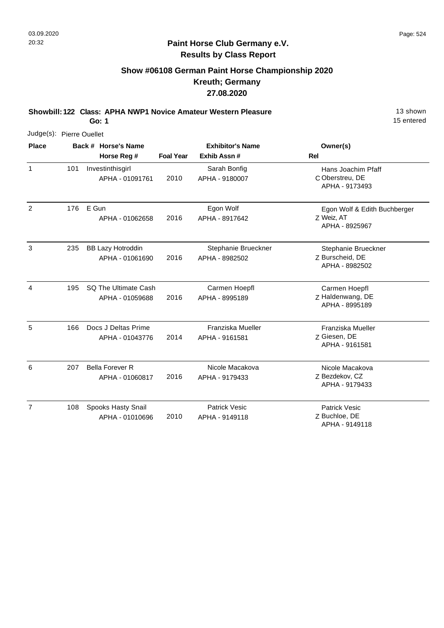## **Show #06108 German Paint Horse Championship 2020 Kreuth; Germany 27.08.2020**

**Showbill: 122 Class: APHA NWP1 Novice Amateur Western Pleasure** 13 Shown

**Go: 1**

|                | Judge(s): Pierre Ouellet |                                             |                         |                                        |                                                              |  |  |  |  |
|----------------|--------------------------|---------------------------------------------|-------------------------|----------------------------------------|--------------------------------------------------------------|--|--|--|--|
| <b>Place</b>   |                          | Back # Horse's Name                         | <b>Exhibitor's Name</b> |                                        | Owner(s)                                                     |  |  |  |  |
|                |                          | Horse Reg #                                 | <b>Foal Year</b>        | Exhib Assn#                            | <b>Rel</b>                                                   |  |  |  |  |
| $\mathbf{1}$   | 101                      | Investinthisgirl<br>APHA - 01091761         | 2010                    | Sarah Bonfig<br>APHA - 9180007         | Hans Joachim Pfaff<br>C Oberstreu, DE<br>APHA - 9173493      |  |  |  |  |
| 2              | 176                      | E Gun<br>APHA - 01062658                    | 2016                    | Egon Wolf<br>APHA - 8917642            | Egon Wolf & Edith Buchberger<br>Z Weiz, AT<br>APHA - 8925967 |  |  |  |  |
| 3              | 235                      | <b>BB Lazy Hotroddin</b><br>APHA - 01061690 | 2016                    | Stephanie Brueckner<br>APHA - 8982502  | Stephanie Brueckner<br>Z Burscheid, DE<br>APHA - 8982502     |  |  |  |  |
| $\overline{4}$ | 195                      | SQ The Ultimate Cash<br>APHA - 01059688     | 2016                    | Carmen Hoepfl<br>APHA - 8995189        | Carmen Hoepfl<br>Z Haldenwang, DE<br>APHA - 8995189          |  |  |  |  |
| 5              | 166                      | Docs J Deltas Prime<br>APHA - 01043776      | 2014                    | Franziska Mueller<br>APHA - 9161581    | Franziska Mueller<br>Z Giesen, DE<br>APHA - 9161581          |  |  |  |  |
| 6              | 207                      | <b>Bella Forever R</b><br>APHA - 01060817   | 2016                    | Nicole Macakova<br>APHA - 9179433      | Nicole Macakova<br>Z Bezdekov, CZ<br>APHA - 9179433          |  |  |  |  |
| $\overline{7}$ | 108                      | Spooks Hasty Snail<br>APHA - 01010696       | 2010                    | <b>Patrick Vesic</b><br>APHA - 9149118 | <b>Patrick Vesic</b><br>Z Buchloe, DE<br>APHA - 9149118      |  |  |  |  |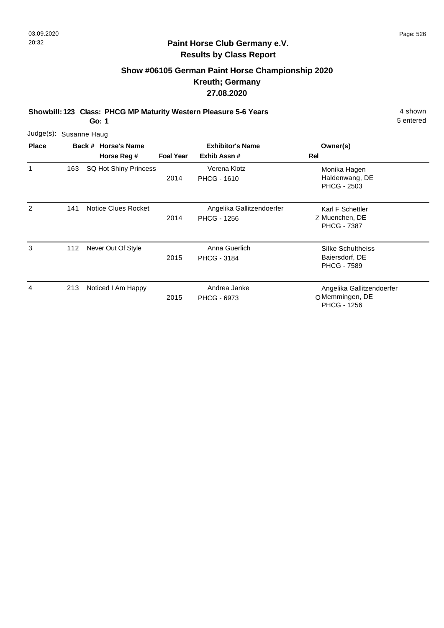# **Show #06105 German Paint Horse Championship 2020 Kreuth; Germany 27.08.2020**

**Showbill: 123 Class: PHCG MP Maturity Western Pleasure 5-6 Years** 4 Shown 4 shown

**Go: 1**

| Judge(s): Susanne Haug |     |                       |                  |                                                 |                                                                    |
|------------------------|-----|-----------------------|------------------|-------------------------------------------------|--------------------------------------------------------------------|
| <b>Place</b>           |     | Back # Horse's Name   |                  | <b>Exhibitor's Name</b>                         | Owner(s)                                                           |
|                        |     | Horse Reg #           | <b>Foal Year</b> | Exhib Assn#                                     | Rel                                                                |
| 1                      | 163 | SQ Hot Shiny Princess | 2014             | Verena Klotz<br><b>PHCG - 1610</b>              | Monika Hagen<br>Haldenwang, DE<br><b>PHCG - 2503</b>               |
| 2                      | 141 | Notice Clues Rocket   | 2014             | Angelika Gallitzendoerfer<br><b>PHCG - 1256</b> | Karl F Schettler<br>Z Muenchen, DE<br><b>PHCG - 7387</b>           |
| 3                      | 112 | Never Out Of Style    | 2015             | Anna Guerlich<br><b>PHCG - 3184</b>             | <b>Silke Schultheiss</b><br>Baiersdorf, DE<br><b>PHCG - 7589</b>   |
| 4                      | 213 | Noticed I Am Happy    | 2015             | Andrea Janke<br><b>PHCG - 6973</b>              | Angelika Gallitzendoerfer<br>O Memmingen, DE<br><b>PHCG - 1256</b> |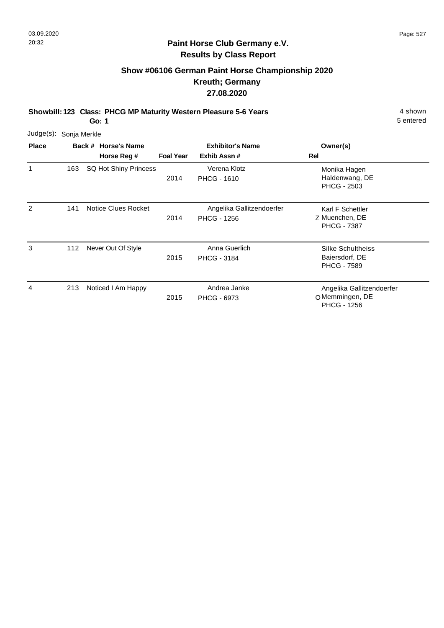# **Show #06106 German Paint Horse Championship 2020 Kreuth; Germany 27.08.2020**

**Showbill: 123 Class: PHCG MP Maturity Western Pleasure 5-6 Years** 4 Shown 4 shown

**Go: 1**

| Judge(s): Sonja Merkle |     |                            |                         |                                                 |                                                                    |
|------------------------|-----|----------------------------|-------------------------|-------------------------------------------------|--------------------------------------------------------------------|
| <b>Place</b>           |     | Back # Horse's Name        | <b>Exhibitor's Name</b> |                                                 | Owner(s)                                                           |
|                        |     | Horse Reg #                | <b>Foal Year</b>        | Exhib Assn#                                     | Rel                                                                |
| 1                      | 163 | SQ Hot Shiny Princess      | 2014                    | Verena Klotz<br><b>PHCG - 1610</b>              | Monika Hagen<br>Haldenwang, DE<br><b>PHCG - 2503</b>               |
| 2                      | 141 | <b>Notice Clues Rocket</b> | 2014                    | Angelika Gallitzendoerfer<br><b>PHCG - 1256</b> | Karl F Schettler<br>Z Muenchen, DE<br><b>PHCG - 7387</b>           |
| 3                      | 112 | Never Out Of Style         | 2015                    | Anna Guerlich<br><b>PHCG - 3184</b>             | Silke Schultheiss<br>Baiersdorf, DE<br><b>PHCG - 7589</b>          |
| 4                      | 213 | Noticed I Am Happy         | 2015                    | Andrea Janke<br><b>PHCG - 6973</b>              | Angelika Gallitzendoerfer<br>O Memmingen, DE<br><b>PHCG - 1256</b> |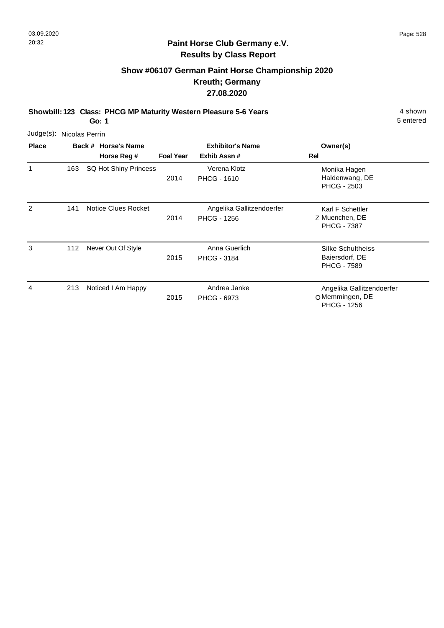# **Show #06107 German Paint Horse Championship 2020 Kreuth; Germany 27.08.2020**

**Showbill: 123 Class: PHCG MP Maturity Western Pleasure 5-6 Years** 4 Shown 4 shown

**Go: 1**

| Judge(s):    |     | Nicolas Perrin                     |                  |                                                 |                                                                   |
|--------------|-----|------------------------------------|------------------|-------------------------------------------------|-------------------------------------------------------------------|
| <b>Place</b> |     | Back # Horse's Name<br>Horse Reg # | <b>Foal Year</b> | <b>Exhibitor's Name</b><br>Exhib Assn#          | Owner(s)<br>Rel                                                   |
| 1            | 163 | SQ Hot Shiny Princess              | 2014             | Verena Klotz<br><b>PHCG - 1610</b>              | Monika Hagen<br>Haldenwang, DE<br><b>PHCG - 2503</b>              |
| 2            | 141 | Notice Clues Rocket                | 2014             | Angelika Gallitzendoerfer<br><b>PHCG - 1256</b> | Karl F Schettler<br>Z Muenchen, DE<br><b>PHCG - 7387</b>          |
| 3            | 112 | Never Out Of Style                 | 2015             | Anna Guerlich<br><b>PHCG - 3184</b>             | <b>Silke Schultheiss</b><br>Baiersdorf, DE<br><b>PHCG - 7589</b>  |
| 4            | 213 | Noticed I Am Happy                 | 2015             | Andrea Janke<br><b>PHCG - 6973</b>              | Angelika Gallitzendoerfer<br>OMemmingen, DE<br><b>PHCG - 1256</b> |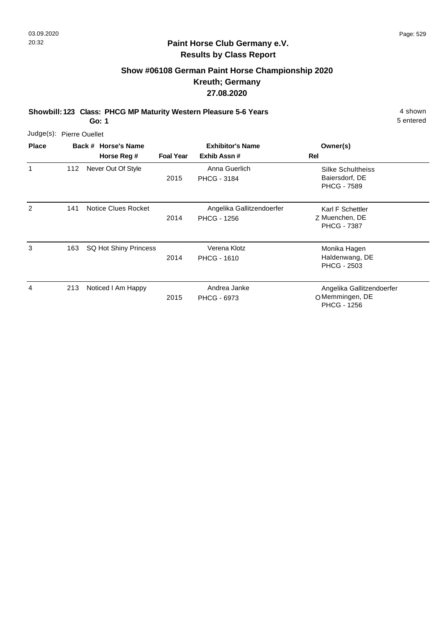# **Show #06108 German Paint Horse Championship 2020 Kreuth; Germany 27.08.2020**

**Showbill: 123 Class: PHCG MP Maturity Western Pleasure 5-6 Years** 4 Shown 4 shown

**Go: 1**

| Judge(s): Pierre Ouellet |     |                                    |                  |                                                 |                                                                    |
|--------------------------|-----|------------------------------------|------------------|-------------------------------------------------|--------------------------------------------------------------------|
| <b>Place</b>             |     | Back # Horse's Name<br>Horse Reg # | <b>Foal Year</b> | <b>Exhibitor's Name</b><br>Exhib Assn#          | Owner(s)<br>Rel                                                    |
| 1                        | 112 | Never Out Of Style                 | 2015             | Anna Guerlich<br><b>PHCG - 3184</b>             | <b>Silke Schultheiss</b><br>Baiersdorf, DE<br><b>PHCG - 7589</b>   |
| 2                        | 141 | Notice Clues Rocket                | 2014             | Angelika Gallitzendoerfer<br><b>PHCG - 1256</b> | Karl F Schettler<br>Z Muenchen, DE<br><b>PHCG - 7387</b>           |
| 3                        | 163 | SQ Hot Shiny Princess              | 2014             | Verena Klotz<br><b>PHCG - 1610</b>              | Monika Hagen<br>Haldenwang, DE<br><b>PHCG - 2503</b>               |
| 4                        | 213 | Noticed I Am Happy                 | 2015             | Andrea Janke<br><b>PHCG - 6973</b>              | Angelika Gallitzendoerfer<br>O Memmingen, DE<br><b>PHCG - 1256</b> |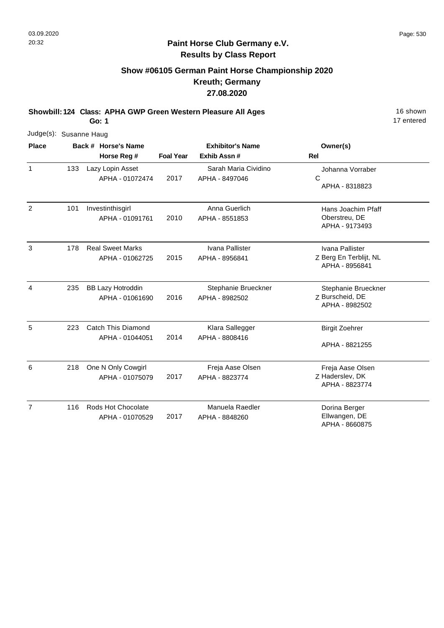## **Paint Horse Club Germany e.V. Results by Class Report**

# **Show #06105 German Paint Horse Championship 2020 Kreuth; Germany 27.08.2020**

**Showbill: 124 Class: APHA GWP Green Western Pleasure All Ages** 16 Shown 16 shown

**Go: 1**

| Judge(s): Susanne Haug |     |                                             |                  |                                        |                                                             |
|------------------------|-----|---------------------------------------------|------------------|----------------------------------------|-------------------------------------------------------------|
| <b>Place</b>           |     | Back # Horse's Name<br>Horse Reg #          | <b>Foal Year</b> | <b>Exhibitor's Name</b><br>Exhib Assn# | Owner(s)<br><b>Rel</b>                                      |
| $\mathbf{1}$           | 133 | Lazy Lopin Asset<br>APHA - 01072474         | 2017             | Sarah Maria Cividino<br>APHA - 8497046 | Johanna Vorraber<br>C<br>APHA - 8318823                     |
| $\overline{2}$         | 101 | Investinthisgirl<br>APHA - 01091761         | 2010             | Anna Guerlich<br>APHA - 8551853        | Hans Joachim Pfaff<br>Oberstreu, DE<br>APHA - 9173493       |
| 3                      | 178 | <b>Real Sweet Marks</b><br>APHA - 01062725  | 2015             | Ivana Pallister<br>APHA - 8956841      | Ivana Pallister<br>Z Berg En Terblijt, NL<br>APHA - 8956841 |
| 4                      | 235 | <b>BB Lazy Hotroddin</b><br>APHA - 01061690 | 2016             | Stephanie Brueckner<br>APHA - 8982502  | Stephanie Brueckner<br>Z Burscheid, DE<br>APHA - 8982502    |
| 5                      | 223 | Catch This Diamond<br>APHA - 01044051       | 2014             | Klara Sallegger<br>APHA - 8808416      | <b>Birgit Zoehrer</b><br>APHA - 8821255                     |
| 6                      | 218 | One N Only Cowgirl<br>APHA - 01075079       | 2017             | Freja Aase Olsen<br>APHA - 8823774     | Freja Aase Olsen<br>Z Haderslev, DK<br>APHA - 8823774       |

|  | 116 Rods Hot Chocolate |      | Manuela Raedler | Dorina Berger                   |
|--|------------------------|------|-----------------|---------------------------------|
|  | APHA - 01070529        | 2017 | APHA - 8848260  | Ellwangen, DE<br>APHA - 8660875 |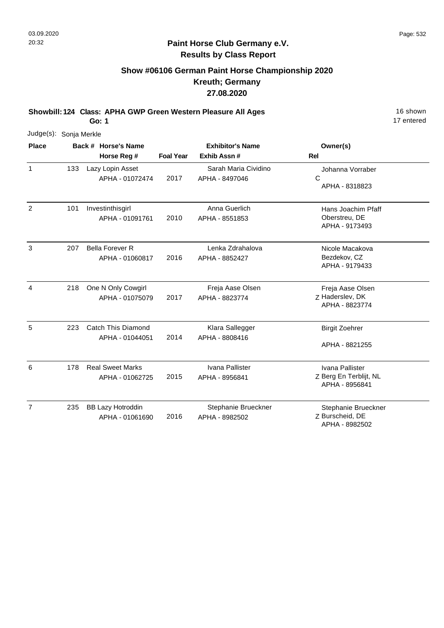# **Show #06106 German Paint Horse Championship 2020 Kreuth; Germany 27.08.2020**

**Showbill: 124 Class: APHA GWP Green Western Pleasure All Ages** 16 Shown

**Go: 1**

| Judge(s): Sonja Merkle |     |                          |                  |                         |                        |
|------------------------|-----|--------------------------|------------------|-------------------------|------------------------|
| <b>Place</b>           |     | Back # Horse's Name      |                  | <b>Exhibitor's Name</b> | Owner(s)               |
|                        |     | Horse Reg #              | <b>Foal Year</b> | Exhib Assn #            | <b>Rel</b>             |
| $\mathbf{1}$           | 133 | Lazy Lopin Asset         |                  | Sarah Maria Cividino    | Johanna Vorraber       |
|                        |     | APHA - 01072474          | 2017             | APHA - 8497046          | $\mathsf{C}$           |
|                        |     |                          |                  |                         | APHA - 8318823         |
| 2                      | 101 | Investinthisgirl         |                  | Anna Guerlich           | Hans Joachim Pfaff     |
|                        |     | APHA - 01091761          | 2010             | APHA - 8551853          | Oberstreu, DE          |
|                        |     |                          |                  |                         | APHA - 9173493         |
| 3                      | 207 | <b>Bella Forever R</b>   |                  | Lenka Zdrahalova        | Nicole Macakova        |
|                        |     | APHA - 01060817          | 2016             | APHA - 8852427          | Bezdekov, CZ           |
|                        |     |                          |                  |                         | APHA - 9179433         |
| 4                      | 218 | One N Only Cowgirl       |                  | Freja Aase Olsen        | Freja Aase Olsen       |
|                        |     | APHA - 01075079          | 2017             | APHA - 8823774          | Z Haderslev, DK        |
|                        |     |                          |                  |                         | APHA - 8823774         |
| 5                      | 223 | Catch This Diamond       |                  | Klara Sallegger         | <b>Birgit Zoehrer</b>  |
|                        |     | APHA - 01044051          | 2014             | APHA - 8808416          |                        |
|                        |     |                          |                  |                         | APHA - 8821255         |
| 6                      | 178 | <b>Real Sweet Marks</b>  |                  | Ivana Pallister         | Ivana Pallister        |
|                        |     | APHA - 01062725          | 2015             | APHA - 8956841          | Z Berg En Terblijt, NL |
|                        |     |                          |                  |                         | APHA - 8956841         |
| $\overline{7}$         | 235 | <b>BB Lazy Hotroddin</b> |                  | Stephanie Brueckner     | Stephanie Brueckner    |
|                        |     | APHA - 01061690          | 2016             | APHA - 8982502          | Z Burscheid, DE        |
|                        |     |                          |                  |                         | APHA - 8982502         |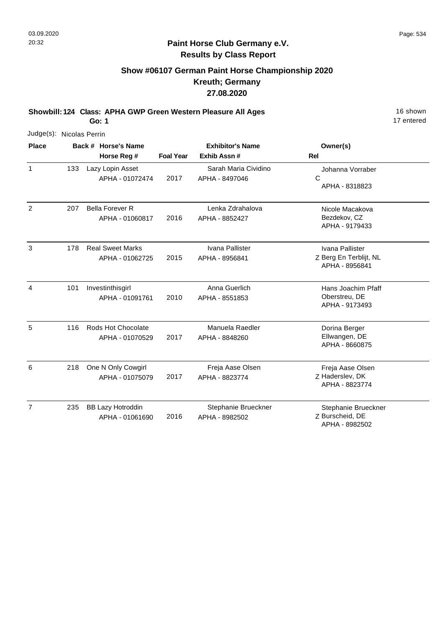## **Paint Horse Club Germany e.V. Results by Class Report**

# **Show #06107 German Paint Horse Championship 2020 Kreuth; Germany 27.08.2020**

**Showbill: 124 Class: APHA GWP Green Western Pleasure All Ages** 16 Shown

| Judge(s): Nicolas Perrin |     |                                             |                  |                                        |                                                             |
|--------------------------|-----|---------------------------------------------|------------------|----------------------------------------|-------------------------------------------------------------|
| <b>Place</b>             |     | Back # Horse's Name                         |                  | <b>Exhibitor's Name</b>                | Owner(s)                                                    |
|                          |     | Horse Reg #                                 | <b>Foal Year</b> | Exhib Assn #                           | <b>Rel</b>                                                  |
| $\mathbf{1}$             | 133 | Lazy Lopin Asset<br>APHA - 01072474         | 2017             | Sarah Maria Cividino<br>APHA - 8497046 | Johanna Vorraber<br>$\mathsf{C}$<br>APHA - 8318823          |
| 2                        | 207 | <b>Bella Forever R</b><br>APHA - 01060817   | 2016             | Lenka Zdrahalova<br>APHA - 8852427     | Nicole Macakova<br>Bezdekov, CZ<br>APHA - 9179433           |
| 3                        | 178 | <b>Real Sweet Marks</b><br>APHA - 01062725  | 2015             | Ivana Pallister<br>APHA - 8956841      | Ivana Pallister<br>Z Berg En Terblijt, NL<br>APHA - 8956841 |
| 4                        | 101 | Investinthisgirl<br>APHA - 01091761         | 2010             | Anna Guerlich<br>APHA - 8551853        | Hans Joachim Pfaff<br>Oberstreu, DE<br>APHA - 9173493       |
| 5                        | 116 | Rods Hot Chocolate<br>APHA - 01070529       | 2017             | Manuela Raedler<br>APHA - 8848260      | Dorina Berger<br>Ellwangen, DE<br>APHA - 8660875            |
| 6                        | 218 | One N Only Cowgirl<br>APHA - 01075079       | 2017             | Freja Aase Olsen<br>APHA - 8823774     | Freja Aase Olsen<br>Z Haderslev, DK<br>APHA - 8823774       |
| $\overline{7}$           | 235 | <b>BB Lazy Hotroddin</b><br>APHA - 01061690 | 2016             | Stephanie Brueckner<br>APHA - 8982502  | Stephanie Brueckner<br>Z Burscheid, DE<br>APHA - 8982502    |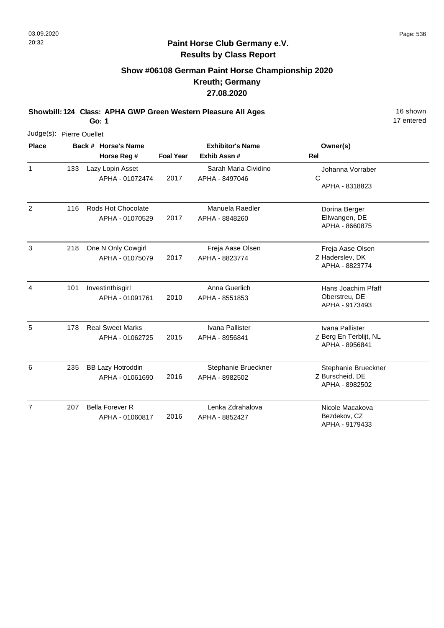## **Paint Horse Club Germany e.V. Results by Class Report**

# **Show #06108 German Paint Horse Championship 2020 Kreuth; Germany 27.08.2020**

**Showbill: 124 Class: APHA GWP Green Western Pleasure All Ages** 16 Shown

| Judge(s): Pierre Ouellet |     |                                             |                  |                                        |                                                             |
|--------------------------|-----|---------------------------------------------|------------------|----------------------------------------|-------------------------------------------------------------|
| <b>Place</b>             |     | Back # Horse's Name                         |                  | <b>Exhibitor's Name</b>                | Owner(s)                                                    |
|                          |     | Horse Reg #                                 | <b>Foal Year</b> | Exhib Assn#                            | <b>Rel</b>                                                  |
| $\mathbf{1}$             | 133 | Lazy Lopin Asset<br>APHA - 01072474         | 2017             | Sarah Maria Cividino<br>APHA - 8497046 | Johanna Vorraber<br>$\mathsf{C}$<br>APHA - 8318823          |
| $\overline{2}$           | 116 | Rods Hot Chocolate<br>APHA - 01070529       | 2017             | Manuela Raedler<br>APHA - 8848260      | Dorina Berger<br>Ellwangen, DE<br>APHA - 8660875            |
| 3                        | 218 | One N Only Cowgirl<br>APHA - 01075079       | 2017             | Freja Aase Olsen<br>APHA - 8823774     | Freja Aase Olsen<br>Z Haderslev, DK<br>APHA - 8823774       |
| 4                        | 101 | Investinthisgirl<br>APHA - 01091761         | 2010             | Anna Guerlich<br>APHA - 8551853        | Hans Joachim Pfaff<br>Oberstreu, DE<br>APHA - 9173493       |
| 5                        | 178 | <b>Real Sweet Marks</b><br>APHA - 01062725  | 2015             | Ivana Pallister<br>APHA - 8956841      | Ivana Pallister<br>Z Berg En Terblijt, NL<br>APHA - 8956841 |
| 6                        | 235 | <b>BB Lazy Hotroddin</b><br>APHA - 01061690 | 2016             | Stephanie Brueckner<br>APHA - 8982502  | Stephanie Brueckner<br>Z Burscheid, DE<br>APHA - 8982502    |
| $\overline{7}$           | 207 | <b>Bella Forever R</b><br>APHA - 01060817   | 2016             | Lenka Zdrahalova<br>APHA - 8852427     | Nicole Macakova<br>Bezdekov, CZ<br>APHA - 9179433           |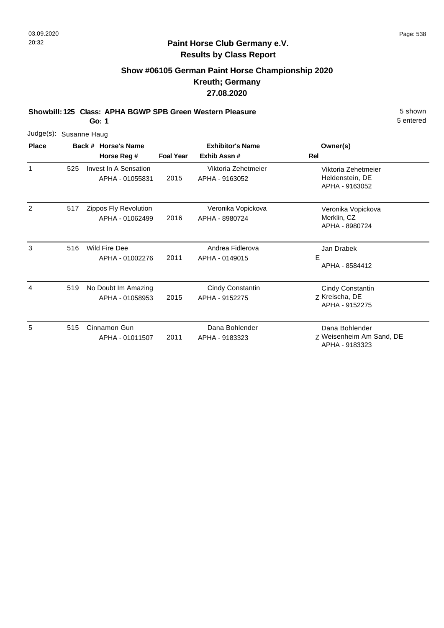## **Paint Horse Club Germany e.V. Results by Class Report**

# **Show #06105 German Paint Horse Championship 2020 Kreuth; Germany 27.08.2020**

**Showbill: 125 Class: APHA BGWP SPB Green Western Pleasure** 5 Shown 5 shown

| Judge(s): Susanne Haug |     |                                          |                                               |                                                          |                                                              |
|------------------------|-----|------------------------------------------|-----------------------------------------------|----------------------------------------------------------|--------------------------------------------------------------|
| <b>Place</b>           |     | Back # Horse's Name<br>Horse Reg #       | <b>Foal Year</b>                              | <b>Exhibitor's Name</b><br>Exhib Assn#                   | Owner(s)<br>Rel                                              |
| 1                      | 525 | Invest In A Sensation<br>APHA - 01055831 | Viktoria Zehetmeier<br>2015<br>APHA - 9163052 | Viktoria Zehetmeier<br>Heldenstein, DE<br>APHA - 9163052 |                                                              |
| 2                      | 517 | Zippos Fly Revolution<br>APHA - 01062499 | 2016                                          | Veronika Vopickova<br>APHA - 8980724                     | Veronika Vopickova<br>Merklin, CZ<br>APHA - 8980724          |
| 3                      | 516 | Wild Fire Dee<br>APHA - 01002276         | 2011                                          | Andrea Fidlerova<br>APHA - 0149015                       | Jan Drabek<br>E<br>APHA - 8584412                            |
| 4                      | 519 | No Doubt Im Amazing<br>APHA - 01058953   | 2015                                          | <b>Cindy Constantin</b><br>APHA - 9152275                | Cindy Constantin<br>Z Kreischa, DE<br>APHA - 9152275         |
| 5                      | 515 | Cinnamon Gun<br>APHA - 01011507          | 2011                                          | Dana Bohlender<br>APHA - 9183323                         | Dana Bohlender<br>Z Weisenheim Am Sand, DE<br>APHA - 9183323 |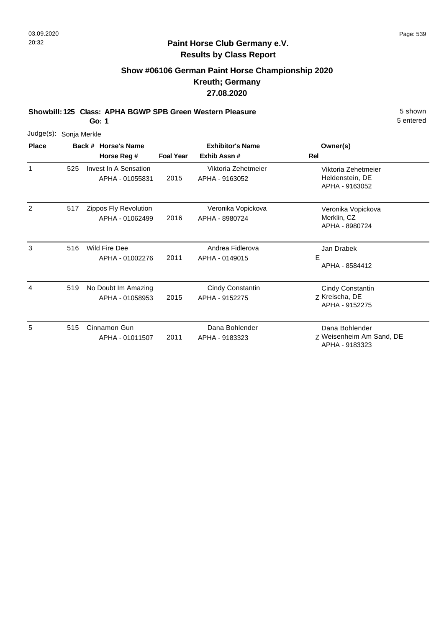# **Show #06106 German Paint Horse Championship 2020 Kreuth; Germany 27.08.2020**

**Showbill: 125 Class: APHA BGWP SPB Green Western Pleasure** 5 Shown 5 shown

**Go: 1**

| Judge(s):    | Sonja Merkle |                                          |                  |                                        |                                                              |
|--------------|--------------|------------------------------------------|------------------|----------------------------------------|--------------------------------------------------------------|
| <b>Place</b> |              | Back # Horse's Name<br>Horse Reg #       | <b>Foal Year</b> | <b>Exhibitor's Name</b><br>Exhib Assn# | Owner(s)<br>Rel                                              |
| 1            | 525          | Invest In A Sensation<br>APHA - 01055831 | 2015             | Viktoria Zehetmeier<br>APHA - 9163052  | Viktoria Zehetmeier<br>Heldenstein, DE<br>APHA - 9163052     |
| 2            | 517          | Zippos Fly Revolution<br>APHA - 01062499 | 2016             | Veronika Vopickova<br>APHA - 8980724   | Veronika Vopickova<br>Merklin, CZ<br>APHA - 8980724          |
| 3            | 516          | Wild Fire Dee<br>APHA - 01002276         | 2011             | Andrea Fidlerova<br>APHA - 0149015     | Jan Drabek<br>Е<br>APHA - 8584412                            |
| 4            | 519          | No Doubt Im Amazing<br>APHA - 01058953   | 2015             | Cindy Constantin<br>APHA - 9152275     | Cindy Constantin<br>Z Kreischa, DE<br>APHA - 9152275         |
| 5            | 515          | Cinnamon Gun<br>APHA - 01011507          | 2011             | Dana Bohlender<br>APHA - 9183323       | Dana Bohlender<br>Z Weisenheim Am Sand, DE<br>APHA - 9183323 |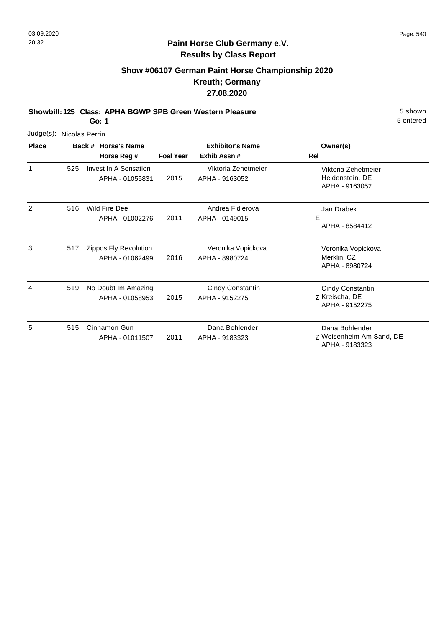# **Show #06107 German Paint Horse Championship 2020 Kreuth; Germany 27.08.2020**

**Showbill: 125 Class: APHA BGWP SPB Green Western Pleasure** 5 Shown 5 shown

**Go: 1**

| Judge(s): Nicolas Perrin |     |                                          |                  |                                        |                                                              |
|--------------------------|-----|------------------------------------------|------------------|----------------------------------------|--------------------------------------------------------------|
| <b>Place</b>             |     | Back # Horse's Name<br>Horse Reg #       | <b>Foal Year</b> | <b>Exhibitor's Name</b><br>Exhib Assn# | Owner(s)<br>Rel                                              |
| 1                        | 525 | Invest In A Sensation<br>APHA - 01055831 | 2015             | Viktoria Zehetmeier<br>APHA - 9163052  | Viktoria Zehetmeier<br>Heldenstein, DE<br>APHA - 9163052     |
| 2                        | 516 | Wild Fire Dee<br>APHA - 01002276         | 2011             | Andrea Fidlerova<br>APHA - 0149015     | Jan Drabek<br>Е<br>APHA - 8584412                            |
| 3                        | 517 | Zippos Fly Revolution<br>APHA - 01062499 | 2016             | Veronika Vopickova<br>APHA - 8980724   | Veronika Vopickova<br>Merklin, CZ<br>APHA - 8980724          |
| 4                        | 519 | No Doubt Im Amazing<br>APHA - 01058953   | 2015             | Cindy Constantin<br>APHA - 9152275     | Cindy Constantin<br>Z Kreischa, DE<br>APHA - 9152275         |
| 5                        | 515 | Cinnamon Gun<br>APHA - 01011507          | 2011             | Dana Bohlender<br>APHA - 9183323       | Dana Bohlender<br>Z Weisenheim Am Sand, DE<br>APHA - 9183323 |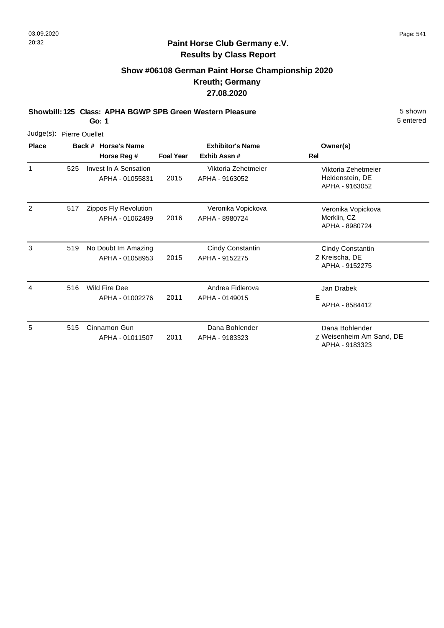## **Paint Horse Club Germany e.V. Results by Class Report**

# **Show #06108 German Paint Horse Championship 2020 Kreuth; Germany 27.08.2020**

**Showbill: 125 Class: APHA BGWP SPB Green Western Pleasure** 5 Shown 5 shown

| Judge(s): Pierre Ouellet |     |                                          |                  |                                           |                                                              |
|--------------------------|-----|------------------------------------------|------------------|-------------------------------------------|--------------------------------------------------------------|
| <b>Place</b>             |     | Back # Horse's Name<br>Horse Reg #       | <b>Foal Year</b> | <b>Exhibitor's Name</b><br>Exhib Assn#    | Owner(s)<br>Rel                                              |
| 1                        | 525 | Invest In A Sensation<br>APHA - 01055831 | 2015             | Viktoria Zehetmeier<br>APHA - 9163052     | Viktoria Zehetmeier<br>Heldenstein, DE<br>APHA - 9163052     |
| 2                        | 517 | Zippos Fly Revolution<br>APHA - 01062499 | 2016             | Veronika Vopickova<br>APHA - 8980724      | Veronika Vopickova<br>Merklin, CZ<br>APHA - 8980724          |
| 3                        | 519 | No Doubt Im Amazing<br>APHA - 01058953   | 2015             | <b>Cindy Constantin</b><br>APHA - 9152275 | Cindy Constantin<br>Z Kreischa, DE<br>APHA - 9152275         |
| 4                        | 516 | Wild Fire Dee<br>APHA - 01002276         | 2011             | Andrea Fidlerova<br>APHA - 0149015        | Jan Drabek<br>E<br>APHA - 8584412                            |
| 5                        | 515 | Cinnamon Gun<br>APHA - 01011507          | 2011             | Dana Bohlender<br>APHA - 9183323          | Dana Bohlender<br>Z Weisenheim Am Sand, DE<br>APHA - 9183323 |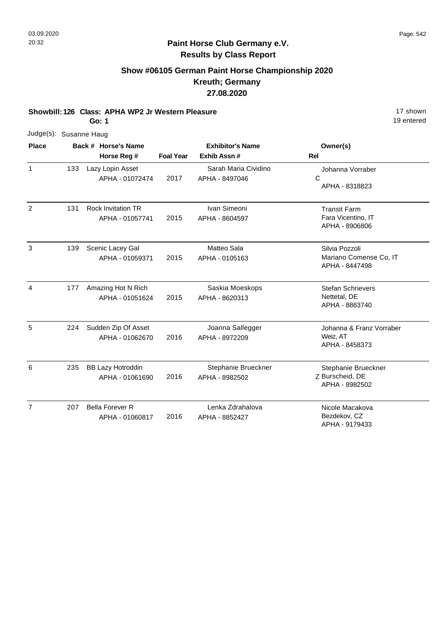# **Show #06105 German Paint Horse Championship 2020 Kreuth; Germany 27.08.2020**

**Showbill: 126 Class: APHA WP2 Jr Western Pleasure** 17 Shown

**Go: 1**

| <b>Place</b> |                        | Back # Horse's Na |
|--------------|------------------------|-------------------|
|              | Judge(s): Susanne Haug |                   |

| <b>Place</b>   |     | Back # Horse's Name                          |                  | <b>Exhibitor's Name</b>                | Owner(s)                                                    |
|----------------|-----|----------------------------------------------|------------------|----------------------------------------|-------------------------------------------------------------|
|                |     | Horse Reg #                                  | <b>Foal Year</b> | Exhib Assn#                            | Rel                                                         |
| $\mathbf{1}$   | 133 | Lazy Lopin Asset<br>APHA - 01072474          | 2017             | Sarah Maria Cividino<br>APHA - 8497046 | Johanna Vorraber<br>C<br>APHA - 8318823                     |
| 2              | 131 | <b>Rock Invitation TR</b><br>APHA - 01057741 | 2015             | Ivan Simeoni<br>APHA - 8604597         | <b>Transit Farm</b><br>Fara Vicentino, IT<br>APHA - 8906806 |
| $\mathbf{3}$   | 139 | Scenic Lacey Gal<br>APHA - 01059371          | 2015             | Matteo Sala<br>APHA - 0105163          | Silvia Pozzoli<br>Mariano Comense Co, IT<br>APHA - 8447498  |
| $\overline{4}$ | 177 | Amazing Hot N Rich<br>APHA - 01051624        | 2015             | Saskia Moeskops<br>APHA - 8620313      | <b>Stefan Schrievers</b><br>Nettetal, DE<br>APHA - 8863740  |
| 5              | 224 | Sudden Zip Of Asset<br>APHA - 01062670       | 2016             | Joanna Sallegger<br>APHA - 8972209     | Johanna & Franz Vorraber<br>Weiz, AT<br>APHA - 8458373      |
| 6              | 235 | <b>BB Lazy Hotroddin</b><br>APHA - 01061690  | 2016             | Stephanie Brueckner<br>APHA - 8982502  | Stephanie Brueckner<br>Z Burscheid, DE<br>APHA - 8982502    |
| $\overline{7}$ | 207 | <b>Bella Forever R</b><br>APHA - 01060817    | 2016             | Lenka Zdrahalova<br>APHA - 8852427     | Nicole Macakova<br>Bezdekov, CZ<br>APHA - 9179433           |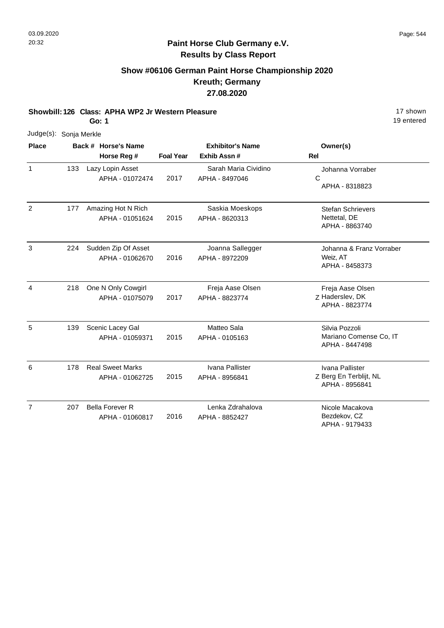# **Show #06106 German Paint Horse Championship 2020 Kreuth; Germany 27.08.2020**

**Showbill: 126 Class: APHA WP2 Jr Western Pleasure** 17 Shown

**Go: 1**

|              | Judge(s): Sonja Merkle                       |           |                         |          |
|--------------|----------------------------------------------|-----------|-------------------------|----------|
| <b>Place</b> | Back # Horse's Name                          |           | <b>Exhibitor's Name</b> | Owner(s) |
|              | $H$ <sub>arg</sub> $R$ $D$ <sub>am</sub> $#$ | Eagl Vasr | Evhih Acon #            | וגם      |

|                |     | Horse Reg #                                | <b>Foal Year</b> | Exhib Assn #                           | <b>Rel</b>                                                  |
|----------------|-----|--------------------------------------------|------------------|----------------------------------------|-------------------------------------------------------------|
| $\mathbf{1}$   | 133 | Lazy Lopin Asset<br>APHA - 01072474        | 2017             | Sarah Maria Cividino<br>APHA - 8497046 | Johanna Vorraber<br>C<br>APHA - 8318823                     |
| $\overline{2}$ | 177 | Amazing Hot N Rich<br>APHA - 01051624      | 2015             | Saskia Moeskops<br>APHA - 8620313      | <b>Stefan Schrievers</b><br>Nettetal, DE<br>APHA - 8863740  |
| 3              | 224 | Sudden Zip Of Asset<br>APHA - 01062670     | 2016             | Joanna Sallegger<br>APHA - 8972209     | Johanna & Franz Vorraber<br>Weiz, AT<br>APHA - 8458373      |
| 4              | 218 | One N Only Cowgirl<br>APHA - 01075079      | 2017             | Freja Aase Olsen<br>APHA - 8823774     | Freja Aase Olsen<br>Z Haderslev, DK<br>APHA - 8823774       |
| 5              | 139 | Scenic Lacey Gal<br>APHA - 01059371        | 2015             | Matteo Sala<br>APHA - 0105163          | Silvia Pozzoli<br>Mariano Comense Co, IT<br>APHA - 8447498  |
| 6              | 178 | <b>Real Sweet Marks</b><br>APHA - 01062725 | 2015             | Ivana Pallister<br>APHA - 8956841      | Ivana Pallister<br>Z Berg En Terblijt, NL<br>APHA - 8956841 |
| $\overline{7}$ | 207 | <b>Bella Forever R</b><br>APHA - 01060817  | 2016             | Lenka Zdrahalova<br>APHA - 8852427     | Nicole Macakova<br>Bezdekov, CZ<br>APHA - 9179433           |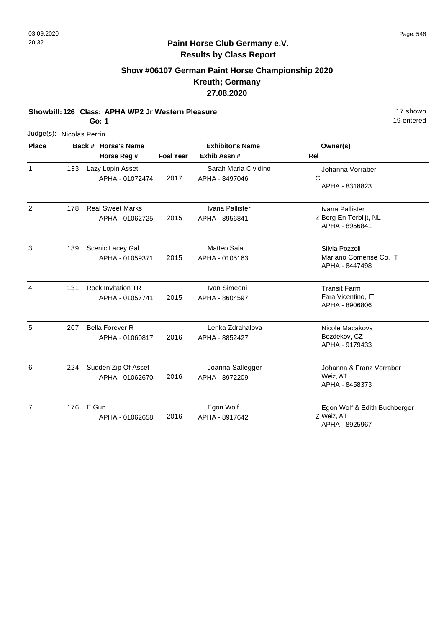### **Paint Horse Club Germany e.V. Results by Class Report**

# **Show #06107 German Paint Horse Championship 2020 Kreuth; Germany 27.08.2020**

**Showbill: 126 Class: APHA WP2 Jr Western Pleasure** 17 Shown

**Go: 1**

19 entered

| ו טט                     |     |       |                                              |                         |                                        | יט טוונטוט                                                  |  |  |
|--------------------------|-----|-------|----------------------------------------------|-------------------------|----------------------------------------|-------------------------------------------------------------|--|--|
| Judge(s): Nicolas Perrin |     |       |                                              |                         |                                        |                                                             |  |  |
| <b>Place</b>             |     |       | Back # Horse's Name                          | <b>Exhibitor's Name</b> |                                        | Owner(s)                                                    |  |  |
|                          |     |       | Horse Reg #                                  | <b>Foal Year</b>        | Exhib Assn#                            | Rel                                                         |  |  |
| 1                        | 133 |       | Lazy Lopin Asset<br>APHA - 01072474          | 2017                    | Sarah Maria Cividino<br>APHA - 8497046 | Johanna Vorraber<br>C<br>APHA - 8318823                     |  |  |
| 2                        | 178 |       | <b>Real Sweet Marks</b><br>APHA - 01062725   | 2015                    | Ivana Pallister<br>APHA - 8956841      | Ivana Pallister<br>Z Berg En Terblijt, NL<br>APHA - 8956841 |  |  |
| 3                        | 139 |       | Scenic Lacey Gal<br>APHA - 01059371          | 2015                    | Matteo Sala<br>APHA - 0105163          | Silvia Pozzoli<br>Mariano Comense Co, IT<br>APHA - 8447498  |  |  |
| 4                        | 131 |       | <b>Rock Invitation TR</b><br>APHA - 01057741 | 2015                    | Ivan Simeoni<br>APHA - 8604597         | <b>Transit Farm</b><br>Fara Vicentino, IT<br>APHA - 8906806 |  |  |
| 5                        | 207 |       | <b>Bella Forever R</b><br>APHA - 01060817    | 2016                    | Lenka Zdrahalova<br>APHA - 8852427     | Nicole Macakova<br>Bezdekov, CZ<br>APHA - 9179433           |  |  |
| 6                        | 224 |       | Sudden Zip Of Asset<br>APHA - 01062670       | 2016                    | Joanna Sallegger<br>APHA - 8972209     | Johanna & Franz Vorraber<br>Weiz, AT<br>APHA - 8458373      |  |  |
| 7                        | 176 | E Gun | APHA - 01062658                              | 2016                    | Egon Wolf<br>APHA - 8917642            | Egon Wolf & Edith Buchberger<br>Z Weiz, AT                  |  |  |

APHA - 8925967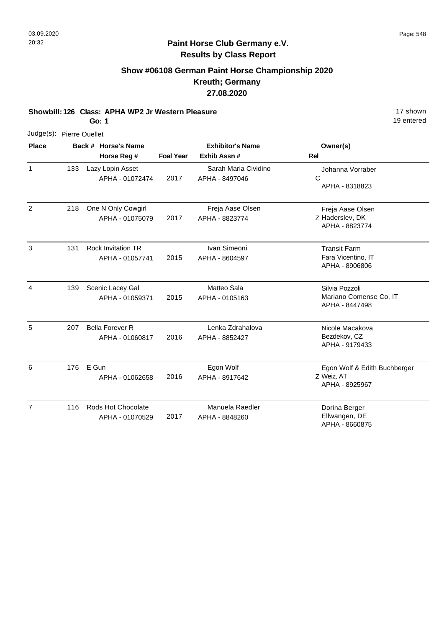# **Show #06108 German Paint Horse Championship 2020 Kreuth; Germany 27.08.2020**

**Showbill: 126 Class: APHA WP2 Jr Western Pleasure** 17 Shown

**Go: 1**

| $Judge(s)$ : |     | <b>Pierre Ouellet</b>                        |                  |                                        |                                                             |
|--------------|-----|----------------------------------------------|------------------|----------------------------------------|-------------------------------------------------------------|
| <b>Place</b> |     | Back # Horse's Name<br>Horse Reg #           | <b>Foal Year</b> | <b>Exhibitor's Name</b><br>Exhib Assn# | Owner(s)<br>Rel                                             |
| $\mathbf{1}$ | 133 | Lazy Lopin Asset<br>APHA - 01072474          | 2017             | Sarah Maria Cividino<br>APHA - 8497046 | Johanna Vorraber<br>С<br>APHA - 8318823                     |
| 2            | 218 | One N Only Cowgirl<br>APHA - 01075079        | 2017             | Freja Aase Olsen<br>APHA - 8823774     | Freja Aase Olsen<br>Z Haderslev, DK<br>APHA - 8823774       |
| 3            | 131 | <b>Rock Invitation TR</b><br>APHA - 01057741 | 2015             | Ivan Simeoni<br>APHA - 8604597         | <b>Transit Farm</b><br>Fara Vicentino, IT<br>APHA - 8906806 |
| 4            | 139 | Scenic Lacey Gal<br>APHA - 01059371          | 2015             | Matteo Sala<br>APHA - 0105163          | Silvia Pozzoli<br>Mariano Comense Co, IT<br>APHA - 8447498  |
| 5            | 207 | <b>Bella Forever R</b><br>APHA - 01060817    | 2016             | Lenka Zdrahalova<br>APHA - 8852427     | Nicole Macakova<br>Bezdekov, CZ<br>APHA - 9179433           |

| 6 | 176 | E Gun<br>APHA - 01062658 | 2016 | Egon Wolf<br>APHA - 8917642 | Egon Wolf & Edith Buchberger<br>Z Weiz, AT<br>APHA - 8925967 |
|---|-----|--------------------------|------|-----------------------------|--------------------------------------------------------------|
|   | 116 | Rods Hot Chocolate       |      | Manuela Raedler             | Dorina Berger                                                |
|   |     | APHA - 01070529          | 2017 | APHA - 8848260              | Ellwangen, DE<br>APHA - 8660875                              |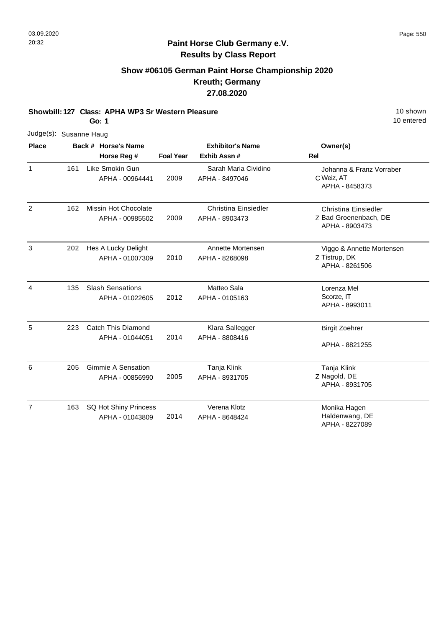# **Paint Horse Club Germany e.V. Results by Class Report**

# **Show #06105 German Paint Horse Championship 2020 Kreuth; Germany 27.08.2020**

**Showbill: 127 Class: APHA WP3 Sr Western Pleasure** 10 Shown

|                        |     | Go: 1                                           |                  |                                         | 10 entered                                                      |
|------------------------|-----|-------------------------------------------------|------------------|-----------------------------------------|-----------------------------------------------------------------|
| Judge(s): Susanne Haug |     |                                                 |                  |                                         |                                                                 |
| <b>Place</b>           |     | Back # Horse's Name<br>Horse Reg #              | <b>Foal Year</b> | <b>Exhibitor's Name</b><br>Exhib Assn # | Owner(s)<br><b>Rel</b>                                          |
| $\mathbf{1}$           | 161 | Like Smokin Gun<br>APHA - 00964441              | 2009             | Sarah Maria Cividino<br>APHA - 8497046  | Johanna & Franz Vorraber<br>C Weiz, AT<br>APHA - 8458373        |
| $\overline{2}$         | 162 | Missin Hot Chocolate<br>APHA - 00985502         | 2009             | Christina Einsiedler<br>APHA - 8903473  | Christina Einsiedler<br>Z Bad Groenenbach, DE<br>APHA - 8903473 |
| 3                      | 202 | Hes A Lucky Delight<br>APHA - 01007309          | 2010             | Annette Mortensen<br>APHA - 8268098     | Viggo & Annette Mortensen<br>Z Tistrup, DK<br>APHA - 8261506    |
| $\overline{4}$         | 135 | <b>Slash Sensations</b><br>APHA - 01022605      | 2012             | Matteo Sala<br>APHA - 0105163           | Lorenza Mel<br>Scorze, IT<br>APHA - 8993011                     |
| 5                      | 223 | Catch This Diamond<br>APHA - 01044051           | 2014             | Klara Sallegger<br>APHA - 8808416       | <b>Birgit Zoehrer</b><br>APHA - 8821255                         |
| 6                      | 205 | <b>Gimmie A Sensation</b><br>APHA - 00856990    | 2005             | Tanja Klink<br>APHA - 8931705           | Tanja Klink<br>Z Nagold, DE<br>APHA - 8931705                   |
| $\overline{7}$         | 163 | <b>SQ Hot Shiny Princess</b><br>APHA - 01043809 | 2014             | Verena Klotz<br>APHA - 8648424          | Monika Hagen<br>Haldenwang, DE<br>APHA - 8227089                |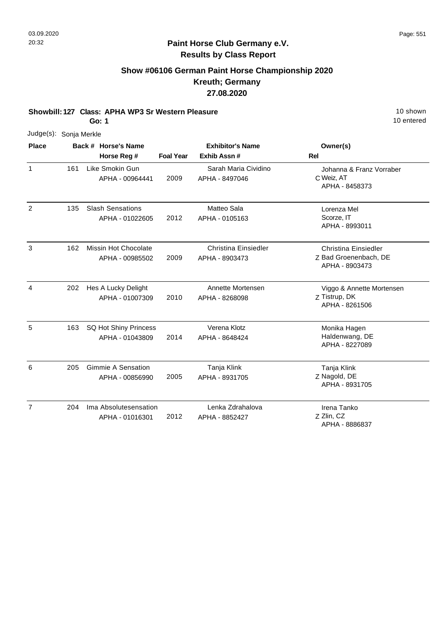# **Show #06106 German Paint Horse Championship 2020 Kreuth; Germany 27.08.2020**

**Showbill: 127 Class: APHA WP3 Sr Western Pleasure** 10 **Shown** 10 shown

**Go: 1**

| Judge(s): Sonja Merkle |     |                                              |                  |                                               |                                                                 |
|------------------------|-----|----------------------------------------------|------------------|-----------------------------------------------|-----------------------------------------------------------------|
| <b>Place</b>           |     | Back # Horse's Name<br>Horse Reg #           | <b>Foal Year</b> | <b>Exhibitor's Name</b><br>Exhib Assn#        | Owner(s)<br>Rel                                                 |
| 1                      | 161 | Like Smokin Gun<br>APHA - 00964441           | 2009             | Sarah Maria Cividino<br>APHA - 8497046        | Johanna & Franz Vorraber<br>C Weiz, AT<br>APHA - 8458373        |
| $\overline{2}$         | 135 | <b>Slash Sensations</b><br>APHA - 01022605   | 2012             | Matteo Sala<br>APHA - 0105163                 | Lorenza Mel<br>Scorze, IT<br>APHA - 8993011                     |
| 3                      | 162 | Missin Hot Chocolate<br>APHA - 00985502      | 2009             | <b>Christina Einsiedler</b><br>APHA - 8903473 | Christina Einsiedler<br>Z Bad Groenenbach, DE<br>APHA - 8903473 |
| 4                      | 202 | Hes A Lucky Delight<br>APHA - 01007309       | 2010             | Annette Mortensen<br>APHA - 8268098           | Viggo & Annette Mortensen<br>Z Tistrup, DK<br>APHA - 8261506    |
| 5                      | 163 | SQ Hot Shiny Princess<br>APHA - 01043809     | 2014             | Verena Klotz<br>APHA - 8648424                | Monika Hagen<br>Haldenwang, DE<br>APHA - 8227089                |
| 6                      | 205 | <b>Gimmie A Sensation</b><br>APHA - 00856990 | 2005             | Tanja Klink<br>APHA - 8931705                 | Tanja Klink<br>Z Nagold, DE<br>APHA - 8931705                   |
| $\overline{7}$         | 204 | Ima Absolutesensation<br>APHA - 01016301     | 2012             | Lenka Zdrahalova<br>APHA - 8852427            | Irena Tanko<br>Z Zlin, CZ<br>APHA - 8886837                     |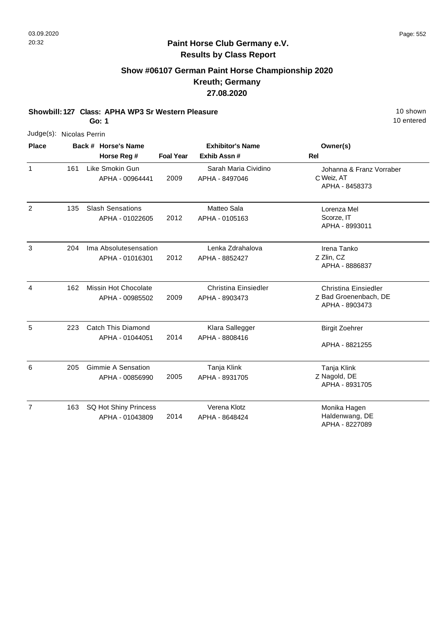# **Show #06107 German Paint Horse Championship 2020 Kreuth; Germany 27.08.2020**

**Showbill: 127 Class: APHA WP3 Sr Western Pleasure** 10 Shown

**Go: 1**

| Judge(s): Nicolas Perrin |     |                                              |                  |                                        |                                                                        |
|--------------------------|-----|----------------------------------------------|------------------|----------------------------------------|------------------------------------------------------------------------|
| <b>Place</b>             |     | Back # Horse's Name                          |                  | <b>Exhibitor's Name</b>                | Owner(s)                                                               |
|                          |     | Horse Reg #                                  | <b>Foal Year</b> | Exhib Assn #                           | Rel                                                                    |
| $\mathbf{1}$             | 161 | Like Smokin Gun<br>APHA - 00964441           | 2009             | Sarah Maria Cividino<br>APHA - 8497046 | Johanna & Franz Vorraber<br>C Weiz, AT<br>APHA - 8458373               |
| 2                        | 135 | <b>Slash Sensations</b><br>APHA - 01022605   | 2012             | Matteo Sala<br>APHA - 0105163          | Lorenza Mel<br>Scorze, IT<br>APHA - 8993011                            |
| 3                        | 204 | Ima Absolutesensation<br>APHA - 01016301     | 2012             | Lenka Zdrahalova<br>APHA - 8852427     | Irena Tanko<br>Z Zlin, CZ<br>APHA - 8886837                            |
| $\overline{4}$           | 162 | Missin Hot Chocolate<br>APHA - 00985502      | 2009             | Christina Einsiedler<br>APHA - 8903473 | <b>Christina Einsiedler</b><br>Z Bad Groenenbach, DE<br>APHA - 8903473 |
| 5                        | 223 | <b>Catch This Diamond</b><br>APHA - 01044051 | 2014             | Klara Sallegger<br>APHA - 8808416      | <b>Birgit Zoehrer</b><br>APHA - 8821255                                |
| 6                        | 205 | <b>Gimmie A Sensation</b><br>APHA - 00856990 | 2005             | Tanja Klink<br>APHA - 8931705          | Tanja Klink<br>Z Nagold, DE<br>APHA - 8931705                          |
| $\overline{7}$           | 163 | SQ Hot Shiny Princess<br>APHA - 01043809     | 2014             | Verena Klotz<br>APHA - 8648424         | Monika Hagen<br>Haldenwang, DE<br>APHA - 8227089                       |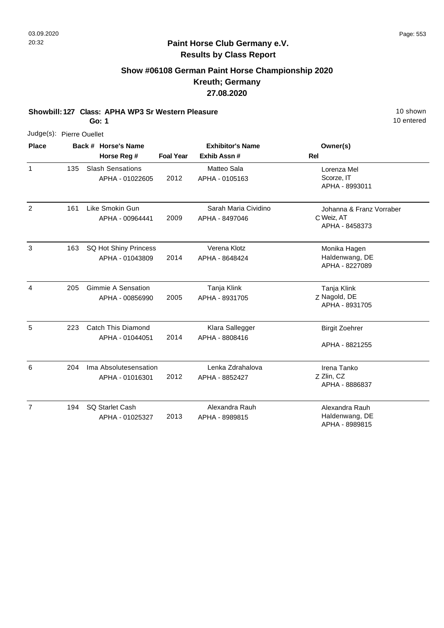# **Show #06108 German Paint Horse Championship 2020 Kreuth; Germany 27.08.2020**

**Showbill: 127 Class: APHA WP3 Sr Western Pleasure** 10 **Shown** 10 shown

**Go: 1**

| Judge(s): Pierre Ouellet |     |                                            |                  |                                         |                                                          |
|--------------------------|-----|--------------------------------------------|------------------|-----------------------------------------|----------------------------------------------------------|
| <b>Place</b>             |     | Back # Horse's Name<br>Horse Reg #         | <b>Foal Year</b> | <b>Exhibitor's Name</b><br>Exhib Assn # | Owner(s)<br><b>Rel</b>                                   |
| 1                        | 135 | <b>Slash Sensations</b><br>APHA - 01022605 | 2012             | Matteo Sala<br>APHA - 0105163           | Lorenza Mel<br>Scorze, IT<br>APHA - 8993011              |
| $\overline{2}$           | 161 | Like Smokin Gun<br>APHA - 00964441         | 2009             | Sarah Maria Cividino<br>APHA - 8497046  | Johanna & Franz Vorraber<br>C Weiz, AT<br>APHA - 8458373 |
| 3                        | 163 | SQ Hot Shiny Princess<br>APHA - 01043809   | 2014             | Verena Klotz<br>APHA - 8648424          | Monika Hagen<br>Haldenwang, DE<br>APHA - 8227089         |
| $\overline{4}$           | 205 | Gimmie A Sensation<br>APHA - 00856990      | 2005             | Tanja Klink<br>APHA - 8931705           | Tanja Klink<br>Z Nagold, DE<br>APHA - 8931705            |
| 5                        | 223 | Catch This Diamond<br>APHA - 01044051      | 2014             | Klara Sallegger<br>APHA - 8808416       | <b>Birgit Zoehrer</b><br>APHA - 8821255                  |
| 6                        | 204 | Ima Absolutesensation<br>APHA - 01016301   | 2012             | Lenka Zdrahalova<br>APHA - 8852427      | Irena Tanko<br>Z Zlin, CZ<br>APHA - 8886837              |
| $\overline{7}$           | 194 | SQ Starlet Cash<br>APHA - 01025327         | 2013             | Alexandra Rauh<br>APHA - 8989815        | Alexandra Rauh<br>Haldenwang, DE<br>APHA - 8989815       |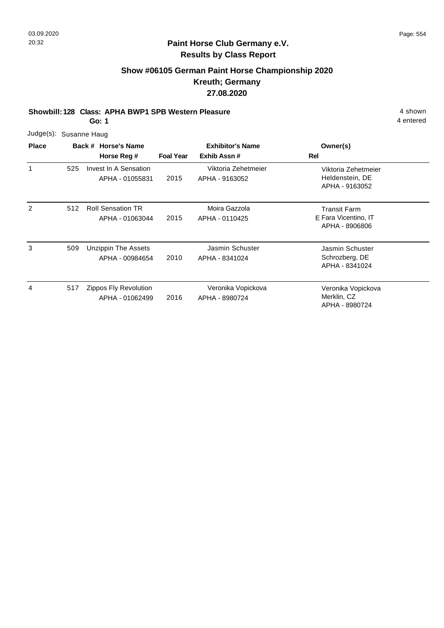# **Show #06105 German Paint Horse Championship 2020 Kreuth; Germany 27.08.2020**

**Showbill: 128 Class: APHA BWP1 SPB Western Pleasure** 4 shown

**Go: 1**

| Judge(s): Susanne Haug |  |
|------------------------|--|
|                        |  |

| <b>Place</b> |     | Back # Horse's Name                           | <b>Exhibitor's Name</b> |                                       | Owner(s)                                                      |
|--------------|-----|-----------------------------------------------|-------------------------|---------------------------------------|---------------------------------------------------------------|
|              |     | Horse Reg #                                   | <b>Foal Year</b>        | Exhib Assn#                           | Rel                                                           |
| 1            | 525 | Invest In A Sensation<br>APHA - 01055831      | 2015                    | Viktoria Zehetmeier<br>APHA - 9163052 | Viktoria Zehetmeier<br>Heldenstein, DE<br>APHA - 9163052      |
| 2            | 512 | <b>Roll Sensation TR</b><br>APHA - 01063044   | 2015                    | Moira Gazzola<br>APHA - 0110425       | <b>Transit Farm</b><br>E Fara Vicentino, IT<br>APHA - 8906806 |
| 3            | 509 | <b>Unzippin The Assets</b><br>APHA - 00984654 | 2010                    | Jasmin Schuster<br>APHA - 8341024     | Jasmin Schuster<br>Schrozberg, DE<br>APHA - 8341024           |
| 4            | 517 | Zippos Fly Revolution<br>APHA - 01062499      | 2016                    | Veronika Vopickova<br>APHA - 8980724  | Veronika Vopickova<br>Merklin, CZ<br>APHA - 8980724           |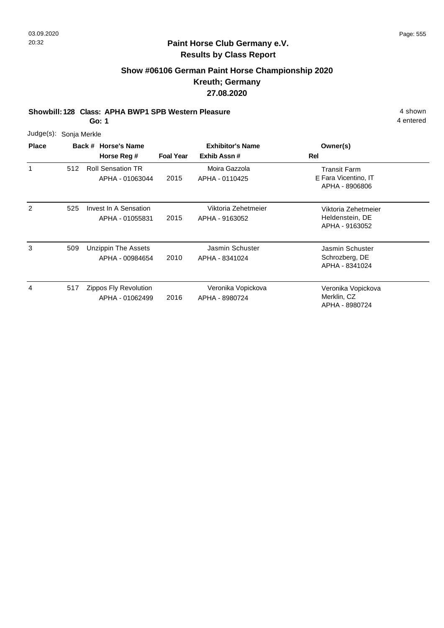# **Show #06106 German Paint Horse Championship 2020 Kreuth; Germany 27.08.2020**

**Showbill: 128 Class: APHA BWP1 SPB Western Pleasure** 4 shown

**Go: 1**

| Judge(s): Sonja Merkle |  |  |
|------------------------|--|--|
|                        |  |  |

| <b>Place</b> |     | Back # Horse's Name<br>Horse Reg #            | <b>Foal Year</b> | <b>Exhibitor's Name</b><br>Exhib Assn# | Owner(s)<br>Rel                                          |
|--------------|-----|-----------------------------------------------|------------------|----------------------------------------|----------------------------------------------------------|
| 1            | 512 | <b>Roll Sensation TR</b><br>APHA - 01063044   | 2015             | Moira Gazzola<br>APHA - 0110425        | Transit Farm<br>E Fara Vicentino, IT<br>APHA - 8906806   |
| 2            | 525 | Invest In A Sensation<br>APHA - 01055831      | 2015             | Viktoria Zehetmeier<br>APHA - 9163052  | Viktoria Zehetmeier<br>Heldenstein, DE<br>APHA - 9163052 |
| 3            | 509 | <b>Unzippin The Assets</b><br>APHA - 00984654 | 2010             | Jasmin Schuster<br>APHA - 8341024      | Jasmin Schuster<br>Schrozberg, DE<br>APHA - 8341024      |
| 4            | 517 | Zippos Fly Revolution<br>APHA - 01062499      | 2016             | Veronika Vopickova<br>APHA - 8980724   | Veronika Vopickova<br>Merklin, CZ<br>APHA - 8980724      |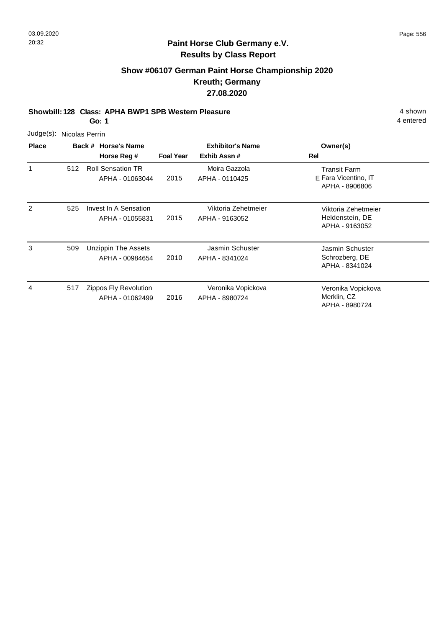# **Show #06107 German Paint Horse Championship 2020 Kreuth; Germany 27.08.2020**

**Showbill: 128 Class: APHA BWP1 SPB Western Pleasure** 4 shown

**Go: 1**

|                | Judge(s): Nicolas Perrin |                                             |                  |                                        |                                                               |  |  |  |  |  |  |  |
|----------------|--------------------------|---------------------------------------------|------------------|----------------------------------------|---------------------------------------------------------------|--|--|--|--|--|--|--|
| <b>Place</b>   |                          | Back # Horse's Name<br>Horse Reg #          | <b>Foal Year</b> | <b>Exhibitor's Name</b><br>Exhib Assn# | Owner(s)<br>Rel                                               |  |  |  |  |  |  |  |
| 1              | 512                      | <b>Roll Sensation TR</b><br>APHA - 01063044 | 2015             | Moira Gazzola<br>APHA - 0110425        | <b>Transit Farm</b><br>E Fara Vicentino, IT<br>APHA - 8906806 |  |  |  |  |  |  |  |
| $\overline{c}$ | 525                      | Invest In A Sensation<br>APHA - 01055831    | 2015             | Viktoria Zehetmeier<br>APHA - 9163052  | Viktoria Zehetmeier<br>Heldenstein, DE<br>APHA - 9163052      |  |  |  |  |  |  |  |
| 3              | 509                      | Unzippin The Assets<br>APHA - 00984654      | 2010             | Jasmin Schuster<br>APHA - 8341024      | Jasmin Schuster<br>Schrozberg, DE<br>APHA - 8341024           |  |  |  |  |  |  |  |
| 4              | 517                      | Zippos Fly Revolution<br>APHA - 01062499    | 2016             | Veronika Vopickova<br>APHA - 8980724   | Veronika Vopickova<br>Merklin, CZ<br>APHA - 8980724           |  |  |  |  |  |  |  |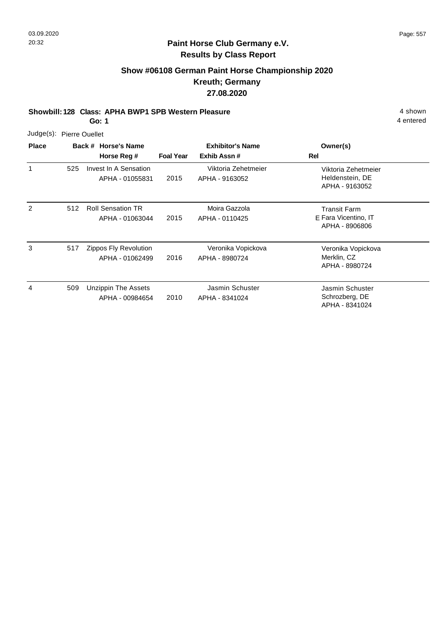# **Show #06108 German Paint Horse Championship 2020 Kreuth; Germany 27.08.2020**

**Showbill: 128 Class: APHA BWP1 SPB Western Pleasure** 4 shown

**Go: 1**

| Judge(s): Pierre Ouellet |  |
|--------------------------|--|
|                          |  |

| <b>Place</b> |     | Back # Horse's Name                           | <b>Exhibitor's Name</b> |                                       | Owner(s)                                                 |
|--------------|-----|-----------------------------------------------|-------------------------|---------------------------------------|----------------------------------------------------------|
|              |     | Horse Reg #                                   | <b>Foal Year</b>        | Exhib Assn#                           | Rel                                                      |
| 1            | 525 | Invest In A Sensation<br>APHA - 01055831      | 2015                    | Viktoria Zehetmeier<br>APHA - 9163052 | Viktoria Zehetmeier<br>Heldenstein, DE<br>APHA - 9163052 |
| 2            | 512 | <b>Roll Sensation TR</b><br>APHA - 01063044   | 2015                    | Moira Gazzola<br>APHA - 0110425       | Transit Farm<br>E Fara Vicentino, IT<br>APHA - 8906806   |
| 3            | 517 | Zippos Fly Revolution<br>APHA - 01062499      | 2016                    | Veronika Vopickova<br>APHA - 8980724  | Veronika Vopickova<br>Merklin, CZ<br>APHA - 8980724      |
| 4            | 509 | <b>Unzippin The Assets</b><br>APHA - 00984654 | 2010                    | Jasmin Schuster<br>APHA - 8341024     | Jasmin Schuster<br>Schrozberg, DE<br>APHA - 8341024      |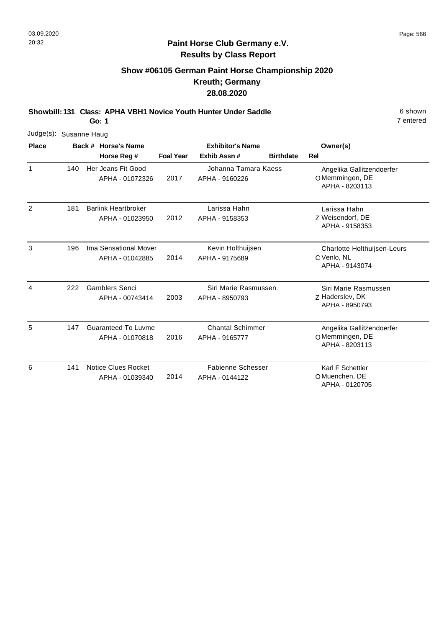# **Show #06105 German Paint Horse Championship 2020 Kreuth; Germany 28.08.2020**

**Showbill: 131 Class: APHA VBH1 Novice Youth Hunter Under Saddle** 6 Shown

**Go: 1**

| Judge(s): Susanne Haug |     |                                               |                  |                                            |                  |                                                               |
|------------------------|-----|-----------------------------------------------|------------------|--------------------------------------------|------------------|---------------------------------------------------------------|
| <b>Place</b>           |     | Back # Horse's Name                           |                  | <b>Exhibitor's Name</b>                    |                  | Owner(s)                                                      |
|                        |     | Horse Reg #                                   | <b>Foal Year</b> | Exhib Assn#                                | <b>Birthdate</b> | Rel                                                           |
| $\mathbf{1}$           | 140 | Her Jeans Fit Good<br>APHA - 01072326         | 2017             | Johanna Tamara Kaess<br>APHA - 9160226     |                  | Angelika Gallitzendoerfer<br>OMemmingen, DE<br>APHA - 8203113 |
| 2                      | 181 | <b>Barlink Heartbroker</b><br>APHA - 01023950 | 2012             | Larissa Hahn<br>APHA - 9158353             |                  | Larissa Hahn<br>Z Weisendorf, DE<br>APHA - 9158353            |
| 3                      | 196 | Ima Sensational Mover<br>APHA - 01042885      | 2014             | Kevin Holthuijsen<br>APHA - 9175689        |                  | Charlotte Holthuijsen-Leurs<br>C Venlo, NL<br>APHA - 9143074  |
| $\overline{4}$         | 222 | <b>Gamblers Senci</b><br>APHA - 00743414      | 2003             | Siri Marie Rasmussen<br>APHA - 8950793     |                  | Siri Marie Rasmussen<br>Z Haderslev, DK<br>APHA - 8950793     |
| 5                      | 147 | <b>Guaranteed To Luvme</b><br>APHA - 01070818 | 2016             | <b>Chantal Schimmer</b><br>APHA - 9165777  |                  | Angelika Gallitzendoerfer<br>OMemmingen, DE<br>APHA - 8203113 |
| 6                      | 141 | <b>Notice Clues Rocket</b><br>APHA - 01039340 | 2014             | <b>Fabienne Schesser</b><br>APHA - 0144122 |                  | Karl F Schettler<br>O Muenchen, DE<br>APHA - 0120705          |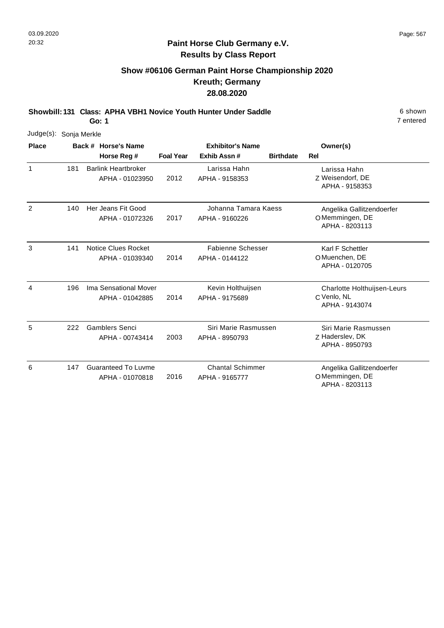### **Paint Horse Club Germany e.V. Results by Class Report**

# **Show #06106 German Paint Horse Championship 2020 Kreuth; Germany 28.08.2020**

**Showbill: 131 Class: APHA VBH1 Novice Youth Hunter Under Saddle** 6 Shown

| Judge(s): Sonja Merkle |     |                                               |                         |                                |                  |                                                    |
|------------------------|-----|-----------------------------------------------|-------------------------|--------------------------------|------------------|----------------------------------------------------|
| <b>Place</b>           |     | Back # Horse's Name                           | <b>Exhibitor's Name</b> |                                | Owner(s)         |                                                    |
|                        |     | Horse Reg #                                   | <b>Foal Year</b>        | Exhib Assn#                    | <b>Birthdate</b> | Rel                                                |
| 1                      | 181 | <b>Barlink Heartbroker</b><br>APHA - 01023950 | 2012                    | Larissa Hahn<br>APHA - 9158353 |                  | Larissa Hahn<br>Z Weisendorf, DE<br>APHA - 9158353 |
| $\overline{2}$         | 140 | Her Jeans Fit Good                            |                         | Johanna Tamara Kaess           |                  | Angelika Gallitzendoerfer                          |
|                        |     | APHA - 01072326                               | 2017                    | APHA - 9160226                 |                  | OMemmingen, DE<br>APHA - 8203113                   |
| 3                      | 141 | Notice Clues Rocket                           |                         | <b>Fabienne Schesser</b>       |                  | Karl F Schettler                                   |
|                        |     | APHA - 01039340                               | 2014                    | APHA - 0144122                 |                  | O Muenchen, DE<br>APHA - 0120705                   |
| 4                      | 196 | Ima Sensational Mover                         |                         | Kevin Holthuijsen              |                  | Charlotte Holthuijsen-Leurs                        |
|                        |     | APHA - 01042885                               | 2014                    | APHA - 9175689                 |                  | C Venlo, NL<br>APHA - 9143074                      |
| 5                      | 222 | <b>Gamblers Senci</b>                         |                         | Siri Marie Rasmussen           |                  | Siri Marie Rasmussen                               |
|                        |     | APHA - 00743414                               | 2003                    | APHA - 8950793                 |                  | Z Haderslev, DK<br>APHA - 8950793                  |
| 6                      | 147 | <b>Guaranteed To Luvme</b>                    |                         | <b>Chantal Schimmer</b>        |                  | Angelika Gallitzendoerfer                          |
|                        |     | APHA - 01070818                               | 2016                    | APHA - 9165777                 |                  | OMemmingen, DE<br>APHA - 8203113                   |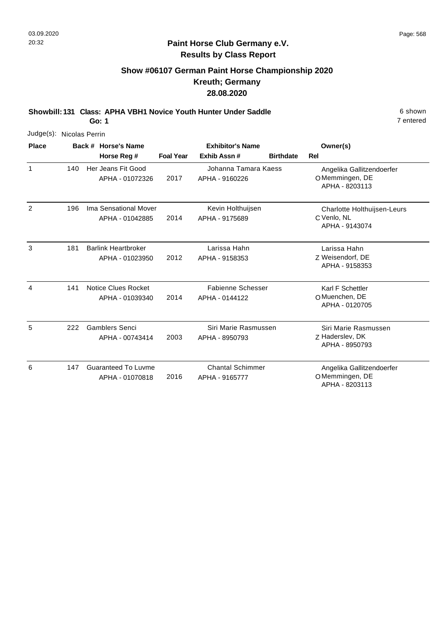APHA - 8203113

#### **Paint Horse Club Germany e.V. Results by Class Report**

# **Show #06107 German Paint Horse Championship 2020 Kreuth; Germany 28.08.2020**

**Showbill: 131 Class: APHA VBH1 Novice Youth Hunter Under Saddle** 6 Shown

| Judge(s): Nicolas Perrin |     |  |                                               |                         |                                            |                  |                                                               |
|--------------------------|-----|--|-----------------------------------------------|-------------------------|--------------------------------------------|------------------|---------------------------------------------------------------|
| <b>Place</b>             |     |  | Back # Horse's Name                           | <b>Exhibitor's Name</b> |                                            |                  | Owner(s)                                                      |
|                          |     |  | Horse Reg #                                   | <b>Foal Year</b>        | Exhib Assn#                                | <b>Birthdate</b> | Rel                                                           |
| 1                        | 140 |  | Her Jeans Fit Good<br>APHA - 01072326         | 2017                    | Johanna Tamara Kaess<br>APHA - 9160226     |                  | Angelika Gallitzendoerfer<br>OMemmingen, DE<br>APHA - 8203113 |
| $\overline{c}$           | 196 |  | Ima Sensational Mover<br>APHA - 01042885      | 2014                    | Kevin Holthuijsen<br>APHA - 9175689        |                  | Charlotte Holthuijsen-Leurs<br>C Venlo, NL<br>APHA - 9143074  |
| 3                        | 181 |  | <b>Barlink Heartbroker</b><br>APHA - 01023950 | 2012                    | Larissa Hahn<br>APHA - 9158353             |                  | Larissa Hahn<br>Z Weisendorf, DE<br>APHA - 9158353            |
| 4                        | 141 |  | <b>Notice Clues Rocket</b><br>APHA - 01039340 | 2014                    | <b>Fabienne Schesser</b><br>APHA - 0144122 |                  | Karl F Schettler<br>O Muenchen, DE<br>APHA - 0120705          |
| 5                        | 222 |  | <b>Gamblers Senci</b><br>APHA - 00743414      | 2003                    | Siri Marie Rasmussen<br>APHA - 8950793     |                  | Siri Marie Rasmussen<br>Z Haderslev, DK<br>APHA - 8950793     |
| 6                        | 147 |  | <b>Guaranteed To Luvme</b><br>APHA - 01070818 | 2016                    | <b>Chantal Schimmer</b><br>APHA - 9165777  |                  | Angelika Gallitzendoerfer<br>OMemmingen, DE                   |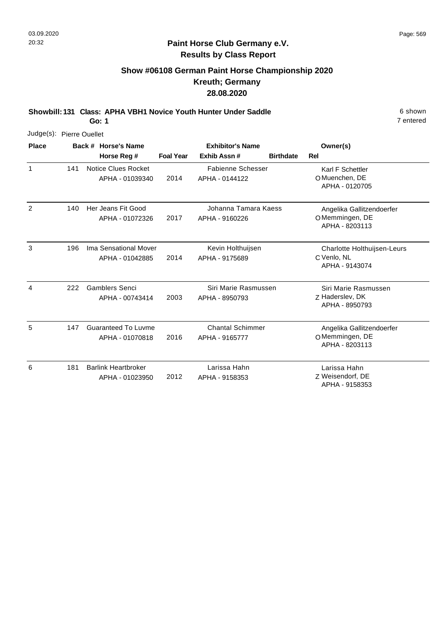## **Paint Horse Club Germany e.V. Results by Class Report**

# **Show #06108 German Paint Horse Championship 2020 Kreuth; Germany 28.08.2020**

**Showbill: 131 Class: APHA VBH1 Novice Youth Hunter Under Saddle** 6 Shown

| Judge(s): Pierre Ouellet |     |                     |                                               |                  |                                            |                  |                                                               |
|--------------------------|-----|---------------------|-----------------------------------------------|------------------|--------------------------------------------|------------------|---------------------------------------------------------------|
| <b>Place</b>             |     | Back # Horse's Name |                                               |                  | <b>Exhibitor's Name</b>                    |                  | Owner(s)                                                      |
|                          |     |                     | Horse Reg #                                   | <b>Foal Year</b> | Exhib Assn#                                | <b>Birthdate</b> | Rel                                                           |
| 1                        | 141 |                     | <b>Notice Clues Rocket</b><br>APHA - 01039340 | 2014             | <b>Fabienne Schesser</b><br>APHA - 0144122 |                  | Karl F Schettler<br>O Muenchen, DE<br>APHA - 0120705          |
| 2                        | 140 |                     | Her Jeans Fit Good<br>APHA - 01072326         | 2017             | Johanna Tamara Kaess<br>APHA - 9160226     |                  | Angelika Gallitzendoerfer<br>OMemmingen, DE<br>APHA - 8203113 |
| 3                        | 196 |                     | Ima Sensational Mover<br>APHA - 01042885      | 2014             | Kevin Holthuijsen<br>APHA - 9175689        |                  | Charlotte Holthuijsen-Leurs<br>C Venlo, NL<br>APHA - 9143074  |
| 4                        | 222 |                     | <b>Gamblers Senci</b><br>APHA - 00743414      | 2003             | Siri Marie Rasmussen<br>APHA - 8950793     |                  | Siri Marie Rasmussen<br>Z Haderslev, DK<br>APHA - 8950793     |
| 5                        | 147 |                     | <b>Guaranteed To Luvme</b><br>APHA - 01070818 | 2016             | <b>Chantal Schimmer</b><br>APHA - 9165777  |                  | Angelika Gallitzendoerfer<br>OMemmingen, DE<br>APHA - 8203113 |
| 6                        | 181 |                     | <b>Barlink Heartbroker</b><br>APHA - 01023950 | 2012             | Larissa Hahn<br>APHA - 9158353             |                  | Larissa Hahn<br>Z Weisendorf, DE<br>APHA - 9158353            |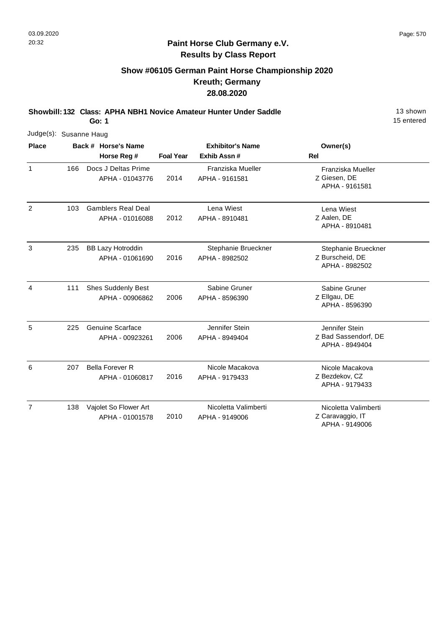### **Paint Horse Club Germany e.V. Results by Class Report**

# **Show #06105 German Paint Horse Championship 2020 Kreuth; Germany 28.08.2020**

**Showbill: 132 Class: APHA NBH1 Novice Amateur Hunter Under Saddle** 13 Shown

**Go: 1**

|                | Judge(s): Susanne Haug |  |                                              |                  |                                        |                                                          |  |  |  |  |  |  |
|----------------|------------------------|--|----------------------------------------------|------------------|----------------------------------------|----------------------------------------------------------|--|--|--|--|--|--|
| <b>Place</b>   |                        |  | Back # Horse's Name                          |                  | <b>Exhibitor's Name</b>                | Owner(s)                                                 |  |  |  |  |  |  |
|                |                        |  | Horse Reg #                                  | <b>Foal Year</b> | Exhib Assn#                            | Rel                                                      |  |  |  |  |  |  |
| $\mathbf{1}$   | 166                    |  | Docs J Deltas Prime<br>APHA - 01043776       | 2014             | Franziska Mueller<br>APHA - 9161581    | Franziska Mueller<br>Z Giesen, DE<br>APHA - 9161581      |  |  |  |  |  |  |
| 2              | 103                    |  | <b>Gamblers Real Deal</b><br>APHA - 01016088 | 2012             | Lena Wiest<br>APHA - 8910481           | Lena Wiest<br>Z Aalen, DE<br>APHA - 8910481              |  |  |  |  |  |  |
| 3              | 235                    |  | <b>BB Lazy Hotroddin</b><br>APHA - 01061690  | 2016             | Stephanie Brueckner<br>APHA - 8982502  | Stephanie Brueckner<br>Z Burscheid, DE<br>APHA - 8982502 |  |  |  |  |  |  |
| 4              | 111                    |  | <b>Shes Suddenly Best</b><br>APHA - 00906862 | 2006             | Sabine Gruner<br>APHA - 8596390        | Sabine Gruner<br>Z Ellgau, DE<br>APHA - 8596390          |  |  |  |  |  |  |
| 5              | 225                    |  | Genuine Scarface<br>APHA - 00923261          | 2006             | Jennifer Stein<br>APHA - 8949404       | Jennifer Stein<br>Z Bad Sassendorf, DE<br>APHA - 8949404 |  |  |  |  |  |  |
| 6              | 207                    |  | <b>Bella Forever R</b><br>APHA - 01060817    | 2016             | Nicole Macakova<br>APHA - 9179433      | Nicole Macakova<br>Z Bezdekov, CZ<br>APHA - 9179433      |  |  |  |  |  |  |
| $\overline{7}$ | 138                    |  | Vajolet So Flower Art<br>APHA - 01001578     | 2010             | Nicoletta Valimberti<br>APHA - 9149006 | Nicoletta Valimberti<br>Z Caravaggio, IT                 |  |  |  |  |  |  |

APHA - 9149006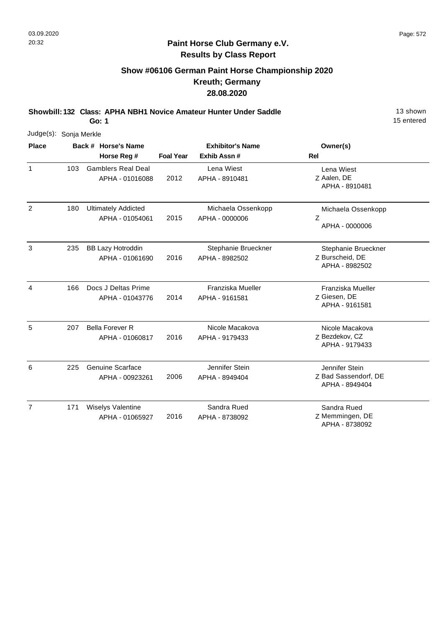# **Show #06106 German Paint Horse Championship 2020 Kreuth; Germany 28.08.2020**

**Showbill: 132 Class: APHA NBH1 Novice Amateur Hunter Under Saddle** 13 Shown

**Go: 1**

| Judge(s): Sonja Merkle |     |                                               |                  |                                         |                                                          |
|------------------------|-----|-----------------------------------------------|------------------|-----------------------------------------|----------------------------------------------------------|
| <b>Place</b>           |     | Back # Horse's Name<br>Horse Reg #            | <b>Foal Year</b> | <b>Exhibitor's Name</b><br>Exhib Assn # | Owner(s)<br>Rel                                          |
| $\mathbf{1}$           | 103 | <b>Gamblers Real Deal</b><br>APHA - 01016088  | 2012             | Lena Wiest<br>APHA - 8910481            | Lena Wiest<br>Z Aalen, DE<br>APHA - 8910481              |
| $\overline{2}$         | 180 | <b>Ultimately Addicted</b><br>APHA - 01054061 | 2015             | Michaela Ossenkopp<br>APHA - 0000006    | Michaela Ossenkopp<br>Ζ<br>APHA - 0000006                |
| $\mathbf{3}$           | 235 | <b>BB Lazy Hotroddin</b><br>APHA - 01061690   | 2016             | Stephanie Brueckner<br>APHA - 8982502   | Stephanie Brueckner<br>Z Burscheid, DE<br>APHA - 8982502 |
| $\overline{4}$         | 166 | Docs J Deltas Prime<br>APHA - 01043776        | 2014             | Franziska Mueller<br>APHA - 9161581     | Franziska Mueller<br>Z Giesen, DE<br>APHA - 9161581      |
| 5                      | 207 | <b>Bella Forever R</b><br>APHA - 01060817     | 2016             | Nicole Macakova<br>APHA - 9179433       | Nicole Macakova<br>Z Bezdekov, CZ<br>APHA - 9179433      |
| 6                      | 225 | <b>Genuine Scarface</b><br>APHA - 00923261    | 2006             | Jennifer Stein<br>APHA - 8949404        | Jennifer Stein<br>Z Bad Sassendorf, DE<br>APHA - 8949404 |
| $\overline{7}$         | 171 | Wiselys Valentine<br>APHA - 01065927          | 2016             | Sandra Rued<br>APHA - 8738092           | Sandra Rued<br>Z Memmingen, DE<br>APHA - 8738092         |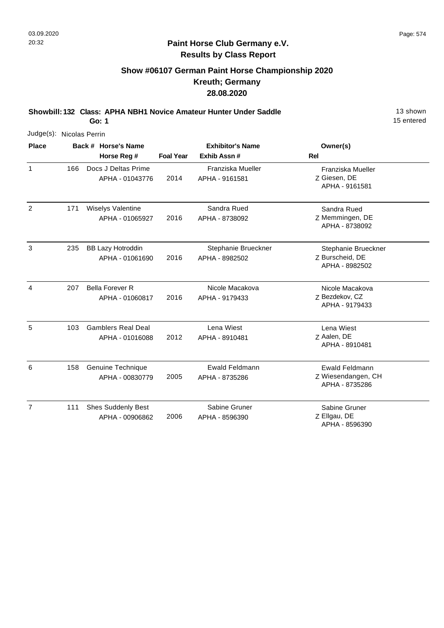## **Paint Horse Club Germany e.V. Results by Class Report**

# **Show #06107 German Paint Horse Championship 2020 Kreuth; Germany 28.08.2020**

**Showbill: 132 Class: APHA NBH1 Novice Amateur Hunter Under Saddle** 13 Shown

**Go: 1**

| Judge(s): Nicolas Perrin |     |                                              |                  |                                         |                                                               |  |  |  |
|--------------------------|-----|----------------------------------------------|------------------|-----------------------------------------|---------------------------------------------------------------|--|--|--|
| <b>Place</b>             |     | Back # Horse's Name<br>Horse Reg #           | <b>Foal Year</b> | <b>Exhibitor's Name</b><br>Exhib Assn # | Owner(s)<br><b>Rel</b>                                        |  |  |  |
| $\mathbf{1}$             | 166 | Docs J Deltas Prime<br>APHA - 01043776       | 2014             | Franziska Mueller<br>APHA - 9161581     | Franziska Mueller<br>Z Giesen, DE<br>APHA - 9161581           |  |  |  |
| 2                        | 171 | <b>Wiselys Valentine</b><br>APHA - 01065927  | 2016             | Sandra Rued<br>APHA - 8738092           | Sandra Rued<br>Z Memmingen, DE<br>APHA - 8738092              |  |  |  |
| 3                        | 235 | <b>BB Lazy Hotroddin</b><br>APHA - 01061690  | 2016             | Stephanie Brueckner<br>APHA - 8982502   | Stephanie Brueckner<br>Z Burscheid, DE<br>APHA - 8982502      |  |  |  |
| $\overline{4}$           | 207 | <b>Bella Forever R</b><br>APHA - 01060817    | 2016             | Nicole Macakova<br>APHA - 9179433       | Nicole Macakova<br>Z Bezdekov, CZ<br>APHA - 9179433           |  |  |  |
| 5                        | 103 | <b>Gamblers Real Deal</b><br>APHA - 01016088 | 2012             | Lena Wiest<br>APHA - 8910481            | Lena Wiest<br>Z Aalen, DE<br>APHA - 8910481                   |  |  |  |
| 6                        | 158 | Genuine Technique<br>APHA - 00830779         | 2005             | Ewald Feldmann<br>APHA - 8735286        | <b>Ewald Feldmann</b><br>Z Wiesendangen, CH<br>APHA - 8735286 |  |  |  |
| $\overline{7}$           | 111 | <b>Shes Suddenly Best</b><br>APHA - 00906862 | 2006             | Sabine Gruner<br>APHA - 8596390         | Sabine Gruner<br>Z Ellgau, DE                                 |  |  |  |

APHA - 8596390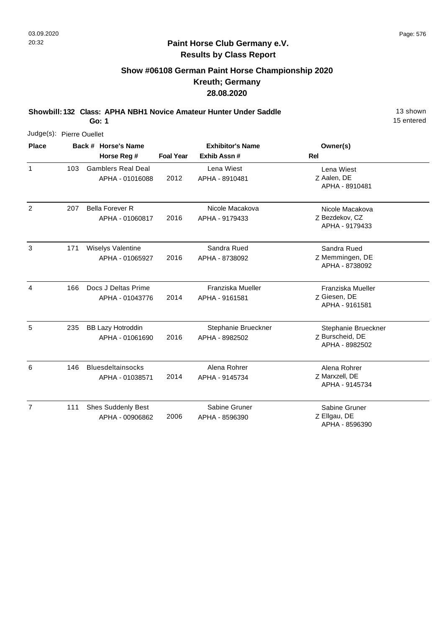# **Show #06108 German Paint Horse Championship 2020 Kreuth; Germany 28.08.2020**

**Showbill: 132 Class: APHA NBH1 Novice Amateur Hunter Under Saddle** 13 Shown

**Go: 1**

| Judge(s): Pierre Ouellet |     |                                              |                  |                                       |                                                          |  |  |  |
|--------------------------|-----|----------------------------------------------|------------------|---------------------------------------|----------------------------------------------------------|--|--|--|
| <b>Place</b>             |     | Back # Horse's Name                          |                  | <b>Exhibitor's Name</b>               | Owner(s)                                                 |  |  |  |
|                          |     | Horse Reg #                                  | <b>Foal Year</b> | Exhib Assn#                           | Rel                                                      |  |  |  |
| $\mathbf{1}$             | 103 | <b>Gamblers Real Deal</b><br>APHA - 01016088 | 2012             | Lena Wiest<br>APHA - 8910481          | Lena Wiest<br>Z Aalen, DE<br>APHA - 8910481              |  |  |  |
| 2                        | 207 | <b>Bella Forever R</b><br>APHA - 01060817    | 2016             | Nicole Macakova<br>APHA - 9179433     | Nicole Macakova<br>Z Bezdekov, CZ<br>APHA - 9179433      |  |  |  |
| 3                        | 171 | Wiselys Valentine<br>APHA - 01065927         | 2016             | Sandra Rued<br>APHA - 8738092         | Sandra Rued<br>Z Memmingen, DE<br>APHA - 8738092         |  |  |  |
| 4                        | 166 | Docs J Deltas Prime<br>APHA - 01043776       | 2014             | Franziska Mueller<br>APHA - 9161581   | Franziska Mueller<br>Z Giesen, DE<br>APHA - 9161581      |  |  |  |
| 5                        | 235 | <b>BB Lazy Hotroddin</b><br>APHA - 01061690  | 2016             | Stephanie Brueckner<br>APHA - 8982502 | Stephanie Brueckner<br>Z Burscheid, DE<br>APHA - 8982502 |  |  |  |
| 6                        | 146 | <b>Bluesdeltainsocks</b><br>APHA - 01038571  | 2014             | Alena Rohrer<br>APHA - 9145734        | Alena Rohrer<br>Z Marxzell, DE<br>APHA - 9145734         |  |  |  |
| $\overline{7}$           | 111 | <b>Shes Suddenly Best</b><br>APHA - 00906862 | 2006             | Sabine Gruner<br>APHA - 8596390       | Sabine Gruner<br>Z Ellgau, DE<br>APHA - 8596390          |  |  |  |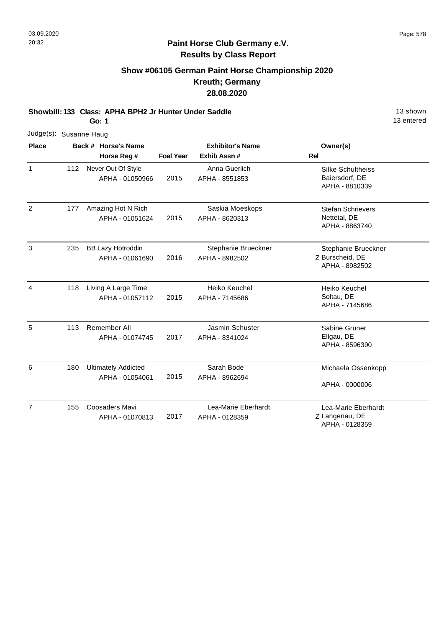# **Show #06105 German Paint Horse Championship 2020 Kreuth; Germany 28.08.2020**

**Showbill: 133 Class: APHA BPH2 Jr Hunter Under Saddle** 13 Shown

**Go: 1**

|                              | Judge(s): Susanne Haug |  |                                               |                         |                                       |                                                              |  |  |  |
|------------------------------|------------------------|--|-----------------------------------------------|-------------------------|---------------------------------------|--------------------------------------------------------------|--|--|--|
| <b>Place</b><br>$\mathbf{1}$ |                        |  | Back # Horse's Name                           | <b>Exhibitor's Name</b> |                                       | Owner(s)                                                     |  |  |  |
|                              |                        |  | Horse Reg #                                   | <b>Foal Year</b>        | Exhib Assn #                          | Rel                                                          |  |  |  |
|                              | 112                    |  | Never Out Of Style<br>APHA - 01050966         | 2015                    | Anna Guerlich<br>APHA - 8551853       | <b>Silke Schultheiss</b><br>Baiersdorf, DE<br>APHA - 8810339 |  |  |  |
| $\overline{2}$               | 177                    |  | Amazing Hot N Rich<br>APHA - 01051624         | 2015                    | Saskia Moeskops<br>APHA - 8620313     | <b>Stefan Schrievers</b><br>Nettetal, DE<br>APHA - 8863740   |  |  |  |
| 3                            | 235                    |  | <b>BB Lazy Hotroddin</b><br>APHA - 01061690   | 2016                    | Stephanie Brueckner<br>APHA - 8982502 | Stephanie Brueckner<br>Z Burscheid, DE<br>APHA - 8982502     |  |  |  |
| 4                            | 118                    |  | Living A Large Time<br>APHA - 01057112        | 2015                    | Heiko Keuchel<br>APHA - 7145686       | Heiko Keuchel<br>Soltau, DE<br>APHA - 7145686                |  |  |  |
| 5                            | 113                    |  | Remember All<br>APHA - 01074745               | 2017                    | Jasmin Schuster<br>APHA - 8341024     | Sabine Gruner<br>Ellgau, DE<br>APHA - 8596390                |  |  |  |
| 6                            | 180                    |  | <b>Ultimately Addicted</b><br>APHA - 01054061 | 2015                    | Sarah Bode<br>APHA - 8962694          | Michaela Ossenkopp<br>APHA - 0000006                         |  |  |  |
| $\overline{7}$               | 155                    |  | Coosaders Mavi<br>APHA - 01070813             | 2017                    | Lea-Marie Eberhardt<br>APHA - 0128359 | Lea-Marie Eberhardt<br>Z Langenau, DE<br>APHA - 0128359      |  |  |  |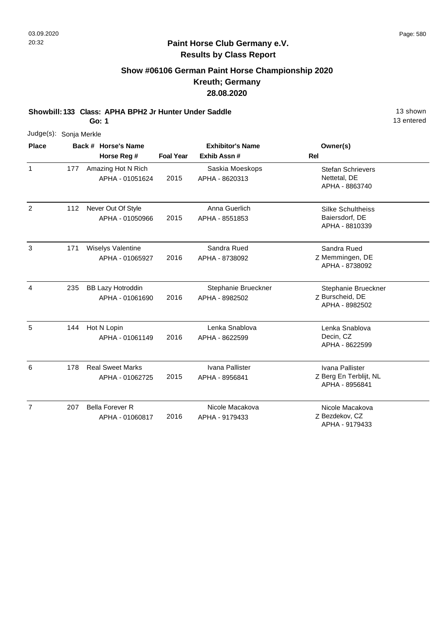# **Show #06106 German Paint Horse Championship 2020 Kreuth; Germany 28.08.2020**

**Showbill: 133 Class: APHA BPH2 Jr Hunter Under Saddle** 13 Shown

**Go: 1**

| Judge(s): Sonja Merkle |     |                                             |                  |                                       |                                                              |
|------------------------|-----|---------------------------------------------|------------------|---------------------------------------|--------------------------------------------------------------|
| <b>Place</b>           |     | Back # Horse's Name                         |                  | <b>Exhibitor's Name</b>               | Owner(s)                                                     |
|                        |     | Horse Reg #                                 | <b>Foal Year</b> | Exhib Assn #                          | <b>Rel</b>                                                   |
| $\mathbf{1}$           | 177 | Amazing Hot N Rich<br>APHA - 01051624       | 2015             | Saskia Moeskops<br>APHA - 8620313     | <b>Stefan Schrievers</b><br>Nettetal, DE<br>APHA - 8863740   |
| 2                      | 112 | Never Out Of Style<br>APHA - 01050966       | 2015             | Anna Guerlich<br>APHA - 8551853       | <b>Silke Schultheiss</b><br>Baiersdorf, DE<br>APHA - 8810339 |
| 3                      | 171 | <b>Wiselys Valentine</b><br>APHA - 01065927 | 2016             | Sandra Rued<br>APHA - 8738092         | Sandra Rued<br>Z Memmingen, DE<br>APHA - 8738092             |
| 4                      | 235 | <b>BB Lazy Hotroddin</b><br>APHA - 01061690 | 2016             | Stephanie Brueckner<br>APHA - 8982502 | Stephanie Brueckner<br>Z Burscheid, DE<br>APHA - 8982502     |
| 5                      | 144 | Hot N Lopin<br>APHA - 01061149              | 2016             | Lenka Snablova<br>APHA - 8622599      | Lenka Snablova<br>Decin, CZ<br>APHA - 8622599                |
| 6                      | 178 | <b>Real Sweet Marks</b><br>APHA - 01062725  | 2015             | Ivana Pallister<br>APHA - 8956841     | Ivana Pallister<br>Z Berg En Terblijt, NL<br>APHA - 8956841  |
| $\overline{7}$         | 207 | <b>Bella Forever R</b><br>APHA - 01060817   | 2016             | Nicole Macakova<br>APHA - 9179433     | Nicole Macakova<br>Z Bezdekov, CZ<br>APHA - 9179433          |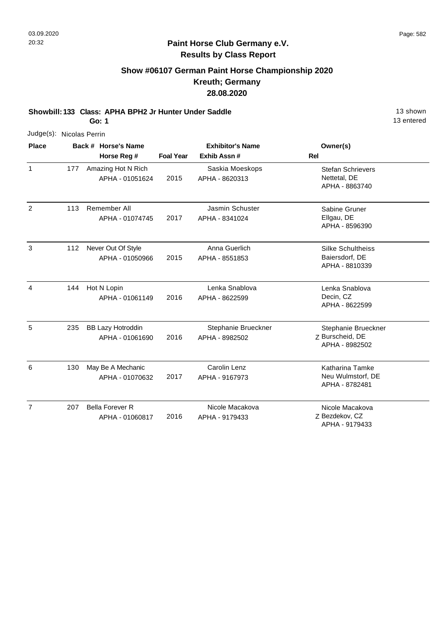# **Show #06107 German Paint Horse Championship 2020 Kreuth; Germany 28.08.2020**

**Showbill: 133 Class: APHA BPH2 Jr Hunter Under Saddle** 13 Shown

**Go: 1**

|                | Judge(s): Nicolas Perrin |                                             |                  |                                       |                                                               |  |  |  |  |  |
|----------------|--------------------------|---------------------------------------------|------------------|---------------------------------------|---------------------------------------------------------------|--|--|--|--|--|
| <b>Place</b>   |                          | Back # Horse's Name                         |                  | <b>Exhibitor's Name</b>               | Owner(s)                                                      |  |  |  |  |  |
|                |                          | Horse Reg #                                 | <b>Foal Year</b> | Exhib Assn #                          | Rel                                                           |  |  |  |  |  |
| $\mathbf{1}$   | 177                      | Amazing Hot N Rich<br>APHA - 01051624       | 2015             | Saskia Moeskops<br>APHA - 8620313     | <b>Stefan Schrievers</b><br>Nettetal, DE<br>APHA - 8863740    |  |  |  |  |  |
| 2              | 113                      | Remember All<br>APHA - 01074745             | 2017             | Jasmin Schuster<br>APHA - 8341024     | Sabine Gruner<br>Ellgau, DE<br>APHA - 8596390                 |  |  |  |  |  |
| 3              | 112                      | Never Out Of Style<br>APHA - 01050966       | 2015             | Anna Guerlich<br>APHA - 8551853       | Silke Schultheiss<br>Baiersdorf, DE<br>APHA - 8810339         |  |  |  |  |  |
| 4              | 144                      | Hot N Lopin<br>APHA - 01061149              | 2016             | Lenka Snablova<br>APHA - 8622599      | Lenka Snablova<br>Decin, CZ<br>APHA - 8622599                 |  |  |  |  |  |
| 5              | 235                      | <b>BB Lazy Hotroddin</b><br>APHA - 01061690 | 2016             | Stephanie Brueckner<br>APHA - 8982502 | Stephanie Brueckner<br>Z Burscheid, DE<br>APHA - 8982502      |  |  |  |  |  |
| 6              | 130                      | May Be A Mechanic<br>APHA - 01070632        | 2017             | Carolin Lenz<br>APHA - 9167973        | <b>Katharina Tamke</b><br>Neu Wulmstorf, DE<br>APHA - 8782481 |  |  |  |  |  |
| $\overline{7}$ | 207                      | <b>Bella Forever R</b><br>APHA - 01060817   | 2016             | Nicole Macakova<br>APHA - 9179433     | Nicole Macakova<br>Z Bezdekov, CZ<br>APHA - 9179433           |  |  |  |  |  |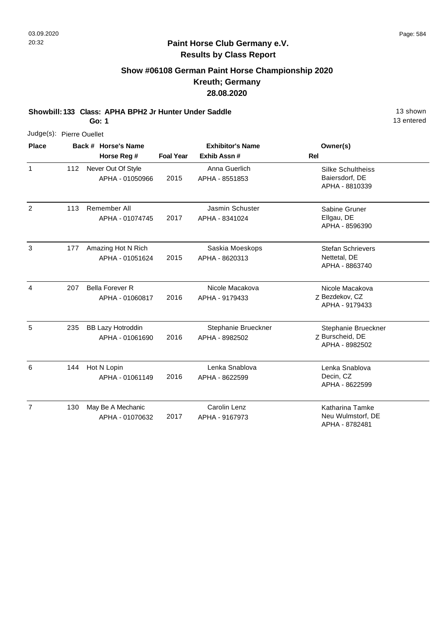# **Show #06108 German Paint Horse Championship 2020 Kreuth; Germany 28.08.2020**

**Showbill: 133 Class: APHA BPH2 Jr Hunter Under Saddle** 13 Shown

**Go: 1**

| Judge(s): Pierre Ouellet |     |                                             |                  |                                         |                                                              |
|--------------------------|-----|---------------------------------------------|------------------|-----------------------------------------|--------------------------------------------------------------|
| <b>Place</b>             |     | Back # Horse's Name<br>Horse Reg #          | <b>Foal Year</b> | <b>Exhibitor's Name</b><br>Exhib Assn # | Owner(s)<br><b>Rel</b>                                       |
| 1                        | 112 | Never Out Of Style<br>APHA - 01050966       | 2015             | Anna Guerlich<br>APHA - 8551853         | <b>Silke Schultheiss</b><br>Baiersdorf, DE<br>APHA - 8810339 |
| $\overline{2}$           | 113 | Remember All<br>APHA - 01074745             | 2017             | Jasmin Schuster<br>APHA - 8341024       | Sabine Gruner<br>Ellgau, DE<br>APHA - 8596390                |
| 3                        | 177 | Amazing Hot N Rich<br>APHA - 01051624       | 2015             | Saskia Moeskops<br>APHA - 8620313       | <b>Stefan Schrievers</b><br>Nettetal, DE<br>APHA - 8863740   |
| $\overline{4}$           | 207 | <b>Bella Forever R</b><br>APHA - 01060817   | 2016             | Nicole Macakova<br>APHA - 9179433       | Nicole Macakova<br>Z Bezdekov, CZ<br>APHA - 9179433          |
| 5                        | 235 | <b>BB Lazy Hotroddin</b><br>APHA - 01061690 | 2016             | Stephanie Brueckner<br>APHA - 8982502   | Stephanie Brueckner<br>Z Burscheid, DE<br>APHA - 8982502     |
| 6                        | 144 | Hot N Lopin<br>APHA - 01061149              | 2016             | Lenka Snablova<br>APHA - 8622599        | Lenka Snablova<br>Decin, CZ<br>APHA - 8622599                |
| $\overline{7}$           | 130 | May Be A Mechanic<br>APHA - 01070632        | 2017             | Carolin Lenz<br>APHA - 9167973          | Katharina Tamke<br>Neu Wulmstorf, DE<br>APHA - 8782481       |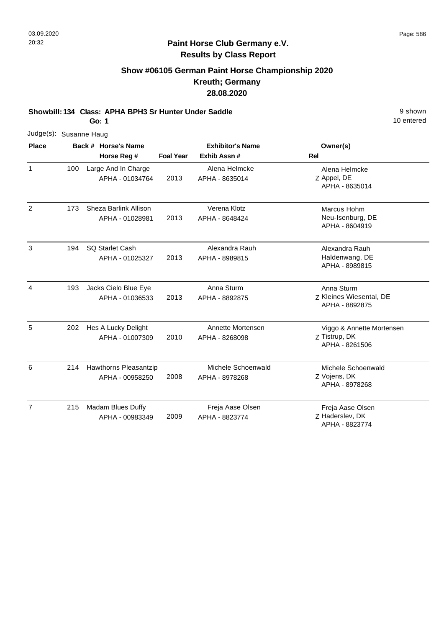## **Show #06105 German Paint Horse Championship 2020 Kreuth; Germany 28.08.2020**

**Showbill: 134 Class: APHA BPH3 Sr Hunter Under Saddle** 9 shown

**Go: 1**

| Judge(s): Susanne Haug |     |  |                        |                  |                         |                                           |
|------------------------|-----|--|------------------------|------------------|-------------------------|-------------------------------------------|
| <b>Place</b>           |     |  | Back # Horse's Name    |                  | <b>Exhibitor's Name</b> | Owner(s)                                  |
|                        |     |  | Horse Reg #            | <b>Foal Year</b> | Exhib Assn#             | <b>Rel</b>                                |
| $\mathbf{1}$           | 100 |  | Large And In Charge    |                  | Alena Helmcke           | Alena Helmcke<br>Z Appel, DE              |
|                        |     |  | APHA - 01034764        | 2013             | APHA - 8635014          | APHA - 8635014                            |
| $\overline{2}$         | 173 |  | Sheza Barlink Allison  |                  | Verena Klotz            | Marcus Hohm                               |
|                        |     |  | APHA - 01028981        | 2013             | APHA - 8648424          | Neu-Isenburg, DE<br>APHA - 8604919        |
| 3                      | 194 |  | <b>SQ Starlet Cash</b> |                  | Alexandra Rauh          | Alexandra Rauh                            |
|                        |     |  | APHA - 01025327        | 2013             | APHA - 8989815          | Haldenwang, DE<br>APHA - 8989815          |
| $\overline{4}$         | 193 |  | Jacks Cielo Blue Eye   |                  | Anna Sturm              | Anna Sturm                                |
|                        |     |  | APHA - 01036533        | 2013             | APHA - 8892875          | Z Kleines Wiesental, DE<br>APHA - 8892875 |
| 5                      | 202 |  | Hes A Lucky Delight    |                  | Annette Mortensen       | Viggo & Annette Mortensen                 |
|                        |     |  | APHA - 01007309        | 2010             | APHA - 8268098          | Z Tistrup, DK<br>APHA - 8261506           |
| 6                      | 214 |  | Hawthorns Pleasantzip  |                  | Michele Schoenwald      | Michele Schoenwald                        |
|                        |     |  | APHA - 00958250        | 2008             | APHA - 8978268          | Z Vojens, DK<br>APHA - 8978268            |
| $\overline{7}$         | 215 |  | Madam Blues Duffy      |                  | Freja Aase Olsen        | Freja Aase Olsen                          |
|                        |     |  | APHA - 00983349        | 2009             | APHA - 8823774          | Z Haderslev, DK<br>APHA - 8823774         |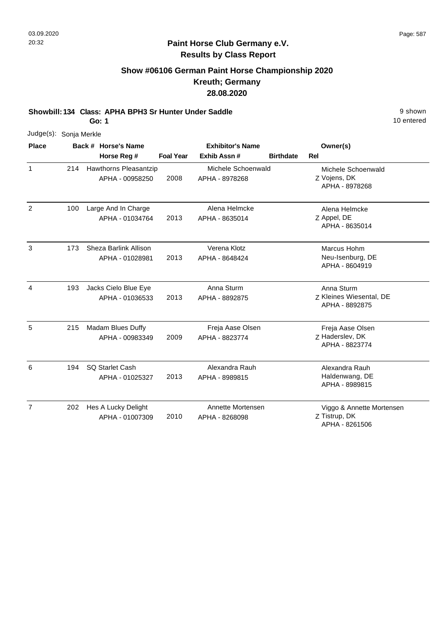7

#### **Paint Horse Club Germany e.V. Results by Class Report**

## **Show #06106 German Paint Horse Championship 2020 Kreuth; Germany 28.08.2020**

**Showbill: 134 Class: APHA BPH3 Sr Hunter Under Saddle** 9 shown

entered

|                |              | Go: 1                                           |                  |                                        |                  |                                                         | 10 |
|----------------|--------------|-------------------------------------------------|------------------|----------------------------------------|------------------|---------------------------------------------------------|----|
| Judge(s):      | Sonja Merkle |                                                 |                  |                                        |                  |                                                         |    |
| <b>Place</b>   |              | Back # Horse's Name<br>Horse Reg #              | <b>Foal Year</b> | <b>Exhibitor's Name</b><br>Exhib Assn# | <b>Birthdate</b> | Owner(s)<br>Rel                                         |    |
| $\mathbf{1}$   | 214          | <b>Hawthorns Pleasantzip</b><br>APHA - 00958250 | 2008             | Michele Schoenwald<br>APHA - 8978268   |                  | Michele Schoenwald<br>Z Vojens, DK<br>APHA - 8978268    |    |
| $\overline{2}$ | 100          | Large And In Charge<br>APHA - 01034764          | 2013             | Alena Helmcke<br>APHA - 8635014        |                  | Alena Helmcke<br>Z Appel, DE<br>APHA - 8635014          |    |
| 3              | 173          | Sheza Barlink Allison<br>APHA - 01028981        | 2013             | Verena Klotz<br>APHA - 8648424         |                  | Marcus Hohm<br>Neu-Isenburg, DE<br>APHA - 8604919       |    |
| 4              | 193          | Jacks Cielo Blue Eye<br>APHA - 01036533         | 2013             | Anna Sturm<br>APHA - 8892875           |                  | Anna Sturm<br>Z Kleines Wiesental, DE<br>APHA - 8892875 |    |
| 5              | 215          | Madam Blues Duffy<br>APHA - 00983349            | 2009             | Freja Aase Olsen<br>APHA - 8823774     |                  | Freja Aase Olsen<br>Z Haderslev, DK<br>APHA - 8823774   |    |
| 6              | 194          | <b>SQ Starlet Cash</b><br>APHA - 01025327       | 2013             | Alexandra Rauh<br>APHA - 8989815       |                  | Alexandra Rauh<br>Haldenwang, DE<br>APHA - 8989815      |    |

Z Tistrup, DK Viggo & Annette Mortensen APHA - 8261506 2010 202 Hes A Lucky Delight APHA - 01007309 Annette Mortensen APHA - 8268098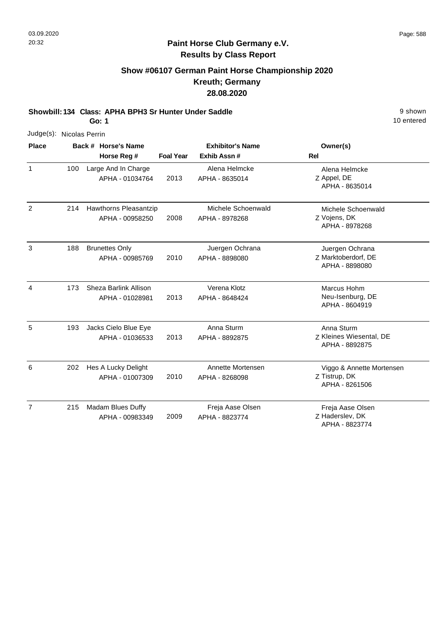## **Show #06107 German Paint Horse Championship 2020 Kreuth; Germany 28.08.2020**

**Showbill: 134 Class: APHA BPH3 Sr Hunter Under Saddle** 9 shown

**Go: 1**

| Judge(s): Nicolas Perrin |     |                       |                  |                         |                                           |
|--------------------------|-----|-----------------------|------------------|-------------------------|-------------------------------------------|
| <b>Place</b>             |     | Back # Horse's Name   |                  | <b>Exhibitor's Name</b> | Owner(s)                                  |
|                          |     | Horse Reg #           | <b>Foal Year</b> | Exhib Assn #            | <b>Rel</b>                                |
| 1                        | 100 | Large And In Charge   |                  | Alena Helmcke           | Alena Helmcke                             |
|                          |     | APHA - 01034764       | 2013             | APHA - 8635014          | Z Appel, DE<br>APHA - 8635014             |
| 2                        | 214 | Hawthorns Pleasantzip |                  | Michele Schoenwald      | Michele Schoenwald                        |
|                          |     | APHA - 00958250       | 2008             | APHA - 8978268          | Z Vojens, DK<br>APHA - 8978268            |
| 3                        | 188 | <b>Brunettes Only</b> |                  | Juergen Ochrana         | Juergen Ochrana                           |
|                          |     | APHA - 00985769       | 2010             | APHA - 8898080          | Z Marktoberdorf, DE<br>APHA - 8898080     |
| $\overline{4}$           | 173 | Sheza Barlink Allison |                  | Verena Klotz            | Marcus Hohm                               |
|                          |     | APHA - 01028981       | 2013             | APHA - 8648424          | Neu-Isenburg, DE<br>APHA - 8604919        |
| 5                        | 193 | Jacks Cielo Blue Eye  |                  | Anna Sturm              | Anna Sturm                                |
|                          |     | APHA - 01036533       | 2013             | APHA - 8892875          | Z Kleines Wiesental, DE<br>APHA - 8892875 |
| 6                        | 202 | Hes A Lucky Delight   |                  | Annette Mortensen       | Viggo & Annette Mortensen                 |
|                          |     | APHA - 01007309       | 2010             | APHA - 8268098          | Z Tistrup, DK<br>APHA - 8261506           |
| $\overline{7}$           | 215 | Madam Blues Duffy     |                  | Freja Aase Olsen        | Freja Aase Olsen                          |
|                          |     | APHA - 00983349       | 2009             | APHA - 8823774          | Z Haderslev, DK<br>APHA - 8823774         |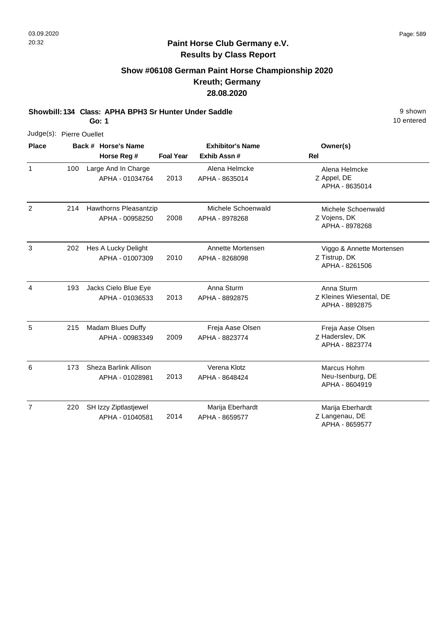## **Show #06108 German Paint Horse Championship 2020 Kreuth; Germany 28.08.2020**

**Showbill: 134 Class: APHA BPH3 Sr Hunter Under Saddle** 9 shown

**Go: 1**

| Judge(s): Pierre Ouellet |     |                     |                                          |                  |                                      |                                                              |
|--------------------------|-----|---------------------|------------------------------------------|------------------|--------------------------------------|--------------------------------------------------------------|
| <b>Place</b>             |     | Back # Horse's Name | <b>Exhibitor's Name</b>                  | Owner(s)         |                                      |                                                              |
|                          |     |                     | Horse Reg #                              | <b>Foal Year</b> | Exhib Assn#                          | <b>Rel</b>                                                   |
| $\mathbf{1}$             | 100 |                     | Large And In Charge<br>APHA - 01034764   | 2013             | Alena Helmcke<br>APHA - 8635014      | Alena Helmcke<br>Z Appel, DE<br>APHA - 8635014               |
| 2                        | 214 |                     | Hawthorns Pleasantzip<br>APHA - 00958250 | 2008             | Michele Schoenwald<br>APHA - 8978268 | Michele Schoenwald<br>Z Vojens, DK<br>APHA - 8978268         |
| 3                        | 202 |                     | Hes A Lucky Delight<br>APHA - 01007309   | 2010             | Annette Mortensen<br>APHA - 8268098  | Viggo & Annette Mortensen<br>Z Tistrup, DK<br>APHA - 8261506 |
| 4                        | 193 |                     | Jacks Cielo Blue Eye<br>APHA - 01036533  | 2013             | Anna Sturm<br>APHA - 8892875         | Anna Sturm<br>Z Kleines Wiesental, DE<br>APHA - 8892875      |
| 5                        | 215 |                     | Madam Blues Duffy<br>APHA - 00983349     | 2009             | Freja Aase Olsen<br>APHA - 8823774   | Freja Aase Olsen<br>Z Haderslev, DK<br>APHA - 8823774        |
| 6                        | 173 |                     | Sheza Barlink Allison<br>APHA - 01028981 | 2013             | Verena Klotz<br>APHA - 8648424       | Marcus Hohm<br>Neu-Isenburg, DE<br>APHA - 8604919            |
| $\overline{7}$           | 220 |                     | SH Izzy Ziptlastjewel<br>APHA - 01040581 | 2014             | Marija Eberhardt<br>APHA - 8659577   | Marija Eberhardt<br>Z Langenau, DE<br>APHA - 8659577         |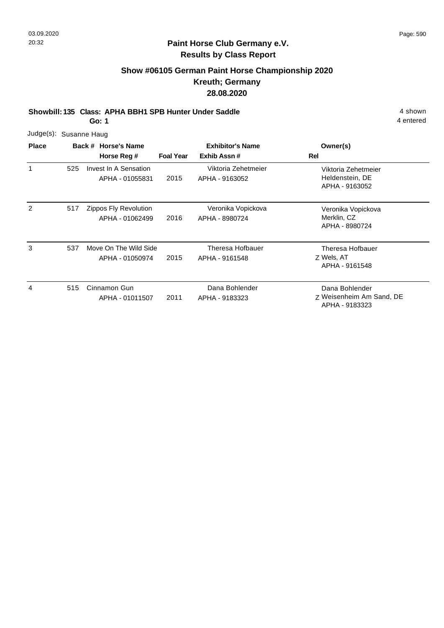## **Show #06105 German Paint Horse Championship 2020 Kreuth; Germany 28.08.2020**

**Showbill: 135 Class: APHA BBH1 SPB Hunter Under Saddle** 4 shown

**Go: 1**

| Judge(s): Susanne Haug |             |
|------------------------|-------------|
|                        | _ _ _ _ _ _ |

| <b>Place</b> |     | Back # Horse's Name                      | <b>Exhibitor's Name</b> |                                       | Owner(s)                                                     |
|--------------|-----|------------------------------------------|-------------------------|---------------------------------------|--------------------------------------------------------------|
|              |     | Horse Reg #                              | <b>Foal Year</b>        | Exhib Assn#                           | Rel                                                          |
| 1            | 525 | Invest In A Sensation<br>APHA - 01055831 | 2015                    | Viktoria Zehetmeier<br>APHA - 9163052 | Viktoria Zehetmeier<br>Heldenstein, DE<br>APHA - 9163052     |
| 2            | 517 | Zippos Fly Revolution<br>APHA - 01062499 | 2016                    | Veronika Vopickova<br>APHA - 8980724  | Veronika Vopickova<br>Merklin, CZ<br>APHA - 8980724          |
| 3            | 537 | Move On The Wild Side<br>APHA - 01050974 | 2015                    | Theresa Hofbauer<br>APHA - 9161548    | Theresa Hofbauer<br>Z Wels, AT<br>APHA - 9161548             |
| 4            | 515 | Cinnamon Gun<br>APHA - 01011507          | 2011                    | Dana Bohlender<br>APHA - 9183323      | Dana Bohlender<br>Z Weisenheim Am Sand, DE<br>APHA - 9183323 |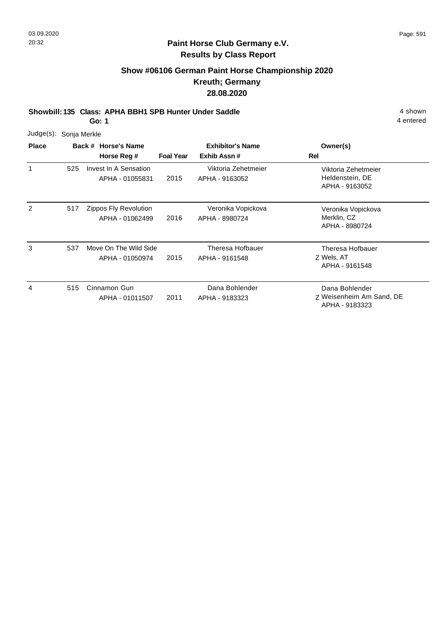## **Show #06106 German Paint Horse Championship 2020 Kreuth; Germany 28.08.2020**

**Showbill: 135 Class: APHA BBH1 SPB Hunter Under Saddle** 4 shown

**Go: 1**

| Judge(s):    |     | Sonja Merkle                             |                  |                                        |                                                              |  |  |  |  |  |  |
|--------------|-----|------------------------------------------|------------------|----------------------------------------|--------------------------------------------------------------|--|--|--|--|--|--|
| <b>Place</b> |     | Back # Horse's Name<br>Horse Reg #       | <b>Foal Year</b> | <b>Exhibitor's Name</b><br>Exhib Assn# | Owner(s)<br>Rel                                              |  |  |  |  |  |  |
| 1            | 525 | Invest In A Sensation<br>APHA - 01055831 | 2015             | Viktoria Zehetmeier<br>APHA - 9163052  | Viktoria Zehetmeier<br>Heldenstein, DE<br>APHA - 9163052     |  |  |  |  |  |  |
| 2            | 517 | Zippos Fly Revolution<br>APHA - 01062499 | 2016             | Veronika Vopickova<br>APHA - 8980724   | Veronika Vopickova<br>Merklin, CZ<br>APHA - 8980724          |  |  |  |  |  |  |
| 3            | 537 | Move On The Wild Side<br>APHA - 01050974 | 2015             | Theresa Hofbauer<br>APHA - 9161548     | Theresa Hofbauer<br>Z Wels, AT<br>APHA - 9161548             |  |  |  |  |  |  |
| 4            | 515 | Cinnamon Gun<br>APHA - 01011507          | 2011             | Dana Bohlender<br>APHA - 9183323       | Dana Bohlender<br>Z Weisenheim Am Sand, DE<br>APHA - 9183323 |  |  |  |  |  |  |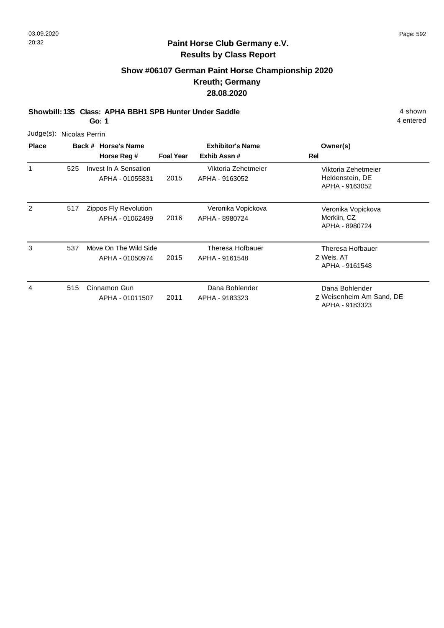# **Show #06107 German Paint Horse Championship 2020 Kreuth; Germany 28.08.2020**

**Showbill: 135 Class: APHA BBH1 SPB Hunter Under Saddle** 4 shown

**Go: 1**

| Judge(s):    |     | Nicolas Perrin                           |                  |                                        |                                                              |
|--------------|-----|------------------------------------------|------------------|----------------------------------------|--------------------------------------------------------------|
| <b>Place</b> |     | Back # Horse's Name<br>Horse Reg #       | <b>Foal Year</b> | <b>Exhibitor's Name</b><br>Exhib Assn# | Owner(s)<br>Rel                                              |
|              | 525 | Invest In A Sensation<br>APHA - 01055831 | 2015             | Viktoria Zehetmeier<br>APHA - 9163052  | Viktoria Zehetmeier<br>Heldenstein, DE<br>APHA - 9163052     |
| 2            | 517 | Zippos Fly Revolution<br>APHA - 01062499 | 2016             | Veronika Vopickova<br>APHA - 8980724   | Veronika Vopickova<br>Merklin, CZ<br>APHA - 8980724          |
| 3            | 537 | Move On The Wild Side<br>APHA - 01050974 | 2015             | Theresa Hofbauer<br>APHA - 9161548     | Theresa Hofbauer<br>Z Wels, AT<br>APHA - 9161548             |
| 4            | 515 | Cinnamon Gun<br>APHA - 01011507          | 2011             | Dana Bohlender<br>APHA - 9183323       | Dana Bohlender<br>Z Weisenheim Am Sand, DE<br>APHA - 9183323 |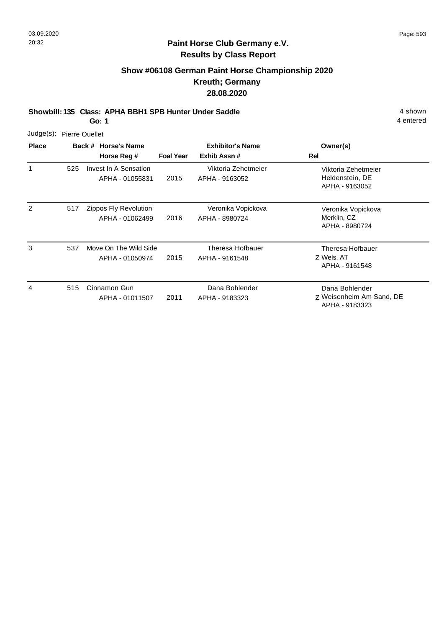## **Paint Horse Club Germany e.V. Results by Class Report**

## **Show #06108 German Paint Horse Championship 2020 Kreuth; Germany 28.08.2020**

**Showbill: 135 Class: APHA BBH1 SPB Hunter Under Saddle** 4 shown

**Go: 1**

| Judge(s): Pierre Ouellet |     |                                          |                  |                                        |                                                              |
|--------------------------|-----|------------------------------------------|------------------|----------------------------------------|--------------------------------------------------------------|
| <b>Place</b>             |     | Back # Horse's Name<br>Horse Reg #       | <b>Foal Year</b> | <b>Exhibitor's Name</b><br>Exhib Assn# | Owner(s)<br>Rel                                              |
| 1                        | 525 | Invest In A Sensation<br>APHA - 01055831 | 2015             | Viktoria Zehetmeier<br>APHA - 9163052  | Viktoria Zehetmeier<br>Heldenstein, DE<br>APHA - 9163052     |
| 2                        | 517 | Zippos Fly Revolution<br>APHA - 01062499 | 2016             | Veronika Vopickova<br>APHA - 8980724   | Veronika Vopickova<br>Merklin, CZ<br>APHA - 8980724          |
| 3                        | 537 | Move On The Wild Side<br>APHA - 01050974 | 2015             | Theresa Hofbauer<br>APHA - 9161548     | Theresa Hofbauer<br>Z Wels, AT<br>APHA - 9161548             |
| 4                        | 515 | Cinnamon Gun<br>APHA - 01011507          | 2011             | Dana Bohlender<br>APHA - 9183323       | Dana Bohlender<br>Z Weisenheim Am Sand, DE<br>APHA - 9183323 |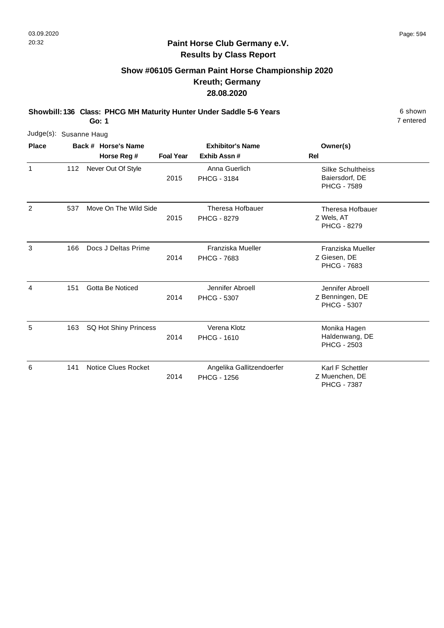#### **Paint Horse Club Germany e.V. Results by Class Report**

# **Show #06105 German Paint Horse Championship 2020 Kreuth; Germany 28.08.2020**

**Showbill: 136 Class: PHCG MH Maturity Hunter Under Saddle 5-6 Years** 6 Shown 6 shown

| Judge(s): Susanne Haug |     |                            |                  |                                                 |                                                                  |
|------------------------|-----|----------------------------|------------------|-------------------------------------------------|------------------------------------------------------------------|
| <b>Place</b>           |     | Back # Horse's Name        |                  | <b>Exhibitor's Name</b>                         | Owner(s)                                                         |
|                        |     | Horse Reg #                | <b>Foal Year</b> | Exhib Assn#                                     | <b>Rel</b>                                                       |
| 1                      | 112 | Never Out Of Style         | 2015             | Anna Guerlich<br><b>PHCG - 3184</b>             | <b>Silke Schultheiss</b><br>Baiersdorf, DE<br><b>PHCG - 7589</b> |
| 2                      | 537 | Move On The Wild Side      | 2015             | Theresa Hofbauer<br><b>PHCG - 8279</b>          | Theresa Hofbauer<br>Z Wels, AT<br><b>PHCG - 8279</b>             |
| 3                      | 166 | Docs J Deltas Prime        | 2014             | Franziska Mueller<br><b>PHCG - 7683</b>         | Franziska Mueller<br>Z Giesen, DE<br><b>PHCG - 7683</b>          |
| 4                      | 151 | <b>Gotta Be Noticed</b>    | 2014             | Jennifer Abroell<br><b>PHCG - 5307</b>          | Jennifer Abroell<br>Z Benningen, DE<br><b>PHCG - 5307</b>        |
| 5                      | 163 | SQ Hot Shiny Princess      | 2014             | Verena Klotz<br><b>PHCG - 1610</b>              | Monika Hagen<br>Haldenwang, DE<br><b>PHCG - 2503</b>             |
| 6                      | 141 | <b>Notice Clues Rocket</b> | 2014             | Angelika Gallitzendoerfer<br><b>PHCG - 1256</b> | Karl F Schettler<br>Z Muenchen, DE<br><b>PHCG - 7387</b>         |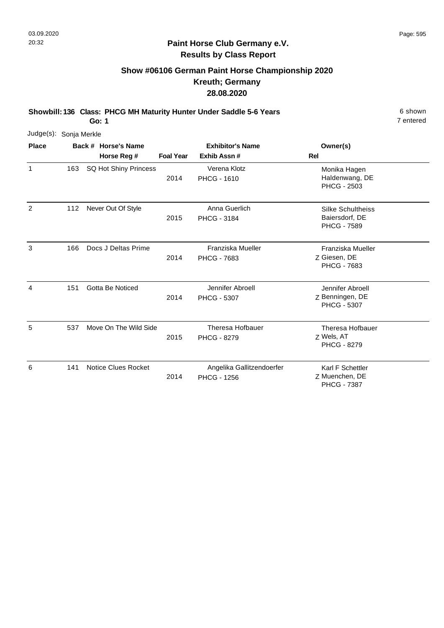#### **Paint Horse Club Germany e.V. Results by Class Report**

# **Show #06106 German Paint Horse Championship 2020 Kreuth; Germany 28.08.2020**

**Showbill: 136 Class: PHCG MH Maturity Hunter Under Saddle 5-6 Years** 6 Shown 6 shown

| Judge(s):      | Sonja Merkle |                       |                         |                                                 |                                                                  |
|----------------|--------------|-----------------------|-------------------------|-------------------------------------------------|------------------------------------------------------------------|
| <b>Place</b>   |              | Back # Horse's Name   | <b>Exhibitor's Name</b> |                                                 | Owner(s)                                                         |
|                |              | Horse Reg #           | <b>Foal Year</b>        | Exhib Assn #                                    | <b>Rel</b>                                                       |
| 1              | 163          | SQ Hot Shiny Princess | 2014                    | Verena Klotz<br><b>PHCG - 1610</b>              | Monika Hagen<br>Haldenwang, DE<br><b>PHCG - 2503</b>             |
| $\overline{c}$ | 112          | Never Out Of Style    | 2015                    | Anna Guerlich<br><b>PHCG - 3184</b>             | <b>Silke Schultheiss</b><br>Baiersdorf, DE<br><b>PHCG - 7589</b> |
| 3              | 166          | Docs J Deltas Prime   | 2014                    | Franziska Mueller<br><b>PHCG - 7683</b>         | Franziska Mueller<br>Z Giesen, DE<br>PHCG - 7683                 |
| 4              | 151          | Gotta Be Noticed      | 2014                    | Jennifer Abroell<br><b>PHCG - 5307</b>          | Jennifer Abroell<br>Z Benningen, DE<br><b>PHCG - 5307</b>        |
| 5              | 537          | Move On The Wild Side | 2015                    | Theresa Hofbauer<br><b>PHCG - 8279</b>          | Theresa Hofbauer<br>Z Wels, AT<br><b>PHCG - 8279</b>             |
| 6              | 141          | Notice Clues Rocket   | 2014                    | Angelika Gallitzendoerfer<br><b>PHCG - 1256</b> | Karl F Schettler<br>Z Muenchen, DE<br><b>PHCG - 7387</b>         |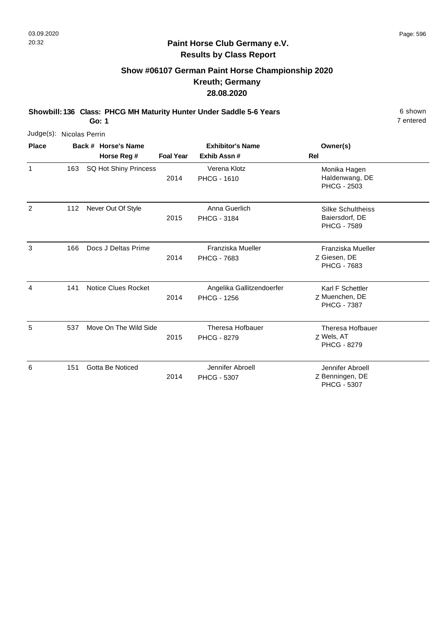# **Show #06107 German Paint Horse Championship 2020 Kreuth; Germany 28.08.2020**

**Showbill: 136 Class: PHCG MH Maturity Hunter Under Saddle 5-6 Years** 6 Shown 6 shown

**Go: 1**

| Judge(s): Nicolas Perrin |     |                            |                  |                                                 |                                                                  |
|--------------------------|-----|----------------------------|------------------|-------------------------------------------------|------------------------------------------------------------------|
| <b>Place</b>             |     | Back # Horse's Name        |                  | <b>Exhibitor's Name</b>                         | Owner(s)                                                         |
|                          |     | Horse Reg #                | <b>Foal Year</b> | Exhib Assn#                                     | Rel                                                              |
| 1                        | 163 | SQ Hot Shiny Princess      | 2014             | Verena Klotz<br><b>PHCG - 1610</b>              | Monika Hagen<br>Haldenwang, DE<br><b>PHCG - 2503</b>             |
| 2                        | 112 | Never Out Of Style         | 2015             | Anna Guerlich<br><b>PHCG - 3184</b>             | <b>Silke Schultheiss</b><br>Baiersdorf, DE<br><b>PHCG - 7589</b> |
| 3                        | 166 | Docs J Deltas Prime        | 2014             | Franziska Mueller<br><b>PHCG - 7683</b>         | Franziska Mueller<br>Z Giesen, DE<br>PHCG - 7683                 |
| 4                        | 141 | <b>Notice Clues Rocket</b> | 2014             | Angelika Gallitzendoerfer<br><b>PHCG - 1256</b> | Karl F Schettler<br>Z Muenchen, DE<br><b>PHCG - 7387</b>         |
| 5                        | 537 | Move On The Wild Side      | 2015             | Theresa Hofbauer<br><b>PHCG - 8279</b>          | Theresa Hofbauer<br>Z Wels, AT<br><b>PHCG - 8279</b>             |
| 6                        | 151 | Gotta Be Noticed           | 2014             | Jennifer Abroell<br><b>PHCG - 5307</b>          | Jennifer Abroell<br>Z Benningen, DE<br><b>PHCG - 5307</b>        |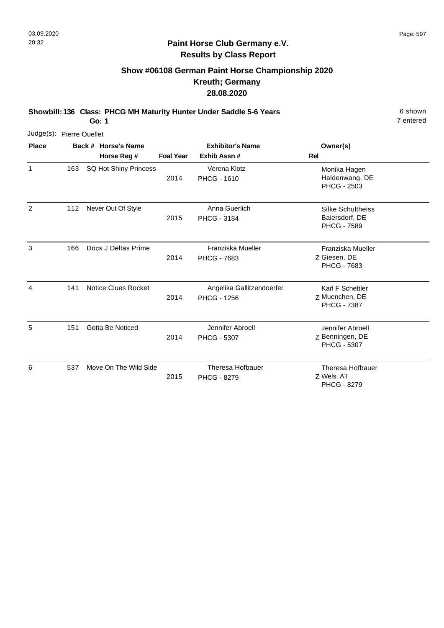# **Show #06108 German Paint Horse Championship 2020 Kreuth; Germany 28.08.2020**

**Showbill: 136 Class: PHCG MH Maturity Hunter Under Saddle 5-6 Years** 6 Shown 6 shown

**Go: 1**

| Judge(s): Pierre Ouellet |     |                            |                         |                                                 |                                                                  |
|--------------------------|-----|----------------------------|-------------------------|-------------------------------------------------|------------------------------------------------------------------|
| <b>Place</b>             |     | Back # Horse's Name        | <b>Exhibitor's Name</b> |                                                 | Owner(s)                                                         |
|                          |     | Horse Reg #                | <b>Foal Year</b>        | Exhib Assn#                                     | Rel                                                              |
| 1                        | 163 | SQ Hot Shiny Princess      | 2014                    | Verena Klotz<br><b>PHCG - 1610</b>              | Monika Hagen<br>Haldenwang, DE<br><b>PHCG - 2503</b>             |
| 2                        | 112 | Never Out Of Style         | 2015                    | Anna Guerlich<br><b>PHCG - 3184</b>             | <b>Silke Schultheiss</b><br>Baiersdorf, DE<br><b>PHCG - 7589</b> |
| 3                        | 166 | Docs J Deltas Prime        | 2014                    | Franziska Mueller<br><b>PHCG - 7683</b>         | Franziska Mueller<br>Z Giesen, DE<br>PHCG - 7683                 |
| $\overline{4}$           | 141 | <b>Notice Clues Rocket</b> | 2014                    | Angelika Gallitzendoerfer<br><b>PHCG - 1256</b> | Karl F Schettler<br>Z Muenchen, DE<br><b>PHCG - 7387</b>         |
| 5                        | 151 | Gotta Be Noticed           | 2014                    | Jennifer Abroell<br><b>PHCG - 5307</b>          | Jennifer Abroell<br>Z Benningen, DE<br><b>PHCG - 5307</b>        |
| 6                        | 537 | Move On The Wild Side      | 2015                    | <b>Theresa Hofbauer</b><br><b>PHCG - 8279</b>   | Theresa Hofbauer<br>Z Wels, AT<br><b>PHCG - 8279</b>             |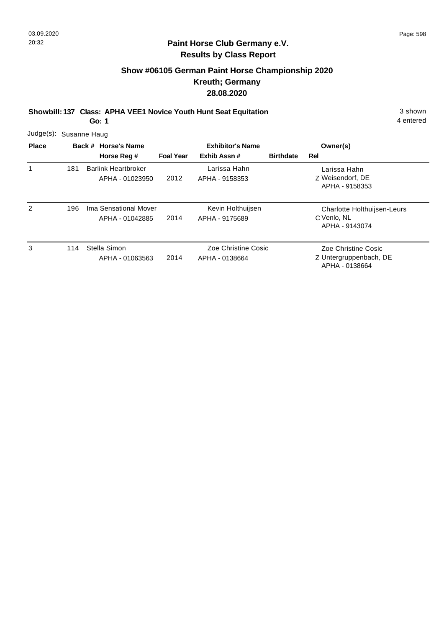# **Show #06105 German Paint Horse Championship 2020 Kreuth; Germany 28.08.2020**

**Showbill: 137 Class: APHA VEE1 Novice Youth Hunt Seat Equitation** 3 shown

**Go: 1**

| Judge(s): Susanne Haug |     |                                               |                         |                                       |                  |                                                                 |
|------------------------|-----|-----------------------------------------------|-------------------------|---------------------------------------|------------------|-----------------------------------------------------------------|
| <b>Place</b>           |     | Back # Horse's Name                           | <b>Exhibitor's Name</b> |                                       |                  | Owner(s)                                                        |
|                        |     | Horse Reg #                                   | <b>Foal Year</b>        | Exhib Assn#                           | <b>Birthdate</b> | Rel                                                             |
|                        | 181 | <b>Barlink Heartbroker</b><br>APHA - 01023950 | 2012                    | Larissa Hahn<br>APHA - 9158353        |                  | Larissa Hahn<br>Z Weisendorf, DE<br>APHA - 9158353              |
| 2                      | 196 | Ima Sensational Mover<br>APHA - 01042885      | 2014                    | Kevin Holthuijsen<br>APHA - 9175689   |                  | Charlotte Holthuijsen-Leurs<br>C Venlo, NL<br>APHA - 9143074    |
| 3                      | 114 | Stella Simon<br>APHA - 01063563               | 2014                    | Zoe Christine Cosic<br>APHA - 0138664 |                  | Zoe Christine Cosic<br>Z Untergruppenbach, DE<br>APHA - 0138664 |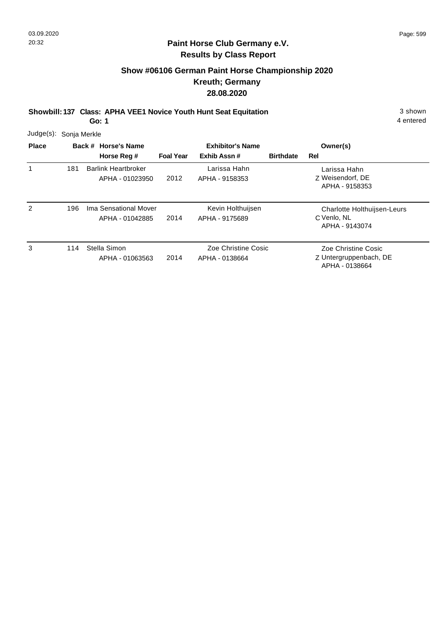#### **Paint Horse Club Germany e.V. Results by Class Report**

# **Show #06106 German Paint Horse Championship 2020 Kreuth; Germany 28.08.2020**

**Showbill: 137 Class: APHA VEE1 Novice Youth Hunt Seat Equitation** 3 shown

**Go: 1**

| Judge(s): Sonja Merkle |     |                                               |                         |                                       |                  |                                                              |
|------------------------|-----|-----------------------------------------------|-------------------------|---------------------------------------|------------------|--------------------------------------------------------------|
| <b>Place</b>           |     | Back # Horse's Name                           | <b>Exhibitor's Name</b> |                                       |                  | Owner(s)                                                     |
|                        |     | Horse Reg #                                   | <b>Foal Year</b>        | Exhib Assn#                           | <b>Birthdate</b> | Rel                                                          |
|                        | 181 | <b>Barlink Heartbroker</b><br>APHA - 01023950 | 2012                    | Larissa Hahn<br>APHA - 9158353        |                  | Larissa Hahn<br>Z Weisendorf, DE<br>APHA - 9158353           |
| 2                      | 196 | Ima Sensational Mover<br>APHA - 01042885      | 2014                    | Kevin Holthuijsen<br>APHA - 9175689   |                  | Charlotte Holthuijsen-Leurs<br>C Venlo, NL<br>APHA - 9143074 |
| 3                      | 114 | Stella Simon<br>APHA - 01063563               | 2014                    | Zoe Christine Cosic<br>APHA - 0138664 |                  | Zoe Christine Cosic<br>Z Untergruppenbach, DE                |

APHA - 0138664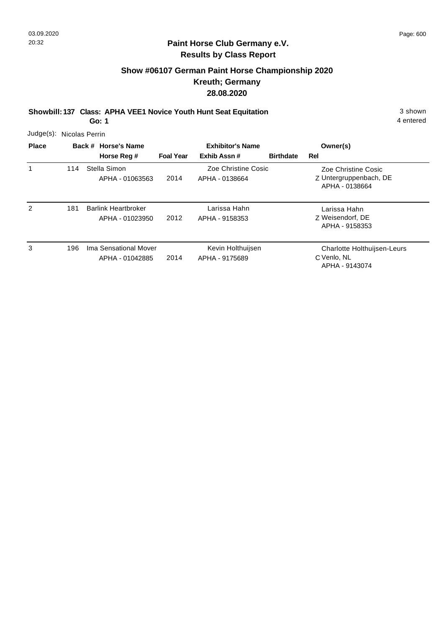# **Show #06107 German Paint Horse Championship 2020 Kreuth; Germany 28.08.2020**

**Showbill: 137 Class: APHA VEE1 Novice Youth Hunt Seat Equitation** 3 shown

**Go: 1**

| <b>Place</b> |     | Back # Horse's Name                           | <b>Exhibitor's Name</b> |                                       |                  | Owner(s)                                                        |
|--------------|-----|-----------------------------------------------|-------------------------|---------------------------------------|------------------|-----------------------------------------------------------------|
|              |     | Horse Reg #                                   | <b>Foal Year</b>        | Exhib Assn#                           | <b>Birthdate</b> | Rel                                                             |
| 1            | 114 | Stella Simon<br>APHA - 01063563               | 2014                    | Zoe Christine Cosic<br>APHA - 0138664 |                  | Zoe Christine Cosic<br>Z Untergruppenbach, DE<br>APHA - 0138664 |
| 2            | 181 | <b>Barlink Heartbroker</b><br>APHA - 01023950 | 2012                    | Larissa Hahn<br>APHA - 9158353        |                  | Larissa Hahn<br>Z Weisendorf, DE<br>APHA - 9158353              |
| 3            | 196 | Ima Sensational Mover<br>APHA - 01042885      | 2014                    | Kevin Holthuijsen<br>APHA - 9175689   |                  | Charlotte Holthuijsen-Leurs<br>C Venlo, NL<br>APHA - 9143074    |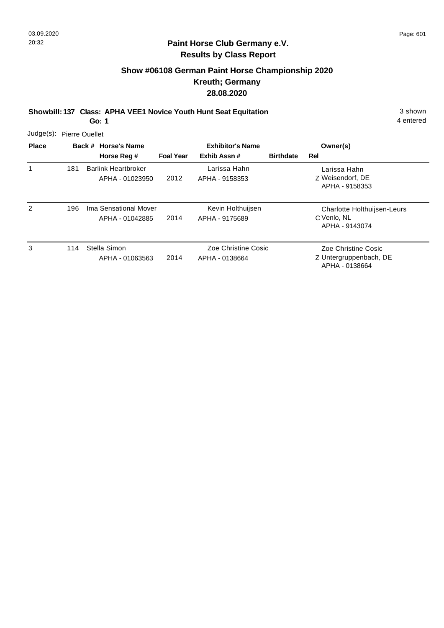1

#### **Paint Horse Club Germany e.V. Results by Class Report**

# **Show #06108 German Paint Horse Championship 2020 Kreuth; Germany 28.08.2020**

**Showbill: 137 Class: APHA VEE1 Novice Youth Hunt Seat Equitation** 3 shown

|                          |                     | Go: 1                      |                         |                |                  |                  | 4 entered |
|--------------------------|---------------------|----------------------------|-------------------------|----------------|------------------|------------------|-----------|
| Judge(s): Pierre Ouellet |                     |                            |                         |                |                  |                  |           |
| Place                    | Back # Horse's Name |                            | <b>Exhibitor's Name</b> |                |                  | Owner(s)         |           |
|                          |                     | Horse Reg #                | <b>Foal Year</b>        | Exhib Assn #   | <b>Birthdate</b> | Rel              |           |
|                          | 181                 | <b>Barlink Heartbroker</b> |                         | Larissa Hahn   |                  | Larissa Hahn     |           |
|                          |                     | APHA - 01023950            | 2012                    | APHA - 9158353 |                  | Z Weisendorf, DE |           |

|   |     |                                          |      |                                       | APHA - 9158353                                                  |
|---|-----|------------------------------------------|------|---------------------------------------|-----------------------------------------------------------------|
| 2 | 196 | Ima Sensational Mover<br>APHA - 01042885 | 2014 | Kevin Holthuijsen<br>APHA - 9175689   | Charlotte Holthuijsen-Leurs<br>C Venlo, NL<br>APHA - 9143074    |
| 3 | 114 | Stella Simon<br>APHA - 01063563          | 2014 | Zoe Christine Cosic<br>APHA - 0138664 | Zoe Christine Cosic<br>Z Untergruppenbach, DE<br>APHA - 0138664 |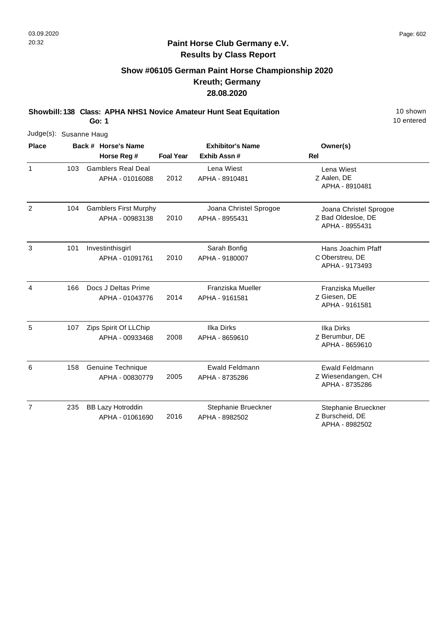# **Show #06105 German Paint Horse Championship 2020 Kreuth; Germany 28.08.2020**

**Showbill: 138 Class: APHA NHS1 Novice Amateur Hunt Seat Equitation** 10 Shown 10 shown

**Go: 1**

| Judge(s): Susanne Haug |     |                                                 |                  |                                          |                                                                |  |  |  |
|------------------------|-----|-------------------------------------------------|------------------|------------------------------------------|----------------------------------------------------------------|--|--|--|
| <b>Place</b>           |     | Back # Horse's Name                             |                  | <b>Exhibitor's Name</b>                  | Owner(s)                                                       |  |  |  |
|                        |     | Horse Reg #                                     | <b>Foal Year</b> | Exhib Assn #                             | <b>Rel</b>                                                     |  |  |  |
| $\mathbf{1}$           | 103 | <b>Gamblers Real Deal</b><br>APHA - 01016088    | 2012             | Lena Wiest<br>APHA - 8910481             | Lena Wiest<br>Z Aalen, DE<br>APHA - 8910481                    |  |  |  |
| $\overline{2}$         | 104 | <b>Gamblers First Murphy</b><br>APHA - 00983138 | 2010             | Joana Christel Sprogoe<br>APHA - 8955431 | Joana Christel Sprogoe<br>Z Bad Oldesloe, DE<br>APHA - 8955431 |  |  |  |
| 3                      | 101 | Investinthisgirl<br>APHA - 01091761             | 2010             | Sarah Bonfig<br>APHA - 9180007           | Hans Joachim Pfaff<br>C Oberstreu, DE<br>APHA - 9173493        |  |  |  |
| $\overline{4}$         | 166 | Docs J Deltas Prime<br>APHA - 01043776          | 2014             | Franziska Mueller<br>APHA - 9161581      | Franziska Mueller<br>Z Giesen, DE<br>APHA - 9161581            |  |  |  |
| 5                      | 107 | Zips Spirit Of LLChip<br>APHA - 00933468        | 2008             | <b>Ilka Dirks</b><br>APHA - 8659610      | <b>Ilka Dirks</b><br>Z Berumbur, DE<br>APHA - 8659610          |  |  |  |
| 6                      | 158 | Genuine Technique<br>APHA - 00830779            | 2005             | <b>Ewald Feldmann</b><br>APHA - 8735286  | <b>Ewald Feldmann</b><br>Z Wiesendangen, CH<br>APHA - 8735286  |  |  |  |
| $\overline{7}$         | 235 | <b>BB Lazy Hotroddin</b><br>APHA - 01061690     | 2016             | Stephanie Brueckner<br>APHA - 8982502    | Stephanie Brueckner<br>Z Burscheid, DE<br>APHA - 8982502       |  |  |  |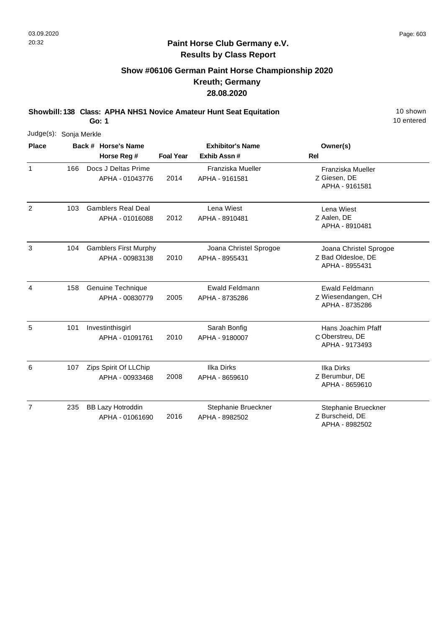#### **Paint Horse Club Germany e.V. Results by Class Report**

# **Show #06106 German Paint Horse Championship 2020 Kreuth; Germany 28.08.2020**

**Showbill: 138 Class: APHA NHS1 Novice Amateur Hunt Seat Equitation** 10 Shown 10 shown

**Go: 1**

|                | Judge(s): Sonja Merkle |  |                                                 |                  |                                          |                                                                |  |  |  |  |
|----------------|------------------------|--|-------------------------------------------------|------------------|------------------------------------------|----------------------------------------------------------------|--|--|--|--|
| <b>Place</b>   |                        |  | Back # Horse's Name                             |                  | <b>Exhibitor's Name</b>                  | Owner(s)                                                       |  |  |  |  |
|                |                        |  | Horse Reg #                                     | <b>Foal Year</b> | Exhib Assn#                              | Rel                                                            |  |  |  |  |
| $\mathbf{1}$   | 166                    |  | Docs J Deltas Prime<br>APHA - 01043776          | 2014             | Franziska Mueller<br>APHA - 9161581      | Franziska Mueller<br>Z Giesen, DE<br>APHA - 9161581            |  |  |  |  |
| $\overline{2}$ | 103                    |  | <b>Gamblers Real Deal</b><br>APHA - 01016088    | 2012             | Lena Wiest<br>APHA - 8910481             | Lena Wiest<br>Z Aalen, DE<br>APHA - 8910481                    |  |  |  |  |
| 3              | 104                    |  | <b>Gamblers First Murphy</b><br>APHA - 00983138 | 2010             | Joana Christel Sprogoe<br>APHA - 8955431 | Joana Christel Sprogoe<br>Z Bad Oldesloe, DE<br>APHA - 8955431 |  |  |  |  |
| 4              | 158                    |  | Genuine Technique<br>APHA - 00830779            | 2005             | Ewald Feldmann<br>APHA - 8735286         | <b>Ewald Feldmann</b><br>Z Wiesendangen, CH<br>APHA - 8735286  |  |  |  |  |
| 5              | 101                    |  | Investinthisgirl<br>APHA - 01091761             | 2010             | Sarah Bonfig<br>APHA - 9180007           | Hans Joachim Pfaff<br>C Oberstreu, DE<br>APHA - 9173493        |  |  |  |  |
| 6              | 107                    |  | Zips Spirit Of LLChip<br>APHA - 00933468        | 2008             | <b>Ilka Dirks</b><br>APHA - 8659610      | <b>Ilka Dirks</b><br>Z Berumbur, DE<br>APHA - 8659610          |  |  |  |  |
| $\overline{7}$ | 235                    |  | <b>BB Lazy Hotroddin</b><br>APHA - 01061690     | 2016             | Stephanie Brueckner<br>APHA - 8982502    | Stephanie Brueckner<br>Z Burscheid, DE                         |  |  |  |  |

APHA - 8982502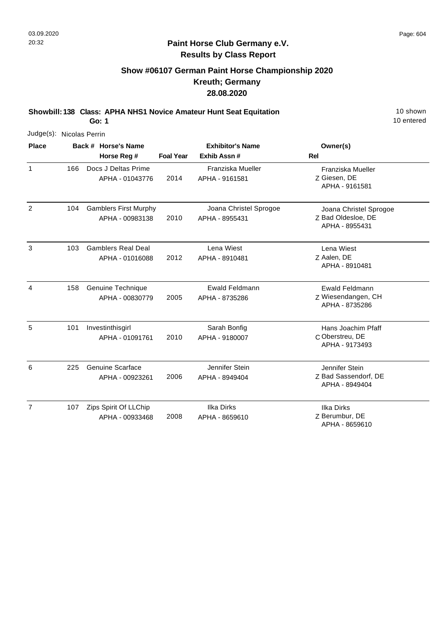#### **Paint Horse Club Germany e.V. Results by Class Report**

# **Show #06107 German Paint Horse Championship 2020 Kreuth; Germany 28.08.2020**

**Showbill: 138 Class: APHA NHS1 Novice Amateur Hunt Seat Equitation** 10 Shown 10 shown

**Go: 1**

|                | Judge(s): Nicolas Perrin |  |                                                 |                  |                                          |                                                                |  |  |  |  |
|----------------|--------------------------|--|-------------------------------------------------|------------------|------------------------------------------|----------------------------------------------------------------|--|--|--|--|
| <b>Place</b>   |                          |  | Back # Horse's Name<br>Horse Reg #              | <b>Foal Year</b> | <b>Exhibitor's Name</b><br>Exhib Assn #  | Owner(s)<br>Rel                                                |  |  |  |  |
| $\mathbf{1}$   | 166                      |  | Docs J Deltas Prime<br>APHA - 01043776          | 2014             | Franziska Mueller<br>APHA - 9161581      | Franziska Mueller<br>Z Giesen, DE<br>APHA - 9161581            |  |  |  |  |
| 2              | 104                      |  | <b>Gamblers First Murphy</b><br>APHA - 00983138 | 2010             | Joana Christel Sprogoe<br>APHA - 8955431 | Joana Christel Sprogoe<br>Z Bad Oldesloe, DE<br>APHA - 8955431 |  |  |  |  |
| 3              | 103                      |  | <b>Gamblers Real Deal</b><br>APHA - 01016088    | 2012             | Lena Wiest<br>APHA - 8910481             | Lena Wiest<br>Z Aalen, DE<br>APHA - 8910481                    |  |  |  |  |
| $\overline{4}$ | 158                      |  | Genuine Technique<br>APHA - 00830779            | 2005             | <b>Ewald Feldmann</b><br>APHA - 8735286  | <b>Ewald Feldmann</b><br>Z Wiesendangen, CH<br>APHA - 8735286  |  |  |  |  |
| 5              | 101                      |  | Investinthisgirl<br>APHA - 01091761             | 2010             | Sarah Bonfig<br>APHA - 9180007           | Hans Joachim Pfaff<br>C Oberstreu, DE<br>APHA - 9173493        |  |  |  |  |
| 6              | 225                      |  | <b>Genuine Scarface</b><br>APHA - 00923261      | 2006             | Jennifer Stein<br>APHA - 8949404         | Jennifer Stein<br>Z Bad Sassendorf, DE<br>APHA - 8949404       |  |  |  |  |
| $\overline{7}$ | 107                      |  | Zips Spirit Of LLChip<br>APHA - 00933468        | 2008             | <b>Ilka Dirks</b><br>APHA - 8659610      | <b>Ilka Dirks</b><br>Z Berumbur, DE                            |  |  |  |  |

APHA - 8659610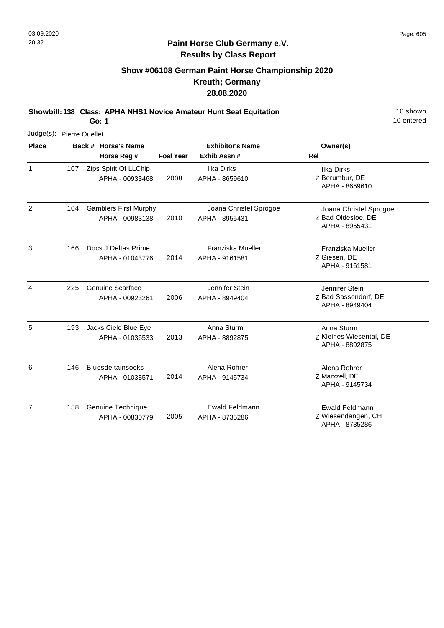## **Show #06108 German Paint Horse Championship 2020 Kreuth; Germany 28.08.2020**

**Showbill: 138 Class: APHA NHS1 Novice Amateur Hunt Seat Equitation** 10 Shown 10 shown

**Go: 1**

| Judge(s): Pierre Ouellet |     |                                                 |                  |                                          |                                                                |
|--------------------------|-----|-------------------------------------------------|------------------|------------------------------------------|----------------------------------------------------------------|
| <b>Place</b>             |     | Back # Horse's Name<br>Horse Reg #              | <b>Foal Year</b> | <b>Exhibitor's Name</b><br>Exhib Assn #  | Owner(s)<br>Rel                                                |
| $\mathbf{1}$             | 107 | Zips Spirit Of LLChip<br>APHA - 00933468        | 2008             | Ilka Dirks<br>APHA - 8659610             | <b>Ilka Dirks</b><br>Z Berumbur, DE<br>APHA - 8659610          |
| $\overline{2}$           | 104 | <b>Gamblers First Murphy</b><br>APHA - 00983138 | 2010             | Joana Christel Sprogoe<br>APHA - 8955431 | Joana Christel Sprogoe<br>Z Bad Oldesloe, DE<br>APHA - 8955431 |
| $\mathbf{3}$             | 166 | Docs J Deltas Prime<br>APHA - 01043776          | 2014             | Franziska Mueller<br>APHA - 9161581      | Franziska Mueller<br>Z Giesen, DE<br>APHA - 9161581            |
| $\overline{4}$           | 225 | Genuine Scarface<br>APHA - 00923261             | 2006             | Jennifer Stein<br>APHA - 8949404         | Jennifer Stein<br>Z Bad Sassendorf, DE<br>APHA - 8949404       |
| 5                        | 193 | Jacks Cielo Blue Eye<br>APHA - 01036533         | 2013             | Anna Sturm<br>APHA - 8892875             | Anna Sturm<br>Z Kleines Wiesental, DE<br>APHA - 8892875        |
| 6                        | 146 | <b>Bluesdeltainsocks</b><br>APHA - 01038571     | 2014             | Alena Rohrer<br>APHA - 9145734           | Alena Rohrer<br>Z Marxzell, DE<br>APHA - 9145734               |
| $\overline{7}$           | 158 | Genuine Technique<br>APHA - 00830779            | 2005             | Ewald Feldmann<br>APHA - 8735286         | <b>Ewald Feldmann</b><br>Z Wiesendangen, CH<br>APHA - 8735286  |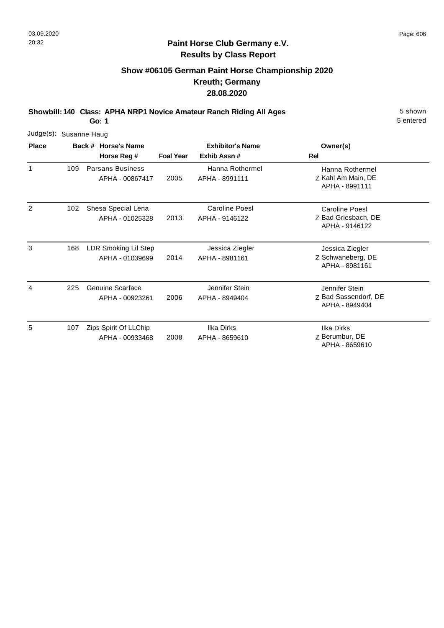#### **Paint Horse Club Germany e.V. Results by Class Report**

# **Show #06105 German Paint Horse Championship 2020 Kreuth; Germany 28.08.2020**

**Showbill: 140 Class: APHA NRP1 Novice Amateur Ranch Riding All Ages** 5 Shown

| Judge(s): Susanne Haug |     |                                            |                  |                                         |                                                                |
|------------------------|-----|--------------------------------------------|------------------|-----------------------------------------|----------------------------------------------------------------|
| <b>Place</b>           |     | Back # Horse's Name<br>Horse Reg #         | <b>Foal Year</b> | <b>Exhibitor's Name</b><br>Exhib Assn#  | Owner(s)<br><b>Rel</b>                                         |
| 1                      | 109 | <b>Parsans Business</b><br>APHA - 00867417 | 2005             | Hanna Rothermel<br>APHA - 8991111       | Hanna Rothermel<br>Z Kahl Am Main, DE<br>APHA - 8991111        |
| 2                      | 102 | Shesa Special Lena<br>APHA - 01025328      | 2013             | <b>Caroline Poesl</b><br>APHA - 9146122 | <b>Caroline Poesl</b><br>Z Bad Griesbach, DE<br>APHA - 9146122 |
| 3                      | 168 | LDR Smoking Lil Step<br>APHA - 01039699    | 2014             | Jessica Ziegler<br>APHA - 8981161       | Jessica Ziegler<br>Z Schwaneberg, DE<br>APHA - 8981161         |
| 4                      | 225 | Genuine Scarface<br>APHA - 00923261        | 2006             | Jennifer Stein<br>APHA - 8949404        | Jennifer Stein<br>Z Bad Sassendorf, DE<br>APHA - 8949404       |
| 5                      | 107 | Zips Spirit Of LLChip<br>APHA - 00933468   | 2008             | Ilka Dirks<br>APHA - 8659610            | Ilka Dirks<br>Z Berumbur, DE<br>APHA - 8659610                 |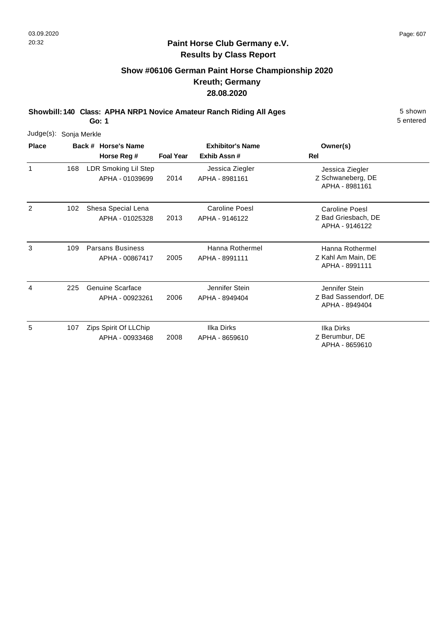#### **Paint Horse Club Germany e.V. Results by Class Report**

# **Show #06106 German Paint Horse Championship 2020 Kreuth; Germany 28.08.2020**

**Showbill: 140 Class: APHA NRP1 Novice Amateur Ranch Riding All Ages** 5 Shown

| Judge(s): Sonja Merkle |     |                                            |                  |                                         |                                                                |
|------------------------|-----|--------------------------------------------|------------------|-----------------------------------------|----------------------------------------------------------------|
| <b>Place</b>           |     | Back # Horse's Name                        |                  | <b>Exhibitor's Name</b>                 | Owner(s)                                                       |
|                        |     | Horse Reg #                                | <b>Foal Year</b> | Exhib Assn#                             | <b>Rel</b>                                                     |
| 1                      | 168 | LDR Smoking Lil Step<br>APHA - 01039699    | 2014             | Jessica Ziegler<br>APHA - 8981161       | Jessica Ziegler<br>Z Schwaneberg, DE<br>APHA - 8981161         |
| 2                      | 102 | Shesa Special Lena<br>APHA - 01025328      | 2013             | <b>Caroline Poesl</b><br>APHA - 9146122 | <b>Caroline Poesl</b><br>Z Bad Griesbach, DE<br>APHA - 9146122 |
| 3                      | 109 | <b>Parsans Business</b><br>APHA - 00867417 | 2005             | Hanna Rothermel<br>APHA - 8991111       | Hanna Rothermel<br>Z Kahl Am Main, DE<br>APHA - 8991111        |
| 4                      | 225 | Genuine Scarface<br>APHA - 00923261        | 2006             | Jennifer Stein<br>APHA - 8949404        | Jennifer Stein<br>Z Bad Sassendorf, DE<br>APHA - 8949404       |
| 5                      | 107 | Zips Spirit Of LLChip<br>APHA - 00933468   | 2008             | Ilka Dirks<br>APHA - 8659610            | <b>Ilka Dirks</b><br>Z Berumbur, DE<br>APHA - 8659610          |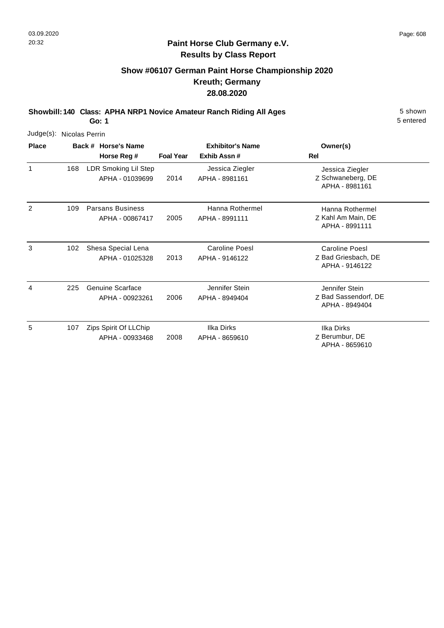#### **Paint Horse Club Germany e.V. Results by Class Report**

# **Show #06107 German Paint Horse Championship 2020 Kreuth; Germany 28.08.2020**

**Showbill: 140 Class: APHA NRP1 Novice Amateur Ranch Riding All Ages** 5 Shown

| Judge(s): Nicolas Perrin |     |                                            |                  |                                        |                                                                |
|--------------------------|-----|--------------------------------------------|------------------|----------------------------------------|----------------------------------------------------------------|
| <b>Place</b>             |     | Back # Horse's Name<br>Horse Reg #         | <b>Foal Year</b> | <b>Exhibitor's Name</b><br>Exhib Assn# | Owner(s)<br>Rel                                                |
| 1                        | 168 | LDR Smoking Lil Step<br>APHA - 01039699    | 2014             | Jessica Ziegler<br>APHA - 8981161      | Jessica Ziegler<br>Z Schwaneberg, DE<br>APHA - 8981161         |
| 2                        | 109 | <b>Parsans Business</b><br>APHA - 00867417 | 2005             | Hanna Rothermel<br>APHA - 8991111      | Hanna Rothermel<br>Z Kahl Am Main, DE<br>APHA - 8991111        |
| 3                        | 102 | Shesa Special Lena<br>APHA - 01025328      | 2013             | Caroline Poesl<br>APHA - 9146122       | <b>Caroline Poesl</b><br>Z Bad Griesbach, DE<br>APHA - 9146122 |
| 4                        | 225 | Genuine Scarface<br>APHA - 00923261        | 2006             | Jennifer Stein<br>APHA - 8949404       | Jennifer Stein<br>Z Bad Sassendorf, DE<br>APHA - 8949404       |
| 5                        | 107 | Zips Spirit Of LLChip<br>APHA - 00933468   | 2008             | Ilka Dirks<br>APHA - 8659610           | Ilka Dirks<br>Z Berumbur, DE<br>APHA - 8659610                 |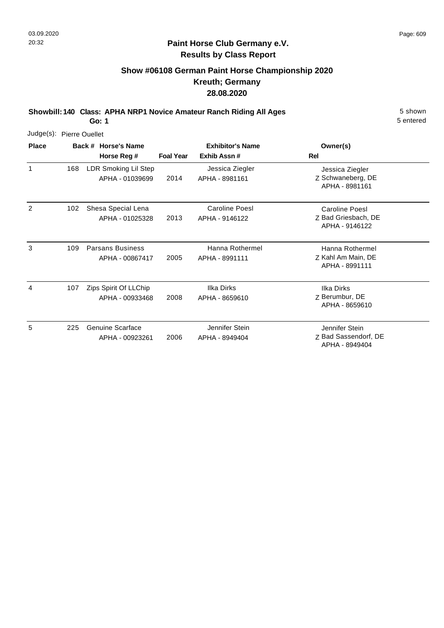#### **Paint Horse Club Germany e.V. Results by Class Report**

# **Show #06108 German Paint Horse Championship 2020 Kreuth; Germany 28.08.2020**

**Showbill: 140 Class: APHA NRP1 Novice Amateur Ranch Riding All Ages** 5 Shown

| Judge(s): Pierre Ouellet |     |                                            |                  |                                         |                                                                |
|--------------------------|-----|--------------------------------------------|------------------|-----------------------------------------|----------------------------------------------------------------|
| <b>Place</b>             |     | Back # Horse's Name<br>Horse Reg #         | <b>Foal Year</b> | <b>Exhibitor's Name</b><br>Exhib Assn#  | Owner(s)<br>Rel                                                |
| 1                        | 168 | LDR Smoking Lil Step<br>APHA - 01039699    | 2014             | Jessica Ziegler<br>APHA - 8981161       | Jessica Ziegler<br>Z Schwaneberg, DE<br>APHA - 8981161         |
| 2                        | 102 | Shesa Special Lena<br>APHA - 01025328      | 2013             | <b>Caroline Poesl</b><br>APHA - 9146122 | <b>Caroline Poesl</b><br>Z Bad Griesbach, DE<br>APHA - 9146122 |
| 3                        | 109 | <b>Parsans Business</b><br>APHA - 00867417 | 2005             | Hanna Rothermel<br>APHA - 8991111       | Hanna Rothermel<br>Z Kahl Am Main, DE<br>APHA - 8991111        |
| 4                        | 107 | Zips Spirit Of LLChip<br>APHA - 00933468   | 2008             | Ilka Dirks<br>APHA - 8659610            | Ilka Dirks<br>Z Berumbur, DE<br>APHA - 8659610                 |
| 5                        | 225 | <b>Genuine Scarface</b><br>APHA - 00923261 | 2006             | Jennifer Stein<br>APHA - 8949404        | Jennifer Stein<br>Z Bad Sassendorf, DE<br>APHA - 8949404       |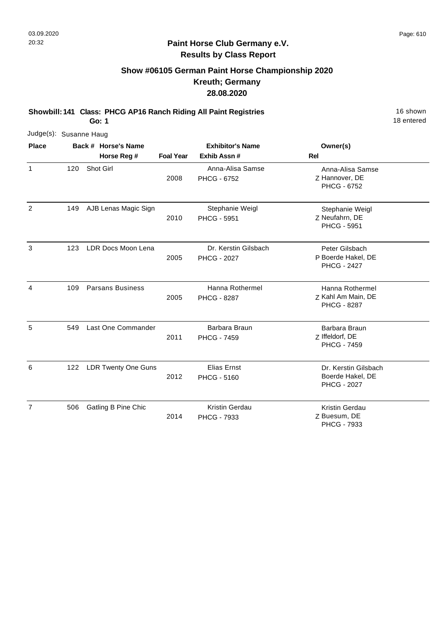#### **Paint Horse Club Germany e.V. Results by Class Report**

# **Show #06105 German Paint Horse Championship 2020 Kreuth; Germany 28.08.2020**

**Showbill: 141 Class: PHCG AP16 Ranch Riding All Paint Registries** 16 Shown 16 shown

| Judge(s): Susanne Haug |     |                            |                  |                                            |                                                                |
|------------------------|-----|----------------------------|------------------|--------------------------------------------|----------------------------------------------------------------|
| <b>Place</b>           |     | Back # Horse's Name        |                  | <b>Exhibitor's Name</b>                    | Owner(s)                                                       |
|                        |     | Horse Reg #                | <b>Foal Year</b> | Exhib Assn #                               | Rel                                                            |
| $\mathbf{1}$           | 120 | Shot Girl                  | 2008             | Anna-Alisa Samse<br>PHCG - 6752            | Anna-Alisa Samse<br>Z Hannover, DE<br><b>PHCG - 6752</b>       |
| 2                      | 149 | AJB Lenas Magic Sign       | 2010             | Stephanie Weigl<br><b>PHCG - 5951</b>      | Stephanie Weigl<br>Z Neufahrn, DE<br><b>PHCG - 5951</b>        |
| 3                      | 123 | LDR Docs Moon Lena         | 2005             | Dr. Kerstin Gilsbach<br><b>PHCG - 2027</b> | Peter Gilsbach<br>P Boerde Hakel, DE<br><b>PHCG - 2427</b>     |
| $\overline{4}$         | 109 | <b>Parsans Business</b>    | 2005             | Hanna Rothermel<br><b>PHCG - 8287</b>      | Hanna Rothermel<br>Z Kahl Am Main, DE<br><b>PHCG - 8287</b>    |
| 5                      | 549 | Last One Commander         | 2011             | Barbara Braun<br><b>PHCG - 7459</b>        | Barbara Braun<br>Z Iffeldorf, DE<br><b>PHCG - 7459</b>         |
| 6                      | 122 | <b>LDR Twenty One Guns</b> | 2012             | <b>Elias Ernst</b><br><b>PHCG - 5160</b>   | Dr. Kerstin Gilsbach<br>Boerde Hakel, DE<br><b>PHCG - 2027</b> |
| $\overline{7}$         | 506 | Gatling B Pine Chic        | 2014             | <b>Kristin Gerdau</b><br>PHCG - 7933       | Kristin Gerdau<br>Z Buesum, DE<br>PHCG - 7933                  |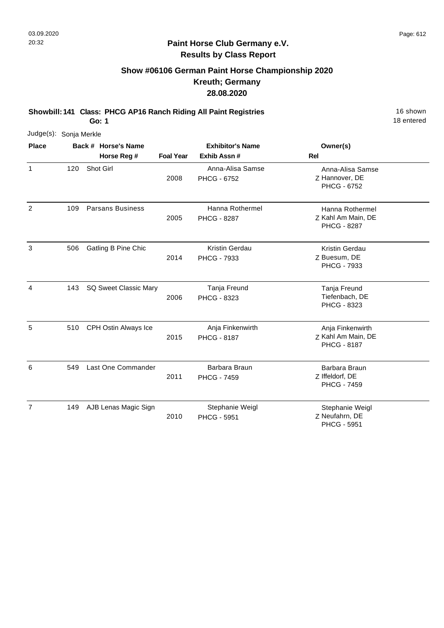# **Show #06106 German Paint Horse Championship 2020 Kreuth; Germany 28.08.2020**

**Showbill: 141 Class: PHCG AP16 Ranch Riding All Paint Registries** 16 Shown 16 shown

**Go: 1**

| Judge(s): Sonja Merkle |     |                              |                  |                                        |                                                              |
|------------------------|-----|------------------------------|------------------|----------------------------------------|--------------------------------------------------------------|
| <b>Place</b>           |     | Back # Horse's Name          |                  | <b>Exhibitor's Name</b>                | Owner(s)                                                     |
|                        |     | Horse Reg #                  | <b>Foal Year</b> | Exhib Assn #                           | <b>Rel</b>                                                   |
| $\mathbf{1}$           | 120 | Shot Girl                    | 2008             | Anna-Alisa Samse<br><b>PHCG - 6752</b> | Anna-Alisa Samse<br>Z Hannover, DE<br>PHCG - 6752            |
| $\overline{2}$         | 109 | <b>Parsans Business</b>      | 2005             | Hanna Rothermel<br><b>PHCG - 8287</b>  | Hanna Rothermel<br>Z Kahl Am Main, DE<br><b>PHCG - 8287</b>  |
| 3                      | 506 | Gatling B Pine Chic          | 2014             | Kristin Gerdau<br>PHCG - 7933          | Kristin Gerdau<br>Z Buesum, DE<br>PHCG - 7933                |
| 4                      | 143 | <b>SQ Sweet Classic Mary</b> | 2006             | Tanja Freund<br>PHCG - 8323            | Tanja Freund<br>Tiefenbach, DE<br>PHCG - 8323                |
| 5                      | 510 | CPH Ostin Always Ice         | 2015             | Anja Finkenwirth<br><b>PHCG - 8187</b> | Anja Finkenwirth<br>Z Kahl Am Main, DE<br><b>PHCG - 8187</b> |
| 6                      | 549 | Last One Commander           | 2011             | Barbara Braun<br><b>PHCG - 7459</b>    | Barbara Braun<br>Z Iffeldorf, DE<br><b>PHCG - 7459</b>       |
| $\overline{7}$         | 149 | AJB Lenas Magic Sign         | 2010             | Stephanie Weigl<br>PHCG - 5951         | Stephanie Weigl<br>Z Neufahrn, DE<br>PHCG - 5951             |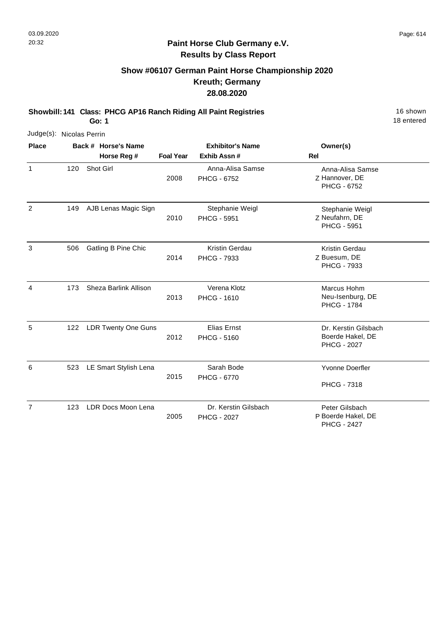# **Show #06107 German Paint Horse Championship 2020 Kreuth; Germany 28.08.2020**

**Showbill: 141 Class: PHCG AP16 Ranch Riding All Paint Registries** 16 Shown 16 shown

**Go: 1**

| Judge(s): Nicolas Perrin |     |                            |                  |                                            |                                                                |
|--------------------------|-----|----------------------------|------------------|--------------------------------------------|----------------------------------------------------------------|
| <b>Place</b>             |     | Back # Horse's Name        |                  | <b>Exhibitor's Name</b>                    | Owner(s)                                                       |
|                          |     | Horse Reg #                | <b>Foal Year</b> | Exhib Assn #                               | <b>Rel</b>                                                     |
| $\mathbf{1}$             | 120 | Shot Girl                  | 2008             | Anna-Alisa Samse<br><b>PHCG - 6752</b>     | Anna-Alisa Samse<br>Z Hannover, DE<br>PHCG - 6752              |
| $\overline{c}$           | 149 | AJB Lenas Magic Sign       | 2010             | Stephanie Weigl<br><b>PHCG - 5951</b>      | Stephanie Weigl<br>Z Neufahrn, DE<br><b>PHCG - 5951</b>        |
| 3                        | 506 | Gatling B Pine Chic        | 2014             | Kristin Gerdau<br>PHCG - 7933              | Kristin Gerdau<br>Z Buesum, DE<br>PHCG - 7933                  |
| 4                        | 173 | Sheza Barlink Allison      | 2013             | Verena Klotz<br><b>PHCG - 1610</b>         | Marcus Hohm<br>Neu-Isenburg, DE<br><b>PHCG - 1784</b>          |
| 5                        | 122 | <b>LDR Twenty One Guns</b> | 2012             | <b>Elias Ernst</b><br><b>PHCG - 5160</b>   | Dr. Kerstin Gilsbach<br>Boerde Hakel, DE<br><b>PHCG - 2027</b> |
| 6                        | 523 | LE Smart Stylish Lena      | 2015             | Sarah Bode<br>PHCG - 6770                  | Yvonne Doerfler<br><b>PHCG - 7318</b>                          |
| $\overline{7}$           | 123 | LDR Docs Moon Lena         | 2005             | Dr. Kerstin Gilsbach<br><b>PHCG - 2027</b> | Peter Gilsbach<br>P Boerde Hakel, DE<br><b>PHCG - 2427</b>     |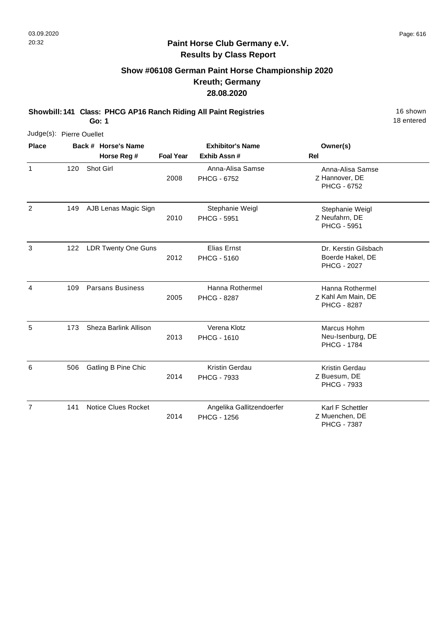#### **Paint Horse Club Germany e.V. Results by Class Report**

# **Show #06108 German Paint Horse Championship 2020 Kreuth; Germany 28.08.2020**

**Showbill: 141 Class: PHCG AP16 Ranch Riding All Paint Registries** 16 Shown 16 shown

| Judge(s): Pierre Ouellet |     |                            |                  |                                                 |                                                                |
|--------------------------|-----|----------------------------|------------------|-------------------------------------------------|----------------------------------------------------------------|
| <b>Place</b>             |     | Back # Horse's Name        |                  | <b>Exhibitor's Name</b>                         | Owner(s)                                                       |
|                          |     | Horse Reg #                | <b>Foal Year</b> | Exhib Assn #                                    | <b>Rel</b>                                                     |
| $\mathbf{1}$             | 120 | Shot Girl                  | 2008             | Anna-Alisa Samse<br>PHCG - 6752                 | Anna-Alisa Samse<br>Z Hannover, DE<br>PHCG - 6752              |
| $\overline{2}$           | 149 | AJB Lenas Magic Sign       | 2010             | Stephanie Weigl<br><b>PHCG - 5951</b>           | Stephanie Weigl<br>Z Neufahrn, DE<br><b>PHCG - 5951</b>        |
| 3                        | 122 | <b>LDR Twenty One Guns</b> | 2012             | Elias Ernst<br><b>PHCG - 5160</b>               | Dr. Kerstin Gilsbach<br>Boerde Hakel, DE<br><b>PHCG - 2027</b> |
| 4                        | 109 | <b>Parsans Business</b>    | 2005             | Hanna Rothermel<br><b>PHCG - 8287</b>           | Hanna Rothermel<br>Z Kahl Am Main, DE<br><b>PHCG - 8287</b>    |
| 5                        | 173 | Sheza Barlink Allison      | 2013             | Verena Klotz<br><b>PHCG - 1610</b>              | Marcus Hohm<br>Neu-Isenburg, DE<br><b>PHCG - 1784</b>          |
| 6                        | 506 | Gatling B Pine Chic        | 2014             | Kristin Gerdau<br>PHCG - 7933                   | Kristin Gerdau<br>Z Buesum, DE<br>PHCG - 7933                  |
| $\overline{7}$           | 141 | <b>Notice Clues Rocket</b> | 2014             | Angelika Gallitzendoerfer<br><b>PHCG - 1256</b> | Karl F Schettler<br>Z Muenchen, DE<br><b>PHCG - 7387</b>       |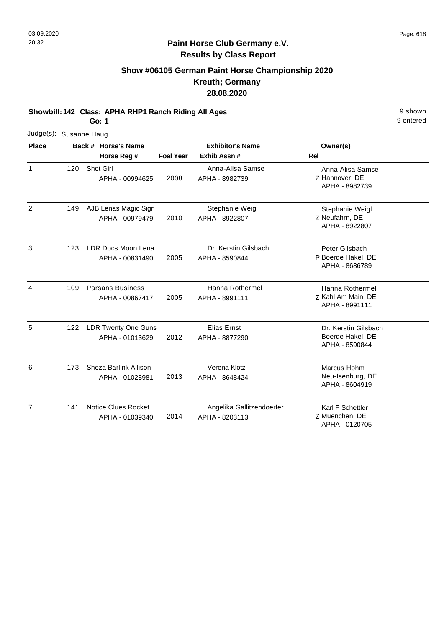## **Show #06105 German Paint Horse Championship 2020 Kreuth; Germany 28.08.2020**

**Showbill: 142 Class: APHA RHP1 Ranch Riding All Ages** 9 shown

**Go: 1**

| Judge(s): Susanne Haug |     |                                               |                  |                                             |                                                            |
|------------------------|-----|-----------------------------------------------|------------------|---------------------------------------------|------------------------------------------------------------|
| <b>Place</b>           |     | Back # Horse's Name                           |                  | <b>Exhibitor's Name</b>                     | Owner(s)                                                   |
|                        |     | Horse Reg #                                   | <b>Foal Year</b> | Exhib Assn #                                | <b>Rel</b>                                                 |
| $\mathbf{1}$           | 120 | Shot Girl<br>APHA - 00994625                  | 2008             | Anna-Alisa Samse<br>APHA - 8982739          | Anna-Alisa Samse<br>Z Hannover, DE<br>APHA - 8982739       |
| 2                      | 149 | AJB Lenas Magic Sign<br>APHA - 00979479       | 2010             | Stephanie Weigl<br>APHA - 8922807           | Stephanie Weigl<br>Z Neufahrn, DE<br>APHA - 8922807        |
| 3                      | 123 | LDR Docs Moon Lena<br>APHA - 00831490         | 2005             | Dr. Kerstin Gilsbach<br>APHA - 8590844      | Peter Gilsbach<br>P Boerde Hakel, DE<br>APHA - 8686789     |
| $\overline{4}$         | 109 | <b>Parsans Business</b><br>APHA - 00867417    | 2005             | Hanna Rothermel<br>APHA - 8991111           | Hanna Rothermel<br>Z Kahl Am Main, DE<br>APHA - 8991111    |
| 5                      | 122 | <b>LDR Twenty One Guns</b><br>APHA - 01013629 | 2012             | Elias Ernst<br>APHA - 8877290               | Dr. Kerstin Gilsbach<br>Boerde Hakel, DE<br>APHA - 8590844 |
| 6                      | 173 | Sheza Barlink Allison<br>APHA - 01028981      | 2013             | Verena Klotz<br>APHA - 8648424              | Marcus Hohm<br>Neu-Isenburg, DE<br>APHA - 8604919          |
| $\overline{7}$         | 141 | <b>Notice Clues Rocket</b><br>APHA - 01039340 | 2014             | Angelika Gallitzendoerfer<br>APHA - 8203113 | Karl F Schettler<br>Z Muenchen, DE<br>APHA - 0120705       |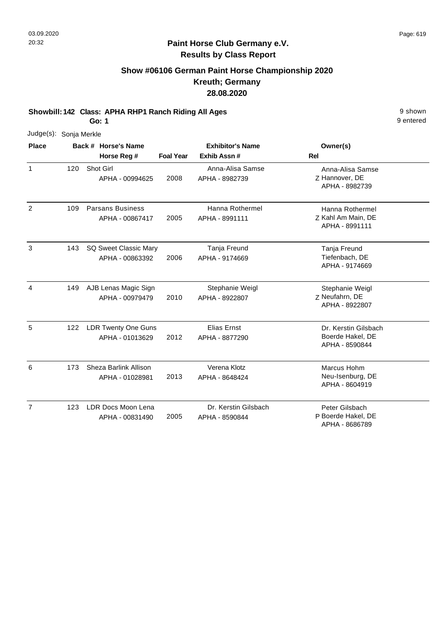## **Show #06106 German Paint Horse Championship 2020 Kreuth; Germany 28.08.2020**

**Showbill: 142 Class: APHA RHP1 Ranch Riding All Ages** 9 shown

**Go: 1**

| Judge(s): Sonja Merkle |     |  |                                               |                  |                                        |                                                            |
|------------------------|-----|--|-----------------------------------------------|------------------|----------------------------------------|------------------------------------------------------------|
| <b>Place</b>           |     |  | Back # Horse's Name                           |                  | <b>Exhibitor's Name</b>                | Owner(s)                                                   |
|                        |     |  | Horse Reg #                                   | <b>Foal Year</b> | Exhib Assn #                           | <b>Rel</b>                                                 |
| 1                      | 120 |  | Shot Girl<br>APHA - 00994625                  | 2008             | Anna-Alisa Samse<br>APHA - 8982739     | Anna-Alisa Samse<br>Z Hannover, DE<br>APHA - 8982739       |
| $\overline{2}$         | 109 |  | <b>Parsans Business</b><br>APHA - 00867417    | 2005             | Hanna Rothermel<br>APHA - 8991111      | Hanna Rothermel<br>Z Kahl Am Main, DE<br>APHA - 8991111    |
| 3                      | 143 |  | SQ Sweet Classic Mary<br>APHA - 00863392      | 2006             | Tanja Freund<br>APHA - 9174669         | Tanja Freund<br>Tiefenbach, DE<br>APHA - 9174669           |
| $\overline{4}$         | 149 |  | AJB Lenas Magic Sign<br>APHA - 00979479       | 2010             | Stephanie Weigl<br>APHA - 8922807      | Stephanie Weigl<br>Z Neufahrn, DE<br>APHA - 8922807        |
| 5                      | 122 |  | <b>LDR Twenty One Guns</b><br>APHA - 01013629 | 2012             | Elias Ernst<br>APHA - 8877290          | Dr. Kerstin Gilsbach<br>Boerde Hakel, DE<br>APHA - 8590844 |
| 6                      | 173 |  | Sheza Barlink Allison<br>APHA - 01028981      | 2013             | Verena Klotz<br>APHA - 8648424         | Marcus Hohm<br>Neu-Isenburg, DE<br>APHA - 8604919          |
| $\overline{7}$         | 123 |  | LDR Docs Moon Lena<br>APHA - 00831490         | 2005             | Dr. Kerstin Gilsbach<br>APHA - 8590844 | Peter Gilsbach<br>P Boerde Hakel, DE<br>APHA - 8686789     |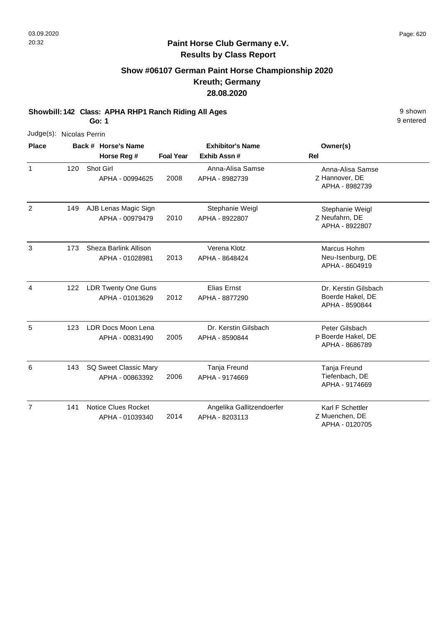Judge(s):

1

2

5

9 entered

#### **Paint Horse Club Germany e.V. Results by Class Report**

# **Show #06107 German Paint Horse Championship 2020 Kreuth; Germany 28.08.2020**

**Showbill: 142 Class: APHA RHP1 Ranch Riding All Ages** 9 shown

| Judge(s):    | Nicolas Perrin |                                               |                  |                                        |                                                            |  |
|--------------|----------------|-----------------------------------------------|------------------|----------------------------------------|------------------------------------------------------------|--|
| <b>Place</b> |                | Back # Horse's Name<br>Horse Reg #            | <b>Foal Year</b> | <b>Exhibitor's Name</b><br>Exhib Assn# | Owner(s)<br><b>Rel</b>                                     |  |
| 1            | 120            | Shot Girl<br>APHA - 00994625                  | 2008             | Anna-Alisa Samse<br>APHA - 8982739     | Anna-Alisa Samse<br>Z Hannover, DE<br>APHA - 8982739       |  |
| 2            | 149            | AJB Lenas Magic Sign<br>APHA - 00979479       | 2010             | Stephanie Weigl<br>APHA - 8922807      | Stephanie Weigl<br>Z Neufahrn, DE<br>APHA - 8922807        |  |
| 3            | 173            | Sheza Barlink Allison<br>APHA - 01028981      | 2013             | Verena Klotz<br>APHA - 8648424         | Marcus Hohm<br>Neu-Isenburg, DE<br>APHA - 8604919          |  |
| 4            | 122            | LDR Twenty One Guns<br>APHA - 01013629        | 2012             | <b>Elias Ernst</b><br>APHA - 8877290   | Dr. Kerstin Gilsbach<br>Boerde Hakel, DE<br>APHA - 8590844 |  |
| 5            | 123            | LDR Docs Moon Lena<br>APHA - 00831490         | 2005             | Dr. Kerstin Gilsbach<br>APHA - 8590844 | Peter Gilsbach<br>P Boerde Hakel, DE<br>APHA - 8686789     |  |
| 6            | 143            | <b>SQ Sweet Classic Mary</b><br>ADLIA AORROOM | ว∩∩ค             | Tanja Freund<br>ADLIA 0474660          | Tanja Freund<br>Tiefenhach DE                              |  |

|     | APHA - 00863392                        | zuup | APHA - 9174669                              | Tielenbach, DE<br>APHA - 9174669   |  |
|-----|----------------------------------------|------|---------------------------------------------|------------------------------------|--|
| 141 | Notice Clues Rocket<br>APHA - 01039340 | 2014 | Angelika Gallitzendoerfer<br>APHA - 8203113 | Karl F Schettler<br>Z Muenchen. DE |  |
|     |                                        |      |                                             | APHA - 0120705                     |  |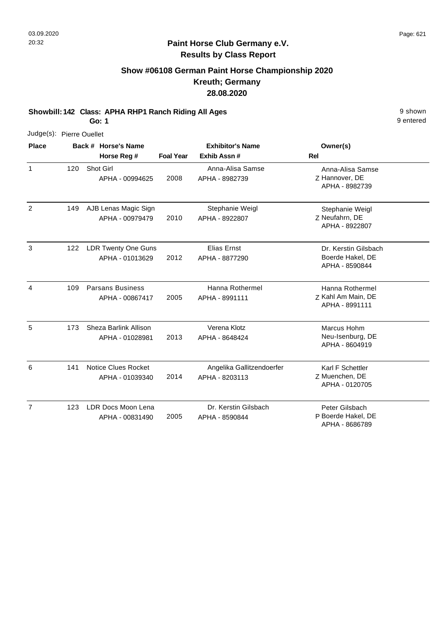## **Show #06108 German Paint Horse Championship 2020 Kreuth; Germany 28.08.2020**

**Showbill: 142 Class: APHA RHP1 Ranch Riding All Ages** 9 shown

**Go: 1**

| Judge(s): Pierre Ouellet |     |                                               |                  |                                             |                                                            |
|--------------------------|-----|-----------------------------------------------|------------------|---------------------------------------------|------------------------------------------------------------|
| <b>Place</b>             |     | Back # Horse's Name                           |                  | <b>Exhibitor's Name</b>                     | Owner(s)                                                   |
|                          |     | Horse Reg #                                   | <b>Foal Year</b> | Exhib Assn#                                 | <b>Rel</b>                                                 |
| $\mathbf{1}$             | 120 | Shot Girl<br>APHA - 00994625                  | 2008             | Anna-Alisa Samse<br>APHA - 8982739          | Anna-Alisa Samse<br>Z Hannover, DE<br>APHA - 8982739       |
| 2                        | 149 | AJB Lenas Magic Sign<br>APHA - 00979479       | 2010             | Stephanie Weigl<br>APHA - 8922807           | Stephanie Weigl<br>Z Neufahrn, DE<br>APHA - 8922807        |
| 3                        | 122 | <b>LDR Twenty One Guns</b><br>APHA - 01013629 | 2012             | <b>Elias Ernst</b><br>APHA - 8877290        | Dr. Kerstin Gilsbach<br>Boerde Hakel, DE<br>APHA - 8590844 |
| $\overline{4}$           | 109 | <b>Parsans Business</b><br>APHA - 00867417    | 2005             | Hanna Rothermel<br>APHA - 8991111           | Hanna Rothermel<br>Z Kahl Am Main, DE<br>APHA - 8991111    |
| 5                        | 173 | Sheza Barlink Allison<br>APHA - 01028981      | 2013             | Verena Klotz<br>APHA - 8648424              | Marcus Hohm<br>Neu-Isenburg, DE<br>APHA - 8604919          |
| 6                        | 141 | Notice Clues Rocket<br>APHA - 01039340        | 2014             | Angelika Gallitzendoerfer<br>APHA - 8203113 | Karl F Schettler<br>Z Muenchen, DE<br>APHA - 0120705       |
| $\overline{7}$           | 123 | LDR Docs Moon Lena<br>APHA - 00831490         | 2005             | Dr. Kerstin Gilsbach<br>APHA - 8590844      | Peter Gilsbach<br>P Boerde Hakel, DE<br>APHA - 8686789     |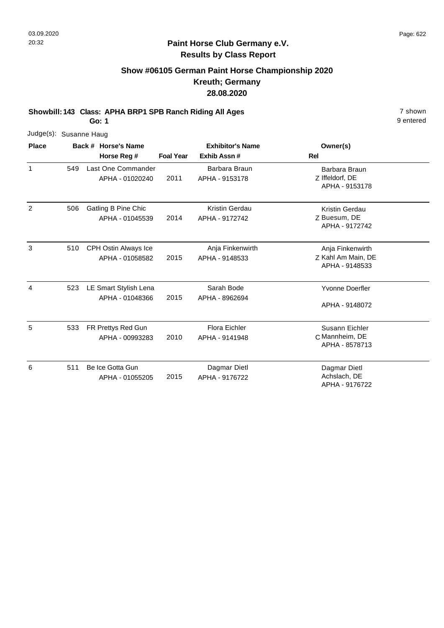#### **Paint Horse Club Germany e.V. Results by Class Report**

# **Show #06105 German Paint Horse Championship 2020 Kreuth; Germany 28.08.2020**

**Showbill: 143 Class: APHA BRP1 SPB Ranch Riding All Ages** 7 shown

| Judge(s): Susanne Haug |     |                             |                  |                         |                                   |
|------------------------|-----|-----------------------------|------------------|-------------------------|-----------------------------------|
| <b>Place</b>           |     | Back # Horse's Name         |                  | <b>Exhibitor's Name</b> | Owner(s)                          |
|                        |     | Horse Reg #                 | <b>Foal Year</b> | Exhib Assn #            | <b>Rel</b>                        |
| $\mathbf{1}$           | 549 | Last One Commander          |                  | Barbara Braun           | Barbara Braun                     |
|                        |     | APHA - 01020240             | 2011             | APHA - 9153178          | Z Iffeldorf, DE<br>APHA - 9153178 |
| 2                      | 506 | <b>Gatling B Pine Chic</b>  |                  | <b>Kristin Gerdau</b>   | Kristin Gerdau                    |
|                        |     | APHA - 01045539             | 2014             | APHA - 9172742          | Z Buesum, DE                      |
|                        |     |                             |                  |                         | APHA - 9172742                    |
| 3                      | 510 | <b>CPH Ostin Always Ice</b> |                  | Anja Finkenwirth        | Anja Finkenwirth                  |
|                        |     | APHA - 01058582             | 2015             | APHA - 9148533          | Z Kahl Am Main, DE                |
|                        |     |                             |                  |                         | APHA - 9148533                    |
| 4                      | 523 | LE Smart Stylish Lena       |                  | Sarah Bode              | <b>Yvonne Doerfler</b>            |
|                        |     | APHA - 01048366             | 2015             | APHA - 8962694          |                                   |
|                        |     |                             |                  |                         | APHA - 9148072                    |
| 5                      | 533 | FR Prettys Red Gun          |                  | <b>Flora Eichler</b>    | Susann Eichler                    |
|                        |     | APHA - 00993283             | 2010             | APHA - 9141948          | C Mannheim, DE                    |
|                        |     |                             |                  |                         | APHA - 8578713                    |
| 6                      | 511 | Be Ice Gotta Gun            |                  | Dagmar Dietl            | Dagmar Dietl                      |
|                        |     | APHA - 01055205             | 2015             | APHA - 9176722          | Achslach, DE                      |
|                        |     |                             |                  |                         | APHA - 9176722                    |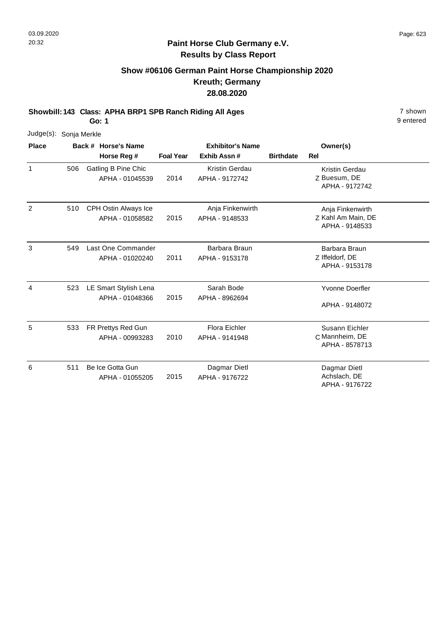# **Show #06106 German Paint Horse Championship 2020 Kreuth; Germany 28.08.2020**

**Showbill: 143 Class: APHA BRP1 SPB Ranch Riding All Ages** 7 shown

**Go: 1**

|                | Judge(s): Sonja Merkle |  |                       |                  |                         |                  |                                      |  |  |  |  |
|----------------|------------------------|--|-----------------------|------------------|-------------------------|------------------|--------------------------------------|--|--|--|--|
| <b>Place</b>   |                        |  | Back # Horse's Name   |                  | <b>Exhibitor's Name</b> |                  | Owner(s)                             |  |  |  |  |
|                |                        |  | Horse Reg #           | <b>Foal Year</b> | Exhib Assn #            | <b>Birthdate</b> | Rel                                  |  |  |  |  |
| 1              | 506                    |  | Gatling B Pine Chic   |                  | <b>Kristin Gerdau</b>   |                  | Kristin Gerdau                       |  |  |  |  |
|                |                        |  | APHA - 01045539       | 2014             | APHA - 9172742          |                  | Z Buesum, DE<br>APHA - 9172742       |  |  |  |  |
| $\overline{2}$ | 510                    |  | CPH Ostin Always Ice  |                  | Anja Finkenwirth        |                  | Anja Finkenwirth                     |  |  |  |  |
|                |                        |  | APHA - 01058582       | 2015             | APHA - 9148533          |                  | Z Kahl Am Main, DE<br>APHA - 9148533 |  |  |  |  |
| 3              | 549                    |  | Last One Commander    |                  | Barbara Braun           |                  | Barbara Braun                        |  |  |  |  |
|                |                        |  | APHA - 01020240       | 2011             | APHA - 9153178          |                  | Z Iffeldorf, DE<br>APHA - 9153178    |  |  |  |  |
| 4              | 523                    |  | LE Smart Stylish Lena |                  | Sarah Bode              |                  | <b>Yvonne Doerfler</b>               |  |  |  |  |
|                |                        |  | APHA - 01048366       | 2015             | APHA - 8962694          |                  | APHA - 9148072                       |  |  |  |  |
| 5              | 533                    |  | FR Prettys Red Gun    |                  | <b>Flora Eichler</b>    |                  | Susann Eichler                       |  |  |  |  |
|                |                        |  | APHA - 00993283       | 2010             | APHA - 9141948          |                  | C Mannheim, DE<br>APHA - 8578713     |  |  |  |  |
| 6              | 511                    |  | Be Ice Gotta Gun      |                  | Dagmar Dietl            |                  | Dagmar Dietl                         |  |  |  |  |
|                |                        |  | APHA - 01055205       | 2015             | APHA - 9176722          |                  | Achslach, DE<br>APHA - 9176722       |  |  |  |  |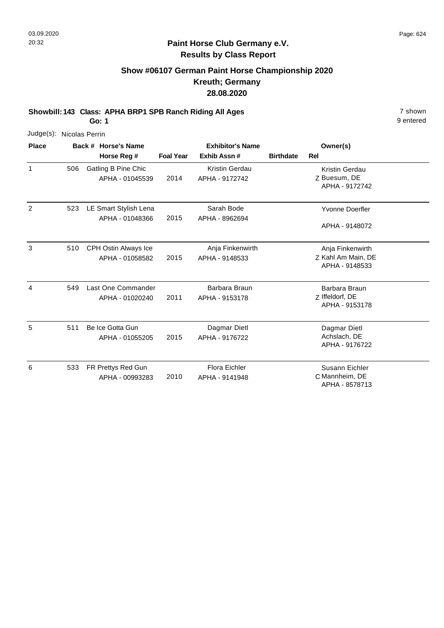# **Show #06107 German Paint Horse Championship 2020 Kreuth; Germany 28.08.2020**

**Showbill: 143 Class: APHA BRP1 SPB Ranch Riding All Ages** 7 shown

**Go: 1**

|                | Judge(s): Nicolas Perrin |  |                       |                  |                         |                  |                        |  |  |  |  |
|----------------|--------------------------|--|-----------------------|------------------|-------------------------|------------------|------------------------|--|--|--|--|
| <b>Place</b>   |                          |  | Back # Horse's Name   |                  | <b>Exhibitor's Name</b> |                  | Owner(s)               |  |  |  |  |
|                |                          |  | Horse Reg #           | <b>Foal Year</b> | Exhib Assn#             | <b>Birthdate</b> | Rel                    |  |  |  |  |
| 1              | 506                      |  | Gatling B Pine Chic   |                  | <b>Kristin Gerdau</b>   |                  | Kristin Gerdau         |  |  |  |  |
|                |                          |  | APHA - 01045539       | 2014             | APHA - 9172742          |                  | Z Buesum, DE           |  |  |  |  |
|                |                          |  |                       |                  |                         |                  | APHA - 9172742         |  |  |  |  |
| $\overline{2}$ | 523                      |  | LE Smart Stylish Lena |                  | Sarah Bode              |                  | <b>Yvonne Doerfler</b> |  |  |  |  |
|                |                          |  | APHA - 01048366       | 2015             | APHA - 8962694          |                  |                        |  |  |  |  |
|                |                          |  |                       |                  |                         |                  | APHA - 9148072         |  |  |  |  |
| 3              | 510                      |  | CPH Ostin Always Ice  |                  | Anja Finkenwirth        |                  | Anja Finkenwirth       |  |  |  |  |
|                |                          |  | APHA - 01058582       | 2015             | APHA - 9148533          |                  | Z Kahl Am Main, DE     |  |  |  |  |
|                |                          |  |                       |                  |                         |                  | APHA - 9148533         |  |  |  |  |
| 4              | 549                      |  | Last One Commander    |                  | Barbara Braun           |                  | Barbara Braun          |  |  |  |  |
|                |                          |  | APHA - 01020240       | 2011             | APHA - 9153178          |                  | Z Iffeldorf, DE        |  |  |  |  |
|                |                          |  |                       |                  |                         |                  | APHA - 9153178         |  |  |  |  |
| 5              | 511                      |  | Be Ice Gotta Gun      |                  | Dagmar Dietl            |                  | Dagmar Dietl           |  |  |  |  |
|                |                          |  | APHA - 01055205       | 2015             | APHA - 9176722          |                  | Achslach, DE           |  |  |  |  |
|                |                          |  |                       |                  |                         |                  | APHA - 9176722         |  |  |  |  |
| 6              | 533                      |  | FR Prettys Red Gun    |                  | <b>Flora Eichler</b>    |                  | Susann Eichler         |  |  |  |  |
|                |                          |  | APHA - 00993283       | 2010             | APHA - 9141948          |                  | C Mannheim, DE         |  |  |  |  |
|                |                          |  |                       |                  |                         |                  | APHA - 8578713         |  |  |  |  |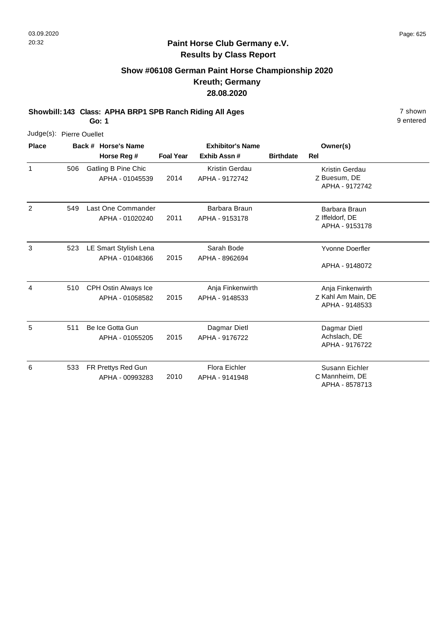## **Show #06108 German Paint Horse Championship 2020 Kreuth; Germany 28.08.2020**

**Showbill: 143 Class: APHA BRP1 SPB Ranch Riding All Ages** 7 shown

**Go: 1**

|              | Judge(s): Pierre Ouellet |  |                                               |                  |                                         |                  |                                      |  |  |  |  |
|--------------|--------------------------|--|-----------------------------------------------|------------------|-----------------------------------------|------------------|--------------------------------------|--|--|--|--|
| <b>Place</b> |                          |  | Back # Horse's Name                           |                  | <b>Exhibitor's Name</b>                 |                  | Owner(s)                             |  |  |  |  |
|              |                          |  | Horse Reg #                                   | <b>Foal Year</b> | Exhib Assn#                             | <b>Birthdate</b> | <b>Rel</b>                           |  |  |  |  |
| $\mathbf{1}$ | 506                      |  | <b>Gatling B Pine Chic</b><br>APHA - 01045539 | 2014             | <b>Kristin Gerdau</b><br>APHA - 9172742 |                  | Kristin Gerdau<br>Z Buesum, DE       |  |  |  |  |
|              |                          |  |                                               |                  |                                         |                  | APHA - 9172742                       |  |  |  |  |
| 2            | 549                      |  | Last One Commander                            |                  | Barbara Braun                           |                  | Barbara Braun                        |  |  |  |  |
|              |                          |  | APHA - 01020240                               | 2011             | APHA - 9153178                          |                  | Z Iffeldorf, DE<br>APHA - 9153178    |  |  |  |  |
| 3            | 523                      |  | LE Smart Stylish Lena                         |                  | Sarah Bode                              |                  | <b>Yvonne Doerfler</b>               |  |  |  |  |
|              |                          |  | APHA - 01048366                               | 2015             | APHA - 8962694                          |                  | APHA - 9148072                       |  |  |  |  |
| 4            | 510                      |  | CPH Ostin Always Ice                          |                  | Anja Finkenwirth                        |                  | Anja Finkenwirth                     |  |  |  |  |
|              |                          |  | APHA - 01058582                               | 2015             | APHA - 9148533                          |                  | Z Kahl Am Main, DE<br>APHA - 9148533 |  |  |  |  |
| 5            | 511                      |  | Be Ice Gotta Gun                              |                  | Dagmar Dietl                            |                  | Dagmar Dietl                         |  |  |  |  |
|              |                          |  | APHA - 01055205                               | 2015             | APHA - 9176722                          |                  | Achslach, DE<br>APHA - 9176722       |  |  |  |  |
| 6            | 533                      |  | FR Prettys Red Gun                            |                  | Flora Eichler                           |                  | Susann Eichler                       |  |  |  |  |
|              |                          |  | APHA - 00993283                               | 2010             | APHA - 9141948                          |                  | C Mannheim, DE<br>APHA - 8578713     |  |  |  |  |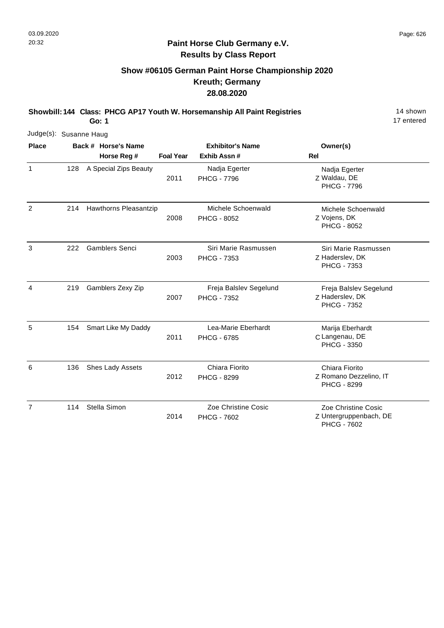## **Show #06105 German Paint Horse Championship 2020 Kreuth; Germany 28.08.2020**

**Showbill: 144 Class: PHCG AP17 Youth W. Horsemanship All Paint Registries** 14 Shown

**Go: 1**

17 entered

|              | Judge(s): Susanne Haug |  |                       |                  |                                              |                                                                 |  |  |  |  |
|--------------|------------------------|--|-----------------------|------------------|----------------------------------------------|-----------------------------------------------------------------|--|--|--|--|
| <b>Place</b> |                        |  | Back # Horse's Name   |                  | <b>Exhibitor's Name</b>                      | Owner(s)                                                        |  |  |  |  |
|              |                        |  | Horse Reg #           | <b>Foal Year</b> | Exhib Assn#                                  | Rel                                                             |  |  |  |  |
| 1            | 128                    |  | A Special Zips Beauty | 2011             | Nadja Egerter<br><b>PHCG - 7796</b>          | Nadja Egerter<br>Z Waldau, DE<br><b>PHCG - 7796</b>             |  |  |  |  |
| 2            | 214                    |  | Hawthorns Pleasantzip | 2008             | Michele Schoenwald<br><b>PHCG - 8052</b>     | Michele Schoenwald<br>Z Vojens, DK<br><b>PHCG - 8052</b>        |  |  |  |  |
| 3            | 222                    |  | <b>Gamblers Senci</b> | 2003             | Siri Marie Rasmussen<br><b>PHCG - 7353</b>   | Siri Marie Rasmussen<br>Z Haderslev, DK<br>PHCG - 7353          |  |  |  |  |
| 4            | 219                    |  | Gamblers Zexy Zip     | 2007             | Freja Balslev Segelund<br><b>PHCG - 7352</b> | Freja Balslev Segelund<br>Z Haderslev, DK<br><b>PHCG - 7352</b> |  |  |  |  |
| 5            | 154                    |  | Smart Like My Daddy   | 2011             | Lea-Marie Eberhardt<br><b>PHCG - 6785</b>    | Marija Eberhardt<br>C Langenau, DE<br><b>PHCG - 3350</b>        |  |  |  |  |
| 6            | 136                    |  | Shes Lady Assets      | 2012             | Chiara Fiorito<br><b>PHCG - 8299</b>         | Chiara Fiorito<br>Z Romano Dezzelino, IT<br><b>PHCG - 8299</b>  |  |  |  |  |
| 7            | 114                    |  | Stella Simon          | 2014             | Zoe Christine Cosic<br><b>PHCG - 7602</b>    | Zoe Christine Cosic<br>Z Untergruppenbach, DE                   |  |  |  |  |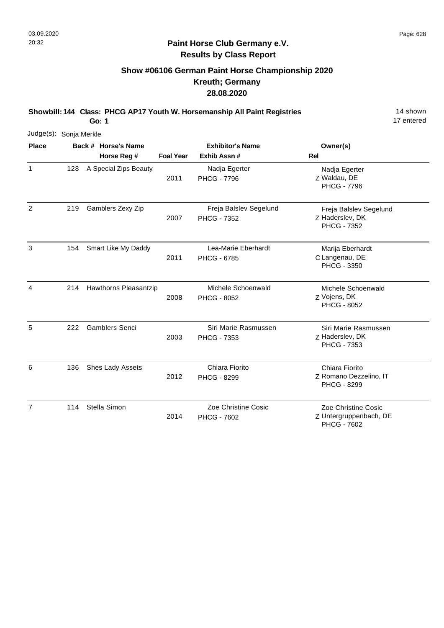### **Paint Horse Club Germany e.V. Results by Class Report**

## **Show #06106 German Paint Horse Championship 2020 Kreuth; Germany 28.08.2020**

**Showbill: 144 Class: PHCG AP17 Youth W. Horsemanship All Paint Registries** 14 Shown

**Go: 1**

17 entered

| Judge(s): Sonja Merkle |     |                       |                  |                                              |                                                                 |
|------------------------|-----|-----------------------|------------------|----------------------------------------------|-----------------------------------------------------------------|
| <b>Place</b>           |     | Back # Horse's Name   |                  | <b>Exhibitor's Name</b>                      | Owner(s)                                                        |
|                        |     | Horse Reg #           | <b>Foal Year</b> | Exhib Assn#                                  | <b>Rel</b>                                                      |
| $\mathbf{1}$           | 128 | A Special Zips Beauty | 2011             | Nadja Egerter<br><b>PHCG - 7796</b>          | Nadja Egerter<br>Z Waldau, DE<br><b>PHCG - 7796</b>             |
| $\overline{2}$         | 219 | Gamblers Zexy Zip     | 2007             | Freja Balslev Segelund<br><b>PHCG - 7352</b> | Freja Balslev Segelund<br>Z Haderslev, DK<br><b>PHCG - 7352</b> |
| 3                      | 154 | Smart Like My Daddy   | 2011             | Lea-Marie Eberhardt<br><b>PHCG - 6785</b>    | Marija Eberhardt<br>C Langenau, DE<br>PHCG - 3350               |
| 4                      | 214 | Hawthorns Pleasantzip | 2008             | Michele Schoenwald<br><b>PHCG - 8052</b>     | Michele Schoenwald<br>Z Vojens, DK<br>PHCG - 8052               |
| 5                      | 222 | <b>Gamblers Senci</b> | 2003             | Siri Marie Rasmussen<br>PHCG - 7353          | Siri Marie Rasmussen<br>Z Haderslev, DK<br>PHCG - 7353          |
| 6                      | 136 | Shes Lady Assets      | 2012             | Chiara Fiorito<br><b>PHCG - 8299</b>         | Chiara Fiorito<br>Z Romano Dezzelino, IT<br><b>PHCG - 8299</b>  |
| $\overline{7}$         | 114 | Stella Simon          |                  | Zoe Christine Cosic                          | Zoe Christine Cosic                                             |

2014 PHCG - 7602

Z

Untergruppenbach, DE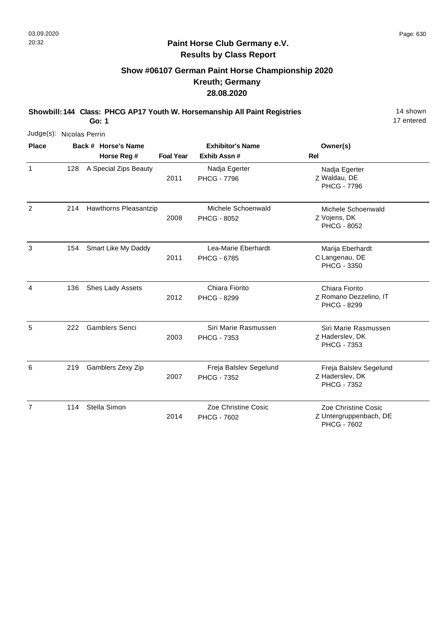### **Paint Horse Club Germany e.V. Results by Class Report**

# **Show #06107 German Paint Horse Championship 2020 Kreuth; Germany 28.08.2020**

**Showbill: 144 Class: PHCG AP17 Youth W. Horsemanship All Paint Registries** 14 Shown

17 entered

|                          |     | 17 entered<br>Go: 1   |                  |                                              |                                                                 |  |  |  |  |
|--------------------------|-----|-----------------------|------------------|----------------------------------------------|-----------------------------------------------------------------|--|--|--|--|
| Judge(s): Nicolas Perrin |     |                       |                  |                                              |                                                                 |  |  |  |  |
| <b>Place</b>             |     | Back # Horse's Name   |                  | <b>Exhibitor's Name</b>                      | Owner(s)                                                        |  |  |  |  |
|                          |     | Horse Reg #           | <b>Foal Year</b> | Exhib Assn #                                 | Rel                                                             |  |  |  |  |
| $\mathbf{1}$             | 128 | A Special Zips Beauty | 2011             | Nadja Egerter<br><b>PHCG - 7796</b>          | Nadja Egerter<br>Z Waldau, DE<br><b>PHCG - 7796</b>             |  |  |  |  |
| 2                        | 214 | Hawthorns Pleasantzip | 2008             | Michele Schoenwald<br>PHCG - 8052            | Michele Schoenwald<br>Z Vojens, DK<br><b>PHCG - 8052</b>        |  |  |  |  |
| 3                        | 154 | Smart Like My Daddy   | 2011             | Lea-Marie Eberhardt<br><b>PHCG - 6785</b>    | Marija Eberhardt<br>C Langenau, DE<br>PHCG - 3350               |  |  |  |  |
| 4                        | 136 | Shes Lady Assets      | 2012             | Chiara Fiorito<br><b>PHCG - 8299</b>         | Chiara Fiorito<br>Z Romano Dezzelino, IT<br><b>PHCG - 8299</b>  |  |  |  |  |
| 5                        | 222 | <b>Gamblers Senci</b> | 2003             | Siri Marie Rasmussen<br>PHCG - 7353          | Siri Marie Rasmussen<br>Z Haderslev, DK<br>PHCG - 7353          |  |  |  |  |
| 6                        | 219 | Gamblers Zexy Zip     | 2007             | Freja Balslev Segelund<br><b>PHCG - 7352</b> | Freja Balslev Segelund<br>Z Haderslev, DK<br><b>PHCG - 7352</b> |  |  |  |  |
| $\overline{7}$           | 114 | Stella Simon          |                  | Zoe Christine Cosic                          | Zoe Christine Cosic                                             |  |  |  |  |

2014 PHCG - 7602

Z

Untergruppenbach, DE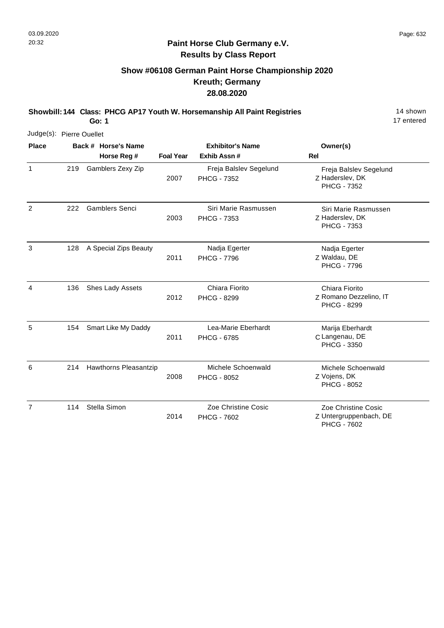## **Show #06108 German Paint Horse Championship 2020 Kreuth; Germany 28.08.2020**

**Showbill: 144 Class: PHCG AP17 Youth W. Horsemanship All Paint Registries** 14 Shown

**Go: 1**

17 entered

| Judge(s): Pierre Ouellet |     |                       |                  |                                              |                                                                 |
|--------------------------|-----|-----------------------|------------------|----------------------------------------------|-----------------------------------------------------------------|
| <b>Place</b>             |     | Back # Horse's Name   |                  | <b>Exhibitor's Name</b>                      | Owner(s)                                                        |
|                          |     | Horse Reg #           | <b>Foal Year</b> | Exhib Assn #                                 | Rel                                                             |
| $\mathbf{1}$             | 219 | Gamblers Zexy Zip     | 2007             | Freja Balslev Segelund<br><b>PHCG - 7352</b> | Freja Balslev Segelund<br>Z Haderslev, DK<br><b>PHCG - 7352</b> |
| 2                        | 222 | <b>Gamblers Senci</b> | 2003             | Siri Marie Rasmussen<br><b>PHCG - 7353</b>   | Siri Marie Rasmussen<br>Z Haderslev, DK<br>PHCG - 7353          |
| 3                        | 128 | A Special Zips Beauty | 2011             | Nadja Egerter<br><b>PHCG - 7796</b>          | Nadja Egerter<br>Z Waldau, DE<br><b>PHCG - 7796</b>             |
| 4                        | 136 | Shes Lady Assets      | 2012             | Chiara Fiorito<br><b>PHCG - 8299</b>         | Chiara Fiorito<br>Z Romano Dezzelino, IT<br>PHCG - 8299         |
| 5                        | 154 | Smart Like My Daddy   | 2011             | Lea-Marie Eberhardt<br><b>PHCG - 6785</b>    | Marija Eberhardt<br>C Langenau, DE<br><b>PHCG - 3350</b>        |
| 6                        | 214 | Hawthorns Pleasantzip | 2008             | Michele Schoenwald<br><b>PHCG - 8052</b>     | Michele Schoenwald<br>Z Vojens, DK<br>PHCG - 8052               |
| $\overline{7}$           | 114 | Stella Simon          | 2014             | Zoe Christine Cosic<br><b>PHCG - 7602</b>    | Zoe Christine Cosic<br>Z Untergruppenbach, DE                   |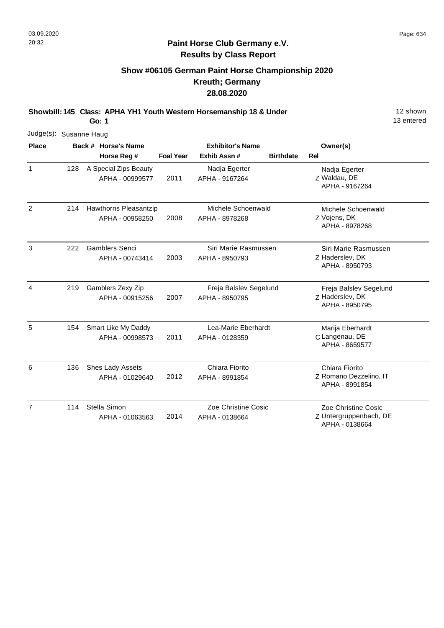13 entered

### **Paint Horse Club Germany e.V. Results by Class Report**

## **Show #06105 German Paint Horse Championship 2020 Kreuth; Germany 28.08.2020**

**Showbill: 145 Class: APHA YH1 Youth Western Horsemanship 18 & Under** 12 Shown

**Go: 1**

| Judge(s): Susanne Haug |     |                                          |                  |                                          |                  |                                                             |
|------------------------|-----|------------------------------------------|------------------|------------------------------------------|------------------|-------------------------------------------------------------|
| <b>Place</b>           |     | Back # Horse's Name<br>Horse Reg #       | <b>Foal Year</b> | <b>Exhibitor's Name</b><br>Exhib Assn#   | <b>Birthdate</b> | Owner(s)<br><b>Rel</b>                                      |
| 1                      | 128 | A Special Zips Beauty<br>APHA - 00999577 | 2011             | Nadja Egerter<br>APHA - 9167264          |                  | Nadja Egerter<br>Z Waldau, DE<br>APHA - 9167264             |
| $\overline{c}$         | 214 | Hawthorns Pleasantzip<br>APHA - 00958250 | 2008             | Michele Schoenwald<br>APHA - 8978268     |                  | Michele Schoenwald<br>Z Vojens, DK<br>APHA - 8978268        |
| 3                      | 222 | <b>Gamblers Senci</b><br>APHA - 00743414 | 2003             | Siri Marie Rasmussen<br>APHA - 8950793   |                  | Siri Marie Rasmussen<br>Z Haderslev, DK<br>APHA - 8950793   |
| 4                      | 219 | Gamblers Zexy Zip<br>APHA - 00915256     | 2007             | Freja Balslev Segelund<br>APHA - 8950795 |                  | Freja Balslev Segelund<br>Z Haderslev, DK<br>APHA - 8950795 |
| 5                      | 154 | Smart Like My Daddy<br>APHA - 00998573   | 2011             | Lea-Marie Eberhardt<br>APHA - 0128359    |                  | Marija Eberhardt<br>C Langenau, DE<br>APHA - 8659577        |
| 6                      | 136 | Shes Lady Assets<br>APHA - 01029640      | 2012             | Chiara Fiorito<br>APHA - 8991854         |                  | Chiara Fiorito<br>Z Romano Dezzelino, IT<br>APHA - 8991854  |
| $\overline{7}$         | 114 | Stella Simon<br>APHA - 01063563          | 2014             | Zoe Christine Cosic<br>APHA - 0138664    |                  | Zoe Christine Cosic<br>Z Untergruppenbach, DE               |

Z Untergruppenbach, DE

APHA - 0138664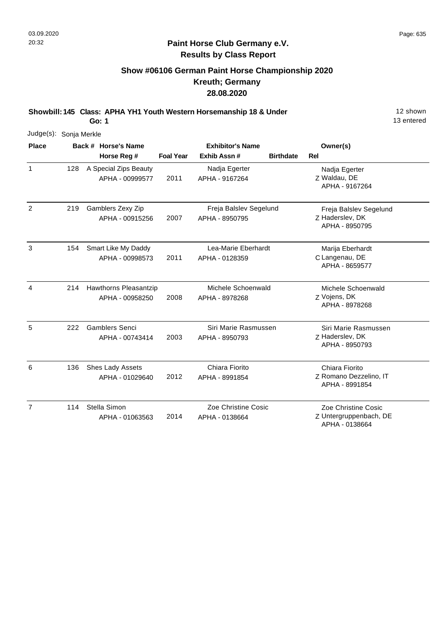1

2

3

4

5

6

7

13 entered

Z Untergruppenbach, DE Zoe Christine Cosic

APHA - 0138664

### **Paint Horse Club Germany e.V. Results by Class Report**

## **Show #06106 German Paint Horse Championship 2020 Kreuth; Germany 28.08.2020**

**Showbill: 145 Class: APHA YH1 Youth Western Horsemanship 18 & Under** 18 **30 12 Shown** 

2014

**Go: 1**

Stella Simon

114

APHA - 01063563

Judge(s): Sonja Merkle **Back # Horse's Name Place Owner(s) Horse Reg # Exhib Assn # Foal Year Birthdate Rel Exhibitor's Name** Z Waldau, DE Nadja Egerter APHA - 9167264 2011 128 A Special Zips Beauty APHA - 00999577 Nadja Egerter APHA - 9167264 Z Haderslev, DK Freja Balslev Segelund APHA - 8950795 2007 Gamblers Zexy Zip APHA - 00915256 Freja Balslev Segelund APHA - 8950795 219 C Langenau, DE Marija Eberhardt APHA - 8659577 2011 Smart Like My Daddy APHA - 00998573 Lea-Marie Eberhardt APHA - 0128359 154 Z Vojens, DK Michele Schoenwald APHA - 8978268 2008 Hawthorns Pleasantzip APHA - 00958250 Michele Schoenwald APHA - 8978268 214 Z Haderslev, DK Siri Marie Rasmussen APHA - 8950793 2003 222 Gamblers Senci APHA - 00743414 Siri Marie Rasmussen APHA - 8950793 Z Romano Dezzelino, IT Chiara Fiorito APHA - 8991854 2012 Shes Lady Assets APHA - 01029640 Chiara Fiorito APHA - 8991854 136

Zoe Christine Cosic

APHA - 0138664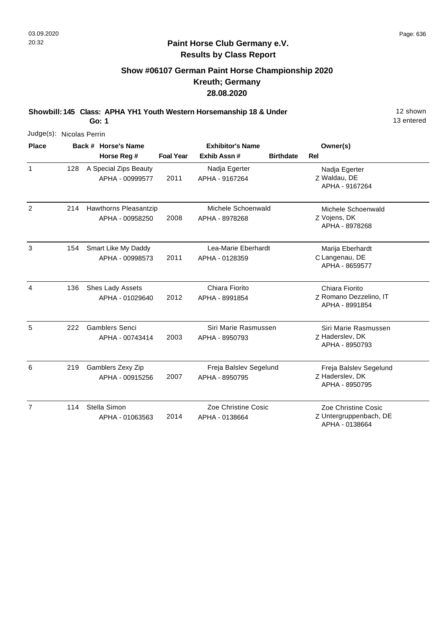## **Show #06107 German Paint Horse Championship 2020 Kreuth; Germany 28.08.2020**

**Showbill: 145 Class: APHA YH1 Youth Western Horsemanship 18 & Under** 12 Shown

**Go: 1**

| Judge(s): Nicolas Perrin |     |                                          |                  |                                          |                  |                                                                 |  |  |
|--------------------------|-----|------------------------------------------|------------------|------------------------------------------|------------------|-----------------------------------------------------------------|--|--|
| <b>Place</b>             |     | Back # Horse's Name                      |                  | <b>Exhibitor's Name</b>                  |                  | Owner(s)                                                        |  |  |
|                          |     | Horse Reg #                              | <b>Foal Year</b> | Exhib Assn#                              | <b>Birthdate</b> | <b>Rel</b>                                                      |  |  |
| $\mathbf{1}$             | 128 | A Special Zips Beauty<br>APHA - 00999577 | 2011             | Nadja Egerter<br>APHA - 9167264          |                  | Nadja Egerter<br>Z Waldau, DE<br>APHA - 9167264                 |  |  |
| 2                        | 214 | Hawthorns Pleasantzip<br>APHA - 00958250 | 2008             | Michele Schoenwald<br>APHA - 8978268     |                  | Michele Schoenwald<br>Z Vojens, DK<br>APHA - 8978268            |  |  |
| 3                        | 154 | Smart Like My Daddy<br>APHA - 00998573   | 2011             | Lea-Marie Eberhardt<br>APHA - 0128359    |                  | Marija Eberhardt<br>C Langenau, DE<br>APHA - 8659577            |  |  |
| 4                        | 136 | Shes Lady Assets<br>APHA - 01029640      | 2012             | Chiara Fiorito<br>APHA - 8991854         |                  | Chiara Fiorito<br>Z Romano Dezzelino, IT<br>APHA - 8991854      |  |  |
| 5                        | 222 | <b>Gamblers Senci</b><br>APHA - 00743414 | 2003             | Siri Marie Rasmussen<br>APHA - 8950793   |                  | Siri Marie Rasmussen<br>Z Haderslev, DK<br>APHA - 8950793       |  |  |
| 6                        | 219 | Gamblers Zexy Zip<br>APHA - 00915256     | 2007             | Freja Balslev Segelund<br>APHA - 8950795 |                  | Freja Balslev Segelund<br>Z Haderslev, DK<br>APHA - 8950795     |  |  |
| $\overline{7}$           | 114 | Stella Simon<br>APHA - 01063563          | 2014             | Zoe Christine Cosic<br>APHA - 0138664    |                  | Zoe Christine Cosic<br>Z Untergruppenbach, DE<br>APHA - 0138664 |  |  |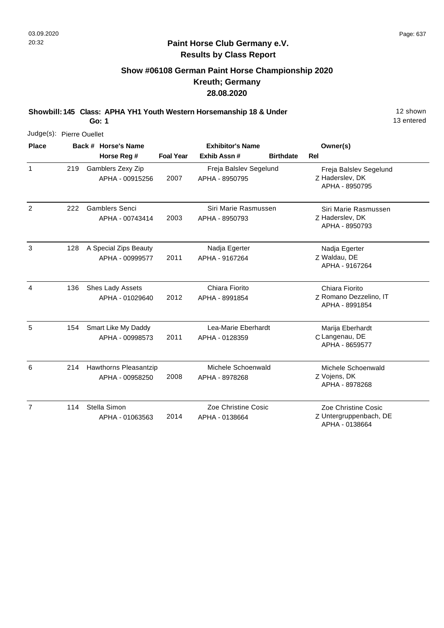## **Show #06108 German Paint Horse Championship 2020 Kreuth; Germany 28.08.2020**

**Showbill: 145 Class: APHA YH1 Youth Western Horsemanship 18 & Under** 12 Shown

**Go: 1**

| Judge(s): Pierre Ouellet |     |                       |                         |                        |                  |                                          |
|--------------------------|-----|-----------------------|-------------------------|------------------------|------------------|------------------------------------------|
| <b>Place</b>             |     | Back # Horse's Name   | <b>Exhibitor's Name</b> |                        | Owner(s)         |                                          |
|                          |     | Horse Reg #           | <b>Foal Year</b>        | Exhib Assn#            | <b>Birthdate</b> | <b>Rel</b>                               |
| $\mathbf{1}$             | 219 | Gamblers Zexy Zip     |                         | Freja Balslev Segelund |                  | Freja Balslev Segelund                   |
|                          |     | APHA - 00915256       | 2007                    | APHA - 8950795         |                  | Z Haderslev, DK<br>APHA - 8950795        |
| 2                        | 222 | <b>Gamblers Senci</b> |                         | Siri Marie Rasmussen   |                  | Siri Marie Rasmussen                     |
|                          |     | APHA - 00743414       | 2003                    | APHA - 8950793         |                  | Z Haderslev, DK<br>APHA - 8950793        |
| 3                        | 128 | A Special Zips Beauty |                         | Nadja Egerter          |                  | Nadja Egerter                            |
|                          |     | APHA - 00999577       | 2011                    | APHA - 9167264         |                  | Z Waldau, DE<br>APHA - 9167264           |
| $\overline{4}$           | 136 | Shes Lady Assets      |                         | Chiara Fiorito         |                  | Chiara Fiorito                           |
|                          |     | APHA - 01029640       | 2012                    | APHA - 8991854         |                  | Z Romano Dezzelino, IT<br>APHA - 8991854 |
| 5                        | 154 | Smart Like My Daddy   |                         | Lea-Marie Eberhardt    |                  | Marija Eberhardt                         |
|                          |     | APHA - 00998573       | 2011                    | APHA - 0128359         |                  | C Langenau, DE<br>APHA - 8659577         |
| 6                        | 214 | Hawthorns Pleasantzip |                         | Michele Schoenwald     |                  | Michele Schoenwald                       |
|                          |     | APHA - 00958250       | 2008                    | APHA - 8978268         |                  | Z Vojens, DK<br>APHA - 8978268           |
| $\overline{7}$           | 114 | Stella Simon          |                         | Zoe Christine Cosic    |                  | Zoe Christine Cosic                      |
|                          |     | APHA - 01063563       | 2014                    | APHA - 0138664         |                  | Z Untergruppenbach, DE<br>APHA - 0138664 |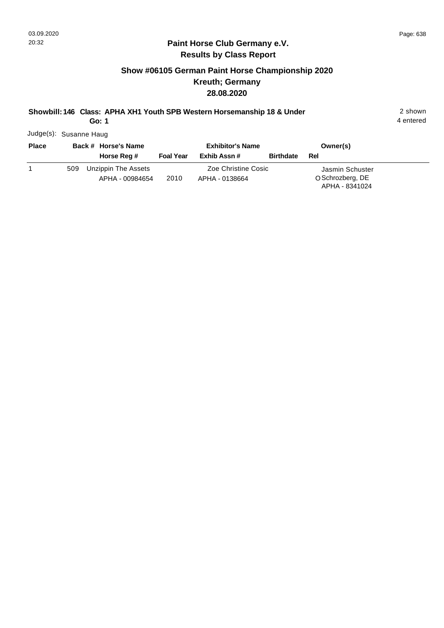## **Show #06105 German Paint Horse Championship 2020 Kreuth; Germany 28.08.2020**

## **Showbill: 146 Class: APHA XH1 Youth SPB Western Horsemanship 18 & Under** 2 shown

**Go: 1**

4 entered

Judge(s): Susanne Haug

| <b>Place</b> |     | Back # Horse's Name |                  | <b>Exhibitor's Name</b> | Owner(s)         |                  |  |
|--------------|-----|---------------------|------------------|-------------------------|------------------|------------------|--|
|              |     | Horse Reg #         | <b>Foal Year</b> | Exhib Assn #            | <b>Birthdate</b> | Rel              |  |
|              | 509 | Unzippin The Assets |                  | Zoe Christine Cosic     |                  | Jasmin Schuster  |  |
|              |     | APHA - 00984654     | 2010             | APHA - 0138664          |                  | O Schrozberg, DE |  |
|              |     |                     |                  |                         |                  | APHA - 8341024   |  |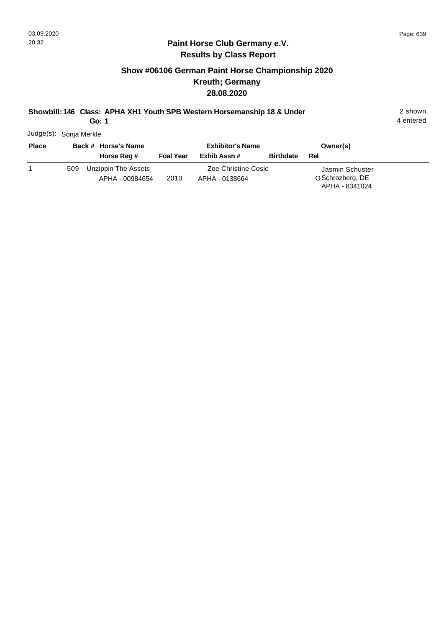## **Show #06106 German Paint Horse Championship 2020 Kreuth; Germany 28.08.2020**

**Showbill: 146 Class: APHA XH1 Youth SPB Western Horsemanship 18 & Under** 2 shown

**Go: 1**

4 entered

Judge(s): Sonja Merkle

| <b>Place</b> |     | Back # Horse's Name |                  | <b>Exhibitor's Name</b> | Owner(s)         |                  |  |
|--------------|-----|---------------------|------------------|-------------------------|------------------|------------------|--|
|              |     | Horse Reg #         | <b>Foal Year</b> | Exhib Assn #            | <b>Birthdate</b> | Rel              |  |
|              | 509 | Unzippin The Assets |                  | Zoe Christine Cosic     |                  | Jasmin Schuster  |  |
|              |     | APHA - 00984654     | 2010             | APHA - 0138664          |                  | O Schrozberg, DE |  |
|              |     |                     |                  |                         |                  | APHA - 8341024   |  |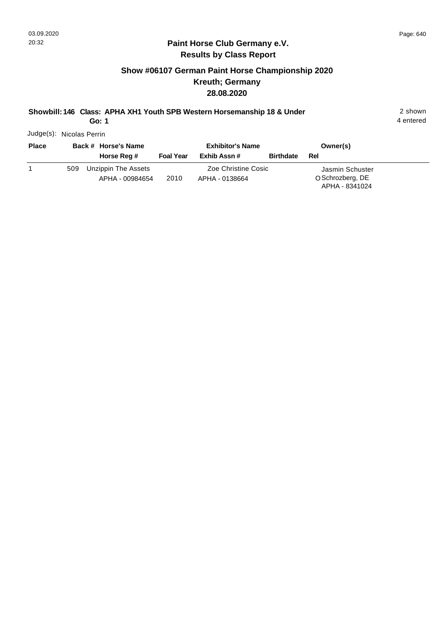## **Show #06107 German Paint Horse Championship 2020 Kreuth; Germany 28.08.2020**

**Showbill: 146 Class: APHA XH1 Youth SPB Western Horsemanship 18 & Under** 2 shown

**Go: 1**

4 entered

Judge(s): Nicolas Perrin

| <b>Place</b> |     | Back # Horse's Name |                  | <b>Exhibitor's Name</b> | Owner(s)         |                  |  |
|--------------|-----|---------------------|------------------|-------------------------|------------------|------------------|--|
|              |     | Horse Reg #         | <b>Foal Year</b> | Exhib Assn #            | <b>Birthdate</b> | Rel              |  |
|              | 509 | Unzippin The Assets |                  | Zoe Christine Cosic     |                  | Jasmin Schuster  |  |
|              |     | APHA - 00984654     | 2010             | APHA - 0138664          |                  | O Schrozberg, DE |  |
|              |     |                     |                  |                         |                  | APHA - 8341024   |  |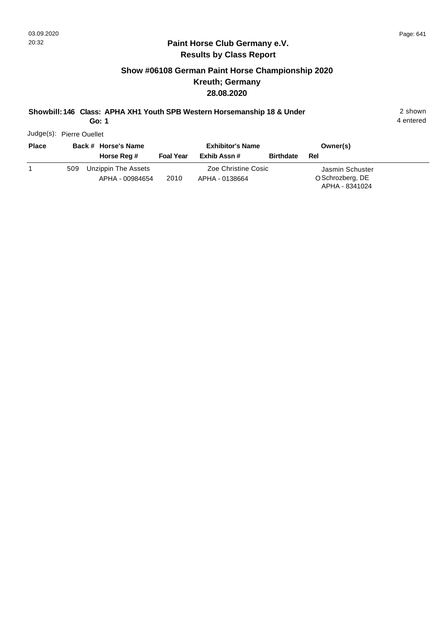## **Show #06108 German Paint Horse Championship 2020 Kreuth; Germany 28.08.2020**

**Showbill: 146 Class: APHA XH1 Youth SPB Western Horsemanship 18 & Under** 2 shown

**Go: 1**

4 entered

Judge(s): Pierre Ouellet

| <b>Place</b> | Back # Horse's Name |                     | <b>Exhibitor's Name</b> |                     |                  | Owner(s)         |
|--------------|---------------------|---------------------|-------------------------|---------------------|------------------|------------------|
|              |                     | Horse Reg #         | <b>Foal Year</b>        | Exhib Assn #        | <b>Birthdate</b> | Rel              |
|              | 509                 | Unzippin The Assets |                         | Zoe Christine Cosic |                  | Jasmin Schuster  |
|              |                     | APHA - 00984654     | 2010                    | APHA - 0138664      |                  | O Schrozberg, DE |
|              |                     |                     |                         |                     |                  | APHA - 8341024   |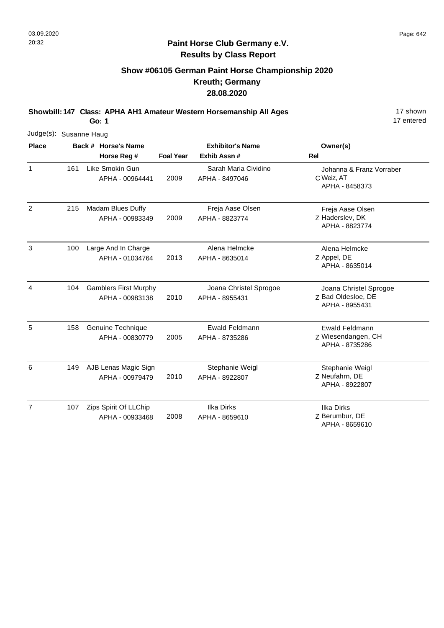## **Paint Horse Club Germany e.V. Results by Class Report**

## **Show #06105 German Paint Horse Championship 2020 Kreuth; Germany 28.08.2020**

**Showbill: 147 Class: APHA AH1 Amateur Western Horsemanship All Ages** 17 Shown

|                |     | Judge(s): Susanne Haug |                                                 |                         |                                          |                                                                |  |  |  |  |
|----------------|-----|------------------------|-------------------------------------------------|-------------------------|------------------------------------------|----------------------------------------------------------------|--|--|--|--|
| <b>Place</b>   |     |                        | Back # Horse's Name                             | <b>Exhibitor's Name</b> |                                          | Owner(s)                                                       |  |  |  |  |
|                |     |                        | Horse Reg #                                     | <b>Foal Year</b>        | Exhib Assn#                              | <b>Rel</b>                                                     |  |  |  |  |
| $\mathbf{1}$   | 161 |                        | Like Smokin Gun<br>APHA - 00964441              | 2009                    | Sarah Maria Cividino<br>APHA - 8497046   | Johanna & Franz Vorraber<br>C Weiz, AT<br>APHA - 8458373       |  |  |  |  |
| $\overline{c}$ | 215 |                        | Madam Blues Duffy<br>APHA - 00983349            | 2009                    | Freja Aase Olsen<br>APHA - 8823774       | Freja Aase Olsen<br>Z Haderslev, DK<br>APHA - 8823774          |  |  |  |  |
| 3              | 100 |                        | Large And In Charge<br>APHA - 01034764          | 2013                    | Alena Helmcke<br>APHA - 8635014          | Alena Helmcke<br>Z Appel, DE<br>APHA - 8635014                 |  |  |  |  |
| 4              | 104 |                        | <b>Gamblers First Murphy</b><br>APHA - 00983138 | 2010                    | Joana Christel Sprogoe<br>APHA - 8955431 | Joana Christel Sprogoe<br>Z Bad Oldesloe, DE<br>APHA - 8955431 |  |  |  |  |
| 5              | 158 |                        | Genuine Technique<br>APHA - 00830779            | 2005                    | <b>Ewald Feldmann</b><br>APHA - 8735286  | Ewald Feldmann<br>Z Wiesendangen, CH<br>APHA - 8735286         |  |  |  |  |
| 6              | 149 |                        | AJB Lenas Magic Sign<br>APHA - 00979479         | 2010                    | Stephanie Weigl<br>APHA - 8922807        | Stephanie Weigl<br>Z Neufahrn, DE<br>APHA - 8922807            |  |  |  |  |
| $\overline{7}$ | 107 |                        | Zips Spirit Of LLChip<br>APHA - 00933468        | 2008                    | Ilka Dirks<br>APHA - 8659610             | <b>Ilka Dirks</b><br>Z Berumbur, DE<br>APHA - 8659610          |  |  |  |  |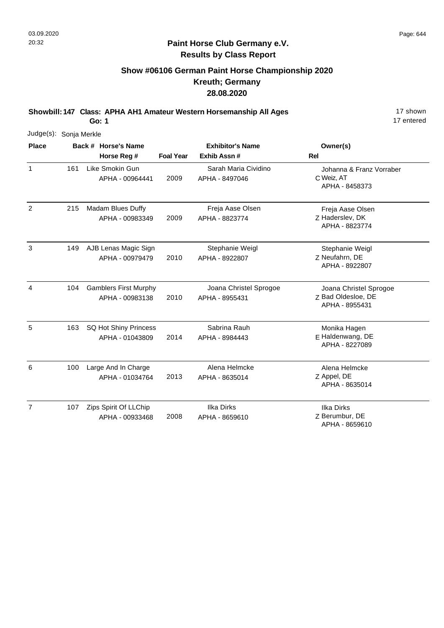## **Paint Horse Club Germany e.V. Results by Class Report**

## **Show #06106 German Paint Horse Championship 2020 Kreuth; Germany 28.08.2020**

**Showbill: 147 Class: APHA AH1 Amateur Western Horsemanship All Ages** 17 Shown

**Go: 1**

|                | Judge(s): Sonja Merkle |  |                                                 |                  |                                          |                                                                |  |  |  |  |  |
|----------------|------------------------|--|-------------------------------------------------|------------------|------------------------------------------|----------------------------------------------------------------|--|--|--|--|--|
| <b>Place</b>   |                        |  | Back # Horse's Name<br>Horse Reg #              | <b>Foal Year</b> | <b>Exhibitor's Name</b><br>Exhib Assn#   | Owner(s)<br>Rel                                                |  |  |  |  |  |
| $\mathbf{1}$   | 161                    |  | Like Smokin Gun<br>APHA - 00964441              | 2009             | Sarah Maria Cividino<br>APHA - 8497046   | Johanna & Franz Vorraber<br>C Weiz, AT<br>APHA - 8458373       |  |  |  |  |  |
| $\overline{2}$ | 215                    |  | Madam Blues Duffy<br>APHA - 00983349            | 2009             | Freja Aase Olsen<br>APHA - 8823774       | Freja Aase Olsen<br>Z Haderslev, DK<br>APHA - 8823774          |  |  |  |  |  |
| 3              | 149                    |  | AJB Lenas Magic Sign<br>APHA - 00979479         | 2010             | Stephanie Weigl<br>APHA - 8922807        | Stephanie Weigl<br>Z Neufahrn, DE<br>APHA - 8922807            |  |  |  |  |  |
| 4              | 104                    |  | <b>Gamblers First Murphy</b><br>APHA - 00983138 | 2010             | Joana Christel Sprogoe<br>APHA - 8955431 | Joana Christel Sprogoe<br>Z Bad Oldesloe, DE<br>APHA - 8955431 |  |  |  |  |  |
| 5              | 163                    |  | SQ Hot Shiny Princess<br>APHA - 01043809        | 2014             | Sabrina Rauh<br>APHA - 8984443           | Monika Hagen<br>E Haldenwang, DE<br>APHA - 8227089             |  |  |  |  |  |
| 6              | 100                    |  | Large And In Charge<br>APHA - 01034764          | 2013             | Alena Helmcke<br>APHA - 8635014          | Alena Helmcke<br>Z Appel, DE<br>APHA - 8635014                 |  |  |  |  |  |
| $\overline{7}$ | 107                    |  | Zips Spirit Of LLChip<br>APHA - 00933468        | 2008             | <b>Ilka Dirks</b><br>APHA - 8659610      | <b>Ilka Dirks</b><br>Z Berumbur, DE                            |  |  |  |  |  |

APHA - 8659610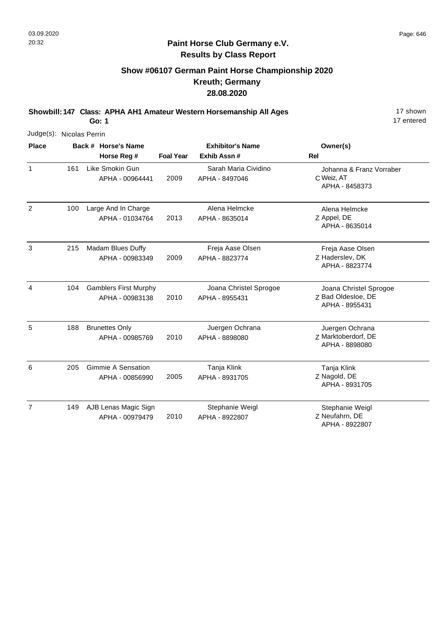## **Paint Horse Club Germany e.V. Results by Class Report**

# **Show #06107 German Paint Horse Championship 2020 Kreuth; Germany 28.08.2020**

**Showbill: 147 Class: APHA AH1 Amateur Western Horsemanship All Ages** 17 shown

|                | Judge(s): Nicolas Perrin |                     |                                                 |                         |                                          |                                                                |  |  |  |  |
|----------------|--------------------------|---------------------|-------------------------------------------------|-------------------------|------------------------------------------|----------------------------------------------------------------|--|--|--|--|
| <b>Place</b>   |                          | Back # Horse's Name |                                                 | <b>Exhibitor's Name</b> |                                          | Owner(s)                                                       |  |  |  |  |
|                |                          |                     | Horse Reg #                                     | <b>Foal Year</b>        | Exhib Assn #                             | <b>Rel</b>                                                     |  |  |  |  |
| $\mathbf{1}$   | 161                      |                     | Like Smokin Gun<br>APHA - 00964441              | 2009                    | Sarah Maria Cividino<br>APHA - 8497046   | Johanna & Franz Vorraber<br>C Weiz, AT<br>APHA - 8458373       |  |  |  |  |
| $\overline{2}$ | 100                      |                     | Large And In Charge<br>APHA - 01034764          | 2013                    | Alena Helmcke<br>APHA - 8635014          | Alena Helmcke<br>Z Appel, DE<br>APHA - 8635014                 |  |  |  |  |
| 3              | 215                      |                     | Madam Blues Duffy<br>APHA - 00983349            | 2009                    | Freja Aase Olsen<br>APHA - 8823774       | Freja Aase Olsen<br>Z Haderslev, DK<br>APHA - 8823774          |  |  |  |  |
| 4              | 104                      |                     | <b>Gamblers First Murphy</b><br>APHA - 00983138 | 2010                    | Joana Christel Sprogoe<br>APHA - 8955431 | Joana Christel Sprogoe<br>Z Bad Oldesloe, DE<br>APHA - 8955431 |  |  |  |  |
| 5              | 188                      |                     | <b>Brunettes Only</b><br>APHA - 00985769        | 2010                    | Juergen Ochrana<br>APHA - 8898080        | Juergen Ochrana<br>Z Marktoberdorf, DE<br>APHA - 8898080       |  |  |  |  |
| 6              | 205                      |                     | <b>Gimmie A Sensation</b><br>APHA - 00856990    | 2005                    | Tanja Klink<br>APHA - 8931705            | Tanja Klink<br>Z Nagold, DE<br>APHA - 8931705                  |  |  |  |  |
| $\overline{7}$ | 149                      |                     | AJB Lenas Magic Sign<br>APHA - 00979479         | 2010                    | Stephanie Weigl<br>APHA - 8922807        | Stephanie Weigl<br>Z Neufahrn, DE<br>APHA - 8922807            |  |  |  |  |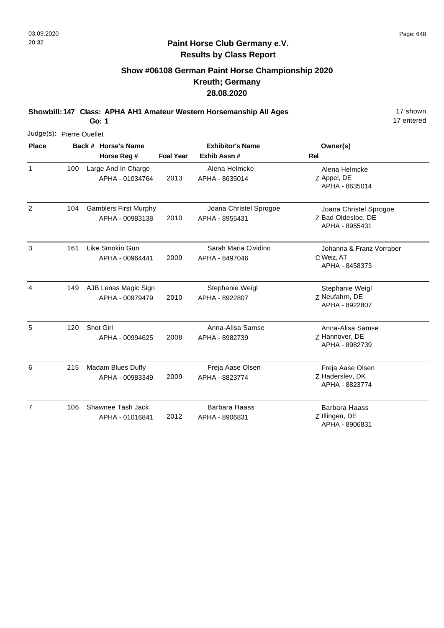## **Paint Horse Club Germany e.V. Results by Class Report**

## **Show #06108 German Paint Horse Championship 2020 Kreuth; Germany 28.08.2020**

**Showbill: 147 Class: APHA AH1 Amateur Western Horsemanship All Ages** 17 Shown

**Go: 1**

|                | Judge(s): Pierre Ouellet |  |                                                 |                  |                                          |                                                                |  |  |  |  |  |
|----------------|--------------------------|--|-------------------------------------------------|------------------|------------------------------------------|----------------------------------------------------------------|--|--|--|--|--|
| <b>Place</b>   |                          |  | Back # Horse's Name<br>Horse Reg #              | <b>Foal Year</b> | <b>Exhibitor's Name</b><br>Exhib Assn#   | Owner(s)<br>Rel                                                |  |  |  |  |  |
| $\mathbf{1}$   | 100                      |  | Large And In Charge<br>APHA - 01034764          | 2013             | Alena Helmcke<br>APHA - 8635014          | Alena Helmcke<br>Z Appel, DE<br>APHA - 8635014                 |  |  |  |  |  |
| $\overline{2}$ | 104                      |  | <b>Gamblers First Murphy</b><br>APHA - 00983138 | 2010             | Joana Christel Sprogoe<br>APHA - 8955431 | Joana Christel Sprogoe<br>Z Bad Oldesloe, DE<br>APHA - 8955431 |  |  |  |  |  |
| 3              | 161                      |  | Like Smokin Gun<br>APHA - 00964441              | 2009             | Sarah Maria Cividino<br>APHA - 8497046   | Johanna & Franz Vorraber<br>C Weiz, AT<br>APHA - 8458373       |  |  |  |  |  |
| 4              | 149                      |  | AJB Lenas Magic Sign<br>APHA - 00979479         | 2010             | Stephanie Weigl<br>APHA - 8922807        | Stephanie Weigl<br>Z Neufahrn, DE<br>APHA - 8922807            |  |  |  |  |  |
| 5              | 120                      |  | Shot Girl<br>APHA - 00994625                    | 2008             | Anna-Alisa Samse<br>APHA - 8982739       | Anna-Alisa Samse<br>Z Hannover, DE<br>APHA - 8982739           |  |  |  |  |  |
| 6              | 215                      |  | Madam Blues Duffy<br>APHA - 00983349            | 2009             | Freja Aase Olsen<br>APHA - 8823774       | Freja Aase Olsen<br>Z Haderslev, DK<br>APHA - 8823774          |  |  |  |  |  |
| 7              | 106                      |  | Shawnee Tash Jack<br>APHA - 01016841            | 2012             | <b>Barbara Haass</b><br>APHA - 8906831   | <b>Barbara Haass</b><br>Z Illingen, DE                         |  |  |  |  |  |

APHA - 8906831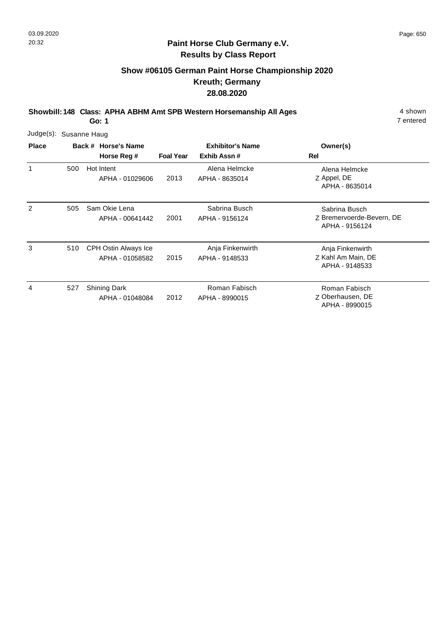## **Paint Horse Club Germany e.V. Results by Class Report**

# **Show #06105 German Paint Horse Championship 2020 Kreuth; Germany 28.08.2020**

**Showbill: 148 Class: APHA ABHM Amt SPB Western Horsemanship All Ages** 4 shown

|              | Judge(s): Susanne Haug |                                         |                  |                                        |                                                              |  |  |  |  |  |  |
|--------------|------------------------|-----------------------------------------|------------------|----------------------------------------|--------------------------------------------------------------|--|--|--|--|--|--|
| <b>Place</b> |                        | Back # Horse's Name<br>Horse Reg #      | <b>Foal Year</b> | <b>Exhibitor's Name</b><br>Exhib Assn# | Owner(s)<br>Rel                                              |  |  |  |  |  |  |
| 1            | 500                    | Hot Intent<br>APHA - 01029606           | 2013             | Alena Helmcke<br>APHA - 8635014        | Alena Helmcke<br>Z Appel, DE<br>APHA - 8635014               |  |  |  |  |  |  |
| 2            | 505                    | Sam Okie Lena<br>APHA - 00641442        | 2001             | Sabrina Busch<br>APHA - 9156124        | Sabrina Busch<br>Z Bremervoerde-Bevern, DE<br>APHA - 9156124 |  |  |  |  |  |  |
| 3            | 510                    | CPH Ostin Always Ice<br>APHA - 01058582 | 2015             | Anja Finkenwirth<br>APHA - 9148533     | Anja Finkenwirth<br>Z Kahl Am Main, DE<br>APHA - 9148533     |  |  |  |  |  |  |
| 4            | 527                    | <b>Shining Dark</b><br>APHA - 01048084  | 2012             | Roman Fabisch<br>APHA - 8990015        | Roman Fabisch<br>Z Oberhausen, DE<br>APHA - 8990015          |  |  |  |  |  |  |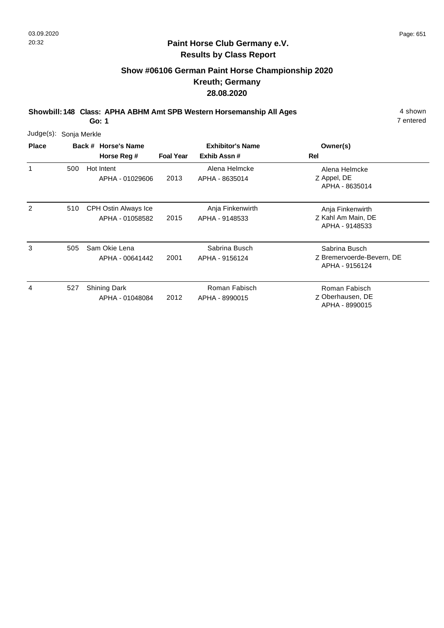## **Paint Horse Club Germany e.V. Results by Class Report**

# **Show #06106 German Paint Horse Championship 2020 Kreuth; Germany 28.08.2020**

**Showbill: 148 Class: APHA ABHM Amt SPB Western Horsemanship All Ages** 4 shown

| Judge(s):    | Sonja Merkle |                                                |                  |                                        |                                                              |  |  |  |  |  |
|--------------|--------------|------------------------------------------------|------------------|----------------------------------------|--------------------------------------------------------------|--|--|--|--|--|
| <b>Place</b> |              | Back # Horse's Name<br>Horse Reg #             | <b>Foal Year</b> | <b>Exhibitor's Name</b><br>Exhib Assn# | Owner(s)<br>Rel                                              |  |  |  |  |  |
| 1            | 500          | Hot Intent<br>APHA - 01029606                  | 2013             | Alena Helmcke<br>APHA - 8635014        | Alena Helmcke<br>Z Appel, DE<br>APHA - 8635014               |  |  |  |  |  |
| 2            | 510          | <b>CPH Ostin Always Ice</b><br>APHA - 01058582 | 2015             | Anja Finkenwirth<br>APHA - 9148533     | Anja Finkenwirth<br>Z Kahl Am Main, DE<br>APHA - 9148533     |  |  |  |  |  |
| 3            | 505          | Sam Okie Lena<br>APHA - 00641442               | 2001             | Sabrina Busch<br>APHA - 9156124        | Sabrina Busch<br>Z Bremervoerde-Bevern, DE<br>APHA - 9156124 |  |  |  |  |  |
| 4            | 527          | <b>Shining Dark</b><br>APHA - 01048084         | 2012             | Roman Fabisch<br>APHA - 8990015        | Roman Fabisch<br>Z Oberhausen, DE<br>APHA - 8990015          |  |  |  |  |  |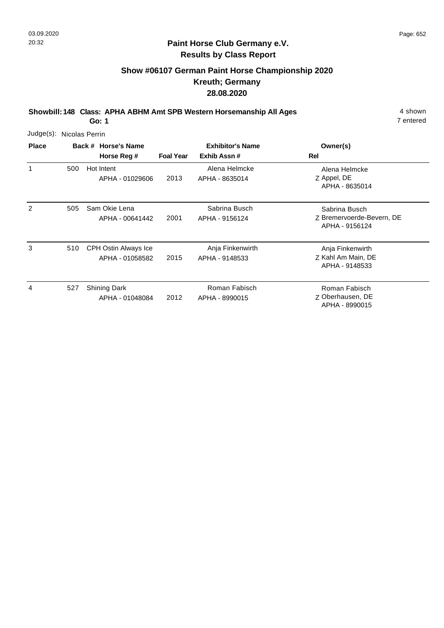### **Paint Horse Club Germany e.V. Results by Class Report**

# **Show #06107 German Paint Horse Championship 2020 Kreuth; Germany 28.08.2020**

**Showbill: 148 Class: APHA ABHM Amt SPB Western Horsemanship All Ages** 4 shown

| Judge(s): Nicolas Perrin |     |                                                |                  |                                        |                                                              |
|--------------------------|-----|------------------------------------------------|------------------|----------------------------------------|--------------------------------------------------------------|
| <b>Place</b>             |     | Back # Horse's Name<br>Horse Reg #             | <b>Foal Year</b> | <b>Exhibitor's Name</b><br>Exhib Assn# | Owner(s)<br><b>Rel</b>                                       |
| 1                        | 500 | Hot Intent<br>APHA - 01029606                  | 2013             | Alena Helmcke<br>APHA - 8635014        | Alena Helmcke<br>Z Appel, DE<br>APHA - 8635014               |
| 2                        | 505 | Sam Okie Lena<br>APHA - 00641442               | 2001             | Sabrina Busch<br>APHA - 9156124        | Sabrina Busch<br>Z Bremervoerde-Bevern, DE<br>APHA - 9156124 |
| 3                        | 510 | <b>CPH Ostin Always Ice</b><br>APHA - 01058582 | 2015             | Anja Finkenwirth<br>APHA - 9148533     | Anja Finkenwirth<br>Z Kahl Am Main, DE<br>APHA - 9148533     |
| 4                        | 527 | <b>Shining Dark</b><br>APHA - 01048084         | 2012             | Roman Fabisch<br>APHA - 8990015        | Roman Fabisch<br>Z Oberhausen, DE<br>APHA - 8990015          |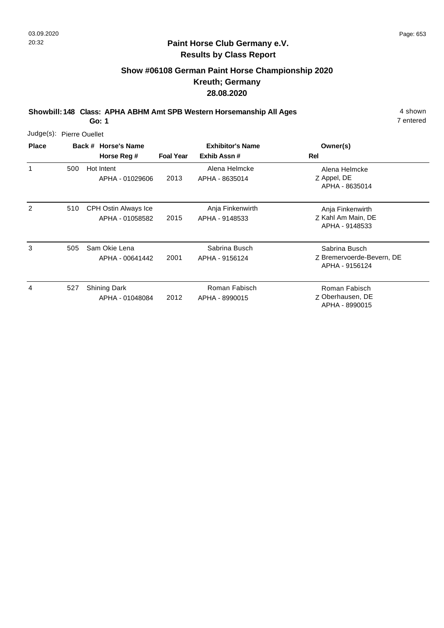### **Paint Horse Club Germany e.V. Results by Class Report**

# **Show #06108 German Paint Horse Championship 2020 Kreuth; Germany 28.08.2020**

**Showbill: 148 Class: APHA ABHM Amt SPB Western Horsemanship All Ages** 4 shown

| Judge(s): Pierre Ouellet |     |  |                                         |                  |                                        |                                                              |
|--------------------------|-----|--|-----------------------------------------|------------------|----------------------------------------|--------------------------------------------------------------|
| <b>Place</b>             |     |  | Back # Horse's Name<br>Horse Reg #      | <b>Foal Year</b> | <b>Exhibitor's Name</b><br>Exhib Assn# | Owner(s)<br><b>Rel</b>                                       |
| 1                        | 500 |  | Hot Intent<br>APHA - 01029606           | 2013             | Alena Helmcke<br>APHA - 8635014        | Alena Helmcke<br>Z Appel, DE<br>APHA - 8635014               |
| 2                        | 510 |  | CPH Ostin Always Ice<br>APHA - 01058582 | 2015             | Anja Finkenwirth<br>APHA - 9148533     | Anja Finkenwirth<br>Z Kahl Am Main, DE<br>APHA - 9148533     |
| 3                        | 505 |  | Sam Okie Lena<br>APHA - 00641442        | 2001             | Sabrina Busch<br>APHA - 9156124        | Sabrina Busch<br>Z Bremervoerde-Bevern, DE<br>APHA - 9156124 |
| 4                        | 527 |  | <b>Shining Dark</b><br>APHA - 01048084  | 2012             | Roman Fabisch<br>APHA - 8990015        | Roman Fabisch<br>Z Oberhausen, DE<br>APHA - 8990015          |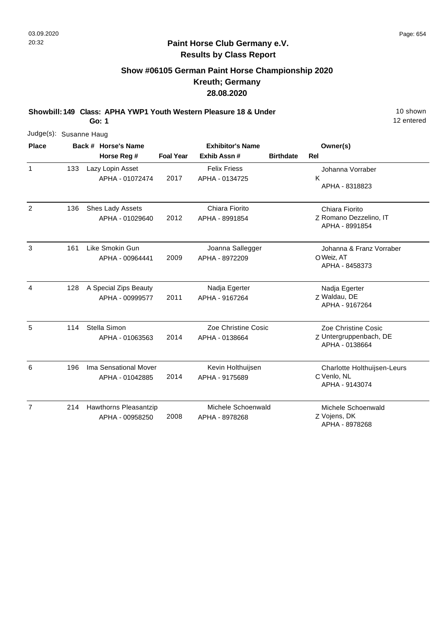## **Show #06105 German Paint Horse Championship 2020 Kreuth; Germany 28.08.2020**

**Showbill: 149 Class: APHA YWP1 Youth Western Pleasure 18 & Under** 19 **10 Shown** 

**Go: 1**

| Judge(s): Susanne Haug |     |                       |                         |                     |                  |                             |
|------------------------|-----|-----------------------|-------------------------|---------------------|------------------|-----------------------------|
| <b>Place</b>           |     | Back # Horse's Name   | <b>Exhibitor's Name</b> |                     |                  | Owner(s)                    |
|                        |     | Horse Reg #           | <b>Foal Year</b>        | Exhib Assn #        | <b>Birthdate</b> | <b>Rel</b>                  |
| 1                      | 133 | Lazy Lopin Asset      |                         | <b>Felix Friess</b> |                  | Johanna Vorraber            |
|                        |     | APHA - 01072474       | 2017                    | APHA - 0134725      |                  | K                           |
|                        |     |                       |                         |                     |                  | APHA - 8318823              |
| $\overline{2}$         | 136 | Shes Lady Assets      |                         | Chiara Fiorito      |                  | Chiara Fiorito              |
|                        |     | APHA - 01029640       | 2012                    | APHA - 8991854      |                  | Z Romano Dezzelino, IT      |
|                        |     |                       |                         |                     |                  | APHA - 8991854              |
| 3                      | 161 | Like Smokin Gun       |                         | Joanna Sallegger    |                  | Johanna & Franz Vorraber    |
|                        |     | APHA - 00964441       | 2009                    | APHA - 8972209      |                  | O Weiz, AT                  |
|                        |     |                       |                         |                     |                  | APHA - 8458373              |
| 4                      | 128 | A Special Zips Beauty |                         | Nadja Egerter       |                  | Nadja Egerter               |
|                        |     | APHA - 00999577       | 2011                    | APHA - 9167264      |                  | Z Waldau, DE                |
|                        |     |                       |                         |                     |                  | APHA - 9167264              |
| 5                      | 114 | Stella Simon          |                         | Zoe Christine Cosic |                  | Zoe Christine Cosic         |
|                        |     | APHA - 01063563       | 2014                    | APHA - 0138664      |                  | Z Untergruppenbach, DE      |
|                        |     |                       |                         |                     |                  | APHA - 0138664              |
| 6                      | 196 | Ima Sensational Mover |                         | Kevin Holthuijsen   |                  | Charlotte Holthuijsen-Leurs |
|                        |     | APHA - 01042885       | 2014                    | APHA - 9175689      |                  | C Venlo, NL                 |
|                        |     |                       |                         |                     |                  | APHA - 9143074              |
| $\overline{7}$         | 214 | Hawthorns Pleasantzip |                         | Michele Schoenwald  |                  | Michele Schoenwald          |
|                        |     | APHA - 00958250       | 2008                    | APHA - 8978268      |                  | Z Vojens, DK                |
|                        |     |                       |                         |                     |                  | APHA - 8978268              |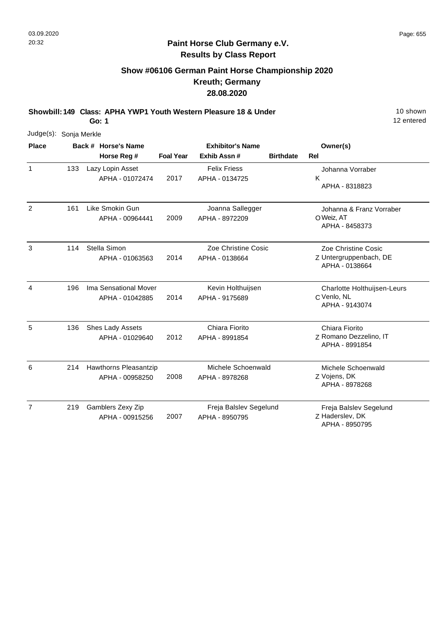## **Show #06106 German Paint Horse Championship 2020 Kreuth; Germany 28.08.2020**

**Showbill: 149 Class: APHA YWP1 Youth Western Pleasure 18 & Under** 19 **10 Shown** 

**Go: 1**

| <b>Place</b>   |     | Back # Horse's Name   |                  | <b>Exhibitor's Name</b> |                  | Owner(s)                                 |
|----------------|-----|-----------------------|------------------|-------------------------|------------------|------------------------------------------|
|                |     | Horse Reg #           | <b>Foal Year</b> | Exhib Assn#             | <b>Birthdate</b> | Rel                                      |
| $\mathbf{1}$   | 133 | Lazy Lopin Asset      |                  | <b>Felix Friess</b>     |                  | Johanna Vorraber                         |
|                |     | APHA - 01072474       | 2017             | APHA - 0134725          |                  | K<br>APHA - 8318823                      |
| 2              | 161 | Like Smokin Gun       |                  | Joanna Sallegger        |                  | Johanna & Franz Vorraber                 |
|                |     | APHA - 00964441       | 2009             | APHA - 8972209          |                  | O Weiz, AT<br>APHA - 8458373             |
| 3              | 114 | Stella Simon          |                  | Zoe Christine Cosic     |                  | Zoe Christine Cosic                      |
|                |     | APHA - 01063563       | 2014             | APHA - 0138664          |                  | Z Untergruppenbach, DE<br>APHA - 0138664 |
| 4              | 196 | Ima Sensational Mover |                  | Kevin Holthuijsen       |                  | Charlotte Holthuijsen-Leurs              |
|                |     | APHA - 01042885       | 2014             | APHA - 9175689          |                  | C Venlo, NL<br>APHA - 9143074            |
| 5              | 136 | Shes Lady Assets      |                  | Chiara Fiorito          |                  | Chiara Fiorito                           |
|                |     | APHA - 01029640       | 2012             | APHA - 8991854          |                  | Z Romano Dezzelino, IT<br>APHA - 8991854 |
| 6              | 214 | Hawthorns Pleasantzip |                  | Michele Schoenwald      |                  | Michele Schoenwald                       |
|                |     | APHA - 00958250       | 2008             | APHA - 8978268          |                  | Z Vojens, DK<br>APHA - 8978268           |
| $\overline{7}$ | 219 | Gamblers Zexy Zip     |                  | Freja Balslev Segelund  |                  | Freja Balslev Segelund                   |
|                |     | APHA - 00915256       | 2007             | APHA - 8950795          |                  | Z Haderslev, DK<br>APHA - 8950795        |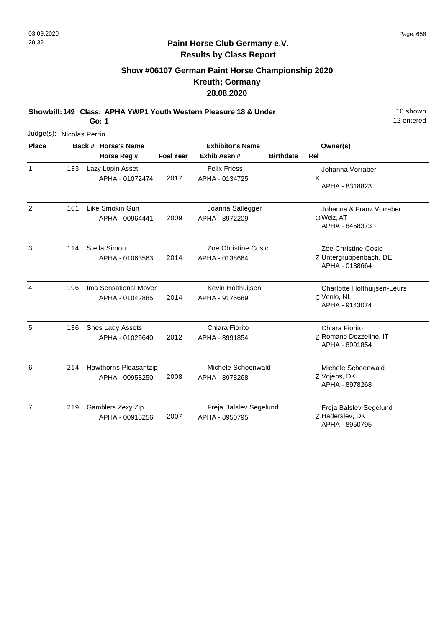# **Show #06107 German Paint Horse Championship 2020 Kreuth; Germany 28.08.2020**

**Showbill: 149 Class: APHA YWP1 Youth Western Pleasure 18 & Under** 19 **10 Shown** 

**Go: 1**

12 entered

| Judge(s): Nicolas Perrin |     |  |                       |                  |                         |                  |                                          |
|--------------------------|-----|--|-----------------------|------------------|-------------------------|------------------|------------------------------------------|
| <b>Place</b>             |     |  | Back # Horse's Name   |                  | <b>Exhibitor's Name</b> |                  | Owner(s)                                 |
|                          |     |  | Horse Reg #           | <b>Foal Year</b> | Exhib Assn#             | <b>Birthdate</b> | Rel                                      |
| $\mathbf{1}$             | 133 |  | Lazy Lopin Asset      |                  | <b>Felix Friess</b>     |                  | Johanna Vorraber                         |
|                          |     |  | APHA - 01072474       | 2017             | APHA - 0134725          |                  | K<br>APHA - 8318823                      |
| 2                        | 161 |  | Like Smokin Gun       |                  | Joanna Sallegger        |                  | Johanna & Franz Vorraber                 |
|                          |     |  | APHA - 00964441       | 2009             | APHA - 8972209          |                  | O Weiz, AT<br>APHA - 8458373             |
| 3                        | 114 |  | Stella Simon          |                  | Zoe Christine Cosic     |                  | Zoe Christine Cosic                      |
|                          |     |  | APHA - 01063563       | 2014             | APHA - 0138664          |                  | Z Untergruppenbach, DE<br>APHA - 0138664 |
| 4                        | 196 |  | Ima Sensational Mover |                  | Kevin Holthuijsen       |                  | Charlotte Holthuijsen-Leurs              |
|                          |     |  | APHA - 01042885       | 2014             | APHA - 9175689          |                  | C Venlo, NL<br>APHA - 9143074            |
| 5                        | 136 |  | Shes Lady Assets      |                  | Chiara Fiorito          |                  | Chiara Fiorito                           |
|                          |     |  | APHA - 01029640       | 2012             | APHA - 8991854          |                  | Z Romano Dezzelino, IT<br>APHA - 8991854 |
| 6                        | 214 |  | Hawthorns Pleasantzip |                  | Michele Schoenwald      |                  | Michele Schoenwald                       |
|                          |     |  | APHA - 00958250       | 2008             | APHA - 8978268          |                  | Z Vojens, DK<br>APHA - 8978268           |
| 7                        | 219 |  | Gamblers Zexy Zip     |                  | Freja Balslev Segelund  |                  | Freja Balslev Segelund                   |
|                          |     |  | APHA - 00915256       | 2007             | APHA - 8950795          |                  | Z Haderslev, DK                          |

APHA - 8950795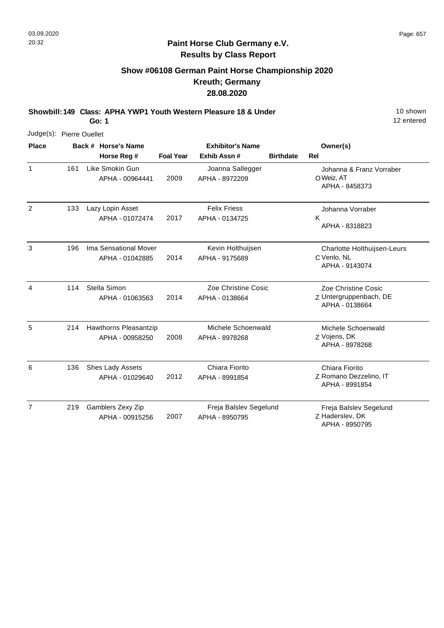## **Paint Horse Club Germany e.V. Results by Class Report**

## **Show #06108 German Paint Horse Championship 2020 Kreuth; Germany 28.08.2020**

**Showbill: 149 Class: APHA YWP1 Youth Western Pleasure 18 & Under** 19 **10 Shown** 

| Judge(s): Pierre Ouellet |     |                                          |                  |                                          |                  |                                                                 |
|--------------------------|-----|------------------------------------------|------------------|------------------------------------------|------------------|-----------------------------------------------------------------|
| <b>Place</b>             |     | Back # Horse's Name                      |                  | <b>Exhibitor's Name</b>                  |                  | Owner(s)                                                        |
|                          |     | Horse Reg #                              | <b>Foal Year</b> | Exhib Assn#                              | <b>Birthdate</b> | Rel                                                             |
| $\mathbf{1}$             | 161 | Like Smokin Gun<br>APHA - 00964441       | 2009             | Joanna Sallegger<br>APHA - 8972209       |                  | Johanna & Franz Vorraber<br>O Weiz, AT<br>APHA - 8458373        |
| $\overline{2}$           | 133 | Lazy Lopin Asset<br>APHA - 01072474      | 2017             | <b>Felix Friess</b><br>APHA - 0134725    |                  | Johanna Vorraber<br>K<br>APHA - 8318823                         |
| 3                        | 196 | Ima Sensational Mover<br>APHA - 01042885 | 2014             | Kevin Holthuijsen<br>APHA - 9175689      |                  | Charlotte Holthuijsen-Leurs<br>C Venlo, NL<br>APHA - 9143074    |
| 4                        | 114 | Stella Simon<br>APHA - 01063563          | 2014             | Zoe Christine Cosic<br>APHA - 0138664    |                  | Zoe Christine Cosic<br>Z Untergruppenbach, DE<br>APHA - 0138664 |
| 5                        | 214 | Hawthorns Pleasantzip<br>APHA - 00958250 | 2008             | Michele Schoenwald<br>APHA - 8978268     |                  | Michele Schoenwald<br>Z Vojens, DK<br>APHA - 8978268            |
| 6                        | 136 | Shes Lady Assets<br>APHA - 01029640      | 2012             | Chiara Fiorito<br>APHA - 8991854         |                  | Chiara Fiorito<br>Z Romano Dezzelino, IT<br>APHA - 8991854      |
| $\overline{7}$           | 219 | Gamblers Zexy Zip<br>APHA - 00915256     | 2007             | Freja Balslev Segelund<br>APHA - 8950795 |                  | Freja Balslev Segelund<br>Z Haderslev, DK<br>APHA - 8950795     |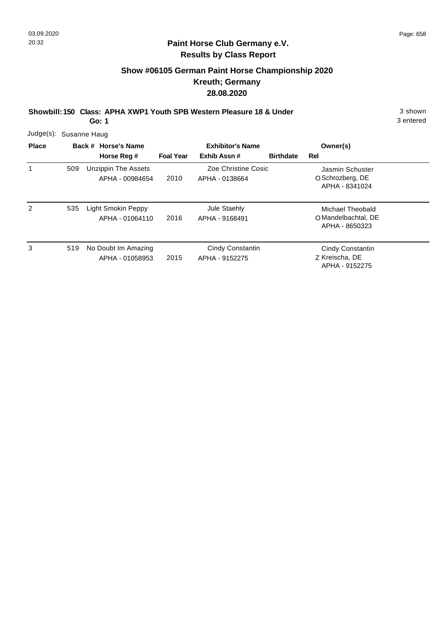## **Show #06105 German Paint Horse Championship 2020 Kreuth; Germany 28.08.2020**

**Showbill: 150 Class: APHA XWP1 Youth SPB Western Pleasure 18 & Under** 3 Shown

**Go: 1**

| <b>Place</b> | Back # Horse's Name |                                        | <b>Exhibitor's Name</b> |                                       | Owner(s)         |                                                           |  |
|--------------|---------------------|----------------------------------------|-------------------------|---------------------------------------|------------------|-----------------------------------------------------------|--|
|              |                     | Horse Reg #                            | <b>Foal Year</b>        | Exhib Assn#                           | <b>Birthdate</b> | Rel                                                       |  |
|              | 509                 | Unzippin The Assets<br>APHA - 00984654 | 2010                    | Zoe Christine Cosic<br>APHA - 0138664 |                  | Jasmin Schuster<br>O Schrozberg, DE<br>APHA - 8341024     |  |
| 2            | 535                 | Light Smokin Peppy<br>APHA - 01064110  | 2016                    | Jule Staehly<br>APHA - 9168491        |                  | Michael Theobald<br>O Mandelbachtal, DE<br>APHA - 8650323 |  |
| 3            | 519                 | No Doubt Im Amazing<br>APHA - 01058953 | 2015                    | Cindy Constantin<br>APHA - 9152275    |                  | Cindy Constantin<br>Z Kreischa, DE<br>APHA - 9152275      |  |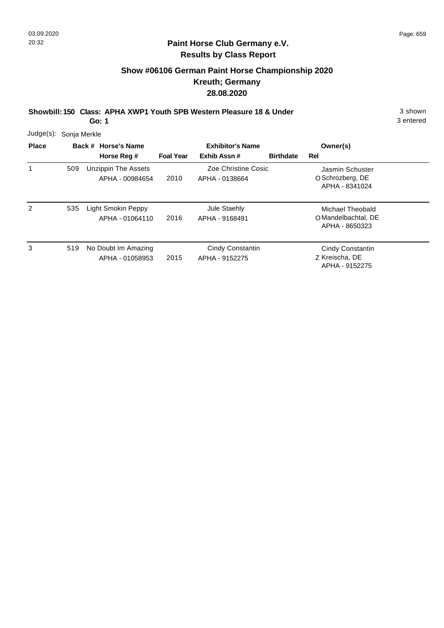## **Show #06106 German Paint Horse Championship 2020 Kreuth; Germany 28.08.2020**

**Showbill: 150 Class: APHA XWP1 Youth SPB Western Pleasure 18 & Under** 3 Shown

**Go: 1**

| <b>Place</b> | Judge(s): Sonja Merkle<br>Back # Horse's Name |                                               |                  | <b>Exhibitor's Name</b>               | Owner(s)         |                                                           |
|--------------|-----------------------------------------------|-----------------------------------------------|------------------|---------------------------------------|------------------|-----------------------------------------------------------|
|              |                                               | Horse Reg #                                   | <b>Foal Year</b> | Exhib Assn#                           | <b>Birthdate</b> | Rel                                                       |
| 1            | 509                                           | <b>Unzippin The Assets</b><br>APHA - 00984654 | 2010             | Zoe Christine Cosic<br>APHA - 0138664 |                  | Jasmin Schuster<br>O Schrozberg, DE<br>APHA - 8341024     |
| 2            | 535                                           | Light Smokin Peppy<br>APHA - 01064110         | 2016             | Jule Staehly<br>APHA - 9168491        |                  | Michael Theobald<br>O Mandelbachtal, DE<br>APHA - 8650323 |
| 3            | 519                                           | No Doubt Im Amazing<br>APHA - 01058953        | 2015             | Cindy Constantin<br>APHA - 9152275    |                  | Cindy Constantin<br>Z Kreischa, DE<br>APHA - 9152275      |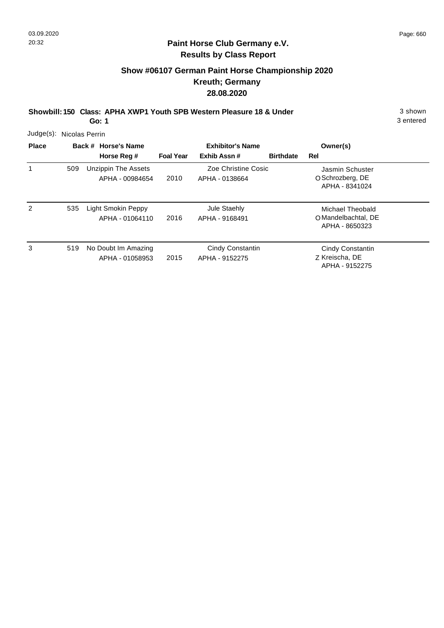## **Paint Horse Club Germany e.V. Results by Class Report**

## **Show #06107 German Paint Horse Championship 2020 Kreuth; Germany 28.08.2020**

**Showbill: 150 Class: APHA XWP1 Youth SPB Western Pleasure 18 & Under** 3 shown

| Judge(s): Nicolas Perrin |     |                                               |                  |                                       |                  |                                                           |  |
|--------------------------|-----|-----------------------------------------------|------------------|---------------------------------------|------------------|-----------------------------------------------------------|--|
| <b>Place</b>             |     | Back # Horse's Name                           |                  | <b>Exhibitor's Name</b>               |                  | Owner(s)                                                  |  |
|                          |     | Horse Reg #                                   | <b>Foal Year</b> | Exhib Assn#                           | <b>Birthdate</b> | Rel                                                       |  |
|                          | 509 | <b>Unzippin The Assets</b><br>APHA - 00984654 | 2010             | Zoe Christine Cosic<br>APHA - 0138664 |                  | Jasmin Schuster<br>O Schrozberg, DE<br>APHA - 8341024     |  |
| 2                        | 535 | <b>Light Smokin Peppy</b><br>APHA - 01064110  | 2016             | Jule Staehly<br>APHA - 9168491        |                  | Michael Theobald<br>O Mandelbachtal, DE<br>APHA - 8650323 |  |
| 3                        | 519 | No Doubt Im Amazing<br>APHA - 01058953        | 2015             | Cindy Constantin<br>APHA - 9152275    |                  | Cindy Constantin<br>Z Kreischa, DE<br>APHA - 9152275      |  |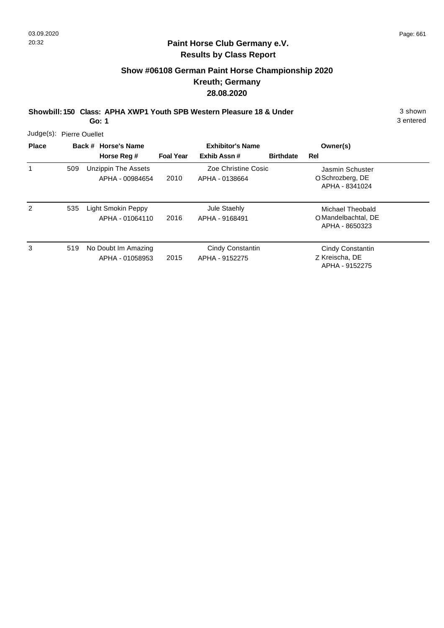## **Show #06108 German Paint Horse Championship 2020 Kreuth; Germany 28.08.2020**

**Showbill: 150 Class: APHA XWP1 Youth SPB Western Pleasure 18 & Under** 3 Shown

**Go: 1**

| Judge(s): Pierre Ouellet |  |
|--------------------------|--|
|                          |  |

| <b>Place</b> | Back # Horse's Name |                                        |                  | <b>Exhibitor's Name</b>               | Owner(s)         |                                                             |
|--------------|---------------------|----------------------------------------|------------------|---------------------------------------|------------------|-------------------------------------------------------------|
|              |                     | Horse Reg #                            | <b>Foal Year</b> | Exhib Assn#                           | <b>Birthdate</b> | Rel                                                         |
|              | 509                 | Unzippin The Assets<br>APHA - 00984654 | 2010             | Zoe Christine Cosic<br>APHA - 0138664 |                  | Jasmin Schuster<br>O Schrozberg, DE<br>APHA - 8341024       |
| 2            | 535                 | Light Smokin Peppy<br>APHA - 01064110  | 2016             | Jule Staehly<br>APHA - 9168491        |                  | Michael Theobald<br>O Mandelbachtal, DE<br>APHA - 8650323   |
| 3            | 519                 | No Doubt Im Amazing<br>APHA - 01058953 | 2015             | Cindy Constantin<br>APHA - 9152275    |                  | <b>Cindy Constantin</b><br>Z Kreischa, DE<br>APHA - 9152275 |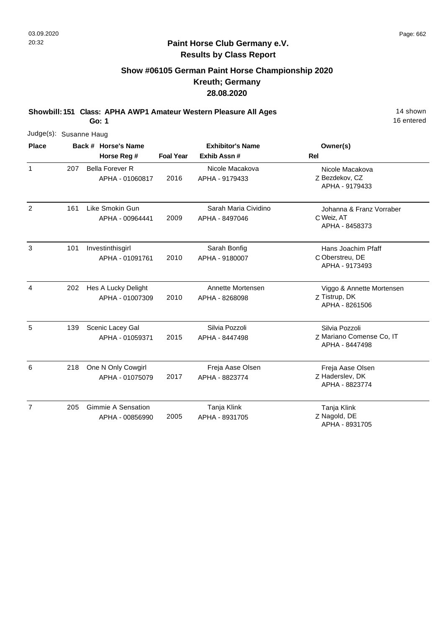## **Show #06105 German Paint Horse Championship 2020 Kreuth; Germany 28.08.2020**

**Showbill: 151 Class: APHA AWP1 Amateur Western Pleasure All Ages** 14 Shown

**Go: 1**

| Judge(s): Susanne Haug |     |                                           |                  |                                        |                                                              |
|------------------------|-----|-------------------------------------------|------------------|----------------------------------------|--------------------------------------------------------------|
| <b>Place</b>           |     | Back # Horse's Name                       |                  | <b>Exhibitor's Name</b>                | Owner(s)                                                     |
|                        |     | Horse Reg #                               | <b>Foal Year</b> | Exhib Assn#                            | <b>Rel</b>                                                   |
| $\mathbf{1}$           | 207 | <b>Bella Forever R</b><br>APHA - 01060817 | 2016             | Nicole Macakova<br>APHA - 9179433      | Nicole Macakova<br>Z Bezdekov, CZ<br>APHA - 9179433          |
| 2                      | 161 | Like Smokin Gun<br>APHA - 00964441        | 2009             | Sarah Maria Cividino<br>APHA - 8497046 | Johanna & Franz Vorraber<br>C Weiz, AT<br>APHA - 8458373     |
| 3                      | 101 | Investinthisgirl<br>APHA - 01091761       | 2010             | Sarah Bonfig<br>APHA - 9180007         | Hans Joachim Pfaff<br>C Oberstreu, DE<br>APHA - 9173493      |
| $\overline{4}$         | 202 | Hes A Lucky Delight<br>APHA - 01007309    | 2010             | Annette Mortensen<br>APHA - 8268098    | Viggo & Annette Mortensen<br>Z Tistrup, DK<br>APHA - 8261506 |
| 5                      | 139 | Scenic Lacey Gal<br>APHA - 01059371       | 2015             | Silvia Pozzoli<br>APHA - 8447498       | Silvia Pozzoli<br>Z Mariano Comense Co, IT<br>APHA - 8447498 |
| 6                      | 218 | One N Only Cowgirl<br>APHA - 01075079     | 2017             | Freja Aase Olsen<br>APHA - 8823774     | Freja Aase Olsen<br>Z Haderslev, DK<br>APHA - 8823774        |
| $\overline{7}$         | 205 | Gimmie A Sensation<br>APHA - 00856990     | 2005             | Tanja Klink<br>APHA - 8931705          | Tanja Klink<br>Z Nagold, DE<br>APHA - 8931705                |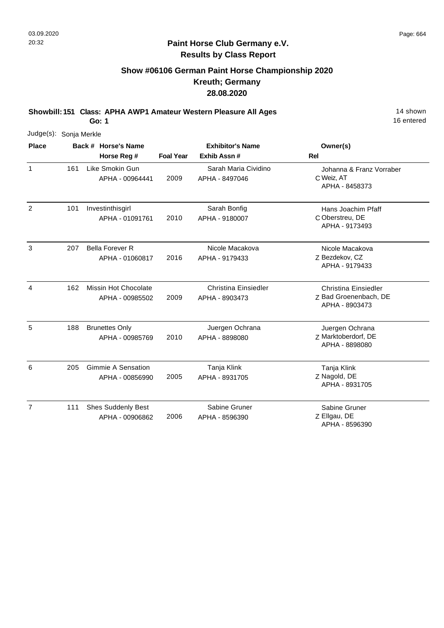## **Show #06106 German Paint Horse Championship 2020 Kreuth; Germany 28.08.2020**

**Showbill: 151 Class: APHA AWP1 Amateur Western Pleasure All Ages** 14 Shown

**Go: 1**

| Judge(s): Sonja Merkle |     |                                              |                  |                                               |                                                                        |
|------------------------|-----|----------------------------------------------|------------------|-----------------------------------------------|------------------------------------------------------------------------|
| <b>Place</b>           |     | Back # Horse's Name                          |                  | <b>Exhibitor's Name</b>                       | Owner(s)                                                               |
|                        |     | Horse Reg #                                  | <b>Foal Year</b> | Exhib Assn#                                   | <b>Rel</b>                                                             |
| $\mathbf{1}$           | 161 | Like Smokin Gun<br>APHA - 00964441           | 2009             | Sarah Maria Cividino<br>APHA - 8497046        | Johanna & Franz Vorraber<br>C Weiz, AT<br>APHA - 8458373               |
| 2                      | 101 | Investinthisgirl<br>APHA - 01091761          | 2010             | Sarah Bonfig<br>APHA - 9180007                | Hans Joachim Pfaff<br>C Oberstreu, DE<br>APHA - 9173493                |
| $\mathbf{3}$           | 207 | <b>Bella Forever R</b><br>APHA - 01060817    | 2016             | Nicole Macakova<br>APHA - 9179433             | Nicole Macakova<br>Z Bezdekov, CZ<br>APHA - 9179433                    |
| 4                      | 162 | Missin Hot Chocolate<br>APHA - 00985502      | 2009             | <b>Christina Einsiedler</b><br>APHA - 8903473 | <b>Christina Einsiedler</b><br>Z Bad Groenenbach, DE<br>APHA - 8903473 |
| 5                      | 188 | <b>Brunettes Only</b><br>APHA - 00985769     | 2010             | Juergen Ochrana<br>APHA - 8898080             | Juergen Ochrana<br>Z Marktoberdorf, DE<br>APHA - 8898080               |
| 6                      | 205 | <b>Gimmie A Sensation</b><br>APHA - 00856990 | 2005             | Tanja Klink<br>APHA - 8931705                 | Tanja Klink<br>Z Nagold, DE<br>APHA - 8931705                          |
| $\overline{7}$         | 111 | <b>Shes Suddenly Best</b><br>APHA - 00906862 | 2006             | Sabine Gruner<br>APHA - 8596390               | Sabine Gruner<br>Z Ellgau, DE<br>APHA - 8596390                        |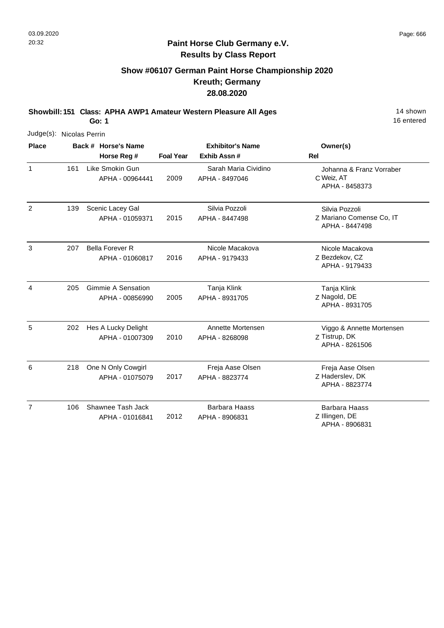## **Paint Horse Club Germany e.V. Results by Class Report**

## **Show #06107 German Paint Horse Championship 2020 Kreuth; Germany 28.08.2020**

**Showbill: 151 Class: APHA AWP1 Amateur Western Pleasure All Ages** 14 Shown

| Judge(s): Nicolas Perrin |     |                                              |                  |                                        |                                                              |
|--------------------------|-----|----------------------------------------------|------------------|----------------------------------------|--------------------------------------------------------------|
| <b>Place</b>             |     | Back # Horse's Name                          |                  | <b>Exhibitor's Name</b>                | Owner(s)                                                     |
|                          |     | Horse Reg #                                  | <b>Foal Year</b> | Exhib Assn#                            | Rel                                                          |
| $\mathbf{1}$             | 161 | Like Smokin Gun<br>APHA - 00964441           | 2009             | Sarah Maria Cividino<br>APHA - 8497046 | Johanna & Franz Vorraber<br>C Weiz, AT<br>APHA - 8458373     |
| $\overline{2}$           | 139 | Scenic Lacey Gal<br>APHA - 01059371          | 2015             | Silvia Pozzoli<br>APHA - 8447498       | Silvia Pozzoli<br>Z Mariano Comense Co, IT<br>APHA - 8447498 |
| 3                        | 207 | <b>Bella Forever R</b><br>APHA - 01060817    | 2016             | Nicole Macakova<br>APHA - 9179433      | Nicole Macakova<br>Z Bezdekov, CZ<br>APHA - 9179433          |
| 4                        | 205 | <b>Gimmie A Sensation</b><br>APHA - 00856990 | 2005             | Tanja Klink<br>APHA - 8931705          | Tanja Klink<br>Z Nagold, DE<br>APHA - 8931705                |
| 5                        | 202 | Hes A Lucky Delight<br>APHA - 01007309       | 2010             | Annette Mortensen<br>APHA - 8268098    | Viggo & Annette Mortensen<br>Z Tistrup, DK<br>APHA - 8261506 |
| 6                        | 218 | One N Only Cowgirl<br>APHA - 01075079        | 2017             | Freja Aase Olsen<br>APHA - 8823774     | Freja Aase Olsen<br>Z Haderslev, DK<br>APHA - 8823774        |
| $\overline{7}$           | 106 | Shawnee Tash Jack<br>APHA - 01016841         | 2012             | <b>Barbara Haass</b><br>APHA - 8906831 | <b>Barbara Haass</b><br>Z Illingen, DE<br>APHA - 8906831     |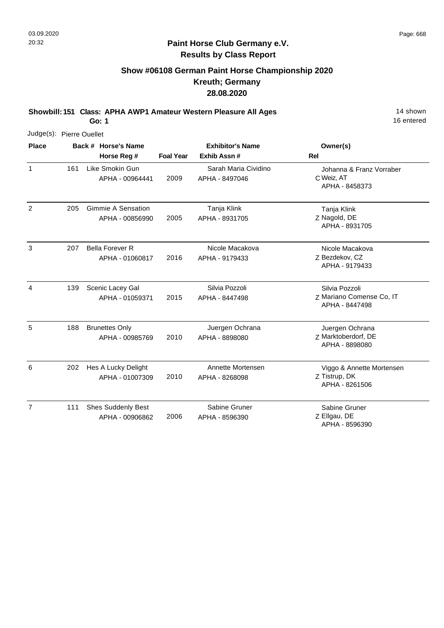## **Show #06108 German Paint Horse Championship 2020 Kreuth; Germany 28.08.2020**

**Showbill: 151 Class: APHA AWP1 Amateur Western Pleasure All Ages** 14 Shown

**Go: 1**

| Judge(s): Pierre Ouellet |     |                                              |                  |                                        |                                                              |
|--------------------------|-----|----------------------------------------------|------------------|----------------------------------------|--------------------------------------------------------------|
| <b>Place</b>             |     | Back # Horse's Name<br>Horse Reg #           | <b>Foal Year</b> | <b>Exhibitor's Name</b><br>Exhib Assn# | Owner(s)<br><b>Rel</b>                                       |
| 1                        | 161 | Like Smokin Gun<br>APHA - 00964441           | 2009             | Sarah Maria Cividino<br>APHA - 8497046 | Johanna & Franz Vorraber<br>C Weiz, AT<br>APHA - 8458373     |
| $\overline{2}$           | 205 | Gimmie A Sensation<br>APHA - 00856990        | 2005             | Tanja Klink<br>APHA - 8931705          | Tanja Klink<br>Z Nagold, DE<br>APHA - 8931705                |
| 3                        | 207 | <b>Bella Forever R</b><br>APHA - 01060817    | 2016             | Nicole Macakova<br>APHA - 9179433      | Nicole Macakova<br>Z Bezdekov, CZ<br>APHA - 9179433          |
| $\overline{4}$           | 139 | Scenic Lacey Gal<br>APHA - 01059371          | 2015             | Silvia Pozzoli<br>APHA - 8447498       | Silvia Pozzoli<br>Z Mariano Comense Co, IT<br>APHA - 8447498 |
| 5                        | 188 | <b>Brunettes Only</b><br>APHA - 00985769     | 2010             | Juergen Ochrana<br>APHA - 8898080      | Juergen Ochrana<br>Z Marktoberdorf, DE<br>APHA - 8898080     |
| 6                        | 202 | Hes A Lucky Delight<br>APHA - 01007309       | 2010             | Annette Mortensen<br>APHA - 8268098    | Viggo & Annette Mortensen<br>Z Tistrup, DK<br>APHA - 8261506 |
| $\overline{7}$           | 111 | <b>Shes Suddenly Best</b><br>APHA - 00906862 | 2006             | Sabine Gruner<br>APHA - 8596390        | Sabine Gruner<br>Z Ellgau, DE<br>APHA - 8596390              |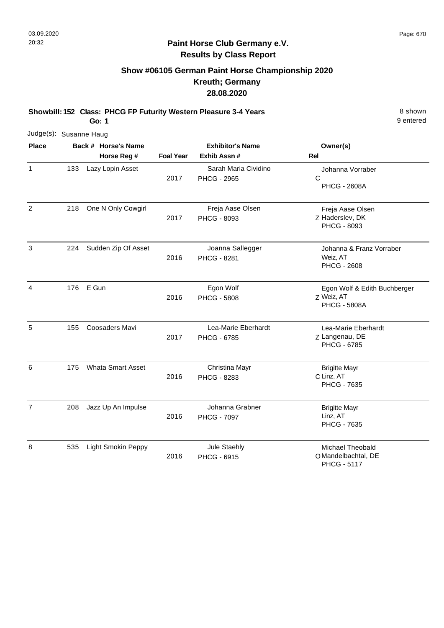## **Show #06105 German Paint Horse Championship 2020 Kreuth; Germany 28.08.2020**

**Showbill: 152 Class: PHCG FP Futurity Western Pleasure 3-4 Years** 8 Shown 8 shown **Go: 1**

9 entered

| Judge(s): Susanne Haug |     |                           |                  |                                            |                                                                   |
|------------------------|-----|---------------------------|------------------|--------------------------------------------|-------------------------------------------------------------------|
| <b>Place</b>           |     | Back # Horse's Name       |                  | <b>Exhibitor's Name</b>                    | Owner(s)                                                          |
|                        |     | Horse Reg #               | <b>Foal Year</b> | Exhib Assn#                                | <b>Rel</b>                                                        |
| $\mathbf{1}$           | 133 | Lazy Lopin Asset          | 2017             | Sarah Maria Cividino<br><b>PHCG - 2965</b> | Johanna Vorraber<br>C<br><b>PHCG - 2608A</b>                      |
| $\overline{2}$         | 218 | One N Only Cowgirl        | 2017             | Freja Aase Olsen<br><b>PHCG - 8093</b>     | Freja Aase Olsen<br>Z Haderslev, DK<br>PHCG - 8093                |
| 3                      | 224 | Sudden Zip Of Asset       | 2016             | Joanna Sallegger<br>PHCG - 8281            | Johanna & Franz Vorraber<br>Weiz, AT<br><b>PHCG - 2608</b>        |
| 4                      | 176 | E Gun                     | 2016             | Egon Wolf<br><b>PHCG - 5808</b>            | Egon Wolf & Edith Buchberger<br>Z Weiz, AT<br><b>PHCG - 5808A</b> |
| 5                      | 155 | <b>Coosaders Mavi</b>     | 2017             | Lea-Marie Eberhardt<br><b>PHCG - 6785</b>  | Lea-Marie Eberhardt<br>Z Langenau, DE<br><b>PHCG - 6785</b>       |
| 6                      | 175 | <b>Whata Smart Asset</b>  | 2016             | Christina Mayr<br>PHCG - 8283              | <b>Brigitte Mayr</b><br>C Linz, AT<br><b>PHCG - 7635</b>          |
| $\overline{7}$         | 208 | Jazz Up An Impulse        | 2016             | Johanna Grabner<br><b>PHCG - 7097</b>      | <b>Brigitte Mayr</b><br>Linz, AT<br>PHCG - 7635                   |
| 8                      | 535 | <b>Light Smokin Peppy</b> | 2016             | Jule Staehly<br><b>PHCG - 6915</b>         | <b>Michael Theobald</b><br>O Mandelbachtal, DE                    |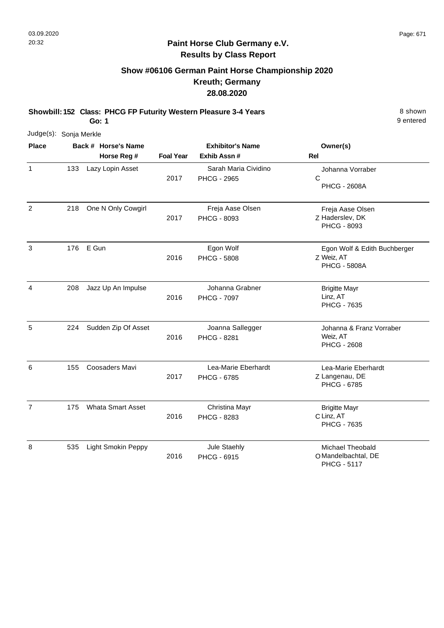# **Show #06106 German Paint Horse Championship 2020 Kreuth; Germany 28.08.2020**

**Showbill: 152 Class: PHCG FP Futurity Western Pleasure 3-4 Years** 8 Shown 8 shown **Go: 1**

9 entered

| Judge(s): Sonja Merkle |     |                           |                  |                                            |                                                                   |
|------------------------|-----|---------------------------|------------------|--------------------------------------------|-------------------------------------------------------------------|
| <b>Place</b>           |     | Back # Horse's Name       |                  | <b>Exhibitor's Name</b>                    | Owner(s)                                                          |
|                        |     | Horse Reg #               | <b>Foal Year</b> | Exhib Assn #                               | Rel                                                               |
| 1                      | 133 | Lazy Lopin Asset          | 2017             | Sarah Maria Cividino<br><b>PHCG - 2965</b> | Johanna Vorraber<br>$\mathsf{C}$<br><b>PHCG - 2608A</b>           |
| $\overline{c}$         | 218 | One N Only Cowgirl        | 2017             | Freja Aase Olsen<br>PHCG - 8093            | Freja Aase Olsen<br>Z Haderslev, DK<br>PHCG - 8093                |
| 3                      | 176 | E Gun                     | 2016             | Egon Wolf<br><b>PHCG - 5808</b>            | Egon Wolf & Edith Buchberger<br>Z Weiz, AT<br><b>PHCG - 5808A</b> |
| 4                      | 208 | Jazz Up An Impulse        | 2016             | Johanna Grabner<br><b>PHCG - 7097</b>      | <b>Brigitte Mayr</b><br>Linz, AT<br>PHCG - 7635                   |
| 5                      | 224 | Sudden Zip Of Asset       | 2016             | Joanna Sallegger<br><b>PHCG - 8281</b>     | Johanna & Franz Vorraber<br>Weiz, AT<br><b>PHCG - 2608</b>        |
| 6                      | 155 | Coosaders Mavi            | 2017             | Lea-Marie Eberhardt<br><b>PHCG - 6785</b>  | Lea-Marie Eberhardt<br>Z Langenau, DE<br><b>PHCG - 6785</b>       |
| $\overline{7}$         | 175 | <b>Whata Smart Asset</b>  | 2016             | Christina Mayr<br>PHCG - 8283              | <b>Brigitte Mayr</b><br>C Linz, AT<br>PHCG - 7635                 |
| 8                      | 535 | <b>Light Smokin Peppy</b> | 2016             | Jule Staehly<br>PHCG - 6915                | Michael Theobald<br>O Mandelbachtal, DE                           |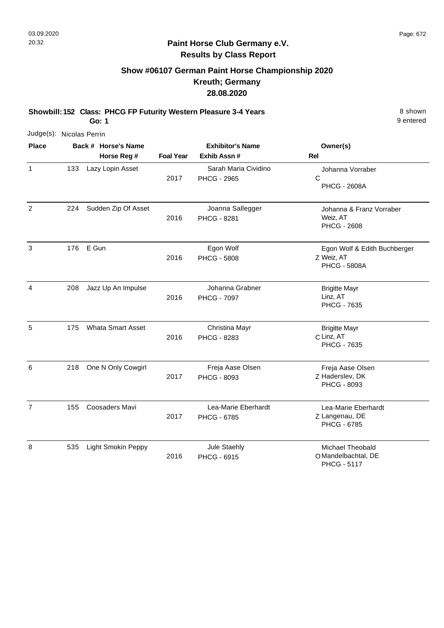# **Show #06107 German Paint Horse Championship 2020 Kreuth; Germany 28.08.2020**

**Showbill: 152 Class: PHCG FP Futurity Western Pleasure 3-4 Years** 8 Shown 8 shown **Go: 1**

| Judge(s): Nicolas Perrin |     |                                    |                  |                                            |                                                                      |
|--------------------------|-----|------------------------------------|------------------|--------------------------------------------|----------------------------------------------------------------------|
| <b>Place</b>             |     | Back # Horse's Name<br>Horse Reg # | <b>Foal Year</b> | <b>Exhibitor's Name</b><br>Exhib Assn#     | Owner(s)<br><b>Rel</b>                                               |
| $\mathbf{1}$             | 133 | Lazy Lopin Asset                   | 2017             | Sarah Maria Cividino<br><b>PHCG - 2965</b> | Johanna Vorraber<br>C<br><b>PHCG - 2608A</b>                         |
| $\overline{2}$           | 224 | Sudden Zip Of Asset                | 2016             | Joanna Sallegger<br>PHCG - 8281            | Johanna & Franz Vorraber<br>Weiz, AT<br><b>PHCG - 2608</b>           |
| 3                        | 176 | E Gun                              | 2016             | Egon Wolf<br><b>PHCG - 5808</b>            | Egon Wolf & Edith Buchberger<br>Z Weiz, AT<br><b>PHCG - 5808A</b>    |
| $\overline{4}$           | 208 | Jazz Up An Impulse                 | 2016             | Johanna Grabner<br><b>PHCG - 7097</b>      | <b>Brigitte Mayr</b><br>Linz, AT<br>PHCG - 7635                      |
| 5                        | 175 | <b>Whata Smart Asset</b>           | 2016             | Christina Mayr<br>PHCG - 8283              | <b>Brigitte Mayr</b><br>C Linz, AT<br>PHCG - 7635                    |
| 6                        | 218 | One N Only Cowgirl                 | 2017             | Freja Aase Olsen<br>PHCG - 8093            | Freja Aase Olsen<br>Z Haderslev, DK<br>PHCG - 8093                   |
| $\overline{7}$           | 155 | <b>Coosaders Mavi</b>              | 2017             | Lea-Marie Eberhardt<br><b>PHCG - 6785</b>  | Lea-Marie Eberhardt<br>Z Langenau, DE<br><b>PHCG - 6785</b>          |
| 8                        | 535 | <b>Light Smokin Peppy</b>          | 2016             | Jule Staehly<br>PHCG - 6915                | <b>Michael Theobald</b><br>O Mandelbachtal, DE<br><b>PHCG - 5117</b> |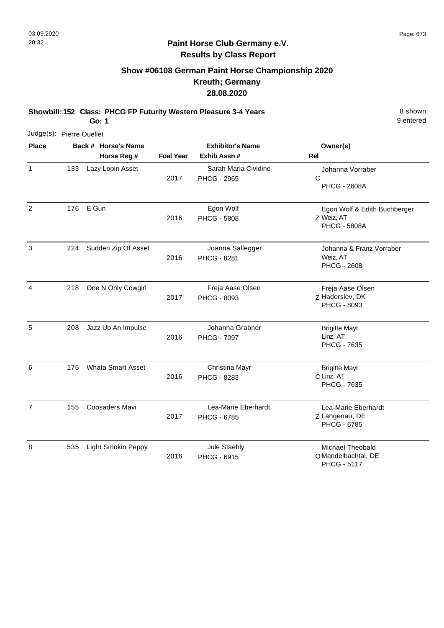## **Show #06108 German Paint Horse Championship 2020 Kreuth; Germany 28.08.2020**

**Showbill: 152 Class: PHCG FP Futurity Western Pleasure 3-4 Years** 8 Shown 8 shown **Go: 1**

|                | Judge(s): Pierre Ouellet |                                    |                  |                                            |                                                                   |
|----------------|--------------------------|------------------------------------|------------------|--------------------------------------------|-------------------------------------------------------------------|
| <b>Place</b>   |                          | Back # Horse's Name<br>Horse Reg # | <b>Foal Year</b> | <b>Exhibitor's Name</b><br>Exhib Assn #    | Owner(s)<br>Rel                                                   |
| $\mathbf{1}$   | 133                      | Lazy Lopin Asset                   | 2017             | Sarah Maria Cividino<br><b>PHCG - 2965</b> | Johanna Vorraber<br>$\mathsf{C}$<br><b>PHCG - 2608A</b>           |
| 2              | 176                      | E Gun                              | 2016             | Egon Wolf<br><b>PHCG - 5808</b>            | Egon Wolf & Edith Buchberger<br>Z Weiz, AT<br><b>PHCG - 5808A</b> |
| 3              | 224                      | Sudden Zip Of Asset                | 2016             | Joanna Sallegger<br><b>PHCG - 8281</b>     | Johanna & Franz Vorraber<br>Weiz, AT<br><b>PHCG - 2608</b>        |
| 4              | 218                      | One N Only Cowgirl                 | 2017             | Freja Aase Olsen<br>PHCG - 8093            | Freja Aase Olsen<br>Z Haderslev, DK<br>PHCG - 8093                |
| 5              | 208                      | Jazz Up An Impulse                 | 2016             | Johanna Grabner<br><b>PHCG - 7097</b>      | <b>Brigitte Mayr</b><br>Linz, AT<br><b>PHCG - 7635</b>            |
| 6              | 175                      | <b>Whata Smart Asset</b>           | 2016             | Christina Mayr<br>PHCG - 8283              | <b>Brigitte Mayr</b><br>C Linz, AT<br><b>PHCG - 7635</b>          |
| $\overline{7}$ | 155                      | <b>Coosaders Mavi</b>              | 2017             | Lea-Marie Eberhardt<br><b>PHCG - 6785</b>  | Lea-Marie Eberhardt<br>Z Langenau, DE<br>PHCG - 6785              |
| 8              | 535                      | <b>Light Smokin Peppy</b>          | 2016             | Jule Staehly<br>PHCG - 6915                | Michael Theobald<br>O Mandelbachtal, DE<br><b>PHCG - 5117</b>     |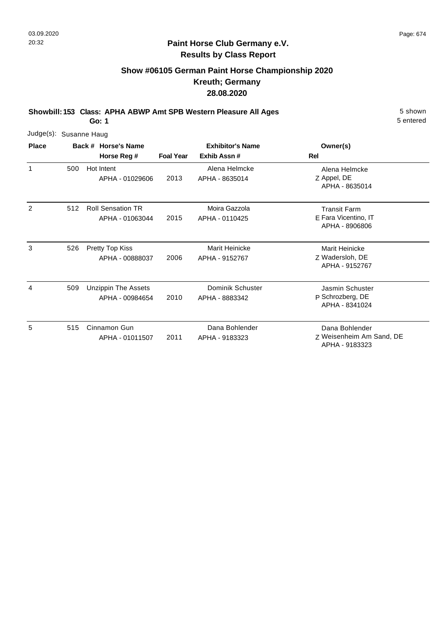# **Show #06105 German Paint Horse Championship 2020 Kreuth; Germany 28.08.2020**

**Showbill: 153 Class: APHA ABWP Amt SPB Western Pleasure All Ages** 5 Shown

**Go: 1**

| Judge(s):      | Susanne Haug |                                               |                  |                                         |                                                               |
|----------------|--------------|-----------------------------------------------|------------------|-----------------------------------------|---------------------------------------------------------------|
| <b>Place</b>   |              | Back # Horse's Name<br>Horse Reg #            | <b>Foal Year</b> | <b>Exhibitor's Name</b><br>Exhib Assn#  | Owner(s)<br><b>Rel</b>                                        |
| 1              | 500          | Hot Intent<br>APHA - 01029606                 | 2013             | Alena Helmcke<br>APHA - 8635014         | Alena Helmcke<br>Z Appel, DE<br>APHA - 8635014                |
| $\overline{2}$ | 512          | <b>Roll Sensation TR</b><br>APHA - 01063044   | 2015             | Moira Gazzola<br>APHA - 0110425         | <b>Transit Farm</b><br>E Fara Vicentino, IT<br>APHA - 8906806 |
| 3              | 526          | Pretty Top Kiss<br>APHA - 00888037            | 2006             | <b>Marit Heinicke</b><br>APHA - 9152767 | Marit Heinicke<br>Z Wadersloh, DE<br>APHA - 9152767           |
| 4              | 509          | <b>Unzippin The Assets</b><br>APHA - 00984654 | 2010             | Dominik Schuster<br>APHA - 8883342      | Jasmin Schuster<br>P Schrozberg, DE<br>APHA - 8341024         |
| 5              | 515          | Cinnamon Gun<br>APHA - 01011507               | 2011             | Dana Bohlender<br>APHA - 9183323        | Dana Bohlender<br>Z Weisenheim Am Sand, DE<br>APHA - 9183323  |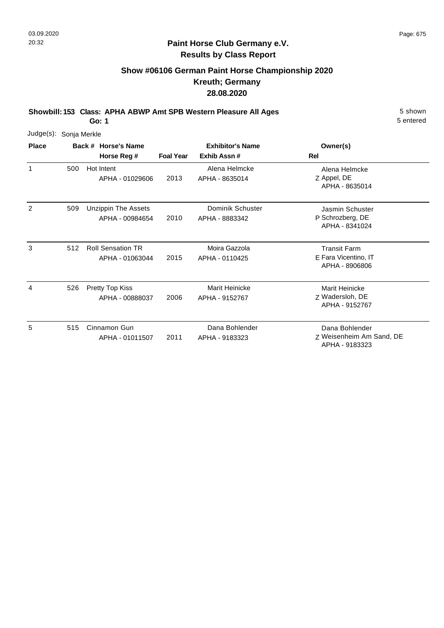# **Show #06106 German Paint Horse Championship 2020 Kreuth; Germany 28.08.2020**

**Showbill: 153 Class: APHA ABWP Amt SPB Western Pleasure All Ages** 5 Shown

**Go: 1**

| Judge(s):    | Sonja Merkle |                                               |                  |                                        |                                                               |
|--------------|--------------|-----------------------------------------------|------------------|----------------------------------------|---------------------------------------------------------------|
| <b>Place</b> |              | Back # Horse's Name<br>Horse Reg #            | <b>Foal Year</b> | <b>Exhibitor's Name</b><br>Exhib Assn# | Owner(s)<br>Rel                                               |
| $\mathbf{1}$ | 500          | Hot Intent<br>APHA - 01029606                 | 2013             | Alena Helmcke<br>APHA - 8635014        | Alena Helmcke<br>Z Appel, DE<br>APHA - 8635014                |
| 2            | 509          | <b>Unzippin The Assets</b><br>APHA - 00984654 | 2010             | Dominik Schuster<br>APHA - 8883342     | Jasmin Schuster<br>P Schrozberg, DE<br>APHA - 8341024         |
| 3            | 512          | <b>Roll Sensation TR</b><br>APHA - 01063044   | 2015             | Moira Gazzola<br>APHA - 0110425        | <b>Transit Farm</b><br>E Fara Vicentino, IT<br>APHA - 8906806 |
| 4            | 526          | Pretty Top Kiss<br>APHA - 00888037            | 2006             | Marit Heinicke<br>APHA - 9152767       | Marit Heinicke<br>Z Wadersloh, DE<br>APHA - 9152767           |
| 5            | 515          | Cinnamon Gun<br>APHA - 01011507               | 2011             | Dana Bohlender<br>APHA - 9183323       | Dana Bohlender<br>Z Weisenheim Am Sand, DE<br>APHA - 9183323  |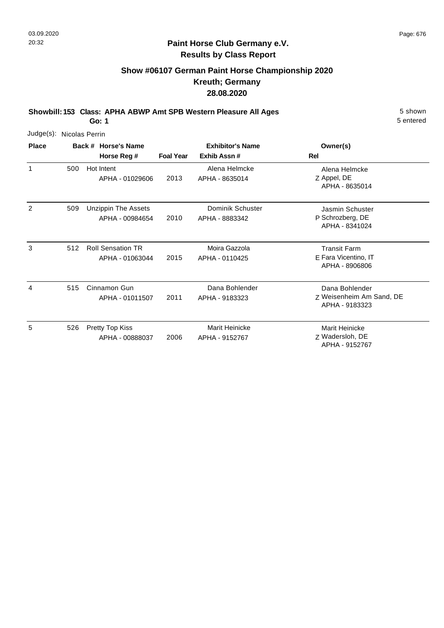### **Paint Horse Club Germany e.V. Results by Class Report**

# **Show #06107 German Paint Horse Championship 2020 Kreuth; Germany 28.08.2020**

**Showbill: 153 Class: APHA ABWP Amt SPB Western Pleasure All Ages** 5 Shown

| Judge(s): Nicolas Perrin |     |                                               |                  |                                         |                                                               |
|--------------------------|-----|-----------------------------------------------|------------------|-----------------------------------------|---------------------------------------------------------------|
| <b>Place</b>             |     | Back # Horse's Name<br>Horse Reg #            | <b>Foal Year</b> | <b>Exhibitor's Name</b><br>Exhib Assn#  | Owner(s)<br>Rel                                               |
| 1                        | 500 | Hot Intent<br>APHA - 01029606                 | 2013             | Alena Helmcke<br>APHA - 8635014         | Alena Helmcke<br>Z Appel, DE<br>APHA - 8635014                |
| 2                        | 509 | <b>Unzippin The Assets</b><br>APHA - 00984654 | 2010             | Dominik Schuster<br>APHA - 8883342      | Jasmin Schuster<br>P Schrozberg, DE<br>APHA - 8341024         |
| 3                        | 512 | <b>Roll Sensation TR</b><br>APHA - 01063044   | 2015             | Moira Gazzola<br>APHA - 0110425         | <b>Transit Farm</b><br>E Fara Vicentino, IT<br>APHA - 8906806 |
| 4                        | 515 | Cinnamon Gun<br>APHA - 01011507               | 2011             | Dana Bohlender<br>APHA - 9183323        | Dana Bohlender<br>Z Weisenheim Am Sand, DE<br>APHA - 9183323  |
| 5                        | 526 | Pretty Top Kiss<br>APHA - 00888037            | 2006             | <b>Marit Heinicke</b><br>APHA - 9152767 | <b>Marit Heinicke</b><br>Z Wadersloh, DE<br>APHA - 9152767    |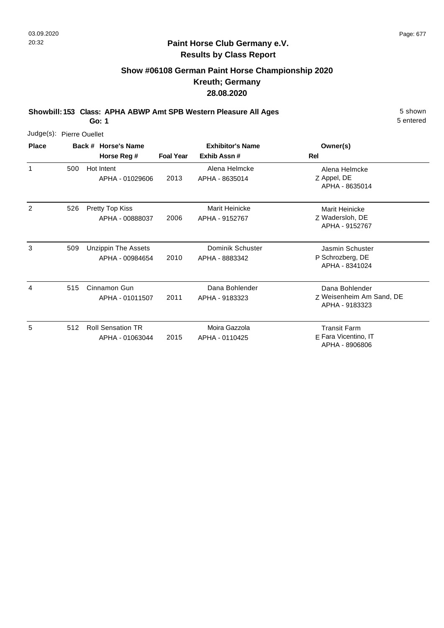# **Show #06108 German Paint Horse Championship 2020 Kreuth; Germany 28.08.2020**

**Showbill: 153 Class: APHA ABWP Amt SPB Western Pleasure All Ages** 5 Shown

**Go: 1**

| Judge(s):      | <b>Pierre Ouellet</b> |                                               |                  |                                        |                                                               |
|----------------|-----------------------|-----------------------------------------------|------------------|----------------------------------------|---------------------------------------------------------------|
| <b>Place</b>   |                       | Back # Horse's Name<br>Horse Reg #            | <b>Foal Year</b> | <b>Exhibitor's Name</b><br>Exhib Assn# | Owner(s)<br>Rel                                               |
| 1              | 500                   | Hot Intent<br>APHA - 01029606                 | 2013             | Alena Helmcke<br>APHA - 8635014        | Alena Helmcke<br>Z Appel, DE<br>APHA - 8635014                |
| $\overline{2}$ | 526                   | Pretty Top Kiss<br>APHA - 00888037            | 2006             | Marit Heinicke<br>APHA - 9152767       | Marit Heinicke<br>Z Wadersloh, DE<br>APHA - 9152767           |
| 3              | 509                   | <b>Unzippin The Assets</b><br>APHA - 00984654 | 2010             | Dominik Schuster<br>APHA - 8883342     | Jasmin Schuster<br>P Schrozberg, DE<br>APHA - 8341024         |
| 4              | 515                   | Cinnamon Gun<br>APHA - 01011507               | 2011             | Dana Bohlender<br>APHA - 9183323       | Dana Bohlender<br>Z Weisenheim Am Sand, DE<br>APHA - 9183323  |
| 5              | 512                   | <b>Roll Sensation TR</b><br>APHA - 01063044   | 2015             | Moira Gazzola<br>APHA - 0110425        | <b>Transit Farm</b><br>E Fara Vicentino, IT<br>APHA - 8906806 |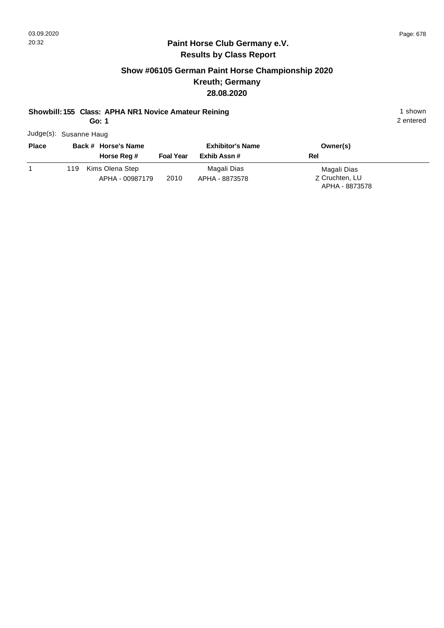## **Paint Horse Club Germany e.V. Results by Class Report**

## **Show #06105 German Paint Horse Championship 2020 Kreuth; Germany 28.08.2020**

#### **Showbill: 155 Class: APHA NR1 Novice Amateur Reining 1 shown 1 shown**

**Go: 1**

Judge(s): Susanne Haug

| <b>Place</b> | Back # Horse's Name    |                  | <b>Exhibitor's Name</b> | Owner(s)       |  |
|--------------|------------------------|------------------|-------------------------|----------------|--|
|              | Horse Reg #            | <b>Foal Year</b> | Exhib Assn #            | Rel            |  |
|              | Kims Olena Step<br>119 |                  | Magali Dias             | Magali Dias    |  |
|              | APHA - 00987179        | 2010             | APHA - 8873578          | Z Cruchten, LU |  |
|              |                        |                  |                         | APHA - 8873578 |  |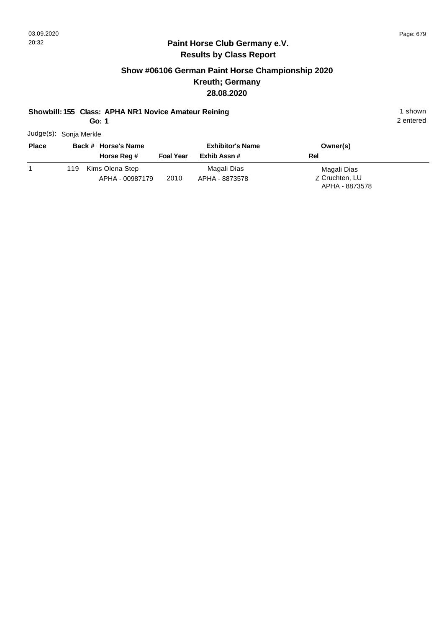## **Paint Horse Club Germany e.V. Results by Class Report**

## **Show #06106 German Paint Horse Championship 2020 Kreuth; Germany 28.08.2020**

#### **Showbill: 155 Class: APHA NR1 Novice Amateur Reining 1 shown 1 shown**

**Go: 1**

Judge(s): Sonja Merkle

| <b>Place</b> | Back # Horse's Name<br>Horse Reg #        | <b>Foal Year</b> | <b>Exhibitor's Name</b><br>Exhib Assn # | Owner(s)<br>Rel               |
|--------------|-------------------------------------------|------------------|-----------------------------------------|-------------------------------|
|              | Kims Olena Step<br>119<br>APHA - 00987179 | 2010             | Magali Dias<br>APHA - 8873578           | Magali Dias<br>Z Cruchten, LU |
|              |                                           |                  |                                         | APHA - 8873578                |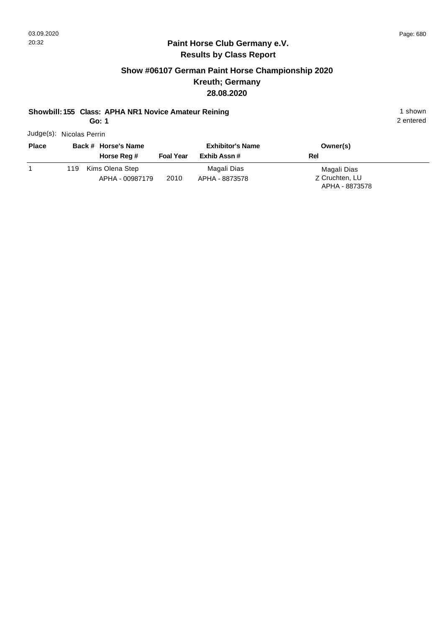## **Paint Horse Club Germany e.V. Results by Class Report**

## **Show #06107 German Paint Horse Championship 2020 Kreuth; Germany 28.08.2020**

#### **Showbill: 155 Class: APHA NR1 Novice Amateur Reining 1 shown 1 shown**

**Go: 1**

Judge(s): Nicolas Perrin

| <b>Place</b> | Back # Horse's Name<br>Horse Reg # | <b>Foal Year</b> | <b>Exhibitor's Name</b><br>Exhib Assn # | Owner(s)<br><b>Rel</b>           |
|--------------|------------------------------------|------------------|-----------------------------------------|----------------------------------|
|              | Kims Olena Step<br>119             |                  | Magali Dias                             | Magali Dias                      |
|              | APHA - 00987179                    | 2010             | APHA - 8873578                          | Z Cruchten, LU<br>APHA - 8873578 |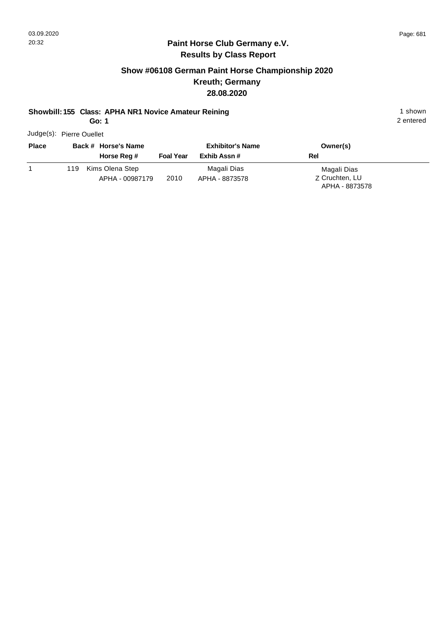## **Paint Horse Club Germany e.V. Results by Class Report**

## **Show #06108 German Paint Horse Championship 2020 Kreuth; Germany 28.08.2020**

#### **Showbill: 155 Class: APHA NR1 Novice Amateur Reining 1 shown 1 shown**

**Go: 1**

Judge(s): Pierre Ouellet

| <b>Place</b> |      | Back # Horse's Name |                  | <b>Exhibitor's Name</b> | Owner(s)       |
|--------------|------|---------------------|------------------|-------------------------|----------------|
|              |      | Horse Reg #         | <b>Foal Year</b> | Exhib Assn #            | Rel            |
|              | 119. | Kims Olena Step     |                  | Magali Dias             | Magali Dias    |
|              |      | APHA - 00987179     | 2010             | APHA - 8873578          | Z Cruchten, LU |
|              |      |                     |                  |                         | APHA - 8873578 |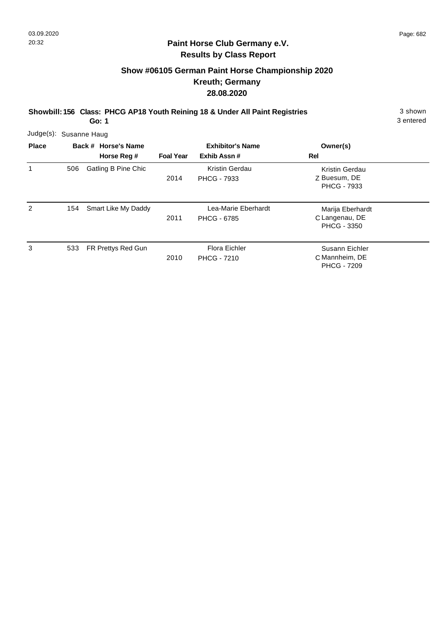## **Show #06105 German Paint Horse Championship 2020 Kreuth; Germany 28.08.2020**

**Showbill: 156 Class: PHCG AP18 Youth Reining 18 & Under All Paint Registries** 3 shown

3 entered

|              | Judge(s): Susanne Haug |                            |                         |                                            |                                                          |  |  |  |
|--------------|------------------------|----------------------------|-------------------------|--------------------------------------------|----------------------------------------------------------|--|--|--|
| <b>Place</b> | Back # Horse's Name    |                            | <b>Exhibitor's Name</b> |                                            | Owner(s)                                                 |  |  |  |
|              |                        | Horse Reg #                | <b>Foal Year</b>        | Exhib Assn#                                | Rel                                                      |  |  |  |
| 1            | 506                    | <b>Gatling B Pine Chic</b> | 2014                    | Kristin Gerdau<br><b>PHCG - 7933</b>       | Kristin Gerdau<br>Z Buesum, DE<br><b>PHCG - 7933</b>     |  |  |  |
| 2            | 154                    | Smart Like My Daddy        | 2011                    | Lea-Marie Eberhardt<br><b>PHCG - 6785</b>  | Marija Eberhardt<br>C Langenau, DE<br><b>PHCG - 3350</b> |  |  |  |
| 3            | 533                    | FR Prettys Red Gun         | 2010                    | <b>Flora Eichler</b><br><b>PHCG - 7210</b> | Susann Eichler<br>C Mannheim, DE<br><b>PHCG - 7209</b>   |  |  |  |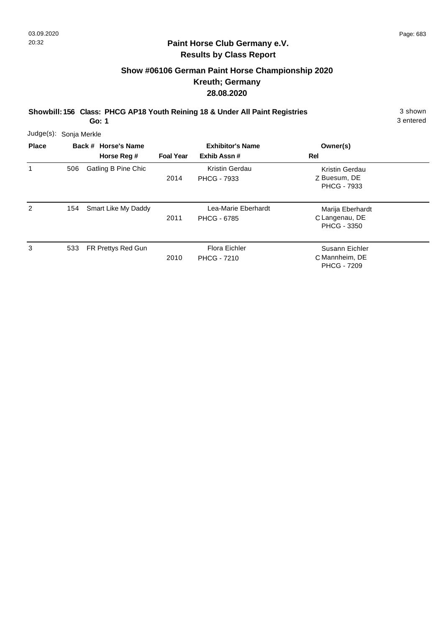## **Show #06106 German Paint Horse Championship 2020 Kreuth; Germany 28.08.2020**

**Showbill: 156 Class: PHCG AP18 Youth Reining 18 & Under All Paint Registries** 3 shown

3 entered

| Judge(s):    | Sonja Merkle        |                     |                         |                                            |                                                          |  |
|--------------|---------------------|---------------------|-------------------------|--------------------------------------------|----------------------------------------------------------|--|
| <b>Place</b> | Back # Horse's Name |                     | <b>Exhibitor's Name</b> |                                            | Owner(s)                                                 |  |
|              |                     | Horse Reg #         | <b>Foal Year</b>        | Exhib Assn#                                | Rel                                                      |  |
| 1            | 506                 | Gatling B Pine Chic | 2014                    | Kristin Gerdau<br><b>PHCG - 7933</b>       | Kristin Gerdau<br>Z Buesum, DE<br><b>PHCG - 7933</b>     |  |
| 2            | 154                 | Smart Like My Daddy | 2011                    | Lea-Marie Eberhardt<br><b>PHCG - 6785</b>  | Marija Eberhardt<br>C Langenau, DE<br><b>PHCG - 3350</b> |  |
| 3            | 533                 | FR Prettys Red Gun  | 2010                    | <b>Flora Eichler</b><br><b>PHCG - 7210</b> | Susann Eichler<br>C Mannheim, DE<br><b>PHCG - 7209</b>   |  |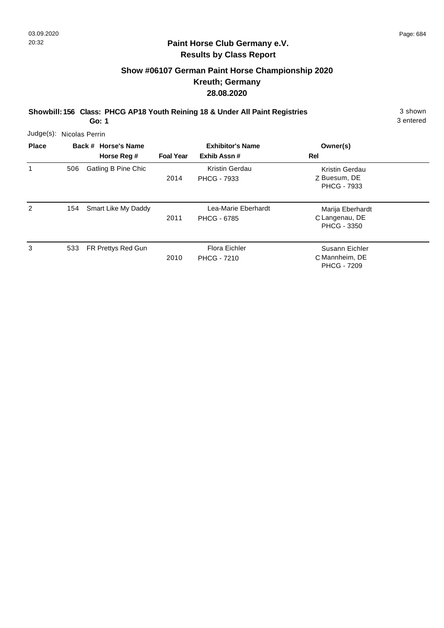# **Show #06107 German Paint Horse Championship 2020 Kreuth; Germany 28.08.2020**

**Showbill: 156 Class: PHCG AP18 Youth Reining 18 & Under All Paint Registries** 3 shown

3 entered

| Judge(s): Nicolas Perrin |     |                                    |                  |                                             |                                                        |  |
|--------------------------|-----|------------------------------------|------------------|---------------------------------------------|--------------------------------------------------------|--|
| <b>Place</b>             |     | Back # Horse's Name<br>Horse Reg # | <b>Foal Year</b> | <b>Exhibitor's Name</b><br>Exhib Assn#      | Owner(s)<br>Rel                                        |  |
| 1                        | 506 | Gatling B Pine Chic                | 2014             | <b>Kristin Gerdau</b><br><b>PHCG - 7933</b> | Kristin Gerdau<br>Z Buesum, DE<br><b>PHCG - 7933</b>   |  |
| 2                        | 154 | Smart Like My Daddy                | 2011             | Lea-Marie Eberhardt<br><b>PHCG - 6785</b>   | Marija Eberhardt<br>C Langenau, DE<br>PHCG - 3350      |  |
| 3                        | 533 | FR Prettys Red Gun                 | 2010             | Flora Eichler<br><b>PHCG - 7210</b>         | Susann Eichler<br>C Mannheim, DE<br><b>PHCG - 7209</b> |  |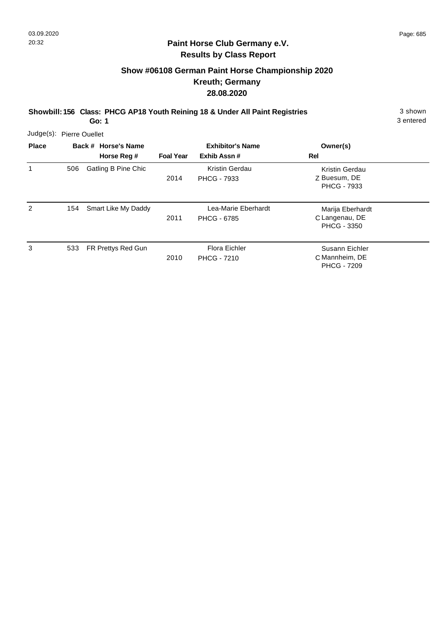## **Show #06108 German Paint Horse Championship 2020 Kreuth; Germany 28.08.2020**

**Showbill: 156 Class: PHCG AP18 Youth Reining 18 & Under All Paint Registries** 3 shown

3 entered

| Judge(s): Pierre Ouellet |     |                     |                  |                                      |                                                          |  |
|--------------------------|-----|---------------------|------------------|--------------------------------------|----------------------------------------------------------|--|
| <b>Place</b>             |     | Back # Horse's Name |                  | <b>Exhibitor's Name</b>              | Owner(s)                                                 |  |
|                          |     | Horse Reg #         | <b>Foal Year</b> | Exhib Assn#                          | Rel                                                      |  |
| 1                        | 506 | Gatling B Pine Chic | 2014             | Kristin Gerdau<br><b>PHCG - 7933</b> | Kristin Gerdau<br>Z Buesum, DE<br><b>PHCG - 7933</b>     |  |
| 2                        | 154 | Smart Like My Daddy | 2011             | Lea-Marie Eberhardt<br>PHCG - 6785   | Marija Eberhardt<br>C Langenau, DE<br><b>PHCG - 3350</b> |  |
| 3                        | 533 | FR Prettys Red Gun  | 2010             | Flora Eichler<br><b>PHCG - 7210</b>  | Susann Eichler<br>C Mannheim, DE<br><b>PHCG - 7209</b>   |  |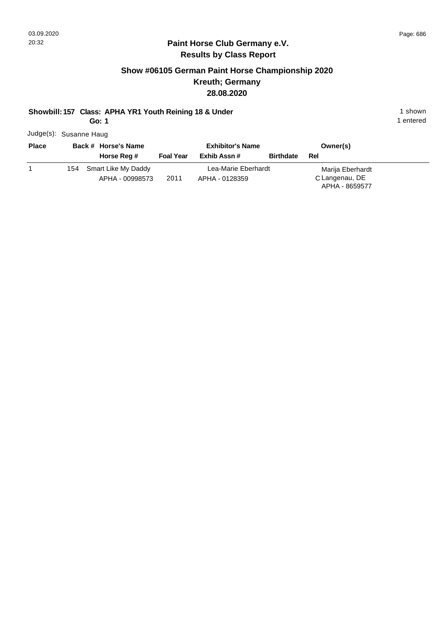## **Paint Horse Club Germany e.V. Results by Class Report**

## **Show #06105 German Paint Horse Championship 2020 Kreuth; Germany 28.08.2020**

#### **Showbill: 157 Class: APHA YR1 Youth Reining 18 & Under** 1 **Shown** 1 shown

**Go: 1**

Judge(s): Susanne Haug

| <b>Place</b> | Back # Horse's Name     |                  | <b>Exhibitor's Name</b> | Owner(s)         |                                  |
|--------------|-------------------------|------------------|-------------------------|------------------|----------------------------------|
|              | Horse Reg #             | <b>Foal Year</b> | Exhib Assn #            | <b>Birthdate</b> | Rel                              |
|              | 154 Smart Like My Daddy |                  | Lea-Marie Eberhardt     |                  | Marija Eberhardt                 |
|              | APHA - 00998573         | 2011             | APHA - 0128359          |                  | C Langenau, DE<br>APHA - 8659577 |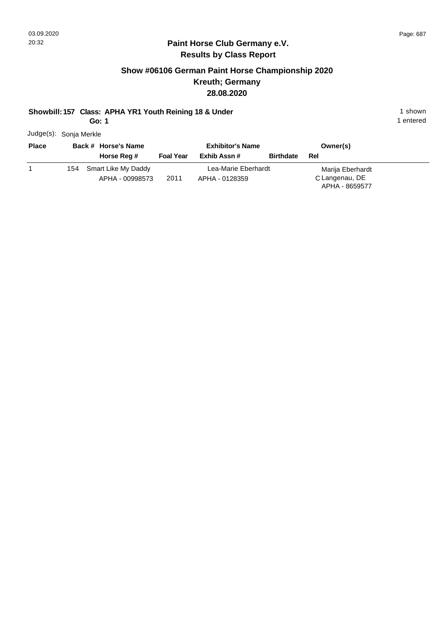## **Paint Horse Club Germany e.V. Results by Class Report**

## **Show #06106 German Paint Horse Championship 2020 Kreuth; Germany 28.08.2020**

#### **Showbill: 157 Class: APHA YR1 Youth Reining 18 & Under** 1 **Shown** 1 shown

**Go: 1**

Judge(s): Sonja Merkle

| <b>Place</b> |     | Back # Horse's Name |                  | <b>Exhibitor's Name</b> | Owner(s)         |                  |
|--------------|-----|---------------------|------------------|-------------------------|------------------|------------------|
|              |     | Horse Reg #         | <b>Foal Year</b> | Exhib Assn#             | <b>Birthdate</b> | Rel              |
|              | 154 | Smart Like My Daddy |                  | Lea-Marie Eberhardt     |                  | Marija Eberhardt |
|              |     | APHA - 00998573     | 2011             | APHA - 0128359          |                  | C Langenau, DE   |
|              |     |                     |                  |                         |                  | APHA - 8659577   |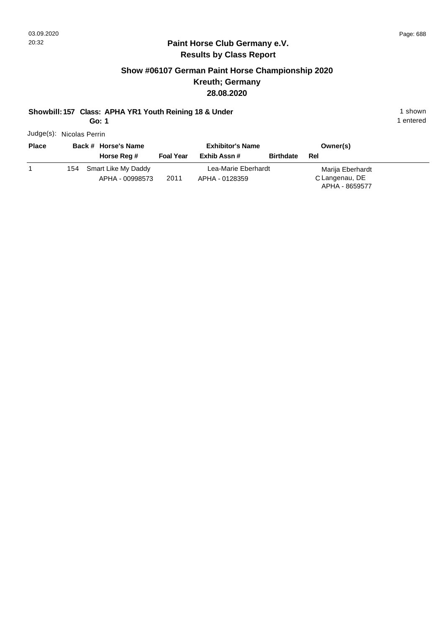## **Paint Horse Club Germany e.V. Results by Class Report**

## **Show #06107 German Paint Horse Championship 2020 Kreuth; Germany 28.08.2020**

#### **Showbill: 157 Class: APHA YR1 Youth Reining 18 & Under** 1 **Shown** 1 shown

**Go: 1**

Judge(s): Nicolas Perrin

| <b>Place</b> |     | Back # Horse's Name |                  | <b>Exhibitor's Name</b> | Owner(s)         |                                  |
|--------------|-----|---------------------|------------------|-------------------------|------------------|----------------------------------|
|              |     | Horse Reg #         | <b>Foal Year</b> | Exhib Assn #            | <b>Birthdate</b> | Rel                              |
|              | 154 | Smart Like My Daddy |                  | Lea-Marie Eberhardt     |                  | Marija Eberhardt                 |
|              |     | APHA - 00998573     | 2011             | APHA - 0128359          |                  | C Langenau, DE<br>APHA - 8659577 |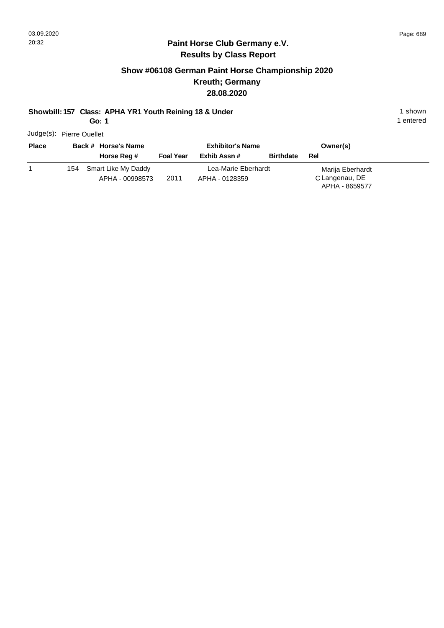## **Paint Horse Club Germany e.V. Results by Class Report**

## **Show #06108 German Paint Horse Championship 2020 Kreuth; Germany 28.08.2020**

#### **Showbill: 157 Class: APHA YR1 Youth Reining 18 & Under** 1 **Shown** 1 shown

**Go: 1**

Judge(s): Pierre Ouellet

| <b>Place</b> | Back # Horse's Name     |                  | <b>Exhibitor's Name</b> |                  | Owner(s)                         |
|--------------|-------------------------|------------------|-------------------------|------------------|----------------------------------|
|              | Horse Reg #             | <b>Foal Year</b> | Exhib Assn #            | <b>Birthdate</b> | <b>Rel</b>                       |
|              | 154 Smart Like My Daddy |                  | Lea-Marie Eberhardt     |                  | Marija Eberhardt                 |
|              | APHA - 00998573         | 2011             | APHA - 0128359          |                  | C Langenau, DE<br>APHA - 8659577 |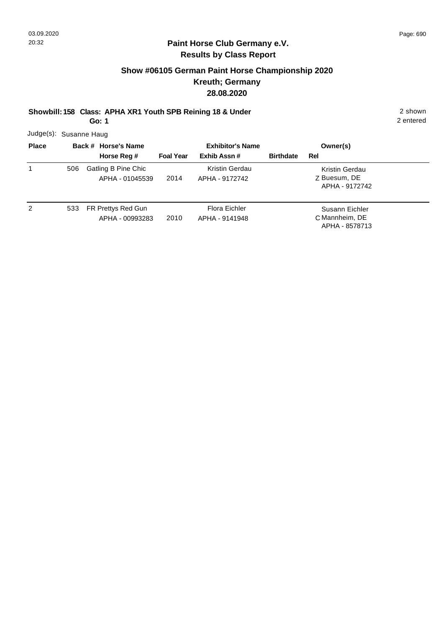# **Show #06105 German Paint Horse Championship 2020 Kreuth; Germany 28.08.2020**

**Showbill: 158 Class: APHA XR1 Youth SPB Reining 18 & Under** 2 shown

**Go: 1**

2 entered

Judge(s): Susanne Haug

| <b>Place</b> |     | Back # Horse's Name                    | <b>Exhibitor's Name</b> |                                  |                  | Owner(s)                                           |  |
|--------------|-----|----------------------------------------|-------------------------|----------------------------------|------------------|----------------------------------------------------|--|
|              |     | Horse Reg #                            | <b>Foal Year</b>        | Exhib Assn#                      | <b>Birthdate</b> | Rel                                                |  |
| 1            | 506 | Gatling B Pine Chic<br>APHA - 01045539 | 2014                    | Kristin Gerdau<br>APHA - 9172742 |                  | Kristin Gerdau<br>Z Buesum, DE<br>APHA - 9172742   |  |
| 2            | 533 | FR Prettys Red Gun<br>APHA - 00993283  | 2010                    | Flora Eichler<br>APHA - 9141948  |                  | Susann Eichler<br>C Mannheim, DE<br>APHA - 8578713 |  |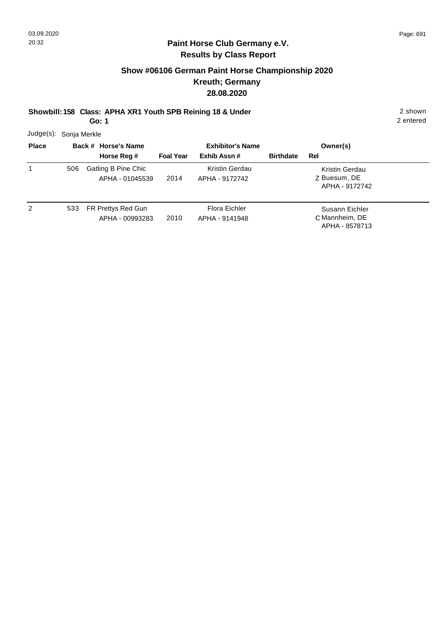## **Show #06106 German Paint Horse Championship 2020 Kreuth; Germany 28.08.2020**

**Showbill: 158 Class: APHA XR1 Youth SPB Reining 18 & Under** 2 shown

**Go: 1**

2 entered

Judge(s): Sonja Merkle

| <b>Place</b> | Back # Horse's Name |                                        | <b>Exhibitor's Name</b> |                                  | Owner(s)         |                                                    |  |
|--------------|---------------------|----------------------------------------|-------------------------|----------------------------------|------------------|----------------------------------------------------|--|
|              |                     | Horse Reg #                            | <b>Foal Year</b>        | Exhib Assn#                      | <b>Birthdate</b> | Rel                                                |  |
| 1            | 506                 | Gatling B Pine Chic<br>APHA - 01045539 | 2014                    | Kristin Gerdau<br>APHA - 9172742 |                  | Kristin Gerdau<br>Z Buesum, DE<br>APHA - 9172742   |  |
| 2            | 533                 | FR Prettys Red Gun<br>APHA - 00993283  | 2010                    | Flora Eichler<br>APHA - 9141948  |                  | Susann Eichler<br>C Mannheim, DE<br>APHA - 8578713 |  |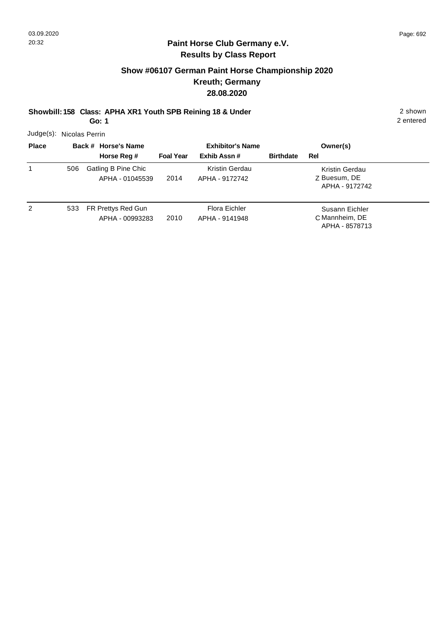# **Show #06107 German Paint Horse Championship 2020 Kreuth; Germany 28.08.2020**

# **Showbill: 158 Class: APHA XR1 Youth SPB Reining 18 & Under** 2 shown

**Go: 1**

2 entered

Judge(s): Nicolas Perrin

| <b>Place</b> | Back # Horse's Name |                                        | <b>Exhibitor's Name</b> |                                  |                  | Owner(s)                                           |  |
|--------------|---------------------|----------------------------------------|-------------------------|----------------------------------|------------------|----------------------------------------------------|--|
|              |                     | Horse Reg #                            | <b>Foal Year</b>        | Exhib Assn#                      | <b>Birthdate</b> | Rel                                                |  |
| 1            | 506                 | Gatling B Pine Chic<br>APHA - 01045539 | 2014                    | Kristin Gerdau<br>APHA - 9172742 |                  | Kristin Gerdau<br>Z Buesum, DE<br>APHA - 9172742   |  |
| 2            | 533                 | FR Prettys Red Gun<br>APHA - 00993283  | 2010                    | Flora Eichler<br>APHA - 9141948  |                  | Susann Eichler<br>C Mannheim, DE<br>APHA - 8578713 |  |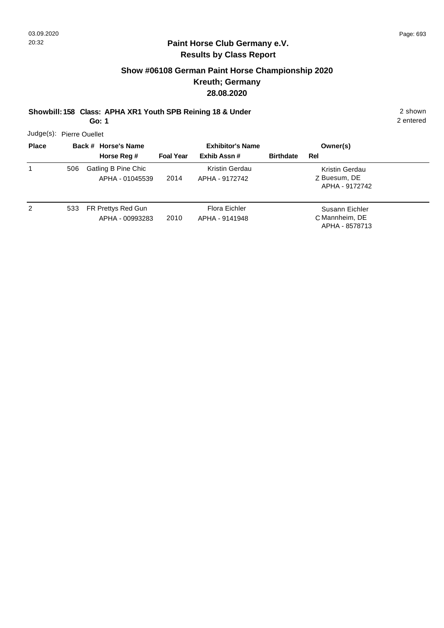## **Show #06108 German Paint Horse Championship 2020 Kreuth; Germany 28.08.2020**

**Showbill: 158 Class: APHA XR1 Youth SPB Reining 18 & Under** 2 shown

**Go: 1**

2 entered

Judge(s): Pierre Ouellet

| <b>Place</b> |     | Back # Horse's Name                    | <b>Exhibitor's Name</b> |                                  |                  | Owner(s)                                           |  |
|--------------|-----|----------------------------------------|-------------------------|----------------------------------|------------------|----------------------------------------------------|--|
|              |     | Horse Reg #                            | <b>Foal Year</b>        | Exhib Assn#                      | <b>Birthdate</b> | Rel                                                |  |
| 1            | 506 | Gatling B Pine Chic<br>APHA - 01045539 | 2014                    | Kristin Gerdau<br>APHA - 9172742 |                  | Kristin Gerdau<br>Z Buesum, DE<br>APHA - 9172742   |  |
| 2            | 533 | FR Prettys Red Gun<br>APHA - 00993283  | 2010                    | Flora Eichler<br>APHA - 9141948  |                  | Susann Eichler<br>C Mannheim, DE<br>APHA - 8578713 |  |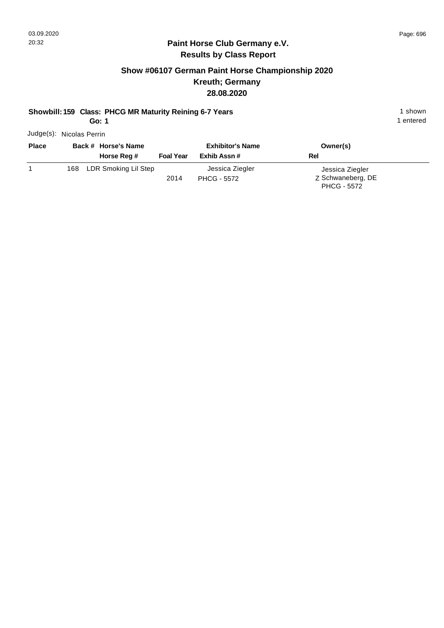## **Paint Horse Club Germany e.V. Results by Class Report**

## **Show #06107 German Paint Horse Championship 2020 Kreuth; Germany 28.08.2020**

#### **Showbill: 159 Class: PHCG MR Maturity Reining 6-7 Years** 1 Shown 1 shown

**Go: 1**

Judge(s): Nicolas Perrin

| <b>Place</b> | Back # Horse's Name<br>Horse Reg # | <b>Foal Year</b> | <b>Exhibitor's Name</b><br>Exhib Assn # | Owner(s)<br>Rel                                            |
|--------------|------------------------------------|------------------|-----------------------------------------|------------------------------------------------------------|
|              | 168 LDR Smoking Lil Step           | 2014             | Jessica Ziegler<br><b>PHCG - 5572</b>   | Jessica Ziegler<br>Z Schwaneberg, DE<br><b>PHCG - 5572</b> |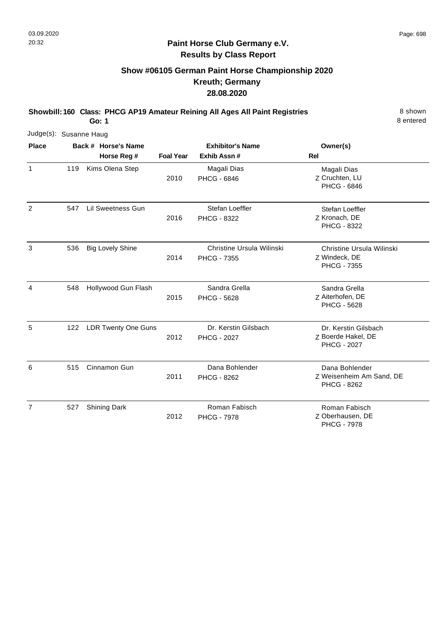# **Show #06105 German Paint Horse Championship 2020 Kreuth; Germany 28.08.2020**

**Showbill: 160 Class: PHCG AP19 Amateur Reining All Ages All Paint Registries** 8 shown

**Go: 1**

8 entered

| Judge(s): Susanne Haug |     |                            |                  |                                            |                                                                  |
|------------------------|-----|----------------------------|------------------|--------------------------------------------|------------------------------------------------------------------|
| <b>Place</b>           |     | Back # Horse's Name        |                  | <b>Exhibitor's Name</b>                    | Owner(s)                                                         |
|                        |     | Horse Reg #                | <b>Foal Year</b> | Exhib Assn #                               | <b>Rel</b>                                                       |
| $\mathbf{1}$           | 119 | Kims Olena Step            | 2010             | Magali Dias<br>PHCG - 6846                 | Magali Dias<br>Z Cruchten, LU<br><b>PHCG - 6846</b>              |
| $\overline{c}$         | 547 | <b>Lil Sweetness Gun</b>   | 2016             | Stefan Loeffler<br>PHCG - 8322             | Stefan Loeffler<br>Z Kronach, DE<br><b>PHCG - 8322</b>           |
| 3                      | 536 | <b>Big Lovely Shine</b>    | 2014             | Christine Ursula Wilinski<br>PHCG - 7355   | Christine Ursula Wilinski<br>Z Windeck, DE<br><b>PHCG - 7355</b> |
| 4                      | 548 | Hollywood Gun Flash        | 2015             | Sandra Grella<br>PHCG - 5628               | Sandra Grella<br>Z Aiterhofen, DE<br><b>PHCG - 5628</b>          |
| 5                      | 122 | <b>LDR Twenty One Guns</b> | 2012             | Dr. Kerstin Gilsbach<br><b>PHCG - 2027</b> | Dr. Kerstin Gilsbach<br>Z Boerde Hakel, DE<br><b>PHCG - 2027</b> |
| 6                      | 515 | Cinnamon Gun               | 2011             | Dana Bohlender<br><b>PHCG - 8262</b>       | Dana Bohlender<br>Z Weisenheim Am Sand, DE<br><b>PHCG - 8262</b> |
| $\overline{7}$         | 527 | <b>Shining Dark</b>        | 2012             | Roman Fabisch<br><b>PHCG - 7978</b>        | Roman Fabisch<br>Z Oberhausen, DE                                |

Z Oberhausen, DE PHCG - 7978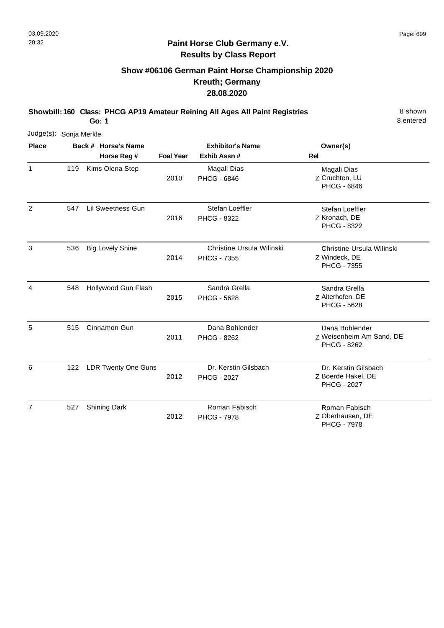# **Show #06106 German Paint Horse Championship 2020 Kreuth; Germany 28.08.2020**

**Showbill: 160 Class: PHCG AP19 Amateur Reining All Ages All Paint Registries** 8 shown

**Go: 1**

8 entered

PHCG - 7978

| Judge(s): Sonja Merkle |     |                            |                  |                                                 |                                                                         |
|------------------------|-----|----------------------------|------------------|-------------------------------------------------|-------------------------------------------------------------------------|
| <b>Place</b>           |     | Back # Horse's Name        |                  | <b>Exhibitor's Name</b>                         | Owner(s)                                                                |
|                        |     | Horse Reg #                | <b>Foal Year</b> | Exhib Assn #                                    | <b>Rel</b>                                                              |
| 1                      | 119 | Kims Olena Step            | 2010             | Magali Dias<br>PHCG - 6846                      | Magali Dias<br>Z Cruchten, LU<br>PHCG - 6846                            |
| 2                      | 547 | Lil Sweetness Gun          | 2016             | Stefan Loeffler<br>PHCG - 8322                  | Stefan Loeffler<br>Z Kronach, DE<br>PHCG - 8322                         |
| 3                      | 536 | <b>Big Lovely Shine</b>    | 2014             | Christine Ursula Wilinski<br><b>PHCG - 7355</b> | <b>Christine Ursula Wilinski</b><br>Z Windeck, DE<br><b>PHCG - 7355</b> |
| 4                      | 548 | Hollywood Gun Flash        | 2015             | Sandra Grella<br><b>PHCG - 5628</b>             | Sandra Grella<br>Z Aiterhofen, DE<br><b>PHCG - 5628</b>                 |
| 5                      | 515 | Cinnamon Gun               | 2011             | Dana Bohlender<br>PHCG - 8262                   | Dana Bohlender<br>Z Weisenheim Am Sand, DE<br><b>PHCG - 8262</b>        |
| 6                      | 122 | <b>LDR Twenty One Guns</b> | 2012             | Dr. Kerstin Gilsbach<br><b>PHCG - 2027</b>      | Dr. Kerstin Gilsbach<br>Z Boerde Hakel, DE<br><b>PHCG - 2027</b>        |
| $\overline{7}$         | 527 | <b>Shining Dark</b>        | 2012             | Roman Fabisch<br><b>PHCG - 7978</b>             | Roman Fabisch<br>Z Oberhausen, DE                                       |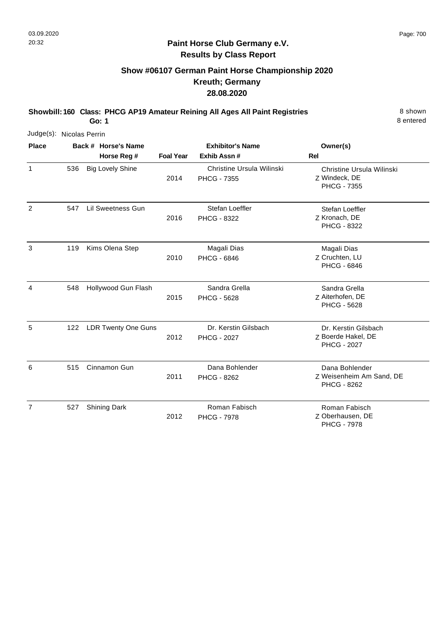# **Show #06107 German Paint Horse Championship 2020 Kreuth; Germany 28.08.2020**

**Showbill: 160 Class: PHCG AP19 Amateur Reining All Ages All Paint Registries** 8 shown

**Go: 1**

8 entered

| Judge(s): Nicolas Perrin |     |                                    |                  |                                                 |                                                                  |
|--------------------------|-----|------------------------------------|------------------|-------------------------------------------------|------------------------------------------------------------------|
| <b>Place</b>             |     | Back # Horse's Name<br>Horse Reg # | <b>Foal Year</b> | <b>Exhibitor's Name</b><br>Exhib Assn #         | Owner(s)<br><b>Rel</b>                                           |
| $\mathbf{1}$             | 536 | <b>Big Lovely Shine</b>            | 2014             | Christine Ursula Wilinski<br><b>PHCG - 7355</b> | Christine Ursula Wilinski<br>Z Windeck, DE<br><b>PHCG - 7355</b> |
| $\overline{c}$           | 547 | Lil Sweetness Gun                  | 2016             | Stefan Loeffler<br>PHCG - 8322                  | Stefan Loeffler<br>Z Kronach, DE<br>PHCG - 8322                  |
| 3                        | 119 | Kims Olena Step                    | 2010             | Magali Dias<br><b>PHCG - 6846</b>               | Magali Dias<br>Z Cruchten, LU<br><b>PHCG - 6846</b>              |
| 4                        | 548 | Hollywood Gun Flash                | 2015             | Sandra Grella<br><b>PHCG - 5628</b>             | Sandra Grella<br>Z Aiterhofen, DE<br><b>PHCG - 5628</b>          |
| 5                        | 122 | <b>LDR Twenty One Guns</b>         | 2012             | Dr. Kerstin Gilsbach<br><b>PHCG - 2027</b>      | Dr. Kerstin Gilsbach<br>Z Boerde Hakel, DE<br><b>PHCG - 2027</b> |
| 6                        | 515 | Cinnamon Gun                       | 2011             | Dana Bohlender<br><b>PHCG - 8262</b>            | Dana Bohlender<br>Z Weisenheim Am Sand, DE<br>PHCG - 8262        |
| $\overline{7}$           | 527 | <b>Shining Dark</b>                | 2012             | Roman Fabisch<br><b>PHCG - 7978</b>             | Roman Fabisch<br>Z Oberhausen, DE                                |

Oberhausen, DE PHCG - 7978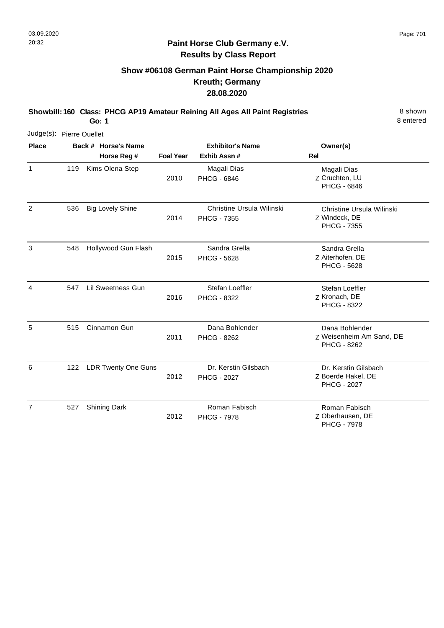# **Show #06108 German Paint Horse Championship 2020 Kreuth; Germany 28.08.2020**

**Showbill: 160 Class: PHCG AP19 Amateur Reining All Ages All Paint Registries** 8 shown

**Go: 1**

8 entered

| Judge(s): Pierre Ouellet |     |                            |                  |                                                 |                                                                         |
|--------------------------|-----|----------------------------|------------------|-------------------------------------------------|-------------------------------------------------------------------------|
| <b>Place</b>             |     | Back # Horse's Name        |                  | <b>Exhibitor's Name</b>                         | Owner(s)                                                                |
|                          |     | Horse Reg #                | <b>Foal Year</b> | Exhib Assn #                                    | Rel                                                                     |
| $\mathbf{1}$             | 119 | Kims Olena Step            | 2010             | Magali Dias<br><b>PHCG - 6846</b>               | Magali Dias<br>Z Cruchten, LU<br><b>PHCG - 6846</b>                     |
| 2                        | 536 | <b>Big Lovely Shine</b>    | 2014             | Christine Ursula Wilinski<br><b>PHCG - 7355</b> | <b>Christine Ursula Wilinski</b><br>Z Windeck, DE<br><b>PHCG - 7355</b> |
| 3                        | 548 | Hollywood Gun Flash        | 2015             | Sandra Grella<br><b>PHCG - 5628</b>             | Sandra Grella<br>Z Aiterhofen, DE<br><b>PHCG - 5628</b>                 |
| 4                        | 547 | Lil Sweetness Gun          | 2016             | Stefan Loeffler<br>PHCG - 8322                  | Stefan Loeffler<br>Z Kronach, DE<br><b>PHCG - 8322</b>                  |
| 5                        | 515 | Cinnamon Gun               | 2011             | Dana Bohlender<br><b>PHCG - 8262</b>            | Dana Bohlender<br>Z Weisenheim Am Sand, DE<br><b>PHCG - 8262</b>        |
| 6                        | 122 | <b>LDR Twenty One Guns</b> | 2012             | Dr. Kerstin Gilsbach<br><b>PHCG - 2027</b>      | Dr. Kerstin Gilsbach<br>Z Boerde Hakel, DE<br><b>PHCG - 2027</b>        |
| 7                        | 527 | <b>Shining Dark</b>        | 2012             | Roman Fabisch<br><b>PHCG - 7978</b>             | Roman Fabisch<br>Z Oberhausen, DE                                       |

Z Oberhausen, DE PHCG - 7978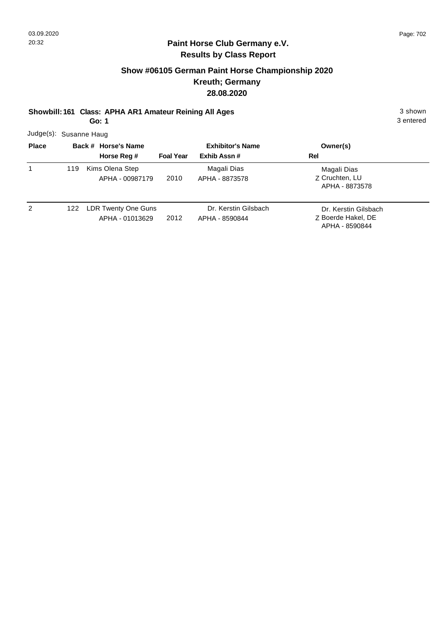## **Show #06105 German Paint Horse Championship 2020 Kreuth; Germany 28.08.2020**

**Showbill: 161 Class: APHA AR1 Amateur Reining All Ages** 3 shown 3 shown

**Go: 1**

3 entered

Judge(s): Susanne Haug

| <b>Place</b> |     | Back # Horse's Name<br>Horse Reg #     | <b>Foal Year</b> | <b>Exhibitor's Name</b><br>Exhib Assn# | Owner(s)<br>Rel                                              |
|--------------|-----|----------------------------------------|------------------|----------------------------------------|--------------------------------------------------------------|
| 1            | 119 | Kims Olena Step<br>APHA - 00987179     | 2010             | Magali Dias<br>APHA - 8873578          | Magali Dias<br>Z Cruchten, LU<br>APHA - 8873578              |
| 2            | 122 | LDR Twenty One Guns<br>APHA - 01013629 | 2012             | Dr. Kerstin Gilsbach<br>APHA - 8590844 | Dr. Kerstin Gilsbach<br>Z Boerde Hakel, DE<br>APHA - 8590844 |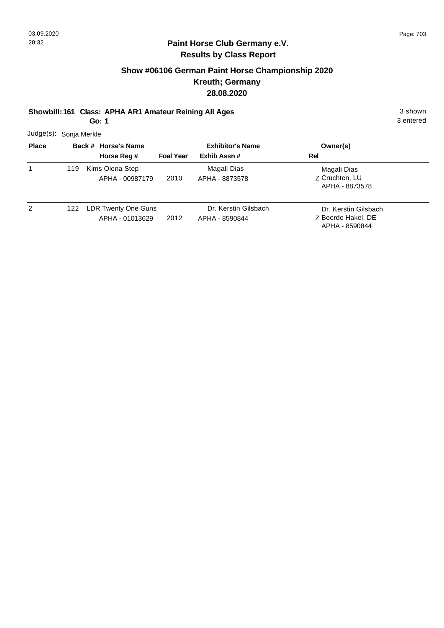## **Show #06106 German Paint Horse Championship 2020 Kreuth; Germany 28.08.2020**

**Showbill: 161 Class: APHA AR1 Amateur Reining All Ages** 3 shown 3 shown

**Go: 1**

3 entered

Judge(s): Sonja Merkle

| <b>Place</b> |     | Back # Horse's Name                    | <b>Exhibitor's Name</b> |                                        | Owner(s)                                                     |  |
|--------------|-----|----------------------------------------|-------------------------|----------------------------------------|--------------------------------------------------------------|--|
|              |     | Horse Reg #                            | <b>Foal Year</b>        | Exhib Assn#                            | Rel                                                          |  |
|              | 119 | Kims Olena Step<br>APHA - 00987179     | 2010                    | Magali Dias<br>APHA - 8873578          | Magali Dias<br>Z Cruchten, LU<br>APHA - 8873578              |  |
| 2            | 122 | LDR Twenty One Guns<br>APHA - 01013629 | 2012                    | Dr. Kerstin Gilsbach<br>APHA - 8590844 | Dr. Kerstin Gilsbach<br>Z Boerde Hakel, DE<br>APHA - 8590844 |  |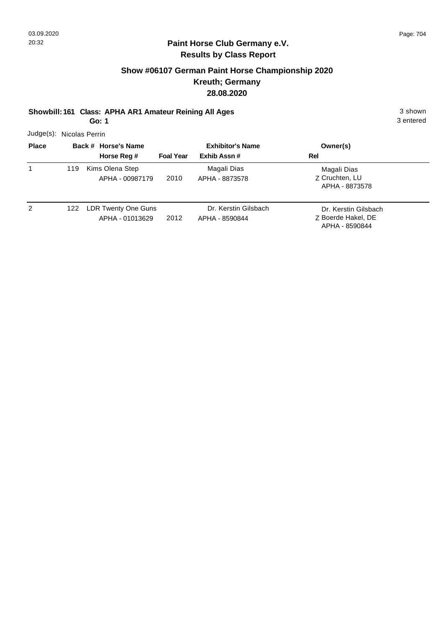## **Show #06107 German Paint Horse Championship 2020 Kreuth; Germany 28.08.2020**

**Showbill: 161 Class: APHA AR1 Amateur Reining All Ages** 3 shown 3 shown

**Go: 1**

3 entered

Judge(s): Nicolas Perrin

| <b>Place</b> |     | Back # Horse's Name                    | <b>Exhibitor's Name</b> |                                        | Owner(s)                                                     |  |
|--------------|-----|----------------------------------------|-------------------------|----------------------------------------|--------------------------------------------------------------|--|
|              |     | Horse Reg #                            | <b>Foal Year</b>        | Exhib Assn#                            | Rel                                                          |  |
|              | 119 | Kims Olena Step<br>APHA - 00987179     | 2010                    | Magali Dias<br>APHA - 8873578          | Magali Dias<br>Z Cruchten, LU<br>APHA - 8873578              |  |
| 2            | 122 | LDR Twenty One Guns<br>APHA - 01013629 | 2012                    | Dr. Kerstin Gilsbach<br>APHA - 8590844 | Dr. Kerstin Gilsbach<br>Z Boerde Hakel, DE<br>APHA - 8590844 |  |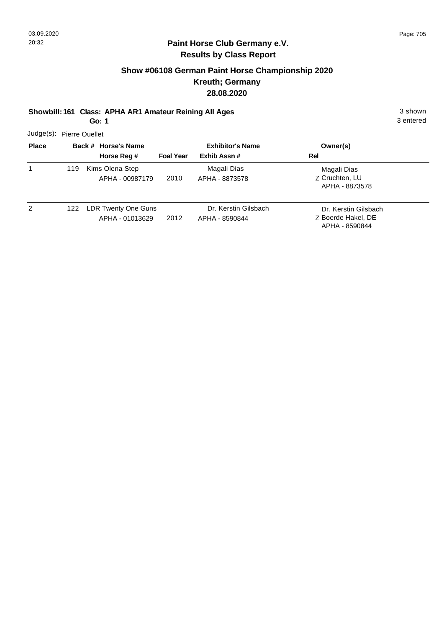## **Show #06108 German Paint Horse Championship 2020 Kreuth; Germany 28.08.2020**

**Showbill: 161 Class: APHA AR1 Amateur Reining All Ages** 3 shown 3 shown

**Go: 1**

3 entered

Judge(s): Pierre Ouellet

| <b>Place</b> |     | Back # Horse's Name                               | <b>Foal Year</b> | <b>Exhibitor's Name</b><br>Exhib Assn# | Owner(s)<br>Rel                                              |
|--------------|-----|---------------------------------------------------|------------------|----------------------------------------|--------------------------------------------------------------|
| 1            | 119 | Horse Reg #<br>Kims Olena Step<br>APHA - 00987179 | 2010             | Magali Dias<br>APHA - 8873578          | Magali Dias<br>Z Cruchten, LU<br>APHA - 8873578              |
| 2            | 122 | LDR Twenty One Guns<br>APHA - 01013629            | 2012             | Dr. Kerstin Gilsbach<br>APHA - 8590844 | Dr. Kerstin Gilsbach<br>Z Boerde Hakel, DE<br>APHA - 8590844 |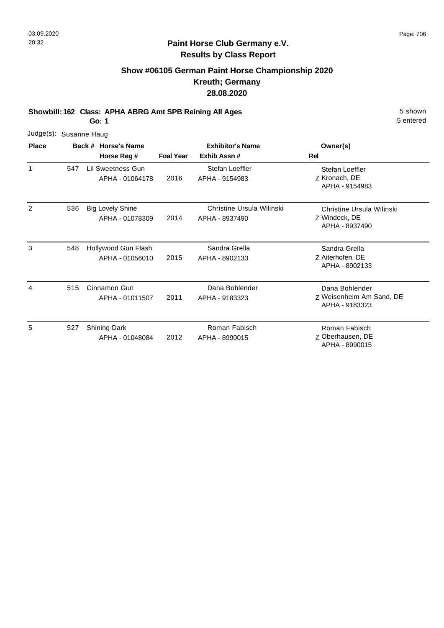## **Show #06105 German Paint Horse Championship 2020 Kreuth; Germany 28.08.2020**

**Showbill: 162 Class: APHA ABRG Amt SPB Reining All Ages** 5 Shown

**Go: 1**

| Judge(s):    | Susanne Haug |  |                                            |                  |                                             |                                                              |  |  |  |
|--------------|--------------|--|--------------------------------------------|------------------|---------------------------------------------|--------------------------------------------------------------|--|--|--|
| <b>Place</b> |              |  | Back # Horse's Name<br>Horse Reg #         | <b>Foal Year</b> | <b>Exhibitor's Name</b><br>Exhib Assn#      | Owner(s)<br>Rel                                              |  |  |  |
| $\mathbf{1}$ | 547          |  | Lil Sweetness Gun<br>APHA - 01064178       | 2016             | Stefan Loeffler<br>APHA - 9154983           | Stefan Loeffler<br>Z Kronach, DE<br>APHA - 9154983           |  |  |  |
| 2            | 536          |  | <b>Big Lovely Shine</b><br>APHA - 01078309 | 2014             | Christine Ursula Wilinski<br>APHA - 8937490 | Christine Ursula Wilinski<br>Z Windeck, DE<br>APHA - 8937490 |  |  |  |
| 3            | 548          |  | Hollywood Gun Flash<br>APHA - 01056010     | 2015             | Sandra Grella<br>APHA - 8902133             | Sandra Grella<br>Z Aiterhofen, DE<br>APHA - 8902133          |  |  |  |
| 4            | 515          |  | Cinnamon Gun<br>APHA - 01011507            | 2011             | Dana Bohlender<br>APHA - 9183323            | Dana Bohlender<br>Z Weisenheim Am Sand, DE<br>APHA - 9183323 |  |  |  |
| 5            | 527          |  | <b>Shining Dark</b><br>APHA - 01048084     | 2012             | Roman Fabisch<br>APHA - 8990015             | Roman Fabisch<br>Z Oberhausen, DE<br>APHA - 8990015          |  |  |  |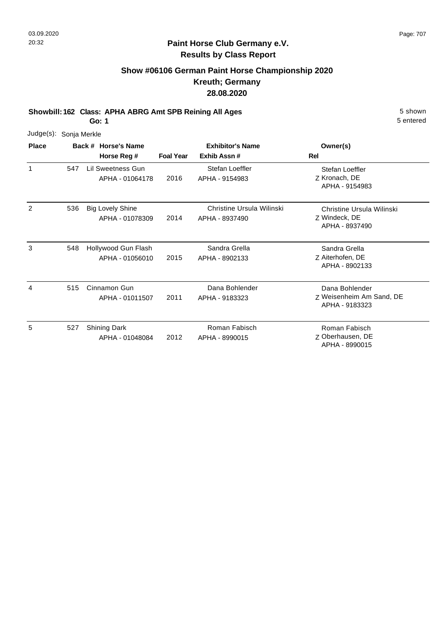## **Show #06106 German Paint Horse Championship 2020 Kreuth; Germany 28.08.2020**

**Showbill: 162 Class: APHA ABRG Amt SPB Reining All Ages** 5 Shown

**Go: 1**

| Judge(s):    | Sonja Merkle |                                            |                  |                                             |                                                              |
|--------------|--------------|--------------------------------------------|------------------|---------------------------------------------|--------------------------------------------------------------|
| <b>Place</b> |              | Back # Horse's Name<br>Horse Reg #         | <b>Foal Year</b> | <b>Exhibitor's Name</b><br>Exhib Assn#      | Owner(s)<br>Rel                                              |
| $\mathbf{1}$ | 547          | Lil Sweetness Gun<br>APHA - 01064178       | 2016             | Stefan Loeffler<br>APHA - 9154983           | Stefan Loeffler<br>Z Kronach, DE<br>APHA - 9154983           |
| 2            | 536          | <b>Big Lovely Shine</b><br>APHA - 01078309 | 2014             | Christine Ursula Wilinski<br>APHA - 8937490 | Christine Ursula Wilinski<br>Z Windeck, DE<br>APHA - 8937490 |
| 3            | 548          | Hollywood Gun Flash<br>APHA - 01056010     | 2015             | Sandra Grella<br>APHA - 8902133             | Sandra Grella<br>Z Aiterhofen, DE<br>APHA - 8902133          |
| 4            | 515          | Cinnamon Gun<br>APHA - 01011507            | 2011             | Dana Bohlender<br>APHA - 9183323            | Dana Bohlender<br>Z Weisenheim Am Sand, DE<br>APHA - 9183323 |
| 5            | 527          | <b>Shining Dark</b><br>APHA - 01048084     | 2012             | Roman Fabisch<br>APHA - 8990015             | Roman Fabisch<br>Z Oberhausen, DE<br>APHA - 8990015          |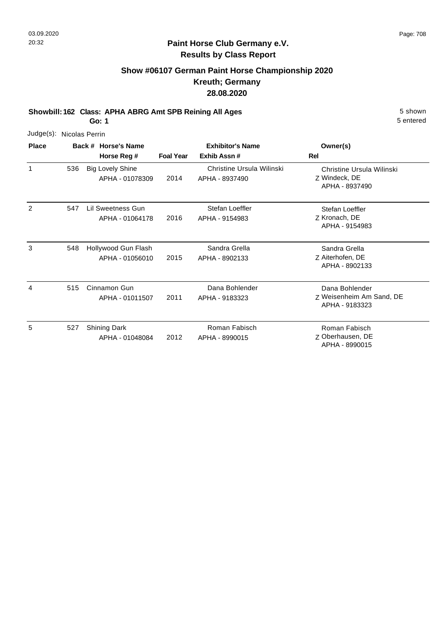## **Show #06107 German Paint Horse Championship 2020 Kreuth; Germany 28.08.2020**

**Showbill: 162 Class: APHA ABRG Amt SPB Reining All Ages** 5 Shown

**Go: 1**

| Judge(s):    | Nicolas Perrin |                                            |                  |                                             |                                                              |
|--------------|----------------|--------------------------------------------|------------------|---------------------------------------------|--------------------------------------------------------------|
| <b>Place</b> |                | Back # Horse's Name<br>Horse Reg #         | <b>Foal Year</b> | <b>Exhibitor's Name</b><br>Exhib Assn#      | Owner(s)<br><b>Rel</b>                                       |
| 1            | 536            | <b>Big Lovely Shine</b><br>APHA - 01078309 | 2014             | Christine Ursula Wilinski<br>APHA - 8937490 | Christine Ursula Wilinski<br>Z Windeck, DE<br>APHA - 8937490 |
| 2            | 547            | Lil Sweetness Gun<br>APHA - 01064178       | 2016             | Stefan Loeffler<br>APHA - 9154983           | Stefan Loeffler<br>Z Kronach, DE<br>APHA - 9154983           |
| 3            | 548            | Hollywood Gun Flash<br>APHA - 01056010     | 2015             | Sandra Grella<br>APHA - 8902133             | Sandra Grella<br>Z Aiterhofen, DE<br>APHA - 8902133          |
| 4            | 515            | Cinnamon Gun<br>APHA - 01011507            | 2011             | Dana Bohlender<br>APHA - 9183323            | Dana Bohlender<br>Z Weisenheim Am Sand, DE<br>APHA - 9183323 |
| 5            | 527            | <b>Shining Dark</b><br>APHA - 01048084     | 2012             | Roman Fabisch<br>APHA - 8990015             | Roman Fabisch<br>Z Oberhausen, DE<br>APHA - 8990015          |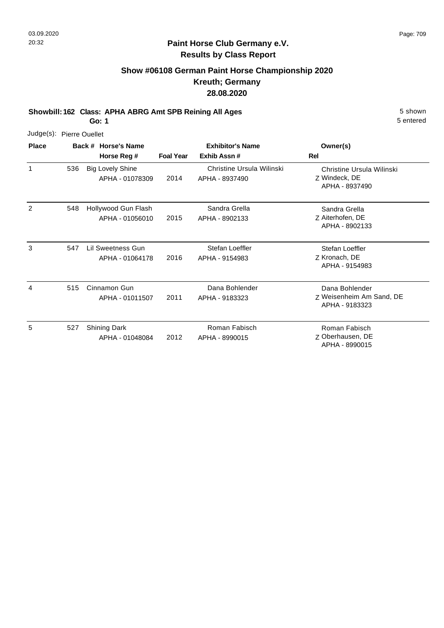## **Show #06108 German Paint Horse Championship 2020 Kreuth; Germany 28.08.2020**

**Showbill: 162 Class: APHA ABRG Amt SPB Reining All Ages** 5 Shown

**Go: 1**

| Judge(s):    | <b>Pierre Ouellet</b> |                                            |                  |                                             |                                                              |
|--------------|-----------------------|--------------------------------------------|------------------|---------------------------------------------|--------------------------------------------------------------|
| <b>Place</b> |                       | Back # Horse's Name<br>Horse Reg #         | <b>Foal Year</b> | <b>Exhibitor's Name</b><br>Exhib Assn#      | Owner(s)<br>Rel                                              |
| $\mathbf{1}$ | 536                   | <b>Big Lovely Shine</b><br>APHA - 01078309 | 2014             | Christine Ursula Wilinski<br>APHA - 8937490 | Christine Ursula Wilinski<br>Z Windeck, DE<br>APHA - 8937490 |
| 2            | 548                   | Hollywood Gun Flash<br>APHA - 01056010     | 2015             | Sandra Grella<br>APHA - 8902133             | Sandra Grella<br>Z Aiterhofen, DE<br>APHA - 8902133          |
| 3            | 547                   | Lil Sweetness Gun<br>APHA - 01064178       | 2016             | Stefan Loeffler<br>APHA - 9154983           | Stefan Loeffler<br>Z Kronach, DE<br>APHA - 9154983           |
| 4            | 515                   | Cinnamon Gun<br>APHA - 01011507            | 2011             | Dana Bohlender<br>APHA - 9183323            | Dana Bohlender<br>Z Weisenheim Am Sand, DE<br>APHA - 9183323 |
| 5            | 527                   | <b>Shining Dark</b><br>APHA - 01048084     | 2012             | Roman Fabisch<br>APHA - 8990015             | Roman Fabisch<br>Z Oberhausen, DE<br>APHA - 8990015          |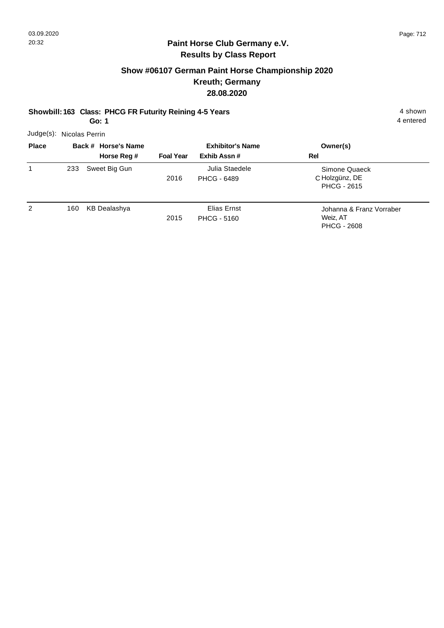## **Show #06107 German Paint Horse Championship 2020 Kreuth; Germany 28.08.2020**

#### **Showbill: 163 Class: PHCG FR Futurity Reining 4-5 Years** 4 Shown 4 shown

**Go: 1**

4 entered

Judge(s): Nicolas Perrin

| <b>Place</b> |     | Back # Horse's Name |                  | <b>Exhibitor's Name</b>              | Owner(s)                                                   |
|--------------|-----|---------------------|------------------|--------------------------------------|------------------------------------------------------------|
|              |     | Horse Reg #         | <b>Foal Year</b> | Exhib Assn#                          | Rel                                                        |
| 1            | 233 | Sweet Big Gun       | 2016             | Julia Staedele<br><b>PHCG - 6489</b> | Simone Quaeck<br>C Holzgünz, DE<br><b>PHCG - 2615</b>      |
| 2            | 160 | <b>KB Dealashya</b> | 2015             | Elias Ernst<br><b>PHCG - 5160</b>    | Johanna & Franz Vorraber<br>Weiz, AT<br><b>PHCG - 2608</b> |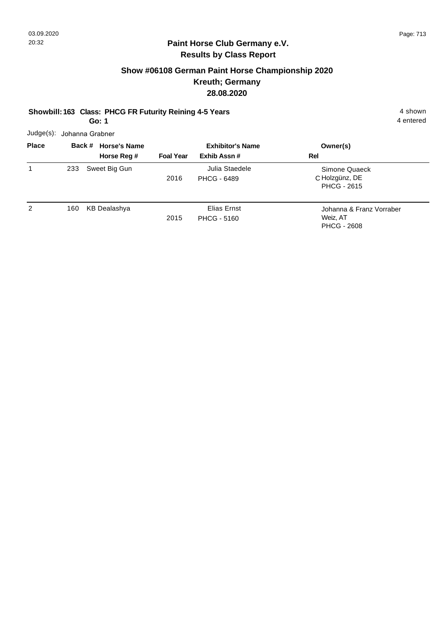## **Show #06108 German Paint Horse Championship 2020 Kreuth; Germany 28.08.2020**

# **Showbill: 163 Class: PHCG FR Futurity Reining 4-5 Years** 4 Shown 4 shown

**Go: 1**

4 entered

Judge(s): Johanna Grabner

| <b>Place</b> |     | Back # Horse's Name |                  | <b>Exhibitor's Name</b>              | Owner(s)                                                   |
|--------------|-----|---------------------|------------------|--------------------------------------|------------------------------------------------------------|
|              |     | Horse Reg #         | <b>Foal Year</b> | Exhib Assn#                          | Rel                                                        |
| 1            | 233 | Sweet Big Gun       | 2016             | Julia Staedele<br><b>PHCG - 6489</b> | Simone Quaeck<br>C Holzgünz, DE<br><b>PHCG - 2615</b>      |
| 2            | 160 | <b>KB Dealashya</b> | 2015             | Elias Ernst<br><b>PHCG - 5160</b>    | Johanna & Franz Vorraber<br>Weiz, AT<br><b>PHCG - 2608</b> |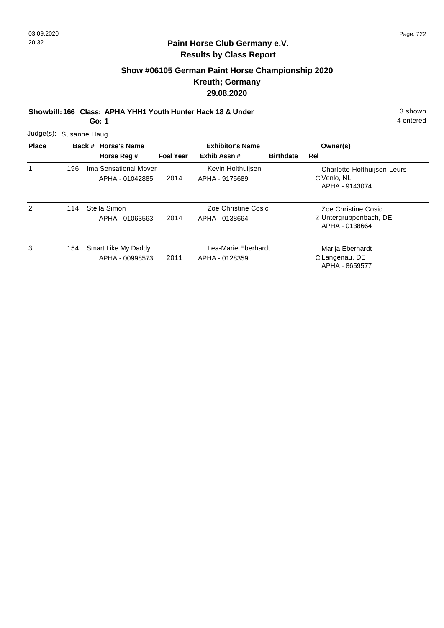## **Show #06105 German Paint Horse Championship 2020 Kreuth; Germany 29.08.2020**

**Showbill: 166 Class: APHA YHH1 Youth Hunter Hack 18 & Under** 3 shown

**Go: 1**

| <b>Place</b>  |     | Back # Horse's Name                      | <b>Exhibitor's Name</b> |                                       |                  | Owner(s)                                                            |
|---------------|-----|------------------------------------------|-------------------------|---------------------------------------|------------------|---------------------------------------------------------------------|
|               |     | Horse Reg #                              | <b>Foal Year</b>        | Exhib Assn#                           | <b>Birthdate</b> | Rel                                                                 |
|               | 196 | Ima Sensational Mover<br>APHA - 01042885 | 2014                    | Kevin Holthuijsen<br>APHA - 9175689   |                  | <b>Charlotte Holthuijsen-Leurs</b><br>C Venlo, NL<br>APHA - 9143074 |
| $\mathcal{P}$ | 114 | Stella Simon<br>APHA - 01063563          | 2014                    | Zoe Christine Cosic<br>APHA - 0138664 |                  | Zoe Christine Cosic<br>Z Untergruppenbach, DE<br>APHA - 0138664     |
| 3             | 154 | Smart Like My Daddy<br>APHA - 00998573   | 2011                    | Lea-Marie Eberhardt<br>APHA - 0128359 |                  | Marija Eberhardt<br>C Langenau, DE<br>APHA - 8659577                |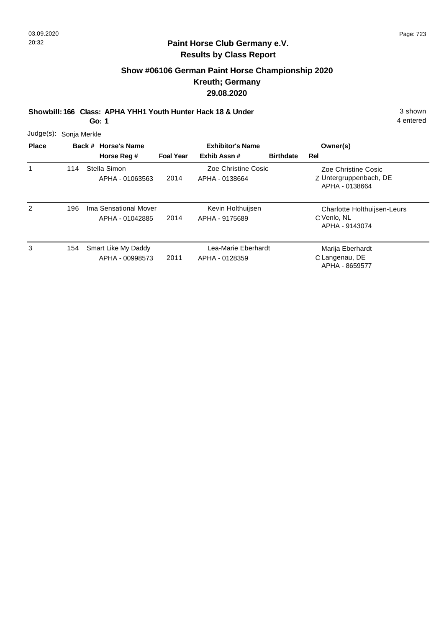## **Show #06106 German Paint Horse Championship 2020 Kreuth; Germany 29.08.2020**

**Showbill: 166 Class: APHA YHH1 Youth Hunter Hack 18 & Under** 3 shown

**Go: 1**

|  | Judge(s): Sonja Merkle |  |
|--|------------------------|--|
|--|------------------------|--|

| <b>Place</b> |     | Back # Horse's Name                      | <b>Exhibitor's Name</b> |                                       |                  | Owner(s)                                                        |
|--------------|-----|------------------------------------------|-------------------------|---------------------------------------|------------------|-----------------------------------------------------------------|
|              |     | Horse Reg #                              | <b>Foal Year</b>        | Exhib Assn#                           | <b>Birthdate</b> | Rel                                                             |
|              | 114 | Stella Simon<br>APHA - 01063563          | 2014                    | Zoe Christine Cosic<br>APHA - 0138664 |                  | Zoe Christine Cosic<br>Z Untergruppenbach, DE<br>APHA - 0138664 |
| 2            | 196 | Ima Sensational Mover<br>APHA - 01042885 | 2014                    | Kevin Holthuijsen<br>APHA - 9175689   |                  | Charlotte Holthuijsen-Leurs<br>C Venlo, NL<br>APHA - 9143074    |
| 3            | 154 | Smart Like My Daddy<br>APHA - 00998573   | 2011                    | Lea-Marie Eberhardt<br>APHA - 0128359 |                  | Marija Eberhardt<br>C Langenau, DE<br>APHA - 8659577            |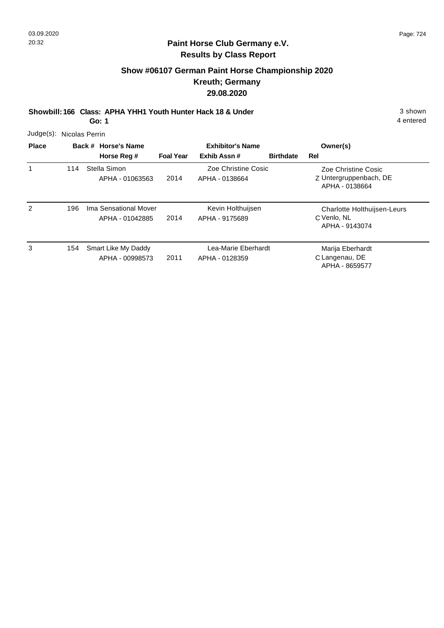## **Show #06107 German Paint Horse Championship 2020 Kreuth; Germany 29.08.2020**

Z Untergruppenbach, DE Zoe Christine Cosic

**Showbill: 166 Class: APHA YHH1 Youth Hunter Hack 18 & Under** 3 shown

**Go: 1**

|              | Judge(s): Nicolas Perrin |                     |                  |                         |                  |             |
|--------------|--------------------------|---------------------|------------------|-------------------------|------------------|-------------|
| <b>Place</b> |                          | Back # Horse's Name |                  | <b>Exhibitor's Name</b> |                  | Owner(s)    |
|              |                          | Horse Reg #         | <b>Foal Year</b> | Exhib Assn#             | <b>Birthdate</b> | Rel         |
|              | 114                      | Stella Simon        |                  | Zoe Christine Cosic     |                  | Zoe Chris   |
|              |                          | APHA - 01063563     | 2014             | APHA - 0138664          |                  | Z Untergrup |

|   |     |                                          |      |                                       | APHA - 0138664                                               |
|---|-----|------------------------------------------|------|---------------------------------------|--------------------------------------------------------------|
| 2 | 196 | Ima Sensational Mover<br>APHA - 01042885 | 2014 | Kevin Holthuijsen<br>APHA - 9175689   | Charlotte Holthuijsen-Leurs<br>C Venlo, NL<br>APHA - 9143074 |
| 3 | 154 | Smart Like My Daddy<br>APHA - 00998573   | 2011 | Lea-Marie Eberhardt<br>APHA - 0128359 | Marija Eberhardt<br>C Langenau, DE<br>APHA - 8659577         |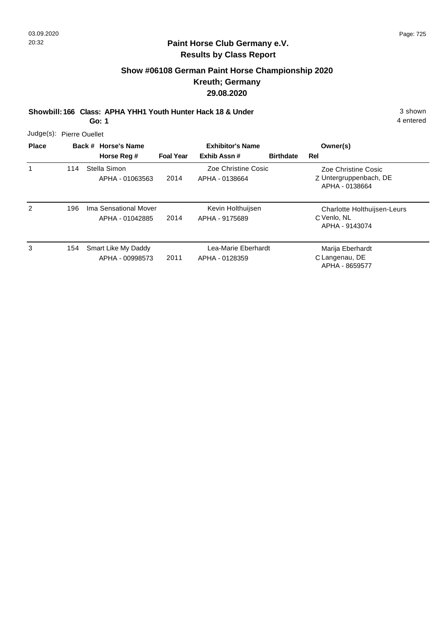## **Show #06108 German Paint Horse Championship 2020 Kreuth; Germany 29.08.2020**

**Showbill: 166 Class: APHA YHH1 Youth Hunter Hack 18 & Under** 3 shown

**Go: 1**

| Judge(s): Pierre Ouellet |
|--------------------------|
|                          |

| <b>Place</b> |     | Back # Horse's Name                      |                  | <b>Exhibitor's Name</b>               | Owner(s)         |                                                                 |
|--------------|-----|------------------------------------------|------------------|---------------------------------------|------------------|-----------------------------------------------------------------|
|              |     | Horse Reg #                              | <b>Foal Year</b> | Exhib Assn#                           | <b>Birthdate</b> | Rel                                                             |
|              | 114 | Stella Simon<br>APHA - 01063563          | 2014             | Zoe Christine Cosic<br>APHA - 0138664 |                  | Zoe Christine Cosic<br>Z Untergruppenbach, DE<br>APHA - 0138664 |
| 2            | 196 | Ima Sensational Mover<br>APHA - 01042885 | 2014             | Kevin Holthuijsen<br>APHA - 9175689   |                  | Charlotte Holthuijsen-Leurs<br>C Venlo, NL<br>APHA - 9143074    |
| 3            | 154 | Smart Like My Daddy<br>APHA - 00998573   | 2011             | Lea-Marie Eberhardt<br>APHA - 0128359 |                  | Marija Eberhardt<br>C Langenau, DE<br>APHA - 8659577            |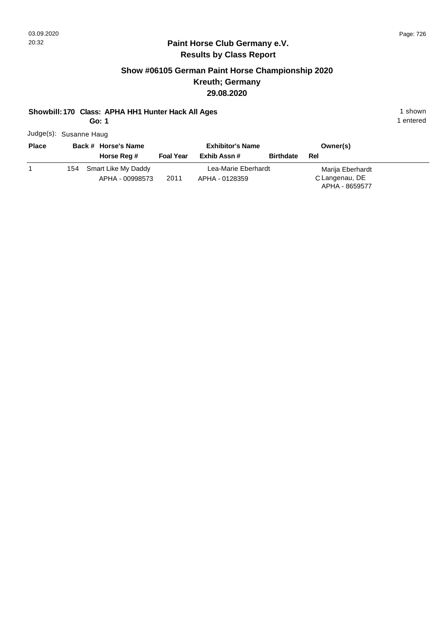## **Paint Horse Club Germany e.V. Results by Class Report**

## **Show #06105 German Paint Horse Championship 2020 Kreuth; Germany 29.08.2020**

#### **Showbill: 170 Class: APHA HH1 Hunter Hack All Ages** 1 shown

**Go: 1**

Judge(s): Susanne Haug

|  |             |                     |                 |                  | Owner(s)                                       |                  |  |
|--|-------------|---------------------|-----------------|------------------|------------------------------------------------|------------------|--|
|  | Horse Reg # | <b>Foal Year</b>    | Exhib Assn #    | <b>Birthdate</b> | Rel                                            |                  |  |
|  | 154         | Smart Like My Daddy |                 |                  |                                                | Marija Eberhardt |  |
|  |             | 2011                | APHA - 0128359  |                  | C Langenau, DE<br>APHA - 8659577               |                  |  |
|  |             | Back # Horse's Name | APHA - 00998573 |                  | <b>Exhibitor's Name</b><br>Lea-Marie Eberhardt |                  |  |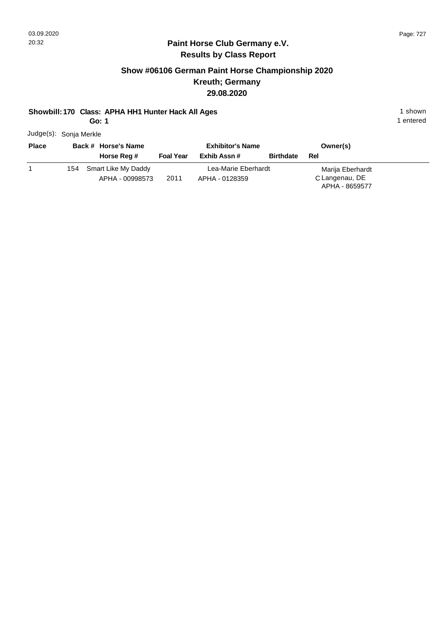## **Paint Horse Club Germany e.V. Results by Class Report**

## **Show #06106 German Paint Horse Championship 2020 Kreuth; Germany 29.08.2020**

#### **Showbill: 170 Class: APHA HH1 Hunter Hack All Ages** 1 shown

**Go: 1**

Judge(s): Sonja Merkle

| <b>Place</b> |     | Back # Horse's Name | <b>Exhibitor's Name</b> |                     |                  | Owner(s)                         |
|--------------|-----|---------------------|-------------------------|---------------------|------------------|----------------------------------|
|              |     | Horse Reg #         | <b>Foal Year</b>        | Exhib Assn #        | <b>Birthdate</b> | Rel                              |
|              | 154 | Smart Like My Daddy |                         | Lea-Marie Eberhardt |                  | Marija Eberhardt                 |
|              |     | APHA - 00998573     | 2011                    | APHA - 0128359      |                  | C Langenau, DE<br>APHA - 8659577 |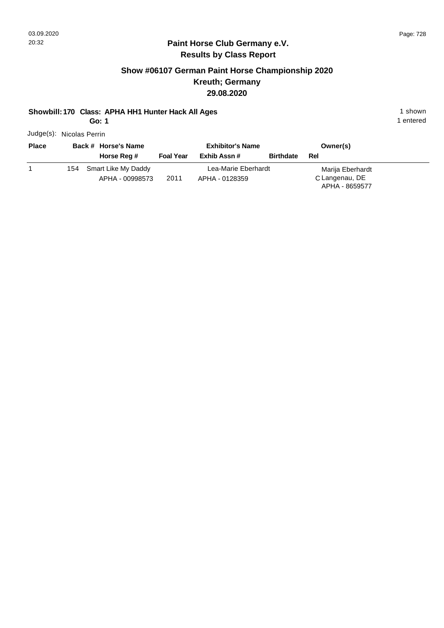## **Paint Horse Club Germany e.V. Results by Class Report**

## **Show #06107 German Paint Horse Championship 2020 Kreuth; Germany 29.08.2020**

#### **Showbill: 170 Class: APHA HH1 Hunter Hack All Ages** 1 shown

**Go: 1**

Judge(s): Nicolas Perrin

| <b>Place</b> |     | Back # Horse's Name                    |                  | <b>Exhibitor's Name</b>               |                  | Owner(s)                                             |
|--------------|-----|----------------------------------------|------------------|---------------------------------------|------------------|------------------------------------------------------|
|              |     | Horse Reg #                            | <b>Foal Year</b> | Exhib Assn #                          | <b>Birthdate</b> | Rel                                                  |
|              | 154 | Smart Like My Daddy<br>APHA - 00998573 | 2011             | Lea-Marie Eberhardt<br>APHA - 0128359 |                  | Marija Eberhardt<br>C Langenau, DE<br>APHA - 8659577 |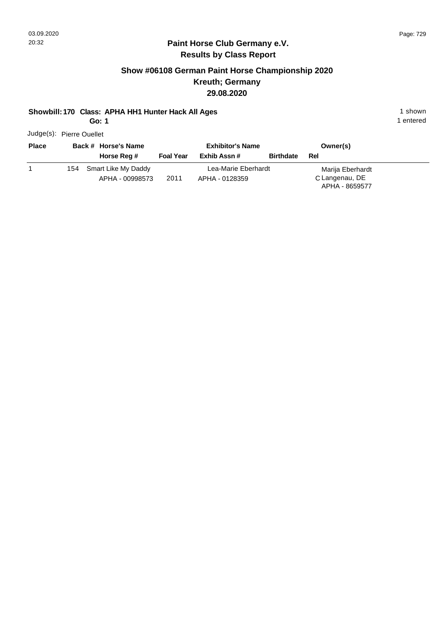## **Paint Horse Club Germany e.V. Results by Class Report**

## **Show #06108 German Paint Horse Championship 2020 Kreuth; Germany 29.08.2020**

#### **Showbill: 170 Class: APHA HH1 Hunter Hack All Ages** 1 shown

**Go: 1**

Judge(s): Pierre Ouellet

| <b>Place</b> |     | Back # Horse's Name |                  | <b>Exhibitor's Name</b> |                  | Owner(s)                         |  |
|--------------|-----|---------------------|------------------|-------------------------|------------------|----------------------------------|--|
|              |     | Horse Reg #         | <b>Foal Year</b> | Exhib Assn #            | <b>Birthdate</b> | Rel                              |  |
|              | 154 | Smart Like My Daddy |                  | Lea-Marie Eberhardt     |                  | Marija Eberhardt                 |  |
|              |     | APHA - 00998573     | 2011             | APHA - 0128359          |                  | C Langenau, DE<br>APHA - 8659577 |  |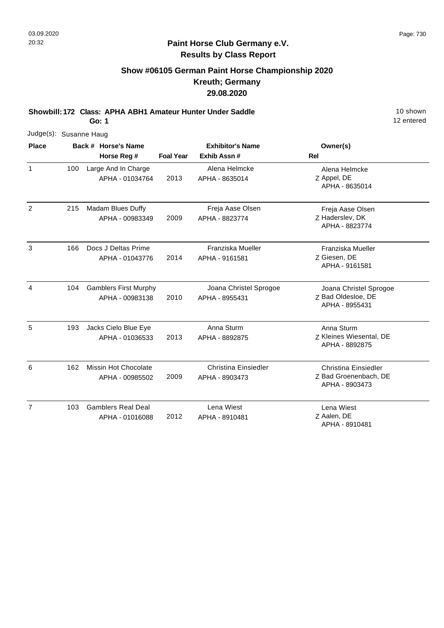## **Show #06105 German Paint Horse Championship 2020 Kreuth; Germany 29.08.2020**

**Showbill: 172 Class: APHA ABH1 Amateur Hunter Under Saddle** 10 Shown

**Go: 1**

| Judge(s): Susanne Haug |     |  |                                                 |                         |                                               |                                                                        |
|------------------------|-----|--|-------------------------------------------------|-------------------------|-----------------------------------------------|------------------------------------------------------------------------|
| <b>Place</b>           |     |  | Back # Horse's Name                             | <b>Exhibitor's Name</b> |                                               | Owner(s)                                                               |
|                        |     |  | Horse Reg #                                     | <b>Foal Year</b>        | Exhib Assn#                                   | <b>Rel</b>                                                             |
| $\mathbf{1}$           | 100 |  | Large And In Charge<br>APHA - 01034764          | 2013                    | Alena Helmcke<br>APHA - 8635014               | Alena Helmcke<br>Z Appel, DE<br>APHA - 8635014                         |
| 2                      | 215 |  | Madam Blues Duffy<br>APHA - 00983349            | 2009                    | Freja Aase Olsen<br>APHA - 8823774            | Freja Aase Olsen<br>Z Haderslev, DK<br>APHA - 8823774                  |
| 3                      | 166 |  | Docs J Deltas Prime<br>APHA - 01043776          | 2014                    | Franziska Mueller<br>APHA - 9161581           | Franziska Mueller<br>Z Giesen, DE<br>APHA - 9161581                    |
| 4                      | 104 |  | <b>Gamblers First Murphy</b><br>APHA - 00983138 | 2010                    | Joana Christel Sprogoe<br>APHA - 8955431      | Joana Christel Sprogoe<br>Z Bad Oldesloe, DE<br>APHA - 8955431         |
| 5                      | 193 |  | Jacks Cielo Blue Eye<br>APHA - 01036533         | 2013                    | Anna Sturm<br>APHA - 8892875                  | Anna Sturm<br>Z Kleines Wiesental, DE<br>APHA - 8892875                |
| 6                      | 162 |  | Missin Hot Chocolate<br>APHA - 00985502         | 2009                    | <b>Christina Einsiedler</b><br>APHA - 8903473 | <b>Christina Einsiedler</b><br>Z Bad Groenenbach, DE<br>APHA - 8903473 |
| $\overline{7}$         | 103 |  | <b>Gamblers Real Deal</b><br>APHA - 01016088    | 2012                    | Lena Wiest<br>APHA - 8910481                  | Lena Wiest<br>Z Aalen, DE<br>APHA - 8910481                            |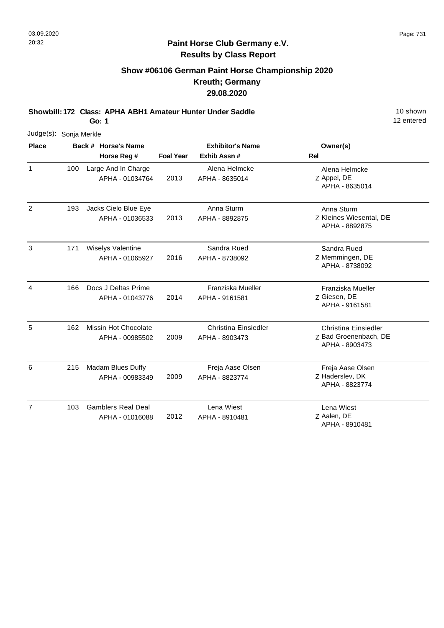## **Paint Horse Club Germany e.V. Results by Class Report**

# **Show #06106 German Paint Horse Championship 2020 Kreuth; Germany 29.08.2020**

**Showbill: 172 Class: APHA ABH1 Amateur Hunter Under Saddle** 10 Shown

| Judge(s): Sonja Merkle |     |                                                |                  |                                               |                                                                        |
|------------------------|-----|------------------------------------------------|------------------|-----------------------------------------------|------------------------------------------------------------------------|
| <b>Place</b>           |     | Back # Horse's Name                            |                  | <b>Exhibitor's Name</b>                       | Owner(s)                                                               |
|                        |     | Horse Reg #                                    | <b>Foal Year</b> | Exhib Assn#                                   | Rel                                                                    |
| $\mathbf{1}$           | 100 | Large And In Charge<br>APHA - 01034764         | 2013             | Alena Helmcke<br>APHA - 8635014               | Alena Helmcke<br>Z Appel, DE<br>APHA - 8635014                         |
| $\overline{2}$         | 193 | Jacks Cielo Blue Eye<br>APHA - 01036533        | 2013             | Anna Sturm<br>APHA - 8892875                  | Anna Sturm<br>Z Kleines Wiesental, DE<br>APHA - 8892875                |
| 3                      | 171 | Wiselys Valentine<br>APHA - 01065927           | 2016             | Sandra Rued<br>APHA - 8738092                 | Sandra Rued<br>Z Memmingen, DE<br>APHA - 8738092                       |
| 4                      | 166 | Docs J Deltas Prime<br>APHA - 01043776         | 2014             | Franziska Mueller<br>APHA - 9161581           | Franziska Mueller<br>Z Giesen, DE<br>APHA - 9161581                    |
| 5                      | 162 | <b>Missin Hot Chocolate</b><br>APHA - 00985502 | 2009             | <b>Christina Einsiedler</b><br>APHA - 8903473 | <b>Christina Einsiedler</b><br>Z Bad Groenenbach, DE<br>APHA - 8903473 |
| 6                      | 215 | Madam Blues Duffy<br>APHA - 00983349           | 2009             | Freja Aase Olsen<br>APHA - 8823774            | Freja Aase Olsen<br>Z Haderslev, DK<br>APHA - 8823774                  |
| $\overline{7}$         | 103 | <b>Gamblers Real Deal</b><br>APHA - 01016088   | 2012             | Lena Wiest<br>APHA - 8910481                  | Lena Wiest<br>Z Aalen, DE<br>APHA - 8910481                            |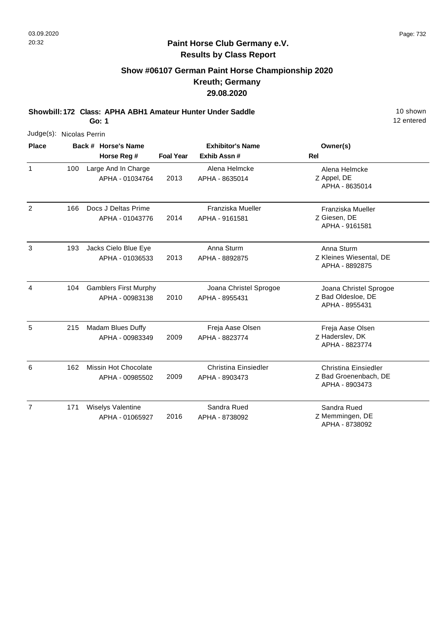## **Paint Horse Club Germany e.V. Results by Class Report**

# **Show #06107 German Paint Horse Championship 2020 Kreuth; Germany 29.08.2020**

**Showbill: 172 Class: APHA ABH1 Amateur Hunter Under Saddle** 10 Shown

|                | Judge(s): Nicolas Perrin |  |                                                 |                  |                                               |                                                                 |  |  |  |  |  |
|----------------|--------------------------|--|-------------------------------------------------|------------------|-----------------------------------------------|-----------------------------------------------------------------|--|--|--|--|--|
| <b>Place</b>   |                          |  | Back # Horse's Name                             |                  | <b>Exhibitor's Name</b>                       | Owner(s)                                                        |  |  |  |  |  |
|                |                          |  | Horse Reg #                                     | <b>Foal Year</b> | Exhib Assn #                                  | <b>Rel</b>                                                      |  |  |  |  |  |
| $\mathbf{1}$   | 100                      |  | Large And In Charge<br>APHA - 01034764          | 2013             | Alena Helmcke<br>APHA - 8635014               | Alena Helmcke<br>Z Appel, DE<br>APHA - 8635014                  |  |  |  |  |  |
| $\overline{c}$ | 166                      |  | Docs J Deltas Prime<br>APHA - 01043776          | 2014             | Franziska Mueller<br>APHA - 9161581           | Franziska Mueller<br>Z Giesen, DE<br>APHA - 9161581             |  |  |  |  |  |
| 3              | 193                      |  | Jacks Cielo Blue Eye<br>APHA - 01036533         | 2013             | Anna Sturm<br>APHA - 8892875                  | Anna Sturm<br>Z Kleines Wiesental, DE<br>APHA - 8892875         |  |  |  |  |  |
| 4              | 104                      |  | <b>Gamblers First Murphy</b><br>APHA - 00983138 | 2010             | Joana Christel Sprogoe<br>APHA - 8955431      | Joana Christel Sprogoe<br>Z Bad Oldesloe, DE<br>APHA - 8955431  |  |  |  |  |  |
| 5              | 215                      |  | Madam Blues Duffy<br>APHA - 00983349            | 2009             | Freja Aase Olsen<br>APHA - 8823774            | Freja Aase Olsen<br>Z Haderslev, DK<br>APHA - 8823774           |  |  |  |  |  |
| 6              | 162                      |  | <b>Missin Hot Chocolate</b><br>APHA - 00985502  | 2009             | <b>Christina Einsiedler</b><br>APHA - 8903473 | Christina Einsiedler<br>Z Bad Groenenbach, DE<br>APHA - 8903473 |  |  |  |  |  |
| $\overline{7}$ | 171                      |  | <b>Wiselys Valentine</b><br>APHA - 01065927     | 2016             | Sandra Rued<br>APHA - 8738092                 | Sandra Rued<br>Z Memmingen, DE<br>APHA - 8738092                |  |  |  |  |  |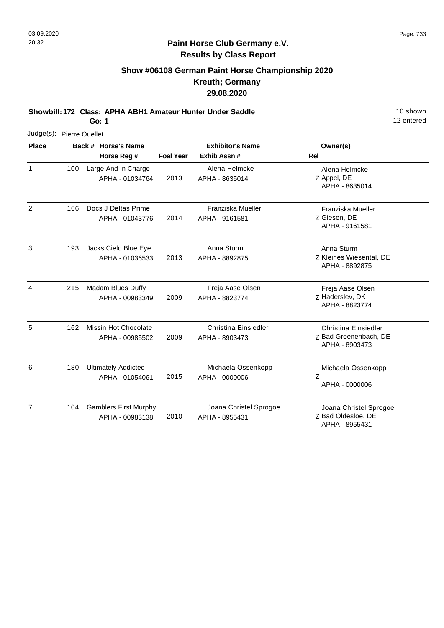### **Paint Horse Club Germany e.V. Results by Class Report**

# **Show #06108 German Paint Horse Championship 2020 Kreuth; Germany 29.08.2020**

**Showbill: 172 Class: APHA ABH1 Amateur Hunter Under Saddle** 10 Shown

| Judge(s): Pierre Ouellet |     |                                                 |                  |                                               |                                                                        |
|--------------------------|-----|-------------------------------------------------|------------------|-----------------------------------------------|------------------------------------------------------------------------|
| <b>Place</b>             |     | Back # Horse's Name                             |                  | <b>Exhibitor's Name</b>                       | Owner(s)                                                               |
|                          |     | Horse Reg #                                     | <b>Foal Year</b> | Exhib Assn#                                   | <b>Rel</b>                                                             |
| $\mathbf{1}$             | 100 | Large And In Charge<br>APHA - 01034764          | 2013             | Alena Helmcke<br>APHA - 8635014               | Alena Helmcke<br>Z Appel, DE<br>APHA - 8635014                         |
| $\overline{2}$           | 166 | Docs J Deltas Prime<br>APHA - 01043776          | 2014             | Franziska Mueller<br>APHA - 9161581           | Franziska Mueller<br>Z Giesen, DE<br>APHA - 9161581                    |
| 3                        | 193 | Jacks Cielo Blue Eye<br>APHA - 01036533         | 2013             | Anna Sturm<br>APHA - 8892875                  | Anna Sturm<br>Z Kleines Wiesental, DE<br>APHA - 8892875                |
| 4                        | 215 | Madam Blues Duffy<br>APHA - 00983349            | 2009             | Freja Aase Olsen<br>APHA - 8823774            | Freja Aase Olsen<br>Z Haderslev, DK<br>APHA - 8823774                  |
| 5                        | 162 | Missin Hot Chocolate<br>APHA - 00985502         | 2009             | <b>Christina Einsiedler</b><br>APHA - 8903473 | <b>Christina Einsiedler</b><br>Z Bad Groenenbach, DE<br>APHA - 8903473 |
| 6                        | 180 | <b>Ultimately Addicted</b><br>APHA - 01054061   | 2015             | Michaela Ossenkopp<br>APHA - 0000006          | Michaela Ossenkopp<br>Z<br>APHA - 0000006                              |
| $\overline{7}$           | 104 | <b>Gamblers First Murphy</b><br>APHA - 00983138 | 2010             | Joana Christel Sprogoe<br>APHA - 8955431      | Joana Christel Sprogoe<br>Z Bad Oldesloe, DE<br>APHA - 8955431         |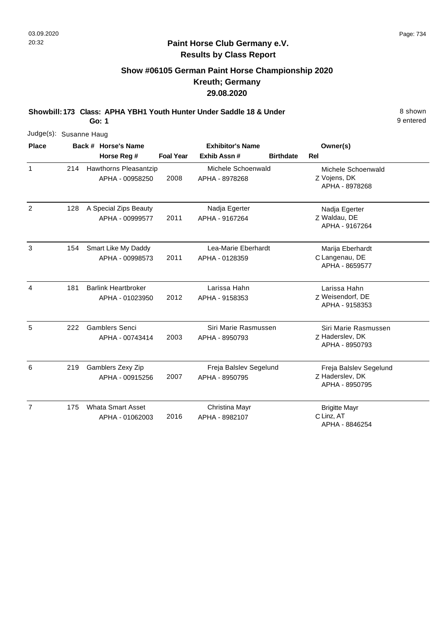## **Show #06105 German Paint Horse Championship 2020 Kreuth; Germany 29.08.2020**

**Showbill: 173 Class: APHA YBH1 Youth Hunter Under Saddle 18 & Under** 8 **Shown** 8 shown

**Go: 1**

| Judge(s): Susanne Haug |     |                                               |                  |                                          |                  |                                                             |
|------------------------|-----|-----------------------------------------------|------------------|------------------------------------------|------------------|-------------------------------------------------------------|
| <b>Place</b>           |     | Back # Horse's Name                           |                  | <b>Exhibitor's Name</b>                  |                  | Owner(s)                                                    |
|                        |     | Horse Reg #                                   | <b>Foal Year</b> | Exhib Assn#                              | <b>Birthdate</b> | Rel                                                         |
| $\mathbf{1}$           | 214 | Hawthorns Pleasantzip<br>APHA - 00958250      | 2008             | Michele Schoenwald<br>APHA - 8978268     |                  | Michele Schoenwald<br>Z Vojens, DK<br>APHA - 8978268        |
| 2                      | 128 | A Special Zips Beauty<br>APHA - 00999577      | 2011             | Nadja Egerter<br>APHA - 9167264          |                  | Nadja Egerter<br>Z Waldau, DE<br>APHA - 9167264             |
| 3                      | 154 | Smart Like My Daddy<br>APHA - 00998573        | 2011             | Lea-Marie Eberhardt<br>APHA - 0128359    |                  | Marija Eberhardt<br>C Langenau, DE<br>APHA - 8659577        |
| 4                      | 181 | <b>Barlink Heartbroker</b><br>APHA - 01023950 | 2012             | Larissa Hahn<br>APHA - 9158353           |                  | Larissa Hahn<br>Z Weisendorf, DE<br>APHA - 9158353          |
| 5                      | 222 | <b>Gamblers Senci</b><br>APHA - 00743414      | 2003             | Siri Marie Rasmussen<br>APHA - 8950793   |                  | Siri Marie Rasmussen<br>Z Haderslev, DK<br>APHA - 8950793   |
| 6                      | 219 | Gamblers Zexy Zip<br>APHA - 00915256          | 2007             | Freja Balslev Segelund<br>APHA - 8950795 |                  | Freja Balslev Segelund<br>Z Haderslev, DK<br>APHA - 8950795 |
| $\overline{7}$         | 175 | <b>Whata Smart Asset</b><br>APHA - 01062003   | 2016             | Christina Mayr<br>APHA - 8982107         |                  | <b>Brigitte Mayr</b><br>C Linz, AT<br>APHA - 8846254        |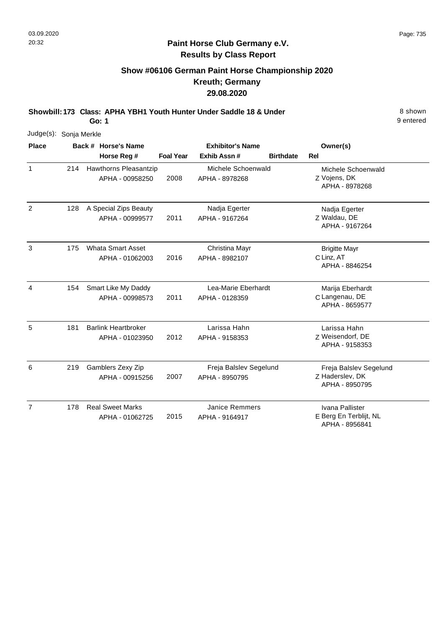#### **Paint Horse Club Germany e.V. Results by Class Report**

# **Show #06106 German Paint Horse Championship 2020 Kreuth; Germany 29.08.2020**

**Showbill: 173 Class: APHA YBH1 Youth Hunter Under Saddle 18 & Under** 8 **Shown** 8 shown

| Judge(s): Sonja Merkle |     |                                               |                  |                                          |                  |                                                             |
|------------------------|-----|-----------------------------------------------|------------------|------------------------------------------|------------------|-------------------------------------------------------------|
| <b>Place</b>           |     | Back # Horse's Name                           |                  | <b>Exhibitor's Name</b>                  |                  | Owner(s)                                                    |
|                        |     | Horse Reg #                                   | <b>Foal Year</b> | Exhib Assn#                              | <b>Birthdate</b> | <b>Rel</b>                                                  |
| $\mathbf{1}$           | 214 | Hawthorns Pleasantzip<br>APHA - 00958250      | 2008             | Michele Schoenwald<br>APHA - 8978268     |                  | Michele Schoenwald<br>Z Vojens, DK<br>APHA - 8978268        |
| $\overline{2}$         | 128 | A Special Zips Beauty<br>APHA - 00999577      | 2011             | Nadja Egerter<br>APHA - 9167264          |                  | Nadja Egerter<br>Z Waldau, DE<br>APHA - 9167264             |
| 3                      | 175 | <b>Whata Smart Asset</b><br>APHA - 01062003   | 2016             | Christina Mayr<br>APHA - 8982107         |                  | <b>Brigitte Mayr</b><br>C Linz, AT<br>APHA - 8846254        |
| 4                      | 154 | Smart Like My Daddy<br>APHA - 00998573        | 2011             | Lea-Marie Eberhardt<br>APHA - 0128359    |                  | Marija Eberhardt<br>C Langenau, DE<br>APHA - 8659577        |
| 5                      | 181 | <b>Barlink Heartbroker</b><br>APHA - 01023950 | 2012             | Larissa Hahn<br>APHA - 9158353           |                  | Larissa Hahn<br>Z Weisendorf, DE<br>APHA - 9158353          |
| 6                      | 219 | Gamblers Zexy Zip<br>APHA - 00915256          | 2007             | Freja Balslev Segelund<br>APHA - 8950795 |                  | Freja Balslev Segelund<br>Z Haderslev, DK<br>APHA - 8950795 |
| $\overline{7}$         | 178 | <b>Real Sweet Marks</b><br>APHA - 01062725    | 2015             | <b>Janice Remmers</b><br>APHA - 9164917  |                  | Ivana Pallister<br>E Berg En Terblijt, NL<br>APHA - 8956841 |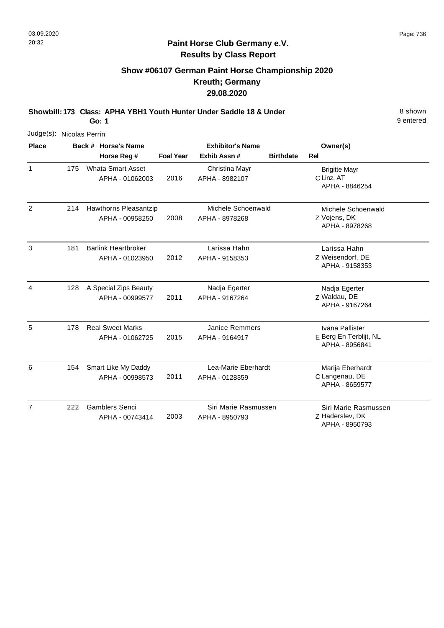# **Show #06107 German Paint Horse Championship 2020 Kreuth; Germany 29.08.2020**

**Showbill: 173 Class: APHA YBH1 Youth Hunter Under Saddle 18 & Under** 8 **Shown** 8 shown

**Go: 1**

| Judge(s): Nicolas Perrin |     |                                               |                  |                                         |                  |                                                             |
|--------------------------|-----|-----------------------------------------------|------------------|-----------------------------------------|------------------|-------------------------------------------------------------|
| <b>Place</b>             |     | Back # Horse's Name                           |                  | <b>Exhibitor's Name</b>                 |                  | Owner(s)                                                    |
|                          |     | Horse Reg #                                   | <b>Foal Year</b> | Exhib Assn#                             | <b>Birthdate</b> | <b>Rel</b>                                                  |
| $\mathbf{1}$             | 175 | <b>Whata Smart Asset</b><br>APHA - 01062003   | 2016             | Christina Mayr<br>APHA - 8982107        |                  | <b>Brigitte Mayr</b><br>C Linz, AT<br>APHA - 8846254        |
| $\overline{2}$           | 214 | Hawthorns Pleasantzip<br>APHA - 00958250      | 2008             | Michele Schoenwald<br>APHA - 8978268    |                  | Michele Schoenwald<br>Z Vojens, DK<br>APHA - 8978268        |
| 3                        | 181 | <b>Barlink Heartbroker</b><br>APHA - 01023950 | 2012             | Larissa Hahn<br>APHA - 9158353          |                  | Larissa Hahn<br>Z Weisendorf, DE<br>APHA - 9158353          |
| 4                        | 128 | A Special Zips Beauty<br>APHA - 00999577      | 2011             | Nadja Egerter<br>APHA - 9167264         |                  | Nadja Egerter<br>Z Waldau, DE<br>APHA - 9167264             |
| 5                        | 178 | <b>Real Sweet Marks</b><br>APHA - 01062725    | 2015             | <b>Janice Remmers</b><br>APHA - 9164917 |                  | Ivana Pallister<br>E Berg En Terblijt, NL<br>APHA - 8956841 |
| 6                        | 154 | Smart Like My Daddy<br>APHA - 00998573        | 2011             | Lea-Marie Eberhardt<br>APHA - 0128359   |                  | Marija Eberhardt<br>C Langenau, DE<br>APHA - 8659577        |
| $\overline{7}$           | 222 | <b>Gamblers Senci</b><br>APHA - 00743414      | 2003             | Siri Marie Rasmussen<br>APHA - 8950793  |                  | Siri Marie Rasmussen<br>Z Haderslev, DK<br>APHA - 8950793   |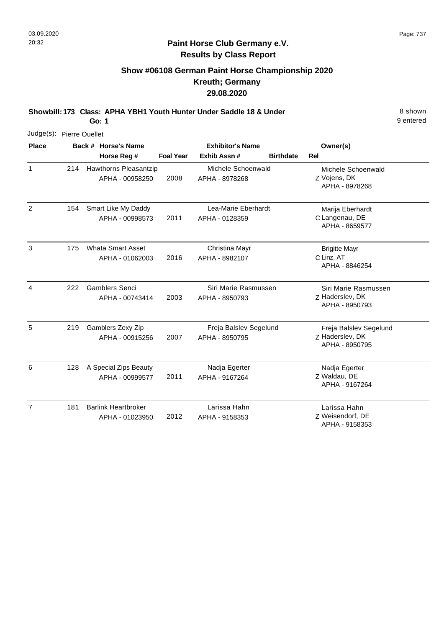#### **Paint Horse Club Germany e.V. Results by Class Report**

## **Show #06108 German Paint Horse Championship 2020 Kreuth; Germany 29.08.2020**

**Showbill: 173 Class: APHA YBH1 Youth Hunter Under Saddle 18 & Under** 8 **Shown** 8 shown

| Judge(s): Pierre Ouellet |     |                            |                  |                         |                  |                                    |
|--------------------------|-----|----------------------------|------------------|-------------------------|------------------|------------------------------------|
| <b>Place</b>             |     | Back # Horse's Name        |                  | <b>Exhibitor's Name</b> |                  | Owner(s)                           |
|                          |     | Horse Reg #                | <b>Foal Year</b> | Exhib Assn#             | <b>Birthdate</b> | <b>Rel</b>                         |
| $\mathbf{1}$             | 214 | Hawthorns Pleasantzip      |                  | Michele Schoenwald      |                  | Michele Schoenwald                 |
|                          |     | APHA - 00958250            | 2008             | APHA - 8978268          |                  | Z Vojens, DK<br>APHA - 8978268     |
| $\overline{2}$           | 154 | Smart Like My Daddy        |                  | Lea-Marie Eberhardt     |                  | Marija Eberhardt                   |
|                          |     | APHA - 00998573            | 2011             | APHA - 0128359          |                  | C Langenau, DE<br>APHA - 8659577   |
| 3                        | 175 | <b>Whata Smart Asset</b>   |                  | Christina Mayr          |                  | <b>Brigitte Mayr</b>               |
|                          |     | APHA - 01062003            | 2016             | APHA - 8982107          |                  | C Linz, AT<br>APHA - 8846254       |
| 4                        | 222 | <b>Gamblers Senci</b>      |                  | Siri Marie Rasmussen    |                  | Siri Marie Rasmussen               |
|                          |     | APHA - 00743414            | 2003             | APHA - 8950793          |                  | Z Haderslev, DK<br>APHA - 8950793  |
| 5                        | 219 | Gamblers Zexy Zip          |                  | Freja Balslev Segelund  |                  | Freja Balslev Segelund             |
|                          |     | APHA - 00915256            | 2007             | APHA - 8950795          |                  | Z Haderslev, DK<br>APHA - 8950795  |
| 6                        | 128 | A Special Zips Beauty      |                  | Nadja Egerter           |                  | Nadja Egerter                      |
|                          |     | APHA - 00999577            | 2011             | APHA - 9167264          |                  | Z Waldau, DE<br>APHA - 9167264     |
| $\overline{7}$           | 181 | <b>Barlink Heartbroker</b> |                  | Larissa Hahn            |                  | Larissa Hahn                       |
|                          |     | APHA - 01023950            | 2012             | APHA - 9158353          |                  | Z Weisendorf, DE<br>APHA - 9158353 |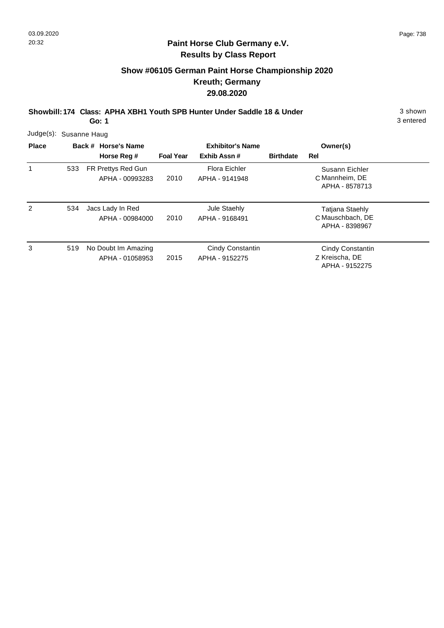#### **Paint Horse Club Germany e.V. Results by Class Report**

## **Show #06105 German Paint Horse Championship 2020 Kreuth; Germany 29.08.2020**

**Showbill: 174 Class: APHA XBH1 Youth SPB Hunter Under Saddle 18 & Under** 3 shown

| Judge(s):      | Susanne Haug |                                        |                  |                                    |                  |                                                              |  |
|----------------|--------------|----------------------------------------|------------------|------------------------------------|------------------|--------------------------------------------------------------|--|
| <b>Place</b>   |              | Back # Horse's Name                    |                  | <b>Exhibitor's Name</b>            |                  | Owner(s)                                                     |  |
|                |              | Horse Reg #                            | <b>Foal Year</b> | Exhib Assn#                        | <b>Birthdate</b> | Rel                                                          |  |
|                | 533          | FR Prettys Red Gun<br>APHA - 00993283  | 2010             | Flora Eichler<br>APHA - 9141948    |                  | Susann Eichler<br>C Mannheim, DE<br>APHA - 8578713           |  |
| $\overline{2}$ | 534          | Jacs Lady In Red<br>APHA - 00984000    | 2010             | Jule Staehly<br>APHA - 9168491     |                  | <b>Tatjana Staehly</b><br>C Mauschbach, DE<br>APHA - 8398967 |  |
| 3              | 519          | No Doubt Im Amazing<br>APHA - 01058953 | 2015             | Cindy Constantin<br>APHA - 9152275 |                  | Cindy Constantin<br>Z Kreischa, DE<br>APHA - 9152275         |  |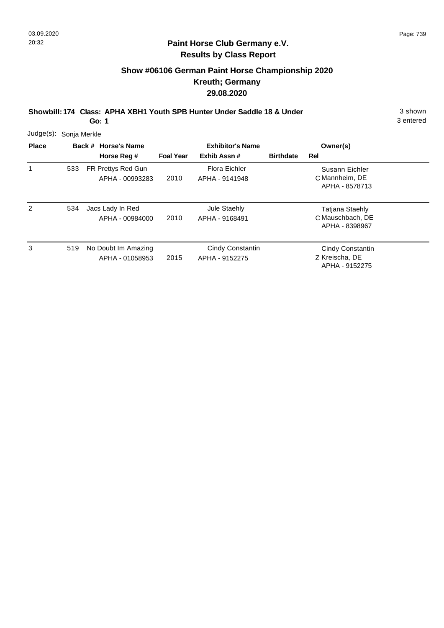#### **Paint Horse Club Germany e.V. Results by Class Report**

# **Show #06106 German Paint Horse Championship 2020 Kreuth; Germany 29.08.2020**

**Showbill: 174 Class: APHA XBH1 Youth SPB Hunter Under Saddle 18 & Under** 3 shown

| Judge(s):    | Sonja Merkle |                                        |                  |                                    |                  |                                                              |  |  |  |  |  |
|--------------|--------------|----------------------------------------|------------------|------------------------------------|------------------|--------------------------------------------------------------|--|--|--|--|--|
| <b>Place</b> |              | Back # Horse's Name                    |                  | <b>Exhibitor's Name</b>            |                  | Owner(s)                                                     |  |  |  |  |  |
|              |              | Horse Reg #                            | <b>Foal Year</b> | Exhib Assn#                        | <b>Birthdate</b> | Rel                                                          |  |  |  |  |  |
|              | 533          | FR Prettys Red Gun<br>APHA - 00993283  | 2010             | Flora Eichler<br>APHA - 9141948    |                  | Susann Eichler<br>C Mannheim, DE<br>APHA - 8578713           |  |  |  |  |  |
| 2            | 534          | Jacs Lady In Red<br>APHA - 00984000    | 2010             | Jule Staehly<br>APHA - 9168491     |                  | <b>Tatjana Staehly</b><br>C Mauschbach, DE<br>APHA - 8398967 |  |  |  |  |  |
| 3            | 519          | No Doubt Im Amazing<br>APHA - 01058953 | 2015             | Cindy Constantin<br>APHA - 9152275 |                  | Cindy Constantin<br>Z Kreischa, DE<br>APHA - 9152275         |  |  |  |  |  |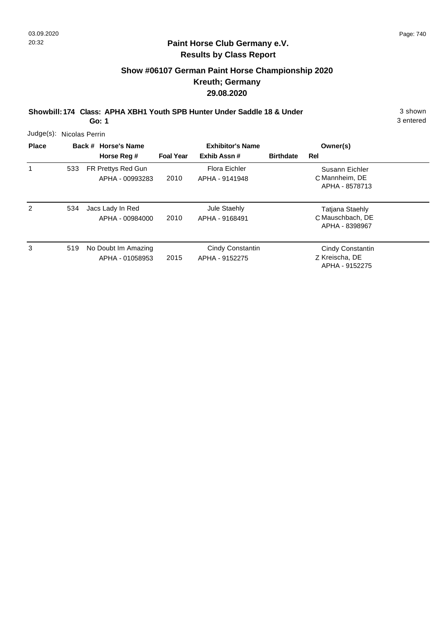#### **Paint Horse Club Germany e.V. Results by Class Report**

# **Show #06107 German Paint Horse Championship 2020 Kreuth; Germany 29.08.2020**

**Showbill: 174 Class: APHA XBH1 Youth SPB Hunter Under Saddle 18 & Under** 3 shown

| Judge(s):    | Nicolas Perrin |  |                                        |                         |                                    |                  |                                                              |  |  |  |  |
|--------------|----------------|--|----------------------------------------|-------------------------|------------------------------------|------------------|--------------------------------------------------------------|--|--|--|--|
| <b>Place</b> |                |  | Back # Horse's Name                    | <b>Exhibitor's Name</b> |                                    |                  | Owner(s)                                                     |  |  |  |  |
|              |                |  | Horse Reg #                            | <b>Foal Year</b>        | Exhib Assn#                        | <b>Birthdate</b> | Rel                                                          |  |  |  |  |
| 1            | 533            |  | FR Prettys Red Gun<br>APHA - 00993283  | 2010                    | Flora Eichler<br>APHA - 9141948    |                  | Susann Eichler<br>C Mannheim, DE<br>APHA - 8578713           |  |  |  |  |
| 2            | 534            |  | Jacs Lady In Red<br>APHA - 00984000    | 2010                    | Jule Staehly<br>APHA - 9168491     |                  | <b>Tatjana Staehly</b><br>C Mauschbach, DE<br>APHA - 8398967 |  |  |  |  |
| 3            | 519            |  | No Doubt Im Amazing<br>APHA - 01058953 | 2015                    | Cindy Constantin<br>APHA - 9152275 |                  | Cindy Constantin<br>Z Kreischa, DE<br>APHA - 9152275         |  |  |  |  |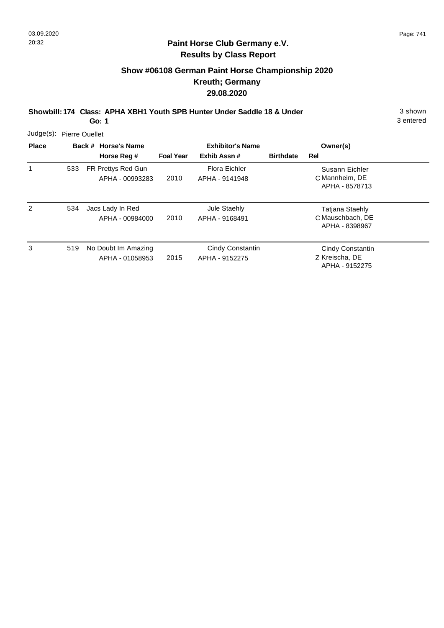### **Paint Horse Club Germany e.V. Results by Class Report**

## **Show #06108 German Paint Horse Championship 2020 Kreuth; Germany 29.08.2020**

**Showbill: 174 Class: APHA XBH1 Youth SPB Hunter Under Saddle 18 & Under** 3 shown

| Judge(s):      | Pierre Ouellet |                                        |                  |                                    |                  |                                                              |  |
|----------------|----------------|----------------------------------------|------------------|------------------------------------|------------------|--------------------------------------------------------------|--|
| <b>Place</b>   |                | Back # Horse's Name                    |                  | <b>Exhibitor's Name</b>            |                  | Owner(s)                                                     |  |
|                |                | Horse Reg #                            | <b>Foal Year</b> | Exhib Assn#                        | <b>Birthdate</b> | Rel                                                          |  |
|                | 533            | FR Prettys Red Gun<br>APHA - 00993283  | 2010             | Flora Eichler<br>APHA - 9141948    |                  | Susann Eichler<br>C Mannheim, DE<br>APHA - 8578713           |  |
| $\overline{2}$ | 534            | Jacs Lady In Red<br>APHA - 00984000    | 2010             | Jule Staehly<br>APHA - 9168491     |                  | <b>Tatjana Staehly</b><br>C Mauschbach, DE<br>APHA - 8398967 |  |
| 3              | 519            | No Doubt Im Amazing<br>APHA - 01058953 | 2015             | Cindy Constantin<br>APHA - 9152275 |                  | Cindy Constantin<br>Z Kreischa, DE<br>APHA - 9152275         |  |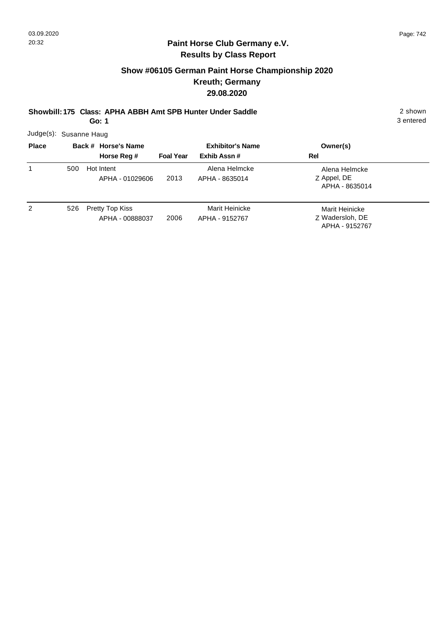# **Show #06105 German Paint Horse Championship 2020 Kreuth; Germany 29.08.2020**

**Showbill: 175 Class: APHA ABBH Amt SPB Hunter Under Saddle** 2 shown

**Go: 1**

3 entered

Judge(s): Susanne Haug

| <b>Place</b> |     | Back # Horse's Name                | <b>Exhibitor's Name</b> |                                  | Owner(s)                                            |
|--------------|-----|------------------------------------|-------------------------|----------------------------------|-----------------------------------------------------|
|              |     | Horse Reg #                        | <b>Foal Year</b>        | Exhib Assn #                     | Rel                                                 |
|              | 500 | Hot Intent<br>APHA - 01029606      | 2013                    | Alena Helmcke<br>APHA - 8635014  | Alena Helmcke<br>Z Appel, DE<br>APHA - 8635014      |
| 2            | 526 | Pretty Top Kiss<br>APHA - 00888037 | 2006                    | Marit Heinicke<br>APHA - 9152767 | Marit Heinicke<br>Z Wadersloh, DE<br>APHA - 9152767 |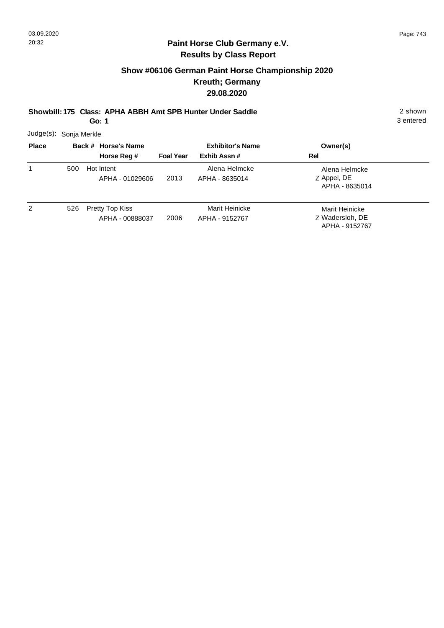# **Show #06106 German Paint Horse Championship 2020 Kreuth; Germany 29.08.2020**

**Showbill: 175 Class: APHA ABBH Amt SPB Hunter Under Saddle** 2 shown

**Go: 1**

| Judge(s): Sonja Merkle |  |
|------------------------|--|
|------------------------|--|

| <b>Place</b> |     | Back # Horse's Name                |                  | <b>Exhibitor's Name</b>          | Owner(s)                                            |  |
|--------------|-----|------------------------------------|------------------|----------------------------------|-----------------------------------------------------|--|
|              |     | Horse Reg #                        | <b>Foal Year</b> | Exhib Assn#                      | Rel                                                 |  |
|              | 500 | Hot Intent<br>APHA - 01029606      | 2013             | Alena Helmcke<br>APHA - 8635014  | Alena Helmcke<br>Z Appel, DE<br>APHA - 8635014      |  |
| 2            | 526 | Pretty Top Kiss<br>APHA - 00888037 | 2006             | Marit Heinicke<br>APHA - 9152767 | Marit Heinicke<br>Z Wadersloh, DE<br>APHA - 9152767 |  |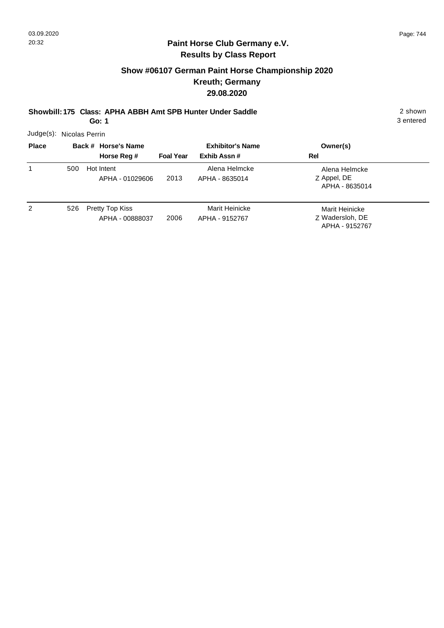# **Show #06107 German Paint Horse Championship 2020 Kreuth; Germany 29.08.2020**

**Showbill: 175 Class: APHA ABBH Amt SPB Hunter Under Saddle** 2 shown

**Go: 1**

3 entered

Judge(s): Nicolas Perrin

| <b>Place</b> |     |            | Back # Horse's Name                |                  | <b>Exhibitor's Name</b>          | Owner(s)                                            |
|--------------|-----|------------|------------------------------------|------------------|----------------------------------|-----------------------------------------------------|
|              |     |            | Horse Reg #                        | <b>Foal Year</b> | Exhib Assn#                      | Rel                                                 |
|              | 500 | Hot Intent | APHA - 01029606                    | 2013             | Alena Helmcke<br>APHA - 8635014  | Alena Helmcke<br>Z Appel, DE<br>APHA - 8635014      |
| 2            | 526 |            | Pretty Top Kiss<br>APHA - 00888037 | 2006             | Marit Heinicke<br>APHA - 9152767 | Marit Heinicke<br>Z Wadersloh, DE<br>APHA - 9152767 |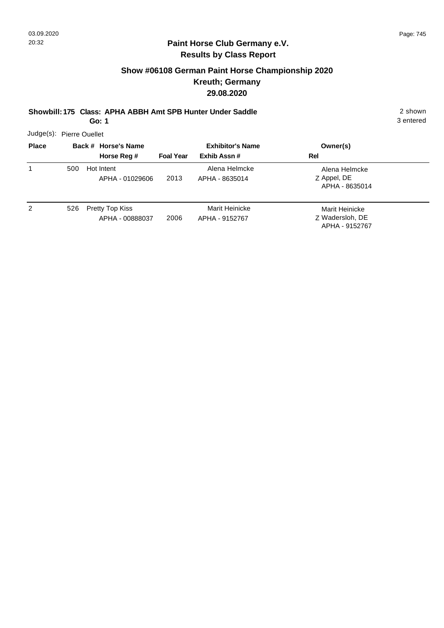## **Show #06108 German Paint Horse Championship 2020 Kreuth; Germany 29.08.2020**

**Showbill: 175 Class: APHA ABBH Amt SPB Hunter Under Saddle** 2 shown

**Go: 1**

3 entered

Judge(s): Pierre Ouellet

| <b>Place</b> |     | Back # Horse's Name                |                  | <b>Exhibitor's Name</b>          | Owner(s)                                            |
|--------------|-----|------------------------------------|------------------|----------------------------------|-----------------------------------------------------|
|              |     | Horse Reg #                        | <b>Foal Year</b> | Exhib Assn#                      | Rel                                                 |
| 1            | 500 | Hot Intent<br>APHA - 01029606      | 2013             | Alena Helmcke<br>APHA - 8635014  | Alena Helmcke<br>Z Appel, DE<br>APHA - 8635014      |
| 2            | 526 | Pretty Top Kiss<br>APHA - 00888037 | 2006             | Marit Heinicke<br>APHA - 9152767 | Marit Heinicke<br>Z Wadersloh, DE<br>APHA - 9152767 |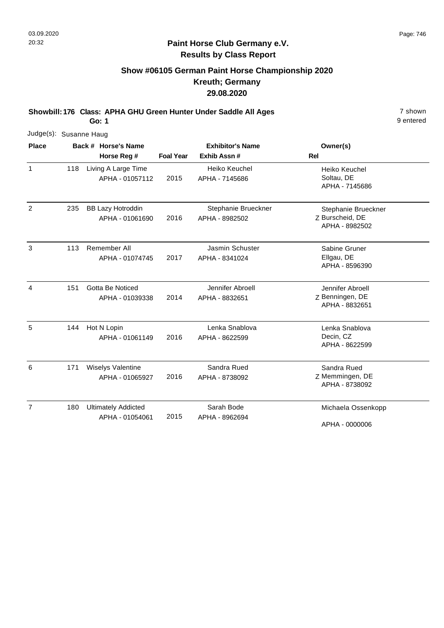### **Paint Horse Club Germany e.V. Results by Class Report**

## **Show #06105 German Paint Horse Championship 2020 Kreuth; Germany 29.08.2020**

**Showbill: 176 Class: APHA GHU Green Hunter Under Saddle All Ages** 7 shown

|                | Judge(s): Susanne Haug |                                               |                         |                                       |                                                          |  |  |  |  |  |  |
|----------------|------------------------|-----------------------------------------------|-------------------------|---------------------------------------|----------------------------------------------------------|--|--|--|--|--|--|
| <b>Place</b>   |                        | Back # Horse's Name                           | <b>Exhibitor's Name</b> |                                       | Owner(s)                                                 |  |  |  |  |  |  |
|                |                        | Horse Reg #                                   | <b>Foal Year</b>        | Exhib Assn #                          | <b>Rel</b>                                               |  |  |  |  |  |  |
| $\mathbf{1}$   | 118                    | Living A Large Time<br>APHA - 01057112        | 2015                    | Heiko Keuchel<br>APHA - 7145686       | Heiko Keuchel<br>Soltau, DE<br>APHA - 7145686            |  |  |  |  |  |  |
| $\overline{2}$ | 235                    | <b>BB Lazy Hotroddin</b><br>APHA - 01061690   | 2016                    | Stephanie Brueckner<br>APHA - 8982502 | Stephanie Brueckner<br>Z Burscheid, DE<br>APHA - 8982502 |  |  |  |  |  |  |
| 3              | 113                    | Remember All<br>APHA - 01074745               | 2017                    | Jasmin Schuster<br>APHA - 8341024     | Sabine Gruner<br>Ellgau, DE<br>APHA - 8596390            |  |  |  |  |  |  |
| $\overline{4}$ | 151                    | Gotta Be Noticed<br>APHA - 01039338           | 2014                    | Jennifer Abroell<br>APHA - 8832651    | Jennifer Abroell<br>Z Benningen, DE<br>APHA - 8832651    |  |  |  |  |  |  |
| 5              | 144                    | Hot N Lopin<br>APHA - 01061149                | 2016                    | Lenka Snablova<br>APHA - 8622599      | Lenka Snablova<br>Decin, CZ<br>APHA - 8622599            |  |  |  |  |  |  |
| 6              | 171                    | Wiselys Valentine<br>APHA - 01065927          | 2016                    | Sandra Rued<br>APHA - 8738092         | Sandra Rued<br>Z Memmingen, DE<br>APHA - 8738092         |  |  |  |  |  |  |
| $\overline{7}$ | 180                    | <b>Ultimately Addicted</b><br>APHA - 01054061 | 2015                    | Sarah Bode<br>APHA - 8962694          | Michaela Ossenkopp<br>APHA - 0000006                     |  |  |  |  |  |  |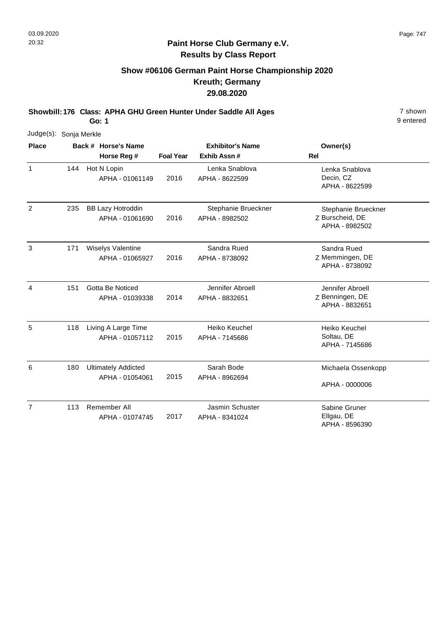### **Paint Horse Club Germany e.V. Results by Class Report**

# **Show #06106 German Paint Horse Championship 2020 Kreuth; Germany 29.08.2020**

**Showbill: 176 Class: APHA GHU Green Hunter Under Saddle All Ages** 7 shown

| Judge(s): Sonja Merkle |     |                                               |                  |                                       |                                                          |
|------------------------|-----|-----------------------------------------------|------------------|---------------------------------------|----------------------------------------------------------|
| <b>Place</b>           |     | Back # Horse's Name                           |                  | <b>Exhibitor's Name</b>               | Owner(s)                                                 |
|                        |     | Horse Reg #                                   | <b>Foal Year</b> | Exhib Assn#                           | Rel                                                      |
| $\mathbf{1}$           | 144 | Hot N Lopin<br>APHA - 01061149                | 2016             | Lenka Snablova<br>APHA - 8622599      | Lenka Snablova<br>Decin, CZ<br>APHA - 8622599            |
| $\overline{2}$         | 235 | <b>BB Lazy Hotroddin</b><br>APHA - 01061690   | 2016             | Stephanie Brueckner<br>APHA - 8982502 | Stephanie Brueckner<br>Z Burscheid, DE<br>APHA - 8982502 |
| 3                      | 171 | Wiselys Valentine<br>APHA - 01065927          | 2016             | Sandra Rued<br>APHA - 8738092         | Sandra Rued<br>Z Memmingen, DE<br>APHA - 8738092         |
| 4                      | 151 | Gotta Be Noticed<br>APHA - 01039338           | 2014             | Jennifer Abroell<br>APHA - 8832651    | Jennifer Abroell<br>Z Benningen, DE<br>APHA - 8832651    |
| 5                      | 118 | Living A Large Time<br>APHA - 01057112        | 2015             | Heiko Keuchel<br>APHA - 7145686       | Heiko Keuchel<br>Soltau, DE<br>APHA - 7145686            |
| 6                      | 180 | <b>Ultimately Addicted</b><br>APHA - 01054061 | 2015             | Sarah Bode<br>APHA - 8962694          | Michaela Ossenkopp<br>APHA - 0000006                     |
| $\overline{7}$         | 113 | Remember All<br>APHA - 01074745               | 2017             | Jasmin Schuster<br>APHA - 8341024     | Sabine Gruner<br>Ellgau, DE<br>APHA - 8596390            |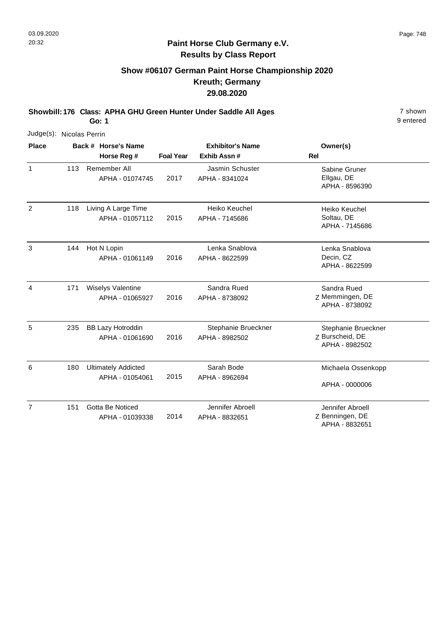### **Paint Horse Club Germany e.V. Results by Class Report**

# **Show #06107 German Paint Horse Championship 2020 Kreuth; Germany 29.08.2020**

**Showbill: 176 Class: APHA GHU Green Hunter Under Saddle All Ages** 7 shown

| Judge(s): Nicolas Perrin |     |                                               |                  |                                       |                                                          |
|--------------------------|-----|-----------------------------------------------|------------------|---------------------------------------|----------------------------------------------------------|
| <b>Place</b>             |     | Back # Horse's Name                           |                  | <b>Exhibitor's Name</b>               | Owner(s)                                                 |
|                          |     | Horse Reg #                                   | <b>Foal Year</b> | Exhib Assn #                          | <b>Rel</b>                                               |
| $\mathbf{1}$             | 113 | Remember All<br>APHA - 01074745               | 2017             | Jasmin Schuster<br>APHA - 8341024     | Sabine Gruner<br>Ellgau, DE<br>APHA - 8596390            |
| $\overline{2}$           | 118 | Living A Large Time<br>APHA - 01057112        | 2015             | Heiko Keuchel<br>APHA - 7145686       | Heiko Keuchel<br>Soltau, DE<br>APHA - 7145686            |
| 3                        | 144 | Hot N Lopin<br>APHA - 01061149                | 2016             | Lenka Snablova<br>APHA - 8622599      | Lenka Snablova<br>Decin, CZ<br>APHA - 8622599            |
| $\overline{4}$           | 171 | Wiselys Valentine<br>APHA - 01065927          | 2016             | Sandra Rued<br>APHA - 8738092         | Sandra Rued<br>Z Memmingen, DE<br>APHA - 8738092         |
| 5                        | 235 | <b>BB Lazy Hotroddin</b><br>APHA - 01061690   | 2016             | Stephanie Brueckner<br>APHA - 8982502 | Stephanie Brueckner<br>Z Burscheid, DE<br>APHA - 8982502 |
| 6                        | 180 | <b>Ultimately Addicted</b><br>APHA - 01054061 | 2015             | Sarah Bode<br>APHA - 8962694          | Michaela Ossenkopp<br>APHA - 0000006                     |
| $\overline{7}$           | 151 | Gotta Be Noticed<br>APHA - 01039338           | 2014             | Jennifer Abroell<br>APHA - 8832651    | Jennifer Abroell<br>Z Benningen, DE<br>APHA - 8832651    |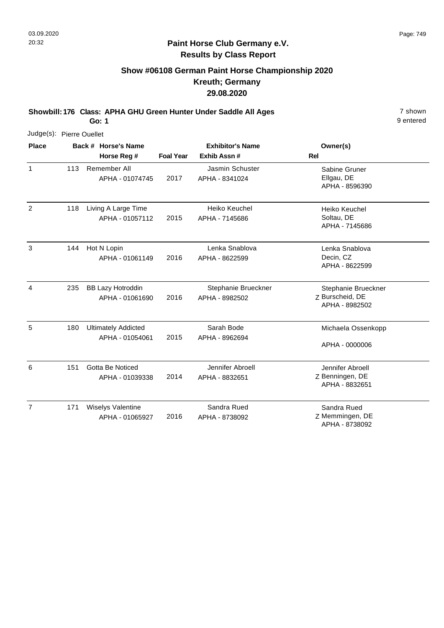### **Paint Horse Club Germany e.V. Results by Class Report**

# **Show #06108 German Paint Horse Championship 2020 Kreuth; Germany 29.08.2020**

**Showbill: 176 Class: APHA GHU Green Hunter Under Saddle All Ages** 7 shown

| Judge(s): Pierre Ouellet |     |                                               |                  |                                       |                                                          |
|--------------------------|-----|-----------------------------------------------|------------------|---------------------------------------|----------------------------------------------------------|
| <b>Place</b>             |     | Back # Horse's Name                           |                  | <b>Exhibitor's Name</b>               | Owner(s)                                                 |
|                          |     | Horse Reg #                                   | <b>Foal Year</b> | Exhib Assn #                          | <b>Rel</b>                                               |
| $\mathbf{1}$             | 113 | Remember All<br>APHA - 01074745               | 2017             | Jasmin Schuster<br>APHA - 8341024     | Sabine Gruner<br>Ellgau, DE<br>APHA - 8596390            |
| 2                        | 118 | Living A Large Time<br>APHA - 01057112        | 2015             | Heiko Keuchel<br>APHA - 7145686       | Heiko Keuchel<br>Soltau, DE<br>APHA - 7145686            |
| 3                        | 144 | Hot N Lopin<br>APHA - 01061149                | 2016             | Lenka Snablova<br>APHA - 8622599      | Lenka Snablova<br>Decin, CZ<br>APHA - 8622599            |
| 4                        | 235 | <b>BB Lazy Hotroddin</b><br>APHA - 01061690   | 2016             | Stephanie Brueckner<br>APHA - 8982502 | Stephanie Brueckner<br>Z Burscheid, DE<br>APHA - 8982502 |
| 5                        | 180 | <b>Ultimately Addicted</b><br>APHA - 01054061 | 2015             | Sarah Bode<br>APHA - 8962694          | Michaela Ossenkopp<br>APHA - 0000006                     |
| 6                        | 151 | Gotta Be Noticed<br>APHA - 01039338           | 2014             | Jennifer Abroell<br>APHA - 8832651    | Jennifer Abroell<br>Z Benningen, DE<br>APHA - 8832651    |
| $\overline{7}$           | 171 | Wiselys Valentine<br>APHA - 01065927          | 2016             | Sandra Rued<br>APHA - 8738092         | Sandra Rued<br>Z Memmingen, DE<br>APHA - 8738092         |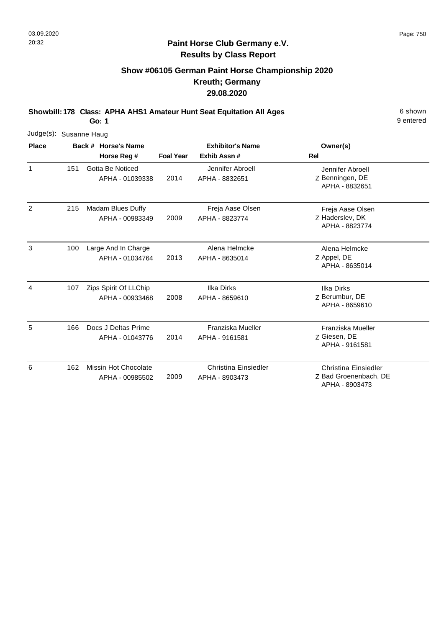### **Paint Horse Club Germany e.V. Results by Class Report**

# **Show #06105 German Paint Horse Championship 2020 Kreuth; Germany 29.08.2020**

**Showbill: 178 Class: APHA AHS1 Amateur Hunt Seat Equitation All Ages** 6 Shown

|                | Judge(s): Susanne Haug |  |                                          |                  |                                        |                                                                        |  |  |  |  |  |
|----------------|------------------------|--|------------------------------------------|------------------|----------------------------------------|------------------------------------------------------------------------|--|--|--|--|--|
| <b>Place</b>   |                        |  | Back # Horse's Name                      |                  | <b>Exhibitor's Name</b>                | Owner(s)                                                               |  |  |  |  |  |
|                |                        |  | Horse Reg #                              | <b>Foal Year</b> | Exhib Assn#                            | <b>Rel</b>                                                             |  |  |  |  |  |
| 1              | 151                    |  | Gotta Be Noticed<br>APHA - 01039338      | 2014             | Jennifer Abroell<br>APHA - 8832651     | Jennifer Abroell<br>Z Benningen, DE<br>APHA - 8832651                  |  |  |  |  |  |
| $\overline{2}$ | 215                    |  | Madam Blues Duffy<br>APHA - 00983349     | 2009             | Freja Aase Olsen<br>APHA - 8823774     | Freja Aase Olsen<br>Z Haderslev, DK<br>APHA - 8823774                  |  |  |  |  |  |
| 3              | 100                    |  | Large And In Charge<br>APHA - 01034764   | 2013             | Alena Helmcke<br>APHA - 8635014        | Alena Helmcke<br>Z Appel, DE<br>APHA - 8635014                         |  |  |  |  |  |
| 4              | 107                    |  | Zips Spirit Of LLChip<br>APHA - 00933468 | 2008             | <b>Ilka Dirks</b><br>APHA - 8659610    | <b>Ilka Dirks</b><br>Z Berumbur, DE<br>APHA - 8659610                  |  |  |  |  |  |
| 5              | 166                    |  | Docs J Deltas Prime<br>APHA - 01043776   | 2014             | Franziska Mueller<br>APHA - 9161581    | Franziska Mueller<br>Z Giesen, DE<br>APHA - 9161581                    |  |  |  |  |  |
| 6              | 162                    |  | Missin Hot Chocolate<br>APHA - 00985502  | 2009             | Christina Einsiedler<br>APHA - 8903473 | <b>Christina Einsiedler</b><br>Z Bad Groenenbach, DE<br>APHA - 8903473 |  |  |  |  |  |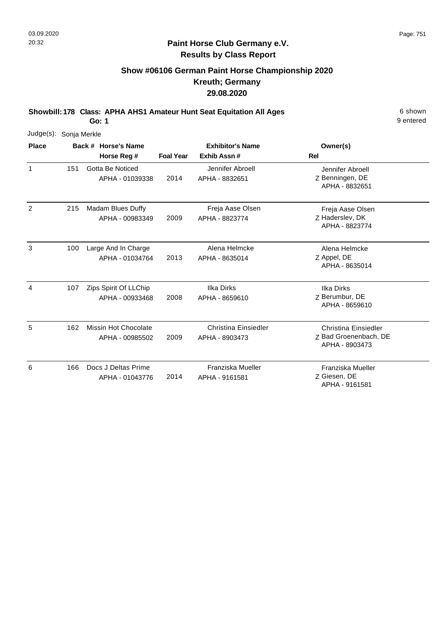#### **Paint Horse Club Germany e.V. Results by Class Report**

# **Show #06106 German Paint Horse Championship 2020 Kreuth; Germany 29.08.2020**

**Showbill: 178 Class: APHA AHS1 Amateur Hunt Seat Equitation All Ages** 6 Shown

|              | Judge(s): Sonja Merkle |  |                                          |                         |                                        |                                                                        |  |  |  |  |  |
|--------------|------------------------|--|------------------------------------------|-------------------------|----------------------------------------|------------------------------------------------------------------------|--|--|--|--|--|
| <b>Place</b> |                        |  | Back # Horse's Name                      | <b>Exhibitor's Name</b> |                                        | Owner(s)                                                               |  |  |  |  |  |
|              |                        |  | Horse Reg #                              | <b>Foal Year</b>        | Exhib Assn#                            | <b>Rel</b>                                                             |  |  |  |  |  |
| 1            | 151                    |  | Gotta Be Noticed<br>APHA - 01039338      | 2014                    | Jennifer Abroell<br>APHA - 8832651     | Jennifer Abroell<br>Z Benningen, DE<br>APHA - 8832651                  |  |  |  |  |  |
| 2            | 215                    |  | Madam Blues Duffy<br>APHA - 00983349     | 2009                    | Freja Aase Olsen<br>APHA - 8823774     | Freja Aase Olsen<br>Z Haderslev, DK<br>APHA - 8823774                  |  |  |  |  |  |
| 3            | 100                    |  | Large And In Charge<br>APHA - 01034764   | 2013                    | Alena Helmcke<br>APHA - 8635014        | Alena Helmcke<br>Z Appel, DE<br>APHA - 8635014                         |  |  |  |  |  |
| 4            | 107                    |  | Zips Spirit Of LLChip<br>APHA - 00933468 | 2008                    | <b>Ilka Dirks</b><br>APHA - 8659610    | <b>Ilka Dirks</b><br>Z Berumbur, DE<br>APHA - 8659610                  |  |  |  |  |  |
| 5            | 162                    |  | Missin Hot Chocolate<br>APHA - 00985502  | 2009                    | Christina Einsiedler<br>APHA - 8903473 | <b>Christina Einsiedler</b><br>Z Bad Groenenbach, DE<br>APHA - 8903473 |  |  |  |  |  |
| 6            | 166                    |  | Docs J Deltas Prime<br>APHA - 01043776   | 2014                    | Franziska Mueller<br>APHA - 9161581    | Franziska Mueller<br>Z Giesen, DE<br>APHA - 9161581                    |  |  |  |  |  |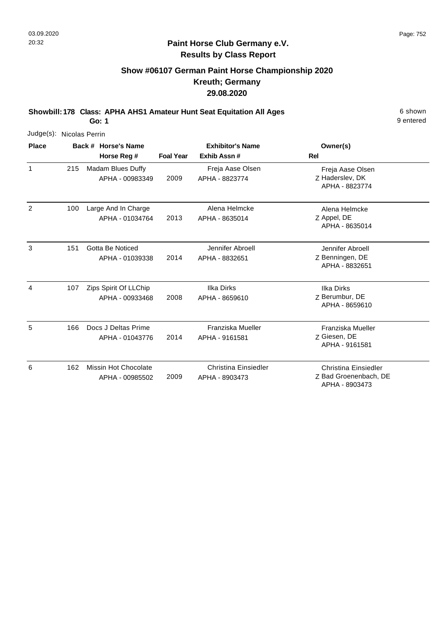### **Paint Horse Club Germany e.V. Results by Class Report**

# **Show #06107 German Paint Horse Championship 2020 Kreuth; Germany 29.08.2020**

**Showbill: 178 Class: APHA AHS1 Amateur Hunt Seat Equitation All Ages** 6 Shown

| Judge(s): Nicolas Perrin |     |                                          |                  |                                        |                                                                 |
|--------------------------|-----|------------------------------------------|------------------|----------------------------------------|-----------------------------------------------------------------|
| <b>Place</b>             |     | Back # Horse's Name                      |                  | <b>Exhibitor's Name</b>                | Owner(s)                                                        |
|                          |     | Horse Reg #                              | <b>Foal Year</b> | Exhib Assn#                            | <b>Rel</b>                                                      |
| 1                        | 215 | Madam Blues Duffy<br>APHA - 00983349     | 2009             | Freja Aase Olsen<br>APHA - 8823774     | Freja Aase Olsen<br>Z Haderslev, DK<br>APHA - 8823774           |
| $\overline{2}$           | 100 | Large And In Charge<br>APHA - 01034764   | 2013             | Alena Helmcke<br>APHA - 8635014        | Alena Helmcke<br>Z Appel, DE<br>APHA - 8635014                  |
| 3                        | 151 | Gotta Be Noticed<br>APHA - 01039338      | 2014             | Jennifer Abroell<br>APHA - 8832651     | Jennifer Abroell<br>Z Benningen, DE<br>APHA - 8832651           |
| 4                        | 107 | Zips Spirit Of LLChip<br>APHA - 00933468 | 2008             | <b>Ilka Dirks</b><br>APHA - 8659610    | <b>Ilka Dirks</b><br>Z Berumbur, DE<br>APHA - 8659610           |
| 5                        | 166 | Docs J Deltas Prime<br>APHA - 01043776   | 2014             | Franziska Mueller<br>APHA - 9161581    | Franziska Mueller<br>Z Giesen, DE<br>APHA - 9161581             |
| 6                        | 162 | Missin Hot Chocolate<br>APHA - 00985502  | 2009             | Christina Einsiedler<br>APHA - 8903473 | Christina Einsiedler<br>Z Bad Groenenbach, DE<br>APHA - 8903473 |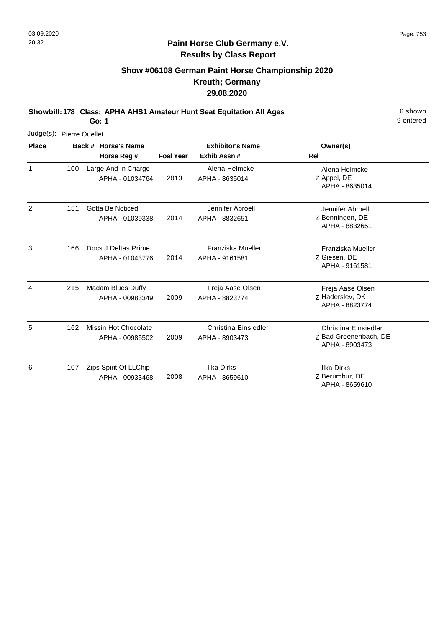### **Paint Horse Club Germany e.V. Results by Class Report**

# **Show #06108 German Paint Horse Championship 2020 Kreuth; Germany 29.08.2020**

**Showbill: 178 Class: APHA AHS1 Amateur Hunt Seat Equitation All Ages** 6 Shown

|                | Judge(s): Pierre Ouellet |                                          |                  |                                               |                                                                        |  |  |  |  |  |  |
|----------------|--------------------------|------------------------------------------|------------------|-----------------------------------------------|------------------------------------------------------------------------|--|--|--|--|--|--|
| <b>Place</b>   |                          | Back # Horse's Name<br>Horse Reg #       | <b>Foal Year</b> | <b>Exhibitor's Name</b><br>Exhib Assn#        | Owner(s)<br><b>Rel</b>                                                 |  |  |  |  |  |  |
| 1              | 100                      | Large And In Charge<br>APHA - 01034764   | 2013             | Alena Helmcke<br>APHA - 8635014               | Alena Helmcke<br>Z Appel, DE<br>APHA - 8635014                         |  |  |  |  |  |  |
| $\overline{2}$ | 151                      | Gotta Be Noticed<br>APHA - 01039338      | 2014             | Jennifer Abroell<br>APHA - 8832651            | Jennifer Abroell<br>Z Benningen, DE<br>APHA - 8832651                  |  |  |  |  |  |  |
| 3              | 166                      | Docs J Deltas Prime<br>APHA - 01043776   | 2014             | Franziska Mueller<br>APHA - 9161581           | Franziska Mueller<br>Z Giesen, DE<br>APHA - 9161581                    |  |  |  |  |  |  |
| 4              | 215                      | Madam Blues Duffy<br>APHA - 00983349     | 2009             | Freja Aase Olsen<br>APHA - 8823774            | Freja Aase Olsen<br>Z Haderslev, DK<br>APHA - 8823774                  |  |  |  |  |  |  |
| 5              | 162                      | Missin Hot Chocolate<br>APHA - 00985502  | 2009             | <b>Christina Einsiedler</b><br>APHA - 8903473 | <b>Christina Einsiedler</b><br>Z Bad Groenenbach, DE<br>APHA - 8903473 |  |  |  |  |  |  |
| 6              | 107                      | Zips Spirit Of LLChip<br>APHA - 00933468 | 2008             | Ilka Dirks<br>APHA - 8659610                  | <b>Ilka Dirks</b><br>Z Berumbur, DE<br>APHA - 8659610                  |  |  |  |  |  |  |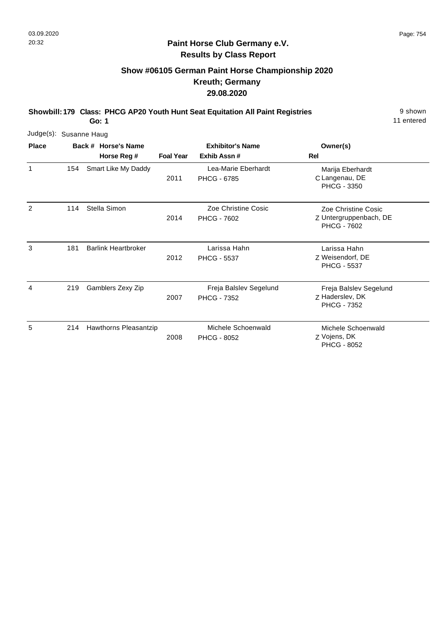# **Show #06105 German Paint Horse Championship 2020 Kreuth; Germany 29.08.2020**

**Showbill: 179 Class: PHCG AP20 Youth Hunt Seat Equitation All Paint Registries** 9 shown

**Go: 1**

| Judge(s): Susanne Haug |     |                                    |                  |                                              |                                                                     |
|------------------------|-----|------------------------------------|------------------|----------------------------------------------|---------------------------------------------------------------------|
| <b>Place</b>           |     | Back # Horse's Name<br>Horse Reg # | <b>Foal Year</b> | <b>Exhibitor's Name</b><br>Exhib Assn#       | Owner(s)<br>Rel                                                     |
| 1                      | 154 | Smart Like My Daddy                | 2011             | Lea-Marie Eberhardt<br>PHCG - 6785           | Marija Eberhardt<br>C Langenau, DE<br>PHCG - 3350                   |
| 2                      | 114 | Stella Simon                       | 2014             | Zoe Christine Cosic<br><b>PHCG - 7602</b>    | Zoe Christine Cosic<br>Z Untergruppenbach, DE<br><b>PHCG - 7602</b> |
| 3                      | 181 | <b>Barlink Heartbroker</b>         | 2012             | Larissa Hahn<br><b>PHCG - 5537</b>           | Larissa Hahn<br>Z Weisendorf, DE<br><b>PHCG - 5537</b>              |
| 4                      | 219 | Gamblers Zexy Zip                  | 2007             | Freja Balslev Segelund<br><b>PHCG - 7352</b> | Freja Balslev Segelund<br>Z Haderslev, DK<br><b>PHCG - 7352</b>     |
| 5                      | 214 | Hawthorns Pleasantzip              | 2008             | Michele Schoenwald<br><b>PHCG - 8052</b>     | Michele Schoenwald<br>Z Vojens, DK<br><b>PHCG - 8052</b>            |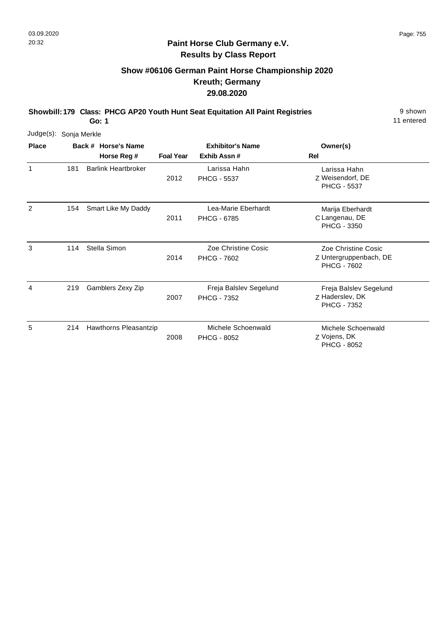# **Show #06106 German Paint Horse Championship 2020 Kreuth; Germany 29.08.2020**

**Showbill: 179 Class: PHCG AP20 Youth Hunt Seat Equitation All Paint Registries** 9 shown

**Go: 1**

| Judge(s): Sonja Merkle |     |                            |                  |                                              |                                                                     |
|------------------------|-----|----------------------------|------------------|----------------------------------------------|---------------------------------------------------------------------|
| <b>Place</b>           |     | Back # Horse's Name        |                  | <b>Exhibitor's Name</b>                      | Owner(s)                                                            |
|                        |     | Horse Reg #                | <b>Foal Year</b> | Exhib Assn#                                  | Rel                                                                 |
| 1                      | 181 | <b>Barlink Heartbroker</b> | 2012             | Larissa Hahn<br><b>PHCG - 5537</b>           | Larissa Hahn<br>Z Weisendorf, DE<br><b>PHCG - 5537</b>              |
| 2                      | 154 | Smart Like My Daddy        | 2011             | Lea-Marie Eberhardt<br><b>PHCG - 6785</b>    | Marija Eberhardt<br>C Langenau, DE<br><b>PHCG - 3350</b>            |
| 3                      | 114 | Stella Simon               | 2014             | Zoe Christine Cosic<br><b>PHCG - 7602</b>    | Zoe Christine Cosic<br>Z Untergruppenbach, DE<br><b>PHCG - 7602</b> |
| 4                      | 219 | Gamblers Zexy Zip          | 2007             | Freja Balslev Segelund<br><b>PHCG - 7352</b> | Freja Balslev Segelund<br>Z Haderslev, DK<br><b>PHCG - 7352</b>     |
| 5                      | 214 | Hawthorns Pleasantzip      | 2008             | Michele Schoenwald<br><b>PHCG - 8052</b>     | Michele Schoenwald<br>Z Vojens, DK<br><b>PHCG - 8052</b>            |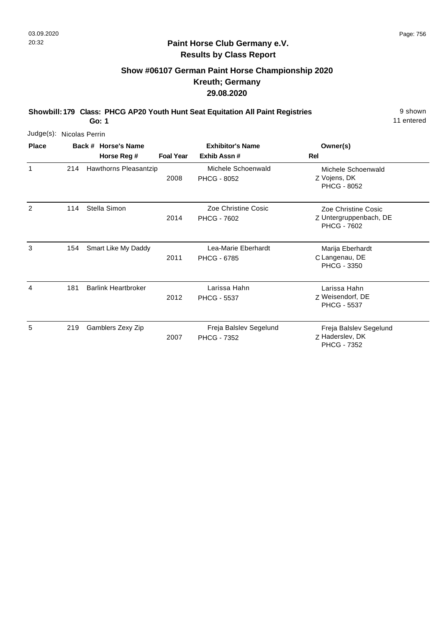# **Show #06107 German Paint Horse Championship 2020 Kreuth; Germany 29.08.2020**

**Showbill: 179 Class: PHCG AP20 Youth Hunt Seat Equitation All Paint Registries** 9 shown

11 entered

| Judge(s):    | Nicolas Perrin |                                    |                  |                                              |                                                                     |  |  |
|--------------|----------------|------------------------------------|------------------|----------------------------------------------|---------------------------------------------------------------------|--|--|
| <b>Place</b> |                | Back # Horse's Name<br>Horse Reg # | <b>Foal Year</b> | <b>Exhibitor's Name</b><br>Exhib Assn#       | Owner(s)<br>Rel                                                     |  |  |
| 1            | 214            | Hawthorns Pleasantzip              | 2008             | Michele Schoenwald<br><b>PHCG - 8052</b>     | Michele Schoenwald<br>Z Vojens, DK<br><b>PHCG - 8052</b>            |  |  |
| 2            | 114            | Stella Simon                       | 2014             | Zoe Christine Cosic<br><b>PHCG - 7602</b>    | Zoe Christine Cosic<br>Z Untergruppenbach, DE<br><b>PHCG - 7602</b> |  |  |
| 3            | 154            | Smart Like My Daddy                | 2011             | Lea-Marie Eberhardt<br><b>PHCG - 6785</b>    | Marija Eberhardt<br>C Langenau, DE<br><b>PHCG - 3350</b>            |  |  |
| 4            | 181            | <b>Barlink Heartbroker</b>         | 2012             | Larissa Hahn<br><b>PHCG - 5537</b>           | Larissa Hahn<br>Z Weisendorf, DE<br><b>PHCG - 5537</b>              |  |  |
| 5            | 219            | Gamblers Zexy Zip                  | 2007             | Freja Balslev Segelund<br><b>PHCG - 7352</b> | Freja Balslev Segelund<br>Z Haderslev, DK<br><b>PHCG - 7352</b>     |  |  |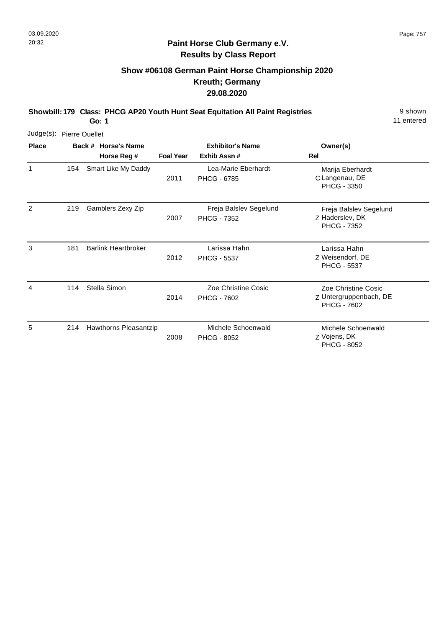# **Show #06108 German Paint Horse Championship 2020 Kreuth; Germany 29.08.2020**

**Showbill: 179 Class: PHCG AP20 Youth Hunt Seat Equitation All Paint Registries** 9 shown

11 entered

| Judge(s): Pierre Ouellet |     |                                    |                  |                                              |                                                                     |
|--------------------------|-----|------------------------------------|------------------|----------------------------------------------|---------------------------------------------------------------------|
| <b>Place</b>             |     | Back # Horse's Name<br>Horse Reg # | <b>Foal Year</b> | <b>Exhibitor's Name</b><br>Exhib Assn#       | Owner(s)<br><b>Rel</b>                                              |
| $\mathbf{1}$             | 154 | Smart Like My Daddy                | 2011             | Lea-Marie Eberhardt<br><b>PHCG - 6785</b>    | Marija Eberhardt<br>C Langenau, DE<br><b>PHCG - 3350</b>            |
| 2                        | 219 | Gamblers Zexy Zip                  | 2007             | Freja Balslev Segelund<br><b>PHCG - 7352</b> | Freja Balslev Segelund<br>Z Haderslev, DK<br><b>PHCG - 7352</b>     |
| 3                        | 181 | <b>Barlink Heartbroker</b>         | 2012             | Larissa Hahn<br><b>PHCG - 5537</b>           | Larissa Hahn<br>Z Weisendorf, DE<br><b>PHCG - 5537</b>              |
| 4                        | 114 | Stella Simon                       | 2014             | Zoe Christine Cosic<br><b>PHCG - 7602</b>    | Zoe Christine Cosic<br>Z Untergruppenbach, DE<br><b>PHCG - 7602</b> |
| 5                        | 214 | Hawthorns Pleasantzip              | 2008             | Michele Schoenwald<br><b>PHCG - 8052</b>     | Michele Schoenwald<br>Z Vojens, DK<br><b>PHCG - 8052</b>            |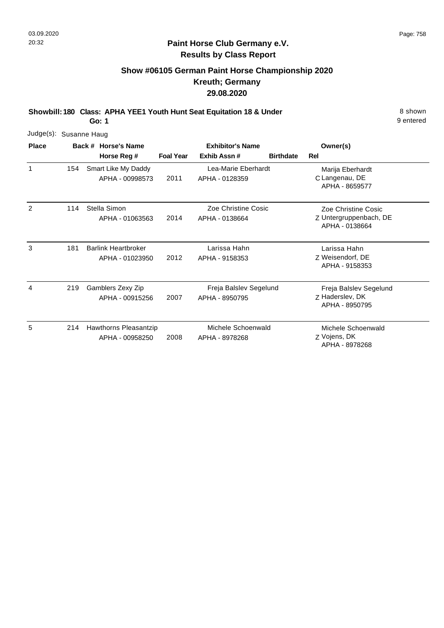# **Show #06105 German Paint Horse Championship 2020 Kreuth; Germany 29.08.2020**

**Showbill: 180 Class: APHA YEE1 Youth Hunt Seat Equitation 18 & Under** 8 Shown **Go: 1**

| Judge(s):    | Susanne Haug |  |                                               |                  |                                          |                  |                                                                 |
|--------------|--------------|--|-----------------------------------------------|------------------|------------------------------------------|------------------|-----------------------------------------------------------------|
| <b>Place</b> |              |  | Back # Horse's Name                           |                  | <b>Exhibitor's Name</b>                  |                  | Owner(s)                                                        |
|              |              |  | Horse Reg #                                   | <b>Foal Year</b> | Exhib Assn#                              | <b>Birthdate</b> | Rel                                                             |
|              | 154          |  | Smart Like My Daddy<br>APHA - 00998573        | 2011             | Lea-Marie Eberhardt<br>APHA - 0128359    |                  | Marija Eberhardt<br>C Langenau, DE<br>APHA - 8659577            |
| 2            | 114          |  | Stella Simon<br>APHA - 01063563               | 2014             | Zoe Christine Cosic<br>APHA - 0138664    |                  | Zoe Christine Cosic<br>Z Untergruppenbach, DE<br>APHA - 0138664 |
| 3            | 181          |  | <b>Barlink Heartbroker</b><br>APHA - 01023950 | 2012             | Larissa Hahn<br>APHA - 9158353           |                  | Larissa Hahn<br>Z Weisendorf, DE<br>APHA - 9158353              |
| 4            | 219          |  | Gamblers Zexy Zip<br>APHA - 00915256          | 2007             | Freja Balslev Segelund<br>APHA - 8950795 |                  | Freja Balslev Segelund<br>Z Haderslev, DK<br>APHA - 8950795     |
| 5            | 214          |  | Hawthorns Pleasantzip<br>APHA - 00958250      | 2008             | Michele Schoenwald<br>APHA - 8978268     |                  | Michele Schoenwald<br>Z Vojens, DK<br>APHA - 8978268            |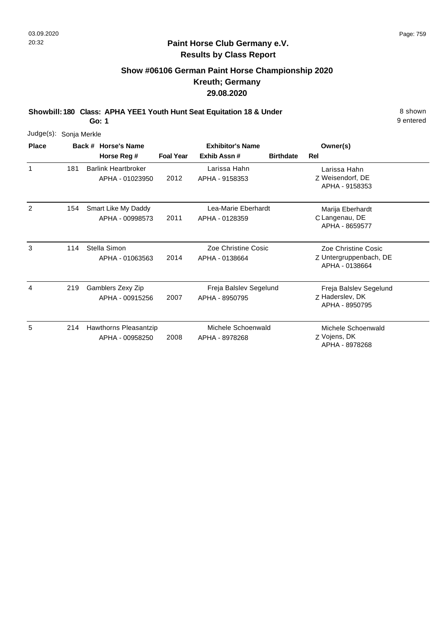# **Show #06106 German Paint Horse Championship 2020 Kreuth; Germany 29.08.2020**

**Showbill: 180 Class: APHA YEE1 Youth Hunt Seat Equitation 18 & Under** 8 Shown

**Go: 1**

| Judge(s): Sonja Merkle |     |                                               |                  |                                          |                  |                                                                 |
|------------------------|-----|-----------------------------------------------|------------------|------------------------------------------|------------------|-----------------------------------------------------------------|
| <b>Place</b>           |     | Back # Horse's Name                           |                  | <b>Exhibitor's Name</b>                  |                  | Owner(s)                                                        |
|                        |     | Horse Reg #                                   | <b>Foal Year</b> | Exhib Assn#                              | <b>Birthdate</b> | Rel                                                             |
| 1                      | 181 | <b>Barlink Heartbroker</b><br>APHA - 01023950 | 2012             | Larissa Hahn<br>APHA - 9158353           |                  | Larissa Hahn<br>Z Weisendorf, DE<br>APHA - 9158353              |
| 2                      | 154 | Smart Like My Daddy<br>APHA - 00998573        | 2011             | Lea-Marie Eberhardt<br>APHA - 0128359    |                  | Marija Eberhardt<br>C Langenau, DE<br>APHA - 8659577            |
| 3                      | 114 | Stella Simon<br>APHA - 01063563               | 2014             | Zoe Christine Cosic<br>APHA - 0138664    |                  | Zoe Christine Cosic<br>Z Untergruppenbach, DE<br>APHA - 0138664 |
| 4                      | 219 | Gamblers Zexy Zip<br>APHA - 00915256          | 2007             | Freja Balslev Segelund<br>APHA - 8950795 |                  | Freja Balslev Segelund<br>Z Haderslev, DK<br>APHA - 8950795     |
| 5                      | 214 | Hawthorns Pleasantzip<br>APHA - 00958250      | 2008             | Michele Schoenwald<br>APHA - 8978268     |                  | Michele Schoenwald<br>Z Vojens, DK<br>APHA - 8978268            |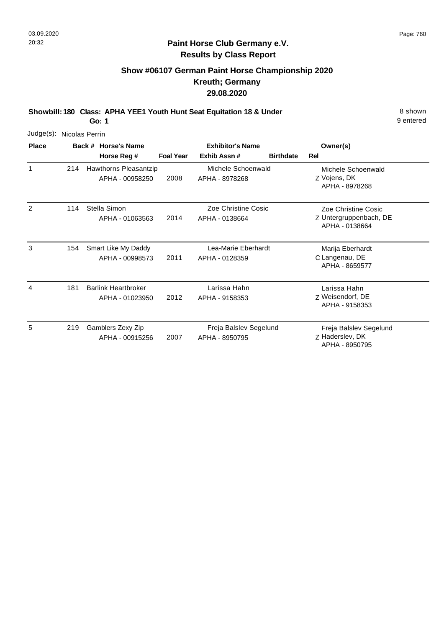# **Show #06107 German Paint Horse Championship 2020 Kreuth; Germany 29.08.2020**

**Showbill: 180 Class: APHA YEE1 Youth Hunt Seat Equitation 18 & Under** 8 Shown 8 shown **Go: 1**

| Judge(s):    | Nicolas Perrin |                                               |                  |                                          |                  |                                                                 |
|--------------|----------------|-----------------------------------------------|------------------|------------------------------------------|------------------|-----------------------------------------------------------------|
| <b>Place</b> |                | Back # Horse's Name                           |                  | <b>Exhibitor's Name</b>                  |                  | Owner(s)                                                        |
|              |                | Horse Reg #                                   | <b>Foal Year</b> | Exhib Assn#                              | <b>Birthdate</b> | <b>Rel</b>                                                      |
| 1            | 214            | Hawthorns Pleasantzip<br>APHA - 00958250      | 2008             | Michele Schoenwald<br>APHA - 8978268     |                  | Michele Schoenwald<br>Z Vojens, DK<br>APHA - 8978268            |
| 2            | 114            | Stella Simon<br>APHA - 01063563               | 2014             | Zoe Christine Cosic<br>APHA - 0138664    |                  | Zoe Christine Cosic<br>Z Untergruppenbach, DE<br>APHA - 0138664 |
| 3            | 154            | Smart Like My Daddy<br>APHA - 00998573        | 2011             | Lea-Marie Eberhardt<br>APHA - 0128359    |                  | Marija Eberhardt<br>C Langenau, DE<br>APHA - 8659577            |
| 4            | 181            | <b>Barlink Heartbroker</b><br>APHA - 01023950 | 2012             | Larissa Hahn<br>APHA - 9158353           |                  | Larissa Hahn<br>Z Weisendorf, DE<br>APHA - 9158353              |
| 5            | 219            | Gamblers Zexy Zip<br>APHA - 00915256          | 2007             | Freja Balslev Segelund<br>APHA - 8950795 |                  | Freja Balslev Segelund<br>Z Haderslev, DK<br>APHA - 8950795     |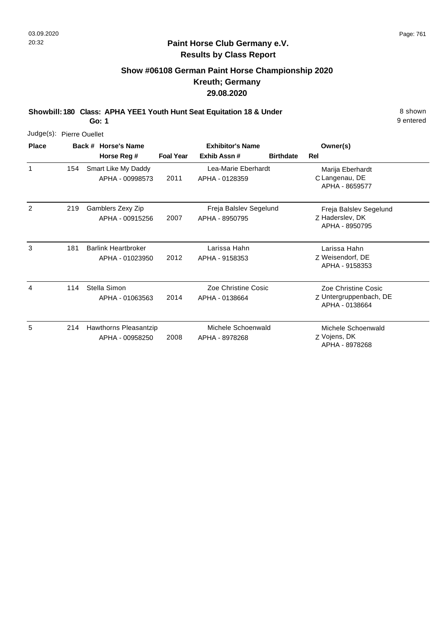9 entered

## **Paint Horse Club Germany e.V. Results by Class Report**

# **Show #06108 German Paint Horse Championship 2020 Kreuth; Germany 29.08.2020**

**Showbill: 180 Class: APHA YEE1 Youth Hunt Seat Equitation 18 & Under** 8 Shown

**Go: 1**

| Judge(s):      | <b>Pierre Ouellet</b> |                                               |                  |                                          |                  |                                                                 |
|----------------|-----------------------|-----------------------------------------------|------------------|------------------------------------------|------------------|-----------------------------------------------------------------|
| <b>Place</b>   |                       | Back # Horse's Name                           |                  | <b>Exhibitor's Name</b>                  |                  | Owner(s)                                                        |
|                |                       | Horse Reg #                                   | <b>Foal Year</b> | Exhib Assn#                              | <b>Birthdate</b> | Rel                                                             |
| 1              | 154                   | Smart Like My Daddy<br>APHA - 00998573        | 2011             | Lea-Marie Eberhardt<br>APHA - 0128359    |                  | Marija Eberhardt<br>C Langenau, DE<br>APHA - 8659577            |
| $\overline{2}$ | 219                   | Gamblers Zexy Zip<br>APHA - 00915256          | 2007             | Freja Balslev Segelund<br>APHA - 8950795 |                  | Freja Balslev Segelund<br>Z Haderslev, DK<br>APHA - 8950795     |
| 3              | 181                   | <b>Barlink Heartbroker</b><br>APHA - 01023950 | 2012             | Larissa Hahn<br>APHA - 9158353           |                  | Larissa Hahn<br>Z Weisendorf, DE<br>APHA - 9158353              |
| 4              | 114                   | Stella Simon<br>APHA - 01063563               | 2014             | Zoe Christine Cosic<br>APHA - 0138664    |                  | Zoe Christine Cosic<br>Z Untergruppenbach, DE<br>APHA - 0138664 |
| 5              | 214                   | Hawthorns Pleasantzip<br>APHA - 00958250      | 2008             | Michele Schoenwald<br>APHA - 8978268     |                  | Michele Schoenwald<br>Z Vojens, DK<br>APHA - 8978268            |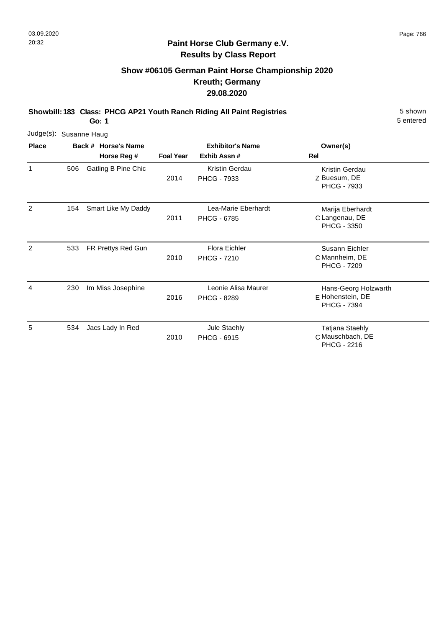# **Show #06105 German Paint Horse Championship 2020 Kreuth; Germany 29.08.2020**

**Showbill: 183 Class: PHCG AP21 Youth Ranch Riding All Paint Registries** 5 shown

**Go: 1**

| Judge(s): Susanne Haug |     |                     |                  |                                           |                                                                  |
|------------------------|-----|---------------------|------------------|-------------------------------------------|------------------------------------------------------------------|
| <b>Place</b>           |     | Back # Horse's Name |                  | <b>Exhibitor's Name</b>                   | Owner(s)                                                         |
|                        |     | Horse Reg #         | <b>Foal Year</b> | Exhib Assn#                               | Rel                                                              |
| 1                      | 506 | Gatling B Pine Chic | 2014             | Kristin Gerdau<br><b>PHCG - 7933</b>      | Kristin Gerdau<br>Z Buesum, DE<br><b>PHCG - 7933</b>             |
| 2                      | 154 | Smart Like My Daddy | 2011             | Lea-Marie Eberhardt<br><b>PHCG - 6785</b> | Marija Eberhardt<br>C Langenau, DE<br><b>PHCG - 3350</b>         |
| 2                      | 533 | FR Prettys Red Gun  | 2010             | Flora Eichler<br><b>PHCG - 7210</b>       | Susann Eichler<br>C Mannheim, DE<br><b>PHCG - 7209</b>           |
| 4                      | 230 | Im Miss Josephine   | 2016             | Leonie Alisa Maurer<br>PHCG - 8289        | Hans-Georg Holzwarth<br>E Hohenstein, DE<br><b>PHCG - 7394</b>   |
| 5                      | 534 | Jacs Lady In Red    | 2010             | Jule Staehly<br><b>PHCG - 6915</b>        | <b>Tatjana Staehly</b><br>C Mauschbach, DE<br><b>PHCG - 2216</b> |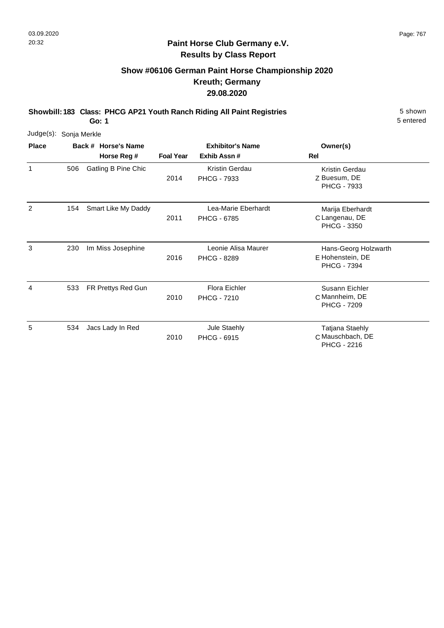# **Show #06106 German Paint Horse Championship 2020 Kreuth; Germany 29.08.2020**

**Showbill: 183 Class: PHCG AP21 Youth Ranch Riding All Paint Registries** 5 shown

**Go: 1**

| Judge(s): Sonja Merkle |     |                     |                  |                                           |                                                                |
|------------------------|-----|---------------------|------------------|-------------------------------------------|----------------------------------------------------------------|
| <b>Place</b>           |     | Back # Horse's Name |                  | <b>Exhibitor's Name</b>                   | Owner(s)                                                       |
|                        |     | Horse Reg #         | <b>Foal Year</b> | Exhib Assn#                               | Rel                                                            |
| 1                      | 506 | Gatling B Pine Chic | 2014             | Kristin Gerdau<br><b>PHCG - 7933</b>      | Kristin Gerdau<br>Z Buesum, DE<br>PHCG - 7933                  |
| 2                      | 154 | Smart Like My Daddy | 2011             | Lea-Marie Eberhardt<br><b>PHCG - 6785</b> | Marija Eberhardt<br>C Langenau, DE<br><b>PHCG - 3350</b>       |
| 3                      | 230 | Im Miss Josephine   | 2016             | Leonie Alisa Maurer<br><b>PHCG - 8289</b> | Hans-Georg Holzwarth<br>E Hohenstein, DE<br><b>PHCG - 7394</b> |
| 4                      | 533 | FR Prettys Red Gun  | 2010             | Flora Eichler<br><b>PHCG - 7210</b>       | Susann Eichler<br>C Mannheim, DE<br><b>PHCG - 7209</b>         |
| 5                      | 534 | Jacs Lady In Red    | 2010             | Jule Staehly<br><b>PHCG - 6915</b>        | Tatjana Staehly<br>C Mauschbach, DE<br>PHCG - 2216             |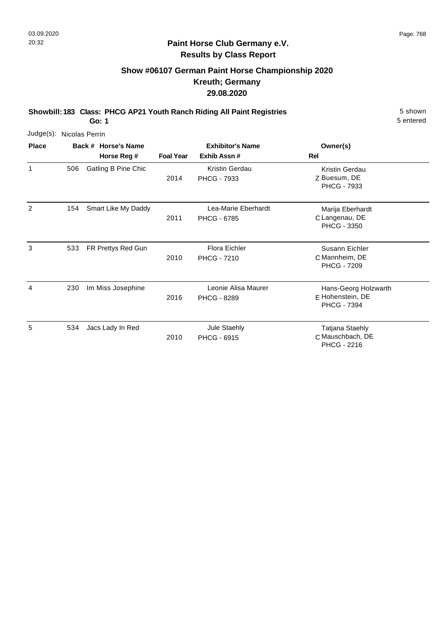# **Show #06107 German Paint Horse Championship 2020 Kreuth; Germany 29.08.2020**

**Showbill: 183 Class: PHCG AP21 Youth Ranch Riding All Paint Registries** 5 shown

**Go: 1**

| Judge(s): Nicolas Perrin |     |                     |                  |                                           |                                                                |
|--------------------------|-----|---------------------|------------------|-------------------------------------------|----------------------------------------------------------------|
| <b>Place</b>             |     | Back # Horse's Name |                  | <b>Exhibitor's Name</b>                   | Owner(s)                                                       |
|                          |     | Horse Reg #         | <b>Foal Year</b> | Exhib Assn#                               | Rel                                                            |
| 1                        | 506 | Gatling B Pine Chic | 2014             | Kristin Gerdau<br>PHCG - 7933             | Kristin Gerdau<br>Z Buesum, DE<br><b>PHCG - 7933</b>           |
| 2                        | 154 | Smart Like My Daddy | 2011             | Lea-Marie Eberhardt<br><b>PHCG - 6785</b> | Marija Eberhardt<br>C Langenau, DE<br><b>PHCG - 3350</b>       |
| 3                        | 533 | FR Prettys Red Gun  | 2010             | Flora Eichler<br><b>PHCG - 7210</b>       | Susann Eichler<br>C Mannheim, DE<br><b>PHCG - 7209</b>         |
| 4                        | 230 | Im Miss Josephine   | 2016             | Leonie Alisa Maurer<br>PHCG - 8289        | Hans-Georg Holzwarth<br>E Hohenstein, DE<br><b>PHCG - 7394</b> |
| 5                        | 534 | Jacs Lady In Red    | 2010             | Jule Staehly<br><b>PHCG - 6915</b>        | <b>Tatjana Staehly</b><br>C Mauschbach, DE<br>PHCG - 2216      |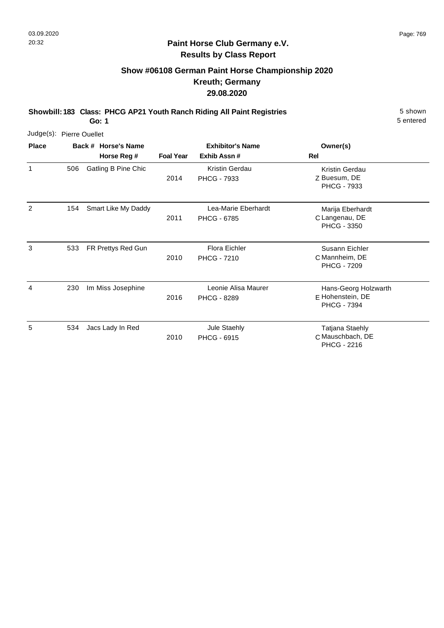# **Show #06108 German Paint Horse Championship 2020 Kreuth; Germany 29.08.2020**

**Showbill: 183 Class: PHCG AP21 Youth Ranch Riding All Paint Registries** 5 shown

**Go: 1**

| Judge(s): Pierre Ouellet |     |                     |                  |                                            |                                                                |
|--------------------------|-----|---------------------|------------------|--------------------------------------------|----------------------------------------------------------------|
| <b>Place</b>             |     | Back # Horse's Name |                  | <b>Exhibitor's Name</b>                    | Owner(s)                                                       |
|                          |     | Horse Reg #         | <b>Foal Year</b> | Exhib Assn#                                | Rel                                                            |
| 1                        | 506 | Gatling B Pine Chic | 2014             | Kristin Gerdau<br><b>PHCG - 7933</b>       | Kristin Gerdau<br>Z Buesum, DE<br><b>PHCG - 7933</b>           |
| 2                        | 154 | Smart Like My Daddy | 2011             | Lea-Marie Eberhardt<br><b>PHCG - 6785</b>  | Marija Eberhardt<br>C Langenau, DE<br><b>PHCG - 3350</b>       |
| 3                        | 533 | FR Prettys Red Gun  | 2010             | <b>Flora Eichler</b><br><b>PHCG - 7210</b> | Susann Eichler<br>C Mannheim, DE<br><b>PHCG - 7209</b>         |
| 4                        | 230 | Im Miss Josephine   | 2016             | Leonie Alisa Maurer<br><b>PHCG - 8289</b>  | Hans-Georg Holzwarth<br>E Hohenstein, DE<br><b>PHCG - 7394</b> |
| 5                        | 534 | Jacs Lady In Red    | 2010             | Jule Staehly<br><b>PHCG - 6915</b>         | <b>Tatjana Staehly</b><br>C Mauschbach, DE<br>PHCG - 2216      |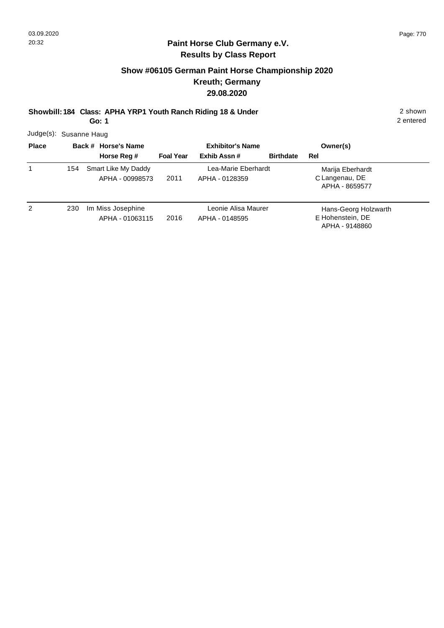# **Show #06105 German Paint Horse Championship 2020 Kreuth; Germany 29.08.2020**

**Showbill: 184 Class: APHA YRP1 Youth Ranch Riding 18 & Under** 2 shown

**Go: 1**

2 entered

Judge(s): Susanne Haug

| <b>Place</b> |     | Back # Horse's Name                    | <b>Exhibitor's Name</b> |                                       |                  | Owner(s)                                                   |
|--------------|-----|----------------------------------------|-------------------------|---------------------------------------|------------------|------------------------------------------------------------|
|              |     | Horse Reg #                            | <b>Foal Year</b>        | Exhib Assn #                          | <b>Birthdate</b> | Rel                                                        |
| 1            | 154 | Smart Like My Daddy<br>APHA - 00998573 | 2011                    | Lea-Marie Eberhardt<br>APHA - 0128359 |                  | Marija Eberhardt<br>C Langenau, DE<br>APHA - 8659577       |
| 2            | 230 | Im Miss Josephine<br>APHA - 01063115   | 2016                    | Leonie Alisa Maurer<br>APHA - 0148595 |                  | Hans-Georg Holzwarth<br>E Hohenstein, DE<br>APHA - 9148860 |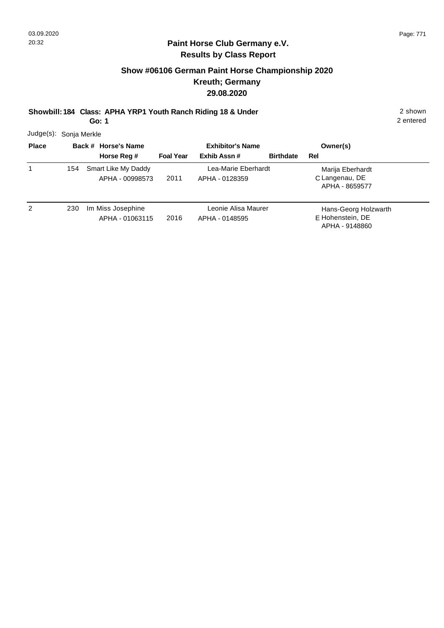# **Show #06106 German Paint Horse Championship 2020 Kreuth; Germany 29.08.2020**

**Showbill: 184 Class: APHA YRP1 Youth Ranch Riding 18 & Under** 2 shown

**Go: 1**

2 entered

Judge(s): Sonja Merkle

| <b>Place</b> |     | Back # Horse's Name                  | <b>Exhibitor's Name</b> |                                       |                  | Owner(s)                                                   |
|--------------|-----|--------------------------------------|-------------------------|---------------------------------------|------------------|------------------------------------------------------------|
|              |     | Horse Reg #                          | <b>Foal Year</b>        | Exhib Assn#                           | <b>Birthdate</b> | Rel                                                        |
| 1            | 154 | Smart Like My Daddy                  |                         | Lea-Marie Eberhardt                   |                  | Marija Eberhardt                                           |
|              |     | APHA - 00998573                      | 2011                    | APHA - 0128359                        |                  | C Langenau, DE<br>APHA - 8659577                           |
| 2            | 230 | Im Miss Josephine<br>APHA - 01063115 | 2016                    | Leonie Alisa Maurer<br>APHA - 0148595 |                  | Hans-Georg Holzwarth<br>E Hohenstein, DE<br>APHA - 9148860 |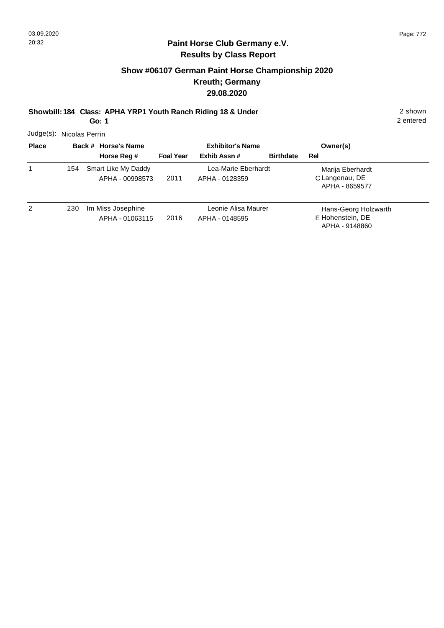# **Show #06107 German Paint Horse Championship 2020 Kreuth; Germany 29.08.2020**

**Showbill: 184 Class: APHA YRP1 Youth Ranch Riding 18 & Under** 2 shown

**Go: 1**

2 entered

Judge(s): Nicolas Perrin

| <b>Place</b> |     | Back # Horse's Name                    | <b>Exhibitor's Name</b> |                                       |                  | Owner(s)                                                   |
|--------------|-----|----------------------------------------|-------------------------|---------------------------------------|------------------|------------------------------------------------------------|
|              |     | Horse Reg #                            | <b>Foal Year</b>        | Exhib Assn#                           | <b>Birthdate</b> | Rel                                                        |
| 1            | 154 | Smart Like My Daddy<br>APHA - 00998573 | 2011                    | Lea-Marie Eberhardt<br>APHA - 0128359 |                  | Marija Eberhardt<br>C Langenau, DE<br>APHA - 8659577       |
| 2            | 230 | Im Miss Josephine<br>APHA - 01063115   | 2016                    | Leonie Alisa Maurer<br>APHA - 0148595 |                  | Hans-Georg Holzwarth<br>E Hohenstein, DE<br>APHA - 9148860 |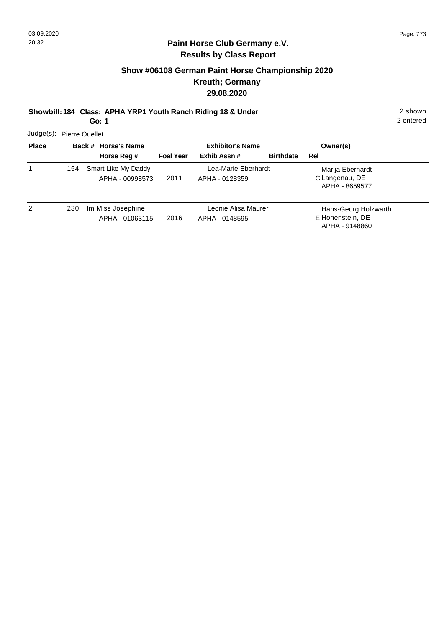# **Show #06108 German Paint Horse Championship 2020 Kreuth; Germany 29.08.2020**

**Showbill: 184 Class: APHA YRP1 Youth Ranch Riding 18 & Under** 2 shown

**Go: 1**

2 entered

Judge(s): Pierre Ouellet

| <b>Place</b> |     | Back # Horse's Name                    | <b>Exhibitor's Name</b> |                                       |                  | Owner(s)                                                   |
|--------------|-----|----------------------------------------|-------------------------|---------------------------------------|------------------|------------------------------------------------------------|
|              |     | Horse Reg #                            | <b>Foal Year</b>        | Exhib Assn #                          | <b>Birthdate</b> | Rel                                                        |
|              | 154 | Smart Like My Daddy<br>APHA - 00998573 | 2011                    | Lea-Marie Eberhardt<br>APHA - 0128359 |                  | Marija Eberhardt<br>C Langenau, DE<br>APHA - 8659577       |
| 2            | 230 | Im Miss Josephine<br>APHA - 01063115   | 2016                    | Leonie Alisa Maurer<br>APHA - 0148595 |                  | Hans-Georg Holzwarth<br>E Hohenstein, DE<br>APHA - 9148860 |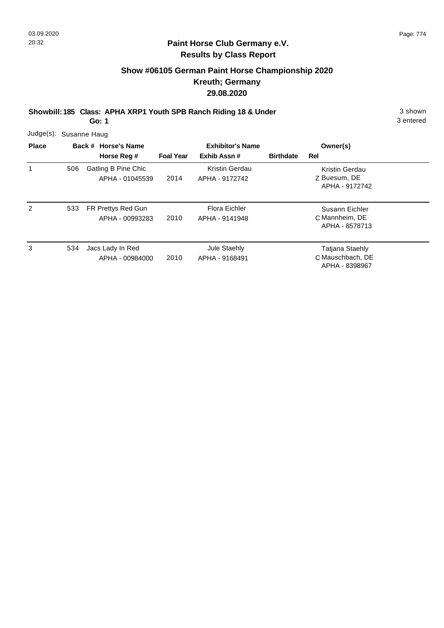# **Show #06105 German Paint Horse Championship 2020 Kreuth; Germany 29.08.2020**

**Showbill: 185 Class: APHA XRP1 Youth SPB Ranch Riding 18 & Under** 3 shown

**Go: 1**

|              | Judge(s): Susanne Haug |                                        |                  |                                  |                  |                                                       |  |  |  |  |  |
|--------------|------------------------|----------------------------------------|------------------|----------------------------------|------------------|-------------------------------------------------------|--|--|--|--|--|
| <b>Place</b> |                        | Back # Horse's Name                    |                  | <b>Exhibitor's Name</b>          |                  | Owner(s)                                              |  |  |  |  |  |
|              |                        | Horse Reg #                            | <b>Foal Year</b> | Exhib Assn#                      | <b>Birthdate</b> | Rel                                                   |  |  |  |  |  |
| $\mathbf{1}$ | 506                    | Gatling B Pine Chic<br>APHA - 01045539 | 2014             | Kristin Gerdau<br>APHA - 9172742 |                  | Kristin Gerdau<br>Z Buesum, DE<br>APHA - 9172742      |  |  |  |  |  |
| 2            | 533                    | FR Prettys Red Gun<br>APHA - 00993283  | 2010             | Flora Eichler<br>APHA - 9141948  |                  | Susann Eichler<br>C Mannheim, DE<br>APHA - 8578713    |  |  |  |  |  |
| 3            | 534                    | Jacs Lady In Red<br>APHA - 00984000    | 2010             | Jule Staehly<br>APHA - 9168491   |                  | Tatjana Staehly<br>C Mauschbach, DE<br>APHA - 8398967 |  |  |  |  |  |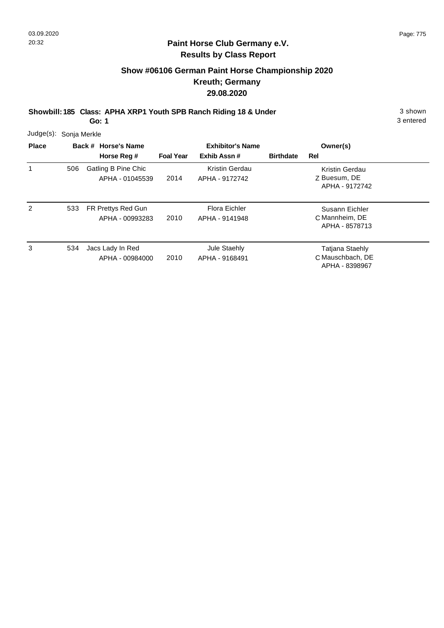# **Show #06106 German Paint Horse Championship 2020 Kreuth; Germany 29.08.2020**

**Showbill: 185 Class: APHA XRP1 Youth SPB Ranch Riding 18 & Under** 3 shown

**Go: 1**

|              | Judge(s): Sonja Merkle |  |                                        |                         |                                  |                  |                                                              |  |  |  |  |
|--------------|------------------------|--|----------------------------------------|-------------------------|----------------------------------|------------------|--------------------------------------------------------------|--|--|--|--|
| <b>Place</b> |                        |  | Back # Horse's Name                    | <b>Exhibitor's Name</b> |                                  | Owner(s)         |                                                              |  |  |  |  |
|              |                        |  | Horse Reg #                            | <b>Foal Year</b>        | Exhib Assn#                      | <b>Birthdate</b> | Rel                                                          |  |  |  |  |
| 1            | 506                    |  | Gatling B Pine Chic<br>APHA - 01045539 | 2014                    | Kristin Gerdau<br>APHA - 9172742 |                  | Kristin Gerdau<br>Z Buesum, DE<br>APHA - 9172742             |  |  |  |  |
| 2            | 533                    |  | FR Prettys Red Gun<br>APHA - 00993283  | 2010                    | Flora Eichler<br>APHA - 9141948  |                  | Susann Eichler<br>C Mannheim, DE<br>APHA - 8578713           |  |  |  |  |
| 3            | 534                    |  | Jacs Lady In Red<br>APHA - 00984000    | 2010                    | Jule Staehly<br>APHA - 9168491   |                  | <b>Tatjana Staehly</b><br>C Mauschbach, DE<br>APHA - 8398967 |  |  |  |  |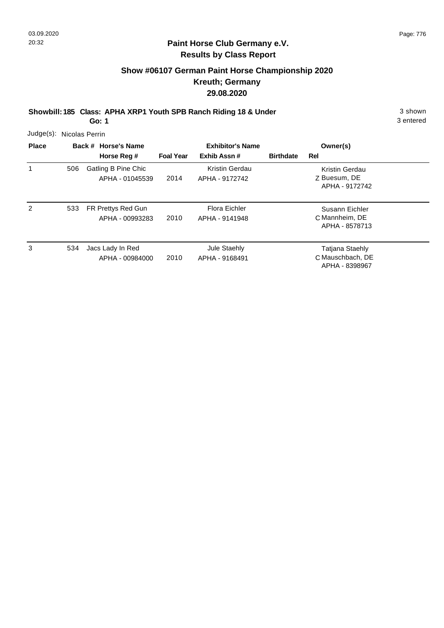# **Show #06107 German Paint Horse Championship 2020 Kreuth; Germany 29.08.2020**

**Showbill: 185 Class: APHA XRP1 Youth SPB Ranch Riding 18 & Under** 3 shown

**Go: 1**

| $Judge(s)$ :   | Nicolas Perrin |  |                                        |                                                            |                                  |                  |                                                              |  |  |  |  |
|----------------|----------------|--|----------------------------------------|------------------------------------------------------------|----------------------------------|------------------|--------------------------------------------------------------|--|--|--|--|
| <b>Place</b>   |                |  | Back # Horse's Name<br>Horse Reg #     | <b>Exhibitor's Name</b><br>Exhib Assn#<br><b>Foal Year</b> |                                  | <b>Birthdate</b> | Owner(s)<br>Rel                                              |  |  |  |  |
| 1              | 506            |  | Gatling B Pine Chic<br>APHA - 01045539 | 2014                                                       | Kristin Gerdau<br>APHA - 9172742 |                  | Kristin Gerdau<br>Z Buesum, DE<br>APHA - 9172742             |  |  |  |  |
| $\overline{2}$ | 533            |  | FR Prettys Red Gun<br>APHA - 00993283  | 2010                                                       | Flora Eichler<br>APHA - 9141948  |                  | Susann Eichler<br>C Mannheim, DE<br>APHA - 8578713           |  |  |  |  |
| 3              | 534            |  | Jacs Lady In Red<br>APHA - 00984000    | 2010                                                       | Jule Staehly<br>APHA - 9168491   |                  | <b>Tatjana Staehly</b><br>C Mauschbach, DE<br>APHA - 8398967 |  |  |  |  |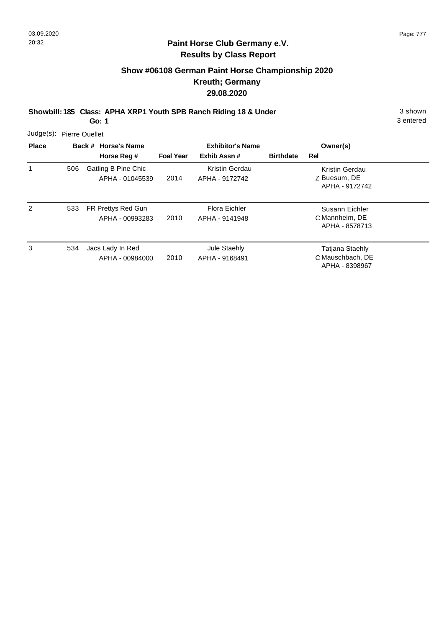# **Show #06108 German Paint Horse Championship 2020 Kreuth; Germany 29.08.2020**

**Showbill: 185 Class: APHA XRP1 Youth SPB Ranch Riding 18 & Under** 3 shown

**Go: 1**

| Judge(s): Pierre Ouellet<br><b>Place</b> |     | Back # Horse's Name                    | <b>Exhibitor's Name</b> |                                  | Owner(s)         |                                                              |  |
|------------------------------------------|-----|----------------------------------------|-------------------------|----------------------------------|------------------|--------------------------------------------------------------|--|
|                                          |     | Horse Reg #                            | <b>Foal Year</b>        | Exhib Assn#                      | <b>Birthdate</b> | <b>Rel</b>                                                   |  |
| 1                                        | 506 | Gatling B Pine Chic<br>APHA - 01045539 | 2014                    | Kristin Gerdau<br>APHA - 9172742 |                  | Kristin Gerdau<br>Z Buesum, DE<br>APHA - 9172742             |  |
| 2                                        | 533 | FR Prettys Red Gun<br>APHA - 00993283  | 2010                    | Flora Eichler<br>APHA - 9141948  |                  | Susann Eichler<br>C Mannheim, DE<br>APHA - 8578713           |  |
| 3                                        | 534 | Jacs Lady In Red<br>APHA - 00984000    | 2010                    | Jule Staehly<br>APHA - 9168491   |                  | <b>Tatjana Staehly</b><br>C Mauschbach, DE<br>APHA - 8398967 |  |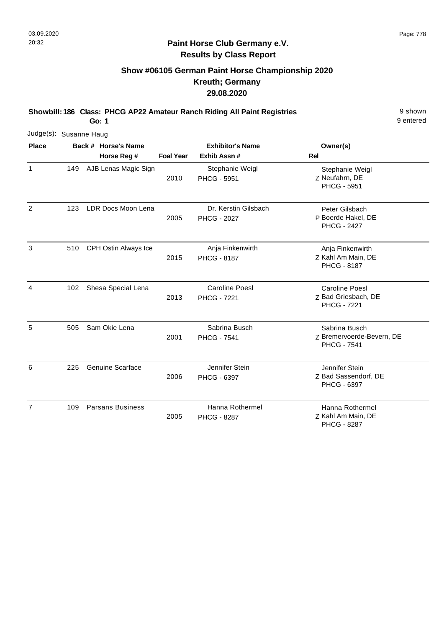# **Show #06105 German Paint Horse Championship 2020 Kreuth; Germany 29.08.2020**

**Showbill: 186 Class: PHCG AP22 Amateur Ranch Riding All Paint Registries** 9 shown

**Go: 1**

9 entered

|                |     | Judge(s): Susanne Haug |                         |                  |                                            |                                                                    |  |  |  |  |  |  |  |
|----------------|-----|------------------------|-------------------------|------------------|--------------------------------------------|--------------------------------------------------------------------|--|--|--|--|--|--|--|
| <b>Place</b>   |     |                        | Back # Horse's Name     |                  | <b>Exhibitor's Name</b>                    | Owner(s)                                                           |  |  |  |  |  |  |  |
|                |     |                        | Horse Reg #             | <b>Foal Year</b> | Exhib Assn#                                | <b>Rel</b>                                                         |  |  |  |  |  |  |  |
| $\mathbf{1}$   | 149 |                        | AJB Lenas Magic Sign    | 2010             | Stephanie Weigl<br><b>PHCG - 5951</b>      | Stephanie Weigl<br>Z Neufahrn, DE<br>PHCG - 5951                   |  |  |  |  |  |  |  |
| 2              | 123 |                        | LDR Docs Moon Lena      | 2005             | Dr. Kerstin Gilsbach<br><b>PHCG - 2027</b> | Peter Gilsbach<br>P Boerde Hakel, DE<br><b>PHCG - 2427</b>         |  |  |  |  |  |  |  |
| 3              | 510 |                        | CPH Ostin Always Ice    | 2015             | Anja Finkenwirth<br><b>PHCG - 8187</b>     | Anja Finkenwirth<br>Z Kahl Am Main, DE<br><b>PHCG - 8187</b>       |  |  |  |  |  |  |  |
| 4              | 102 |                        | Shesa Special Lena      | 2013             | Caroline Poesl<br><b>PHCG - 7221</b>       | <b>Caroline Poesl</b><br>Z Bad Griesbach, DE<br><b>PHCG - 7221</b> |  |  |  |  |  |  |  |
| 5              | 505 |                        | Sam Okie Lena           | 2001             | Sabrina Busch<br><b>PHCG - 7541</b>        | Sabrina Busch<br>Z Bremervoerde-Bevern, DE<br><b>PHCG - 7541</b>   |  |  |  |  |  |  |  |
| 6              | 225 |                        | <b>Genuine Scarface</b> | 2006             | Jennifer Stein<br>PHCG - 6397              | Jennifer Stein<br>Z Bad Sassendorf, DE<br>PHCG - 6397              |  |  |  |  |  |  |  |
| $\overline{7}$ | 109 |                        | <b>Parsans Business</b> | 2005             | Hanna Rothermel<br><b>PHCG - 8287</b>      | Hanna Rothermel<br>Z Kahl Am Main, DE                              |  |  |  |  |  |  |  |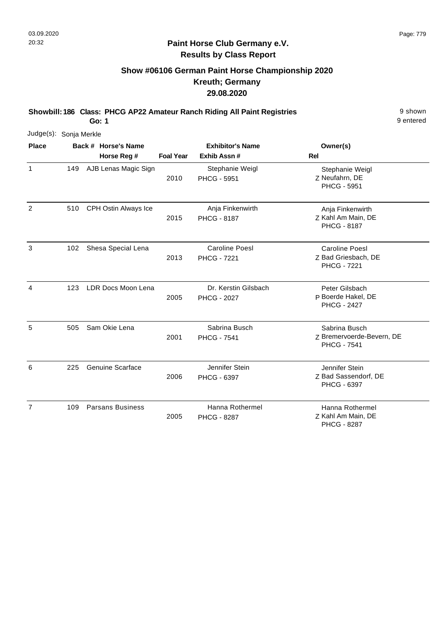# **Show #06106 German Paint Horse Championship 2020 Kreuth; Germany 29.08.2020**

**Showbill: 186 Class: PHCG AP22 Amateur Ranch Riding All Paint Registries** 9 shown

**Go: 1**

9 entered

| Judge(s): Sonja Merkle |     |                                    |                  |                                             |                                                                    |
|------------------------|-----|------------------------------------|------------------|---------------------------------------------|--------------------------------------------------------------------|
| <b>Place</b>           |     | Back # Horse's Name<br>Horse Reg # | <b>Foal Year</b> | <b>Exhibitor's Name</b><br>Exhib Assn#      | Owner(s)<br>Rel                                                    |
| $\mathbf{1}$           | 149 | AJB Lenas Magic Sign               | 2010             | Stephanie Weigl<br><b>PHCG - 5951</b>       | Stephanie Weigl<br>Z Neufahrn, DE<br>PHCG - 5951                   |
| 2                      | 510 | CPH Ostin Always Ice               | 2015             | Anja Finkenwirth<br><b>PHCG - 8187</b>      | Anja Finkenwirth<br>Z Kahl Am Main, DE<br><b>PHCG - 8187</b>       |
| 3                      | 102 | Shesa Special Lena                 | 2013             | <b>Caroline Poesl</b><br><b>PHCG - 7221</b> | <b>Caroline Poesl</b><br>Z Bad Griesbach, DE<br><b>PHCG - 7221</b> |
| 4                      | 123 | LDR Docs Moon Lena                 | 2005             | Dr. Kerstin Gilsbach<br><b>PHCG - 2027</b>  | Peter Gilsbach<br>P Boerde Hakel, DE<br><b>PHCG - 2427</b>         |
| 5                      | 505 | Sam Okie Lena                      | 2001             | Sabrina Busch<br><b>PHCG - 7541</b>         | Sabrina Busch<br>Z Bremervoerde-Bevern, DE<br><b>PHCG - 7541</b>   |
| 6                      | 225 | <b>Genuine Scarface</b>            | 2006             | Jennifer Stein<br>PHCG - 6397               | Jennifer Stein<br>Z Bad Sassendorf, DE<br><b>PHCG - 6397</b>       |
| $\overline{7}$         | 109 | <b>Parsans Business</b>            | 2005             | Hanna Rothermel<br><b>PHCG - 8287</b>       | Hanna Rothermel<br>Z Kahl Am Main, DE                              |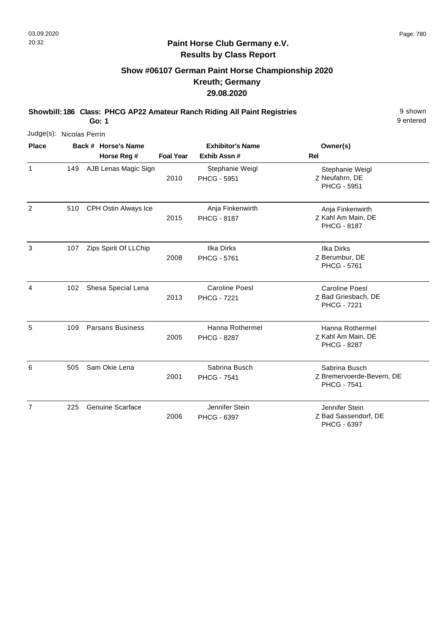# **Show #06107 German Paint Horse Championship 2020 Kreuth; Germany 29.08.2020**

**Showbill: 186 Class: PHCG AP22 Amateur Ranch Riding All Paint Registries** 9 shown

**Go: 1**

9 entered

| Judge(s): Nicolas Perrin |     |                                    |                  |                                         |                                                                    |
|--------------------------|-----|------------------------------------|------------------|-----------------------------------------|--------------------------------------------------------------------|
| <b>Place</b>             |     | Back # Horse's Name<br>Horse Reg # | <b>Foal Year</b> | <b>Exhibitor's Name</b><br>Exhib Assn # | Owner(s)<br><b>Rel</b>                                             |
| 1                        | 149 | AJB Lenas Magic Sign               | 2010             | Stephanie Weigl<br><b>PHCG - 5951</b>   | Stephanie Weigl<br>Z Neufahrn, DE<br><b>PHCG - 5951</b>            |
| $\overline{2}$           | 510 | CPH Ostin Always Ice               | 2015             | Anja Finkenwirth<br><b>PHCG - 8187</b>  | Anja Finkenwirth<br>Z Kahl Am Main, DE<br><b>PHCG - 8187</b>       |
| 3                        | 107 | Zips Spirit Of LLChip              | 2008             | <b>Ilka Dirks</b><br><b>PHCG - 5761</b> | <b>Ilka Dirks</b><br>Z Berumbur, DE<br>PHCG - 5761                 |
| 4                        | 102 | Shesa Special Lena                 | 2013             | Caroline Poesl<br><b>PHCG - 7221</b>    | <b>Caroline Poesl</b><br>Z Bad Griesbach, DE<br><b>PHCG - 7221</b> |
| 5                        | 109 | <b>Parsans Business</b>            | 2005             | Hanna Rothermel<br><b>PHCG - 8287</b>   | Hanna Rothermel<br>Z Kahl Am Main, DE<br><b>PHCG - 8287</b>        |
| 6                        | 505 | Sam Okie Lena                      | 2001             | Sabrina Busch<br><b>PHCG - 7541</b>     | Sabrina Busch<br>Z Bremervoerde-Bevern, DE<br><b>PHCG - 7541</b>   |
| $\overline{7}$           | 225 | <b>Genuine Scarface</b>            | 2006             | Jennifer Stein<br>PHCG - 6397           | Jennifer Stein<br>Z Bad Sassendorf, DE                             |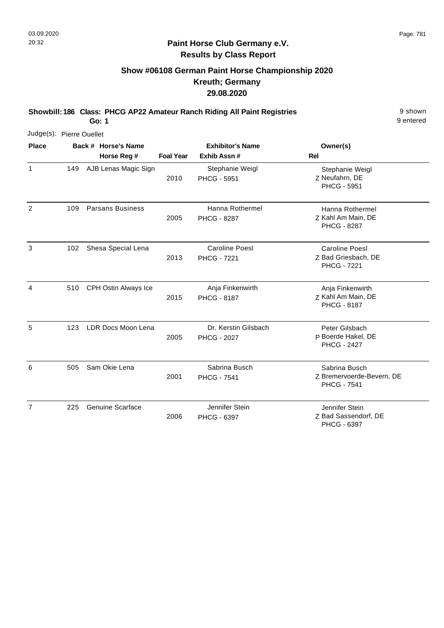# **Show #06108 German Paint Horse Championship 2020 Kreuth; Germany 29.08.2020**

**Showbill: 186 Class: PHCG AP22 Amateur Ranch Riding All Paint Registries** 9 shown

**Go: 1**

9 entered

|                | Judge(s): Pierre Ouellet |                                    |                  |                                            |                                                                    |  |  |  |  |  |  |
|----------------|--------------------------|------------------------------------|------------------|--------------------------------------------|--------------------------------------------------------------------|--|--|--|--|--|--|
| <b>Place</b>   |                          | Back # Horse's Name<br>Horse Reg # | <b>Foal Year</b> | <b>Exhibitor's Name</b><br>Exhib Assn#     | Owner(s)<br><b>Rel</b>                                             |  |  |  |  |  |  |
| 1              | 149                      | AJB Lenas Magic Sign               | 2010             | Stephanie Weigl<br><b>PHCG - 5951</b>      | Stephanie Weigl<br>Z Neufahrn, DE<br><b>PHCG - 5951</b>            |  |  |  |  |  |  |
| $\overline{2}$ | 109                      | <b>Parsans Business</b>            | 2005             | Hanna Rothermel<br><b>PHCG - 8287</b>      | Hanna Rothermel<br>Z Kahl Am Main, DE<br><b>PHCG - 8287</b>        |  |  |  |  |  |  |
| 3              | 102                      | Shesa Special Lena                 | 2013             | Caroline Poesl<br><b>PHCG - 7221</b>       | <b>Caroline Poesl</b><br>Z Bad Griesbach, DE<br><b>PHCG - 7221</b> |  |  |  |  |  |  |
| 4              | 510                      | CPH Ostin Always Ice               | 2015             | Anja Finkenwirth<br><b>PHCG - 8187</b>     | Anja Finkenwirth<br>Z Kahl Am Main, DE<br><b>PHCG - 8187</b>       |  |  |  |  |  |  |
| 5              | 123                      | LDR Docs Moon Lena                 | 2005             | Dr. Kerstin Gilsbach<br><b>PHCG - 2027</b> | Peter Gilsbach<br>P Boerde Hakel, DE<br><b>PHCG - 2427</b>         |  |  |  |  |  |  |
| 6              | 505                      | Sam Okie Lena                      | 2001             | Sabrina Busch<br><b>PHCG - 7541</b>        | Sabrina Busch<br>Z Bremervoerde-Bevern, DE<br><b>PHCG - 7541</b>   |  |  |  |  |  |  |
| $\overline{7}$ | 225                      | <b>Genuine Scarface</b>            | 2006             | Jennifer Stein<br>PHCG - 6397              | Jennifer Stein<br>Z Bad Sassendorf, DE                             |  |  |  |  |  |  |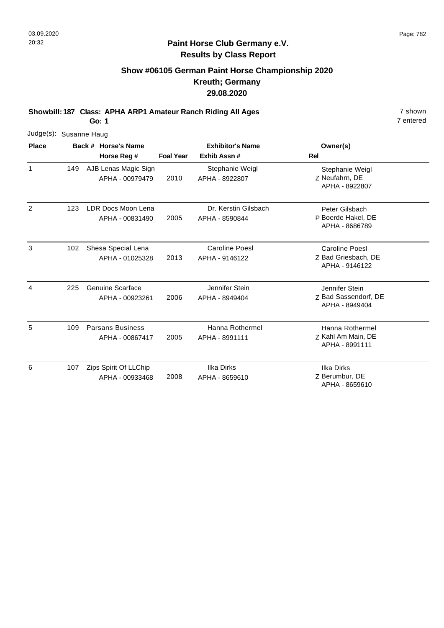# **Show #06105 German Paint Horse Championship 2020 Kreuth; Germany 29.08.2020**

**Showbill: 187 Class: APHA ARP1 Amateur Ranch Riding All Ages** 7 shown

**Go: 1**

| Judge(s): Susanne Haug |     |                                            |                  |                                        |                                                          |
|------------------------|-----|--------------------------------------------|------------------|----------------------------------------|----------------------------------------------------------|
| <b>Place</b>           |     | Back # Horse's Name                        |                  | <b>Exhibitor's Name</b>                | Owner(s)                                                 |
|                        |     | Horse Reg #                                | <b>Foal Year</b> | Exhib Assn#                            | <b>Rel</b>                                               |
| $\mathbf{1}$           | 149 | AJB Lenas Magic Sign<br>APHA - 00979479    | 2010             | Stephanie Weigl<br>APHA - 8922807      | Stephanie Weigl<br>Z Neufahrn, DE<br>APHA - 8922807      |
| 2                      | 123 | LDR Docs Moon Lena<br>APHA - 00831490      | 2005             | Dr. Kerstin Gilsbach<br>APHA - 8590844 | Peter Gilsbach<br>P Boerde Hakel, DE<br>APHA - 8686789   |
| 3                      | 102 | Shesa Special Lena<br>APHA - 01025328      | 2013             | Caroline Poesl<br>APHA - 9146122       | Caroline Poesl<br>Z Bad Griesbach, DE<br>APHA - 9146122  |
| 4                      | 225 | Genuine Scarface<br>APHA - 00923261        | 2006             | Jennifer Stein<br>APHA - 8949404       | Jennifer Stein<br>Z Bad Sassendorf, DE<br>APHA - 8949404 |
| 5                      | 109 | <b>Parsans Business</b><br>APHA - 00867417 | 2005             | Hanna Rothermel<br>APHA - 8991111      | Hanna Rothermel<br>Z Kahl Am Main, DE<br>APHA - 8991111  |
| 6                      | 107 | Zips Spirit Of LLChip<br>APHA - 00933468   | 2008             | Ilka Dirks<br>APHA - 8659610           | <b>Ilka Dirks</b><br>Z Berumbur, DE<br>APHA - 8659610    |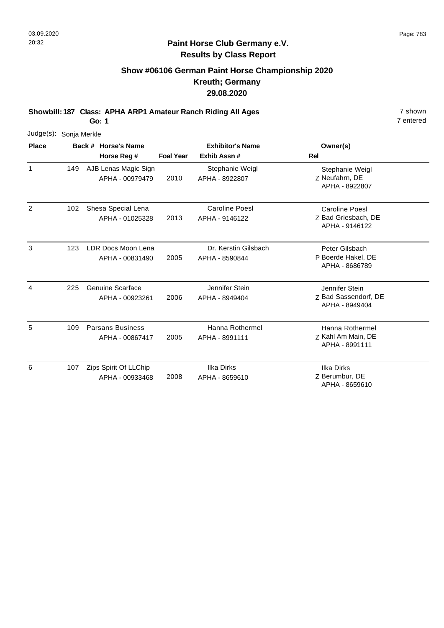7 entered

## **Paint Horse Club Germany e.V. Results by Class Report**

# **Show #06106 German Paint Horse Championship 2020 Kreuth; Germany 29.08.2020**

**Showbill: 187 Class: APHA ARP1 Amateur Ranch Riding All Ages** 7 shown

**Go: 1**

|                | Judge(s): Sonja Merkle |  |                                            |                  |                                        |                                                                |  |  |  |  |  |
|----------------|------------------------|--|--------------------------------------------|------------------|----------------------------------------|----------------------------------------------------------------|--|--|--|--|--|
| <b>Place</b>   |                        |  | Back # Horse's Name                        |                  | <b>Exhibitor's Name</b>                | Owner(s)                                                       |  |  |  |  |  |
|                |                        |  | Horse Reg #                                | <b>Foal Year</b> | Exhib Assn#                            | Rel                                                            |  |  |  |  |  |
| $\mathbf{1}$   | 149                    |  | AJB Lenas Magic Sign<br>APHA - 00979479    | 2010             | Stephanie Weigl<br>APHA - 8922807      | Stephanie Weigl<br>Z Neufahrn, DE<br>APHA - 8922807            |  |  |  |  |  |
| $\overline{2}$ | 102                    |  | Shesa Special Lena<br>APHA - 01025328      | 2013             | Caroline Poesl<br>APHA - 9146122       | <b>Caroline Poesl</b><br>Z Bad Griesbach, DE<br>APHA - 9146122 |  |  |  |  |  |
| 3              | 123                    |  | LDR Docs Moon Lena<br>APHA - 00831490      | 2005             | Dr. Kerstin Gilsbach<br>APHA - 8590844 | Peter Gilsbach<br>P Boerde Hakel, DE<br>APHA - 8686789         |  |  |  |  |  |
| 4              | 225                    |  | <b>Genuine Scarface</b><br>APHA - 00923261 | 2006             | Jennifer Stein<br>APHA - 8949404       | Jennifer Stein<br>Z Bad Sassendorf, DE<br>APHA - 8949404       |  |  |  |  |  |
| 5              | 109                    |  | <b>Parsans Business</b><br>APHA - 00867417 | 2005             | Hanna Rothermel<br>APHA - 8991111      | Hanna Rothermel<br>Z Kahl Am Main, DE<br>APHA - 8991111        |  |  |  |  |  |
| 6              | 107                    |  | Zips Spirit Of LLChip<br>APHA - 00933468   | 2008             | <b>Ilka Dirks</b><br>APHA - 8659610    | <b>Ilka Dirks</b><br>Z Berumbur, DE<br>APHA - 8659610          |  |  |  |  |  |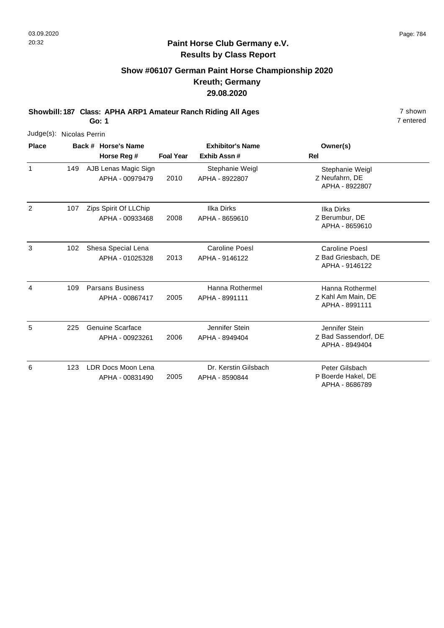# **Show #06107 German Paint Horse Championship 2020 Kreuth; Germany 29.08.2020**

**Showbill: 187 Class: APHA ARP1 Amateur Ranch Riding All Ages** 7 shown

**Go: 1**

| Judge(s):    |     | Nicolas Perrin                             |                  |                                         |                                                          |
|--------------|-----|--------------------------------------------|------------------|-----------------------------------------|----------------------------------------------------------|
| <b>Place</b> |     | Back # Horse's Name                        |                  | <b>Exhibitor's Name</b>                 | Owner(s)                                                 |
|              |     | Horse Reg #                                | <b>Foal Year</b> | Exhib Assn#                             | <b>Rel</b>                                               |
| $\mathbf{1}$ | 149 | AJB Lenas Magic Sign<br>APHA - 00979479    | 2010             | Stephanie Weigl<br>APHA - 8922807       | Stephanie Weigl<br>Z Neufahrn, DE<br>APHA - 8922807      |
| 2            | 107 | Zips Spirit Of LLChip<br>APHA - 00933468   | 2008             | <b>Ilka Dirks</b><br>APHA - 8659610     | <b>Ilka Dirks</b><br>Z Berumbur, DE<br>APHA - 8659610    |
| 3            | 102 | Shesa Special Lena<br>APHA - 01025328      | 2013             | <b>Caroline Poesl</b><br>APHA - 9146122 | Caroline Poesl<br>Z Bad Griesbach, DE<br>APHA - 9146122  |
| 4            | 109 | <b>Parsans Business</b><br>APHA - 00867417 | 2005             | Hanna Rothermel<br>APHA - 8991111       | Hanna Rothermel<br>Z Kahl Am Main, DE<br>APHA - 8991111  |
| 5            | 225 | <b>Genuine Scarface</b><br>APHA - 00923261 | 2006             | Jennifer Stein<br>APHA - 8949404        | Jennifer Stein<br>Z Bad Sassendorf, DE<br>APHA - 8949404 |
| 6            | 123 | LDR Docs Moon Lena<br>APHA - 00831490      | 2005             | Dr. Kerstin Gilsbach<br>APHA - 8590844  | Peter Gilsbach<br>P Boerde Hakel, DE<br>APHA - 8686789   |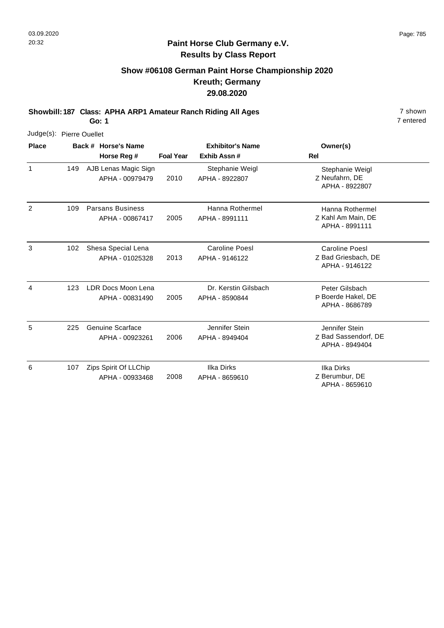7 entered

## **Paint Horse Club Germany e.V. Results by Class Report**

# **Show #06108 German Paint Horse Championship 2020 Kreuth; Germany 29.08.2020**

**Showbill: 187 Class: APHA ARP1 Amateur Ranch Riding All Ages** 7 shown

**Go: 1**

|                | Judge(s): Pierre Ouellet |  |                                            |                  |                                        |                                                                |  |  |  |  |  |
|----------------|--------------------------|--|--------------------------------------------|------------------|----------------------------------------|----------------------------------------------------------------|--|--|--|--|--|
| <b>Place</b>   |                          |  | Back # Horse's Name                        |                  | <b>Exhibitor's Name</b>                | Owner(s)                                                       |  |  |  |  |  |
|                |                          |  | Horse Reg #                                | <b>Foal Year</b> | Exhib Assn#                            | Rel                                                            |  |  |  |  |  |
| 1              | 149                      |  | AJB Lenas Magic Sign<br>APHA - 00979479    | 2010             | Stephanie Weigl<br>APHA - 8922807      | Stephanie Weigl<br>Z Neufahrn, DE<br>APHA - 8922807            |  |  |  |  |  |
| $\overline{2}$ | 109                      |  | <b>Parsans Business</b><br>APHA - 00867417 | 2005             | Hanna Rothermel<br>APHA - 8991111      | Hanna Rothermel<br>Z Kahl Am Main, DE<br>APHA - 8991111        |  |  |  |  |  |
| 3              | 102                      |  | Shesa Special Lena<br>APHA - 01025328      | 2013             | Caroline Poesl<br>APHA - 9146122       | <b>Caroline Poesl</b><br>Z Bad Griesbach, DE<br>APHA - 9146122 |  |  |  |  |  |
| 4              | 123                      |  | LDR Docs Moon Lena<br>APHA - 00831490      | 2005             | Dr. Kerstin Gilsbach<br>APHA - 8590844 | Peter Gilsbach<br>P Boerde Hakel, DE<br>APHA - 8686789         |  |  |  |  |  |
| 5              | 225                      |  | <b>Genuine Scarface</b><br>APHA - 00923261 | 2006             | Jennifer Stein<br>APHA - 8949404       | Jennifer Stein<br>Z Bad Sassendorf, DE<br>APHA - 8949404       |  |  |  |  |  |
| 6              | 107                      |  | Zips Spirit Of LLChip<br>APHA - 00933468   | 2008             | Ilka Dirks<br>APHA - 8659610           | <b>Ilka Dirks</b><br>Z Berumbur, DE<br>APHA - 8659610          |  |  |  |  |  |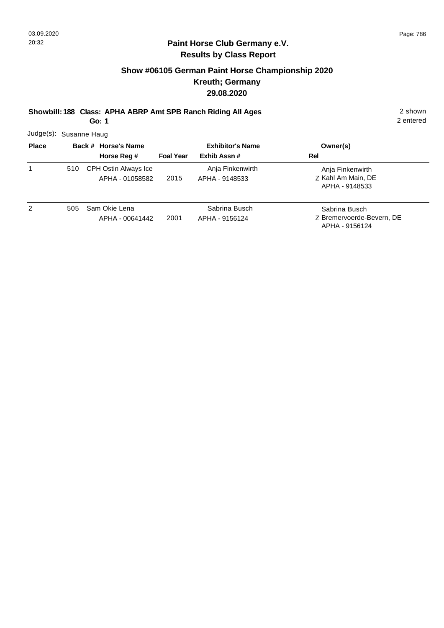# **Show #06105 German Paint Horse Championship 2020 Kreuth; Germany 29.08.2020**

**Showbill: 188 Class: APHA ABRP Amt SPB Ranch Riding All Ages** 2 shown

**Go: 1**

2 entered

Judge(s): Susanne Haug

| <b>Place</b> |     | Back # Horse's Name<br>Horse Reg #      | <b>Foal Year</b> | <b>Exhibitor's Name</b><br>Exhib Assn # | Owner(s)<br>Rel                                              |
|--------------|-----|-----------------------------------------|------------------|-----------------------------------------|--------------------------------------------------------------|
| 1            | 510 | CPH Ostin Always Ice<br>APHA - 01058582 | 2015             | Anja Finkenwirth<br>APHA - 9148533      | Anja Finkenwirth<br>Z Kahl Am Main, DE<br>APHA - 9148533     |
| 2            | 505 | Sam Okie Lena<br>APHA - 00641442        | 2001             | Sabrina Busch<br>APHA - 9156124         | Sabrina Busch<br>Z Bremervoerde-Bevern, DE<br>APHA - 9156124 |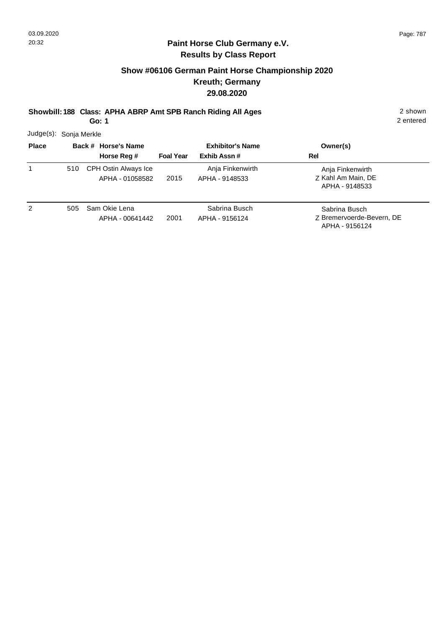# **Show #06106 German Paint Horse Championship 2020 Kreuth; Germany 29.08.2020**

**Showbill: 188 Class: APHA ABRP Amt SPB Ranch Riding All Ages** 2 shown

**Go: 1**

|  | Judge(s): Sonja Merkle |
|--|------------------------|
|--|------------------------|

| <b>Place</b> |     | Back # Horse's Name                     |                  | <b>Exhibitor's Name</b>            | Owner(s)                                                     |
|--------------|-----|-----------------------------------------|------------------|------------------------------------|--------------------------------------------------------------|
|              |     | Horse Reg #                             | <b>Foal Year</b> | Exhib Assn#                        | Rel                                                          |
|              | 510 | CPH Ostin Always Ice<br>APHA - 01058582 | 2015             | Anja Finkenwirth<br>APHA - 9148533 | Anja Finkenwirth<br>Z Kahl Am Main, DE<br>APHA - 9148533     |
| 2            | 505 | Sam Okie Lena<br>APHA - 00641442        | 2001             | Sabrina Busch<br>APHA - 9156124    | Sabrina Busch<br>Z Bremervoerde-Bevern, DE<br>APHA - 9156124 |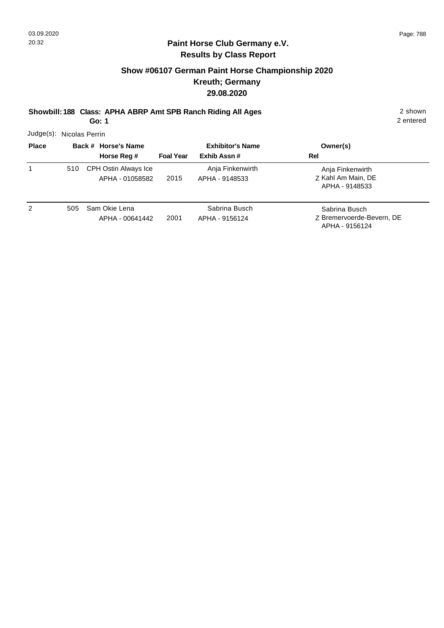# **Show #06107 German Paint Horse Championship 2020 Kreuth; Germany 29.08.2020**

**Showbill: 188 Class: APHA ABRP Amt SPB Ranch Riding All Ages** 2 shown

**Go: 1**

2 entered

Judge(s): Nicolas Perrin

| <b>Place</b> |     | Back # Horse's Name<br>Horse Reg #      | <b>Foal Year</b> | <b>Exhibitor's Name</b><br>Exhib Assn# | Owner(s)<br>Rel                                              |
|--------------|-----|-----------------------------------------|------------------|----------------------------------------|--------------------------------------------------------------|
| 1            | 510 | CPH Ostin Always Ice<br>APHA - 01058582 | 2015             | Anja Finkenwirth<br>APHA - 9148533     | Anja Finkenwirth<br>Z Kahl Am Main, DE<br>APHA - 9148533     |
| 2            | 505 | Sam Okie Lena<br>APHA - 00641442        | 2001             | Sabrina Busch<br>APHA - 9156124        | Sabrina Busch<br>Z Bremervoerde-Bevern, DE<br>APHA - 9156124 |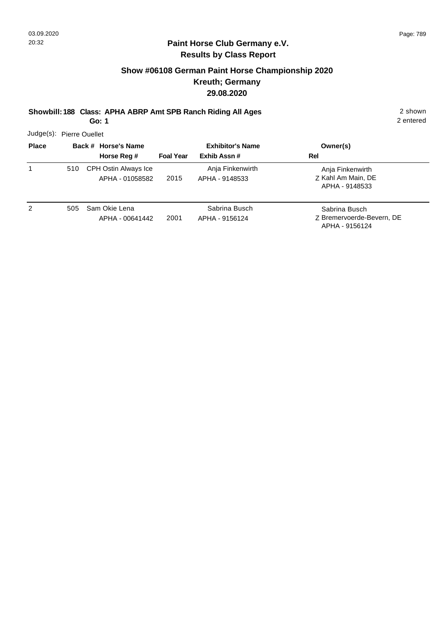# **Show #06108 German Paint Horse Championship 2020 Kreuth; Germany 29.08.2020**

**Showbill: 188 Class: APHA ABRP Amt SPB Ranch Riding All Ages** 2 shown

**Go: 1**

2 entered

Judge(s): Pierre Ouellet

| <b>Place</b> |     | Back # Horse's Name<br>Horse Reg #      | <b>Foal Year</b> | <b>Exhibitor's Name</b><br>Exhib Assn# | Owner(s)<br>Rel                                              |
|--------------|-----|-----------------------------------------|------------------|----------------------------------------|--------------------------------------------------------------|
| $\mathbf{1}$ | 510 | CPH Ostin Always Ice<br>APHA - 01058582 | 2015             | Anja Finkenwirth<br>APHA - 9148533     | Anja Finkenwirth<br>Z Kahl Am Main, DE<br>APHA - 9148533     |
| 2            | 505 | Sam Okie Lena<br>APHA - 00641442        | 2001             | Sabrina Busch<br>APHA - 9156124        | Sabrina Busch<br>Z Bremervoerde-Bevern, DE<br>APHA - 9156124 |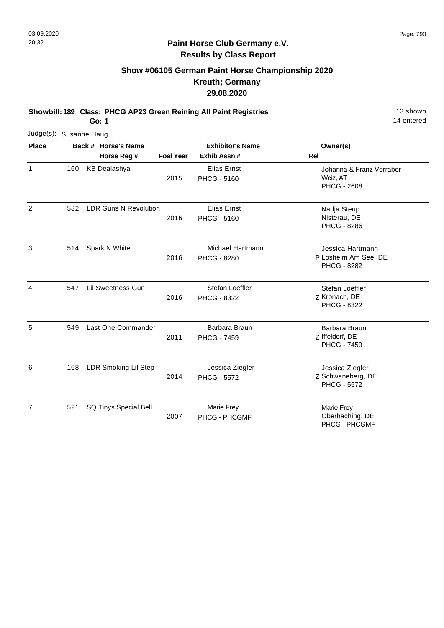# **Show #06105 German Paint Horse Championship 2020 Kreuth; Germany 29.08.2020**

**Showbill: 189 Class: PHCG AP23 Green Reining All Paint Registries** 13 Shown

**Go: 1**

| Judge(s): Susanne Haug |     |                              |                  |                                          |                                                                |
|------------------------|-----|------------------------------|------------------|------------------------------------------|----------------------------------------------------------------|
| <b>Place</b>           |     | Back # Horse's Name          |                  | <b>Exhibitor's Name</b>                  | Owner(s)                                                       |
|                        |     | Horse Reg #                  | <b>Foal Year</b> | Exhib Assn#                              | Rel                                                            |
| $\mathbf{1}$           | 160 | <b>KB Dealashya</b>          | 2015             | <b>Elias Ernst</b><br><b>PHCG - 5160</b> | Johanna & Franz Vorraber<br>Weiz, AT<br><b>PHCG - 2608</b>     |
| $\overline{2}$         | 532 | <b>LDR Guns N Revolution</b> | 2016             | Elias Ernst<br><b>PHCG - 5160</b>        | Nadja Steup<br>Nisterau, DE<br><b>PHCG - 8286</b>              |
| 3                      | 514 | Spark N White                | 2016             | Michael Hartmann<br><b>PHCG - 8280</b>   | Jessica Hartmann<br>P Losheim Am See, DE<br><b>PHCG - 8282</b> |
| 4                      | 547 | Lil Sweetness Gun            | 2016             | Stefan Loeffler<br>PHCG - 8322           | Stefan Loeffler<br>Z Kronach, DE<br>PHCG - 8322                |
| 5                      | 549 | Last One Commander           | 2011             | Barbara Braun<br><b>PHCG - 7459</b>      | Barbara Braun<br>Z Iffeldorf, DE<br>PHCG - 7459                |
| 6                      | 168 | <b>LDR Smoking Lil Step</b>  | 2014             | Jessica Ziegler<br><b>PHCG - 5572</b>    | Jessica Ziegler<br>Z Schwaneberg, DE<br><b>PHCG - 5572</b>     |
| $\overline{7}$         | 521 | SQ Tinys Special Bell        | 2007             | Marie Frey<br>PHCG - PHCGMF              | Marie Frey<br>Oberhaching, DE<br>PHCG - PHCGMF                 |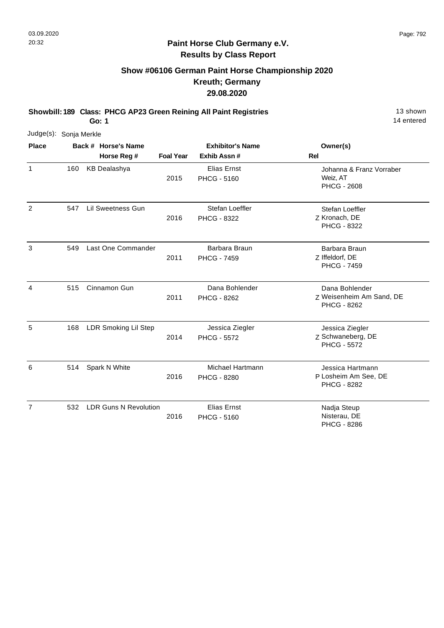# **Show #06106 German Paint Horse Championship 2020 Kreuth; Germany 29.08.2020**

**Showbill: 189 Class: PHCG AP23 Green Reining All Paint Registries** 13 Shown

**Go: 1**

|                | Judge(s): Sonja Merkle |  |                              |                  |                                          |                                                                |
|----------------|------------------------|--|------------------------------|------------------|------------------------------------------|----------------------------------------------------------------|
| <b>Place</b>   |                        |  | Back # Horse's Name          |                  | <b>Exhibitor's Name</b>                  | Owner(s)                                                       |
|                |                        |  | Horse Reg #                  | <b>Foal Year</b> | Exhib Assn#                              | Rel                                                            |
| 1              | 160                    |  | <b>KB Dealashya</b>          | 2015             | <b>Elias Ernst</b><br><b>PHCG - 5160</b> | Johanna & Franz Vorraber<br>Weiz, AT<br><b>PHCG - 2608</b>     |
| 2              | 547                    |  | <b>Lil Sweetness Gun</b>     | 2016             | Stefan Loeffler<br>PHCG - 8322           | Stefan Loeffler<br>Z Kronach, DE<br><b>PHCG - 8322</b>         |
| 3              | 549                    |  | Last One Commander           | 2011             | Barbara Braun<br><b>PHCG - 7459</b>      | Barbara Braun<br>Z Iffeldorf, DE<br><b>PHCG - 7459</b>         |
| 4              | 515                    |  | Cinnamon Gun                 | 2011             | Dana Bohlender<br><b>PHCG - 8262</b>     | Dana Bohlender<br>Z Weisenheim Am Sand, DE<br>PHCG - 8262      |
| 5              | 168                    |  | <b>LDR Smoking Lil Step</b>  | 2014             | Jessica Ziegler<br><b>PHCG - 5572</b>    | Jessica Ziegler<br>Z Schwaneberg, DE<br><b>PHCG - 5572</b>     |
| 6              | 514                    |  | Spark N White                | 2016             | Michael Hartmann<br><b>PHCG - 8280</b>   | Jessica Hartmann<br>P Losheim Am See, DE<br><b>PHCG - 8282</b> |
| $\overline{7}$ | 532                    |  | <b>LDR Guns N Revolution</b> | 2016             | <b>Elias Ernst</b><br><b>PHCG - 5160</b> | Nadja Steup<br>Nisterau, DE<br>PHCG - 8286                     |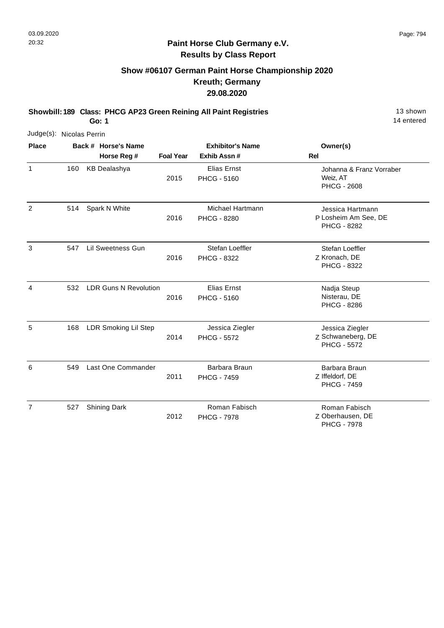# **Show #06107 German Paint Horse Championship 2020 Kreuth; Germany 29.08.2020**

**Showbill: 189 Class: PHCG AP23 Green Reining All Paint Registries** 13 Shown

**Go: 1**

14 entered

| Judge(s): Nicolas Perrin |     |                              |                  |                                          |                                                            |
|--------------------------|-----|------------------------------|------------------|------------------------------------------|------------------------------------------------------------|
| <b>Place</b>             |     | Back # Horse's Name          |                  | <b>Exhibitor's Name</b>                  | Owner(s)                                                   |
|                          |     | Horse Reg #                  | <b>Foal Year</b> | Exhib Assn#                              | <b>Rel</b>                                                 |
| $\mathbf{1}$             | 160 | <b>KB Dealashya</b>          | 2015             | <b>Elias Ernst</b><br><b>PHCG - 5160</b> | Johanna & Franz Vorraber<br>Weiz, AT<br><b>PHCG - 2608</b> |
| 2                        | 514 | Spark N White                | 2016             | Michael Hartmann<br><b>PHCG - 8280</b>   | Jessica Hartmann<br>P Losheim Am See, DE<br>PHCG - 8282    |
| 3                        | 547 | Lil Sweetness Gun            | 2016             | Stefan Loeffler<br>PHCG - 8322           | Stefan Loeffler<br>Z Kronach, DE<br><b>PHCG - 8322</b>     |
| 4                        | 532 | <b>LDR Guns N Revolution</b> | 2016             | Elias Ernst<br><b>PHCG - 5160</b>        | Nadja Steup<br>Nisterau, DE<br><b>PHCG - 8286</b>          |
| 5                        | 168 | LDR Smoking Lil Step         | 2014             | Jessica Ziegler<br><b>PHCG - 5572</b>    | Jessica Ziegler<br>Z Schwaneberg, DE<br><b>PHCG - 5572</b> |
| 6                        | 549 | Last One Commander           | 2011             | Barbara Braun<br><b>PHCG - 7459</b>      | Barbara Braun<br>Z Iffeldorf, DE<br><b>PHCG - 7459</b>     |
| $\overline{7}$           | 527 | <b>Shining Dark</b>          | 2012             | Roman Fabisch<br><b>PHCG - 7978</b>      | Roman Fabisch<br>Z Oberhausen, DE                          |

Z Oberhausen, DE PHCG - 7978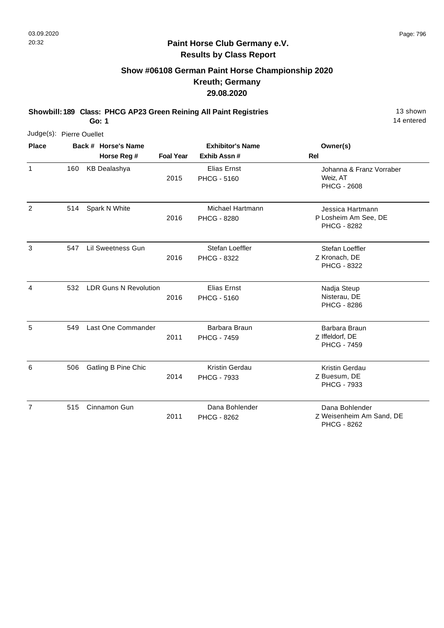# **Show #06108 German Paint Horse Championship 2020 Kreuth; Germany 29.08.2020**

**Showbill: 189 Class: PHCG AP23 Green Reining All Paint Registries** 13 Shown

**Go: 1**

14 entered

| Judge(s): Pierre Ouellet |     |                     |                              |                         |                                        |                                                                |
|--------------------------|-----|---------------------|------------------------------|-------------------------|----------------------------------------|----------------------------------------------------------------|
| <b>Place</b>             |     | Back # Horse's Name |                              | <b>Exhibitor's Name</b> |                                        | Owner(s)                                                       |
|                          |     |                     | Horse Reg #                  | <b>Foal Year</b>        | Exhib Assn #                           | <b>Rel</b>                                                     |
| $\mathbf{1}$             | 160 |                     | <b>KB Dealashya</b>          | 2015                    | Elias Ernst<br><b>PHCG - 5160</b>      | Johanna & Franz Vorraber<br>Weiz, AT<br><b>PHCG - 2608</b>     |
| $\overline{2}$           | 514 |                     | Spark N White                | 2016                    | Michael Hartmann<br><b>PHCG - 8280</b> | Jessica Hartmann<br>P Losheim Am See, DE<br><b>PHCG - 8282</b> |
| 3                        | 547 |                     | Lil Sweetness Gun            | 2016                    | Stefan Loeffler<br>PHCG - 8322         | Stefan Loeffler<br>Z Kronach, DE<br>PHCG - 8322                |
| 4                        | 532 |                     | <b>LDR Guns N Revolution</b> | 2016                    | Elias Ernst<br><b>PHCG - 5160</b>      | Nadja Steup<br>Nisterau, DE<br><b>PHCG - 8286</b>              |
| 5                        | 549 |                     | Last One Commander           | 2011                    | Barbara Braun<br><b>PHCG - 7459</b>    | Barbara Braun<br>Z Iffeldorf, DE<br><b>PHCG - 7459</b>         |
| 6                        | 506 |                     | <b>Gatling B Pine Chic</b>   | 2014                    | <b>Kristin Gerdau</b><br>PHCG - 7933   | <b>Kristin Gerdau</b><br>Z Buesum, DE<br>PHCG - 7933           |
| $\overline{7}$           | 515 |                     | Cinnamon Gun                 | 2011                    | Dana Bohlender<br><b>PHCG - 8262</b>   | Dana Bohlender<br>Z Weisenheim Am Sand, DE                     |

Z Weisenheim Am Sand, DE PHCG - 8262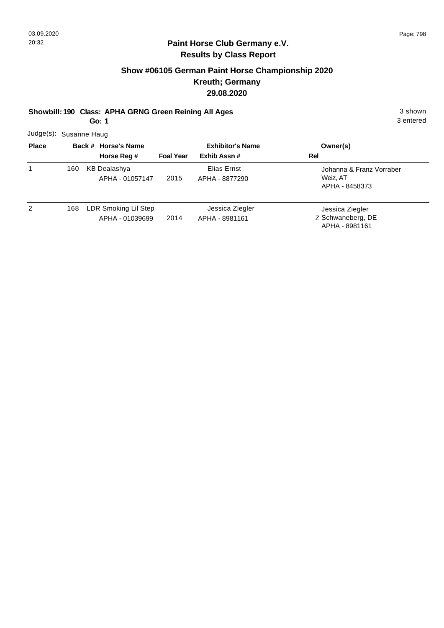## **Show #06105 German Paint Horse Championship 2020 Kreuth; Germany 29.08.2020**

#### **Showbill: 190 Class: APHA GRNG Green Reining All Ages** 3 shown

**Go: 1**

3 entered

Judge(s): Susanne Haug

| <b>Place</b> |     | Back # Horse's Name                     |                  | <b>Exhibitor's Name</b>           | Owner(s)                                               |
|--------------|-----|-----------------------------------------|------------------|-----------------------------------|--------------------------------------------------------|
|              |     | Horse Reg #                             | <b>Foal Year</b> | Exhib Assn#                       | Rel                                                    |
| 1            | 160 | <b>KB Dealashya</b><br>APHA - 01057147  | 2015             | Elias Ernst<br>APHA - 8877290     | Johanna & Franz Vorraber<br>Weiz, AT<br>APHA - 8458373 |
| 2            | 168 | LDR Smoking Lil Step<br>APHA - 01039699 | 2014             | Jessica Ziegler<br>APHA - 8981161 | Jessica Ziegler<br>Z Schwaneberg, DE<br>APHA - 8981161 |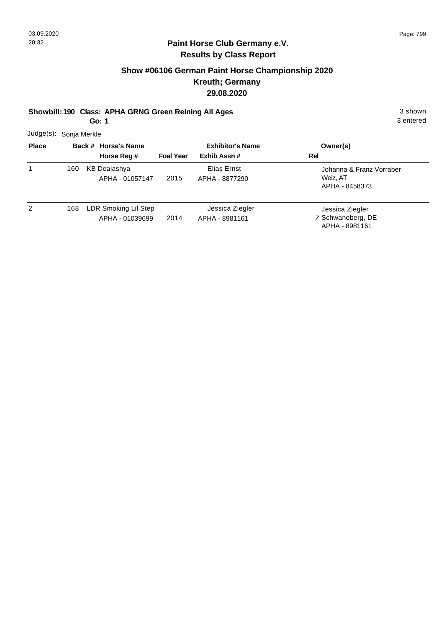# **Show #06106 German Paint Horse Championship 2020 Kreuth; Germany 29.08.2020**

**Showbill: 190 Class: APHA GRNG Green Reining All Ages** 3 shown

**Go: 1**

3 entered

Judge(s): Sonja Merkle

| <b>Place</b> |     | Back # Horse's Name                     |                  | <b>Exhibitor's Name</b>           | Owner(s)                                               |
|--------------|-----|-----------------------------------------|------------------|-----------------------------------|--------------------------------------------------------|
|              |     | Horse Reg #                             | <b>Foal Year</b> | Exhib Assn#                       | Rel                                                    |
| 1            | 160 | <b>KB Dealashya</b><br>APHA - 01057147  | 2015             | Elias Ernst<br>APHA - 8877290     | Johanna & Franz Vorraber<br>Weiz, AT<br>APHA - 8458373 |
| 2            | 168 | LDR Smoking Lil Step<br>APHA - 01039699 | 2014             | Jessica Ziegler<br>APHA - 8981161 | Jessica Ziegler<br>Z Schwaneberg, DE<br>APHA - 8981161 |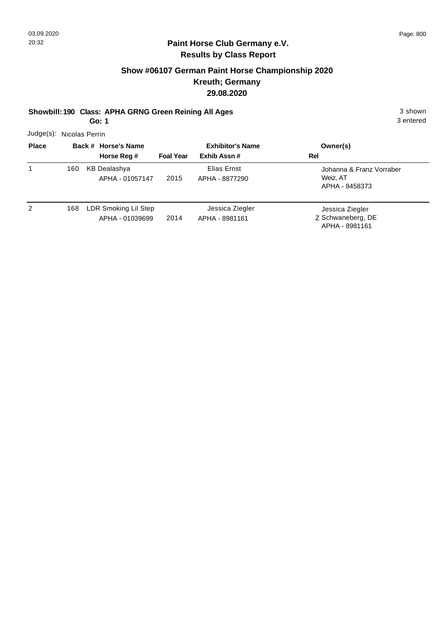# **Show #06107 German Paint Horse Championship 2020 Kreuth; Germany 29.08.2020**

## **Showbill: 190 Class: APHA GRNG Green Reining All Ages** 3 shown

**Go: 1**

3 entered

Judge(s): Nicolas Perrin

| <b>Place</b> |     | Back # Horse's Name                     |                  | <b>Exhibitor's Name</b>           | Owner(s)                                               |
|--------------|-----|-----------------------------------------|------------------|-----------------------------------|--------------------------------------------------------|
|              |     | Horse Reg #                             | <b>Foal Year</b> | Exhib Assn#                       | Rel                                                    |
| 1            | 160 | <b>KB Dealashya</b><br>APHA - 01057147  | 2015             | Elias Ernst<br>APHA - 8877290     | Johanna & Franz Vorraber<br>Weiz, AT<br>APHA - 8458373 |
| 2            | 168 | LDR Smoking Lil Step<br>APHA - 01039699 | 2014             | Jessica Ziegler<br>APHA - 8981161 | Jessica Ziegler<br>Z Schwaneberg, DE<br>APHA - 8981161 |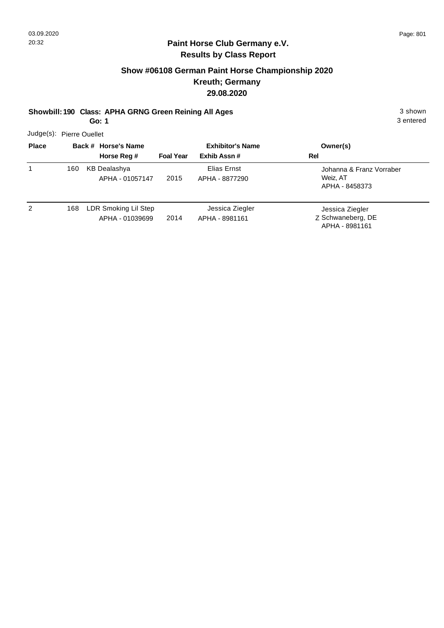# **Show #06108 German Paint Horse Championship 2020 Kreuth; Germany 29.08.2020**

## **Showbill: 190 Class: APHA GRNG Green Reining All Ages** 3 shown

**Go: 1**

3 entered

Judge(s): Pierre Ouellet

| <b>Place</b> |     | Back # Horse's Name                     |                  | <b>Exhibitor's Name</b>           | Owner(s)                                               |
|--------------|-----|-----------------------------------------|------------------|-----------------------------------|--------------------------------------------------------|
|              |     | Horse Reg #                             | <b>Foal Year</b> | Exhib Assn #                      | Rel                                                    |
| 1            | 160 | <b>KB Dealashya</b><br>APHA - 01057147  | 2015             | Elias Ernst<br>APHA - 8877290     | Johanna & Franz Vorraber<br>Weiz. AT<br>APHA - 8458373 |
| 2            | 168 | LDR Smoking Lil Step<br>APHA - 01039699 | 2014             | Jessica Ziegler<br>APHA - 8981161 | Jessica Ziegler<br>Z Schwaneberg, DE<br>APHA - 8981161 |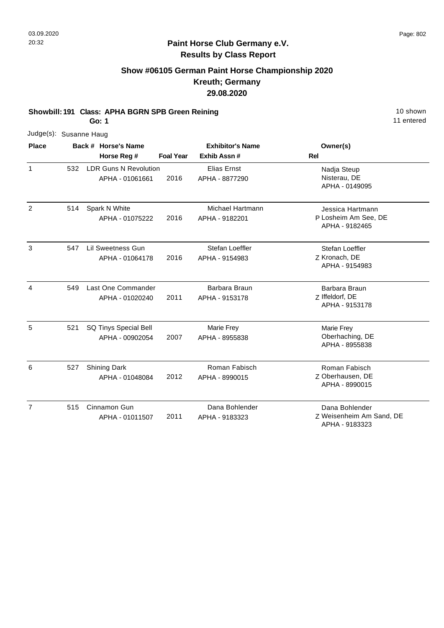## **Paint Horse Club Germany e.V. Results by Class Report**

# **Show #06105 German Paint Horse Championship 2020 Kreuth; Germany 29.08.2020**

**Showbill: 191 Class: APHA BGRN SPB Green Reining** 10 Shown 10 shown

.<br>d

| Go: 1          |                        |                                 |                                                 |      |                                    | 11 entere                                                  |  |
|----------------|------------------------|---------------------------------|-------------------------------------------------|------|------------------------------------|------------------------------------------------------------|--|
|                | Judge(s): Susanne Haug |                                 |                                                 |      |                                    |                                                            |  |
| <b>Place</b>   |                        |                                 | Back # Horse's Name                             |      | <b>Exhibitor's Name</b>            | Owner(s)                                                   |  |
|                |                        | Horse Reg #<br><b>Foal Year</b> | Exhib Assn#                                     | Rel  |                                    |                                                            |  |
| $\mathbf{1}$   | 532                    |                                 | <b>LDR Guns N Revolution</b><br>APHA - 01061661 | 2016 | Elias Ernst<br>APHA - 8877290      | Nadja Steup<br>Nisterau, DE<br>APHA - 0149095              |  |
| $\overline{2}$ | 514                    |                                 | Spark N White<br>APHA - 01075222                | 2016 | Michael Hartmann<br>APHA - 9182201 | Jessica Hartmann<br>P Losheim Am See, DE<br>APHA - 9182465 |  |
| 3              | 547                    |                                 | <b>Lil Sweetness Gun</b><br>APHA - 01064178     | 2016 | Stefan Loeffler<br>APHA - 9154983  | Stefan Loeffler<br>Z Kronach, DE<br>APHA - 9154983         |  |
| 4              | 549                    |                                 | Last One Commander<br>APHA - 01020240           | 2011 | Barbara Braun<br>APHA - 9153178    | Barbara Braun<br>Z Iffeldorf, DE<br>APHA - 9153178         |  |
| 5              | 521                    |                                 | SQ Tinys Special Bell<br>APHA - 00902054        | 2007 | Marie Frey<br>APHA - 8955838       | Marie Frey<br>Oberhaching, DE<br>APHA - 8955838            |  |
| 6              | 527                    |                                 | <b>Shining Dark</b><br>APHA - 01048084          | 2012 | Roman Fabisch<br>APHA - 8990015    | Roman Fabisch<br>Z Oberhausen, DE<br>APHA - 8990015        |  |
| $\overline{7}$ | 515                    |                                 | Cinnamon Gun<br>APHA - 01011507                 | 2011 | Dana Bohlender<br>APHA - 9183323   | Dana Bohlender<br>Z Weisenheim Am Sand, DE                 |  |

Z Weisenheim Am Sand, DE APHA - 9183323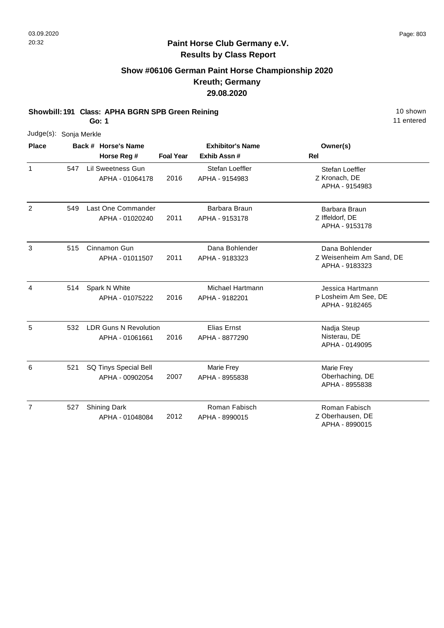# **Show #06106 German Paint Horse Championship 2020 Kreuth; Germany 29.08.2020**

**Showbill: 191 Class: APHA BGRN SPB Green Reining 10 Shown 10 shown** 

**Go: 1**

| Judge(s): Sonja Merkle |     |                                                 |                  |                                     |                                                              |
|------------------------|-----|-------------------------------------------------|------------------|-------------------------------------|--------------------------------------------------------------|
| <b>Place</b>           |     | Back # Horse's Name                             |                  | <b>Exhibitor's Name</b>             | Owner(s)                                                     |
|                        |     | Horse Reg #                                     | <b>Foal Year</b> | Exhib Assn#                         | <b>Rel</b>                                                   |
| $\mathbf{1}$           | 547 | Lil Sweetness Gun<br>APHA - 01064178            | 2016             | Stefan Loeffler<br>APHA - 9154983   | Stefan Loeffler<br>Z Kronach, DE<br>APHA - 9154983           |
| 2                      | 549 | Last One Commander<br>APHA - 01020240           | 2011             | Barbara Braun<br>APHA - 9153178     | Barbara Braun<br>Z Iffeldorf, DE<br>APHA - 9153178           |
| 3                      | 515 | Cinnamon Gun<br>APHA - 01011507                 | 2011             | Dana Bohlender<br>APHA - 9183323    | Dana Bohlender<br>Z Weisenheim Am Sand, DE<br>APHA - 9183323 |
| 4                      | 514 | Spark N White<br>APHA - 01075222                | 2016             | Michael Hartmann<br>APHA - 9182201  | Jessica Hartmann<br>P Losheim Am See, DE<br>APHA - 9182465   |
| 5                      | 532 | <b>LDR Guns N Revolution</b><br>APHA - 01061661 | 2016             | Elias Ernst<br>APHA - 8877290       | Nadja Steup<br>Nisterau, DE<br>APHA - 0149095                |
| 6                      | 521 | SQ Tinys Special Bell<br>APHA - 00902054        | 2007             | <b>Marie Frey</b><br>APHA - 8955838 | Marie Frey<br>Oberhaching, DE<br>APHA - 8955838              |
| $\overline{7}$         | 527 | <b>Shining Dark</b><br>APHA - 01048084          | 2012             | Roman Fabisch<br>APHA - 8990015     | Roman Fabisch<br>Z Oberhausen, DE<br>APHA - 8990015          |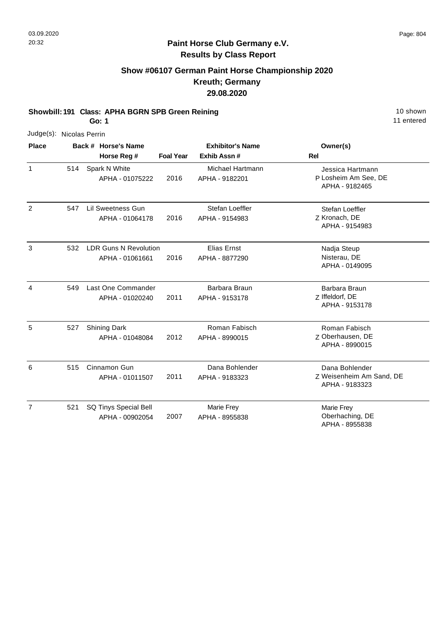# **Show #06107 German Paint Horse Championship 2020 Kreuth; Germany 29.08.2020**

**Showbill: 191 Class: APHA BGRN SPB Green Reining 10 Shown 10 shown** 

**Go: 1**

11 entered

P Losheim Am See, DE Jessica Hartmann

APHA - 9182465

APHA - 9154983

Z Kronach, DE Stefan Loeffler

| Judge(s): Nicolas Perrin |     |                                                 |                  |                                        |                                     |
|--------------------------|-----|-------------------------------------------------|------------------|----------------------------------------|-------------------------------------|
| <b>Place</b>             |     | Back # Horse's Name<br>Horse Reg #              | <b>Foal Year</b> | <b>Exhibitor's Name</b><br>Exhib Assn# | Owner(s)<br>Rel                     |
|                          | 514 | Spark N White<br>APHA - 01075222                | 2016             | Michael Hartmann<br>APHA - 9182201     | Jessica H<br>P Losheim<br>APHA - 9  |
| $\mathcal{P}$            | 547 | Lil Sweetness Gun<br>APHA - 01064178            | 2016             | Stefan Loeffler<br>APHA - 9154983      | Stefan Lo<br>Z Kronach,<br>APHA - 9 |
| 3                        | 532 | <b>LDR Guns N Revolution</b><br>APHA - 01061661 | 2016             | Elias Ernst<br>APHA - 8877290          | Nadja Ste<br>Nisterau,<br>APHA - 0  |

| 3              | 532 | <b>LDR Guns N Revolution</b>             |      | Elias Ernst                      |                                                              |
|----------------|-----|------------------------------------------|------|----------------------------------|--------------------------------------------------------------|
|                |     | APHA - 01061661                          | 2016 | APHA - 8877290                   | Nadja Steup<br>Nisterau, DE<br>APHA - 0149095                |
| 4              | 549 | Last One Commander<br>APHA - 01020240    | 2011 | Barbara Braun<br>APHA - 9153178  | Barbara Braun<br>Z Iffeldorf, DE<br>APHA - 9153178           |
| 5              | 527 | <b>Shining Dark</b><br>APHA - 01048084   | 2012 | Roman Fabisch<br>APHA - 8990015  | Roman Fabisch<br>Z Oberhausen, DE<br>APHA - 8990015          |
| 6              | 515 | Cinnamon Gun<br>APHA - 01011507          | 2011 | Dana Bohlender<br>APHA - 9183323 | Dana Bohlender<br>Z Weisenheim Am Sand, DE<br>APHA - 9183323 |
| $\overline{7}$ | 521 | SQ Tinys Special Bell<br>APHA - 00902054 | 2007 | Marie Frey<br>APHA - 8955838     | Marie Frey<br>Oberhaching, DE<br>APHA - 8955838              |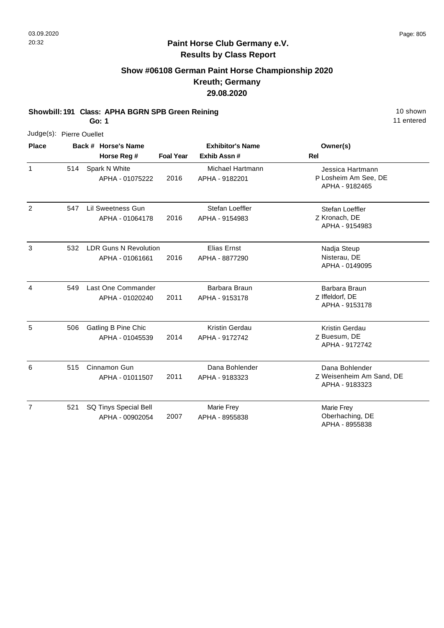# **Show #06108 German Paint Horse Championship 2020 Kreuth; Germany 29.08.2020**

**Showbill: 191 Class: APHA BGRN SPB Green Reining 10 Shown 10 shown** 

**Go: 1**

|              | Judge(s): Pierre Ouellet |                     |
|--------------|--------------------------|---------------------|
| <b>Place</b> |                          | Back # Horse's Name |

| <b>Place</b>   | Back # Horse's Name |                                                 | <b>Exhibitor's Name</b> |                                      | Owner(s)                                                     |  |
|----------------|---------------------|-------------------------------------------------|-------------------------|--------------------------------------|--------------------------------------------------------------|--|
|                |                     | Horse Reg #                                     | <b>Foal Year</b>        | Exhib Assn #                         | <b>Rel</b>                                                   |  |
| $\mathbf{1}$   | 514                 | Spark N White<br>APHA - 01075222                | 2016                    | Michael Hartmann<br>APHA - 9182201   | Jessica Hartmann<br>P Losheim Am See, DE<br>APHA - 9182465   |  |
| $\overline{2}$ | 547                 | <b>Lil Sweetness Gun</b><br>APHA - 01064178     | 2016                    | Stefan Loeffler<br>APHA - 9154983    | Stefan Loeffler<br>Z Kronach, DE<br>APHA - 9154983           |  |
| $\mathbf{3}$   | 532                 | <b>LDR Guns N Revolution</b><br>APHA - 01061661 | 2016                    | <b>Elias Ernst</b><br>APHA - 8877290 | Nadja Steup<br>Nisterau, DE<br>APHA - 0149095                |  |
| 4              | 549                 | Last One Commander<br>APHA - 01020240           | 2011                    | Barbara Braun<br>APHA - 9153178      | Barbara Braun<br>Z Iffeldorf, DE<br>APHA - 9153178           |  |
| 5              | 506                 | Gatling B Pine Chic<br>APHA - 01045539          | 2014                    | Kristin Gerdau<br>APHA - 9172742     | Kristin Gerdau<br>Z Buesum, DE<br>APHA - 9172742             |  |
| 6              | 515                 | Cinnamon Gun<br>APHA - 01011507                 | 2011                    | Dana Bohlender<br>APHA - 9183323     | Dana Bohlender<br>Z Weisenheim Am Sand, DE<br>APHA - 9183323 |  |
| $\overline{7}$ | 521                 | SQ Tinys Special Bell<br>APHA - 00902054        | 2007                    | Marie Frey<br>APHA - 8955838         | Marie Frey<br>Oberhaching, DE<br>APHA - 8955838              |  |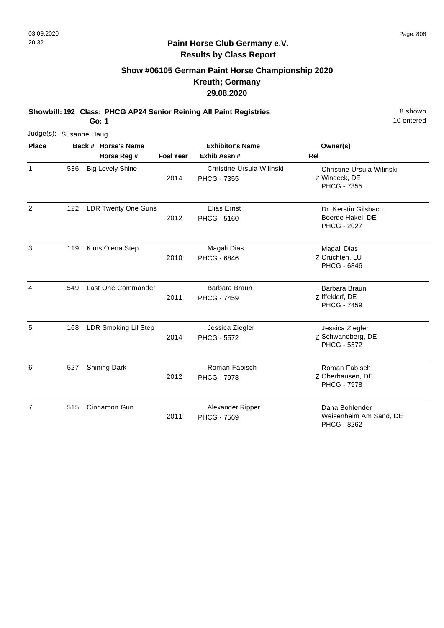# **Show #06105 German Paint Horse Championship 2020 Kreuth; Germany 29.08.2020**

**Showbill: 192 Class: PHCG AP24 Senior Reining All Paint Registries** 8 Shown

**Go: 1**

| Judge(s): Susanne Haug |     |                            |                  |                                                 |                                                                  |
|------------------------|-----|----------------------------|------------------|-------------------------------------------------|------------------------------------------------------------------|
| <b>Place</b>           |     | Back # Horse's Name        |                  | <b>Exhibitor's Name</b>                         | Owner(s)                                                         |
|                        |     | Horse Reg #                | <b>Foal Year</b> | Exhib Assn#                                     | <b>Rel</b>                                                       |
| $\mathbf{1}$           | 536 | <b>Big Lovely Shine</b>    | 2014             | Christine Ursula Wilinski<br><b>PHCG - 7355</b> | Christine Ursula Wilinski<br>Z Windeck, DE<br><b>PHCG - 7355</b> |
| $\overline{2}$         | 122 | <b>LDR Twenty One Guns</b> | 2012             | <b>Elias Ernst</b><br><b>PHCG - 5160</b>        | Dr. Kerstin Gilsbach<br>Boerde Hakel, DE<br><b>PHCG - 2027</b>   |
| 3                      | 119 | Kims Olena Step            | 2010             | Magali Dias<br><b>PHCG - 6846</b>               | Magali Dias<br>Z Cruchten, LU<br><b>PHCG - 6846</b>              |
| 4                      | 549 | Last One Commander         | 2011             | Barbara Braun<br><b>PHCG - 7459</b>             | Barbara Braun<br>Z Iffeldorf, DE<br><b>PHCG - 7459</b>           |
| 5                      | 168 | LDR Smoking Lil Step       | 2014             | Jessica Ziegler<br><b>PHCG - 5572</b>           | Jessica Ziegler<br>Z Schwaneberg, DE<br><b>PHCG - 5572</b>       |
| 6                      | 527 | <b>Shining Dark</b>        | 2012             | Roman Fabisch<br><b>PHCG - 7978</b>             | Roman Fabisch<br>Z Oberhausen, DE<br><b>PHCG - 7978</b>          |
| $\overline{7}$         | 515 | Cinnamon Gun               | 2011             | Alexander Ripper<br><b>PHCG - 7569</b>          | Dana Bohlender<br>Weisenheim Am Sand, DE<br><b>PHCG - 8262</b>   |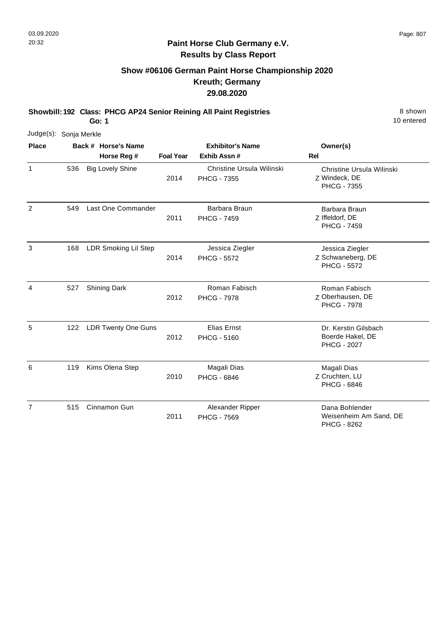1

2

3

4

6

10 entered

#### **Paint Horse Club Germany e.V. Results by Class Report**

#### **Show #06106 German Paint Horse Championship 2020 Kreuth; Germany 29.08.2020**

**Showbill: 192 Class: PHCG AP24 Senior Reining All Paint Registries** 8 Shown

**Go: 1**

Judge(s): Sonja Merkle **Back # Horse's Name Place Owner(s) Horse Reg # Exhib Assn # Foal Year Rel Exhibitor's Name** Z Windeck, DE Christine Ursula Wilinski PHCG - 7355 2014 Christine Ursula Wilinski PHCG - 7355 536 Big Lovely Shine Z Iffeldorf, DE Barbara Braun PHCG - 7459 2011 Last One Commander **Barbara Braun** PHCG - 7459 549 Z Schwaneberg, DE Jessica Ziegler PHCG - 5572 2014 168 LDR Smoking Lil Step **Step Step Step Step Step Step Step Step** Jessica Ziegler PHCG - 5572 Z Oberhausen, DE Roman Fabisch PHCG - 7978 2012 Shining Dark **Roman Fabisch** PHCG - 7978 527 5 122 LDR Twenty One Guns **Elias Ernst Elias Ernst Dr. Kerstin Gilsbach** Boerde Hakel, DE PHCG - 2027 2012 PHCG - 5160 Z Cruchten, LU Magali Dias PHCG - 6846 2010 Kims Olena Step Magali Dias PHCG - 6846 119 7 515 Cinnamon Gun **Dana Bohlender Burger State State State State State State State State State State State State State State State State State State State State State State State State State State State State State State** Weisenheim Am Sand, DE 2011 Alexander Ripper PHCG - 7569

PHCG - 8262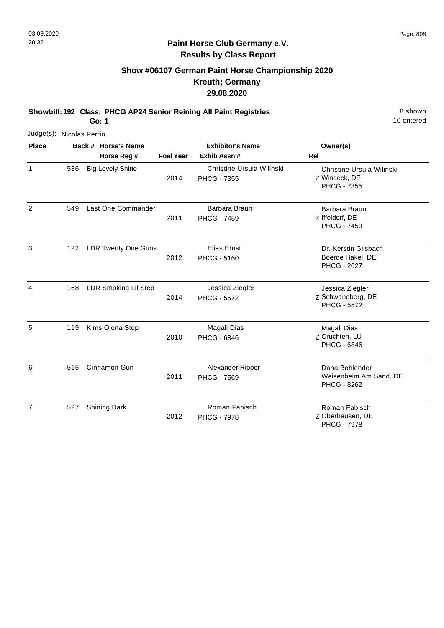1

2

4

5

#### **Paint Horse Club Germany e.V. Results by Class Report**

#### **Show #06107 German Paint Horse Championship 2020 Kreuth; Germany 29.08.2020**

**Showbill: 192 Class: PHCG AP24 Senior Reining All Paint Registries** 8 Shown

**Go: 1**

Judge(s): Nicolas Perrin **Back # Horse's Name Place Owner(s) Horse Reg # Exhib Assn # Foal Year Rel Exhibitor's Name** Z Windeck, DE Christine Ursula Wilinski PHCG - 7355 2014 Christine Ursula Wilinski PHCG - 7355 536 Big Lovely Shine Z Iffeldorf, DE Barbara Braun PHCG - 7459 2011 549 Last One Commander **Barbara Braun** PHCG - 7459 3 122 LDR Twenty One Guns **Elias Ernst** Filias Ernst **Dr. Kerstin Gilsbach** Boerde Hakel, DE PHCG - 2027 2012 PHCG - 5160 Z Schwaneberg, DE Jessica Ziegler PHCG - 5572 2014 LDR Smoking Lil Step **Jessica Ziegler** PHCG - 5572 168 Z Cruchten, LU Magali Dias PHCG - 6846 2010 119 Kims Olena Step Magali Dias PHCG - 6846 Alexander Ripper

|                     | 2011 | <b>PHCG - 7569</b> | Weisenheim Am Sand, DE<br><b>PHCG - 8262</b> |
|---------------------|------|--------------------|----------------------------------------------|
| Shining Dark<br>527 |      | Roman Fabisch      | Roman Fabisch                                |
|                     | 2012 | <b>PHCG - 7978</b> | Z Oberhausen, DE                             |
|                     |      |                    | <b>PHCG - 7978</b>                           |

6 515 Cinnamon Gun **Dana Bohlender Burger State State State State State State State State State State State State State State State State State State State State State State State State State State State State State State**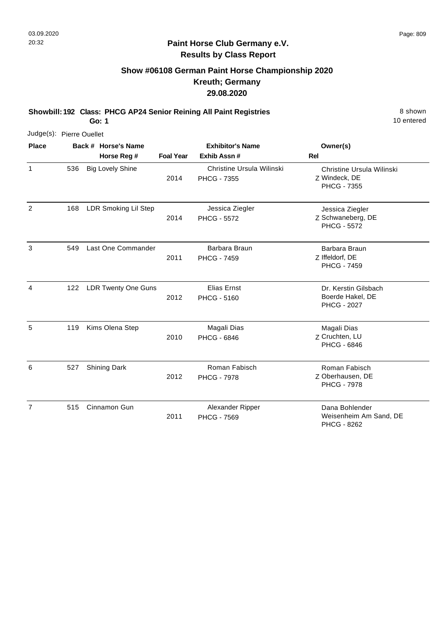#### **Paint Horse Club Germany e.V. Results by Class Report**

# **Show #06108 German Paint Horse Championship 2020 Kreuth; Germany 29.08.2020**

**Showbill: 192 Class: PHCG AP24 Senior Reining All Paint Registries** 8 Shown

| Judge(s): Pierre Ouellet |     |                             |                  |                                                 |                                                                  |
|--------------------------|-----|-----------------------------|------------------|-------------------------------------------------|------------------------------------------------------------------|
| <b>Place</b>             |     | Back # Horse's Name         |                  | <b>Exhibitor's Name</b>                         | Owner(s)                                                         |
|                          |     | Horse Reg #                 | <b>Foal Year</b> | Exhib Assn#                                     | Rel                                                              |
| $\mathbf{1}$             | 536 | <b>Big Lovely Shine</b>     | 2014             | Christine Ursula Wilinski<br><b>PHCG - 7355</b> | Christine Ursula Wilinski<br>Z Windeck, DE<br><b>PHCG - 7355</b> |
| $\overline{2}$           | 168 | <b>LDR Smoking Lil Step</b> | 2014             | Jessica Ziegler<br><b>PHCG - 5572</b>           | Jessica Ziegler<br>Z Schwaneberg, DE<br><b>PHCG - 5572</b>       |
| 3                        | 549 | Last One Commander          | 2011             | Barbara Braun<br><b>PHCG - 7459</b>             | Barbara Braun<br>Z Iffeldorf, DE<br><b>PHCG - 7459</b>           |
| 4                        | 122 | <b>LDR Twenty One Guns</b>  | 2012             | Elias Ernst<br><b>PHCG - 5160</b>               | Dr. Kerstin Gilsbach<br>Boerde Hakel, DE<br><b>PHCG - 2027</b>   |
| 5                        | 119 | Kims Olena Step             | 2010             | Magali Dias<br><b>PHCG - 6846</b>               | Magali Dias<br>Z Cruchten, LU<br><b>PHCG - 6846</b>              |
| 6                        | 527 | <b>Shining Dark</b>         | 2012             | Roman Fabisch<br><b>PHCG - 7978</b>             | Roman Fabisch<br>Z Oberhausen, DE<br><b>PHCG - 7978</b>          |
| $\overline{7}$           | 515 | Cinnamon Gun                | 2011             | Alexander Ripper<br><b>PHCG - 7569</b>          | Dana Bohlender<br>Weisenheim Am Sand, DE<br>PHCG - 8262          |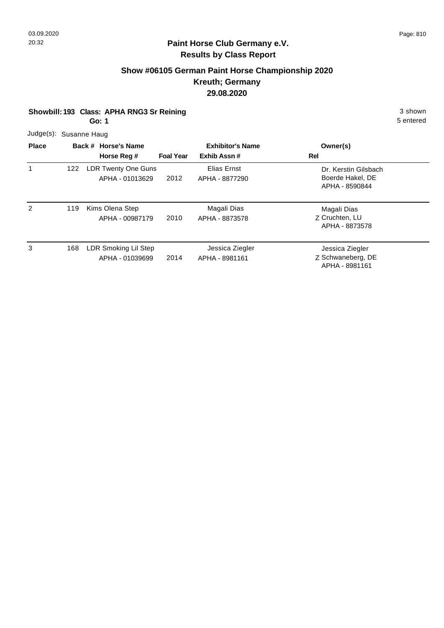APHA - 8981161

# **Paint Horse Club Germany e.V. Results by Class Report**

# **Show #06105 German Paint Horse Championship 2020 Kreuth; Germany 29.08.2020**

| Showbill: 193 Class: APHA RNG3 Sr Reining | 3 shown   |
|-------------------------------------------|-----------|
| Go: 1                                     | 5 entered |
| Judge(s): Susanne Haug                    |           |

| <b>Place</b> |     | Back # Horse's Name<br>Horse Reg #      | <b>Foal Year</b> | <b>Exhibitor's Name</b><br>Exhib Assn# | Owner(s)<br>Rel                                            |
|--------------|-----|-----------------------------------------|------------------|----------------------------------------|------------------------------------------------------------|
| 1            | 122 | LDR Twenty One Guns<br>APHA - 01013629  | 2012             | Elias Ernst<br>APHA - 8877290          | Dr. Kerstin Gilsbach<br>Boerde Hakel, DE<br>APHA - 8590844 |
| 2            | 119 | Kims Olena Step<br>APHA - 00987179      | 2010             | Magali Dias<br>APHA - 8873578          | Magali Dias<br>Z Cruchten, LU<br>APHA - 8873578            |
| 3            | 168 | LDR Smoking Lil Step<br>APHA - 01039699 | 2014             | Jessica Ziegler<br>APHA - 8981161      | Jessica Ziegler<br>Z Schwaneberg, DE                       |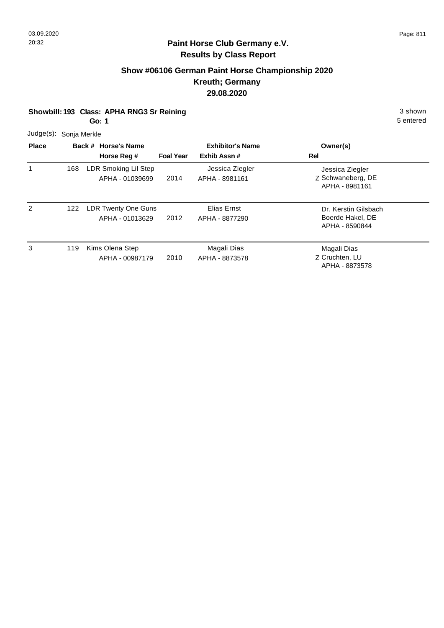## **Show #06106 German Paint Horse Championship 2020 Kreuth; Germany 29.08.2020**

**Showbill: 193 Class: APHA RNG3 Sr Reining 3 shown 3 shown 3 shown Go: 1**

5 entered

Judge(s): Sonja Merkle

| <b>Place</b> |     | Back # Horse's Name<br>Horse Reg #      | <b>Foal Year</b> | <b>Exhibitor's Name</b><br>Exhib Assn# | Owner(s)<br>Rel                                            |
|--------------|-----|-----------------------------------------|------------------|----------------------------------------|------------------------------------------------------------|
| 1            | 168 | LDR Smoking Lil Step<br>APHA - 01039699 | 2014             | Jessica Ziegler<br>APHA - 8981161      | Jessica Ziegler<br>Z Schwaneberg, DE<br>APHA - 8981161     |
| 2            | 122 | LDR Twenty One Guns<br>APHA - 01013629  | 2012             | Elias Ernst<br>APHA - 8877290          | Dr. Kerstin Gilsbach<br>Boerde Hakel, DE<br>APHA - 8590844 |
| 3            | 119 | Kims Olena Step<br>APHA - 00987179      | 2010             | Magali Dias<br>APHA - 8873578          | Magali Dias<br>Z Cruchten, LU<br>APHA - 8873578            |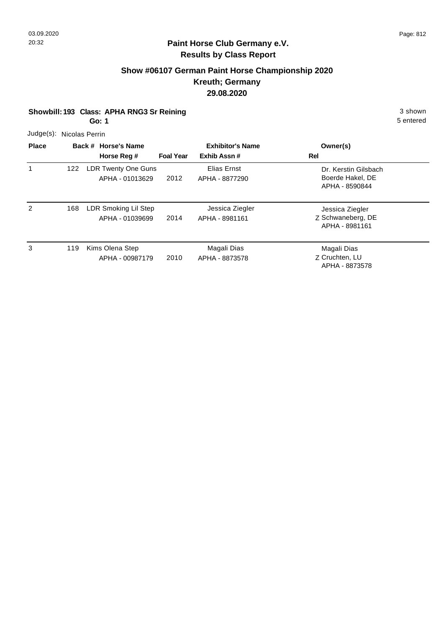# **Show #06107 German Paint Horse Championship 2020 Kreuth; Germany 29.08.2020**

| Showbill: 193 Class: APHA RNG3 Sr Reining | 3 shown   |
|-------------------------------------------|-----------|
| Go: 1                                     | 5 entered |

| Judge(s): Nicolas Perrin |  |  |
|--------------------------|--|--|
|--------------------------|--|--|

| <b>Place</b> |     | Back # Horse's Name<br>Horse Reg #      | <b>Foal Year</b> | <b>Exhibitor's Name</b><br>Exhib Assn# | Owner(s)<br>Rel                                            |
|--------------|-----|-----------------------------------------|------------------|----------------------------------------|------------------------------------------------------------|
|              | 122 | LDR Twenty One Guns<br>APHA - 01013629  | 2012             | Elias Ernst<br>APHA - 8877290          | Dr. Kerstin Gilsbach<br>Boerde Hakel, DE<br>APHA - 8590844 |
| 2            | 168 | LDR Smoking Lil Step<br>APHA - 01039699 | 2014             | Jessica Ziegler<br>APHA - 8981161      | Jessica Ziegler<br>Z Schwaneberg, DE<br>APHA - 8981161     |
| 3            | 119 | Kims Olena Step<br>APHA - 00987179      | 2010             | Magali Dias<br>APHA - 8873578          | Magali Dias<br>Z Cruchten, LU<br>APHA - 8873578            |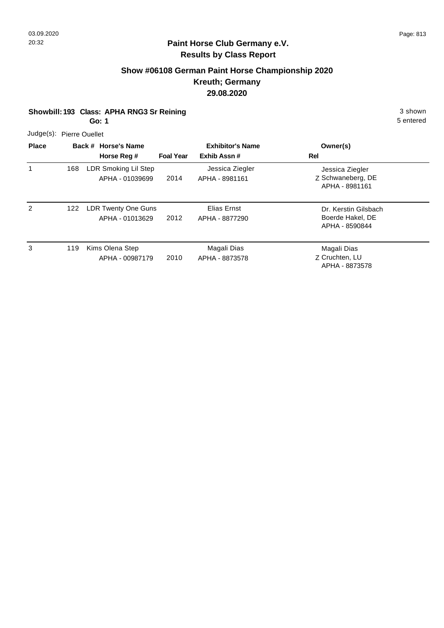## **Show #06108 German Paint Horse Championship 2020 Kreuth; Germany 29.08.2020**

**Showbill: 193 Class: APHA RNG3 Sr Reining 3 shown 3 shown 3 shown** 

**Go: 1**

5 entered

Judge(s): Pierre Ouellet

| <b>Place</b> |     | Back # Horse's Name<br>Horse Reg #            | <b>Foal Year</b> | <b>Exhibitor's Name</b><br>Exhib Assn# | Owner(s)<br>Rel                                            |
|--------------|-----|-----------------------------------------------|------------------|----------------------------------------|------------------------------------------------------------|
|              | 168 | LDR Smoking Lil Step<br>APHA - 01039699       | 2014             | Jessica Ziegler<br>APHA - 8981161      | Jessica Ziegler<br>Z Schwaneberg, DE<br>APHA - 8981161     |
| 2            | 122 | <b>LDR Twenty One Guns</b><br>APHA - 01013629 | 2012             | Elias Ernst<br>APHA - 8877290          | Dr. Kerstin Gilsbach<br>Boerde Hakel, DE<br>APHA - 8590844 |
| 3            | 119 | Kims Olena Step<br>APHA - 00987179            | 2010             | Magali Dias<br>APHA - 8873578          | Magali Dias<br>Z Cruchten, LU<br>APHA - 8873578            |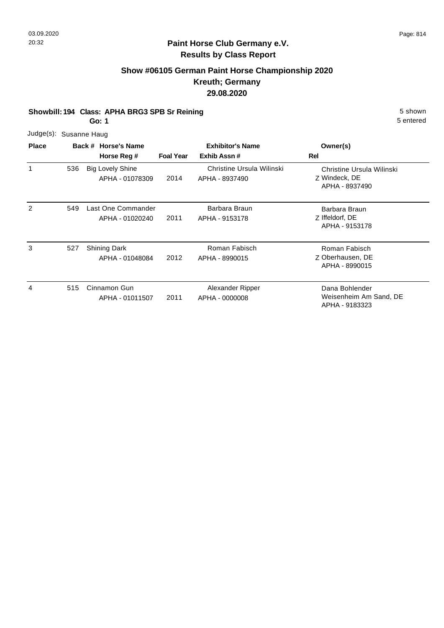## **Show #06105 German Paint Horse Championship 2020 Kreuth; Germany 29.08.2020**

#### **Showbill: 194 Class: APHA BRG3 SPB Sr Reining 5 Shown 5 Shown 5 shown**

**Go: 1**

| Judge(s): Susanne Haug |  |
|------------------------|--|
|                        |  |

| <b>Place</b> |     | Back # Horse's Name                        | <b>Exhibitor's Name</b> |                                             | Owner(s)                                                     |
|--------------|-----|--------------------------------------------|-------------------------|---------------------------------------------|--------------------------------------------------------------|
|              |     | Horse Reg #                                | <b>Foal Year</b>        | Exhib Assn#                                 | Rel                                                          |
|              | 536 | <b>Big Lovely Shine</b><br>APHA - 01078309 | 2014                    | Christine Ursula Wilinski<br>APHA - 8937490 | Christine Ursula Wilinski<br>Z Windeck, DE<br>APHA - 8937490 |
| 2            | 549 | Last One Commander<br>APHA - 01020240      | 2011                    | Barbara Braun<br>APHA - 9153178             | Barbara Braun<br>Z Iffeldorf, DE<br>APHA - 9153178           |
| 3            | 527 | Shining Dark<br>APHA - 01048084            | 2012                    | Roman Fabisch<br>APHA - 8990015             | Roman Fabisch<br>Z Oberhausen, DE<br>APHA - 8990015          |
| 4            | 515 | Cinnamon Gun<br>APHA - 01011507            | 2011                    | Alexander Ripper<br>APHA - 0000008          | Dana Bohlender<br>Weisenheim Am Sand, DE<br>APHA - 9183323   |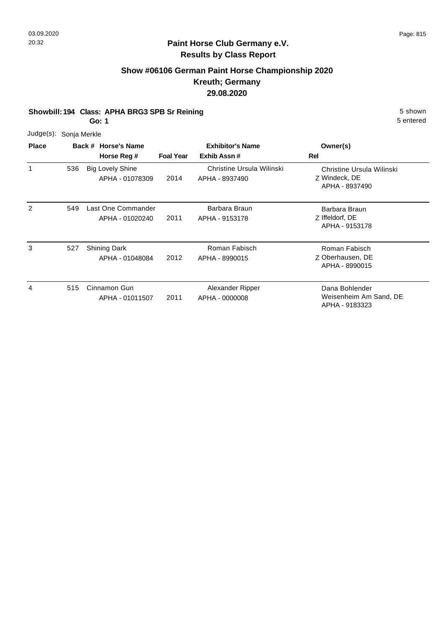## **Show #06106 German Paint Horse Championship 2020 Kreuth; Germany 29.08.2020**

#### **Showbill: 194 Class: APHA BRG3 SPB Sr Reining 5 Shown 5 Shown 5 shown**

**Go: 1**

5 entered

APHA - 9183323

|                        |     | ו טט                                       |                  |                                             | ວ ຕາແ                                                        |
|------------------------|-----|--------------------------------------------|------------------|---------------------------------------------|--------------------------------------------------------------|
| Judge(s): Sonja Merkle |     |                                            |                  |                                             |                                                              |
| <b>Place</b>           |     | Back # Horse's Name<br>Horse Reg #         | <b>Foal Year</b> | <b>Exhibitor's Name</b><br>Exhib Assn#      | Owner(s)<br>Rel                                              |
| 1                      | 536 | <b>Big Lovely Shine</b><br>APHA - 01078309 | 2014             | Christine Ursula Wilinski<br>APHA - 8937490 | Christine Ursula Wilinski<br>Z Windeck, DE<br>APHA - 8937490 |
| $\overline{c}$         | 549 | Last One Commander<br>APHA - 01020240      | 2011             | Barbara Braun<br>APHA - 9153178             | Barbara Braun<br>Z Iffeldorf, DE<br>APHA - 9153178           |
| 3                      | 527 | <b>Shining Dark</b><br>APHA - 01048084     | 2012             | Roman Fabisch<br>APHA - 8990015             | Roman Fabisch<br>Z Oberhausen, DE<br>APHA - 8990015          |
| 4                      | 515 | Cinnamon Gun<br>APHA - 01011507            | 2011             | Alexander Ripper<br>APHA - 0000008          | Dana Bohlender<br>Weisenheim Am Sand, DE                     |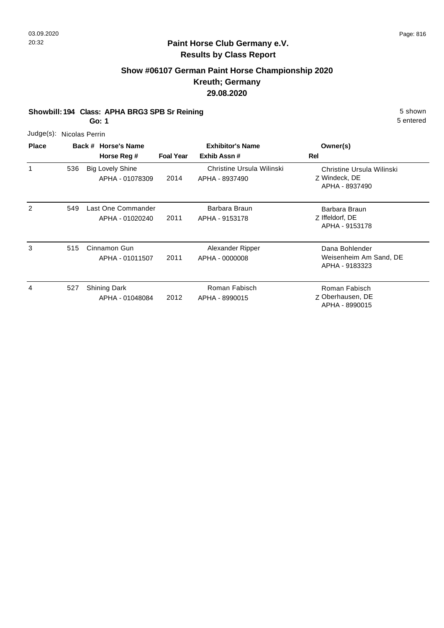# **Paint Horse Club Germany e.V. Results by Class Report**

# **Show #06107 German Paint Horse Championship 2020 Kreuth; Germany 29.08.2020**

#### **Showbill: 194 Class: APHA BRG3 SPB Sr Reining 5 Shown 5 Shown 5 shown**

**Go: 1**

|              |                | ו טש                                       |                  |                                             | 0 011 10 U                                                   |
|--------------|----------------|--------------------------------------------|------------------|---------------------------------------------|--------------------------------------------------------------|
| Judge(s):    | Nicolas Perrin |                                            |                  |                                             |                                                              |
| <b>Place</b> |                | Back # Horse's Name<br>Horse Reg #         | <b>Foal Year</b> | <b>Exhibitor's Name</b><br>Exhib Assn#      | Owner(s)<br>Rel                                              |
| 1            | 536            | <b>Big Lovely Shine</b><br>APHA - 01078309 | 2014             | Christine Ursula Wilinski<br>APHA - 8937490 | Christine Ursula Wilinski<br>Z Windeck, DE<br>APHA - 8937490 |
| 2            | 549            | Last One Commander<br>APHA - 01020240      | 2011             | Barbara Braun<br>APHA - 9153178             | Barbara Braun<br>Z Iffeldorf, DE<br>APHA - 9153178           |
| 3            | 515            | Cinnamon Gun<br>APHA - 01011507            | 2011             | Alexander Ripper<br>APHA - 0000008          | Dana Bohlender<br>Weisenheim Am Sand, DE<br>APHA - 9183323   |
| 4            | 527            | <b>Shining Dark</b><br>APHA - 01048084     | 2012             | Roman Fabisch<br>APHA - 8990015             | Roman Fabisch<br>Z Oberhausen, DE<br>APHA - 8990015          |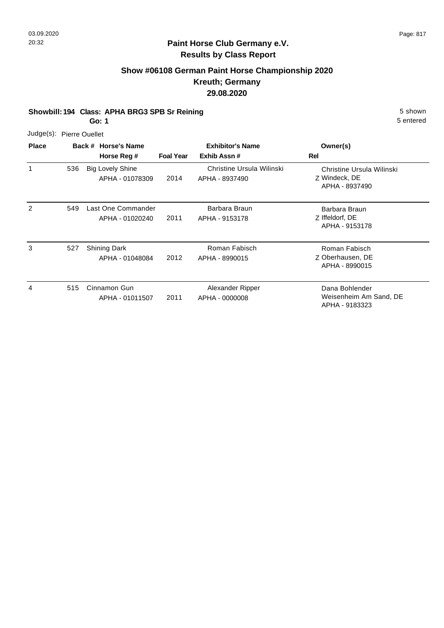## **Show #06108 German Paint Horse Championship 2020 Kreuth; Germany 29.08.2020**

#### **Showbill: 194 Class: APHA BRG3 SPB Sr Reining 5 Shown 5 Shown 5 shown**

**Go: 1**

| <b>Place</b> | Back # Horse             |  |
|--------------|--------------------------|--|
|              | Judge(s): Pierre Ouellet |  |

| <b>Place</b> |     | Back # Horse's Name<br>Horse Reg #         | <b>Foal Year</b> | <b>Exhibitor's Name</b><br>Exhib Assn#      | Owner(s)<br>Rel                                              |
|--------------|-----|--------------------------------------------|------------------|---------------------------------------------|--------------------------------------------------------------|
| 1            | 536 | <b>Big Lovely Shine</b><br>APHA - 01078309 | 2014             | Christine Ursula Wilinski<br>APHA - 8937490 | Christine Ursula Wilinski<br>Z Windeck, DE<br>APHA - 8937490 |
| 2            | 549 | Last One Commander<br>APHA - 01020240      | 2011             | Barbara Braun<br>APHA - 9153178             | Barbara Braun<br>Z Iffeldorf, DE<br>APHA - 9153178           |
| 3            | 527 | Shining Dark<br>APHA - 01048084            | 2012             | Roman Fabisch<br>APHA - 8990015             | Roman Fabisch<br>Z Oberhausen, DE<br>APHA - 8990015          |
| 4            | 515 | Cinnamon Gun<br>APHA - 01011507            | 2011             | Alexander Ripper<br>APHA - 0000008          | Dana Bohlender<br>Weisenheim Am Sand, DE<br>APHA - 9183323   |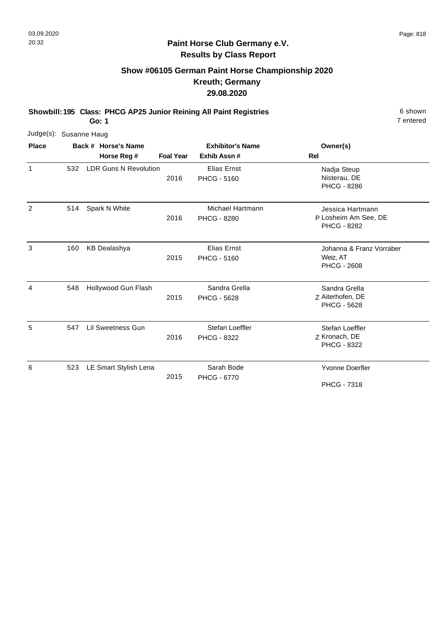#### **Paint Horse Club Germany e.V. Results by Class Report**

# **Show #06105 German Paint Horse Championship 2020 Kreuth; Germany 29.08.2020**

**Showbill: 195 Class: PHCG AP25 Junior Reining All Paint Registries** 6 shown

| Judge(s): Susanne Haug |     |                              |                  |                                          |                                                                |
|------------------------|-----|------------------------------|------------------|------------------------------------------|----------------------------------------------------------------|
| <b>Place</b>           |     | Back # Horse's Name          |                  | <b>Exhibitor's Name</b>                  | Owner(s)                                                       |
|                        |     | Horse Reg #                  | <b>Foal Year</b> | Exhib Assn#                              | Rel                                                            |
| $\mathbf 1$            | 532 | <b>LDR Guns N Revolution</b> | 2016             | <b>Elias Ernst</b><br><b>PHCG - 5160</b> | Nadja Steup<br>Nisterau, DE<br><b>PHCG - 8286</b>              |
| 2                      | 514 | Spark N White                | 2016             | Michael Hartmann<br><b>PHCG - 8280</b>   | Jessica Hartmann<br>P Losheim Am See, DE<br><b>PHCG - 8282</b> |
| 3                      | 160 | <b>KB Dealashya</b>          | 2015             | <b>Elias Ernst</b><br><b>PHCG - 5160</b> | Johanna & Franz Vorraber<br>Weiz, AT<br><b>PHCG - 2608</b>     |
| $\overline{4}$         | 548 | Hollywood Gun Flash          | 2015             | Sandra Grella<br><b>PHCG - 5628</b>      | Sandra Grella<br>Z Aiterhofen, DE<br><b>PHCG - 5628</b>        |
| 5                      | 547 | Lil Sweetness Gun            | 2016             | Stefan Loeffler<br>PHCG - 8322           | Stefan Loeffler<br>Z Kronach, DE<br><b>PHCG - 8322</b>         |
| 6                      | 523 | LE Smart Stylish Lena        | 2015             | Sarah Bode<br><b>PHCG - 6770</b>         | <b>Yvonne Doerfler</b><br><b>PHCG - 7318</b>                   |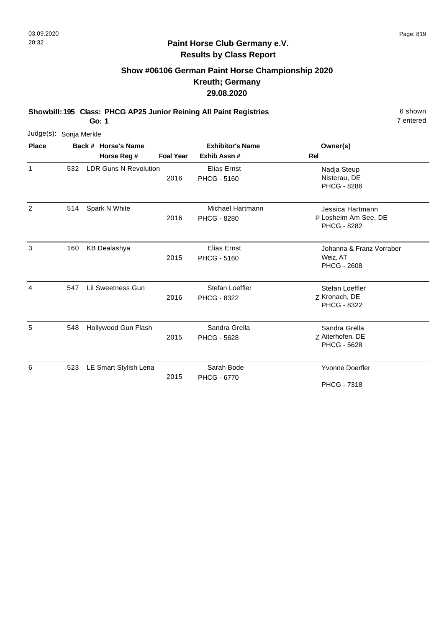#### **Paint Horse Club Germany e.V. Results by Class Report**

# **Show #06106 German Paint Horse Championship 2020 Kreuth; Germany 29.08.2020**

**Showbill: 195 Class: PHCG AP25 Junior Reining All Paint Registries** 6 shown

| Judge(s): Sonja Merkle |     |                              |                  |                                          |                                                                |
|------------------------|-----|------------------------------|------------------|------------------------------------------|----------------------------------------------------------------|
| <b>Place</b>           |     | Back # Horse's Name          |                  | <b>Exhibitor's Name</b>                  | Owner(s)                                                       |
|                        |     | Horse Reg #                  | <b>Foal Year</b> | Exhib Assn#                              | <b>Rel</b>                                                     |
| $\mathbf{1}$           | 532 | <b>LDR Guns N Revolution</b> | 2016             | Elias Ernst<br><b>PHCG - 5160</b>        | Nadja Steup<br>Nisterau, DE<br><b>PHCG - 8286</b>              |
| 2                      | 514 | Spark N White                | 2016             | Michael Hartmann<br><b>PHCG - 8280</b>   | Jessica Hartmann<br>P Losheim Am See, DE<br><b>PHCG - 8282</b> |
| 3                      | 160 | <b>KB Dealashya</b>          | 2015             | <b>Elias Ernst</b><br><b>PHCG - 5160</b> | Johanna & Franz Vorraber<br>Weiz, AT<br><b>PHCG - 2608</b>     |
| 4                      | 547 | Lil Sweetness Gun            | 2016             | Stefan Loeffler<br>PHCG - 8322           | Stefan Loeffler<br>Z Kronach, DE<br><b>PHCG - 8322</b>         |
| 5                      | 548 | Hollywood Gun Flash          | 2015             | Sandra Grella<br><b>PHCG - 5628</b>      | Sandra Grella<br>Z Aiterhofen, DE<br><b>PHCG - 5628</b>        |
| 6                      | 523 | LE Smart Stylish Lena        | 2015             | Sarah Bode<br><b>PHCG - 6770</b>         | <b>Yvonne Doerfler</b><br><b>PHCG - 7318</b>                   |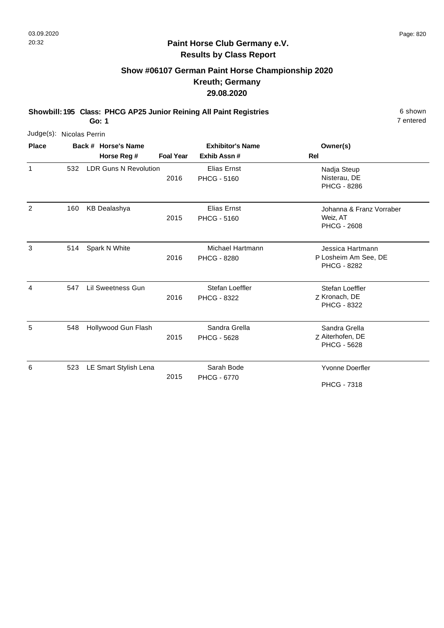#### **Paint Horse Club Germany e.V. Results by Class Report**

# **Show #06107 German Paint Horse Championship 2020 Kreuth; Germany 29.08.2020**

**Showbill: 195 Class: PHCG AP25 Junior Reining All Paint Registries** 6 shown

| Judge(s): Nicolas Perrin |     |                              |                  |                                               |                                                                |
|--------------------------|-----|------------------------------|------------------|-----------------------------------------------|----------------------------------------------------------------|
| <b>Place</b>             |     | Back # Horse's Name          |                  | <b>Exhibitor's Name</b>                       | Owner(s)                                                       |
|                          |     | Horse Reg #                  | <b>Foal Year</b> | Exhib Assn#                                   | Rel                                                            |
| 1                        | 532 | <b>LDR Guns N Revolution</b> | 2016             | <b>Elias Ernst</b><br><b>PHCG - 5160</b>      | Nadja Steup<br>Nisterau, DE<br><b>PHCG - 8286</b>              |
| 2                        | 160 | <b>KB Dealashya</b>          | 2015             | <b>Elias Ernst</b><br><b>PHCG - 5160</b>      | Johanna & Franz Vorraber<br>Weiz, AT<br><b>PHCG - 2608</b>     |
| 3                        | 514 | Spark N White                | 2016             | <b>Michael Hartmann</b><br><b>PHCG - 8280</b> | Jessica Hartmann<br>P Losheim Am See, DE<br><b>PHCG - 8282</b> |
| 4                        | 547 | Lil Sweetness Gun            | 2016             | Stefan Loeffler<br><b>PHCG - 8322</b>         | Stefan Loeffler<br>Z Kronach, DE<br>PHCG - 8322                |
| 5                        | 548 | Hollywood Gun Flash          | 2015             | Sandra Grella<br><b>PHCG - 5628</b>           | Sandra Grella<br>Z Aiterhofen, DE<br>PHCG - 5628               |
| 6                        | 523 | LE Smart Stylish Lena        | 2015             | Sarah Bode<br><b>PHCG - 6770</b>              | <b>Yvonne Doerfler</b><br><b>PHCG - 7318</b>                   |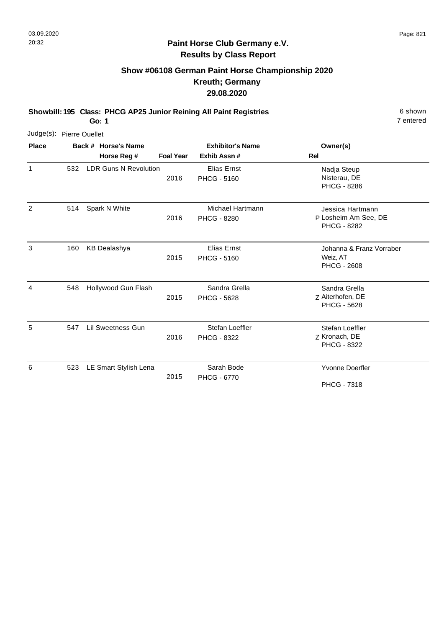2

7 entered

#### **Paint Horse Club Germany e.V. Results by Class Report**

# **Show #06108 German Paint Horse Championship 2020 Kreuth; Germany 29.08.2020**

**Showbill: 195 Class: PHCG AP25 Junior Reining All Paint Registries** 6 shown

**Go: 1**

|                          |     | ---                   |                  |                                        |                                                   |
|--------------------------|-----|-----------------------|------------------|----------------------------------------|---------------------------------------------------|
| Judge(s): Pierre Ouellet |     |                       |                  |                                        |                                                   |
| <b>Place</b>             |     | Back # Horse's Name   |                  | <b>Exhibitor's Name</b>                | Owner(s)                                          |
|                          |     | Horse Reg #           | <b>Foal Year</b> | Exhib Assn#                            | Rel                                               |
|                          | 532 | LDR Guns N Revolution | 2016             | Elias Ernst<br><b>PHCG - 5160</b>      | Nadja Steup<br>Nisterau, DE<br><b>PHCG - 8286</b> |
| 2                        | 514 | Spark N White         | 2016             | Michael Hartmann<br><b>PHCG - 8280</b> | Jessica Hartmann<br>P Losheim Am See, DE          |

|     |                       |      |                                       | <b>PHCG - 8282</b>                                         |
|-----|-----------------------|------|---------------------------------------|------------------------------------------------------------|
| 160 | <b>KB Dealashya</b>   | 2015 | Elias Ernst<br><b>PHCG - 5160</b>     | Johanna & Franz Vorraber<br>Weiz, AT<br><b>PHCG - 2608</b> |
| 548 | Hollywood Gun Flash   | 2015 | Sandra Grella<br><b>PHCG - 5628</b>   | Sandra Grella<br>Z Aiterhofen, DE<br><b>PHCG - 5628</b>    |
| 547 | Lil Sweetness Gun     | 2016 | Stefan Loeffler<br><b>PHCG - 8322</b> | Stefan Loeffler<br>Z Kronach, DE<br><b>PHCG - 8322</b>     |
| 523 | LE Smart Stylish Lena | 2015 | Sarah Bode<br><b>PHCG - 6770</b>      | <b>Yvonne Doerfler</b><br><b>PHCG - 7318</b>               |
|     |                       |      |                                       |                                                            |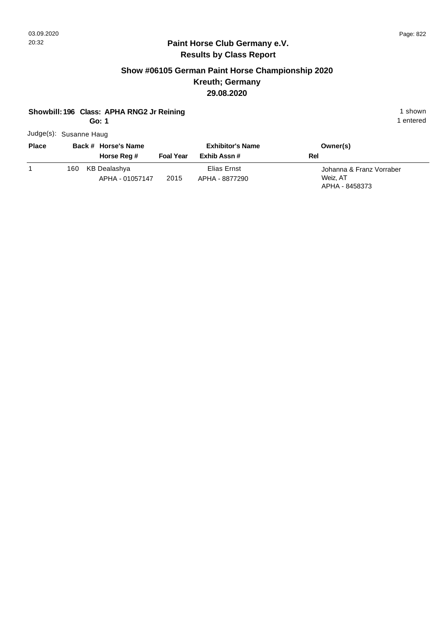#### **Paint Horse Club Germany e.V. Results by Class Report**

## **Show #06105 German Paint Horse Championship 2020 Kreuth; Germany 29.08.2020**

#### **Showbill: 196 Class: APHA RNG2 Jr Reining 1 shown 1 shown 1 shown**

**Go: 1**

Judge(s): Susanne Haug

| <b>Place</b> | Back # Horse's Name<br>Horse Reg #     | <b>Foal Year</b> | <b>Exhibitor's Name</b><br>Exhib Assn# | Owner(s)<br>Rel                                        |
|--------------|----------------------------------------|------------------|----------------------------------------|--------------------------------------------------------|
|              | KB Dealashya<br>160<br>APHA - 01057147 | 2015             | Elias Ernst<br>APHA - 8877290          | Johanna & Franz Vorraber<br>Weiz, AT<br>APHA - 8458373 |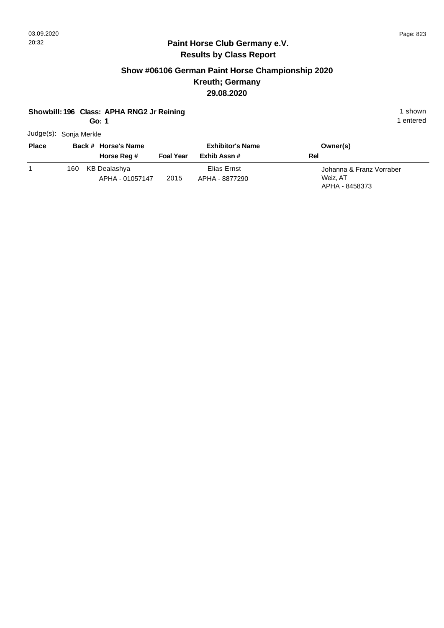#### **Paint Horse Club Germany e.V. Results by Class Report**

## **Show #06106 German Paint Horse Championship 2020 Kreuth; Germany 29.08.2020**

#### **Showbill: 196 Class: APHA RNG2 Jr Reining 1 shown 1 shown 1 shown**

**Go: 1**

Judge(s): Sonja Merkle

| <b>Place</b> | Back # Horse's Name<br>Horse Reg #      | <b>Foal Year</b> | <b>Exhibitor's Name</b><br>Exhib Assn # | Owner(s)<br>Rel                                        |
|--------------|-----------------------------------------|------------------|-----------------------------------------|--------------------------------------------------------|
|              | KB Dealashya<br>160.<br>APHA - 01057147 | 2015             | Elias Ernst<br>APHA - 8877290           | Johanna & Franz Vorraber<br>Weiz, AT<br>APHA - 8458373 |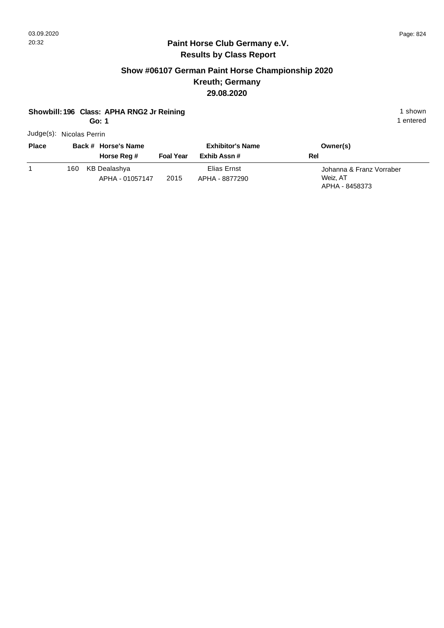#### **Paint Horse Club Germany e.V. Results by Class Report**

# **Show #06107 German Paint Horse Championship 2020 Kreuth; Germany 29.08.2020**

#### **Showbill: 196 Class: APHA RNG2 Jr Reining 1 shown 1 shown 1 shown**

**Go: 1**

Judge(s): Nicolas Perrin

| <b>Place</b> | Back # Horse's Name<br>Horse Reg #      | <b>Foal Year</b> | <b>Exhibitor's Name</b><br>Exhib Assn# | Owner(s)<br>Rel                                        |
|--------------|-----------------------------------------|------------------|----------------------------------------|--------------------------------------------------------|
|              | KB Dealashya<br>160.<br>APHA - 01057147 | 2015             | Elias Ernst<br>APHA - 8877290          | Johanna & Franz Vorraber<br>Weiz, AT<br>APHA - 8458373 |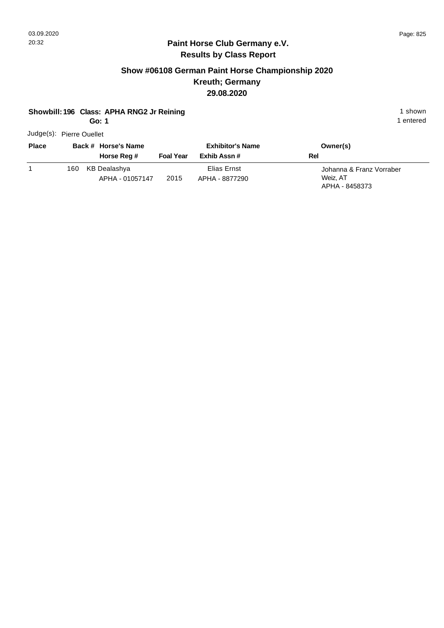#### **Paint Horse Club Germany e.V. Results by Class Report**

## **Show #06108 German Paint Horse Championship 2020 Kreuth; Germany 29.08.2020**

#### **Showbill: 196 Class: APHA RNG2 Jr Reining 1 shown 1 shown 1 shown**

**Go: 1**

Judge(s): Pierre Ouellet

| <b>Place</b> |      | Back # Horse's Name<br>Horse Reg # | <b>Foal Year</b> | <b>Exhibitor's Name</b><br>Exhib Assn # | Owner(s)<br>Rel                                        |
|--------------|------|------------------------------------|------------------|-----------------------------------------|--------------------------------------------------------|
|              | 160. | KB Dealashya<br>APHA - 01057147    | 2015             | Elias Ernst<br>APHA - 8877290           | Johanna & Franz Vorraber<br>Weiz, AT<br>APHA - 8458373 |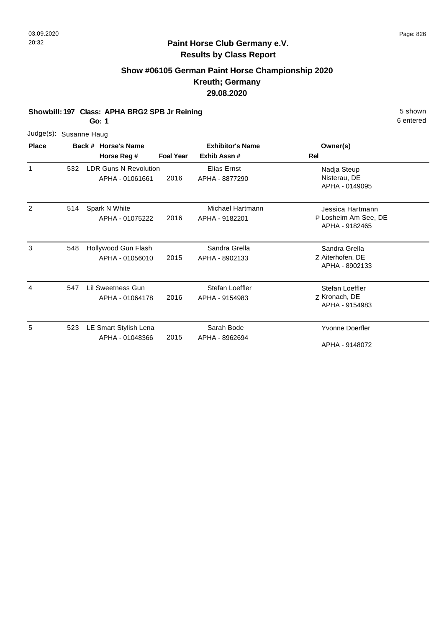## **Show #06105 German Paint Horse Championship 2020 Kreuth; Germany 29.08.2020**

**Showbill: 197 Class: APHA BRG2 SPB Jr Reining 5 Shown 5 Shown 5 shown** 

**Go: 1**

| Judge(s): Susanne Haug |  |
|------------------------|--|
|                        |  |

| <b>Place</b> |     | Back # Horse's Name                             |                  | <b>Exhibitor's Name</b>            | Owner(s)                                                   |
|--------------|-----|-------------------------------------------------|------------------|------------------------------------|------------------------------------------------------------|
|              |     | Horse Reg #                                     | <b>Foal Year</b> | Exhib Assn#                        | Rel                                                        |
| 1            | 532 | <b>LDR Guns N Revolution</b><br>APHA - 01061661 | 2016             | Elias Ernst<br>APHA - 8877290      | Nadja Steup<br>Nisterau, DE<br>APHA - 0149095              |
| 2            | 514 | Spark N White<br>APHA - 01075222                | 2016             | Michael Hartmann<br>APHA - 9182201 | Jessica Hartmann<br>P Losheim Am See, DE<br>APHA - 9182465 |
| 3            | 548 | Hollywood Gun Flash<br>APHA - 01056010          | 2015             | Sandra Grella<br>APHA - 8902133    | Sandra Grella<br>Z Aiterhofen, DE<br>APHA - 8902133        |
| 4            | 547 | Lil Sweetness Gun<br>APHA - 01064178            | 2016             | Stefan Loeffler<br>APHA - 9154983  | Stefan Loeffler<br>Z Kronach, DE<br>APHA - 9154983         |
| 5            | 523 | LE Smart Stylish Lena<br>APHA - 01048366        | 2015             | Sarah Bode<br>APHA - 8962694       | <b>Yvonne Doerfler</b><br>APHA - 9148072                   |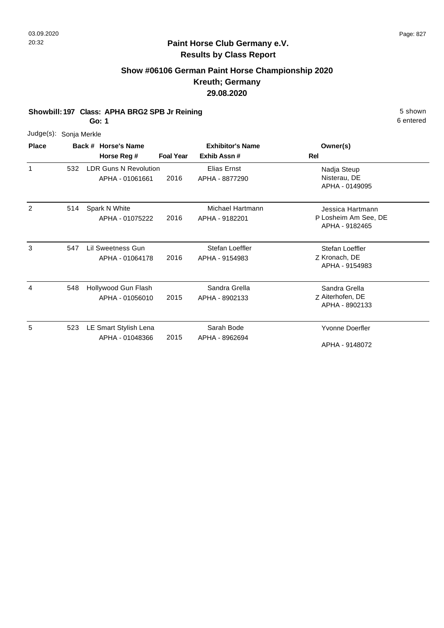## **Show #06106 German Paint Horse Championship 2020 Kreuth; Germany 29.08.2020**

**Showbill: 197 Class: APHA BRG2 SPB Jr Reining 5 Shown 5 Shown 5 shown** 

**Go: 1**

6 entered

Nadja Steup Nisterau, DE APHA - 0149095

Jessica Hartmann

| Judge(s): Sonja Merkle |     |                                          |                  |                               |                                    |
|------------------------|-----|------------------------------------------|------------------|-------------------------------|------------------------------------|
| <b>Place</b>           |     | Back # Horse's Name                      |                  | <b>Exhibitor's Name</b>       | Owner(s)                           |
|                        |     | Horse Reg #                              | <b>Foal Year</b> | Exhib Assn#                   | Rel                                |
|                        | 532 | LDR Guns N Revolution<br>APHA - 01061661 | 2016             | Elias Ernst<br>APHA - 8877290 | Nadja Ste<br>Nisterau,<br>APHA - 0 |
| $\mathcal{P}$          | 514 | Spark N White<br>1.7111 2.4277222        | 0.010            | Michael Hartmann<br>$\ddotsc$ | Jessica H<br>D. Lookoim            |

|   |     | APHA - 01075222                          | 2016 | APHA - 9182201                    | P Losheim Am See, DE<br>APHA - 9182465              |
|---|-----|------------------------------------------|------|-----------------------------------|-----------------------------------------------------|
| 3 | 547 | Lil Sweetness Gun<br>APHA - 01064178     | 2016 | Stefan Loeffler<br>APHA - 9154983 | Stefan Loeffler<br>Z Kronach, DE<br>APHA - 9154983  |
| 4 | 548 | Hollywood Gun Flash<br>APHA - 01056010   | 2015 | Sandra Grella<br>APHA - 8902133   | Sandra Grella<br>Z Aiterhofen, DE<br>APHA - 8902133 |
| 5 | 523 | LE Smart Stylish Lena<br>APHA - 01048366 | 2015 | Sarah Bode<br>APHA - 8962694      | Yvonne Doerfler<br>APHA - 9148072                   |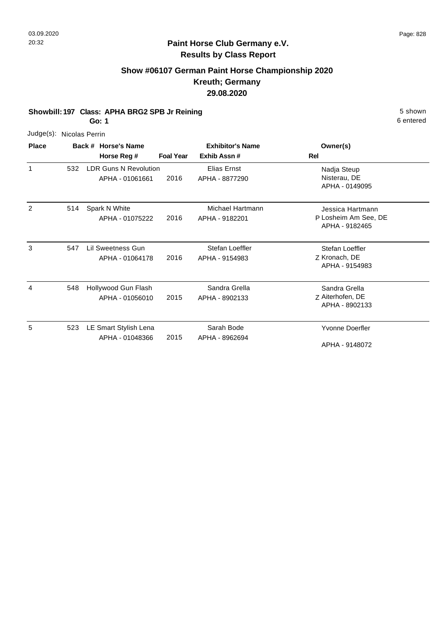# **Paint Horse Club Germany e.V. Results by Class Report**

## **Show #06107 German Paint Horse Championship 2020 Kreuth; Germany 29.08.2020**

**Showbill: 197 Class: APHA BRG2 SPB Jr Reining 5 Shown 5 Shown 5 shown** 

**Go: 1**

| ו :סט        |                |                                                 |                  |                                    |                                                            |  |
|--------------|----------------|-------------------------------------------------|------------------|------------------------------------|------------------------------------------------------------|--|
| Judge(s):    | Nicolas Perrin |                                                 |                  |                                    |                                                            |  |
| <b>Place</b> |                | Back # Horse's Name                             |                  | <b>Exhibitor's Name</b>            | Owner(s)                                                   |  |
|              |                | Horse Reg #                                     | <b>Foal Year</b> | Exhib Assn#                        | <b>Rel</b>                                                 |  |
| 1            | 532            | <b>LDR Guns N Revolution</b><br>APHA - 01061661 | 2016             | Elias Ernst<br>APHA - 8877290      | Nadja Steup<br>Nisterau, DE<br>APHA - 0149095              |  |
| 2            | 514            | Spark N White<br>APHA - 01075222                | 2016             | Michael Hartmann<br>APHA - 9182201 | Jessica Hartmann<br>P Losheim Am See, DE<br>APHA - 9182465 |  |
| 3            | 547            | <b>Lil Sweetness Gun</b><br>APHA - 01064178     | 2016             | Stefan Loeffler<br>APHA - 9154983  | Stefan Loeffler<br>Z Kronach, DE<br>APHA - 9154983         |  |
| 4            | 548            | Hollywood Gun Flash<br>APHA - 01056010          | 2015             | Sandra Grella<br>APHA - 8902133    | Sandra Grella<br>Z Aiterhofen, DE<br>APHA - 8902133        |  |
| 5            | 523            | LE Smart Stylish Lena<br>APHA - 01048366        | 2015             | Sarah Bode<br>APHA - 8962694       | <b>Yvonne Doerfler</b><br>APHA - 9148072                   |  |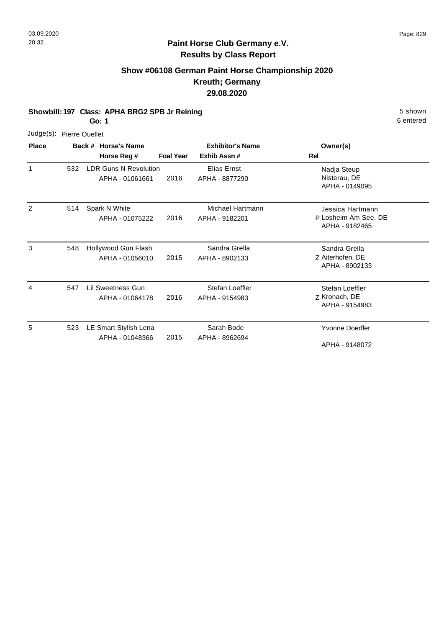## **Show #06108 German Paint Horse Championship 2020 Kreuth; Germany 29.08.2020**

**Showbill: 197 Class: APHA BRG2 SPB Jr Reining 5 Shown 5 Shown 5 shown** 

**Go: 1**

|              | Judge(s): Pierre Ouellet |  |
|--------------|--------------------------|--|
| <b>Place</b> | Back # Horse's           |  |

| <b>Place</b> |     | Back # Horse's Name<br>Horse Reg #              | <b>Foal Year</b> | <b>Exhibitor's Name</b><br>Exhib Assn# | Owner(s)<br>Rel                                            |
|--------------|-----|-------------------------------------------------|------------------|----------------------------------------|------------------------------------------------------------|
| $\mathbf{1}$ | 532 | <b>LDR Guns N Revolution</b><br>APHA - 01061661 | 2016             | Elias Ernst<br>APHA - 8877290          | Nadja Steup<br>Nisterau, DE<br>APHA - 0149095              |
| 2            | 514 | Spark N White<br>APHA - 01075222                | 2016             | Michael Hartmann<br>APHA - 9182201     | Jessica Hartmann<br>P Losheim Am See, DE<br>APHA - 9182465 |
| 3            | 548 | Hollywood Gun Flash<br>APHA - 01056010          | 2015             | Sandra Grella<br>APHA - 8902133        | Sandra Grella<br>Z Aiterhofen, DE<br>APHA - 8902133        |
| 4            | 547 | Lil Sweetness Gun<br>APHA - 01064178            | 2016             | Stefan Loeffler<br>APHA - 9154983      | Stefan Loeffler<br>Z Kronach, DE<br>APHA - 9154983         |
| 5            | 523 | LE Smart Stylish Lena<br>APHA - 01048366        | 2015             | Sarah Bode<br>APHA - 8962694           | Yvonne Doerfler<br>APHA - 9148072                          |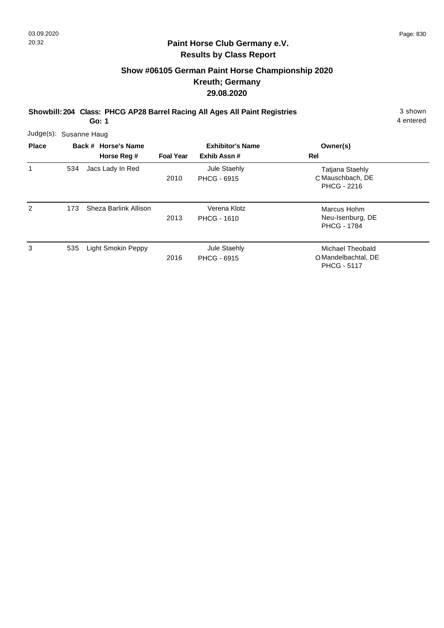#### **Paint Horse Club Germany e.V. Results by Class Report**

# **Show #06105 German Paint Horse Championship 2020 Kreuth; Germany 29.08.2020**

**Showbill: 204 Class: PHCG AP28 Barrel Racing All Ages All Paint Registries** 3 shown

| Judge(s): Susanne Haug |     |                       |                  |                                    |                                                                  |  |
|------------------------|-----|-----------------------|------------------|------------------------------------|------------------------------------------------------------------|--|
| <b>Place</b>           |     | Back # Horse's Name   |                  | <b>Exhibitor's Name</b>            | Owner(s)                                                         |  |
|                        |     | Horse Reg #           | <b>Foal Year</b> | Exhib Assn#                        | Rel                                                              |  |
|                        | 534 | Jacs Lady In Red      | 2010             | Jule Staehly<br><b>PHCG - 6915</b> | <b>Tatjana Staehly</b><br>C Mauschbach, DE<br><b>PHCG - 2216</b> |  |
| 2                      | 173 | Sheza Barlink Allison | 2013             | Verena Klotz<br><b>PHCG - 1610</b> | Marcus Hohm<br>Neu-Isenburg, DE<br><b>PHCG - 1784</b>            |  |
| 3                      | 535 | Light Smokin Peppy    | 2016             | Jule Staehly<br><b>PHCG - 6915</b> | Michael Theobald<br>O Mandelbachtal, DE<br><b>PHCG - 5117</b>    |  |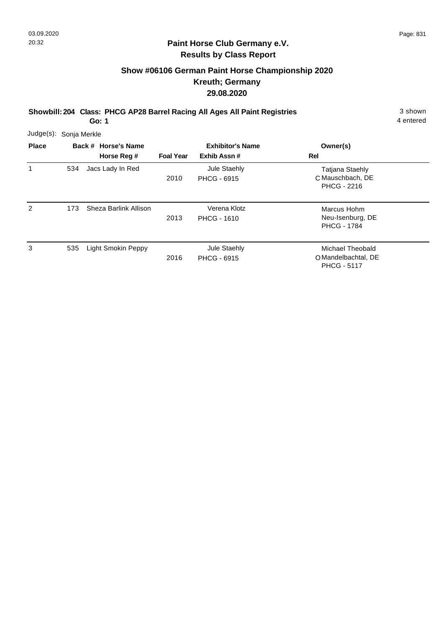#### **Paint Horse Club Germany e.V. Results by Class Report**

# **Show #06106 German Paint Horse Championship 2020 Kreuth; Germany 29.08.2020**

**Showbill: 204 Class: PHCG AP28 Barrel Racing All Ages All Paint Registries** 3 shown

| Judge(s):    | Sonja Merkle |                       |                  |                                    |                                                                  |
|--------------|--------------|-----------------------|------------------|------------------------------------|------------------------------------------------------------------|
| <b>Place</b> |              | Back # Horse's Name   |                  | <b>Exhibitor's Name</b>            | Owner(s)                                                         |
|              |              | Horse Reg #           | <b>Foal Year</b> | Exhib Assn#                        | Rel                                                              |
| 1            | 534          | Jacs Lady In Red      | 2010             | Jule Staehly<br><b>PHCG - 6915</b> | <b>Tatjana Staehly</b><br>C Mauschbach, DE<br><b>PHCG - 2216</b> |
| 2            | 173          | Sheza Barlink Allison | 2013             | Verena Klotz<br><b>PHCG - 1610</b> | Marcus Hohm<br>Neu-Isenburg, DE<br><b>PHCG - 1784</b>            |
| 3            | 535          | Light Smokin Peppy    | 2016             | Jule Staehly<br><b>PHCG - 6915</b> | Michael Theobald<br>O Mandelbachtal, DE<br><b>PHCG - 5117</b>    |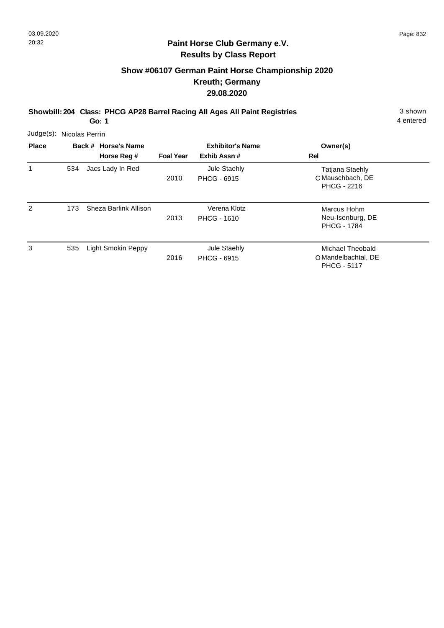#### **Paint Horse Club Germany e.V. Results by Class Report**

# **Show #06107 German Paint Horse Championship 2020 Kreuth; Germany 29.08.2020**

**Showbill: 204 Class: PHCG AP28 Barrel Racing All Ages All Paint Registries** 3 shown

| Judge(s):    |     | Nicolas Perrin        |                  |                                    |                                                                  |
|--------------|-----|-----------------------|------------------|------------------------------------|------------------------------------------------------------------|
| <b>Place</b> |     | Back # Horse's Name   |                  | <b>Exhibitor's Name</b>            | Owner(s)                                                         |
|              |     | Horse Reg #           | <b>Foal Year</b> | Exhib Assn#                        | Rel                                                              |
| 1            | 534 | Jacs Lady In Red      | 2010             | Jule Staehly<br><b>PHCG - 6915</b> | <b>Tatjana Staehly</b><br>C Mauschbach, DE<br><b>PHCG - 2216</b> |
| 2            | 173 | Sheza Barlink Allison | 2013             | Verena Klotz<br><b>PHCG - 1610</b> | Marcus Hohm<br>Neu-Isenburg, DE<br><b>PHCG - 1784</b>            |
| 3            | 535 | Light Smokin Peppy    | 2016             | Jule Staehly<br><b>PHCG - 6915</b> | Michael Theobald<br>O Mandelbachtal, DE<br><b>PHCG - 5117</b>    |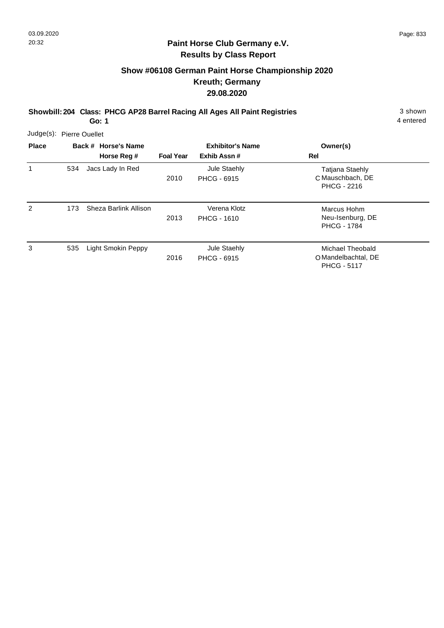#### **Paint Horse Club Germany e.V. Results by Class Report**

# **Show #06108 German Paint Horse Championship 2020 Kreuth; Germany 29.08.2020**

**Showbill: 204 Class: PHCG AP28 Barrel Racing All Ages All Paint Registries** 3 shown

| <b>Place</b>  |     | Back # Horse's Name<br>Horse Reg # | <b>Foal Year</b> | <b>Exhibitor's Name</b><br>Exhib Assn# | Owner(s)<br><b>Rel</b>                                        |
|---------------|-----|------------------------------------|------------------|----------------------------------------|---------------------------------------------------------------|
| 1             | 534 | Jacs Lady In Red                   | 2010             | Jule Staehly<br><b>PHCG - 6915</b>     | Tatjana Staehly<br>C Mauschbach, DE<br><b>PHCG - 2216</b>     |
| $\mathcal{P}$ | 173 | Sheza Barlink Allison              | 2013             | Verena Klotz<br><b>PHCG - 1610</b>     | Marcus Hohm<br>Neu-Isenburg, DE<br><b>PHCG - 1784</b>         |
| 3             | 535 | Light Smokin Peppy                 | 2016             | Jule Staehly<br><b>PHCG - 6915</b>     | Michael Theobald<br>O Mandelbachtal, DE<br><b>PHCG - 5117</b> |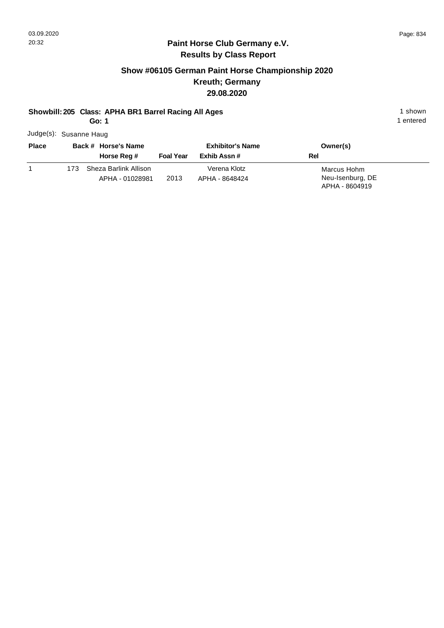#### **Paint Horse Club Germany e.V. Results by Class Report**

# **Show #06105 German Paint Horse Championship 2020 Kreuth; Germany 29.08.2020**

#### **Showbill: 205 Class: APHA BR1 Barrel Racing All Ages** 1 shown

**Go: 1**

Judge(s): Susanne Haug

| <b>Place</b> | Back # Horse's Name |                       | <b>Exhibitor's Name</b> |                | Owner(s)         |
|--------------|---------------------|-----------------------|-------------------------|----------------|------------------|
|              |                     | Horse Reg #           | <b>Foal Year</b>        | Exhib Assn #   | Rel              |
|              | 173                 | Sheza Barlink Allison |                         | Verena Klotz   | Marcus Hohm      |
|              |                     | APHA - 01028981       | 2013                    | APHA - 8648424 | Neu-Isenburg, DE |
|              |                     |                       |                         |                | APHA - 8604919   |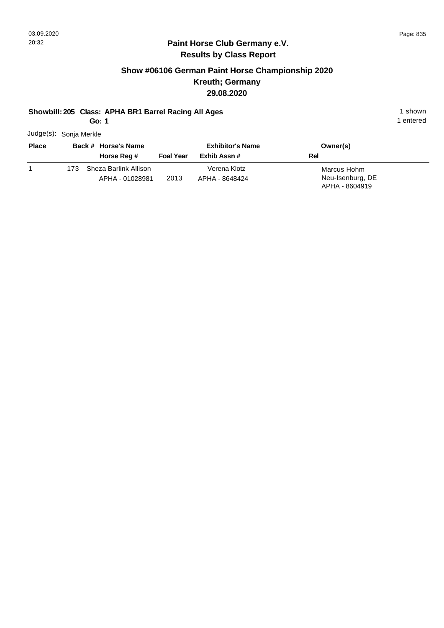#### **Paint Horse Club Germany e.V. Results by Class Report**

# **Show #06106 German Paint Horse Championship 2020 Kreuth; Germany 29.08.2020**

#### **Showbill: 205 Class: APHA BR1 Barrel Racing All Ages** 1 shown

**Go: 1**

Judge(s): Sonja Merkle

| <b>Place</b> |     | Back # Horse's Name<br>Horse Reg #       | <b>Foal Year</b> | <b>Exhibitor's Name</b><br>Exhib Assn # | Owner(s)<br>Rel                                   |
|--------------|-----|------------------------------------------|------------------|-----------------------------------------|---------------------------------------------------|
|              | 173 | Sheza Barlink Allison<br>APHA - 01028981 | 2013             | Verena Klotz<br>APHA - 8648424          | Marcus Hohm<br>Neu-Isenburg, DE<br>APHA - 8604919 |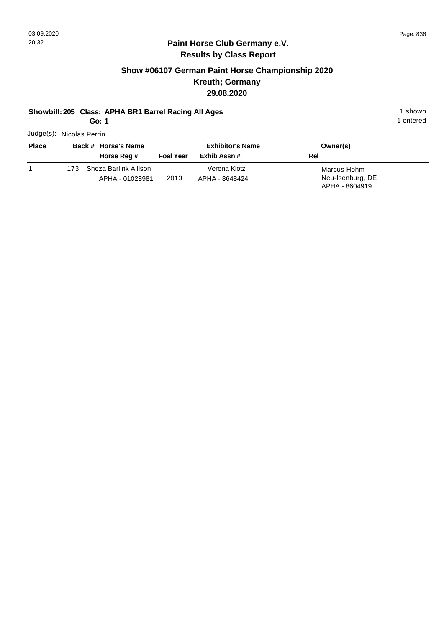#### **Paint Horse Club Germany e.V. Results by Class Report**

# **Show #06107 German Paint Horse Championship 2020 Kreuth; Germany 29.08.2020**

#### **Showbill: 205 Class: APHA BR1 Barrel Racing All Ages** 1 shown

**Go: 1**

Judge(s): Nicolas Perrin

| <b>Place</b> |     | Back # Horse's Name<br>Horse Reg #       | <b>Foal Year</b> | <b>Exhibitor's Name</b><br>Exhib Assn # | Owner(s)<br>Rel                                   |  |
|--------------|-----|------------------------------------------|------------------|-----------------------------------------|---------------------------------------------------|--|
|              | 173 | Sheza Barlink Allison<br>APHA - 01028981 | 2013             | Verena Klotz<br>APHA - 8648424          | Marcus Hohm<br>Neu-Isenburg, DE<br>APHA - 8604919 |  |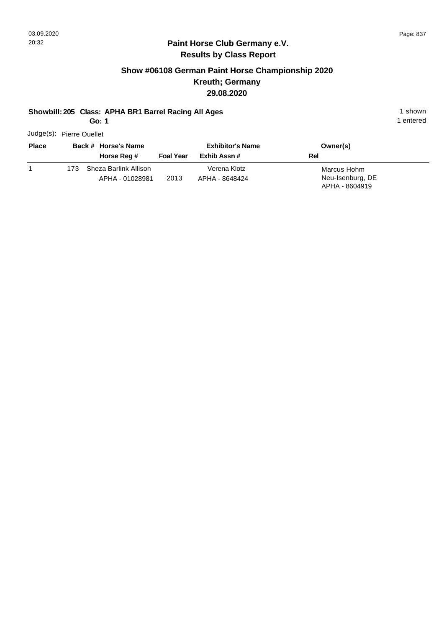#### **Paint Horse Club Germany e.V. Results by Class Report**

# **Show #06108 German Paint Horse Championship 2020 Kreuth; Germany 29.08.2020**

#### **Showbill: 205 Class: APHA BR1 Barrel Racing All Ages** 1 shown

**Go: 1**

Judge(s): Pierre Ouellet

| <b>Place</b> |     | Back # Horse's Name<br>Horse Reg #       | <b>Foal Year</b> | <b>Exhibitor's Name</b><br>Exhib Assn # | Owner(s)<br>Rel                                   |
|--------------|-----|------------------------------------------|------------------|-----------------------------------------|---------------------------------------------------|
|              | 173 | Sheza Barlink Allison<br>APHA - 01028981 | 2013             | Verena Klotz<br>APHA - 8648424          | Marcus Hohm<br>Neu-Isenburg, DE<br>APHA - 8604919 |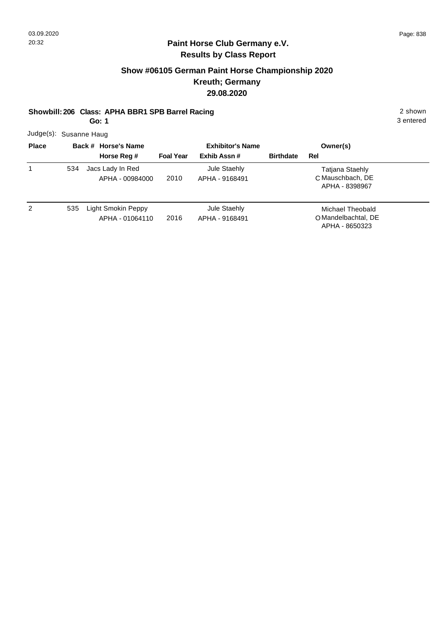# **Show #06105 German Paint Horse Championship 2020 Kreuth; Germany 29.08.2020**

#### **Showbill: 206 Class: APHA BBR1 SPB Barrel Racing 2 shown 2 shown**

**Go: 1**

3 entered

Judge(s): Susanne Haug

| <b>Place</b> |     | Back # Horse's Name                   |                  | <b>Exhibitor's Name</b>        |                  | Owner(s)                                                  |
|--------------|-----|---------------------------------------|------------------|--------------------------------|------------------|-----------------------------------------------------------|
|              |     | Horse Reg #                           | <b>Foal Year</b> | Exhib Assn#                    | <b>Birthdate</b> | Rel                                                       |
|              | 534 | Jacs Lady In Red<br>APHA - 00984000   | 2010             | Jule Staehly<br>APHA - 9168491 |                  | Tatjana Staehly<br>C Mauschbach, DE<br>APHA - 8398967     |
| 2            | 535 | Light Smokin Peppy<br>APHA - 01064110 | 2016             | Jule Staehly<br>APHA - 9168491 |                  | Michael Theobald<br>O Mandelbachtal, DE<br>APHA - 8650323 |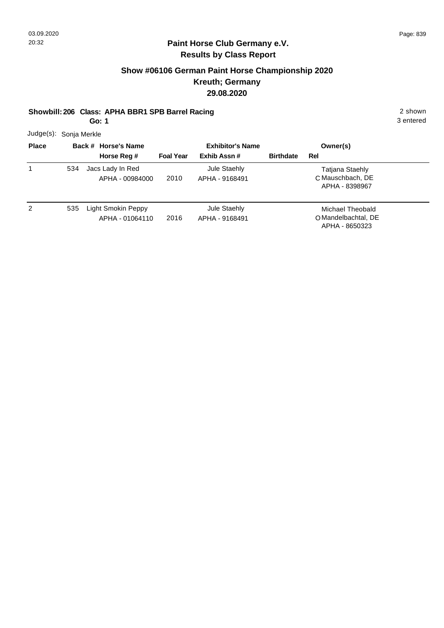## **Paint Horse Club Germany e.V. Results by Class Report**

# **Show #06106 German Paint Horse Championship 2020 Kreuth; Germany 29.08.2020**

#### **Showbill: 206 Class: APHA BBR1 SPB Barrel Racing 2 shown 2 shown**

**Go: 1**

3 entered

Judge(s): Sonja Merkle

| <b>Place</b> |     | Back # Horse's Name                   |                  | <b>Exhibitor's Name</b>        |                  | Owner(s)                                                  |
|--------------|-----|---------------------------------------|------------------|--------------------------------|------------------|-----------------------------------------------------------|
|              |     | Horse Reg #                           | <b>Foal Year</b> | Exhib Assn#                    | <b>Birthdate</b> | Rel                                                       |
|              | 534 | Jacs Lady In Red<br>APHA - 00984000   | 2010             | Jule Staehly<br>APHA - 9168491 |                  | Tatjana Staehly<br>C Mauschbach, DE<br>APHA - 8398967     |
| 2            | 535 | Light Smokin Peppy<br>APHA - 01064110 | 2016             | Jule Staehly<br>APHA - 9168491 |                  | Michael Theobald<br>O Mandelbachtal, DE<br>APHA - 8650323 |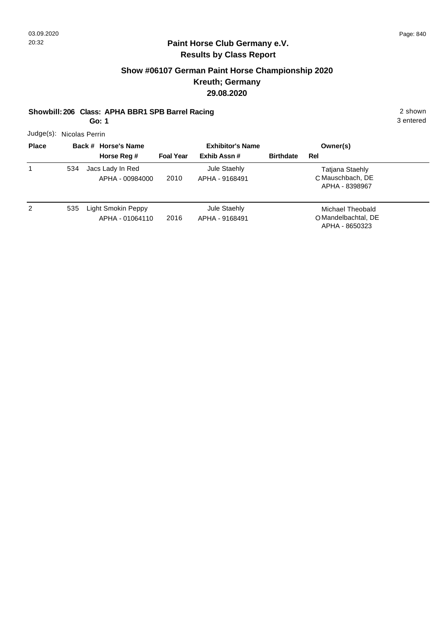## **Paint Horse Club Germany e.V. Results by Class Report**

# **Show #06107 German Paint Horse Championship 2020 Kreuth; Germany 29.08.2020**

#### **Showbill: 206 Class: APHA BBR1 SPB Barrel Racing 2 shown 2 shown**

**Go: 1**

3 entered

Judge(s): Nicolas Perrin

| <b>Place</b> |     | Back # Horse's Name                   |                  | <b>Exhibitor's Name</b>        |                  | Owner(s)                                                  |
|--------------|-----|---------------------------------------|------------------|--------------------------------|------------------|-----------------------------------------------------------|
|              |     | Horse Reg #                           | <b>Foal Year</b> | Exhib Assn#                    | <b>Birthdate</b> | Rel                                                       |
| 1            | 534 | Jacs Lady In Red<br>APHA - 00984000   | 2010             | Jule Staehly<br>APHA - 9168491 |                  | Tatjana Staehly<br>C Mauschbach, DE<br>APHA - 8398967     |
| 2            | 535 | Light Smokin Peppy<br>APHA - 01064110 | 2016             | Jule Staehly<br>APHA - 9168491 |                  | Michael Theobald<br>O Mandelbachtal, DE<br>APHA - 8650323 |